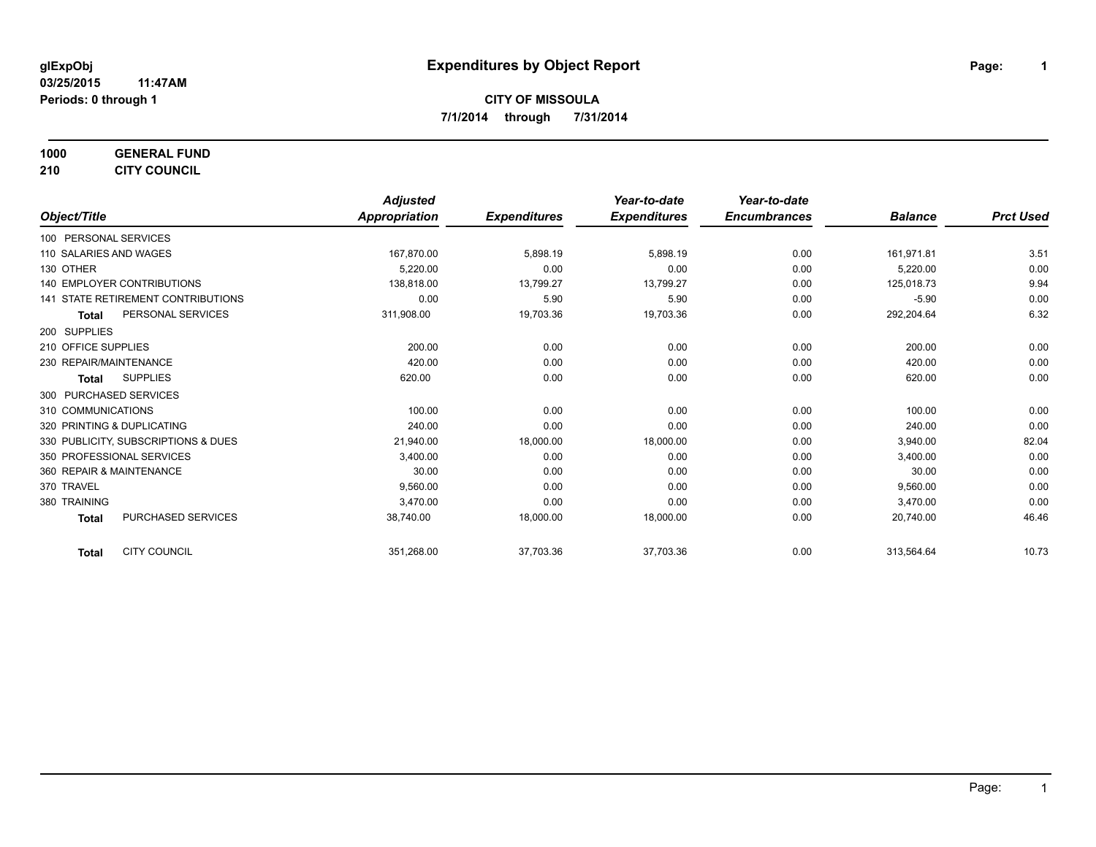**1000 GENERAL FUND**

**210 CITY COUNCIL**

|                                           | <b>Adjusted</b> |                     | Year-to-date        | Year-to-date        |                |                  |
|-------------------------------------------|-----------------|---------------------|---------------------|---------------------|----------------|------------------|
| Object/Title                              | Appropriation   | <b>Expenditures</b> | <b>Expenditures</b> | <b>Encumbrances</b> | <b>Balance</b> | <b>Prct Used</b> |
| 100 PERSONAL SERVICES                     |                 |                     |                     |                     |                |                  |
| 110 SALARIES AND WAGES                    | 167.870.00      | 5,898.19            | 5,898.19            | 0.00                | 161.971.81     | 3.51             |
| 130 OTHER                                 | 5,220.00        | 0.00                | 0.00                | 0.00                | 5,220.00       | 0.00             |
| 140 EMPLOYER CONTRIBUTIONS                | 138.818.00      | 13,799.27           | 13,799.27           | 0.00                | 125,018.73     | 9.94             |
| <b>141 STATE RETIREMENT CONTRIBUTIONS</b> | 0.00            | 5.90                | 5.90                | 0.00                | $-5.90$        | 0.00             |
| PERSONAL SERVICES<br>Total                | 311,908.00      | 19,703.36           | 19,703.36           | 0.00                | 292,204.64     | 6.32             |
| 200 SUPPLIES                              |                 |                     |                     |                     |                |                  |
| 210 OFFICE SUPPLIES                       | 200.00          | 0.00                | 0.00                | 0.00                | 200.00         | 0.00             |
| 230 REPAIR/MAINTENANCE                    | 420.00          | 0.00                | 0.00                | 0.00                | 420.00         | 0.00             |
| <b>SUPPLIES</b><br><b>Total</b>           | 620.00          | 0.00                | 0.00                | 0.00                | 620.00         | 0.00             |
| 300 PURCHASED SERVICES                    |                 |                     |                     |                     |                |                  |
| 310 COMMUNICATIONS                        | 100.00          | 0.00                | 0.00                | 0.00                | 100.00         | 0.00             |
| 320 PRINTING & DUPLICATING                | 240.00          | 0.00                | 0.00                | 0.00                | 240.00         | 0.00             |
| 330 PUBLICITY, SUBSCRIPTIONS & DUES       | 21,940.00       | 18,000.00           | 18,000.00           | 0.00                | 3,940.00       | 82.04            |
| 350 PROFESSIONAL SERVICES                 | 3,400.00        | 0.00                | 0.00                | 0.00                | 3,400.00       | 0.00             |
| 360 REPAIR & MAINTENANCE                  | 30.00           | 0.00                | 0.00                | 0.00                | 30.00          | 0.00             |
| 370 TRAVEL                                | 9,560.00        | 0.00                | 0.00                | 0.00                | 9,560.00       | 0.00             |
| 380 TRAINING                              | 3.470.00        | 0.00                | 0.00                | 0.00                | 3,470.00       | 0.00             |
| <b>PURCHASED SERVICES</b><br><b>Total</b> | 38.740.00       | 18,000.00           | 18,000.00           | 0.00                | 20.740.00      | 46.46            |
| <b>CITY COUNCIL</b><br><b>Total</b>       | 351,268.00      | 37,703.36           | 37,703.36           | 0.00                | 313,564.64     | 10.73            |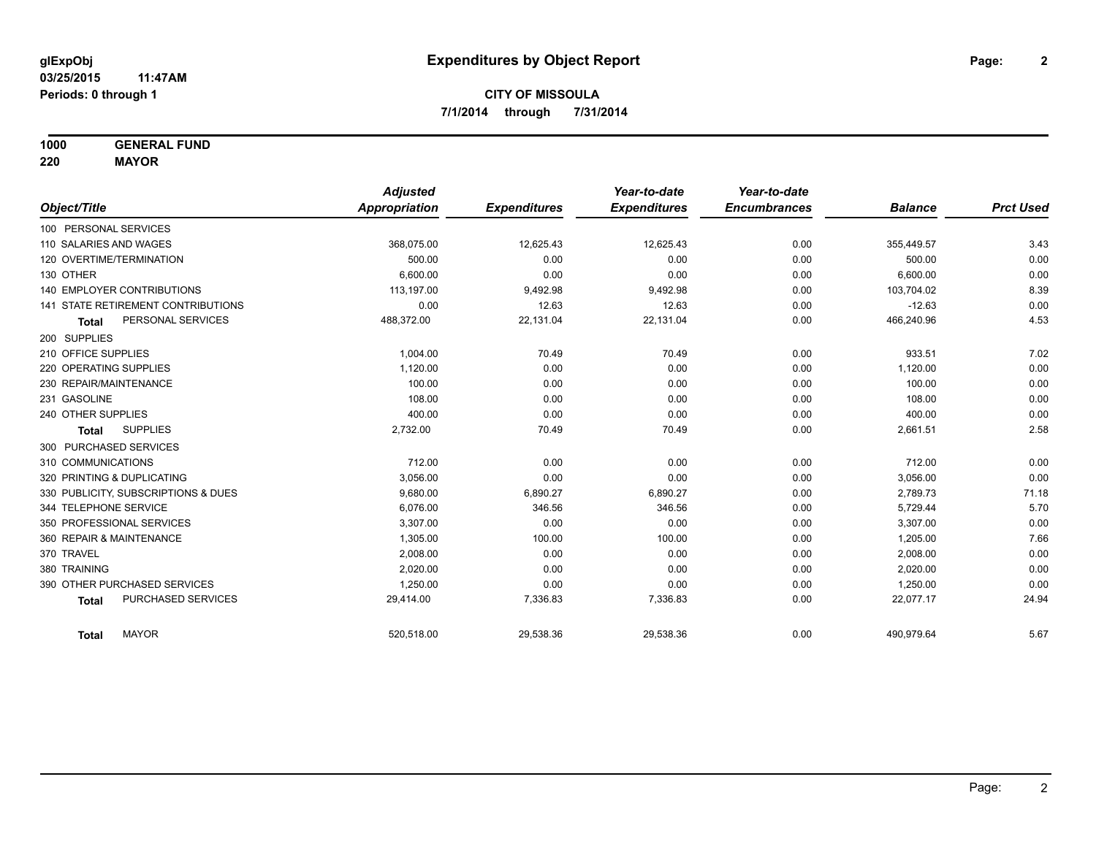**1000 GENERAL FUND**

**220 MAYOR**

|                                     | <b>Adjusted</b> |                     | Year-to-date        | Year-to-date        |                |                  |
|-------------------------------------|-----------------|---------------------|---------------------|---------------------|----------------|------------------|
| Object/Title                        | Appropriation   | <b>Expenditures</b> | <b>Expenditures</b> | <b>Encumbrances</b> | <b>Balance</b> | <b>Prct Used</b> |
| 100 PERSONAL SERVICES               |                 |                     |                     |                     |                |                  |
| 110 SALARIES AND WAGES              | 368,075.00      | 12,625.43           | 12,625.43           | 0.00                | 355,449.57     | 3.43             |
| 120 OVERTIME/TERMINATION            | 500.00          | 0.00                | 0.00                | 0.00                | 500.00         | 0.00             |
| 130 OTHER                           | 6,600.00        | 0.00                | 0.00                | 0.00                | 6,600.00       | 0.00             |
| <b>140 EMPLOYER CONTRIBUTIONS</b>   | 113,197.00      | 9,492.98            | 9,492.98            | 0.00                | 103,704.02     | 8.39             |
| 141 STATE RETIREMENT CONTRIBUTIONS  | 0.00            | 12.63               | 12.63               | 0.00                | $-12.63$       | 0.00             |
| PERSONAL SERVICES<br><b>Total</b>   | 488,372.00      | 22,131.04           | 22,131.04           | 0.00                | 466,240.96     | 4.53             |
| 200 SUPPLIES                        |                 |                     |                     |                     |                |                  |
| 210 OFFICE SUPPLIES                 | 1,004.00        | 70.49               | 70.49               | 0.00                | 933.51         | 7.02             |
| 220 OPERATING SUPPLIES              | 1,120.00        | 0.00                | 0.00                | 0.00                | 1,120.00       | 0.00             |
| 230 REPAIR/MAINTENANCE              | 100.00          | 0.00                | 0.00                | 0.00                | 100.00         | 0.00             |
| 231 GASOLINE                        | 108.00          | 0.00                | 0.00                | 0.00                | 108.00         | 0.00             |
| 240 OTHER SUPPLIES                  | 400.00          | 0.00                | 0.00                | 0.00                | 400.00         | 0.00             |
| <b>SUPPLIES</b><br><b>Total</b>     | 2,732.00        | 70.49               | 70.49               | 0.00                | 2,661.51       | 2.58             |
| 300 PURCHASED SERVICES              |                 |                     |                     |                     |                |                  |
| 310 COMMUNICATIONS                  | 712.00          | 0.00                | 0.00                | 0.00                | 712.00         | 0.00             |
| 320 PRINTING & DUPLICATING          | 3,056.00        | 0.00                | 0.00                | 0.00                | 3,056.00       | 0.00             |
| 330 PUBLICITY, SUBSCRIPTIONS & DUES | 9,680.00        | 6,890.27            | 6,890.27            | 0.00                | 2,789.73       | 71.18            |
| 344 TELEPHONE SERVICE               | 6.076.00        | 346.56              | 346.56              | 0.00                | 5,729.44       | 5.70             |
| 350 PROFESSIONAL SERVICES           | 3,307.00        | 0.00                | 0.00                | 0.00                | 3,307.00       | 0.00             |
| 360 REPAIR & MAINTENANCE            | 1,305.00        | 100.00              | 100.00              | 0.00                | 1,205.00       | 7.66             |
| 370 TRAVEL                          | 2,008.00        | 0.00                | 0.00                | 0.00                | 2,008.00       | 0.00             |
| 380 TRAINING                        | 2,020.00        | 0.00                | 0.00                | 0.00                | 2,020.00       | 0.00             |
| 390 OTHER PURCHASED SERVICES        | 1,250.00        | 0.00                | 0.00                | 0.00                | 1,250.00       | 0.00             |
| PURCHASED SERVICES<br><b>Total</b>  | 29,414.00       | 7,336.83            | 7,336.83            | 0.00                | 22,077.17      | 24.94            |
| <b>MAYOR</b><br><b>Total</b>        | 520,518.00      | 29,538.36           | 29,538.36           | 0.00                | 490,979.64     | 5.67             |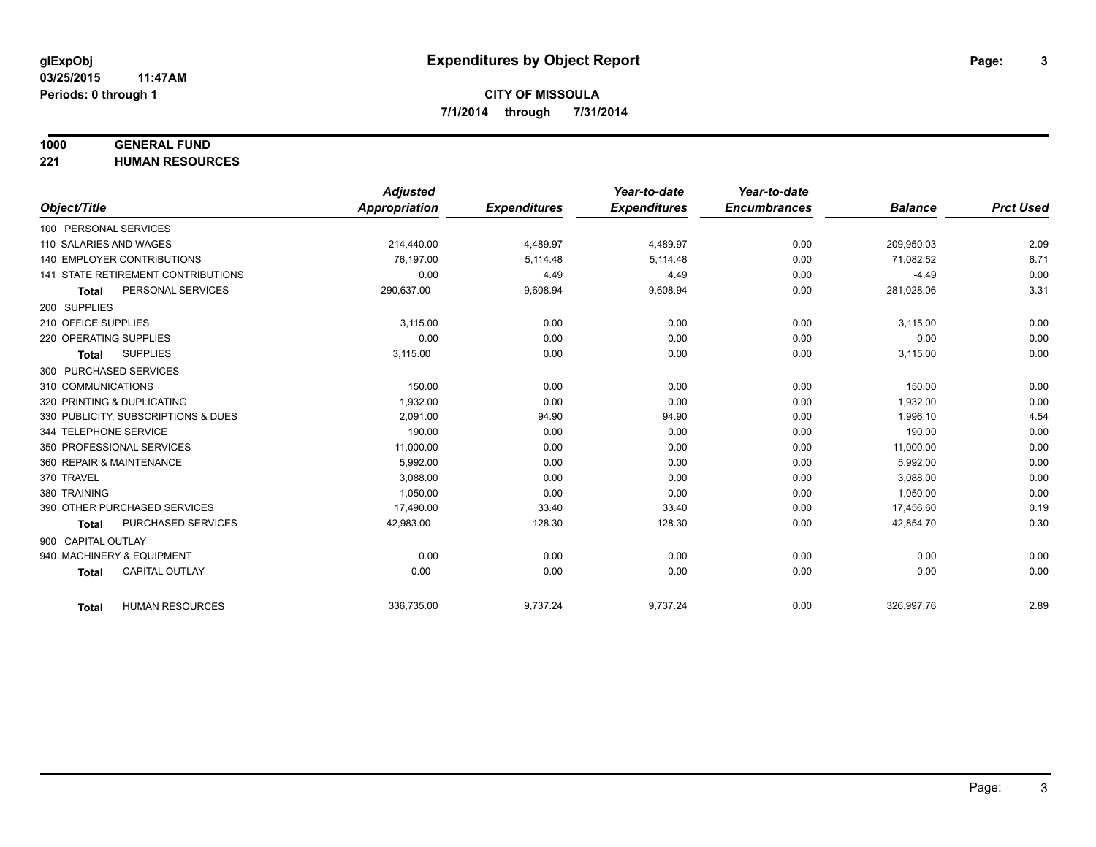## **1000 GENERAL FUND**

**221 HUMAN RESOURCES**

|                                           | <b>Adjusted</b> |                     | Year-to-date        | Year-to-date        |                |                  |
|-------------------------------------------|-----------------|---------------------|---------------------|---------------------|----------------|------------------|
| Object/Title                              | Appropriation   | <b>Expenditures</b> | <b>Expenditures</b> | <b>Encumbrances</b> | <b>Balance</b> | <b>Prct Used</b> |
| 100 PERSONAL SERVICES                     |                 |                     |                     |                     |                |                  |
| 110 SALARIES AND WAGES                    | 214,440.00      | 4,489.97            | 4,489.97            | 0.00                | 209,950.03     | 2.09             |
| 140 EMPLOYER CONTRIBUTIONS                | 76.197.00       | 5,114.48            | 5,114.48            | 0.00                | 71,082.52      | 6.71             |
| 141 STATE RETIREMENT CONTRIBUTIONS        | 0.00            | 4.49                | 4.49                | 0.00                | $-4.49$        | 0.00             |
| PERSONAL SERVICES<br><b>Total</b>         | 290,637.00      | 9,608.94            | 9,608.94            | 0.00                | 281,028.06     | 3.31             |
| 200 SUPPLIES                              |                 |                     |                     |                     |                |                  |
| 210 OFFICE SUPPLIES                       | 3.115.00        | 0.00                | 0.00                | 0.00                | 3,115.00       | 0.00             |
| 220 OPERATING SUPPLIES                    | 0.00            | 0.00                | 0.00                | 0.00                | 0.00           | 0.00             |
| <b>SUPPLIES</b><br><b>Total</b>           | 3,115.00        | 0.00                | 0.00                | 0.00                | 3,115.00       | 0.00             |
| 300 PURCHASED SERVICES                    |                 |                     |                     |                     |                |                  |
| 310 COMMUNICATIONS                        | 150.00          | 0.00                | 0.00                | 0.00                | 150.00         | 0.00             |
| 320 PRINTING & DUPLICATING                | 1.932.00        | 0.00                | 0.00                | 0.00                | 1,932.00       | 0.00             |
| 330 PUBLICITY, SUBSCRIPTIONS & DUES       | 2,091.00        | 94.90               | 94.90               | 0.00                | 1,996.10       | 4.54             |
| 344 TELEPHONE SERVICE                     | 190.00          | 0.00                | 0.00                | 0.00                | 190.00         | 0.00             |
| 350 PROFESSIONAL SERVICES                 | 11,000.00       | 0.00                | 0.00                | 0.00                | 11,000.00      | 0.00             |
| 360 REPAIR & MAINTENANCE                  | 5,992.00        | 0.00                | 0.00                | 0.00                | 5,992.00       | 0.00             |
| 370 TRAVEL                                | 3.088.00        | 0.00                | 0.00                | 0.00                | 3,088.00       | 0.00             |
| 380 TRAINING                              | 1,050.00        | 0.00                | 0.00                | 0.00                | 1,050.00       | 0.00             |
| 390 OTHER PURCHASED SERVICES              | 17,490.00       | 33.40               | 33.40               | 0.00                | 17,456.60      | 0.19             |
| <b>PURCHASED SERVICES</b><br><b>Total</b> | 42,983.00       | 128.30              | 128.30              | 0.00                | 42,854.70      | 0.30             |
| 900 CAPITAL OUTLAY                        |                 |                     |                     |                     |                |                  |
| 940 MACHINERY & EQUIPMENT                 | 0.00            | 0.00                | 0.00                | 0.00                | 0.00           | 0.00             |
| CAPITAL OUTLAY<br><b>Total</b>            | 0.00            | 0.00                | 0.00                | 0.00                | 0.00           | 0.00             |
|                                           |                 |                     |                     |                     |                |                  |
| <b>HUMAN RESOURCES</b><br><b>Total</b>    | 336,735.00      | 9,737.24            | 9,737.24            | 0.00                | 326,997.76     | 2.89             |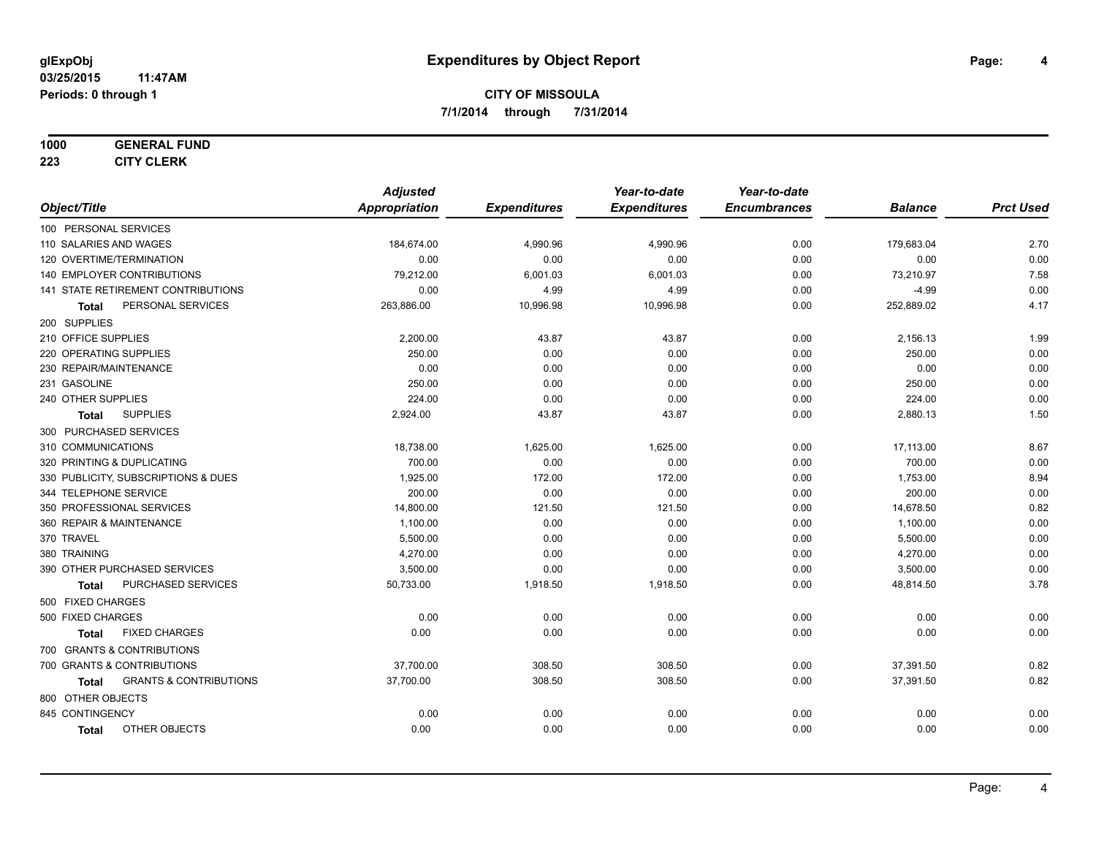#### **1000 GENERAL FUND**

**223 CITY CLERK**

|                                                   | <b>Adjusted</b>      |                     | Year-to-date        | Year-to-date        |                |                  |
|---------------------------------------------------|----------------------|---------------------|---------------------|---------------------|----------------|------------------|
| Object/Title                                      | <b>Appropriation</b> | <b>Expenditures</b> | <b>Expenditures</b> | <b>Encumbrances</b> | <b>Balance</b> | <b>Prct Used</b> |
| 100 PERSONAL SERVICES                             |                      |                     |                     |                     |                |                  |
| 110 SALARIES AND WAGES                            | 184,674.00           | 4,990.96            | 4,990.96            | 0.00                | 179,683.04     | 2.70             |
| 120 OVERTIME/TERMINATION                          | 0.00                 | 0.00                | 0.00                | 0.00                | 0.00           | 0.00             |
| 140 EMPLOYER CONTRIBUTIONS                        | 79,212.00            | 6,001.03            | 6,001.03            | 0.00                | 73,210.97      | 7.58             |
| 141 STATE RETIREMENT CONTRIBUTIONS                | 0.00                 | 4.99                | 4.99                | 0.00                | $-4.99$        | 0.00             |
| PERSONAL SERVICES<br>Total                        | 263,886.00           | 10,996.98           | 10,996.98           | 0.00                | 252,889.02     | 4.17             |
| 200 SUPPLIES                                      |                      |                     |                     |                     |                |                  |
| 210 OFFICE SUPPLIES                               | 2,200.00             | 43.87               | 43.87               | 0.00                | 2,156.13       | 1.99             |
| 220 OPERATING SUPPLIES                            | 250.00               | 0.00                | 0.00                | 0.00                | 250.00         | 0.00             |
| 230 REPAIR/MAINTENANCE                            | 0.00                 | 0.00                | 0.00                | 0.00                | 0.00           | 0.00             |
| 231 GASOLINE                                      | 250.00               | 0.00                | 0.00                | 0.00                | 250.00         | 0.00             |
| 240 OTHER SUPPLIES                                | 224.00               | 0.00                | 0.00                | 0.00                | 224.00         | 0.00             |
| <b>SUPPLIES</b><br>Total                          | 2,924.00             | 43.87               | 43.87               | 0.00                | 2,880.13       | 1.50             |
| 300 PURCHASED SERVICES                            |                      |                     |                     |                     |                |                  |
| 310 COMMUNICATIONS                                | 18,738.00            | 1,625.00            | 1,625.00            | 0.00                | 17,113.00      | 8.67             |
| 320 PRINTING & DUPLICATING                        | 700.00               | 0.00                | 0.00                | 0.00                | 700.00         | 0.00             |
| 330 PUBLICITY, SUBSCRIPTIONS & DUES               | 1,925.00             | 172.00              | 172.00              | 0.00                | 1,753.00       | 8.94             |
| 344 TELEPHONE SERVICE                             | 200.00               | 0.00                | 0.00                | 0.00                | 200.00         | 0.00             |
| 350 PROFESSIONAL SERVICES                         | 14,800.00            | 121.50              | 121.50              | 0.00                | 14,678.50      | 0.82             |
| 360 REPAIR & MAINTENANCE                          | 1,100.00             | 0.00                | 0.00                | 0.00                | 1,100.00       | 0.00             |
| 370 TRAVEL                                        | 5,500.00             | 0.00                | 0.00                | 0.00                | 5,500.00       | 0.00             |
| 380 TRAINING                                      | 4.270.00             | 0.00                | 0.00                | 0.00                | 4,270.00       | 0.00             |
| 390 OTHER PURCHASED SERVICES                      | 3,500.00             | 0.00                | 0.00                | 0.00                | 3,500.00       | 0.00             |
| PURCHASED SERVICES<br>Total                       | 50,733.00            | 1,918.50            | 1,918.50            | 0.00                | 48,814.50      | 3.78             |
| 500 FIXED CHARGES                                 |                      |                     |                     |                     |                |                  |
| 500 FIXED CHARGES                                 | 0.00                 | 0.00                | 0.00                | 0.00                | 0.00           | 0.00             |
| <b>FIXED CHARGES</b><br>Total                     | 0.00                 | 0.00                | 0.00                | 0.00                | 0.00           | 0.00             |
| 700 GRANTS & CONTRIBUTIONS                        |                      |                     |                     |                     |                |                  |
| 700 GRANTS & CONTRIBUTIONS                        | 37,700.00            | 308.50              | 308.50              | 0.00                | 37,391.50      | 0.82             |
| <b>GRANTS &amp; CONTRIBUTIONS</b><br><b>Total</b> | 37,700.00            | 308.50              | 308.50              | 0.00                | 37,391.50      | 0.82             |
| 800 OTHER OBJECTS                                 |                      |                     |                     |                     |                |                  |
| 845 CONTINGENCY                                   | 0.00                 | 0.00                | 0.00                | 0.00                | 0.00           | 0.00             |
| OTHER OBJECTS<br><b>Total</b>                     | 0.00                 | 0.00                | 0.00                | 0.00                | 0.00           | 0.00             |
|                                                   |                      |                     |                     |                     |                |                  |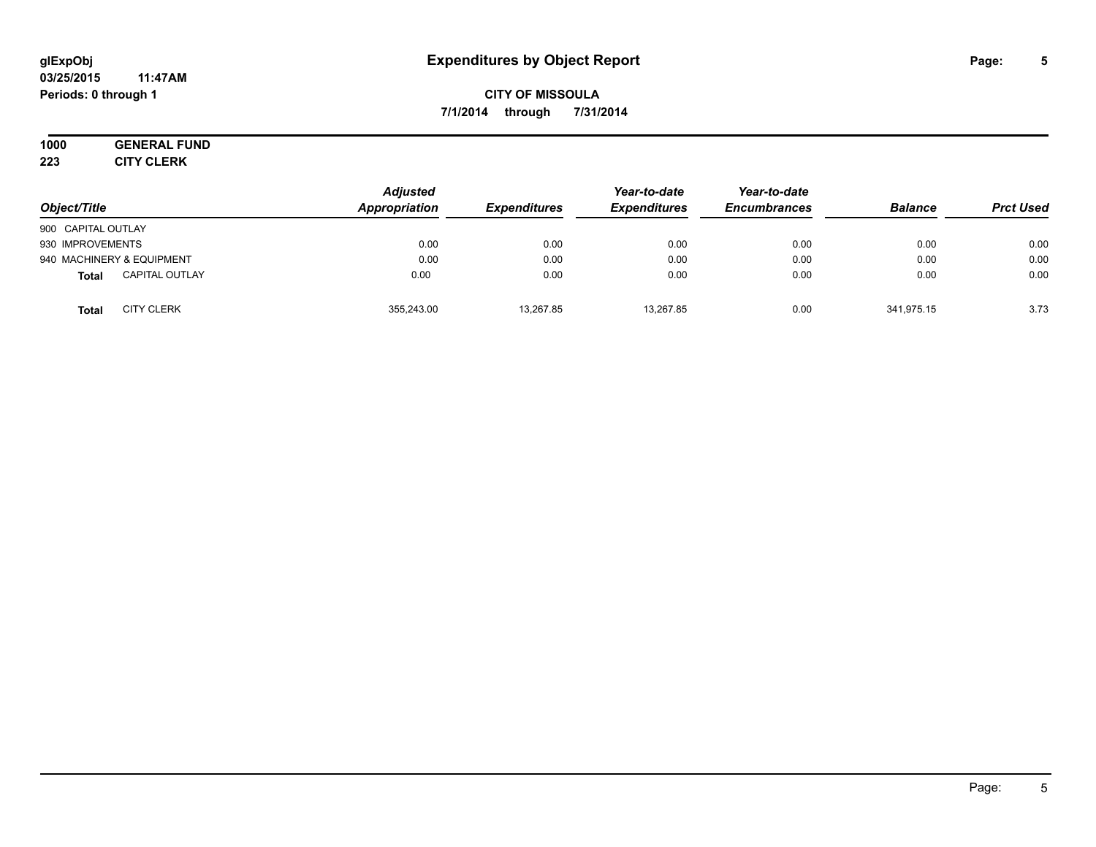#### **03/25/2015 11:47AM Periods: 0 through 1**

## **CITY OF MISSOULA 7/1/2014 through 7/31/2014**

# **1000 GENERAL FUND**

**223 CITY CLERK**

| Object/Title                          | <b>Adjusted</b><br><b>Appropriation</b> | <b>Expenditures</b> | Year-to-date<br><b>Expenditures</b> | Year-to-date<br><b>Encumbrances</b> | <b>Balance</b> | <b>Prct Used</b> |
|---------------------------------------|-----------------------------------------|---------------------|-------------------------------------|-------------------------------------|----------------|------------------|
| 900 CAPITAL OUTLAY                    |                                         |                     |                                     |                                     |                |                  |
| 930 IMPROVEMENTS                      | 0.00                                    | 0.00                | 0.00                                | 0.00                                | 0.00           | 0.00             |
| 940 MACHINERY & EQUIPMENT             | 0.00                                    | 0.00                | 0.00                                | 0.00                                | 0.00           | 0.00             |
| <b>CAPITAL OUTLAY</b><br><b>Total</b> | 0.00                                    | 0.00                | 0.00                                | 0.00                                | 0.00           | 0.00             |
| <b>CITY CLERK</b><br><b>Total</b>     | 355,243.00                              | 13,267.85           | 13,267.85                           | 0.00                                | 341,975.15     | 3.73             |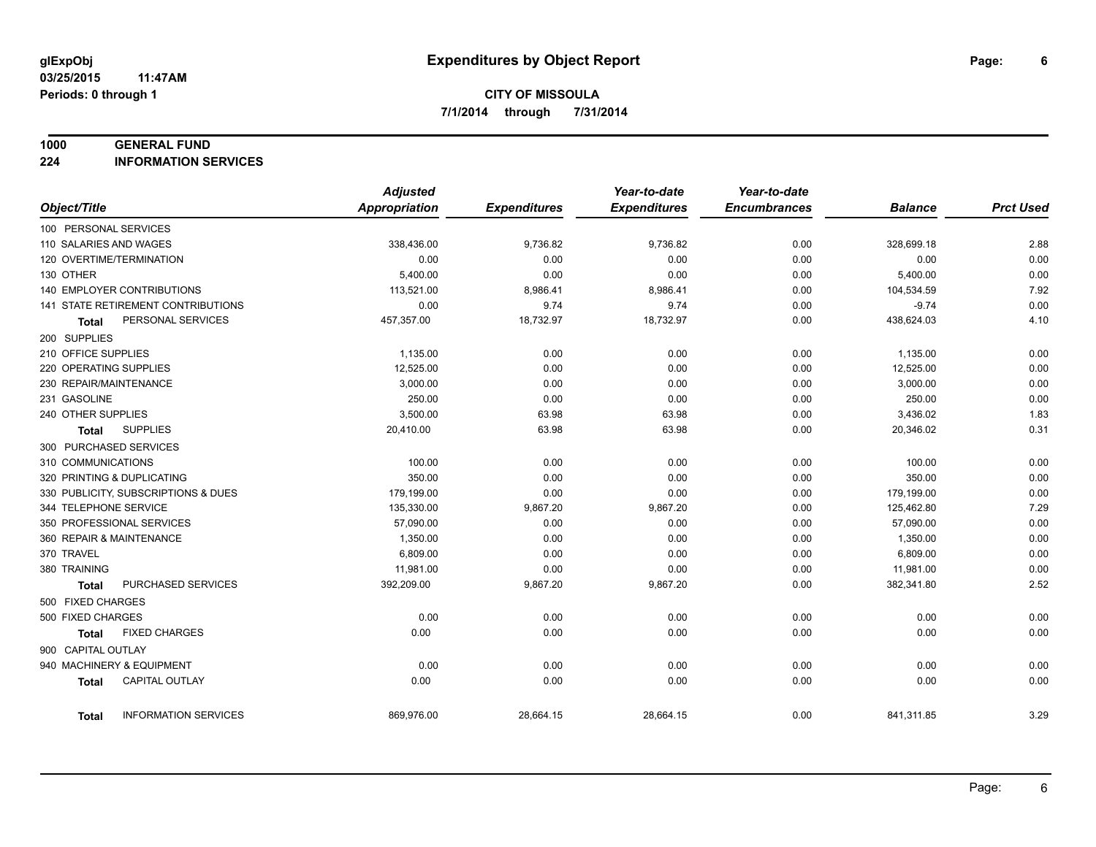#### **1000 GENERAL FUND**

**224 INFORMATION SERVICES**

|                          |                                     | <b>Adjusted</b> |                     | Year-to-date        | Year-to-date        |                |                  |
|--------------------------|-------------------------------------|-----------------|---------------------|---------------------|---------------------|----------------|------------------|
| Object/Title             |                                     | Appropriation   | <b>Expenditures</b> | <b>Expenditures</b> | <b>Encumbrances</b> | <b>Balance</b> | <b>Prct Used</b> |
| 100 PERSONAL SERVICES    |                                     |                 |                     |                     |                     |                |                  |
| 110 SALARIES AND WAGES   |                                     | 338,436.00      | 9,736.82            | 9,736.82            | 0.00                | 328,699.18     | 2.88             |
| 120 OVERTIME/TERMINATION |                                     | 0.00            | 0.00                | 0.00                | 0.00                | 0.00           | 0.00             |
| 130 OTHER                |                                     | 5,400.00        | 0.00                | 0.00                | 0.00                | 5,400.00       | 0.00             |
|                          | <b>140 EMPLOYER CONTRIBUTIONS</b>   | 113,521.00      | 8,986.41            | 8,986.41            | 0.00                | 104,534.59     | 7.92             |
|                          | 141 STATE RETIREMENT CONTRIBUTIONS  | 0.00            | 9.74                | 9.74                | 0.00                | $-9.74$        | 0.00             |
| Total                    | PERSONAL SERVICES                   | 457,357.00      | 18,732.97           | 18,732.97           | 0.00                | 438,624.03     | 4.10             |
| 200 SUPPLIES             |                                     |                 |                     |                     |                     |                |                  |
| 210 OFFICE SUPPLIES      |                                     | 1,135.00        | 0.00                | 0.00                | 0.00                | 1,135.00       | 0.00             |
| 220 OPERATING SUPPLIES   |                                     | 12.525.00       | 0.00                | 0.00                | 0.00                | 12,525.00      | 0.00             |
| 230 REPAIR/MAINTENANCE   |                                     | 3.000.00        | 0.00                | 0.00                | 0.00                | 3,000.00       | 0.00             |
| 231 GASOLINE             |                                     | 250.00          | 0.00                | 0.00                | 0.00                | 250.00         | 0.00             |
| 240 OTHER SUPPLIES       |                                     | 3,500.00        | 63.98               | 63.98               | 0.00                | 3,436.02       | 1.83             |
| Total                    | <b>SUPPLIES</b>                     | 20,410.00       | 63.98               | 63.98               | 0.00                | 20,346.02      | 0.31             |
| 300 PURCHASED SERVICES   |                                     |                 |                     |                     |                     |                |                  |
| 310 COMMUNICATIONS       |                                     | 100.00          | 0.00                | 0.00                | 0.00                | 100.00         | 0.00             |
|                          | 320 PRINTING & DUPLICATING          | 350.00          | 0.00                | 0.00                | 0.00                | 350.00         | 0.00             |
|                          | 330 PUBLICITY, SUBSCRIPTIONS & DUES | 179,199.00      | 0.00                | 0.00                | 0.00                | 179,199.00     | 0.00             |
| 344 TELEPHONE SERVICE    |                                     | 135,330.00      | 9,867.20            | 9,867.20            | 0.00                | 125,462.80     | 7.29             |
|                          | 350 PROFESSIONAL SERVICES           | 57,090.00       | 0.00                | 0.00                | 0.00                | 57,090.00      | 0.00             |
| 360 REPAIR & MAINTENANCE |                                     | 1,350.00        | 0.00                | 0.00                | 0.00                | 1,350.00       | 0.00             |
| 370 TRAVEL               |                                     | 6,809.00        | 0.00                | 0.00                | 0.00                | 6,809.00       | 0.00             |
| 380 TRAINING             |                                     | 11,981.00       | 0.00                | 0.00                | 0.00                | 11,981.00      | 0.00             |
| <b>Total</b>             | PURCHASED SERVICES                  | 392,209.00      | 9,867.20            | 9,867.20            | 0.00                | 382,341.80     | 2.52             |
| 500 FIXED CHARGES        |                                     |                 |                     |                     |                     |                |                  |
| 500 FIXED CHARGES        |                                     | 0.00            | 0.00                | 0.00                | 0.00                | 0.00           | 0.00             |
| <b>Total</b>             | <b>FIXED CHARGES</b>                | 0.00            | 0.00                | 0.00                | 0.00                | 0.00           | 0.00             |
| 900 CAPITAL OUTLAY       |                                     |                 |                     |                     |                     |                |                  |
|                          | 940 MACHINERY & EQUIPMENT           | 0.00            | 0.00                | 0.00                | 0.00                | 0.00           | 0.00             |
| <b>Total</b>             | <b>CAPITAL OUTLAY</b>               | 0.00            | 0.00                | 0.00                | 0.00                | 0.00           | 0.00             |
| <b>Total</b>             | <b>INFORMATION SERVICES</b>         | 869,976.00      | 28,664.15           | 28,664.15           | 0.00                | 841,311.85     | 3.29             |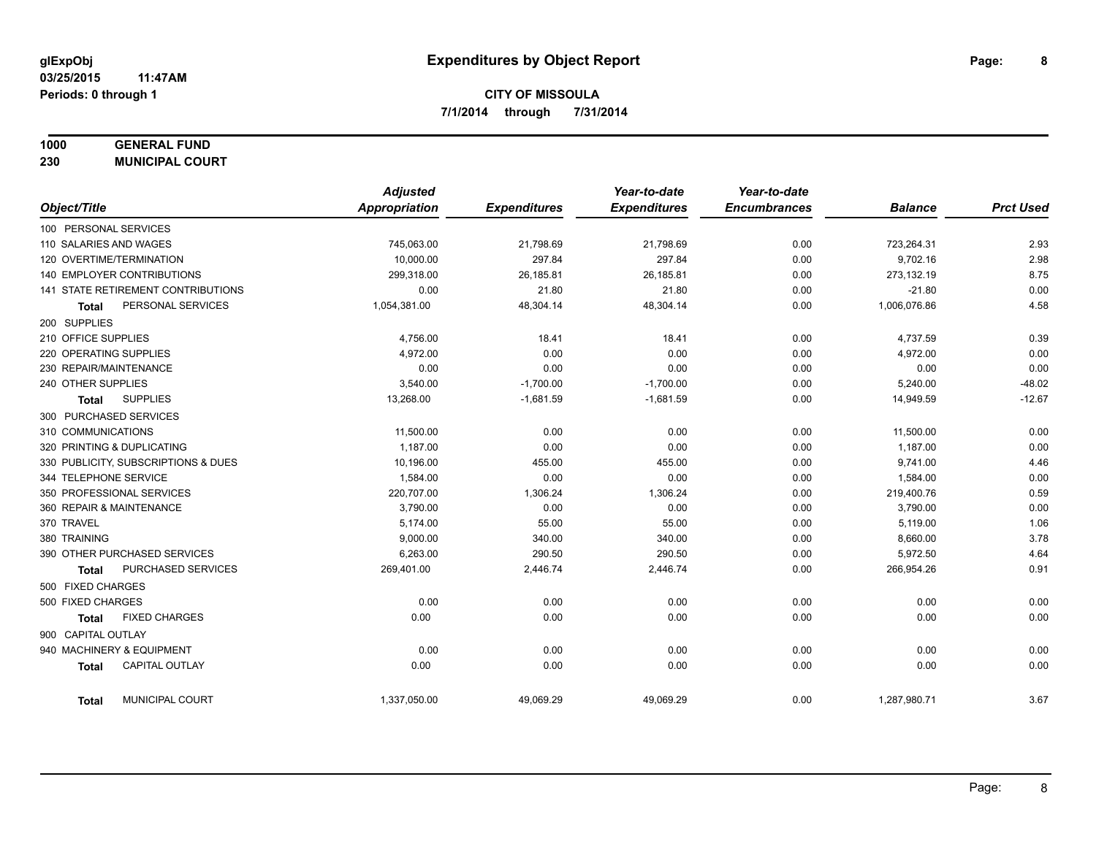## **1000 GENERAL FUND**

**230 MUNICIPAL COURT**

|                                        | <b>Adjusted</b> |                     | Year-to-date        | Year-to-date        |                |                  |
|----------------------------------------|-----------------|---------------------|---------------------|---------------------|----------------|------------------|
| Object/Title                           | Appropriation   | <b>Expenditures</b> | <b>Expenditures</b> | <b>Encumbrances</b> | <b>Balance</b> | <b>Prct Used</b> |
| 100 PERSONAL SERVICES                  |                 |                     |                     |                     |                |                  |
| 110 SALARIES AND WAGES                 | 745,063.00      | 21,798.69           | 21,798.69           | 0.00                | 723,264.31     | 2.93             |
| 120 OVERTIME/TERMINATION               | 10,000.00       | 297.84              | 297.84              | 0.00                | 9,702.16       | 2.98             |
| 140 EMPLOYER CONTRIBUTIONS             | 299,318.00      | 26,185.81           | 26,185.81           | 0.00                | 273,132.19     | 8.75             |
| 141 STATE RETIREMENT CONTRIBUTIONS     | 0.00            | 21.80               | 21.80               | 0.00                | $-21.80$       | 0.00             |
| PERSONAL SERVICES<br><b>Total</b>      | 1,054,381.00    | 48,304.14           | 48,304.14           | 0.00                | 1,006,076.86   | 4.58             |
| 200 SUPPLIES                           |                 |                     |                     |                     |                |                  |
| 210 OFFICE SUPPLIES                    | 4,756.00        | 18.41               | 18.41               | 0.00                | 4,737.59       | 0.39             |
| 220 OPERATING SUPPLIES                 | 4,972.00        | 0.00                | 0.00                | 0.00                | 4,972.00       | 0.00             |
| 230 REPAIR/MAINTENANCE                 | 0.00            | 0.00                | 0.00                | 0.00                | 0.00           | 0.00             |
| 240 OTHER SUPPLIES                     | 3,540.00        | $-1,700.00$         | $-1,700.00$         | 0.00                | 5,240.00       | $-48.02$         |
| <b>SUPPLIES</b><br><b>Total</b>        | 13,268.00       | $-1,681.59$         | $-1,681.59$         | 0.00                | 14,949.59      | $-12.67$         |
| 300 PURCHASED SERVICES                 |                 |                     |                     |                     |                |                  |
| 310 COMMUNICATIONS                     | 11,500.00       | 0.00                | 0.00                | 0.00                | 11,500.00      | 0.00             |
| 320 PRINTING & DUPLICATING             | 1,187.00        | 0.00                | 0.00                | 0.00                | 1,187.00       | 0.00             |
| 330 PUBLICITY, SUBSCRIPTIONS & DUES    | 10,196.00       | 455.00              | 455.00              | 0.00                | 9,741.00       | 4.46             |
| 344 TELEPHONE SERVICE                  | 1,584.00        | 0.00                | 0.00                | 0.00                | 1,584.00       | 0.00             |
| 350 PROFESSIONAL SERVICES              | 220,707.00      | 1,306.24            | 1,306.24            | 0.00                | 219,400.76     | 0.59             |
| 360 REPAIR & MAINTENANCE               | 3,790.00        | 0.00                | 0.00                | 0.00                | 3,790.00       | 0.00             |
| 370 TRAVEL                             | 5,174.00        | 55.00               | 55.00               | 0.00                | 5,119.00       | 1.06             |
| 380 TRAINING                           | 9,000.00        | 340.00              | 340.00              | 0.00                | 8,660.00       | 3.78             |
| 390 OTHER PURCHASED SERVICES           | 6,263.00        | 290.50              | 290.50              | 0.00                | 5,972.50       | 4.64             |
| PURCHASED SERVICES<br><b>Total</b>     | 269,401.00      | 2,446.74            | 2,446.74            | 0.00                | 266,954.26     | 0.91             |
| 500 FIXED CHARGES                      |                 |                     |                     |                     |                |                  |
| 500 FIXED CHARGES                      | 0.00            | 0.00                | 0.00                | 0.00                | 0.00           | 0.00             |
| <b>FIXED CHARGES</b><br><b>Total</b>   | 0.00            | 0.00                | 0.00                | 0.00                | 0.00           | 0.00             |
| 900 CAPITAL OUTLAY                     |                 |                     |                     |                     |                |                  |
| 940 MACHINERY & EQUIPMENT              | 0.00            | 0.00                | 0.00                | 0.00                | 0.00           | 0.00             |
| CAPITAL OUTLAY<br><b>Total</b>         | 0.00            | 0.00                | 0.00                | 0.00                | 0.00           | 0.00             |
| <b>MUNICIPAL COURT</b><br><b>Total</b> | 1,337,050.00    | 49,069.29           | 49,069.29           | 0.00                | 1,287,980.71   | 3.67             |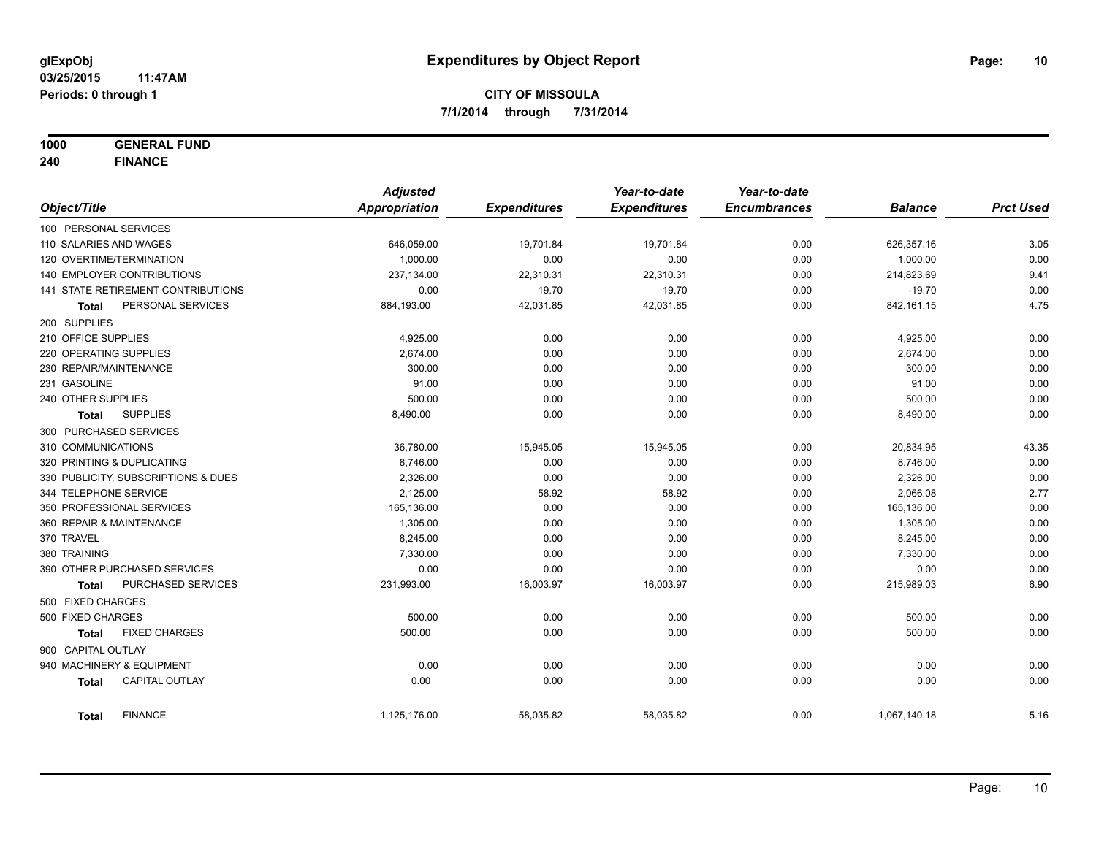**1000 GENERAL FUND**

**240 FINANCE**

|                            |                                     | <b>Adjusted</b>      |                     | Year-to-date        | Year-to-date        |                |                  |
|----------------------------|-------------------------------------|----------------------|---------------------|---------------------|---------------------|----------------|------------------|
| Object/Title               |                                     | <b>Appropriation</b> | <b>Expenditures</b> | <b>Expenditures</b> | <b>Encumbrances</b> | <b>Balance</b> | <b>Prct Used</b> |
| 100 PERSONAL SERVICES      |                                     |                      |                     |                     |                     |                |                  |
| 110 SALARIES AND WAGES     |                                     | 646,059.00           | 19,701.84           | 19,701.84           | 0.00                | 626,357.16     | 3.05             |
| 120 OVERTIME/TERMINATION   |                                     | 1,000.00             | 0.00                | 0.00                | 0.00                | 1,000.00       | 0.00             |
| 140 EMPLOYER CONTRIBUTIONS |                                     | 237,134.00           | 22,310.31           | 22,310.31           | 0.00                | 214,823.69     | 9.41             |
|                            | 141 STATE RETIREMENT CONTRIBUTIONS  | 0.00                 | 19.70               | 19.70               | 0.00                | $-19.70$       | 0.00             |
| <b>Total</b>               | PERSONAL SERVICES                   | 884,193.00           | 42,031.85           | 42,031.85           | 0.00                | 842,161.15     | 4.75             |
| 200 SUPPLIES               |                                     |                      |                     |                     |                     |                |                  |
| 210 OFFICE SUPPLIES        |                                     | 4,925.00             | 0.00                | 0.00                | 0.00                | 4,925.00       | 0.00             |
| 220 OPERATING SUPPLIES     |                                     | 2,674.00             | 0.00                | 0.00                | 0.00                | 2,674.00       | 0.00             |
| 230 REPAIR/MAINTENANCE     |                                     | 300.00               | 0.00                | 0.00                | 0.00                | 300.00         | 0.00             |
| 231 GASOLINE               |                                     | 91.00                | 0.00                | 0.00                | 0.00                | 91.00          | 0.00             |
| 240 OTHER SUPPLIES         |                                     | 500.00               | 0.00                | 0.00                | 0.00                | 500.00         | 0.00             |
| <b>Total</b>               | <b>SUPPLIES</b>                     | 8,490.00             | 0.00                | 0.00                | 0.00                | 8,490.00       | 0.00             |
| 300 PURCHASED SERVICES     |                                     |                      |                     |                     |                     |                |                  |
| 310 COMMUNICATIONS         |                                     | 36,780.00            | 15,945.05           | 15,945.05           | 0.00                | 20,834.95      | 43.35            |
| 320 PRINTING & DUPLICATING |                                     | 8.746.00             | 0.00                | 0.00                | 0.00                | 8,746.00       | 0.00             |
|                            | 330 PUBLICITY, SUBSCRIPTIONS & DUES | 2,326.00             | 0.00                | 0.00                | 0.00                | 2,326.00       | 0.00             |
| 344 TELEPHONE SERVICE      |                                     | 2,125.00             | 58.92               | 58.92               | 0.00                | 2,066.08       | 2.77             |
| 350 PROFESSIONAL SERVICES  |                                     | 165,136.00           | 0.00                | 0.00                | 0.00                | 165,136.00     | 0.00             |
| 360 REPAIR & MAINTENANCE   |                                     | 1,305.00             | 0.00                | 0.00                | 0.00                | 1,305.00       | 0.00             |
| 370 TRAVEL                 |                                     | 8,245.00             | 0.00                | 0.00                | 0.00                | 8,245.00       | 0.00             |
| 380 TRAINING               |                                     | 7,330.00             | 0.00                | 0.00                | 0.00                | 7,330.00       | 0.00             |
|                            | 390 OTHER PURCHASED SERVICES        | 0.00                 | 0.00                | 0.00                | 0.00                | 0.00           | 0.00             |
| <b>Total</b>               | PURCHASED SERVICES                  | 231,993.00           | 16,003.97           | 16,003.97           | 0.00                | 215,989.03     | 6.90             |
| 500 FIXED CHARGES          |                                     |                      |                     |                     |                     |                |                  |
| 500 FIXED CHARGES          |                                     | 500.00               | 0.00                | 0.00                | 0.00                | 500.00         | 0.00             |
| <b>Total</b>               | <b>FIXED CHARGES</b>                | 500.00               | 0.00                | 0.00                | 0.00                | 500.00         | 0.00             |
| 900 CAPITAL OUTLAY         |                                     |                      |                     |                     |                     |                |                  |
| 940 MACHINERY & EQUIPMENT  |                                     | 0.00                 | 0.00                | 0.00                | 0.00                | 0.00           | 0.00             |
| <b>Total</b>               | <b>CAPITAL OUTLAY</b>               | 0.00                 | 0.00                | 0.00                | 0.00                | 0.00           | 0.00             |
| <b>Total</b>               | <b>FINANCE</b>                      | 1,125,176.00         | 58,035.82           | 58,035.82           | 0.00                | 1,067,140.18   | 5.16             |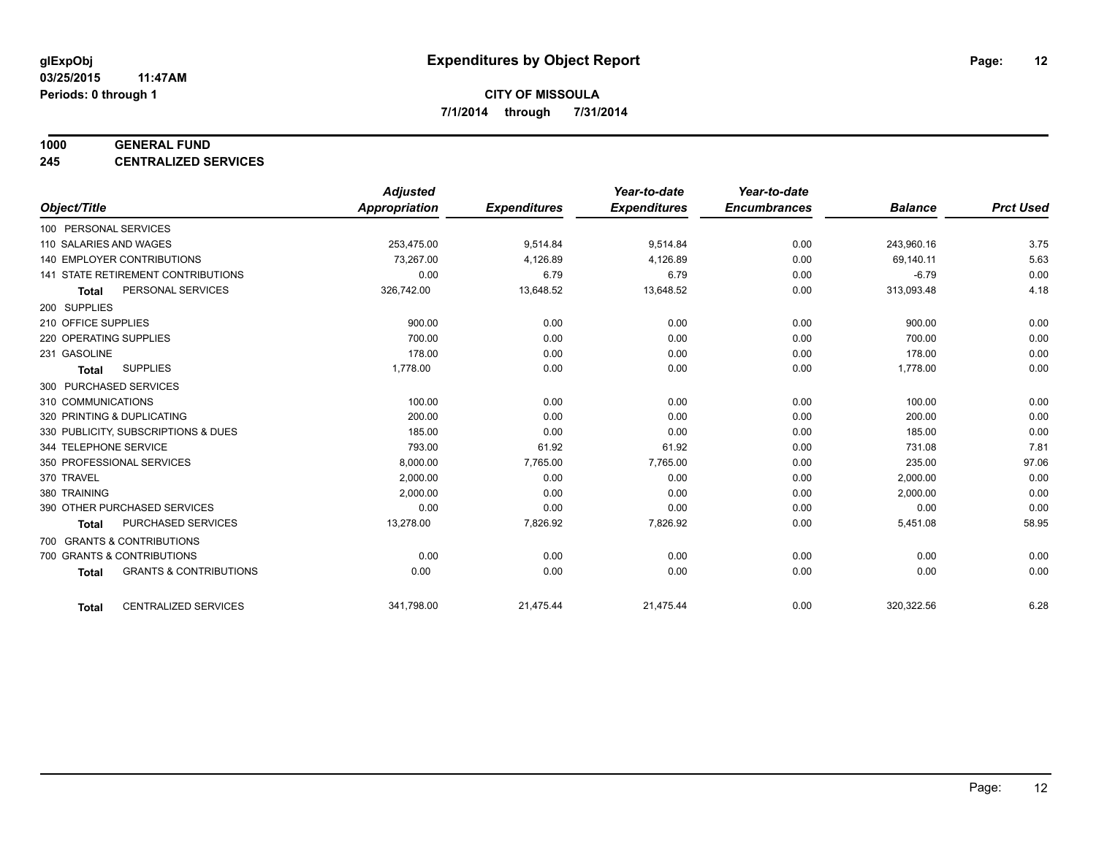#### **1000 GENERAL FUND**

**245 CENTRALIZED SERVICES**

|                        |                                     | <b>Adjusted</b> |                     | Year-to-date        | Year-to-date        |                |                  |
|------------------------|-------------------------------------|-----------------|---------------------|---------------------|---------------------|----------------|------------------|
| Object/Title           |                                     | Appropriation   | <b>Expenditures</b> | <b>Expenditures</b> | <b>Encumbrances</b> | <b>Balance</b> | <b>Prct Used</b> |
| 100 PERSONAL SERVICES  |                                     |                 |                     |                     |                     |                |                  |
| 110 SALARIES AND WAGES |                                     | 253,475.00      | 9,514.84            | 9,514.84            | 0.00                | 243,960.16     | 3.75             |
|                        | 140 EMPLOYER CONTRIBUTIONS          | 73.267.00       | 4,126.89            | 4,126.89            | 0.00                | 69,140.11      | 5.63             |
|                        | 141 STATE RETIREMENT CONTRIBUTIONS  | 0.00            | 6.79                | 6.79                | 0.00                | $-6.79$        | 0.00             |
| <b>Total</b>           | PERSONAL SERVICES                   | 326,742.00      | 13,648.52           | 13,648.52           | 0.00                | 313,093.48     | 4.18             |
| 200 SUPPLIES           |                                     |                 |                     |                     |                     |                |                  |
| 210 OFFICE SUPPLIES    |                                     | 900.00          | 0.00                | 0.00                | 0.00                | 900.00         | 0.00             |
| 220 OPERATING SUPPLIES |                                     | 700.00          | 0.00                | 0.00                | 0.00                | 700.00         | 0.00             |
| 231 GASOLINE           |                                     | 178.00          | 0.00                | 0.00                | 0.00                | 178.00         | 0.00             |
| <b>Total</b>           | <b>SUPPLIES</b>                     | 1,778.00        | 0.00                | 0.00                | 0.00                | 1,778.00       | 0.00             |
| 300 PURCHASED SERVICES |                                     |                 |                     |                     |                     |                |                  |
| 310 COMMUNICATIONS     |                                     | 100.00          | 0.00                | 0.00                | 0.00                | 100.00         | 0.00             |
|                        | 320 PRINTING & DUPLICATING          | 200.00          | 0.00                | 0.00                | 0.00                | 200.00         | 0.00             |
|                        | 330 PUBLICITY, SUBSCRIPTIONS & DUES | 185.00          | 0.00                | 0.00                | 0.00                | 185.00         | 0.00             |
| 344 TELEPHONE SERVICE  |                                     | 793.00          | 61.92               | 61.92               | 0.00                | 731.08         | 7.81             |
|                        | 350 PROFESSIONAL SERVICES           | 8,000.00        | 7,765.00            | 7,765.00            | 0.00                | 235.00         | 97.06            |
| 370 TRAVEL             |                                     | 2,000.00        | 0.00                | 0.00                | 0.00                | 2,000.00       | 0.00             |
| 380 TRAINING           |                                     | 2,000.00        | 0.00                | 0.00                | 0.00                | 2,000.00       | 0.00             |
|                        | 390 OTHER PURCHASED SERVICES        | 0.00            | 0.00                | 0.00                | 0.00                | 0.00           | 0.00             |
| <b>Total</b>           | <b>PURCHASED SERVICES</b>           | 13,278.00       | 7,826.92            | 7,826.92            | 0.00                | 5,451.08       | 58.95            |
|                        | 700 GRANTS & CONTRIBUTIONS          |                 |                     |                     |                     |                |                  |
|                        | 700 GRANTS & CONTRIBUTIONS          | 0.00            | 0.00                | 0.00                | 0.00                | 0.00           | 0.00             |
| <b>Total</b>           | <b>GRANTS &amp; CONTRIBUTIONS</b>   | 0.00            | 0.00                | 0.00                | 0.00                | 0.00           | 0.00             |
|                        |                                     |                 |                     |                     |                     |                |                  |
| <b>Total</b>           | <b>CENTRALIZED SERVICES</b>         | 341,798.00      | 21,475.44           | 21,475.44           | 0.00                | 320,322.56     | 6.28             |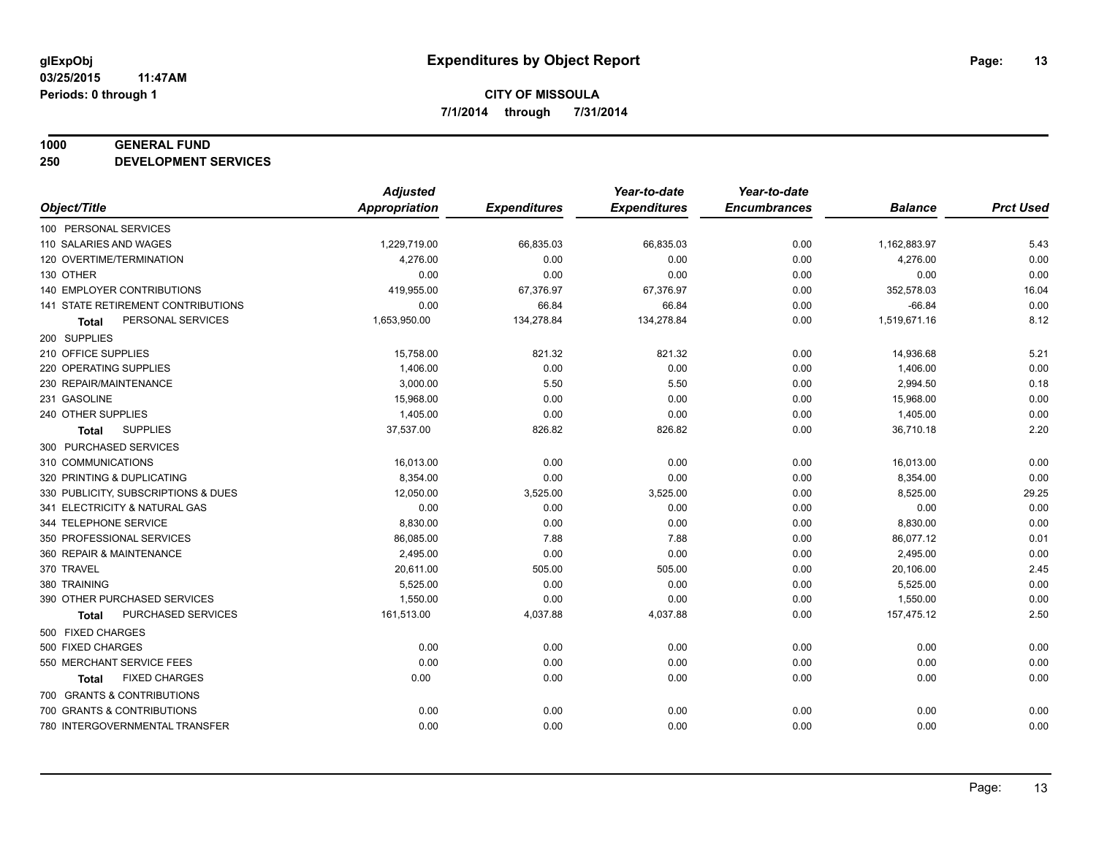#### **1000 GENERAL FUND**

**250 DEVELOPMENT SERVICES**

|                                     | <b>Adjusted</b>      |                     | Year-to-date        | Year-to-date        |                |                  |
|-------------------------------------|----------------------|---------------------|---------------------|---------------------|----------------|------------------|
| Object/Title                        | <b>Appropriation</b> | <b>Expenditures</b> | <b>Expenditures</b> | <b>Encumbrances</b> | <b>Balance</b> | <b>Prct Used</b> |
| 100 PERSONAL SERVICES               |                      |                     |                     |                     |                |                  |
| 110 SALARIES AND WAGES              | 1,229,719.00         | 66,835.03           | 66,835.03           | 0.00                | 1,162,883.97   | 5.43             |
| 120 OVERTIME/TERMINATION            | 4,276.00             | 0.00                | 0.00                | 0.00                | 4,276.00       | 0.00             |
| 130 OTHER                           | 0.00                 | 0.00                | 0.00                | 0.00                | 0.00           | 0.00             |
| 140 EMPLOYER CONTRIBUTIONS          | 419,955.00           | 67,376.97           | 67,376.97           | 0.00                | 352,578.03     | 16.04            |
| 141 STATE RETIREMENT CONTRIBUTIONS  | 0.00                 | 66.84               | 66.84               | 0.00                | $-66.84$       | 0.00             |
| PERSONAL SERVICES<br><b>Total</b>   | 1,653,950.00         | 134,278.84          | 134,278.84          | 0.00                | 1,519,671.16   | 8.12             |
| 200 SUPPLIES                        |                      |                     |                     |                     |                |                  |
| 210 OFFICE SUPPLIES                 | 15,758.00            | 821.32              | 821.32              | 0.00                | 14,936.68      | 5.21             |
| 220 OPERATING SUPPLIES              | 1,406.00             | 0.00                | 0.00                | 0.00                | 1,406.00       | 0.00             |
| 230 REPAIR/MAINTENANCE              | 3,000.00             | 5.50                | 5.50                | 0.00                | 2,994.50       | 0.18             |
| 231 GASOLINE                        | 15,968.00            | 0.00                | 0.00                | 0.00                | 15,968.00      | 0.00             |
| 240 OTHER SUPPLIES                  | 1,405.00             | 0.00                | 0.00                | 0.00                | 1,405.00       | 0.00             |
| <b>SUPPLIES</b><br>Total            | 37,537.00            | 826.82              | 826.82              | 0.00                | 36,710.18      | 2.20             |
| 300 PURCHASED SERVICES              |                      |                     |                     |                     |                |                  |
| 310 COMMUNICATIONS                  | 16,013.00            | 0.00                | 0.00                | 0.00                | 16,013.00      | 0.00             |
| 320 PRINTING & DUPLICATING          | 8,354.00             | 0.00                | 0.00                | 0.00                | 8,354.00       | 0.00             |
| 330 PUBLICITY, SUBSCRIPTIONS & DUES | 12,050.00            | 3,525.00            | 3,525.00            | 0.00                | 8,525.00       | 29.25            |
| 341 ELECTRICITY & NATURAL GAS       | 0.00                 | 0.00                | 0.00                | 0.00                | 0.00           | 0.00             |
| 344 TELEPHONE SERVICE               | 8,830.00             | 0.00                | 0.00                | 0.00                | 8,830.00       | 0.00             |
| 350 PROFESSIONAL SERVICES           | 86,085.00            | 7.88                | 7.88                | 0.00                | 86,077.12      | 0.01             |
| 360 REPAIR & MAINTENANCE            | 2,495.00             | 0.00                | 0.00                | 0.00                | 2,495.00       | 0.00             |
| 370 TRAVEL                          | 20,611.00            | 505.00              | 505.00              | 0.00                | 20,106.00      | 2.45             |
| 380 TRAINING                        | 5,525.00             | 0.00                | 0.00                | 0.00                | 5,525.00       | 0.00             |
| 390 OTHER PURCHASED SERVICES        | 1,550.00             | 0.00                | 0.00                | 0.00                | 1,550.00       | 0.00             |
| PURCHASED SERVICES<br><b>Total</b>  | 161,513.00           | 4,037.88            | 4,037.88            | 0.00                | 157,475.12     | 2.50             |
| 500 FIXED CHARGES                   |                      |                     |                     |                     |                |                  |
| 500 FIXED CHARGES                   | 0.00                 | 0.00                | 0.00                | 0.00                | 0.00           | 0.00             |
| 550 MERCHANT SERVICE FEES           | 0.00                 | 0.00                | 0.00                | 0.00                | 0.00           | 0.00             |
| <b>FIXED CHARGES</b><br>Total       | 0.00                 | 0.00                | 0.00                | 0.00                | 0.00           | 0.00             |
| 700 GRANTS & CONTRIBUTIONS          |                      |                     |                     |                     |                |                  |
| 700 GRANTS & CONTRIBUTIONS          | 0.00                 | 0.00                | 0.00                | 0.00                | 0.00           | 0.00             |
| 780 INTERGOVERNMENTAL TRANSFER      | 0.00                 | 0.00                | 0.00                | 0.00                | 0.00           | 0.00             |
|                                     |                      |                     |                     |                     |                |                  |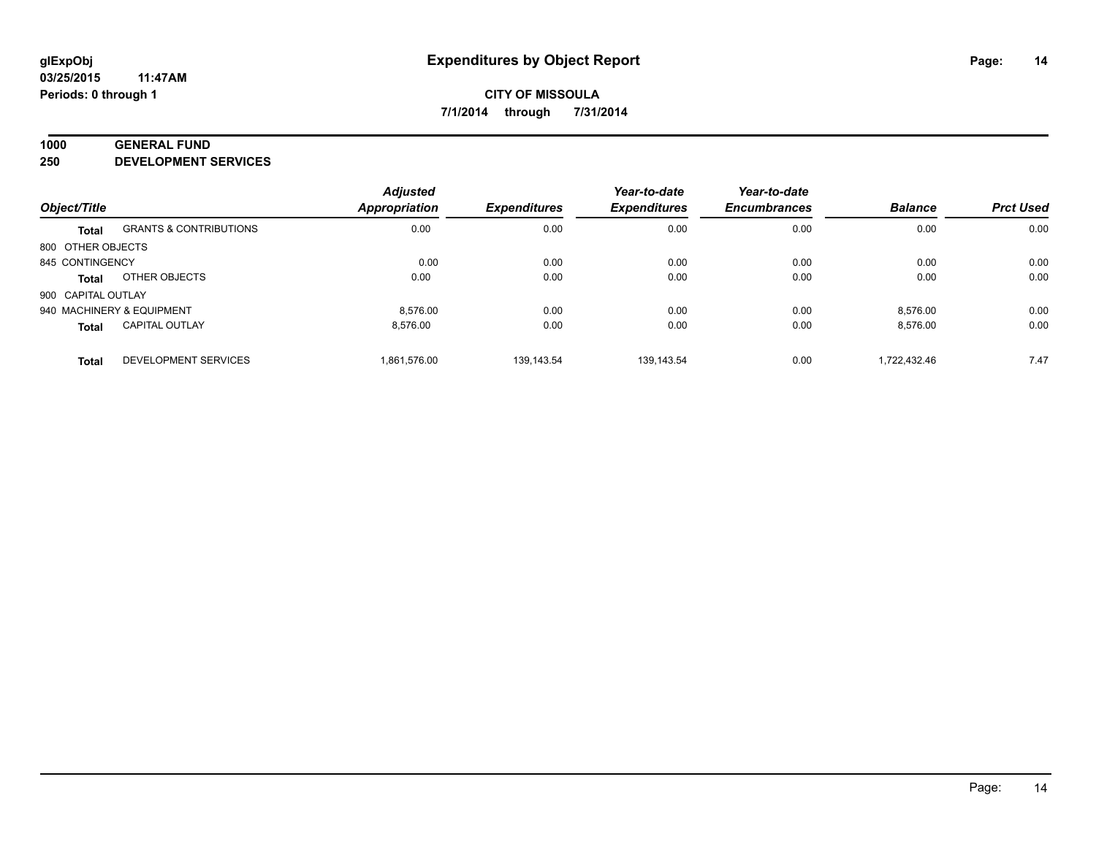#### **1000 GENERAL FUND**

**250 DEVELOPMENT SERVICES**

|                           |                                   | <b>Adjusted</b>      |                     | Year-to-date        | Year-to-date        |                |                  |
|---------------------------|-----------------------------------|----------------------|---------------------|---------------------|---------------------|----------------|------------------|
| Object/Title              |                                   | <b>Appropriation</b> | <b>Expenditures</b> | <b>Expenditures</b> | <b>Encumbrances</b> | <b>Balance</b> | <b>Prct Used</b> |
| <b>Total</b>              | <b>GRANTS &amp; CONTRIBUTIONS</b> | 0.00                 | 0.00                | 0.00                | 0.00                | 0.00           | 0.00             |
| 800 OTHER OBJECTS         |                                   |                      |                     |                     |                     |                |                  |
| 845 CONTINGENCY           |                                   | 0.00                 | 0.00                | 0.00                | 0.00                | 0.00           | 0.00             |
| Total                     | OTHER OBJECTS                     | 0.00                 | 0.00                | 0.00                | 0.00                | 0.00           | 0.00             |
| 900 CAPITAL OUTLAY        |                                   |                      |                     |                     |                     |                |                  |
| 940 MACHINERY & EQUIPMENT |                                   | 8.576.00             | 0.00                | 0.00                | 0.00                | 8,576.00       | 0.00             |
| <b>Total</b>              | <b>CAPITAL OUTLAY</b>             | 8.576.00             | 0.00                | 0.00                | 0.00                | 8,576.00       | 0.00             |
| <b>Total</b>              | <b>DEVELOPMENT SERVICES</b>       | 1.861.576.00         | 139.143.54          | 139.143.54          | 0.00                | 1.722.432.46   | 7.47             |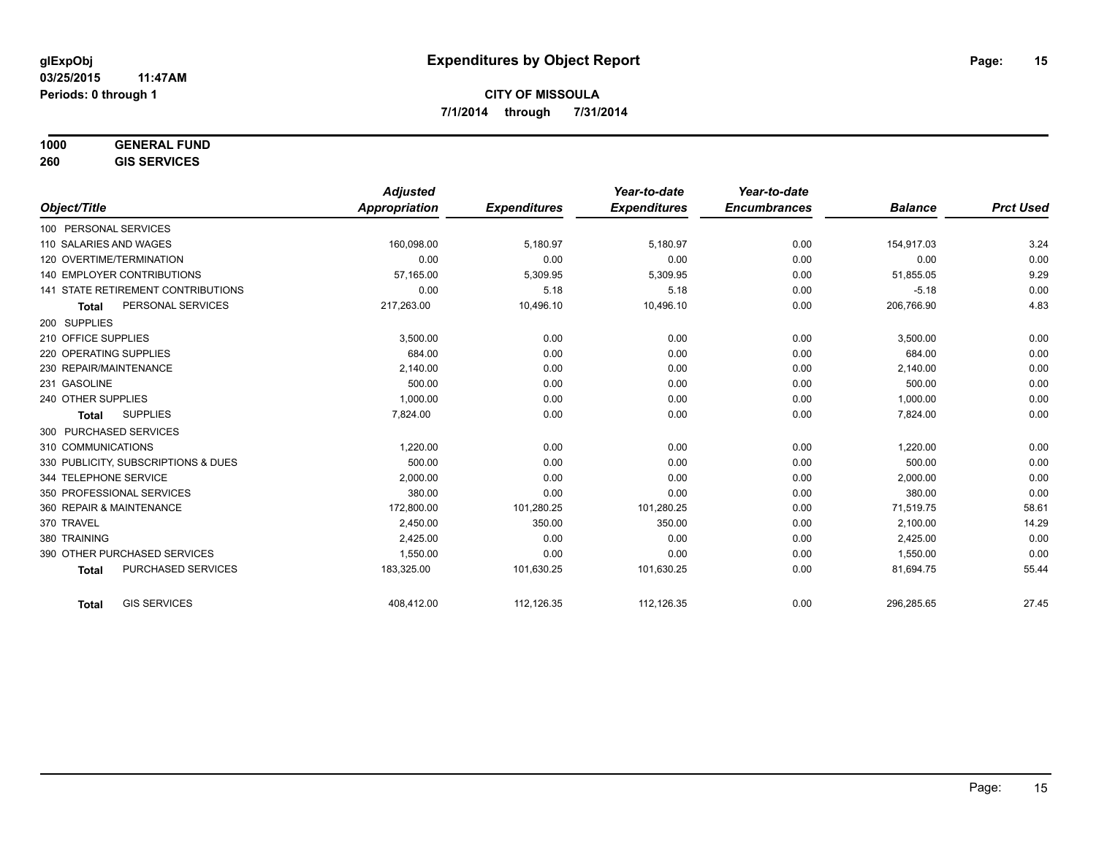## **1000 GENERAL FUND**

**260 GIS SERVICES**

|                                     | <b>Adjusted</b> |                     | Year-to-date        | Year-to-date        |                |                  |
|-------------------------------------|-----------------|---------------------|---------------------|---------------------|----------------|------------------|
| Object/Title                        | Appropriation   | <b>Expenditures</b> | <b>Expenditures</b> | <b>Encumbrances</b> | <b>Balance</b> | <b>Prct Used</b> |
| 100 PERSONAL SERVICES               |                 |                     |                     |                     |                |                  |
| 110 SALARIES AND WAGES              | 160,098.00      | 5,180.97            | 5,180.97            | 0.00                | 154,917.03     | 3.24             |
| 120 OVERTIME/TERMINATION            | 0.00            | 0.00                | 0.00                | 0.00                | 0.00           | 0.00             |
| <b>140 EMPLOYER CONTRIBUTIONS</b>   | 57,165.00       | 5,309.95            | 5,309.95            | 0.00                | 51,855.05      | 9.29             |
| 141 STATE RETIREMENT CONTRIBUTIONS  | 0.00            | 5.18                | 5.18                | 0.00                | $-5.18$        | 0.00             |
| PERSONAL SERVICES<br><b>Total</b>   | 217,263.00      | 10,496.10           | 10,496.10           | 0.00                | 206,766.90     | 4.83             |
| 200 SUPPLIES                        |                 |                     |                     |                     |                |                  |
| 210 OFFICE SUPPLIES                 | 3,500.00        | 0.00                | 0.00                | 0.00                | 3,500.00       | 0.00             |
| 220 OPERATING SUPPLIES              | 684.00          | 0.00                | 0.00                | 0.00                | 684.00         | 0.00             |
| 230 REPAIR/MAINTENANCE              | 2,140.00        | 0.00                | 0.00                | 0.00                | 2,140.00       | 0.00             |
| 231 GASOLINE                        | 500.00          | 0.00                | 0.00                | 0.00                | 500.00         | 0.00             |
| 240 OTHER SUPPLIES                  | 1,000.00        | 0.00                | 0.00                | 0.00                | 1,000.00       | 0.00             |
| <b>SUPPLIES</b><br><b>Total</b>     | 7,824.00        | 0.00                | 0.00                | 0.00                | 7,824.00       | 0.00             |
| 300 PURCHASED SERVICES              |                 |                     |                     |                     |                |                  |
| 310 COMMUNICATIONS                  | 1,220.00        | 0.00                | 0.00                | 0.00                | 1,220.00       | 0.00             |
| 330 PUBLICITY, SUBSCRIPTIONS & DUES | 500.00          | 0.00                | 0.00                | 0.00                | 500.00         | 0.00             |
| 344 TELEPHONE SERVICE               | 2,000.00        | 0.00                | 0.00                | 0.00                | 2,000.00       | 0.00             |
| 350 PROFESSIONAL SERVICES           | 380.00          | 0.00                | 0.00                | 0.00                | 380.00         | 0.00             |
| 360 REPAIR & MAINTENANCE            | 172,800.00      | 101,280.25          | 101,280.25          | 0.00                | 71,519.75      | 58.61            |
| 370 TRAVEL                          | 2,450.00        | 350.00              | 350.00              | 0.00                | 2,100.00       | 14.29            |
| 380 TRAINING                        | 2,425.00        | 0.00                | 0.00                | 0.00                | 2,425.00       | 0.00             |
| 390 OTHER PURCHASED SERVICES        | 1,550.00        | 0.00                | 0.00                | 0.00                | 1,550.00       | 0.00             |
| PURCHASED SERVICES<br><b>Total</b>  | 183,325.00      | 101,630.25          | 101,630.25          | 0.00                | 81,694.75      | 55.44            |
| <b>GIS SERVICES</b><br><b>Total</b> | 408,412.00      | 112,126.35          | 112,126.35          | 0.00                | 296,285.65     | 27.45            |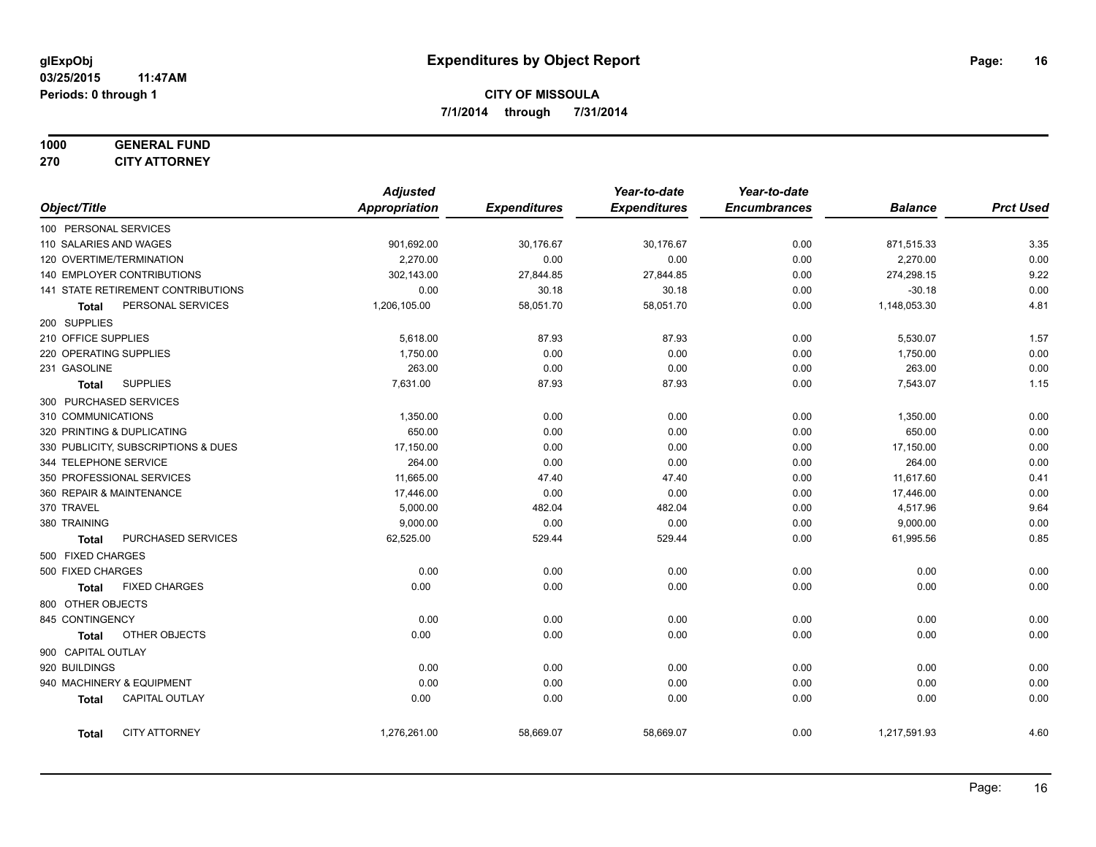# **1000 GENERAL FUND**

**270 CITY ATTORNEY**

|                     |                                     | <b>Adjusted</b> |                     | Year-to-date        | Year-to-date        |                |                  |
|---------------------|-------------------------------------|-----------------|---------------------|---------------------|---------------------|----------------|------------------|
| Object/Title        |                                     | Appropriation   | <b>Expenditures</b> | <b>Expenditures</b> | <b>Encumbrances</b> | <b>Balance</b> | <b>Prct Used</b> |
|                     | 100 PERSONAL SERVICES               |                 |                     |                     |                     |                |                  |
|                     | 110 SALARIES AND WAGES              | 901,692.00      | 30,176.67           | 30,176.67           | 0.00                | 871,515.33     | 3.35             |
|                     | 120 OVERTIME/TERMINATION            | 2,270.00        | 0.00                | 0.00                | 0.00                | 2,270.00       | 0.00             |
|                     | 140 EMPLOYER CONTRIBUTIONS          | 302,143.00      | 27,844.85           | 27,844.85           | 0.00                | 274,298.15     | 9.22             |
|                     | 141 STATE RETIREMENT CONTRIBUTIONS  | 0.00            | 30.18               | 30.18               | 0.00                | $-30.18$       | 0.00             |
| Total               | PERSONAL SERVICES                   | 1,206,105.00    | 58,051.70           | 58,051.70           | 0.00                | 1,148,053.30   | 4.81             |
| 200 SUPPLIES        |                                     |                 |                     |                     |                     |                |                  |
| 210 OFFICE SUPPLIES |                                     | 5,618.00        | 87.93               | 87.93               | 0.00                | 5,530.07       | 1.57             |
|                     | 220 OPERATING SUPPLIES              | 1,750.00        | 0.00                | 0.00                | 0.00                | 1,750.00       | 0.00             |
| 231 GASOLINE        |                                     | 263.00          | 0.00                | 0.00                | 0.00                | 263.00         | 0.00             |
| <b>Total</b>        | <b>SUPPLIES</b>                     | 7,631.00        | 87.93               | 87.93               | 0.00                | 7,543.07       | 1.15             |
|                     | 300 PURCHASED SERVICES              |                 |                     |                     |                     |                |                  |
| 310 COMMUNICATIONS  |                                     | 1,350.00        | 0.00                | 0.00                | 0.00                | 1,350.00       | 0.00             |
|                     | 320 PRINTING & DUPLICATING          | 650.00          | 0.00                | 0.00                | 0.00                | 650.00         | 0.00             |
|                     | 330 PUBLICITY, SUBSCRIPTIONS & DUES | 17,150.00       | 0.00                | 0.00                | 0.00                | 17,150.00      | 0.00             |
|                     | 344 TELEPHONE SERVICE               | 264.00          | 0.00                | 0.00                | 0.00                | 264.00         | 0.00             |
|                     | 350 PROFESSIONAL SERVICES           | 11,665.00       | 47.40               | 47.40               | 0.00                | 11,617.60      | 0.41             |
|                     | 360 REPAIR & MAINTENANCE            | 17,446.00       | 0.00                | 0.00                | 0.00                | 17,446.00      | 0.00             |
| 370 TRAVEL          |                                     | 5,000.00        | 482.04              | 482.04              | 0.00                | 4,517.96       | 9.64             |
| 380 TRAINING        |                                     | 9,000.00        | 0.00                | 0.00                | 0.00                | 9,000.00       | 0.00             |
| <b>Total</b>        | PURCHASED SERVICES                  | 62,525.00       | 529.44              | 529.44              | 0.00                | 61,995.56      | 0.85             |
| 500 FIXED CHARGES   |                                     |                 |                     |                     |                     |                |                  |
| 500 FIXED CHARGES   |                                     | 0.00            | 0.00                | 0.00                | 0.00                | 0.00           | 0.00             |
| <b>Total</b>        | <b>FIXED CHARGES</b>                | 0.00            | 0.00                | 0.00                | 0.00                | 0.00           | 0.00             |
| 800 OTHER OBJECTS   |                                     |                 |                     |                     |                     |                |                  |
| 845 CONTINGENCY     |                                     | 0.00            | 0.00                | 0.00                | 0.00                | 0.00           | 0.00             |
| <b>Total</b>        | OTHER OBJECTS                       | 0.00            | 0.00                | 0.00                | 0.00                | 0.00           | 0.00             |
| 900 CAPITAL OUTLAY  |                                     |                 |                     |                     |                     |                |                  |
| 920 BUILDINGS       |                                     | 0.00            | 0.00                | 0.00                | 0.00                | 0.00           | 0.00             |
|                     | 940 MACHINERY & EQUIPMENT           | 0.00            | 0.00                | 0.00                | 0.00                | 0.00           | 0.00             |
| <b>Total</b>        | CAPITAL OUTLAY                      | 0.00            | 0.00                | 0.00                | 0.00                | 0.00           | 0.00             |
| <b>Total</b>        | <b>CITY ATTORNEY</b>                | 1,276,261.00    | 58,669.07           | 58,669.07           | 0.00                | 1,217,591.93   | 4.60             |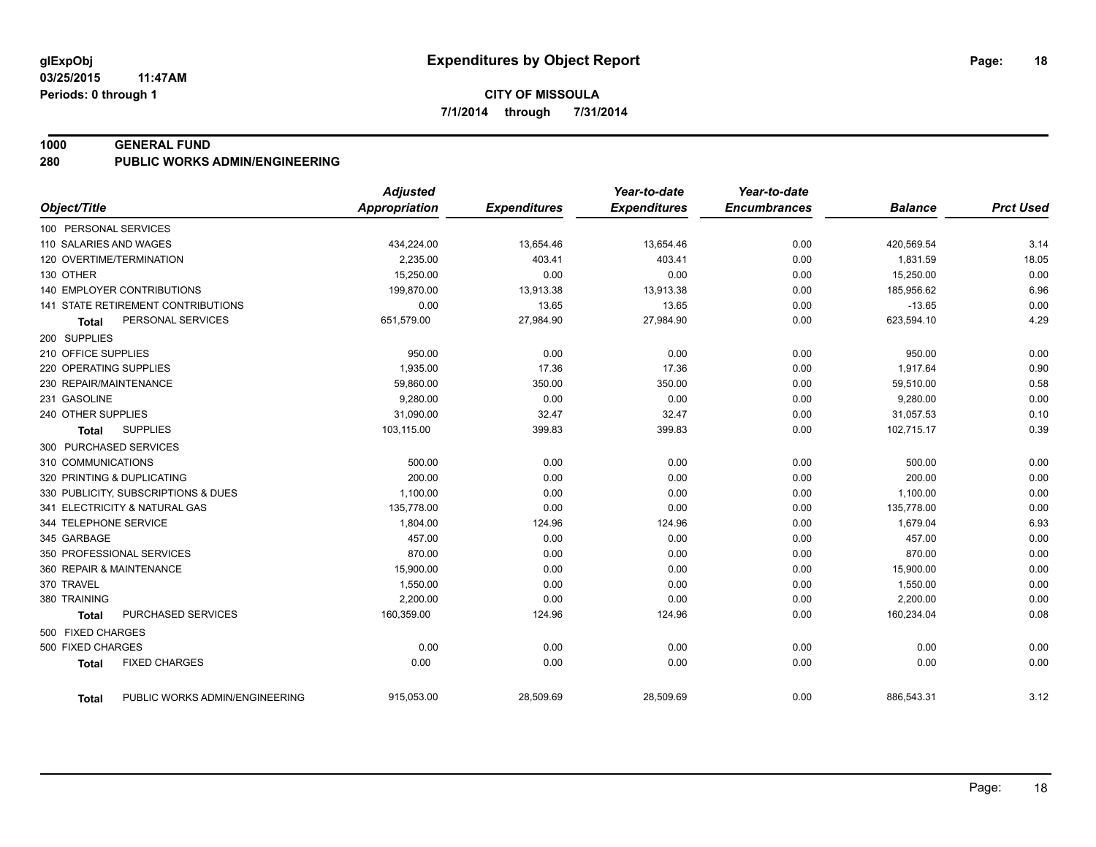#### **1000 GENERAL FUND**

**280 PUBLIC WORKS ADMIN/ENGINEERING**

|                                                | <b>Adjusted</b>      |                     | Year-to-date        | Year-to-date        |                |                  |
|------------------------------------------------|----------------------|---------------------|---------------------|---------------------|----------------|------------------|
| Object/Title                                   | <b>Appropriation</b> | <b>Expenditures</b> | <b>Expenditures</b> | <b>Encumbrances</b> | <b>Balance</b> | <b>Prct Used</b> |
| 100 PERSONAL SERVICES                          |                      |                     |                     |                     |                |                  |
| 110 SALARIES AND WAGES                         | 434,224.00           | 13,654.46           | 13,654.46           | 0.00                | 420,569.54     | 3.14             |
| 120 OVERTIME/TERMINATION                       | 2,235.00             | 403.41              | 403.41              | 0.00                | 1,831.59       | 18.05            |
| 130 OTHER                                      | 15,250.00            | 0.00                | 0.00                | 0.00                | 15,250.00      | 0.00             |
| 140 EMPLOYER CONTRIBUTIONS                     | 199,870.00           | 13,913.38           | 13,913.38           | 0.00                | 185,956.62     | 6.96             |
| 141 STATE RETIREMENT CONTRIBUTIONS             | 0.00                 | 13.65               | 13.65               | 0.00                | $-13.65$       | 0.00             |
| PERSONAL SERVICES<br>Total                     | 651,579.00           | 27,984.90           | 27,984.90           | 0.00                | 623,594.10     | 4.29             |
| 200 SUPPLIES                                   |                      |                     |                     |                     |                |                  |
| 210 OFFICE SUPPLIES                            | 950.00               | 0.00                | 0.00                | 0.00                | 950.00         | 0.00             |
| 220 OPERATING SUPPLIES                         | 1,935.00             | 17.36               | 17.36               | 0.00                | 1,917.64       | 0.90             |
| 230 REPAIR/MAINTENANCE                         | 59,860.00            | 350.00              | 350.00              | 0.00                | 59,510.00      | 0.58             |
| 231 GASOLINE                                   | 9,280.00             | 0.00                | 0.00                | 0.00                | 9,280.00       | 0.00             |
| 240 OTHER SUPPLIES                             | 31,090.00            | 32.47               | 32.47               | 0.00                | 31,057.53      | 0.10             |
| <b>SUPPLIES</b><br><b>Total</b>                | 103,115.00           | 399.83              | 399.83              | 0.00                | 102,715.17     | 0.39             |
| 300 PURCHASED SERVICES                         |                      |                     |                     |                     |                |                  |
| 310 COMMUNICATIONS                             | 500.00               | 0.00                | 0.00                | 0.00                | 500.00         | 0.00             |
| 320 PRINTING & DUPLICATING                     | 200.00               | 0.00                | 0.00                | 0.00                | 200.00         | 0.00             |
| 330 PUBLICITY, SUBSCRIPTIONS & DUES            | 1,100.00             | 0.00                | 0.00                | 0.00                | 1,100.00       | 0.00             |
| 341 ELECTRICITY & NATURAL GAS                  | 135,778.00           | 0.00                | 0.00                | 0.00                | 135,778.00     | 0.00             |
| 344 TELEPHONE SERVICE                          | 1.804.00             | 124.96              | 124.96              | 0.00                | 1,679.04       | 6.93             |
| 345 GARBAGE                                    | 457.00               | 0.00                | 0.00                | 0.00                | 457.00         | 0.00             |
| 350 PROFESSIONAL SERVICES                      | 870.00               | 0.00                | 0.00                | 0.00                | 870.00         | 0.00             |
| 360 REPAIR & MAINTENANCE                       | 15,900.00            | 0.00                | 0.00                | 0.00                | 15,900.00      | 0.00             |
| 370 TRAVEL                                     | 1,550.00             | 0.00                | 0.00                | 0.00                | 1,550.00       | 0.00             |
| 380 TRAINING                                   | 2,200.00             | 0.00                | 0.00                | 0.00                | 2,200.00       | 0.00             |
| <b>PURCHASED SERVICES</b><br><b>Total</b>      | 160,359.00           | 124.96              | 124.96              | 0.00                | 160,234.04     | 0.08             |
| 500 FIXED CHARGES                              |                      |                     |                     |                     |                |                  |
| 500 FIXED CHARGES                              | 0.00                 | 0.00                | 0.00                | 0.00                | 0.00           | 0.00             |
| <b>FIXED CHARGES</b><br><b>Total</b>           | 0.00                 | 0.00                | 0.00                | 0.00                | 0.00           | 0.00             |
| PUBLIC WORKS ADMIN/ENGINEERING<br><b>Total</b> | 915,053.00           | 28,509.69           | 28,509.69           | 0.00                | 886,543.31     | 3.12             |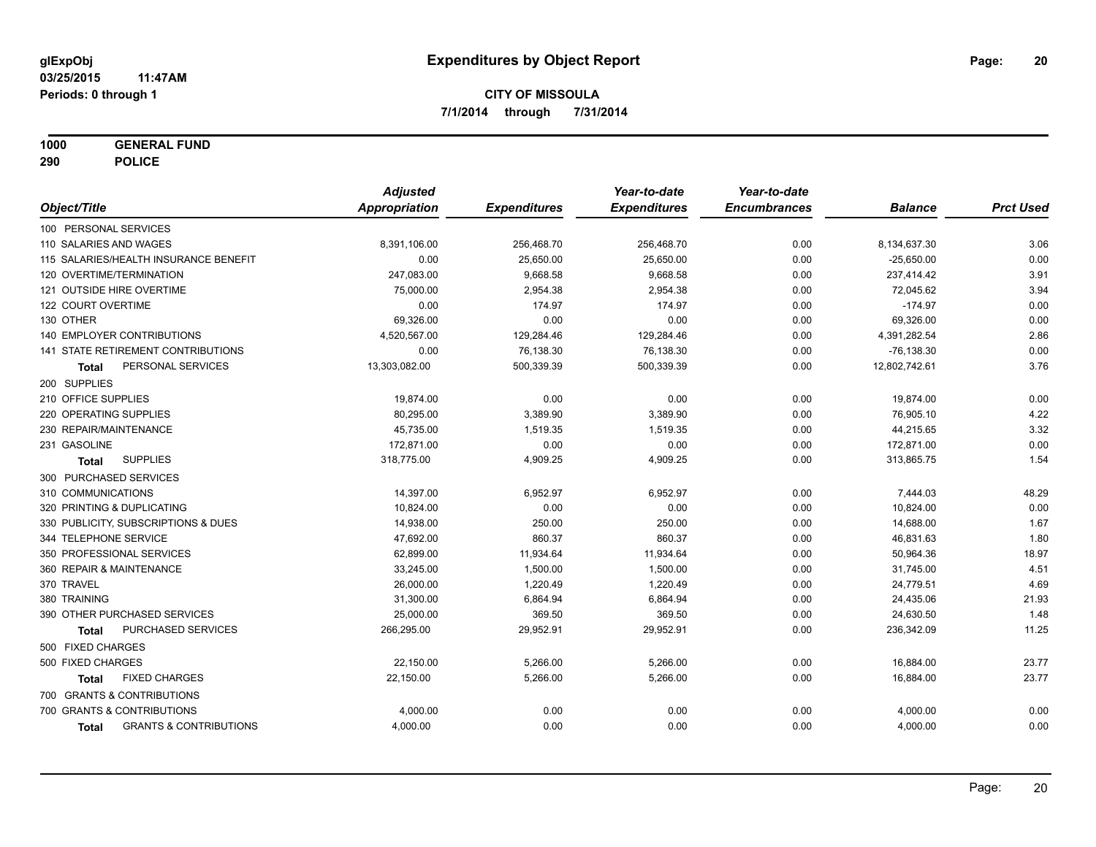**1000 GENERAL FUND**

**290 POLICE**

|                                                   | <b>Adjusted</b> |                     | Year-to-date        | Year-to-date        |                |                  |
|---------------------------------------------------|-----------------|---------------------|---------------------|---------------------|----------------|------------------|
| Object/Title                                      | Appropriation   | <b>Expenditures</b> | <b>Expenditures</b> | <b>Encumbrances</b> | <b>Balance</b> | <b>Prct Used</b> |
| 100 PERSONAL SERVICES                             |                 |                     |                     |                     |                |                  |
| 110 SALARIES AND WAGES                            | 8,391,106.00    | 256,468.70          | 256,468.70          | 0.00                | 8,134,637.30   | 3.06             |
| 115 SALARIES/HEALTH INSURANCE BENEFIT             | 0.00            | 25,650.00           | 25,650.00           | 0.00                | $-25,650.00$   | 0.00             |
| 120 OVERTIME/TERMINATION                          | 247,083.00      | 9,668.58            | 9,668.58            | 0.00                | 237,414.42     | 3.91             |
| 121 OUTSIDE HIRE OVERTIME                         | 75,000.00       | 2,954.38            | 2,954.38            | 0.00                | 72,045.62      | 3.94             |
| 122 COURT OVERTIME                                | 0.00            | 174.97              | 174.97              | 0.00                | $-174.97$      | 0.00             |
| 130 OTHER                                         | 69,326.00       | 0.00                | 0.00                | 0.00                | 69,326.00      | 0.00             |
| <b>140 EMPLOYER CONTRIBUTIONS</b>                 | 4,520,567.00    | 129,284.46          | 129,284.46          | 0.00                | 4,391,282.54   | 2.86             |
| <b>141 STATE RETIREMENT CONTRIBUTIONS</b>         | 0.00            | 76,138.30           | 76,138.30           | 0.00                | $-76, 138.30$  | 0.00             |
| PERSONAL SERVICES<br>Total                        | 13,303,082.00   | 500,339.39          | 500,339.39          | 0.00                | 12,802,742.61  | 3.76             |
| 200 SUPPLIES                                      |                 |                     |                     |                     |                |                  |
| 210 OFFICE SUPPLIES                               | 19,874.00       | 0.00                | 0.00                | 0.00                | 19,874.00      | 0.00             |
| 220 OPERATING SUPPLIES                            | 80,295.00       | 3,389.90            | 3,389.90            | 0.00                | 76,905.10      | 4.22             |
| 230 REPAIR/MAINTENANCE                            | 45,735.00       | 1,519.35            | 1,519.35            | 0.00                | 44,215.65      | 3.32             |
| 231 GASOLINE                                      | 172,871.00      | 0.00                | 0.00                | 0.00                | 172,871.00     | 0.00             |
| <b>SUPPLIES</b><br><b>Total</b>                   | 318,775.00      | 4,909.25            | 4,909.25            | 0.00                | 313,865.75     | 1.54             |
| 300 PURCHASED SERVICES                            |                 |                     |                     |                     |                |                  |
| 310 COMMUNICATIONS                                | 14,397.00       | 6,952.97            | 6,952.97            | 0.00                | 7,444.03       | 48.29            |
| 320 PRINTING & DUPLICATING                        | 10,824.00       | 0.00                | 0.00                | 0.00                | 10,824.00      | 0.00             |
| 330 PUBLICITY, SUBSCRIPTIONS & DUES               | 14,938.00       | 250.00              | 250.00              | 0.00                | 14,688.00      | 1.67             |
| 344 TELEPHONE SERVICE                             | 47,692.00       | 860.37              | 860.37              | 0.00                | 46,831.63      | 1.80             |
| 350 PROFESSIONAL SERVICES                         | 62,899.00       | 11,934.64           | 11,934.64           | 0.00                | 50,964.36      | 18.97            |
| 360 REPAIR & MAINTENANCE                          | 33,245.00       | 1,500.00            | 1,500.00            | 0.00                | 31,745.00      | 4.51             |
| 370 TRAVEL                                        | 26,000.00       | 1,220.49            | 1,220.49            | 0.00                | 24,779.51      | 4.69             |
| 380 TRAINING                                      | 31,300.00       | 6,864.94            | 6,864.94            | 0.00                | 24,435.06      | 21.93            |
| 390 OTHER PURCHASED SERVICES                      | 25,000.00       | 369.50              | 369.50              | 0.00                | 24,630.50      | 1.48             |
| PURCHASED SERVICES<br><b>Total</b>                | 266,295.00      | 29,952.91           | 29,952.91           | 0.00                | 236,342.09     | 11.25            |
| 500 FIXED CHARGES                                 |                 |                     |                     |                     |                |                  |
| 500 FIXED CHARGES                                 | 22,150.00       | 5,266.00            | 5,266.00            | 0.00                | 16,884.00      | 23.77            |
| <b>FIXED CHARGES</b><br><b>Total</b>              | 22,150.00       | 5,266.00            | 5,266.00            | 0.00                | 16,884.00      | 23.77            |
| 700 GRANTS & CONTRIBUTIONS                        |                 |                     |                     |                     |                |                  |
| 700 GRANTS & CONTRIBUTIONS                        | 4,000.00        | 0.00                | 0.00                | 0.00                | 4,000.00       | 0.00             |
| <b>GRANTS &amp; CONTRIBUTIONS</b><br><b>Total</b> | 4,000.00        | 0.00                | 0.00                | 0.00                | 4,000.00       | 0.00             |
|                                                   |                 |                     |                     |                     |                |                  |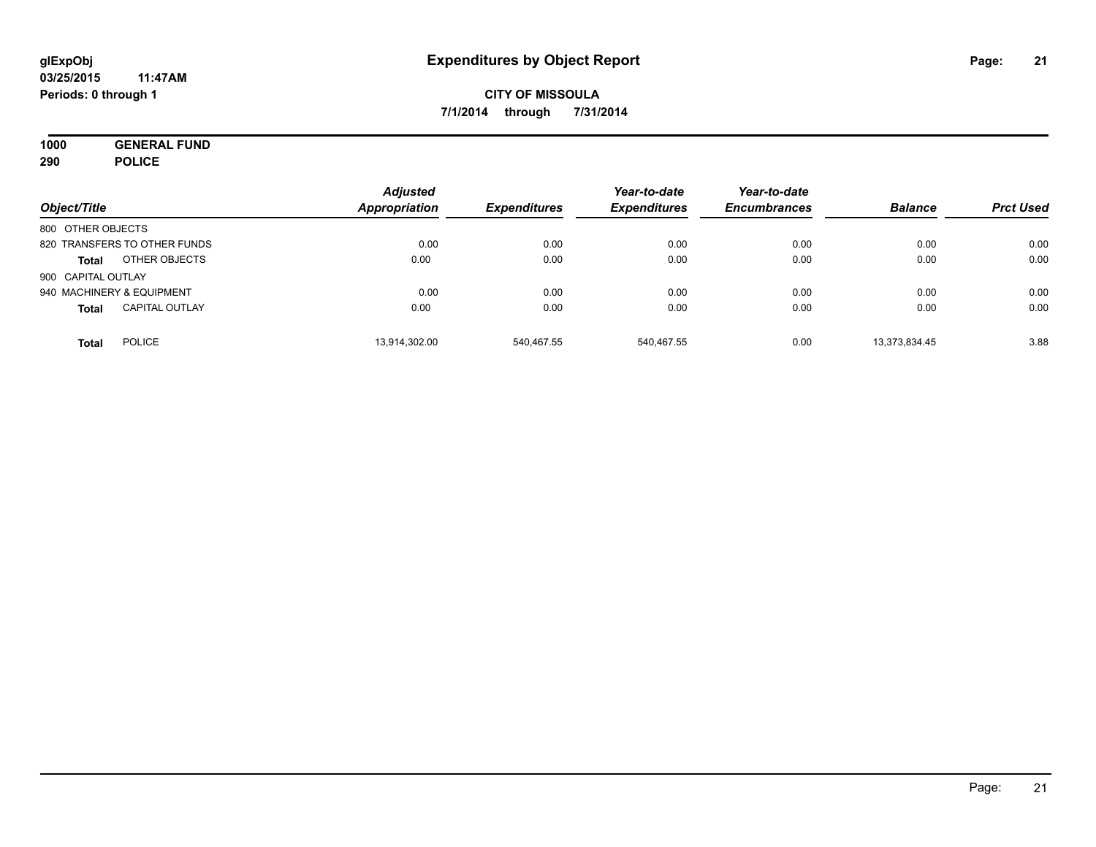**1000 GENERAL FUND 290 POLICE**

| Object/Title       |                              | <b>Adjusted</b><br>Appropriation | <b>Expenditures</b> | Year-to-date<br><b>Expenditures</b> | Year-to-date<br><b>Encumbrances</b> | <b>Balance</b> | <b>Prct Used</b> |
|--------------------|------------------------------|----------------------------------|---------------------|-------------------------------------|-------------------------------------|----------------|------------------|
| 800 OTHER OBJECTS  |                              |                                  |                     |                                     |                                     |                |                  |
|                    | 820 TRANSFERS TO OTHER FUNDS | 0.00                             | 0.00                | 0.00                                | 0.00                                | 0.00           | 0.00             |
| <b>Total</b>       | OTHER OBJECTS                | 0.00                             | 0.00                | 0.00                                | 0.00                                | 0.00           | 0.00             |
| 900 CAPITAL OUTLAY |                              |                                  |                     |                                     |                                     |                |                  |
|                    | 940 MACHINERY & EQUIPMENT    | 0.00                             | 0.00                | 0.00                                | 0.00                                | 0.00           | 0.00             |
| <b>Total</b>       | <b>CAPITAL OUTLAY</b>        | 0.00                             | 0.00                | 0.00                                | 0.00                                | 0.00           | 0.00             |
| <b>Total</b>       | <b>POLICE</b>                | 13,914,302.00                    | 540.467.55          | 540.467.55                          | 0.00                                | 13,373,834.45  | 3.88             |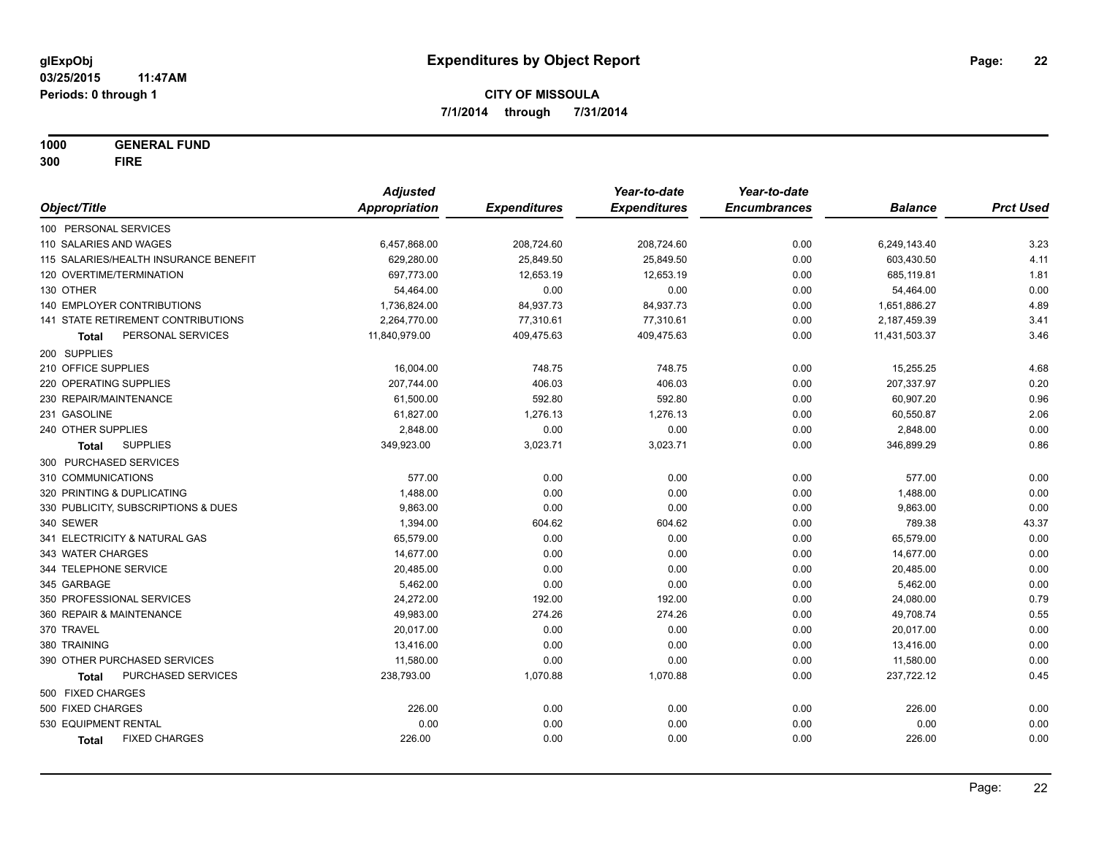**1000 GENERAL FUND**

**300 FIRE**

|                                       | <b>Adjusted</b> |                     | Year-to-date        | Year-to-date        |                |                  |
|---------------------------------------|-----------------|---------------------|---------------------|---------------------|----------------|------------------|
| Object/Title                          | Appropriation   | <b>Expenditures</b> | <b>Expenditures</b> | <b>Encumbrances</b> | <b>Balance</b> | <b>Prct Used</b> |
| 100 PERSONAL SERVICES                 |                 |                     |                     |                     |                |                  |
| 110 SALARIES AND WAGES                | 6,457,868.00    | 208,724.60          | 208,724.60          | 0.00                | 6,249,143.40   | 3.23             |
| 115 SALARIES/HEALTH INSURANCE BENEFIT | 629,280.00      | 25,849.50           | 25,849.50           | 0.00                | 603,430.50     | 4.11             |
| 120 OVERTIME/TERMINATION              | 697,773.00      | 12,653.19           | 12,653.19           | 0.00                | 685,119.81     | 1.81             |
| 130 OTHER                             | 54,464.00       | 0.00                | 0.00                | 0.00                | 54,464.00      | 0.00             |
| 140 EMPLOYER CONTRIBUTIONS            | 1,736,824.00    | 84,937.73           | 84,937.73           | 0.00                | 1,651,886.27   | 4.89             |
| 141 STATE RETIREMENT CONTRIBUTIONS    | 2,264,770.00    | 77,310.61           | 77,310.61           | 0.00                | 2,187,459.39   | 3.41             |
| PERSONAL SERVICES<br>Total            | 11,840,979.00   | 409,475.63          | 409,475.63          | 0.00                | 11,431,503.37  | 3.46             |
| 200 SUPPLIES                          |                 |                     |                     |                     |                |                  |
| 210 OFFICE SUPPLIES                   | 16,004.00       | 748.75              | 748.75              | 0.00                | 15,255.25      | 4.68             |
| 220 OPERATING SUPPLIES                | 207,744.00      | 406.03              | 406.03              | 0.00                | 207,337.97     | 0.20             |
| 230 REPAIR/MAINTENANCE                | 61,500.00       | 592.80              | 592.80              | 0.00                | 60,907.20      | 0.96             |
| 231 GASOLINE                          | 61,827.00       | 1,276.13            | 1,276.13            | 0.00                | 60,550.87      | 2.06             |
| 240 OTHER SUPPLIES                    | 2,848.00        | 0.00                | 0.00                | 0.00                | 2,848.00       | 0.00             |
| <b>SUPPLIES</b><br>Total              | 349,923.00      | 3,023.71            | 3,023.71            | 0.00                | 346,899.29     | 0.86             |
| 300 PURCHASED SERVICES                |                 |                     |                     |                     |                |                  |
| 310 COMMUNICATIONS                    | 577.00          | 0.00                | 0.00                | 0.00                | 577.00         | 0.00             |
| 320 PRINTING & DUPLICATING            | 1,488.00        | 0.00                | 0.00                | 0.00                | 1,488.00       | 0.00             |
| 330 PUBLICITY, SUBSCRIPTIONS & DUES   | 9,863.00        | 0.00                | 0.00                | 0.00                | 9,863.00       | 0.00             |
| 340 SEWER                             | 1,394.00        | 604.62              | 604.62              | 0.00                | 789.38         | 43.37            |
| 341 ELECTRICITY & NATURAL GAS         | 65,579.00       | 0.00                | 0.00                | 0.00                | 65,579.00      | 0.00             |
| 343 WATER CHARGES                     | 14,677.00       | 0.00                | 0.00                | 0.00                | 14,677.00      | 0.00             |
| 344 TELEPHONE SERVICE                 | 20,485.00       | 0.00                | 0.00                | 0.00                | 20,485.00      | 0.00             |
| 345 GARBAGE                           | 5,462.00        | 0.00                | 0.00                | 0.00                | 5,462.00       | 0.00             |
| 350 PROFESSIONAL SERVICES             | 24,272.00       | 192.00              | 192.00              | 0.00                | 24,080.00      | 0.79             |
| 360 REPAIR & MAINTENANCE              | 49,983.00       | 274.26              | 274.26              | 0.00                | 49,708.74      | 0.55             |
| 370 TRAVEL                            | 20,017.00       | 0.00                | 0.00                | 0.00                | 20,017.00      | 0.00             |
| 380 TRAINING                          | 13,416.00       | 0.00                | 0.00                | 0.00                | 13,416.00      | 0.00             |
| 390 OTHER PURCHASED SERVICES          | 11,580.00       | 0.00                | 0.00                | 0.00                | 11,580.00      | 0.00             |
| PURCHASED SERVICES<br><b>Total</b>    | 238,793.00      | 1,070.88            | 1,070.88            | 0.00                | 237,722.12     | 0.45             |
| 500 FIXED CHARGES                     |                 |                     |                     |                     |                |                  |
| 500 FIXED CHARGES                     | 226.00          | 0.00                | 0.00                | 0.00                | 226.00         | 0.00             |
| 530 EQUIPMENT RENTAL                  | 0.00            | 0.00                | 0.00                | 0.00                | 0.00           | 0.00             |
| <b>FIXED CHARGES</b><br>Total         | 226.00          | 0.00                | 0.00                | 0.00                | 226.00         | 0.00             |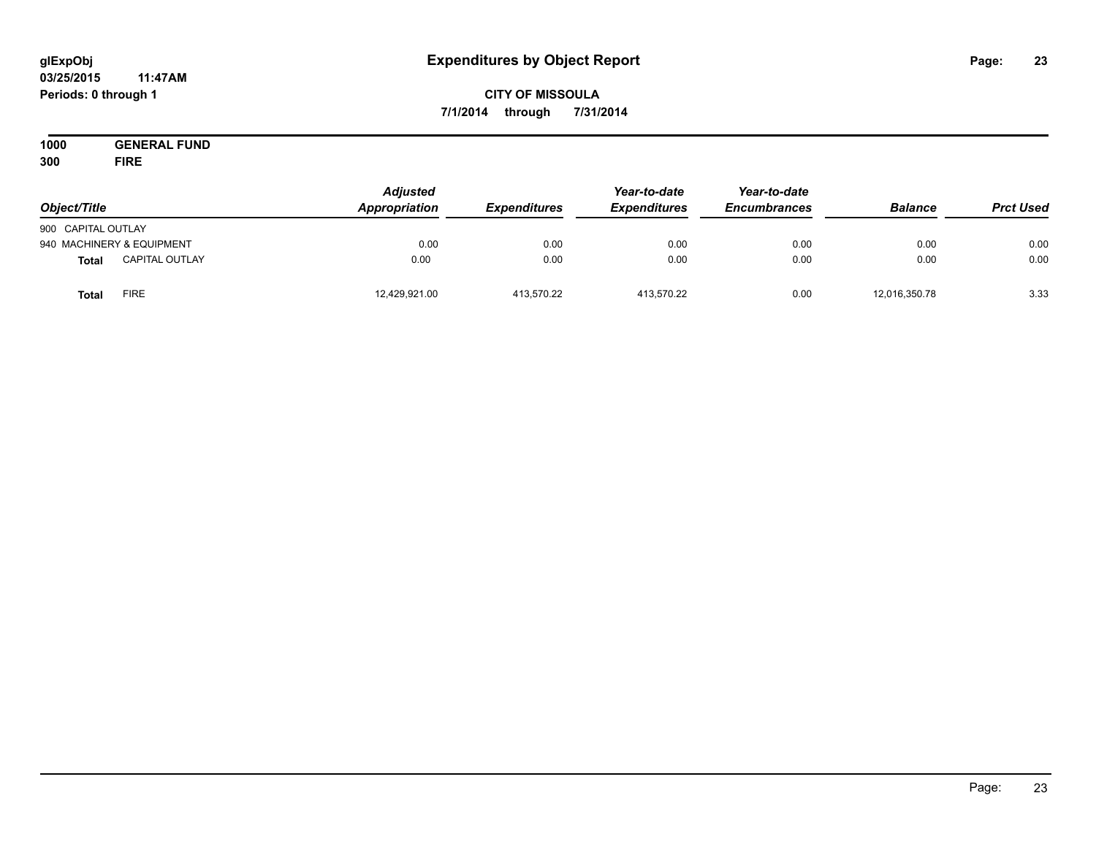#### **03/25/2015 11:47AM Periods: 0 through 1**

## **CITY OF MISSOULA 7/1/2014 through 7/31/2014**

**1000 GENERAL FUND 300 FIRE**

| Object/Title              |                       | <b>Adjusted</b><br>Appropriation | <b>Expenditures</b> | Year-to-date<br><b>Expenditures</b> | Year-to-date<br><b>Encumbrances</b> | <b>Balance</b> | <b>Prct Used</b> |
|---------------------------|-----------------------|----------------------------------|---------------------|-------------------------------------|-------------------------------------|----------------|------------------|
| 900 CAPITAL OUTLAY        |                       |                                  |                     |                                     |                                     |                |                  |
| 940 MACHINERY & EQUIPMENT |                       | 0.00                             | 0.00                | 0.00                                | 0.00                                | 0.00           | 0.00             |
| <b>Total</b>              | <b>CAPITAL OUTLAY</b> | 0.00                             | 0.00                | 0.00                                | 0.00                                | 0.00           | 0.00             |
| <b>Total</b>              | <b>FIRE</b>           | 12,429,921.00                    | 413.570.22          | 413,570.22                          | 0.00                                | 12,016,350.78  | 3.33             |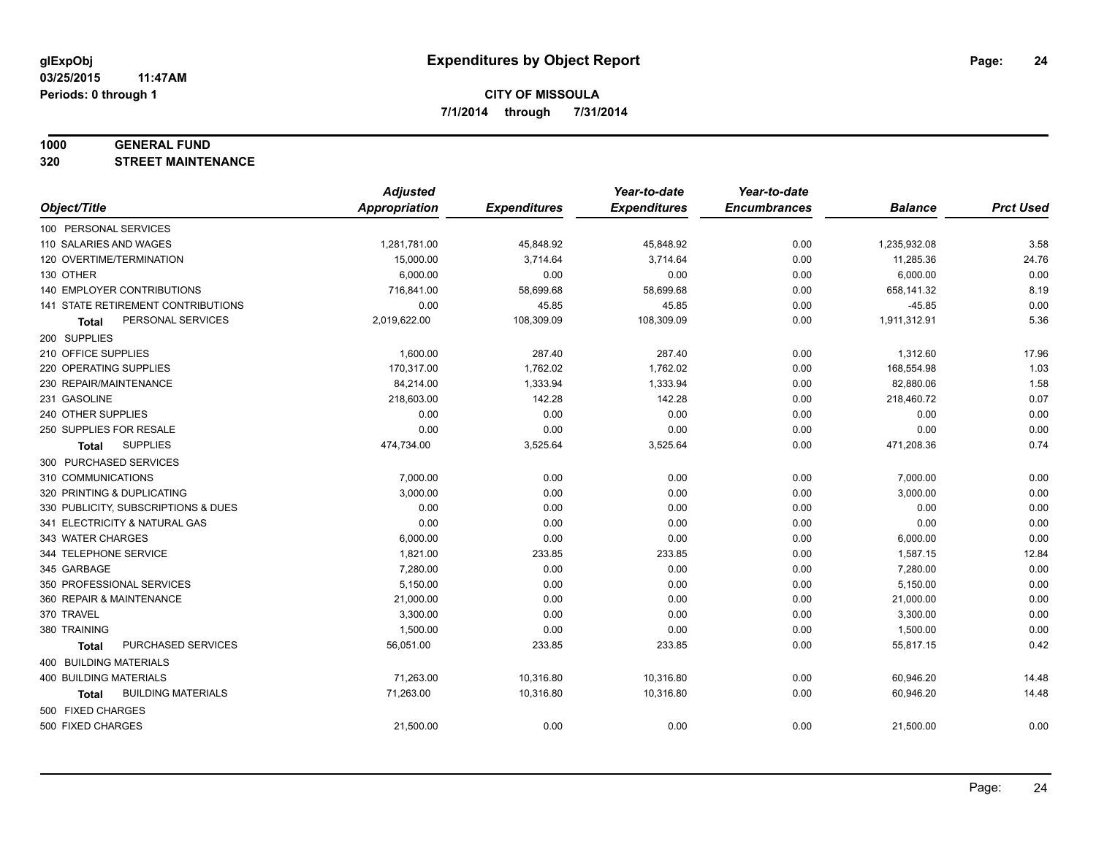#### **1000 GENERAL FUND**

**320 STREET MAINTENANCE**

|                                           | <b>Adjusted</b>      |                     | Year-to-date        | Year-to-date        |                |                  |
|-------------------------------------------|----------------------|---------------------|---------------------|---------------------|----------------|------------------|
| Object/Title                              | <b>Appropriation</b> | <b>Expenditures</b> | <b>Expenditures</b> | <b>Encumbrances</b> | <b>Balance</b> | <b>Prct Used</b> |
| 100 PERSONAL SERVICES                     |                      |                     |                     |                     |                |                  |
| 110 SALARIES AND WAGES                    | 1,281,781.00         | 45,848.92           | 45,848.92           | 0.00                | 1,235,932.08   | 3.58             |
| 120 OVERTIME/TERMINATION                  | 15,000.00            | 3,714.64            | 3,714.64            | 0.00                | 11,285.36      | 24.76            |
| 130 OTHER                                 | 6,000.00             | 0.00                | 0.00                | 0.00                | 6,000.00       | 0.00             |
| 140 EMPLOYER CONTRIBUTIONS                | 716,841.00           | 58,699.68           | 58,699.68           | 0.00                | 658,141.32     | 8.19             |
| <b>141 STATE RETIREMENT CONTRIBUTIONS</b> | 0.00                 | 45.85               | 45.85               | 0.00                | $-45.85$       | 0.00             |
| PERSONAL SERVICES<br>Total                | 2,019,622.00         | 108,309.09          | 108,309.09          | 0.00                | 1,911,312.91   | 5.36             |
| 200 SUPPLIES                              |                      |                     |                     |                     |                |                  |
| 210 OFFICE SUPPLIES                       | 1,600.00             | 287.40              | 287.40              | 0.00                | 1,312.60       | 17.96            |
| 220 OPERATING SUPPLIES                    | 170,317.00           | 1,762.02            | 1,762.02            | 0.00                | 168,554.98     | 1.03             |
| 230 REPAIR/MAINTENANCE                    | 84,214.00            | 1,333.94            | 1,333.94            | 0.00                | 82,880.06      | 1.58             |
| 231 GASOLINE                              | 218,603.00           | 142.28              | 142.28              | 0.00                | 218,460.72     | 0.07             |
| 240 OTHER SUPPLIES                        | 0.00                 | 0.00                | 0.00                | 0.00                | 0.00           | 0.00             |
| 250 SUPPLIES FOR RESALE                   | 0.00                 | 0.00                | 0.00                | 0.00                | 0.00           | 0.00             |
| <b>SUPPLIES</b><br><b>Total</b>           | 474,734.00           | 3,525.64            | 3,525.64            | 0.00                | 471,208.36     | 0.74             |
| 300 PURCHASED SERVICES                    |                      |                     |                     |                     |                |                  |
| 310 COMMUNICATIONS                        | 7,000.00             | 0.00                | 0.00                | 0.00                | 7,000.00       | 0.00             |
| 320 PRINTING & DUPLICATING                | 3,000.00             | 0.00                | 0.00                | 0.00                | 3,000.00       | 0.00             |
| 330 PUBLICITY, SUBSCRIPTIONS & DUES       | 0.00                 | 0.00                | 0.00                | 0.00                | 0.00           | 0.00             |
| 341 ELECTRICITY & NATURAL GAS             | 0.00                 | 0.00                | 0.00                | 0.00                | 0.00           | 0.00             |
| 343 WATER CHARGES                         | 6,000.00             | 0.00                | 0.00                | 0.00                | 6,000.00       | 0.00             |
| 344 TELEPHONE SERVICE                     | 1,821.00             | 233.85              | 233.85              | 0.00                | 1,587.15       | 12.84            |
| 345 GARBAGE                               | 7,280.00             | 0.00                | 0.00                | 0.00                | 7,280.00       | 0.00             |
| 350 PROFESSIONAL SERVICES                 | 5,150.00             | 0.00                | 0.00                | 0.00                | 5,150.00       | 0.00             |
| 360 REPAIR & MAINTENANCE                  | 21,000.00            | 0.00                | 0.00                | 0.00                | 21,000.00      | 0.00             |
| 370 TRAVEL                                | 3,300.00             | 0.00                | 0.00                | 0.00                | 3,300.00       | 0.00             |
| 380 TRAINING                              | 1,500.00             | 0.00                | 0.00                | 0.00                | 1,500.00       | 0.00             |
| PURCHASED SERVICES<br><b>Total</b>        | 56,051.00            | 233.85              | 233.85              | 0.00                | 55,817.15      | 0.42             |
| 400 BUILDING MATERIALS                    |                      |                     |                     |                     |                |                  |
| 400 BUILDING MATERIALS                    | 71,263.00            | 10,316.80           | 10,316.80           | 0.00                | 60,946.20      | 14.48            |
| <b>BUILDING MATERIALS</b><br>Total        | 71,263.00            | 10,316.80           | 10,316.80           | 0.00                | 60,946.20      | 14.48            |
| 500 FIXED CHARGES                         |                      |                     |                     |                     |                |                  |
| 500 FIXED CHARGES                         | 21,500.00            | 0.00                | 0.00                | 0.00                | 21,500.00      | 0.00             |
|                                           |                      |                     |                     |                     |                |                  |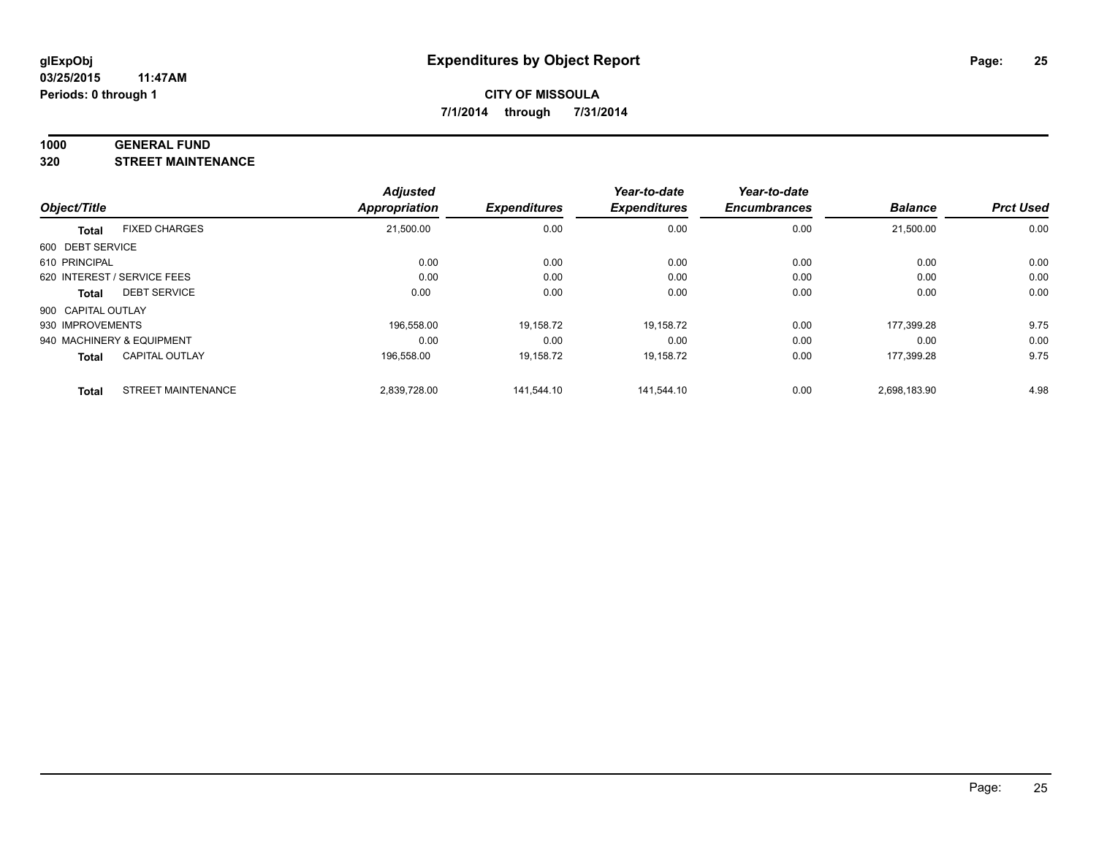#### **1000 GENERAL FUND**

**320 STREET MAINTENANCE**

|                    |                             | <b>Adjusted</b>      |                     | Year-to-date        | Year-to-date        |                |                  |
|--------------------|-----------------------------|----------------------|---------------------|---------------------|---------------------|----------------|------------------|
| Object/Title       |                             | <b>Appropriation</b> | <b>Expenditures</b> | <b>Expenditures</b> | <b>Encumbrances</b> | <b>Balance</b> | <b>Prct Used</b> |
| <b>Total</b>       | <b>FIXED CHARGES</b>        | 21,500.00            | 0.00                | 0.00                | 0.00                | 21.500.00      | 0.00             |
| 600 DEBT SERVICE   |                             |                      |                     |                     |                     |                |                  |
| 610 PRINCIPAL      |                             | 0.00                 | 0.00                | 0.00                | 0.00                | 0.00           | 0.00             |
|                    | 620 INTEREST / SERVICE FEES | 0.00                 | 0.00                | 0.00                | 0.00                | 0.00           | 0.00             |
| <b>Total</b>       | <b>DEBT SERVICE</b>         | 0.00                 | 0.00                | 0.00                | 0.00                | 0.00           | 0.00             |
| 900 CAPITAL OUTLAY |                             |                      |                     |                     |                     |                |                  |
| 930 IMPROVEMENTS   |                             | 196.558.00           | 19,158.72           | 19.158.72           | 0.00                | 177.399.28     | 9.75             |
|                    | 940 MACHINERY & EQUIPMENT   | 0.00                 | 0.00                | 0.00                | 0.00                | 0.00           | 0.00             |
| <b>Total</b>       | <b>CAPITAL OUTLAY</b>       | 196,558.00           | 19,158.72           | 19,158.72           | 0.00                | 177,399.28     | 9.75             |
| <b>Total</b>       | <b>STREET MAINTENANCE</b>   | 2,839,728.00         | 141.544.10          | 141.544.10          | 0.00                | 2,698,183.90   | 4.98             |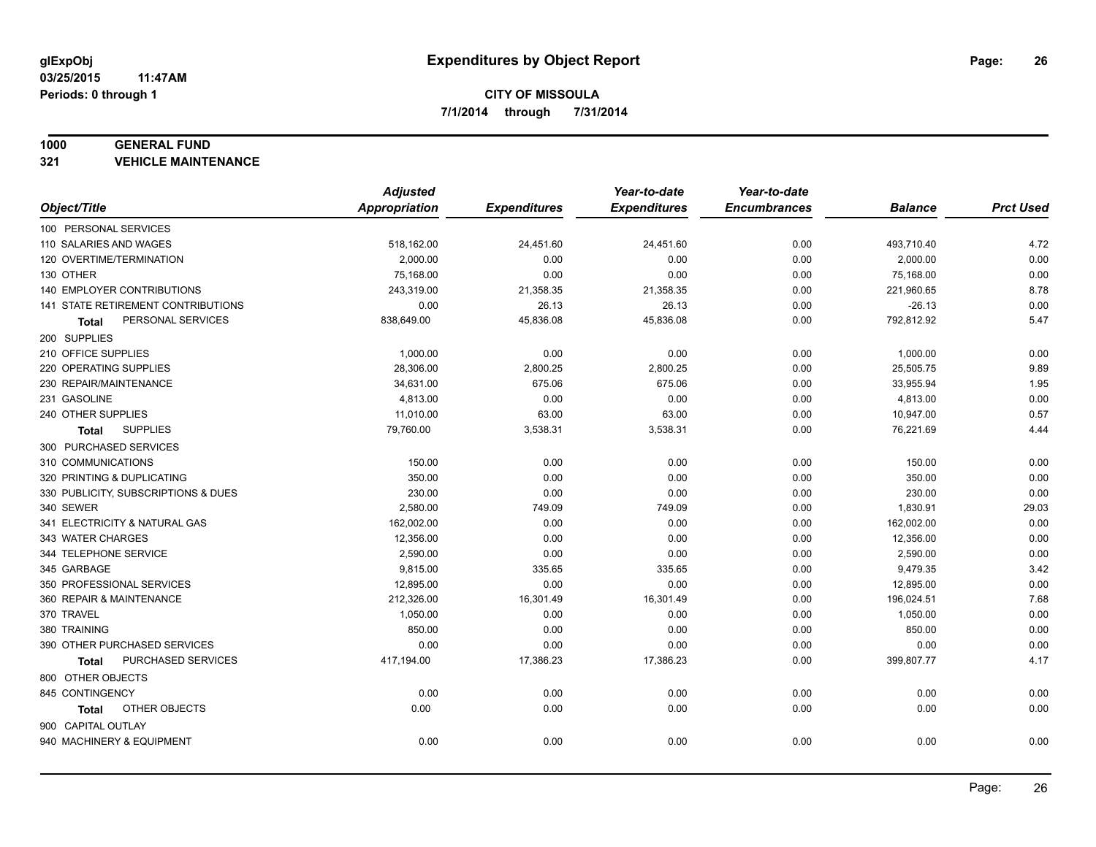#### **1000 GENERAL FUND**

**321 VEHICLE MAINTENANCE**

|                                           | <b>Adjusted</b> |                     | Year-to-date        | Year-to-date        |                |                  |
|-------------------------------------------|-----------------|---------------------|---------------------|---------------------|----------------|------------------|
| Object/Title                              | Appropriation   | <b>Expenditures</b> | <b>Expenditures</b> | <b>Encumbrances</b> | <b>Balance</b> | <b>Prct Used</b> |
| 100 PERSONAL SERVICES                     |                 |                     |                     |                     |                |                  |
| 110 SALARIES AND WAGES                    | 518,162.00      | 24,451.60           | 24,451.60           | 0.00                | 493,710.40     | 4.72             |
| 120 OVERTIME/TERMINATION                  | 2,000.00        | 0.00                | 0.00                | 0.00                | 2,000.00       | 0.00             |
| 130 OTHER                                 | 75,168.00       | 0.00                | 0.00                | 0.00                | 75,168.00      | 0.00             |
| <b>140 EMPLOYER CONTRIBUTIONS</b>         | 243,319.00      | 21,358.35           | 21,358.35           | 0.00                | 221,960.65     | 8.78             |
| <b>141 STATE RETIREMENT CONTRIBUTIONS</b> | 0.00            | 26.13               | 26.13               | 0.00                | $-26.13$       | 0.00             |
| PERSONAL SERVICES<br>Total                | 838,649.00      | 45,836.08           | 45,836.08           | 0.00                | 792,812.92     | 5.47             |
| 200 SUPPLIES                              |                 |                     |                     |                     |                |                  |
| 210 OFFICE SUPPLIES                       | 1,000.00        | 0.00                | 0.00                | 0.00                | 1,000.00       | 0.00             |
| 220 OPERATING SUPPLIES                    | 28,306.00       | 2,800.25            | 2,800.25            | 0.00                | 25,505.75      | 9.89             |
| 230 REPAIR/MAINTENANCE                    | 34,631.00       | 675.06              | 675.06              | 0.00                | 33,955.94      | 1.95             |
| 231 GASOLINE                              | 4,813.00        | 0.00                | 0.00                | 0.00                | 4,813.00       | 0.00             |
| 240 OTHER SUPPLIES                        | 11,010.00       | 63.00               | 63.00               | 0.00                | 10,947.00      | 0.57             |
| <b>SUPPLIES</b><br>Total                  | 79,760.00       | 3,538.31            | 3,538.31            | 0.00                | 76,221.69      | 4.44             |
| 300 PURCHASED SERVICES                    |                 |                     |                     |                     |                |                  |
| 310 COMMUNICATIONS                        | 150.00          | 0.00                | 0.00                | 0.00                | 150.00         | 0.00             |
| 320 PRINTING & DUPLICATING                | 350.00          | 0.00                | 0.00                | 0.00                | 350.00         | 0.00             |
| 330 PUBLICITY, SUBSCRIPTIONS & DUES       | 230.00          | 0.00                | 0.00                | 0.00                | 230.00         | 0.00             |
| 340 SEWER                                 | 2,580.00        | 749.09              | 749.09              | 0.00                | 1,830.91       | 29.03            |
| 341 ELECTRICITY & NATURAL GAS             | 162,002.00      | 0.00                | 0.00                | 0.00                | 162,002.00     | 0.00             |
| 343 WATER CHARGES                         | 12,356.00       | 0.00                | 0.00                | 0.00                | 12,356.00      | 0.00             |
| 344 TELEPHONE SERVICE                     | 2,590.00        | 0.00                | 0.00                | 0.00                | 2,590.00       | 0.00             |
| 345 GARBAGE                               | 9,815.00        | 335.65              | 335.65              | 0.00                | 9,479.35       | 3.42             |
| 350 PROFESSIONAL SERVICES                 | 12,895.00       | 0.00                | 0.00                | 0.00                | 12,895.00      | 0.00             |
| 360 REPAIR & MAINTENANCE                  | 212,326.00      | 16,301.49           | 16,301.49           | 0.00                | 196,024.51     | 7.68             |
| 370 TRAVEL                                | 1,050.00        | 0.00                | 0.00                | 0.00                | 1,050.00       | 0.00             |
| 380 TRAINING                              | 850.00          | 0.00                | 0.00                | 0.00                | 850.00         | 0.00             |
| 390 OTHER PURCHASED SERVICES              | 0.00            | 0.00                | 0.00                | 0.00                | 0.00           | 0.00             |
| PURCHASED SERVICES<br><b>Total</b>        | 417,194.00      | 17,386.23           | 17,386.23           | 0.00                | 399,807.77     | 4.17             |
| 800 OTHER OBJECTS                         |                 |                     |                     |                     |                |                  |
| 845 CONTINGENCY                           | 0.00            | 0.00                | 0.00                | 0.00                | 0.00           | 0.00             |
| OTHER OBJECTS<br>Total                    | 0.00            | 0.00                | 0.00                | 0.00                | 0.00           | 0.00             |
| 900 CAPITAL OUTLAY                        |                 |                     |                     |                     |                |                  |
| 940 MACHINERY & EQUIPMENT                 | 0.00            | 0.00                | 0.00                | 0.00                | 0.00           | 0.00             |
|                                           |                 |                     |                     |                     |                |                  |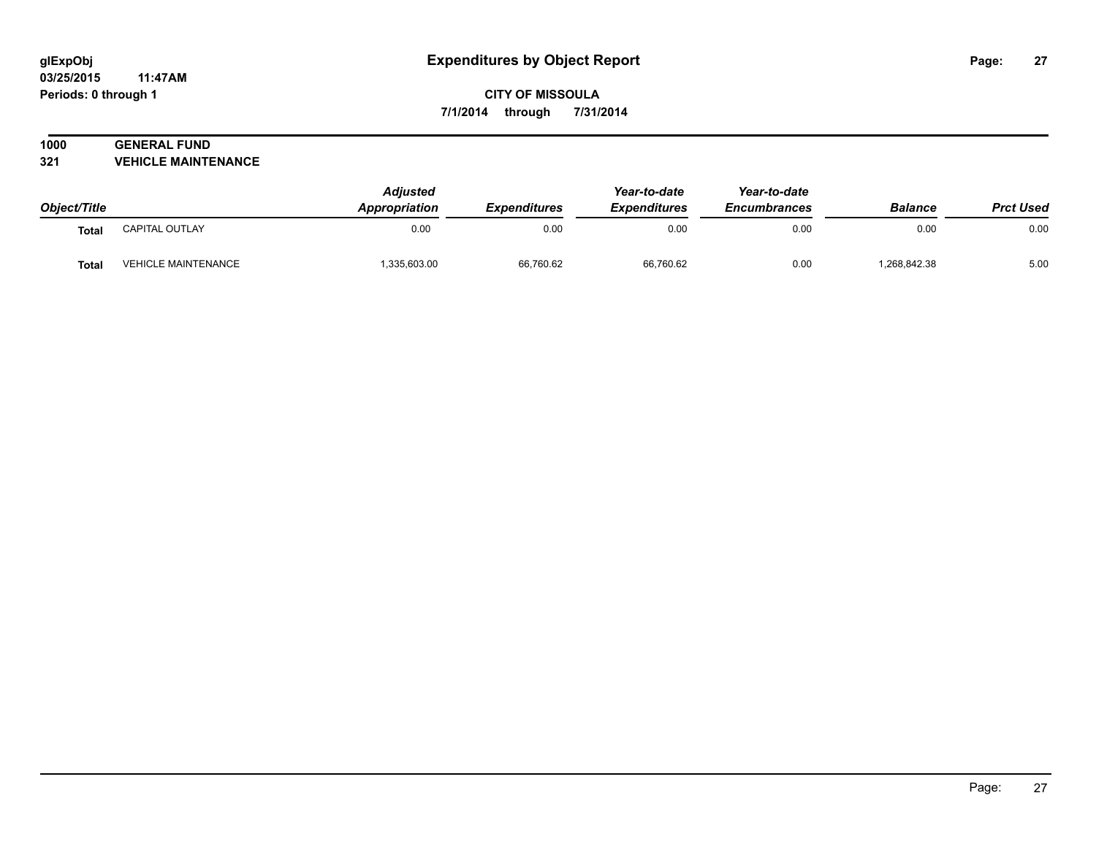#### **03/25/2015 11:47AM Periods: 0 through 1**

## **CITY OF MISSOULA 7/1/2014 through 7/31/2014**

# **1000 GENERAL FUND**

**321 VEHICLE MAINTENANCE**

| Object/Title |                            | <b>Adjusted</b><br>Appropriation | Expenditures | Year-to-date<br><b>Expenditures</b> | Year-to-date<br><b>Encumbrances</b> | <b>Balance</b> | <b>Prct Used</b> |
|--------------|----------------------------|----------------------------------|--------------|-------------------------------------|-------------------------------------|----------------|------------------|
| <b>Total</b> | <b>CAPITAL OUTLAY</b>      | 0.00                             | 0.00         | 0.00                                | 0.00                                | 0.00           | 0.00             |
| <b>Total</b> | <b>VEHICLE MAINTENANCE</b> | ,335,603.00                      | 66,760.62    | 66,760.62                           | 0.00                                | .268,842.38    | 5.00             |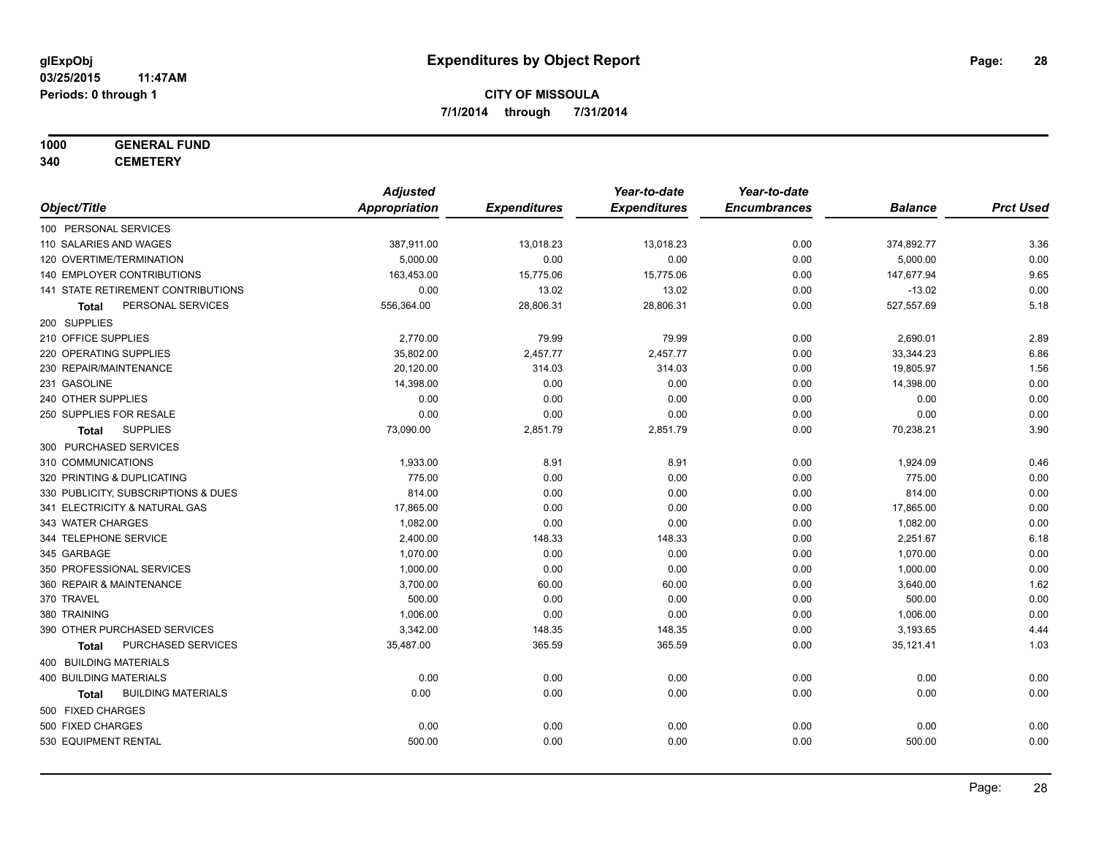#### **1000 GENERAL FUND**

**340 CEMETERY**

|                                           | <b>Adjusted</b>      |                     | Year-to-date        | Year-to-date        |                |                  |
|-------------------------------------------|----------------------|---------------------|---------------------|---------------------|----------------|------------------|
| Object/Title                              | <b>Appropriation</b> | <b>Expenditures</b> | <b>Expenditures</b> | <b>Encumbrances</b> | <b>Balance</b> | <b>Prct Used</b> |
| 100 PERSONAL SERVICES                     |                      |                     |                     |                     |                |                  |
| 110 SALARIES AND WAGES                    | 387,911.00           | 13,018.23           | 13,018.23           | 0.00                | 374,892.77     | 3.36             |
| 120 OVERTIME/TERMINATION                  | 5,000.00             | 0.00                | 0.00                | 0.00                | 5,000.00       | 0.00             |
| 140 EMPLOYER CONTRIBUTIONS                | 163,453.00           | 15,775.06           | 15,775.06           | 0.00                | 147,677.94     | 9.65             |
| 141 STATE RETIREMENT CONTRIBUTIONS        | 0.00                 | 13.02               | 13.02               | 0.00                | $-13.02$       | 0.00             |
| PERSONAL SERVICES<br><b>Total</b>         | 556,364.00           | 28,806.31           | 28,806.31           | 0.00                | 527,557.69     | 5.18             |
| 200 SUPPLIES                              |                      |                     |                     |                     |                |                  |
| 210 OFFICE SUPPLIES                       | 2,770.00             | 79.99               | 79.99               | 0.00                | 2,690.01       | 2.89             |
| 220 OPERATING SUPPLIES                    | 35,802.00            | 2,457.77            | 2,457.77            | 0.00                | 33,344.23      | 6.86             |
| 230 REPAIR/MAINTENANCE                    | 20,120.00            | 314.03              | 314.03              | 0.00                | 19,805.97      | 1.56             |
| 231 GASOLINE                              | 14,398.00            | 0.00                | 0.00                | 0.00                | 14,398.00      | 0.00             |
| 240 OTHER SUPPLIES                        | 0.00                 | 0.00                | 0.00                | 0.00                | 0.00           | 0.00             |
| 250 SUPPLIES FOR RESALE                   | 0.00                 | 0.00                | 0.00                | 0.00                | 0.00           | 0.00             |
| <b>SUPPLIES</b><br>Total                  | 73,090.00            | 2,851.79            | 2,851.79            | 0.00                | 70,238.21      | 3.90             |
| 300 PURCHASED SERVICES                    |                      |                     |                     |                     |                |                  |
| 310 COMMUNICATIONS                        | 1,933.00             | 8.91                | 8.91                | 0.00                | 1,924.09       | 0.46             |
| 320 PRINTING & DUPLICATING                | 775.00               | 0.00                | 0.00                | 0.00                | 775.00         | 0.00             |
| 330 PUBLICITY, SUBSCRIPTIONS & DUES       | 814.00               | 0.00                | 0.00                | 0.00                | 814.00         | 0.00             |
| 341 ELECTRICITY & NATURAL GAS             | 17,865.00            | 0.00                | 0.00                | 0.00                | 17,865.00      | 0.00             |
| 343 WATER CHARGES                         | 1,082.00             | 0.00                | 0.00                | 0.00                | 1,082.00       | 0.00             |
| 344 TELEPHONE SERVICE                     | 2,400.00             | 148.33              | 148.33              | 0.00                | 2,251.67       | 6.18             |
| 345 GARBAGE                               | 1,070.00             | 0.00                | 0.00                | 0.00                | 1,070.00       | 0.00             |
| 350 PROFESSIONAL SERVICES                 | 1,000.00             | 0.00                | 0.00                | 0.00                | 1,000.00       | 0.00             |
| 360 REPAIR & MAINTENANCE                  | 3,700.00             | 60.00               | 60.00               | 0.00                | 3,640.00       | 1.62             |
| 370 TRAVEL                                | 500.00               | 0.00                | 0.00                | 0.00                | 500.00         | 0.00             |
| 380 TRAINING                              | 1,006.00             | 0.00                | 0.00                | 0.00                | 1,006.00       | 0.00             |
| 390 OTHER PURCHASED SERVICES              | 3,342.00             | 148.35              | 148.35              | 0.00                | 3,193.65       | 4.44             |
| PURCHASED SERVICES<br><b>Total</b>        | 35,487.00            | 365.59              | 365.59              | 0.00                | 35,121.41      | 1.03             |
| 400 BUILDING MATERIALS                    |                      |                     |                     |                     |                |                  |
| <b>400 BUILDING MATERIALS</b>             | 0.00                 | 0.00                | 0.00                | 0.00                | 0.00           | 0.00             |
| <b>BUILDING MATERIALS</b><br><b>Total</b> | 0.00                 | 0.00                | 0.00                | 0.00                | 0.00           | 0.00             |
| 500 FIXED CHARGES                         |                      |                     |                     |                     |                |                  |
| 500 FIXED CHARGES                         | 0.00                 | 0.00                | 0.00                | 0.00                | 0.00           | 0.00             |
| 530 EQUIPMENT RENTAL                      | 500.00               | 0.00                | 0.00                | 0.00                | 500.00         | 0.00             |
|                                           |                      |                     |                     |                     |                |                  |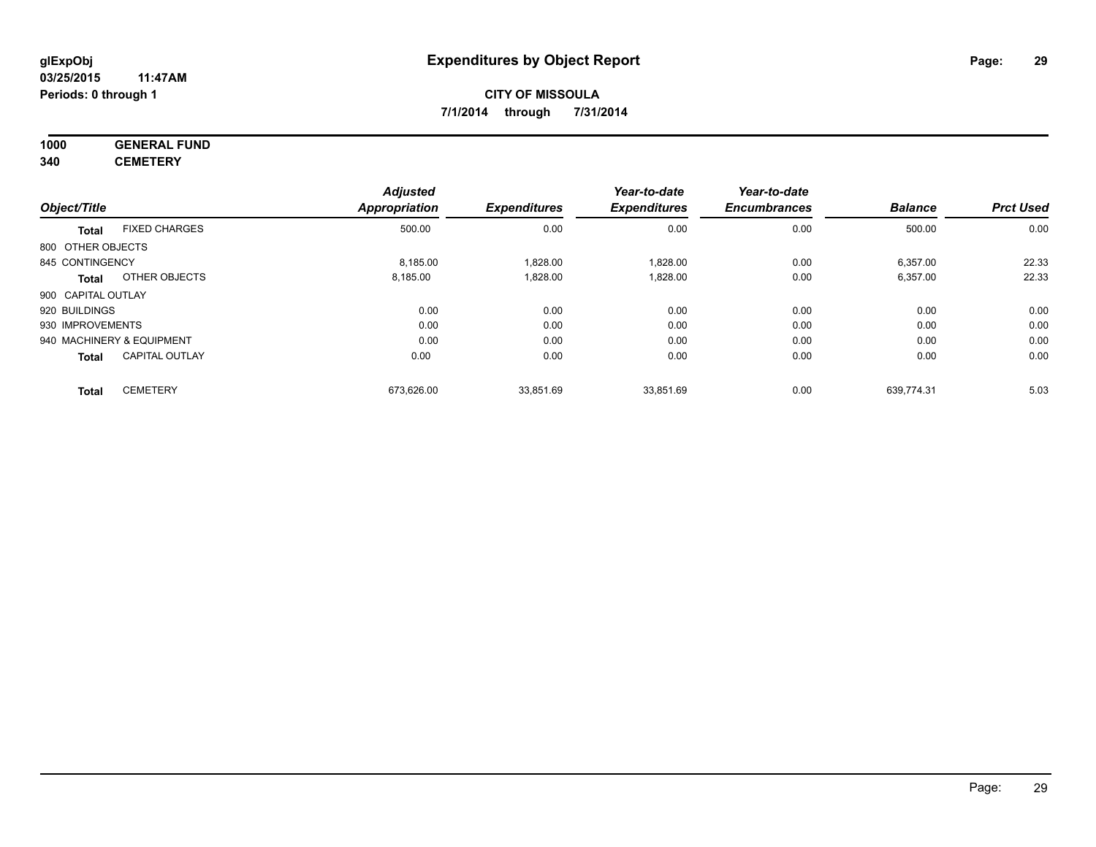# **1000 GENERAL FUND**

**340 CEMETERY**

|                    |                           | <b>Adjusted</b>      |                     | Year-to-date        | Year-to-date        |                |                  |
|--------------------|---------------------------|----------------------|---------------------|---------------------|---------------------|----------------|------------------|
| Object/Title       |                           | <b>Appropriation</b> | <b>Expenditures</b> | <b>Expenditures</b> | <b>Encumbrances</b> | <b>Balance</b> | <b>Prct Used</b> |
| <b>Total</b>       | <b>FIXED CHARGES</b>      | 500.00               | 0.00                | 0.00                | 0.00                | 500.00         | 0.00             |
| 800 OTHER OBJECTS  |                           |                      |                     |                     |                     |                |                  |
| 845 CONTINGENCY    |                           | 8.185.00             | 1,828.00            | 1,828.00            | 0.00                | 6,357.00       | 22.33            |
| Total              | OTHER OBJECTS             | 8,185.00             | 1,828.00            | 1,828.00            | 0.00                | 6,357.00       | 22.33            |
| 900 CAPITAL OUTLAY |                           |                      |                     |                     |                     |                |                  |
| 920 BUILDINGS      |                           | 0.00                 | 0.00                | 0.00                | 0.00                | 0.00           | 0.00             |
| 930 IMPROVEMENTS   |                           | 0.00                 | 0.00                | 0.00                | 0.00                | 0.00           | 0.00             |
|                    | 940 MACHINERY & EQUIPMENT | 0.00                 | 0.00                | 0.00                | 0.00                | 0.00           | 0.00             |
| <b>Total</b>       | <b>CAPITAL OUTLAY</b>     | 0.00                 | 0.00                | 0.00                | 0.00                | 0.00           | 0.00             |
| <b>Total</b>       | <b>CEMETERY</b>           | 673,626.00           | 33,851.69           | 33,851.69           | 0.00                | 639,774.31     | 5.03             |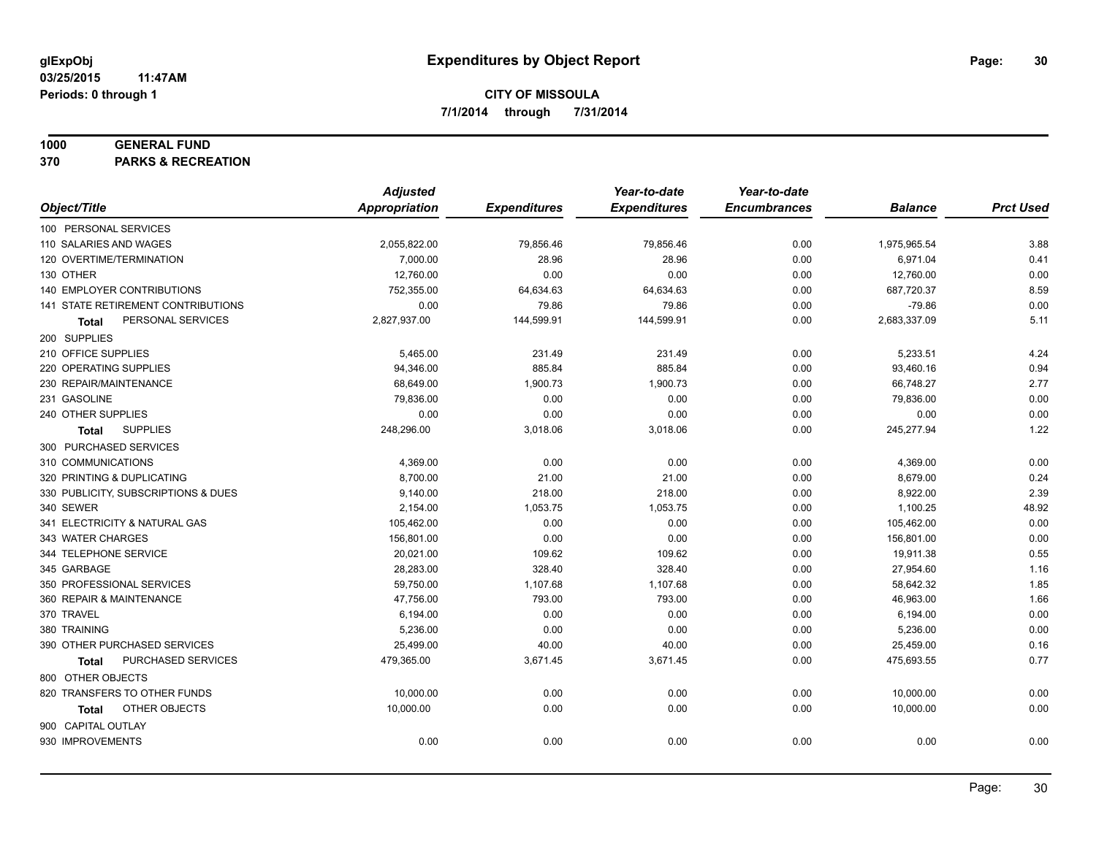#### **1000 GENERAL FUND**

**370 PARKS & RECREATION**

|                                           | <b>Adjusted</b> |                     | Year-to-date        | Year-to-date        |                |                  |
|-------------------------------------------|-----------------|---------------------|---------------------|---------------------|----------------|------------------|
| Object/Title                              | Appropriation   | <b>Expenditures</b> | <b>Expenditures</b> | <b>Encumbrances</b> | <b>Balance</b> | <b>Prct Used</b> |
| 100 PERSONAL SERVICES                     |                 |                     |                     |                     |                |                  |
| 110 SALARIES AND WAGES                    | 2,055,822.00    | 79,856.46           | 79,856.46           | 0.00                | 1,975,965.54   | 3.88             |
| 120 OVERTIME/TERMINATION                  | 7,000.00        | 28.96               | 28.96               | 0.00                | 6,971.04       | 0.41             |
| 130 OTHER                                 | 12,760.00       | 0.00                | 0.00                | 0.00                | 12,760.00      | 0.00             |
| 140 EMPLOYER CONTRIBUTIONS                | 752,355.00      | 64,634.63           | 64,634.63           | 0.00                | 687,720.37     | 8.59             |
| <b>141 STATE RETIREMENT CONTRIBUTIONS</b> | 0.00            | 79.86               | 79.86               | 0.00                | $-79.86$       | 0.00             |
| PERSONAL SERVICES<br>Total                | 2,827,937.00    | 144,599.91          | 144,599.91          | 0.00                | 2,683,337.09   | 5.11             |
| 200 SUPPLIES                              |                 |                     |                     |                     |                |                  |
| 210 OFFICE SUPPLIES                       | 5,465.00        | 231.49              | 231.49              | 0.00                | 5,233.51       | 4.24             |
| 220 OPERATING SUPPLIES                    | 94,346.00       | 885.84              | 885.84              | 0.00                | 93,460.16      | 0.94             |
| 230 REPAIR/MAINTENANCE                    | 68,649.00       | 1,900.73            | 1,900.73            | 0.00                | 66,748.27      | 2.77             |
| 231 GASOLINE                              | 79,836.00       | 0.00                | 0.00                | 0.00                | 79,836.00      | 0.00             |
| 240 OTHER SUPPLIES                        | 0.00            | 0.00                | 0.00                | 0.00                | 0.00           | 0.00             |
| <b>SUPPLIES</b><br>Total                  | 248,296.00      | 3,018.06            | 3,018.06            | 0.00                | 245,277.94     | 1.22             |
| 300 PURCHASED SERVICES                    |                 |                     |                     |                     |                |                  |
| 310 COMMUNICATIONS                        | 4,369.00        | 0.00                | 0.00                | 0.00                | 4,369.00       | 0.00             |
| 320 PRINTING & DUPLICATING                | 8,700.00        | 21.00               | 21.00               | 0.00                | 8,679.00       | 0.24             |
| 330 PUBLICITY, SUBSCRIPTIONS & DUES       | 9,140.00        | 218.00              | 218.00              | 0.00                | 8,922.00       | 2.39             |
| 340 SEWER                                 | 2,154.00        | 1,053.75            | 1,053.75            | 0.00                | 1,100.25       | 48.92            |
| 341 ELECTRICITY & NATURAL GAS             | 105,462.00      | 0.00                | 0.00                | 0.00                | 105,462.00     | 0.00             |
| 343 WATER CHARGES                         | 156,801.00      | 0.00                | 0.00                | 0.00                | 156,801.00     | 0.00             |
| 344 TELEPHONE SERVICE                     | 20,021.00       | 109.62              | 109.62              | 0.00                | 19,911.38      | 0.55             |
| 345 GARBAGE                               | 28,283.00       | 328.40              | 328.40              | 0.00                | 27,954.60      | 1.16             |
| 350 PROFESSIONAL SERVICES                 | 59,750.00       | 1,107.68            | 1,107.68            | 0.00                | 58,642.32      | 1.85             |
| 360 REPAIR & MAINTENANCE                  | 47,756.00       | 793.00              | 793.00              | 0.00                | 46,963.00      | 1.66             |
| 370 TRAVEL                                | 6,194.00        | 0.00                | 0.00                | 0.00                | 6,194.00       | 0.00             |
| 380 TRAINING                              | 5,236.00        | 0.00                | 0.00                | 0.00                | 5,236.00       | 0.00             |
| 390 OTHER PURCHASED SERVICES              | 25,499.00       | 40.00               | 40.00               | 0.00                | 25,459.00      | 0.16             |
| PURCHASED SERVICES<br><b>Total</b>        | 479,365.00      | 3,671.45            | 3,671.45            | 0.00                | 475,693.55     | 0.77             |
| 800 OTHER OBJECTS                         |                 |                     |                     |                     |                |                  |
| 820 TRANSFERS TO OTHER FUNDS              | 10,000.00       | 0.00                | 0.00                | 0.00                | 10,000.00      | 0.00             |
| OTHER OBJECTS<br>Total                    | 10,000.00       | 0.00                | 0.00                | 0.00                | 10,000.00      | 0.00             |
| 900 CAPITAL OUTLAY                        |                 |                     |                     |                     |                |                  |
| 930 IMPROVEMENTS                          | 0.00            | 0.00                | 0.00                | 0.00                | 0.00           | 0.00             |
|                                           |                 |                     |                     |                     |                |                  |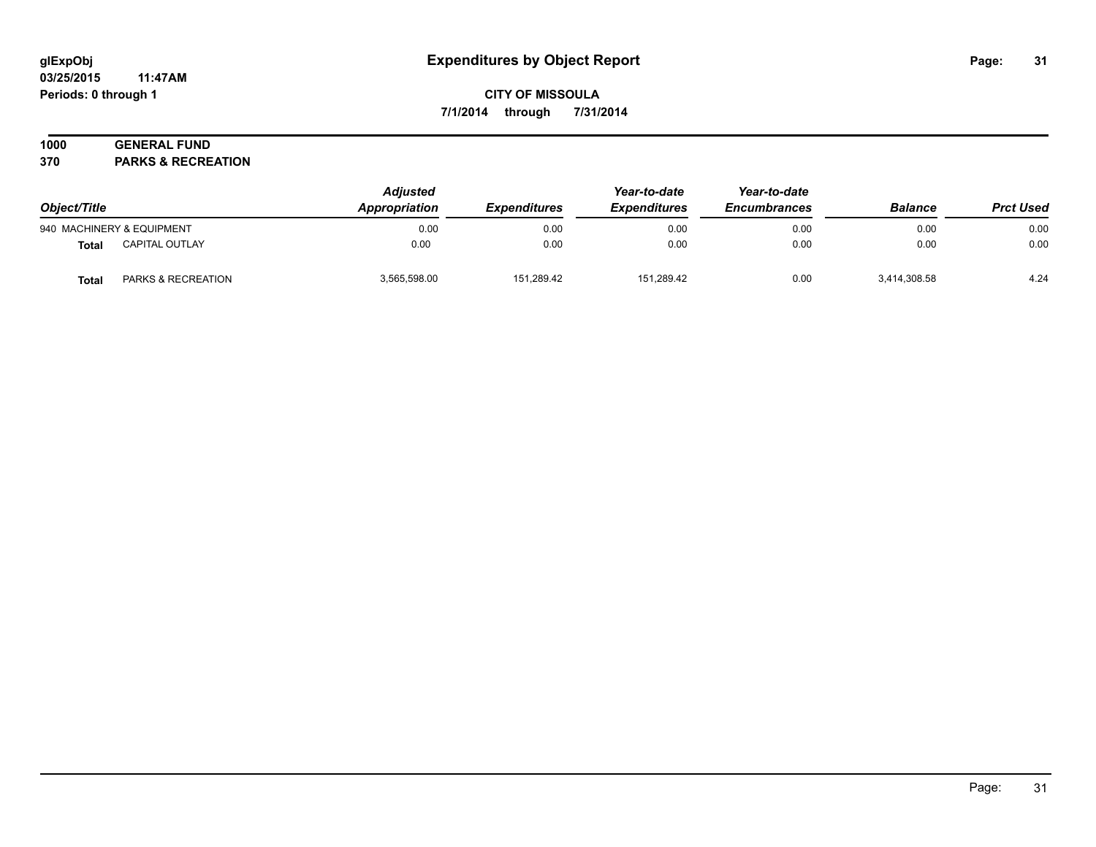#### **03/25/2015 11:47AM Periods: 0 through 1**

**CITY OF MISSOULA 7/1/2014 through 7/31/2014**

## **1000 GENERAL FUND**

**370 PARKS & RECREATION**

| Object/Title<br>940 MACHINERY & EQUIPMENT |                       | <b>Adjusted</b><br>Appropriation | <i><b>Expenditures</b></i> | Year-to-date<br><b>Expenditures</b><br>0.00 | Year-to-date<br><b>Encumbrances</b><br>0.00 | <b>Balance</b> | <b>Prct Used</b><br>0.00 |
|-------------------------------------------|-----------------------|----------------------------------|----------------------------|---------------------------------------------|---------------------------------------------|----------------|--------------------------|
|                                           |                       | 0.00                             | 0.00                       |                                             |                                             | 0.00           |                          |
| Total                                     | <b>CAPITAL OUTLAY</b> | 0.00                             | 0.00                       | 0.00                                        | 0.00                                        | 0.00           | 0.00                     |
| Total                                     | PARKS & RECREATION    | 3,565,598.00                     | 151,289.42                 | 151,289.42                                  | 0.00                                        | 3,414,308.58   | 4.24                     |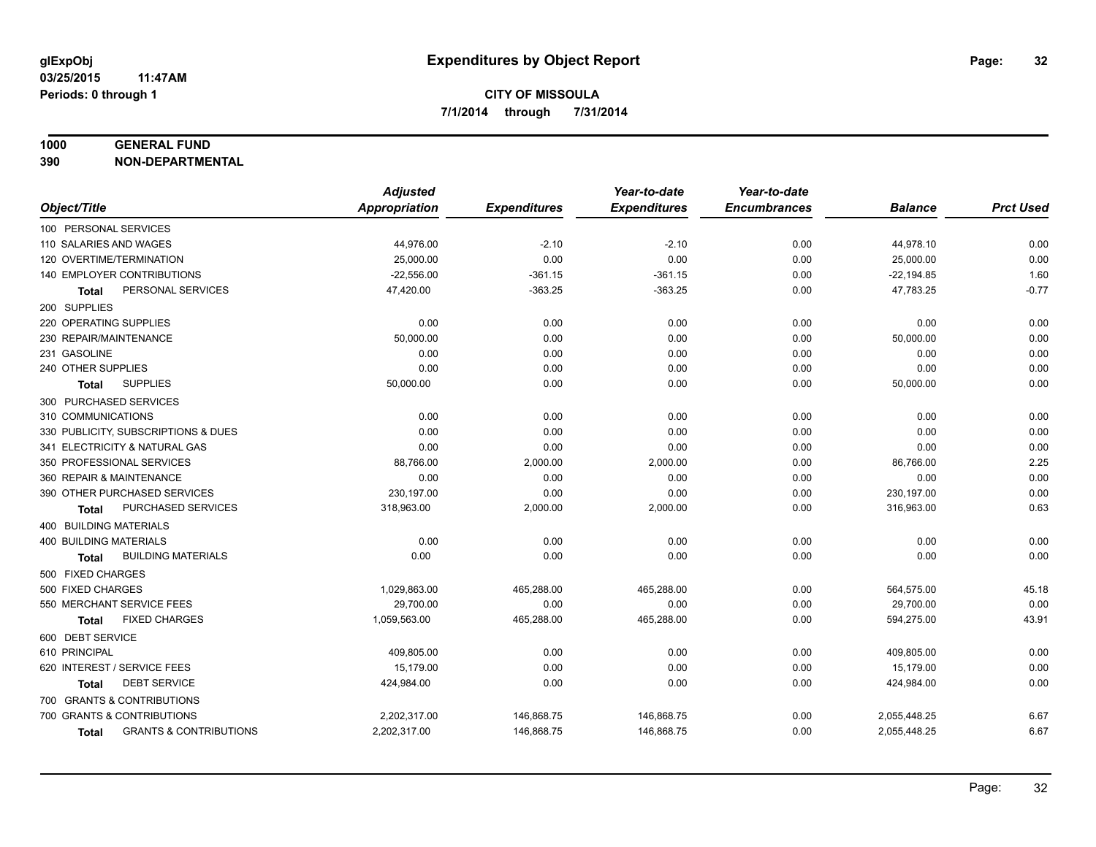#### **1000 GENERAL FUND**

**390 NON-DEPARTMENTAL**

|                                                   | <b>Adjusted</b>      |                     | Year-to-date        | Year-to-date        |                |                  |
|---------------------------------------------------|----------------------|---------------------|---------------------|---------------------|----------------|------------------|
| Object/Title                                      | <b>Appropriation</b> | <b>Expenditures</b> | <b>Expenditures</b> | <b>Encumbrances</b> | <b>Balance</b> | <b>Prct Used</b> |
| 100 PERSONAL SERVICES                             |                      |                     |                     |                     |                |                  |
| 110 SALARIES AND WAGES                            | 44,976.00            | $-2.10$             | $-2.10$             | 0.00                | 44,978.10      | 0.00             |
| 120 OVERTIME/TERMINATION                          | 25,000.00            | 0.00                | 0.00                | 0.00                | 25,000.00      | 0.00             |
| 140 EMPLOYER CONTRIBUTIONS                        | $-22,556.00$         | $-361.15$           | $-361.15$           | 0.00                | $-22, 194.85$  | 1.60             |
| PERSONAL SERVICES<br>Total                        | 47,420.00            | $-363.25$           | $-363.25$           | 0.00                | 47,783.25      | $-0.77$          |
| 200 SUPPLIES                                      |                      |                     |                     |                     |                |                  |
| 220 OPERATING SUPPLIES                            | 0.00                 | 0.00                | 0.00                | 0.00                | 0.00           | 0.00             |
| 230 REPAIR/MAINTENANCE                            | 50,000.00            | 0.00                | 0.00                | 0.00                | 50,000.00      | 0.00             |
| 231 GASOLINE                                      | 0.00                 | 0.00                | 0.00                | 0.00                | 0.00           | 0.00             |
| 240 OTHER SUPPLIES                                | 0.00                 | 0.00                | 0.00                | 0.00                | 0.00           | 0.00             |
| <b>SUPPLIES</b><br>Total                          | 50,000.00            | 0.00                | 0.00                | 0.00                | 50,000.00      | 0.00             |
| 300 PURCHASED SERVICES                            |                      |                     |                     |                     |                |                  |
| 310 COMMUNICATIONS                                | 0.00                 | 0.00                | 0.00                | 0.00                | 0.00           | 0.00             |
| 330 PUBLICITY, SUBSCRIPTIONS & DUES               | 0.00                 | 0.00                | 0.00                | 0.00                | 0.00           | 0.00             |
| 341 ELECTRICITY & NATURAL GAS                     | 0.00                 | 0.00                | 0.00                | 0.00                | 0.00           | 0.00             |
| 350 PROFESSIONAL SERVICES                         | 88,766.00            | 2,000.00            | 2,000.00            | 0.00                | 86,766.00      | 2.25             |
| 360 REPAIR & MAINTENANCE                          | 0.00                 | 0.00                | 0.00                | 0.00                | 0.00           | 0.00             |
| 390 OTHER PURCHASED SERVICES                      | 230,197.00           | 0.00                | 0.00                | 0.00                | 230,197.00     | 0.00             |
| PURCHASED SERVICES<br>Total                       | 318,963.00           | 2,000.00            | 2,000.00            | 0.00                | 316,963.00     | 0.63             |
| 400 BUILDING MATERIALS                            |                      |                     |                     |                     |                |                  |
| <b>400 BUILDING MATERIALS</b>                     | 0.00                 | 0.00                | 0.00                | 0.00                | 0.00           | 0.00             |
| <b>BUILDING MATERIALS</b><br><b>Total</b>         | 0.00                 | 0.00                | 0.00                | 0.00                | 0.00           | 0.00             |
| 500 FIXED CHARGES                                 |                      |                     |                     |                     |                |                  |
| 500 FIXED CHARGES                                 | 1,029,863.00         | 465,288.00          | 465,288.00          | 0.00                | 564,575.00     | 45.18            |
| 550 MERCHANT SERVICE FEES                         | 29,700.00            | 0.00                | 0.00                | 0.00                | 29,700.00      | 0.00             |
| <b>FIXED CHARGES</b><br><b>Total</b>              | 1,059,563.00         | 465,288.00          | 465,288.00          | 0.00                | 594,275.00     | 43.91            |
| 600 DEBT SERVICE                                  |                      |                     |                     |                     |                |                  |
| 610 PRINCIPAL                                     | 409,805.00           | 0.00                | 0.00                | 0.00                | 409,805.00     | 0.00             |
| 620 INTEREST / SERVICE FEES                       | 15,179.00            | 0.00                | 0.00                | 0.00                | 15,179.00      | 0.00             |
| <b>DEBT SERVICE</b><br><b>Total</b>               | 424,984.00           | 0.00                | 0.00                | 0.00                | 424,984.00     | 0.00             |
| 700 GRANTS & CONTRIBUTIONS                        |                      |                     |                     |                     |                |                  |
| 700 GRANTS & CONTRIBUTIONS                        | 2,202,317.00         | 146,868.75          | 146,868.75          | 0.00                | 2,055,448.25   | 6.67             |
| <b>GRANTS &amp; CONTRIBUTIONS</b><br><b>Total</b> | 2,202,317.00         | 146,868.75          | 146,868.75          | 0.00                | 2,055,448.25   | 6.67             |
|                                                   |                      |                     |                     |                     |                |                  |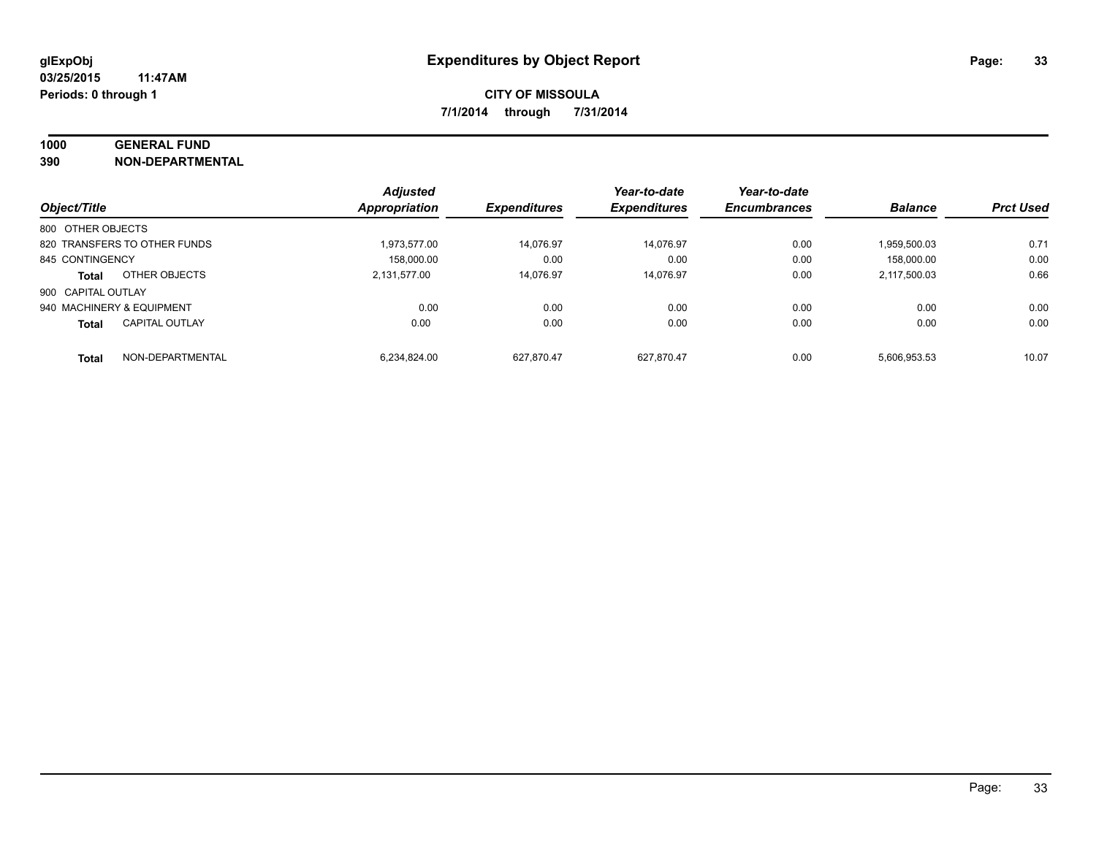## **1000 GENERAL FUND**

**390 NON-DEPARTMENTAL**

|                           |                              | <b>Adjusted</b>      |                     | Year-to-date        | Year-to-date        |                |                  |
|---------------------------|------------------------------|----------------------|---------------------|---------------------|---------------------|----------------|------------------|
| Object/Title              |                              | <b>Appropriation</b> | <b>Expenditures</b> | <b>Expenditures</b> | <b>Encumbrances</b> | <b>Balance</b> | <b>Prct Used</b> |
| 800 OTHER OBJECTS         |                              |                      |                     |                     |                     |                |                  |
|                           | 820 TRANSFERS TO OTHER FUNDS | 1,973,577.00         | 14.076.97           | 14.076.97           | 0.00                | 1.959.500.03   | 0.71             |
| 845 CONTINGENCY           |                              | 158.000.00           | 0.00                | 0.00                | 0.00                | 158,000.00     | 0.00             |
| <b>Total</b>              | OTHER OBJECTS                | 2.131.577.00         | 14.076.97           | 14.076.97           | 0.00                | 2.117.500.03   | 0.66             |
| 900 CAPITAL OUTLAY        |                              |                      |                     |                     |                     |                |                  |
| 940 MACHINERY & EQUIPMENT |                              | 0.00                 | 0.00                | 0.00                | 0.00                | 0.00           | 0.00             |
| <b>Total</b>              | <b>CAPITAL OUTLAY</b>        | 0.00                 | 0.00                | 0.00                | 0.00                | 0.00           | 0.00             |
| <b>Total</b>              | NON-DEPARTMENTAL             | 6.234.824.00         | 627.870.47          | 627.870.47          | 0.00                | 5.606.953.53   | 10.07            |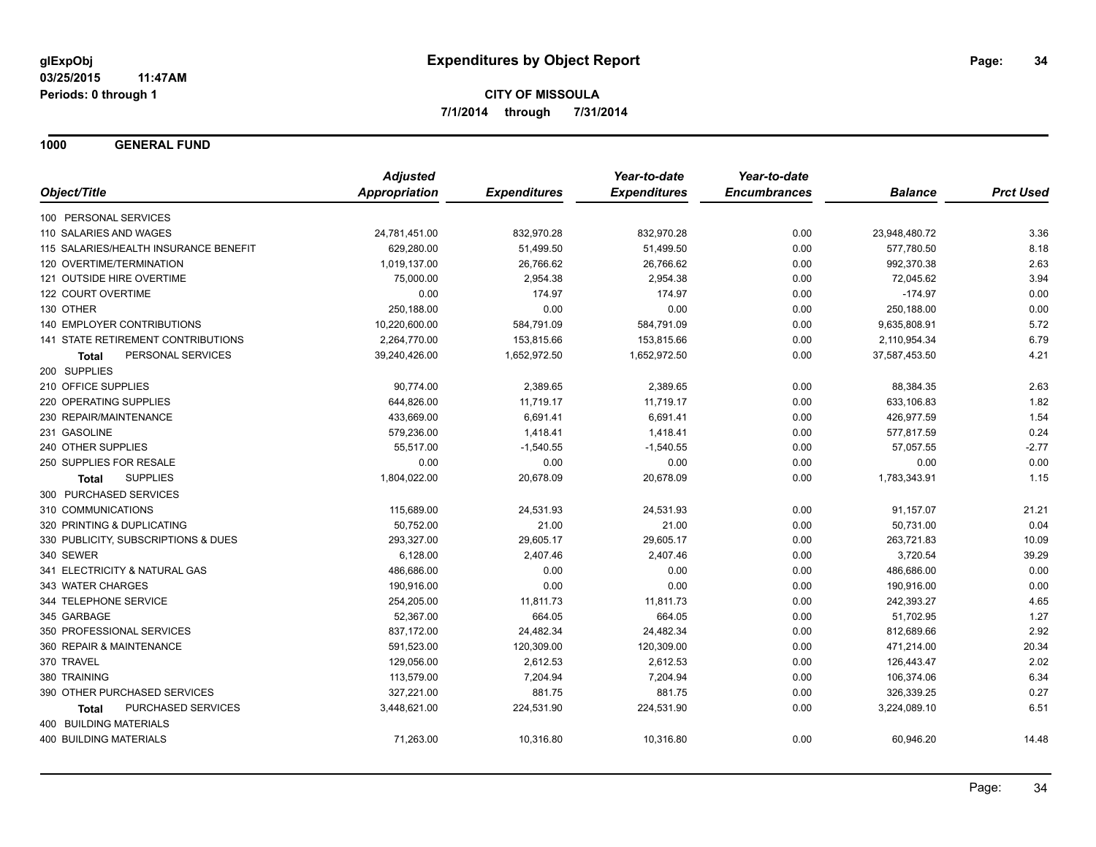**1000 GENERAL FUND**

|                                       | <b>Adjusted</b> |                     | Year-to-date        | Year-to-date        |                |                  |
|---------------------------------------|-----------------|---------------------|---------------------|---------------------|----------------|------------------|
| Object/Title                          | Appropriation   | <b>Expenditures</b> | <b>Expenditures</b> | <b>Encumbrances</b> | <b>Balance</b> | <b>Prct Used</b> |
| 100 PERSONAL SERVICES                 |                 |                     |                     |                     |                |                  |
| 110 SALARIES AND WAGES                | 24,781,451.00   | 832,970.28          | 832,970.28          | 0.00                | 23,948,480.72  | 3.36             |
| 115 SALARIES/HEALTH INSURANCE BENEFIT | 629,280.00      | 51,499.50           | 51,499.50           | 0.00                | 577,780.50     | 8.18             |
| 120 OVERTIME/TERMINATION              | 1,019,137.00    | 26,766.62           | 26,766.62           | 0.00                | 992,370.38     | 2.63             |
| 121 OUTSIDE HIRE OVERTIME             | 75,000.00       | 2,954.38            | 2,954.38            | 0.00                | 72,045.62      | 3.94             |
| 122 COURT OVERTIME                    | 0.00            | 174.97              | 174.97              | 0.00                | $-174.97$      | 0.00             |
| 130 OTHER                             | 250,188.00      | 0.00                | 0.00                | 0.00                | 250,188.00     | 0.00             |
| <b>140 EMPLOYER CONTRIBUTIONS</b>     | 10,220,600.00   | 584,791.09          | 584,791.09          | 0.00                | 9,635,808.91   | 5.72             |
| 141 STATE RETIREMENT CONTRIBUTIONS    | 2,264,770.00    | 153,815.66          | 153,815.66          | 0.00                | 2,110,954.34   | 6.79             |
| PERSONAL SERVICES<br><b>Total</b>     | 39,240,426.00   | 1,652,972.50        | 1,652,972.50        | 0.00                | 37,587,453.50  | 4.21             |
| 200 SUPPLIES                          |                 |                     |                     |                     |                |                  |
| 210 OFFICE SUPPLIES                   | 90,774.00       | 2,389.65            | 2,389.65            | 0.00                | 88,384.35      | 2.63             |
| 220 OPERATING SUPPLIES                | 644,826.00      | 11,719.17           | 11,719.17           | 0.00                | 633,106.83     | 1.82             |
| 230 REPAIR/MAINTENANCE                | 433,669.00      | 6,691.41            | 6,691.41            | 0.00                | 426,977.59     | 1.54             |
| 231 GASOLINE                          | 579.236.00      | 1,418.41            | 1.418.41            | 0.00                | 577,817.59     | 0.24             |
| 240 OTHER SUPPLIES                    | 55,517.00       | $-1,540.55$         | $-1,540.55$         | 0.00                | 57,057.55      | $-2.77$          |
| 250 SUPPLIES FOR RESALE               | 0.00            | 0.00                | 0.00                | 0.00                | 0.00           | 0.00             |
| <b>SUPPLIES</b><br>Total              | 1,804,022.00    | 20,678.09           | 20,678.09           | 0.00                | 1,783,343.91   | 1.15             |
| 300 PURCHASED SERVICES                |                 |                     |                     |                     |                |                  |
| 310 COMMUNICATIONS                    | 115,689.00      | 24,531.93           | 24,531.93           | 0.00                | 91,157.07      | 21.21            |
| 320 PRINTING & DUPLICATING            | 50,752.00       | 21.00               | 21.00               | 0.00                | 50,731.00      | 0.04             |
| 330 PUBLICITY, SUBSCRIPTIONS & DUES   | 293,327.00      | 29,605.17           | 29,605.17           | 0.00                | 263,721.83     | 10.09            |
| 340 SEWER                             | 6,128.00        | 2,407.46            | 2,407.46            | 0.00                | 3,720.54       | 39.29            |
| 341 ELECTRICITY & NATURAL GAS         | 486,686.00      | 0.00                | 0.00                | 0.00                | 486,686.00     | 0.00             |
| 343 WATER CHARGES                     | 190,916.00      | 0.00                | 0.00                | 0.00                | 190,916.00     | 0.00             |
| 344 TELEPHONE SERVICE                 | 254,205.00      | 11,811.73           | 11,811.73           | 0.00                | 242,393.27     | 4.65             |
| 345 GARBAGE                           | 52,367.00       | 664.05              | 664.05              | 0.00                | 51,702.95      | 1.27             |
| 350 PROFESSIONAL SERVICES             | 837,172.00      | 24,482.34           | 24,482.34           | 0.00                | 812,689.66     | 2.92             |
| 360 REPAIR & MAINTENANCE              | 591,523.00      | 120,309.00          | 120,309.00          | 0.00                | 471,214.00     | 20.34            |
| 370 TRAVEL                            | 129,056.00      | 2,612.53            | 2,612.53            | 0.00                | 126,443.47     | 2.02             |
| 380 TRAINING                          | 113,579.00      | 7,204.94            | 7,204.94            | 0.00                | 106,374.06     | 6.34             |
| 390 OTHER PURCHASED SERVICES          | 327,221.00      | 881.75              | 881.75              | 0.00                | 326,339.25     | 0.27             |
| PURCHASED SERVICES<br><b>Total</b>    | 3,448,621.00    | 224,531.90          | 224,531.90          | 0.00                | 3,224,089.10   | 6.51             |
| 400 BUILDING MATERIALS                |                 |                     |                     |                     |                |                  |
| <b>400 BUILDING MATERIALS</b>         | 71,263.00       | 10,316.80           | 10,316.80           | 0.00                | 60,946.20      | 14.48            |
|                                       |                 |                     |                     |                     |                |                  |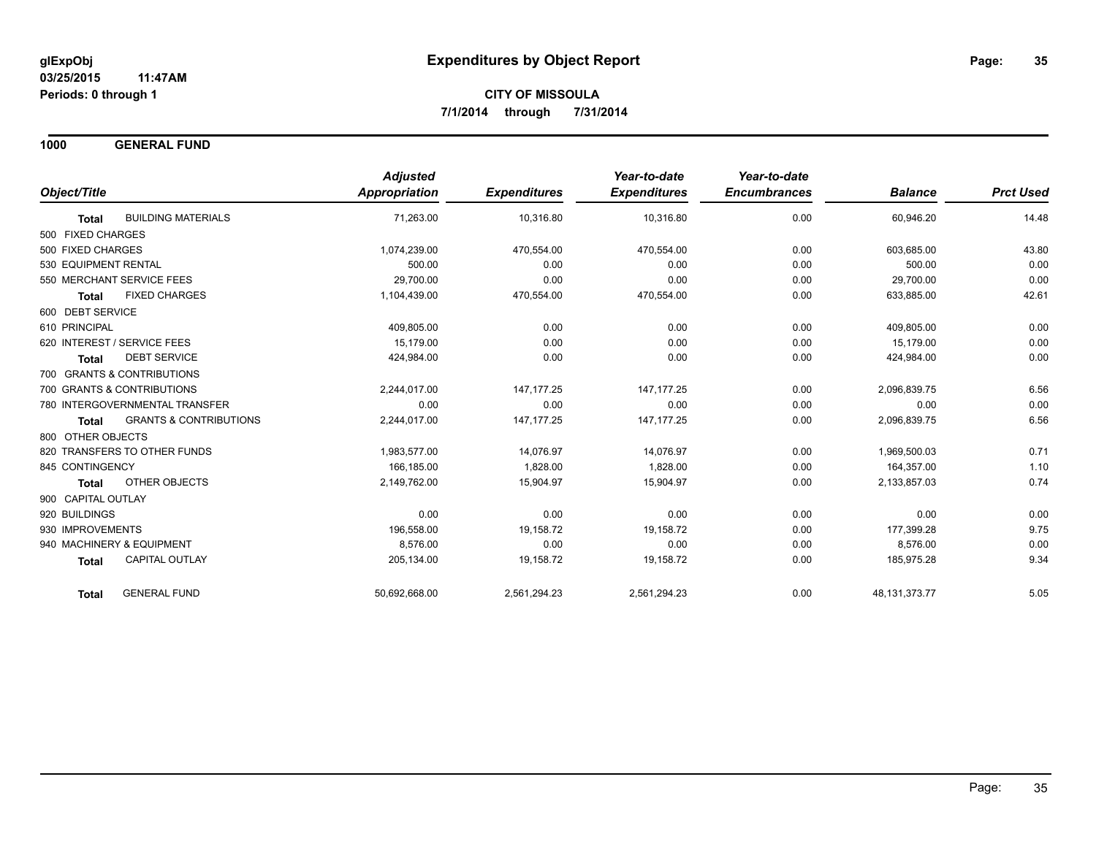**1000 GENERAL FUND**

|                                                   | <b>Adjusted</b> |                     | Year-to-date        | Year-to-date        |                  |                  |
|---------------------------------------------------|-----------------|---------------------|---------------------|---------------------|------------------|------------------|
| Object/Title                                      | Appropriation   | <b>Expenditures</b> | <b>Expenditures</b> | <b>Encumbrances</b> | <b>Balance</b>   | <b>Prct Used</b> |
| <b>BUILDING MATERIALS</b><br><b>Total</b>         | 71,263.00       | 10,316.80           | 10,316.80           | 0.00                | 60,946.20        | 14.48            |
| 500 FIXED CHARGES                                 |                 |                     |                     |                     |                  |                  |
| 500 FIXED CHARGES                                 | 1,074,239.00    | 470,554.00          | 470,554.00          | 0.00                | 603,685.00       | 43.80            |
| 530 EQUIPMENT RENTAL                              | 500.00          | 0.00                | 0.00                | 0.00                | 500.00           | 0.00             |
| 550 MERCHANT SERVICE FEES                         | 29,700.00       | 0.00                | 0.00                | 0.00                | 29,700.00        | 0.00             |
| <b>FIXED CHARGES</b><br><b>Total</b>              | 1,104,439.00    | 470,554.00          | 470,554.00          | 0.00                | 633,885.00       | 42.61            |
| 600 DEBT SERVICE                                  |                 |                     |                     |                     |                  |                  |
| 610 PRINCIPAL                                     | 409,805.00      | 0.00                | 0.00                | 0.00                | 409,805.00       | 0.00             |
| 620 INTEREST / SERVICE FEES                       | 15.179.00       | 0.00                | 0.00                | 0.00                | 15,179.00        | 0.00             |
| <b>DEBT SERVICE</b><br><b>Total</b>               | 424,984.00      | 0.00                | 0.00                | 0.00                | 424,984.00       | 0.00             |
| 700 GRANTS & CONTRIBUTIONS                        |                 |                     |                     |                     |                  |                  |
| 700 GRANTS & CONTRIBUTIONS                        | 2,244,017.00    | 147, 177. 25        | 147, 177. 25        | 0.00                | 2,096,839.75     | 6.56             |
| 780 INTERGOVERNMENTAL TRANSFER                    | 0.00            | 0.00                | 0.00                | 0.00                | 0.00             | 0.00             |
| <b>GRANTS &amp; CONTRIBUTIONS</b><br><b>Total</b> | 2,244,017.00    | 147, 177. 25        | 147, 177. 25        | 0.00                | 2,096,839.75     | 6.56             |
| 800 OTHER OBJECTS                                 |                 |                     |                     |                     |                  |                  |
| 820 TRANSFERS TO OTHER FUNDS                      | 1,983,577.00    | 14,076.97           | 14,076.97           | 0.00                | 1,969,500.03     | 0.71             |
| 845 CONTINGENCY                                   | 166.185.00      | 1.828.00            | 1.828.00            | 0.00                | 164.357.00       | 1.10             |
| <b>OTHER OBJECTS</b><br><b>Total</b>              | 2,149,762.00    | 15,904.97           | 15,904.97           | 0.00                | 2,133,857.03     | 0.74             |
| 900 CAPITAL OUTLAY                                |                 |                     |                     |                     |                  |                  |
| 920 BUILDINGS                                     | 0.00            | 0.00                | 0.00                | 0.00                | 0.00             | 0.00             |
| 930 IMPROVEMENTS                                  | 196,558.00      | 19,158.72           | 19,158.72           | 0.00                | 177,399.28       | 9.75             |
| 940 MACHINERY & EQUIPMENT                         | 8.576.00        | 0.00                | 0.00                | 0.00                | 8.576.00         | 0.00             |
| <b>CAPITAL OUTLAY</b><br><b>Total</b>             | 205,134.00      | 19,158.72           | 19,158.72           | 0.00                | 185.975.28       | 9.34             |
| <b>GENERAL FUND</b><br><b>Total</b>               | 50,692,668.00   | 2,561,294.23        | 2,561,294.23        | 0.00                | 48, 131, 373. 77 | 5.05             |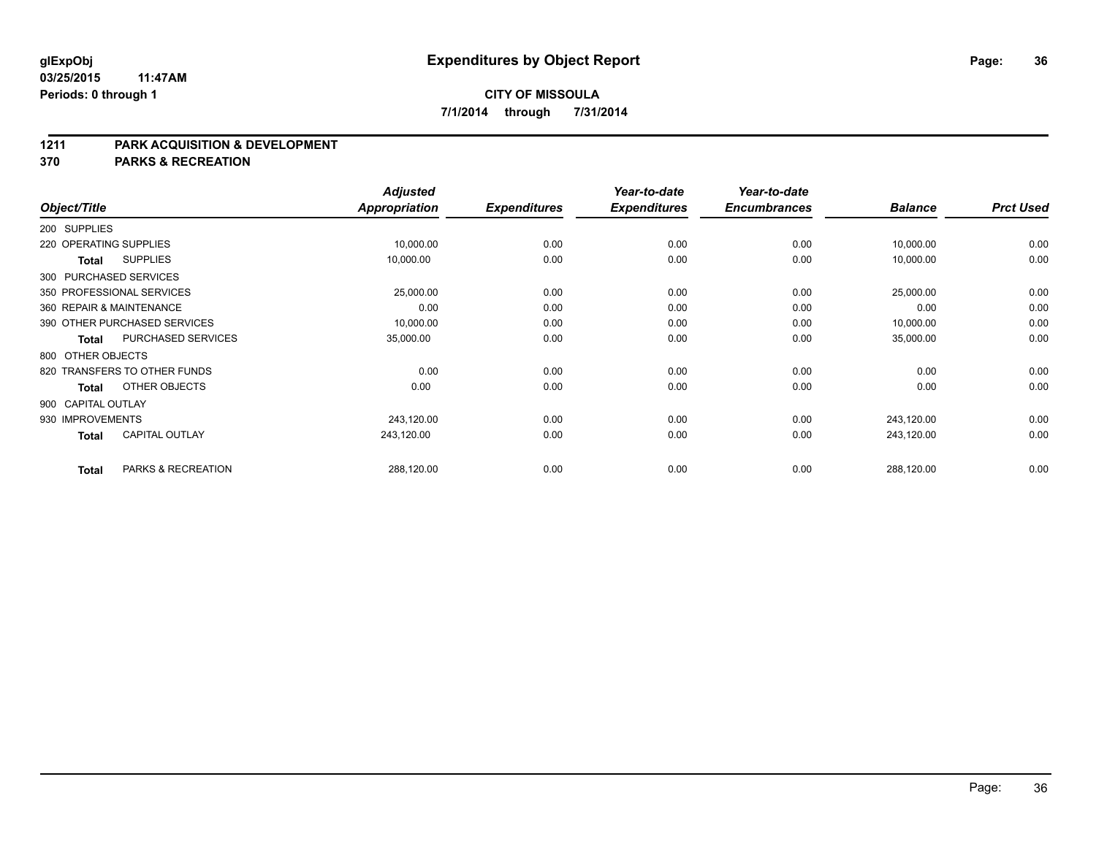#### **1211 PARK ACQUISITION & DEVELOPMENT**

**370 PARKS & RECREATION**

|                    |              |                              | <b>Adjusted</b>      |                     | Year-to-date        | Year-to-date        |                | <b>Prct Used</b> |
|--------------------|--------------|------------------------------|----------------------|---------------------|---------------------|---------------------|----------------|------------------|
| Object/Title       |              |                              | <b>Appropriation</b> | <b>Expenditures</b> | <b>Expenditures</b> | <b>Encumbrances</b> | <b>Balance</b> |                  |
| 200 SUPPLIES       |              |                              |                      |                     |                     |                     |                |                  |
|                    |              | 220 OPERATING SUPPLIES       | 10,000.00            | 0.00                | 0.00                | 0.00                | 10,000.00      | 0.00             |
|                    | <b>Total</b> | <b>SUPPLIES</b>              | 10,000.00            | 0.00                | 0.00                | 0.00                | 10,000.00      | 0.00             |
|                    |              | 300 PURCHASED SERVICES       |                      |                     |                     |                     |                |                  |
|                    |              | 350 PROFESSIONAL SERVICES    | 25,000.00            | 0.00                | 0.00                | 0.00                | 25,000.00      | 0.00             |
|                    |              | 360 REPAIR & MAINTENANCE     | 0.00                 | 0.00                | 0.00                | 0.00                | 0.00           | 0.00             |
|                    |              | 390 OTHER PURCHASED SERVICES | 10,000.00            | 0.00                | 0.00                | 0.00                | 10,000.00      | 0.00             |
|                    | Total        | PURCHASED SERVICES           | 35,000.00            | 0.00                | 0.00                | 0.00                | 35,000.00      | 0.00             |
| 800 OTHER OBJECTS  |              |                              |                      |                     |                     |                     |                |                  |
|                    |              | 820 TRANSFERS TO OTHER FUNDS | 0.00                 | 0.00                | 0.00                | 0.00                | 0.00           | 0.00             |
|                    | <b>Total</b> | OTHER OBJECTS                | 0.00                 | 0.00                | 0.00                | 0.00                | 0.00           | 0.00             |
| 900 CAPITAL OUTLAY |              |                              |                      |                     |                     |                     |                |                  |
| 930 IMPROVEMENTS   |              |                              | 243,120.00           | 0.00                | 0.00                | 0.00                | 243,120.00     | 0.00             |
|                    | <b>Total</b> | <b>CAPITAL OUTLAY</b>        | 243,120.00           | 0.00                | 0.00                | 0.00                | 243,120.00     | 0.00             |
|                    | <b>Total</b> | PARKS & RECREATION           | 288,120.00           | 0.00                | 0.00                | 0.00                | 288,120.00     | 0.00             |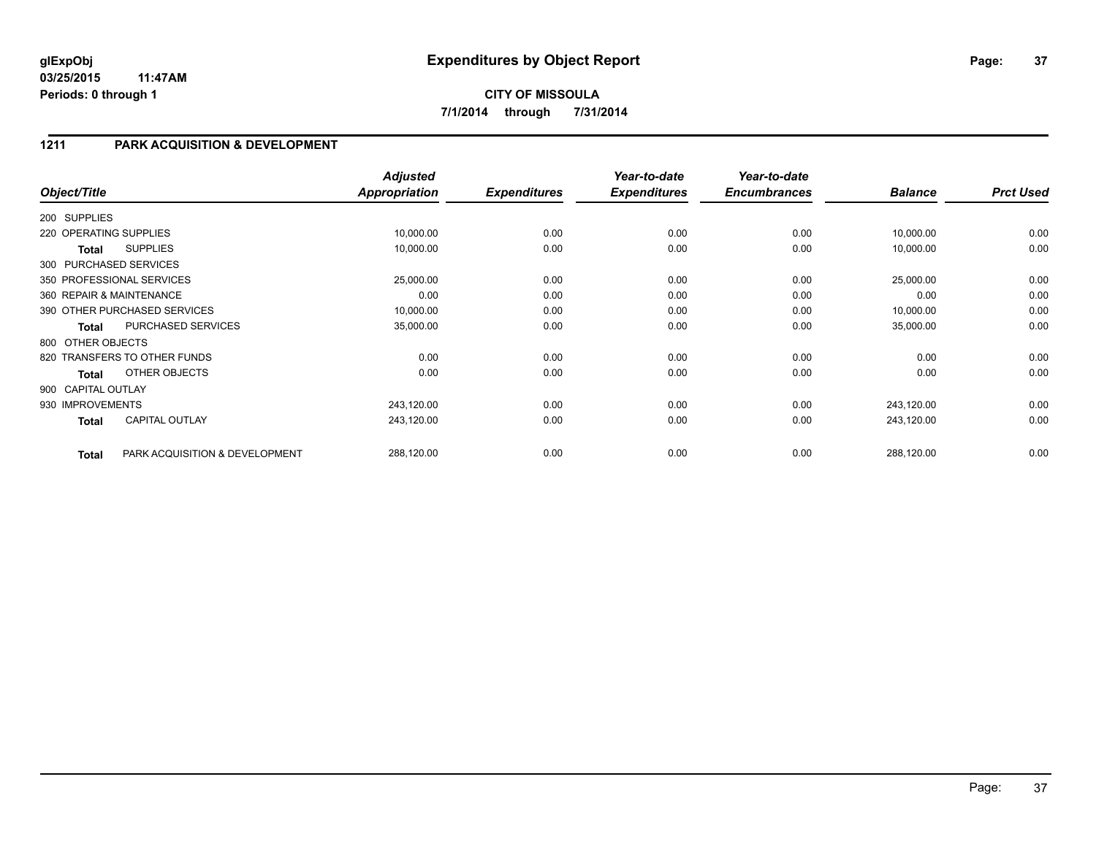### **1211 PARK ACQUISITION & DEVELOPMENT**

| Object/Title           |                                | <b>Adjusted</b><br><b>Appropriation</b> | <b>Expenditures</b> | Year-to-date<br><b>Expenditures</b> | Year-to-date<br><b>Encumbrances</b> | <b>Balance</b> | <b>Prct Used</b> |
|------------------------|--------------------------------|-----------------------------------------|---------------------|-------------------------------------|-------------------------------------|----------------|------------------|
| 200 SUPPLIES           |                                |                                         |                     |                                     |                                     |                |                  |
| 220 OPERATING SUPPLIES |                                | 10,000.00                               | 0.00                | 0.00                                | 0.00                                | 10,000.00      | 0.00             |
| Total                  | <b>SUPPLIES</b>                | 10,000.00                               | 0.00                | 0.00                                | 0.00                                | 10,000.00      | 0.00             |
|                        | 300 PURCHASED SERVICES         |                                         |                     |                                     |                                     |                |                  |
|                        | 350 PROFESSIONAL SERVICES      | 25,000.00                               | 0.00                | 0.00                                | 0.00                                | 25,000.00      | 0.00             |
|                        | 360 REPAIR & MAINTENANCE       | 0.00                                    | 0.00                | 0.00                                | 0.00                                | 0.00           | 0.00             |
|                        | 390 OTHER PURCHASED SERVICES   | 10,000.00                               | 0.00                | 0.00                                | 0.00                                | 10,000.00      | 0.00             |
| <b>Total</b>           | PURCHASED SERVICES             | 35,000.00                               | 0.00                | 0.00                                | 0.00                                | 35,000.00      | 0.00             |
| 800 OTHER OBJECTS      |                                |                                         |                     |                                     |                                     |                |                  |
|                        | 820 TRANSFERS TO OTHER FUNDS   | 0.00                                    | 0.00                | 0.00                                | 0.00                                | 0.00           | 0.00             |
| <b>Total</b>           | OTHER OBJECTS                  | 0.00                                    | 0.00                | 0.00                                | 0.00                                | 0.00           | 0.00             |
| 900 CAPITAL OUTLAY     |                                |                                         |                     |                                     |                                     |                |                  |
| 930 IMPROVEMENTS       |                                | 243,120.00                              | 0.00                | 0.00                                | 0.00                                | 243,120.00     | 0.00             |
| <b>Total</b>           | <b>CAPITAL OUTLAY</b>          | 243,120.00                              | 0.00                | 0.00                                | 0.00                                | 243,120.00     | 0.00             |
| <b>Total</b>           | PARK ACQUISITION & DEVELOPMENT | 288,120.00                              | 0.00                | 0.00                                | 0.00                                | 288,120.00     | 0.00             |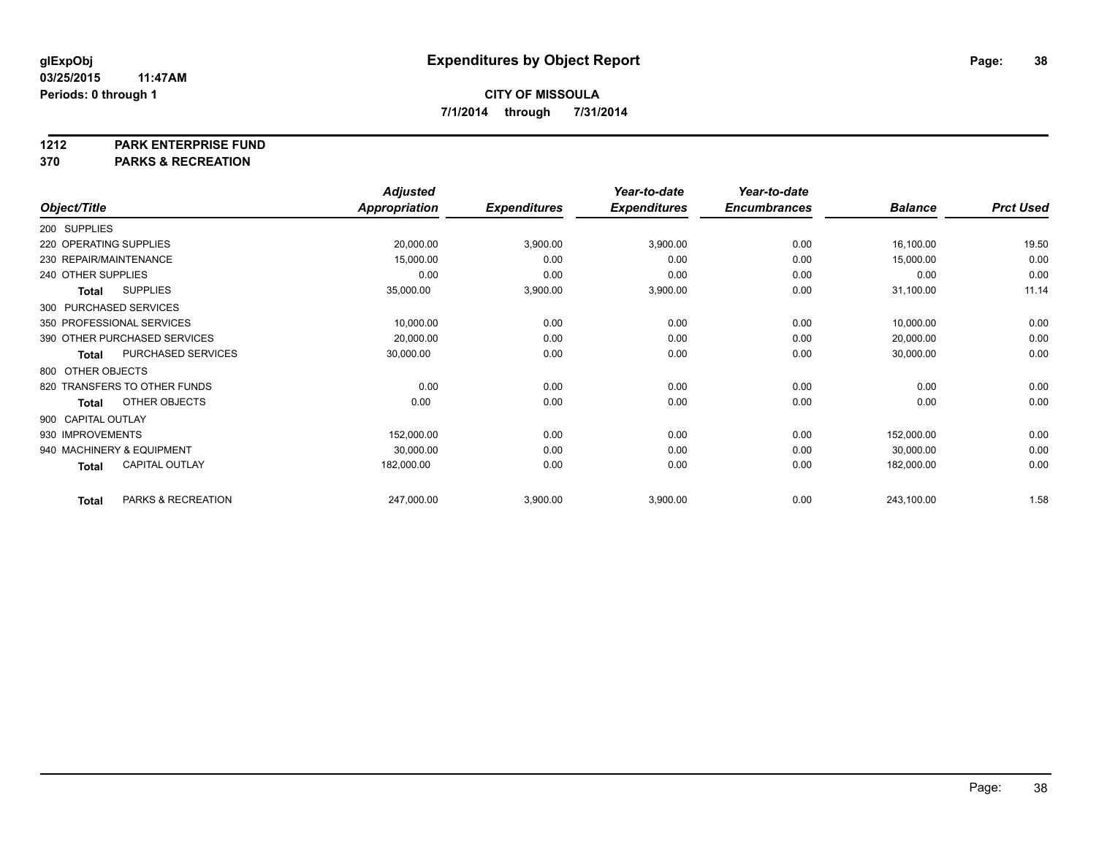#### **1212 PARK ENTERPRISE FUND**

**370 PARKS & RECREATION**

|                        |                              | <b>Adjusted</b> |                     | Year-to-date        | Year-to-date        |                |                  |
|------------------------|------------------------------|-----------------|---------------------|---------------------|---------------------|----------------|------------------|
| Object/Title           |                              | Appropriation   | <b>Expenditures</b> | <b>Expenditures</b> | <b>Encumbrances</b> | <b>Balance</b> | <b>Prct Used</b> |
| 200 SUPPLIES           |                              |                 |                     |                     |                     |                |                  |
| 220 OPERATING SUPPLIES |                              | 20,000.00       | 3,900.00            | 3,900.00            | 0.00                | 16,100.00      | 19.50            |
| 230 REPAIR/MAINTENANCE |                              | 15,000.00       | 0.00                | 0.00                | 0.00                | 15,000.00      | 0.00             |
| 240 OTHER SUPPLIES     |                              | 0.00            | 0.00                | 0.00                | 0.00                | 0.00           | 0.00             |
| <b>Total</b>           | <b>SUPPLIES</b>              | 35,000.00       | 3,900.00            | 3,900.00            | 0.00                | 31,100.00      | 11.14            |
|                        | 300 PURCHASED SERVICES       |                 |                     |                     |                     |                |                  |
|                        | 350 PROFESSIONAL SERVICES    | 10,000.00       | 0.00                | 0.00                | 0.00                | 10,000.00      | 0.00             |
|                        | 390 OTHER PURCHASED SERVICES | 20,000.00       | 0.00                | 0.00                | 0.00                | 20,000.00      | 0.00             |
| Total                  | PURCHASED SERVICES           | 30,000.00       | 0.00                | 0.00                | 0.00                | 30,000.00      | 0.00             |
| 800 OTHER OBJECTS      |                              |                 |                     |                     |                     |                |                  |
|                        | 820 TRANSFERS TO OTHER FUNDS | 0.00            | 0.00                | 0.00                | 0.00                | 0.00           | 0.00             |
| <b>Total</b>           | OTHER OBJECTS                | 0.00            | 0.00                | 0.00                | 0.00                | 0.00           | 0.00             |
| 900 CAPITAL OUTLAY     |                              |                 |                     |                     |                     |                |                  |
| 930 IMPROVEMENTS       |                              | 152,000.00      | 0.00                | 0.00                | 0.00                | 152,000.00     | 0.00             |
|                        | 940 MACHINERY & EQUIPMENT    | 30,000.00       | 0.00                | 0.00                | 0.00                | 30,000.00      | 0.00             |
| <b>Total</b>           | <b>CAPITAL OUTLAY</b>        | 182,000.00      | 0.00                | 0.00                | 0.00                | 182,000.00     | 0.00             |
| <b>Total</b>           | PARKS & RECREATION           | 247,000.00      | 3,900.00            | 3,900.00            | 0.00                | 243,100.00     | 1.58             |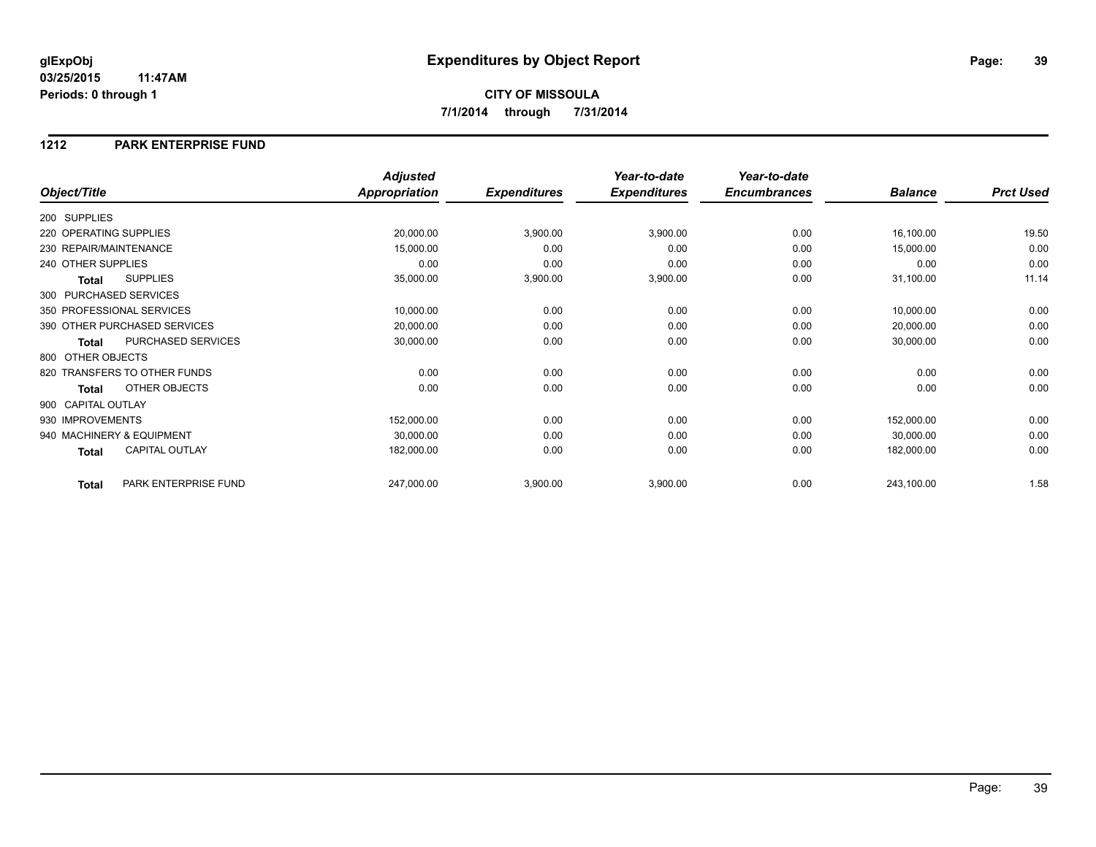### **1212 PARK ENTERPRISE FUND**

|                                       | <b>Adjusted</b>      |                     | Year-to-date        | Year-to-date        |                |                  |
|---------------------------------------|----------------------|---------------------|---------------------|---------------------|----------------|------------------|
| Object/Title                          | <b>Appropriation</b> | <b>Expenditures</b> | <b>Expenditures</b> | <b>Encumbrances</b> | <b>Balance</b> | <b>Prct Used</b> |
| 200 SUPPLIES                          |                      |                     |                     |                     |                |                  |
| 220 OPERATING SUPPLIES                | 20,000.00            | 3,900.00            | 3,900.00            | 0.00                | 16,100.00      | 19.50            |
| 230 REPAIR/MAINTENANCE                | 15,000.00            | 0.00                | 0.00                | 0.00                | 15,000.00      | 0.00             |
| 240 OTHER SUPPLIES                    | 0.00                 | 0.00                | 0.00                | 0.00                | 0.00           | 0.00             |
| <b>SUPPLIES</b><br>Total              | 35,000.00            | 3,900.00            | 3,900.00            | 0.00                | 31,100.00      | 11.14            |
| 300 PURCHASED SERVICES                |                      |                     |                     |                     |                |                  |
| 350 PROFESSIONAL SERVICES             | 10,000.00            | 0.00                | 0.00                | 0.00                | 10,000.00      | 0.00             |
| 390 OTHER PURCHASED SERVICES          | 20,000.00            | 0.00                | 0.00                | 0.00                | 20,000.00      | 0.00             |
| PURCHASED SERVICES<br><b>Total</b>    | 30,000.00            | 0.00                | 0.00                | 0.00                | 30,000.00      | 0.00             |
| 800 OTHER OBJECTS                     |                      |                     |                     |                     |                |                  |
| 820 TRANSFERS TO OTHER FUNDS          | 0.00                 | 0.00                | 0.00                | 0.00                | 0.00           | 0.00             |
| OTHER OBJECTS<br>Total                | 0.00                 | 0.00                | 0.00                | 0.00                | 0.00           | 0.00             |
| 900 CAPITAL OUTLAY                    |                      |                     |                     |                     |                |                  |
| 930 IMPROVEMENTS                      | 152,000.00           | 0.00                | 0.00                | 0.00                | 152,000.00     | 0.00             |
| 940 MACHINERY & EQUIPMENT             | 30,000.00            | 0.00                | 0.00                | 0.00                | 30,000.00      | 0.00             |
| <b>CAPITAL OUTLAY</b><br><b>Total</b> | 182,000.00           | 0.00                | 0.00                | 0.00                | 182,000.00     | 0.00             |
| PARK ENTERPRISE FUND<br><b>Total</b>  | 247,000.00           | 3,900.00            | 3,900.00            | 0.00                | 243,100.00     | 1.58             |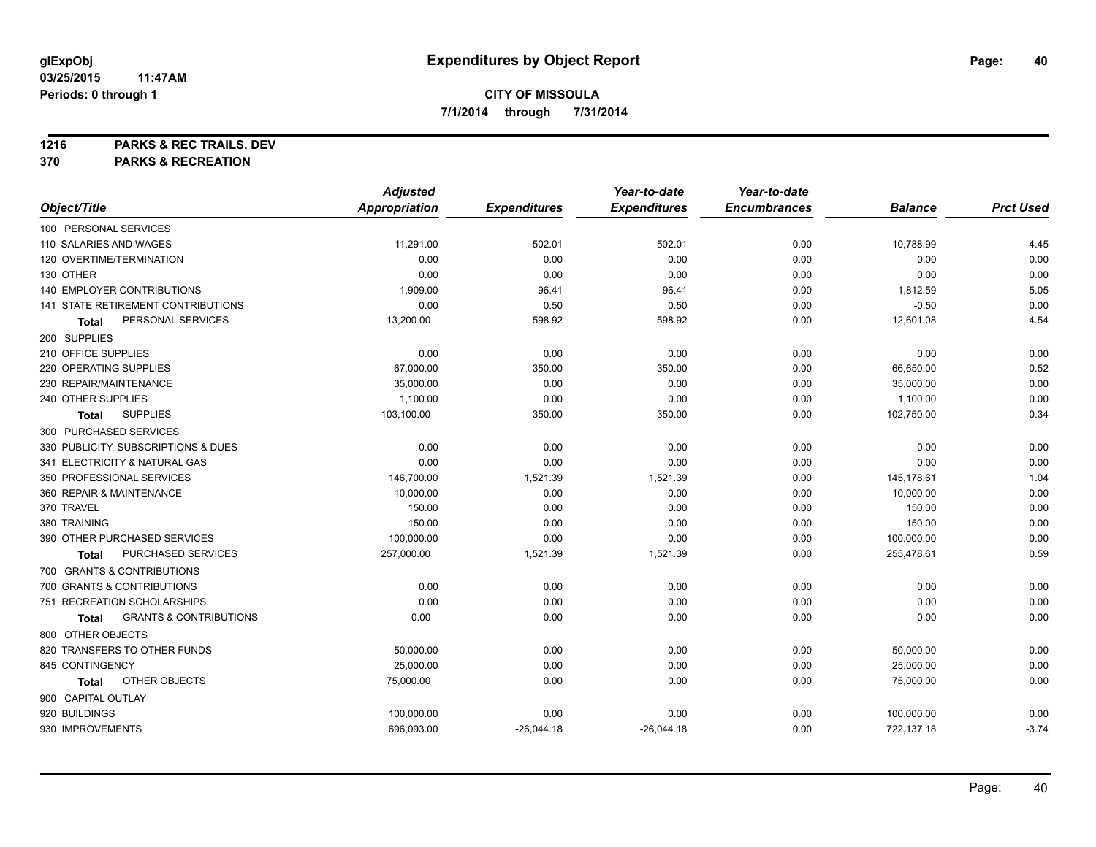**1216 PARKS & REC TRAILS, DEV**

**370 PARKS & RECREATION**

|                                            | <b>Adjusted</b>      |                     | Year-to-date        | Year-to-date        |                |                  |
|--------------------------------------------|----------------------|---------------------|---------------------|---------------------|----------------|------------------|
| Object/Title                               | <b>Appropriation</b> | <b>Expenditures</b> | <b>Expenditures</b> | <b>Encumbrances</b> | <b>Balance</b> | <b>Prct Used</b> |
| 100 PERSONAL SERVICES                      |                      |                     |                     |                     |                |                  |
| 110 SALARIES AND WAGES                     | 11,291.00            | 502.01              | 502.01              | 0.00                | 10,788.99      | 4.45             |
| 120 OVERTIME/TERMINATION                   | 0.00                 | 0.00                | 0.00                | 0.00                | 0.00           | 0.00             |
| 130 OTHER                                  | 0.00                 | 0.00                | 0.00                | 0.00                | 0.00           | 0.00             |
| 140 EMPLOYER CONTRIBUTIONS                 | 1,909.00             | 96.41               | 96.41               | 0.00                | 1,812.59       | 5.05             |
| <b>141 STATE RETIREMENT CONTRIBUTIONS</b>  | 0.00                 | 0.50                | 0.50                | 0.00                | $-0.50$        | 0.00             |
| PERSONAL SERVICES<br>Total                 | 13,200.00            | 598.92              | 598.92              | 0.00                | 12,601.08      | 4.54             |
| 200 SUPPLIES                               |                      |                     |                     |                     |                |                  |
| 210 OFFICE SUPPLIES                        | 0.00                 | 0.00                | 0.00                | 0.00                | 0.00           | 0.00             |
| 220 OPERATING SUPPLIES                     | 67,000.00            | 350.00              | 350.00              | 0.00                | 66,650.00      | 0.52             |
| 230 REPAIR/MAINTENANCE                     | 35,000.00            | 0.00                | 0.00                | 0.00                | 35,000.00      | 0.00             |
| 240 OTHER SUPPLIES                         | 1,100.00             | 0.00                | 0.00                | 0.00                | 1,100.00       | 0.00             |
| <b>SUPPLIES</b><br>Total                   | 103,100.00           | 350.00              | 350.00              | 0.00                | 102,750.00     | 0.34             |
| 300 PURCHASED SERVICES                     |                      |                     |                     |                     |                |                  |
| 330 PUBLICITY, SUBSCRIPTIONS & DUES        | 0.00                 | 0.00                | 0.00                | 0.00                | 0.00           | 0.00             |
| 341 ELECTRICITY & NATURAL GAS              | 0.00                 | 0.00                | 0.00                | 0.00                | 0.00           | 0.00             |
| 350 PROFESSIONAL SERVICES                  | 146,700.00           | 1,521.39            | 1,521.39            | 0.00                | 145,178.61     | 1.04             |
| 360 REPAIR & MAINTENANCE                   | 10,000.00            | 0.00                | 0.00                | 0.00                | 10,000.00      | 0.00             |
| 370 TRAVEL                                 | 150.00               | 0.00                | 0.00                | 0.00                | 150.00         | 0.00             |
| 380 TRAINING                               | 150.00               | 0.00                | 0.00                | 0.00                | 150.00         | 0.00             |
| 390 OTHER PURCHASED SERVICES               | 100,000.00           | 0.00                | 0.00                | 0.00                | 100,000.00     | 0.00             |
| PURCHASED SERVICES<br>Total                | 257,000.00           | 1,521.39            | 1,521.39            | 0.00                | 255,478.61     | 0.59             |
| 700 GRANTS & CONTRIBUTIONS                 |                      |                     |                     |                     |                |                  |
| 700 GRANTS & CONTRIBUTIONS                 | 0.00                 | 0.00                | 0.00                | 0.00                | 0.00           | 0.00             |
| 751 RECREATION SCHOLARSHIPS                | 0.00                 | 0.00                | 0.00                | 0.00                | 0.00           | 0.00             |
| <b>GRANTS &amp; CONTRIBUTIONS</b><br>Total | 0.00                 | 0.00                | 0.00                | 0.00                | 0.00           | 0.00             |
| 800 OTHER OBJECTS                          |                      |                     |                     |                     |                |                  |
| 820 TRANSFERS TO OTHER FUNDS               | 50,000.00            | 0.00                | 0.00                | 0.00                | 50,000.00      | 0.00             |
| 845 CONTINGENCY                            | 25,000.00            | 0.00                | 0.00                | 0.00                | 25,000.00      | 0.00             |
| OTHER OBJECTS<br>Total                     | 75,000.00            | 0.00                | 0.00                | 0.00                | 75,000.00      | 0.00             |
| 900 CAPITAL OUTLAY                         |                      |                     |                     |                     |                |                  |
| 920 BUILDINGS                              | 100,000.00           | 0.00                | 0.00                | 0.00                | 100,000.00     | 0.00             |
| 930 IMPROVEMENTS                           | 696,093.00           | $-26,044.18$        | $-26,044.18$        | 0.00                | 722,137.18     | $-3.74$          |
|                                            |                      |                     |                     |                     |                |                  |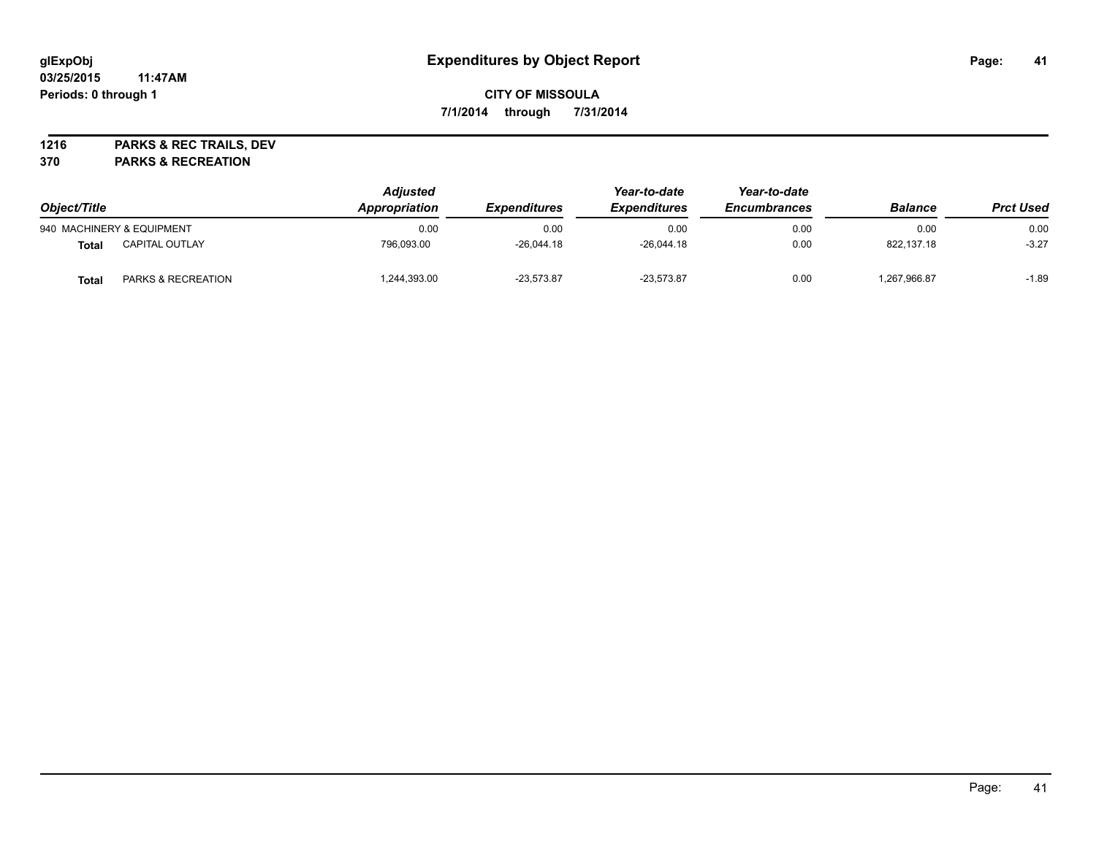# **glExpObj Expenditures by Object Report Page: 41**

# **CITY OF MISSOULA 7/1/2014 through 7/31/2014**

**1216 PARKS & REC TRAILS, DEV**

**370 PARKS & RECREATION**

| Object/Title |                           | <b>Adjusted</b><br>Appropriation | <b>Expenditures</b> | Year-to-date<br><b>Expenditures</b> | Year-to-date<br><b>Encumbrances</b> | <b>Balance</b> | <b>Prct Used</b> |
|--------------|---------------------------|----------------------------------|---------------------|-------------------------------------|-------------------------------------|----------------|------------------|
|              | 940 MACHINERY & EQUIPMENT | 0.00                             | 0.00                | 0.00                                | 0.00                                | 0.00           | 0.00             |
| <b>Total</b> | <b>CAPITAL OUTLAY</b>     | 796.093.00                       | $-26.044.18$        | $-26.044.18$                        | 0.00                                | 822.137.18     | $-3.27$          |
| <b>Total</b> | PARKS & RECREATION        | ,244,393.00                      | $-23.573.87$        | $-23.573.87$                        | 0.00                                | ,267,966.87    | $-1.89$          |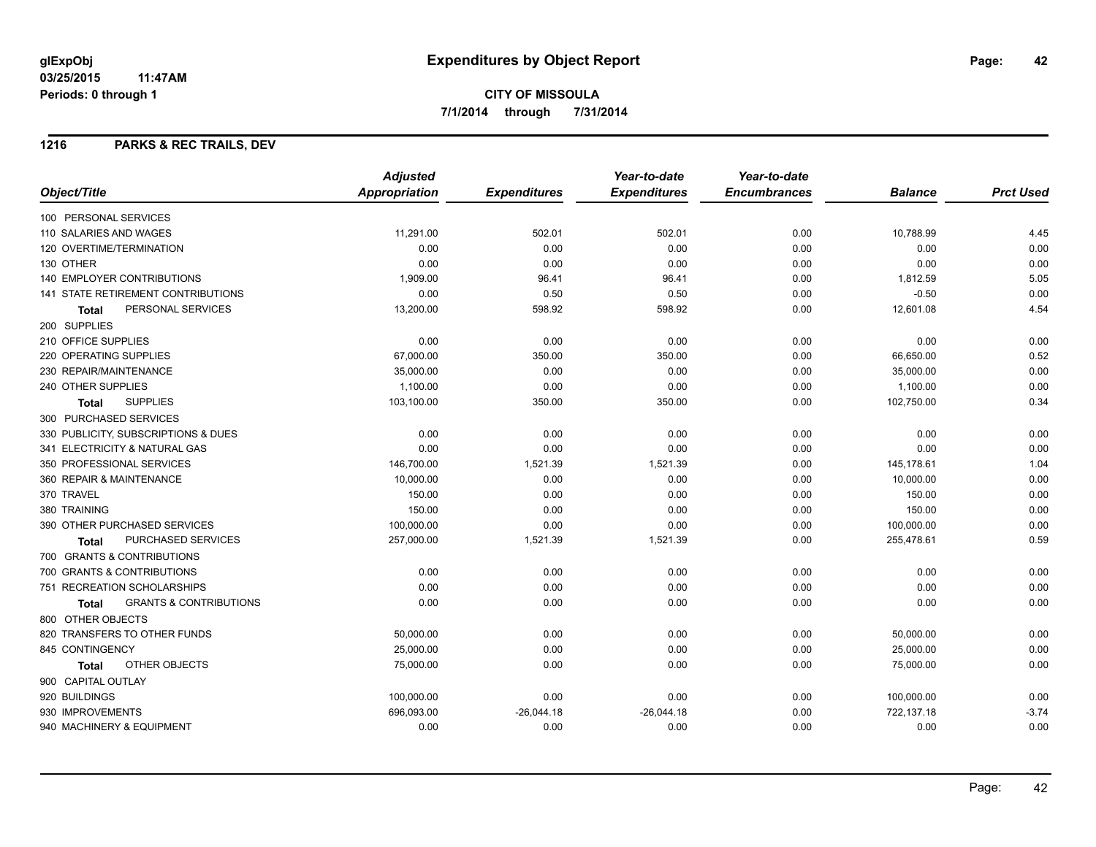# **CITY OF MISSOULA 7/1/2014 through 7/31/2014**

### **1216 PARKS & REC TRAILS, DEV**

|                                                   | <b>Adjusted</b> |                     | Year-to-date        | Year-to-date        |                |                  |
|---------------------------------------------------|-----------------|---------------------|---------------------|---------------------|----------------|------------------|
| Object/Title                                      | Appropriation   | <b>Expenditures</b> | <b>Expenditures</b> | <b>Encumbrances</b> | <b>Balance</b> | <b>Prct Used</b> |
| 100 PERSONAL SERVICES                             |                 |                     |                     |                     |                |                  |
| 110 SALARIES AND WAGES                            | 11,291.00       | 502.01              | 502.01              | 0.00                | 10,788.99      | 4.45             |
| 120 OVERTIME/TERMINATION                          | 0.00            | 0.00                | 0.00                | 0.00                | 0.00           | 0.00             |
| 130 OTHER                                         | 0.00            | 0.00                | 0.00                | 0.00                | 0.00           | 0.00             |
| <b>140 EMPLOYER CONTRIBUTIONS</b>                 | 1,909.00        | 96.41               | 96.41               | 0.00                | 1,812.59       | 5.05             |
| <b>141 STATE RETIREMENT CONTRIBUTIONS</b>         | 0.00            | 0.50                | 0.50                | 0.00                | $-0.50$        | 0.00             |
| PERSONAL SERVICES<br><b>Total</b>                 | 13,200.00       | 598.92              | 598.92              | 0.00                | 12,601.08      | 4.54             |
| 200 SUPPLIES                                      |                 |                     |                     |                     |                |                  |
| 210 OFFICE SUPPLIES                               | 0.00            | 0.00                | 0.00                | 0.00                | 0.00           | 0.00             |
| 220 OPERATING SUPPLIES                            | 67,000.00       | 350.00              | 350.00              | 0.00                | 66,650.00      | 0.52             |
| 230 REPAIR/MAINTENANCE                            | 35,000.00       | 0.00                | 0.00                | 0.00                | 35,000.00      | 0.00             |
| 240 OTHER SUPPLIES                                | 1,100.00        | 0.00                | 0.00                | 0.00                | 1,100.00       | 0.00             |
| <b>SUPPLIES</b><br><b>Total</b>                   | 103,100.00      | 350.00              | 350.00              | 0.00                | 102,750.00     | 0.34             |
| 300 PURCHASED SERVICES                            |                 |                     |                     |                     |                |                  |
| 330 PUBLICITY, SUBSCRIPTIONS & DUES               | 0.00            | 0.00                | 0.00                | 0.00                | 0.00           | 0.00             |
| 341 ELECTRICITY & NATURAL GAS                     | 0.00            | 0.00                | 0.00                | 0.00                | 0.00           | 0.00             |
| 350 PROFESSIONAL SERVICES                         | 146,700.00      | 1,521.39            | 1,521.39            | 0.00                | 145,178.61     | 1.04             |
| 360 REPAIR & MAINTENANCE                          | 10,000.00       | 0.00                | 0.00                | 0.00                | 10,000.00      | 0.00             |
| 370 TRAVEL                                        | 150.00          | 0.00                | 0.00                | 0.00                | 150.00         | 0.00             |
| 380 TRAINING                                      | 150.00          | 0.00                | 0.00                | 0.00                | 150.00         | 0.00             |
| 390 OTHER PURCHASED SERVICES                      | 100,000.00      | 0.00                | 0.00                | 0.00                | 100,000.00     | 0.00             |
| <b>PURCHASED SERVICES</b><br>Total                | 257,000.00      | 1,521.39            | 1,521.39            | 0.00                | 255,478.61     | 0.59             |
| 700 GRANTS & CONTRIBUTIONS                        |                 |                     |                     |                     |                |                  |
| 700 GRANTS & CONTRIBUTIONS                        | 0.00            | 0.00                | 0.00                | 0.00                | 0.00           | 0.00             |
| 751 RECREATION SCHOLARSHIPS                       | 0.00            | 0.00                | 0.00                | 0.00                | 0.00           | 0.00             |
| <b>GRANTS &amp; CONTRIBUTIONS</b><br><b>Total</b> | 0.00            | 0.00                | 0.00                | 0.00                | 0.00           | 0.00             |
| 800 OTHER OBJECTS                                 |                 |                     |                     |                     |                |                  |
| 820 TRANSFERS TO OTHER FUNDS                      | 50,000.00       | 0.00                | 0.00                | 0.00                | 50,000.00      | 0.00             |
| 845 CONTINGENCY                                   | 25,000.00       | 0.00                | 0.00                | 0.00                | 25,000.00      | 0.00             |
| OTHER OBJECTS<br>Total                            | 75,000.00       | 0.00                | 0.00                | 0.00                | 75,000.00      | 0.00             |
| 900 CAPITAL OUTLAY                                |                 |                     |                     |                     |                |                  |
| 920 BUILDINGS                                     | 100,000.00      | 0.00                | 0.00                | 0.00                | 100,000.00     | 0.00             |
| 930 IMPROVEMENTS                                  | 696,093.00      | $-26,044.18$        | $-26,044.18$        | 0.00                | 722,137.18     | $-3.74$          |
| 940 MACHINERY & EQUIPMENT                         | 0.00            | 0.00                | 0.00                | 0.00                | 0.00           | 0.00             |
|                                                   |                 |                     |                     |                     |                |                  |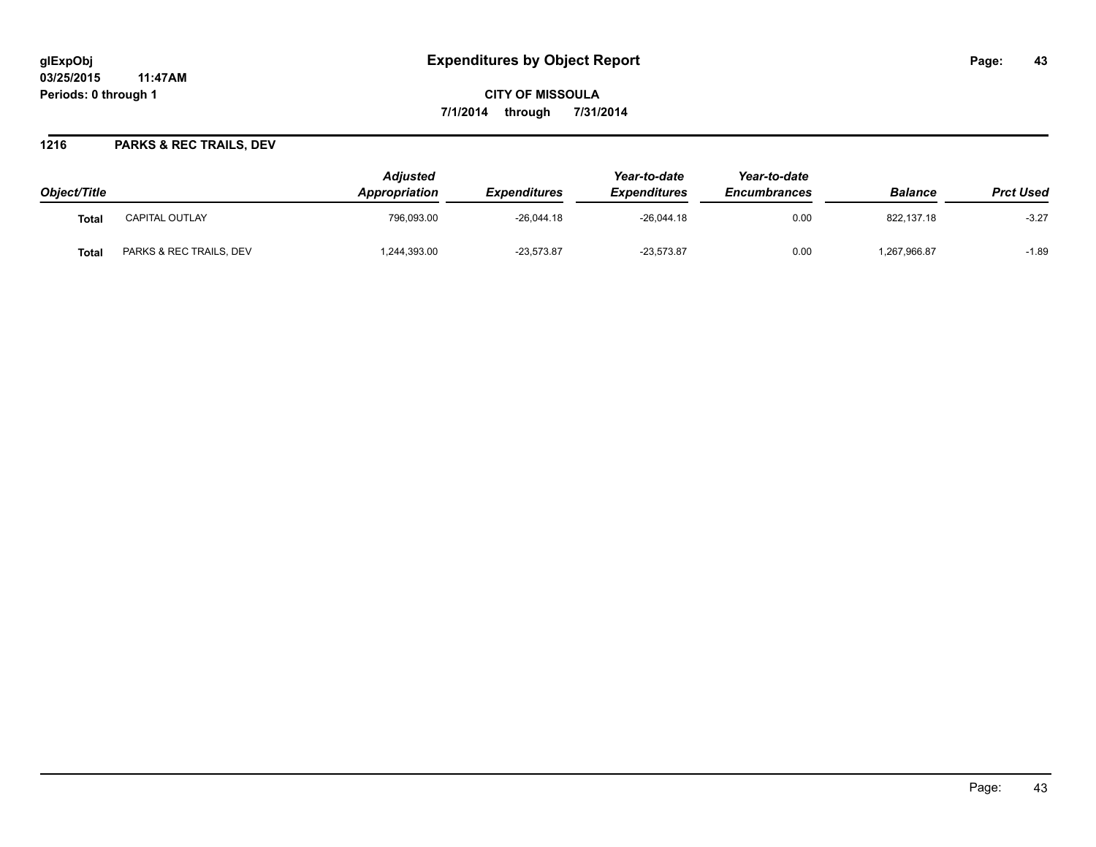# **glExpObj Expenditures by Object Report Page: 43**

**03/25/2015 11:47AM Periods: 0 through 1**

**CITY OF MISSOULA 7/1/2014 through 7/31/2014**

### **1216 PARKS & REC TRAILS, DEV**

| Object/Title |                         | <b>Adiusted</b><br><b>Appropriation</b> | <i><b>Expenditures</b></i> | Year-to-date<br><b>Expenditures</b> | Year-to-date<br><b>Encumbrances</b> | <b>Balance</b> | <b>Prct Used</b> |
|--------------|-------------------------|-----------------------------------------|----------------------------|-------------------------------------|-------------------------------------|----------------|------------------|
| Tota.        | <b>CAPITAL OUTLAY</b>   | 796.093.00                              | $-26,044.18$               | $-26.044.18$                        | 0.00                                | 822.137.18     | $-3.27$          |
| Tota.        | PARKS & REC TRAILS, DEV | ,244,393.00                             | $-23,573.87$               | $-23,573.87$                        | 0.00                                | .267,966.87    | $-1.89$          |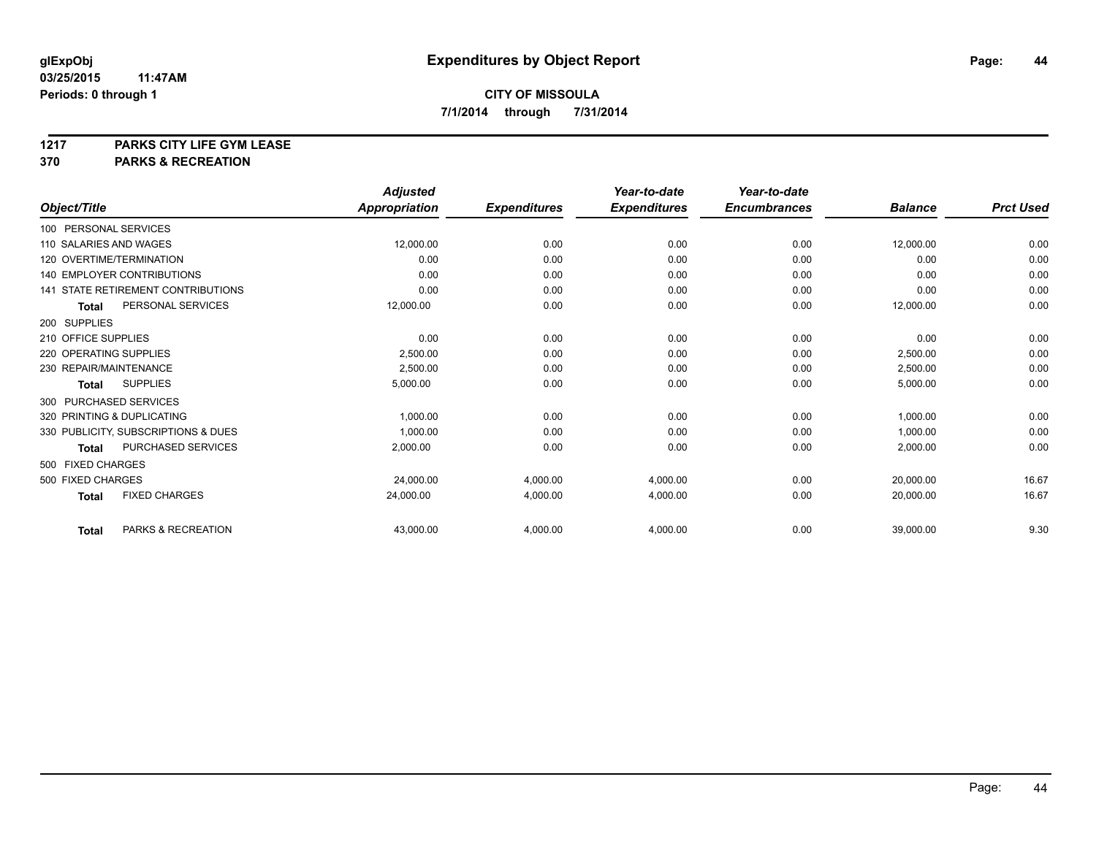# **1217 PARKS CITY LIFE GYM LEASE**

### **370 PARKS & RECREATION**

|                            |                                           | <b>Adjusted</b>      |                     | Year-to-date        | Year-to-date        |                |                  |
|----------------------------|-------------------------------------------|----------------------|---------------------|---------------------|---------------------|----------------|------------------|
| Object/Title               |                                           | <b>Appropriation</b> | <b>Expenditures</b> | <b>Expenditures</b> | <b>Encumbrances</b> | <b>Balance</b> | <b>Prct Used</b> |
| 100 PERSONAL SERVICES      |                                           |                      |                     |                     |                     |                |                  |
| 110 SALARIES AND WAGES     |                                           | 12,000.00            | 0.00                | 0.00                | 0.00                | 12,000.00      | 0.00             |
| 120 OVERTIME/TERMINATION   |                                           | 0.00                 | 0.00                | 0.00                | 0.00                | 0.00           | 0.00             |
|                            | 140 EMPLOYER CONTRIBUTIONS                | 0.00                 | 0.00                | 0.00                | 0.00                | 0.00           | 0.00             |
|                            | <b>141 STATE RETIREMENT CONTRIBUTIONS</b> | 0.00                 | 0.00                | 0.00                | 0.00                | 0.00           | 0.00             |
| <b>Total</b>               | PERSONAL SERVICES                         | 12,000.00            | 0.00                | 0.00                | 0.00                | 12,000.00      | 0.00             |
| 200 SUPPLIES               |                                           |                      |                     |                     |                     |                |                  |
| 210 OFFICE SUPPLIES        |                                           | 0.00                 | 0.00                | 0.00                | 0.00                | 0.00           | 0.00             |
| 220 OPERATING SUPPLIES     |                                           | 2,500.00             | 0.00                | 0.00                | 0.00                | 2,500.00       | 0.00             |
| 230 REPAIR/MAINTENANCE     |                                           | 2,500.00             | 0.00                | 0.00                | 0.00                | 2,500.00       | 0.00             |
| <b>Total</b>               | <b>SUPPLIES</b>                           | 5,000.00             | 0.00                | 0.00                | 0.00                | 5,000.00       | 0.00             |
| 300 PURCHASED SERVICES     |                                           |                      |                     |                     |                     |                |                  |
| 320 PRINTING & DUPLICATING |                                           | 1,000.00             | 0.00                | 0.00                | 0.00                | 1,000.00       | 0.00             |
|                            | 330 PUBLICITY, SUBSCRIPTIONS & DUES       | 1,000.00             | 0.00                | 0.00                | 0.00                | 1,000.00       | 0.00             |
| <b>Total</b>               | PURCHASED SERVICES                        | 2,000.00             | 0.00                | 0.00                | 0.00                | 2,000.00       | 0.00             |
| 500 FIXED CHARGES          |                                           |                      |                     |                     |                     |                |                  |
| 500 FIXED CHARGES          |                                           | 24,000.00            | 4,000.00            | 4,000.00            | 0.00                | 20,000.00      | 16.67            |
| <b>Total</b>               | <b>FIXED CHARGES</b>                      | 24,000.00            | 4,000.00            | 4,000.00            | 0.00                | 20.000.00      | 16.67            |
| <b>Total</b>               | PARKS & RECREATION                        | 43,000.00            | 4,000.00            | 4,000.00            | 0.00                | 39,000.00      | 9.30             |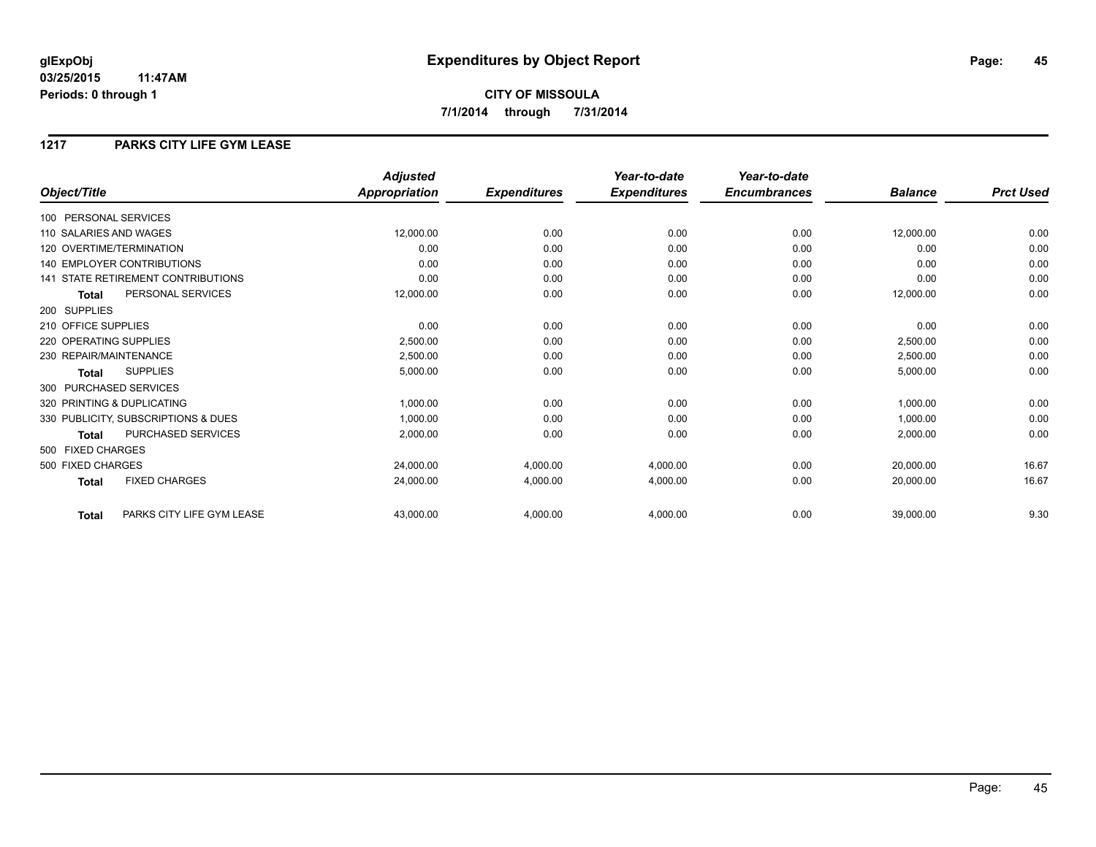# **CITY OF MISSOULA 7/1/2014 through 7/31/2014**

### **1217 PARKS CITY LIFE GYM LEASE**

|                                           | <b>Adjusted</b>      |                     | Year-to-date        | Year-to-date        |                |                  |
|-------------------------------------------|----------------------|---------------------|---------------------|---------------------|----------------|------------------|
| Object/Title                              | <b>Appropriation</b> | <b>Expenditures</b> | <b>Expenditures</b> | <b>Encumbrances</b> | <b>Balance</b> | <b>Prct Used</b> |
| 100 PERSONAL SERVICES                     |                      |                     |                     |                     |                |                  |
| 110 SALARIES AND WAGES                    | 12,000.00            | 0.00                | 0.00                | 0.00                | 12,000.00      | 0.00             |
| 120 OVERTIME/TERMINATION                  | 0.00                 | 0.00                | 0.00                | 0.00                | 0.00           | 0.00             |
| 140 EMPLOYER CONTRIBUTIONS                | 0.00                 | 0.00                | 0.00                | 0.00                | 0.00           | 0.00             |
| 141 STATE RETIREMENT CONTRIBUTIONS        | 0.00                 | 0.00                | 0.00                | 0.00                | 0.00           | 0.00             |
| PERSONAL SERVICES<br><b>Total</b>         | 12,000.00            | 0.00                | 0.00                | 0.00                | 12,000.00      | 0.00             |
| 200 SUPPLIES                              |                      |                     |                     |                     |                |                  |
| 210 OFFICE SUPPLIES                       | 0.00                 | 0.00                | 0.00                | 0.00                | 0.00           | 0.00             |
| 220 OPERATING SUPPLIES                    | 2,500.00             | 0.00                | 0.00                | 0.00                | 2,500.00       | 0.00             |
| 230 REPAIR/MAINTENANCE                    | 2,500.00             | 0.00                | 0.00                | 0.00                | 2,500.00       | 0.00             |
| <b>SUPPLIES</b><br><b>Total</b>           | 5,000.00             | 0.00                | 0.00                | 0.00                | 5,000.00       | 0.00             |
| 300 PURCHASED SERVICES                    |                      |                     |                     |                     |                |                  |
| 320 PRINTING & DUPLICATING                | 1,000.00             | 0.00                | 0.00                | 0.00                | 1,000.00       | 0.00             |
| 330 PUBLICITY, SUBSCRIPTIONS & DUES       | 1,000.00             | 0.00                | 0.00                | 0.00                | 1,000.00       | 0.00             |
| <b>PURCHASED SERVICES</b><br><b>Total</b> | 2,000.00             | 0.00                | 0.00                | 0.00                | 2,000.00       | 0.00             |
| 500 FIXED CHARGES                         |                      |                     |                     |                     |                |                  |
| 500 FIXED CHARGES                         | 24,000.00            | 4,000.00            | 4,000.00            | 0.00                | 20,000.00      | 16.67            |
| <b>FIXED CHARGES</b><br><b>Total</b>      | 24,000.00            | 4,000.00            | 4,000.00            | 0.00                | 20,000.00      | 16.67            |
| PARKS CITY LIFE GYM LEASE<br><b>Total</b> | 43,000.00            | 4,000.00            | 4,000.00            | 0.00                | 39,000.00      | 9.30             |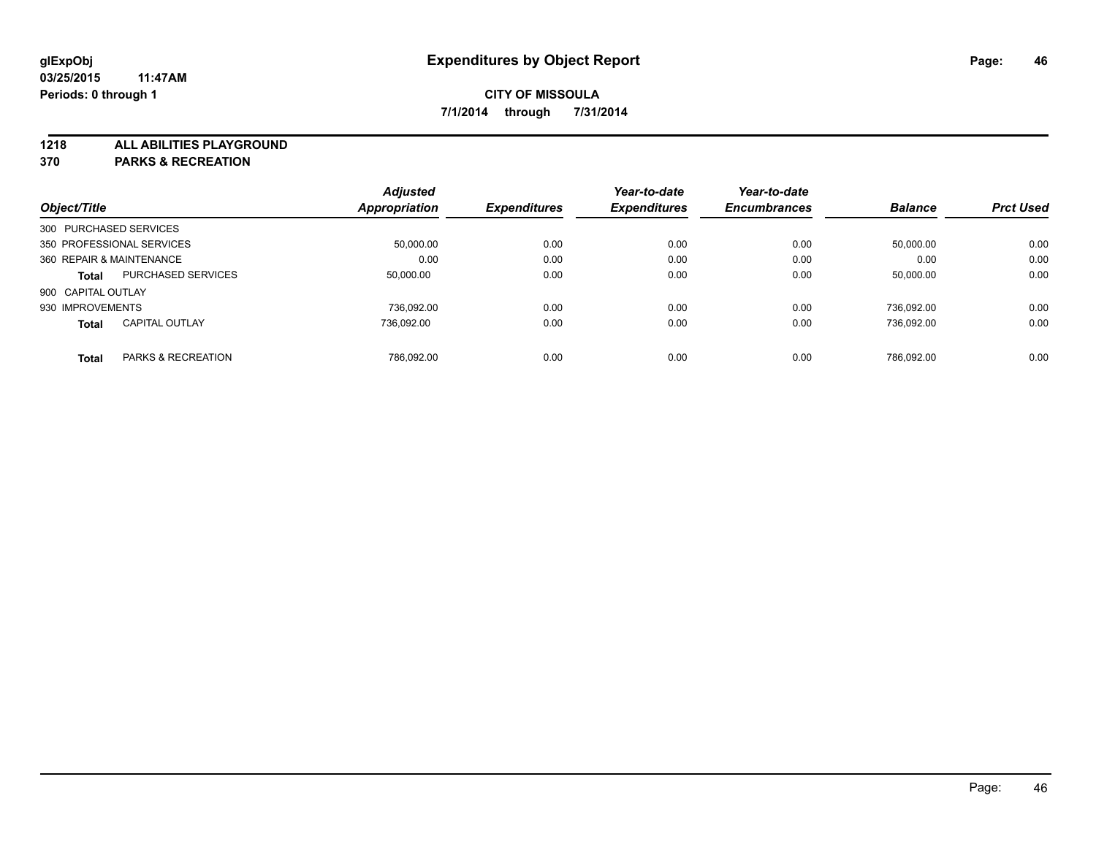**1218 ALL ABILITIES PLAYGROUND**

**370 PARKS & RECREATION**

|                          |                           | <b>Adjusted</b>      |                     | Year-to-date        | Year-to-date        |                |                  |
|--------------------------|---------------------------|----------------------|---------------------|---------------------|---------------------|----------------|------------------|
| Object/Title             |                           | <b>Appropriation</b> | <b>Expenditures</b> | <b>Expenditures</b> | <b>Encumbrances</b> | <b>Balance</b> | <b>Prct Used</b> |
| 300 PURCHASED SERVICES   |                           |                      |                     |                     |                     |                |                  |
|                          | 350 PROFESSIONAL SERVICES | 50,000.00            | 0.00                | 0.00                | 0.00                | 50,000.00      | 0.00             |
| 360 REPAIR & MAINTENANCE |                           | 0.00                 | 0.00                | 0.00                | 0.00                | 0.00           | 0.00             |
| <b>Total</b>             | <b>PURCHASED SERVICES</b> | 50.000.00            | 0.00                | 0.00                | 0.00                | 50,000.00      | 0.00             |
| 900 CAPITAL OUTLAY       |                           |                      |                     |                     |                     |                |                  |
| 930 IMPROVEMENTS         |                           | 736.092.00           | 0.00                | 0.00                | 0.00                | 736.092.00     | 0.00             |
| <b>Total</b>             | <b>CAPITAL OUTLAY</b>     | 736.092.00           | 0.00                | 0.00                | 0.00                | 736.092.00     | 0.00             |
| <b>Total</b>             | PARKS & RECREATION        | 786.092.00           | 0.00                | 0.00                | 0.00                | 786.092.00     | 0.00             |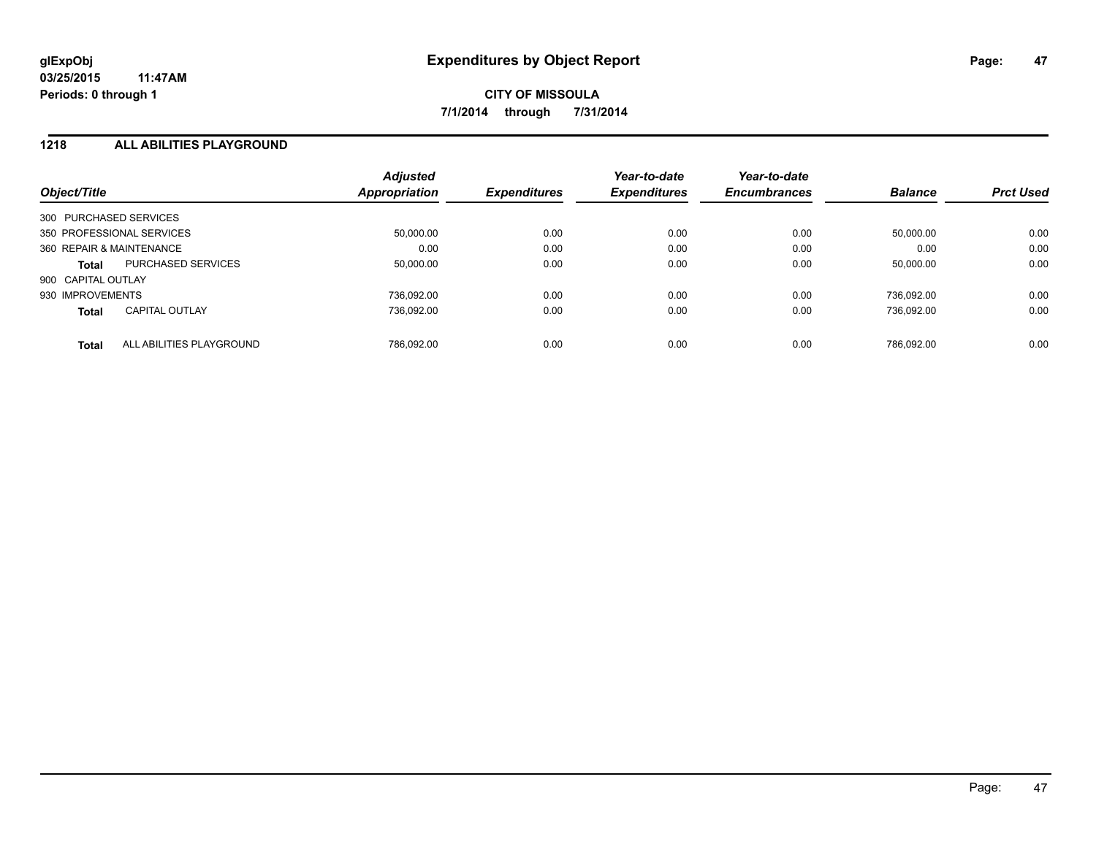### **1218 ALL ABILITIES PLAYGROUND**

| Object/Title             |                           | <b>Adjusted</b><br>Appropriation | <b>Expenditures</b> | Year-to-date<br><b>Expenditures</b> | Year-to-date<br><b>Encumbrances</b> | <b>Balance</b> | <b>Prct Used</b> |
|--------------------------|---------------------------|----------------------------------|---------------------|-------------------------------------|-------------------------------------|----------------|------------------|
| 300 PURCHASED SERVICES   |                           |                                  |                     |                                     |                                     |                |                  |
|                          | 350 PROFESSIONAL SERVICES | 50,000.00                        | 0.00                | 0.00                                | 0.00                                | 50.000.00      | 0.00             |
| 360 REPAIR & MAINTENANCE |                           | 0.00                             | 0.00                | 0.00                                | 0.00                                | 0.00           | 0.00             |
| Total                    | <b>PURCHASED SERVICES</b> | 50.000.00                        | 0.00                | 0.00                                | 0.00                                | 50.000.00      | 0.00             |
| 900 CAPITAL OUTLAY       |                           |                                  |                     |                                     |                                     |                |                  |
| 930 IMPROVEMENTS         |                           | 736.092.00                       | 0.00                | 0.00                                | 0.00                                | 736.092.00     | 0.00             |
| <b>Total</b>             | <b>CAPITAL OUTLAY</b>     | 736.092.00                       | 0.00                | 0.00                                | 0.00                                | 736.092.00     | 0.00             |
| Total                    | ALL ABILITIES PLAYGROUND  | 786.092.00                       | 0.00                | 0.00                                | 0.00                                | 786.092.00     | 0.00             |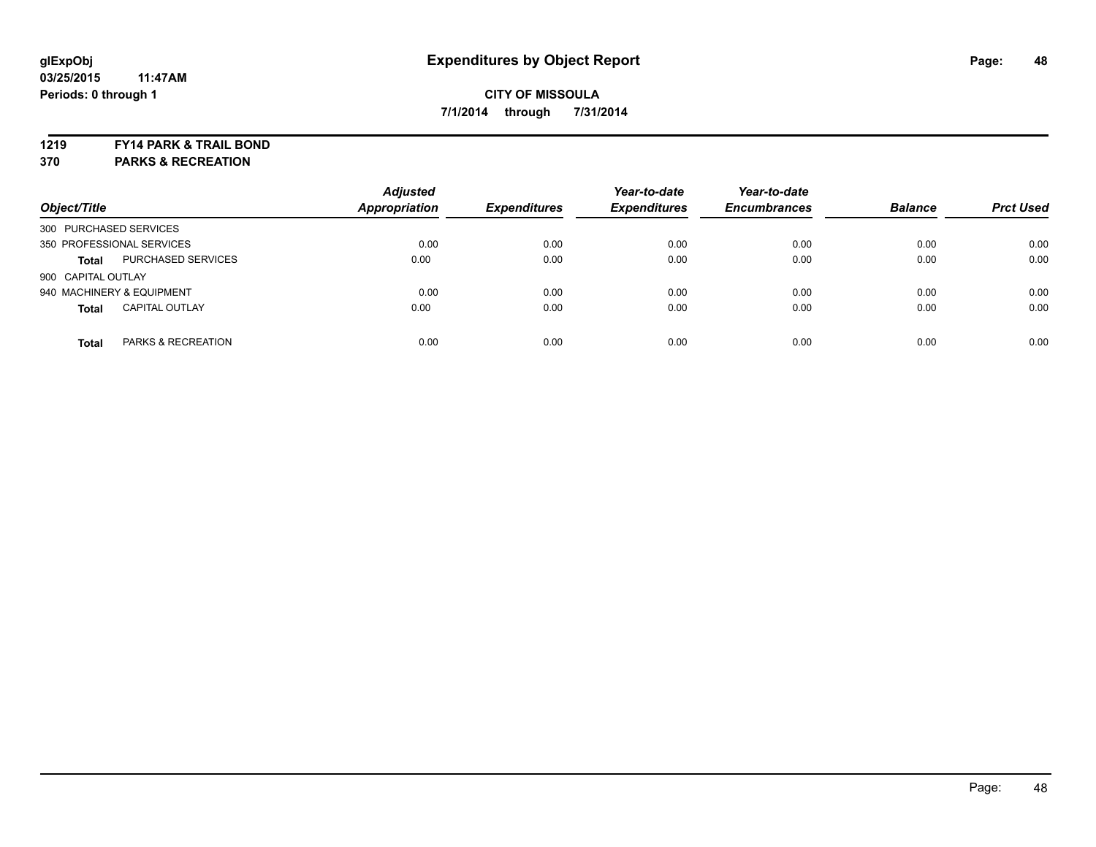#### **1219 FY14 PARK & TRAIL BOND**

**370 PARKS & RECREATION**

| Object/Title              |                       | <b>Adjusted</b><br>Appropriation | <b>Expenditures</b> | Year-to-date<br><b>Expenditures</b> | Year-to-date<br><b>Encumbrances</b> | <b>Balance</b> | <b>Prct Used</b> |
|---------------------------|-----------------------|----------------------------------|---------------------|-------------------------------------|-------------------------------------|----------------|------------------|
| 300 PURCHASED SERVICES    |                       |                                  |                     |                                     |                                     |                |                  |
| 350 PROFESSIONAL SERVICES |                       | 0.00                             | 0.00                | 0.00                                | 0.00                                | 0.00           | 0.00             |
| <b>Total</b>              | PURCHASED SERVICES    | 0.00                             | 0.00                | 0.00                                | 0.00                                | 0.00           | 0.00             |
| 900 CAPITAL OUTLAY        |                       |                                  |                     |                                     |                                     |                |                  |
| 940 MACHINERY & EQUIPMENT |                       | 0.00                             | 0.00                | 0.00                                | 0.00                                | 0.00           | 0.00             |
| <b>Total</b>              | <b>CAPITAL OUTLAY</b> | 0.00                             | 0.00                | 0.00                                | 0.00                                | 0.00           | 0.00             |
| <b>Total</b>              | PARKS & RECREATION    | 0.00                             | 0.00                | 0.00                                | 0.00                                | 0.00           | 0.00             |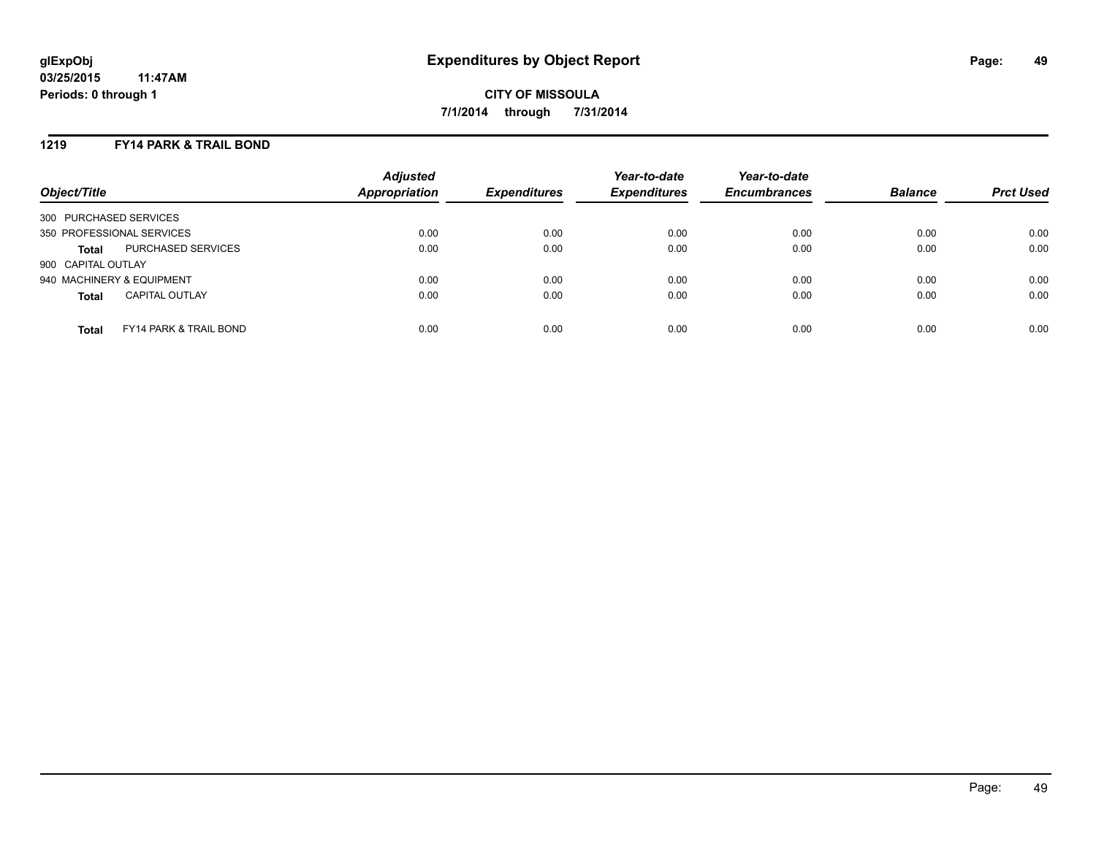### **1219 FY14 PARK & TRAIL BOND**

| Object/Title              |                                   | <b>Adjusted</b><br>Appropriation | <b>Expenditures</b> | Year-to-date<br><b>Expenditures</b> | Year-to-date<br><b>Encumbrances</b> | <b>Balance</b> | <b>Prct Used</b> |
|---------------------------|-----------------------------------|----------------------------------|---------------------|-------------------------------------|-------------------------------------|----------------|------------------|
| 300 PURCHASED SERVICES    |                                   |                                  |                     |                                     |                                     |                |                  |
| 350 PROFESSIONAL SERVICES |                                   | 0.00                             | 0.00                | 0.00                                | 0.00                                | 0.00           | 0.00             |
| <b>Total</b>              | PURCHASED SERVICES                | 0.00                             | 0.00                | 0.00                                | 0.00                                | 0.00           | 0.00             |
| 900 CAPITAL OUTLAY        |                                   |                                  |                     |                                     |                                     |                |                  |
| 940 MACHINERY & EQUIPMENT |                                   | 0.00                             | 0.00                | 0.00                                | 0.00                                | 0.00           | 0.00             |
| <b>Total</b>              | <b>CAPITAL OUTLAY</b>             | 0.00                             | 0.00                | 0.00                                | 0.00                                | 0.00           | 0.00             |
| <b>Total</b>              | <b>FY14 PARK &amp; TRAIL BOND</b> | 0.00                             | 0.00                | 0.00                                | 0.00                                | 0.00           | 0.00             |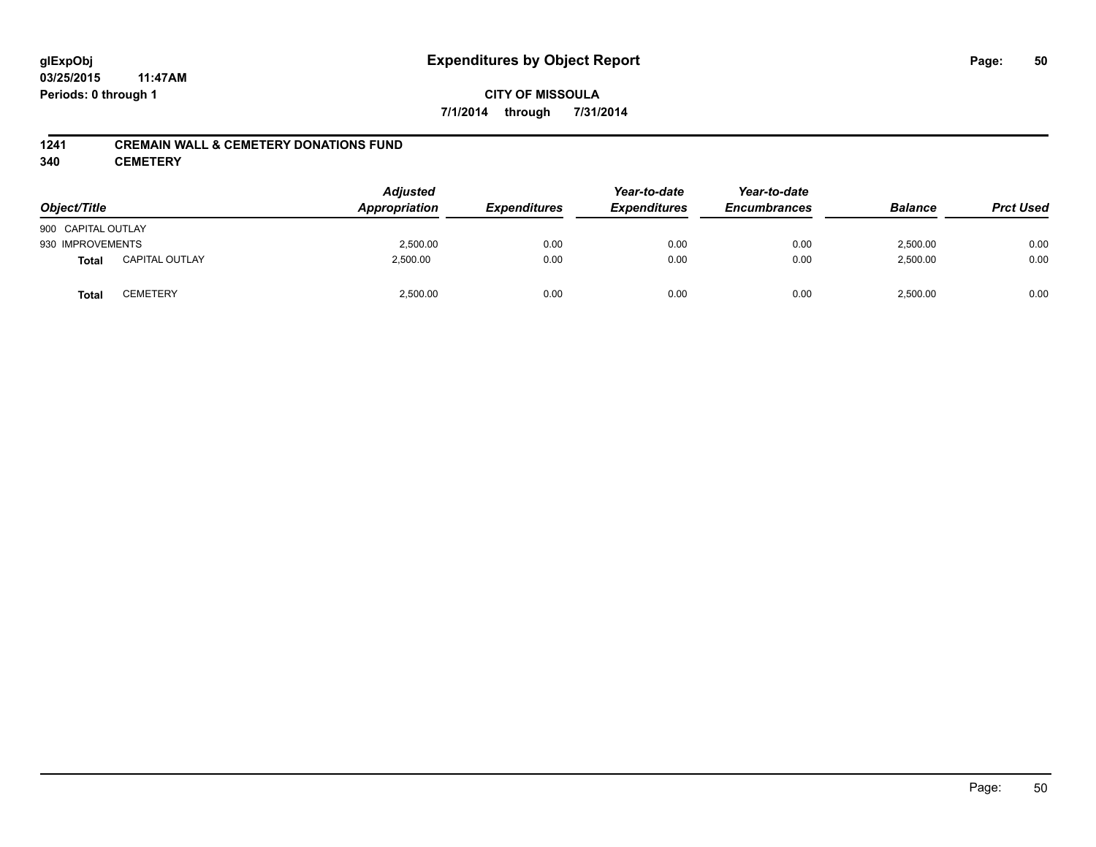### **CITY OF MISSOULA 7/1/2014 through 7/31/2014**

### **1241 CREMAIN WALL & CEMETERY DONATIONS FUND**

**340 CEMETERY**

| Object/Title       |                       | <b>Adjusted</b><br>Appropriation | <b>Expenditures</b> | Year-to-date<br><b>Expenditures</b> | Year-to-date<br><b>Encumbrances</b> | <b>Balance</b> | <b>Prct Used</b> |
|--------------------|-----------------------|----------------------------------|---------------------|-------------------------------------|-------------------------------------|----------------|------------------|
| 900 CAPITAL OUTLAY |                       |                                  |                     |                                     |                                     |                |                  |
| 930 IMPROVEMENTS   |                       | 2,500.00                         | 0.00                | 0.00                                | 0.00                                | 2,500.00       | 0.00             |
| <b>Total</b>       | <b>CAPITAL OUTLAY</b> | 2,500.00                         | 0.00                | 0.00                                | 0.00                                | 2,500.00       | 0.00             |
| <b>Total</b>       | <b>CEMETERY</b>       | 2,500.00                         | 0.00                | 0.00                                | 0.00                                | 2,500.00       | 0.00             |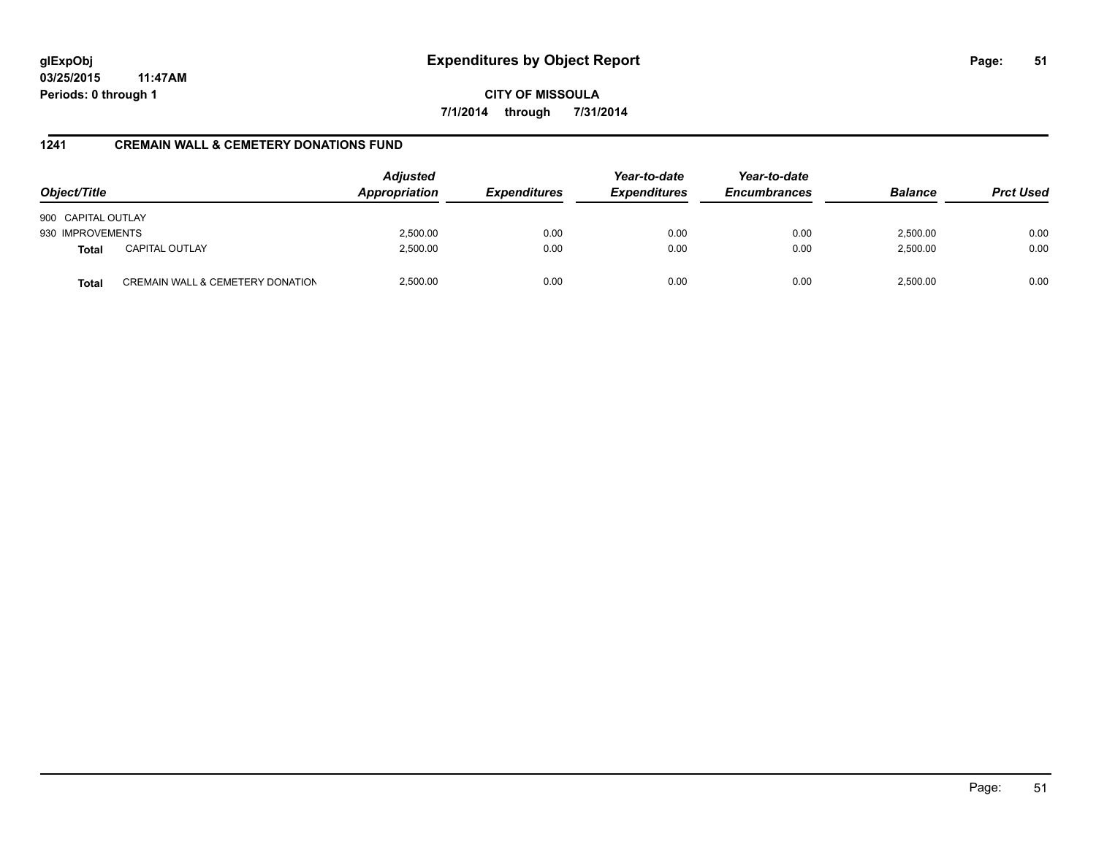**CITY OF MISSOULA 7/1/2014 through 7/31/2014**

### **1241 CREMAIN WALL & CEMETERY DONATIONS FUND**

| Object/Title       |                                             | <b>Adjusted</b><br>Appropriation | <b>Expenditures</b> | Year-to-date<br><b>Expenditures</b> | Year-to-date<br><b>Encumbrances</b> | <b>Balance</b> | <b>Prct Used</b> |
|--------------------|---------------------------------------------|----------------------------------|---------------------|-------------------------------------|-------------------------------------|----------------|------------------|
| 900 CAPITAL OUTLAY |                                             |                                  |                     |                                     |                                     |                |                  |
| 930 IMPROVEMENTS   |                                             | 2,500.00                         | 0.00                | 0.00                                | 0.00                                | 2,500.00       | 0.00             |
| <b>Total</b>       | <b>CAPITAL OUTLAY</b>                       | 2,500.00                         | 0.00                | 0.00                                | 0.00                                | 2,500.00       | 0.00             |
| <b>Total</b>       | <b>CREMAIN WALL &amp; CEMETERY DONATION</b> | 2,500.00                         | 0.00                | 0.00                                | 0.00                                | 2,500.00       | 0.00             |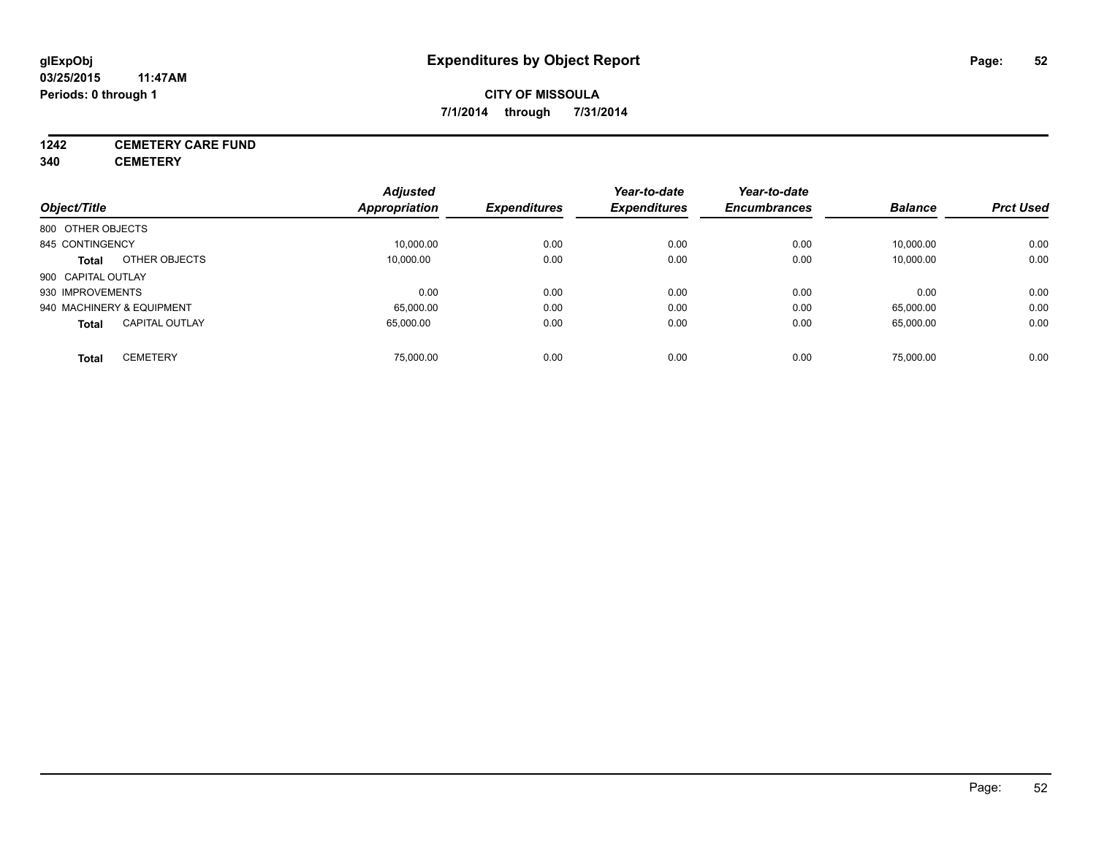### **CITY OF MISSOULA 7/1/2014 through 7/31/2014**

# **1242 CEMETERY CARE FUND**

**340 CEMETERY**

|                                       | <b>Adjusted</b>      |                     | Year-to-date        | Year-to-date        |                |                  |
|---------------------------------------|----------------------|---------------------|---------------------|---------------------|----------------|------------------|
| Object/Title                          | <b>Appropriation</b> | <b>Expenditures</b> | <b>Expenditures</b> | <b>Encumbrances</b> | <b>Balance</b> | <b>Prct Used</b> |
| 800 OTHER OBJECTS                     |                      |                     |                     |                     |                |                  |
| 845 CONTINGENCY                       | 10,000.00            | 0.00                | 0.00                | 0.00                | 10,000.00      | 0.00             |
| OTHER OBJECTS<br><b>Total</b>         | 10.000.00            | 0.00                | 0.00                | 0.00                | 10,000.00      | 0.00             |
| 900 CAPITAL OUTLAY                    |                      |                     |                     |                     |                |                  |
| 930 IMPROVEMENTS                      | 0.00                 | 0.00                | 0.00                | 0.00                | 0.00           | 0.00             |
| 940 MACHINERY & EQUIPMENT             | 65,000.00            | 0.00                | 0.00                | 0.00                | 65,000.00      | 0.00             |
| <b>CAPITAL OUTLAY</b><br><b>Total</b> | 65.000.00            | 0.00                | 0.00                | 0.00                | 65,000.00      | 0.00             |
| <b>CEMETERY</b><br>Total              | 75.000.00            | 0.00                | 0.00                | 0.00                | 75,000.00      | 0.00             |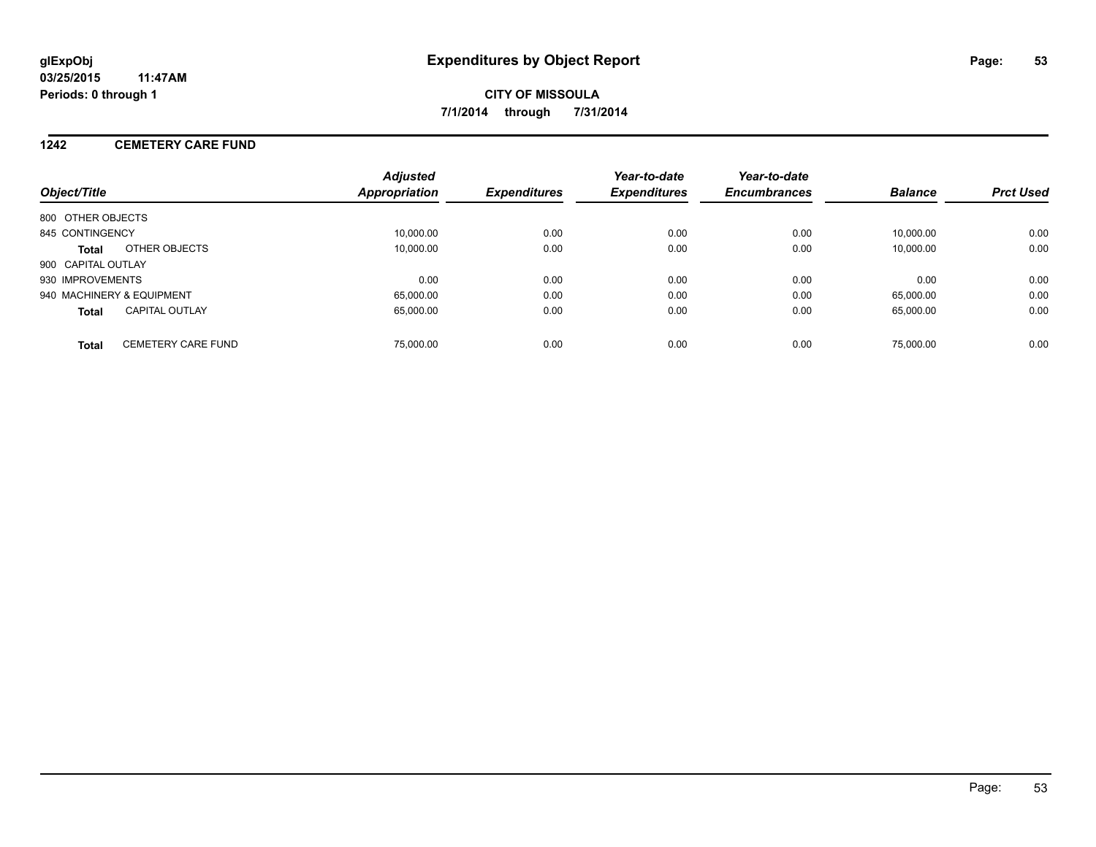### **1242 CEMETERY CARE FUND**

| Object/Title                              | <b>Adjusted</b><br><b>Appropriation</b> | <b>Expenditures</b> | Year-to-date<br><b>Expenditures</b> | Year-to-date<br><b>Encumbrances</b> | <b>Balance</b> | <b>Prct Used</b> |
|-------------------------------------------|-----------------------------------------|---------------------|-------------------------------------|-------------------------------------|----------------|------------------|
| 800 OTHER OBJECTS                         |                                         |                     |                                     |                                     |                |                  |
| 845 CONTINGENCY                           | 10.000.00                               | 0.00                | 0.00                                | 0.00                                | 10.000.00      | 0.00             |
| OTHER OBJECTS<br>Total                    | 10.000.00                               | 0.00                | 0.00                                | 0.00                                | 10.000.00      | 0.00             |
| 900 CAPITAL OUTLAY                        |                                         |                     |                                     |                                     |                |                  |
| 930 IMPROVEMENTS                          | 0.00                                    | 0.00                | 0.00                                | 0.00                                | 0.00           | 0.00             |
| 940 MACHINERY & EQUIPMENT                 | 65.000.00                               | 0.00                | 0.00                                | 0.00                                | 65.000.00      | 0.00             |
| <b>CAPITAL OUTLAY</b><br><b>Total</b>     | 65.000.00                               | 0.00                | 0.00                                | 0.00                                | 65.000.00      | 0.00             |
| <b>CEMETERY CARE FUND</b><br><b>Total</b> | 75,000.00                               | 0.00                | 0.00                                | 0.00                                | 75,000.00      | 0.00             |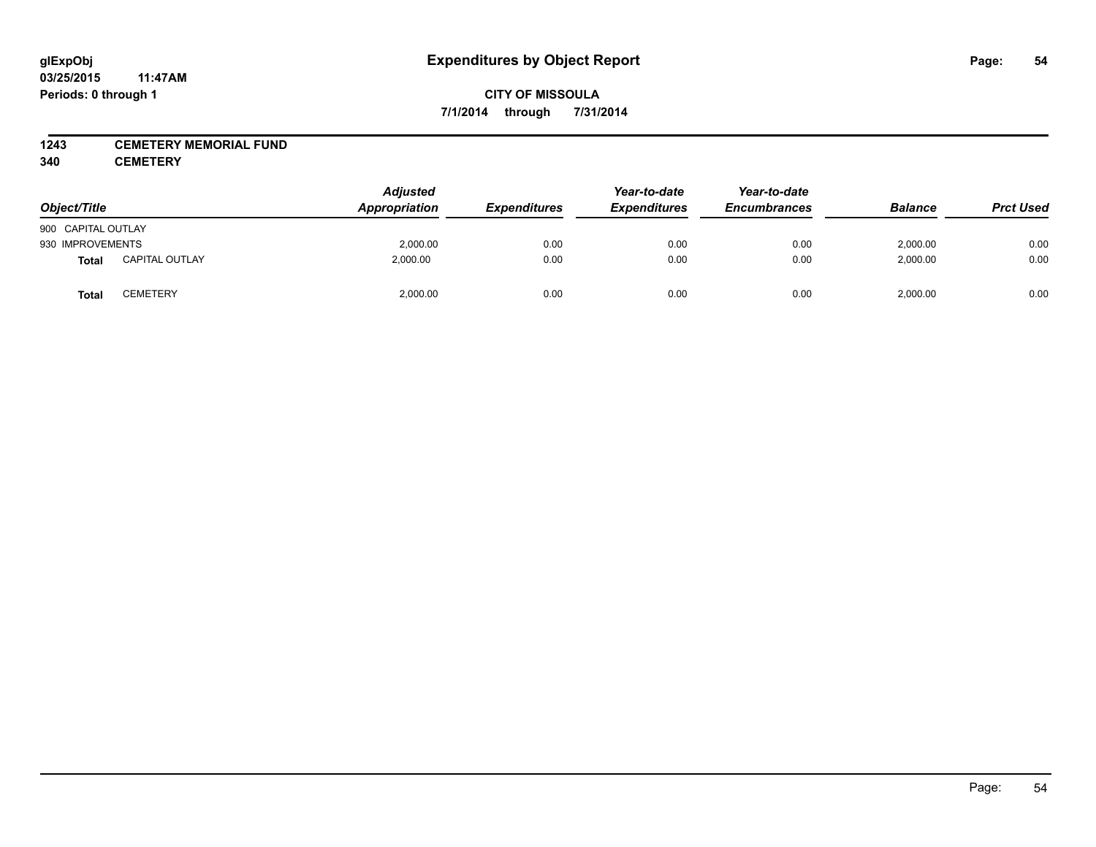### **1243 CEMETERY MEMORIAL FUND**

**340 CEMETERY**

| Object/Title       |                       | <b>Adjusted</b><br>Appropriation | <b>Expenditures</b> | Year-to-date<br><b>Expenditures</b> | Year-to-date<br><b>Encumbrances</b> | <b>Balance</b> | <b>Prct Used</b> |
|--------------------|-----------------------|----------------------------------|---------------------|-------------------------------------|-------------------------------------|----------------|------------------|
| 900 CAPITAL OUTLAY |                       |                                  |                     |                                     |                                     |                |                  |
| 930 IMPROVEMENTS   |                       | 2,000.00                         | 0.00                | 0.00                                | 0.00                                | 2,000.00       | 0.00             |
| Total              | <b>CAPITAL OUTLAY</b> | 2,000.00                         | 0.00                | 0.00                                | 0.00                                | 2,000.00       | 0.00             |
| <b>Total</b>       | <b>CEMETERY</b>       | 2,000.00                         | 0.00                | 0.00                                | 0.00                                | 2,000.00       | 0.00             |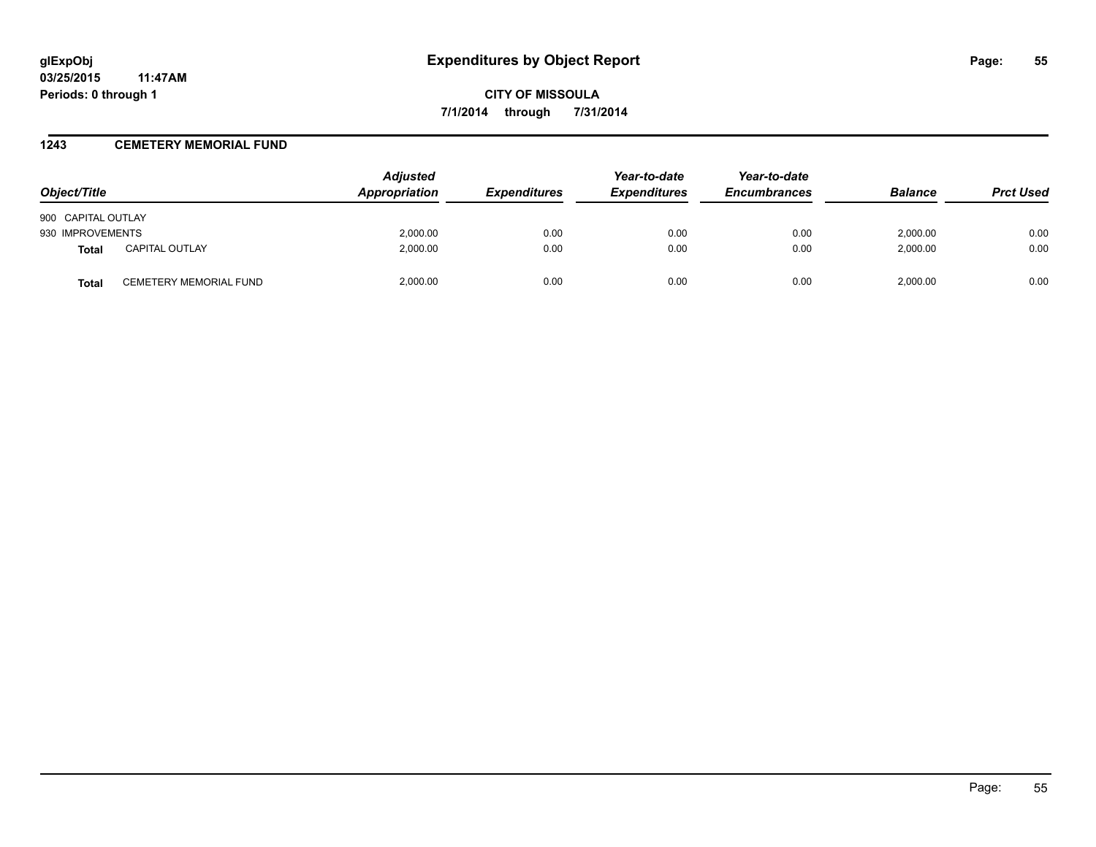### **1243 CEMETERY MEMORIAL FUND**

| Object/Title       |                               | <b>Adjusted</b><br>Appropriation | <b>Expenditures</b> | Year-to-date<br><b>Expenditures</b> | Year-to-date<br><b>Encumbrances</b> | <b>Balance</b> | <b>Prct Used</b> |
|--------------------|-------------------------------|----------------------------------|---------------------|-------------------------------------|-------------------------------------|----------------|------------------|
| 900 CAPITAL OUTLAY |                               |                                  |                     |                                     |                                     |                |                  |
| 930 IMPROVEMENTS   |                               | 2,000.00                         | 0.00                | 0.00                                | 0.00                                | 2.000.00       | 0.00             |
| <b>Total</b>       | <b>CAPITAL OUTLAY</b>         | 2,000.00                         | 0.00                | 0.00                                | 0.00                                | 2,000.00       | 0.00             |
| <b>Total</b>       | <b>CEMETERY MEMORIAL FUND</b> | 2,000.00                         | 0.00                | 0.00                                | 0.00                                | 2.000.00       | 0.00             |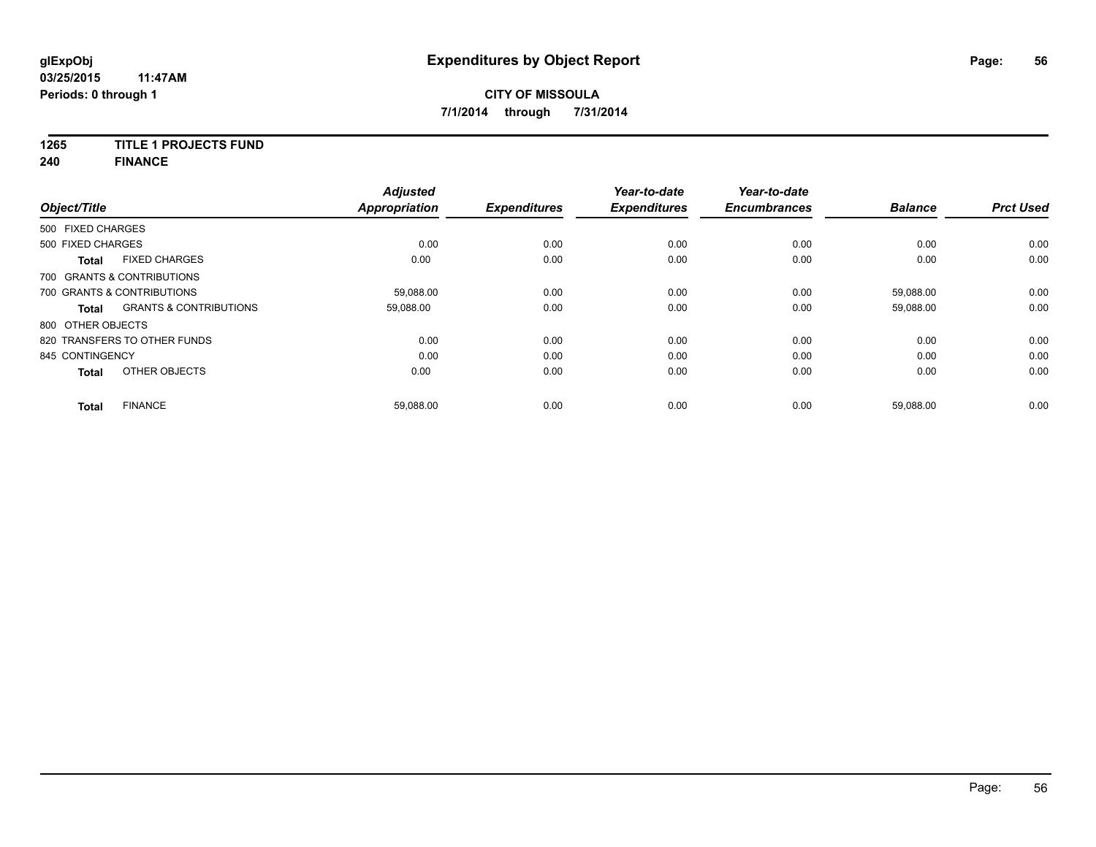### **1265 TITLE 1 PROJECTS FUND**

**240 FINANCE**

| Object/Title      |                                   | <b>Adjusted</b><br><b>Appropriation</b> | <b>Expenditures</b> | Year-to-date<br><b>Expenditures</b> | Year-to-date<br><b>Encumbrances</b> | <b>Balance</b> | <b>Prct Used</b> |
|-------------------|-----------------------------------|-----------------------------------------|---------------------|-------------------------------------|-------------------------------------|----------------|------------------|
| 500 FIXED CHARGES |                                   |                                         |                     |                                     |                                     |                |                  |
| 500 FIXED CHARGES |                                   | 0.00                                    | 0.00                | 0.00                                | 0.00                                | 0.00           | 0.00             |
| <b>Total</b>      | <b>FIXED CHARGES</b>              | 0.00                                    | 0.00                | 0.00                                | 0.00                                | 0.00           | 0.00             |
|                   | 700 GRANTS & CONTRIBUTIONS        |                                         |                     |                                     |                                     |                |                  |
|                   | 700 GRANTS & CONTRIBUTIONS        | 59,088.00                               | 0.00                | 0.00                                | 0.00                                | 59,088.00      | 0.00             |
| <b>Total</b>      | <b>GRANTS &amp; CONTRIBUTIONS</b> | 59,088.00                               | 0.00                | 0.00                                | 0.00                                | 59,088.00      | 0.00             |
| 800 OTHER OBJECTS |                                   |                                         |                     |                                     |                                     |                |                  |
|                   | 820 TRANSFERS TO OTHER FUNDS      | 0.00                                    | 0.00                | 0.00                                | 0.00                                | 0.00           | 0.00             |
| 845 CONTINGENCY   |                                   | 0.00                                    | 0.00                | 0.00                                | 0.00                                | 0.00           | 0.00             |
| <b>Total</b>      | OTHER OBJECTS                     | 0.00                                    | 0.00                | 0.00                                | 0.00                                | 0.00           | 0.00             |
| Total             | <b>FINANCE</b>                    | 59,088.00                               | 0.00                | 0.00                                | 0.00                                | 59,088.00      | 0.00             |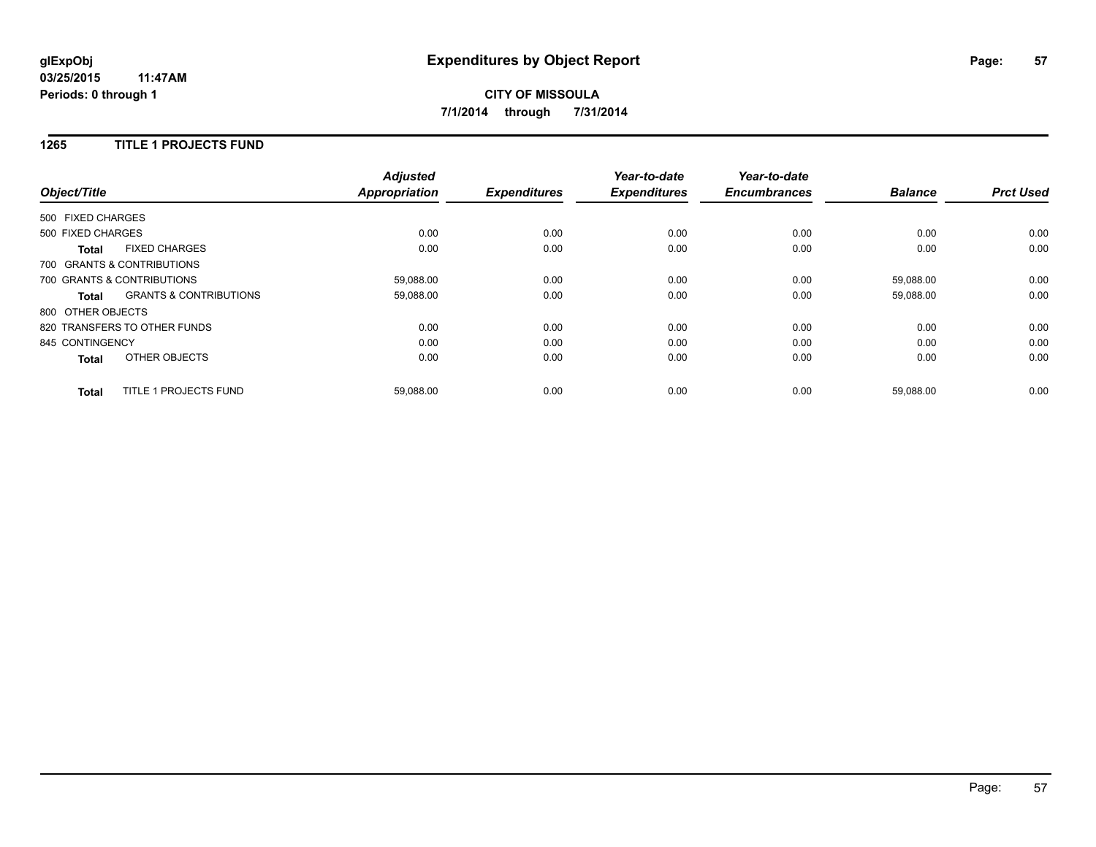# **CITY OF MISSOULA 7/1/2014 through 7/31/2014**

### **1265 TITLE 1 PROJECTS FUND**

| Object/Title      |                                   | <b>Adjusted</b><br><b>Appropriation</b> | <b>Expenditures</b> | Year-to-date<br><b>Expenditures</b> | Year-to-date<br><b>Encumbrances</b> | <b>Balance</b> | <b>Prct Used</b> |
|-------------------|-----------------------------------|-----------------------------------------|---------------------|-------------------------------------|-------------------------------------|----------------|------------------|
| 500 FIXED CHARGES |                                   |                                         |                     |                                     |                                     |                |                  |
| 500 FIXED CHARGES |                                   | 0.00                                    | 0.00                | 0.00                                | 0.00                                | 0.00           | 0.00             |
| <b>Total</b>      | <b>FIXED CHARGES</b>              | 0.00                                    | 0.00                | 0.00                                | 0.00                                | 0.00           | 0.00             |
|                   | 700 GRANTS & CONTRIBUTIONS        |                                         |                     |                                     |                                     |                |                  |
|                   | 700 GRANTS & CONTRIBUTIONS        | 59,088.00                               | 0.00                | 0.00                                | 0.00                                | 59.088.00      | 0.00             |
| Total             | <b>GRANTS &amp; CONTRIBUTIONS</b> | 59,088.00                               | 0.00                | 0.00                                | 0.00                                | 59,088.00      | 0.00             |
| 800 OTHER OBJECTS |                                   |                                         |                     |                                     |                                     |                |                  |
|                   | 820 TRANSFERS TO OTHER FUNDS      | 0.00                                    | 0.00                | 0.00                                | 0.00                                | 0.00           | 0.00             |
| 845 CONTINGENCY   |                                   | 0.00                                    | 0.00                | 0.00                                | 0.00                                | 0.00           | 0.00             |
| <b>Total</b>      | <b>OTHER OBJECTS</b>              | 0.00                                    | 0.00                | 0.00                                | 0.00                                | 0.00           | 0.00             |
| <b>Total</b>      | <b>TITLE 1 PROJECTS FUND</b>      | 59,088.00                               | 0.00                | 0.00                                | 0.00                                | 59,088.00      | 0.00             |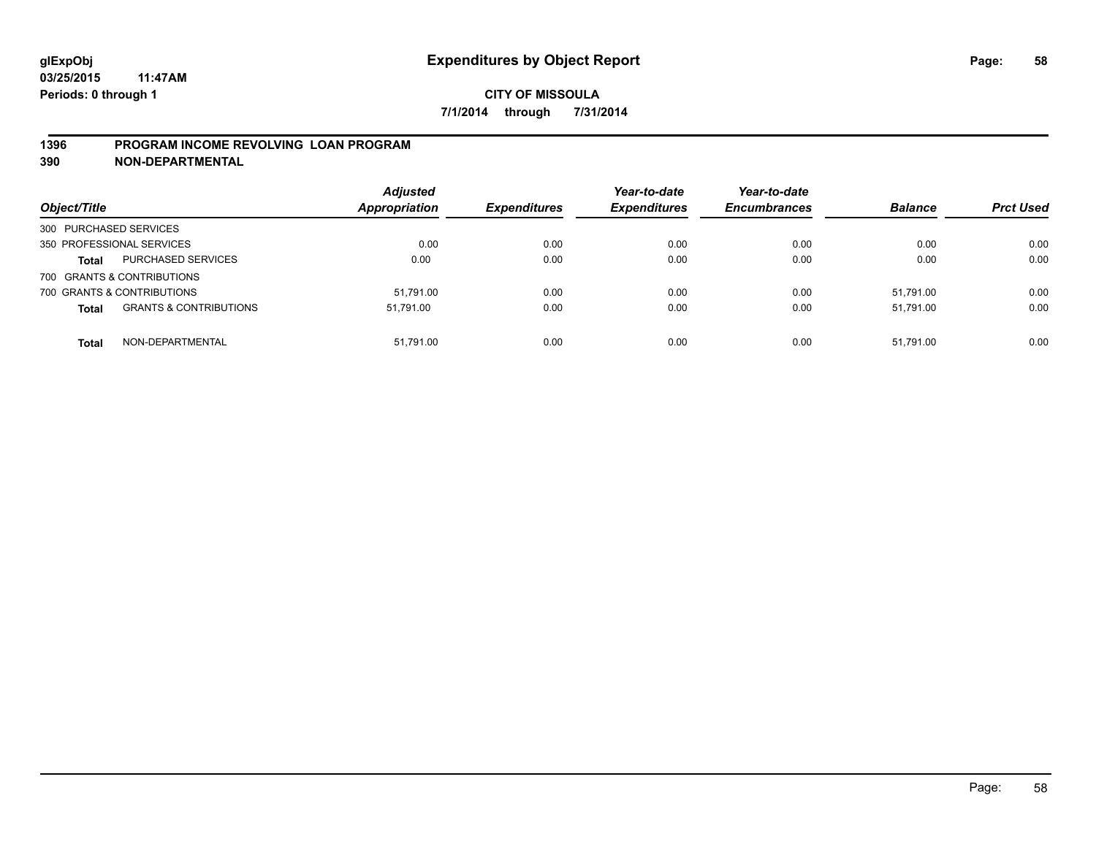### **1396 PROGRAM INCOME REVOLVING LOAN PROGRAM**

**390 NON-DEPARTMENTAL**

| Object/Title           |                                   | <b>Adjusted</b><br><b>Appropriation</b> | <b>Expenditures</b> | Year-to-date<br><b>Expenditures</b> | Year-to-date<br><b>Encumbrances</b> | <b>Balance</b> | <b>Prct Used</b> |
|------------------------|-----------------------------------|-----------------------------------------|---------------------|-------------------------------------|-------------------------------------|----------------|------------------|
| 300 PURCHASED SERVICES |                                   |                                         |                     |                                     |                                     |                |                  |
|                        | 350 PROFESSIONAL SERVICES         | 0.00                                    | 0.00                | 0.00                                | 0.00                                | 0.00           | 0.00             |
| <b>Total</b>           | PURCHASED SERVICES                | 0.00                                    | 0.00                | 0.00                                | 0.00                                | 0.00           | 0.00             |
|                        | 700 GRANTS & CONTRIBUTIONS        |                                         |                     |                                     |                                     |                |                  |
|                        | 700 GRANTS & CONTRIBUTIONS        | 51.791.00                               | 0.00                | 0.00                                | 0.00                                | 51.791.00      | 0.00             |
| <b>Total</b>           | <b>GRANTS &amp; CONTRIBUTIONS</b> | 51.791.00                               | 0.00                | 0.00                                | 0.00                                | 51.791.00      | 0.00             |
| <b>Total</b>           | NON-DEPARTMENTAL                  | 51.791.00                               | 0.00                | 0.00                                | 0.00                                | 51.791.00      | 0.00             |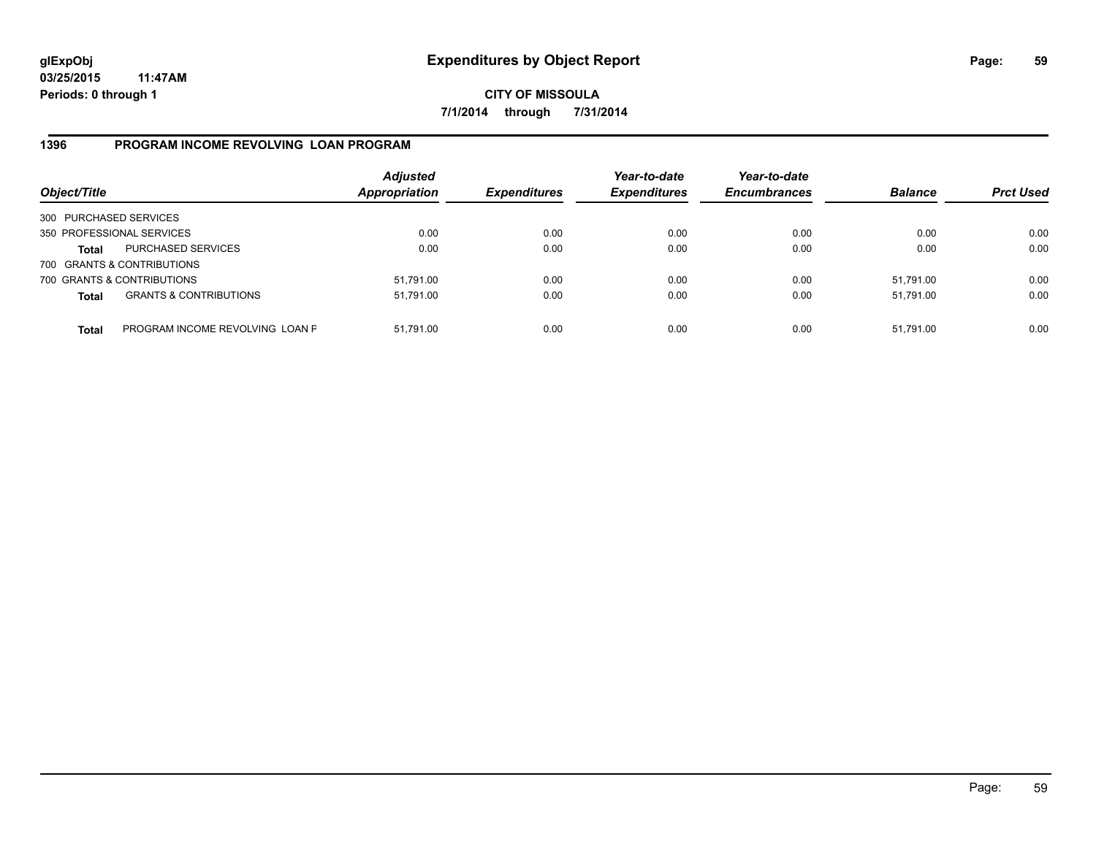**CITY OF MISSOULA 7/1/2014 through 7/31/2014**

### **1396 PROGRAM INCOME REVOLVING LOAN PROGRAM**

| Object/Title           |                                   | <b>Adjusted</b><br>Appropriation | <b>Expenditures</b> | Year-to-date<br><b>Expenditures</b> | Year-to-date<br><b>Encumbrances</b> | <b>Balance</b> | <b>Prct Used</b> |
|------------------------|-----------------------------------|----------------------------------|---------------------|-------------------------------------|-------------------------------------|----------------|------------------|
| 300 PURCHASED SERVICES |                                   |                                  |                     |                                     |                                     |                |                  |
|                        | 350 PROFESSIONAL SERVICES         | 0.00                             | 0.00                | 0.00                                | 0.00                                | 0.00           | 0.00             |
| Total                  | <b>PURCHASED SERVICES</b>         | 0.00                             | 0.00                | 0.00                                | 0.00                                | 0.00           | 0.00             |
|                        | 700 GRANTS & CONTRIBUTIONS        |                                  |                     |                                     |                                     |                |                  |
|                        | 700 GRANTS & CONTRIBUTIONS        | 51,791.00                        | 0.00                | 0.00                                | 0.00                                | 51.791.00      | 0.00             |
| <b>Total</b>           | <b>GRANTS &amp; CONTRIBUTIONS</b> | 51,791.00                        | 0.00                | 0.00                                | 0.00                                | 51.791.00      | 0.00             |
| <b>Total</b>           | PROGRAM INCOME REVOLVING LOAN P   | 51,791.00                        | 0.00                | 0.00                                | 0.00                                | 51,791.00      | 0.00             |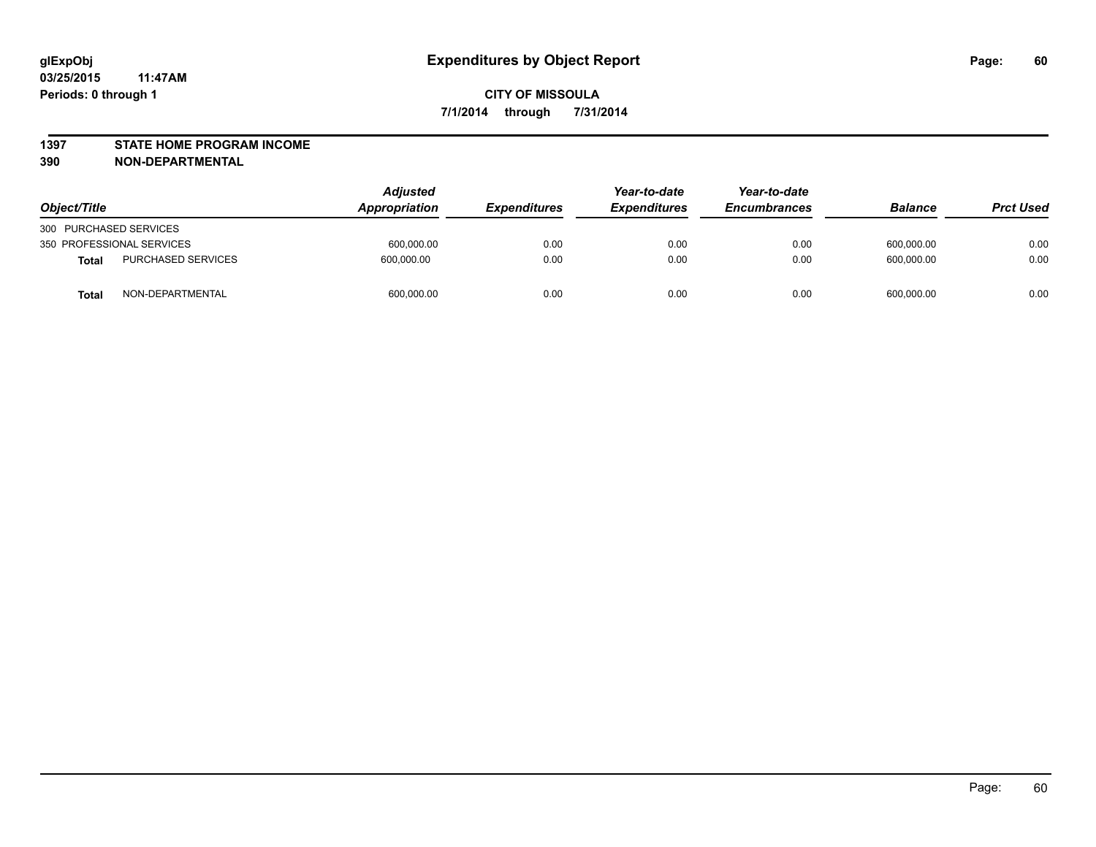#### **1397 STATE HOME PROGRAM INCOME**

**390 NON-DEPARTMENTAL**

| Object/Title           |                           | Adjusted<br><b>Appropriation</b> | <b>Expenditures</b> | Year-to-date<br><b>Expenditures</b> | Year-to-date<br><b>Encumbrances</b> | <b>Balance</b> | <b>Prct Used</b> |
|------------------------|---------------------------|----------------------------------|---------------------|-------------------------------------|-------------------------------------|----------------|------------------|
| 300 PURCHASED SERVICES |                           |                                  |                     |                                     |                                     |                |                  |
|                        | 350 PROFESSIONAL SERVICES | 600,000.00                       | 0.00                | 0.00                                | 0.00                                | 600.000.00     | 0.00             |
| <b>Total</b>           | <b>PURCHASED SERVICES</b> | 600.000.00                       | 0.00                | 0.00                                | 0.00                                | 600.000.00     | 0.00             |
| <b>Total</b>           | NON-DEPARTMENTAL          | 600,000.00                       | 0.00                | 0.00                                | 0.00                                | 600,000.00     | 0.00             |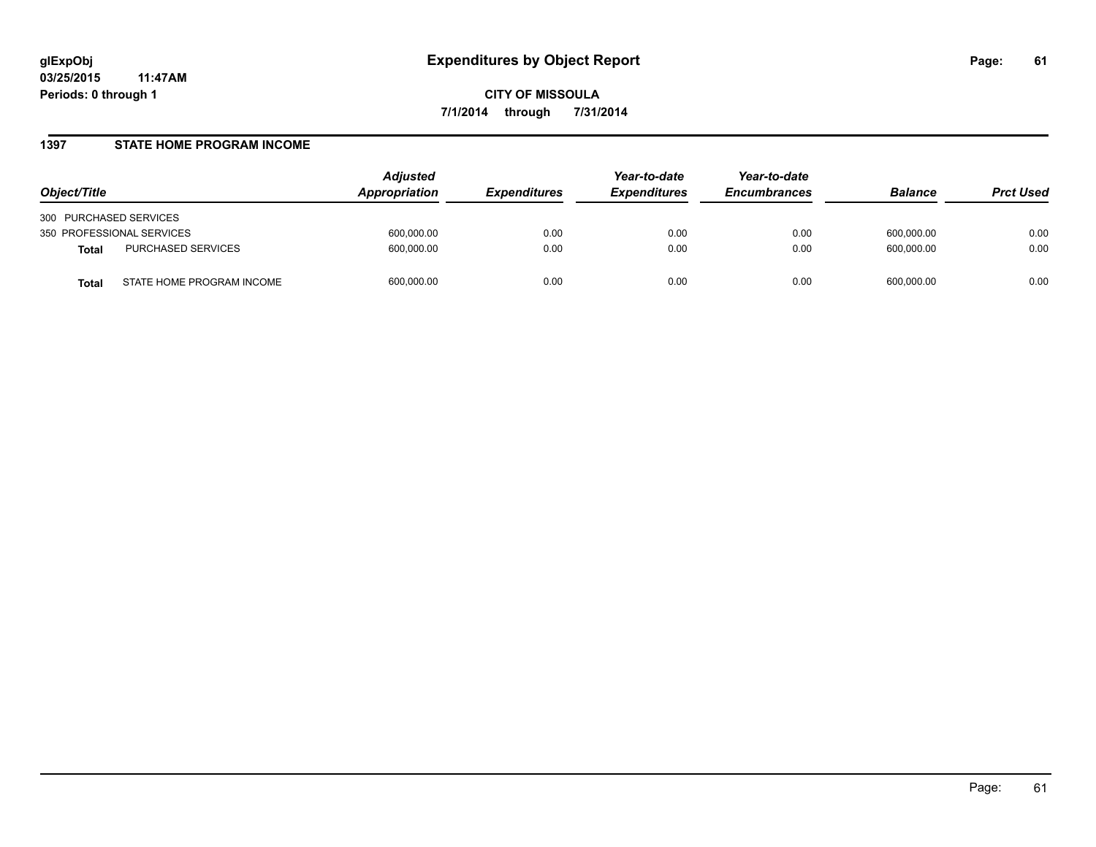#### **1397 STATE HOME PROGRAM INCOME**

| Object/Title                              | Adjusted<br>Appropriation | <i><b>Expenditures</b></i> | Year-to-date<br><b>Expenditures</b> | Year-to-date<br><b>Encumbrances</b> | <b>Balance</b> | <b>Prct Used</b> |
|-------------------------------------------|---------------------------|----------------------------|-------------------------------------|-------------------------------------|----------------|------------------|
| 300 PURCHASED SERVICES                    |                           |                            |                                     |                                     |                |                  |
| 350 PROFESSIONAL SERVICES                 | 600,000.00                | 0.00                       | 0.00                                | 0.00                                | 600,000.00     | 0.00             |
| PURCHASED SERVICES<br><b>Total</b>        | 600,000.00                | 0.00                       | 0.00                                | 0.00                                | 600,000.00     | 0.00             |
| STATE HOME PROGRAM INCOME<br><b>Total</b> | 600,000.00                | 0.00                       | 0.00                                | 0.00                                | 600,000.00     | 0.00             |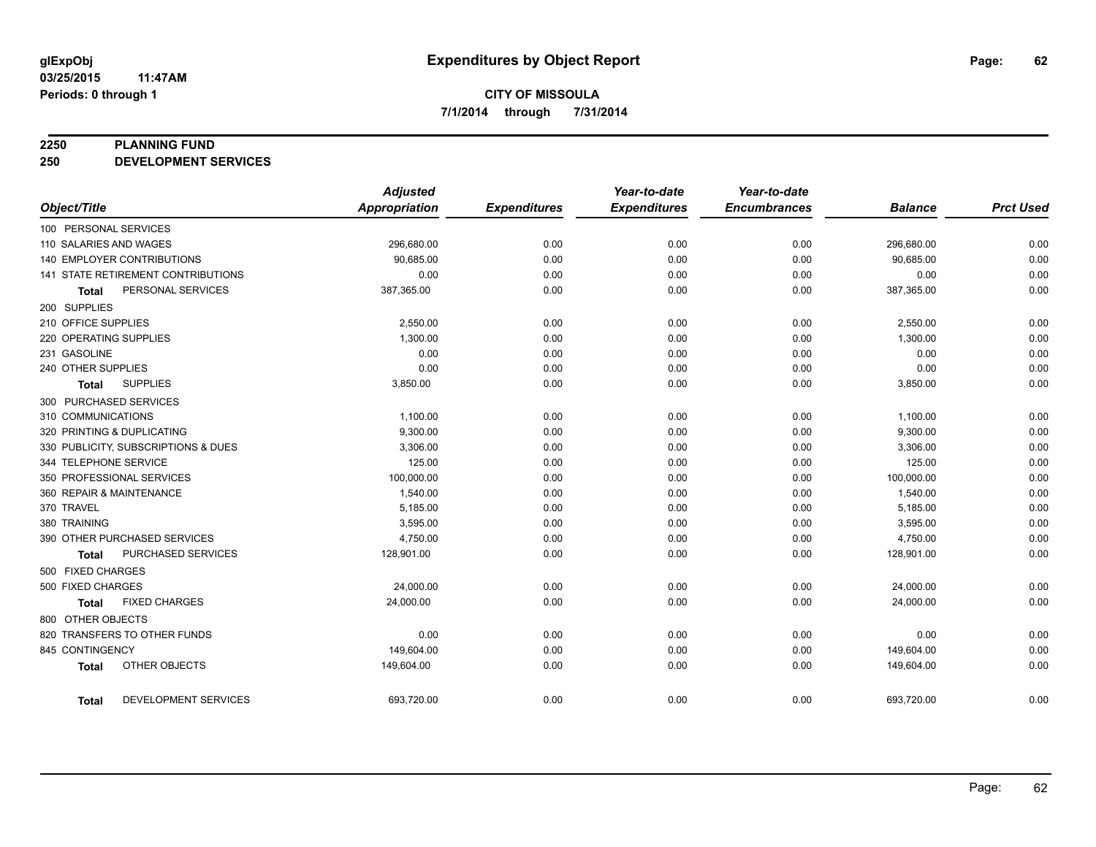#### **2250 PLANNING FUND**

**250 DEVELOPMENT SERVICES**

|                                             | <b>Adjusted</b>      |                     | Year-to-date        | Year-to-date        |                |                  |
|---------------------------------------------|----------------------|---------------------|---------------------|---------------------|----------------|------------------|
| Object/Title                                | <b>Appropriation</b> | <b>Expenditures</b> | <b>Expenditures</b> | <b>Encumbrances</b> | <b>Balance</b> | <b>Prct Used</b> |
| 100 PERSONAL SERVICES                       |                      |                     |                     |                     |                |                  |
| 110 SALARIES AND WAGES                      | 296,680.00           | 0.00                | 0.00                | 0.00                | 296,680.00     | 0.00             |
| <b>140 EMPLOYER CONTRIBUTIONS</b>           | 90,685.00            | 0.00                | 0.00                | 0.00                | 90,685.00      | 0.00             |
| 141 STATE RETIREMENT CONTRIBUTIONS          | 0.00                 | 0.00                | 0.00                | 0.00                | 0.00           | 0.00             |
| PERSONAL SERVICES<br><b>Total</b>           | 387,365.00           | 0.00                | 0.00                | 0.00                | 387,365.00     | 0.00             |
| 200 SUPPLIES                                |                      |                     |                     |                     |                |                  |
| 210 OFFICE SUPPLIES                         | 2,550.00             | 0.00                | 0.00                | 0.00                | 2,550.00       | 0.00             |
| 220 OPERATING SUPPLIES                      | 1,300.00             | 0.00                | 0.00                | 0.00                | 1,300.00       | 0.00             |
| 231 GASOLINE                                | 0.00                 | 0.00                | 0.00                | 0.00                | 0.00           | 0.00             |
| 240 OTHER SUPPLIES                          | 0.00                 | 0.00                | 0.00                | 0.00                | 0.00           | 0.00             |
| <b>SUPPLIES</b><br><b>Total</b>             | 3,850.00             | 0.00                | 0.00                | 0.00                | 3,850.00       | 0.00             |
| 300 PURCHASED SERVICES                      |                      |                     |                     |                     |                |                  |
| 310 COMMUNICATIONS                          | 1,100.00             | 0.00                | 0.00                | 0.00                | 1,100.00       | 0.00             |
| 320 PRINTING & DUPLICATING                  | 9,300.00             | 0.00                | 0.00                | 0.00                | 9,300.00       | 0.00             |
| 330 PUBLICITY, SUBSCRIPTIONS & DUES         | 3,306.00             | 0.00                | 0.00                | 0.00                | 3,306.00       | 0.00             |
| 344 TELEPHONE SERVICE                       | 125.00               | 0.00                | 0.00                | 0.00                | 125.00         | 0.00             |
| 350 PROFESSIONAL SERVICES                   | 100,000.00           | 0.00                | 0.00                | 0.00                | 100,000.00     | 0.00             |
| 360 REPAIR & MAINTENANCE                    | 1,540.00             | 0.00                | 0.00                | 0.00                | 1,540.00       | 0.00             |
| 370 TRAVEL                                  | 5,185.00             | 0.00                | 0.00                | 0.00                | 5,185.00       | 0.00             |
| 380 TRAINING                                | 3,595.00             | 0.00                | 0.00                | 0.00                | 3,595.00       | 0.00             |
| 390 OTHER PURCHASED SERVICES                | 4,750.00             | 0.00                | 0.00                | 0.00                | 4,750.00       | 0.00             |
| PURCHASED SERVICES<br><b>Total</b>          | 128,901.00           | 0.00                | 0.00                | 0.00                | 128,901.00     | 0.00             |
| 500 FIXED CHARGES                           |                      |                     |                     |                     |                |                  |
| 500 FIXED CHARGES                           | 24,000.00            | 0.00                | 0.00                | 0.00                | 24,000.00      | 0.00             |
| <b>FIXED CHARGES</b><br><b>Total</b>        | 24,000.00            | 0.00                | 0.00                | 0.00                | 24,000.00      | 0.00             |
| 800 OTHER OBJECTS                           |                      |                     |                     |                     |                |                  |
| 820 TRANSFERS TO OTHER FUNDS                | 0.00                 | 0.00                | 0.00                | 0.00                | 0.00           | 0.00             |
| 845 CONTINGENCY                             | 149,604.00           | 0.00                | 0.00                | 0.00                | 149,604.00     | 0.00             |
| OTHER OBJECTS<br><b>Total</b>               | 149,604.00           | 0.00                | 0.00                | 0.00                | 149,604.00     | 0.00             |
| <b>DEVELOPMENT SERVICES</b><br><b>Total</b> | 693,720.00           | 0.00                | 0.00                | 0.00                | 693,720.00     | 0.00             |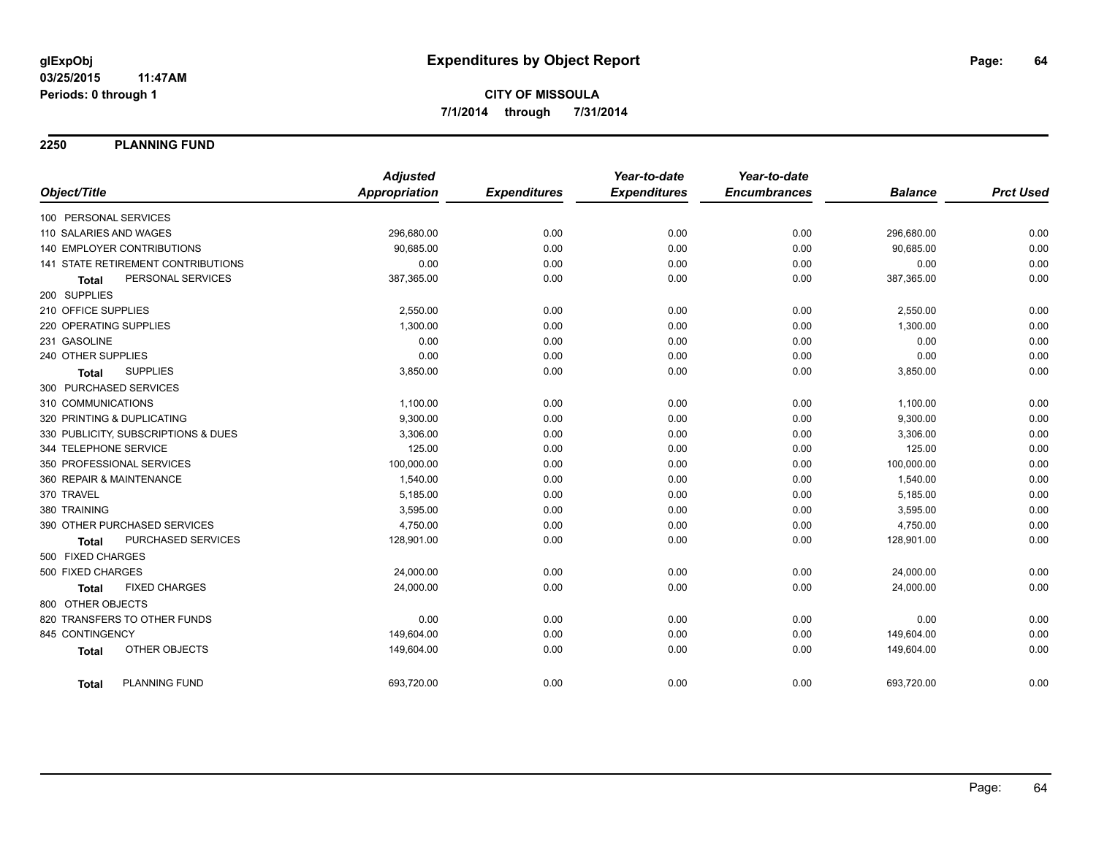**2250 PLANNING FUND**

|                                      | <b>Adjusted</b>      |                     | Year-to-date        | Year-to-date        |                |                  |
|--------------------------------------|----------------------|---------------------|---------------------|---------------------|----------------|------------------|
| Object/Title                         | <b>Appropriation</b> | <b>Expenditures</b> | <b>Expenditures</b> | <b>Encumbrances</b> | <b>Balance</b> | <b>Prct Used</b> |
| 100 PERSONAL SERVICES                |                      |                     |                     |                     |                |                  |
| 110 SALARIES AND WAGES               | 296,680.00           | 0.00                | 0.00                | 0.00                | 296,680.00     | 0.00             |
| <b>140 EMPLOYER CONTRIBUTIONS</b>    | 90.685.00            | 0.00                | 0.00                | 0.00                | 90,685.00      | 0.00             |
| 141 STATE RETIREMENT CONTRIBUTIONS   | 0.00                 | 0.00                | 0.00                | 0.00                | 0.00           | 0.00             |
| PERSONAL SERVICES<br><b>Total</b>    | 387,365.00           | 0.00                | 0.00                | 0.00                | 387,365.00     | 0.00             |
| 200 SUPPLIES                         |                      |                     |                     |                     |                |                  |
| 210 OFFICE SUPPLIES                  | 2,550.00             | 0.00                | 0.00                | 0.00                | 2,550.00       | 0.00             |
| 220 OPERATING SUPPLIES               | 1,300.00             | 0.00                | 0.00                | 0.00                | 1,300.00       | 0.00             |
| 231 GASOLINE                         | 0.00                 | 0.00                | 0.00                | 0.00                | 0.00           | 0.00             |
| 240 OTHER SUPPLIES                   | 0.00                 | 0.00                | 0.00                | 0.00                | 0.00           | 0.00             |
| <b>SUPPLIES</b><br><b>Total</b>      | 3,850.00             | 0.00                | 0.00                | 0.00                | 3,850.00       | 0.00             |
| 300 PURCHASED SERVICES               |                      |                     |                     |                     |                |                  |
| 310 COMMUNICATIONS                   | 1,100.00             | 0.00                | 0.00                | 0.00                | 1,100.00       | 0.00             |
| 320 PRINTING & DUPLICATING           | 9,300.00             | 0.00                | 0.00                | 0.00                | 9,300.00       | 0.00             |
| 330 PUBLICITY, SUBSCRIPTIONS & DUES  | 3,306.00             | 0.00                | 0.00                | 0.00                | 3,306.00       | 0.00             |
| 344 TELEPHONE SERVICE                | 125.00               | 0.00                | 0.00                | 0.00                | 125.00         | 0.00             |
| 350 PROFESSIONAL SERVICES            | 100,000.00           | 0.00                | 0.00                | 0.00                | 100,000.00     | 0.00             |
| 360 REPAIR & MAINTENANCE             | 1,540.00             | 0.00                | 0.00                | 0.00                | 1,540.00       | 0.00             |
| 370 TRAVEL                           | 5,185.00             | 0.00                | 0.00                | 0.00                | 5,185.00       | 0.00             |
| 380 TRAINING                         | 3,595.00             | 0.00                | 0.00                | 0.00                | 3,595.00       | 0.00             |
| 390 OTHER PURCHASED SERVICES         | 4,750.00             | 0.00                | 0.00                | 0.00                | 4,750.00       | 0.00             |
| PURCHASED SERVICES<br><b>Total</b>   | 128,901.00           | 0.00                | 0.00                | 0.00                | 128,901.00     | 0.00             |
| 500 FIXED CHARGES                    |                      |                     |                     |                     |                |                  |
| 500 FIXED CHARGES                    | 24,000.00            | 0.00                | 0.00                | 0.00                | 24,000.00      | 0.00             |
| <b>FIXED CHARGES</b><br><b>Total</b> | 24,000.00            | 0.00                | 0.00                | 0.00                | 24,000.00      | 0.00             |
| 800 OTHER OBJECTS                    |                      |                     |                     |                     |                |                  |
| 820 TRANSFERS TO OTHER FUNDS         | 0.00                 | 0.00                | 0.00                | 0.00                | 0.00           | 0.00             |
| 845 CONTINGENCY                      | 149,604.00           | 0.00                | 0.00                | 0.00                | 149,604.00     | 0.00             |
| OTHER OBJECTS<br><b>Total</b>        | 149,604.00           | 0.00                | 0.00                | 0.00                | 149,604.00     | 0.00             |
| <b>PLANNING FUND</b><br>Total        | 693,720.00           | 0.00                | 0.00                | 0.00                | 693,720.00     | 0.00             |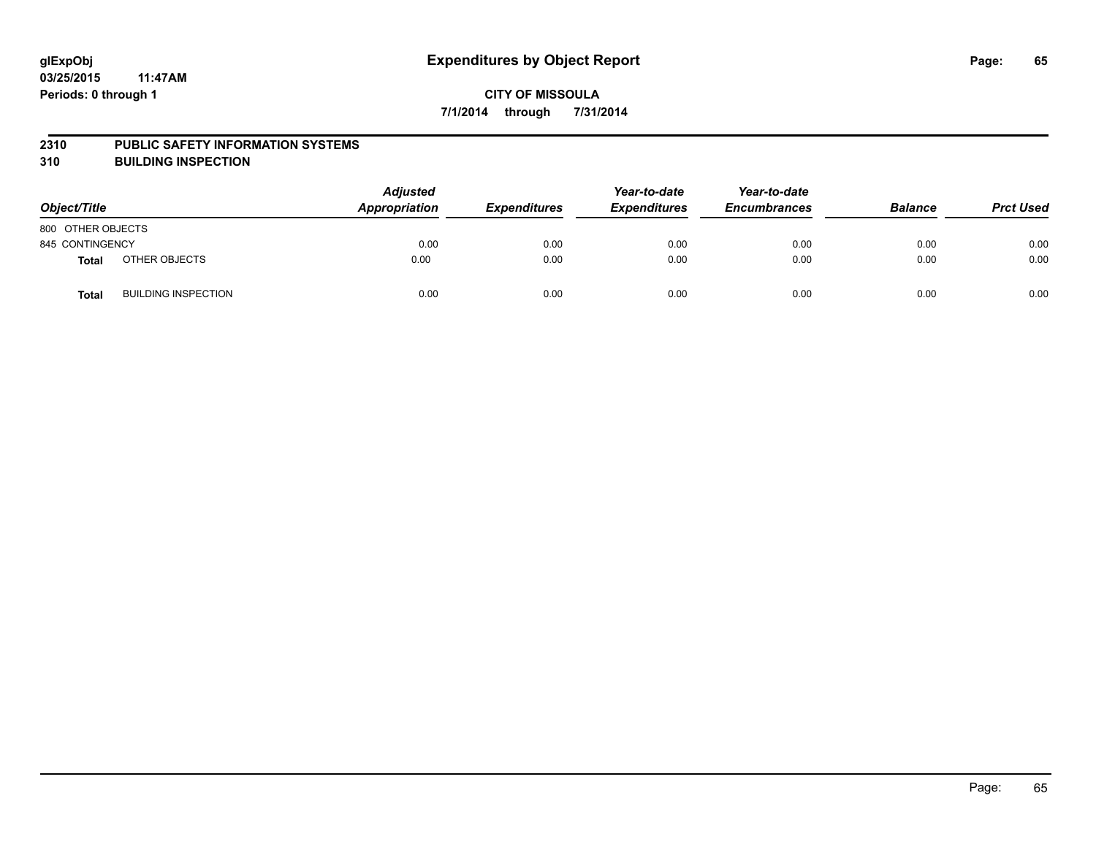#### **2310 PUBLIC SAFETY INFORMATION SYSTEMS**

**310 BUILDING INSPECTION**

| Object/Title      |                            | <b>Adjusted</b><br>Appropriation | <b>Expenditures</b> | Year-to-date<br><b>Expenditures</b> | Year-to-date<br><b>Encumbrances</b> | <b>Balance</b> | <b>Prct Used</b> |
|-------------------|----------------------------|----------------------------------|---------------------|-------------------------------------|-------------------------------------|----------------|------------------|
| 800 OTHER OBJECTS |                            |                                  |                     |                                     |                                     |                |                  |
| 845 CONTINGENCY   |                            | 0.00                             | 0.00                | 0.00                                | 0.00                                | 0.00           | 0.00             |
| <b>Total</b>      | OTHER OBJECTS              | 0.00                             | 0.00                | 0.00                                | 0.00                                | 0.00           | 0.00             |
| <b>Total</b>      | <b>BUILDING INSPECTION</b> | 0.00                             | 0.00                | 0.00                                | 0.00                                | 0.00           | 0.00             |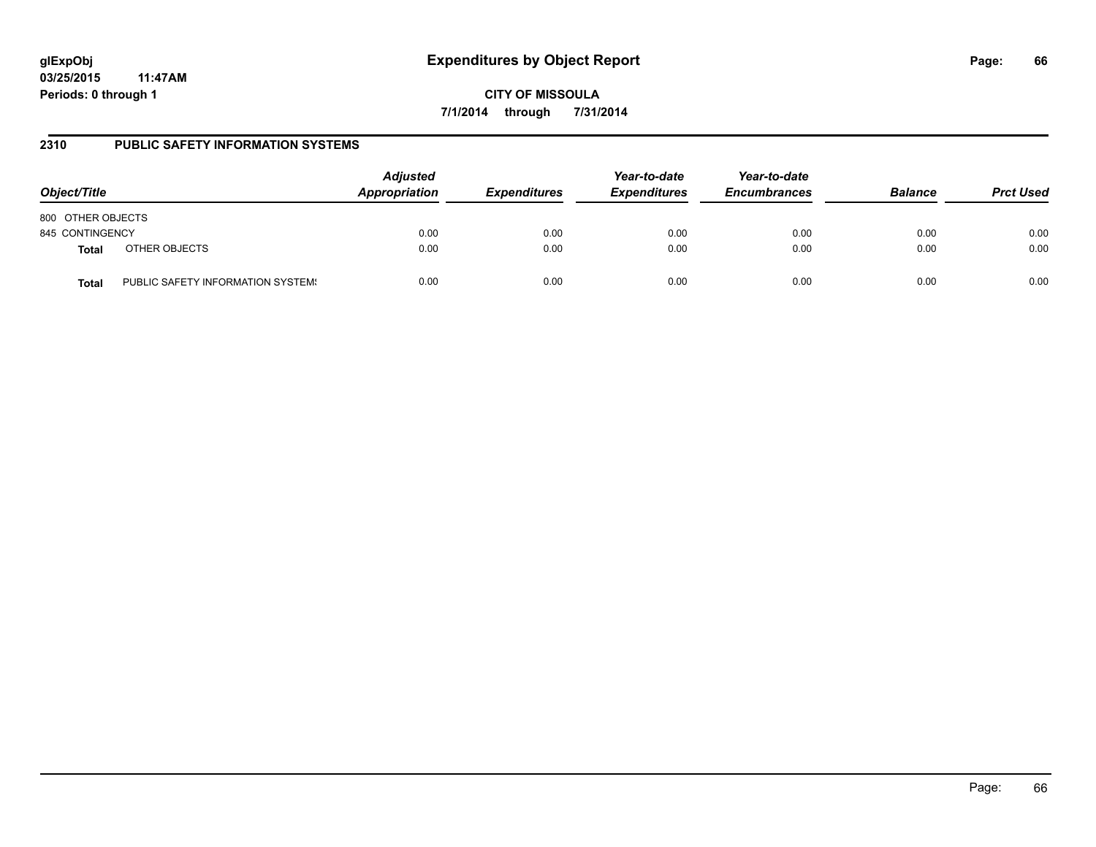**CITY OF MISSOULA 7/1/2014 through 7/31/2014**

### **2310 PUBLIC SAFETY INFORMATION SYSTEMS**

| Object/Title      |                                   | <b>Adjusted</b><br>Appropriation | <b>Expenditures</b> | Year-to-date<br><b>Expenditures</b> | Year-to-date<br><b>Encumbrances</b> | <b>Balance</b> | <b>Prct Used</b> |
|-------------------|-----------------------------------|----------------------------------|---------------------|-------------------------------------|-------------------------------------|----------------|------------------|
| 800 OTHER OBJECTS |                                   |                                  |                     |                                     |                                     |                |                  |
| 845 CONTINGENCY   |                                   | 0.00                             | 0.00                | 0.00                                | 0.00                                | 0.00           | 0.00             |
| <b>Total</b>      | OTHER OBJECTS                     | 0.00                             | 0.00                | 0.00                                | 0.00                                | 0.00           | 0.00             |
| <b>Total</b>      | PUBLIC SAFETY INFORMATION SYSTEM! | 0.00                             | 0.00                | 0.00                                | 0.00                                | 0.00           | 0.00             |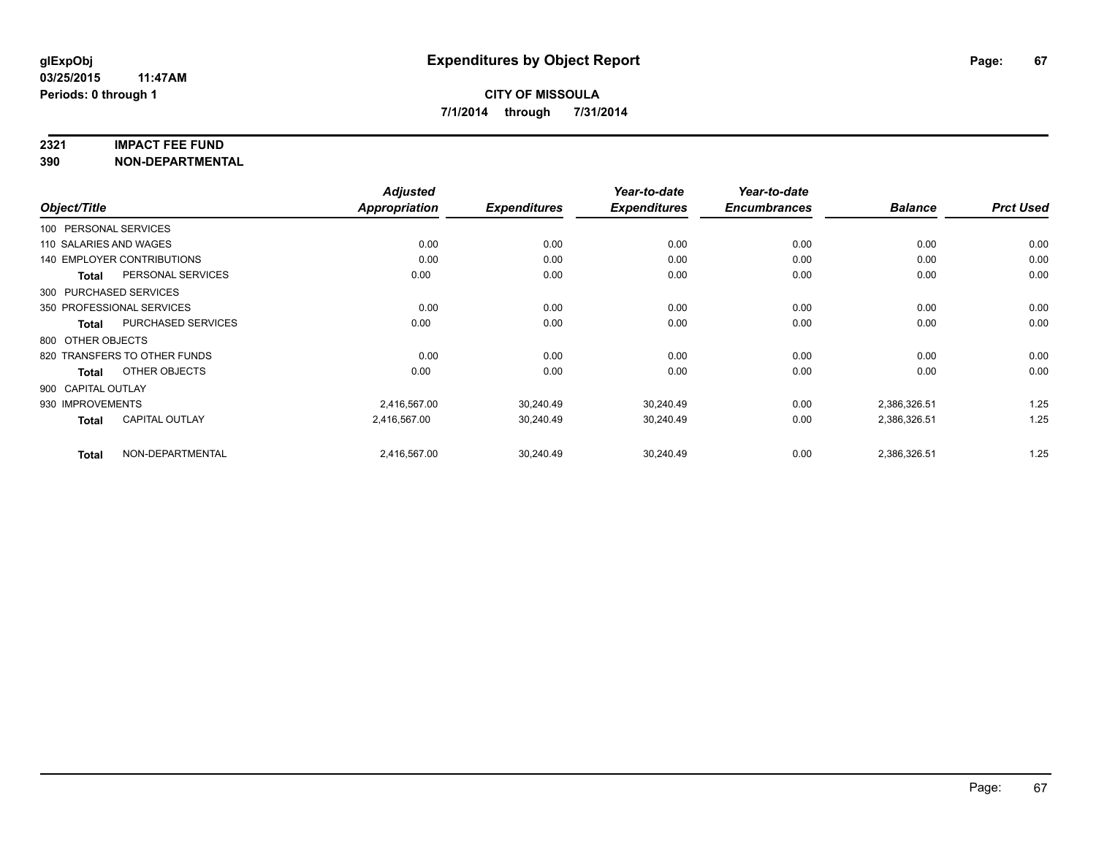#### **2321 IMPACT FEE FUND**

**390 NON-DEPARTMENTAL**

|                        |                              | <b>Adjusted</b> |                     | Year-to-date        | Year-to-date        |                |                  |
|------------------------|------------------------------|-----------------|---------------------|---------------------|---------------------|----------------|------------------|
| Object/Title           |                              | Appropriation   | <b>Expenditures</b> | <b>Expenditures</b> | <b>Encumbrances</b> | <b>Balance</b> | <b>Prct Used</b> |
| 100 PERSONAL SERVICES  |                              |                 |                     |                     |                     |                |                  |
| 110 SALARIES AND WAGES |                              | 0.00            | 0.00                | 0.00                | 0.00                | 0.00           | 0.00             |
|                        | 140 EMPLOYER CONTRIBUTIONS   | 0.00            | 0.00                | 0.00                | 0.00                | 0.00           | 0.00             |
| <b>Total</b>           | PERSONAL SERVICES            | 0.00            | 0.00                | 0.00                | 0.00                | 0.00           | 0.00             |
| 300 PURCHASED SERVICES |                              |                 |                     |                     |                     |                |                  |
|                        | 350 PROFESSIONAL SERVICES    | 0.00            | 0.00                | 0.00                | 0.00                | 0.00           | 0.00             |
| Total                  | PURCHASED SERVICES           | 0.00            | 0.00                | 0.00                | 0.00                | 0.00           | 0.00             |
| 800 OTHER OBJECTS      |                              |                 |                     |                     |                     |                |                  |
|                        | 820 TRANSFERS TO OTHER FUNDS | 0.00            | 0.00                | 0.00                | 0.00                | 0.00           | 0.00             |
| <b>Total</b>           | OTHER OBJECTS                | 0.00            | 0.00                | 0.00                | 0.00                | 0.00           | 0.00             |
| 900 CAPITAL OUTLAY     |                              |                 |                     |                     |                     |                |                  |
| 930 IMPROVEMENTS       |                              | 2,416,567.00    | 30,240.49           | 30,240.49           | 0.00                | 2,386,326.51   | 1.25             |
| <b>Total</b>           | <b>CAPITAL OUTLAY</b>        | 2,416,567.00    | 30,240.49           | 30,240.49           | 0.00                | 2,386,326.51   | 1.25             |
| <b>Total</b>           | NON-DEPARTMENTAL             | 2,416,567.00    | 30,240.49           | 30,240.49           | 0.00                | 2,386,326.51   | 1.25             |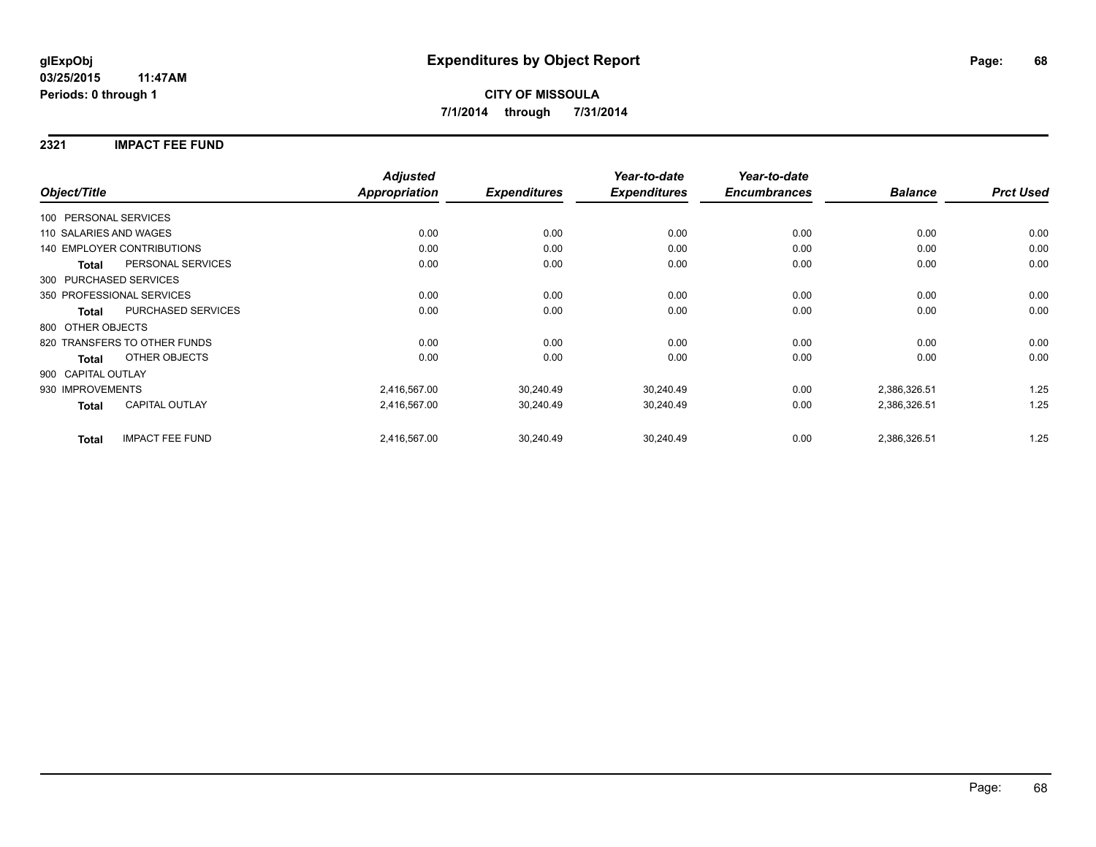### **2321 IMPACT FEE FUND**

|                        |                                   | <b>Adjusted</b> |                     | Year-to-date        | Year-to-date        |                |                  |
|------------------------|-----------------------------------|-----------------|---------------------|---------------------|---------------------|----------------|------------------|
| Object/Title           |                                   | Appropriation   | <b>Expenditures</b> | <b>Expenditures</b> | <b>Encumbrances</b> | <b>Balance</b> | <b>Prct Used</b> |
| 100 PERSONAL SERVICES  |                                   |                 |                     |                     |                     |                |                  |
| 110 SALARIES AND WAGES |                                   | 0.00            | 0.00                | 0.00                | 0.00                | 0.00           | 0.00             |
|                        | <b>140 EMPLOYER CONTRIBUTIONS</b> | 0.00            | 0.00                | 0.00                | 0.00                | 0.00           | 0.00             |
| <b>Total</b>           | PERSONAL SERVICES                 | 0.00            | 0.00                | 0.00                | 0.00                | 0.00           | 0.00             |
|                        | 300 PURCHASED SERVICES            |                 |                     |                     |                     |                |                  |
|                        | 350 PROFESSIONAL SERVICES         | 0.00            | 0.00                | 0.00                | 0.00                | 0.00           | 0.00             |
| <b>Total</b>           | PURCHASED SERVICES                | 0.00            | 0.00                | 0.00                | 0.00                | 0.00           | 0.00             |
| 800 OTHER OBJECTS      |                                   |                 |                     |                     |                     |                |                  |
|                        | 820 TRANSFERS TO OTHER FUNDS      | 0.00            | 0.00                | 0.00                | 0.00                | 0.00           | 0.00             |
| <b>Total</b>           | OTHER OBJECTS                     | 0.00            | 0.00                | 0.00                | 0.00                | 0.00           | 0.00             |
| 900 CAPITAL OUTLAY     |                                   |                 |                     |                     |                     |                |                  |
| 930 IMPROVEMENTS       |                                   | 2,416,567.00    | 30,240.49           | 30,240.49           | 0.00                | 2,386,326.51   | 1.25             |
| Total                  | <b>CAPITAL OUTLAY</b>             | 2,416,567.00    | 30,240.49           | 30,240.49           | 0.00                | 2,386,326.51   | 1.25             |
| <b>Total</b>           | <b>IMPACT FEE FUND</b>            | 2,416,567.00    | 30,240.49           | 30,240.49           | 0.00                | 2,386,326.51   | 1.25             |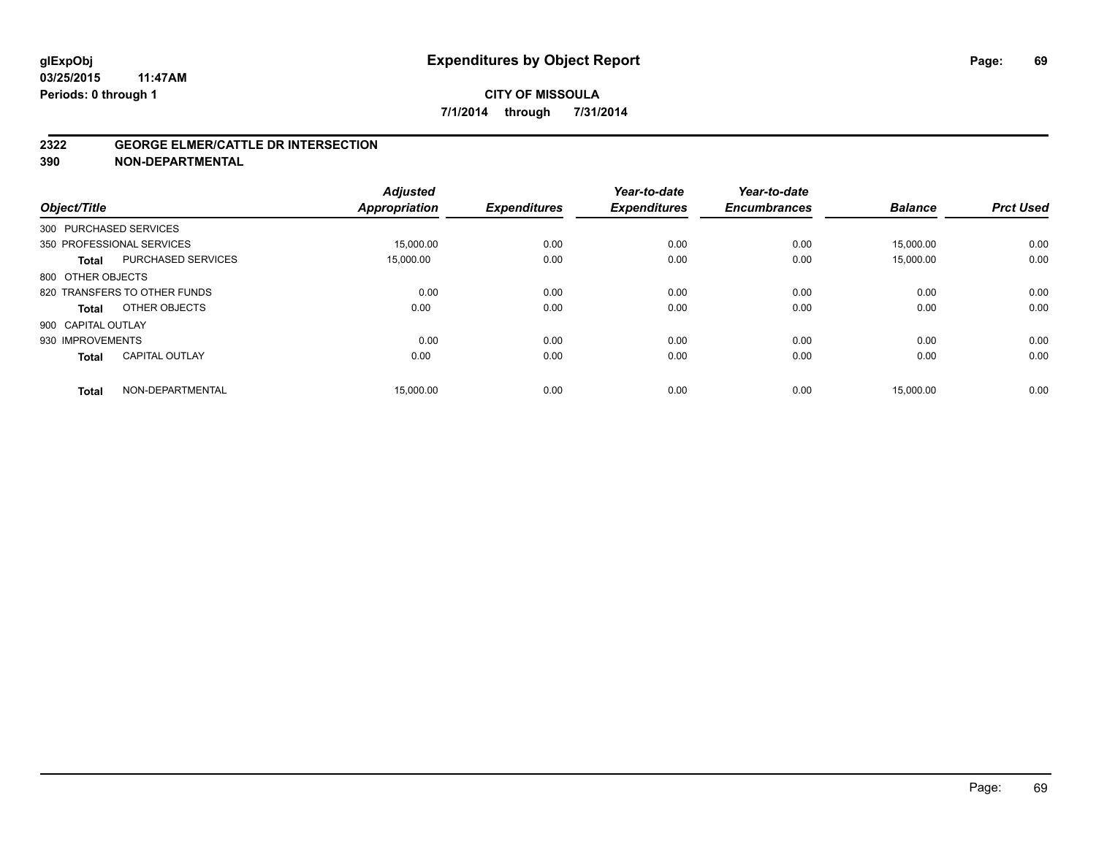#### **2322 GEORGE ELMER/CATTLE DR INTERSECTION**

**390 NON-DEPARTMENTAL**

| Object/Title           |                              | <b>Adjusted</b><br><b>Appropriation</b> | <b>Expenditures</b> | Year-to-date<br><b>Expenditures</b> | Year-to-date<br><b>Encumbrances</b> | <b>Balance</b> | <b>Prct Used</b> |
|------------------------|------------------------------|-----------------------------------------|---------------------|-------------------------------------|-------------------------------------|----------------|------------------|
| 300 PURCHASED SERVICES |                              |                                         |                     |                                     |                                     |                |                  |
|                        | 350 PROFESSIONAL SERVICES    | 15.000.00                               | 0.00                | 0.00                                | 0.00                                | 15.000.00      | 0.00             |
| <b>Total</b>           | <b>PURCHASED SERVICES</b>    | 15,000.00                               | 0.00                | 0.00                                | 0.00                                | 15,000.00      | 0.00             |
| 800 OTHER OBJECTS      |                              |                                         |                     |                                     |                                     |                |                  |
|                        | 820 TRANSFERS TO OTHER FUNDS | 0.00                                    | 0.00                | 0.00                                | 0.00                                | 0.00           | 0.00             |
| Total                  | OTHER OBJECTS                | 0.00                                    | 0.00                | 0.00                                | 0.00                                | 0.00           | 0.00             |
| 900 CAPITAL OUTLAY     |                              |                                         |                     |                                     |                                     |                |                  |
| 930 IMPROVEMENTS       |                              | 0.00                                    | 0.00                | 0.00                                | 0.00                                | 0.00           | 0.00             |
| <b>Total</b>           | <b>CAPITAL OUTLAY</b>        | 0.00                                    | 0.00                | 0.00                                | 0.00                                | 0.00           | 0.00             |
| <b>Total</b>           | NON-DEPARTMENTAL             | 15,000.00                               | 0.00                | 0.00                                | 0.00                                | 15,000.00      | 0.00             |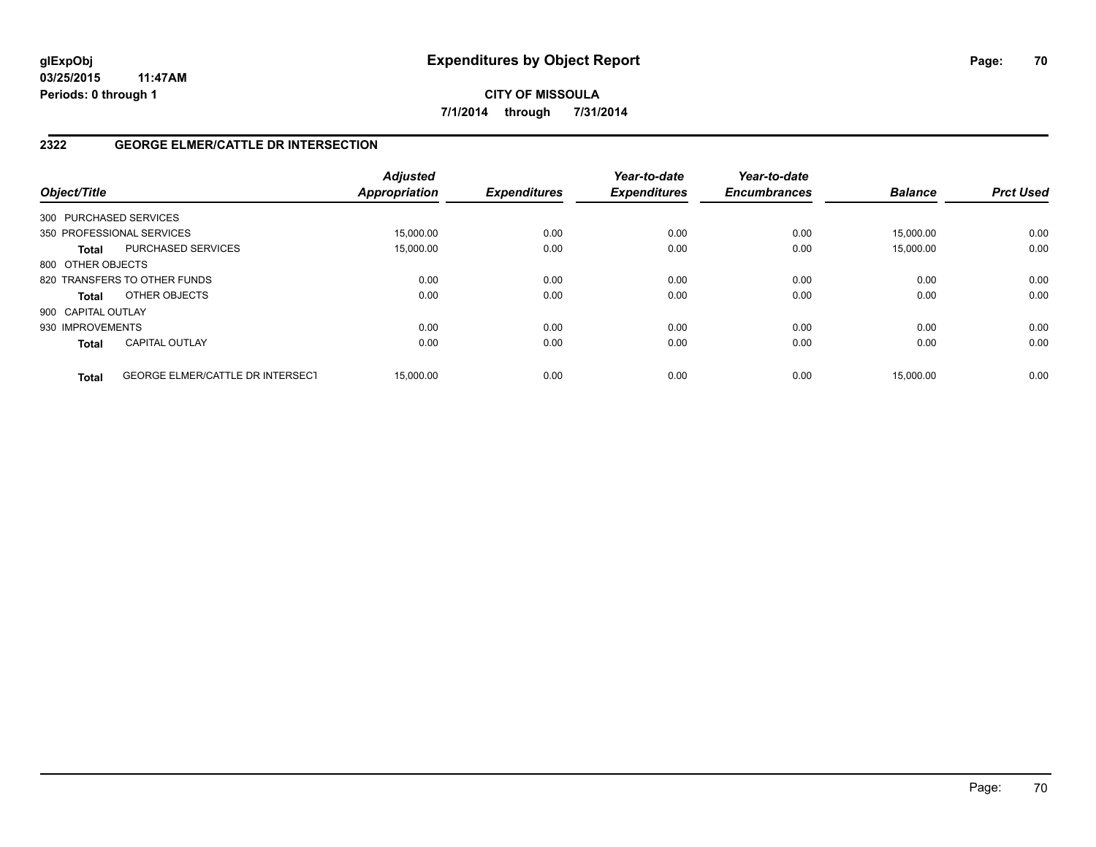**CITY OF MISSOULA 7/1/2014 through 7/31/2014**

### **2322 GEORGE ELMER/CATTLE DR INTERSECTION**

| Object/Title       |                                         | <b>Adjusted</b><br><b>Appropriation</b> | <b>Expenditures</b> | Year-to-date<br><b>Expenditures</b> | Year-to-date<br><b>Encumbrances</b> | <b>Balance</b> | <b>Prct Used</b> |
|--------------------|-----------------------------------------|-----------------------------------------|---------------------|-------------------------------------|-------------------------------------|----------------|------------------|
|                    | 300 PURCHASED SERVICES                  |                                         |                     |                                     |                                     |                |                  |
|                    | 350 PROFESSIONAL SERVICES               | 15,000.00                               | 0.00                | 0.00                                | 0.00                                | 15.000.00      | 0.00             |
| <b>Total</b>       | <b>PURCHASED SERVICES</b>               | 15,000.00                               | 0.00                | 0.00                                | 0.00                                | 15,000.00      | 0.00             |
| 800 OTHER OBJECTS  |                                         |                                         |                     |                                     |                                     |                |                  |
|                    | 820 TRANSFERS TO OTHER FUNDS            | 0.00                                    | 0.00                | 0.00                                | 0.00                                | 0.00           | 0.00             |
| <b>Total</b>       | OTHER OBJECTS                           | 0.00                                    | 0.00                | 0.00                                | 0.00                                | 0.00           | 0.00             |
| 900 CAPITAL OUTLAY |                                         |                                         |                     |                                     |                                     |                |                  |
| 930 IMPROVEMENTS   |                                         | 0.00                                    | 0.00                | 0.00                                | 0.00                                | 0.00           | 0.00             |
| <b>Total</b>       | <b>CAPITAL OUTLAY</b>                   | 0.00                                    | 0.00                | 0.00                                | 0.00                                | 0.00           | 0.00             |
| <b>Total</b>       | <b>GEORGE ELMER/CATTLE DR INTERSECT</b> | 15.000.00                               | 0.00                | 0.00                                | 0.00                                | 15.000.00      | 0.00             |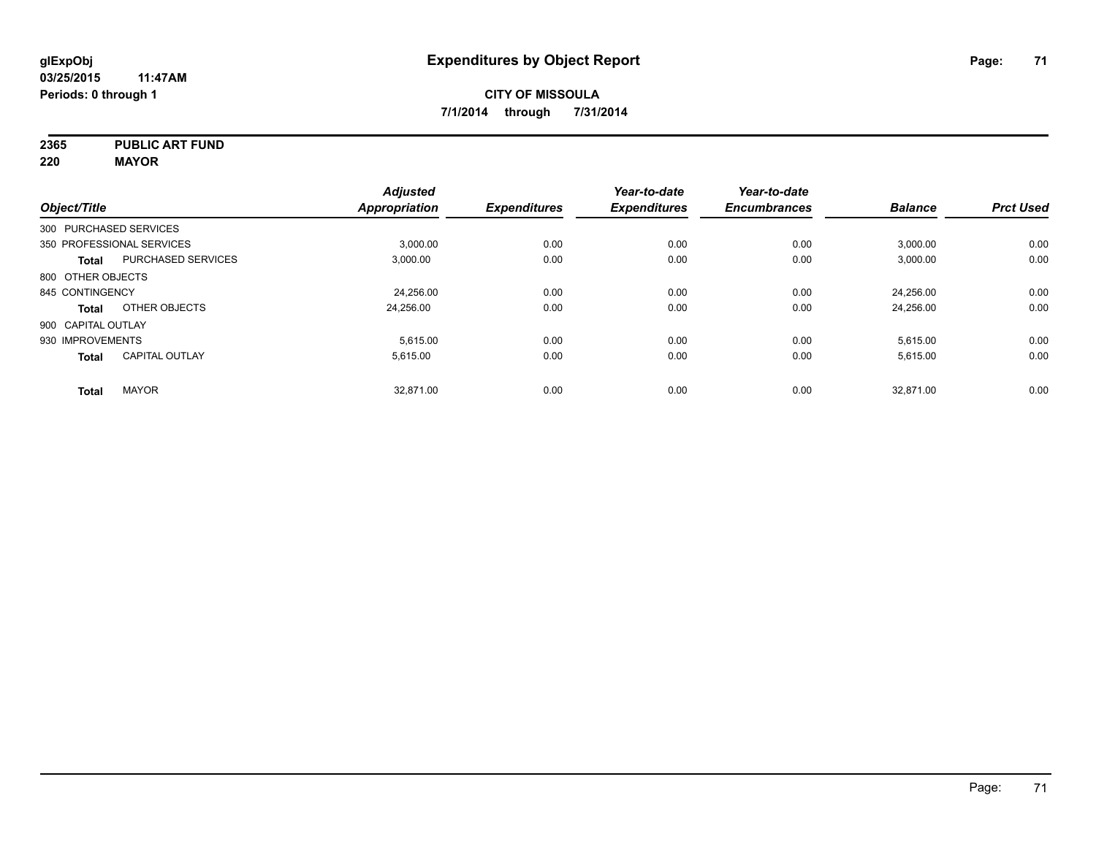**2365 PUBLIC ART FUND**

**220 MAYOR**

|                           | <b>Adjusted</b> |               | Year-to-date                | Year-to-date        |                     | <b>Prct Used</b>            |
|---------------------------|-----------------|---------------|-----------------------------|---------------------|---------------------|-----------------------------|
|                           |                 |               |                             |                     |                     |                             |
| 300 PURCHASED SERVICES    |                 |               |                             |                     |                     |                             |
| 350 PROFESSIONAL SERVICES | 3.000.00        | 0.00          | 0.00                        | 0.00                | 3,000.00            | 0.00                        |
| <b>PURCHASED SERVICES</b> | 3,000.00        | 0.00          | 0.00                        | 0.00                | 3,000.00            | 0.00                        |
| 800 OTHER OBJECTS         |                 |               |                             |                     |                     |                             |
| 845 CONTINGENCY           | 24,256.00       | 0.00          | 0.00                        | 0.00                | 24,256.00           | 0.00                        |
| OTHER OBJECTS             | 24.256.00       | 0.00          | 0.00                        | 0.00                | 24,256.00           | 0.00                        |
| 900 CAPITAL OUTLAY        |                 |               |                             |                     |                     |                             |
| 930 IMPROVEMENTS          | 5,615.00        | 0.00          | 0.00                        | 0.00                | 5,615.00            | 0.00                        |
| <b>CAPITAL OUTLAY</b>     | 5.615.00        | 0.00          | 0.00                        | 0.00                | 5,615.00            | 0.00                        |
| <b>MAYOR</b>              | 32.871.00       |               | 0.00                        | 0.00                |                     | 0.00                        |
|                           |                 | Appropriation | <b>Expenditures</b><br>0.00 | <b>Expenditures</b> | <b>Encumbrances</b> | <b>Balance</b><br>32,871.00 |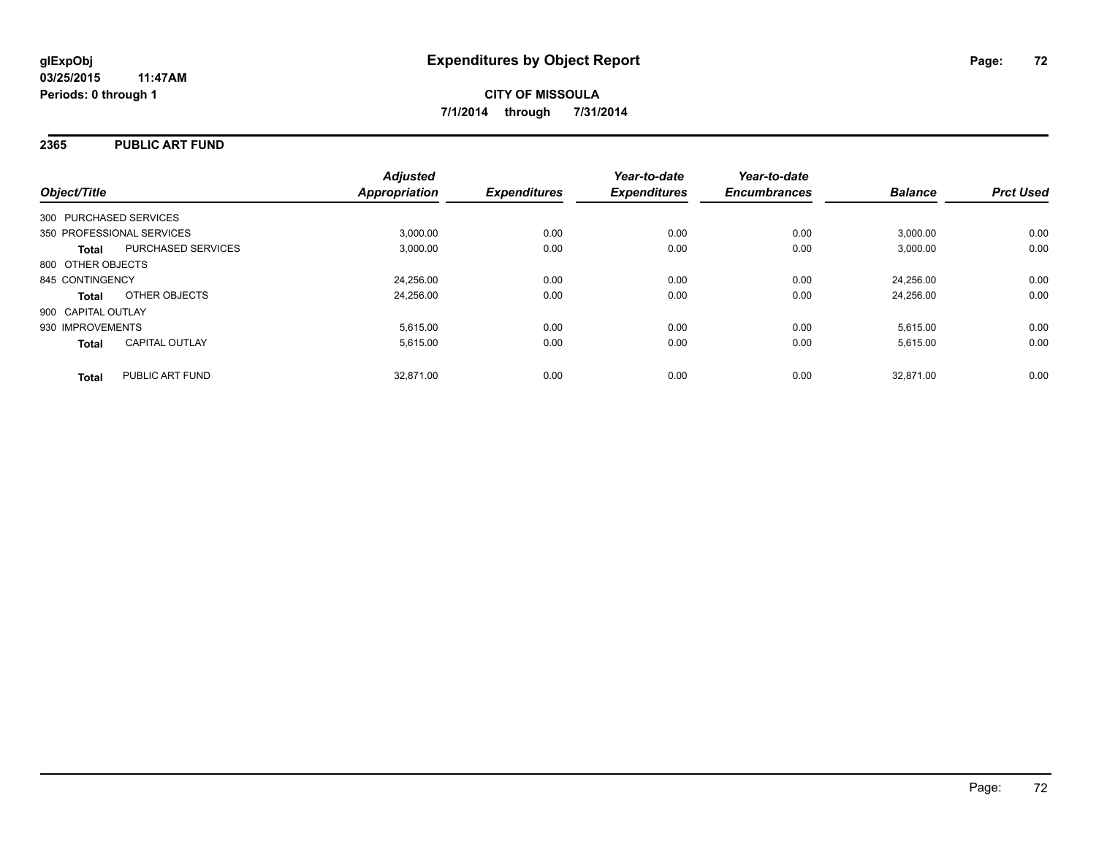### **2365 PUBLIC ART FUND**

| Object/Title                              | <b>Adjusted</b><br><b>Appropriation</b> | <b>Expenditures</b> | Year-to-date<br><b>Expenditures</b> | Year-to-date<br><b>Encumbrances</b> | <b>Balance</b> | <b>Prct Used</b> |
|-------------------------------------------|-----------------------------------------|---------------------|-------------------------------------|-------------------------------------|----------------|------------------|
|                                           |                                         |                     |                                     |                                     |                |                  |
| 300 PURCHASED SERVICES                    |                                         |                     |                                     |                                     |                |                  |
| 350 PROFESSIONAL SERVICES                 | 3,000.00                                | 0.00                | 0.00                                | 0.00                                | 3,000.00       | 0.00             |
| <b>PURCHASED SERVICES</b><br><b>Total</b> | 3.000.00                                | 0.00                | 0.00                                | 0.00                                | 3.000.00       | 0.00             |
| 800 OTHER OBJECTS                         |                                         |                     |                                     |                                     |                |                  |
| 845 CONTINGENCY                           | 24,256.00                               | 0.00                | 0.00                                | 0.00                                | 24.256.00      | 0.00             |
| OTHER OBJECTS<br><b>Total</b>             | 24,256.00                               | 0.00                | 0.00                                | 0.00                                | 24.256.00      | 0.00             |
| 900 CAPITAL OUTLAY                        |                                         |                     |                                     |                                     |                |                  |
| 930 IMPROVEMENTS                          | 5,615.00                                | 0.00                | 0.00                                | 0.00                                | 5,615.00       | 0.00             |
| <b>CAPITAL OUTLAY</b><br><b>Total</b>     | 5,615.00                                | 0.00                | 0.00                                | 0.00                                | 5,615.00       | 0.00             |
| PUBLIC ART FUND<br><b>Total</b>           | 32.871.00                               | 0.00                | 0.00                                | 0.00                                | 32.871.00      | 0.00             |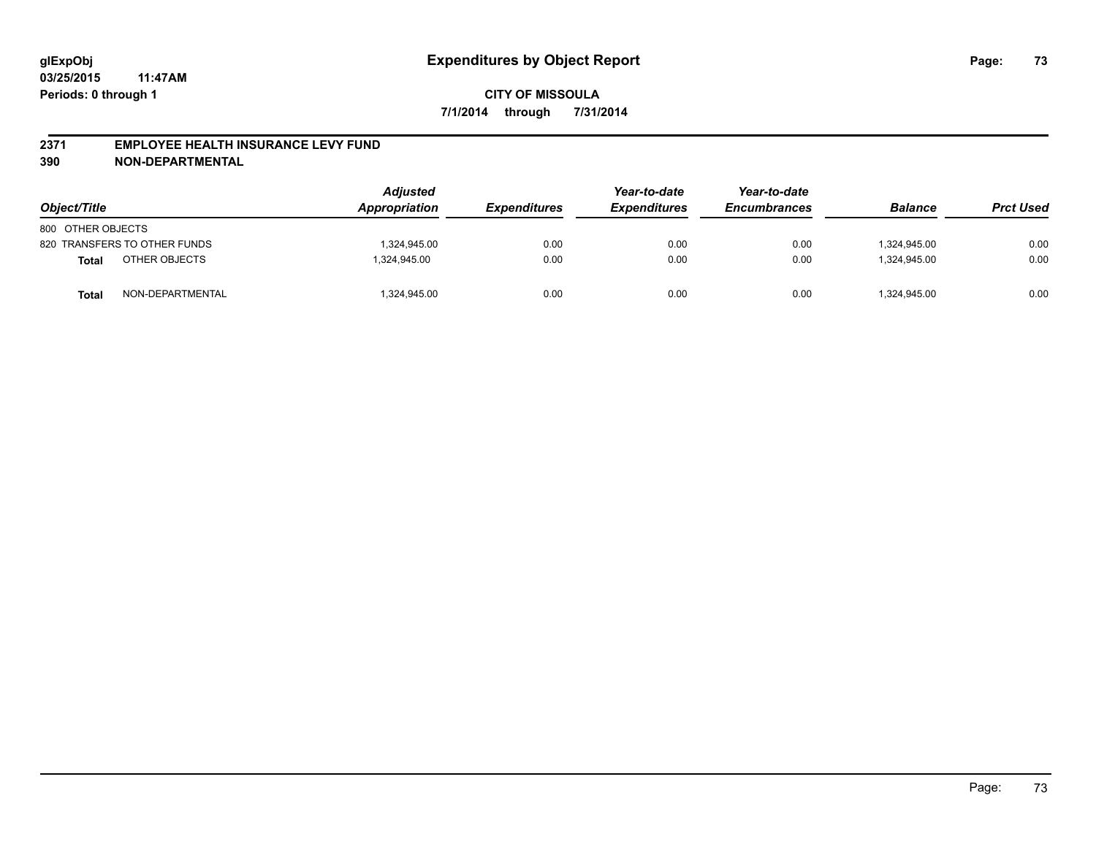#### **2371 EMPLOYEE HEALTH INSURANCE LEVY FUND**

**390 NON-DEPARTMENTAL**

| Object/Title      |                              | <b>Adjusted</b><br>Appropriation | <b>Expenditures</b> | Year-to-date<br><b>Expenditures</b> | Year-to-date<br><b>Encumbrances</b> | <b>Balance</b> | <b>Prct Used</b> |
|-------------------|------------------------------|----------------------------------|---------------------|-------------------------------------|-------------------------------------|----------------|------------------|
| 800 OTHER OBJECTS |                              |                                  |                     |                                     |                                     |                |                  |
|                   | 820 TRANSFERS TO OTHER FUNDS | 1,324,945.00                     | 0.00                | 0.00                                | 0.00                                | 1.324.945.00   | 0.00             |
| <b>Total</b>      | OTHER OBJECTS                | 1.324.945.00                     | 0.00                | 0.00                                | 0.00                                | 1.324.945.00   | 0.00             |
| Total             | NON-DEPARTMENTAL             | 1,324,945.00                     | 0.00                | 0.00                                | 0.00                                | 324,945.00     | 0.00             |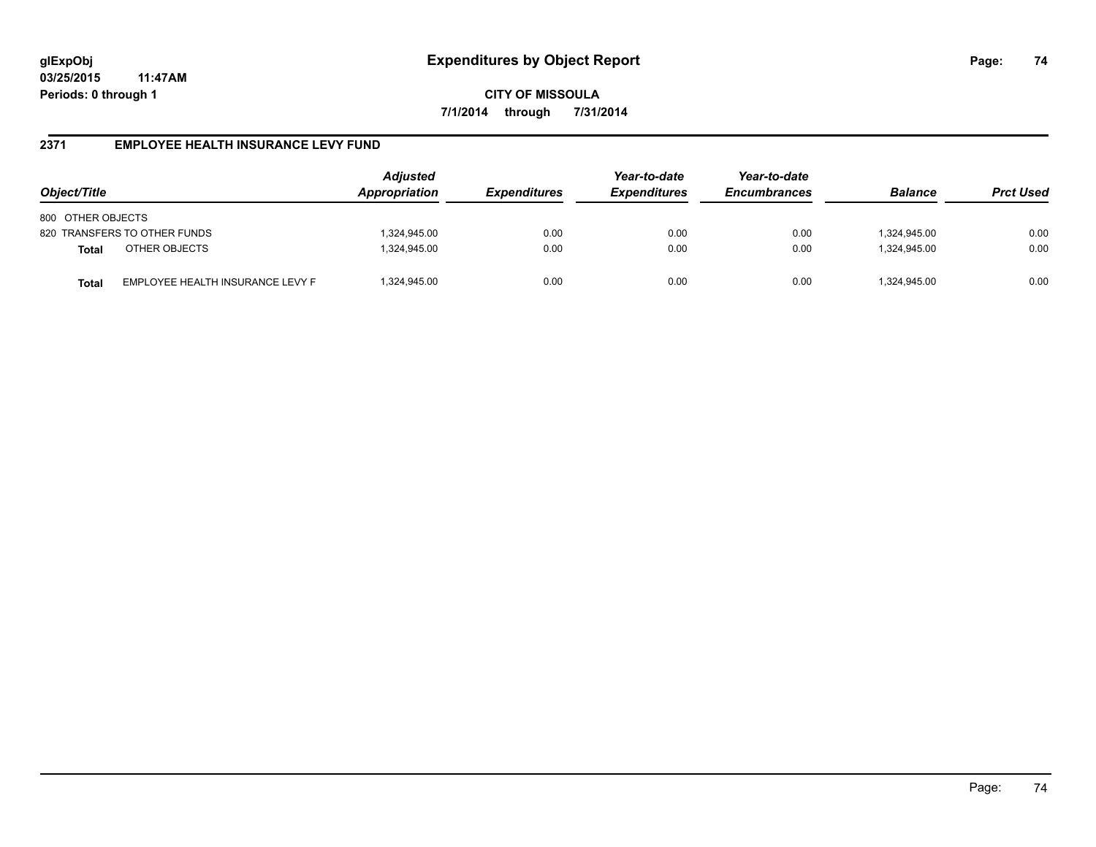**CITY OF MISSOULA 7/1/2014 through 7/31/2014**

#### **2371 EMPLOYEE HEALTH INSURANCE LEVY FUND**

| Object/Title                                     | <b>Adjusted</b><br>Appropriation<br><i><b>Expenditures</b></i> |      | Year-to-date<br><b>Expenditures</b> | Year-to-date<br><b>Encumbrances</b> | <b>Balance</b> | <b>Prct Used</b> |
|--------------------------------------------------|----------------------------------------------------------------|------|-------------------------------------|-------------------------------------|----------------|------------------|
| 800 OTHER OBJECTS                                |                                                                |      |                                     |                                     |                |                  |
| 820 TRANSFERS TO OTHER FUNDS                     | 1,324,945.00                                                   | 0.00 | 0.00                                | 0.00                                | 324,945.00     | 0.00             |
| OTHER OBJECTS<br><b>Total</b>                    | 1,324,945.00                                                   | 0.00 | 0.00                                | 0.00                                | 1.324.945.00   | 0.00             |
| EMPLOYEE HEALTH INSURANCE LEVY F<br><b>Total</b> | 1,324,945.00                                                   | 0.00 | 0.00                                | 0.00                                | 324,945.00     | 0.00             |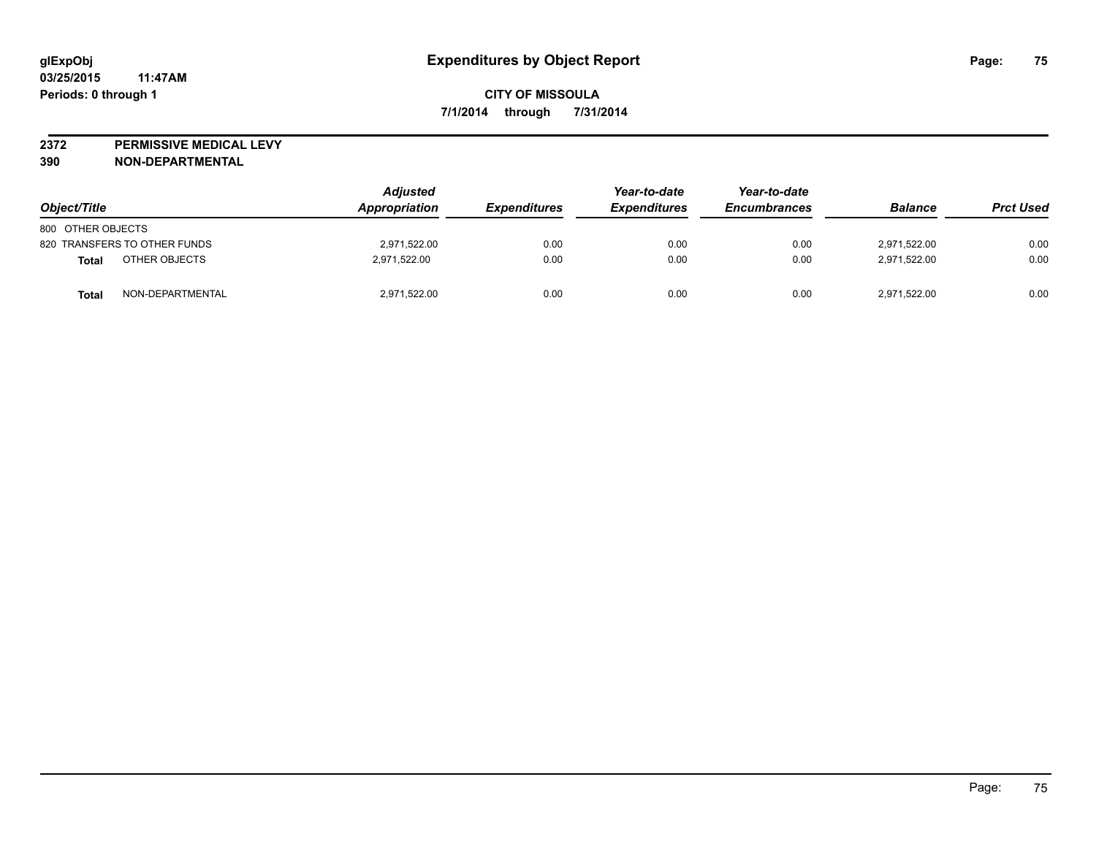**2372 PERMISSIVE MEDICAL LEVY**

**390 NON-DEPARTMENTAL**

| Object/Title                 | <b>Adjusted</b><br>Appropriation | <b>Expenditures</b> | Year-to-date<br><b>Expenditures</b> | Year-to-date<br><b>Encumbrances</b> | <b>Balance</b> | <b>Prct Used</b> |
|------------------------------|----------------------------------|---------------------|-------------------------------------|-------------------------------------|----------------|------------------|
| 800 OTHER OBJECTS            |                                  |                     |                                     |                                     |                |                  |
| 820 TRANSFERS TO OTHER FUNDS | 2,971,522.00                     | 0.00                | 0.00                                | 0.00                                | 2.971.522.00   | 0.00             |
| OTHER OBJECTS<br>Total       | 2,971,522.00                     | 0.00                | 0.00                                | 0.00                                | 2,971,522.00   | 0.00             |
| NON-DEPARTMENTAL<br>Total    | 2,971,522.00                     | 0.00                | 0.00                                | 0.00                                | 2,971,522.00   | 0.00             |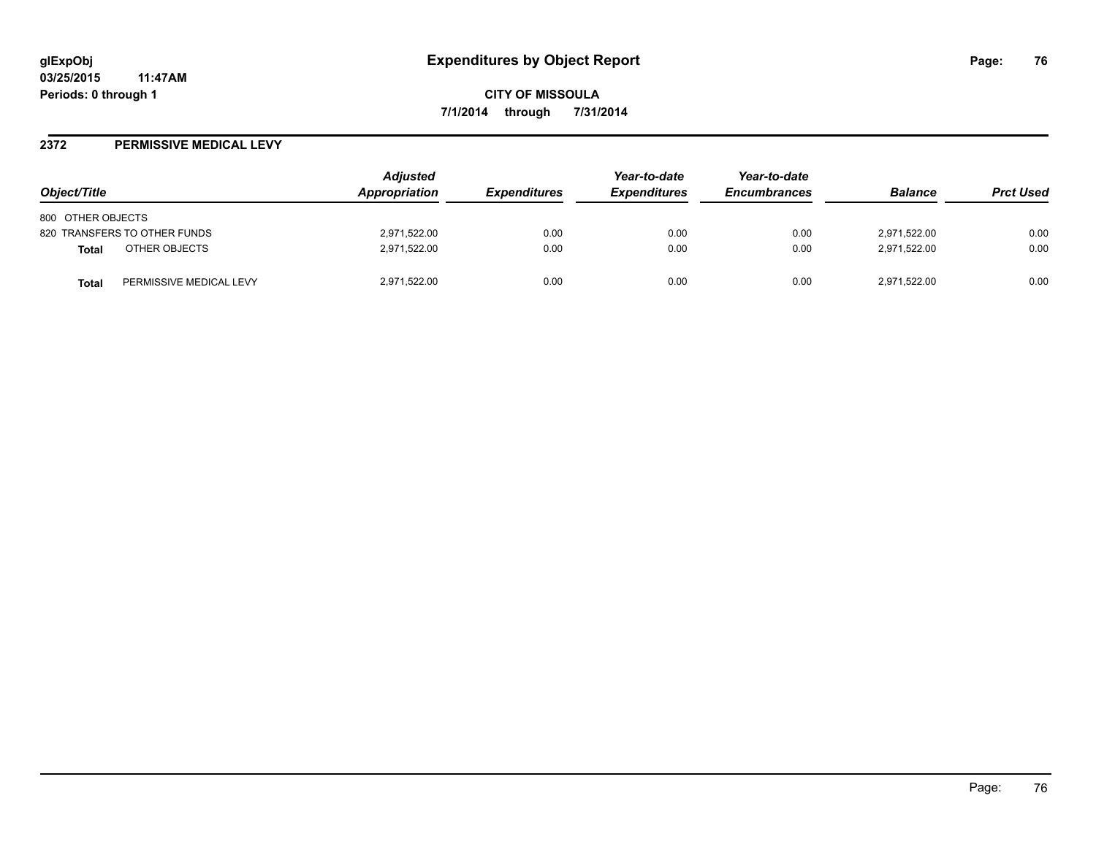#### **2372 PERMISSIVE MEDICAL LEVY**

| Object/Title                            | <b>Adjusted</b><br><b>Appropriation</b> | <i><b>Expenditures</b></i> | Year-to-date<br><b>Expenditures</b> | Year-to-date<br><b>Encumbrances</b> | <b>Balance</b> | <b>Prct Used</b> |
|-----------------------------------------|-----------------------------------------|----------------------------|-------------------------------------|-------------------------------------|----------------|------------------|
| 800 OTHER OBJECTS                       |                                         |                            |                                     |                                     |                |                  |
| 820 TRANSFERS TO OTHER FUNDS            | 2,971,522.00                            | 0.00                       | 0.00                                | 0.00                                | 2,971,522.00   | 0.00             |
| OTHER OBJECTS<br>Total                  | 2,971,522.00                            | 0.00                       | 0.00                                | 0.00                                | 2,971,522.00   | 0.00             |
| PERMISSIVE MEDICAL LEVY<br><b>Total</b> | 2,971,522.00                            | 0.00                       | 0.00                                | 0.00                                | 2,971,522.00   | 0.00             |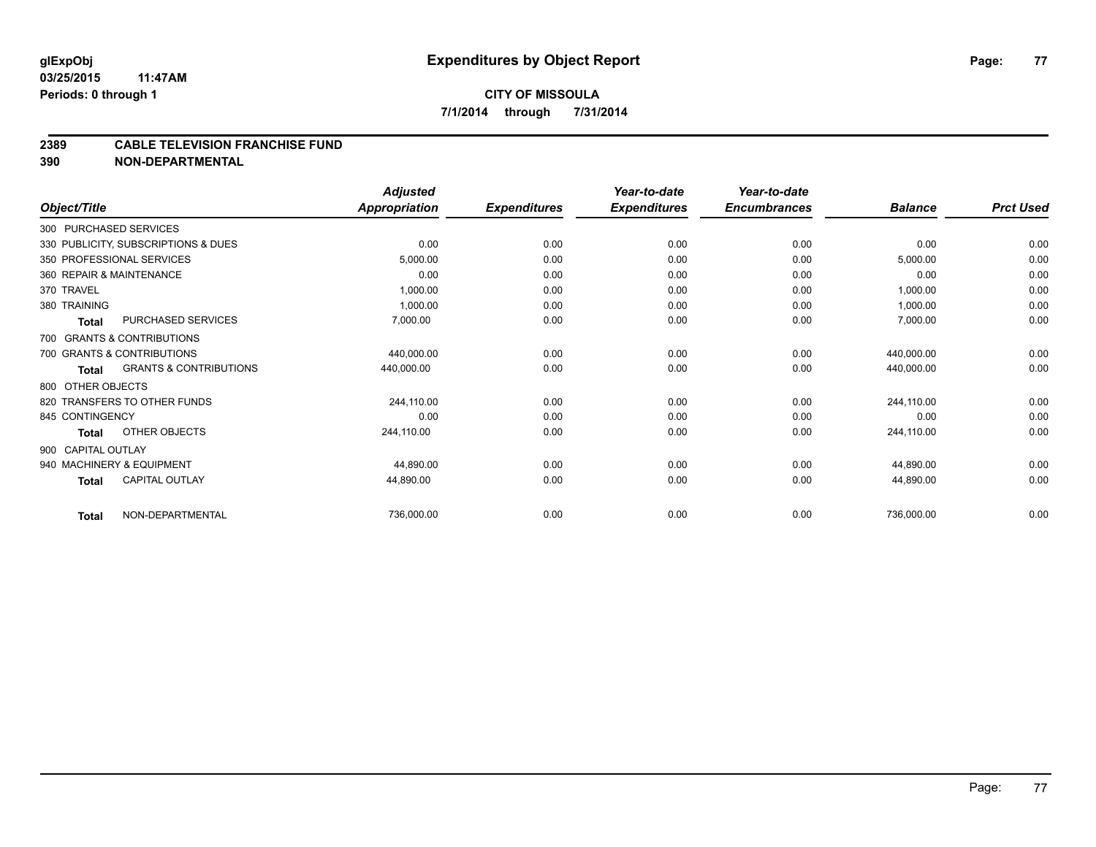#### **2389 CABLE TELEVISION FRANCHISE FUND**

**390 NON-DEPARTMENTAL**

| Object/Title             |                                     | <b>Adjusted</b><br><b>Appropriation</b> | <b>Expenditures</b> | Year-to-date<br><b>Expenditures</b> | Year-to-date<br><b>Encumbrances</b> | <b>Balance</b> | <b>Prct Used</b> |
|--------------------------|-------------------------------------|-----------------------------------------|---------------------|-------------------------------------|-------------------------------------|----------------|------------------|
|                          |                                     |                                         |                     |                                     |                                     |                |                  |
| 300 PURCHASED SERVICES   |                                     |                                         |                     |                                     |                                     |                |                  |
|                          | 330 PUBLICITY, SUBSCRIPTIONS & DUES | 0.00                                    | 0.00                | 0.00                                | 0.00                                | 0.00           | 0.00             |
|                          | 350 PROFESSIONAL SERVICES           | 5,000.00                                | 0.00                | 0.00                                | 0.00                                | 5,000.00       | 0.00             |
| 360 REPAIR & MAINTENANCE |                                     | 0.00                                    | 0.00                | 0.00                                | 0.00                                | 0.00           | 0.00             |
| 370 TRAVEL               |                                     | 1,000.00                                | 0.00                | 0.00                                | 0.00                                | 1,000.00       | 0.00             |
| 380 TRAINING             |                                     | 1,000.00                                | 0.00                | 0.00                                | 0.00                                | 1,000.00       | 0.00             |
| <b>Total</b>             | PURCHASED SERVICES                  | 7,000.00                                | 0.00                | 0.00                                | 0.00                                | 7,000.00       | 0.00             |
|                          | 700 GRANTS & CONTRIBUTIONS          |                                         |                     |                                     |                                     |                |                  |
|                          | 700 GRANTS & CONTRIBUTIONS          | 440,000.00                              | 0.00                | 0.00                                | 0.00                                | 440,000.00     | 0.00             |
| <b>Total</b>             | <b>GRANTS &amp; CONTRIBUTIONS</b>   | 440,000.00                              | 0.00                | 0.00                                | 0.00                                | 440,000.00     | 0.00             |
| 800 OTHER OBJECTS        |                                     |                                         |                     |                                     |                                     |                |                  |
|                          | 820 TRANSFERS TO OTHER FUNDS        | 244,110.00                              | 0.00                | 0.00                                | 0.00                                | 244,110.00     | 0.00             |
| 845 CONTINGENCY          |                                     | 0.00                                    | 0.00                | 0.00                                | 0.00                                | 0.00           | 0.00             |
| Total                    | OTHER OBJECTS                       | 244,110.00                              | 0.00                | 0.00                                | 0.00                                | 244,110.00     | 0.00             |
| 900 CAPITAL OUTLAY       |                                     |                                         |                     |                                     |                                     |                |                  |
|                          | 940 MACHINERY & EQUIPMENT           | 44,890.00                               | 0.00                | 0.00                                | 0.00                                | 44,890.00      | 0.00             |
| <b>Total</b>             | <b>CAPITAL OUTLAY</b>               | 44,890.00                               | 0.00                | 0.00                                | 0.00                                | 44,890.00      | 0.00             |
| <b>Total</b>             | NON-DEPARTMENTAL                    | 736,000.00                              | 0.00                | 0.00                                | 0.00                                | 736,000.00     | 0.00             |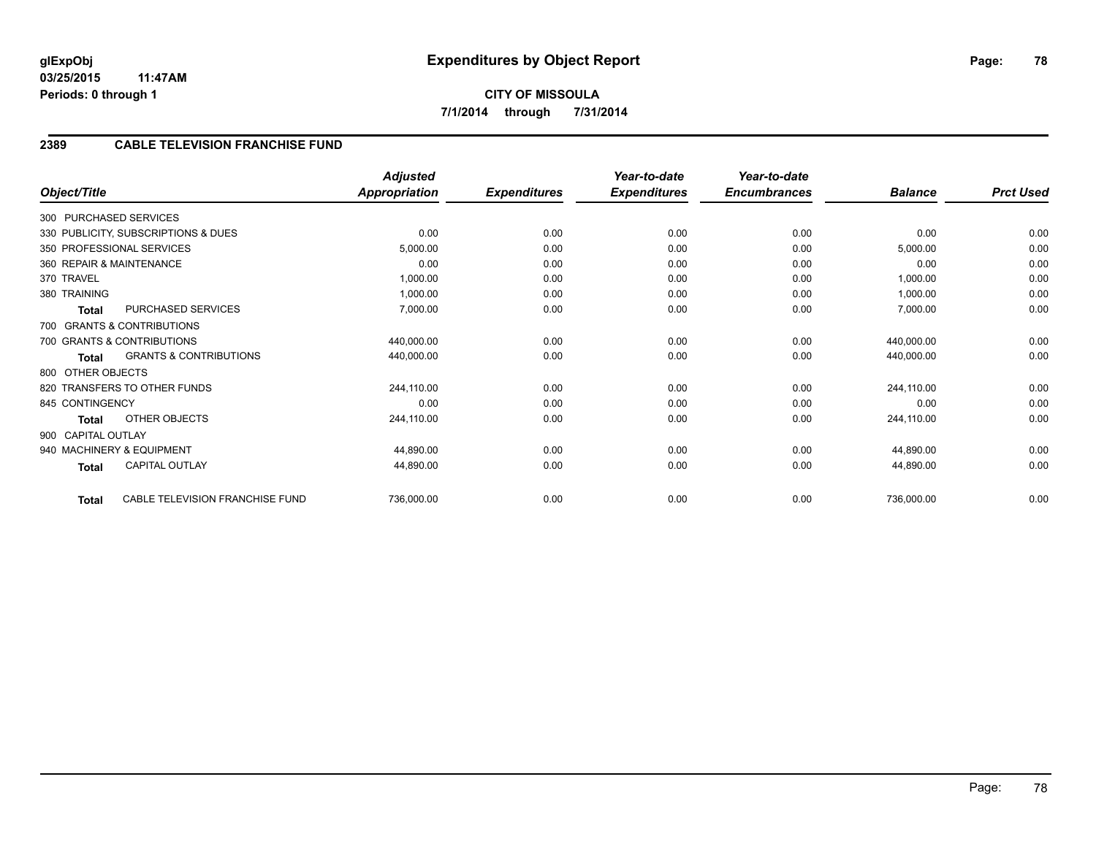# **2389 CABLE TELEVISION FRANCHISE FUND**

| Object/Title       |                                     | <b>Adjusted</b><br>Appropriation | <b>Expenditures</b> | Year-to-date<br><b>Expenditures</b> | Year-to-date<br><b>Encumbrances</b> | <b>Balance</b> | <b>Prct Used</b> |
|--------------------|-------------------------------------|----------------------------------|---------------------|-------------------------------------|-------------------------------------|----------------|------------------|
|                    | 300 PURCHASED SERVICES              |                                  |                     |                                     |                                     |                |                  |
|                    | 330 PUBLICITY, SUBSCRIPTIONS & DUES | 0.00                             | 0.00                | 0.00                                | 0.00                                | 0.00           | 0.00             |
|                    | 350 PROFESSIONAL SERVICES           | 5,000.00                         | 0.00                | 0.00                                | 0.00                                | 5,000.00       | 0.00             |
|                    | 360 REPAIR & MAINTENANCE            | 0.00                             | 0.00                | 0.00                                | 0.00                                | 0.00           | 0.00             |
| 370 TRAVEL         |                                     | 1,000.00                         | 0.00                | 0.00                                | 0.00                                | 1,000.00       | 0.00             |
| 380 TRAINING       |                                     | 1,000.00                         | 0.00                | 0.00                                | 0.00                                | 1,000.00       | 0.00             |
| <b>Total</b>       | PURCHASED SERVICES                  | 7,000.00                         | 0.00                | 0.00                                | 0.00                                | 7,000.00       | 0.00             |
|                    | 700 GRANTS & CONTRIBUTIONS          |                                  |                     |                                     |                                     |                |                  |
|                    | 700 GRANTS & CONTRIBUTIONS          | 440,000.00                       | 0.00                | 0.00                                | 0.00                                | 440,000.00     | 0.00             |
| <b>Total</b>       | <b>GRANTS &amp; CONTRIBUTIONS</b>   | 440,000.00                       | 0.00                | 0.00                                | 0.00                                | 440,000.00     | 0.00             |
| 800 OTHER OBJECTS  |                                     |                                  |                     |                                     |                                     |                |                  |
|                    | 820 TRANSFERS TO OTHER FUNDS        | 244,110.00                       | 0.00                | 0.00                                | 0.00                                | 244,110.00     | 0.00             |
| 845 CONTINGENCY    |                                     | 0.00                             | 0.00                | 0.00                                | 0.00                                | 0.00           | 0.00             |
| <b>Total</b>       | OTHER OBJECTS                       | 244,110.00                       | 0.00                | 0.00                                | 0.00                                | 244,110.00     | 0.00             |
| 900 CAPITAL OUTLAY |                                     |                                  |                     |                                     |                                     |                |                  |
|                    | 940 MACHINERY & EQUIPMENT           | 44,890.00                        | 0.00                | 0.00                                | 0.00                                | 44,890.00      | 0.00             |
| <b>Total</b>       | CAPITAL OUTLAY                      | 44,890.00                        | 0.00                | 0.00                                | 0.00                                | 44,890.00      | 0.00             |
| Total              | CABLE TELEVISION FRANCHISE FUND     | 736,000.00                       | 0.00                | 0.00                                | 0.00                                | 736,000.00     | 0.00             |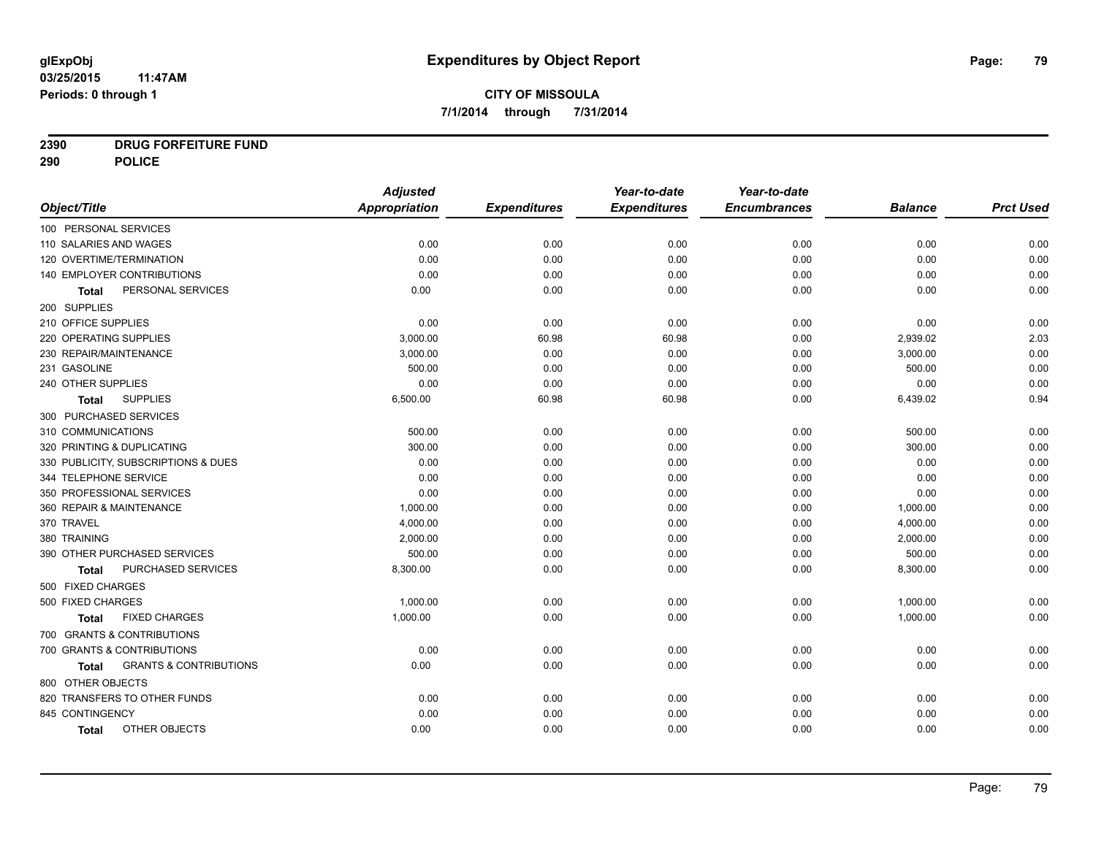# **2390 DRUG FORFEITURE FUND**

**290 POLICE**

|                                            | <b>Adjusted</b>      |                     | Year-to-date        | Year-to-date        |                |                  |
|--------------------------------------------|----------------------|---------------------|---------------------|---------------------|----------------|------------------|
| Object/Title                               | <b>Appropriation</b> | <b>Expenditures</b> | <b>Expenditures</b> | <b>Encumbrances</b> | <b>Balance</b> | <b>Prct Used</b> |
| 100 PERSONAL SERVICES                      |                      |                     |                     |                     |                |                  |
| 110 SALARIES AND WAGES                     | 0.00                 | 0.00                | 0.00                | 0.00                | 0.00           | 0.00             |
| 120 OVERTIME/TERMINATION                   | 0.00                 | 0.00                | 0.00                | 0.00                | 0.00           | 0.00             |
| 140 EMPLOYER CONTRIBUTIONS                 | 0.00                 | 0.00                | 0.00                | 0.00                | 0.00           | 0.00             |
| PERSONAL SERVICES<br><b>Total</b>          | 0.00                 | 0.00                | 0.00                | 0.00                | 0.00           | 0.00             |
| 200 SUPPLIES                               |                      |                     |                     |                     |                |                  |
| 210 OFFICE SUPPLIES                        | 0.00                 | 0.00                | 0.00                | 0.00                | 0.00           | 0.00             |
| 220 OPERATING SUPPLIES                     | 3,000.00             | 60.98               | 60.98               | 0.00                | 2,939.02       | 2.03             |
| 230 REPAIR/MAINTENANCE                     | 3,000.00             | 0.00                | 0.00                | 0.00                | 3,000.00       | 0.00             |
| 231 GASOLINE                               | 500.00               | 0.00                | 0.00                | 0.00                | 500.00         | 0.00             |
| 240 OTHER SUPPLIES                         | 0.00                 | 0.00                | 0.00                | 0.00                | 0.00           | 0.00             |
| <b>SUPPLIES</b><br><b>Total</b>            | 6,500.00             | 60.98               | 60.98               | 0.00                | 6,439.02       | 0.94             |
| 300 PURCHASED SERVICES                     |                      |                     |                     |                     |                |                  |
| 310 COMMUNICATIONS                         | 500.00               | 0.00                | 0.00                | 0.00                | 500.00         | 0.00             |
| 320 PRINTING & DUPLICATING                 | 300.00               | 0.00                | 0.00                | 0.00                | 300.00         | 0.00             |
| 330 PUBLICITY, SUBSCRIPTIONS & DUES        | 0.00                 | 0.00                | 0.00                | 0.00                | 0.00           | 0.00             |
| 344 TELEPHONE SERVICE                      | 0.00                 | 0.00                | 0.00                | 0.00                | 0.00           | 0.00             |
| 350 PROFESSIONAL SERVICES                  | 0.00                 | 0.00                | 0.00                | 0.00                | 0.00           | 0.00             |
| 360 REPAIR & MAINTENANCE                   | 1,000.00             | 0.00                | 0.00                | 0.00                | 1,000.00       | 0.00             |
| 370 TRAVEL                                 | 4,000.00             | 0.00                | 0.00                | 0.00                | 4,000.00       | 0.00             |
| 380 TRAINING                               | 2,000.00             | 0.00                | 0.00                | 0.00                | 2,000.00       | 0.00             |
| 390 OTHER PURCHASED SERVICES               | 500.00               | 0.00                | 0.00                | 0.00                | 500.00         | 0.00             |
| PURCHASED SERVICES<br><b>Total</b>         | 8,300.00             | 0.00                | 0.00                | 0.00                | 8,300.00       | 0.00             |
| 500 FIXED CHARGES                          |                      |                     |                     |                     |                |                  |
| 500 FIXED CHARGES                          | 1,000.00             | 0.00                | 0.00                | 0.00                | 1,000.00       | 0.00             |
| <b>FIXED CHARGES</b><br>Total              | 1,000.00             | 0.00                | 0.00                | 0.00                | 1,000.00       | 0.00             |
| 700 GRANTS & CONTRIBUTIONS                 |                      |                     |                     |                     |                |                  |
| 700 GRANTS & CONTRIBUTIONS                 | 0.00                 | 0.00                | 0.00                | 0.00                | 0.00           | 0.00             |
| <b>GRANTS &amp; CONTRIBUTIONS</b><br>Total | 0.00                 | 0.00                | 0.00                | 0.00                | 0.00           | 0.00             |
| 800 OTHER OBJECTS                          |                      |                     |                     |                     |                |                  |
| 820 TRANSFERS TO OTHER FUNDS               | 0.00                 | 0.00                | 0.00                | 0.00                | 0.00           | 0.00             |
| 845 CONTINGENCY                            | 0.00                 | 0.00                | 0.00                | 0.00                | 0.00           | 0.00             |
| OTHER OBJECTS<br><b>Total</b>              | 0.00                 | 0.00                | 0.00                | 0.00                | 0.00           | 0.00             |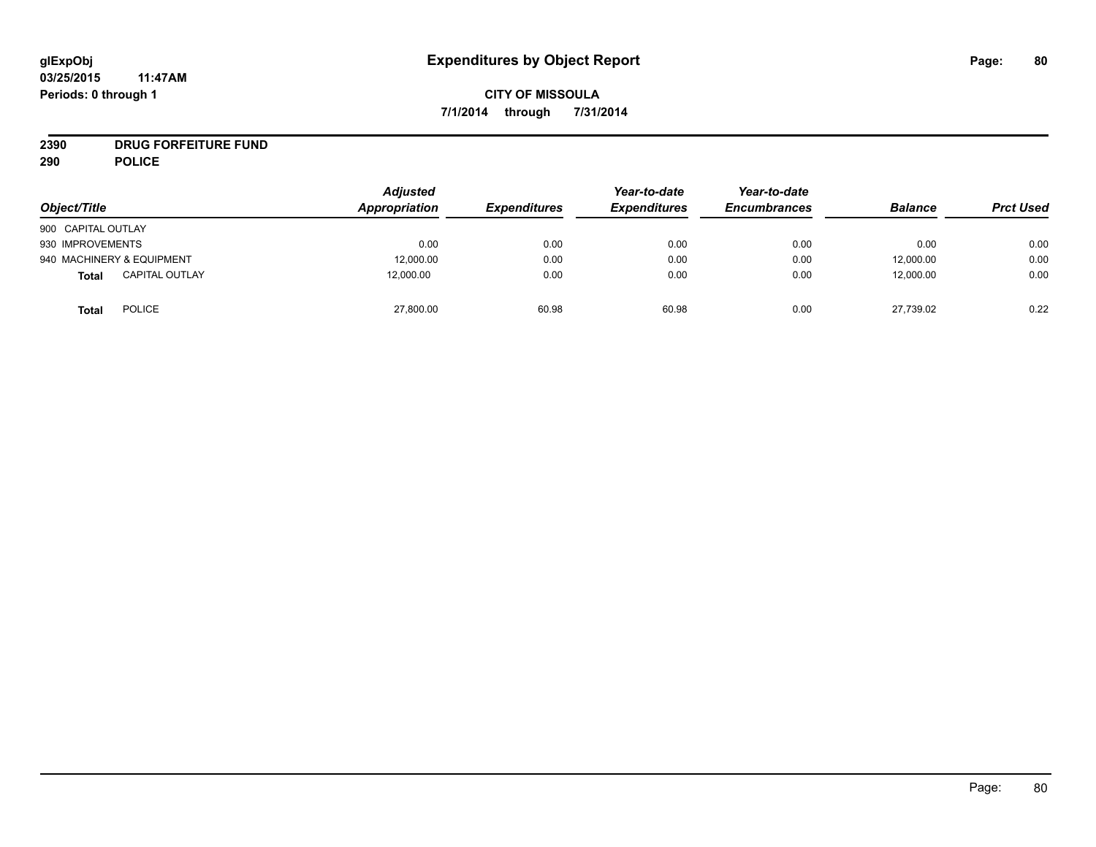# **CITY OF MISSOULA 7/1/2014 through 7/31/2014**

# **2390 DRUG FORFEITURE FUND**

**290 POLICE**

| Object/Title                          | <b>Adjusted</b><br>Appropriation | <b>Expenditures</b> | Year-to-date<br><b>Expenditures</b> | Year-to-date<br><b>Encumbrances</b> | <b>Balance</b> | <b>Prct Used</b> |
|---------------------------------------|----------------------------------|---------------------|-------------------------------------|-------------------------------------|----------------|------------------|
| 900 CAPITAL OUTLAY                    |                                  |                     |                                     |                                     |                |                  |
| 930 IMPROVEMENTS                      | 0.00                             | 0.00                | 0.00                                | 0.00                                | 0.00           | 0.00             |
| 940 MACHINERY & EQUIPMENT             | 12,000.00                        | 0.00                | 0.00                                | 0.00                                | 12,000.00      | 0.00             |
| <b>CAPITAL OUTLAY</b><br><b>Total</b> | 12,000.00                        | 0.00                | 0.00                                | 0.00                                | 12,000.00      | 0.00             |
| <b>POLICE</b><br><b>Total</b>         | 27,800.00                        | 60.98               | 60.98                               | 0.00                                | 27,739.02      | 0.22             |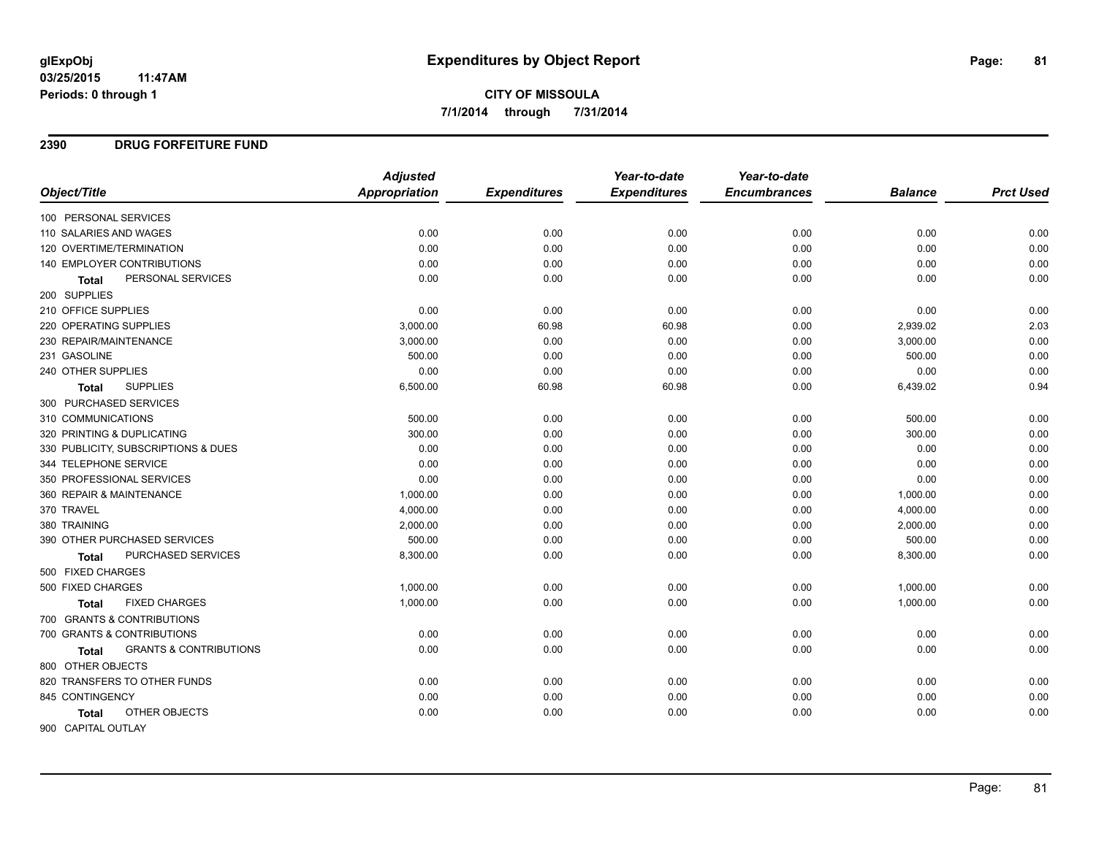# **CITY OF MISSOULA 7/1/2014 through 7/31/2014**

#### **2390 DRUG FORFEITURE FUND**

|                                                   | <b>Adjusted</b>      |                     | Year-to-date        | Year-to-date        |                |                  |
|---------------------------------------------------|----------------------|---------------------|---------------------|---------------------|----------------|------------------|
| Object/Title                                      | <b>Appropriation</b> | <b>Expenditures</b> | <b>Expenditures</b> | <b>Encumbrances</b> | <b>Balance</b> | <b>Prct Used</b> |
| 100 PERSONAL SERVICES                             |                      |                     |                     |                     |                |                  |
| 110 SALARIES AND WAGES                            | 0.00                 | 0.00                | 0.00                | 0.00                | 0.00           | 0.00             |
| 120 OVERTIME/TERMINATION                          | 0.00                 | 0.00                | 0.00                | 0.00                | 0.00           | 0.00             |
| 140 EMPLOYER CONTRIBUTIONS                        | 0.00                 | 0.00                | 0.00                | 0.00                | 0.00           | 0.00             |
| PERSONAL SERVICES<br><b>Total</b>                 | 0.00                 | 0.00                | 0.00                | 0.00                | 0.00           | 0.00             |
| 200 SUPPLIES                                      |                      |                     |                     |                     |                |                  |
| 210 OFFICE SUPPLIES                               | 0.00                 | 0.00                | 0.00                | 0.00                | 0.00           | 0.00             |
| 220 OPERATING SUPPLIES                            | 3,000.00             | 60.98               | 60.98               | 0.00                | 2,939.02       | 2.03             |
| 230 REPAIR/MAINTENANCE                            | 3,000.00             | 0.00                | 0.00                | 0.00                | 3,000.00       | 0.00             |
| 231 GASOLINE                                      | 500.00               | 0.00                | 0.00                | 0.00                | 500.00         | 0.00             |
| 240 OTHER SUPPLIES                                | 0.00                 | 0.00                | 0.00                | 0.00                | 0.00           | 0.00             |
| <b>SUPPLIES</b><br><b>Total</b>                   | 6,500.00             | 60.98               | 60.98               | 0.00                | 6,439.02       | 0.94             |
| 300 PURCHASED SERVICES                            |                      |                     |                     |                     |                |                  |
| 310 COMMUNICATIONS                                | 500.00               | 0.00                | 0.00                | 0.00                | 500.00         | 0.00             |
| 320 PRINTING & DUPLICATING                        | 300.00               | 0.00                | 0.00                | 0.00                | 300.00         | 0.00             |
| 330 PUBLICITY, SUBSCRIPTIONS & DUES               | 0.00                 | 0.00                | 0.00                | 0.00                | 0.00           | 0.00             |
| 344 TELEPHONE SERVICE                             | 0.00                 | 0.00                | 0.00                | 0.00                | 0.00           | 0.00             |
| 350 PROFESSIONAL SERVICES                         | 0.00                 | 0.00                | 0.00                | 0.00                | 0.00           | 0.00             |
| 360 REPAIR & MAINTENANCE                          | 1,000.00             | 0.00                | 0.00                | 0.00                | 1,000.00       | 0.00             |
| 370 TRAVEL                                        | 4,000.00             | 0.00                | 0.00                | 0.00                | 4,000.00       | 0.00             |
| 380 TRAINING                                      | 2,000.00             | 0.00                | 0.00                | 0.00                | 2,000.00       | 0.00             |
| 390 OTHER PURCHASED SERVICES                      | 500.00               | 0.00                | 0.00                | 0.00                | 500.00         | 0.00             |
| PURCHASED SERVICES<br><b>Total</b>                | 8,300.00             | 0.00                | 0.00                | 0.00                | 8,300.00       | 0.00             |
| 500 FIXED CHARGES                                 |                      |                     |                     |                     |                |                  |
| 500 FIXED CHARGES                                 | 1,000.00             | 0.00                | 0.00                | 0.00                | 1,000.00       | 0.00             |
| <b>FIXED CHARGES</b><br>Total                     | 1,000.00             | 0.00                | 0.00                | 0.00                | 1,000.00       | 0.00             |
| 700 GRANTS & CONTRIBUTIONS                        |                      |                     |                     |                     |                |                  |
| 700 GRANTS & CONTRIBUTIONS                        | 0.00                 | 0.00                | 0.00                | 0.00                | 0.00           | 0.00             |
| <b>GRANTS &amp; CONTRIBUTIONS</b><br><b>Total</b> | 0.00                 | 0.00                | 0.00                | 0.00                | 0.00           | 0.00             |
| 800 OTHER OBJECTS                                 |                      |                     |                     |                     |                |                  |
| 820 TRANSFERS TO OTHER FUNDS                      | 0.00                 | 0.00                | 0.00                | 0.00                | 0.00           | 0.00             |
| 845 CONTINGENCY                                   | 0.00                 | 0.00                | 0.00                | 0.00                | 0.00           | 0.00             |
| OTHER OBJECTS<br>Total                            | 0.00                 | 0.00                | 0.00                | 0.00                | 0.00           | 0.00             |
| 900 CAPITAL OUTLAY                                |                      |                     |                     |                     |                |                  |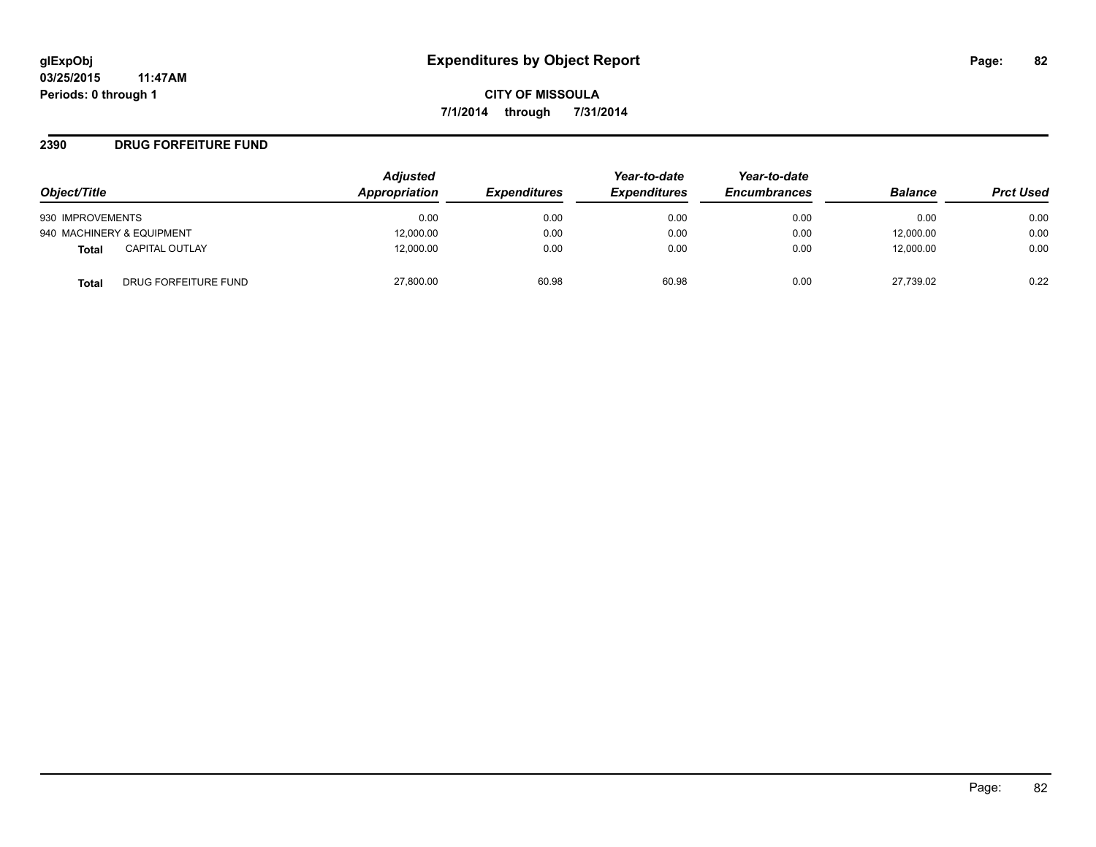#### **2390 DRUG FORFEITURE FUND**

|                                      | <b>Adjusted</b> |                     | Year-to-date        | Year-to-date        |                |                  |
|--------------------------------------|-----------------|---------------------|---------------------|---------------------|----------------|------------------|
| Object/Title                         | Appropriation   | <b>Expenditures</b> | <b>Expenditures</b> | <b>Encumbrances</b> | <b>Balance</b> | <b>Prct Used</b> |
| 930 IMPROVEMENTS                     | 0.00            | 0.00                | 0.00                | 0.00                | 0.00           | 0.00             |
| 940 MACHINERY & EQUIPMENT            | 12,000.00       | 0.00                | 0.00                | 0.00                | 12,000.00      | 0.00             |
| <b>CAPITAL OUTLAY</b><br>Total       | 12,000.00       | 0.00                | 0.00                | 0.00                | 12.000.00      | 0.00             |
| DRUG FORFEITURE FUND<br><b>Total</b> | 27,800.00       | 60.98               | 60.98               | 0.00                | 27,739.02      | 0.22             |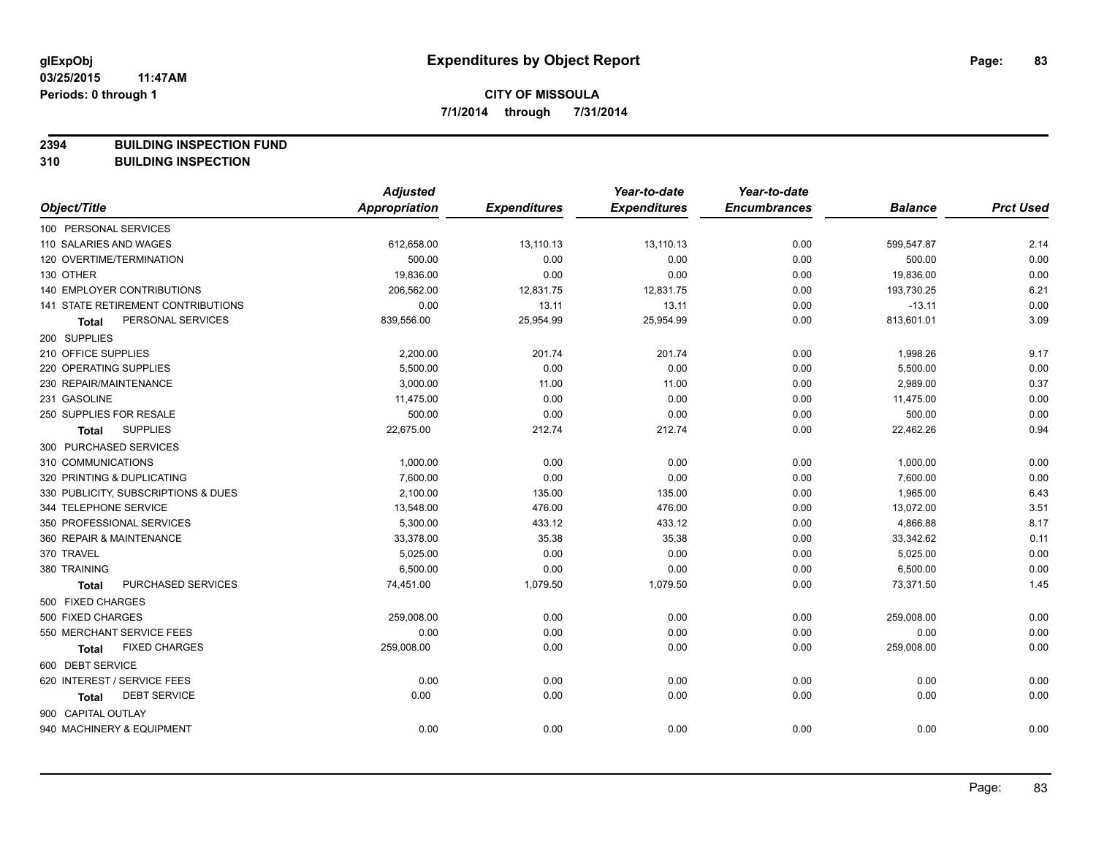**2394 BUILDING INSPECTION FUND**

**310 BUILDING INSPECTION**

|                                      | <b>Adjusted</b>      |                     | Year-to-date        | Year-to-date        |                |                  |
|--------------------------------------|----------------------|---------------------|---------------------|---------------------|----------------|------------------|
| Object/Title                         | <b>Appropriation</b> | <b>Expenditures</b> | <b>Expenditures</b> | <b>Encumbrances</b> | <b>Balance</b> | <b>Prct Used</b> |
| 100 PERSONAL SERVICES                |                      |                     |                     |                     |                |                  |
| 110 SALARIES AND WAGES               | 612,658.00           | 13,110.13           | 13,110.13           | 0.00                | 599,547.87     | 2.14             |
| 120 OVERTIME/TERMINATION             | 500.00               | 0.00                | 0.00                | 0.00                | 500.00         | 0.00             |
| 130 OTHER                            | 19,836.00            | 0.00                | 0.00                | 0.00                | 19,836.00      | 0.00             |
| <b>140 EMPLOYER CONTRIBUTIONS</b>    | 206,562.00           | 12,831.75           | 12,831.75           | 0.00                | 193,730.25     | 6.21             |
| 141 STATE RETIREMENT CONTRIBUTIONS   | 0.00                 | 13.11               | 13.11               | 0.00                | $-13.11$       | 0.00             |
| PERSONAL SERVICES<br><b>Total</b>    | 839,556.00           | 25,954.99           | 25,954.99           | 0.00                | 813,601.01     | 3.09             |
| 200 SUPPLIES                         |                      |                     |                     |                     |                |                  |
| 210 OFFICE SUPPLIES                  | 2,200.00             | 201.74              | 201.74              | 0.00                | 1,998.26       | 9.17             |
| 220 OPERATING SUPPLIES               | 5,500.00             | 0.00                | 0.00                | 0.00                | 5,500.00       | 0.00             |
| 230 REPAIR/MAINTENANCE               | 3,000.00             | 11.00               | 11.00               | 0.00                | 2,989.00       | 0.37             |
| 231 GASOLINE                         | 11,475.00            | 0.00                | 0.00                | 0.00                | 11,475.00      | 0.00             |
| 250 SUPPLIES FOR RESALE              | 500.00               | 0.00                | 0.00                | 0.00                | 500.00         | 0.00             |
| <b>SUPPLIES</b><br><b>Total</b>      | 22,675.00            | 212.74              | 212.74              | 0.00                | 22,462.26      | 0.94             |
| 300 PURCHASED SERVICES               |                      |                     |                     |                     |                |                  |
| 310 COMMUNICATIONS                   | 1,000.00             | 0.00                | 0.00                | 0.00                | 1,000.00       | 0.00             |
| 320 PRINTING & DUPLICATING           | 7,600.00             | 0.00                | 0.00                | 0.00                | 7,600.00       | 0.00             |
| 330 PUBLICITY, SUBSCRIPTIONS & DUES  | 2,100.00             | 135.00              | 135.00              | 0.00                | 1,965.00       | 6.43             |
| 344 TELEPHONE SERVICE                | 13,548.00            | 476.00              | 476.00              | 0.00                | 13,072.00      | 3.51             |
| 350 PROFESSIONAL SERVICES            | 5,300.00             | 433.12              | 433.12              | 0.00                | 4,866.88       | 8.17             |
| 360 REPAIR & MAINTENANCE             | 33,378.00            | 35.38               | 35.38               | 0.00                | 33,342.62      | 0.11             |
| 370 TRAVEL                           | 5,025.00             | 0.00                | 0.00                | 0.00                | 5,025.00       | 0.00             |
| 380 TRAINING                         | 6,500.00             | 0.00                | 0.00                | 0.00                | 6,500.00       | 0.00             |
| PURCHASED SERVICES<br>Total          | 74,451.00            | 1,079.50            | 1,079.50            | 0.00                | 73,371.50      | 1.45             |
| 500 FIXED CHARGES                    |                      |                     |                     |                     |                |                  |
| 500 FIXED CHARGES                    | 259,008.00           | 0.00                | 0.00                | 0.00                | 259,008.00     | 0.00             |
| 550 MERCHANT SERVICE FEES            | 0.00                 | 0.00                | 0.00                | 0.00                | 0.00           | 0.00             |
| <b>FIXED CHARGES</b><br><b>Total</b> | 259,008.00           | 0.00                | 0.00                | 0.00                | 259,008.00     | 0.00             |
| 600 DEBT SERVICE                     |                      |                     |                     |                     |                |                  |
| 620 INTEREST / SERVICE FEES          | 0.00                 | 0.00                | 0.00                | 0.00                | 0.00           | 0.00             |
| <b>DEBT SERVICE</b><br><b>Total</b>  | 0.00                 | 0.00                | 0.00                | 0.00                | 0.00           | 0.00             |
| 900 CAPITAL OUTLAY                   |                      |                     |                     |                     |                |                  |
| 940 MACHINERY & EQUIPMENT            | 0.00                 | 0.00                | 0.00                | 0.00                | 0.00           | 0.00             |
|                                      |                      |                     |                     |                     |                |                  |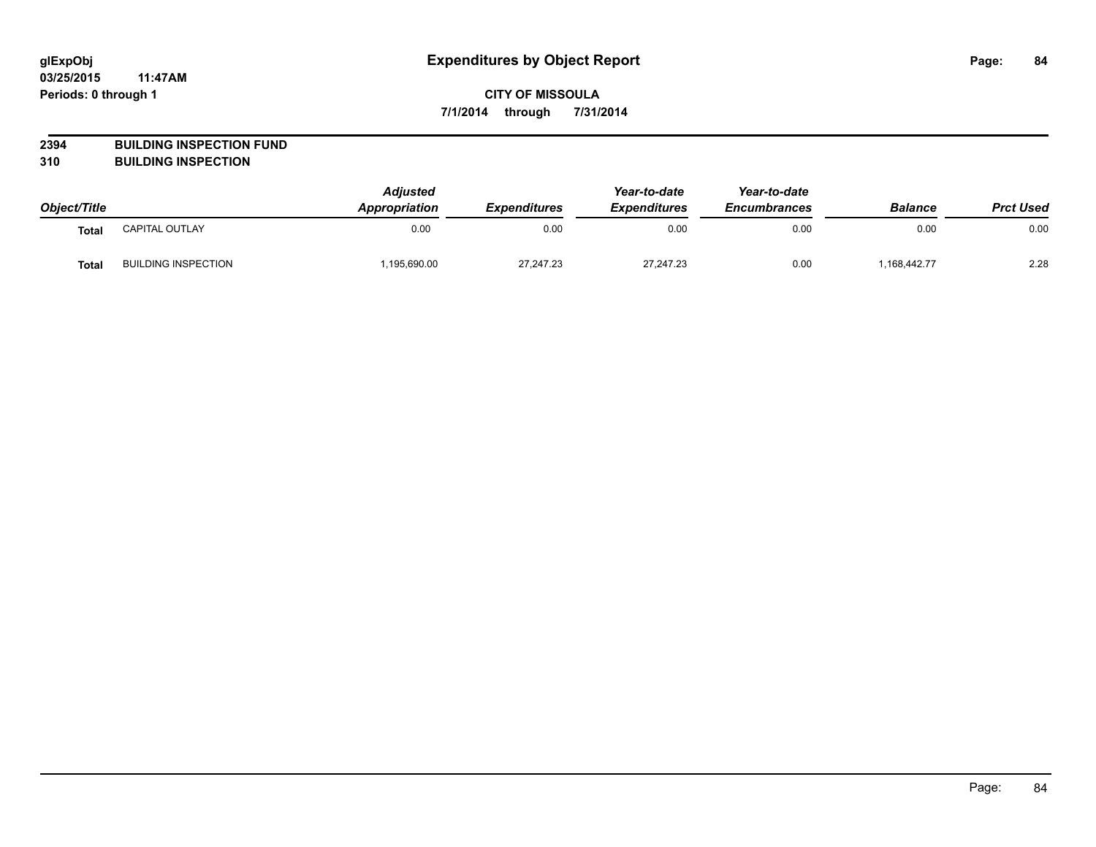# **CITY OF MISSOULA 7/1/2014 through 7/31/2014**

# **2394 BUILDING INSPECTION FUND**

**310 BUILDING INSPECTION**

| Object/Title |                            | <b>Adjusted</b><br>Appropriation | <b>Expenditures</b> | Year-to-date<br><b>Expenditures</b> | Year-to-date<br><b>Encumbrances</b> | <b>Balance</b> | <b>Prct Used</b> |
|--------------|----------------------------|----------------------------------|---------------------|-------------------------------------|-------------------------------------|----------------|------------------|
| Total        | CAPITAL OUTLAY             | 0.00                             | 0.00                | 0.00                                | 0.00                                | 0.00           | 0.00             |
| <b>Total</b> | <b>BUILDING INSPECTION</b> | ,195,690.00                      | 27,247.23           | 27,247.23                           | 0.00                                | 1,168,442.77   | 2.28             |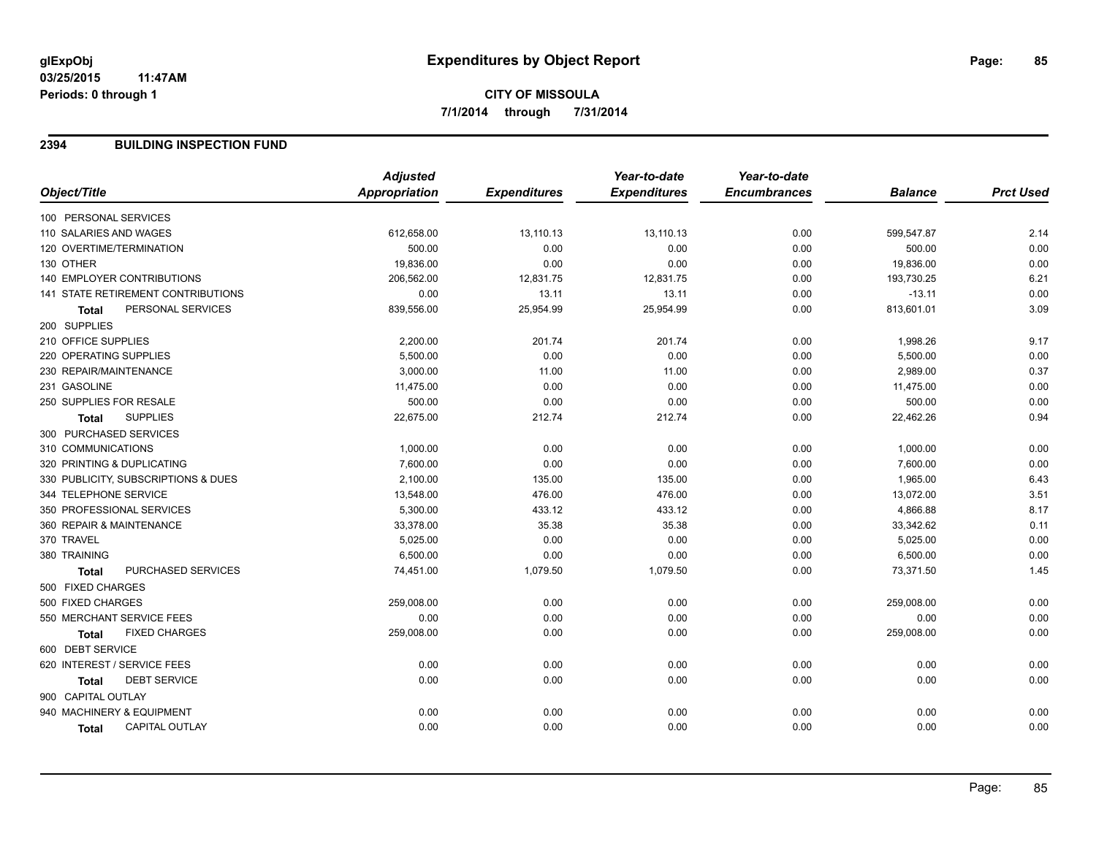# **CITY OF MISSOULA 7/1/2014 through 7/31/2014**

#### **2394 BUILDING INSPECTION FUND**

| Object/Title<br>Appropriation<br><b>Expenditures</b><br><b>Expenditures</b><br><b>Encumbrances</b><br><b>Prct Used</b><br><b>Balance</b><br>100 PERSONAL SERVICES<br>612,658.00<br>13,110.13<br>13,110.13<br>0.00<br>599,547.87<br>2.14<br>110 SALARIES AND WAGES<br>0.00<br>120 OVERTIME/TERMINATION<br>500.00<br>0.00<br>0.00<br>0.00<br>500.00<br>0.00<br>130 OTHER<br>19,836.00<br>0.00<br>0.00<br>0.00<br>19,836.00<br>6.21<br><b>140 EMPLOYER CONTRIBUTIONS</b><br>206,562.00<br>12,831.75<br>12,831.75<br>0.00<br>193,730.25<br>0.00<br>13.11<br>141 STATE RETIREMENT CONTRIBUTIONS<br>0.00<br>13.11<br>0.00<br>$-13.11$<br>3.09<br>PERSONAL SERVICES<br>25,954.99<br>813,601.01<br>839,556.00<br>25,954.99<br>0.00<br><b>Total</b><br>200 SUPPLIES<br>210 OFFICE SUPPLIES<br>9.17<br>2,200.00<br>201.74<br>201.74<br>0.00<br>1,998.26<br>5,500.00<br>0.00<br>0.00<br>220 OPERATING SUPPLIES<br>0.00<br>0.00<br>5,500.00<br>0.37<br>230 REPAIR/MAINTENANCE<br>3,000.00<br>11.00<br>2,989.00<br>11.00<br>0.00<br>231 GASOLINE<br>0.00<br>11,475.00<br>0.00<br>0.00<br>11,475.00<br>0.00<br>250 SUPPLIES FOR RESALE<br>500.00<br>0.00<br>0.00<br>500.00<br>0.00<br>0.00<br><b>SUPPLIES</b><br>0.94<br>22,675.00<br>212.74<br>212.74<br>0.00<br>22,462.26<br><b>Total</b><br>300 PURCHASED SERVICES<br>310 COMMUNICATIONS<br>0.00<br>1,000.00<br>0.00<br>0.00<br>0.00<br>1,000.00<br>320 PRINTING & DUPLICATING<br>7,600.00<br>0.00<br>0.00<br>0.00<br>0.00<br>7,600.00<br>6.43<br>330 PUBLICITY, SUBSCRIPTIONS & DUES<br>2,100.00<br>135.00<br>135.00<br>0.00<br>1,965.00<br>3.51<br>344 TELEPHONE SERVICE<br>13,548.00<br>476.00<br>13,072.00<br>476.00<br>0.00<br>8.17<br>350 PROFESSIONAL SERVICES<br>5,300.00<br>433.12<br>433.12<br>0.00<br>4,866.88<br>360 REPAIR & MAINTENANCE<br>33,378.00<br>35.38<br>33,342.62<br>0.11<br>35.38<br>0.00<br>0.00<br>370 TRAVEL<br>5,025.00<br>0.00<br>0.00<br>0.00<br>5,025.00<br>6,500.00<br>0.00<br>0.00<br>380 TRAINING<br>0.00<br>0.00<br>6,500.00<br>PURCHASED SERVICES<br>74,451.00<br>1,079.50<br>0.00<br>73,371.50<br>1.45<br>1,079.50<br><b>Total</b><br>500 FIXED CHARGES<br>500 FIXED CHARGES<br>0.00<br>0.00<br>259,008.00<br>0.00<br>0.00<br>259,008.00<br>0.00<br>550 MERCHANT SERVICE FEES<br>0.00<br>0.00<br>0.00<br>0.00<br>0.00<br><b>FIXED CHARGES</b><br>0.00<br>0.00<br>0.00<br>259,008.00<br>0.00<br>259,008.00<br><b>Total</b><br>600 DEBT SERVICE<br>0.00<br>620 INTEREST / SERVICE FEES<br>0.00<br>0.00<br>0.00<br>0.00<br>0.00<br><b>DEBT SERVICE</b><br>0.00<br>0.00<br>0.00<br>0.00<br>0.00<br>0.00<br>Total<br>900 CAPITAL OUTLAY<br>940 MACHINERY & EQUIPMENT<br>0.00<br>0.00<br>0.00<br>0.00<br>0.00<br>0.00<br>0.00<br>0.00<br>0.00<br>0.00<br><b>CAPITAL OUTLAY</b><br>0.00<br>0.00<br>Total | <b>Adjusted</b> | Year-to-date | Year-to-date |  |
|-----------------------------------------------------------------------------------------------------------------------------------------------------------------------------------------------------------------------------------------------------------------------------------------------------------------------------------------------------------------------------------------------------------------------------------------------------------------------------------------------------------------------------------------------------------------------------------------------------------------------------------------------------------------------------------------------------------------------------------------------------------------------------------------------------------------------------------------------------------------------------------------------------------------------------------------------------------------------------------------------------------------------------------------------------------------------------------------------------------------------------------------------------------------------------------------------------------------------------------------------------------------------------------------------------------------------------------------------------------------------------------------------------------------------------------------------------------------------------------------------------------------------------------------------------------------------------------------------------------------------------------------------------------------------------------------------------------------------------------------------------------------------------------------------------------------------------------------------------------------------------------------------------------------------------------------------------------------------------------------------------------------------------------------------------------------------------------------------------------------------------------------------------------------------------------------------------------------------------------------------------------------------------------------------------------------------------------------------------------------------------------------------------------------------------------------------------------------------------------------------------------------------------------------------------------------------------------------------------------------------------------------------------------------------------------------------------------------------------------------------------------------------------|-----------------|--------------|--------------|--|
|                                                                                                                                                                                                                                                                                                                                                                                                                                                                                                                                                                                                                                                                                                                                                                                                                                                                                                                                                                                                                                                                                                                                                                                                                                                                                                                                                                                                                                                                                                                                                                                                                                                                                                                                                                                                                                                                                                                                                                                                                                                                                                                                                                                                                                                                                                                                                                                                                                                                                                                                                                                                                                                                                                                                                                             |                 |              |              |  |
|                                                                                                                                                                                                                                                                                                                                                                                                                                                                                                                                                                                                                                                                                                                                                                                                                                                                                                                                                                                                                                                                                                                                                                                                                                                                                                                                                                                                                                                                                                                                                                                                                                                                                                                                                                                                                                                                                                                                                                                                                                                                                                                                                                                                                                                                                                                                                                                                                                                                                                                                                                                                                                                                                                                                                                             |                 |              |              |  |
|                                                                                                                                                                                                                                                                                                                                                                                                                                                                                                                                                                                                                                                                                                                                                                                                                                                                                                                                                                                                                                                                                                                                                                                                                                                                                                                                                                                                                                                                                                                                                                                                                                                                                                                                                                                                                                                                                                                                                                                                                                                                                                                                                                                                                                                                                                                                                                                                                                                                                                                                                                                                                                                                                                                                                                             |                 |              |              |  |
|                                                                                                                                                                                                                                                                                                                                                                                                                                                                                                                                                                                                                                                                                                                                                                                                                                                                                                                                                                                                                                                                                                                                                                                                                                                                                                                                                                                                                                                                                                                                                                                                                                                                                                                                                                                                                                                                                                                                                                                                                                                                                                                                                                                                                                                                                                                                                                                                                                                                                                                                                                                                                                                                                                                                                                             |                 |              |              |  |
|                                                                                                                                                                                                                                                                                                                                                                                                                                                                                                                                                                                                                                                                                                                                                                                                                                                                                                                                                                                                                                                                                                                                                                                                                                                                                                                                                                                                                                                                                                                                                                                                                                                                                                                                                                                                                                                                                                                                                                                                                                                                                                                                                                                                                                                                                                                                                                                                                                                                                                                                                                                                                                                                                                                                                                             |                 |              |              |  |
|                                                                                                                                                                                                                                                                                                                                                                                                                                                                                                                                                                                                                                                                                                                                                                                                                                                                                                                                                                                                                                                                                                                                                                                                                                                                                                                                                                                                                                                                                                                                                                                                                                                                                                                                                                                                                                                                                                                                                                                                                                                                                                                                                                                                                                                                                                                                                                                                                                                                                                                                                                                                                                                                                                                                                                             |                 |              |              |  |
|                                                                                                                                                                                                                                                                                                                                                                                                                                                                                                                                                                                                                                                                                                                                                                                                                                                                                                                                                                                                                                                                                                                                                                                                                                                                                                                                                                                                                                                                                                                                                                                                                                                                                                                                                                                                                                                                                                                                                                                                                                                                                                                                                                                                                                                                                                                                                                                                                                                                                                                                                                                                                                                                                                                                                                             |                 |              |              |  |
|                                                                                                                                                                                                                                                                                                                                                                                                                                                                                                                                                                                                                                                                                                                                                                                                                                                                                                                                                                                                                                                                                                                                                                                                                                                                                                                                                                                                                                                                                                                                                                                                                                                                                                                                                                                                                                                                                                                                                                                                                                                                                                                                                                                                                                                                                                                                                                                                                                                                                                                                                                                                                                                                                                                                                                             |                 |              |              |  |
|                                                                                                                                                                                                                                                                                                                                                                                                                                                                                                                                                                                                                                                                                                                                                                                                                                                                                                                                                                                                                                                                                                                                                                                                                                                                                                                                                                                                                                                                                                                                                                                                                                                                                                                                                                                                                                                                                                                                                                                                                                                                                                                                                                                                                                                                                                                                                                                                                                                                                                                                                                                                                                                                                                                                                                             |                 |              |              |  |
|                                                                                                                                                                                                                                                                                                                                                                                                                                                                                                                                                                                                                                                                                                                                                                                                                                                                                                                                                                                                                                                                                                                                                                                                                                                                                                                                                                                                                                                                                                                                                                                                                                                                                                                                                                                                                                                                                                                                                                                                                                                                                                                                                                                                                                                                                                                                                                                                                                                                                                                                                                                                                                                                                                                                                                             |                 |              |              |  |
|                                                                                                                                                                                                                                                                                                                                                                                                                                                                                                                                                                                                                                                                                                                                                                                                                                                                                                                                                                                                                                                                                                                                                                                                                                                                                                                                                                                                                                                                                                                                                                                                                                                                                                                                                                                                                                                                                                                                                                                                                                                                                                                                                                                                                                                                                                                                                                                                                                                                                                                                                                                                                                                                                                                                                                             |                 |              |              |  |
|                                                                                                                                                                                                                                                                                                                                                                                                                                                                                                                                                                                                                                                                                                                                                                                                                                                                                                                                                                                                                                                                                                                                                                                                                                                                                                                                                                                                                                                                                                                                                                                                                                                                                                                                                                                                                                                                                                                                                                                                                                                                                                                                                                                                                                                                                                                                                                                                                                                                                                                                                                                                                                                                                                                                                                             |                 |              |              |  |
|                                                                                                                                                                                                                                                                                                                                                                                                                                                                                                                                                                                                                                                                                                                                                                                                                                                                                                                                                                                                                                                                                                                                                                                                                                                                                                                                                                                                                                                                                                                                                                                                                                                                                                                                                                                                                                                                                                                                                                                                                                                                                                                                                                                                                                                                                                                                                                                                                                                                                                                                                                                                                                                                                                                                                                             |                 |              |              |  |
|                                                                                                                                                                                                                                                                                                                                                                                                                                                                                                                                                                                                                                                                                                                                                                                                                                                                                                                                                                                                                                                                                                                                                                                                                                                                                                                                                                                                                                                                                                                                                                                                                                                                                                                                                                                                                                                                                                                                                                                                                                                                                                                                                                                                                                                                                                                                                                                                                                                                                                                                                                                                                                                                                                                                                                             |                 |              |              |  |
|                                                                                                                                                                                                                                                                                                                                                                                                                                                                                                                                                                                                                                                                                                                                                                                                                                                                                                                                                                                                                                                                                                                                                                                                                                                                                                                                                                                                                                                                                                                                                                                                                                                                                                                                                                                                                                                                                                                                                                                                                                                                                                                                                                                                                                                                                                                                                                                                                                                                                                                                                                                                                                                                                                                                                                             |                 |              |              |  |
|                                                                                                                                                                                                                                                                                                                                                                                                                                                                                                                                                                                                                                                                                                                                                                                                                                                                                                                                                                                                                                                                                                                                                                                                                                                                                                                                                                                                                                                                                                                                                                                                                                                                                                                                                                                                                                                                                                                                                                                                                                                                                                                                                                                                                                                                                                                                                                                                                                                                                                                                                                                                                                                                                                                                                                             |                 |              |              |  |
|                                                                                                                                                                                                                                                                                                                                                                                                                                                                                                                                                                                                                                                                                                                                                                                                                                                                                                                                                                                                                                                                                                                                                                                                                                                                                                                                                                                                                                                                                                                                                                                                                                                                                                                                                                                                                                                                                                                                                                                                                                                                                                                                                                                                                                                                                                                                                                                                                                                                                                                                                                                                                                                                                                                                                                             |                 |              |              |  |
|                                                                                                                                                                                                                                                                                                                                                                                                                                                                                                                                                                                                                                                                                                                                                                                                                                                                                                                                                                                                                                                                                                                                                                                                                                                                                                                                                                                                                                                                                                                                                                                                                                                                                                                                                                                                                                                                                                                                                                                                                                                                                                                                                                                                                                                                                                                                                                                                                                                                                                                                                                                                                                                                                                                                                                             |                 |              |              |  |
|                                                                                                                                                                                                                                                                                                                                                                                                                                                                                                                                                                                                                                                                                                                                                                                                                                                                                                                                                                                                                                                                                                                                                                                                                                                                                                                                                                                                                                                                                                                                                                                                                                                                                                                                                                                                                                                                                                                                                                                                                                                                                                                                                                                                                                                                                                                                                                                                                                                                                                                                                                                                                                                                                                                                                                             |                 |              |              |  |
|                                                                                                                                                                                                                                                                                                                                                                                                                                                                                                                                                                                                                                                                                                                                                                                                                                                                                                                                                                                                                                                                                                                                                                                                                                                                                                                                                                                                                                                                                                                                                                                                                                                                                                                                                                                                                                                                                                                                                                                                                                                                                                                                                                                                                                                                                                                                                                                                                                                                                                                                                                                                                                                                                                                                                                             |                 |              |              |  |
|                                                                                                                                                                                                                                                                                                                                                                                                                                                                                                                                                                                                                                                                                                                                                                                                                                                                                                                                                                                                                                                                                                                                                                                                                                                                                                                                                                                                                                                                                                                                                                                                                                                                                                                                                                                                                                                                                                                                                                                                                                                                                                                                                                                                                                                                                                                                                                                                                                                                                                                                                                                                                                                                                                                                                                             |                 |              |              |  |
|                                                                                                                                                                                                                                                                                                                                                                                                                                                                                                                                                                                                                                                                                                                                                                                                                                                                                                                                                                                                                                                                                                                                                                                                                                                                                                                                                                                                                                                                                                                                                                                                                                                                                                                                                                                                                                                                                                                                                                                                                                                                                                                                                                                                                                                                                                                                                                                                                                                                                                                                                                                                                                                                                                                                                                             |                 |              |              |  |
|                                                                                                                                                                                                                                                                                                                                                                                                                                                                                                                                                                                                                                                                                                                                                                                                                                                                                                                                                                                                                                                                                                                                                                                                                                                                                                                                                                                                                                                                                                                                                                                                                                                                                                                                                                                                                                                                                                                                                                                                                                                                                                                                                                                                                                                                                                                                                                                                                                                                                                                                                                                                                                                                                                                                                                             |                 |              |              |  |
|                                                                                                                                                                                                                                                                                                                                                                                                                                                                                                                                                                                                                                                                                                                                                                                                                                                                                                                                                                                                                                                                                                                                                                                                                                                                                                                                                                                                                                                                                                                                                                                                                                                                                                                                                                                                                                                                                                                                                                                                                                                                                                                                                                                                                                                                                                                                                                                                                                                                                                                                                                                                                                                                                                                                                                             |                 |              |              |  |
|                                                                                                                                                                                                                                                                                                                                                                                                                                                                                                                                                                                                                                                                                                                                                                                                                                                                                                                                                                                                                                                                                                                                                                                                                                                                                                                                                                                                                                                                                                                                                                                                                                                                                                                                                                                                                                                                                                                                                                                                                                                                                                                                                                                                                                                                                                                                                                                                                                                                                                                                                                                                                                                                                                                                                                             |                 |              |              |  |
|                                                                                                                                                                                                                                                                                                                                                                                                                                                                                                                                                                                                                                                                                                                                                                                                                                                                                                                                                                                                                                                                                                                                                                                                                                                                                                                                                                                                                                                                                                                                                                                                                                                                                                                                                                                                                                                                                                                                                                                                                                                                                                                                                                                                                                                                                                                                                                                                                                                                                                                                                                                                                                                                                                                                                                             |                 |              |              |  |
|                                                                                                                                                                                                                                                                                                                                                                                                                                                                                                                                                                                                                                                                                                                                                                                                                                                                                                                                                                                                                                                                                                                                                                                                                                                                                                                                                                                                                                                                                                                                                                                                                                                                                                                                                                                                                                                                                                                                                                                                                                                                                                                                                                                                                                                                                                                                                                                                                                                                                                                                                                                                                                                                                                                                                                             |                 |              |              |  |
|                                                                                                                                                                                                                                                                                                                                                                                                                                                                                                                                                                                                                                                                                                                                                                                                                                                                                                                                                                                                                                                                                                                                                                                                                                                                                                                                                                                                                                                                                                                                                                                                                                                                                                                                                                                                                                                                                                                                                                                                                                                                                                                                                                                                                                                                                                                                                                                                                                                                                                                                                                                                                                                                                                                                                                             |                 |              |              |  |
|                                                                                                                                                                                                                                                                                                                                                                                                                                                                                                                                                                                                                                                                                                                                                                                                                                                                                                                                                                                                                                                                                                                                                                                                                                                                                                                                                                                                                                                                                                                                                                                                                                                                                                                                                                                                                                                                                                                                                                                                                                                                                                                                                                                                                                                                                                                                                                                                                                                                                                                                                                                                                                                                                                                                                                             |                 |              |              |  |
|                                                                                                                                                                                                                                                                                                                                                                                                                                                                                                                                                                                                                                                                                                                                                                                                                                                                                                                                                                                                                                                                                                                                                                                                                                                                                                                                                                                                                                                                                                                                                                                                                                                                                                                                                                                                                                                                                                                                                                                                                                                                                                                                                                                                                                                                                                                                                                                                                                                                                                                                                                                                                                                                                                                                                                             |                 |              |              |  |
|                                                                                                                                                                                                                                                                                                                                                                                                                                                                                                                                                                                                                                                                                                                                                                                                                                                                                                                                                                                                                                                                                                                                                                                                                                                                                                                                                                                                                                                                                                                                                                                                                                                                                                                                                                                                                                                                                                                                                                                                                                                                                                                                                                                                                                                                                                                                                                                                                                                                                                                                                                                                                                                                                                                                                                             |                 |              |              |  |
|                                                                                                                                                                                                                                                                                                                                                                                                                                                                                                                                                                                                                                                                                                                                                                                                                                                                                                                                                                                                                                                                                                                                                                                                                                                                                                                                                                                                                                                                                                                                                                                                                                                                                                                                                                                                                                                                                                                                                                                                                                                                                                                                                                                                                                                                                                                                                                                                                                                                                                                                                                                                                                                                                                                                                                             |                 |              |              |  |
|                                                                                                                                                                                                                                                                                                                                                                                                                                                                                                                                                                                                                                                                                                                                                                                                                                                                                                                                                                                                                                                                                                                                                                                                                                                                                                                                                                                                                                                                                                                                                                                                                                                                                                                                                                                                                                                                                                                                                                                                                                                                                                                                                                                                                                                                                                                                                                                                                                                                                                                                                                                                                                                                                                                                                                             |                 |              |              |  |
|                                                                                                                                                                                                                                                                                                                                                                                                                                                                                                                                                                                                                                                                                                                                                                                                                                                                                                                                                                                                                                                                                                                                                                                                                                                                                                                                                                                                                                                                                                                                                                                                                                                                                                                                                                                                                                                                                                                                                                                                                                                                                                                                                                                                                                                                                                                                                                                                                                                                                                                                                                                                                                                                                                                                                                             |                 |              |              |  |
|                                                                                                                                                                                                                                                                                                                                                                                                                                                                                                                                                                                                                                                                                                                                                                                                                                                                                                                                                                                                                                                                                                                                                                                                                                                                                                                                                                                                                                                                                                                                                                                                                                                                                                                                                                                                                                                                                                                                                                                                                                                                                                                                                                                                                                                                                                                                                                                                                                                                                                                                                                                                                                                                                                                                                                             |                 |              |              |  |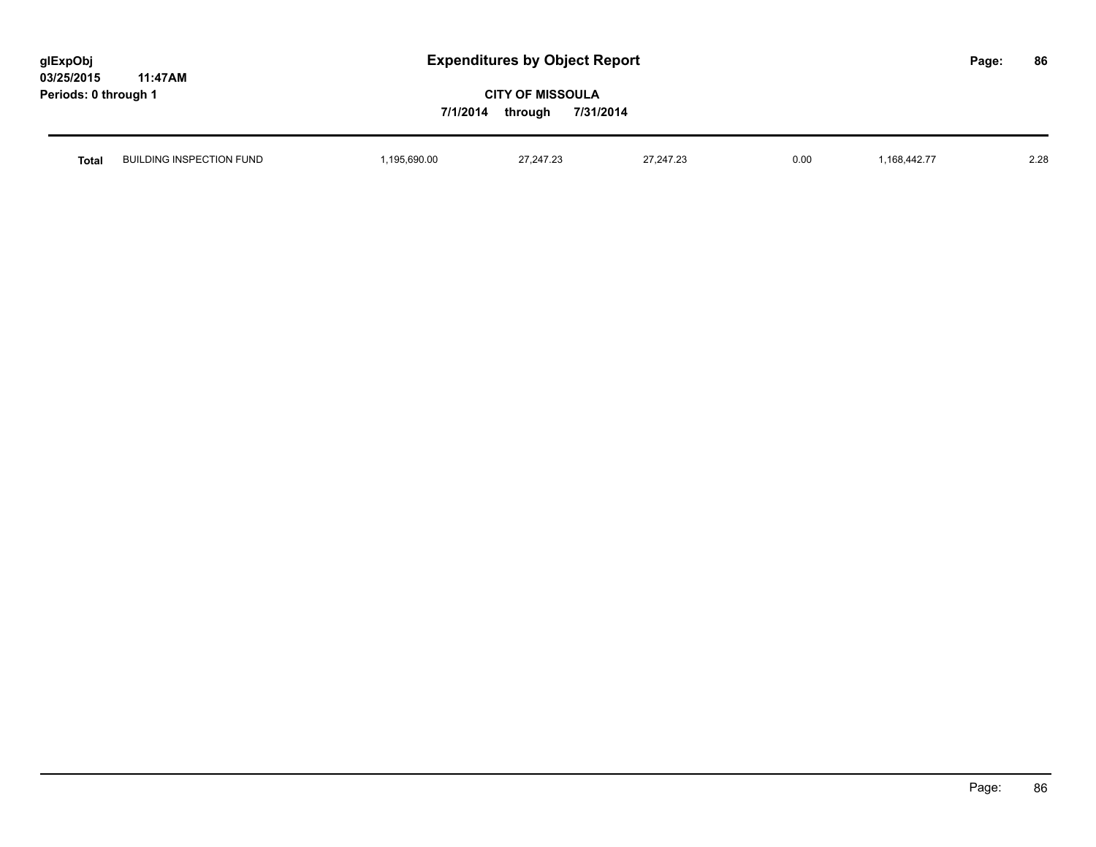| glExpObj             |         |
|----------------------|---------|
| <b>03/25/2015</b>    | 11:47AM |
| Periods: 0 through 1 |         |

| Total | BUILDING INSPECTION FUND | .690.00<br>the contract of the contract of the contract of the contract of the contract of the contract of the contract of | 27.27.27<br>$24^{1,24}$<br>. | 07.017.00<br>47.Z3<br>- 247<br>$\mathcal{L}$ . The contract of the contract of the contract of the contract of the contract of the contract of the contract of the contract of the contract of the contract of the contract of the contract of the contract of th | 0.00 | $\overline{\phantom{a}}$<br>.168<br>дα. | 2.28 |
|-------|--------------------------|----------------------------------------------------------------------------------------------------------------------------|------------------------------|-------------------------------------------------------------------------------------------------------------------------------------------------------------------------------------------------------------------------------------------------------------------|------|-----------------------------------------|------|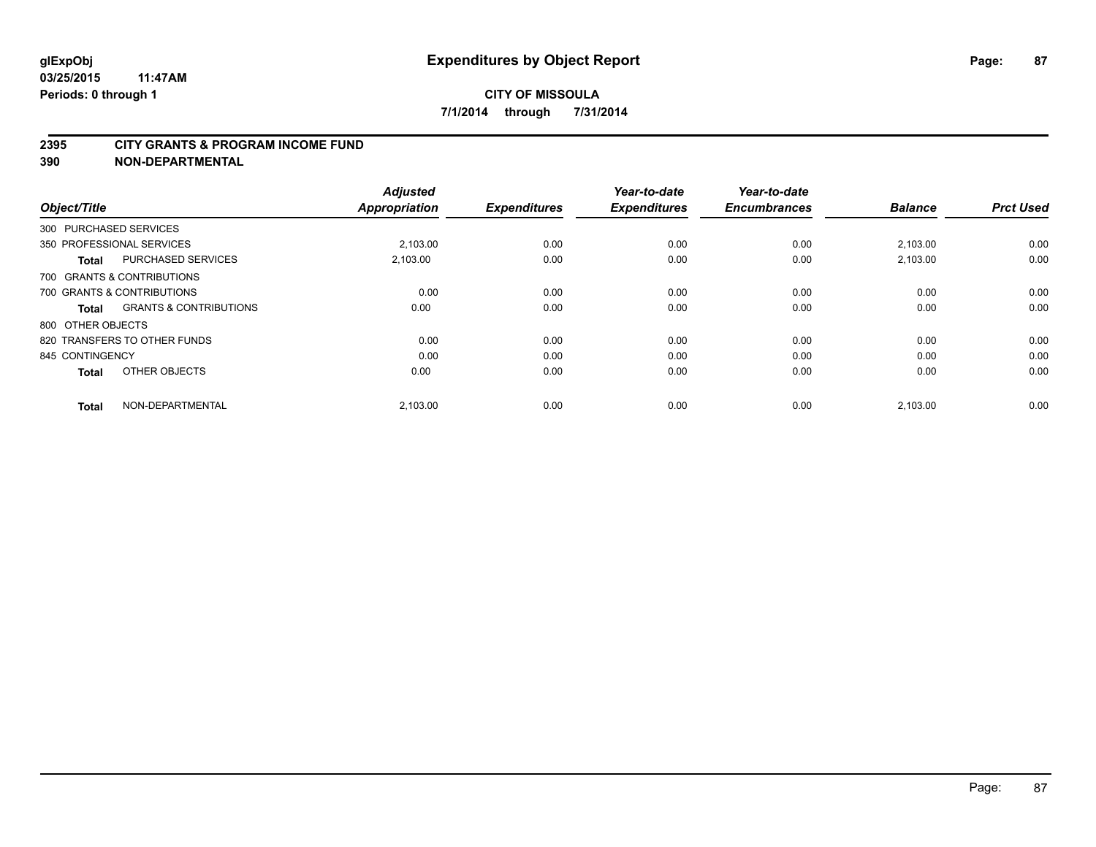#### **2395 CITY GRANTS & PROGRAM INCOME FUND**

**390 NON-DEPARTMENTAL**

| Object/Title           |                                   | <b>Adjusted</b><br><b>Appropriation</b> | <b>Expenditures</b> | Year-to-date<br><b>Expenditures</b> | Year-to-date<br><b>Encumbrances</b> | <b>Balance</b> | <b>Prct Used</b> |
|------------------------|-----------------------------------|-----------------------------------------|---------------------|-------------------------------------|-------------------------------------|----------------|------------------|
| 300 PURCHASED SERVICES |                                   |                                         |                     |                                     |                                     |                |                  |
|                        | 350 PROFESSIONAL SERVICES         | 2.103.00                                | 0.00                | 0.00                                | 0.00                                | 2,103.00       | 0.00             |
| <b>Total</b>           | <b>PURCHASED SERVICES</b>         | 2,103.00                                | 0.00                | 0.00                                | 0.00                                | 2,103.00       | 0.00             |
|                        | 700 GRANTS & CONTRIBUTIONS        |                                         |                     |                                     |                                     |                |                  |
|                        | 700 GRANTS & CONTRIBUTIONS        | 0.00                                    | 0.00                | 0.00                                | 0.00                                | 0.00           | 0.00             |
| <b>Total</b>           | <b>GRANTS &amp; CONTRIBUTIONS</b> | 0.00                                    | 0.00                | 0.00                                | 0.00                                | 0.00           | 0.00             |
| 800 OTHER OBJECTS      |                                   |                                         |                     |                                     |                                     |                |                  |
|                        | 820 TRANSFERS TO OTHER FUNDS      | 0.00                                    | 0.00                | 0.00                                | 0.00                                | 0.00           | 0.00             |
| 845 CONTINGENCY        |                                   | 0.00                                    | 0.00                | 0.00                                | 0.00                                | 0.00           | 0.00             |
| <b>Total</b>           | OTHER OBJECTS                     | 0.00                                    | 0.00                | 0.00                                | 0.00                                | 0.00           | 0.00             |
| <b>Total</b>           | NON-DEPARTMENTAL                  | 2,103.00                                | 0.00                | 0.00                                | 0.00                                | 2,103.00       | 0.00             |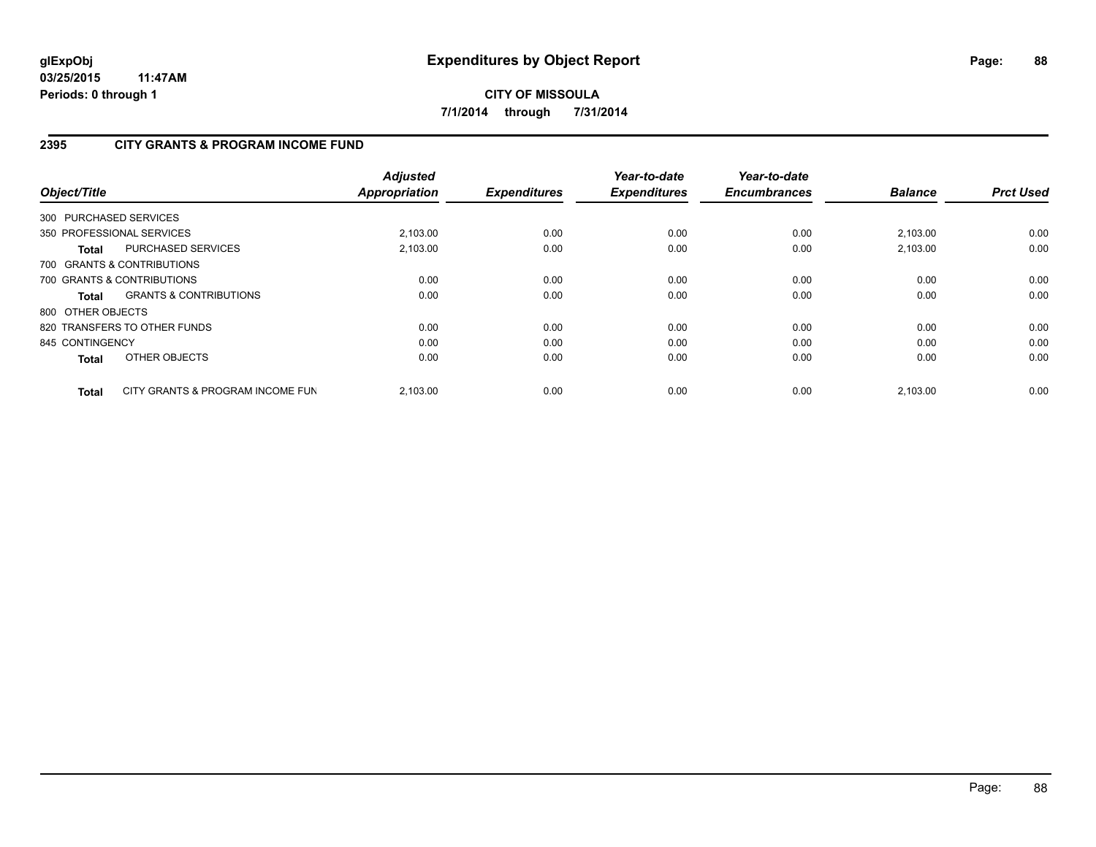# **2395 CITY GRANTS & PROGRAM INCOME FUND**

| Object/Title      |                                   | <b>Adjusted</b><br><b>Appropriation</b> | <b>Expenditures</b> | Year-to-date<br><b>Expenditures</b> | Year-to-date<br><b>Encumbrances</b> | <b>Balance</b> | <b>Prct Used</b> |
|-------------------|-----------------------------------|-----------------------------------------|---------------------|-------------------------------------|-------------------------------------|----------------|------------------|
|                   | 300 PURCHASED SERVICES            |                                         |                     |                                     |                                     |                |                  |
|                   | 350 PROFESSIONAL SERVICES         | 2,103.00                                | 0.00                | 0.00                                | 0.00                                | 2,103.00       | 0.00             |
| <b>Total</b>      | <b>PURCHASED SERVICES</b>         | 2,103.00                                | 0.00                | 0.00                                | 0.00                                | 2,103.00       | 0.00             |
|                   | 700 GRANTS & CONTRIBUTIONS        |                                         |                     |                                     |                                     |                |                  |
|                   | 700 GRANTS & CONTRIBUTIONS        | 0.00                                    | 0.00                | 0.00                                | 0.00                                | 0.00           | 0.00             |
| Total             | <b>GRANTS &amp; CONTRIBUTIONS</b> | 0.00                                    | 0.00                | 0.00                                | 0.00                                | 0.00           | 0.00             |
| 800 OTHER OBJECTS |                                   |                                         |                     |                                     |                                     |                |                  |
|                   | 820 TRANSFERS TO OTHER FUNDS      | 0.00                                    | 0.00                | 0.00                                | 0.00                                | 0.00           | 0.00             |
| 845 CONTINGENCY   |                                   | 0.00                                    | 0.00                | 0.00                                | 0.00                                | 0.00           | 0.00             |
| <b>Total</b>      | OTHER OBJECTS                     | 0.00                                    | 0.00                | 0.00                                | 0.00                                | 0.00           | 0.00             |
| <b>Total</b>      | CITY GRANTS & PROGRAM INCOME FUN  | 2.103.00                                | 0.00                | 0.00                                | 0.00                                | 2,103.00       | 0.00             |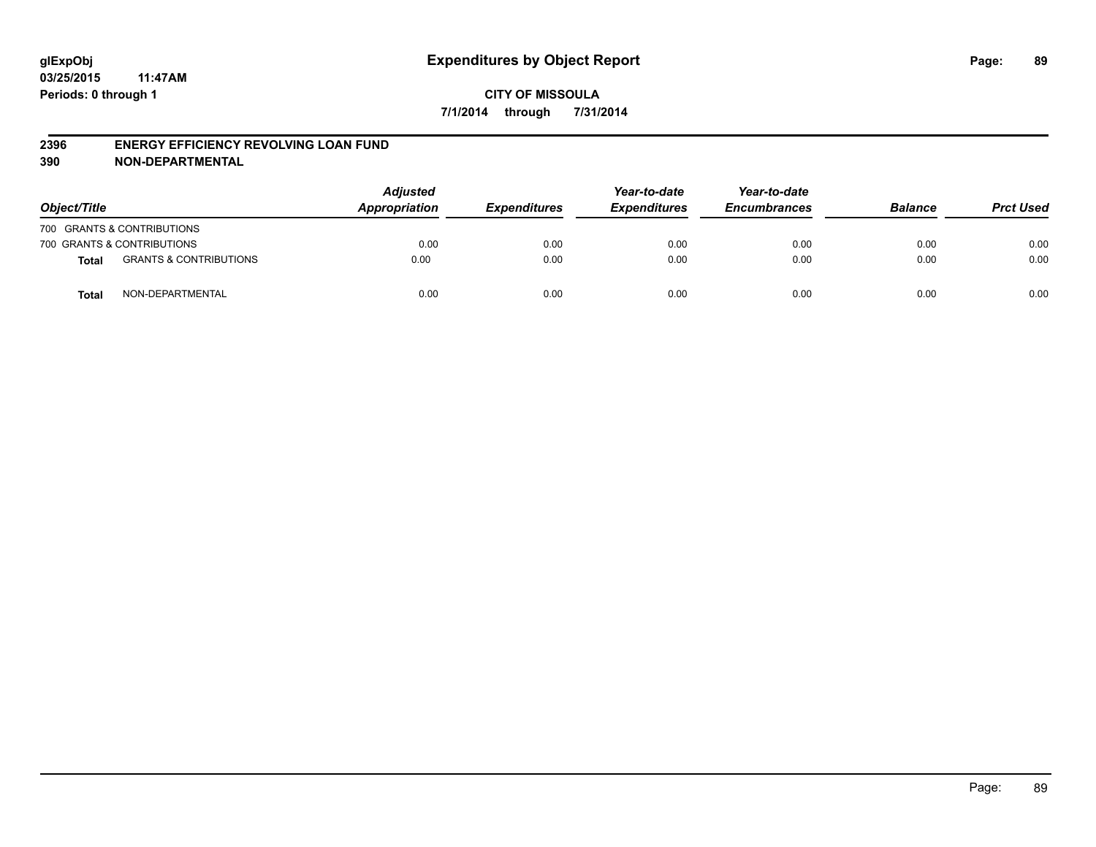#### **2396 ENERGY EFFICIENCY REVOLVING LOAN FUND**

**390 NON-DEPARTMENTAL**

| Object/Title |                                   | <b>Adjusted</b><br>Appropriation | <b>Expenditures</b> | Year-to-date<br><b>Expenditures</b> | Year-to-date<br><b>Encumbrances</b> | <b>Balance</b> | <b>Prct Used</b> |
|--------------|-----------------------------------|----------------------------------|---------------------|-------------------------------------|-------------------------------------|----------------|------------------|
|              | 700 GRANTS & CONTRIBUTIONS        |                                  |                     |                                     |                                     |                |                  |
|              | 700 GRANTS & CONTRIBUTIONS        | 0.00                             | 0.00                | 0.00                                | 0.00                                | 0.00           | 0.00             |
| <b>Total</b> | <b>GRANTS &amp; CONTRIBUTIONS</b> | 0.00                             | 0.00                | 0.00                                | 0.00                                | 0.00           | 0.00             |
| <b>Total</b> | NON-DEPARTMENTAL                  | 0.00                             | 0.00                | 0.00                                | 0.00                                | 0.00           | 0.00             |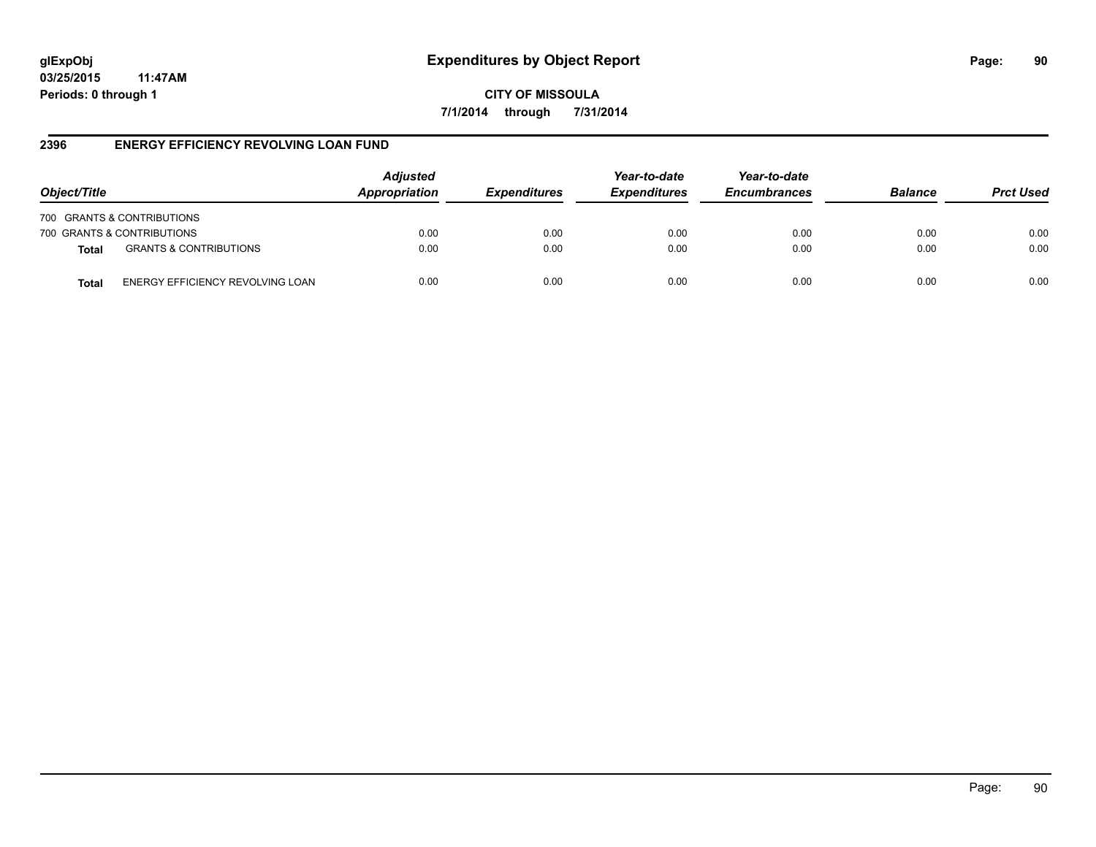**CITY OF MISSOULA 7/1/2014 through 7/31/2014**

#### **2396 ENERGY EFFICIENCY REVOLVING LOAN FUND**

| Object/Title               |                                   | <b>Adjusted</b><br>Appropriation | <b>Expenditures</b> | Year-to-date<br><b>Expenditures</b> | Year-to-date<br><b>Encumbrances</b> | <b>Balance</b> | <b>Prct Used</b> |
|----------------------------|-----------------------------------|----------------------------------|---------------------|-------------------------------------|-------------------------------------|----------------|------------------|
| 700 GRANTS & CONTRIBUTIONS |                                   |                                  |                     |                                     |                                     |                |                  |
| 700 GRANTS & CONTRIBUTIONS |                                   | 0.00                             | 0.00                | 0.00                                | 0.00                                | 0.00           | 0.00             |
| <b>Total</b>               | <b>GRANTS &amp; CONTRIBUTIONS</b> | 0.00                             | 0.00                | 0.00                                | 0.00                                | 0.00           | 0.00             |
| Total                      | ENERGY EFFICIENCY REVOLVING LOAN  | 0.00                             | 0.00                | 0.00                                | 0.00                                | 0.00           | 0.00             |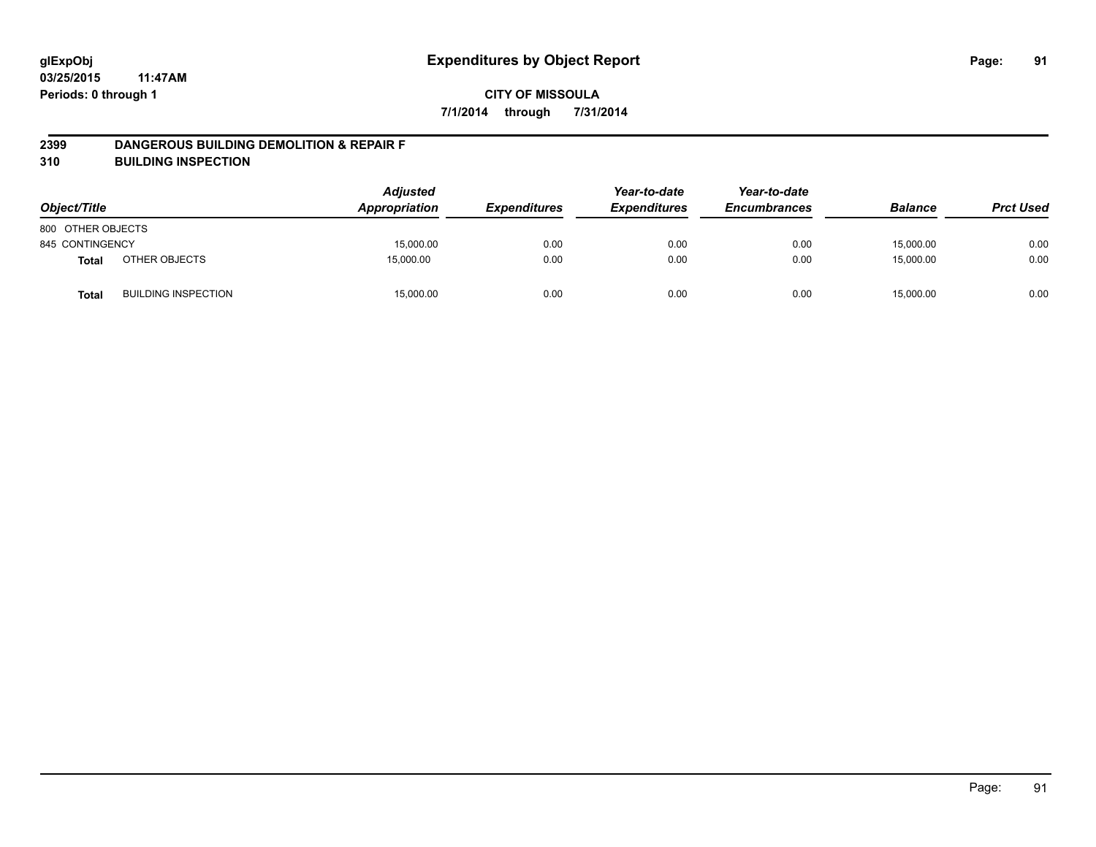#### **2399 DANGEROUS BUILDING DEMOLITION & REPAIR F**

**310 BUILDING INSPECTION**

| Object/Title      |                            | <b>Adjusted</b><br>Appropriation | <b>Expenditures</b> | Year-to-date<br><b>Expenditures</b> | Year-to-date<br><b>Encumbrances</b> | <b>Balance</b> | <b>Prct Used</b> |
|-------------------|----------------------------|----------------------------------|---------------------|-------------------------------------|-------------------------------------|----------------|------------------|
| 800 OTHER OBJECTS |                            |                                  |                     |                                     |                                     |                |                  |
| 845 CONTINGENCY   |                            | 15,000.00                        | 0.00                | 0.00                                | 0.00                                | 15,000.00      | 0.00             |
| <b>Total</b>      | OTHER OBJECTS              | 15,000.00                        | 0.00                | 0.00                                | 0.00                                | 15,000.00      | 0.00             |
| <b>Total</b>      | <b>BUILDING INSPECTION</b> | 15,000.00                        | 0.00                | 0.00                                | 0.00                                | 15,000.00      | 0.00             |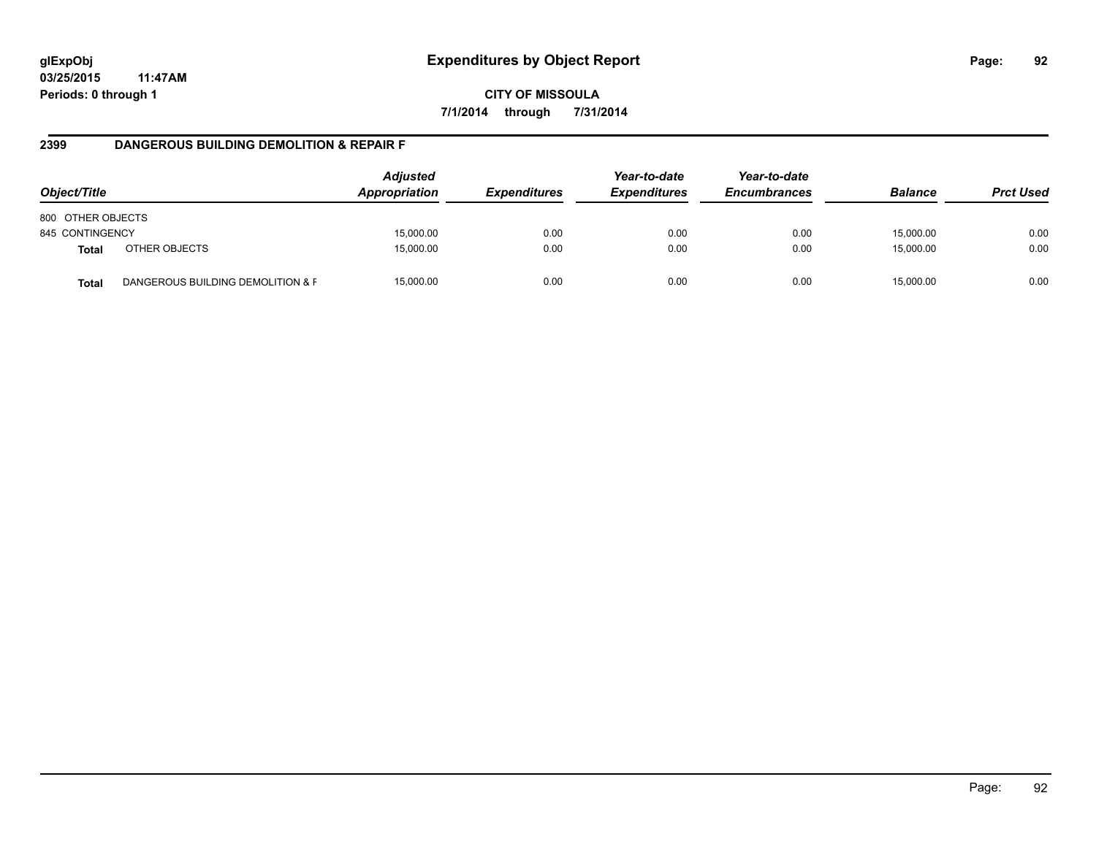**CITY OF MISSOULA 7/1/2014 through 7/31/2014**

#### **2399 DANGEROUS BUILDING DEMOLITION & REPAIR F**

| Object/Title      |                                   | <b>Adjusted</b><br>Appropriation | <b>Expenditures</b> | Year-to-date<br><b>Expenditures</b> | Year-to-date<br><b>Encumbrances</b> | <b>Balance</b> | <b>Prct Used</b> |
|-------------------|-----------------------------------|----------------------------------|---------------------|-------------------------------------|-------------------------------------|----------------|------------------|
| 800 OTHER OBJECTS |                                   |                                  |                     |                                     |                                     |                |                  |
| 845 CONTINGENCY   |                                   | 15,000.00                        | 0.00                | 0.00                                | 0.00                                | 15,000.00      | 0.00             |
| <b>Total</b>      | OTHER OBJECTS                     | 15,000.00                        | 0.00                | 0.00                                | 0.00                                | 15,000.00      | 0.00             |
| <b>Total</b>      | DANGEROUS BUILDING DEMOLITION & F | 15.000.00                        | 0.00                | 0.00                                | 0.00                                | 15,000.00      | 0.00             |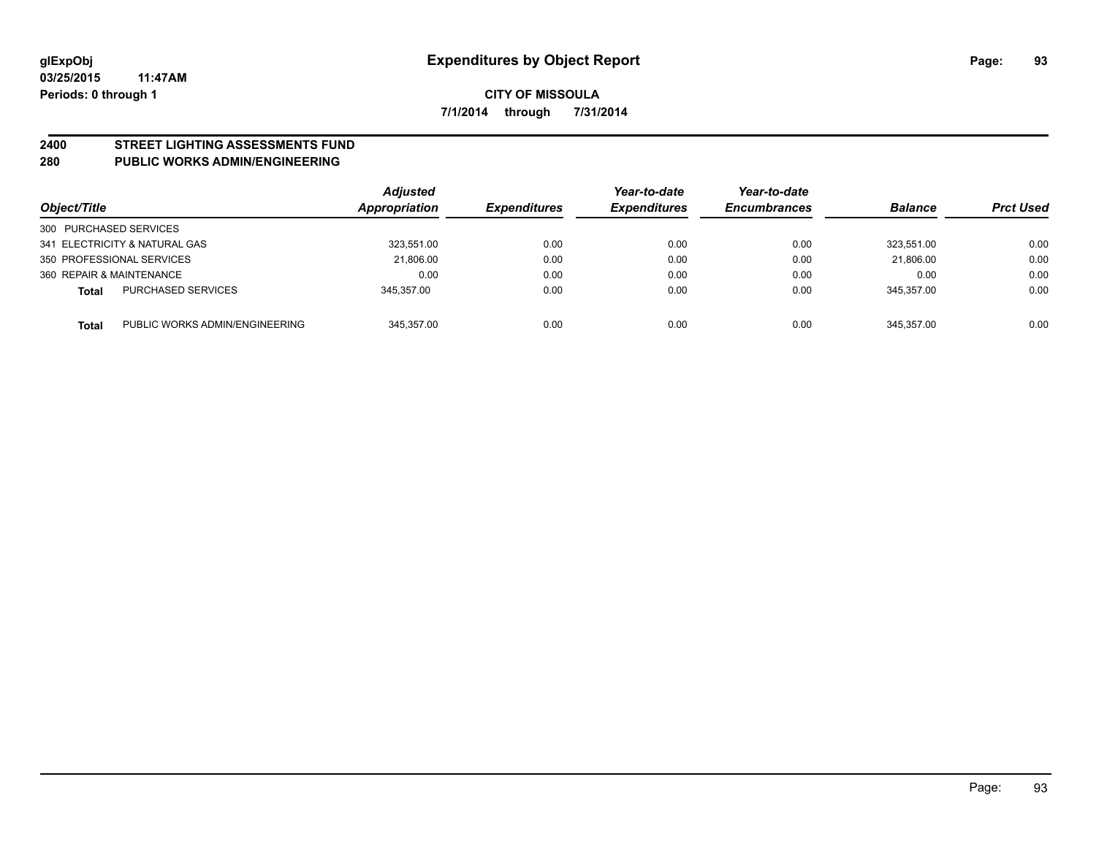# **2400 STREET LIGHTING ASSESSMENTS FUND**

#### **280 PUBLIC WORKS ADMIN/ENGINEERING**

| Object/Title                                   | <b>Adjusted</b><br>Appropriation | <b>Expenditures</b> | Year-to-date<br><b>Expenditures</b> | Year-to-date<br><b>Encumbrances</b> | <b>Balance</b> | <b>Prct Used</b> |
|------------------------------------------------|----------------------------------|---------------------|-------------------------------------|-------------------------------------|----------------|------------------|
| 300 PURCHASED SERVICES                         |                                  |                     |                                     |                                     |                |                  |
| 341 ELECTRICITY & NATURAL GAS                  | 323,551.00                       | 0.00                | 0.00                                | 0.00                                | 323.551.00     | 0.00             |
| 350 PROFESSIONAL SERVICES                      | 21,806.00                        | 0.00                | 0.00                                | 0.00                                | 21.806.00      | 0.00             |
| 360 REPAIR & MAINTENANCE                       | 0.00                             | 0.00                | 0.00                                | 0.00                                | 0.00           | 0.00             |
| <b>PURCHASED SERVICES</b><br><b>Total</b>      | 345.357.00                       | 0.00                | 0.00                                | 0.00                                | 345.357.00     | 0.00             |
| PUBLIC WORKS ADMIN/ENGINEERING<br><b>Total</b> | 345.357.00                       | 0.00                | 0.00                                | 0.00                                | 345.357.00     | 0.00             |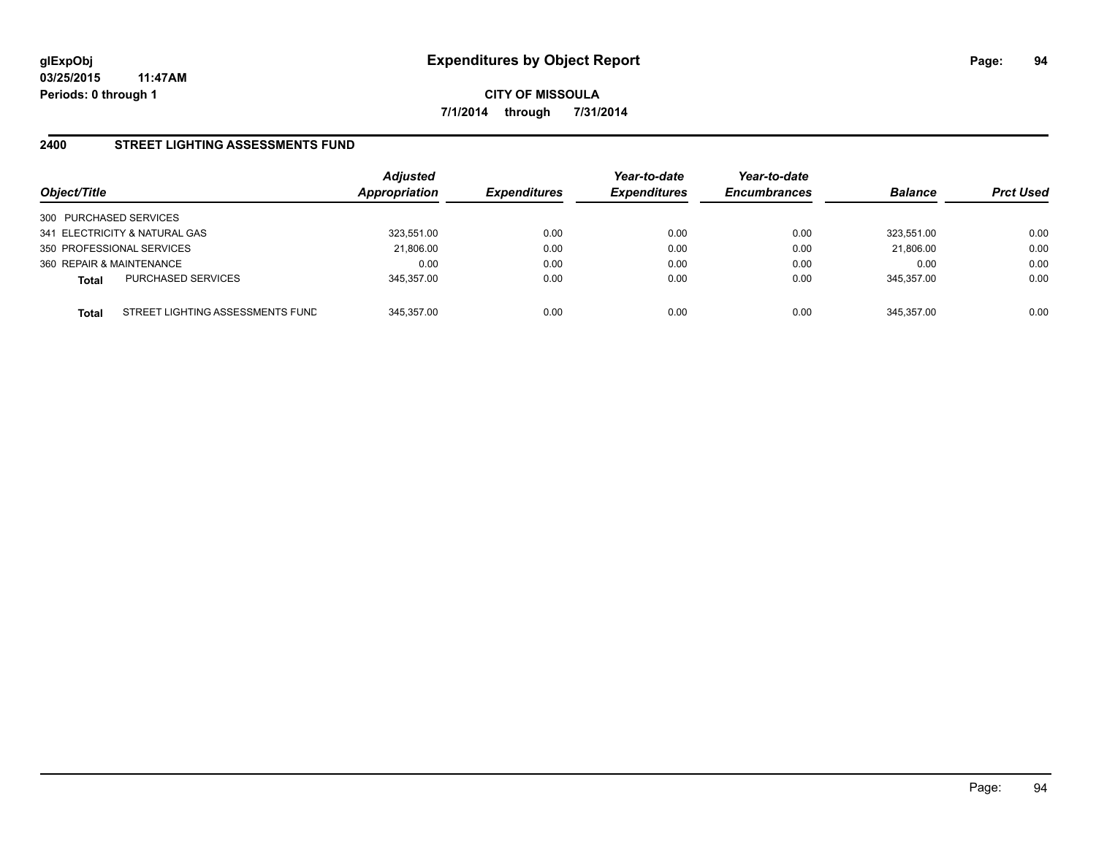**CITY OF MISSOULA 7/1/2014 through 7/31/2014**

#### **2400 STREET LIGHTING ASSESSMENTS FUND**

| Object/Title                                     | <b>Adjusted</b><br><b>Appropriation</b> | <b>Expenditures</b> | Year-to-date<br><b>Expenditures</b> | Year-to-date<br><b>Encumbrances</b> | <b>Balance</b> | <b>Prct Used</b> |
|--------------------------------------------------|-----------------------------------------|---------------------|-------------------------------------|-------------------------------------|----------------|------------------|
| 300 PURCHASED SERVICES                           |                                         |                     |                                     |                                     |                |                  |
| 341 ELECTRICITY & NATURAL GAS                    | 323,551.00                              | 0.00                | 0.00                                | 0.00                                | 323.551.00     | 0.00             |
| 350 PROFESSIONAL SERVICES                        | 21,806.00                               | 0.00                | 0.00                                | 0.00                                | 21.806.00      | 0.00             |
| 360 REPAIR & MAINTENANCE                         | 0.00                                    | 0.00                | 0.00                                | 0.00                                | 0.00           | 0.00             |
| <b>PURCHASED SERVICES</b><br><b>Total</b>        | 345.357.00                              | 0.00                | 0.00                                | 0.00                                | 345.357.00     | 0.00             |
| STREET LIGHTING ASSESSMENTS FUND<br><b>Total</b> | 345.357.00                              | 0.00                | 0.00                                | 0.00                                | 345.357.00     | 0.00             |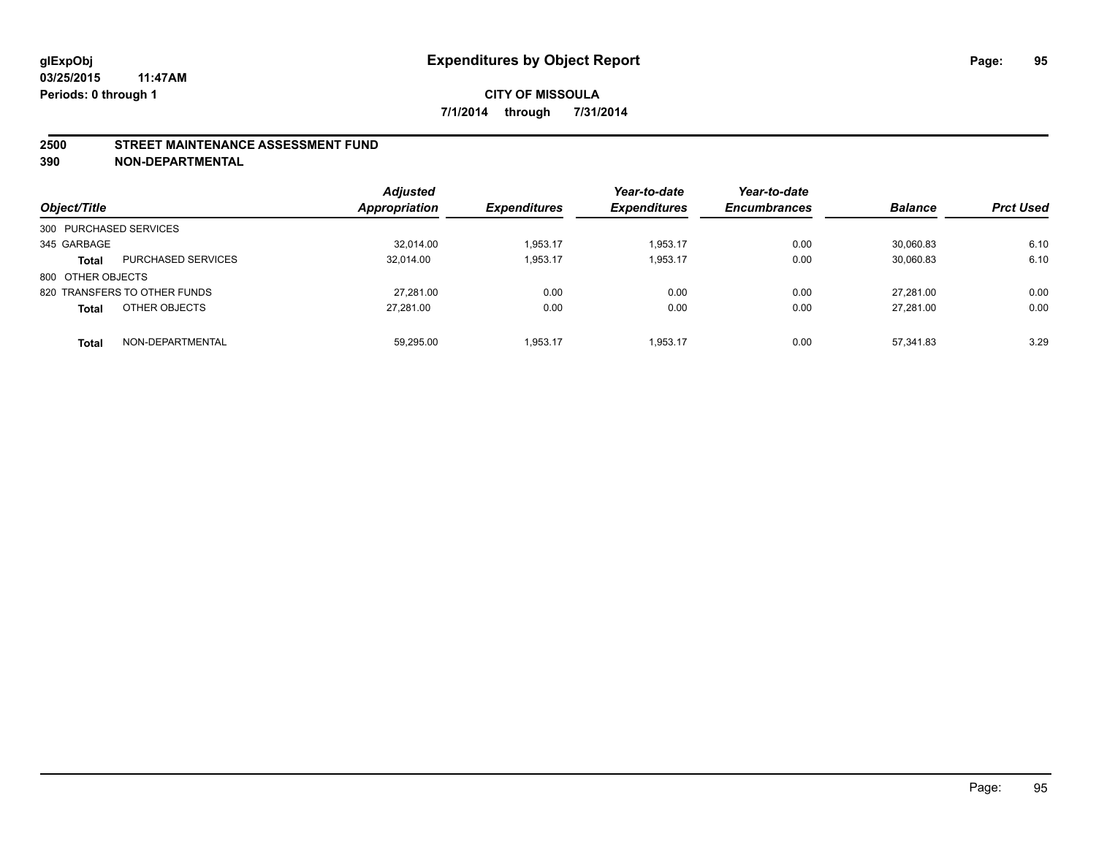#### **2500 STREET MAINTENANCE ASSESSMENT FUND**

**390 NON-DEPARTMENTAL**

| Object/Title           |                              | <b>Adjusted</b><br><b>Appropriation</b> | <b>Expenditures</b> | Year-to-date<br><b>Expenditures</b> | Year-to-date<br><b>Encumbrances</b> | <b>Balance</b> | <b>Prct Used</b> |
|------------------------|------------------------------|-----------------------------------------|---------------------|-------------------------------------|-------------------------------------|----------------|------------------|
| 300 PURCHASED SERVICES |                              |                                         |                     |                                     |                                     |                |                  |
| 345 GARBAGE            |                              | 32.014.00                               | 1.953.17            | 1.953.17                            | 0.00                                | 30.060.83      | 6.10             |
| <b>Total</b>           | <b>PURCHASED SERVICES</b>    | 32.014.00                               | 1,953.17            | 1.953.17                            | 0.00                                | 30,060.83      | 6.10             |
| 800 OTHER OBJECTS      |                              |                                         |                     |                                     |                                     |                |                  |
|                        | 820 TRANSFERS TO OTHER FUNDS | 27,281.00                               | 0.00                | 0.00                                | 0.00                                | 27.281.00      | 0.00             |
| <b>Total</b>           | OTHER OBJECTS                | 27.281.00                               | 0.00                | 0.00                                | 0.00                                | 27.281.00      | 0.00             |
| <b>Total</b>           | NON-DEPARTMENTAL             | 59,295.00                               | 1.953.17            | 1.953.17                            | 0.00                                | 57.341.83      | 3.29             |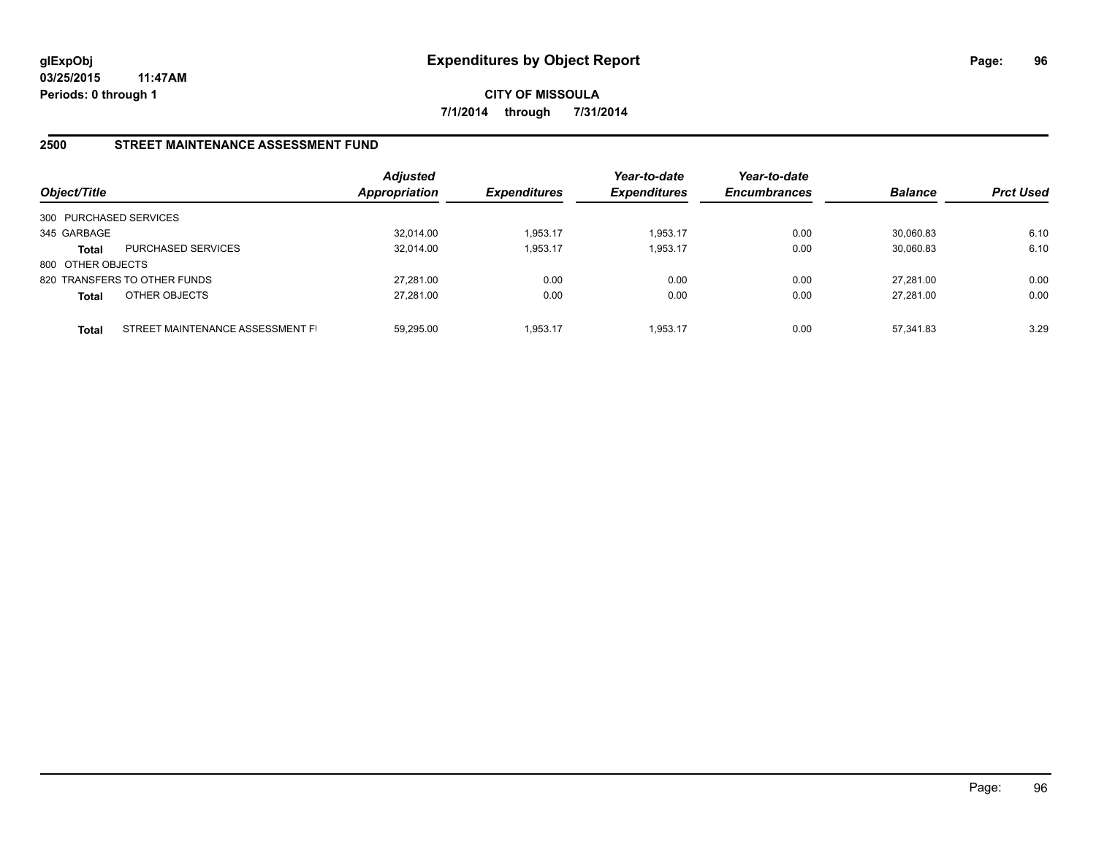**CITY OF MISSOULA 7/1/2014 through 7/31/2014**

#### **2500 STREET MAINTENANCE ASSESSMENT FUND**

| Object/Title           |                                  | <b>Adjusted</b><br>Appropriation | <b>Expenditures</b> | Year-to-date<br><b>Expenditures</b> | Year-to-date<br><b>Encumbrances</b> | <b>Balance</b> | <b>Prct Used</b> |
|------------------------|----------------------------------|----------------------------------|---------------------|-------------------------------------|-------------------------------------|----------------|------------------|
| 300 PURCHASED SERVICES |                                  |                                  |                     |                                     |                                     |                |                  |
| 345 GARBAGE            |                                  | 32,014.00                        | 1,953.17            | 1,953.17                            | 0.00                                | 30,060.83      | 6.10             |
| <b>Total</b>           | <b>PURCHASED SERVICES</b>        | 32.014.00                        | 1,953.17            | 1,953.17                            | 0.00                                | 30,060.83      | 6.10             |
| 800 OTHER OBJECTS      |                                  |                                  |                     |                                     |                                     |                |                  |
|                        | 820 TRANSFERS TO OTHER FUNDS     | 27.281.00                        | 0.00                | 0.00                                | 0.00                                | 27.281.00      | 0.00             |
| <b>Total</b>           | OTHER OBJECTS                    | 27,281.00                        | 0.00                | 0.00                                | 0.00                                | 27.281.00      | 0.00             |
| Total                  | STREET MAINTENANCE ASSESSMENT FI | 59.295.00                        | 1,953.17            | 1.953.17                            | 0.00                                | 57.341.83      | 3.29             |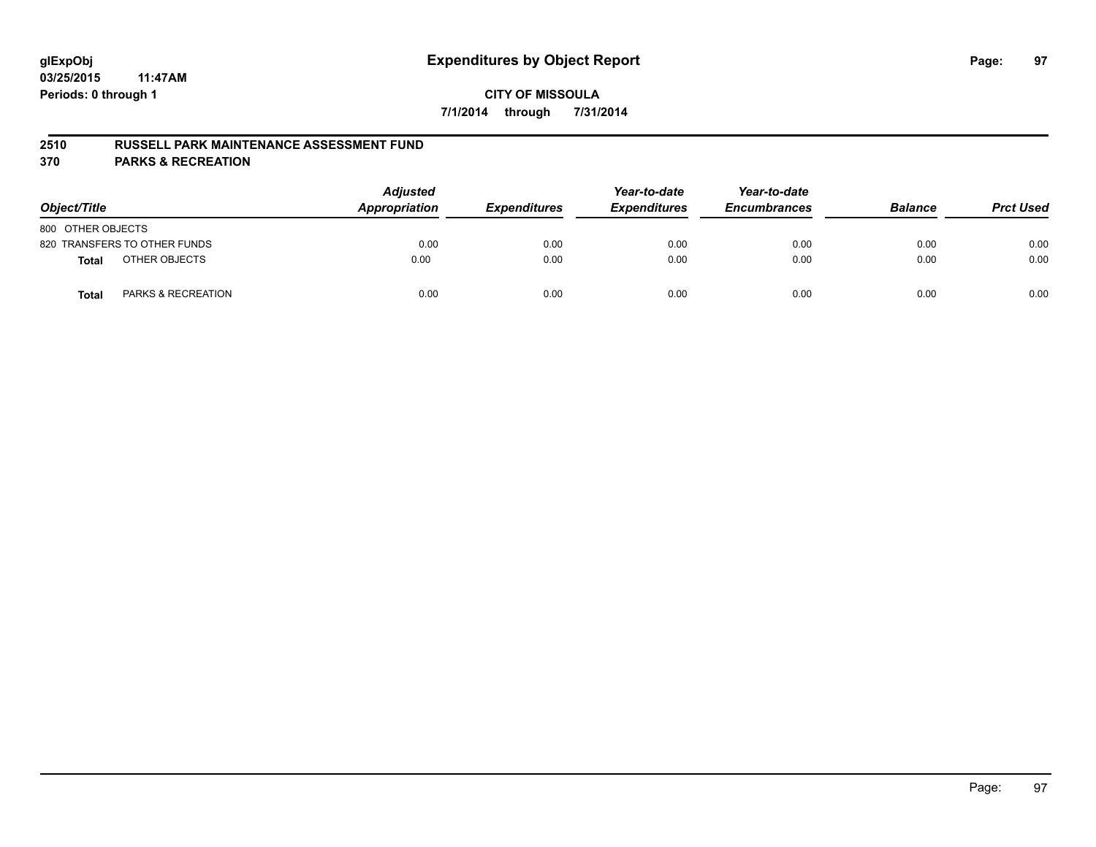#### **2510 RUSSELL PARK MAINTENANCE ASSESSMENT FUND**

**370 PARKS & RECREATION**

| Object/Title      |                               | <b>Adjusted</b><br><b>Appropriation</b> | <b>Expenditures</b> | Year-to-date<br><b>Expenditures</b> | Year-to-date<br><b>Encumbrances</b> | <b>Balance</b> | <b>Prct Used</b> |
|-------------------|-------------------------------|-----------------------------------------|---------------------|-------------------------------------|-------------------------------------|----------------|------------------|
| 800 OTHER OBJECTS |                               |                                         |                     |                                     |                                     |                |                  |
|                   | 820 TRANSFERS TO OTHER FUNDS  | 0.00                                    | 0.00                | 0.00                                | 0.00                                | 0.00           | 0.00             |
| <b>Total</b>      | OTHER OBJECTS                 | 0.00                                    | 0.00                | 0.00                                | 0.00                                | 0.00           | 0.00             |
| <b>Total</b>      | <b>PARKS &amp; RECREATION</b> | 0.00                                    | 0.00                | 0.00                                | 0.00                                | 0.00           | 0.00             |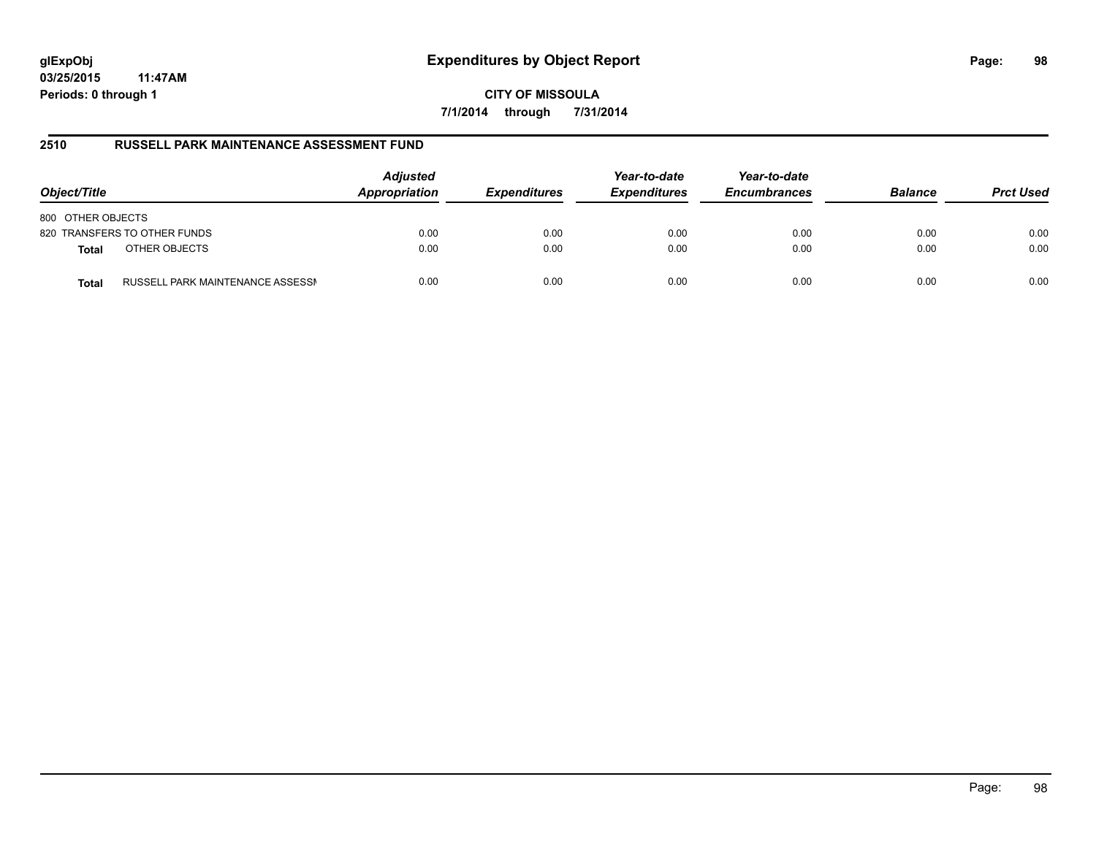# **glExpObj Expenditures by Object Report Page: 98**

**03/25/2015 11:47AM Periods: 0 through 1**

**CITY OF MISSOULA 7/1/2014 through 7/31/2014**

#### **2510 RUSSELL PARK MAINTENANCE ASSESSMENT FUND**

| Object/Title                                     | <b>Adjusted</b><br>Appropriation | <b>Expenditures</b> | Year-to-date<br><b>Expenditures</b> | Year-to-date<br><b>Encumbrances</b> | <b>Balance</b> | <b>Prct Used</b> |
|--------------------------------------------------|----------------------------------|---------------------|-------------------------------------|-------------------------------------|----------------|------------------|
| 800 OTHER OBJECTS                                |                                  |                     |                                     |                                     |                |                  |
| 820 TRANSFERS TO OTHER FUNDS                     | 0.00                             | 0.00                | 0.00                                | 0.00                                | 0.00           | 0.00             |
| OTHER OBJECTS<br><b>Total</b>                    | 0.00                             | 0.00                | 0.00                                | 0.00                                | 0.00           | 0.00             |
| RUSSELL PARK MAINTENANCE ASSESSN<br><b>Total</b> | 0.00                             | 0.00                | 0.00                                | 0.00                                | 0.00           | 0.00             |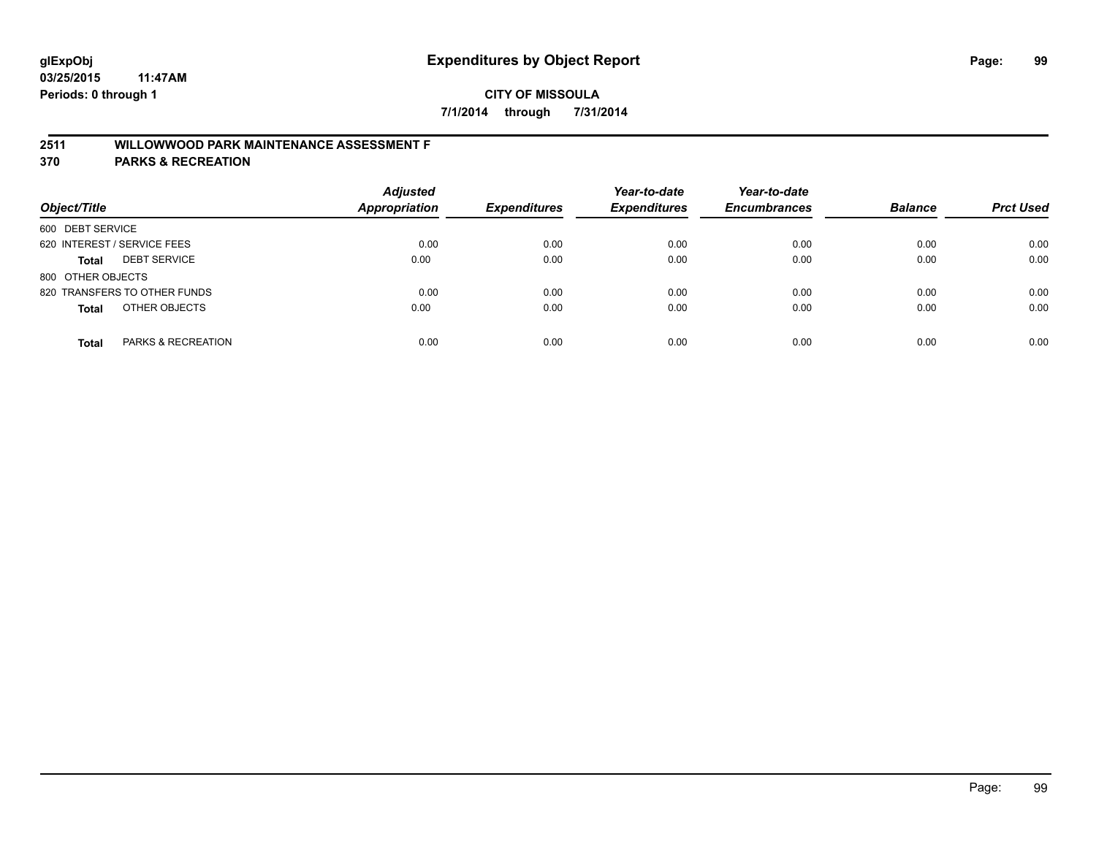## **2511 WILLOWWOOD PARK MAINTENANCE ASSESSMENT F**

**370 PARKS & RECREATION**

| Object/Title                        | <b>Adjusted</b><br><b>Appropriation</b> | <b>Expenditures</b> | Year-to-date<br><b>Expenditures</b> | Year-to-date<br><b>Encumbrances</b> | <b>Balance</b> | <b>Prct Used</b> |
|-------------------------------------|-----------------------------------------|---------------------|-------------------------------------|-------------------------------------|----------------|------------------|
| 600 DEBT SERVICE                    |                                         |                     |                                     |                                     |                |                  |
| 620 INTEREST / SERVICE FEES         | 0.00                                    | 0.00                | 0.00                                | 0.00                                | 0.00           | 0.00             |
| <b>DEBT SERVICE</b><br><b>Total</b> | 0.00                                    | 0.00                | 0.00                                | 0.00                                | 0.00           | 0.00             |
| 800 OTHER OBJECTS                   |                                         |                     |                                     |                                     |                |                  |
| 820 TRANSFERS TO OTHER FUNDS        | 0.00                                    | 0.00                | 0.00                                | 0.00                                | 0.00           | 0.00             |
| OTHER OBJECTS<br><b>Total</b>       | 0.00                                    | 0.00                | 0.00                                | 0.00                                | 0.00           | 0.00             |
| PARKS & RECREATION<br><b>Total</b>  | 0.00                                    | 0.00                | 0.00                                | 0.00                                | 0.00           | 0.00             |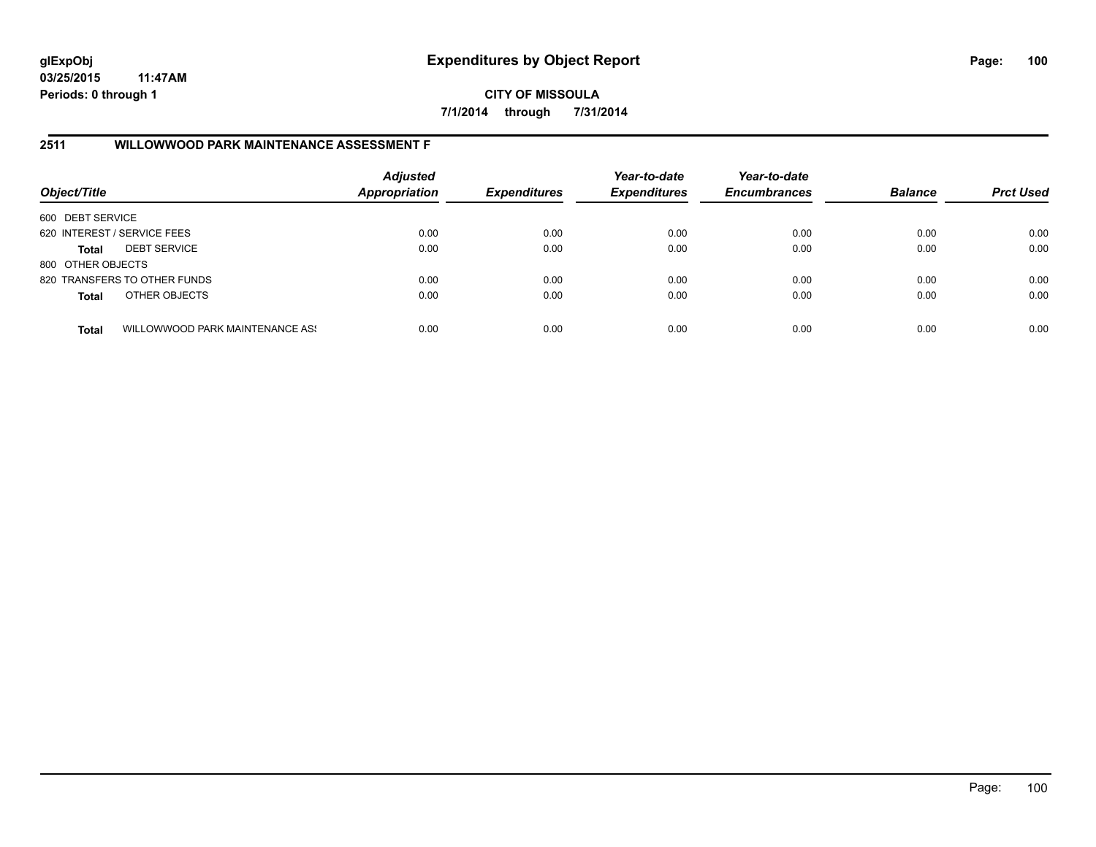**CITY OF MISSOULA 7/1/2014 through 7/31/2014**

## **2511 WILLOWWOOD PARK MAINTENANCE ASSESSMENT F**

| Object/Title                |                                 | <b>Adjusted</b><br><b>Appropriation</b> | <b>Expenditures</b> | Year-to-date<br><b>Expenditures</b> | Year-to-date<br><b>Encumbrances</b> | <b>Balance</b> | <b>Prct Used</b> |
|-----------------------------|---------------------------------|-----------------------------------------|---------------------|-------------------------------------|-------------------------------------|----------------|------------------|
| 600 DEBT SERVICE            |                                 |                                         |                     |                                     |                                     |                |                  |
| 620 INTEREST / SERVICE FEES |                                 | 0.00                                    | 0.00                | 0.00                                | 0.00                                | 0.00           | 0.00             |
| <b>Total</b>                | <b>DEBT SERVICE</b>             | 0.00                                    | 0.00                | 0.00                                | 0.00                                | 0.00           | 0.00             |
| 800 OTHER OBJECTS           |                                 |                                         |                     |                                     |                                     |                |                  |
|                             | 820 TRANSFERS TO OTHER FUNDS    | 0.00                                    | 0.00                | 0.00                                | 0.00                                | 0.00           | 0.00             |
| <b>Total</b>                | OTHER OBJECTS                   | 0.00                                    | 0.00                | 0.00                                | 0.00                                | 0.00           | 0.00             |
| <b>Total</b>                | WILLOWWOOD PARK MAINTENANCE ASS | 0.00                                    | 0.00                | 0.00                                | 0.00                                | 0.00           | 0.00             |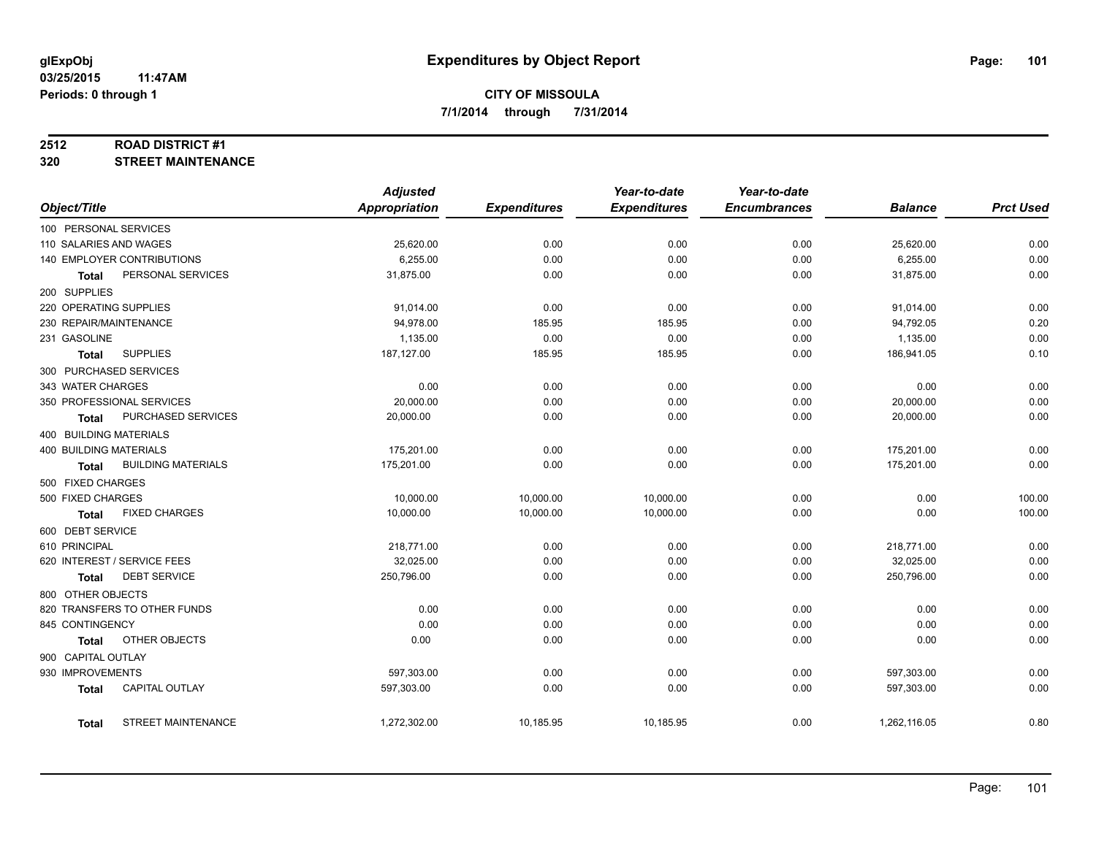#### **2512 ROAD DISTRICT #1**

**320 STREET MAINTENANCE**

|                               |                              | <b>Adjusted</b>      |                     | Year-to-date        | Year-to-date        |                |                  |
|-------------------------------|------------------------------|----------------------|---------------------|---------------------|---------------------|----------------|------------------|
| Object/Title                  |                              | <b>Appropriation</b> | <b>Expenditures</b> | <b>Expenditures</b> | <b>Encumbrances</b> | <b>Balance</b> | <b>Prct Used</b> |
| 100 PERSONAL SERVICES         |                              |                      |                     |                     |                     |                |                  |
| 110 SALARIES AND WAGES        |                              | 25,620.00            | 0.00                | 0.00                | 0.00                | 25,620.00      | 0.00             |
|                               | 140 EMPLOYER CONTRIBUTIONS   | 6,255.00             | 0.00                | 0.00                | 0.00                | 6,255.00       | 0.00             |
| Total                         | PERSONAL SERVICES            | 31,875.00            | 0.00                | 0.00                | 0.00                | 31,875.00      | 0.00             |
| 200 SUPPLIES                  |                              |                      |                     |                     |                     |                |                  |
| 220 OPERATING SUPPLIES        |                              | 91,014.00            | 0.00                | 0.00                | 0.00                | 91,014.00      | 0.00             |
| 230 REPAIR/MAINTENANCE        |                              | 94,978.00            | 185.95              | 185.95              | 0.00                | 94,792.05      | 0.20             |
| 231 GASOLINE                  |                              | 1,135.00             | 0.00                | 0.00                | 0.00                | 1,135.00       | 0.00             |
| <b>Total</b>                  | <b>SUPPLIES</b>              | 187,127.00           | 185.95              | 185.95              | 0.00                | 186,941.05     | 0.10             |
|                               | 300 PURCHASED SERVICES       |                      |                     |                     |                     |                |                  |
| 343 WATER CHARGES             |                              | 0.00                 | 0.00                | 0.00                | 0.00                | 0.00           | 0.00             |
|                               | 350 PROFESSIONAL SERVICES    | 20,000.00            | 0.00                | 0.00                | 0.00                | 20,000.00      | 0.00             |
| <b>Total</b>                  | PURCHASED SERVICES           | 20,000.00            | 0.00                | 0.00                | 0.00                | 20,000.00      | 0.00             |
| 400 BUILDING MATERIALS        |                              |                      |                     |                     |                     |                |                  |
| <b>400 BUILDING MATERIALS</b> |                              | 175,201.00           | 0.00                | 0.00                | 0.00                | 175,201.00     | 0.00             |
| Total                         | <b>BUILDING MATERIALS</b>    | 175,201.00           | 0.00                | 0.00                | 0.00                | 175,201.00     | 0.00             |
| 500 FIXED CHARGES             |                              |                      |                     |                     |                     |                |                  |
| 500 FIXED CHARGES             |                              | 10,000.00            | 10,000.00           | 10,000.00           | 0.00                | 0.00           | 100.00           |
| <b>Total</b>                  | <b>FIXED CHARGES</b>         | 10,000.00            | 10,000.00           | 10,000.00           | 0.00                | 0.00           | 100.00           |
| 600 DEBT SERVICE              |                              |                      |                     |                     |                     |                |                  |
| 610 PRINCIPAL                 |                              | 218,771.00           | 0.00                | 0.00                | 0.00                | 218,771.00     | 0.00             |
|                               | 620 INTEREST / SERVICE FEES  | 32,025.00            | 0.00                | 0.00                | 0.00                | 32,025.00      | 0.00             |
| Total                         | <b>DEBT SERVICE</b>          | 250,796.00           | 0.00                | 0.00                | 0.00                | 250,796.00     | 0.00             |
| 800 OTHER OBJECTS             |                              |                      |                     |                     |                     |                |                  |
|                               | 820 TRANSFERS TO OTHER FUNDS | 0.00                 | 0.00                | 0.00                | 0.00                | 0.00           | 0.00             |
| 845 CONTINGENCY               |                              | 0.00                 | 0.00                | 0.00                | 0.00                | 0.00           | 0.00             |
| <b>Total</b>                  | OTHER OBJECTS                | 0.00                 | 0.00                | 0.00                | 0.00                | 0.00           | 0.00             |
| 900 CAPITAL OUTLAY            |                              |                      |                     |                     |                     |                |                  |
| 930 IMPROVEMENTS              |                              | 597,303.00           | 0.00                | 0.00                | 0.00                | 597,303.00     | 0.00             |
| <b>Total</b>                  | <b>CAPITAL OUTLAY</b>        | 597,303.00           | 0.00                | 0.00                | 0.00                | 597,303.00     | 0.00             |
|                               |                              |                      |                     |                     |                     |                |                  |
| <b>Total</b>                  | STREET MAINTENANCE           | 1,272,302.00         | 10,185.95           | 10,185.95           | 0.00                | 1,262,116.05   | 0.80             |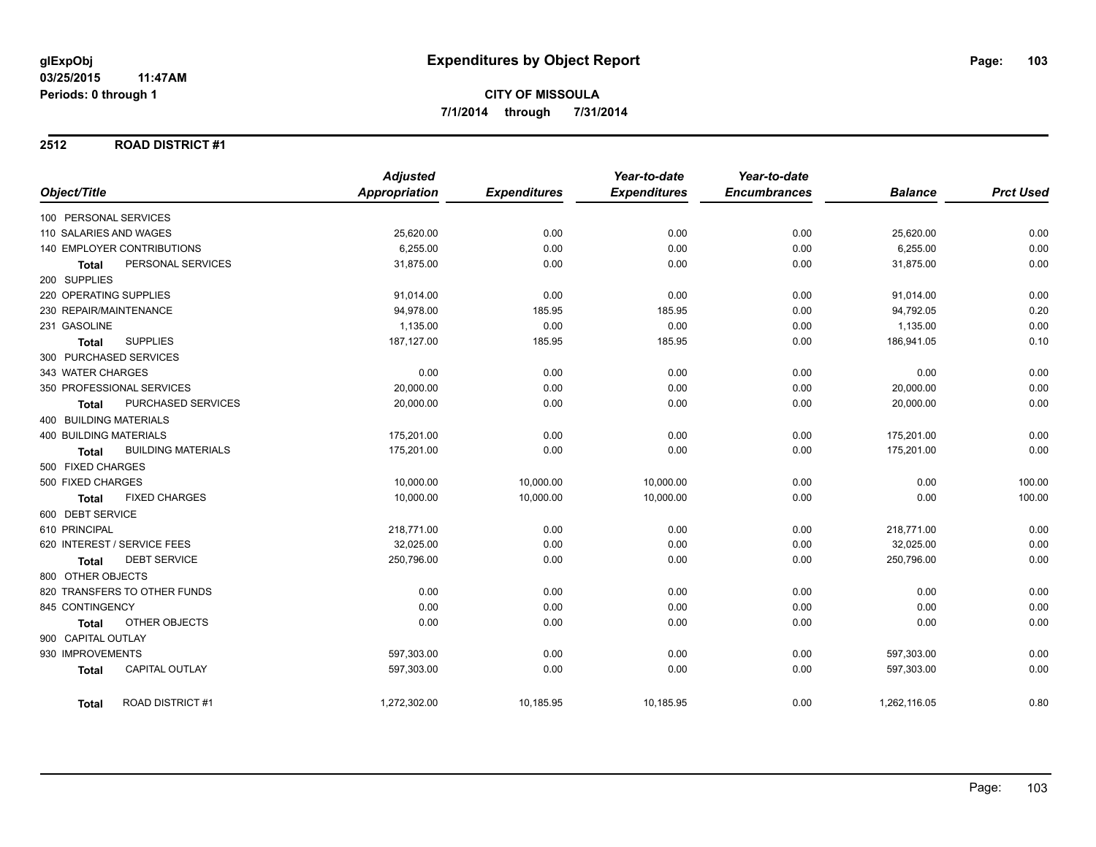#### **2512 ROAD DISTRICT #1**

|                                           | <b>Adjusted</b>      |                     | Year-to-date        | Year-to-date        |                |                  |
|-------------------------------------------|----------------------|---------------------|---------------------|---------------------|----------------|------------------|
| Object/Title                              | <b>Appropriation</b> | <b>Expenditures</b> | <b>Expenditures</b> | <b>Encumbrances</b> | <b>Balance</b> | <b>Prct Used</b> |
| 100 PERSONAL SERVICES                     |                      |                     |                     |                     |                |                  |
| 110 SALARIES AND WAGES                    | 25,620.00            | 0.00                | 0.00                | 0.00                | 25,620.00      | 0.00             |
| 140 EMPLOYER CONTRIBUTIONS                | 6,255.00             | 0.00                | 0.00                | 0.00                | 6,255.00       | 0.00             |
| PERSONAL SERVICES<br><b>Total</b>         | 31,875.00            | 0.00                | 0.00                | 0.00                | 31,875.00      | 0.00             |
| 200 SUPPLIES                              |                      |                     |                     |                     |                |                  |
| 220 OPERATING SUPPLIES                    | 91,014.00            | 0.00                | 0.00                | 0.00                | 91,014.00      | 0.00             |
| 230 REPAIR/MAINTENANCE                    | 94.978.00            | 185.95              | 185.95              | 0.00                | 94,792.05      | 0.20             |
| 231 GASOLINE                              | 1,135.00             | 0.00                | 0.00                | 0.00                | 1,135.00       | 0.00             |
| <b>SUPPLIES</b><br><b>Total</b>           | 187,127.00           | 185.95              | 185.95              | 0.00                | 186,941.05     | 0.10             |
| 300 PURCHASED SERVICES                    |                      |                     |                     |                     |                |                  |
| 343 WATER CHARGES                         | 0.00                 | 0.00                | 0.00                | 0.00                | 0.00           | 0.00             |
| 350 PROFESSIONAL SERVICES                 | 20,000.00            | 0.00                | 0.00                | 0.00                | 20,000.00      | 0.00             |
| PURCHASED SERVICES<br>Total               | 20,000.00            | 0.00                | 0.00                | 0.00                | 20,000.00      | 0.00             |
| 400 BUILDING MATERIALS                    |                      |                     |                     |                     |                |                  |
| <b>400 BUILDING MATERIALS</b>             | 175,201.00           | 0.00                | 0.00                | 0.00                | 175,201.00     | 0.00             |
| <b>BUILDING MATERIALS</b><br><b>Total</b> | 175,201.00           | 0.00                | 0.00                | 0.00                | 175,201.00     | 0.00             |
| 500 FIXED CHARGES                         |                      |                     |                     |                     |                |                  |
| 500 FIXED CHARGES                         | 10,000.00            | 10,000.00           | 10,000.00           | 0.00                | 0.00           | 100.00           |
| <b>FIXED CHARGES</b><br><b>Total</b>      | 10,000.00            | 10,000.00           | 10,000.00           | 0.00                | 0.00           | 100.00           |
| 600 DEBT SERVICE                          |                      |                     |                     |                     |                |                  |
| 610 PRINCIPAL                             | 218,771.00           | 0.00                | 0.00                | 0.00                | 218,771.00     | 0.00             |
| 620 INTEREST / SERVICE FEES               | 32,025.00            | 0.00                | 0.00                | 0.00                | 32,025.00      | 0.00             |
| <b>DEBT SERVICE</b><br>Total              | 250,796.00           | 0.00                | 0.00                | 0.00                | 250,796.00     | 0.00             |
| 800 OTHER OBJECTS                         |                      |                     |                     |                     |                |                  |
| 820 TRANSFERS TO OTHER FUNDS              | 0.00                 | 0.00                | 0.00                | 0.00                | 0.00           | 0.00             |
| 845 CONTINGENCY                           | 0.00                 | 0.00                | 0.00                | 0.00                | 0.00           | 0.00             |
| OTHER OBJECTS<br><b>Total</b>             | 0.00                 | 0.00                | 0.00                | 0.00                | 0.00           | 0.00             |
| 900 CAPITAL OUTLAY                        |                      |                     |                     |                     |                |                  |
| 930 IMPROVEMENTS                          | 597,303.00           | 0.00                | 0.00                | 0.00                | 597,303.00     | 0.00             |
| <b>CAPITAL OUTLAY</b><br><b>Total</b>     | 597,303.00           | 0.00                | 0.00                | 0.00                | 597,303.00     | 0.00             |
| <b>ROAD DISTRICT#1</b><br><b>Total</b>    | 1,272,302.00         | 10,185.95           | 10,185.95           | 0.00                | 1,262,116.05   | 0.80             |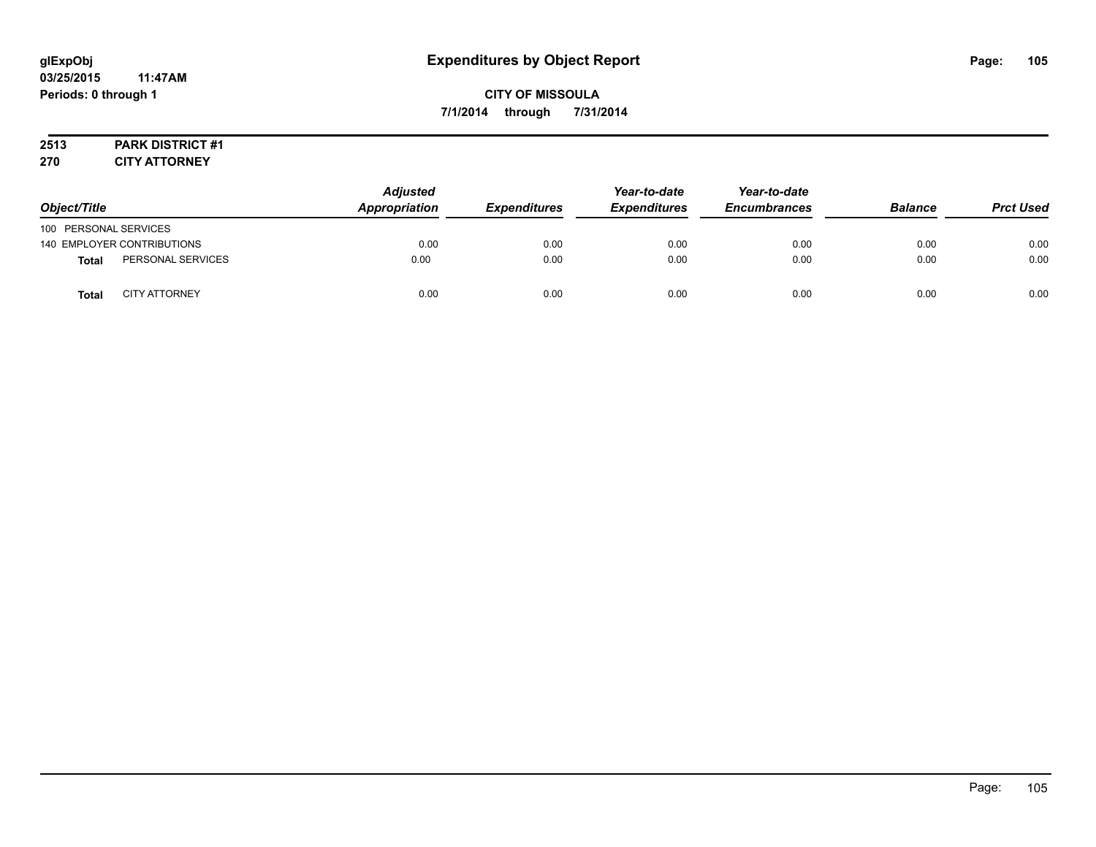## **CITY OF MISSOULA 7/1/2014 through 7/31/2014**

# **2513 PARK DISTRICT #1**

**270 CITY ATTORNEY**

| Object/Title          |                            | <b>Adjusted</b><br>Appropriation | <b>Expenditures</b> | Year-to-date<br><b>Expenditures</b> | Year-to-date<br><b>Encumbrances</b> | <b>Balance</b> | <b>Prct Used</b> |
|-----------------------|----------------------------|----------------------------------|---------------------|-------------------------------------|-------------------------------------|----------------|------------------|
| 100 PERSONAL SERVICES |                            |                                  |                     |                                     |                                     |                |                  |
|                       | 140 EMPLOYER CONTRIBUTIONS | 0.00                             | 0.00                | 0.00                                | 0.00                                | 0.00           | 0.00             |
| <b>Total</b>          | PERSONAL SERVICES          | 0.00                             | 0.00                | 0.00                                | 0.00                                | 0.00           | 0.00             |
| <b>Total</b>          | <b>CITY ATTORNEY</b>       | 0.00                             | 0.00                | 0.00                                | 0.00                                | 0.00           | 0.00             |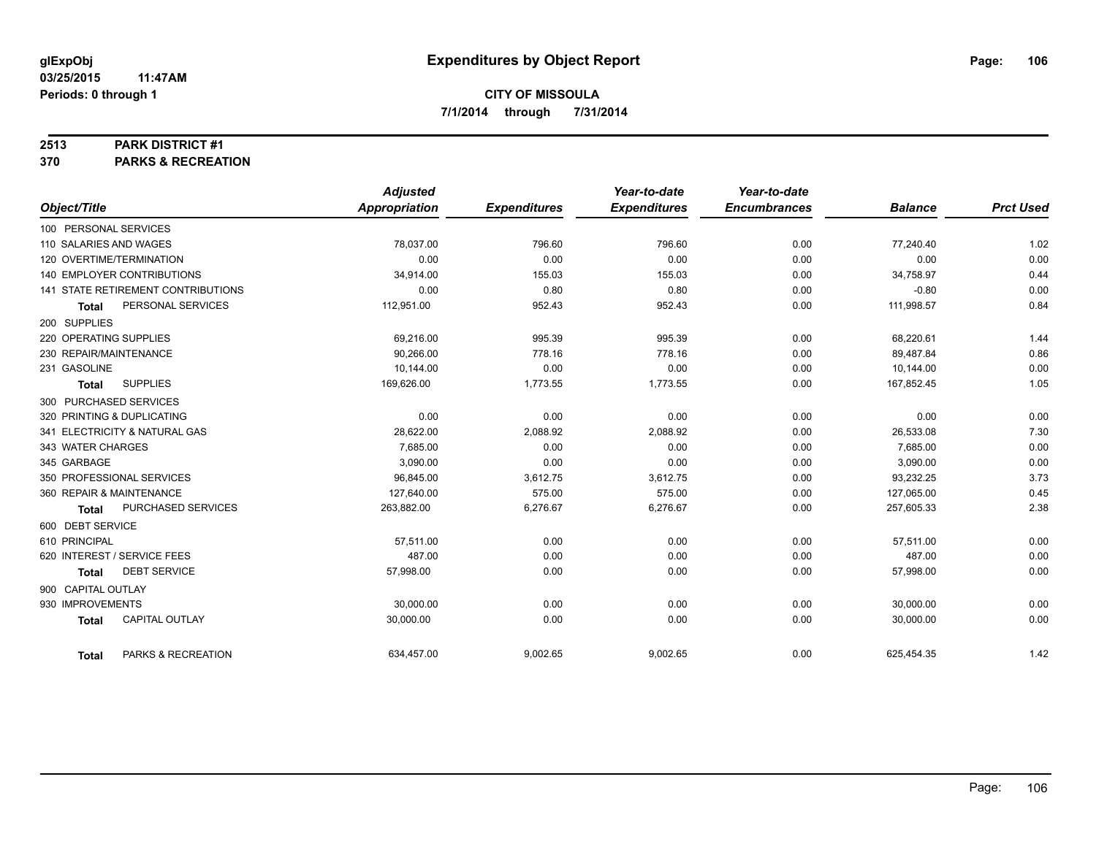#### **2513 PARK DISTRICT #1**

**370 PARKS & RECREATION**

|                                       | <b>Adjusted</b> |                     | Year-to-date        | Year-to-date        |                |                  |
|---------------------------------------|-----------------|---------------------|---------------------|---------------------|----------------|------------------|
| Object/Title                          | Appropriation   | <b>Expenditures</b> | <b>Expenditures</b> | <b>Encumbrances</b> | <b>Balance</b> | <b>Prct Used</b> |
| 100 PERSONAL SERVICES                 |                 |                     |                     |                     |                |                  |
| 110 SALARIES AND WAGES                | 78,037.00       | 796.60              | 796.60              | 0.00                | 77.240.40      | 1.02             |
| 120 OVERTIME/TERMINATION              | 0.00            | 0.00                | 0.00                | 0.00                | 0.00           | 0.00             |
| <b>140 EMPLOYER CONTRIBUTIONS</b>     | 34,914.00       | 155.03              | 155.03              | 0.00                | 34,758.97      | 0.44             |
| 141 STATE RETIREMENT CONTRIBUTIONS    | 0.00            | 0.80                | 0.80                | 0.00                | $-0.80$        | 0.00             |
| PERSONAL SERVICES<br><b>Total</b>     | 112,951.00      | 952.43              | 952.43              | 0.00                | 111,998.57     | 0.84             |
| 200 SUPPLIES                          |                 |                     |                     |                     |                |                  |
| 220 OPERATING SUPPLIES                | 69,216.00       | 995.39              | 995.39              | 0.00                | 68,220.61      | 1.44             |
| 230 REPAIR/MAINTENANCE                | 90.266.00       | 778.16              | 778.16              | 0.00                | 89,487.84      | 0.86             |
| 231 GASOLINE                          | 10,144.00       | 0.00                | 0.00                | 0.00                | 10,144.00      | 0.00             |
| <b>SUPPLIES</b><br><b>Total</b>       | 169,626.00      | 1,773.55            | 1,773.55            | 0.00                | 167,852.45     | 1.05             |
| 300 PURCHASED SERVICES                |                 |                     |                     |                     |                |                  |
| 320 PRINTING & DUPLICATING            | 0.00            | 0.00                | 0.00                | 0.00                | 0.00           | 0.00             |
| 341 ELECTRICITY & NATURAL GAS         | 28,622.00       | 2,088.92            | 2,088.92            | 0.00                | 26,533.08      | 7.30             |
| 343 WATER CHARGES                     | 7,685.00        | 0.00                | 0.00                | 0.00                | 7,685.00       | 0.00             |
| 345 GARBAGE                           | 3,090.00        | 0.00                | 0.00                | 0.00                | 3,090.00       | 0.00             |
| 350 PROFESSIONAL SERVICES             | 96,845.00       | 3,612.75            | 3,612.75            | 0.00                | 93,232.25      | 3.73             |
| 360 REPAIR & MAINTENANCE              | 127,640.00      | 575.00              | 575.00              | 0.00                | 127,065.00     | 0.45             |
| PURCHASED SERVICES<br><b>Total</b>    | 263,882.00      | 6,276.67            | 6,276.67            | 0.00                | 257,605.33     | 2.38             |
| 600 DEBT SERVICE                      |                 |                     |                     |                     |                |                  |
| 610 PRINCIPAL                         | 57,511.00       | 0.00                | 0.00                | 0.00                | 57,511.00      | 0.00             |
| 620 INTEREST / SERVICE FEES           | 487.00          | 0.00                | 0.00                | 0.00                | 487.00         | 0.00             |
| <b>DEBT SERVICE</b><br><b>Total</b>   | 57,998.00       | 0.00                | 0.00                | 0.00                | 57,998.00      | 0.00             |
| 900 CAPITAL OUTLAY                    |                 |                     |                     |                     |                |                  |
| 930 IMPROVEMENTS                      | 30,000.00       | 0.00                | 0.00                | 0.00                | 30.000.00      | 0.00             |
| <b>CAPITAL OUTLAY</b><br><b>Total</b> | 30,000.00       | 0.00                | 0.00                | 0.00                | 30,000.00      | 0.00             |
| PARKS & RECREATION<br><b>Total</b>    | 634,457.00      | 9,002.65            | 9,002.65            | 0.00                | 625,454.35     | 1.42             |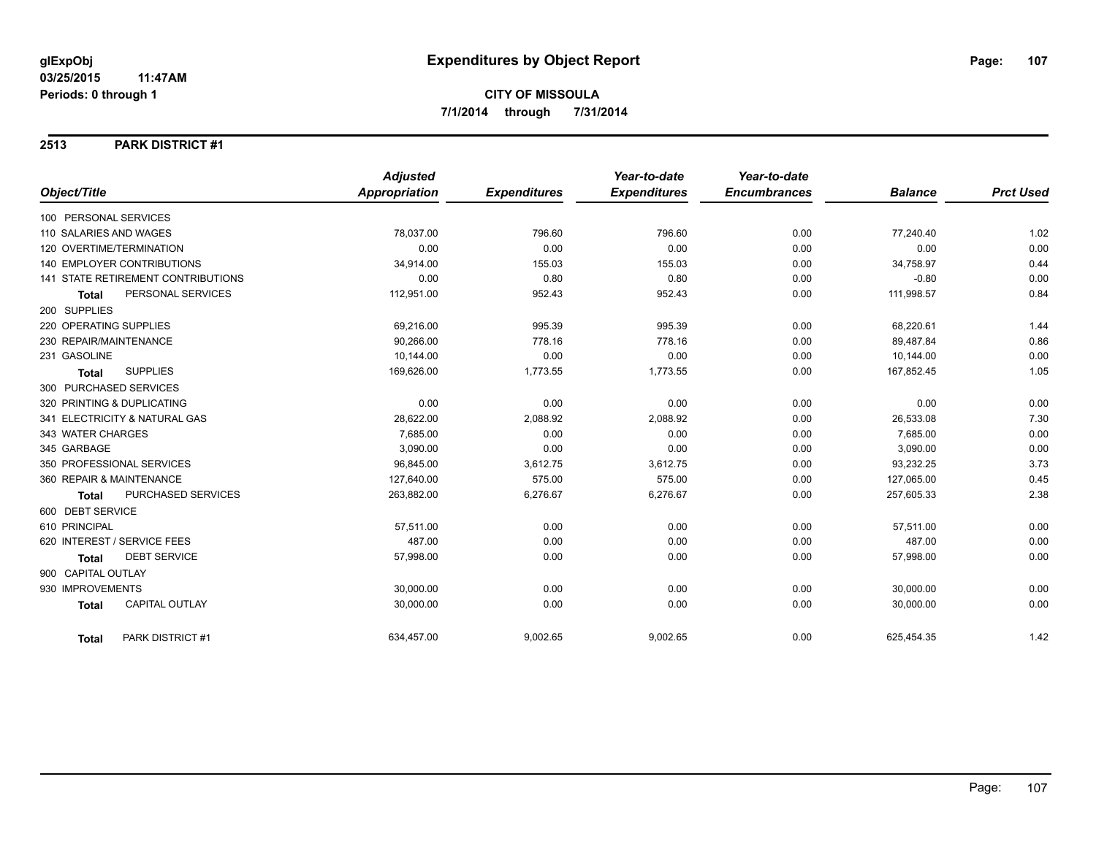#### **2513 PARK DISTRICT #1**

|                                       | <b>Adjusted</b>      |                     | Year-to-date        | Year-to-date        |                |                  |
|---------------------------------------|----------------------|---------------------|---------------------|---------------------|----------------|------------------|
| Object/Title                          | <b>Appropriation</b> | <b>Expenditures</b> | <b>Expenditures</b> | <b>Encumbrances</b> | <b>Balance</b> | <b>Prct Used</b> |
| 100 PERSONAL SERVICES                 |                      |                     |                     |                     |                |                  |
| 110 SALARIES AND WAGES                | 78,037.00            | 796.60              | 796.60              | 0.00                | 77,240.40      | 1.02             |
| 120 OVERTIME/TERMINATION              | 0.00                 | 0.00                | 0.00                | 0.00                | 0.00           | 0.00             |
| 140 EMPLOYER CONTRIBUTIONS            | 34,914.00            | 155.03              | 155.03              | 0.00                | 34,758.97      | 0.44             |
| 141 STATE RETIREMENT CONTRIBUTIONS    | 0.00                 | 0.80                | 0.80                | 0.00                | $-0.80$        | 0.00             |
| PERSONAL SERVICES<br><b>Total</b>     | 112,951.00           | 952.43              | 952.43              | 0.00                | 111,998.57     | 0.84             |
| 200 SUPPLIES                          |                      |                     |                     |                     |                |                  |
| 220 OPERATING SUPPLIES                | 69,216.00            | 995.39              | 995.39              | 0.00                | 68,220.61      | 1.44             |
| 230 REPAIR/MAINTENANCE                | 90.266.00            | 778.16              | 778.16              | 0.00                | 89,487.84      | 0.86             |
| 231 GASOLINE                          | 10,144.00            | 0.00                | 0.00                | 0.00                | 10,144.00      | 0.00             |
| <b>SUPPLIES</b><br><b>Total</b>       | 169,626.00           | 1,773.55            | 1,773.55            | 0.00                | 167,852.45     | 1.05             |
| 300 PURCHASED SERVICES                |                      |                     |                     |                     |                |                  |
| 320 PRINTING & DUPLICATING            | 0.00                 | 0.00                | 0.00                | 0.00                | 0.00           | 0.00             |
| 341 ELECTRICITY & NATURAL GAS         | 28,622.00            | 2,088.92            | 2,088.92            | 0.00                | 26,533.08      | 7.30             |
| 343 WATER CHARGES                     | 7.685.00             | 0.00                | 0.00                | 0.00                | 7.685.00       | 0.00             |
| 345 GARBAGE                           | 3,090.00             | 0.00                | 0.00                | 0.00                | 3,090.00       | 0.00             |
| 350 PROFESSIONAL SERVICES             | 96,845.00            | 3,612.75            | 3,612.75            | 0.00                | 93,232.25      | 3.73             |
| 360 REPAIR & MAINTENANCE              | 127,640.00           | 575.00              | 575.00              | 0.00                | 127,065.00     | 0.45             |
| PURCHASED SERVICES<br><b>Total</b>    | 263,882.00           | 6,276.67            | 6,276.67            | 0.00                | 257,605.33     | 2.38             |
| 600 DEBT SERVICE                      |                      |                     |                     |                     |                |                  |
| 610 PRINCIPAL                         | 57,511.00            | 0.00                | 0.00                | 0.00                | 57,511.00      | 0.00             |
| 620 INTEREST / SERVICE FEES           | 487.00               | 0.00                | 0.00                | 0.00                | 487.00         | 0.00             |
| <b>DEBT SERVICE</b><br><b>Total</b>   | 57,998.00            | 0.00                | 0.00                | 0.00                | 57,998.00      | 0.00             |
| 900 CAPITAL OUTLAY                    |                      |                     |                     |                     |                |                  |
| 930 IMPROVEMENTS                      | 30,000.00            | 0.00                | 0.00                | 0.00                | 30,000.00      | 0.00             |
| <b>CAPITAL OUTLAY</b><br><b>Total</b> | 30,000.00            | 0.00                | 0.00                | 0.00                | 30,000.00      | 0.00             |
| PARK DISTRICT #1<br><b>Total</b>      | 634,457.00           | 9,002.65            | 9,002.65            | 0.00                | 625,454.35     | 1.42             |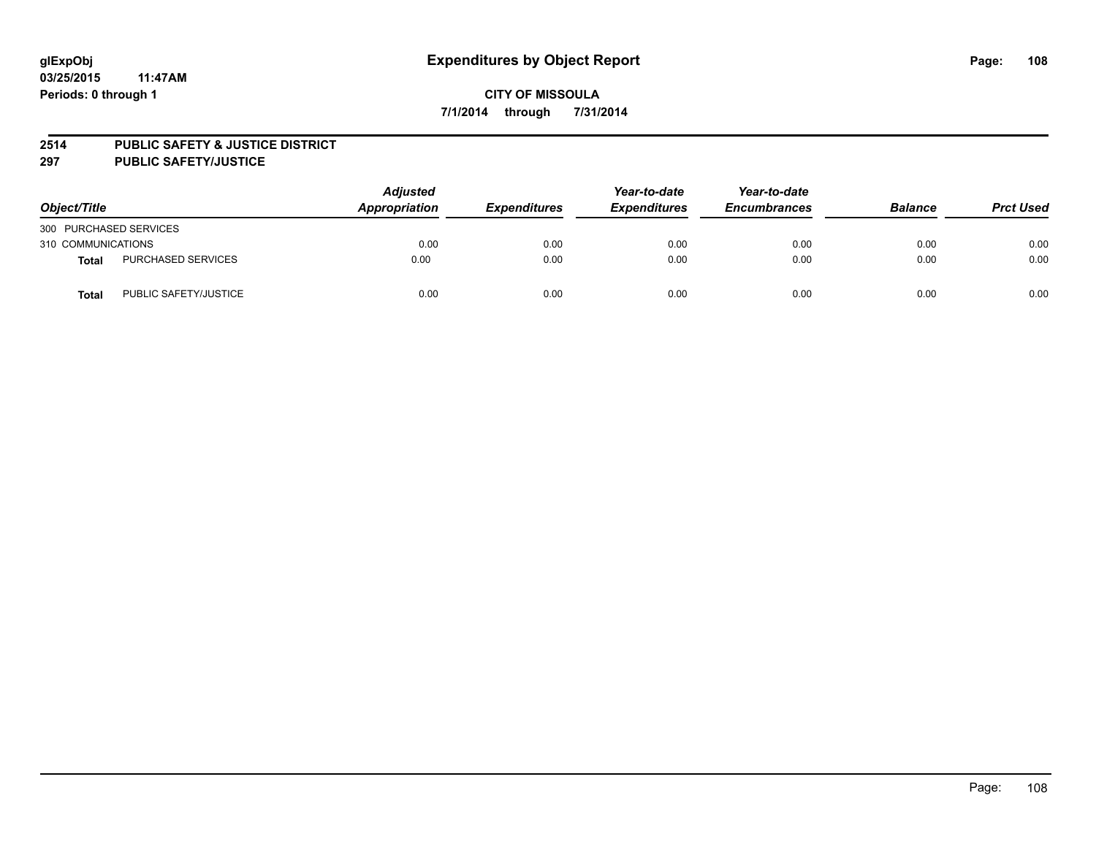#### **2514 PUBLIC SAFETY & JUSTICE DISTRICT**

**297 PUBLIC SAFETY/JUSTICE**

| Object/Title           |                       | <b>Adjusted</b><br>Appropriation | <b>Expenditures</b> | Year-to-date<br><b>Expenditures</b> | Year-to-date<br><b>Encumbrances</b> | <b>Balance</b> | <b>Prct Used</b> |
|------------------------|-----------------------|----------------------------------|---------------------|-------------------------------------|-------------------------------------|----------------|------------------|
| 300 PURCHASED SERVICES |                       |                                  |                     |                                     |                                     |                |                  |
| 310 COMMUNICATIONS     |                       | 0.00                             | 0.00                | 0.00                                | 0.00                                | 0.00           | 0.00             |
| <b>Total</b>           | PURCHASED SERVICES    | 0.00                             | 0.00                | 0.00                                | 0.00                                | 0.00           | 0.00             |
| Total                  | PUBLIC SAFETY/JUSTICE | 0.00                             | 0.00                | 0.00                                | 0.00                                | 0.00           | 0.00             |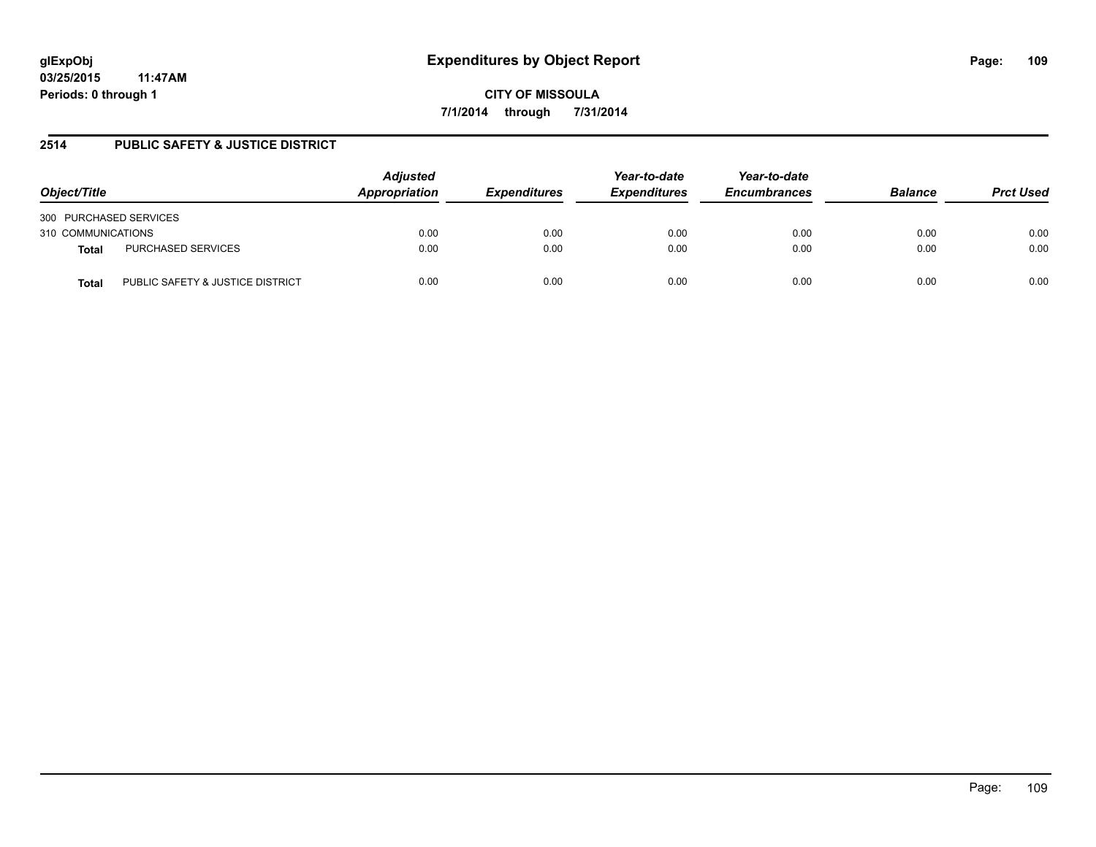**CITY OF MISSOULA 7/1/2014 through 7/31/2014**

## **2514 PUBLIC SAFETY & JUSTICE DISTRICT**

| Object/Title                              | <b>Adjusted</b><br>Appropriation | <b>Expenditures</b> | Year-to-date<br><b>Expenditures</b> | Year-to-date<br><b>Encumbrances</b> | <b>Balance</b> | <b>Prct Used</b> |
|-------------------------------------------|----------------------------------|---------------------|-------------------------------------|-------------------------------------|----------------|------------------|
| 300 PURCHASED SERVICES                    |                                  |                     |                                     |                                     |                |                  |
| 310 COMMUNICATIONS                        | 0.00                             | 0.00                | 0.00                                | 0.00                                | 0.00           | 0.00             |
| PURCHASED SERVICES<br>Total               | 0.00                             | 0.00                | 0.00                                | 0.00                                | 0.00           | 0.00             |
| PUBLIC SAFETY & JUSTICE DISTRICT<br>Total | 0.00                             | 0.00                | 0.00                                | 0.00                                | 0.00           | 0.00             |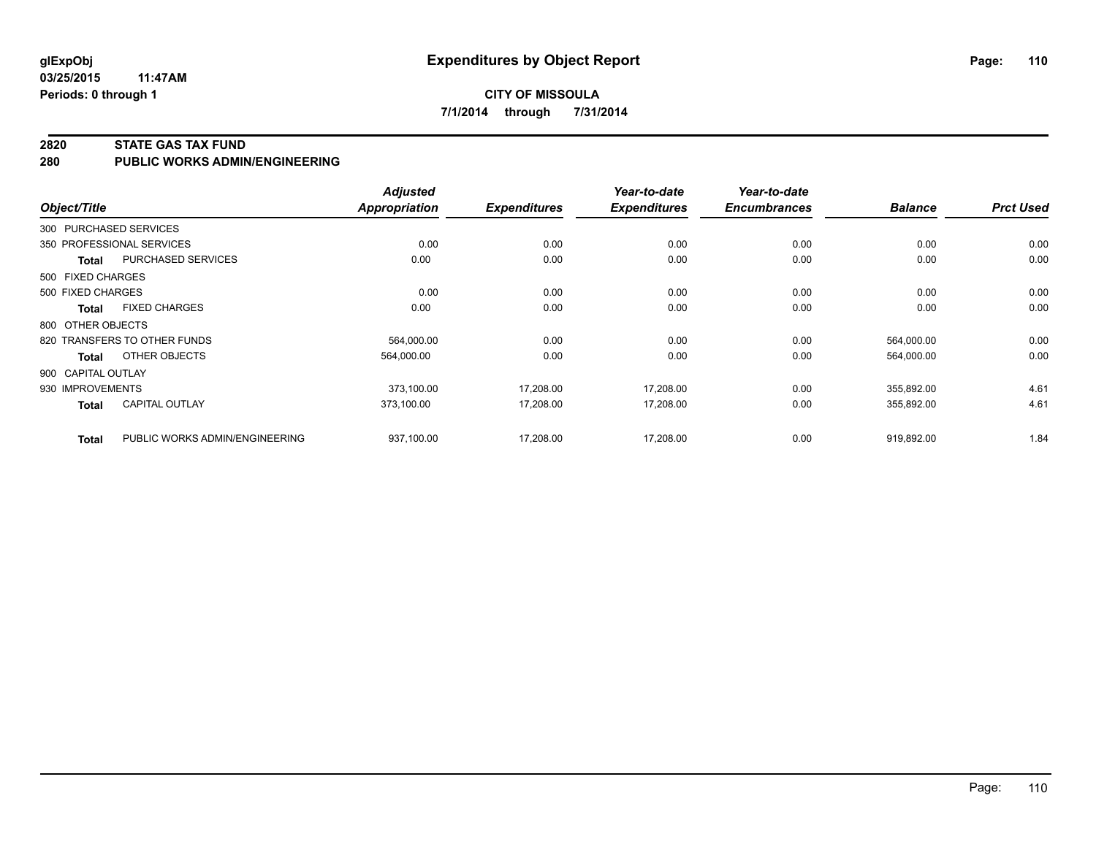#### **2820 STATE GAS TAX FUND**

**280 PUBLIC WORKS ADMIN/ENGINEERING**

| Object/Title       |                                | <b>Adjusted</b><br><b>Appropriation</b> | <b>Expenditures</b> | Year-to-date<br><b>Expenditures</b> | Year-to-date<br><b>Encumbrances</b> | <b>Balance</b> | <b>Prct Used</b> |
|--------------------|--------------------------------|-----------------------------------------|---------------------|-------------------------------------|-------------------------------------|----------------|------------------|
|                    | 300 PURCHASED SERVICES         |                                         |                     |                                     |                                     |                |                  |
|                    | 350 PROFESSIONAL SERVICES      | 0.00                                    | 0.00                | 0.00                                | 0.00                                | 0.00           | 0.00             |
| <b>Total</b>       | PURCHASED SERVICES             | 0.00                                    | 0.00                | 0.00                                | 0.00                                | 0.00           | 0.00             |
| 500 FIXED CHARGES  |                                |                                         |                     |                                     |                                     |                |                  |
| 500 FIXED CHARGES  |                                | 0.00                                    | 0.00                | 0.00                                | 0.00                                | 0.00           | 0.00             |
| Total              | <b>FIXED CHARGES</b>           | 0.00                                    | 0.00                | 0.00                                | 0.00                                | 0.00           | 0.00             |
| 800 OTHER OBJECTS  |                                |                                         |                     |                                     |                                     |                |                  |
|                    | 820 TRANSFERS TO OTHER FUNDS   | 564,000.00                              | 0.00                | 0.00                                | 0.00                                | 564,000.00     | 0.00             |
| Total              | OTHER OBJECTS                  | 564,000.00                              | 0.00                | 0.00                                | 0.00                                | 564,000.00     | 0.00             |
| 900 CAPITAL OUTLAY |                                |                                         |                     |                                     |                                     |                |                  |
| 930 IMPROVEMENTS   |                                | 373,100.00                              | 17,208.00           | 17,208.00                           | 0.00                                | 355,892.00     | 4.61             |
| <b>Total</b>       | <b>CAPITAL OUTLAY</b>          | 373,100.00                              | 17,208.00           | 17,208.00                           | 0.00                                | 355,892.00     | 4.61             |
| <b>Total</b>       | PUBLIC WORKS ADMIN/ENGINEERING | 937,100.00                              | 17,208.00           | 17,208.00                           | 0.00                                | 919,892.00     | 1.84             |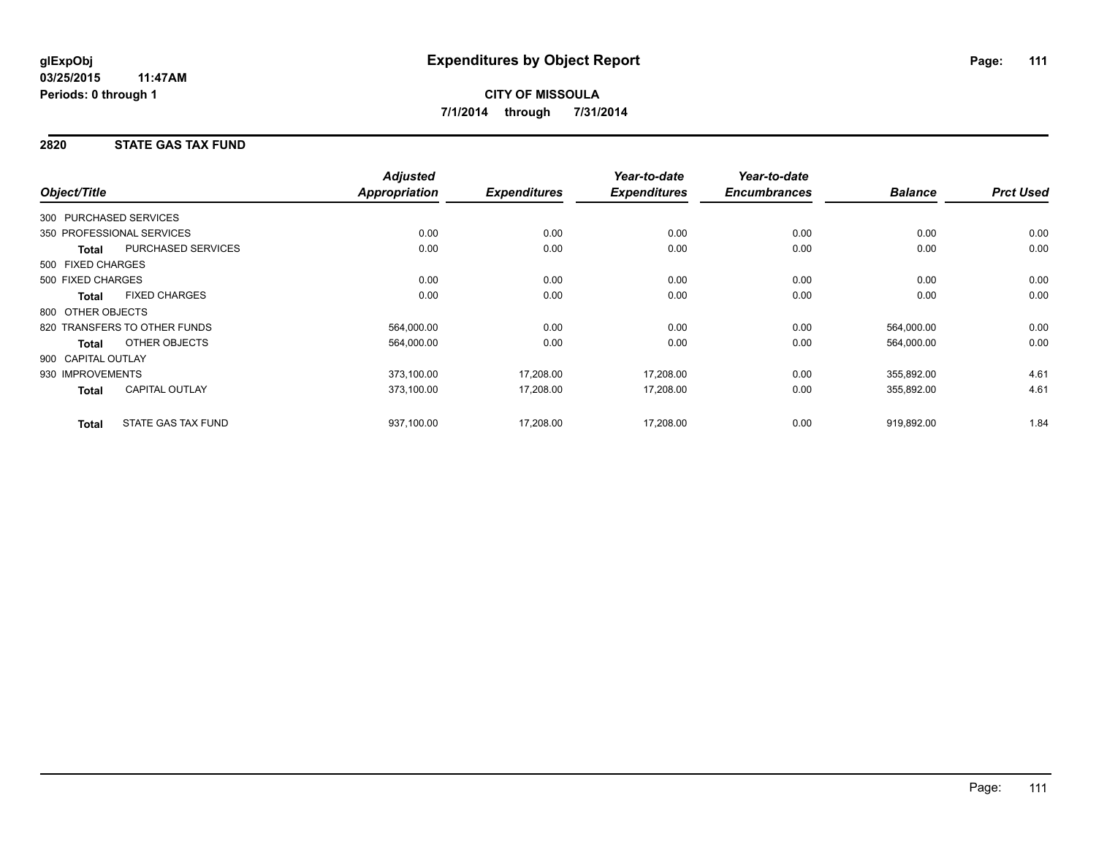## **2820 STATE GAS TAX FUND**

|                                       | <b>Adjusted</b>      |                     | Year-to-date        | Year-to-date        |                |                  |
|---------------------------------------|----------------------|---------------------|---------------------|---------------------|----------------|------------------|
| Object/Title                          | <b>Appropriation</b> | <b>Expenditures</b> | <b>Expenditures</b> | <b>Encumbrances</b> | <b>Balance</b> | <b>Prct Used</b> |
| 300 PURCHASED SERVICES                |                      |                     |                     |                     |                |                  |
| 350 PROFESSIONAL SERVICES             | 0.00                 | 0.00                | 0.00                | 0.00                | 0.00           | 0.00             |
| PURCHASED SERVICES<br><b>Total</b>    | 0.00                 | 0.00                | 0.00                | 0.00                | 0.00           | 0.00             |
| 500 FIXED CHARGES                     |                      |                     |                     |                     |                |                  |
| 500 FIXED CHARGES                     | 0.00                 | 0.00                | 0.00                | 0.00                | 0.00           | 0.00             |
| <b>FIXED CHARGES</b><br><b>Total</b>  | 0.00                 | 0.00                | 0.00                | 0.00                | 0.00           | 0.00             |
| 800 OTHER OBJECTS                     |                      |                     |                     |                     |                |                  |
| 820 TRANSFERS TO OTHER FUNDS          | 564,000.00           | 0.00                | 0.00                | 0.00                | 564,000.00     | 0.00             |
| OTHER OBJECTS<br><b>Total</b>         | 564,000.00           | 0.00                | 0.00                | 0.00                | 564,000.00     | 0.00             |
| 900 CAPITAL OUTLAY                    |                      |                     |                     |                     |                |                  |
| 930 IMPROVEMENTS                      | 373,100.00           | 17,208.00           | 17,208.00           | 0.00                | 355,892.00     | 4.61             |
| <b>CAPITAL OUTLAY</b><br><b>Total</b> | 373,100.00           | 17,208.00           | 17,208.00           | 0.00                | 355,892.00     | 4.61             |
| STATE GAS TAX FUND<br><b>Total</b>    | 937,100.00           | 17,208.00           | 17,208.00           | 0.00                | 919,892.00     | 1.84             |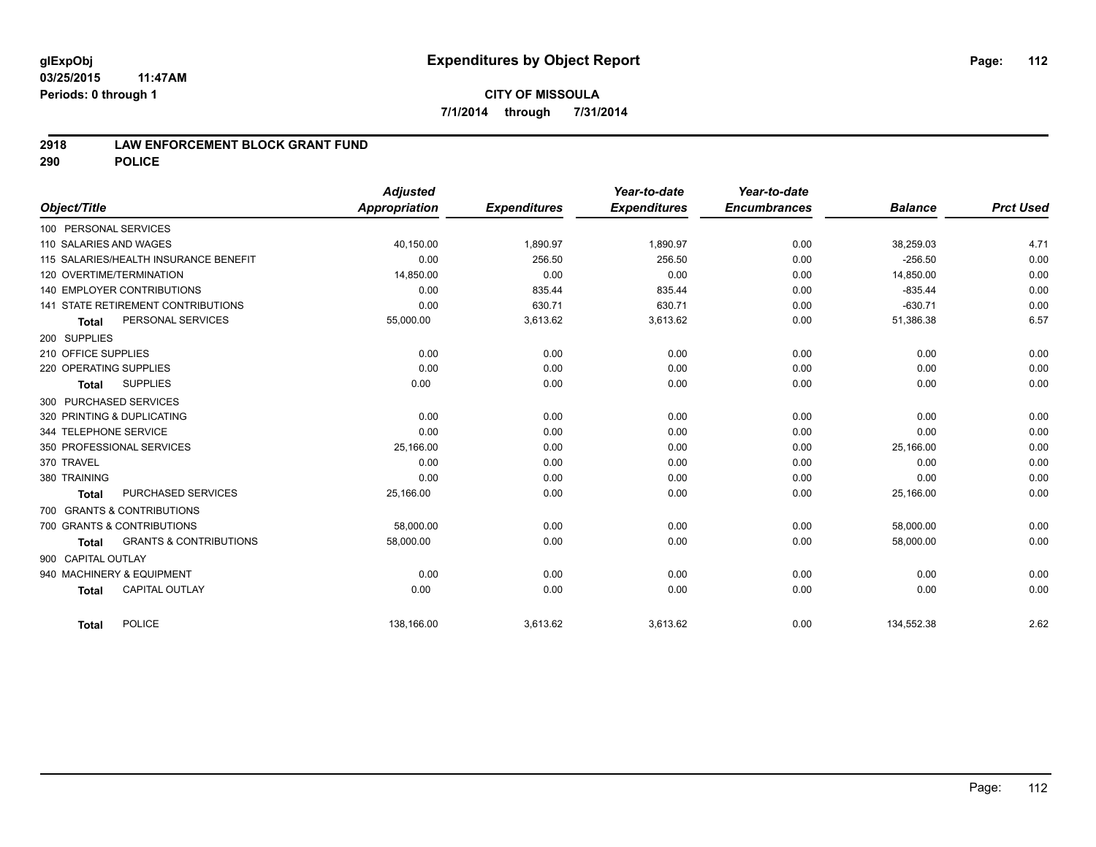### **2918 LAW ENFORCEMENT BLOCK GRANT FUND**

**290 POLICE**

|                                                   | <b>Adjusted</b> |                     | Year-to-date        | Year-to-date        |                |                  |
|---------------------------------------------------|-----------------|---------------------|---------------------|---------------------|----------------|------------------|
| Object/Title                                      | Appropriation   | <b>Expenditures</b> | <b>Expenditures</b> | <b>Encumbrances</b> | <b>Balance</b> | <b>Prct Used</b> |
| 100 PERSONAL SERVICES                             |                 |                     |                     |                     |                |                  |
| 110 SALARIES AND WAGES                            | 40,150.00       | 1,890.97            | 1,890.97            | 0.00                | 38,259.03      | 4.71             |
| 115 SALARIES/HEALTH INSURANCE BENEFIT             | 0.00            | 256.50              | 256.50              | 0.00                | $-256.50$      | 0.00             |
| 120 OVERTIME/TERMINATION                          | 14,850.00       | 0.00                | 0.00                | 0.00                | 14,850.00      | 0.00             |
| <b>140 EMPLOYER CONTRIBUTIONS</b>                 | 0.00            | 835.44              | 835.44              | 0.00                | $-835.44$      | 0.00             |
| <b>141 STATE RETIREMENT CONTRIBUTIONS</b>         | 0.00            | 630.71              | 630.71              | 0.00                | $-630.71$      | 0.00             |
| PERSONAL SERVICES<br><b>Total</b>                 | 55,000.00       | 3,613.62            | 3,613.62            | 0.00                | 51,386.38      | 6.57             |
| 200 SUPPLIES                                      |                 |                     |                     |                     |                |                  |
| 210 OFFICE SUPPLIES                               | 0.00            | 0.00                | 0.00                | 0.00                | 0.00           | 0.00             |
| 220 OPERATING SUPPLIES                            | 0.00            | 0.00                | 0.00                | 0.00                | 0.00           | 0.00             |
| <b>SUPPLIES</b><br><b>Total</b>                   | 0.00            | 0.00                | 0.00                | 0.00                | 0.00           | 0.00             |
| 300 PURCHASED SERVICES                            |                 |                     |                     |                     |                |                  |
| 320 PRINTING & DUPLICATING                        | 0.00            | 0.00                | 0.00                | 0.00                | 0.00           | 0.00             |
| 344 TELEPHONE SERVICE                             | 0.00            | 0.00                | 0.00                | 0.00                | 0.00           | 0.00             |
| 350 PROFESSIONAL SERVICES                         | 25,166.00       | 0.00                | 0.00                | 0.00                | 25,166.00      | 0.00             |
| 370 TRAVEL                                        | 0.00            | 0.00                | 0.00                | 0.00                | 0.00           | 0.00             |
| 380 TRAINING                                      | 0.00            | 0.00                | 0.00                | 0.00                | 0.00           | 0.00             |
| PURCHASED SERVICES<br><b>Total</b>                | 25,166.00       | 0.00                | 0.00                | 0.00                | 25,166.00      | 0.00             |
| 700 GRANTS & CONTRIBUTIONS                        |                 |                     |                     |                     |                |                  |
| 700 GRANTS & CONTRIBUTIONS                        | 58.000.00       | 0.00                | 0.00                | 0.00                | 58,000.00      | 0.00             |
| <b>GRANTS &amp; CONTRIBUTIONS</b><br><b>Total</b> | 58,000.00       | 0.00                | 0.00                | 0.00                | 58,000.00      | 0.00             |
| 900 CAPITAL OUTLAY                                |                 |                     |                     |                     |                |                  |
| 940 MACHINERY & EQUIPMENT                         | 0.00            | 0.00                | 0.00                | 0.00                | 0.00           | 0.00             |
| <b>CAPITAL OUTLAY</b><br><b>Total</b>             | 0.00            | 0.00                | 0.00                | 0.00                | 0.00           | 0.00             |
|                                                   |                 |                     |                     |                     |                |                  |
| POLICE<br><b>Total</b>                            | 138,166.00      | 3,613.62            | 3,613.62            | 0.00                | 134,552.38     | 2.62             |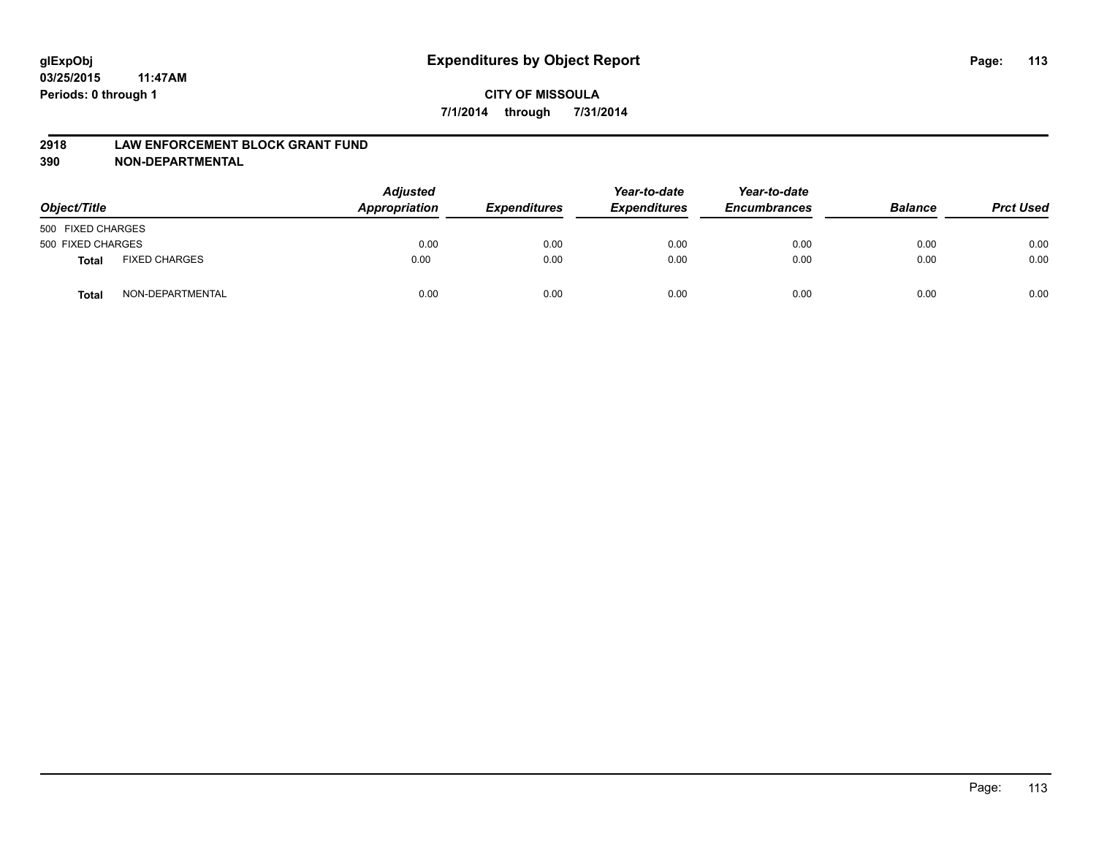### **2918 LAW ENFORCEMENT BLOCK GRANT FUND**

**390 NON-DEPARTMENTAL**

| Object/Title      |                      | <b>Adjusted</b><br>Appropriation | <b>Expenditures</b> | Year-to-date<br><b>Expenditures</b> | Year-to-date<br><b>Encumbrances</b> | <b>Balance</b> | <b>Prct Used</b> |
|-------------------|----------------------|----------------------------------|---------------------|-------------------------------------|-------------------------------------|----------------|------------------|
| 500 FIXED CHARGES |                      |                                  |                     |                                     |                                     |                |                  |
| 500 FIXED CHARGES |                      | 0.00                             | 0.00                | 0.00                                | 0.00                                | 0.00           | 0.00             |
| <b>Total</b>      | <b>FIXED CHARGES</b> | 0.00                             | 0.00                | 0.00                                | 0.00                                | 0.00           | 0.00             |
| Total             | NON-DEPARTMENTAL     | 0.00                             | 0.00                | 0.00                                | 0.00                                | 0.00           | 0.00             |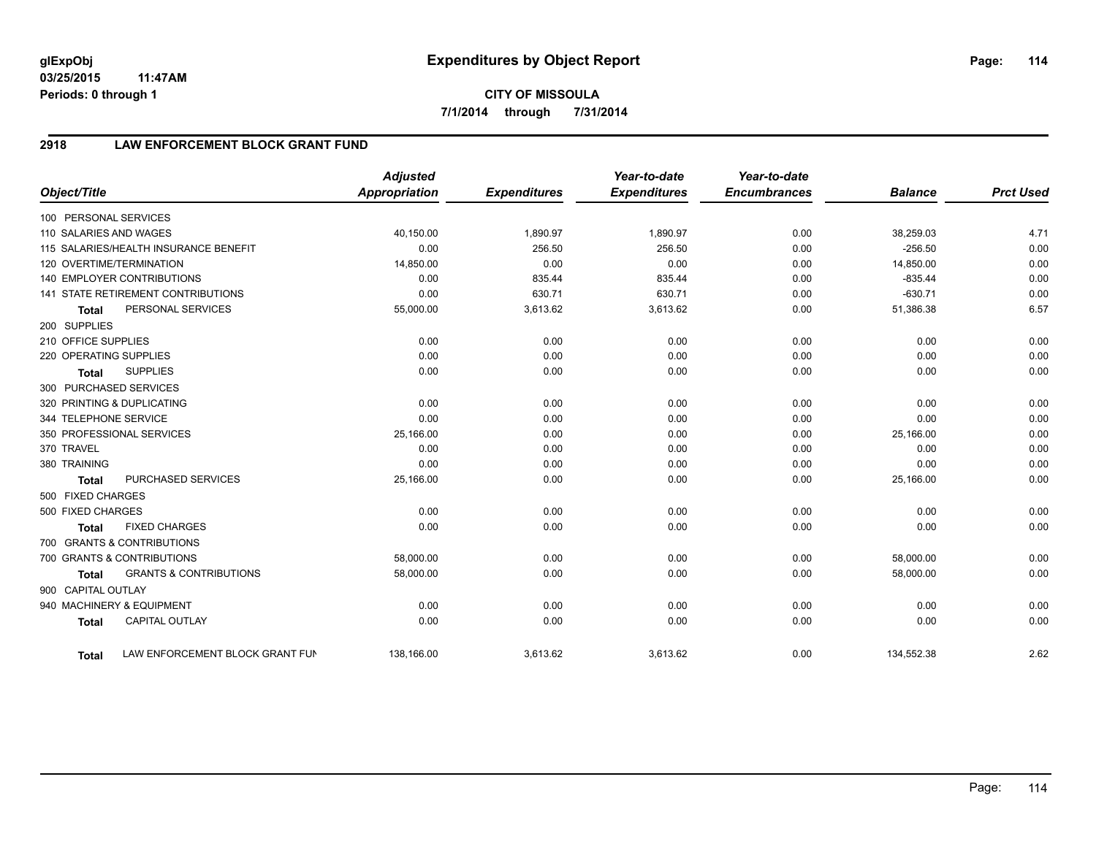# **CITY OF MISSOULA 7/1/2014 through 7/31/2014**

# **2918 LAW ENFORCEMENT BLOCK GRANT FUND**

| Object/Title           |                                           | <b>Adjusted</b><br><b>Appropriation</b> | <b>Expenditures</b> | Year-to-date<br><b>Expenditures</b> | Year-to-date<br><b>Encumbrances</b> | <b>Balance</b> | <b>Prct Used</b> |
|------------------------|-------------------------------------------|-----------------------------------------|---------------------|-------------------------------------|-------------------------------------|----------------|------------------|
| 100 PERSONAL SERVICES  |                                           |                                         |                     |                                     |                                     |                |                  |
| 110 SALARIES AND WAGES |                                           | 40,150.00                               | 1,890.97            | 1,890.97                            | 0.00                                | 38,259.03      | 4.71             |
|                        | 115 SALARIES/HEALTH INSURANCE BENEFIT     | 0.00                                    | 256.50              | 256.50                              | 0.00                                | $-256.50$      | 0.00             |
|                        | 120 OVERTIME/TERMINATION                  | 14,850.00                               | 0.00                | 0.00                                | 0.00                                | 14,850.00      | 0.00             |
|                        | <b>140 EMPLOYER CONTRIBUTIONS</b>         | 0.00                                    | 835.44              | 835.44                              | 0.00                                | $-835.44$      | 0.00             |
|                        | <b>141 STATE RETIREMENT CONTRIBUTIONS</b> | 0.00                                    | 630.71              | 630.71                              | 0.00                                | $-630.71$      | 0.00             |
| <b>Total</b>           | PERSONAL SERVICES                         | 55,000.00                               | 3,613.62            | 3,613.62                            | 0.00                                | 51,386.38      | 6.57             |
| 200 SUPPLIES           |                                           |                                         |                     |                                     |                                     |                |                  |
| 210 OFFICE SUPPLIES    |                                           | 0.00                                    | 0.00                | 0.00                                | 0.00                                | 0.00           | 0.00             |
| 220 OPERATING SUPPLIES |                                           | 0.00                                    | 0.00                | 0.00                                | 0.00                                | 0.00           | 0.00             |
| <b>Total</b>           | <b>SUPPLIES</b>                           | 0.00                                    | 0.00                | 0.00                                | 0.00                                | 0.00           | 0.00             |
| 300 PURCHASED SERVICES |                                           |                                         |                     |                                     |                                     |                |                  |
|                        | 320 PRINTING & DUPLICATING                | 0.00                                    | 0.00                | 0.00                                | 0.00                                | 0.00           | 0.00             |
| 344 TELEPHONE SERVICE  |                                           | 0.00                                    | 0.00                | 0.00                                | 0.00                                | 0.00           | 0.00             |
|                        | 350 PROFESSIONAL SERVICES                 | 25,166.00                               | 0.00                | 0.00                                | 0.00                                | 25,166.00      | 0.00             |
| 370 TRAVEL             |                                           | 0.00                                    | 0.00                | 0.00                                | 0.00                                | 0.00           | 0.00             |
| 380 TRAINING           |                                           | 0.00                                    | 0.00                | 0.00                                | 0.00                                | 0.00           | 0.00             |
| <b>Total</b>           | PURCHASED SERVICES                        | 25,166.00                               | 0.00                | 0.00                                | 0.00                                | 25,166.00      | 0.00             |
| 500 FIXED CHARGES      |                                           |                                         |                     |                                     |                                     |                |                  |
| 500 FIXED CHARGES      |                                           | 0.00                                    | 0.00                | 0.00                                | 0.00                                | 0.00           | 0.00             |
| <b>Total</b>           | <b>FIXED CHARGES</b>                      | 0.00                                    | 0.00                | 0.00                                | 0.00                                | 0.00           | 0.00             |
|                        | 700 GRANTS & CONTRIBUTIONS                |                                         |                     |                                     |                                     |                |                  |
|                        | 700 GRANTS & CONTRIBUTIONS                | 58,000.00                               | 0.00                | 0.00                                | 0.00                                | 58,000.00      | 0.00             |
| <b>Total</b>           | <b>GRANTS &amp; CONTRIBUTIONS</b>         | 58,000.00                               | 0.00                | 0.00                                | 0.00                                | 58,000.00      | 0.00             |
| 900 CAPITAL OUTLAY     |                                           |                                         |                     |                                     |                                     |                |                  |
|                        | 940 MACHINERY & EQUIPMENT                 | 0.00                                    | 0.00                | 0.00                                | 0.00                                | 0.00           | 0.00             |
| <b>Total</b>           | <b>CAPITAL OUTLAY</b>                     | 0.00                                    | 0.00                | 0.00                                | 0.00                                | 0.00           | 0.00             |
| Total                  | LAW ENFORCEMENT BLOCK GRANT FUN           | 138,166.00                              | 3,613.62            | 3,613.62                            | 0.00                                | 134,552.38     | 2.62             |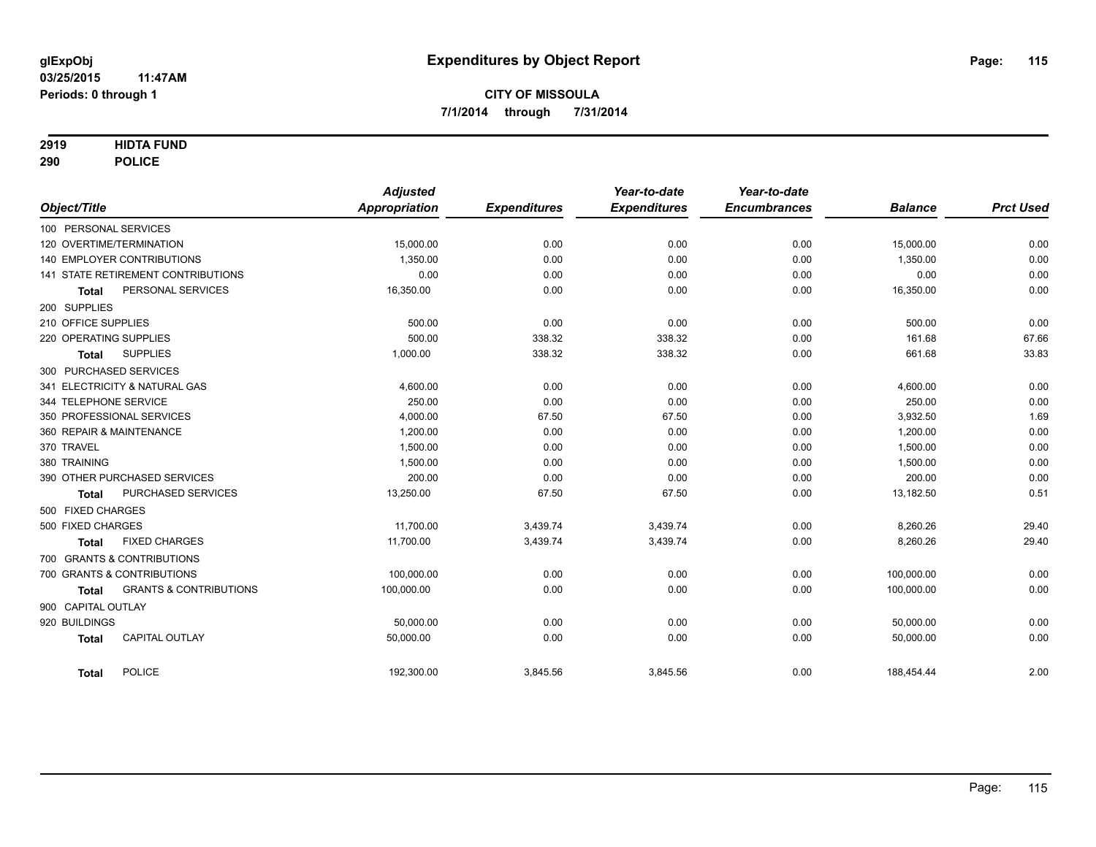### **2919 HIDTA FUND**

**290 POLICE**

| Object/Title           |                                    | <b>Adjusted</b><br>Appropriation | <b>Expenditures</b> | Year-to-date<br><b>Expenditures</b> | Year-to-date<br><b>Encumbrances</b> | <b>Balance</b> | <b>Prct Used</b> |
|------------------------|------------------------------------|----------------------------------|---------------------|-------------------------------------|-------------------------------------|----------------|------------------|
| 100 PERSONAL SERVICES  |                                    |                                  |                     |                                     |                                     |                |                  |
|                        | 120 OVERTIME/TERMINATION           | 15,000.00                        | 0.00                | 0.00                                | 0.00                                | 15,000.00      | 0.00             |
|                        | 140 EMPLOYER CONTRIBUTIONS         | 1,350.00                         | 0.00                | 0.00                                | 0.00                                | 1,350.00       | 0.00             |
|                        | 141 STATE RETIREMENT CONTRIBUTIONS | 0.00                             | 0.00                | 0.00                                | 0.00                                | 0.00           | 0.00             |
|                        | PERSONAL SERVICES                  | 16,350.00                        | 0.00                | 0.00                                | 0.00                                | 16,350.00      | 0.00             |
| <b>Total</b>           |                                    |                                  |                     |                                     |                                     |                |                  |
| 200 SUPPLIES           |                                    |                                  |                     |                                     |                                     |                |                  |
| 210 OFFICE SUPPLIES    |                                    | 500.00                           | 0.00                | 0.00                                | 0.00                                | 500.00         | 0.00             |
| 220 OPERATING SUPPLIES |                                    | 500.00                           | 338.32              | 338.32                              | 0.00                                | 161.68         | 67.66            |
| <b>Total</b>           | <b>SUPPLIES</b>                    | 1,000.00                         | 338.32              | 338.32                              | 0.00                                | 661.68         | 33.83            |
| 300 PURCHASED SERVICES |                                    |                                  |                     |                                     |                                     |                |                  |
|                        | 341 ELECTRICITY & NATURAL GAS      | 4,600.00                         | 0.00                | 0.00                                | 0.00                                | 4,600.00       | 0.00             |
| 344 TELEPHONE SERVICE  |                                    | 250.00                           | 0.00                | 0.00                                | 0.00                                | 250.00         | 0.00             |
|                        | 350 PROFESSIONAL SERVICES          | 4,000.00                         | 67.50               | 67.50                               | 0.00                                | 3,932.50       | 1.69             |
|                        | 360 REPAIR & MAINTENANCE           | 1,200.00                         | 0.00                | 0.00                                | 0.00                                | 1,200.00       | 0.00             |
| 370 TRAVEL             |                                    | 1.500.00                         | 0.00                | 0.00                                | 0.00                                | 1,500.00       | 0.00             |
| 380 TRAINING           |                                    | 1,500.00                         | 0.00                | 0.00                                | 0.00                                | 1,500.00       | 0.00             |
|                        | 390 OTHER PURCHASED SERVICES       | 200.00                           | 0.00                | 0.00                                | 0.00                                | 200.00         | 0.00             |
| <b>Total</b>           | PURCHASED SERVICES                 | 13,250.00                        | 67.50               | 67.50                               | 0.00                                | 13,182.50      | 0.51             |
| 500 FIXED CHARGES      |                                    |                                  |                     |                                     |                                     |                |                  |
| 500 FIXED CHARGES      |                                    | 11,700.00                        | 3,439.74            | 3,439.74                            | 0.00                                | 8,260.26       | 29.40            |
| <b>Total</b>           | <b>FIXED CHARGES</b>               | 11,700.00                        | 3,439.74            | 3,439.74                            | 0.00                                | 8,260.26       | 29.40            |
|                        | 700 GRANTS & CONTRIBUTIONS         |                                  |                     |                                     |                                     |                |                  |
|                        | 700 GRANTS & CONTRIBUTIONS         | 100.000.00                       | 0.00                | 0.00                                | 0.00                                | 100,000.00     | 0.00             |
| <b>Total</b>           | <b>GRANTS &amp; CONTRIBUTIONS</b>  | 100,000.00                       | 0.00                | 0.00                                | 0.00                                | 100,000.00     | 0.00             |
| 900 CAPITAL OUTLAY     |                                    |                                  |                     |                                     |                                     |                |                  |
| 920 BUILDINGS          |                                    | 50,000.00                        | 0.00                | 0.00                                | 0.00                                | 50,000.00      | 0.00             |
| <b>Total</b>           | <b>CAPITAL OUTLAY</b>              | 50,000.00                        | 0.00                | 0.00                                | 0.00                                | 50,000.00      | 0.00             |
|                        |                                    |                                  |                     |                                     |                                     |                |                  |
| <b>Total</b>           | <b>POLICE</b>                      | 192,300.00                       | 3,845.56            | 3,845.56                            | 0.00                                | 188,454.44     | 2.00             |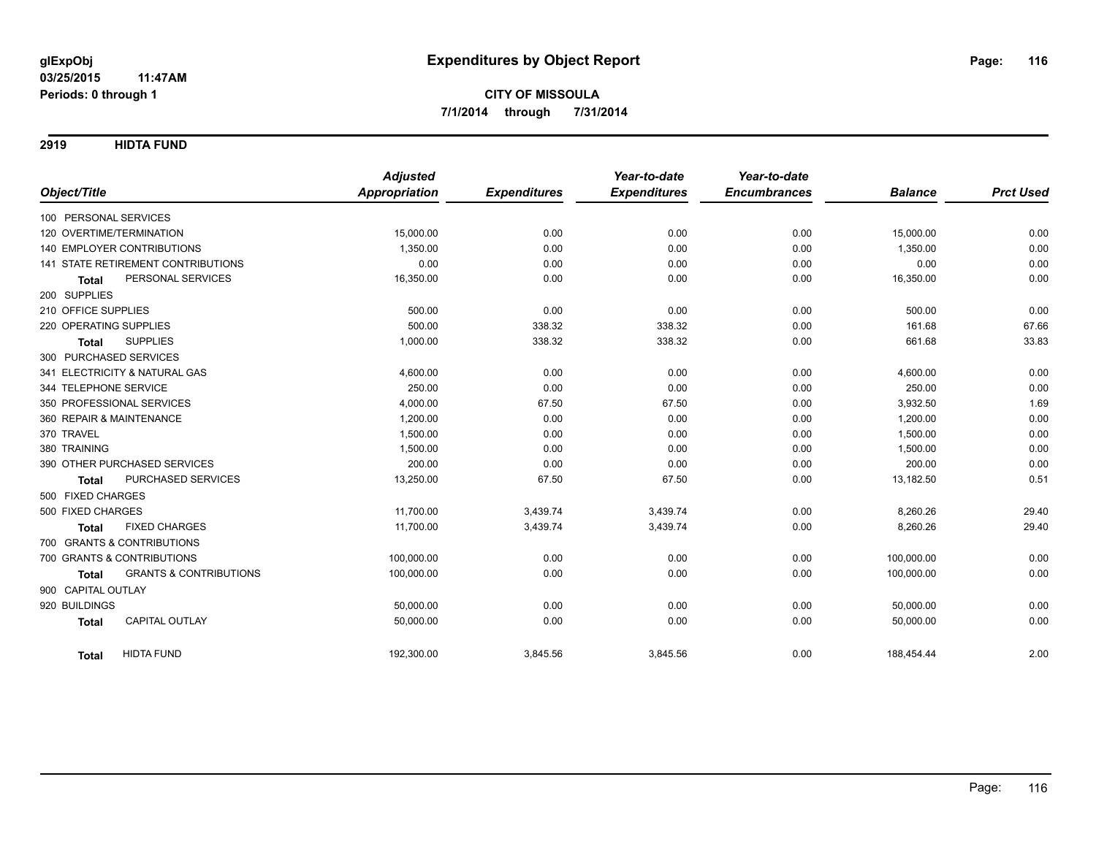**2919 HIDTA FUND**

| Object/Title                                      | <b>Adjusted</b><br><b>Appropriation</b> | <b>Expenditures</b> | Year-to-date<br><b>Expenditures</b> | Year-to-date<br><b>Encumbrances</b> | <b>Balance</b> | <b>Prct Used</b> |
|---------------------------------------------------|-----------------------------------------|---------------------|-------------------------------------|-------------------------------------|----------------|------------------|
| 100 PERSONAL SERVICES                             |                                         |                     |                                     |                                     |                |                  |
| 120 OVERTIME/TERMINATION                          | 15,000.00                               | 0.00                | 0.00                                | 0.00                                | 15,000.00      | 0.00             |
| <b>140 EMPLOYER CONTRIBUTIONS</b>                 | 1,350.00                                | 0.00                | 0.00                                | 0.00                                | 1,350.00       | 0.00             |
| <b>141 STATE RETIREMENT CONTRIBUTIONS</b>         | 0.00                                    | 0.00                | 0.00                                | 0.00                                | 0.00           | 0.00             |
| PERSONAL SERVICES                                 | 16,350.00                               | 0.00                | 0.00                                |                                     |                | 0.00             |
| <b>Total</b>                                      |                                         |                     |                                     | 0.00                                | 16,350.00      |                  |
| 200 SUPPLIES                                      |                                         |                     |                                     |                                     |                |                  |
| 210 OFFICE SUPPLIES                               | 500.00                                  | 0.00                | 0.00                                | 0.00                                | 500.00         | 0.00             |
| 220 OPERATING SUPPLIES                            | 500.00                                  | 338.32              | 338.32                              | 0.00                                | 161.68         | 67.66            |
| <b>SUPPLIES</b><br><b>Total</b>                   | 1,000.00                                | 338.32              | 338.32                              | 0.00                                | 661.68         | 33.83            |
| 300 PURCHASED SERVICES                            |                                         |                     |                                     |                                     |                |                  |
| 341 ELECTRICITY & NATURAL GAS                     | 4,600.00                                | 0.00                | 0.00                                | 0.00                                | 4,600.00       | 0.00             |
| 344 TELEPHONE SERVICE                             | 250.00                                  | 0.00                | 0.00                                | 0.00                                | 250.00         | 0.00             |
| 350 PROFESSIONAL SERVICES                         | 4,000.00                                | 67.50               | 67.50                               | 0.00                                | 3,932.50       | 1.69             |
| 360 REPAIR & MAINTENANCE                          | 1,200.00                                | 0.00                | 0.00                                | 0.00                                | 1,200.00       | 0.00             |
| 370 TRAVEL                                        | 1.500.00                                | 0.00                | 0.00                                | 0.00                                | 1,500.00       | 0.00             |
| 380 TRAINING                                      | 1,500.00                                | 0.00                | 0.00                                | 0.00                                | 1,500.00       | 0.00             |
| 390 OTHER PURCHASED SERVICES                      | 200.00                                  | 0.00                | 0.00                                | 0.00                                | 200.00         | 0.00             |
| PURCHASED SERVICES<br><b>Total</b>                | 13,250.00                               | 67.50               | 67.50                               | 0.00                                | 13,182.50      | 0.51             |
| 500 FIXED CHARGES                                 |                                         |                     |                                     |                                     |                |                  |
| 500 FIXED CHARGES                                 | 11,700.00                               | 3,439.74            | 3,439.74                            | 0.00                                | 8,260.26       | 29.40            |
| <b>FIXED CHARGES</b><br><b>Total</b>              | 11.700.00                               | 3,439.74            | 3,439.74                            | 0.00                                | 8,260.26       | 29.40            |
| 700 GRANTS & CONTRIBUTIONS                        |                                         |                     |                                     |                                     |                |                  |
| 700 GRANTS & CONTRIBUTIONS                        | 100,000.00                              | 0.00                | 0.00                                | 0.00                                | 100,000.00     | 0.00             |
| <b>GRANTS &amp; CONTRIBUTIONS</b><br><b>Total</b> | 100,000.00                              | 0.00                | 0.00                                | 0.00                                | 100,000.00     | 0.00             |
| 900 CAPITAL OUTLAY                                |                                         |                     |                                     |                                     |                |                  |
| 920 BUILDINGS                                     | 50,000.00                               | 0.00                | 0.00                                | 0.00                                | 50,000.00      | 0.00             |
| <b>CAPITAL OUTLAY</b><br><b>Total</b>             | 50,000.00                               | 0.00                | 0.00                                | 0.00                                | 50,000.00      | 0.00             |
| <b>HIDTA FUND</b><br>Total                        | 192,300.00                              | 3,845.56            | 3,845.56                            | 0.00                                | 188,454.44     | 2.00             |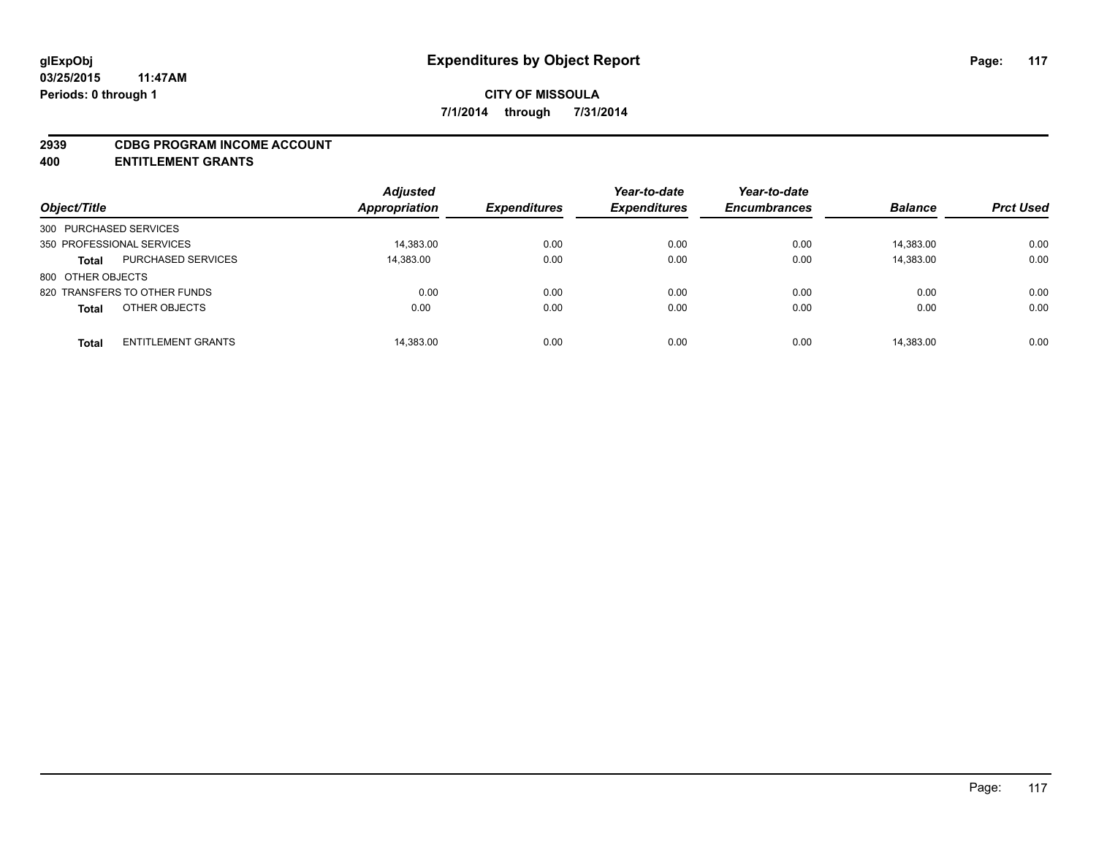#### **2939 CDBG PROGRAM INCOME ACCOUNT**

**400 ENTITLEMENT GRANTS**

| Object/Title                              | <b>Adjusted</b><br><b>Appropriation</b> | <b>Expenditures</b> | Year-to-date<br><b>Expenditures</b> | Year-to-date<br><b>Encumbrances</b> | <b>Balance</b> | <b>Prct Used</b> |
|-------------------------------------------|-----------------------------------------|---------------------|-------------------------------------|-------------------------------------|----------------|------------------|
| 300 PURCHASED SERVICES                    |                                         |                     |                                     |                                     |                |                  |
| 350 PROFESSIONAL SERVICES                 | 14,383.00                               | 0.00                | 0.00                                | 0.00                                | 14,383.00      | 0.00             |
| <b>PURCHASED SERVICES</b><br><b>Total</b> | 14,383.00                               | 0.00                | 0.00                                | 0.00                                | 14,383.00      | 0.00             |
| 800 OTHER OBJECTS                         |                                         |                     |                                     |                                     |                |                  |
| 820 TRANSFERS TO OTHER FUNDS              | 0.00                                    | 0.00                | 0.00                                | 0.00                                | 0.00           | 0.00             |
| OTHER OBJECTS<br><b>Total</b>             | 0.00                                    | 0.00                | 0.00                                | 0.00                                | 0.00           | 0.00             |
| <b>ENTITLEMENT GRANTS</b><br><b>Total</b> | 14,383.00                               | 0.00                | 0.00                                | 0.00                                | 14,383.00      | 0.00             |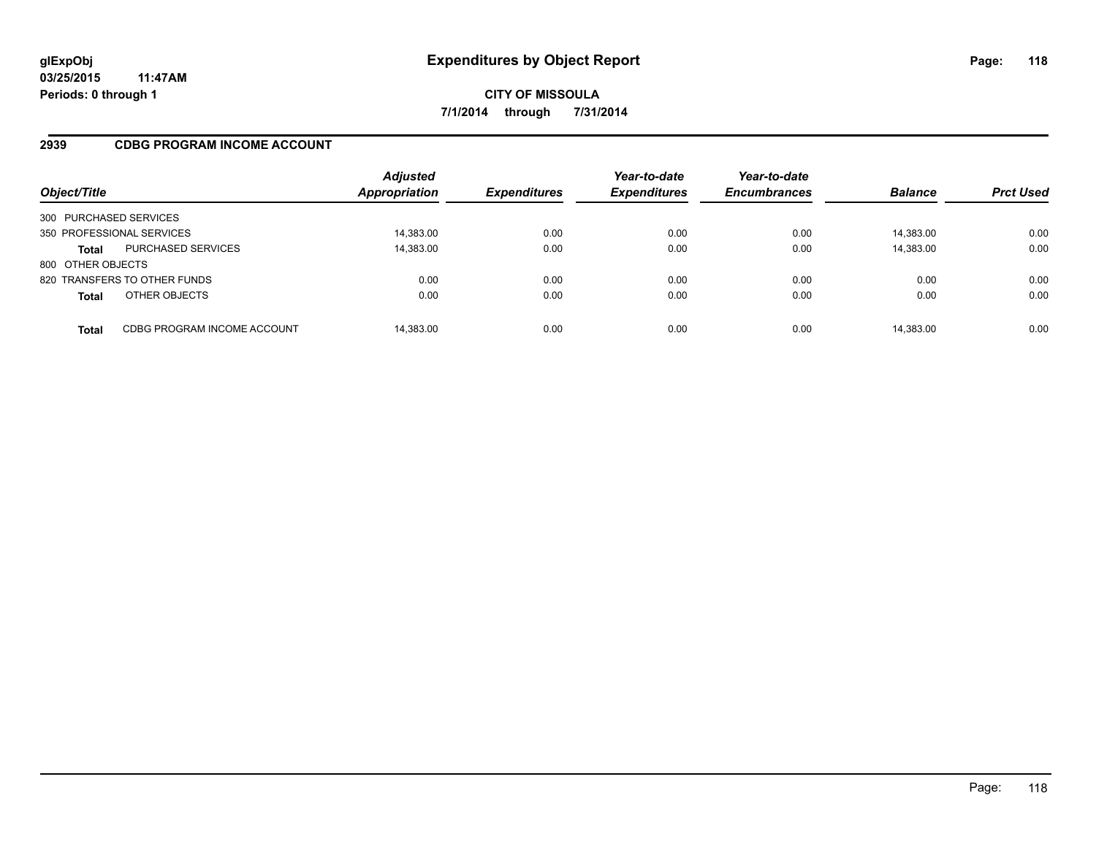## **2939 CDBG PROGRAM INCOME ACCOUNT**

| Object/Title              |                              | <b>Adjusted</b><br><b>Appropriation</b> | <b>Expenditures</b> | Year-to-date<br><b>Expenditures</b> | Year-to-date<br><b>Encumbrances</b> | <b>Balance</b> | <b>Prct Used</b> |
|---------------------------|------------------------------|-----------------------------------------|---------------------|-------------------------------------|-------------------------------------|----------------|------------------|
| 300 PURCHASED SERVICES    |                              |                                         |                     |                                     |                                     |                |                  |
| 350 PROFESSIONAL SERVICES |                              | 14,383.00                               | 0.00                | 0.00                                | 0.00                                | 14,383.00      | 0.00             |
| <b>Total</b>              | <b>PURCHASED SERVICES</b>    | 14,383.00                               | 0.00                | 0.00                                | 0.00                                | 14,383.00      | 0.00             |
| 800 OTHER OBJECTS         |                              |                                         |                     |                                     |                                     |                |                  |
|                           | 820 TRANSFERS TO OTHER FUNDS | 0.00                                    | 0.00                | 0.00                                | 0.00                                | 0.00           | 0.00             |
| <b>Total</b>              | OTHER OBJECTS                | 0.00                                    | 0.00                | 0.00                                | 0.00                                | 0.00           | 0.00             |
| <b>Total</b>              | CDBG PROGRAM INCOME ACCOUNT  | 14,383.00                               | 0.00                | 0.00                                | 0.00                                | 14,383.00      | 0.00             |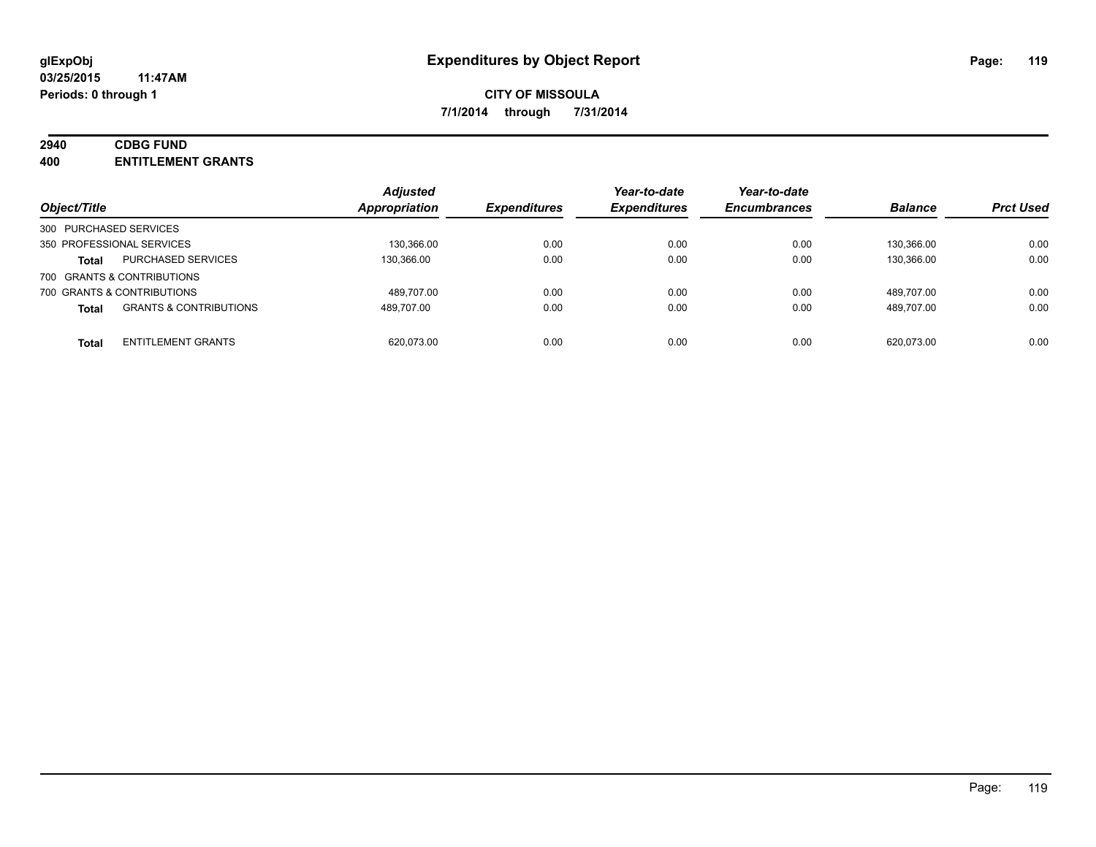# **2940 CDBG FUND**

**400 ENTITLEMENT GRANTS**

| Object/Title                                      | <b>Adjusted</b><br><b>Appropriation</b> | <b>Expenditures</b> | Year-to-date<br><b>Expenditures</b> | Year-to-date<br><b>Encumbrances</b> | <b>Balance</b> | <b>Prct Used</b> |
|---------------------------------------------------|-----------------------------------------|---------------------|-------------------------------------|-------------------------------------|----------------|------------------|
| 300 PURCHASED SERVICES                            |                                         |                     |                                     |                                     |                |                  |
| 350 PROFESSIONAL SERVICES                         | 130.366.00                              | 0.00                | 0.00                                | 0.00                                | 130.366.00     | 0.00             |
| <b>PURCHASED SERVICES</b><br><b>Total</b>         | 130.366.00                              | 0.00                | 0.00                                | 0.00                                | 130.366.00     | 0.00             |
| 700 GRANTS & CONTRIBUTIONS                        |                                         |                     |                                     |                                     |                |                  |
| 700 GRANTS & CONTRIBUTIONS                        | 489.707.00                              | 0.00                | 0.00                                | 0.00                                | 489.707.00     | 0.00             |
| <b>GRANTS &amp; CONTRIBUTIONS</b><br><b>Total</b> | 489.707.00                              | 0.00                | 0.00                                | 0.00                                | 489.707.00     | 0.00             |
| <b>ENTITLEMENT GRANTS</b><br><b>Total</b>         | 620.073.00                              | 0.00                | 0.00                                | 0.00                                | 620.073.00     | 0.00             |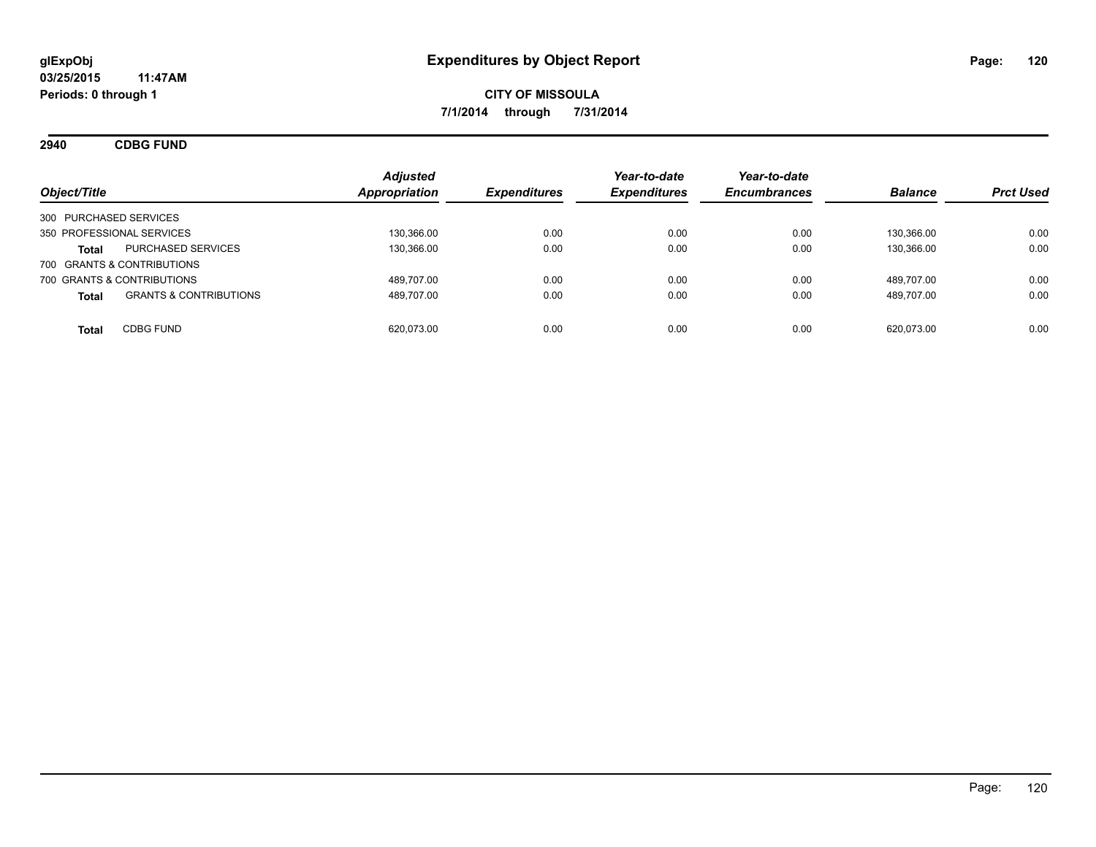**2940 CDBG FUND**

| Object/Title                                      | <b>Adjusted</b><br>Appropriation | <b>Expenditures</b> | Year-to-date<br><b>Expenditures</b> | Year-to-date<br><b>Encumbrances</b> | <b>Balance</b> | <b>Prct Used</b> |
|---------------------------------------------------|----------------------------------|---------------------|-------------------------------------|-------------------------------------|----------------|------------------|
| 300 PURCHASED SERVICES                            |                                  |                     |                                     |                                     |                |                  |
| 350 PROFESSIONAL SERVICES                         | 130.366.00                       | 0.00                | 0.00                                | 0.00                                | 130.366.00     | 0.00             |
| PURCHASED SERVICES<br><b>Total</b>                | 130.366.00                       | 0.00                | 0.00                                | 0.00                                | 130.366.00     | 0.00             |
| 700 GRANTS & CONTRIBUTIONS                        |                                  |                     |                                     |                                     |                |                  |
| 700 GRANTS & CONTRIBUTIONS                        | 489.707.00                       | 0.00                | 0.00                                | 0.00                                | 489.707.00     | 0.00             |
| <b>GRANTS &amp; CONTRIBUTIONS</b><br><b>Total</b> | 489,707.00                       | 0.00                | 0.00                                | 0.00                                | 489.707.00     | 0.00             |
| <b>CDBG FUND</b><br><b>Total</b>                  | 620.073.00                       | 0.00                | 0.00                                | 0.00                                | 620.073.00     | 0.00             |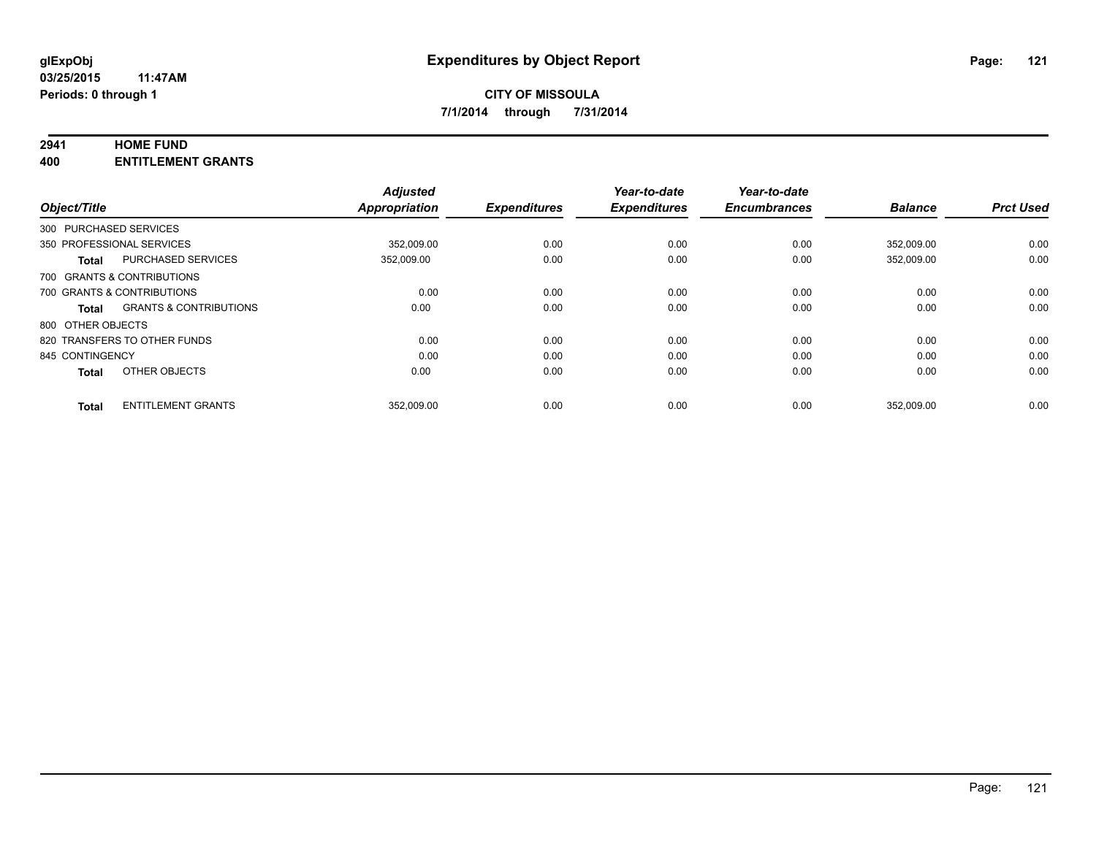### **2941 HOME FUND**

**400 ENTITLEMENT GRANTS**

| Object/Title           |                                   | <b>Adjusted</b><br><b>Appropriation</b> | <b>Expenditures</b> | Year-to-date<br><b>Expenditures</b> | Year-to-date<br><b>Encumbrances</b> | <b>Balance</b> | <b>Prct Used</b> |
|------------------------|-----------------------------------|-----------------------------------------|---------------------|-------------------------------------|-------------------------------------|----------------|------------------|
| 300 PURCHASED SERVICES |                                   |                                         |                     |                                     |                                     |                |                  |
|                        | 350 PROFESSIONAL SERVICES         | 352.009.00                              | 0.00                | 0.00                                | 0.00                                | 352.009.00     | 0.00             |
| <b>Total</b>           | <b>PURCHASED SERVICES</b>         | 352,009.00                              | 0.00                | 0.00                                | 0.00                                | 352.009.00     | 0.00             |
|                        | 700 GRANTS & CONTRIBUTIONS        |                                         |                     |                                     |                                     |                |                  |
|                        | 700 GRANTS & CONTRIBUTIONS        | 0.00                                    | 0.00                | 0.00                                | 0.00                                | 0.00           | 0.00             |
| <b>Total</b>           | <b>GRANTS &amp; CONTRIBUTIONS</b> | 0.00                                    | 0.00                | 0.00                                | 0.00                                | 0.00           | 0.00             |
| 800 OTHER OBJECTS      |                                   |                                         |                     |                                     |                                     |                |                  |
|                        | 820 TRANSFERS TO OTHER FUNDS      | 0.00                                    | 0.00                | 0.00                                | 0.00                                | 0.00           | 0.00             |
| 845 CONTINGENCY        |                                   | 0.00                                    | 0.00                | 0.00                                | 0.00                                | 0.00           | 0.00             |
| <b>Total</b>           | OTHER OBJECTS                     | 0.00                                    | 0.00                | 0.00                                | 0.00                                | 0.00           | 0.00             |
| <b>Total</b>           | <b>ENTITLEMENT GRANTS</b>         | 352,009.00                              | 0.00                | 0.00                                | 0.00                                | 352,009.00     | 0.00             |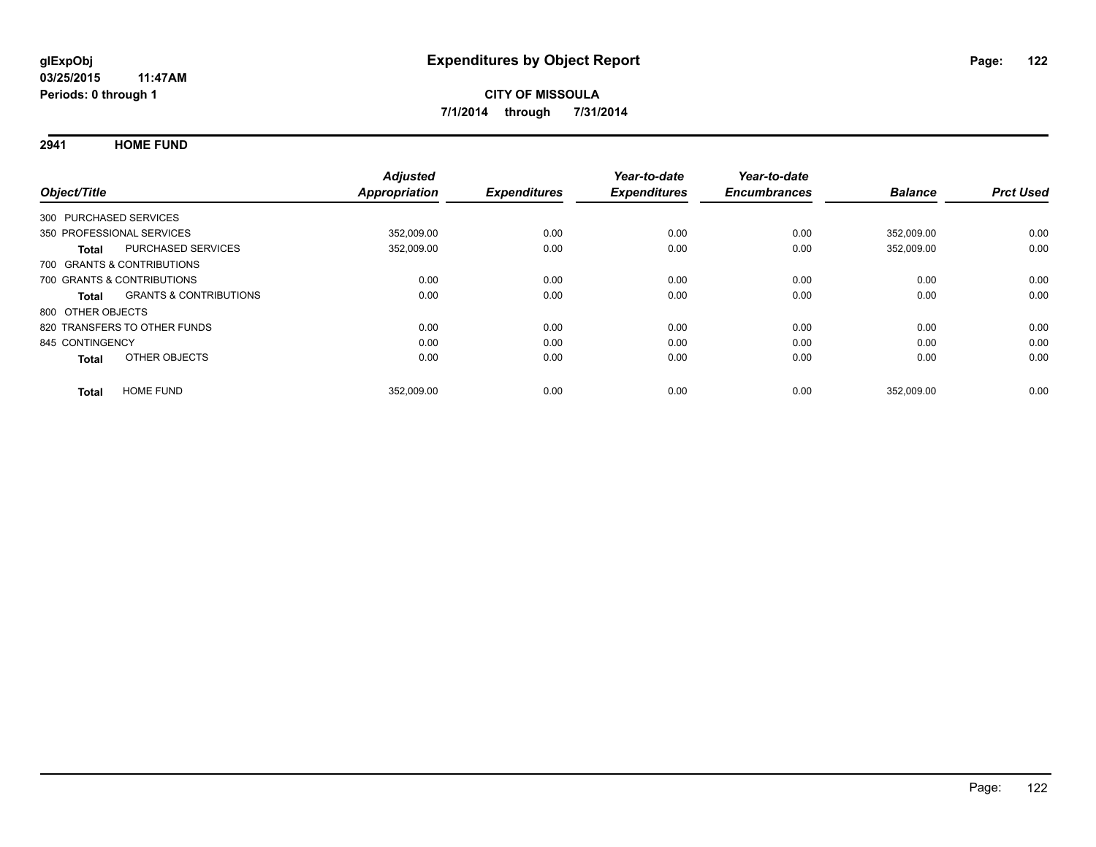**2941 HOME FUND**

| Object/Title           |                                   | <b>Adjusted</b><br>Appropriation | <b>Expenditures</b> | Year-to-date<br><b>Expenditures</b> | Year-to-date<br><b>Encumbrances</b> | <b>Balance</b> | <b>Prct Used</b> |
|------------------------|-----------------------------------|----------------------------------|---------------------|-------------------------------------|-------------------------------------|----------------|------------------|
| 300 PURCHASED SERVICES |                                   |                                  |                     |                                     |                                     |                |                  |
|                        | 350 PROFESSIONAL SERVICES         | 352,009.00                       | 0.00                | 0.00                                | 0.00                                | 352,009.00     | 0.00             |
| <b>Total</b>           | PURCHASED SERVICES                | 352,009.00                       | 0.00                | 0.00                                | 0.00                                | 352,009.00     | 0.00             |
|                        | 700 GRANTS & CONTRIBUTIONS        |                                  |                     |                                     |                                     |                |                  |
|                        | 700 GRANTS & CONTRIBUTIONS        | 0.00                             | 0.00                | 0.00                                | 0.00                                | 0.00           | 0.00             |
| Total                  | <b>GRANTS &amp; CONTRIBUTIONS</b> | 0.00                             | 0.00                | 0.00                                | 0.00                                | 0.00           | 0.00             |
| 800 OTHER OBJECTS      |                                   |                                  |                     |                                     |                                     |                |                  |
|                        | 820 TRANSFERS TO OTHER FUNDS      | 0.00                             | 0.00                | 0.00                                | 0.00                                | 0.00           | 0.00             |
| 845 CONTINGENCY        |                                   | 0.00                             | 0.00                | 0.00                                | 0.00                                | 0.00           | 0.00             |
| <b>Total</b>           | OTHER OBJECTS                     | 0.00                             | 0.00                | 0.00                                | 0.00                                | 0.00           | 0.00             |
| <b>Total</b>           | <b>HOME FUND</b>                  | 352,009.00                       | 0.00                | 0.00                                | 0.00                                | 352,009.00     | 0.00             |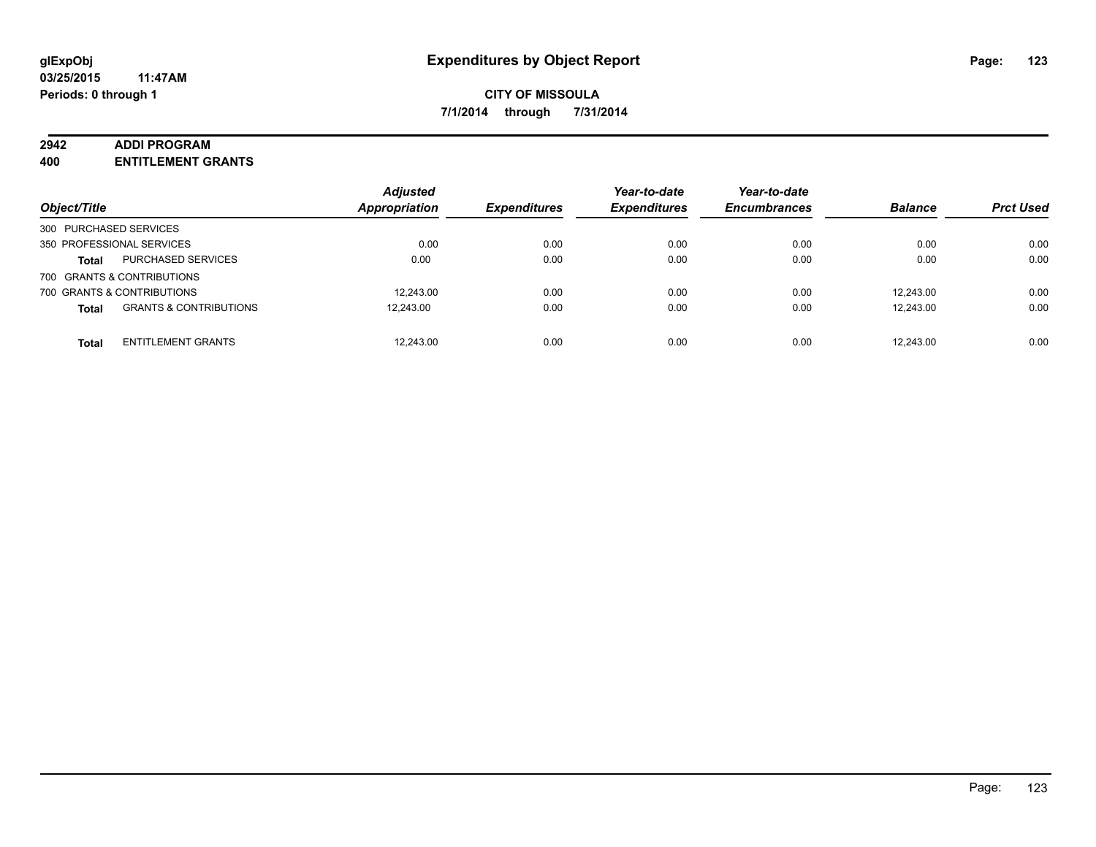#### **2942 ADDI PROGRAM**

**400 ENTITLEMENT GRANTS**

| Object/Title                                      | <b>Adjusted</b><br><b>Appropriation</b> | <b>Expenditures</b> | Year-to-date<br><b>Expenditures</b> | Year-to-date<br><b>Encumbrances</b> | <b>Balance</b> | <b>Prct Used</b> |
|---------------------------------------------------|-----------------------------------------|---------------------|-------------------------------------|-------------------------------------|----------------|------------------|
| 300 PURCHASED SERVICES                            |                                         |                     |                                     |                                     |                |                  |
| 350 PROFESSIONAL SERVICES                         | 0.00                                    | 0.00                | 0.00                                | 0.00                                | 0.00           | 0.00             |
| PURCHASED SERVICES<br><b>Total</b>                | 0.00                                    | 0.00                | 0.00                                | 0.00                                | 0.00           | 0.00             |
| 700 GRANTS & CONTRIBUTIONS                        |                                         |                     |                                     |                                     |                |                  |
| 700 GRANTS & CONTRIBUTIONS                        | 12.243.00                               | 0.00                | 0.00                                | 0.00                                | 12.243.00      | 0.00             |
| <b>GRANTS &amp; CONTRIBUTIONS</b><br><b>Total</b> | 12.243.00                               | 0.00                | 0.00                                | 0.00                                | 12.243.00      | 0.00             |
| <b>ENTITLEMENT GRANTS</b><br><b>Total</b>         | 12.243.00                               | 0.00                | 0.00                                | 0.00                                | 12.243.00      | 0.00             |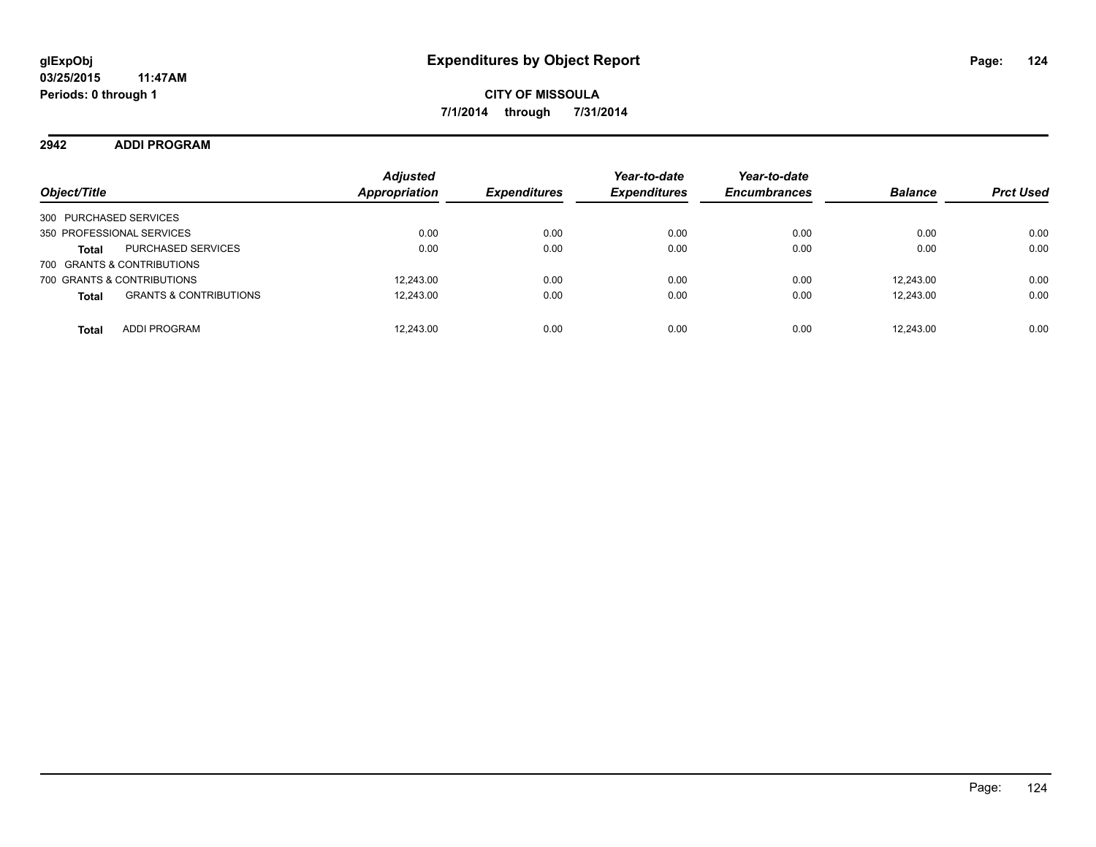**2942 ADDI PROGRAM**

| Object/Title                                      | <b>Adjusted</b><br><b>Appropriation</b> | <b>Expenditures</b> | Year-to-date<br><b>Expenditures</b> | Year-to-date<br><b>Encumbrances</b> | <b>Balance</b> | <b>Prct Used</b> |
|---------------------------------------------------|-----------------------------------------|---------------------|-------------------------------------|-------------------------------------|----------------|------------------|
| 300 PURCHASED SERVICES                            |                                         |                     |                                     |                                     |                |                  |
| 350 PROFESSIONAL SERVICES                         | 0.00                                    | 0.00                | 0.00                                | 0.00                                | 0.00           | 0.00             |
| <b>PURCHASED SERVICES</b><br><b>Total</b>         | 0.00                                    | 0.00                | 0.00                                | 0.00                                | 0.00           | 0.00             |
| 700 GRANTS & CONTRIBUTIONS                        |                                         |                     |                                     |                                     |                |                  |
| 700 GRANTS & CONTRIBUTIONS                        | 12.243.00                               | 0.00                | 0.00                                | 0.00                                | 12.243.00      | 0.00             |
| <b>GRANTS &amp; CONTRIBUTIONS</b><br><b>Total</b> | 12,243.00                               | 0.00                | 0.00                                | 0.00                                | 12,243.00      | 0.00             |
| <b>ADDI PROGRAM</b><br><b>Total</b>               | 12.243.00                               | 0.00                | 0.00                                | 0.00                                | 12.243.00      | 0.00             |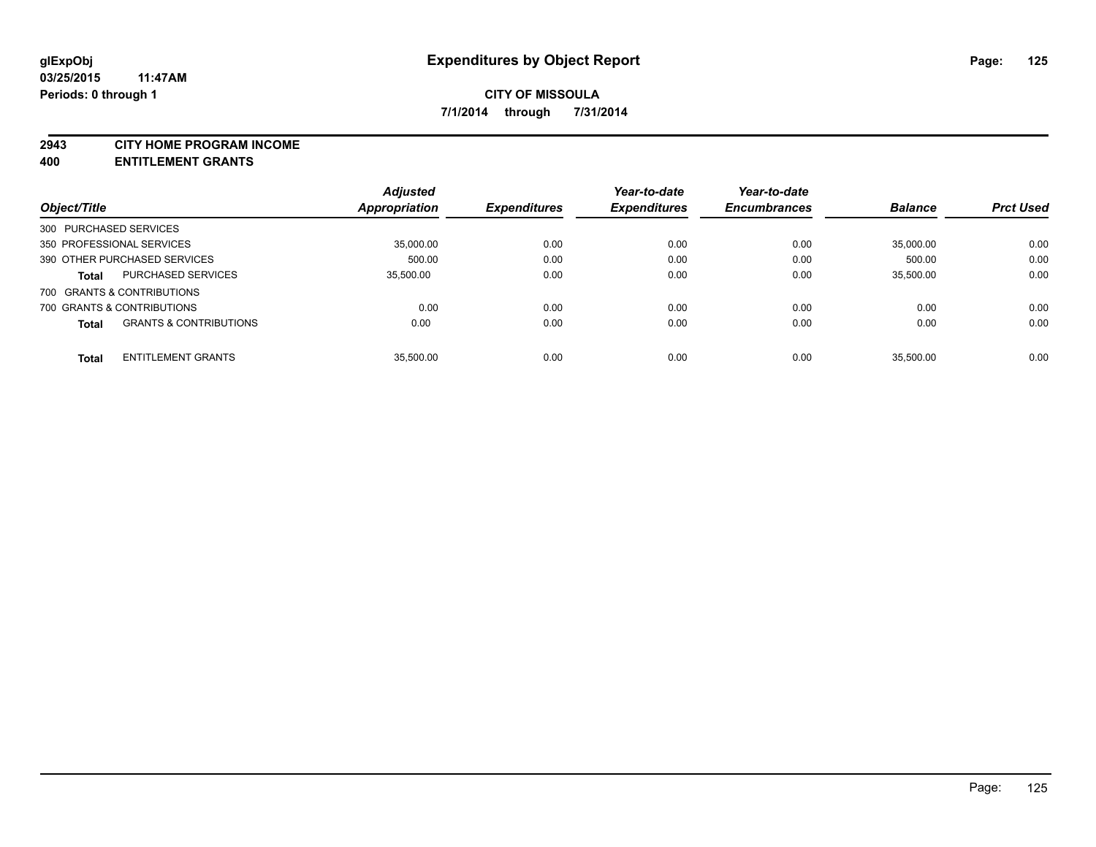#### **2943 CITY HOME PROGRAM INCOME**

**400 ENTITLEMENT GRANTS**

|                           |                                   | <b>Adjusted</b>      |                     | Year-to-date        | Year-to-date        |                |                  |
|---------------------------|-----------------------------------|----------------------|---------------------|---------------------|---------------------|----------------|------------------|
| Object/Title              |                                   | <b>Appropriation</b> | <b>Expenditures</b> | <b>Expenditures</b> | <b>Encumbrances</b> | <b>Balance</b> | <b>Prct Used</b> |
| 300 PURCHASED SERVICES    |                                   |                      |                     |                     |                     |                |                  |
| 350 PROFESSIONAL SERVICES |                                   | 35,000.00            | 0.00                | 0.00                | 0.00                | 35,000.00      | 0.00             |
|                           | 390 OTHER PURCHASED SERVICES      | 500.00               | 0.00                | 0.00                | 0.00                | 500.00         | 0.00             |
| <b>Total</b>              | <b>PURCHASED SERVICES</b>         | 35.500.00            | 0.00                | 0.00                | 0.00                | 35.500.00      | 0.00             |
|                           | 700 GRANTS & CONTRIBUTIONS        |                      |                     |                     |                     |                |                  |
|                           | 700 GRANTS & CONTRIBUTIONS        | 0.00                 | 0.00                | 0.00                | 0.00                | 0.00           | 0.00             |
| <b>Total</b>              | <b>GRANTS &amp; CONTRIBUTIONS</b> | 0.00                 | 0.00                | 0.00                | 0.00                | 0.00           | 0.00             |
| <b>Total</b>              | <b>ENTITLEMENT GRANTS</b>         | 35.500.00            | 0.00                | 0.00                | 0.00                | 35.500.00      | 0.00             |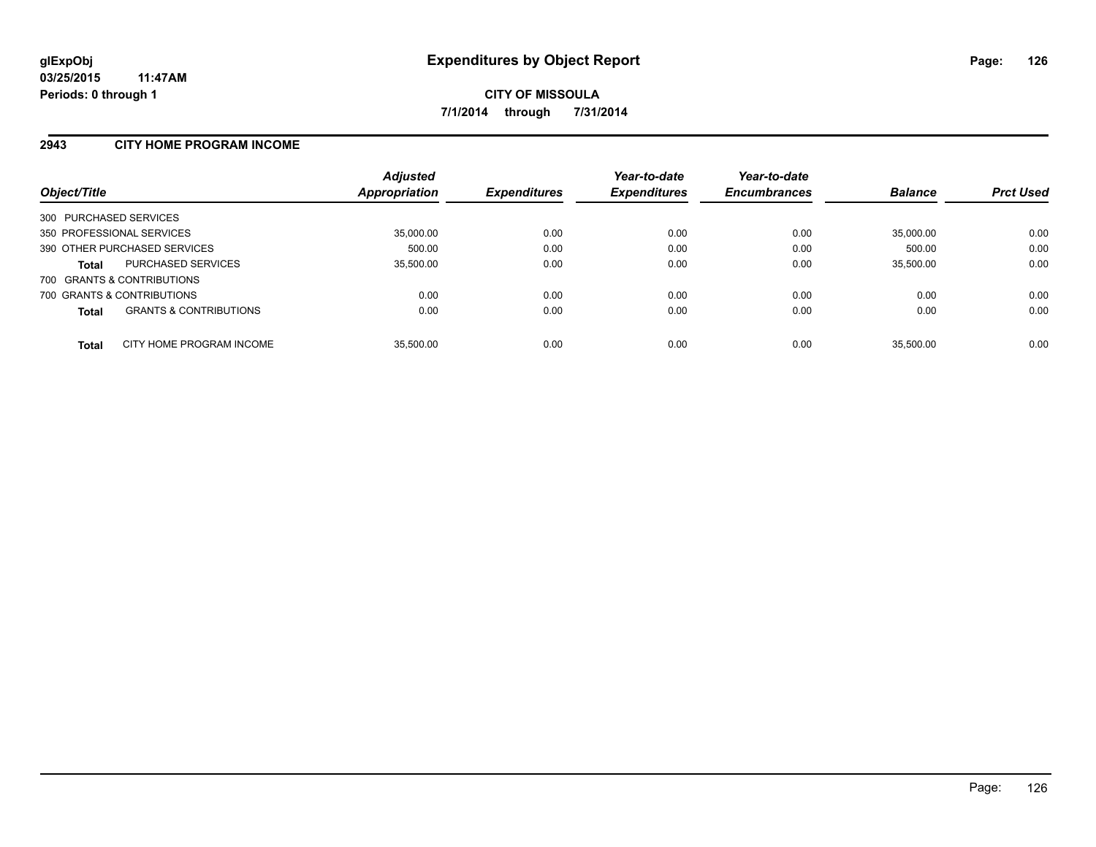### **2943 CITY HOME PROGRAM INCOME**

| Object/Title           |                                   | <b>Adjusted</b><br>Appropriation | <b>Expenditures</b> | Year-to-date<br><b>Expenditures</b> | Year-to-date<br><b>Encumbrances</b> | <b>Balance</b> | <b>Prct Used</b> |
|------------------------|-----------------------------------|----------------------------------|---------------------|-------------------------------------|-------------------------------------|----------------|------------------|
| 300 PURCHASED SERVICES |                                   |                                  |                     |                                     |                                     |                |                  |
|                        | 350 PROFESSIONAL SERVICES         | 35,000.00                        | 0.00                | 0.00                                | 0.00                                | 35.000.00      | 0.00             |
|                        | 390 OTHER PURCHASED SERVICES      | 500.00                           | 0.00                | 0.00                                | 0.00                                | 500.00         | 0.00             |
| <b>Total</b>           | <b>PURCHASED SERVICES</b>         | 35,500.00                        | 0.00                | 0.00                                | 0.00                                | 35,500.00      | 0.00             |
|                        | 700 GRANTS & CONTRIBUTIONS        |                                  |                     |                                     |                                     |                |                  |
|                        | 700 GRANTS & CONTRIBUTIONS        | 0.00                             | 0.00                | 0.00                                | 0.00                                | 0.00           | 0.00             |
| <b>Total</b>           | <b>GRANTS &amp; CONTRIBUTIONS</b> | 0.00                             | 0.00                | 0.00                                | 0.00                                | 0.00           | 0.00             |
| <b>Total</b>           | CITY HOME PROGRAM INCOME          | 35.500.00                        | 0.00                | 0.00                                | 0.00                                | 35.500.00      | 0.00             |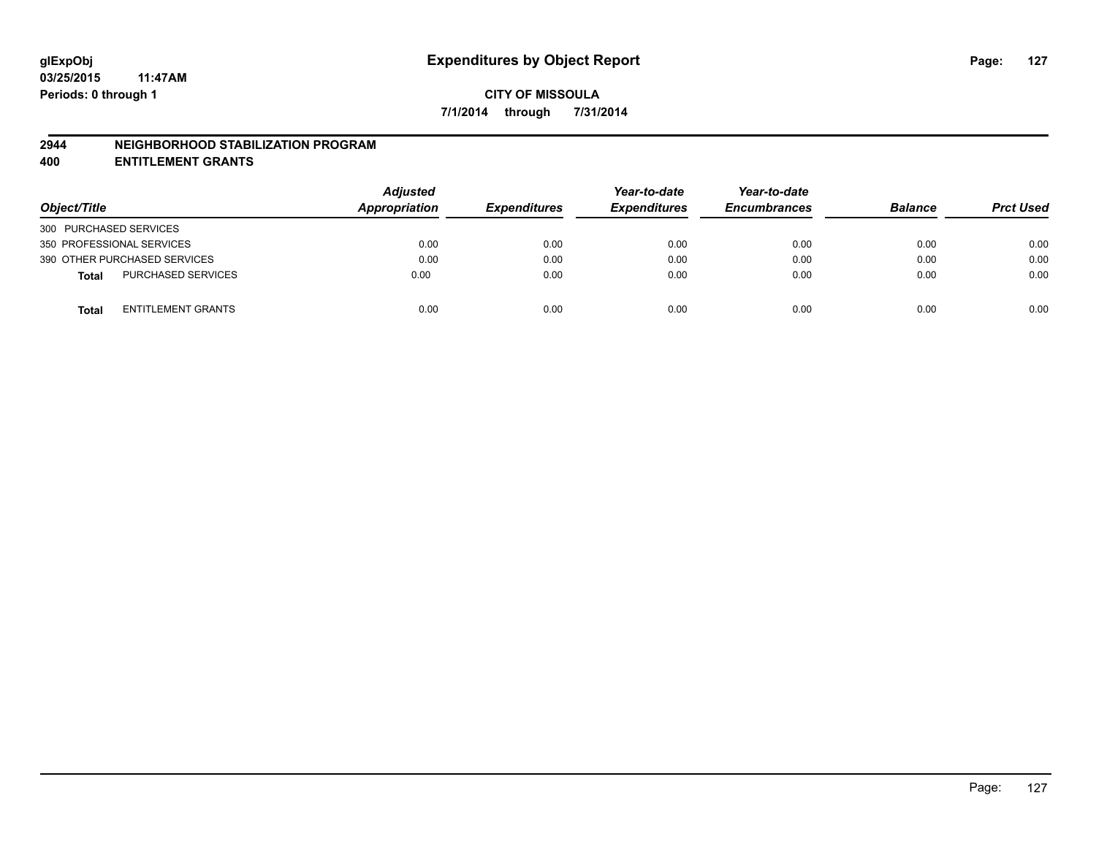### **2944 NEIGHBORHOOD STABILIZATION PROGRAM**

**400 ENTITLEMENT GRANTS**

| Object/Title                              | <b>Adjusted</b><br>Appropriation | <b>Expenditures</b> | Year-to-date<br><b>Expenditures</b> | Year-to-date<br><b>Encumbrances</b> | <b>Balance</b> | <b>Prct Used</b> |
|-------------------------------------------|----------------------------------|---------------------|-------------------------------------|-------------------------------------|----------------|------------------|
| 300 PURCHASED SERVICES                    |                                  |                     |                                     |                                     |                |                  |
| 350 PROFESSIONAL SERVICES                 | 0.00                             | 0.00                | 0.00                                | 0.00                                | 0.00           | 0.00             |
| 390 OTHER PURCHASED SERVICES              | 0.00                             | 0.00                | 0.00                                | 0.00                                | 0.00           | 0.00             |
| <b>PURCHASED SERVICES</b><br><b>Total</b> | 0.00                             | 0.00                | 0.00                                | 0.00                                | 0.00           | 0.00             |
| ENTITLEMENT GRANTS<br><b>Total</b>        | 0.00                             | 0.00                | 0.00                                | 0.00                                | 0.00           | 0.00             |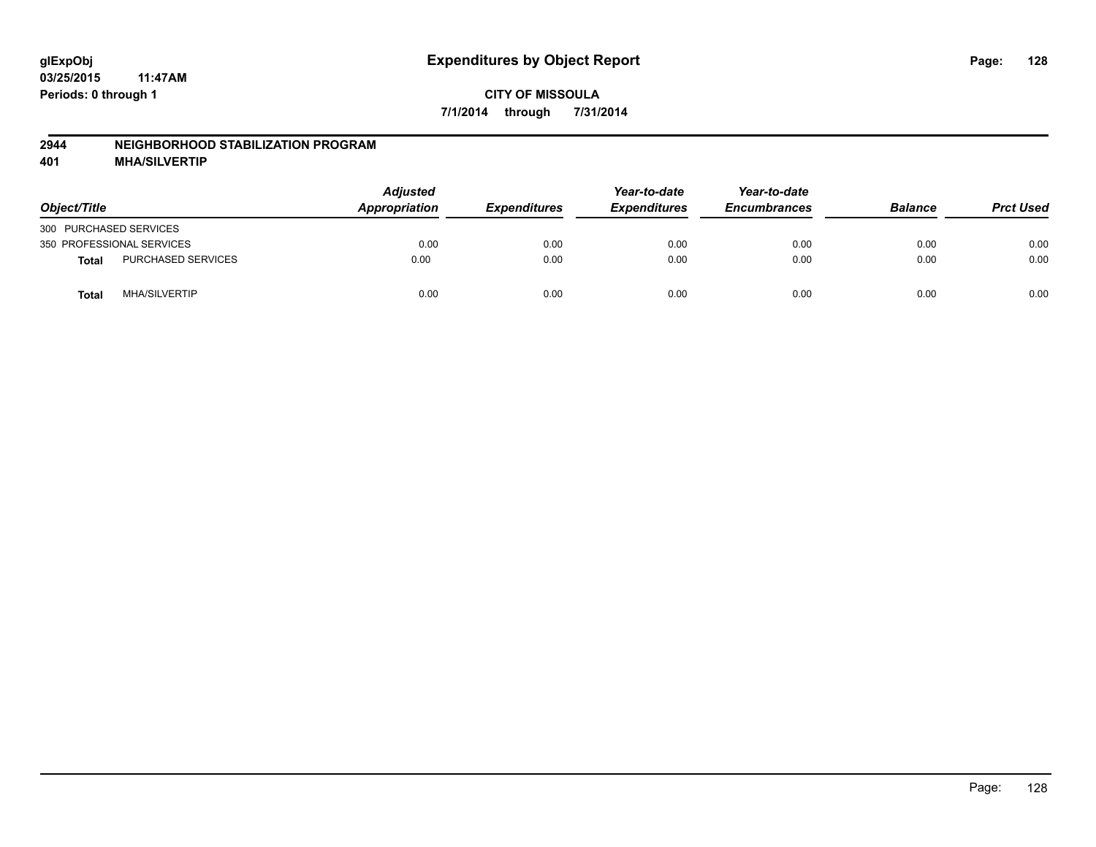### **2944 NEIGHBORHOOD STABILIZATION PROGRAM**

**401 MHA/SILVERTIP**

| Object/Title              |                      | <b>Adjusted</b><br>Appropriation | <b>Expenditures</b> | Year-to-date<br><b>Expenditures</b> | Year-to-date<br><b>Encumbrances</b> | <b>Balance</b> | <b>Prct Used</b> |
|---------------------------|----------------------|----------------------------------|---------------------|-------------------------------------|-------------------------------------|----------------|------------------|
| 300 PURCHASED SERVICES    |                      |                                  |                     |                                     |                                     |                |                  |
| 350 PROFESSIONAL SERVICES |                      | 0.00                             | 0.00                | 0.00                                | 0.00                                | 0.00           | 0.00             |
| <b>Total</b>              | PURCHASED SERVICES   | 0.00                             | 0.00                | 0.00                                | 0.00                                | 0.00           | 0.00             |
| Total                     | <b>MHA/SILVERTIP</b> | 0.00                             | 0.00                | 0.00                                | 0.00                                | 0.00           | 0.00             |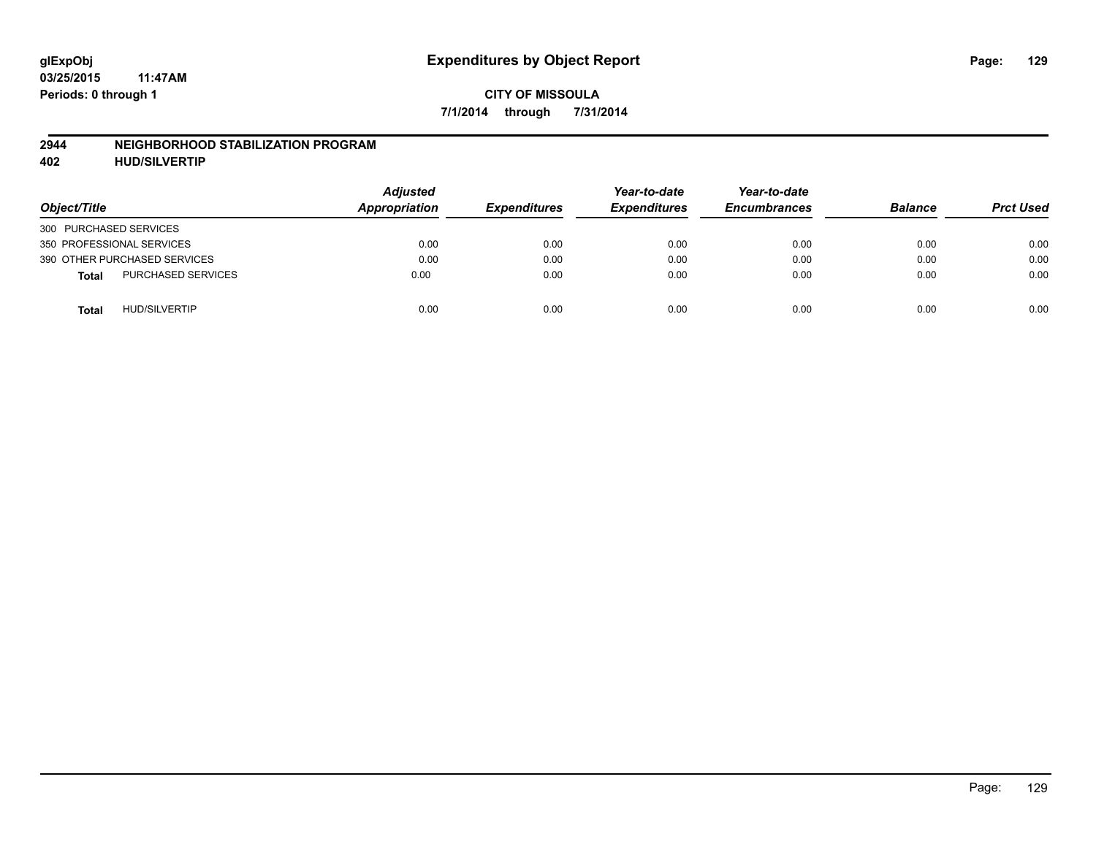### **2944 NEIGHBORHOOD STABILIZATION PROGRAM**

**402 HUD/SILVERTIP**

| Object/Title                              | <b>Adjusted</b><br>Appropriation | <b>Expenditures</b> | Year-to-date<br><b>Expenditures</b> | Year-to-date<br><b>Encumbrances</b> | <b>Balance</b> | <b>Prct Used</b> |
|-------------------------------------------|----------------------------------|---------------------|-------------------------------------|-------------------------------------|----------------|------------------|
| 300 PURCHASED SERVICES                    |                                  |                     |                                     |                                     |                |                  |
| 350 PROFESSIONAL SERVICES                 | 0.00                             | 0.00                | 0.00                                | 0.00                                | 0.00           | 0.00             |
| 390 OTHER PURCHASED SERVICES              | 0.00                             | 0.00                | 0.00                                | 0.00                                | 0.00           | 0.00             |
| <b>PURCHASED SERVICES</b><br><b>Total</b> | 0.00                             | 0.00                | 0.00                                | 0.00                                | 0.00           | 0.00             |
| <b>HUD/SILVERTIP</b><br><b>Total</b>      | 0.00                             | 0.00                | 0.00                                | 0.00                                | 0.00           | 0.00             |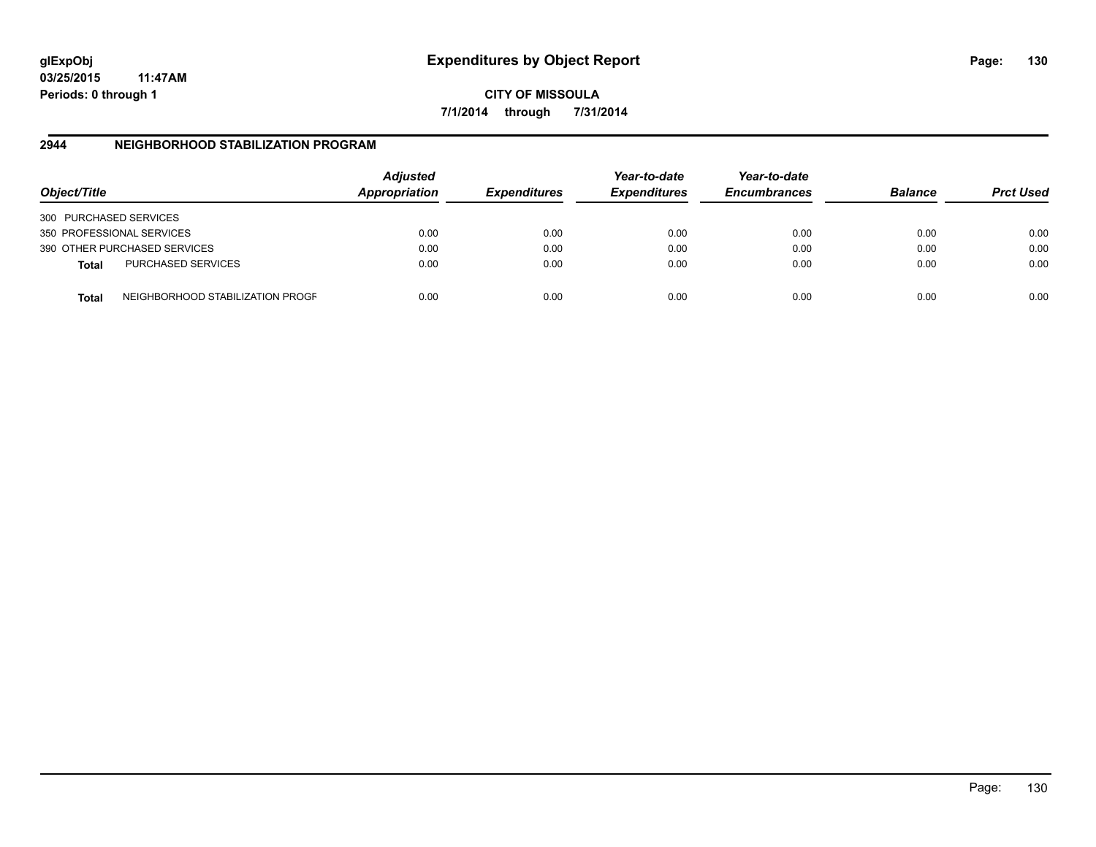**CITY OF MISSOULA 7/1/2014 through 7/31/2014**

## **2944 NEIGHBORHOOD STABILIZATION PROGRAM**

| Object/Title                 |                                  | <b>Adjusted</b><br>Appropriation | <b>Expenditures</b> | Year-to-date<br><b>Expenditures</b> | Year-to-date<br><b>Encumbrances</b> | <b>Balance</b> | <b>Prct Used</b> |
|------------------------------|----------------------------------|----------------------------------|---------------------|-------------------------------------|-------------------------------------|----------------|------------------|
| 300 PURCHASED SERVICES       |                                  |                                  |                     |                                     |                                     |                |                  |
| 350 PROFESSIONAL SERVICES    |                                  | 0.00                             | 0.00                | 0.00                                | 0.00                                | 0.00           | 0.00             |
| 390 OTHER PURCHASED SERVICES |                                  | 0.00                             | 0.00                | 0.00                                | 0.00                                | 0.00           | 0.00             |
| <b>Total</b>                 | <b>PURCHASED SERVICES</b>        | 0.00                             | 0.00                | 0.00                                | 0.00                                | 0.00           | 0.00             |
| Total                        | NEIGHBORHOOD STABILIZATION PROGF | 0.00                             | 0.00                | 0.00                                | 0.00                                | 0.00           | 0.00             |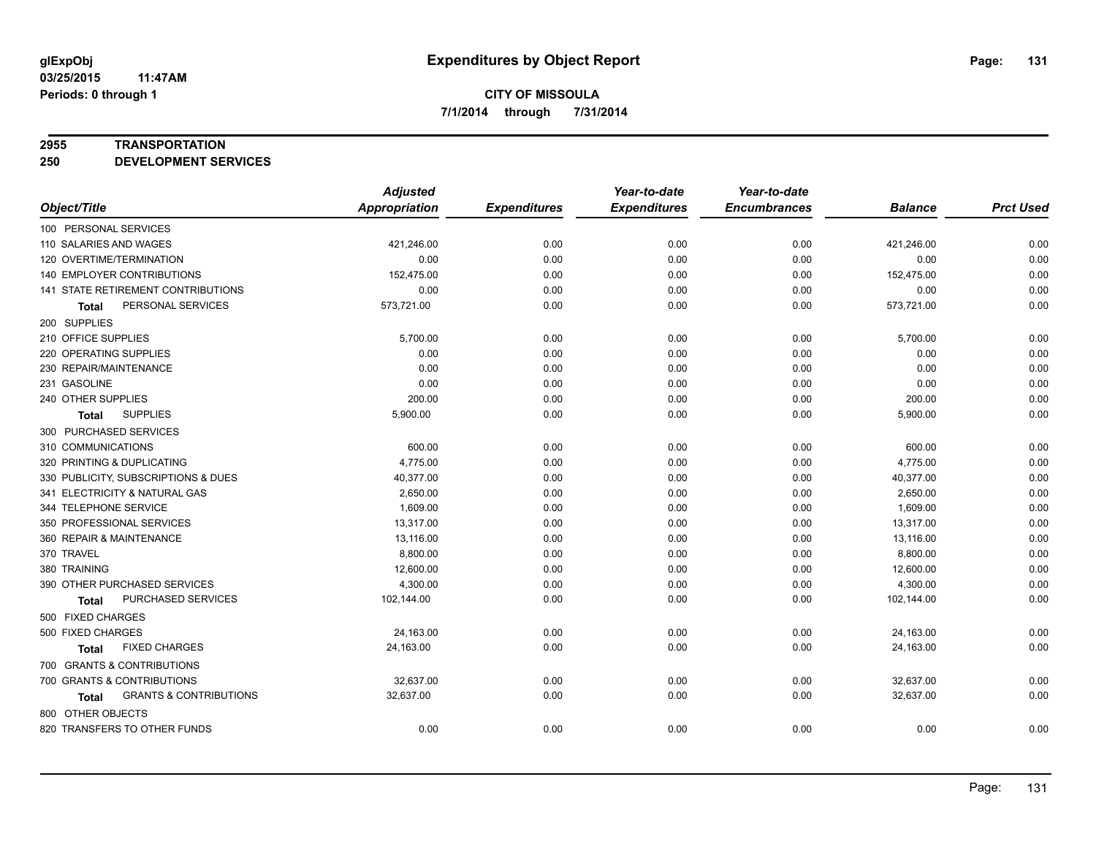#### **2955 TRANSPORTATION**

**250 DEVELOPMENT SERVICES**

|                                            | <b>Adjusted</b>      |                     | Year-to-date        | Year-to-date        |                |                  |
|--------------------------------------------|----------------------|---------------------|---------------------|---------------------|----------------|------------------|
| Object/Title                               | <b>Appropriation</b> | <b>Expenditures</b> | <b>Expenditures</b> | <b>Encumbrances</b> | <b>Balance</b> | <b>Prct Used</b> |
| 100 PERSONAL SERVICES                      |                      |                     |                     |                     |                |                  |
| 110 SALARIES AND WAGES                     | 421,246.00           | 0.00                | 0.00                | 0.00                | 421,246.00     | 0.00             |
| 120 OVERTIME/TERMINATION                   | 0.00                 | 0.00                | 0.00                | 0.00                | 0.00           | 0.00             |
| 140 EMPLOYER CONTRIBUTIONS                 | 152,475.00           | 0.00                | 0.00                | 0.00                | 152,475.00     | 0.00             |
| 141 STATE RETIREMENT CONTRIBUTIONS         | 0.00                 | 0.00                | 0.00                | 0.00                | 0.00           | 0.00             |
| PERSONAL SERVICES<br>Total                 | 573,721.00           | 0.00                | 0.00                | 0.00                | 573,721.00     | 0.00             |
| 200 SUPPLIES                               |                      |                     |                     |                     |                |                  |
| 210 OFFICE SUPPLIES                        | 5,700.00             | 0.00                | 0.00                | 0.00                | 5,700.00       | 0.00             |
| 220 OPERATING SUPPLIES                     | 0.00                 | 0.00                | 0.00                | 0.00                | 0.00           | 0.00             |
| 230 REPAIR/MAINTENANCE                     | 0.00                 | 0.00                | 0.00                | 0.00                | 0.00           | 0.00             |
| 231 GASOLINE                               | 0.00                 | 0.00                | 0.00                | 0.00                | 0.00           | 0.00             |
| 240 OTHER SUPPLIES                         | 200.00               | 0.00                | 0.00                | 0.00                | 200.00         | 0.00             |
| <b>SUPPLIES</b><br>Total                   | 5,900.00             | 0.00                | 0.00                | 0.00                | 5,900.00       | 0.00             |
| 300 PURCHASED SERVICES                     |                      |                     |                     |                     |                |                  |
| 310 COMMUNICATIONS                         | 600.00               | 0.00                | 0.00                | 0.00                | 600.00         | 0.00             |
| 320 PRINTING & DUPLICATING                 | 4,775.00             | 0.00                | 0.00                | 0.00                | 4,775.00       | 0.00             |
| 330 PUBLICITY, SUBSCRIPTIONS & DUES        | 40,377.00            | 0.00                | 0.00                | 0.00                | 40,377.00      | 0.00             |
| 341 ELECTRICITY & NATURAL GAS              | 2,650.00             | 0.00                | 0.00                | 0.00                | 2,650.00       | 0.00             |
| 344 TELEPHONE SERVICE                      | 1,609.00             | 0.00                | 0.00                | 0.00                | 1,609.00       | 0.00             |
| 350 PROFESSIONAL SERVICES                  | 13,317.00            | 0.00                | 0.00                | 0.00                | 13,317.00      | 0.00             |
| 360 REPAIR & MAINTENANCE                   | 13,116.00            | 0.00                | 0.00                | 0.00                | 13,116.00      | 0.00             |
| 370 TRAVEL                                 | 8,800.00             | 0.00                | 0.00                | 0.00                | 8,800.00       | 0.00             |
| 380 TRAINING                               | 12,600.00            | 0.00                | 0.00                | 0.00                | 12,600.00      | 0.00             |
| 390 OTHER PURCHASED SERVICES               | 4,300.00             | 0.00                | 0.00                | 0.00                | 4,300.00       | 0.00             |
| PURCHASED SERVICES<br>Total                | 102,144.00           | 0.00                | 0.00                | 0.00                | 102,144.00     | 0.00             |
| 500 FIXED CHARGES                          |                      |                     |                     |                     |                |                  |
| 500 FIXED CHARGES                          | 24,163.00            | 0.00                | 0.00                | 0.00                | 24,163.00      | 0.00             |
| <b>FIXED CHARGES</b><br>Total              | 24,163.00            | 0.00                | 0.00                | 0.00                | 24,163.00      | 0.00             |
| 700 GRANTS & CONTRIBUTIONS                 |                      |                     |                     |                     |                |                  |
| 700 GRANTS & CONTRIBUTIONS                 | 32,637.00            | 0.00                | 0.00                | 0.00                | 32,637.00      | 0.00             |
| <b>GRANTS &amp; CONTRIBUTIONS</b><br>Total | 32,637.00            | 0.00                | 0.00                | 0.00                | 32,637.00      | 0.00             |
| 800 OTHER OBJECTS                          |                      |                     |                     |                     |                |                  |
| 820 TRANSFERS TO OTHER FUNDS               | 0.00                 | 0.00                | 0.00                | 0.00                | 0.00           | 0.00             |
|                                            |                      |                     |                     |                     |                |                  |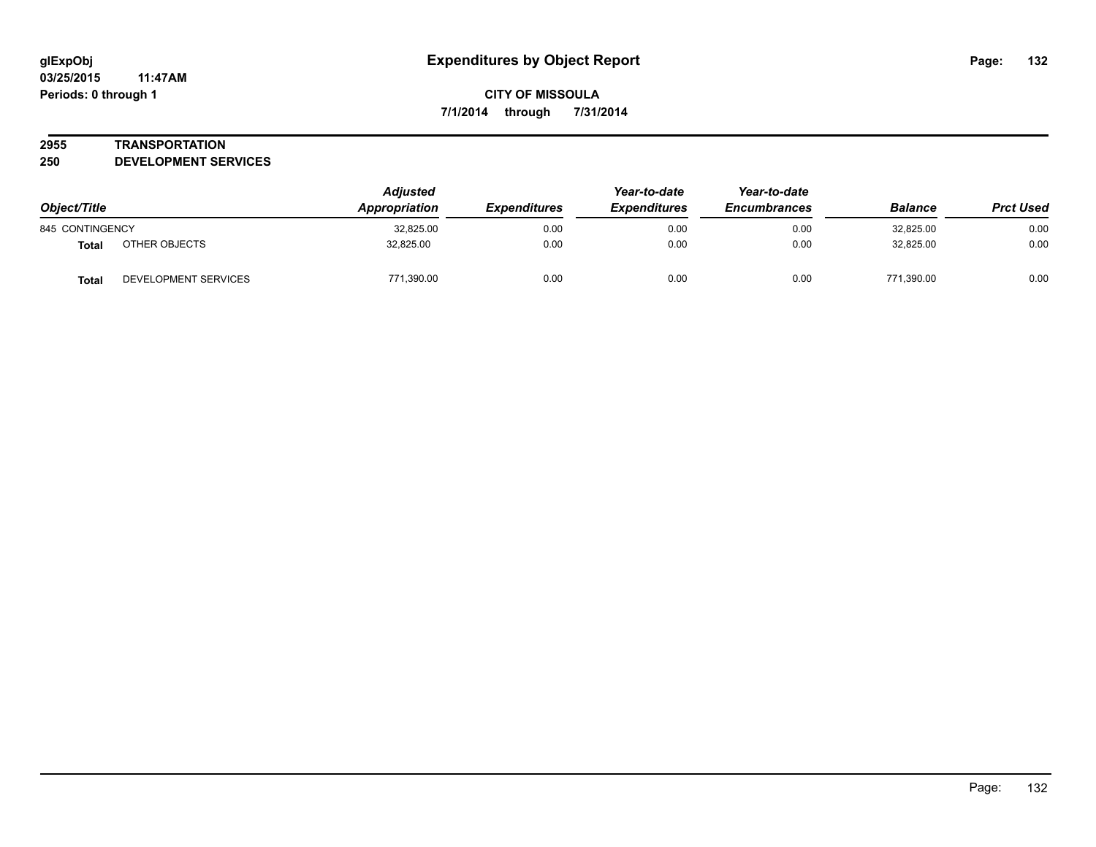### **2955 TRANSPORTATION**

**250 DEVELOPMENT SERVICES**

| Object/Title                         | <b>Adjusted</b><br>Appropriation | <b>Expenditures</b> | Year-to-date<br><b>Expenditures</b> | Year-to-date<br><b>Encumbrances</b> | <b>Balance</b> | <b>Prct Used</b> |
|--------------------------------------|----------------------------------|---------------------|-------------------------------------|-------------------------------------|----------------|------------------|
| 845 CONTINGENCY                      | 32,825.00                        | 0.00                | 0.00                                | 0.00                                | 32,825.00      | 0.00             |
| OTHER OBJECTS<br><b>Total</b>        | 32.825.00                        | 0.00                | 0.00                                | 0.00                                | 32.825.00      | 0.00             |
| DEVELOPMENT SERVICES<br><b>Total</b> | 771.390.00                       | 0.00                | 0.00                                | 0.00                                | 771.390.00     | 0.00             |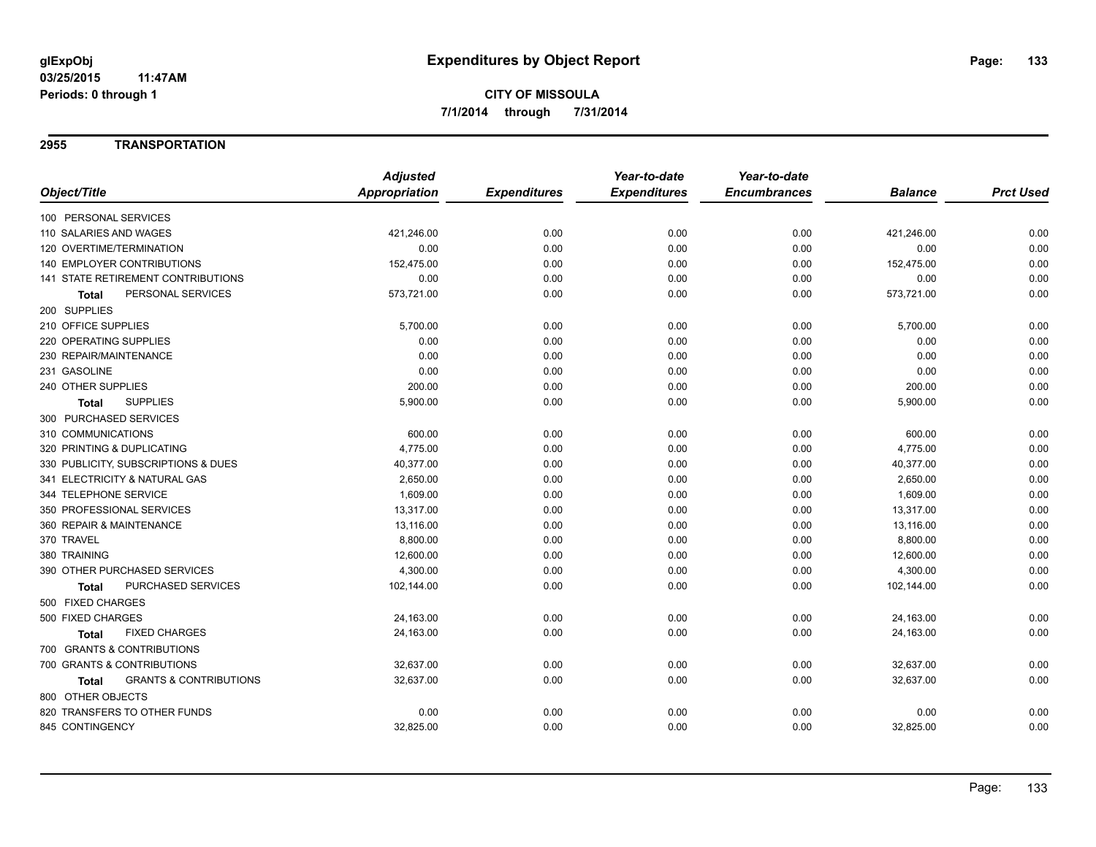### **2955 TRANSPORTATION**

|                                                   | <b>Adjusted</b>      |                     | Year-to-date        | Year-to-date        |                |                  |
|---------------------------------------------------|----------------------|---------------------|---------------------|---------------------|----------------|------------------|
| Object/Title                                      | <b>Appropriation</b> | <b>Expenditures</b> | <b>Expenditures</b> | <b>Encumbrances</b> | <b>Balance</b> | <b>Prct Used</b> |
| 100 PERSONAL SERVICES                             |                      |                     |                     |                     |                |                  |
| 110 SALARIES AND WAGES                            | 421,246.00           | 0.00                | 0.00                | 0.00                | 421,246.00     | 0.00             |
| 120 OVERTIME/TERMINATION                          | 0.00                 | 0.00                | 0.00                | 0.00                | 0.00           | 0.00             |
| 140 EMPLOYER CONTRIBUTIONS                        | 152,475.00           | 0.00                | 0.00                | 0.00                | 152,475.00     | 0.00             |
| <b>141 STATE RETIREMENT CONTRIBUTIONS</b>         | 0.00                 | 0.00                | 0.00                | 0.00                | 0.00           | 0.00             |
| PERSONAL SERVICES<br><b>Total</b>                 | 573,721.00           | 0.00                | 0.00                | 0.00                | 573,721.00     | 0.00             |
| 200 SUPPLIES                                      |                      |                     |                     |                     |                |                  |
| 210 OFFICE SUPPLIES                               | 5,700.00             | 0.00                | 0.00                | 0.00                | 5,700.00       | 0.00             |
| 220 OPERATING SUPPLIES                            | 0.00                 | 0.00                | 0.00                | 0.00                | 0.00           | 0.00             |
| 230 REPAIR/MAINTENANCE                            | 0.00                 | 0.00                | 0.00                | 0.00                | 0.00           | 0.00             |
| 231 GASOLINE                                      | 0.00                 | 0.00                | 0.00                | 0.00                | 0.00           | 0.00             |
| 240 OTHER SUPPLIES                                | 200.00               | 0.00                | 0.00                | 0.00                | 200.00         | 0.00             |
| <b>SUPPLIES</b><br><b>Total</b>                   | 5,900.00             | 0.00                | 0.00                | 0.00                | 5,900.00       | 0.00             |
| 300 PURCHASED SERVICES                            |                      |                     |                     |                     |                |                  |
| 310 COMMUNICATIONS                                | 600.00               | 0.00                | 0.00                | 0.00                | 600.00         | 0.00             |
| 320 PRINTING & DUPLICATING                        | 4,775.00             | 0.00                | 0.00                | 0.00                | 4,775.00       | 0.00             |
| 330 PUBLICITY, SUBSCRIPTIONS & DUES               | 40,377.00            | 0.00                | 0.00                | 0.00                | 40,377.00      | 0.00             |
| 341 ELECTRICITY & NATURAL GAS                     | 2,650.00             | 0.00                | 0.00                | 0.00                | 2,650.00       | 0.00             |
| 344 TELEPHONE SERVICE                             | 1,609.00             | 0.00                | 0.00                | 0.00                | 1,609.00       | 0.00             |
| 350 PROFESSIONAL SERVICES                         | 13,317.00            | 0.00                | 0.00                | 0.00                | 13,317.00      | 0.00             |
| 360 REPAIR & MAINTENANCE                          | 13,116.00            | 0.00                | 0.00                | 0.00                | 13,116.00      | 0.00             |
| 370 TRAVEL                                        | 8,800.00             | 0.00                | 0.00                | 0.00                | 8,800.00       | 0.00             |
| 380 TRAINING                                      | 12,600.00            | 0.00                | 0.00                | 0.00                | 12,600.00      | 0.00             |
| 390 OTHER PURCHASED SERVICES                      | 4,300.00             | 0.00                | 0.00                | 0.00                | 4,300.00       | 0.00             |
| PURCHASED SERVICES<br>Total                       | 102,144.00           | 0.00                | 0.00                | 0.00                | 102,144.00     | 0.00             |
| 500 FIXED CHARGES                                 |                      |                     |                     |                     |                |                  |
| 500 FIXED CHARGES                                 | 24,163.00            | 0.00                | 0.00                | 0.00                | 24,163.00      | 0.00             |
| <b>FIXED CHARGES</b><br><b>Total</b>              | 24,163.00            | 0.00                | 0.00                | 0.00                | 24,163.00      | 0.00             |
| 700 GRANTS & CONTRIBUTIONS                        |                      |                     |                     |                     |                |                  |
| 700 GRANTS & CONTRIBUTIONS                        | 32,637.00            | 0.00                | 0.00                | 0.00                | 32,637.00      | 0.00             |
| <b>GRANTS &amp; CONTRIBUTIONS</b><br><b>Total</b> | 32,637.00            | 0.00                | 0.00                | 0.00                | 32,637.00      | 0.00             |
| 800 OTHER OBJECTS                                 |                      |                     |                     |                     |                |                  |
| 820 TRANSFERS TO OTHER FUNDS                      | 0.00                 | 0.00                | 0.00                | 0.00                | 0.00           | 0.00             |
| 845 CONTINGENCY                                   | 32,825.00            | 0.00                | 0.00                | 0.00                | 32,825.00      | 0.00             |
|                                                   |                      |                     |                     |                     |                |                  |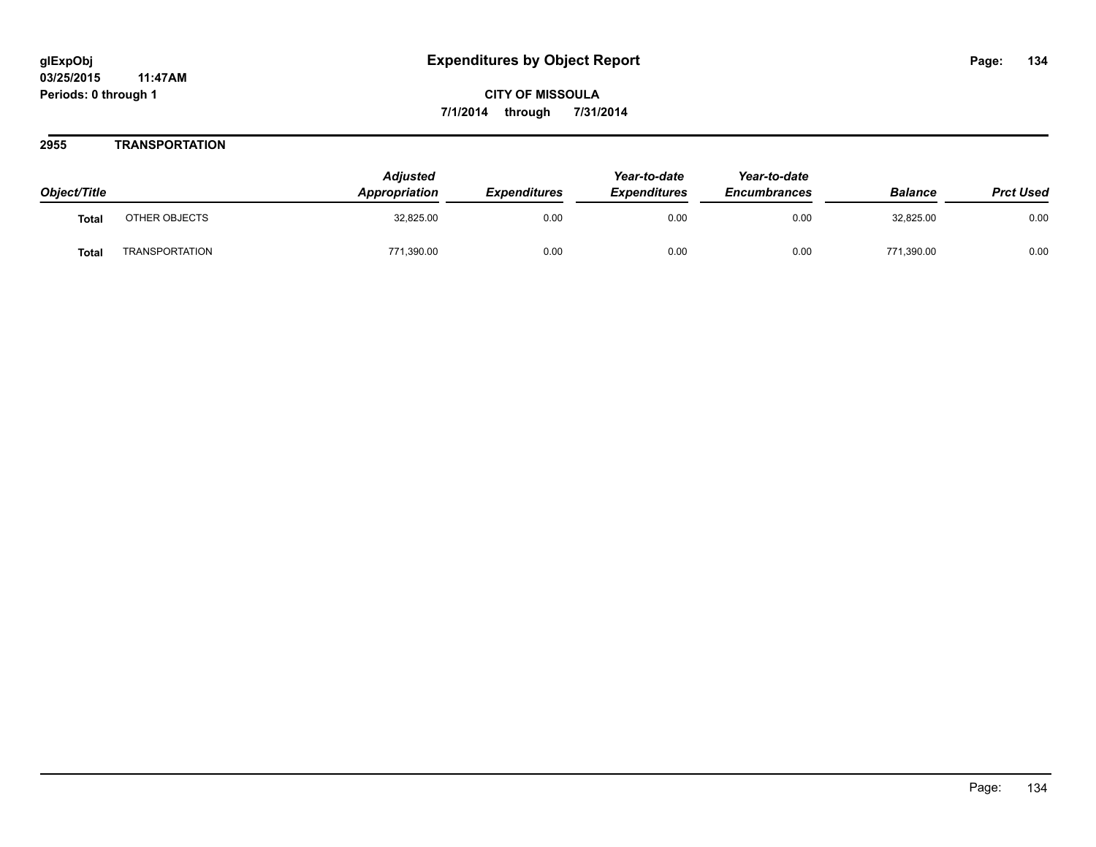### **2955 TRANSPORTATION**

| Object/Title |                       | <b>Adjusted</b><br><b>Appropriation</b> | <b>Expenditures</b> | Year-to-date<br><b>Expenditures</b> | Year-to-date<br><b>Encumbrances</b> | <b>Balance</b> | <b>Prct Used</b> |
|--------------|-----------------------|-----------------------------------------|---------------------|-------------------------------------|-------------------------------------|----------------|------------------|
| <b>Total</b> | OTHER OBJECTS         | 32,825.00                               | 0.00                | 0.00                                | 0.00                                | 32,825.00      | 0.00             |
| Total        | <b>TRANSPORTATION</b> | 771,390.00                              | 0.00                | 0.00                                | 0.00                                | 771,390.00     | 0.00             |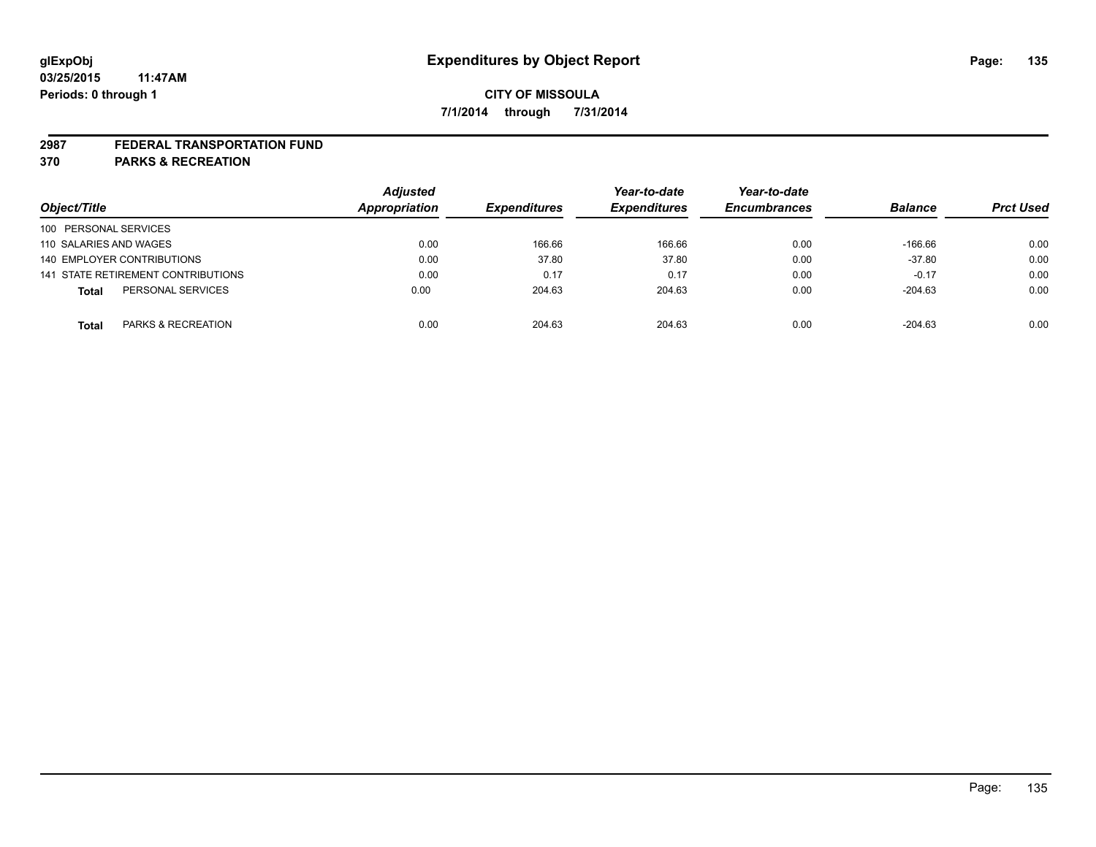#### **2987 FEDERAL TRANSPORTATION FUND**

**370 PARKS & RECREATION**

| Object/Title           |                                    | <b>Adjusted</b><br>Appropriation | <b>Expenditures</b> | Year-to-date        | Year-to-date        | <b>Balance</b> | <b>Prct Used</b> |
|------------------------|------------------------------------|----------------------------------|---------------------|---------------------|---------------------|----------------|------------------|
|                        |                                    |                                  |                     | <b>Expenditures</b> | <b>Encumbrances</b> |                |                  |
| 100 PERSONAL SERVICES  |                                    |                                  |                     |                     |                     |                |                  |
| 110 SALARIES AND WAGES |                                    | 0.00                             | 166.66              | 166.66              | 0.00                | $-166.66$      | 0.00             |
|                        | 140 EMPLOYER CONTRIBUTIONS         | 0.00                             | 37.80               | 37.80               | 0.00                | $-37.80$       | 0.00             |
|                        | 141 STATE RETIREMENT CONTRIBUTIONS | 0.00                             | 0.17                | 0.17                | 0.00                | $-0.17$        | 0.00             |
| <b>Total</b>           | PERSONAL SERVICES                  | 0.00                             | 204.63              | 204.63              | 0.00                | $-204.63$      | 0.00             |
| <b>Total</b>           | PARKS & RECREATION                 | 0.00                             | 204.63              | 204.63              | 0.00                | $-204.63$      | 0.00             |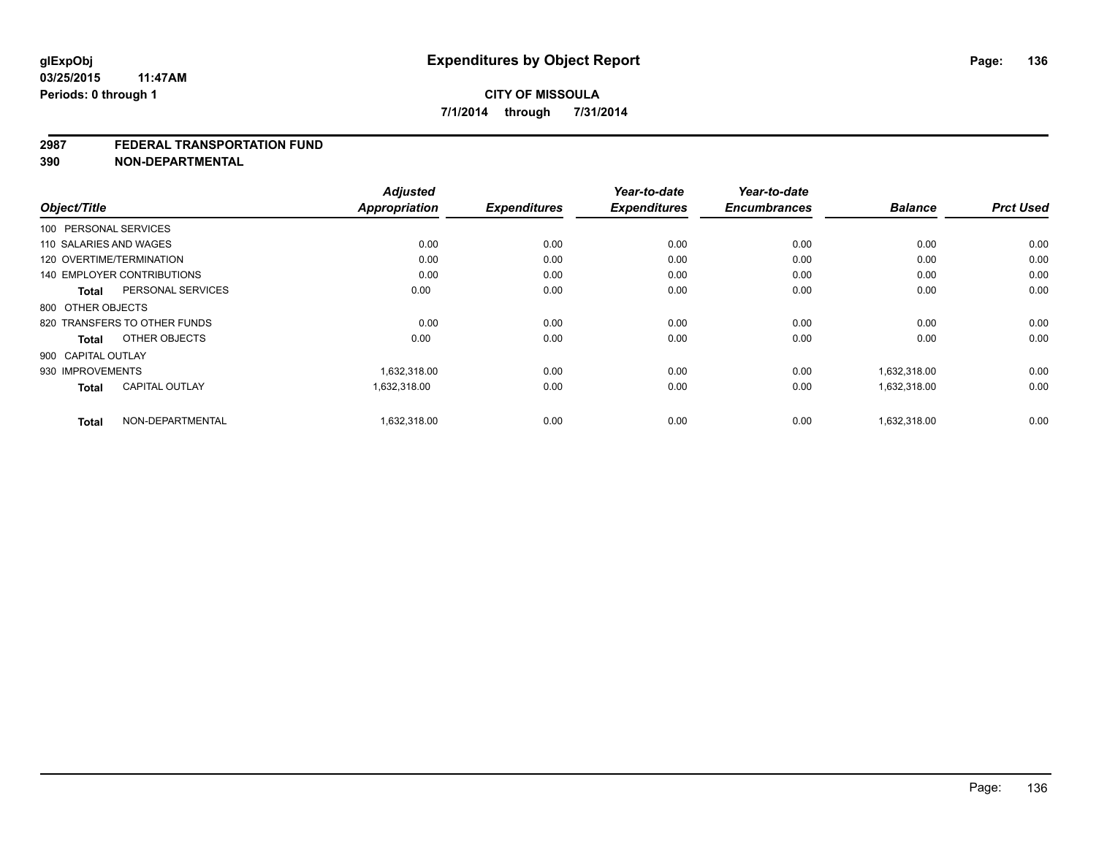#### **2987 FEDERAL TRANSPORTATION FUND**

**390 NON-DEPARTMENTAL**

|                                       | <b>Adjusted</b>      |                     | Year-to-date        | Year-to-date<br><b>Encumbrances</b> | <b>Balance</b> | <b>Prct Used</b> |
|---------------------------------------|----------------------|---------------------|---------------------|-------------------------------------|----------------|------------------|
| Object/Title                          | <b>Appropriation</b> | <b>Expenditures</b> | <b>Expenditures</b> |                                     |                |                  |
| 100 PERSONAL SERVICES                 |                      |                     |                     |                                     |                |                  |
| 110 SALARIES AND WAGES                | 0.00                 | 0.00                | 0.00                | 0.00                                | 0.00           | 0.00             |
| 120 OVERTIME/TERMINATION              | 0.00                 | 0.00                | 0.00                | 0.00                                | 0.00           | 0.00             |
| <b>140 EMPLOYER CONTRIBUTIONS</b>     | 0.00                 | 0.00                | 0.00                | 0.00                                | 0.00           | 0.00             |
| PERSONAL SERVICES<br><b>Total</b>     | 0.00                 | 0.00                | 0.00                | 0.00                                | 0.00           | 0.00             |
| 800 OTHER OBJECTS                     |                      |                     |                     |                                     |                |                  |
| 820 TRANSFERS TO OTHER FUNDS          | 0.00                 | 0.00                | 0.00                | 0.00                                | 0.00           | 0.00             |
| OTHER OBJECTS<br><b>Total</b>         | 0.00                 | 0.00                | 0.00                | 0.00                                | 0.00           | 0.00             |
| 900 CAPITAL OUTLAY                    |                      |                     |                     |                                     |                |                  |
| 930 IMPROVEMENTS                      | 1,632,318.00         | 0.00                | 0.00                | 0.00                                | 1,632,318.00   | 0.00             |
| <b>CAPITAL OUTLAY</b><br><b>Total</b> | 1,632,318.00         | 0.00                | 0.00                | 0.00                                | 1,632,318.00   | 0.00             |
| NON-DEPARTMENTAL<br><b>Total</b>      | 1.632.318.00         | 0.00                | 0.00                | 0.00                                | 1.632.318.00   | 0.00             |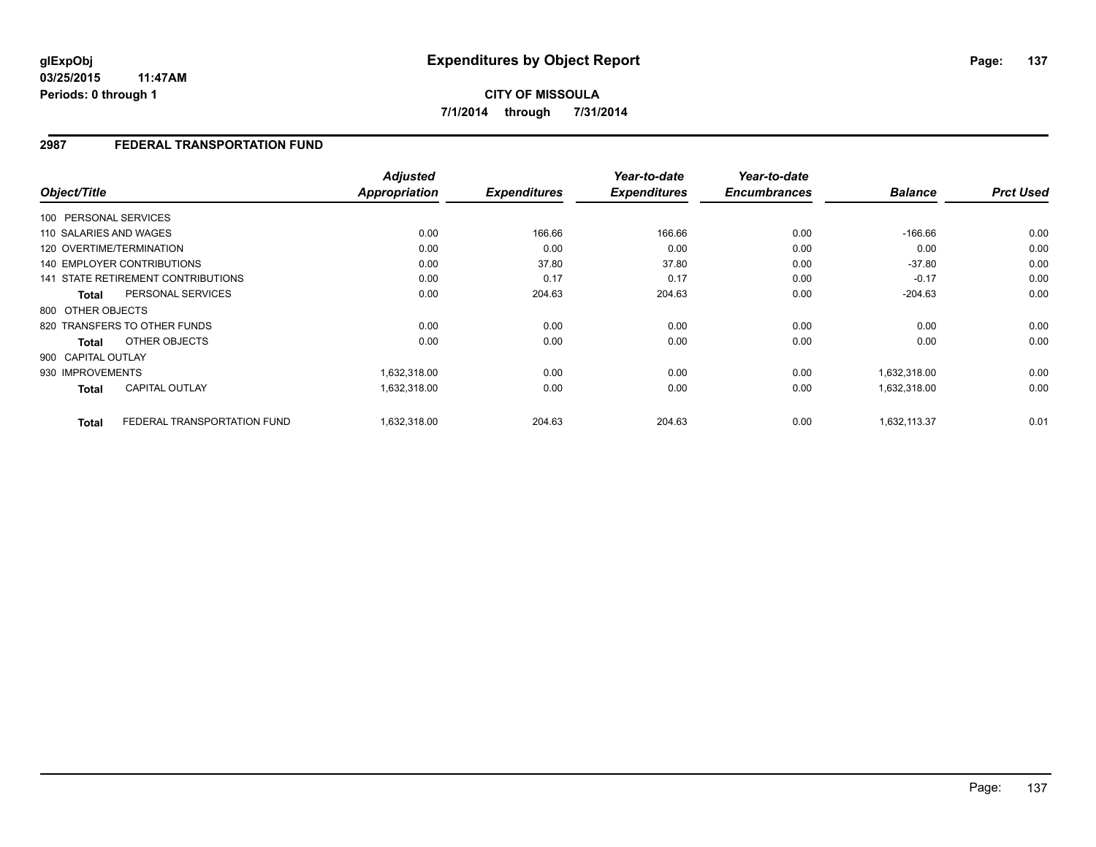**CITY OF MISSOULA 7/1/2014 through 7/31/2014**

### **2987 FEDERAL TRANSPORTATION FUND**

|                                             | <b>Adjusted</b>      |                     | Year-to-date        | Year-to-date<br><b>Encumbrances</b> |                | <b>Prct Used</b> |
|---------------------------------------------|----------------------|---------------------|---------------------|-------------------------------------|----------------|------------------|
| Object/Title                                | <b>Appropriation</b> | <b>Expenditures</b> | <b>Expenditures</b> |                                     | <b>Balance</b> |                  |
| 100 PERSONAL SERVICES                       |                      |                     |                     |                                     |                |                  |
| 110 SALARIES AND WAGES                      | 0.00                 | 166.66              | 166.66              | 0.00                                | $-166.66$      | 0.00             |
| 120 OVERTIME/TERMINATION                    | 0.00                 | 0.00                | 0.00                | 0.00                                | 0.00           | 0.00             |
| <b>140 EMPLOYER CONTRIBUTIONS</b>           | 0.00                 | 37.80               | 37.80               | 0.00                                | $-37.80$       | 0.00             |
| 141 STATE RETIREMENT CONTRIBUTIONS          | 0.00                 | 0.17                | 0.17                | 0.00                                | $-0.17$        | 0.00             |
| PERSONAL SERVICES<br><b>Total</b>           | 0.00                 | 204.63              | 204.63              | 0.00                                | $-204.63$      | 0.00             |
| 800 OTHER OBJECTS                           |                      |                     |                     |                                     |                |                  |
| 820 TRANSFERS TO OTHER FUNDS                | 0.00                 | 0.00                | 0.00                | 0.00                                | 0.00           | 0.00             |
| OTHER OBJECTS<br><b>Total</b>               | 0.00                 | 0.00                | 0.00                | 0.00                                | 0.00           | 0.00             |
| 900 CAPITAL OUTLAY                          |                      |                     |                     |                                     |                |                  |
| 930 IMPROVEMENTS                            | 1,632,318.00         | 0.00                | 0.00                | 0.00                                | 1,632,318.00   | 0.00             |
| CAPITAL OUTLAY<br><b>Total</b>              | 1,632,318.00         | 0.00                | 0.00                | 0.00                                | 1,632,318.00   | 0.00             |
| FEDERAL TRANSPORTATION FUND<br><b>Total</b> | 1,632,318.00         | 204.63              | 204.63              | 0.00                                | 1.632.113.37   | 0.01             |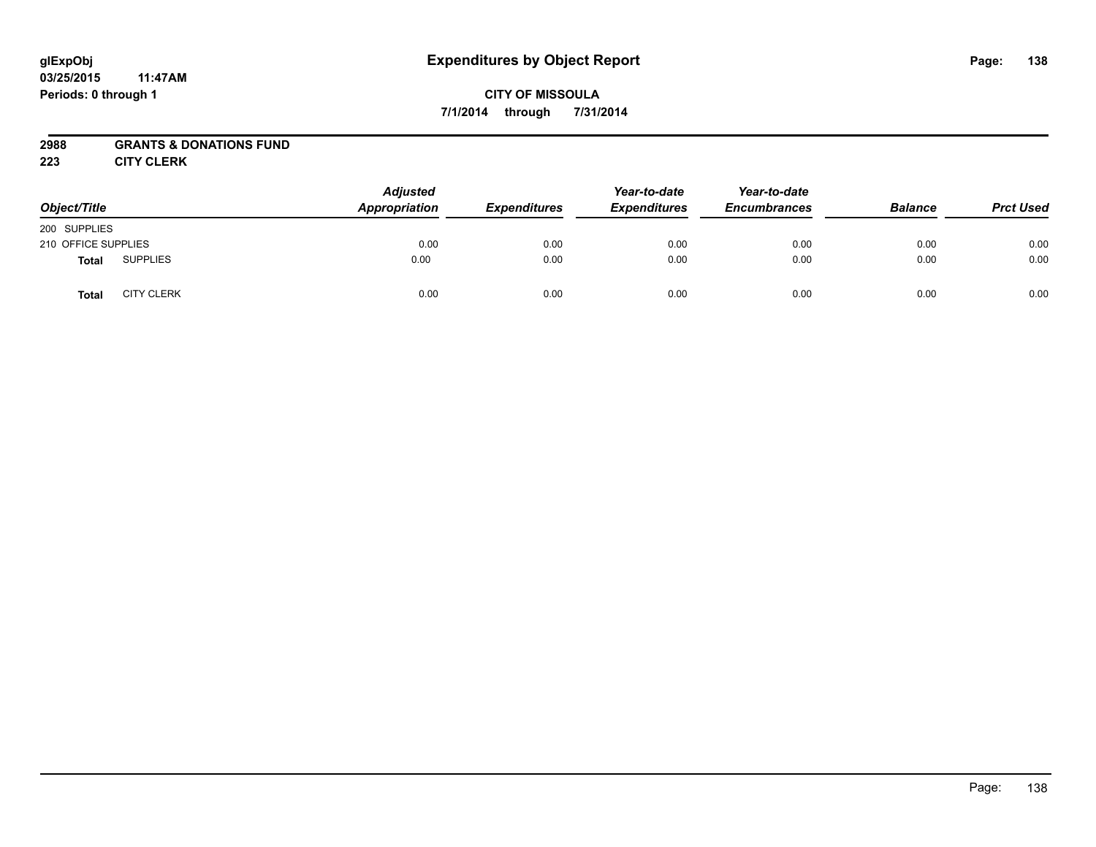# **CITY OF MISSOULA 7/1/2014 through 7/31/2014**

## **2988 GRANTS & DONATIONS FUND**

**223 CITY CLERK**

| Object/Title        |                   | <b>Adjusted</b><br>Appropriation | <b>Expenditures</b> | Year-to-date<br><b>Expenditures</b> | Year-to-date<br><b>Encumbrances</b> | <b>Balance</b> | <b>Prct Used</b> |
|---------------------|-------------------|----------------------------------|---------------------|-------------------------------------|-------------------------------------|----------------|------------------|
| 200 SUPPLIES        |                   |                                  |                     |                                     |                                     |                |                  |
| 210 OFFICE SUPPLIES |                   | 0.00                             | 0.00                | 0.00                                | 0.00                                | 0.00           | 0.00             |
| <b>Total</b>        | <b>SUPPLIES</b>   | 0.00                             | 0.00                | 0.00                                | 0.00                                | 0.00           | 0.00             |
| <b>Total</b>        | <b>CITY CLERK</b> | 0.00                             | 0.00                | 0.00                                | 0.00                                | 0.00           | 0.00             |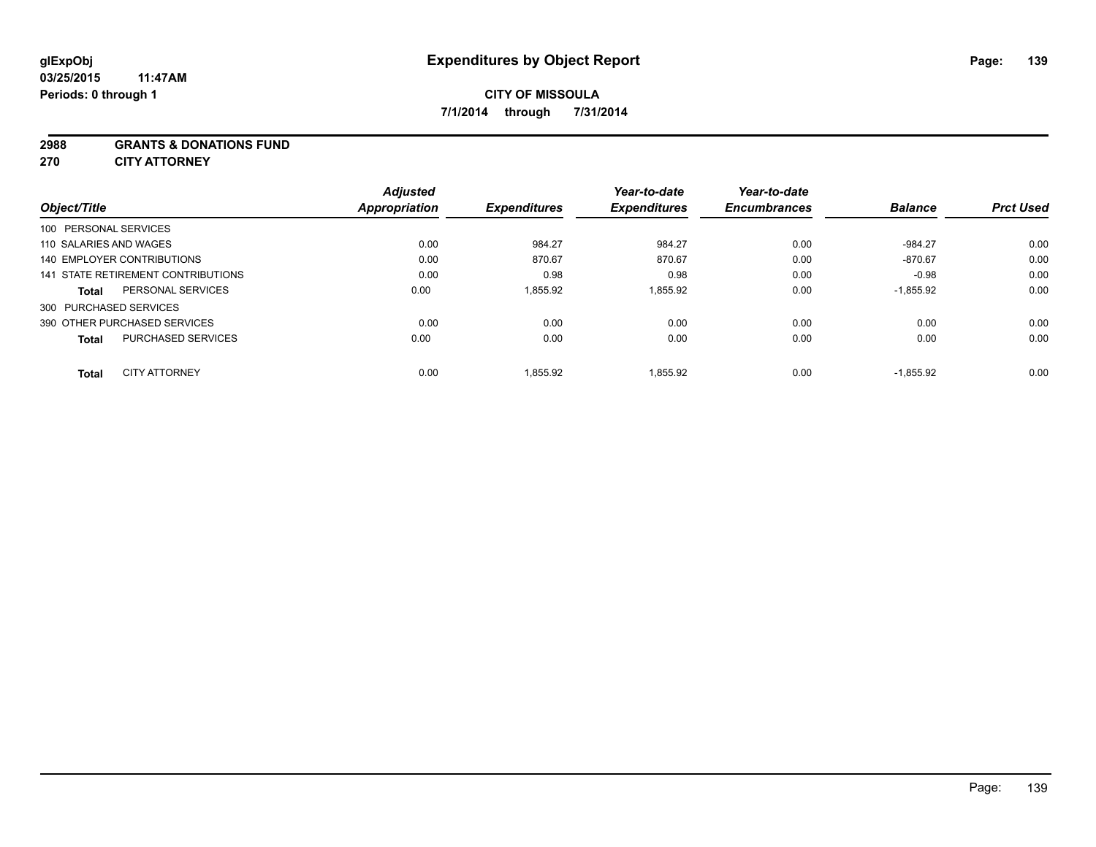### **2988 GRANTS & DONATIONS FUND**

**270 CITY ATTORNEY**

|                           | <b>Adjusted</b>                                                                                                                                                                                       | <b>Expenditures</b>   | Year-to-date | Year-to-date<br><b>Encumbrances</b> | <b>Balance</b> | <b>Prct Used</b> |
|---------------------------|-------------------------------------------------------------------------------------------------------------------------------------------------------------------------------------------------------|-----------------------|--------------|-------------------------------------|----------------|------------------|
|                           |                                                                                                                                                                                                       |                       |              |                                     |                |                  |
|                           | 0.00                                                                                                                                                                                                  | 984.27                | 984.27       | 0.00                                | $-984.27$      | 0.00             |
|                           | 0.00                                                                                                                                                                                                  | 870.67                | 870.67       | 0.00                                | $-870.67$      | 0.00             |
|                           | 0.00                                                                                                                                                                                                  | 0.98                  | 0.98         | 0.00                                | $-0.98$        | 0.00             |
| PERSONAL SERVICES         | 0.00                                                                                                                                                                                                  | 1.855.92              | 1.855.92     | 0.00                                | $-1.855.92$    | 0.00             |
|                           |                                                                                                                                                                                                       |                       |              |                                     |                |                  |
|                           | 0.00                                                                                                                                                                                                  | 0.00                  | 0.00         | 0.00                                | 0.00           | 0.00             |
| <b>PURCHASED SERVICES</b> | 0.00                                                                                                                                                                                                  | 0.00                  | 0.00         | 0.00                                | 0.00           | 0.00             |
|                           |                                                                                                                                                                                                       |                       |              |                                     |                | 0.00             |
|                           | 100 PERSONAL SERVICES<br>110 SALARIES AND WAGES<br>140 EMPLOYER CONTRIBUTIONS<br>141 STATE RETIREMENT CONTRIBUTIONS<br>300 PURCHASED SERVICES<br>390 OTHER PURCHASED SERVICES<br><b>CITY ATTORNEY</b> | Appropriation<br>0.00 | 1,855.92     | <b>Expenditures</b><br>1,855.92     | 0.00           | $-1,855.92$      |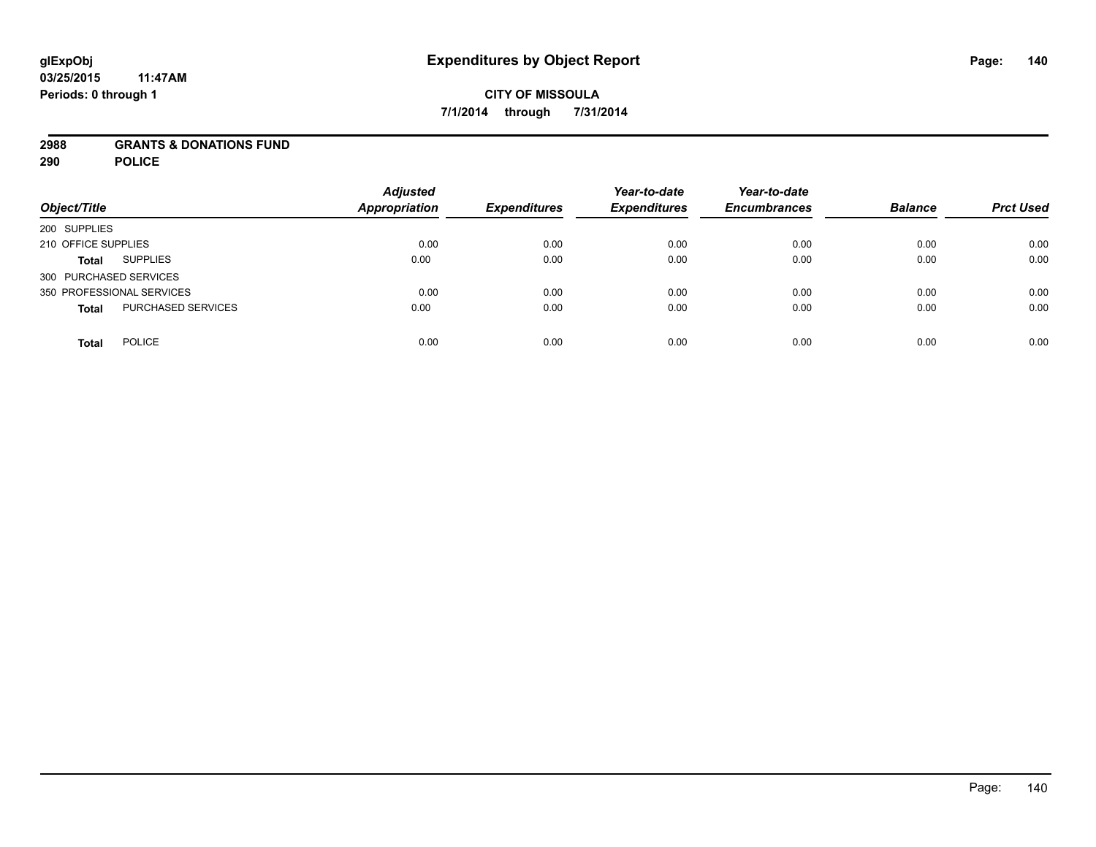### **2988 GRANTS & DONATIONS FUND**

**290 POLICE**

| Object/Title                              | <b>Adjusted</b><br><b>Appropriation</b> | <b>Expenditures</b> | Year-to-date<br><b>Expenditures</b> | Year-to-date<br><b>Encumbrances</b> | <b>Balance</b> | <b>Prct Used</b> |
|-------------------------------------------|-----------------------------------------|---------------------|-------------------------------------|-------------------------------------|----------------|------------------|
| 200 SUPPLIES                              |                                         |                     |                                     |                                     |                |                  |
| 210 OFFICE SUPPLIES                       | 0.00                                    | 0.00                | 0.00                                | 0.00                                | 0.00           | 0.00             |
| <b>SUPPLIES</b><br><b>Total</b>           | 0.00                                    | 0.00                | 0.00                                | 0.00                                | 0.00           | 0.00             |
| 300 PURCHASED SERVICES                    |                                         |                     |                                     |                                     |                |                  |
| 350 PROFESSIONAL SERVICES                 | 0.00                                    | 0.00                | 0.00                                | 0.00                                | 0.00           | 0.00             |
| <b>PURCHASED SERVICES</b><br><b>Total</b> | 0.00                                    | 0.00                | 0.00                                | 0.00                                | 0.00           | 0.00             |
| <b>POLICE</b><br><b>Total</b>             | 0.00                                    | 0.00                | 0.00                                | 0.00                                | 0.00           | 0.00             |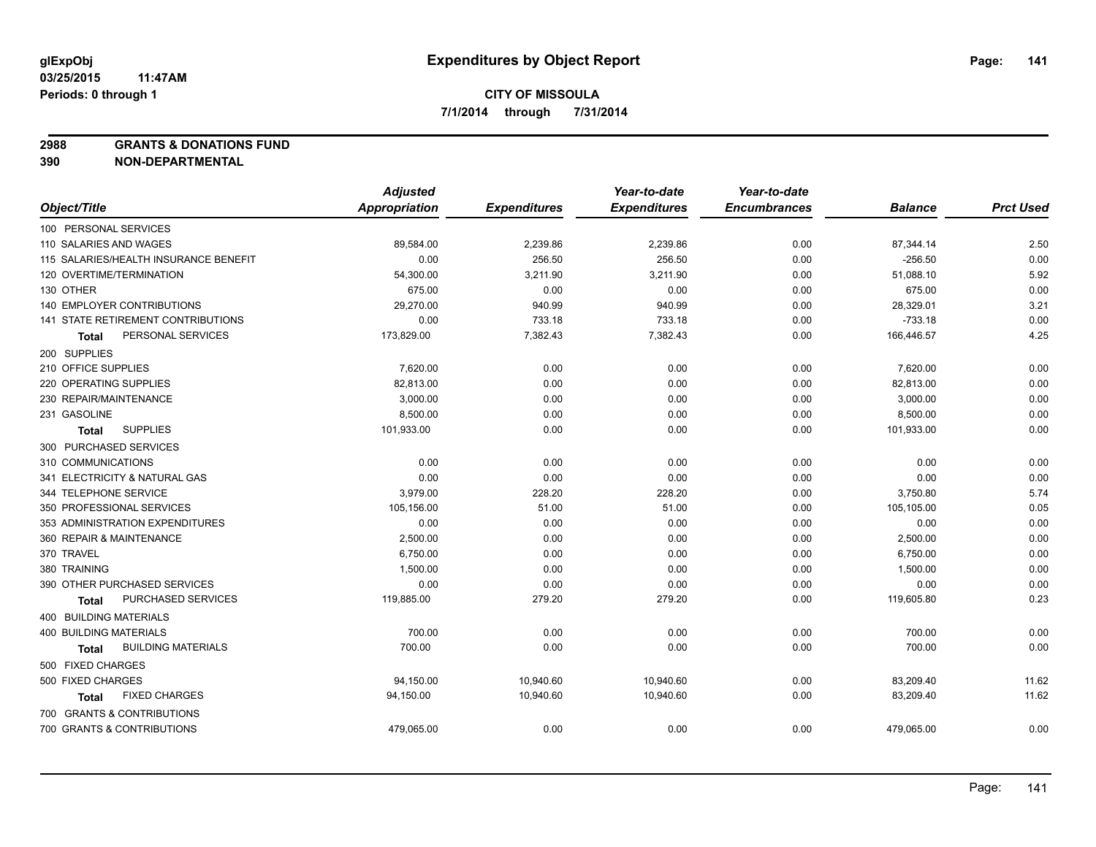**2988 GRANTS & DONATIONS FUND**

**390 NON-DEPARTMENTAL**

|                                           | <b>Adjusted</b>      |                     | Year-to-date        | Year-to-date        |                |                  |
|-------------------------------------------|----------------------|---------------------|---------------------|---------------------|----------------|------------------|
| Object/Title                              | <b>Appropriation</b> | <b>Expenditures</b> | <b>Expenditures</b> | <b>Encumbrances</b> | <b>Balance</b> | <b>Prct Used</b> |
| 100 PERSONAL SERVICES                     |                      |                     |                     |                     |                |                  |
| 110 SALARIES AND WAGES                    | 89,584.00            | 2,239.86            | 2,239.86            | 0.00                | 87,344.14      | 2.50             |
| 115 SALARIES/HEALTH INSURANCE BENEFIT     | 0.00                 | 256.50              | 256.50              | 0.00                | $-256.50$      | 0.00             |
| 120 OVERTIME/TERMINATION                  | 54,300.00            | 3,211.90            | 3,211.90            | 0.00                | 51,088.10      | 5.92             |
| 130 OTHER                                 | 675.00               | 0.00                | 0.00                | 0.00                | 675.00         | 0.00             |
| 140 EMPLOYER CONTRIBUTIONS                | 29,270.00            | 940.99              | 940.99              | 0.00                | 28,329.01      | 3.21             |
| <b>141 STATE RETIREMENT CONTRIBUTIONS</b> | 0.00                 | 733.18              | 733.18              | 0.00                | $-733.18$      | 0.00             |
| PERSONAL SERVICES<br>Total                | 173,829.00           | 7,382.43            | 7,382.43            | 0.00                | 166,446.57     | 4.25             |
| 200 SUPPLIES                              |                      |                     |                     |                     |                |                  |
| 210 OFFICE SUPPLIES                       | 7,620.00             | 0.00                | 0.00                | 0.00                | 7,620.00       | 0.00             |
| 220 OPERATING SUPPLIES                    | 82,813.00            | 0.00                | 0.00                | 0.00                | 82,813.00      | 0.00             |
| 230 REPAIR/MAINTENANCE                    | 3,000.00             | 0.00                | 0.00                | 0.00                | 3,000.00       | 0.00             |
| 231 GASOLINE                              | 8,500.00             | 0.00                | 0.00                | 0.00                | 8,500.00       | 0.00             |
| <b>SUPPLIES</b><br>Total                  | 101,933.00           | 0.00                | 0.00                | 0.00                | 101,933.00     | 0.00             |
| 300 PURCHASED SERVICES                    |                      |                     |                     |                     |                |                  |
| 310 COMMUNICATIONS                        | 0.00                 | 0.00                | 0.00                | 0.00                | 0.00           | 0.00             |
| 341 ELECTRICITY & NATURAL GAS             | 0.00                 | 0.00                | 0.00                | 0.00                | 0.00           | 0.00             |
| 344 TELEPHONE SERVICE                     | 3,979.00             | 228.20              | 228.20              | 0.00                | 3,750.80       | 5.74             |
| 350 PROFESSIONAL SERVICES                 | 105,156.00           | 51.00               | 51.00               | 0.00                | 105,105.00     | 0.05             |
| 353 ADMINISTRATION EXPENDITURES           | 0.00                 | 0.00                | 0.00                | 0.00                | 0.00           | 0.00             |
| 360 REPAIR & MAINTENANCE                  | 2,500.00             | 0.00                | 0.00                | 0.00                | 2,500.00       | 0.00             |
| 370 TRAVEL                                | 6,750.00             | 0.00                | 0.00                | 0.00                | 6,750.00       | 0.00             |
| 380 TRAINING                              | 1,500.00             | 0.00                | 0.00                | 0.00                | 1,500.00       | 0.00             |
| 390 OTHER PURCHASED SERVICES              | 0.00                 | 0.00                | 0.00                | 0.00                | 0.00           | 0.00             |
| PURCHASED SERVICES<br><b>Total</b>        | 119,885.00           | 279.20              | 279.20              | 0.00                | 119,605.80     | 0.23             |
| 400 BUILDING MATERIALS                    |                      |                     |                     |                     |                |                  |
| 400 BUILDING MATERIALS                    | 700.00               | 0.00                | 0.00                | 0.00                | 700.00         | 0.00             |
| <b>BUILDING MATERIALS</b><br><b>Total</b> | 700.00               | 0.00                | 0.00                | 0.00                | 700.00         | 0.00             |
| 500 FIXED CHARGES                         |                      |                     |                     |                     |                |                  |
| 500 FIXED CHARGES                         | 94,150.00            | 10,940.60           | 10,940.60           | 0.00                | 83,209.40      | 11.62            |
| <b>FIXED CHARGES</b><br><b>Total</b>      | 94,150.00            | 10,940.60           | 10,940.60           | 0.00                | 83,209.40      | 11.62            |
| 700 GRANTS & CONTRIBUTIONS                |                      |                     |                     |                     |                |                  |
| 700 GRANTS & CONTRIBUTIONS                | 479,065.00           | 0.00                | 0.00                | 0.00                | 479,065.00     | 0.00             |
|                                           |                      |                     |                     |                     |                |                  |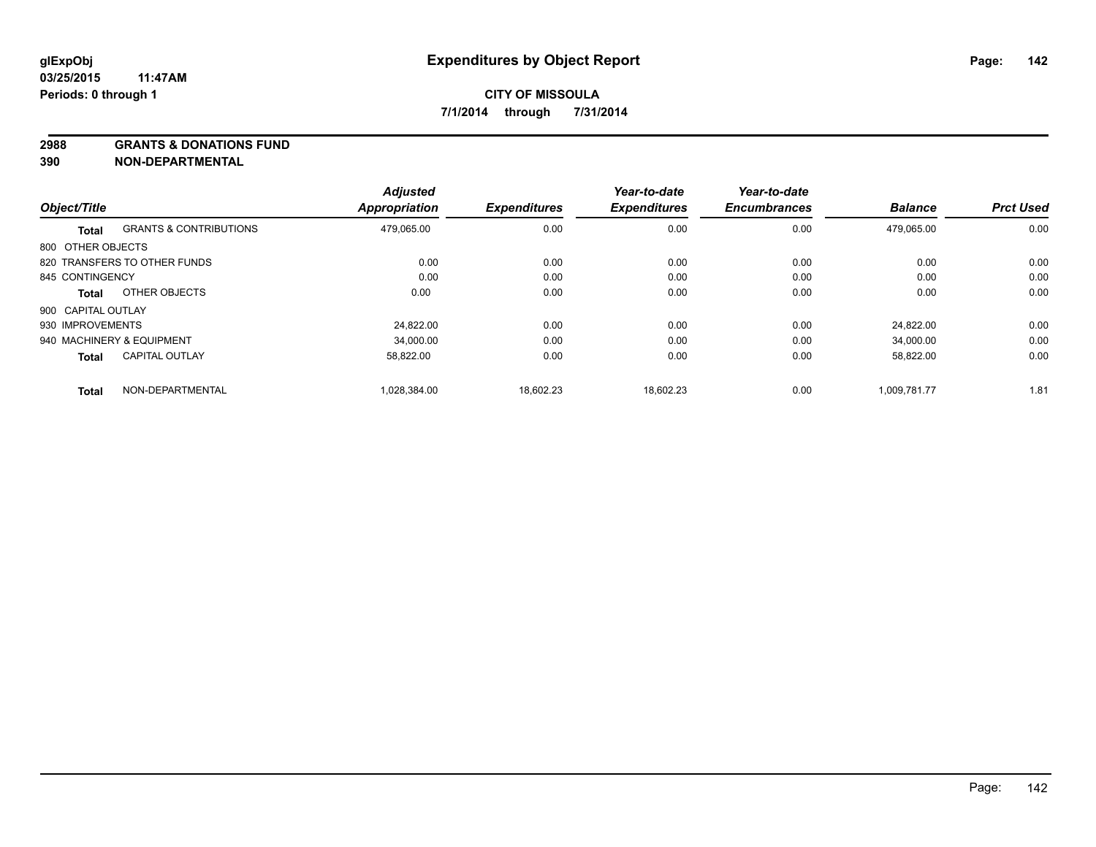**2988 GRANTS & DONATIONS FUND**

**390 NON-DEPARTMENTAL**

| Object/Title       |                                   | <b>Adjusted</b><br><b>Appropriation</b> | <b>Expenditures</b> | Year-to-date<br><b>Expenditures</b> | Year-to-date<br><b>Encumbrances</b> | <b>Balance</b> | <b>Prct Used</b> |
|--------------------|-----------------------------------|-----------------------------------------|---------------------|-------------------------------------|-------------------------------------|----------------|------------------|
|                    |                                   |                                         |                     |                                     |                                     |                |                  |
| <b>Total</b>       | <b>GRANTS &amp; CONTRIBUTIONS</b> | 479,065.00                              | 0.00                | 0.00                                | 0.00                                | 479.065.00     | 0.00             |
| 800 OTHER OBJECTS  |                                   |                                         |                     |                                     |                                     |                |                  |
|                    | 820 TRANSFERS TO OTHER FUNDS      | 0.00                                    | 0.00                | 0.00                                | 0.00                                | 0.00           | 0.00             |
| 845 CONTINGENCY    |                                   | 0.00                                    | 0.00                | 0.00                                | 0.00                                | 0.00           | 0.00             |
| <b>Total</b>       | OTHER OBJECTS                     | 0.00                                    | 0.00                | 0.00                                | 0.00                                | 0.00           | 0.00             |
| 900 CAPITAL OUTLAY |                                   |                                         |                     |                                     |                                     |                |                  |
| 930 IMPROVEMENTS   |                                   | 24.822.00                               | 0.00                | 0.00                                | 0.00                                | 24.822.00      | 0.00             |
|                    | 940 MACHINERY & EQUIPMENT         | 34.000.00                               | 0.00                | 0.00                                | 0.00                                | 34.000.00      | 0.00             |
| <b>Total</b>       | <b>CAPITAL OUTLAY</b>             | 58,822.00                               | 0.00                | 0.00                                | 0.00                                | 58,822.00      | 0.00             |
| <b>Total</b>       | NON-DEPARTMENTAL                  | 1.028.384.00                            | 18.602.23           | 18.602.23                           | 0.00                                | 1.009.781.77   | 1.81             |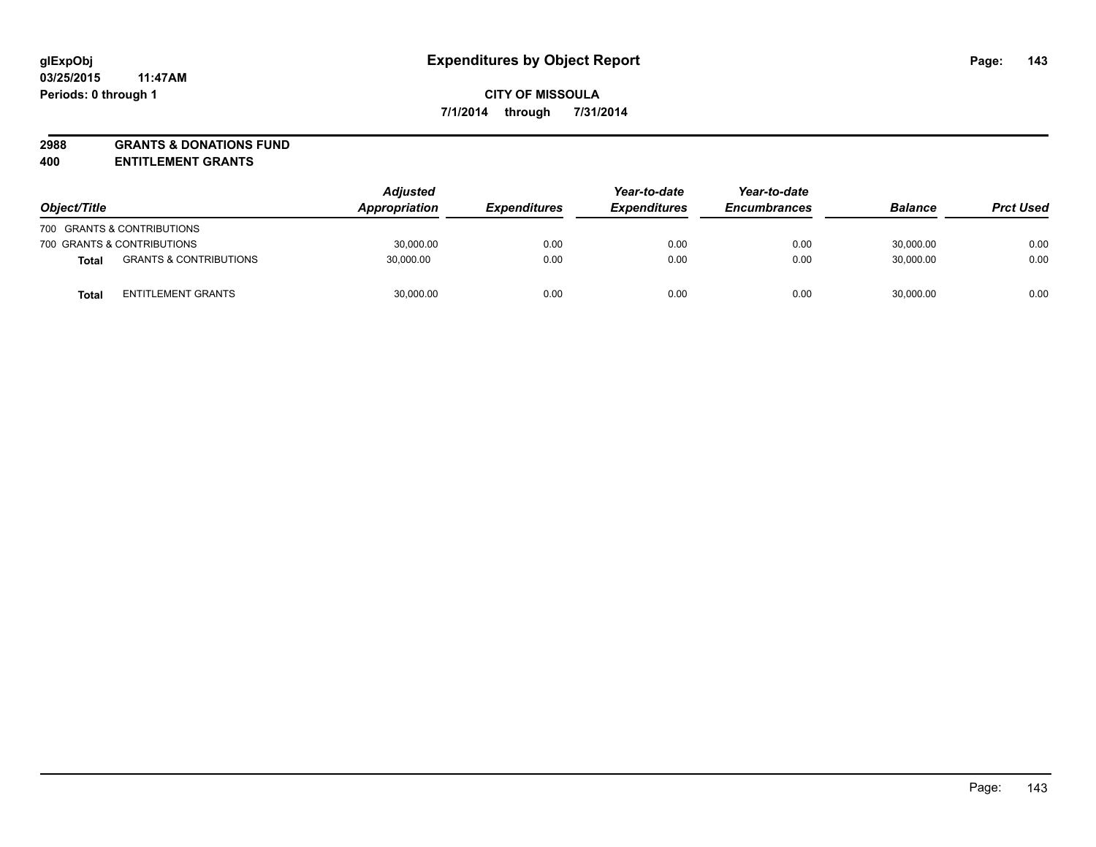# **2988 GRANTS & DONATIONS FUND**

**400 ENTITLEMENT GRANTS**

| Object/Title |                                   | <b>Adjusted</b><br><b>Appropriation</b> | <i><b>Expenditures</b></i> | Year-to-date<br><b>Expenditures</b> | Year-to-date<br><b>Encumbrances</b> | <b>Balance</b> | <b>Prct Used</b> |
|--------------|-----------------------------------|-----------------------------------------|----------------------------|-------------------------------------|-------------------------------------|----------------|------------------|
|              | 700 GRANTS & CONTRIBUTIONS        |                                         |                            |                                     |                                     |                |                  |
|              | 700 GRANTS & CONTRIBUTIONS        | 30,000.00                               | 0.00                       | 0.00                                | 0.00                                | 30,000.00      | 0.00             |
| <b>Total</b> | <b>GRANTS &amp; CONTRIBUTIONS</b> | 30,000.00                               | 0.00                       | 0.00                                | 0.00                                | 30.000.00      | 0.00             |
| <b>Total</b> | <b>ENTITLEMENT GRANTS</b>         | 30,000.00                               | 0.00                       | 0.00                                | 0.00                                | 30,000.00      | 0.00             |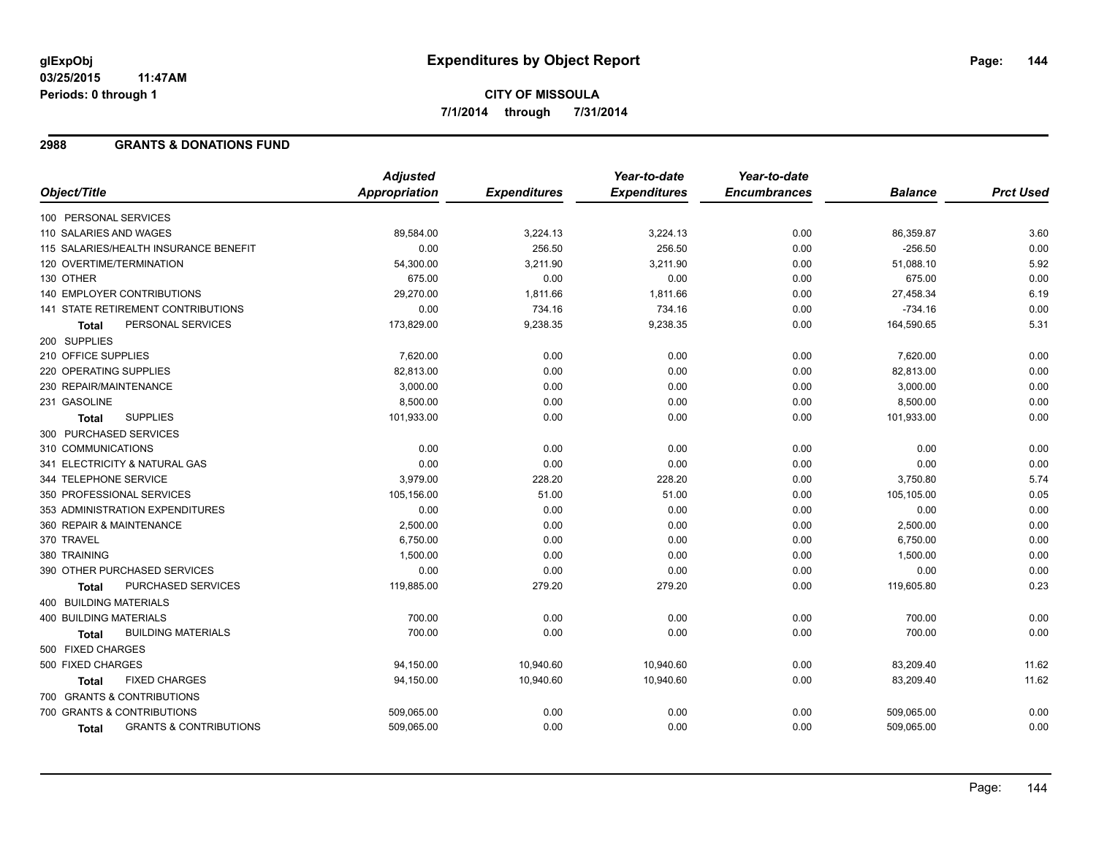# **CITY OF MISSOULA 7/1/2014 through 7/31/2014**

### **2988 GRANTS & DONATIONS FUND**

|                                                   | <b>Adjusted</b> |                     | Year-to-date        | Year-to-date        |                |                  |
|---------------------------------------------------|-----------------|---------------------|---------------------|---------------------|----------------|------------------|
| Object/Title                                      | Appropriation   | <b>Expenditures</b> | <b>Expenditures</b> | <b>Encumbrances</b> | <b>Balance</b> | <b>Prct Used</b> |
| 100 PERSONAL SERVICES                             |                 |                     |                     |                     |                |                  |
| 110 SALARIES AND WAGES                            | 89,584.00       | 3,224.13            | 3,224.13            | 0.00                | 86,359.87      | 3.60             |
| 115 SALARIES/HEALTH INSURANCE BENEFIT             | 0.00            | 256.50              | 256.50              | 0.00                | $-256.50$      | 0.00             |
| 120 OVERTIME/TERMINATION                          | 54,300.00       | 3,211.90            | 3,211.90            | 0.00                | 51,088.10      | 5.92             |
| 130 OTHER                                         | 675.00          | 0.00                | 0.00                | 0.00                | 675.00         | 0.00             |
| 140 EMPLOYER CONTRIBUTIONS                        | 29,270.00       | 1,811.66            | 1,811.66            | 0.00                | 27,458.34      | 6.19             |
| <b>141 STATE RETIREMENT CONTRIBUTIONS</b>         | 0.00            | 734.16              | 734.16              | 0.00                | $-734.16$      | 0.00             |
| PERSONAL SERVICES<br><b>Total</b>                 | 173,829.00      | 9,238.35            | 9,238.35            | 0.00                | 164,590.65     | 5.31             |
| 200 SUPPLIES                                      |                 |                     |                     |                     |                |                  |
| 210 OFFICE SUPPLIES                               | 7,620.00        | 0.00                | 0.00                | 0.00                | 7,620.00       | 0.00             |
| 220 OPERATING SUPPLIES                            | 82,813.00       | 0.00                | 0.00                | 0.00                | 82,813.00      | 0.00             |
| 230 REPAIR/MAINTENANCE                            | 3,000.00        | 0.00                | 0.00                | 0.00                | 3,000.00       | 0.00             |
| 231 GASOLINE                                      | 8,500.00        | 0.00                | 0.00                | 0.00                | 8,500.00       | 0.00             |
| <b>SUPPLIES</b><br><b>Total</b>                   | 101,933.00      | 0.00                | 0.00                | 0.00                | 101,933.00     | 0.00             |
| 300 PURCHASED SERVICES                            |                 |                     |                     |                     |                |                  |
| 310 COMMUNICATIONS                                | 0.00            | 0.00                | 0.00                | 0.00                | 0.00           | 0.00             |
| 341 ELECTRICITY & NATURAL GAS                     | 0.00            | 0.00                | 0.00                | 0.00                | 0.00           | 0.00             |
| 344 TELEPHONE SERVICE                             | 3,979.00        | 228.20              | 228.20              | 0.00                | 3,750.80       | 5.74             |
| 350 PROFESSIONAL SERVICES                         | 105,156.00      | 51.00               | 51.00               | 0.00                | 105,105.00     | 0.05             |
| 353 ADMINISTRATION EXPENDITURES                   | 0.00            | 0.00                | 0.00                | 0.00                | 0.00           | 0.00             |
| 360 REPAIR & MAINTENANCE                          | 2,500.00        | 0.00                | 0.00                | 0.00                | 2,500.00       | 0.00             |
| 370 TRAVEL                                        | 6,750.00        | 0.00                | 0.00                | 0.00                | 6,750.00       | 0.00             |
| 380 TRAINING                                      | 1,500.00        | 0.00                | 0.00                | 0.00                | 1,500.00       | 0.00             |
| 390 OTHER PURCHASED SERVICES                      | 0.00            | 0.00                | 0.00                | 0.00                | 0.00           | 0.00             |
| PURCHASED SERVICES<br>Total                       | 119,885.00      | 279.20              | 279.20              | 0.00                | 119,605.80     | 0.23             |
| 400 BUILDING MATERIALS                            |                 |                     |                     |                     |                |                  |
| <b>400 BUILDING MATERIALS</b>                     | 700.00          | 0.00                | 0.00                | 0.00                | 700.00         | 0.00             |
| <b>BUILDING MATERIALS</b><br><b>Total</b>         | 700.00          | 0.00                | 0.00                | 0.00                | 700.00         | 0.00             |
| 500 FIXED CHARGES                                 |                 |                     |                     |                     |                |                  |
| 500 FIXED CHARGES                                 | 94,150.00       | 10,940.60           | 10,940.60           | 0.00                | 83,209.40      | 11.62            |
| <b>FIXED CHARGES</b><br>Total                     | 94,150.00       | 10,940.60           | 10,940.60           | 0.00                | 83,209.40      | 11.62            |
| 700 GRANTS & CONTRIBUTIONS                        |                 |                     |                     |                     |                |                  |
| 700 GRANTS & CONTRIBUTIONS                        | 509,065.00      | 0.00                | 0.00                | 0.00                | 509,065.00     | 0.00             |
| <b>GRANTS &amp; CONTRIBUTIONS</b><br><b>Total</b> | 509,065.00      | 0.00                | 0.00                | 0.00                | 509,065.00     | 0.00             |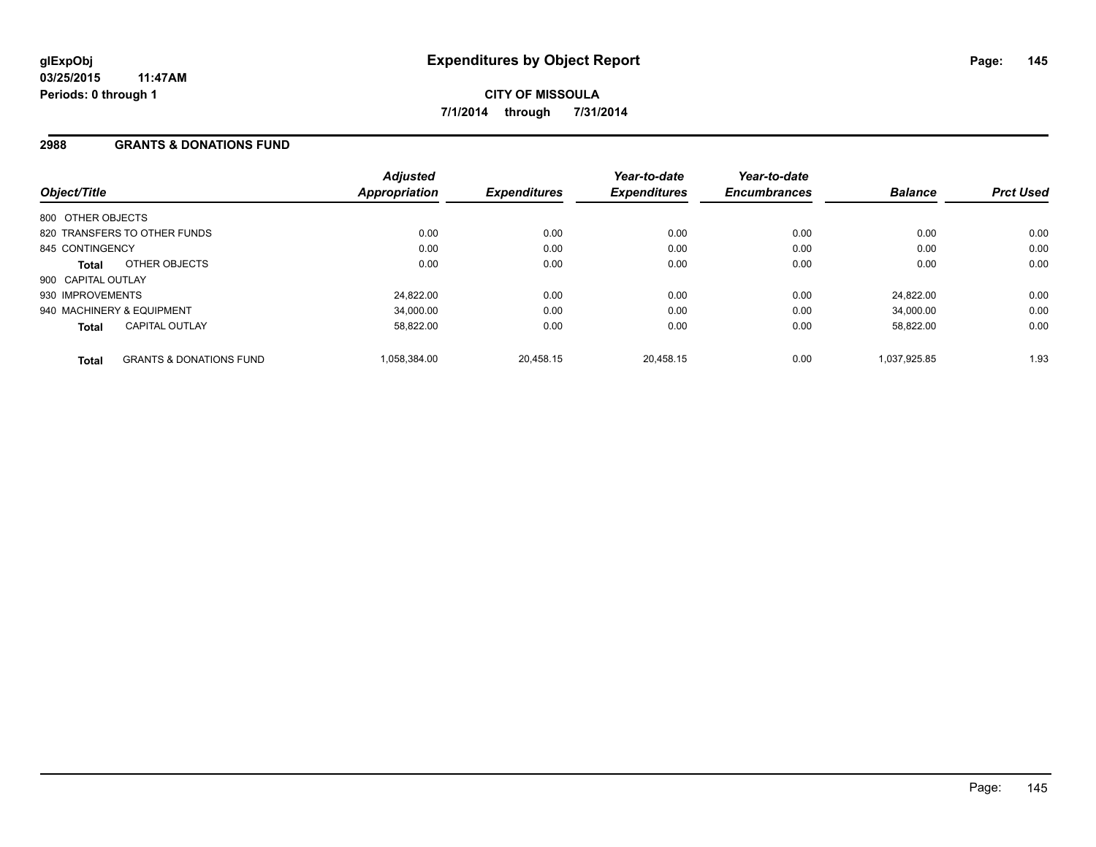### **2988 GRANTS & DONATIONS FUND**

| Object/Title              |                                    | <b>Adjusted</b><br><b>Appropriation</b> | <b>Expenditures</b> | Year-to-date<br><b>Expenditures</b> | Year-to-date<br><b>Encumbrances</b> | <b>Balance</b> | <b>Prct Used</b> |
|---------------------------|------------------------------------|-----------------------------------------|---------------------|-------------------------------------|-------------------------------------|----------------|------------------|
| 800 OTHER OBJECTS         |                                    |                                         |                     |                                     |                                     |                |                  |
|                           | 820 TRANSFERS TO OTHER FUNDS       | 0.00                                    | 0.00                | 0.00                                | 0.00                                | 0.00           | 0.00             |
| 845 CONTINGENCY           |                                    | 0.00                                    | 0.00                | 0.00                                | 0.00                                | 0.00           | 0.00             |
| Total                     | OTHER OBJECTS                      | 0.00                                    | 0.00                | 0.00                                | 0.00                                | 0.00           | 0.00             |
| 900 CAPITAL OUTLAY        |                                    |                                         |                     |                                     |                                     |                |                  |
| 930 IMPROVEMENTS          |                                    | 24.822.00                               | 0.00                | 0.00                                | 0.00                                | 24.822.00      | 0.00             |
| 940 MACHINERY & EQUIPMENT |                                    | 34,000.00                               | 0.00                | 0.00                                | 0.00                                | 34,000.00      | 0.00             |
| <b>Total</b>              | <b>CAPITAL OUTLAY</b>              | 58.822.00                               | 0.00                | 0.00                                | 0.00                                | 58.822.00      | 0.00             |
| <b>Total</b>              | <b>GRANTS &amp; DONATIONS FUND</b> | 1,058,384.00                            | 20,458.15           | 20.458.15                           | 0.00                                | 1.037.925.85   | 1.93             |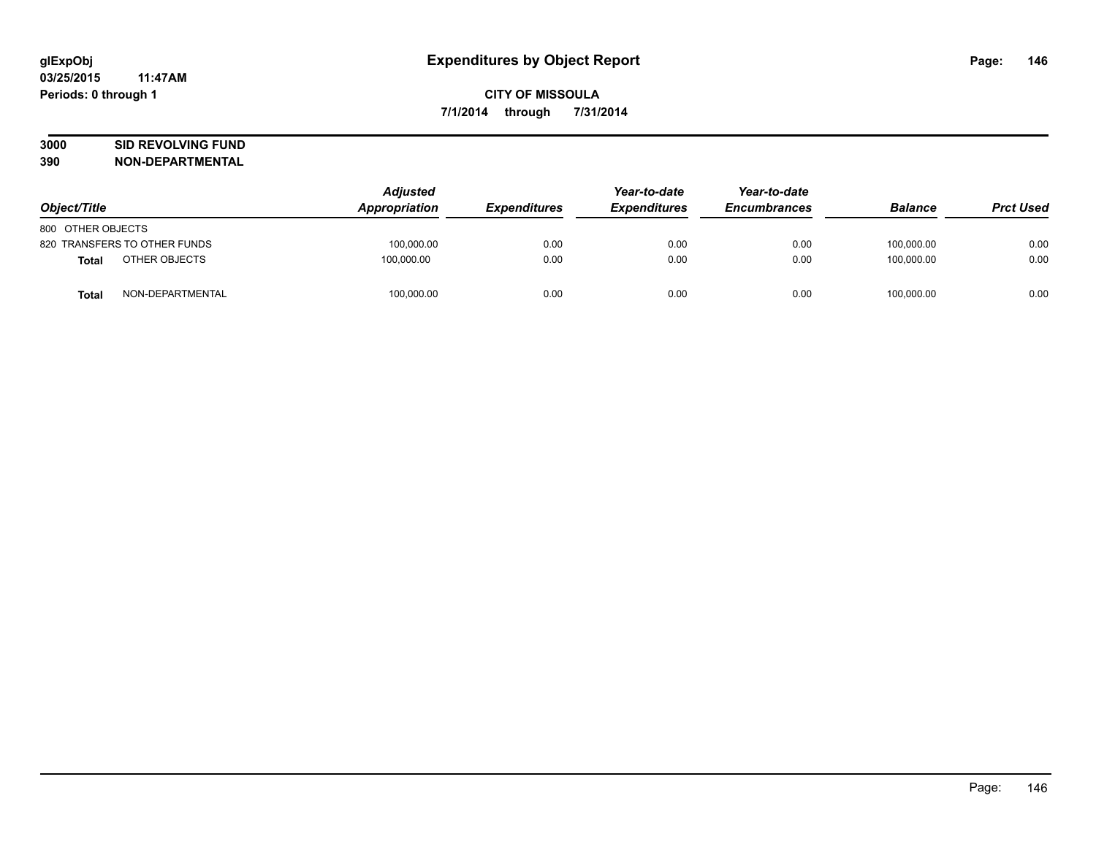# **3000 SID REVOLVING FUND**

| Object/Title      |                              | <b>Adjusted</b><br>Appropriation | <b>Expenditures</b> | Year-to-date<br><b>Expenditures</b> | Year-to-date<br><b>Encumbrances</b> | <b>Balance</b> | <b>Prct Used</b> |
|-------------------|------------------------------|----------------------------------|---------------------|-------------------------------------|-------------------------------------|----------------|------------------|
| 800 OTHER OBJECTS |                              |                                  |                     |                                     |                                     |                |                  |
|                   | 820 TRANSFERS TO OTHER FUNDS | 100.000.00                       | 0.00                | 0.00                                | 0.00                                | 100.000.00     | 0.00             |
| <b>Total</b>      | OTHER OBJECTS                | 100.000.00                       | 0.00                | 0.00                                | 0.00                                | 100.000.00     | 0.00             |
| <b>Total</b>      | NON-DEPARTMENTAL             | 100,000.00                       | 0.00                | 0.00                                | 0.00                                | 100,000.00     | 0.00             |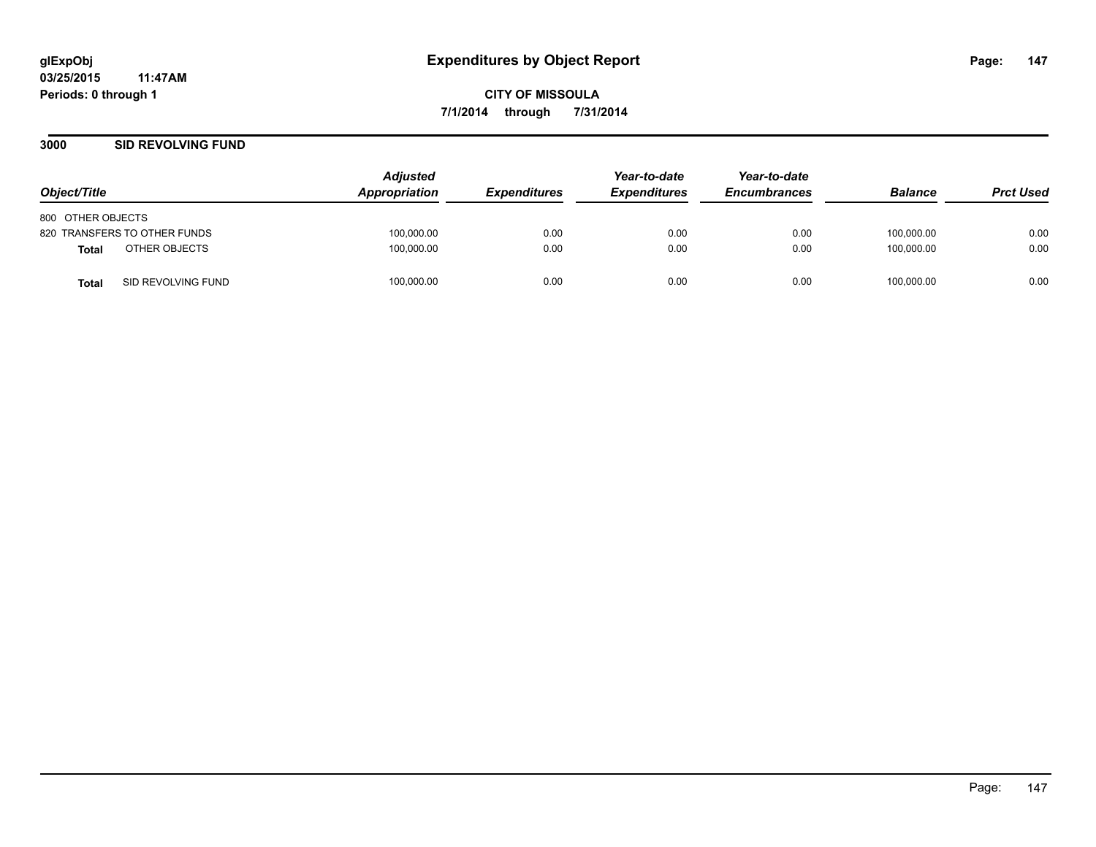#### **3000 SID REVOLVING FUND**

| Object/Title                       | <b>Adjusted</b><br>Appropriation | <i><b>Expenditures</b></i> | Year-to-date<br><b>Expenditures</b> | Year-to-date<br><b>Encumbrances</b> | <b>Balance</b> | <b>Prct Used</b> |
|------------------------------------|----------------------------------|----------------------------|-------------------------------------|-------------------------------------|----------------|------------------|
| 800 OTHER OBJECTS                  |                                  |                            |                                     |                                     |                |                  |
| 820 TRANSFERS TO OTHER FUNDS       | 100,000.00                       | 0.00                       | 0.00                                | 0.00                                | 100,000.00     | 0.00             |
| OTHER OBJECTS<br>Total             | 100,000.00                       | 0.00                       | 0.00                                | 0.00                                | 100.000.00     | 0.00             |
| SID REVOLVING FUND<br><b>Total</b> | 100,000.00                       | 0.00                       | 0.00                                | 0.00                                | 100,000.00     | 0.00             |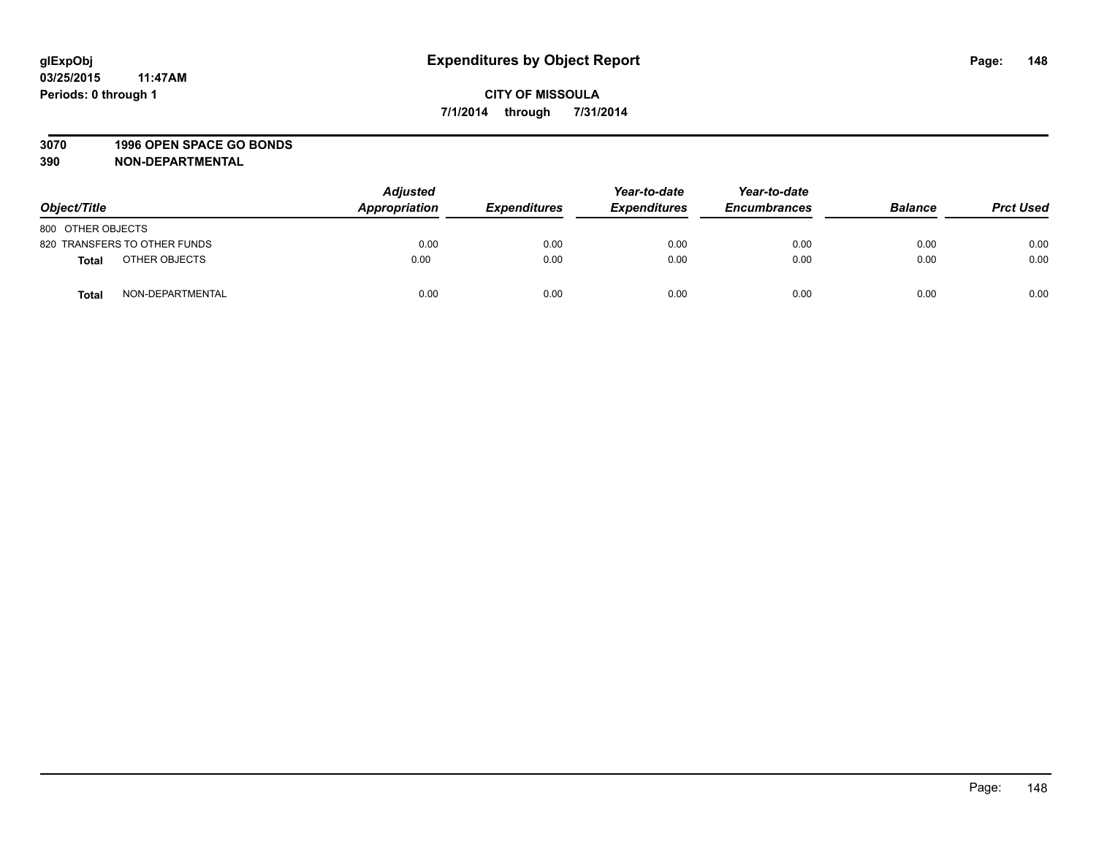#### **3070 1996 OPEN SPACE GO BONDS**

| Object/Title      |                              | <b>Adjusted</b><br>Appropriation | <b>Expenditures</b> | Year-to-date<br><b>Expenditures</b> | Year-to-date<br><b>Encumbrances</b> | <b>Balance</b> | <b>Prct Used</b> |
|-------------------|------------------------------|----------------------------------|---------------------|-------------------------------------|-------------------------------------|----------------|------------------|
| 800 OTHER OBJECTS |                              |                                  |                     |                                     |                                     |                |                  |
|                   | 820 TRANSFERS TO OTHER FUNDS | 0.00                             | 0.00                | 0.00                                | 0.00                                | 0.00           | 0.00             |
| <b>Total</b>      | OTHER OBJECTS                | 0.00                             | 0.00                | 0.00                                | 0.00                                | 0.00           | 0.00             |
| <b>Total</b>      | NON-DEPARTMENTAL             | 0.00                             | 0.00                | 0.00                                | 0.00                                | 0.00           | 0.00             |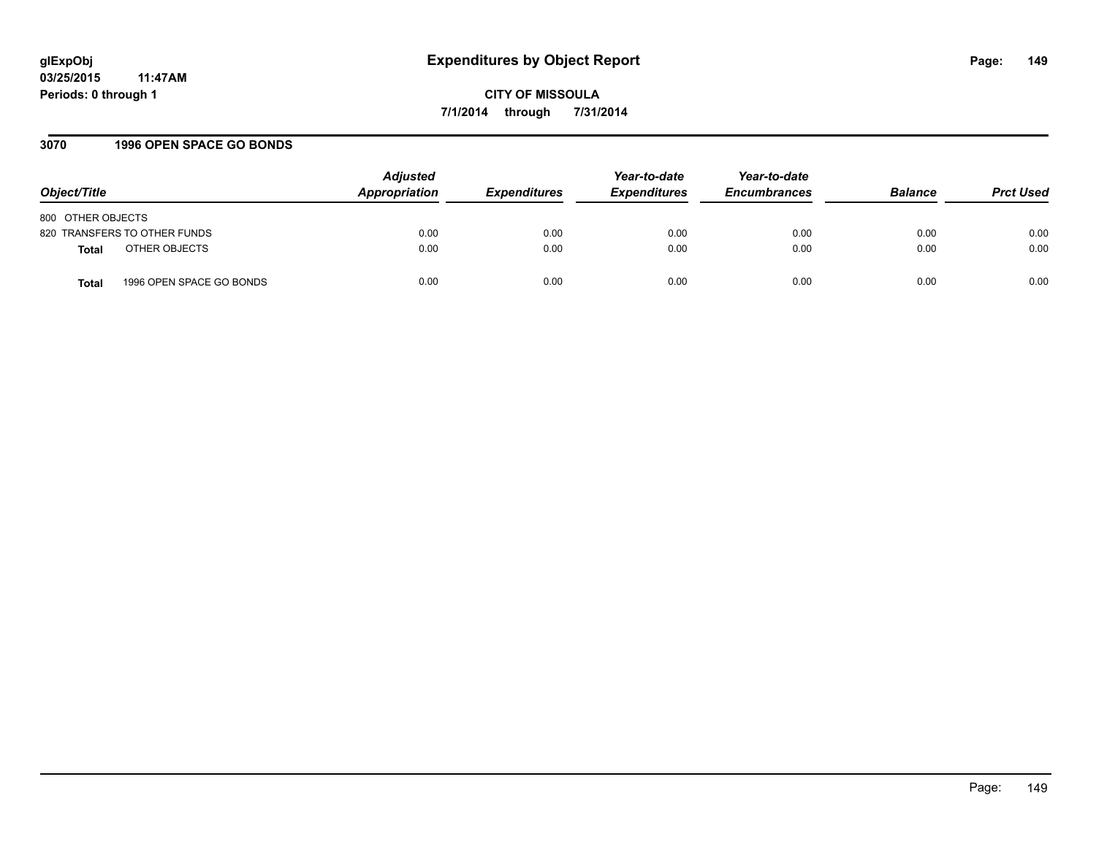#### **3070 1996 OPEN SPACE GO BONDS**

| Object/Title                             | <b>Adjusted</b><br>Appropriation | <b>Expenditures</b> | Year-to-date<br><b>Expenditures</b> | Year-to-date<br><b>Encumbrances</b> | <b>Balance</b> | <b>Prct Used</b> |
|------------------------------------------|----------------------------------|---------------------|-------------------------------------|-------------------------------------|----------------|------------------|
| 800 OTHER OBJECTS                        |                                  |                     |                                     |                                     |                |                  |
| 820 TRANSFERS TO OTHER FUNDS             | 0.00                             | 0.00                | 0.00                                | 0.00                                | 0.00           | 0.00             |
| OTHER OBJECTS<br>Total                   | 0.00                             | 0.00                | 0.00                                | 0.00                                | 0.00           | 0.00             |
| 1996 OPEN SPACE GO BONDS<br><b>Total</b> | 0.00                             | 0.00                | 0.00                                | 0.00                                | 0.00           | 0.00             |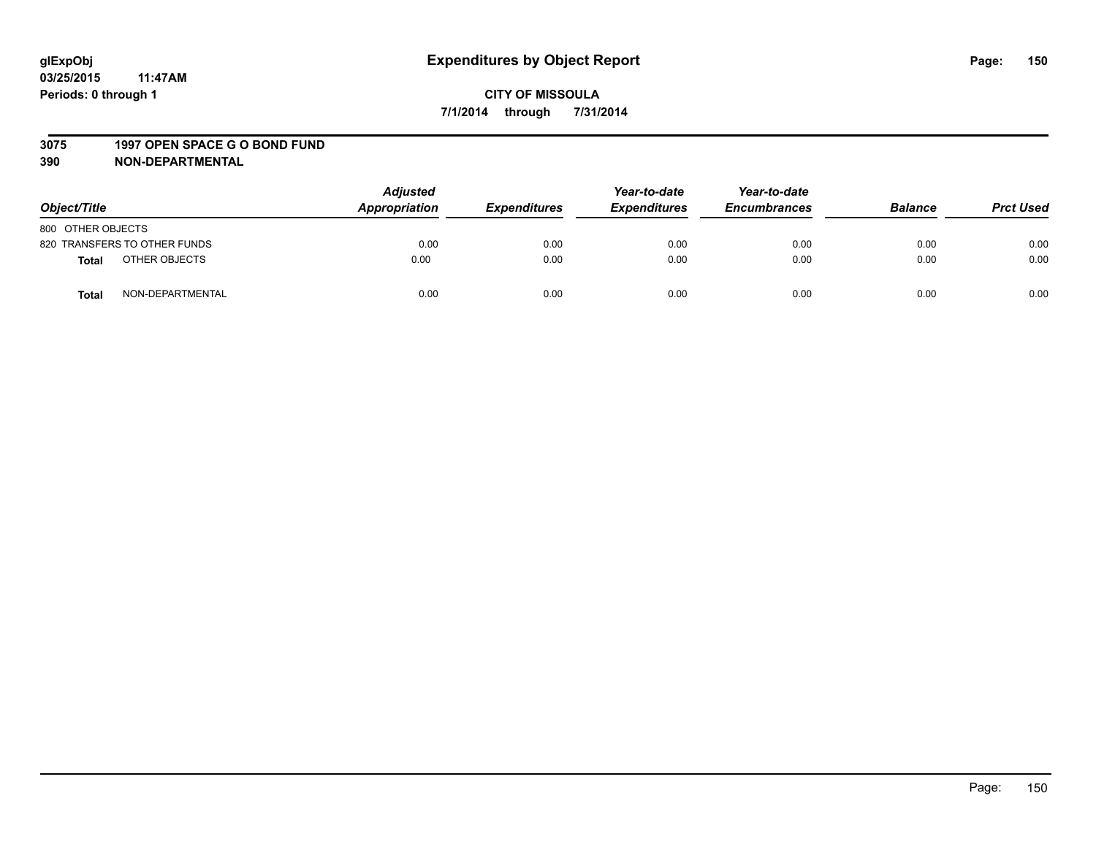#### **3075 1997 OPEN SPACE G O BOND FUND**

| Object/Title                     | <b>Adjusted</b><br>Appropriation | <b>Expenditures</b> | Year-to-date<br><b>Expenditures</b> | Year-to-date<br><b>Encumbrances</b> | <b>Balance</b> | <b>Prct Used</b> |
|----------------------------------|----------------------------------|---------------------|-------------------------------------|-------------------------------------|----------------|------------------|
| 800 OTHER OBJECTS                |                                  |                     |                                     |                                     |                |                  |
| 820 TRANSFERS TO OTHER FUNDS     | 0.00                             | 0.00                | 0.00                                | 0.00                                | 0.00           | 0.00             |
| OTHER OBJECTS<br>Total           | 0.00                             | 0.00                | 0.00                                | 0.00                                | 0.00           | 0.00             |
| NON-DEPARTMENTAL<br><b>Total</b> | 0.00                             | 0.00                | 0.00                                | 0.00                                | 0.00           | 0.00             |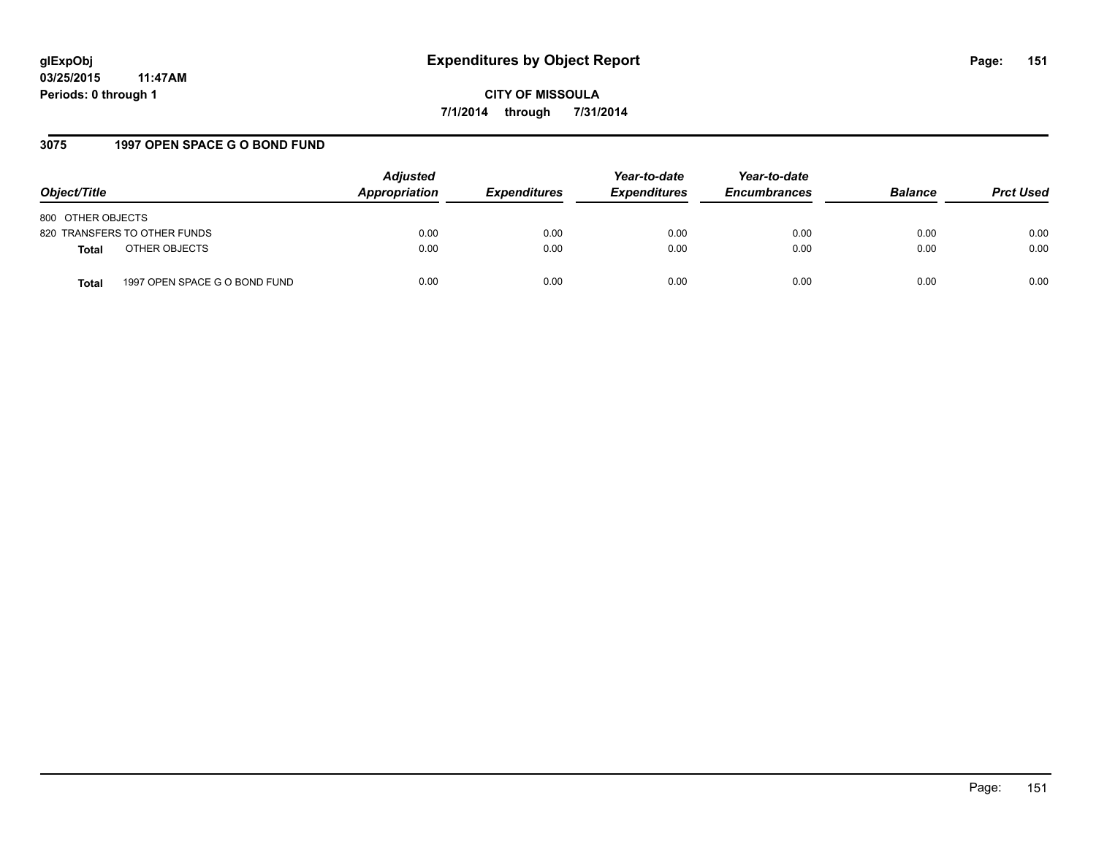**CITY OF MISSOULA 7/1/2014 through 7/31/2014**

## **3075 1997 OPEN SPACE G O BOND FUND**

| Object/Title                                  | <b>Adjusted</b><br>Appropriation | <b>Expenditures</b> | Year-to-date<br><b>Expenditures</b> | Year-to-date<br><b>Encumbrances</b> | <b>Balance</b> | <b>Prct Used</b> |
|-----------------------------------------------|----------------------------------|---------------------|-------------------------------------|-------------------------------------|----------------|------------------|
| 800 OTHER OBJECTS                             |                                  |                     |                                     |                                     |                |                  |
| 820 TRANSFERS TO OTHER FUNDS                  | 0.00                             | 0.00                | 0.00                                | 0.00                                | 0.00           | 0.00             |
| OTHER OBJECTS<br><b>Total</b>                 | 0.00                             | 0.00                | 0.00                                | 0.00                                | 0.00           | 0.00             |
| 1997 OPEN SPACE G O BOND FUND<br><b>Total</b> | 0.00                             | 0.00                | 0.00                                | 0.00                                | 0.00           | 0.00             |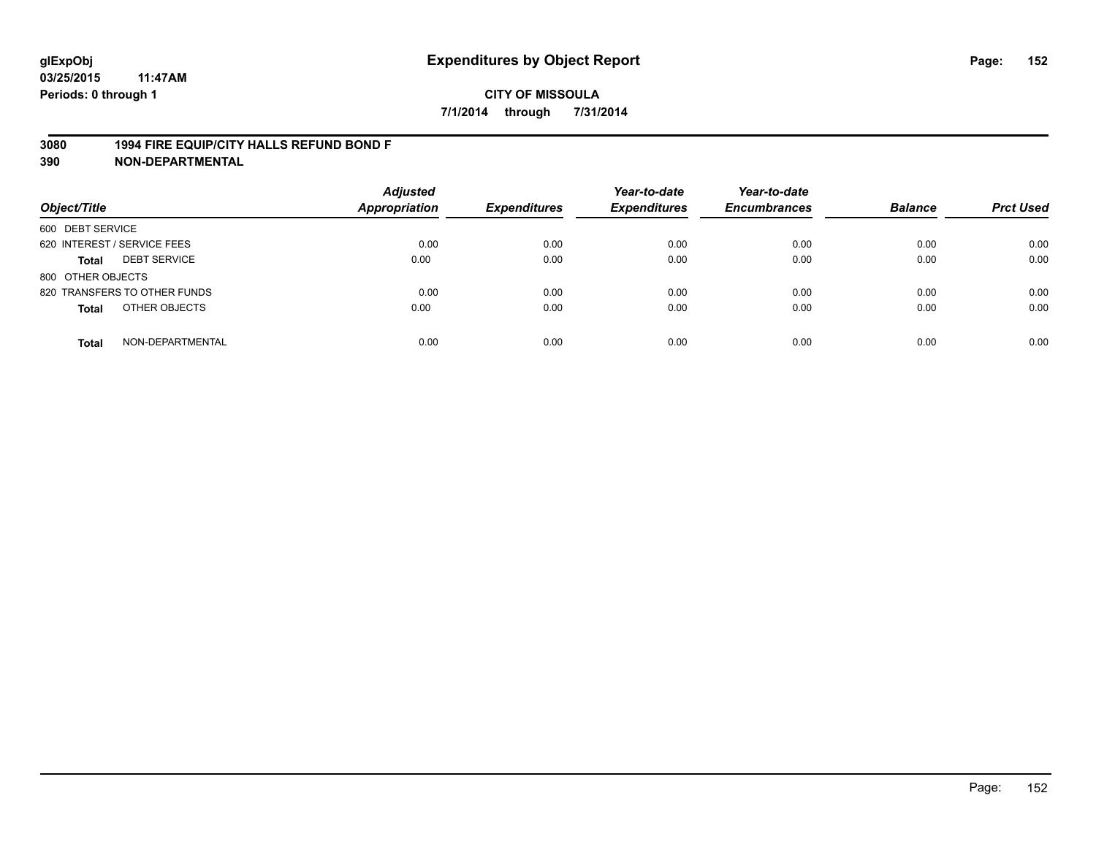#### **3080 1994 FIRE EQUIP/CITY HALLS REFUND BOND F**

| Object/Title                     | <b>Adjusted</b><br><b>Appropriation</b> | <b>Expenditures</b> | Year-to-date<br><b>Expenditures</b> | Year-to-date<br><b>Encumbrances</b> | <b>Balance</b> | <b>Prct Used</b> |
|----------------------------------|-----------------------------------------|---------------------|-------------------------------------|-------------------------------------|----------------|------------------|
| 600 DEBT SERVICE                 |                                         |                     |                                     |                                     |                |                  |
| 620 INTEREST / SERVICE FEES      | 0.00                                    | 0.00                | 0.00                                | 0.00                                | 0.00           | 0.00             |
| <b>DEBT SERVICE</b><br>Total     | 0.00                                    | 0.00                | 0.00                                | 0.00                                | 0.00           | 0.00             |
| 800 OTHER OBJECTS                |                                         |                     |                                     |                                     |                |                  |
| 820 TRANSFERS TO OTHER FUNDS     | 0.00                                    | 0.00                | 0.00                                | 0.00                                | 0.00           | 0.00             |
| OTHER OBJECTS<br><b>Total</b>    | 0.00                                    | 0.00                | 0.00                                | 0.00                                | 0.00           | 0.00             |
| NON-DEPARTMENTAL<br><b>Total</b> | 0.00                                    | 0.00                | 0.00                                | 0.00                                | 0.00           | 0.00             |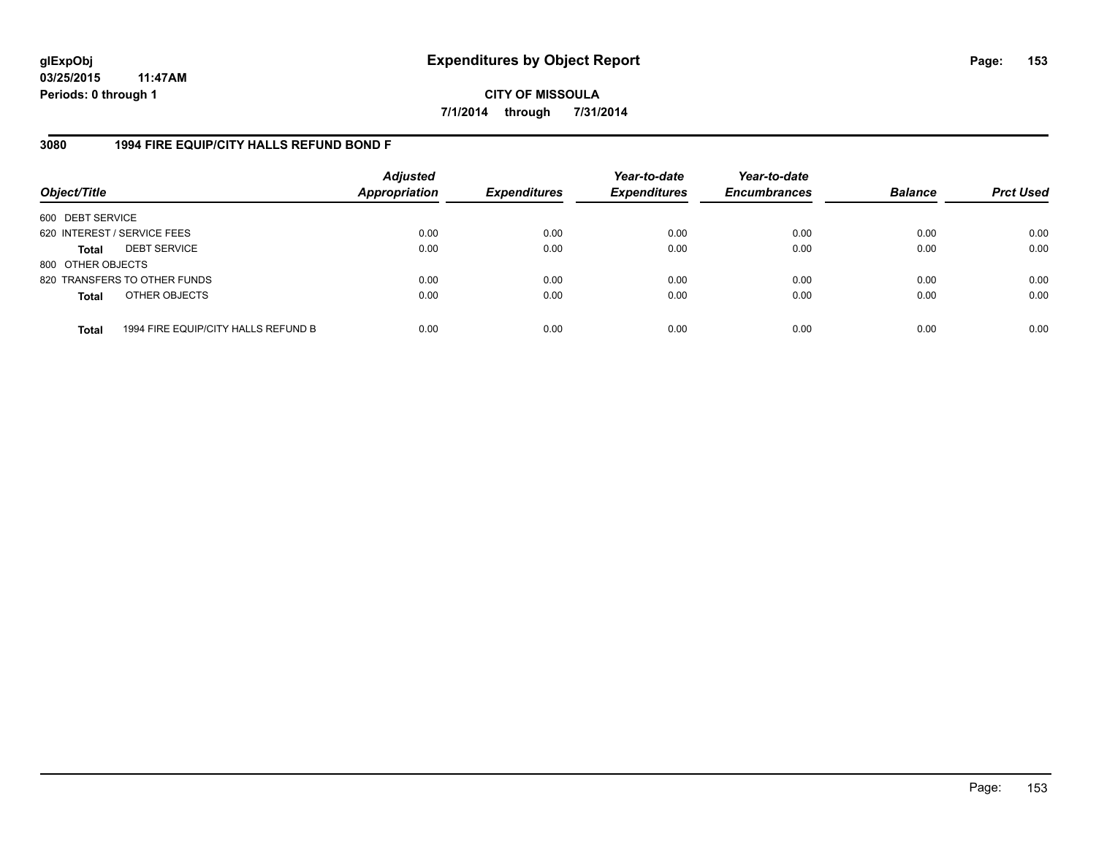**CITY OF MISSOULA 7/1/2014 through 7/31/2014**

### **3080 1994 FIRE EQUIP/CITY HALLS REFUND BOND F**

| Object/Title                |                                     | <b>Adjusted</b><br><b>Appropriation</b> | <b>Expenditures</b> | Year-to-date<br><b>Expenditures</b> | Year-to-date<br><b>Encumbrances</b> | <b>Balance</b> | <b>Prct Used</b> |
|-----------------------------|-------------------------------------|-----------------------------------------|---------------------|-------------------------------------|-------------------------------------|----------------|------------------|
| 600 DEBT SERVICE            |                                     |                                         |                     |                                     |                                     |                |                  |
| 620 INTEREST / SERVICE FEES |                                     | 0.00                                    | 0.00                | 0.00                                | 0.00                                | 0.00           | 0.00             |
| <b>Total</b>                | <b>DEBT SERVICE</b>                 | 0.00                                    | 0.00                | 0.00                                | 0.00                                | 0.00           | 0.00             |
| 800 OTHER OBJECTS           |                                     |                                         |                     |                                     |                                     |                |                  |
|                             | 820 TRANSFERS TO OTHER FUNDS        | 0.00                                    | 0.00                | 0.00                                | 0.00                                | 0.00           | 0.00             |
| <b>Total</b>                | OTHER OBJECTS                       | 0.00                                    | 0.00                | 0.00                                | 0.00                                | 0.00           | 0.00             |
| <b>Total</b>                | 1994 FIRE EQUIP/CITY HALLS REFUND B | 0.00                                    | 0.00                | 0.00                                | 0.00                                | 0.00           | 0.00             |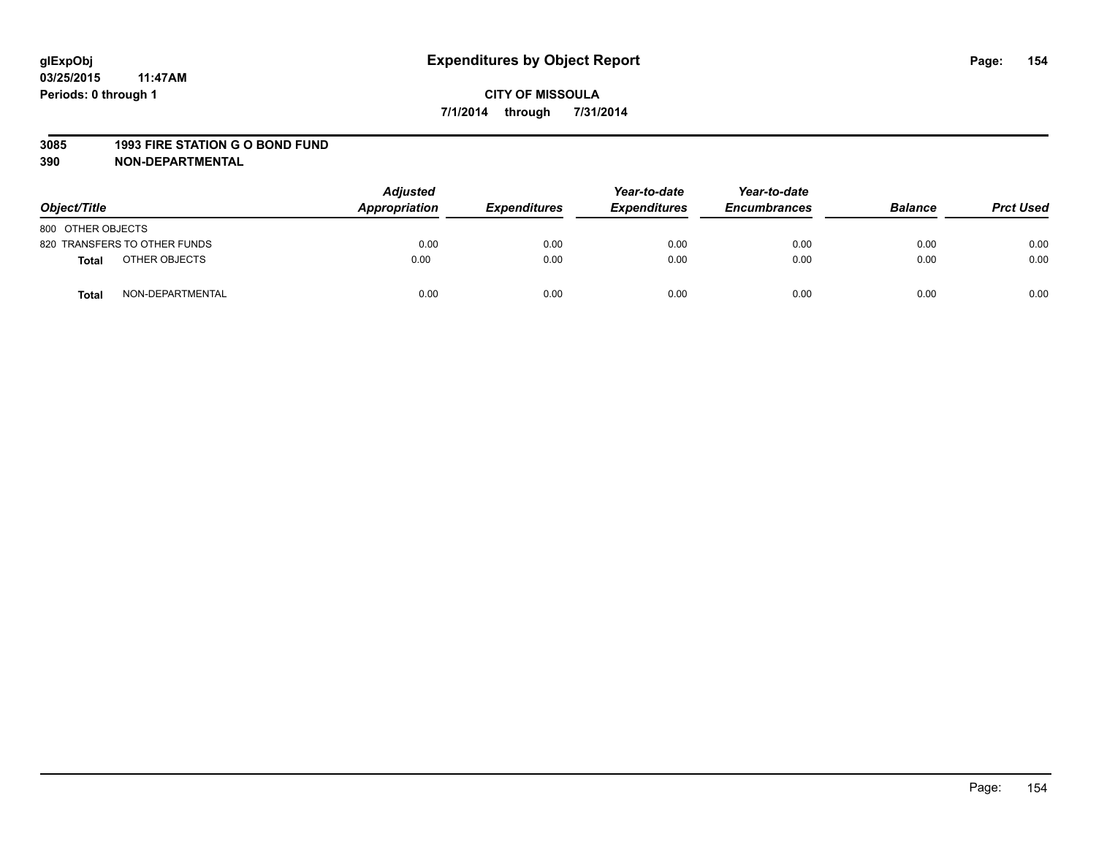#### **3085 1993 FIRE STATION G O BOND FUND**

| Object/Title      |                              | <b>Adjusted</b><br>Appropriation | <b>Expenditures</b> | Year-to-date<br><b>Expenditures</b> | Year-to-date<br><b>Encumbrances</b> | <b>Balance</b> | <b>Prct Used</b> |
|-------------------|------------------------------|----------------------------------|---------------------|-------------------------------------|-------------------------------------|----------------|------------------|
| 800 OTHER OBJECTS |                              |                                  |                     |                                     |                                     |                |                  |
|                   | 820 TRANSFERS TO OTHER FUNDS | 0.00                             | 0.00                | 0.00                                | 0.00                                | 0.00           | 0.00             |
| <b>Total</b>      | OTHER OBJECTS                | 0.00                             | 0.00                | 0.00                                | 0.00                                | 0.00           | 0.00             |
| <b>Total</b>      | NON-DEPARTMENTAL             | 0.00                             | 0.00                | 0.00                                | 0.00                                | 0.00           | 0.00             |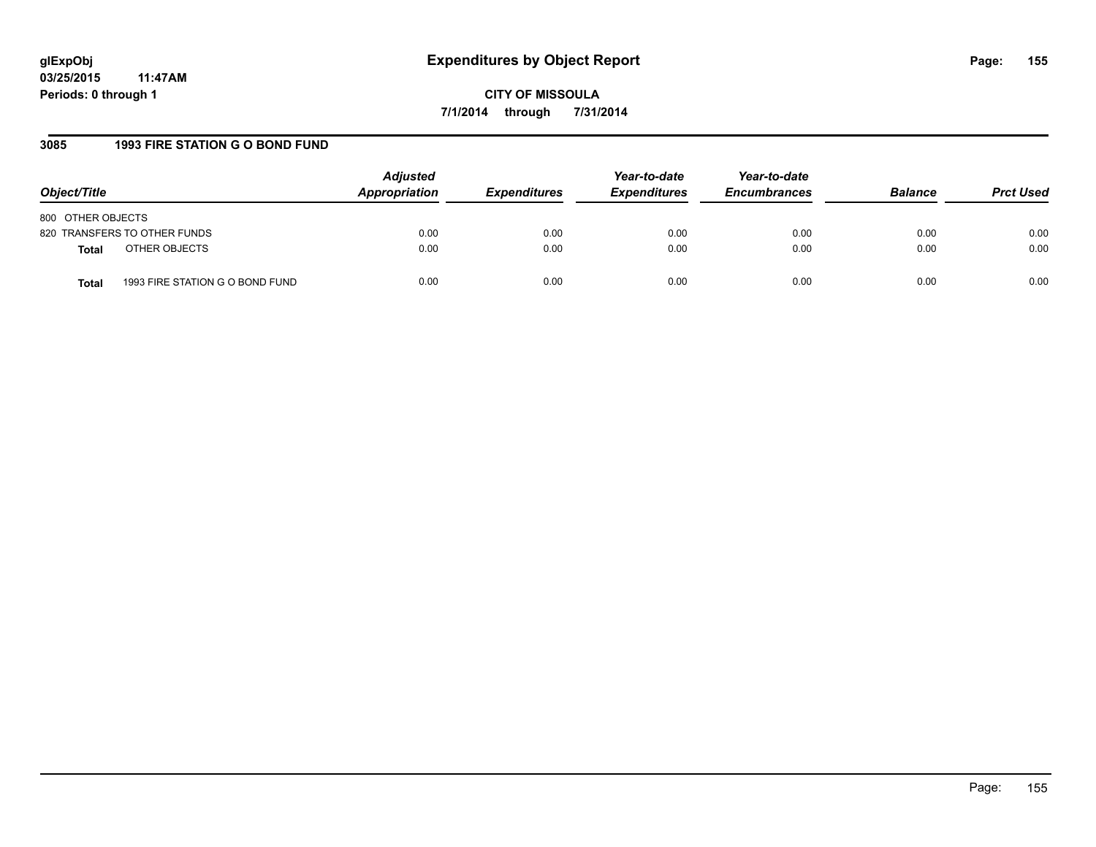**CITY OF MISSOULA 7/1/2014 through 7/31/2014**

## **3085 1993 FIRE STATION G O BOND FUND**

| Object/Title                                    | <b>Adjusted</b><br>Appropriation | <b>Expenditures</b> | Year-to-date<br><b>Expenditures</b> | Year-to-date<br><b>Encumbrances</b> | <b>Balance</b> | <b>Prct Used</b> |
|-------------------------------------------------|----------------------------------|---------------------|-------------------------------------|-------------------------------------|----------------|------------------|
| 800 OTHER OBJECTS                               |                                  |                     |                                     |                                     |                |                  |
| 820 TRANSFERS TO OTHER FUNDS                    | 0.00                             | 0.00                | 0.00                                | 0.00                                | 0.00           | 0.00             |
| OTHER OBJECTS<br><b>Total</b>                   | 0.00                             | 0.00                | 0.00                                | 0.00                                | 0.00           | 0.00             |
| 1993 FIRE STATION G O BOND FUND<br><b>Total</b> | 0.00                             | 0.00                | 0.00                                | 0.00                                | 0.00           | 0.00             |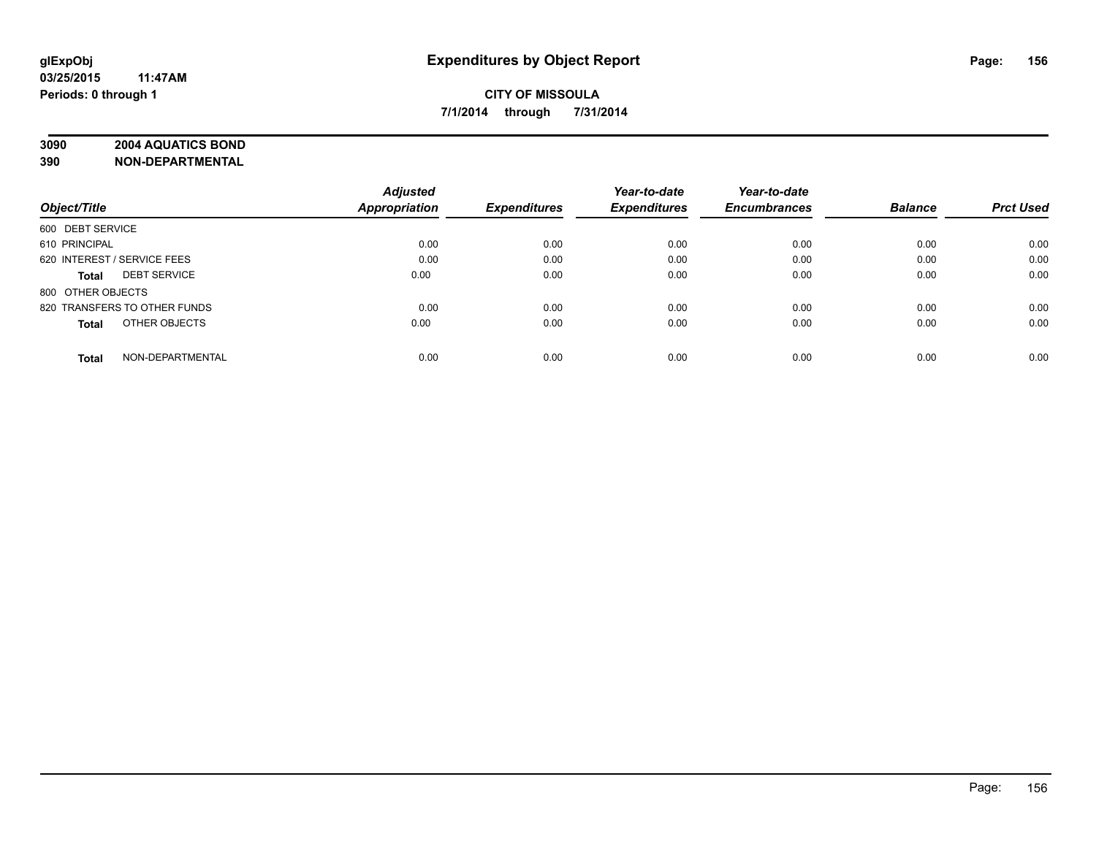# **3090 2004 AQUATICS BOND**

|                                     | <b>Adjusted</b> |                     | Year-to-date        | Year-to-date        |                |                  |
|-------------------------------------|-----------------|---------------------|---------------------|---------------------|----------------|------------------|
| Object/Title                        | Appropriation   | <b>Expenditures</b> | <b>Expenditures</b> | <b>Encumbrances</b> | <b>Balance</b> | <b>Prct Used</b> |
| 600 DEBT SERVICE                    |                 |                     |                     |                     |                |                  |
| 610 PRINCIPAL                       | 0.00            | 0.00                | 0.00                | 0.00                | 0.00           | 0.00             |
| 620 INTEREST / SERVICE FEES         | 0.00            | 0.00                | 0.00                | 0.00                | 0.00           | 0.00             |
| <b>DEBT SERVICE</b><br><b>Total</b> | 0.00            | 0.00                | 0.00                | 0.00                | 0.00           | 0.00             |
| 800 OTHER OBJECTS                   |                 |                     |                     |                     |                |                  |
| 820 TRANSFERS TO OTHER FUNDS        | 0.00            | 0.00                | 0.00                | 0.00                | 0.00           | 0.00             |
| OTHER OBJECTS<br><b>Total</b>       | 0.00            | 0.00                | 0.00                | 0.00                | 0.00           | 0.00             |
| NON-DEPARTMENTAL<br><b>Total</b>    | 0.00            | 0.00                | 0.00                | 0.00                | 0.00           | 0.00             |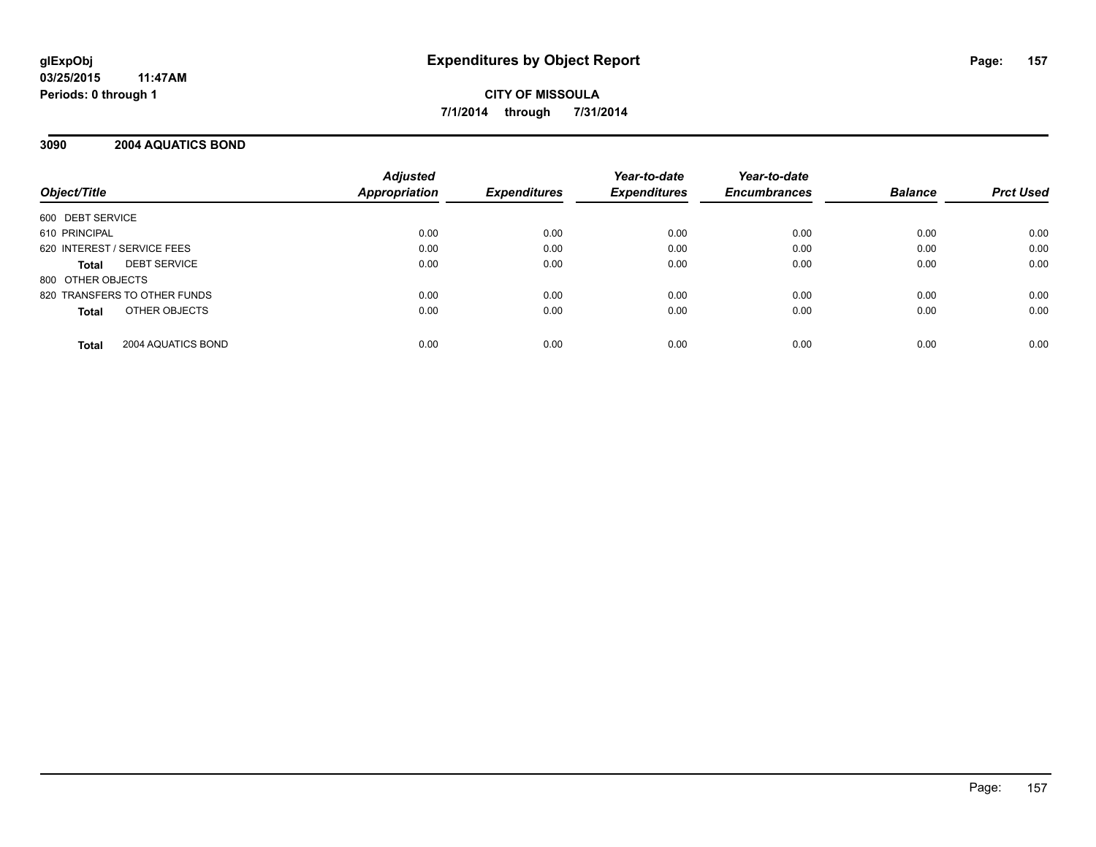## **3090 2004 AQUATICS BOND**

| Object/Title                        | <b>Adjusted</b><br><b>Appropriation</b> | <b>Expenditures</b> | Year-to-date<br><b>Expenditures</b> | Year-to-date<br><b>Encumbrances</b> | <b>Balance</b> | <b>Prct Used</b> |
|-------------------------------------|-----------------------------------------|---------------------|-------------------------------------|-------------------------------------|----------------|------------------|
| 600 DEBT SERVICE                    |                                         |                     |                                     |                                     |                |                  |
| 610 PRINCIPAL                       | 0.00                                    | 0.00                | 0.00                                | 0.00                                | 0.00           | 0.00             |
| 620 INTEREST / SERVICE FEES         | 0.00                                    | 0.00                | 0.00                                | 0.00                                | 0.00           | 0.00             |
| <b>DEBT SERVICE</b><br><b>Total</b> | 0.00                                    | 0.00                | 0.00                                | 0.00                                | 0.00           | 0.00             |
| 800 OTHER OBJECTS                   |                                         |                     |                                     |                                     |                |                  |
| 820 TRANSFERS TO OTHER FUNDS        | 0.00                                    | 0.00                | 0.00                                | 0.00                                | 0.00           | 0.00             |
| OTHER OBJECTS<br><b>Total</b>       | 0.00                                    | 0.00                | 0.00                                | 0.00                                | 0.00           | 0.00             |
| 2004 AQUATICS BOND<br><b>Total</b>  | 0.00                                    | 0.00                | 0.00                                | 0.00                                | 0.00           | 0.00             |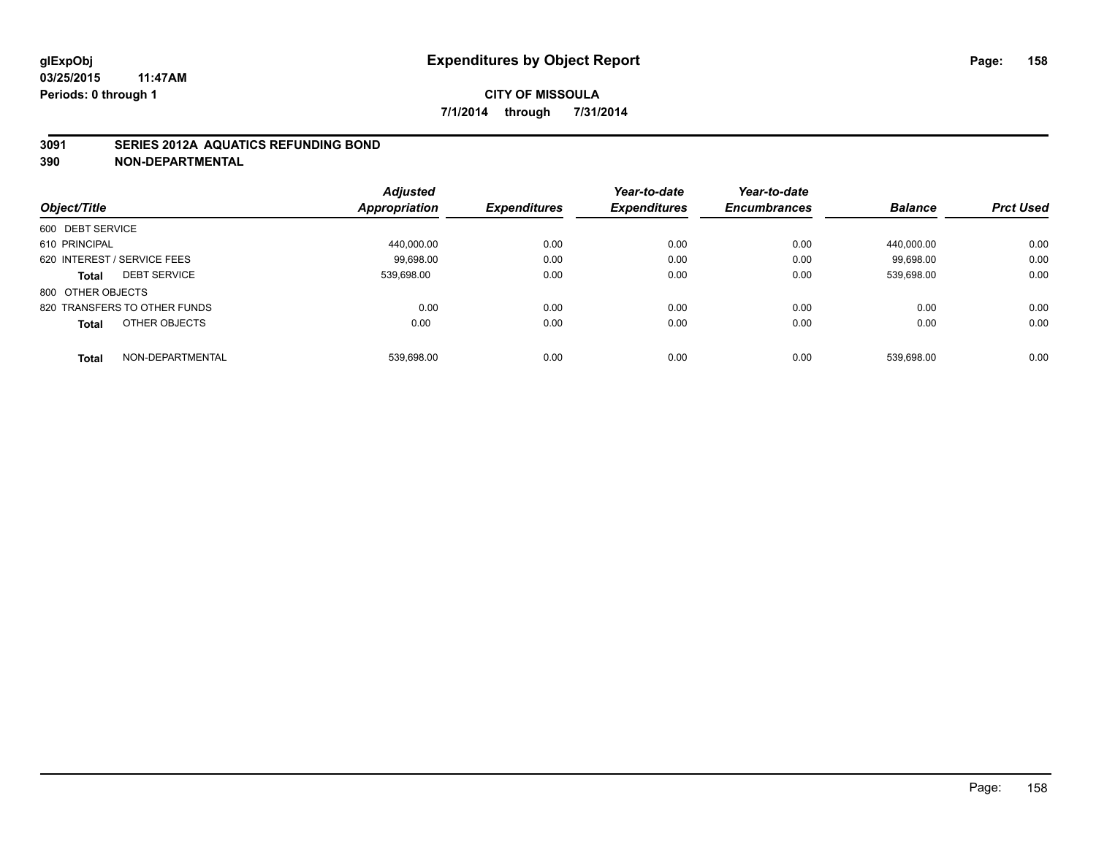#### **3091 SERIES 2012A AQUATICS REFUNDING BOND**

|                                  | <b>Adjusted</b> |                     | Year-to-date        | Year-to-date        |                |                  |
|----------------------------------|-----------------|---------------------|---------------------|---------------------|----------------|------------------|
| Object/Title                     | Appropriation   | <b>Expenditures</b> | <b>Expenditures</b> | <b>Encumbrances</b> | <b>Balance</b> | <b>Prct Used</b> |
| 600 DEBT SERVICE                 |                 |                     |                     |                     |                |                  |
| 610 PRINCIPAL                    | 440.000.00      | 0.00                | 0.00                | 0.00                | 440.000.00     | 0.00             |
| 620 INTEREST / SERVICE FEES      | 99.698.00       | 0.00                | 0.00                | 0.00                | 99.698.00      | 0.00             |
| <b>DEBT SERVICE</b><br>Total     | 539.698.00      | 0.00                | 0.00                | 0.00                | 539.698.00     | 0.00             |
| 800 OTHER OBJECTS                |                 |                     |                     |                     |                |                  |
| 820 TRANSFERS TO OTHER FUNDS     | 0.00            | 0.00                | 0.00                | 0.00                | 0.00           | 0.00             |
| OTHER OBJECTS<br><b>Total</b>    | 0.00            | 0.00                | 0.00                | 0.00                | 0.00           | 0.00             |
| NON-DEPARTMENTAL<br><b>Total</b> | 539.698.00      | 0.00                | 0.00                | 0.00                | 539.698.00     | 0.00             |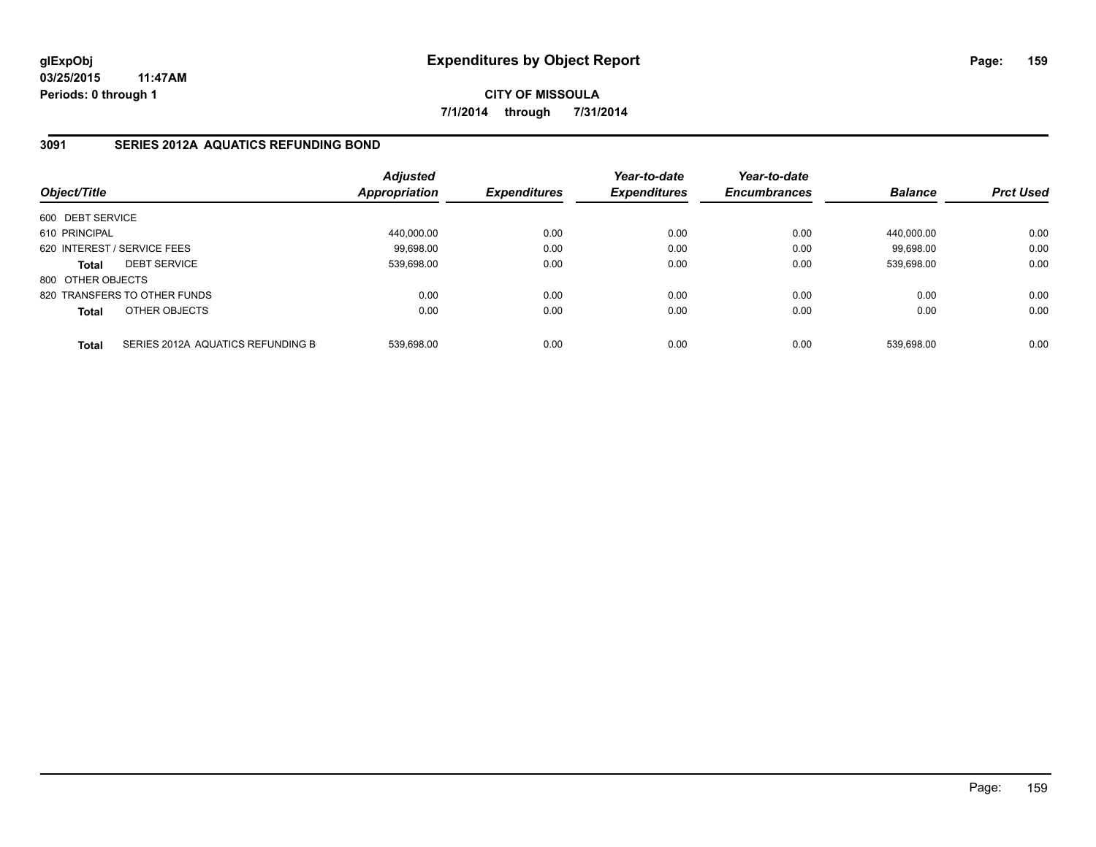**CITY OF MISSOULA 7/1/2014 through 7/31/2014**

## **3091 SERIES 2012A AQUATICS REFUNDING BOND**

| Object/Title      |                                   | <b>Adjusted</b><br>Appropriation | <b>Expenditures</b> | Year-to-date<br><b>Expenditures</b> | Year-to-date<br><b>Encumbrances</b> | <b>Balance</b> | <b>Prct Used</b> |
|-------------------|-----------------------------------|----------------------------------|---------------------|-------------------------------------|-------------------------------------|----------------|------------------|
| 600 DEBT SERVICE  |                                   |                                  |                     |                                     |                                     |                |                  |
| 610 PRINCIPAL     |                                   | 440,000.00                       | 0.00                | 0.00                                | 0.00                                | 440.000.00     | 0.00             |
|                   | 620 INTEREST / SERVICE FEES       | 99,698.00                        | 0.00                | 0.00                                | 0.00                                | 99.698.00      | 0.00             |
| <b>Total</b>      | <b>DEBT SERVICE</b>               | 539.698.00                       | 0.00                | 0.00                                | 0.00                                | 539.698.00     | 0.00             |
| 800 OTHER OBJECTS |                                   |                                  |                     |                                     |                                     |                |                  |
|                   | 820 TRANSFERS TO OTHER FUNDS      | 0.00                             | 0.00                | 0.00                                | 0.00                                | 0.00           | 0.00             |
| <b>Total</b>      | OTHER OBJECTS                     | 0.00                             | 0.00                | 0.00                                | 0.00                                | 0.00           | 0.00             |
| <b>Total</b>      | SERIES 2012A AQUATICS REFUNDING B | 539.698.00                       | 0.00                | 0.00                                | 0.00                                | 539.698.00     | 0.00             |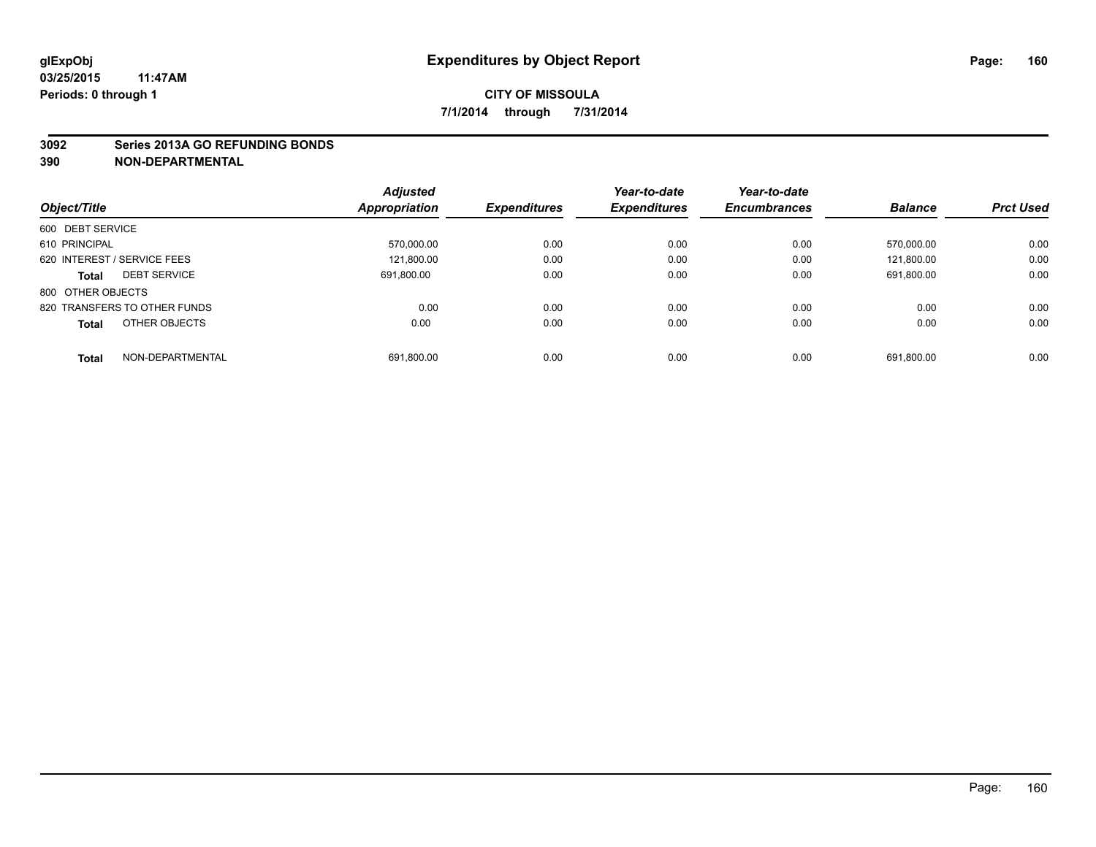#### **3092 Series 2013A GO REFUNDING BONDS**

|                                     | <b>Adjusted</b>      |                     | Year-to-date        | Year-to-date        |                |                  |
|-------------------------------------|----------------------|---------------------|---------------------|---------------------|----------------|------------------|
| Object/Title                        | <b>Appropriation</b> | <b>Expenditures</b> | <b>Expenditures</b> | <b>Encumbrances</b> | <b>Balance</b> | <b>Prct Used</b> |
| 600 DEBT SERVICE                    |                      |                     |                     |                     |                |                  |
| 610 PRINCIPAL                       | 570.000.00           | 0.00                | 0.00                | 0.00                | 570.000.00     | 0.00             |
| 620 INTEREST / SERVICE FEES         | 121,800.00           | 0.00                | 0.00                | 0.00                | 121.800.00     | 0.00             |
| <b>DEBT SERVICE</b><br><b>Total</b> | 691.800.00           | 0.00                | 0.00                | 0.00                | 691.800.00     | 0.00             |
| 800 OTHER OBJECTS                   |                      |                     |                     |                     |                |                  |
| 820 TRANSFERS TO OTHER FUNDS        | 0.00                 | 0.00                | 0.00                | 0.00                | 0.00           | 0.00             |
| OTHER OBJECTS<br><b>Total</b>       | 0.00                 | 0.00                | 0.00                | 0.00                | 0.00           | 0.00             |
| NON-DEPARTMENTAL<br><b>Total</b>    | 691,800.00           | 0.00                | 0.00                | 0.00                | 691.800.00     | 0.00             |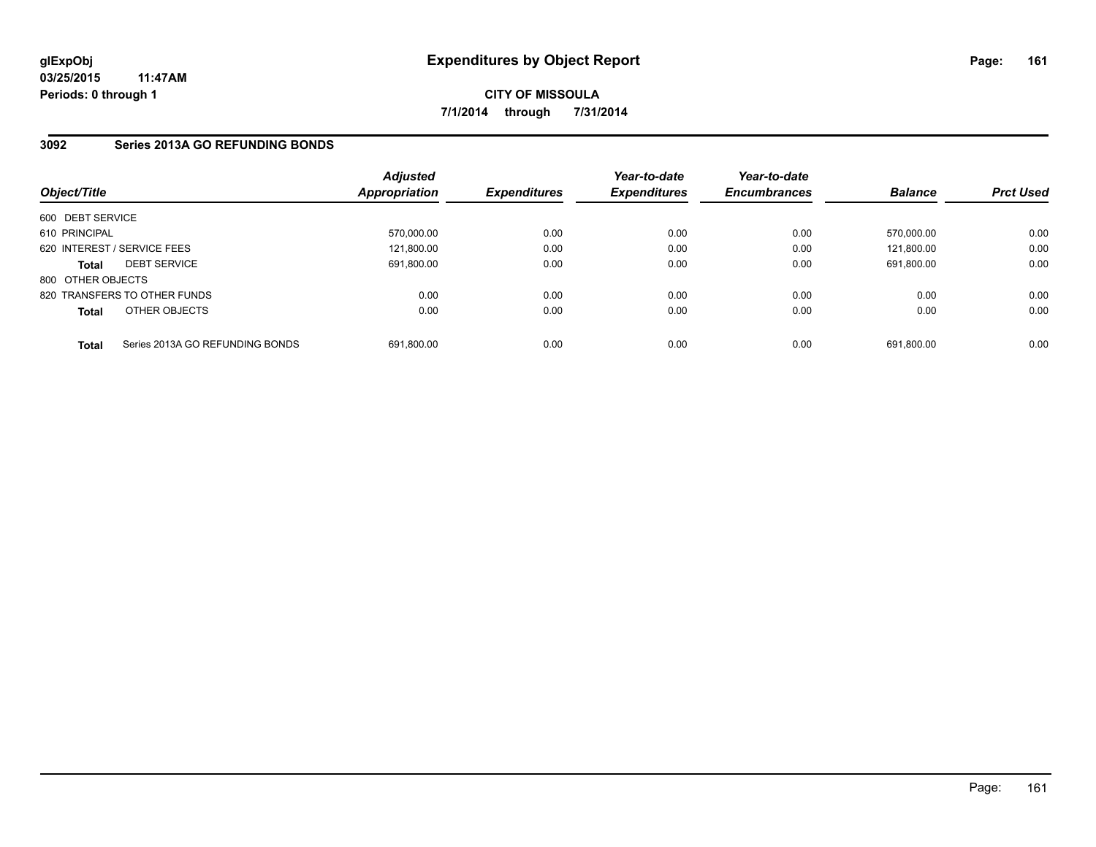## **3092 Series 2013A GO REFUNDING BONDS**

| Object/Title      |                                 | <b>Adjusted</b><br>Appropriation | <b>Expenditures</b> | Year-to-date<br><b>Expenditures</b> | Year-to-date<br><b>Encumbrances</b> | <b>Balance</b> | <b>Prct Used</b> |
|-------------------|---------------------------------|----------------------------------|---------------------|-------------------------------------|-------------------------------------|----------------|------------------|
| 600 DEBT SERVICE  |                                 |                                  |                     |                                     |                                     |                |                  |
| 610 PRINCIPAL     |                                 | 570,000.00                       | 0.00                | 0.00                                | 0.00                                | 570.000.00     | 0.00             |
|                   | 620 INTEREST / SERVICE FEES     | 121.800.00                       | 0.00                | 0.00                                | 0.00                                | 121.800.00     | 0.00             |
| <b>Total</b>      | <b>DEBT SERVICE</b>             | 691.800.00                       | 0.00                | 0.00                                | 0.00                                | 691.800.00     | 0.00             |
| 800 OTHER OBJECTS |                                 |                                  |                     |                                     |                                     |                |                  |
|                   | 820 TRANSFERS TO OTHER FUNDS    | 0.00                             | 0.00                | 0.00                                | 0.00                                | 0.00           | 0.00             |
| <b>Total</b>      | OTHER OBJECTS                   | 0.00                             | 0.00                | 0.00                                | 0.00                                | 0.00           | 0.00             |
| <b>Total</b>      | Series 2013A GO REFUNDING BONDS | 691.800.00                       | 0.00                | 0.00                                | 0.00                                | 691.800.00     | 0.00             |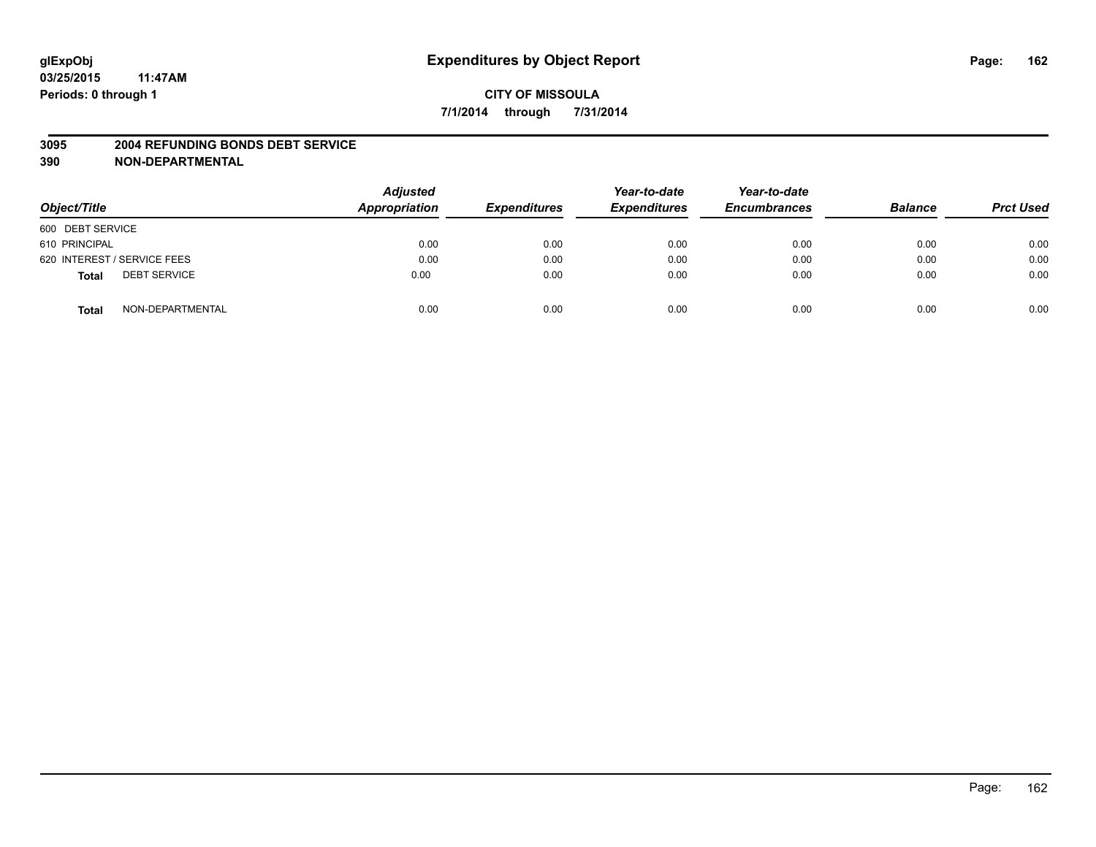#### **3095 2004 REFUNDING BONDS DEBT SERVICE**

| Object/Title                        | <b>Adjusted</b><br>Appropriation | <b>Expenditures</b> | Year-to-date<br><b>Expenditures</b> | Year-to-date<br><b>Encumbrances</b> | <b>Balance</b> | <b>Prct Used</b> |
|-------------------------------------|----------------------------------|---------------------|-------------------------------------|-------------------------------------|----------------|------------------|
| 600 DEBT SERVICE                    |                                  |                     |                                     |                                     |                |                  |
| 610 PRINCIPAL                       | 0.00                             | 0.00                | 0.00                                | 0.00                                | 0.00           | 0.00             |
| 620 INTEREST / SERVICE FEES         | 0.00                             | 0.00                | 0.00                                | 0.00                                | 0.00           | 0.00             |
| <b>DEBT SERVICE</b><br><b>Total</b> | 0.00                             | 0.00                | 0.00                                | 0.00                                | 0.00           | 0.00             |
| NON-DEPARTMENTAL<br><b>Total</b>    | 0.00                             | 0.00                | 0.00                                | 0.00                                | 0.00           | 0.00             |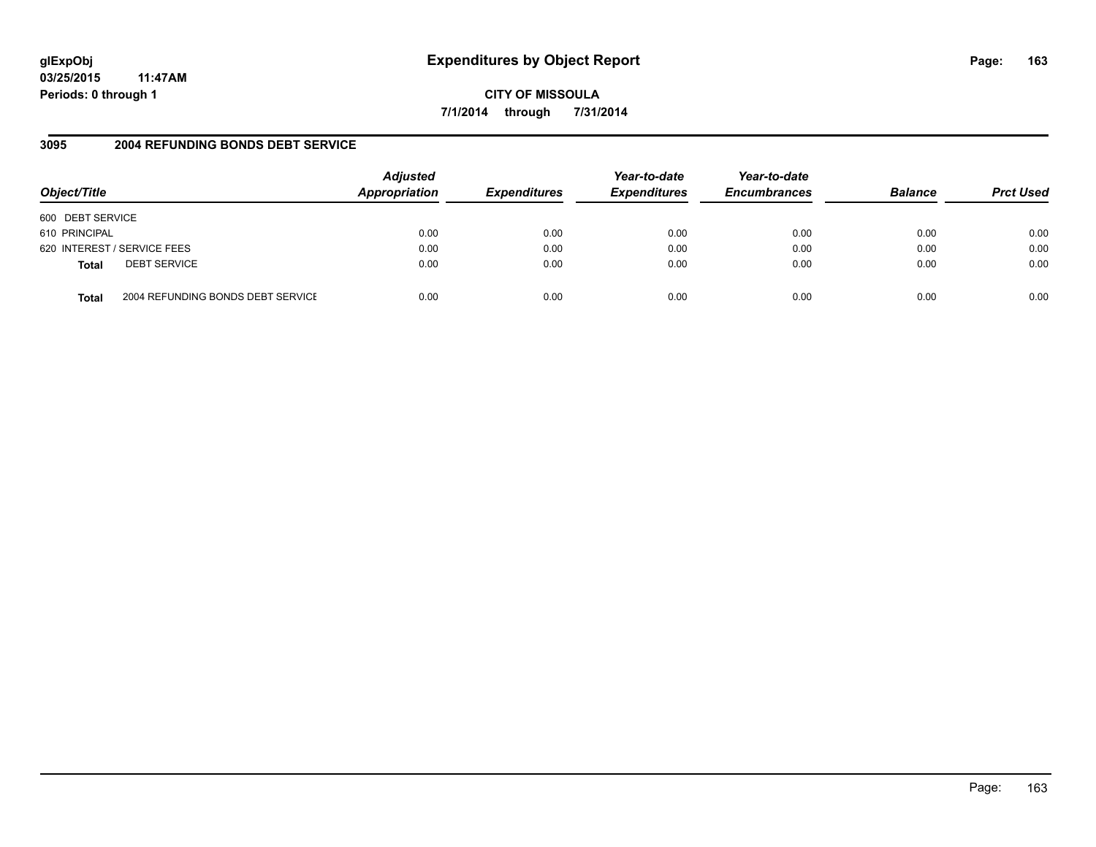# **glExpObj Expenditures by Object Report Page: 163**

**03/25/2015 11:47AM Periods: 0 through 1**

**7/1/2014 through 7/31/2014**

## **3095 2004 REFUNDING BONDS DEBT SERVICE**

| Object/Title     |                                   | <b>Adjusted</b><br>Appropriation | <b>Expenditures</b> | Year-to-date<br><b>Expenditures</b> | Year-to-date<br><b>Encumbrances</b> | <b>Balance</b> | <b>Prct Used</b> |
|------------------|-----------------------------------|----------------------------------|---------------------|-------------------------------------|-------------------------------------|----------------|------------------|
| 600 DEBT SERVICE |                                   |                                  |                     |                                     |                                     |                |                  |
| 610 PRINCIPAL    |                                   | 0.00                             | 0.00                | 0.00                                | 0.00                                | 0.00           | 0.00             |
|                  | 620 INTEREST / SERVICE FEES       | 0.00                             | 0.00                | 0.00                                | 0.00                                | 0.00           | 0.00             |
| <b>Total</b>     | <b>DEBT SERVICE</b>               | 0.00                             | 0.00                | 0.00                                | 0.00                                | 0.00           | 0.00             |
| Total            | 2004 REFUNDING BONDS DEBT SERVICE | 0.00                             | 0.00                | 0.00                                | 0.00                                | 0.00           | 0.00             |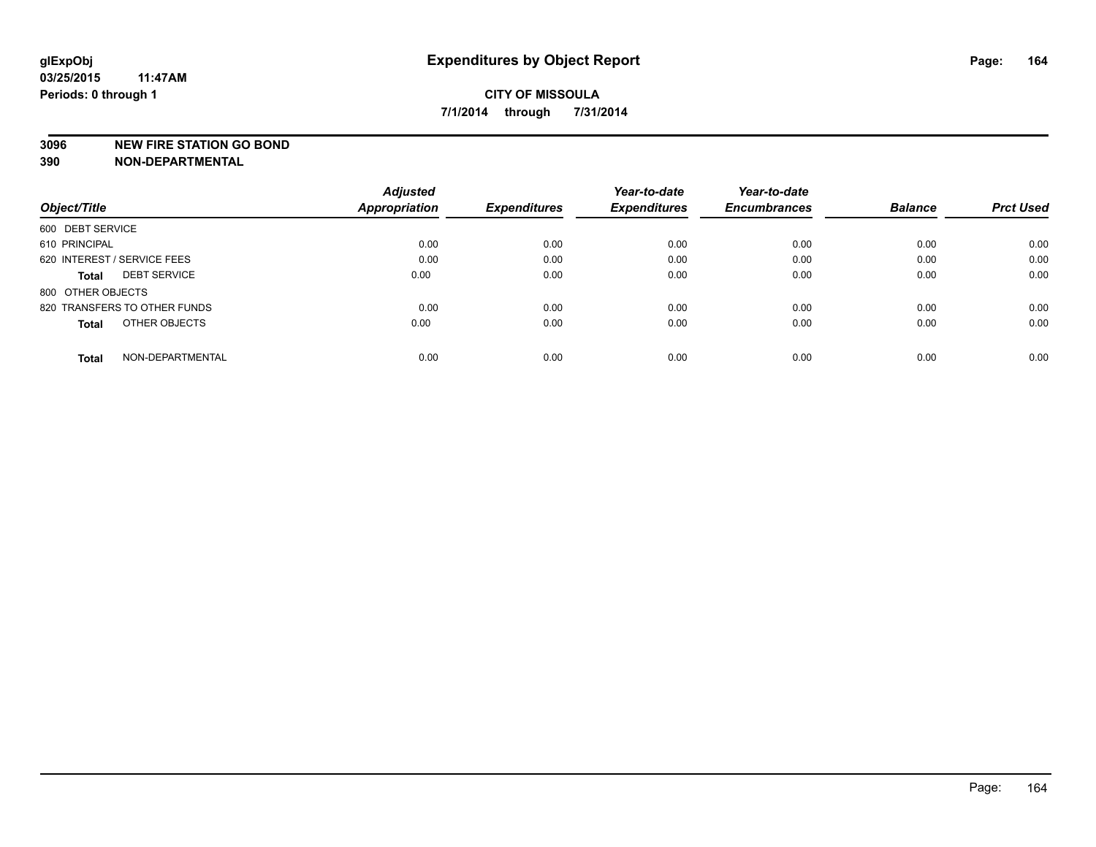#### **3096 NEW FIRE STATION GO BOND**

|                                     | <b>Adjusted</b>      |                     | Year-to-date        | Year-to-date        |                |                  |
|-------------------------------------|----------------------|---------------------|---------------------|---------------------|----------------|------------------|
| Object/Title                        | <b>Appropriation</b> | <b>Expenditures</b> | <b>Expenditures</b> | <b>Encumbrances</b> | <b>Balance</b> | <b>Prct Used</b> |
| 600 DEBT SERVICE                    |                      |                     |                     |                     |                |                  |
| 610 PRINCIPAL                       | 0.00                 | 0.00                | 0.00                | 0.00                | 0.00           | 0.00             |
| 620 INTEREST / SERVICE FEES         | 0.00                 | 0.00                | 0.00                | 0.00                | 0.00           | 0.00             |
| <b>DEBT SERVICE</b><br><b>Total</b> | 0.00                 | 0.00                | 0.00                | 0.00                | 0.00           | 0.00             |
| 800 OTHER OBJECTS                   |                      |                     |                     |                     |                |                  |
| 820 TRANSFERS TO OTHER FUNDS        | 0.00                 | 0.00                | 0.00                | 0.00                | 0.00           | 0.00             |
| OTHER OBJECTS<br><b>Total</b>       | 0.00                 | 0.00                | 0.00                | 0.00                | 0.00           | 0.00             |
| NON-DEPARTMENTAL<br>Total           | 0.00                 | 0.00                | 0.00                | 0.00                | 0.00           | 0.00             |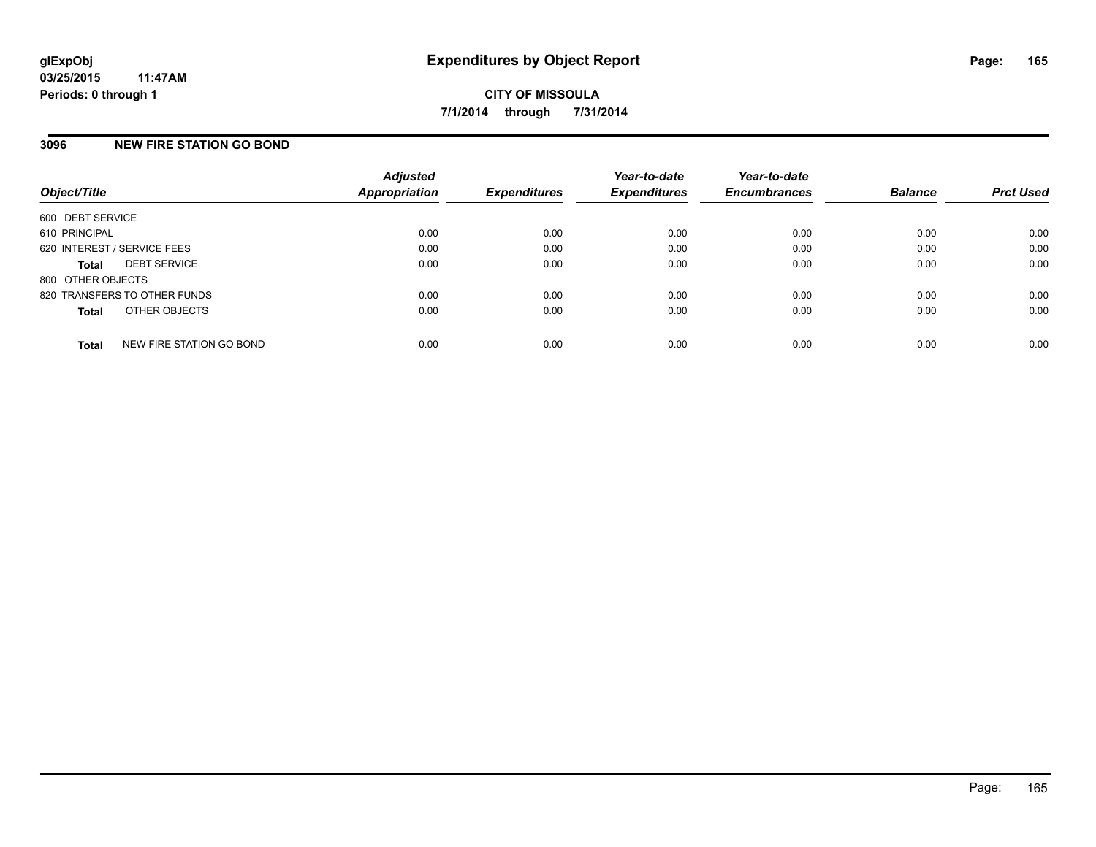#### **3096 NEW FIRE STATION GO BOND**

| Object/Title                 |                          | <b>Adjusted</b><br><b>Appropriation</b> | <b>Expenditures</b> | Year-to-date<br><b>Expenditures</b> | Year-to-date<br><b>Encumbrances</b> | <b>Balance</b> | <b>Prct Used</b> |
|------------------------------|--------------------------|-----------------------------------------|---------------------|-------------------------------------|-------------------------------------|----------------|------------------|
| 600 DEBT SERVICE             |                          |                                         |                     |                                     |                                     |                |                  |
| 610 PRINCIPAL                |                          | 0.00                                    | 0.00                | 0.00                                | 0.00                                | 0.00           | 0.00             |
| 620 INTEREST / SERVICE FEES  |                          | 0.00                                    | 0.00                | 0.00                                | 0.00                                | 0.00           | 0.00             |
| <b>Total</b>                 | <b>DEBT SERVICE</b>      | 0.00                                    | 0.00                | 0.00                                | 0.00                                | 0.00           | 0.00             |
| 800 OTHER OBJECTS            |                          |                                         |                     |                                     |                                     |                |                  |
| 820 TRANSFERS TO OTHER FUNDS |                          | 0.00                                    | 0.00                | 0.00                                | 0.00                                | 0.00           | 0.00             |
| <b>Total</b>                 | OTHER OBJECTS            | 0.00                                    | 0.00                | 0.00                                | 0.00                                | 0.00           | 0.00             |
| <b>Total</b>                 | NEW FIRE STATION GO BOND | 0.00                                    | 0.00                | 0.00                                | 0.00                                | 0.00           | 0.00             |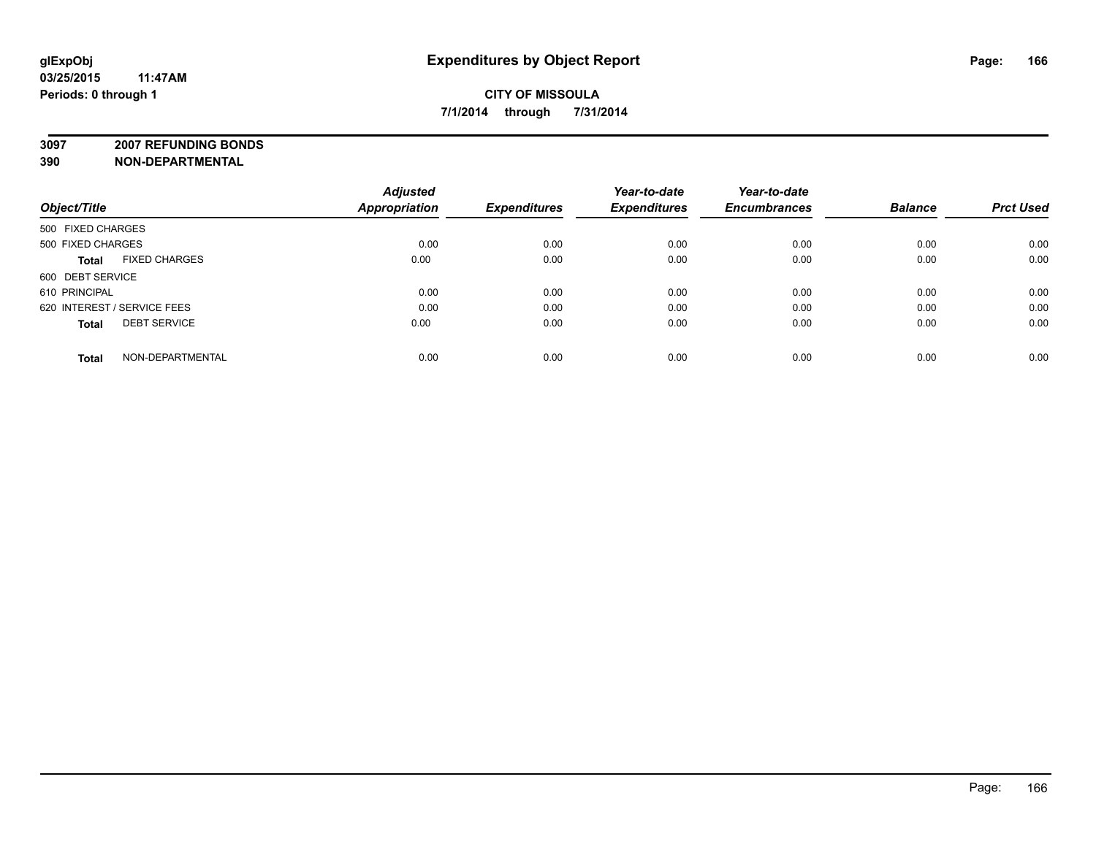# **CITY OF MISSOULA 7/1/2014 through 7/31/2014**

**3097 2007 REFUNDING BONDS**

| Object/Title                         | <b>Adjusted</b><br><b>Appropriation</b> | <b>Expenditures</b> | Year-to-date<br><b>Expenditures</b> | Year-to-date<br><b>Encumbrances</b> | <b>Balance</b> | <b>Prct Used</b> |
|--------------------------------------|-----------------------------------------|---------------------|-------------------------------------|-------------------------------------|----------------|------------------|
| 500 FIXED CHARGES                    |                                         |                     |                                     |                                     |                |                  |
| 500 FIXED CHARGES                    | 0.00                                    | 0.00                | 0.00                                | 0.00                                | 0.00           | 0.00             |
| <b>FIXED CHARGES</b><br><b>Total</b> | 0.00                                    | 0.00                | 0.00                                | 0.00                                | 0.00           | 0.00             |
| 600 DEBT SERVICE                     |                                         |                     |                                     |                                     |                |                  |
| 610 PRINCIPAL                        | 0.00                                    | 0.00                | 0.00                                | 0.00                                | 0.00           | 0.00             |
| 620 INTEREST / SERVICE FEES          | 0.00                                    | 0.00                | 0.00                                | 0.00                                | 0.00           | 0.00             |
| <b>DEBT SERVICE</b><br><b>Total</b>  | 0.00                                    | 0.00                | 0.00                                | 0.00                                | 0.00           | 0.00             |
| NON-DEPARTMENTAL<br><b>Total</b>     | 0.00                                    | 0.00                | 0.00                                | 0.00                                | 0.00           | 0.00             |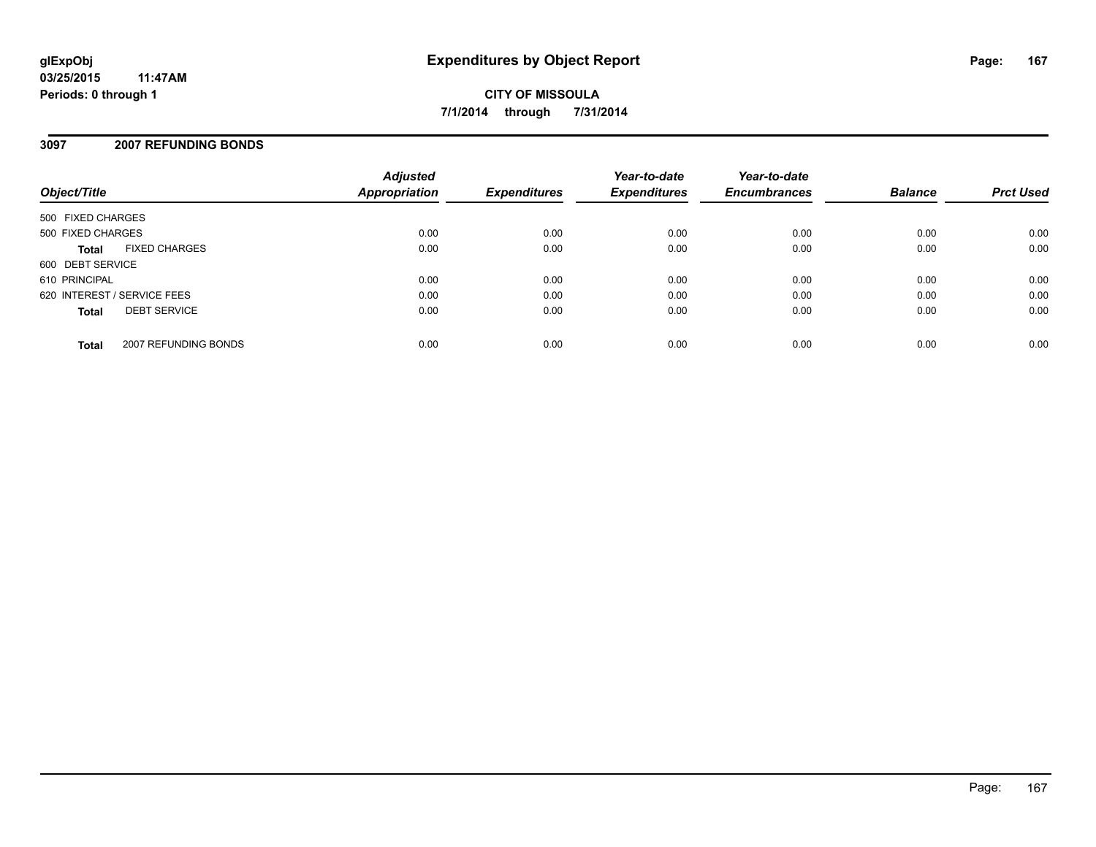## **3097 2007 REFUNDING BONDS**

| Object/Title                         | <b>Adjusted</b><br>Appropriation | <b>Expenditures</b> | Year-to-date<br><b>Expenditures</b> | Year-to-date<br><b>Encumbrances</b> | <b>Balance</b> | <b>Prct Used</b> |
|--------------------------------------|----------------------------------|---------------------|-------------------------------------|-------------------------------------|----------------|------------------|
| 500 FIXED CHARGES                    |                                  |                     |                                     |                                     |                |                  |
| 500 FIXED CHARGES                    | 0.00                             | 0.00                | 0.00                                | 0.00                                | 0.00           | 0.00             |
| <b>FIXED CHARGES</b><br><b>Total</b> | 0.00                             | 0.00                | 0.00                                | 0.00                                | 0.00           | 0.00             |
| 600 DEBT SERVICE                     |                                  |                     |                                     |                                     |                |                  |
| 610 PRINCIPAL                        | 0.00                             | 0.00                | 0.00                                | 0.00                                | 0.00           | 0.00             |
| 620 INTEREST / SERVICE FEES          | 0.00                             | 0.00                | 0.00                                | 0.00                                | 0.00           | 0.00             |
| <b>DEBT SERVICE</b><br><b>Total</b>  | 0.00                             | 0.00                | 0.00                                | 0.00                                | 0.00           | 0.00             |
| 2007 REFUNDING BONDS<br><b>Total</b> | 0.00                             | 0.00                | 0.00                                | 0.00                                | 0.00           | 0.00             |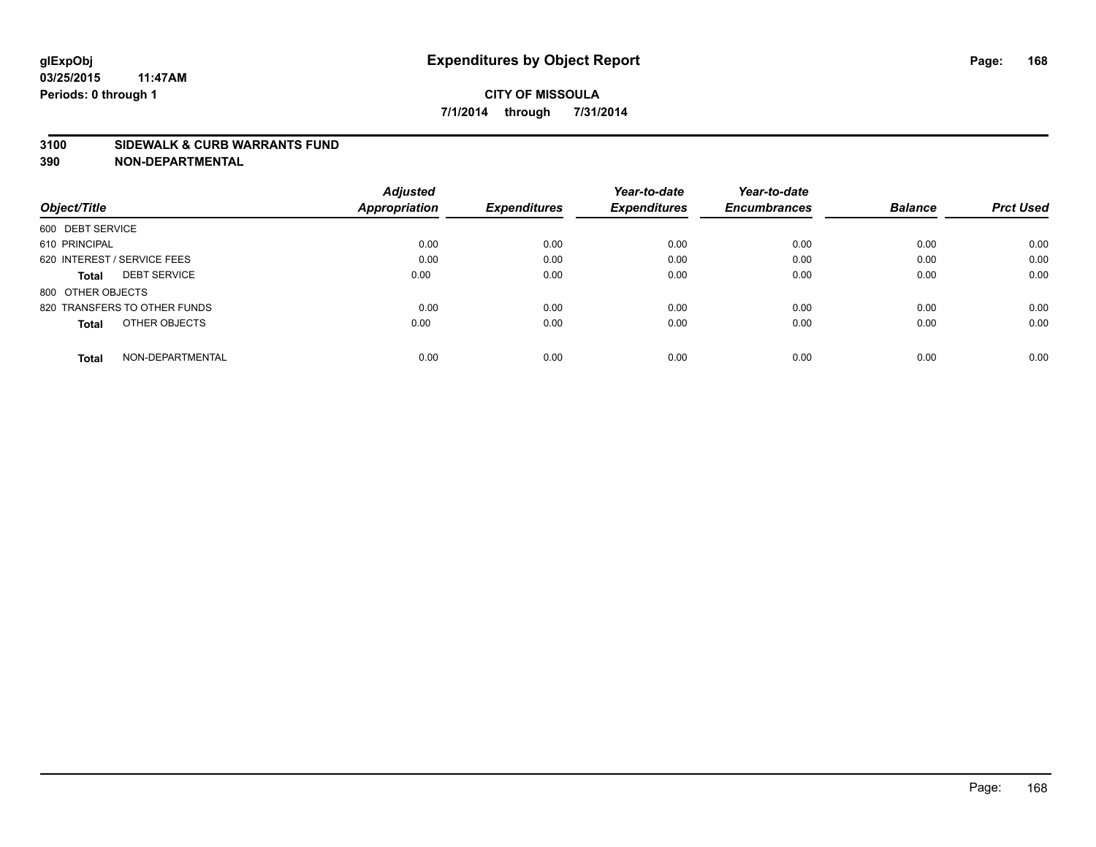#### **3100 SIDEWALK & CURB WARRANTS FUND**

| Object/Title                        | <b>Adjusted</b><br><b>Appropriation</b> | <b>Expenditures</b> | Year-to-date<br><b>Expenditures</b> | Year-to-date<br><b>Encumbrances</b> | <b>Balance</b> | <b>Prct Used</b> |
|-------------------------------------|-----------------------------------------|---------------------|-------------------------------------|-------------------------------------|----------------|------------------|
|                                     |                                         |                     |                                     |                                     |                |                  |
| 600 DEBT SERVICE                    |                                         |                     |                                     |                                     |                |                  |
| 610 PRINCIPAL                       | 0.00                                    | 0.00                | 0.00                                | 0.00                                | 0.00           | 0.00             |
| 620 INTEREST / SERVICE FEES         | 0.00                                    | 0.00                | 0.00                                | 0.00                                | 0.00           | 0.00             |
| <b>DEBT SERVICE</b><br><b>Total</b> | 0.00                                    | 0.00                | 0.00                                | 0.00                                | 0.00           | 0.00             |
| 800 OTHER OBJECTS                   |                                         |                     |                                     |                                     |                |                  |
| 820 TRANSFERS TO OTHER FUNDS        | 0.00                                    | 0.00                | 0.00                                | 0.00                                | 0.00           | 0.00             |
| OTHER OBJECTS<br><b>Total</b>       | 0.00                                    | 0.00                | 0.00                                | 0.00                                | 0.00           | 0.00             |
| NON-DEPARTMENTAL<br><b>Total</b>    | 0.00                                    | 0.00                | 0.00                                | 0.00                                | 0.00           | 0.00             |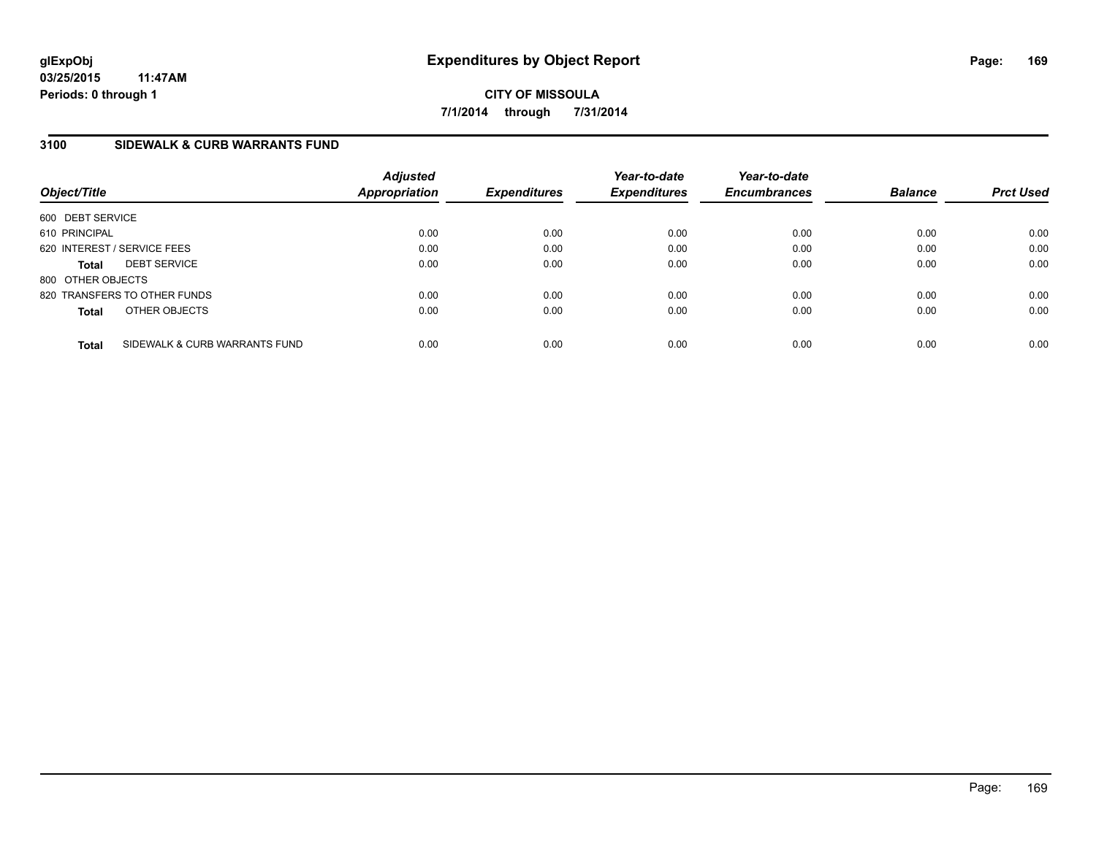**CITY OF MISSOULA 7/1/2014 through 7/31/2014**

## **3100 SIDEWALK & CURB WARRANTS FUND**

| Object/Title      |                               | <b>Adjusted</b><br>Appropriation | <b>Expenditures</b> | Year-to-date<br><b>Expenditures</b> | Year-to-date<br><b>Encumbrances</b> | <b>Balance</b> | <b>Prct Used</b> |
|-------------------|-------------------------------|----------------------------------|---------------------|-------------------------------------|-------------------------------------|----------------|------------------|
| 600 DEBT SERVICE  |                               |                                  |                     |                                     |                                     |                |                  |
| 610 PRINCIPAL     |                               | 0.00                             | 0.00                | 0.00                                | 0.00                                | 0.00           | 0.00             |
|                   | 620 INTEREST / SERVICE FEES   | 0.00                             | 0.00                | 0.00                                | 0.00                                | 0.00           | 0.00             |
| <b>Total</b>      | <b>DEBT SERVICE</b>           | 0.00                             | 0.00                | 0.00                                | 0.00                                | 0.00           | 0.00             |
| 800 OTHER OBJECTS |                               |                                  |                     |                                     |                                     |                |                  |
|                   | 820 TRANSFERS TO OTHER FUNDS  | 0.00                             | 0.00                | 0.00                                | 0.00                                | 0.00           | 0.00             |
| <b>Total</b>      | OTHER OBJECTS                 | 0.00                             | 0.00                | 0.00                                | 0.00                                | 0.00           | 0.00             |
| <b>Total</b>      | SIDEWALK & CURB WARRANTS FUND | 0.00                             | 0.00                | 0.00                                | 0.00                                | 0.00           | 0.00             |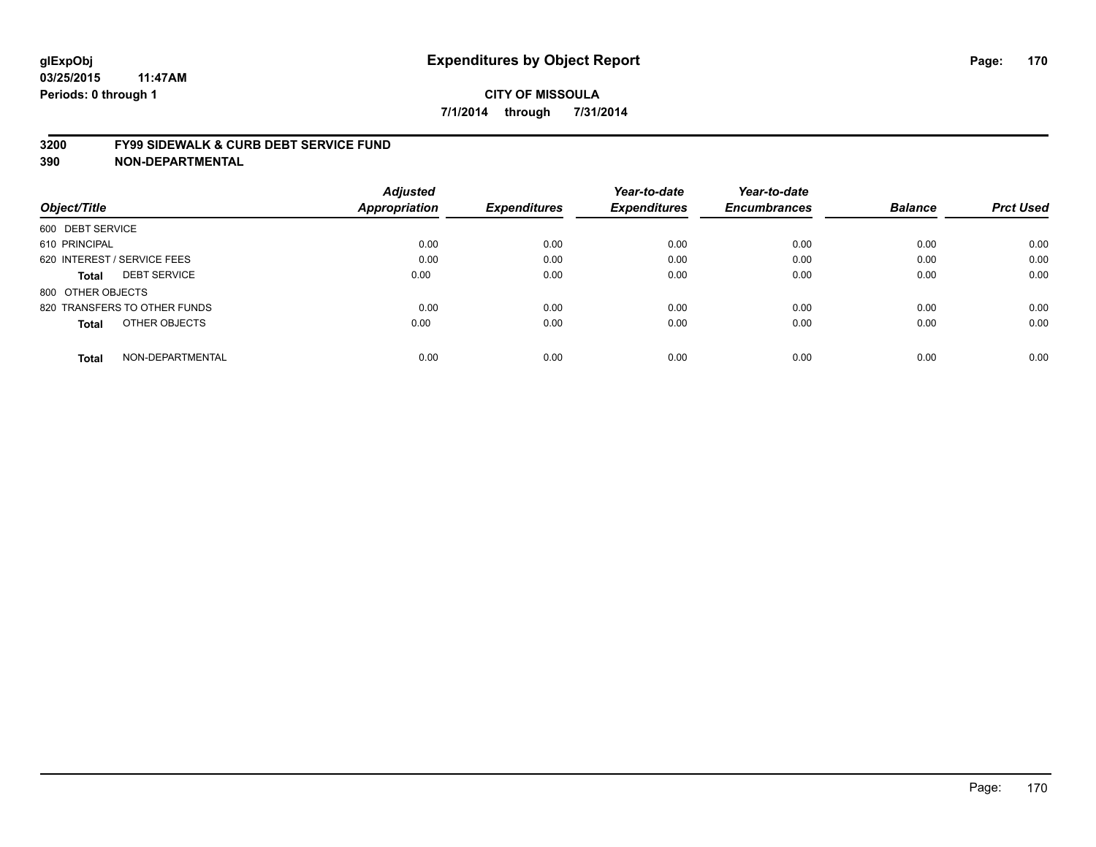#### **3200 FY99 SIDEWALK & CURB DEBT SERVICE FUND**

| Object/Title                        | <b>Adjusted</b><br><b>Appropriation</b> | <b>Expenditures</b> | Year-to-date<br><b>Expenditures</b> | Year-to-date<br><b>Encumbrances</b> | <b>Balance</b> | <b>Prct Used</b> |
|-------------------------------------|-----------------------------------------|---------------------|-------------------------------------|-------------------------------------|----------------|------------------|
|                                     |                                         |                     |                                     |                                     |                |                  |
| 600 DEBT SERVICE                    |                                         |                     |                                     |                                     |                |                  |
| 610 PRINCIPAL                       | 0.00                                    | 0.00                | 0.00                                | 0.00                                | 0.00           | 0.00             |
| 620 INTEREST / SERVICE FEES         | 0.00                                    | 0.00                | 0.00                                | 0.00                                | 0.00           | 0.00             |
| <b>DEBT SERVICE</b><br><b>Total</b> | 0.00                                    | 0.00                | 0.00                                | 0.00                                | 0.00           | 0.00             |
| 800 OTHER OBJECTS                   |                                         |                     |                                     |                                     |                |                  |
| 820 TRANSFERS TO OTHER FUNDS        | 0.00                                    | 0.00                | 0.00                                | 0.00                                | 0.00           | 0.00             |
| OTHER OBJECTS<br><b>Total</b>       | 0.00                                    | 0.00                | 0.00                                | 0.00                                | 0.00           | 0.00             |
| NON-DEPARTMENTAL<br><b>Total</b>    | 0.00                                    | 0.00                | 0.00                                | 0.00                                | 0.00           | 0.00             |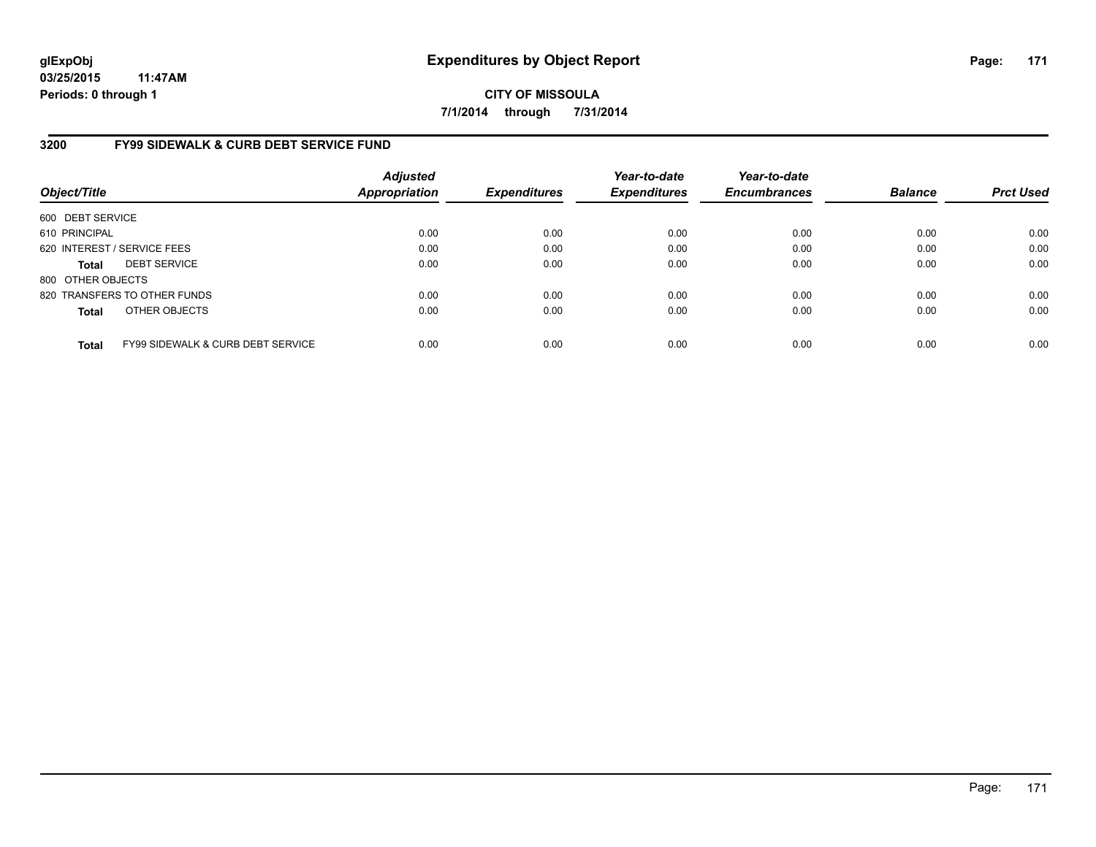**CITY OF MISSOULA 7/1/2014 through 7/31/2014**

## **3200 FY99 SIDEWALK & CURB DEBT SERVICE FUND**

| Object/Title      |                                              | <b>Adjusted</b><br><b>Appropriation</b> | <b>Expenditures</b> | Year-to-date<br><b>Expenditures</b> | Year-to-date<br><b>Encumbrances</b> | <b>Balance</b> | <b>Prct Used</b> |
|-------------------|----------------------------------------------|-----------------------------------------|---------------------|-------------------------------------|-------------------------------------|----------------|------------------|
| 600 DEBT SERVICE  |                                              |                                         |                     |                                     |                                     |                |                  |
| 610 PRINCIPAL     |                                              | 0.00                                    | 0.00                | 0.00                                | 0.00                                | 0.00           | 0.00             |
|                   | 620 INTEREST / SERVICE FEES                  | 0.00                                    | 0.00                | 0.00                                | 0.00                                | 0.00           | 0.00             |
| <b>Total</b>      | <b>DEBT SERVICE</b>                          | 0.00                                    | 0.00                | 0.00                                | 0.00                                | 0.00           | 0.00             |
| 800 OTHER OBJECTS |                                              |                                         |                     |                                     |                                     |                |                  |
|                   | 820 TRANSFERS TO OTHER FUNDS                 | 0.00                                    | 0.00                | 0.00                                | 0.00                                | 0.00           | 0.00             |
| <b>Total</b>      | OTHER OBJECTS                                | 0.00                                    | 0.00                | 0.00                                | 0.00                                | 0.00           | 0.00             |
| <b>Total</b>      | <b>FY99 SIDEWALK &amp; CURB DEBT SERVICE</b> | 0.00                                    | 0.00                | 0.00                                | 0.00                                | 0.00           | 0.00             |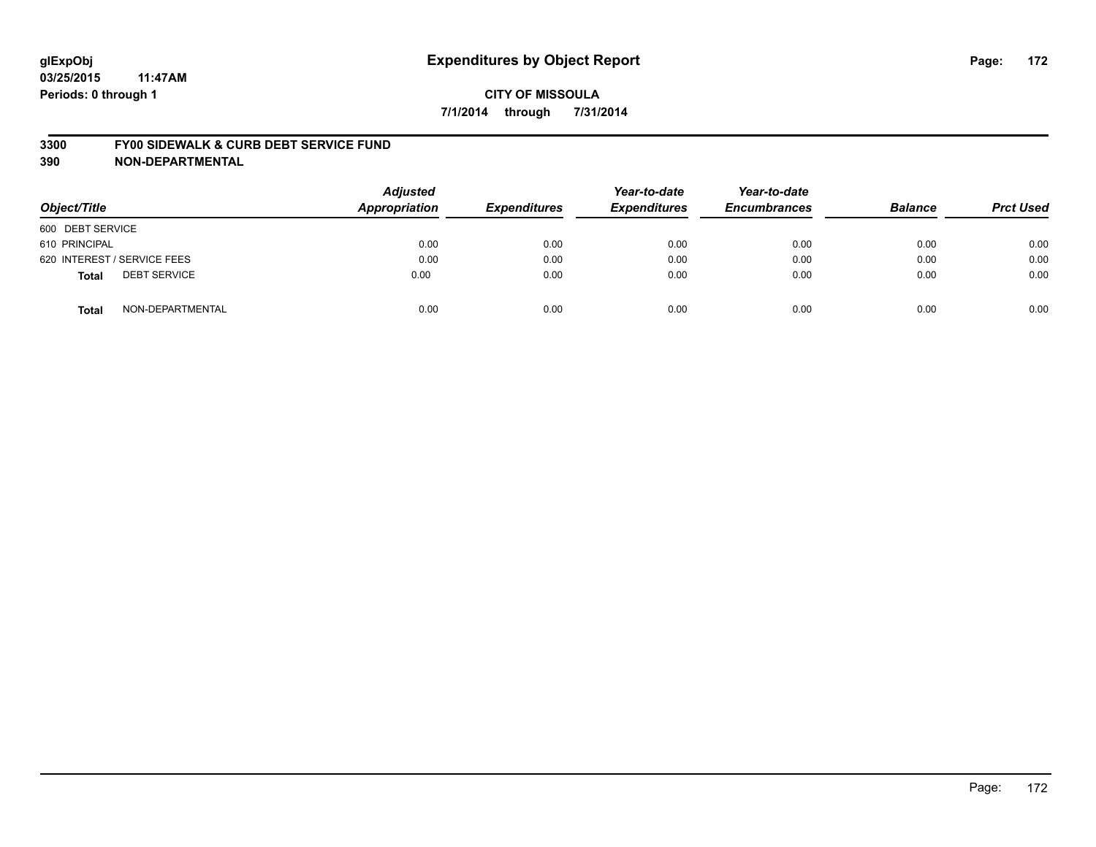#### **3300 FY00 SIDEWALK & CURB DEBT SERVICE FUND**

| Object/Title                        | <b>Adjusted</b><br><b>Appropriation</b> | <b>Expenditures</b> | Year-to-date<br><b>Expenditures</b> | Year-to-date<br><b>Encumbrances</b> | <b>Balance</b> | <b>Prct Used</b> |
|-------------------------------------|-----------------------------------------|---------------------|-------------------------------------|-------------------------------------|----------------|------------------|
| 600 DEBT SERVICE                    |                                         |                     |                                     |                                     |                |                  |
| 610 PRINCIPAL                       | 0.00                                    | 0.00                | 0.00                                | 0.00                                | 0.00           | 0.00             |
| 620 INTEREST / SERVICE FEES         | 0.00                                    | 0.00                | 0.00                                | 0.00                                | 0.00           | 0.00             |
| <b>DEBT SERVICE</b><br><b>Total</b> | 0.00                                    | 0.00                | 0.00                                | 0.00                                | 0.00           | 0.00             |
| NON-DEPARTMENTAL<br><b>Total</b>    | 0.00                                    | 0.00                | 0.00                                | 0.00                                | 0.00           | 0.00             |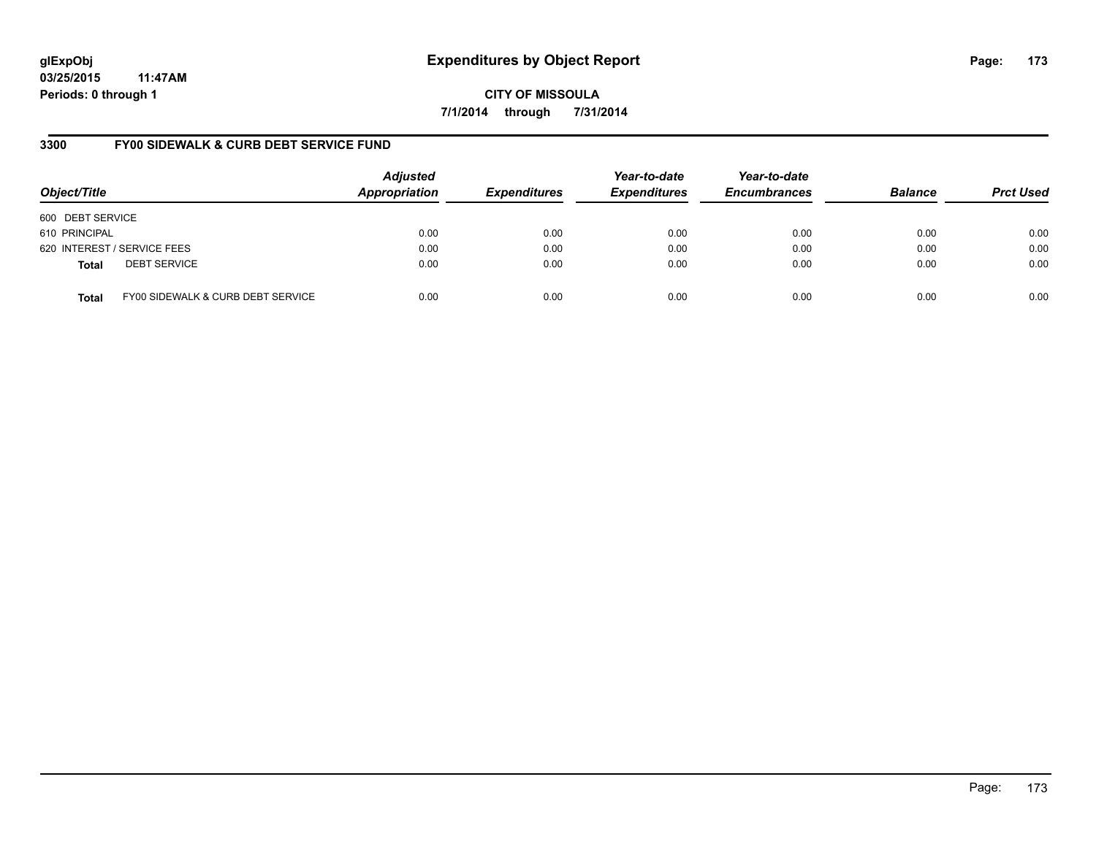**CITY OF MISSOULA 7/1/2014 through 7/31/2014**

## **3300 FY00 SIDEWALK & CURB DEBT SERVICE FUND**

| Object/Title     |                                   | <b>Adjusted</b><br>Appropriation | <b>Expenditures</b> | Year-to-date<br><b>Expenditures</b> | Year-to-date<br><b>Encumbrances</b> | <b>Balance</b> | <b>Prct Used</b> |
|------------------|-----------------------------------|----------------------------------|---------------------|-------------------------------------|-------------------------------------|----------------|------------------|
| 600 DEBT SERVICE |                                   |                                  |                     |                                     |                                     |                |                  |
| 610 PRINCIPAL    |                                   | 0.00                             | 0.00                | 0.00                                | 0.00                                | 0.00           | 0.00             |
|                  | 620 INTEREST / SERVICE FEES       | 0.00                             | 0.00                | 0.00                                | 0.00                                | 0.00           | 0.00             |
| <b>Total</b>     | <b>DEBT SERVICE</b>               | 0.00                             | 0.00                | 0.00                                | 0.00                                | 0.00           | 0.00             |
| <b>Total</b>     | FY00 SIDEWALK & CURB DEBT SERVICE | 0.00                             | 0.00                | 0.00                                | 0.00                                | 0.00           | 0.00             |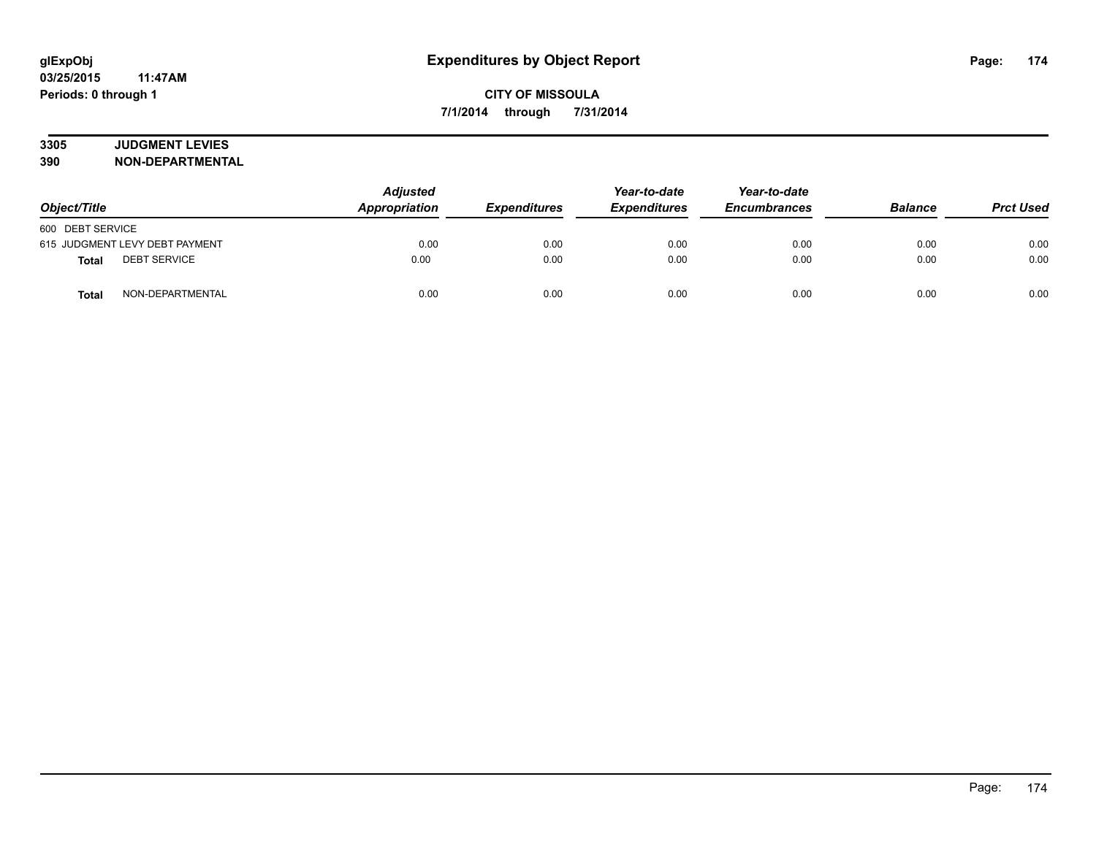# **3305 JUDGMENT LEVIES**

| Object/Title                        | <b>Adjusted</b><br>Appropriation | <b>Expenditures</b> | Year-to-date<br><b>Expenditures</b> | Year-to-date<br><b>Encumbrances</b> | <b>Balance</b> | <b>Prct Used</b> |
|-------------------------------------|----------------------------------|---------------------|-------------------------------------|-------------------------------------|----------------|------------------|
| 600 DEBT SERVICE                    |                                  |                     |                                     |                                     |                |                  |
| 615 JUDGMENT LEVY DEBT PAYMENT      | 0.00                             | 0.00                | 0.00                                | 0.00                                | 0.00           | 0.00             |
| <b>DEBT SERVICE</b><br><b>Total</b> | 0.00                             | 0.00                | 0.00                                | 0.00                                | 0.00           | 0.00             |
| NON-DEPARTMENTAL<br><b>Total</b>    | 0.00                             | 0.00                | 0.00                                | 0.00                                | 0.00           | 0.00             |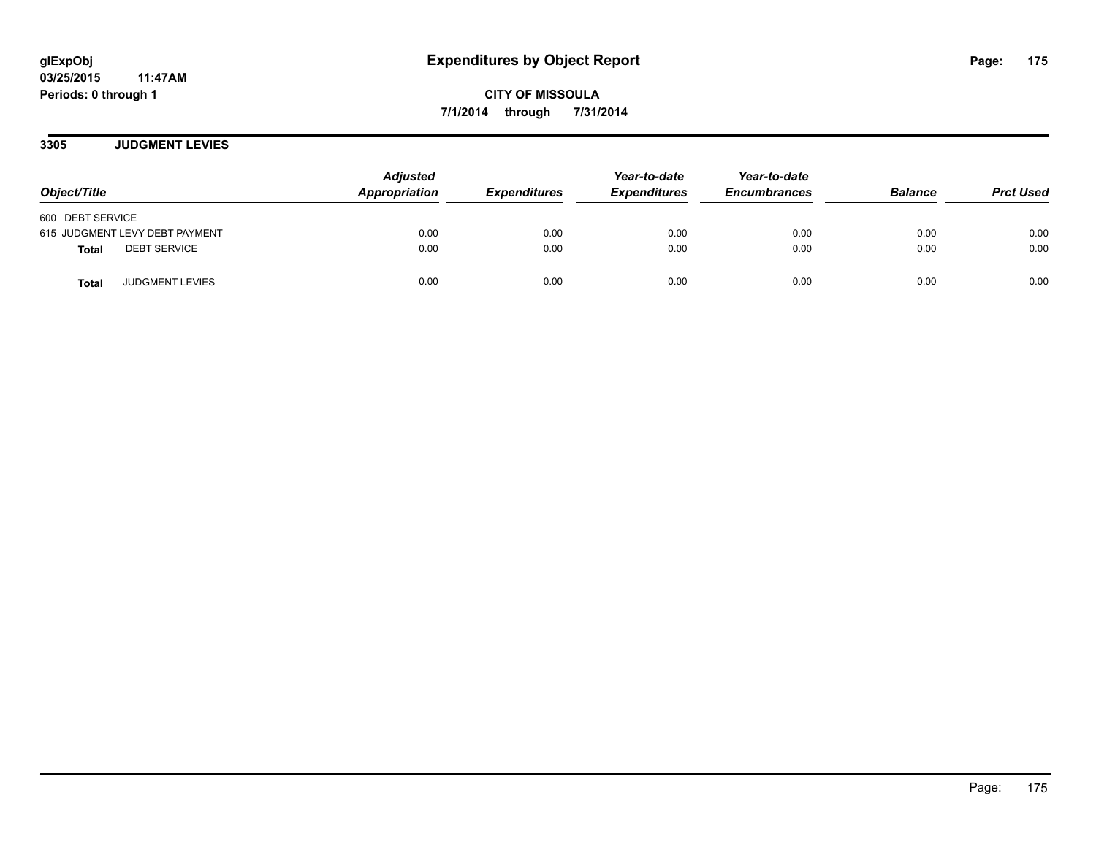**3305 JUDGMENT LEVIES**

| Object/Title                           | <b>Adjusted</b><br>Appropriation | <b>Expenditures</b> | Year-to-date<br><b>Expenditures</b> | Year-to-date<br><b>Encumbrances</b> | <b>Balance</b> | <b>Prct Used</b> |
|----------------------------------------|----------------------------------|---------------------|-------------------------------------|-------------------------------------|----------------|------------------|
| 600 DEBT SERVICE                       |                                  |                     |                                     |                                     |                |                  |
| 615 JUDGMENT LEVY DEBT PAYMENT         | 0.00                             | 0.00                | 0.00                                | 0.00                                | 0.00           | 0.00             |
| <b>DEBT SERVICE</b><br>Total           | 0.00                             | 0.00                | 0.00                                | 0.00                                | 0.00           | 0.00             |
| <b>JUDGMENT LEVIES</b><br><b>Total</b> | 0.00                             | 0.00                | 0.00                                | 0.00                                | 0.00           | 0.00             |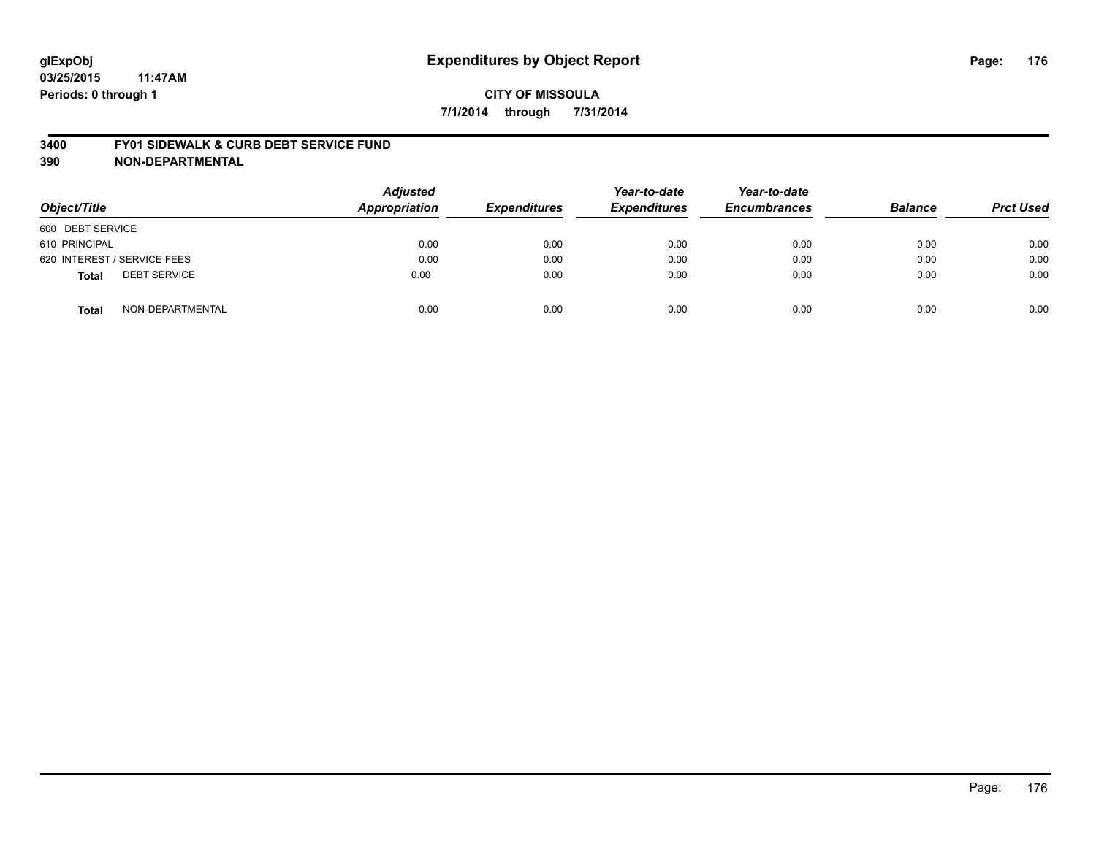#### **3400 FY01 SIDEWALK & CURB DEBT SERVICE FUND**

| Object/Title                        | <b>Adjusted</b><br><b>Appropriation</b> | <b>Expenditures</b> | Year-to-date<br><b>Expenditures</b> | Year-to-date<br><b>Encumbrances</b> | <b>Balance</b> | <b>Prct Used</b> |
|-------------------------------------|-----------------------------------------|---------------------|-------------------------------------|-------------------------------------|----------------|------------------|
| 600 DEBT SERVICE                    |                                         |                     |                                     |                                     |                |                  |
| 610 PRINCIPAL                       | 0.00                                    | 0.00                | 0.00                                | 0.00                                | 0.00           | 0.00             |
| 620 INTEREST / SERVICE FEES         | 0.00                                    | 0.00                | 0.00                                | 0.00                                | 0.00           | 0.00             |
| <b>DEBT SERVICE</b><br><b>Total</b> | 0.00                                    | 0.00                | 0.00                                | 0.00                                | 0.00           | 0.00             |
| NON-DEPARTMENTAL<br><b>Total</b>    | 0.00                                    | 0.00                | 0.00                                | 0.00                                | 0.00           | 0.00             |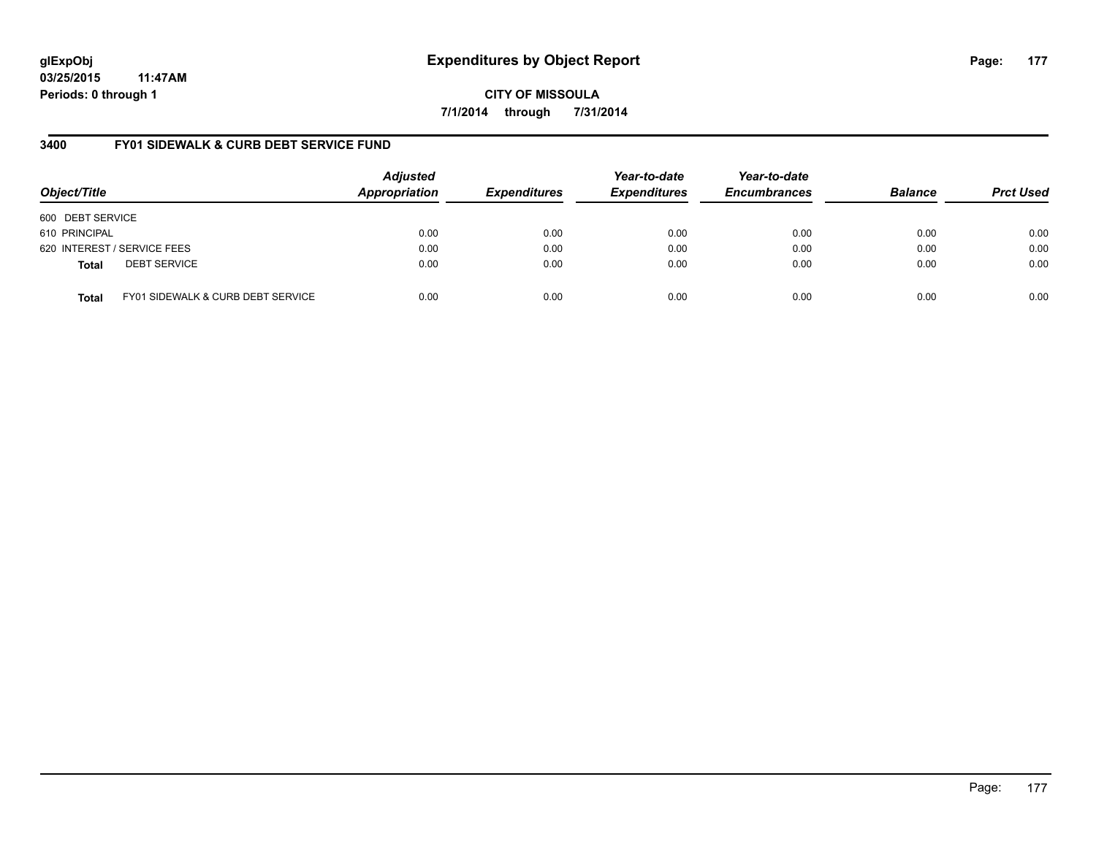**CITY OF MISSOULA 7/1/2014 through 7/31/2014**

## **3400 FY01 SIDEWALK & CURB DEBT SERVICE FUND**

| Object/Title     |                                              | <b>Adjusted</b><br>Appropriation | <b>Expenditures</b> | Year-to-date<br><b>Expenditures</b> | Year-to-date<br><b>Encumbrances</b> | <b>Balance</b> | <b>Prct Used</b> |
|------------------|----------------------------------------------|----------------------------------|---------------------|-------------------------------------|-------------------------------------|----------------|------------------|
| 600 DEBT SERVICE |                                              |                                  |                     |                                     |                                     |                |                  |
| 610 PRINCIPAL    |                                              | 0.00                             | 0.00                | 0.00                                | 0.00                                | 0.00           | 0.00             |
|                  | 620 INTEREST / SERVICE FEES                  | 0.00                             | 0.00                | 0.00                                | 0.00                                | 0.00           | 0.00             |
| <b>Total</b>     | <b>DEBT SERVICE</b>                          | 0.00                             | 0.00                | 0.00                                | 0.00                                | 0.00           | 0.00             |
| <b>Total</b>     | <b>FY01 SIDEWALK &amp; CURB DEBT SERVICE</b> | 0.00                             | 0.00                | 0.00                                | 0.00                                | 0.00           | 0.00             |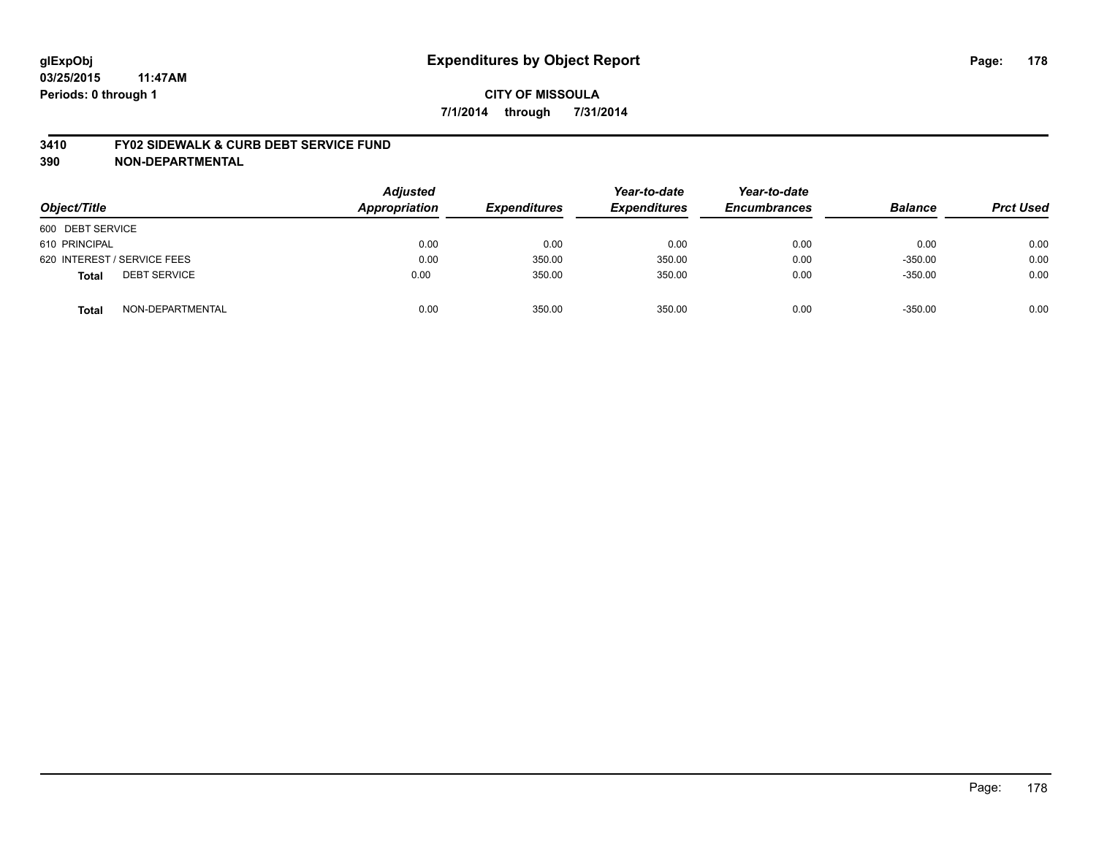#### **3410 FY02 SIDEWALK & CURB DEBT SERVICE FUND**

| Object/Title                        | <b>Adjusted</b><br><b>Appropriation</b> | <b>Expenditures</b> | Year-to-date<br><b>Expenditures</b> | Year-to-date<br><b>Encumbrances</b> | <b>Balance</b> | <b>Prct Used</b> |
|-------------------------------------|-----------------------------------------|---------------------|-------------------------------------|-------------------------------------|----------------|------------------|
| 600 DEBT SERVICE                    |                                         |                     |                                     |                                     |                |                  |
| 610 PRINCIPAL                       | 0.00                                    | 0.00                | 0.00                                | 0.00                                | 0.00           | 0.00             |
| 620 INTEREST / SERVICE FEES         | 0.00                                    | 350.00              | 350.00                              | 0.00                                | $-350.00$      | 0.00             |
| <b>DEBT SERVICE</b><br><b>Total</b> | 0.00                                    | 350.00              | 350.00                              | 0.00                                | $-350.00$      | 0.00             |
| NON-DEPARTMENTAL<br><b>Total</b>    | 0.00                                    | 350.00              | 350.00                              | 0.00                                | $-350.00$      | 0.00             |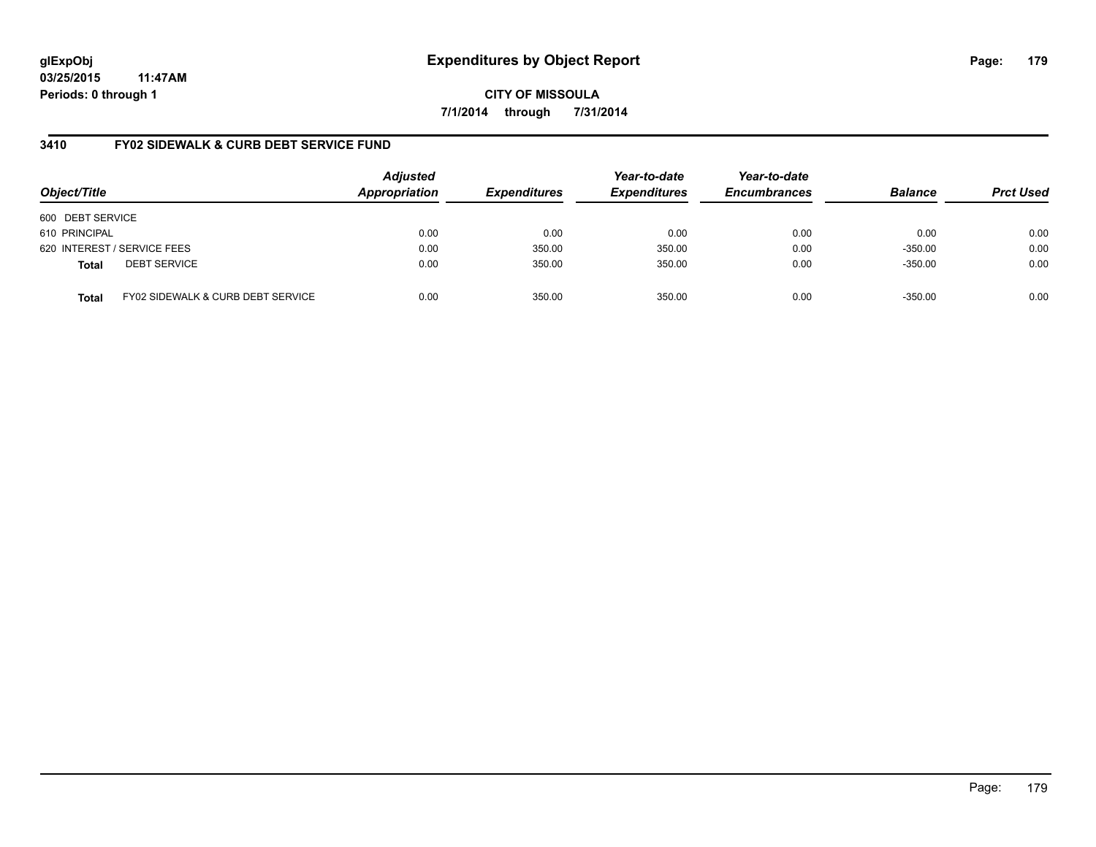**CITY OF MISSOULA 7/1/2014 through 7/31/2014**

## **3410 FY02 SIDEWALK & CURB DEBT SERVICE FUND**

| Object/Title     |                                   | <b>Adjusted</b><br>Appropriation | <b>Expenditures</b> | Year-to-date<br><b>Expenditures</b> | Year-to-date<br><b>Encumbrances</b> | <b>Balance</b> | <b>Prct Used</b> |
|------------------|-----------------------------------|----------------------------------|---------------------|-------------------------------------|-------------------------------------|----------------|------------------|
| 600 DEBT SERVICE |                                   |                                  |                     |                                     |                                     |                |                  |
| 610 PRINCIPAL    |                                   | 0.00                             | 0.00                | 0.00                                | 0.00                                | 0.00           | 0.00             |
|                  | 620 INTEREST / SERVICE FEES       | 0.00                             | 350.00              | 350.00                              | 0.00                                | $-350.00$      | 0.00             |
| <b>Total</b>     | <b>DEBT SERVICE</b>               | 0.00                             | 350.00              | 350.00                              | 0.00                                | $-350.00$      | 0.00             |
| <b>Total</b>     | FY02 SIDEWALK & CURB DEBT SERVICE | 0.00                             | 350.00              | 350.00                              | 0.00                                | $-350.00$      | 0.00             |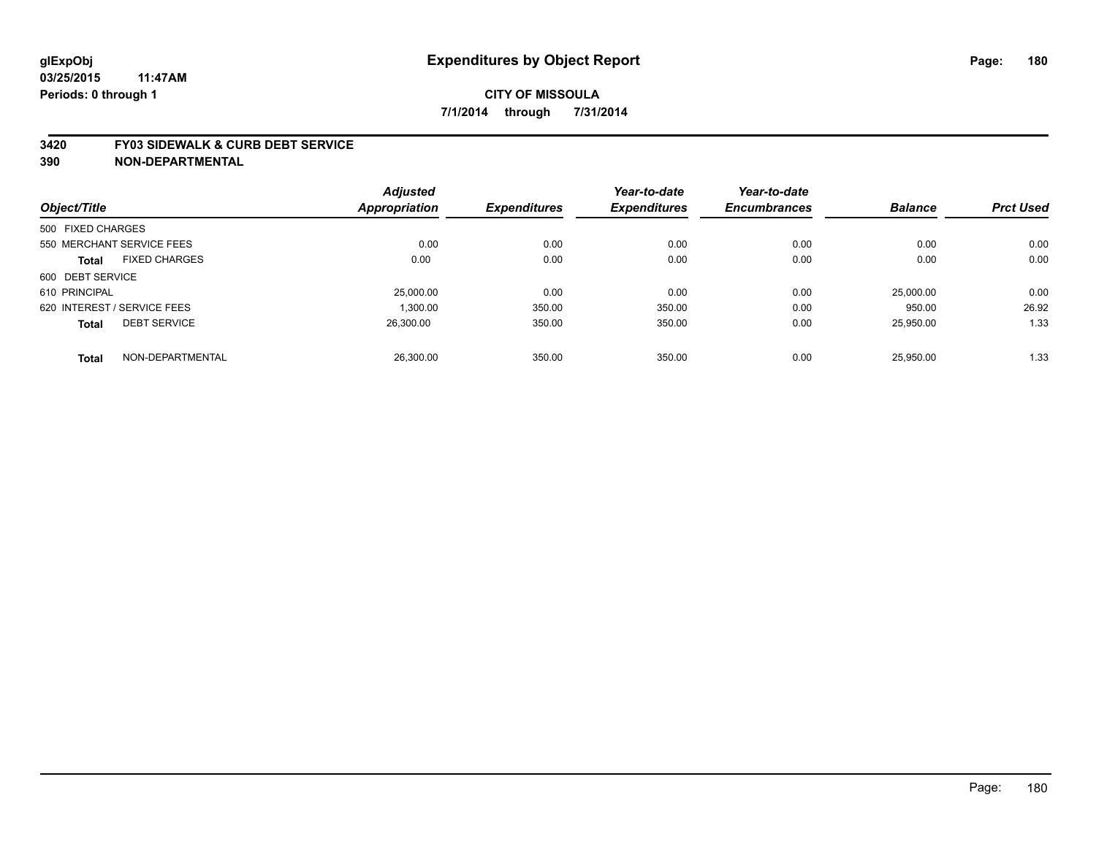#### **3420 FY03 SIDEWALK & CURB DEBT SERVICE**

|                   |                             | <b>Adjusted</b> |                     | Year-to-date        | Year-to-date        |                |                  |
|-------------------|-----------------------------|-----------------|---------------------|---------------------|---------------------|----------------|------------------|
| Object/Title      |                             | Appropriation   | <b>Expenditures</b> | <b>Expenditures</b> | <b>Encumbrances</b> | <b>Balance</b> | <b>Prct Used</b> |
| 500 FIXED CHARGES |                             |                 |                     |                     |                     |                |                  |
|                   | 550 MERCHANT SERVICE FEES   | 0.00            | 0.00                | 0.00                | 0.00                | 0.00           | 0.00             |
| <b>Total</b>      | <b>FIXED CHARGES</b>        | 0.00            | 0.00                | 0.00                | 0.00                | 0.00           | 0.00             |
| 600 DEBT SERVICE  |                             |                 |                     |                     |                     |                |                  |
| 610 PRINCIPAL     |                             | 25,000.00       | 0.00                | 0.00                | 0.00                | 25,000.00      | 0.00             |
|                   | 620 INTEREST / SERVICE FEES | 1.300.00        | 350.00              | 350.00              | 0.00                | 950.00         | 26.92            |
| <b>Total</b>      | <b>DEBT SERVICE</b>         | 26.300.00       | 350.00              | 350.00              | 0.00                | 25.950.00      | 1.33             |
| <b>Total</b>      | NON-DEPARTMENTAL            | 26,300.00       | 350.00              | 350.00              | 0.00                | 25.950.00      | 1.33             |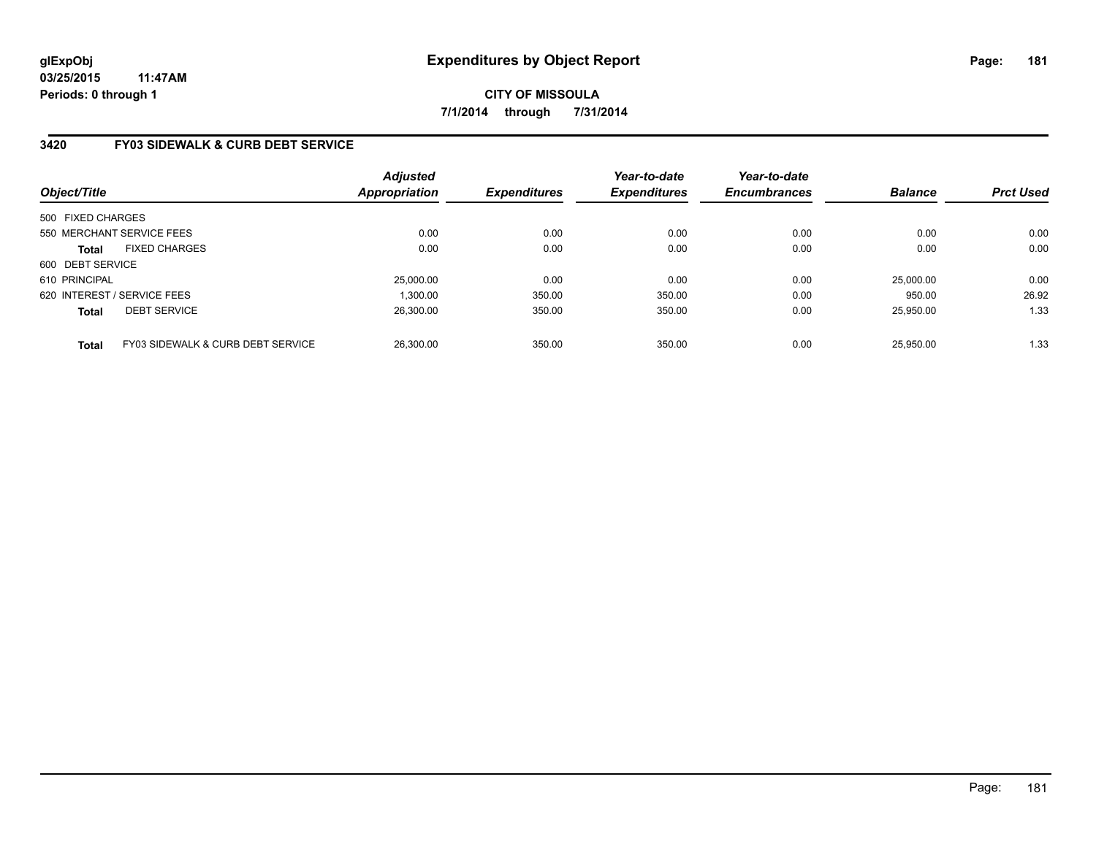### **3420 FY03 SIDEWALK & CURB DEBT SERVICE**

| Object/Title      |                                   | Adjusted<br><b>Appropriation</b> | <b>Expenditures</b> | Year-to-date<br><b>Expenditures</b> | Year-to-date<br><b>Encumbrances</b> | <b>Balance</b> | <b>Prct Used</b> |
|-------------------|-----------------------------------|----------------------------------|---------------------|-------------------------------------|-------------------------------------|----------------|------------------|
| 500 FIXED CHARGES |                                   |                                  |                     |                                     |                                     |                |                  |
|                   | 550 MERCHANT SERVICE FEES         | 0.00                             | 0.00                | 0.00                                | 0.00                                | 0.00           | 0.00             |
| <b>Total</b>      | <b>FIXED CHARGES</b>              | 0.00                             | 0.00                | 0.00                                | 0.00                                | 0.00           | 0.00             |
| 600 DEBT SERVICE  |                                   |                                  |                     |                                     |                                     |                |                  |
| 610 PRINCIPAL     |                                   | 25.000.00                        | 0.00                | 0.00                                | 0.00                                | 25,000.00      | 0.00             |
|                   | 620 INTEREST / SERVICE FEES       | 1.300.00                         | 350.00              | 350.00                              | 0.00                                | 950.00         | 26.92            |
| <b>Total</b>      | <b>DEBT SERVICE</b>               | 26.300.00                        | 350.00              | 350.00                              | 0.00                                | 25.950.00      | 1.33             |
| <b>Total</b>      | FY03 SIDEWALK & CURB DEBT SERVICE | 26,300.00                        | 350.00              | 350.00                              | 0.00                                | 25.950.00      | 1.33             |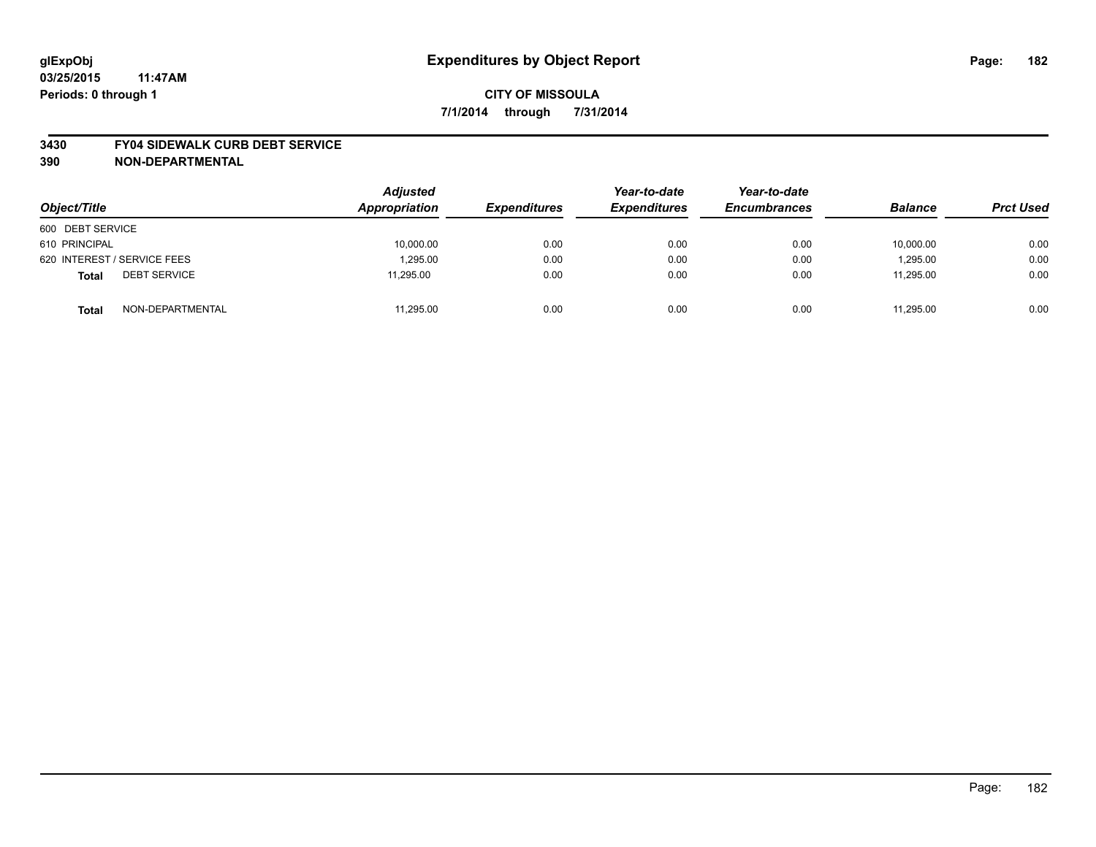#### **3430 FY04 SIDEWALK CURB DEBT SERVICE**

| Object/Title                        | <b>Adjusted</b><br>Appropriation | <b>Expenditures</b> | Year-to-date<br><b>Expenditures</b> | Year-to-date<br><b>Encumbrances</b> | <b>Balance</b> | <b>Prct Used</b> |
|-------------------------------------|----------------------------------|---------------------|-------------------------------------|-------------------------------------|----------------|------------------|
| 600 DEBT SERVICE                    |                                  |                     |                                     |                                     |                |                  |
| 610 PRINCIPAL                       | 10,000.00                        | 0.00                | 0.00                                | 0.00                                | 10,000.00      | 0.00             |
| 620 INTEREST / SERVICE FEES         | 1.295.00                         | 0.00                | 0.00                                | 0.00                                | 1,295.00       | 0.00             |
| <b>DEBT SERVICE</b><br><b>Total</b> | 11,295.00                        | 0.00                | 0.00                                | 0.00                                | 11,295.00      | 0.00             |
| NON-DEPARTMENTAL<br><b>Total</b>    | 11,295.00                        | 0.00                | 0.00                                | 0.00                                | 11.295.00      | 0.00             |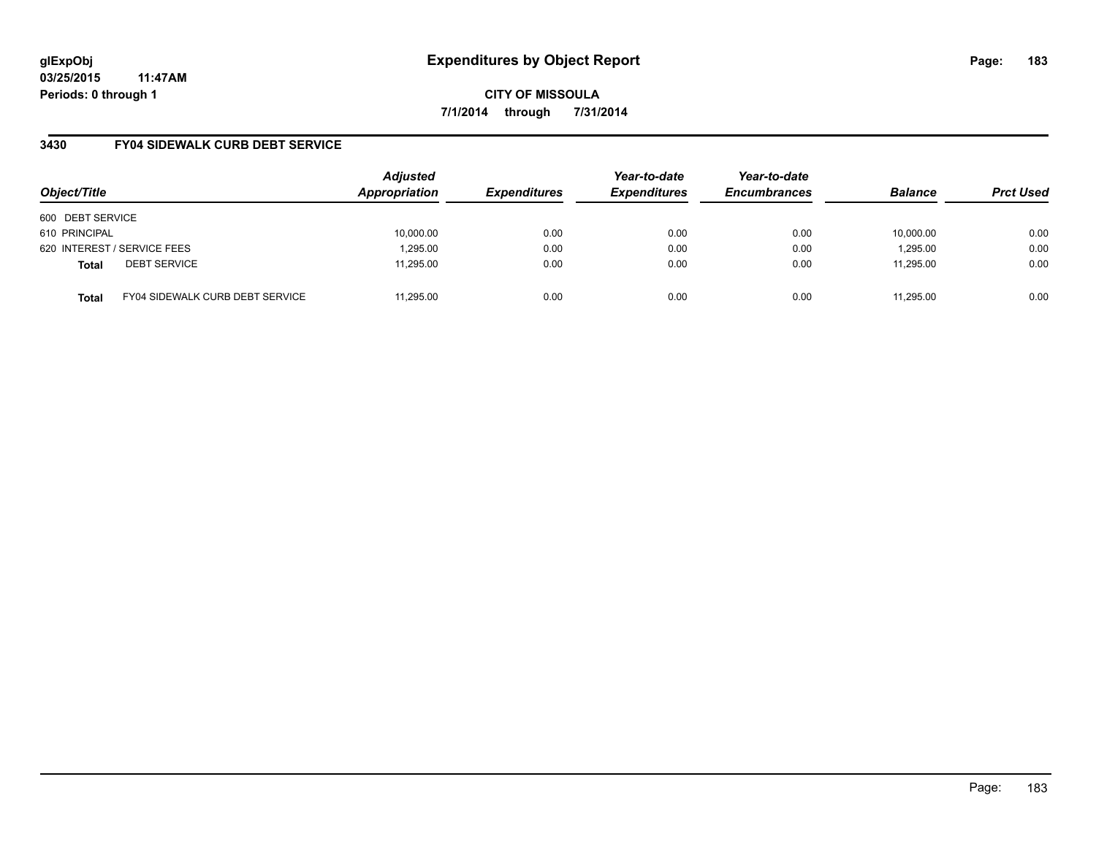**03/25/2015 11:47AM Periods: 0 through 1**

**CITY OF MISSOULA 7/1/2014 through 7/31/2014**

### **3430 FY04 SIDEWALK CURB DEBT SERVICE**

| Object/Title     |                                        | <b>Adjusted</b><br>Appropriation | <b>Expenditures</b> | Year-to-date<br><b>Expenditures</b> | Year-to-date<br><b>Encumbrances</b> | <b>Balance</b> | <b>Prct Used</b> |
|------------------|----------------------------------------|----------------------------------|---------------------|-------------------------------------|-------------------------------------|----------------|------------------|
| 600 DEBT SERVICE |                                        |                                  |                     |                                     |                                     |                |                  |
| 610 PRINCIPAL    |                                        | 10,000.00                        | 0.00                | 0.00                                | 0.00                                | 10.000.00      | 0.00             |
|                  | 620 INTEREST / SERVICE FEES            | 1,295.00                         | 0.00                | 0.00                                | 0.00                                | 1,295.00       | 0.00             |
| <b>Total</b>     | <b>DEBT SERVICE</b>                    | 11.295.00                        | 0.00                | 0.00                                | 0.00                                | 11,295.00      | 0.00             |
| <b>Total</b>     | <b>FY04 SIDEWALK CURB DEBT SERVICE</b> | 11.295.00                        | 0.00                | 0.00                                | 0.00                                | 11,295.00      | 0.00             |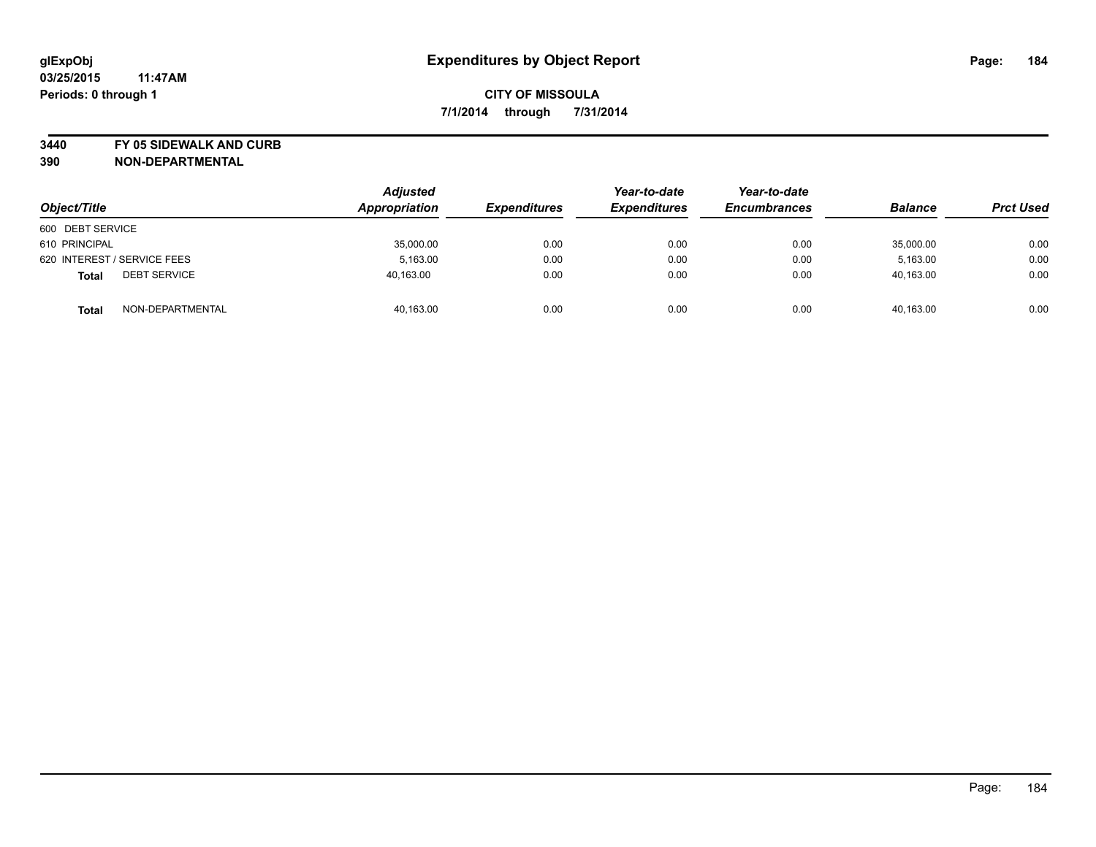**3440 FY 05 SIDEWALK AND CURB**

| Object/Title                        | <b>Adjusted</b><br>Appropriation | <b>Expenditures</b> | Year-to-date<br><b>Expenditures</b> | Year-to-date<br><b>Encumbrances</b> | <b>Balance</b> | <b>Prct Used</b> |
|-------------------------------------|----------------------------------|---------------------|-------------------------------------|-------------------------------------|----------------|------------------|
| 600 DEBT SERVICE                    |                                  |                     |                                     |                                     |                |                  |
| 610 PRINCIPAL                       | 35,000.00                        | 0.00                | 0.00                                | 0.00                                | 35,000.00      | 0.00             |
| 620 INTEREST / SERVICE FEES         | 5.163.00                         | 0.00                | 0.00                                | 0.00                                | 5.163.00       | 0.00             |
| <b>DEBT SERVICE</b><br><b>Total</b> | 40,163.00                        | 0.00                | 0.00                                | 0.00                                | 40,163.00      | 0.00             |
| NON-DEPARTMENTAL<br><b>Total</b>    | 40,163.00                        | 0.00                | 0.00                                | 0.00                                | 40,163.00      | 0.00             |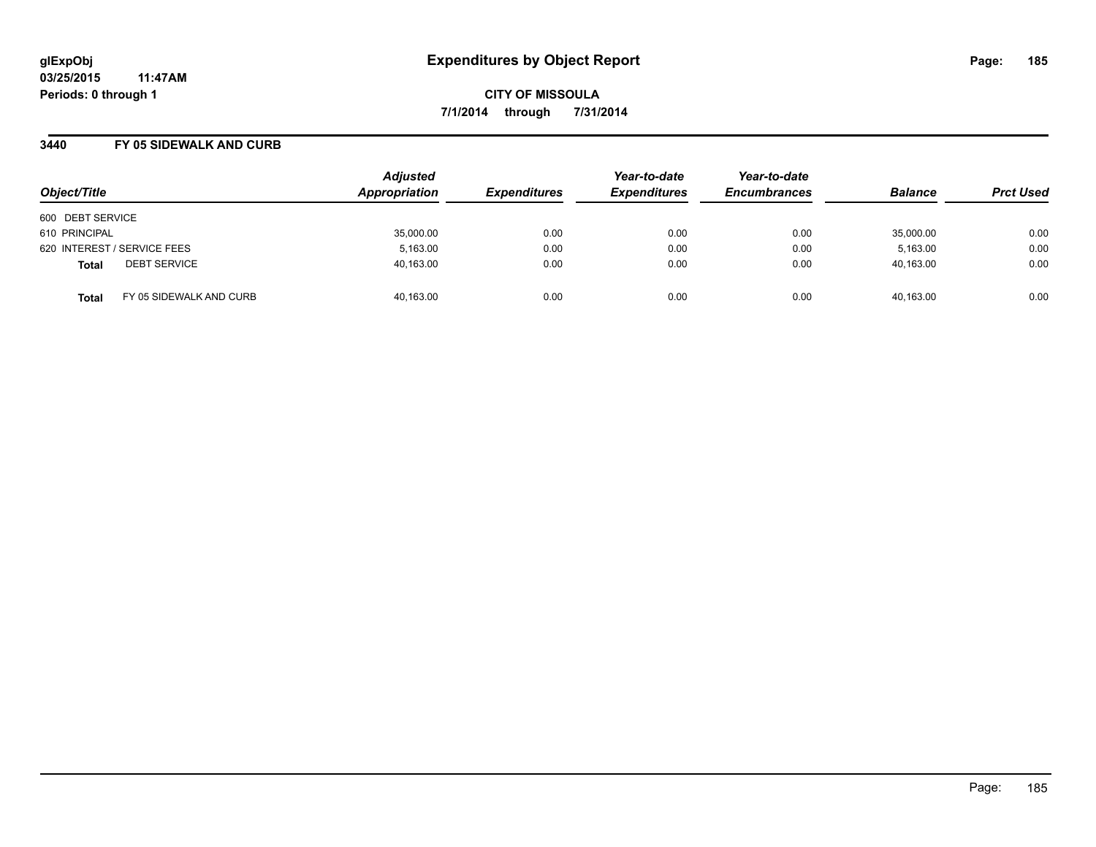### **3440 FY 05 SIDEWALK AND CURB**

| Object/Title                            | <b>Adjusted</b><br>Appropriation | <b>Expenditures</b> | Year-to-date<br><b>Expenditures</b> | Year-to-date<br><b>Encumbrances</b> | <b>Balance</b> | <b>Prct Used</b> |
|-----------------------------------------|----------------------------------|---------------------|-------------------------------------|-------------------------------------|----------------|------------------|
| 600 DEBT SERVICE                        |                                  |                     |                                     |                                     |                |                  |
| 610 PRINCIPAL                           | 35,000.00                        | 0.00                | 0.00                                | 0.00                                | 35,000.00      | 0.00             |
| 620 INTEREST / SERVICE FEES             | 5,163.00                         | 0.00                | 0.00                                | 0.00                                | 5,163.00       | 0.00             |
| <b>DEBT SERVICE</b><br><b>Total</b>     | 40,163.00                        | 0.00                | 0.00                                | 0.00                                | 40,163.00      | 0.00             |
| FY 05 SIDEWALK AND CURB<br><b>Total</b> | 40,163.00                        | 0.00                | 0.00                                | 0.00                                | 40,163.00      | 0.00             |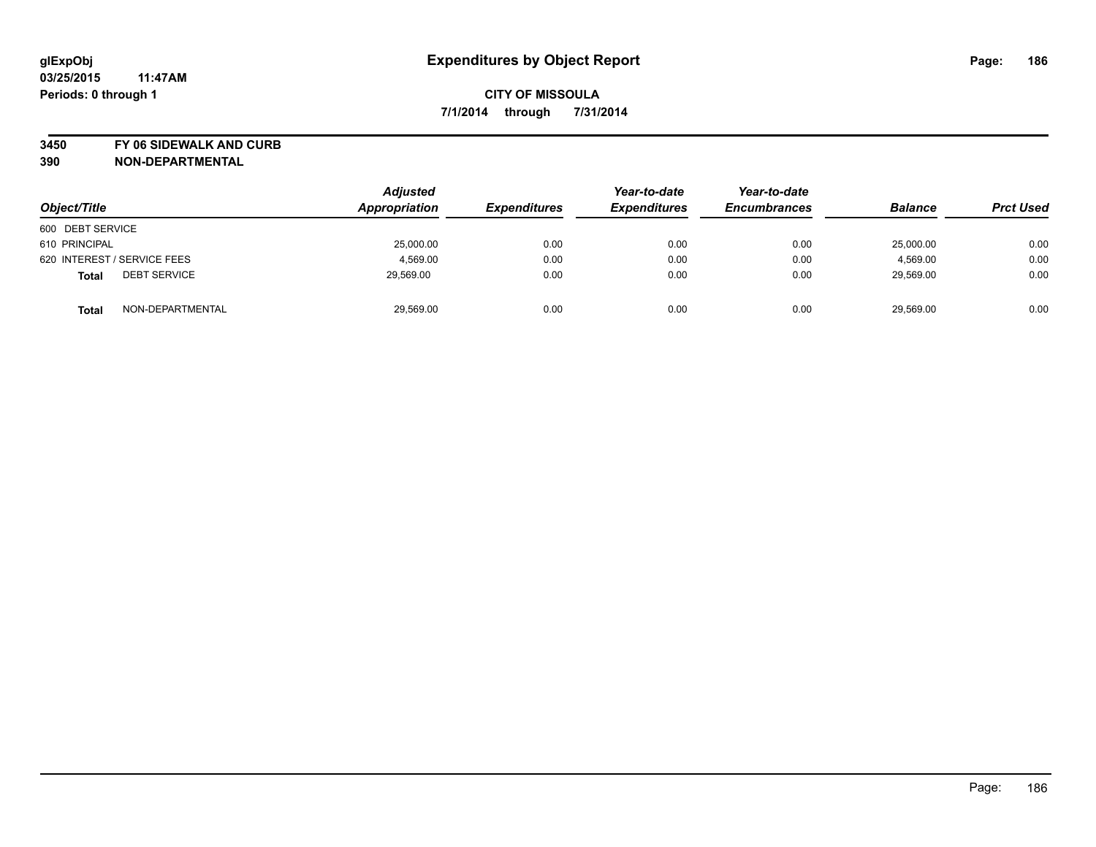**3450 FY 06 SIDEWALK AND CURB**

| Object/Title                        | <b>Adjusted</b><br>Appropriation | <b>Expenditures</b> | Year-to-date<br><b>Expenditures</b> | Year-to-date<br><b>Encumbrances</b> | <b>Balance</b> | <b>Prct Used</b> |
|-------------------------------------|----------------------------------|---------------------|-------------------------------------|-------------------------------------|----------------|------------------|
| 600 DEBT SERVICE                    |                                  |                     |                                     |                                     |                |                  |
| 610 PRINCIPAL                       | 25,000.00                        | 0.00                | 0.00                                | 0.00                                | 25,000.00      | 0.00             |
| 620 INTEREST / SERVICE FEES         | 4,569.00                         | 0.00                | 0.00                                | 0.00                                | 4,569.00       | 0.00             |
| <b>DEBT SERVICE</b><br><b>Total</b> | 29,569.00                        | 0.00                | 0.00                                | 0.00                                | 29,569.00      | 0.00             |
| NON-DEPARTMENTAL<br><b>Total</b>    | 29,569.00                        | 0.00                | 0.00                                | 0.00                                | 29,569.00      | 0.00             |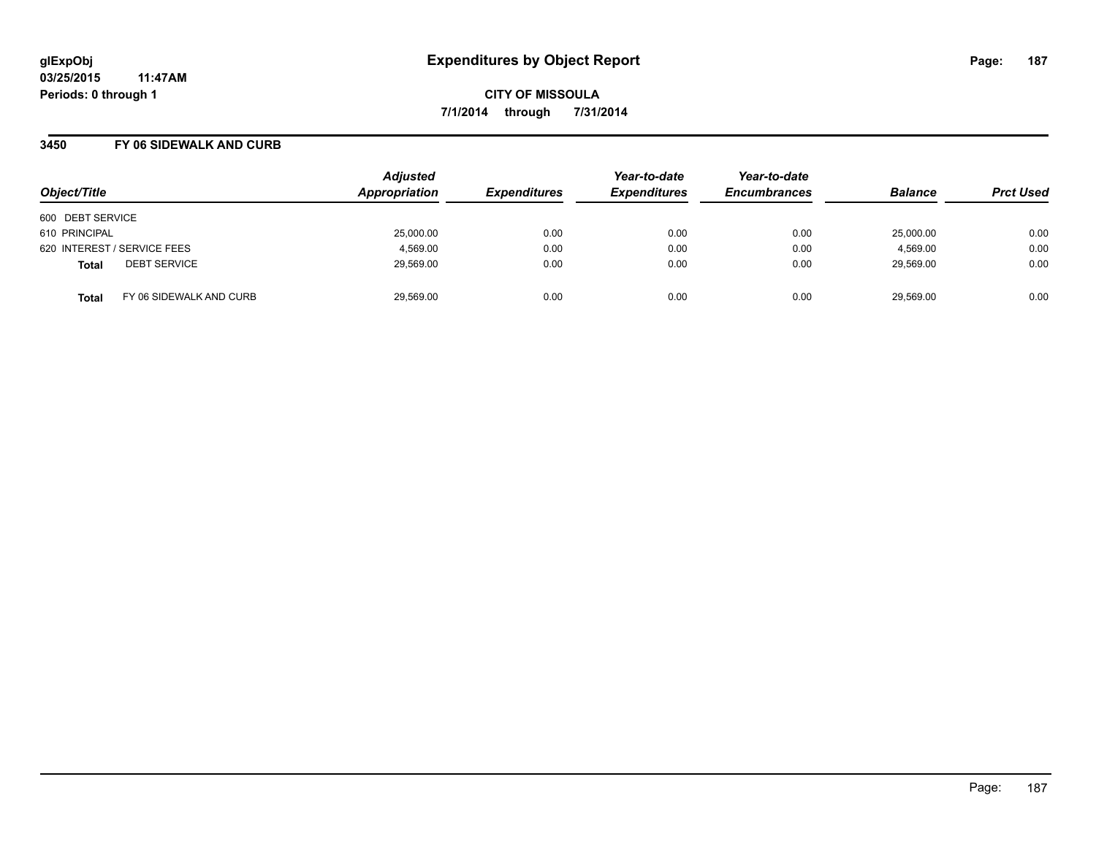### **3450 FY 06 SIDEWALK AND CURB**

| Object/Title                            | <b>Adjusted</b><br>Appropriation | <b>Expenditures</b> | Year-to-date<br><b>Expenditures</b> | Year-to-date<br><b>Encumbrances</b> | <b>Balance</b> | <b>Prct Used</b> |
|-----------------------------------------|----------------------------------|---------------------|-------------------------------------|-------------------------------------|----------------|------------------|
| 600 DEBT SERVICE                        |                                  |                     |                                     |                                     |                |                  |
| 610 PRINCIPAL                           | 25,000.00                        | 0.00                | 0.00                                | 0.00                                | 25,000.00      | 0.00             |
| 620 INTEREST / SERVICE FEES             | 4,569.00                         | 0.00                | 0.00                                | 0.00                                | 4,569.00       | 0.00             |
| <b>DEBT SERVICE</b><br><b>Total</b>     | 29,569.00                        | 0.00                | 0.00                                | 0.00                                | 29,569.00      | 0.00             |
| FY 06 SIDEWALK AND CURB<br><b>Total</b> | 29,569.00                        | 0.00                | 0.00                                | 0.00                                | 29,569.00      | 0.00             |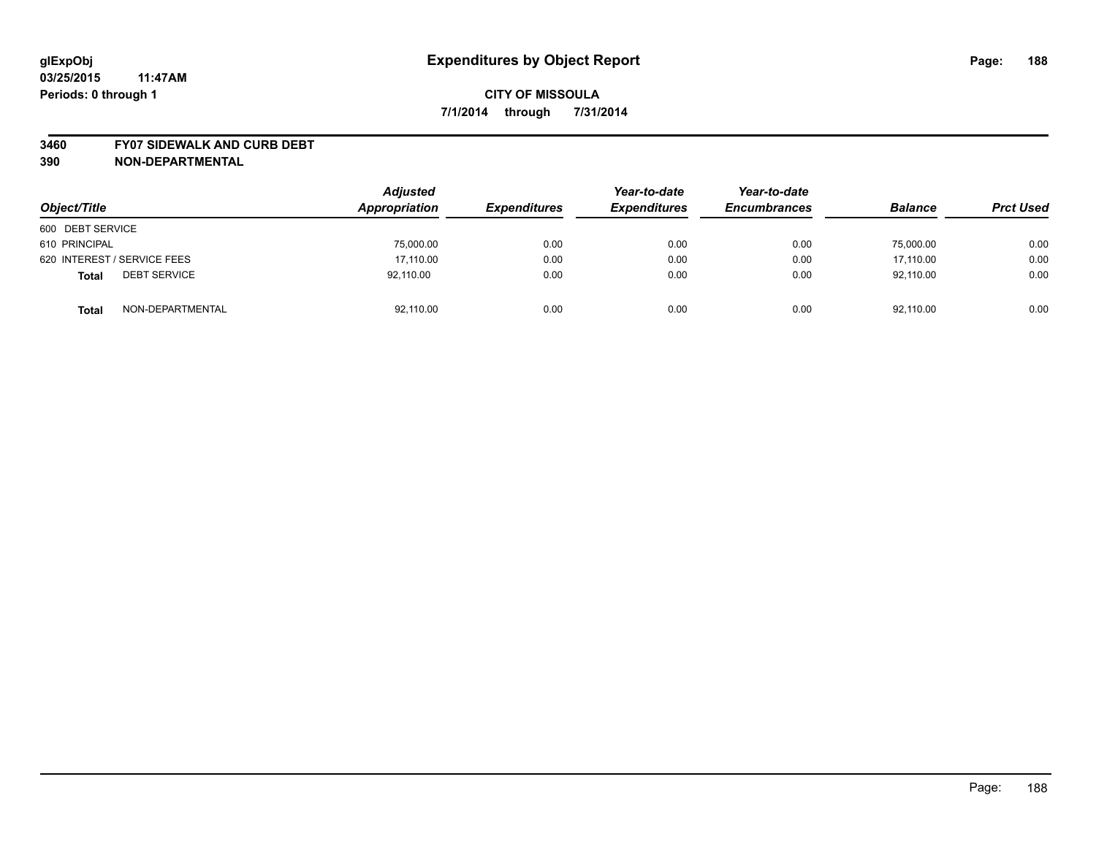#### **3460 FY07 SIDEWALK AND CURB DEBT**

| Object/Title                        | <b>Adjusted</b><br>Appropriation | <b>Expenditures</b> | Year-to-date<br><b>Expenditures</b> | Year-to-date<br><b>Encumbrances</b> | <b>Balance</b> | <b>Prct Used</b> |
|-------------------------------------|----------------------------------|---------------------|-------------------------------------|-------------------------------------|----------------|------------------|
| 600 DEBT SERVICE                    |                                  |                     |                                     |                                     |                |                  |
| 610 PRINCIPAL                       | 75,000.00                        | 0.00                | 0.00                                | 0.00                                | 75,000.00      | 0.00             |
| 620 INTEREST / SERVICE FEES         | 17.110.00                        | 0.00                | 0.00                                | 0.00                                | 17.110.00      | 0.00             |
| <b>DEBT SERVICE</b><br><b>Total</b> | 92,110.00                        | 0.00                | 0.00                                | 0.00                                | 92.110.00      | 0.00             |
| NON-DEPARTMENTAL<br><b>Total</b>    | 92,110.00                        | 0.00                | 0.00                                | 0.00                                | 92,110.00      | 0.00             |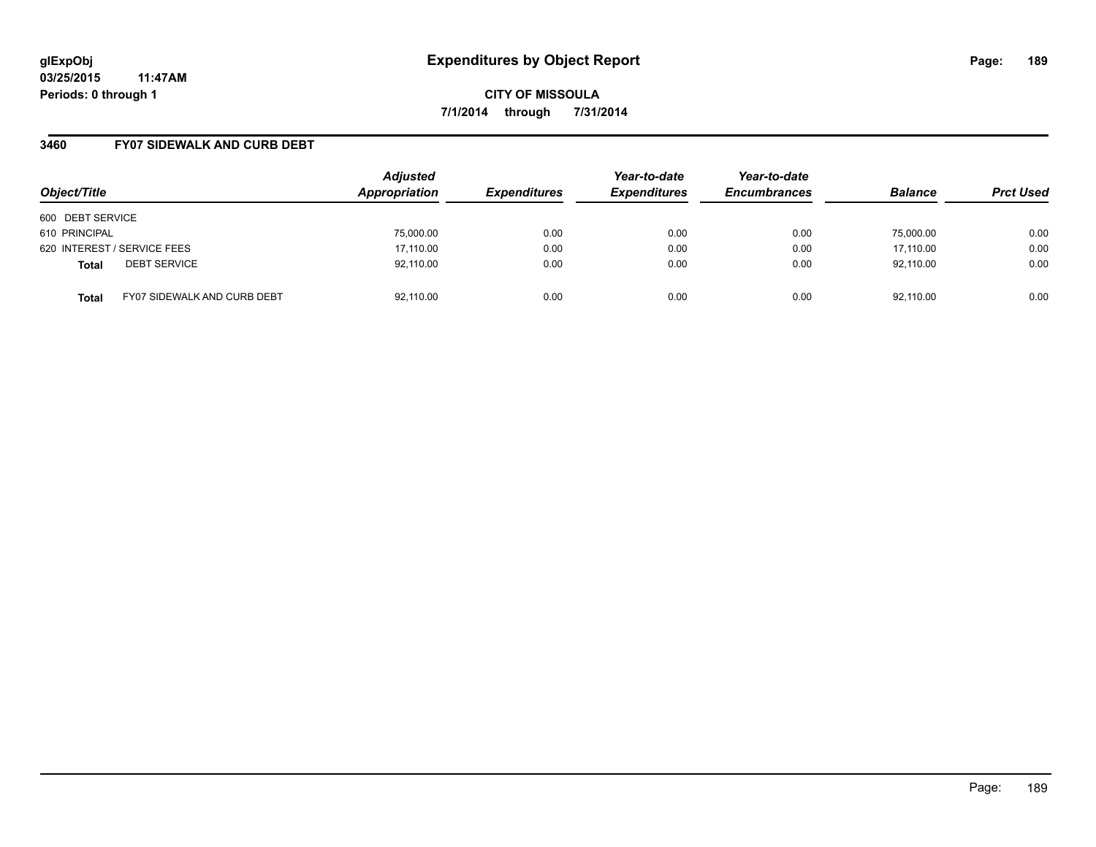**03/25/2015 11:47AM Periods: 0 through 1**

**CITY OF MISSOULA 7/1/2014 through 7/31/2014**

### **3460 FY07 SIDEWALK AND CURB DEBT**

| Object/Title                                       | <b>Adjusted</b><br>Appropriation | <b>Expenditures</b> | Year-to-date<br><b>Expenditures</b> | Year-to-date<br><b>Encumbrances</b> | <b>Balance</b> | <b>Prct Used</b> |
|----------------------------------------------------|----------------------------------|---------------------|-------------------------------------|-------------------------------------|----------------|------------------|
| 600 DEBT SERVICE                                   |                                  |                     |                                     |                                     |                |                  |
| 610 PRINCIPAL                                      | 75,000.00                        | 0.00                | 0.00                                | 0.00                                | 75.000.00      | 0.00             |
| 620 INTEREST / SERVICE FEES                        | 17,110.00                        | 0.00                | 0.00                                | 0.00                                | 17,110.00      | 0.00             |
| <b>DEBT SERVICE</b><br><b>Total</b>                | 92,110.00                        | 0.00                | 0.00                                | 0.00                                | 92,110.00      | 0.00             |
| <b>FY07 SIDEWALK AND CURB DEBT</b><br><b>Total</b> | 92,110.00                        | 0.00                | 0.00                                | 0.00                                | 92,110.00      | 0.00             |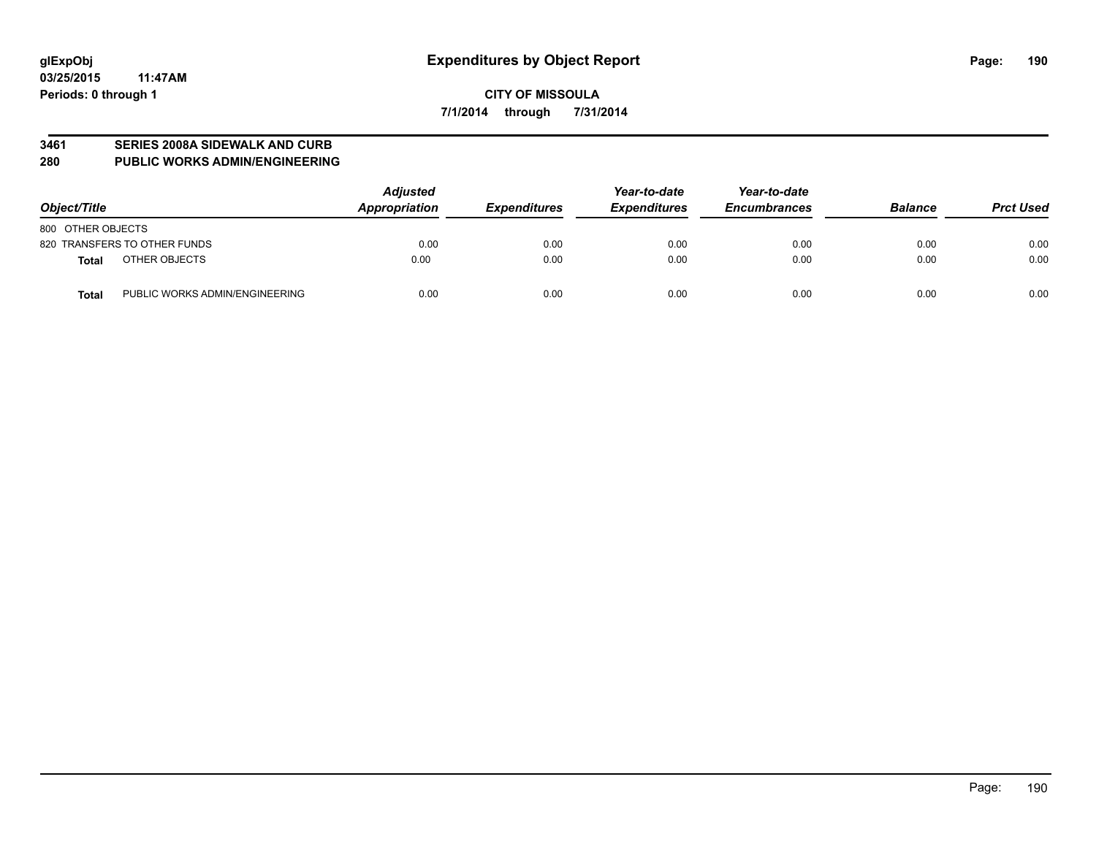#### **3461 SERIES 2008A SIDEWALK AND CURB**

**280 PUBLIC WORKS ADMIN/ENGINEERING**

| Object/Title                                   | <b>Adjusted</b><br>Appropriation | <b>Expenditures</b> | Year-to-date<br><b>Expenditures</b> | Year-to-date<br><b>Encumbrances</b> | <b>Balance</b> | <b>Prct Used</b> |
|------------------------------------------------|----------------------------------|---------------------|-------------------------------------|-------------------------------------|----------------|------------------|
| 800 OTHER OBJECTS                              |                                  |                     |                                     |                                     |                |                  |
| 820 TRANSFERS TO OTHER FUNDS                   | 0.00                             | 0.00                | 0.00                                | 0.00                                | 0.00           | 0.00             |
| OTHER OBJECTS<br><b>Total</b>                  | 0.00                             | 0.00                | 0.00                                | 0.00                                | 0.00           | 0.00             |
| PUBLIC WORKS ADMIN/ENGINEERING<br><b>Total</b> | 0.00                             | 0.00                | 0.00                                | 0.00                                | 0.00           | 0.00             |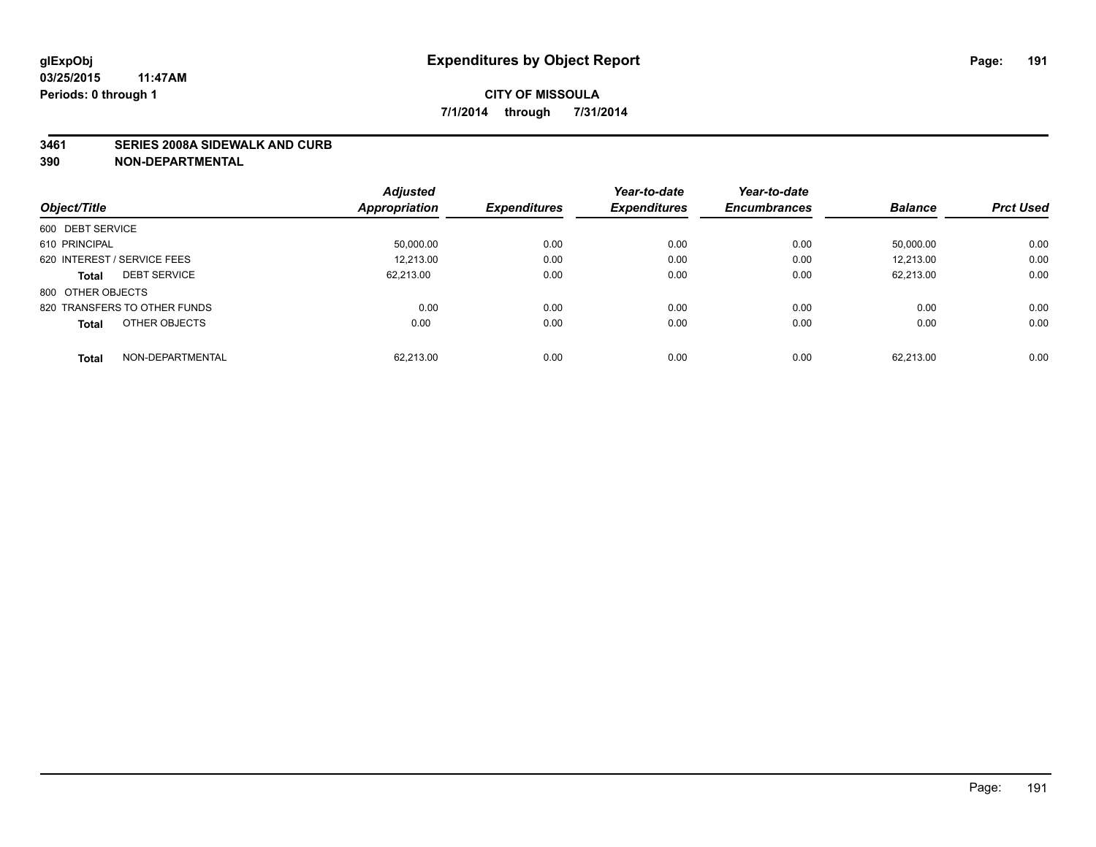#### **3461 SERIES 2008A SIDEWALK AND CURB**

|                                     | <b>Adjusted</b>      |                     | Year-to-date        | Year-to-date        |                |                  |
|-------------------------------------|----------------------|---------------------|---------------------|---------------------|----------------|------------------|
| Object/Title                        | <b>Appropriation</b> | <b>Expenditures</b> | <b>Expenditures</b> | <b>Encumbrances</b> | <b>Balance</b> | <b>Prct Used</b> |
| 600 DEBT SERVICE                    |                      |                     |                     |                     |                |                  |
| 610 PRINCIPAL                       | 50.000.00            | 0.00                | 0.00                | 0.00                | 50.000.00      | 0.00             |
| 620 INTEREST / SERVICE FEES         | 12,213.00            | 0.00                | 0.00                | 0.00                | 12.213.00      | 0.00             |
| <b>DEBT SERVICE</b><br><b>Total</b> | 62.213.00            | 0.00                | 0.00                | 0.00                | 62.213.00      | 0.00             |
| 800 OTHER OBJECTS                   |                      |                     |                     |                     |                |                  |
| 820 TRANSFERS TO OTHER FUNDS        | 0.00                 | 0.00                | 0.00                | 0.00                | 0.00           | 0.00             |
| OTHER OBJECTS<br><b>Total</b>       | 0.00                 | 0.00                | 0.00                | 0.00                | 0.00           | 0.00             |
| NON-DEPARTMENTAL<br><b>Total</b>    | 62.213.00            | 0.00                | 0.00                | 0.00                | 62.213.00      | 0.00             |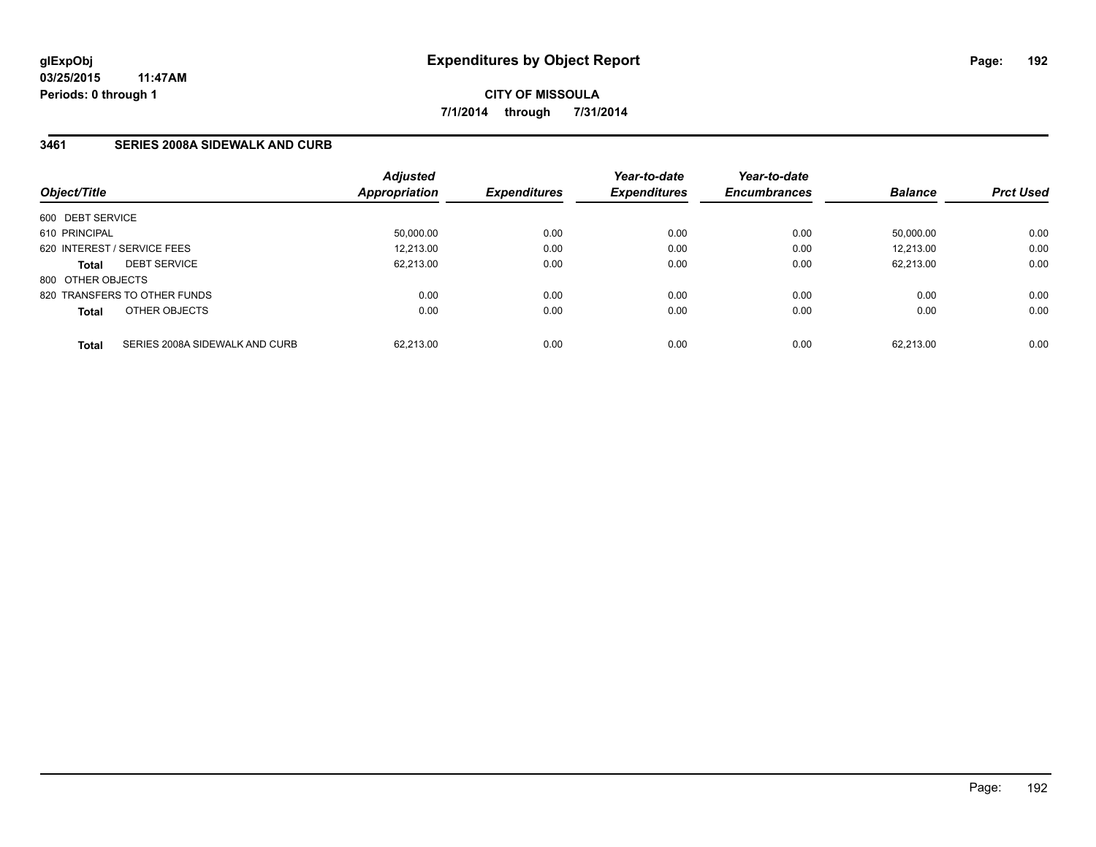**03/25/2015 11:47AM Periods: 0 through 1**

**CITY OF MISSOULA 7/1/2014 through 7/31/2014**

### **3461 SERIES 2008A SIDEWALK AND CURB**

| Object/Title      |                                | <b>Adjusted</b><br>Appropriation | <b>Expenditures</b> | Year-to-date<br><b>Expenditures</b> | Year-to-date<br><b>Encumbrances</b> | <b>Balance</b> | <b>Prct Used</b> |
|-------------------|--------------------------------|----------------------------------|---------------------|-------------------------------------|-------------------------------------|----------------|------------------|
| 600 DEBT SERVICE  |                                |                                  |                     |                                     |                                     |                |                  |
| 610 PRINCIPAL     |                                | 50,000.00                        | 0.00                | 0.00                                | 0.00                                | 50.000.00      | 0.00             |
|                   | 620 INTEREST / SERVICE FEES    | 12,213.00                        | 0.00                | 0.00                                | 0.00                                | 12.213.00      | 0.00             |
| <b>Total</b>      | <b>DEBT SERVICE</b>            | 62.213.00                        | 0.00                | 0.00                                | 0.00                                | 62.213.00      | 0.00             |
| 800 OTHER OBJECTS |                                |                                  |                     |                                     |                                     |                |                  |
|                   | 820 TRANSFERS TO OTHER FUNDS   | 0.00                             | 0.00                | 0.00                                | 0.00                                | 0.00           | 0.00             |
| <b>Total</b>      | OTHER OBJECTS                  | 0.00                             | 0.00                | 0.00                                | 0.00                                | 0.00           | 0.00             |
| <b>Total</b>      | SERIES 2008A SIDEWALK AND CURB | 62.213.00                        | 0.00                | 0.00                                | 0.00                                | 62.213.00      | 0.00             |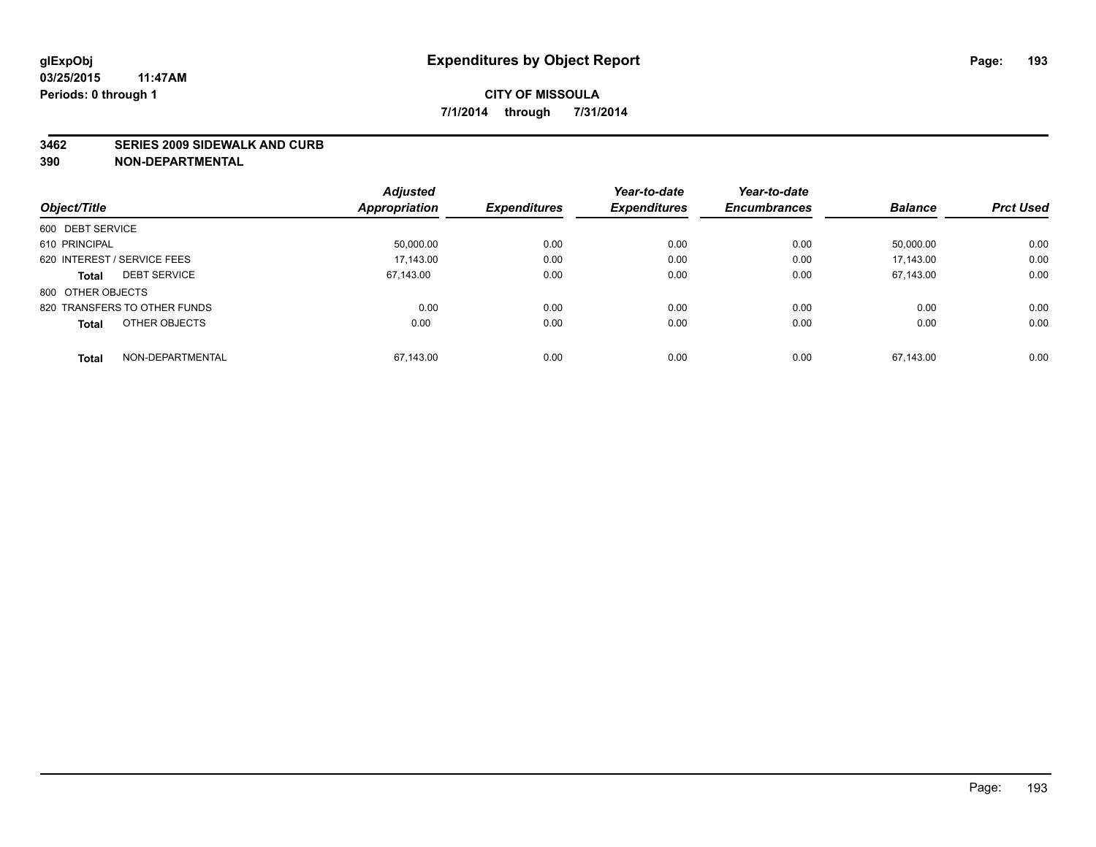#### **3462 SERIES 2009 SIDEWALK AND CURB**

|                                     | <b>Adjusted</b>      |                     | Year-to-date | Year-to-date        |                |                  |
|-------------------------------------|----------------------|---------------------|--------------|---------------------|----------------|------------------|
| Object/Title                        | <b>Appropriation</b> | <b>Expenditures</b> | Expenditures | <b>Encumbrances</b> | <b>Balance</b> | <b>Prct Used</b> |
| 600 DEBT SERVICE                    |                      |                     |              |                     |                |                  |
| 610 PRINCIPAL                       | 50,000.00            | 0.00                | 0.00         | 0.00                | 50.000.00      | 0.00             |
| 620 INTEREST / SERVICE FEES         | 17.143.00            | 0.00                | 0.00         | 0.00                | 17.143.00      | 0.00             |
| <b>DEBT SERVICE</b><br><b>Total</b> | 67.143.00            | 0.00                | 0.00         | 0.00                | 67,143.00      | 0.00             |
| 800 OTHER OBJECTS                   |                      |                     |              |                     |                |                  |
| 820 TRANSFERS TO OTHER FUNDS        | 0.00                 | 0.00                | 0.00         | 0.00                | 0.00           | 0.00             |
| OTHER OBJECTS<br><b>Total</b>       | 0.00                 | 0.00                | 0.00         | 0.00                | 0.00           | 0.00             |
| NON-DEPARTMENTAL<br>Total           | 67.143.00            | 0.00                | 0.00         | 0.00                | 67.143.00      | 0.00             |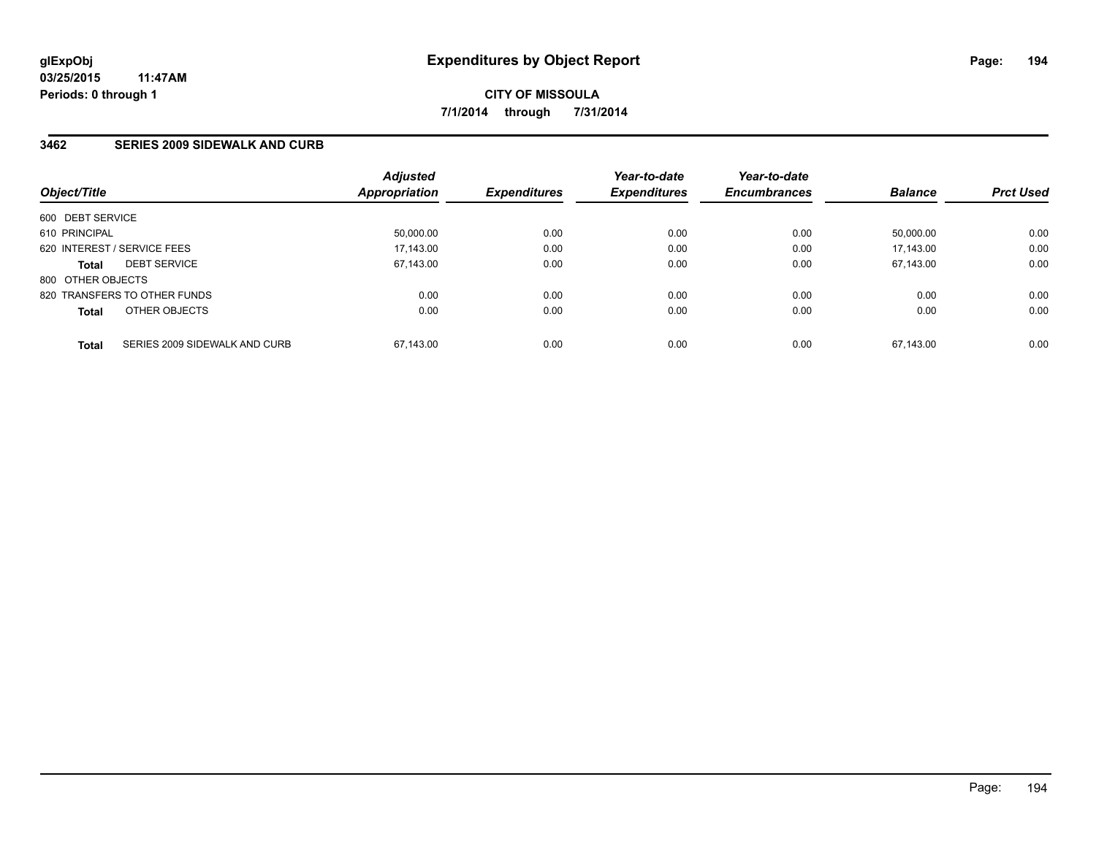### **3462 SERIES 2009 SIDEWALK AND CURB**

| Object/Title      |                               | <b>Adjusted</b><br>Appropriation | <b>Expenditures</b> | Year-to-date<br><b>Expenditures</b> | Year-to-date<br><b>Encumbrances</b> | <b>Balance</b> | <b>Prct Used</b> |
|-------------------|-------------------------------|----------------------------------|---------------------|-------------------------------------|-------------------------------------|----------------|------------------|
| 600 DEBT SERVICE  |                               |                                  |                     |                                     |                                     |                |                  |
| 610 PRINCIPAL     |                               | 50,000.00                        | 0.00                | 0.00                                | 0.00                                | 50,000.00      | 0.00             |
|                   | 620 INTEREST / SERVICE FEES   | 17,143.00                        | 0.00                | 0.00                                | 0.00                                | 17.143.00      | 0.00             |
| <b>Total</b>      | <b>DEBT SERVICE</b>           | 67.143.00                        | 0.00                | 0.00                                | 0.00                                | 67.143.00      | 0.00             |
| 800 OTHER OBJECTS |                               |                                  |                     |                                     |                                     |                |                  |
|                   | 820 TRANSFERS TO OTHER FUNDS  | 0.00                             | 0.00                | 0.00                                | 0.00                                | 0.00           | 0.00             |
| <b>Total</b>      | OTHER OBJECTS                 | 0.00                             | 0.00                | 0.00                                | 0.00                                | 0.00           | 0.00             |
| <b>Total</b>      | SERIES 2009 SIDEWALK AND CURB | 67.143.00                        | 0.00                | 0.00                                | 0.00                                | 67.143.00      | 0.00             |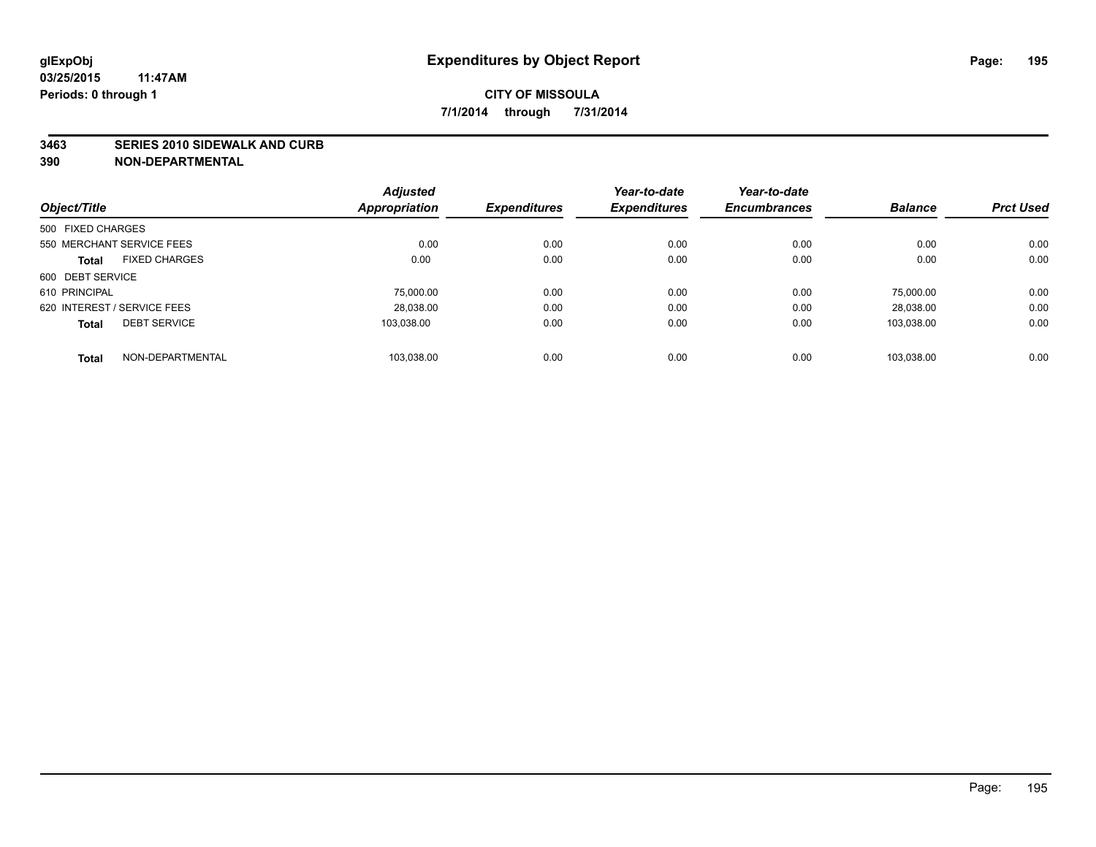#### **3463 SERIES 2010 SIDEWALK AND CURB**

|                             |                      | <b>Adjusted</b> |                     | Year-to-date        | Year-to-date        |                |                  |
|-----------------------------|----------------------|-----------------|---------------------|---------------------|---------------------|----------------|------------------|
| Object/Title                |                      | Appropriation   | <b>Expenditures</b> | <b>Expenditures</b> | <b>Encumbrances</b> | <b>Balance</b> | <b>Prct Used</b> |
| 500 FIXED CHARGES           |                      |                 |                     |                     |                     |                |                  |
| 550 MERCHANT SERVICE FEES   |                      | 0.00            | 0.00                | 0.00                | 0.00                | 0.00           | 0.00             |
| <b>Total</b>                | <b>FIXED CHARGES</b> | 0.00            | 0.00                | 0.00                | 0.00                | 0.00           | 0.00             |
| 600 DEBT SERVICE            |                      |                 |                     |                     |                     |                |                  |
| 610 PRINCIPAL               |                      | 75,000.00       | 0.00                | 0.00                | 0.00                | 75.000.00      | 0.00             |
| 620 INTEREST / SERVICE FEES |                      | 28.038.00       | 0.00                | 0.00                | 0.00                | 28.038.00      | 0.00             |
| <b>Total</b>                | <b>DEBT SERVICE</b>  | 103.038.00      | 0.00                | 0.00                | 0.00                | 103.038.00     | 0.00             |
| <b>Total</b>                | NON-DEPARTMENTAL     | 103.038.00      | 0.00                | 0.00                | 0.00                | 103.038.00     | 0.00             |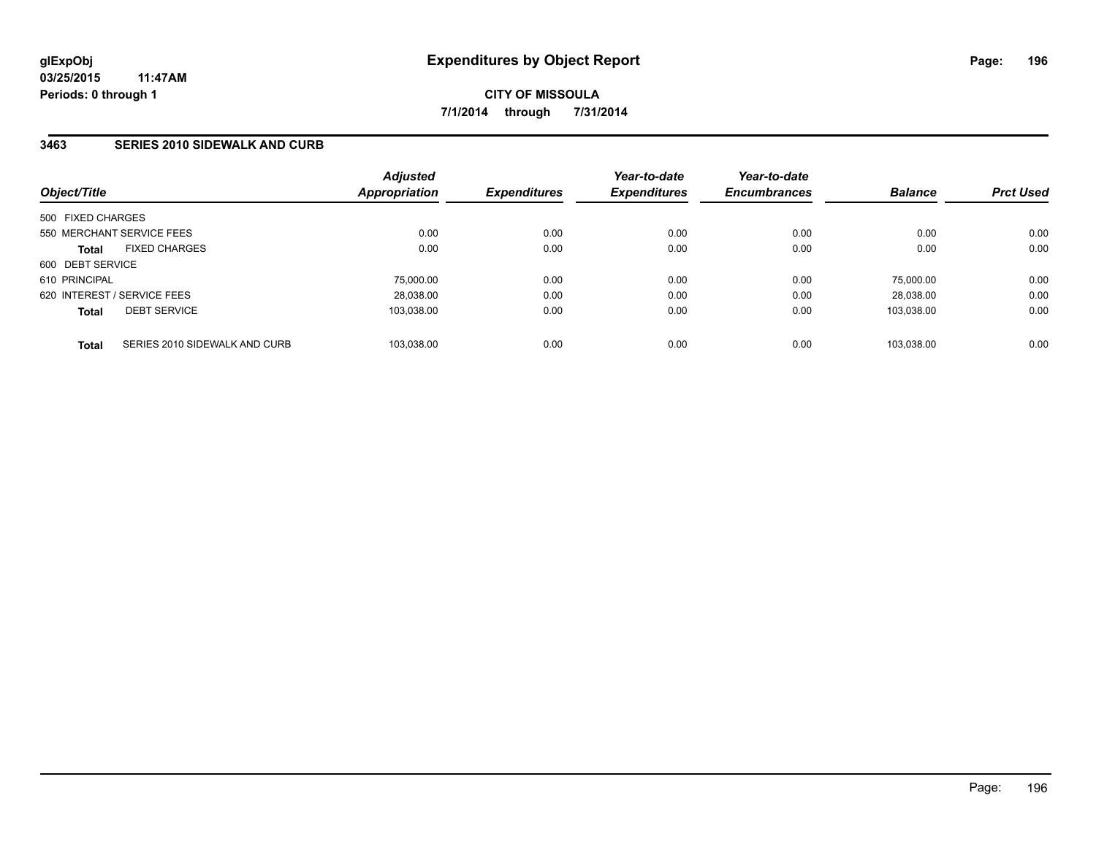### **3463 SERIES 2010 SIDEWALK AND CURB**

|                             | <b>Adjusted</b><br>Appropriation | <b>Expenditures</b> | Year-to-date<br><b>Expenditures</b> | Year-to-date<br><b>Encumbrances</b> | <b>Balance</b> | <b>Prct Used</b> |
|-----------------------------|----------------------------------|---------------------|-------------------------------------|-------------------------------------|----------------|------------------|
| 500 FIXED CHARGES           |                                  |                     |                                     |                                     |                |                  |
| 550 MERCHANT SERVICE FEES   | 0.00                             | 0.00                | 0.00                                | 0.00                                | 0.00           | 0.00             |
| <b>FIXED CHARGES</b>        | 0.00                             | 0.00                | 0.00                                | 0.00                                | 0.00           | 0.00             |
| 600 DEBT SERVICE            |                                  |                     |                                     |                                     |                |                  |
|                             | 75.000.00                        | 0.00                | 0.00                                | 0.00                                | 75.000.00      | 0.00             |
| 620 INTEREST / SERVICE FEES | 28,038.00                        | 0.00                | 0.00                                | 0.00                                | 28.038.00      | 0.00             |
| <b>DEBT SERVICE</b>         | 103.038.00                       | 0.00                | 0.00                                | 0.00                                | 103.038.00     | 0.00             |
|                             |                                  |                     |                                     |                                     |                | 0.00             |
|                             | SERIES 2010 SIDEWALK AND CURB    | 103.038.00          | 0.00                                | 0.00                                | 0.00           | 103.038.00       |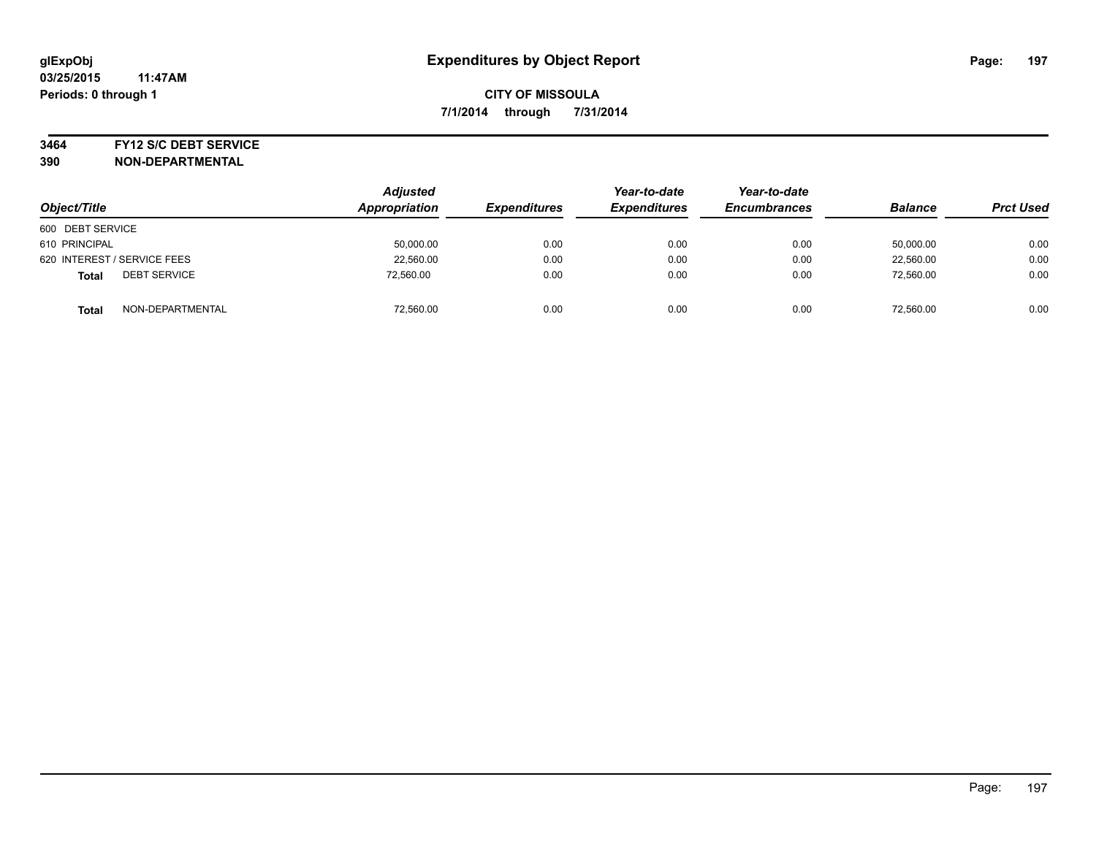#### **3464 FY12 S/C DEBT SERVICE**

| Object/Title                        | <b>Adjusted</b><br>Appropriation | <b>Expenditures</b> | Year-to-date<br><b>Expenditures</b> | Year-to-date<br><b>Encumbrances</b> | <b>Balance</b> | <b>Prct Used</b> |
|-------------------------------------|----------------------------------|---------------------|-------------------------------------|-------------------------------------|----------------|------------------|
| 600 DEBT SERVICE                    |                                  |                     |                                     |                                     |                |                  |
| 610 PRINCIPAL                       | 50,000.00                        | 0.00                | 0.00                                | 0.00                                | 50,000.00      | 0.00             |
| 620 INTEREST / SERVICE FEES         | 22,560.00                        | 0.00                | 0.00                                | 0.00                                | 22,560.00      | 0.00             |
| <b>DEBT SERVICE</b><br><b>Total</b> | 72,560.00                        | 0.00                | 0.00                                | 0.00                                | 72.560.00      | 0.00             |
| NON-DEPARTMENTAL<br><b>Total</b>    | 72,560.00                        | 0.00                | 0.00                                | 0.00                                | 72,560.00      | 0.00             |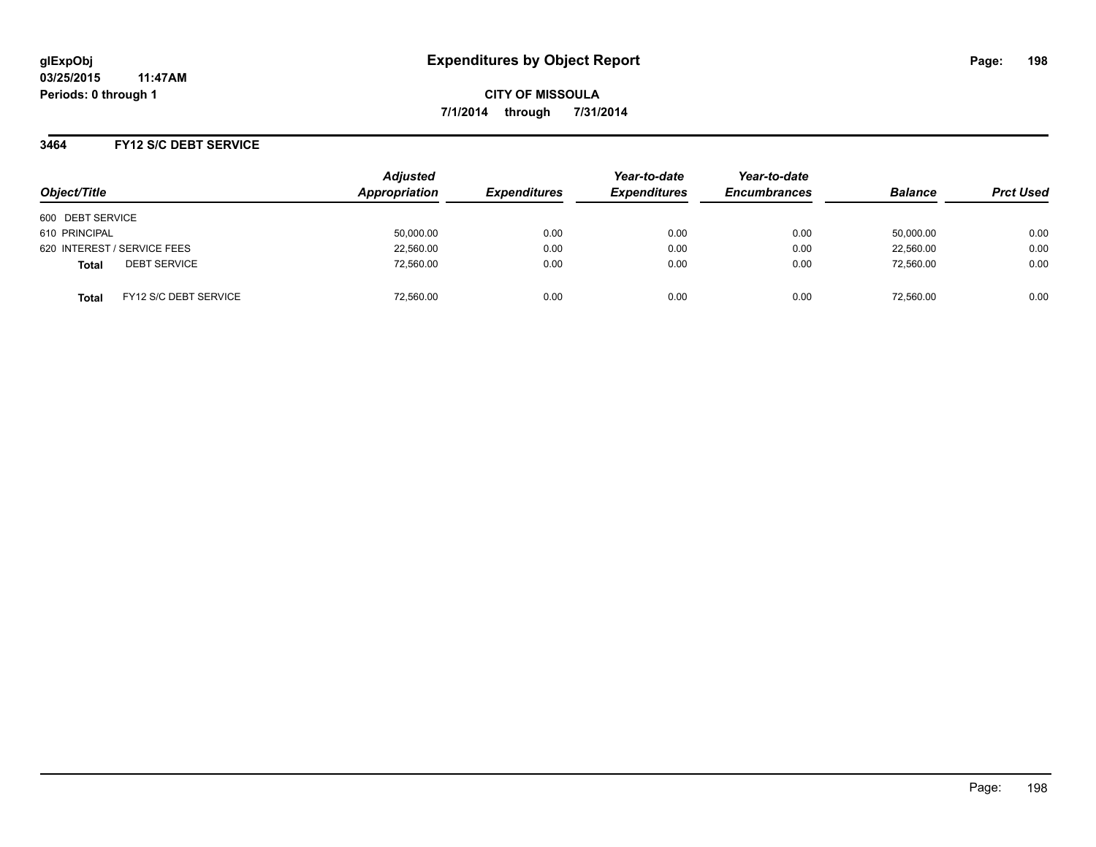### **3464 FY12 S/C DEBT SERVICE**

| Object/Title                          | <b>Adjusted</b><br>Appropriation | <b>Expenditures</b> | Year-to-date<br><b>Expenditures</b> | Year-to-date<br><b>Encumbrances</b> | <b>Balance</b> | <b>Prct Used</b> |
|---------------------------------------|----------------------------------|---------------------|-------------------------------------|-------------------------------------|----------------|------------------|
| 600 DEBT SERVICE                      |                                  |                     |                                     |                                     |                |                  |
| 610 PRINCIPAL                         | 50,000.00                        | 0.00                | 0.00                                | 0.00                                | 50.000.00      | 0.00             |
| 620 INTEREST / SERVICE FEES           | 22,560.00                        | 0.00                | 0.00                                | 0.00                                | 22,560.00      | 0.00             |
| <b>DEBT SERVICE</b><br><b>Total</b>   | 72,560.00                        | 0.00                | 0.00                                | 0.00                                | 72,560.00      | 0.00             |
| FY12 S/C DEBT SERVICE<br><b>Total</b> | 72,560.00                        | 0.00                | 0.00                                | 0.00                                | 72,560.00      | 0.00             |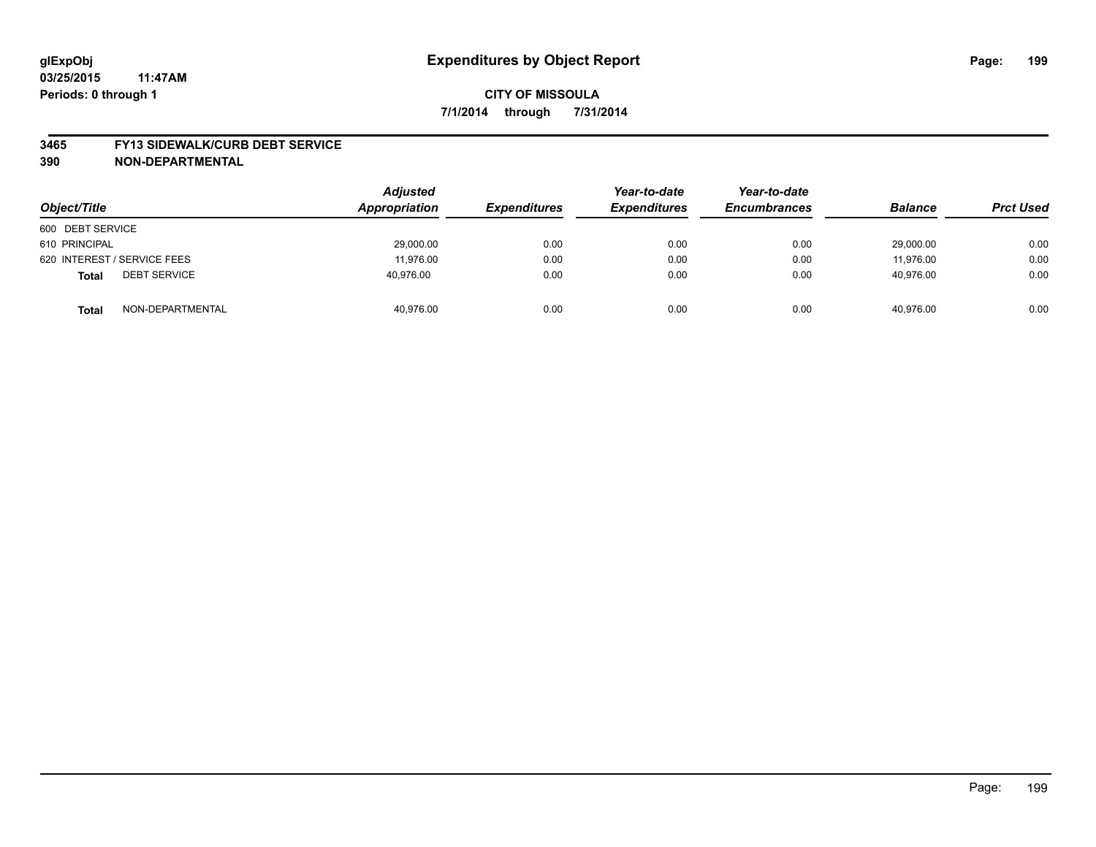#### **3465 FY13 SIDEWALK/CURB DEBT SERVICE**

| Object/Title                        | <b>Adjusted</b><br>Appropriation | <b>Expenditures</b> | Year-to-date<br><b>Expenditures</b> | Year-to-date<br><b>Encumbrances</b> | <b>Balance</b> | <b>Prct Used</b> |
|-------------------------------------|----------------------------------|---------------------|-------------------------------------|-------------------------------------|----------------|------------------|
| 600 DEBT SERVICE                    |                                  |                     |                                     |                                     |                |                  |
| 610 PRINCIPAL                       | 29,000.00                        | 0.00                | 0.00                                | 0.00                                | 29,000.00      | 0.00             |
| 620 INTEREST / SERVICE FEES         | 11.976.00                        | 0.00                | 0.00                                | 0.00                                | 11.976.00      | 0.00             |
| <b>DEBT SERVICE</b><br><b>Total</b> | 40,976.00                        | 0.00                | 0.00                                | 0.00                                | 40,976.00      | 0.00             |
| NON-DEPARTMENTAL<br><b>Total</b>    | 40,976.00                        | 0.00                | 0.00                                | 0.00                                | 40.976.00      | 0.00             |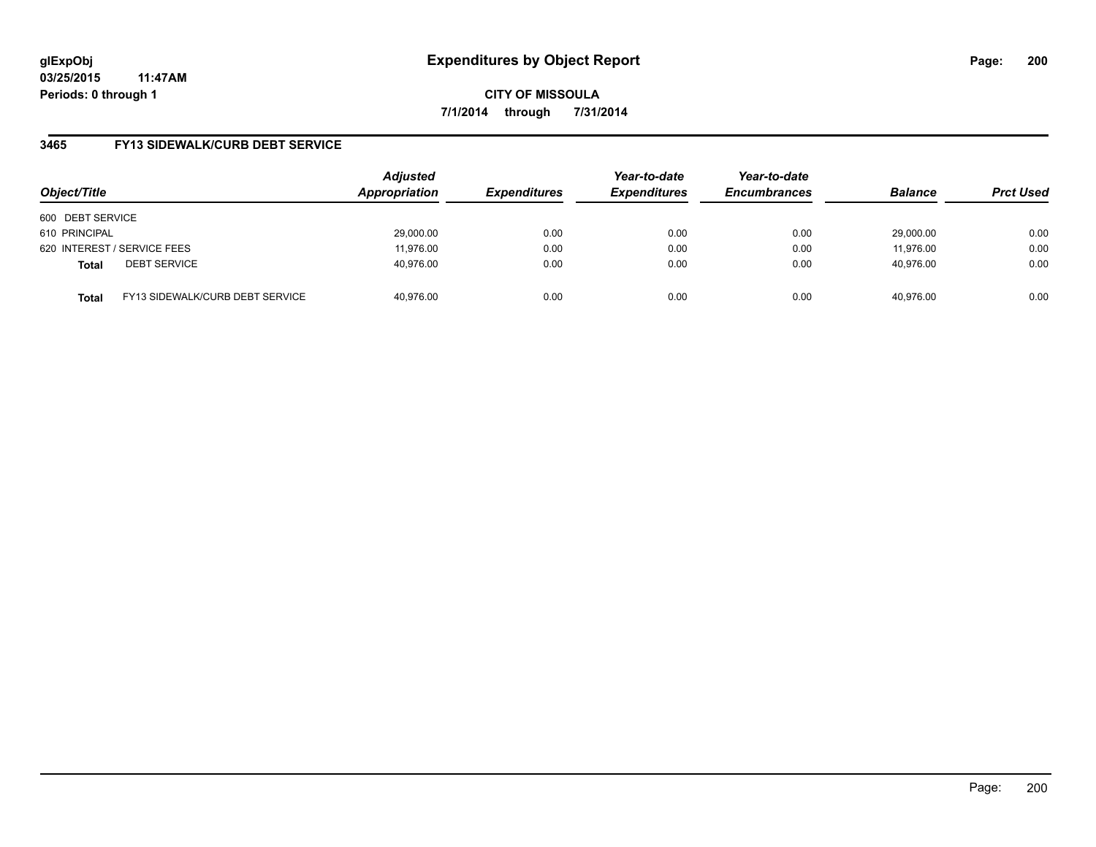**03/25/2015 11:47AM Periods: 0 through 1**

**CITY OF MISSOULA 7/1/2014 through 7/31/2014**

# **3465 FY13 SIDEWALK/CURB DEBT SERVICE**

| Object/Title     |                                 | <b>Adjusted</b><br>Appropriation | <b>Expenditures</b> | Year-to-date<br><b>Expenditures</b> | Year-to-date<br><b>Encumbrances</b> | <b>Balance</b> | <b>Prct Used</b> |
|------------------|---------------------------------|----------------------------------|---------------------|-------------------------------------|-------------------------------------|----------------|------------------|
| 600 DEBT SERVICE |                                 |                                  |                     |                                     |                                     |                |                  |
| 610 PRINCIPAL    |                                 | 29,000.00                        | 0.00                | 0.00                                | 0.00                                | 29.000.00      | 0.00             |
|                  | 620 INTEREST / SERVICE FEES     | 11,976.00                        | 0.00                | 0.00                                | 0.00                                | 11,976.00      | 0.00             |
| <b>Total</b>     | <b>DEBT SERVICE</b>             | 40,976.00                        | 0.00                | 0.00                                | 0.00                                | 40.976.00      | 0.00             |
| <b>Total</b>     | FY13 SIDEWALK/CURB DEBT SERVICE | 40,976.00                        | 0.00                | 0.00                                | 0.00                                | 40.976.00      | 0.00             |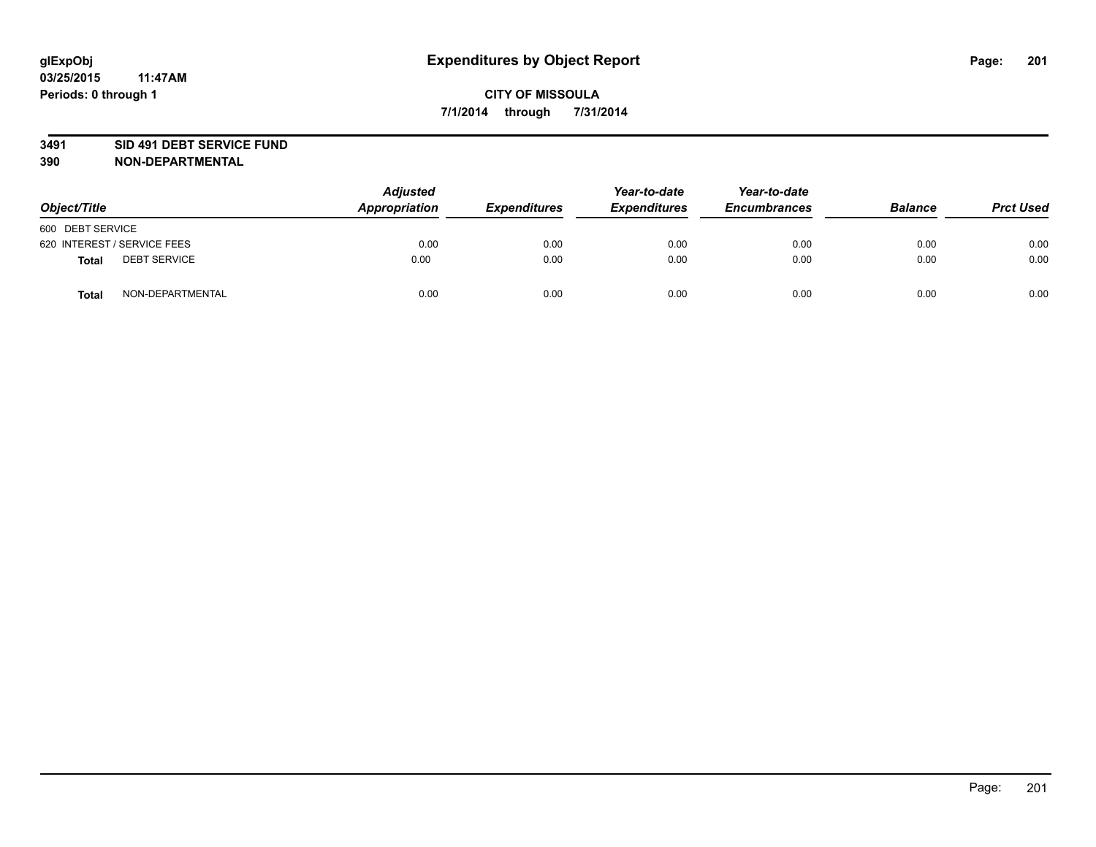### **3491 SID 491 DEBT SERVICE FUND**

| Object/Title                        | <b>Adjusted</b><br>Appropriation | <b>Expenditures</b> | Year-to-date<br><b>Expenditures</b> | Year-to-date<br><b>Encumbrances</b> | <b>Balance</b> | <b>Prct Used</b> |
|-------------------------------------|----------------------------------|---------------------|-------------------------------------|-------------------------------------|----------------|------------------|
| 600 DEBT SERVICE                    |                                  |                     |                                     |                                     |                |                  |
| 620 INTEREST / SERVICE FEES         | 0.00                             | 0.00                | 0.00                                | 0.00                                | 0.00           | 0.00             |
| <b>DEBT SERVICE</b><br><b>Total</b> | 0.00                             | 0.00                | 0.00                                | 0.00                                | 0.00           | 0.00             |
| NON-DEPARTMENTAL<br><b>Total</b>    | 0.00                             | 0.00                | 0.00                                | 0.00                                | 0.00           | 0.00             |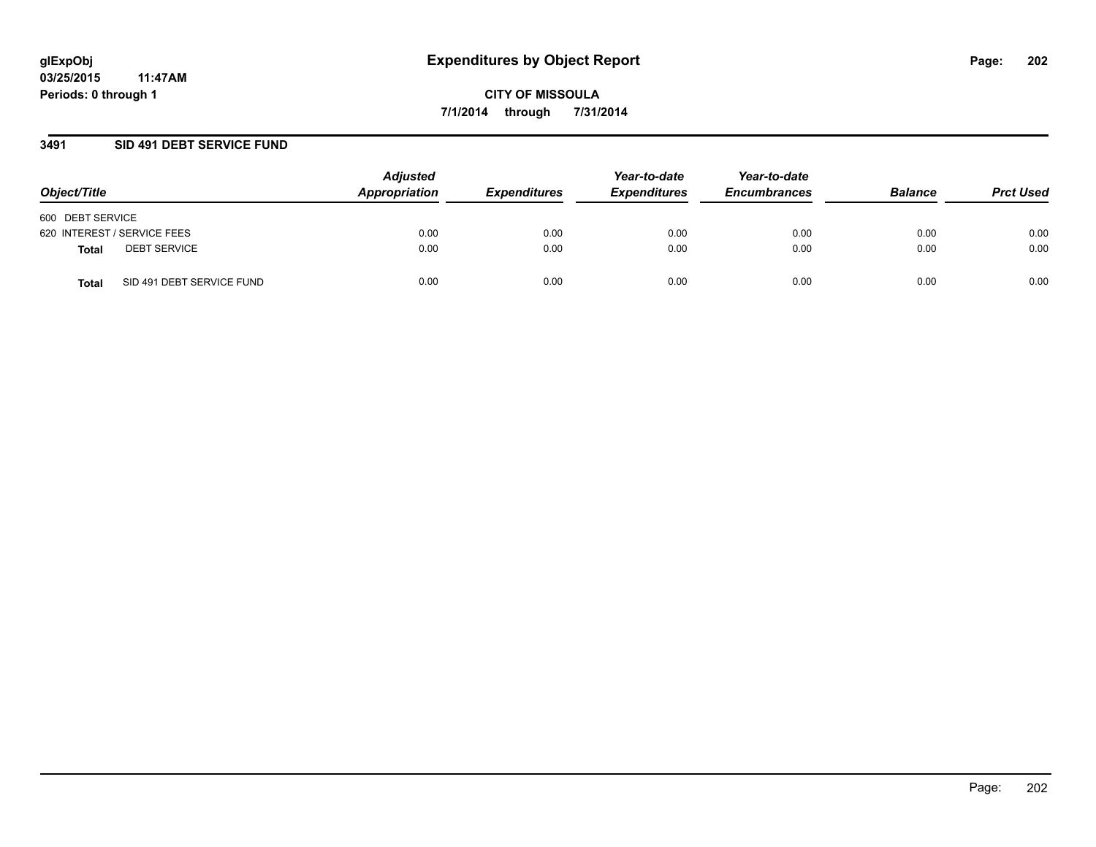### **3491 SID 491 DEBT SERVICE FUND**

| Object/Title                       | <b>Adjusted</b><br>Appropriation | <b>Expenditures</b> | Year-to-date<br><b>Expenditures</b> | Year-to-date<br><b>Encumbrances</b> | <b>Balance</b> | <b>Prct Used</b> |
|------------------------------------|----------------------------------|---------------------|-------------------------------------|-------------------------------------|----------------|------------------|
| 600 DEBT SERVICE                   |                                  |                     |                                     |                                     |                |                  |
| 620 INTEREST / SERVICE FEES        | 0.00                             | 0.00                | 0.00                                | 0.00                                | 0.00           | 0.00             |
| <b>DEBT SERVICE</b><br>Total       | 0.00                             | 0.00                | 0.00                                | 0.00                                | 0.00           | 0.00             |
| SID 491 DEBT SERVICE FUND<br>Total | 0.00                             | 0.00                | 0.00                                | 0.00                                | 0.00           | 0.00             |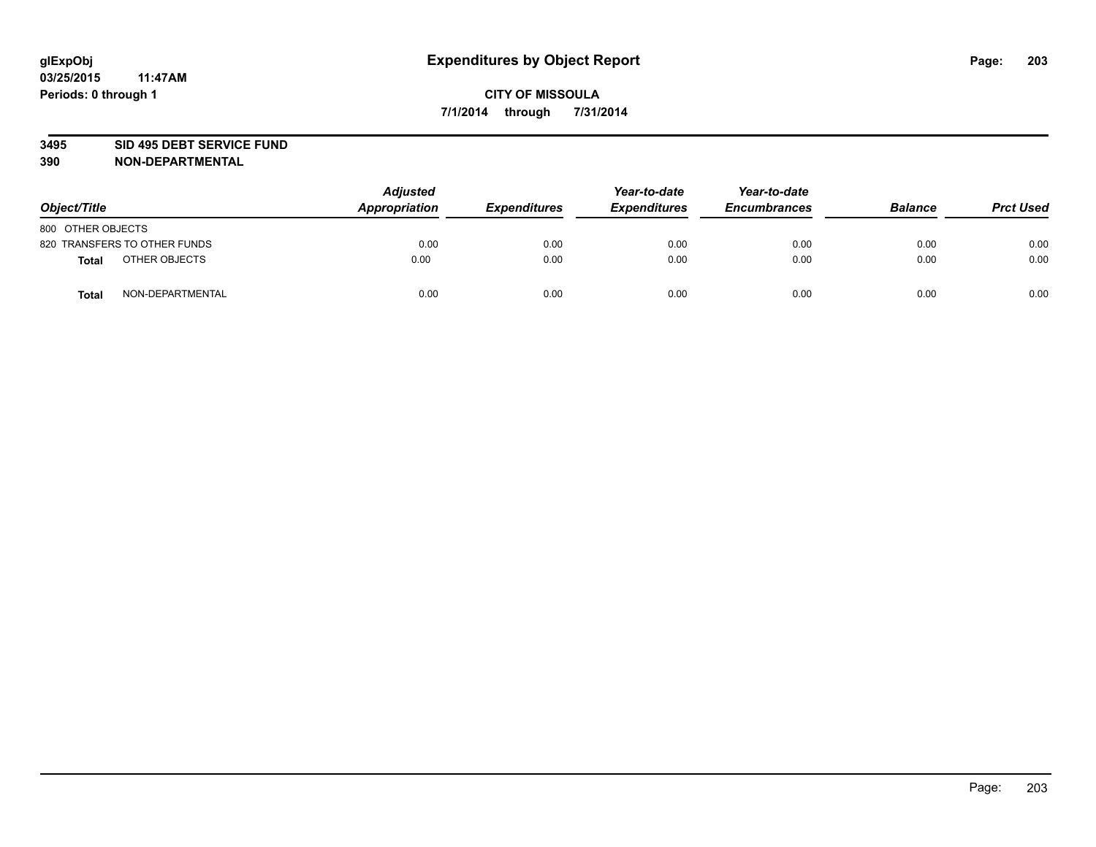### **3495 SID 495 DEBT SERVICE FUND**

| Object/Title                     | <b>Adjusted</b><br><b>Appropriation</b> | <b>Expenditures</b> | Year-to-date<br><b>Expenditures</b> | Year-to-date<br><b>Encumbrances</b> | <b>Balance</b> | <b>Prct Used</b> |
|----------------------------------|-----------------------------------------|---------------------|-------------------------------------|-------------------------------------|----------------|------------------|
| 800 OTHER OBJECTS                |                                         |                     |                                     |                                     |                |                  |
| 820 TRANSFERS TO OTHER FUNDS     | 0.00                                    | 0.00                | 0.00                                | 0.00                                | 0.00           | 0.00             |
| OTHER OBJECTS<br><b>Total</b>    | 0.00                                    | 0.00                | 0.00                                | 0.00                                | 0.00           | 0.00             |
| NON-DEPARTMENTAL<br><b>Total</b> | 0.00                                    | 0.00                | 0.00                                | 0.00                                | 0.00           | 0.00             |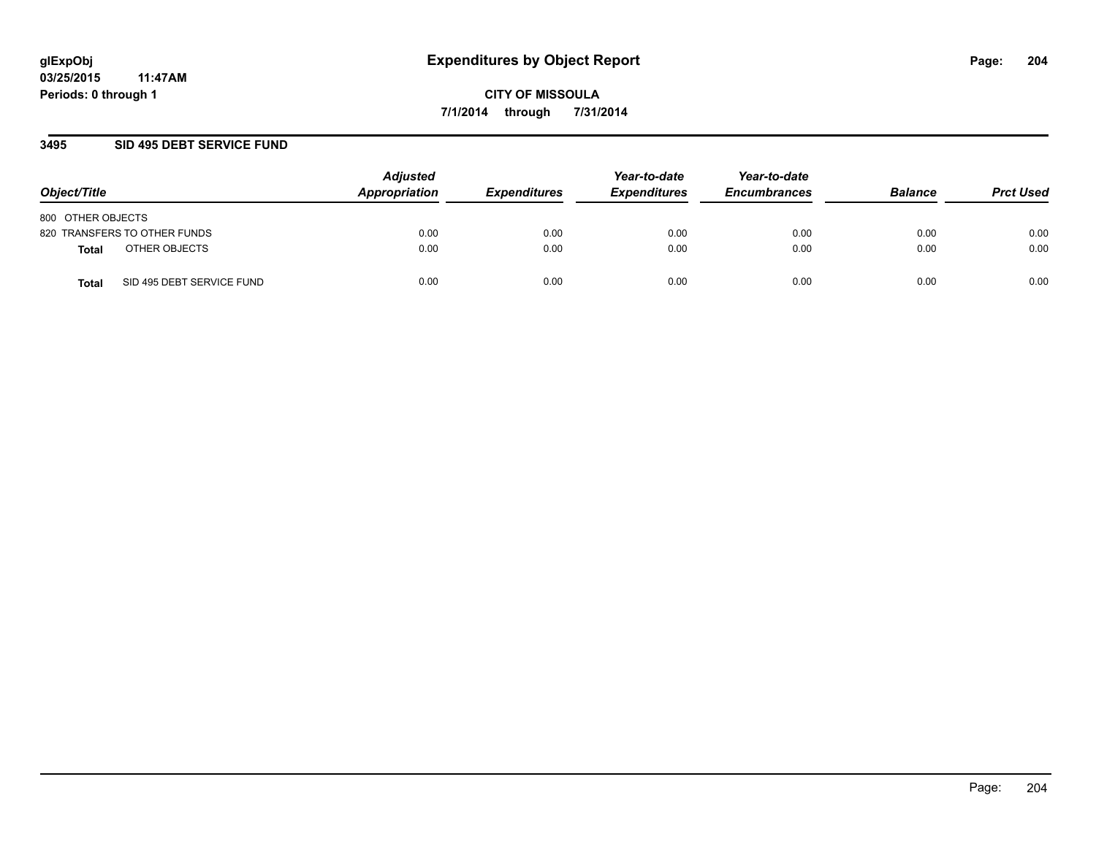### **3495 SID 495 DEBT SERVICE FUND**

| Object/Title                       | <b>Adjusted</b><br>Appropriation | <b>Expenditures</b> | Year-to-date<br><b>Expenditures</b> | Year-to-date<br><b>Encumbrances</b> | <b>Balance</b> | <b>Prct Used</b> |
|------------------------------------|----------------------------------|---------------------|-------------------------------------|-------------------------------------|----------------|------------------|
| 800 OTHER OBJECTS                  |                                  |                     |                                     |                                     |                |                  |
| 820 TRANSFERS TO OTHER FUNDS       | 0.00                             | 0.00                | 0.00                                | 0.00                                | 0.00           | 0.00             |
| OTHER OBJECTS<br>Total             | 0.00                             | 0.00                | 0.00                                | 0.00                                | 0.00           | 0.00             |
| SID 495 DEBT SERVICE FUND<br>Total | 0.00                             | 0.00                | 0.00                                | 0.00                                | 0.00           | 0.00             |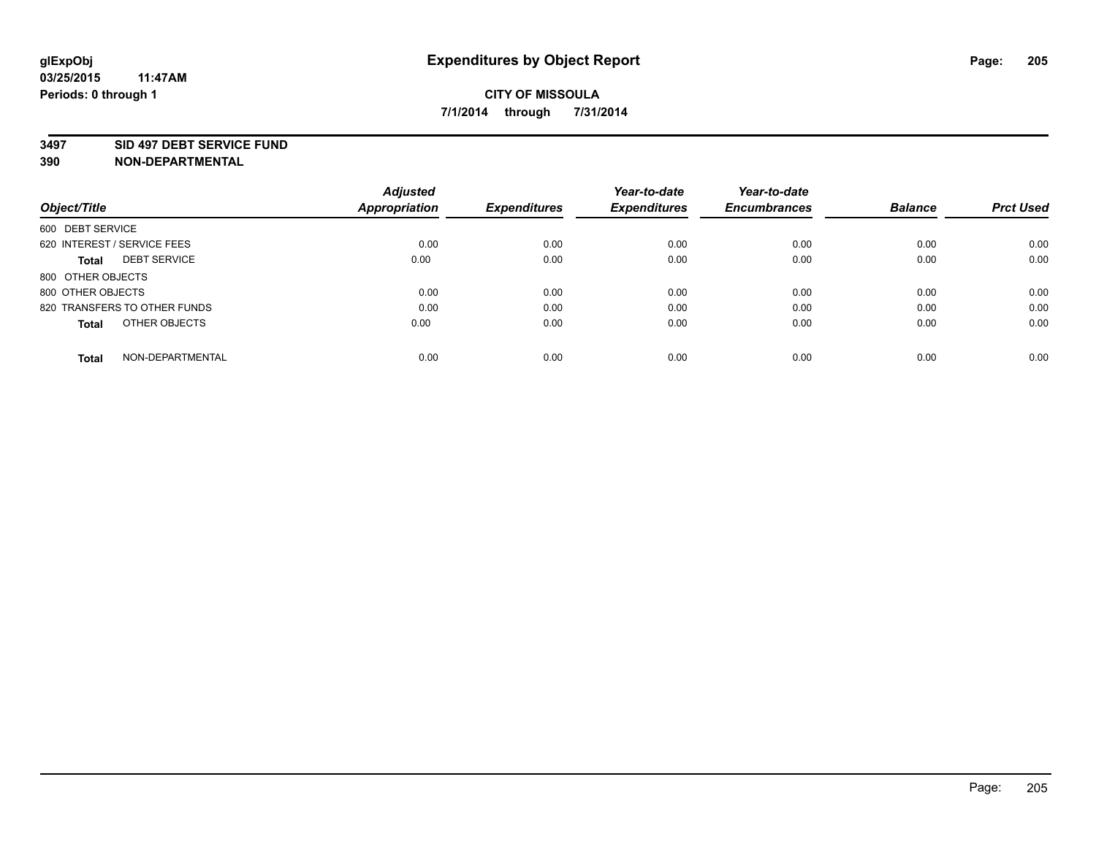### **3497 SID 497 DEBT SERVICE FUND**

|                                     | <b>Adjusted</b>      |                     | Year-to-date        | Year-to-date        |                |                  |
|-------------------------------------|----------------------|---------------------|---------------------|---------------------|----------------|------------------|
| Object/Title                        | <b>Appropriation</b> | <b>Expenditures</b> | <b>Expenditures</b> | <b>Encumbrances</b> | <b>Balance</b> | <b>Prct Used</b> |
| 600 DEBT SERVICE                    |                      |                     |                     |                     |                |                  |
| 620 INTEREST / SERVICE FEES         | 0.00                 | 0.00                | 0.00                | 0.00                | 0.00           | 0.00             |
| <b>DEBT SERVICE</b><br><b>Total</b> | 0.00                 | 0.00                | 0.00                | 0.00                | 0.00           | 0.00             |
| 800 OTHER OBJECTS                   |                      |                     |                     |                     |                |                  |
| 800 OTHER OBJECTS                   | 0.00                 | 0.00                | 0.00                | 0.00                | 0.00           | 0.00             |
| 820 TRANSFERS TO OTHER FUNDS        | 0.00                 | 0.00                | 0.00                | 0.00                | 0.00           | 0.00             |
| OTHER OBJECTS<br><b>Total</b>       | 0.00                 | 0.00                | 0.00                | 0.00                | 0.00           | 0.00             |
| NON-DEPARTMENTAL<br>Total           | 0.00                 | 0.00                | 0.00                | 0.00                | 0.00           | 0.00             |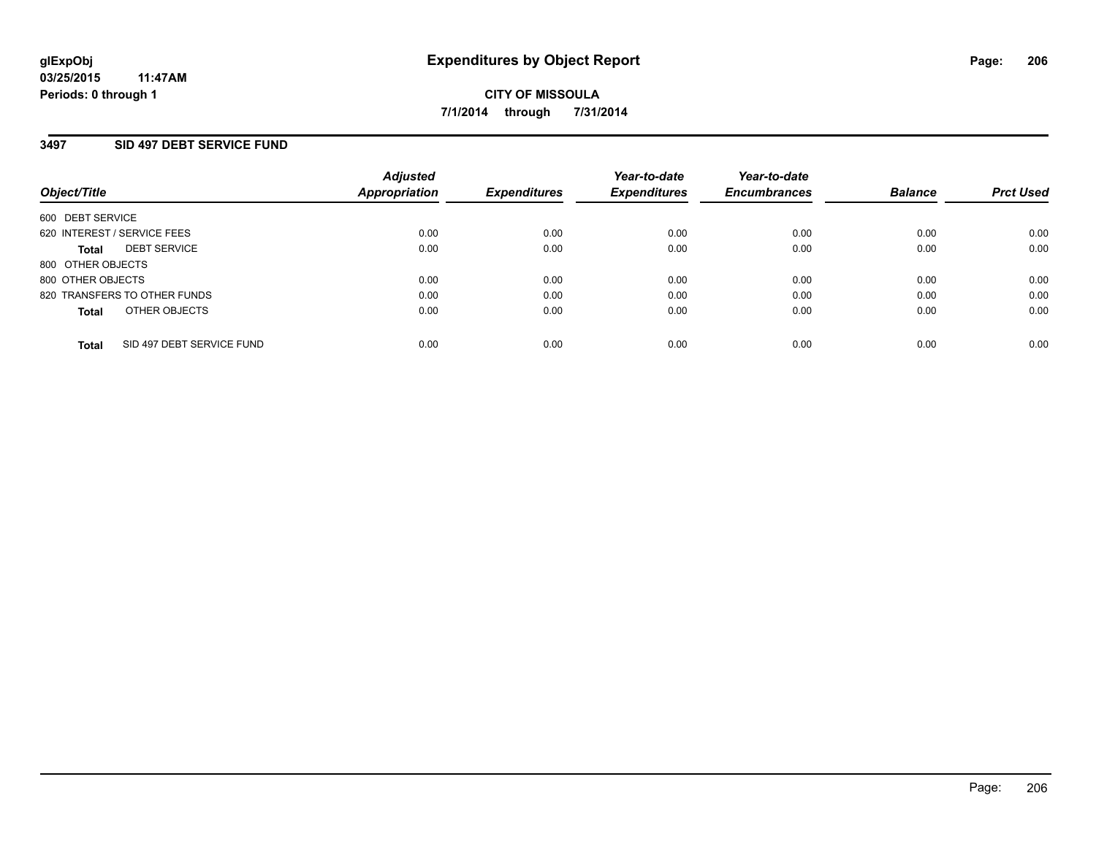### **3497 SID 497 DEBT SERVICE FUND**

| Object/Title                              | <b>Adjusted</b><br>Appropriation | <b>Expenditures</b> | Year-to-date<br><b>Expenditures</b> | Year-to-date<br><b>Encumbrances</b> | <b>Balance</b> | <b>Prct Used</b> |
|-------------------------------------------|----------------------------------|---------------------|-------------------------------------|-------------------------------------|----------------|------------------|
| 600 DEBT SERVICE                          |                                  |                     |                                     |                                     |                |                  |
| 620 INTEREST / SERVICE FEES               | 0.00                             | 0.00                | 0.00                                | 0.00                                | 0.00           | 0.00             |
| <b>DEBT SERVICE</b><br><b>Total</b>       | 0.00                             | 0.00                | 0.00                                | 0.00                                | 0.00           | 0.00             |
| 800 OTHER OBJECTS                         |                                  |                     |                                     |                                     |                |                  |
| 800 OTHER OBJECTS                         | 0.00                             | 0.00                | 0.00                                | 0.00                                | 0.00           | 0.00             |
| 820 TRANSFERS TO OTHER FUNDS              | 0.00                             | 0.00                | 0.00                                | 0.00                                | 0.00           | 0.00             |
| OTHER OBJECTS<br><b>Total</b>             | 0.00                             | 0.00                | 0.00                                | 0.00                                | 0.00           | 0.00             |
| SID 497 DEBT SERVICE FUND<br><b>Total</b> | 0.00                             | 0.00                | 0.00                                | 0.00                                | 0.00           | 0.00             |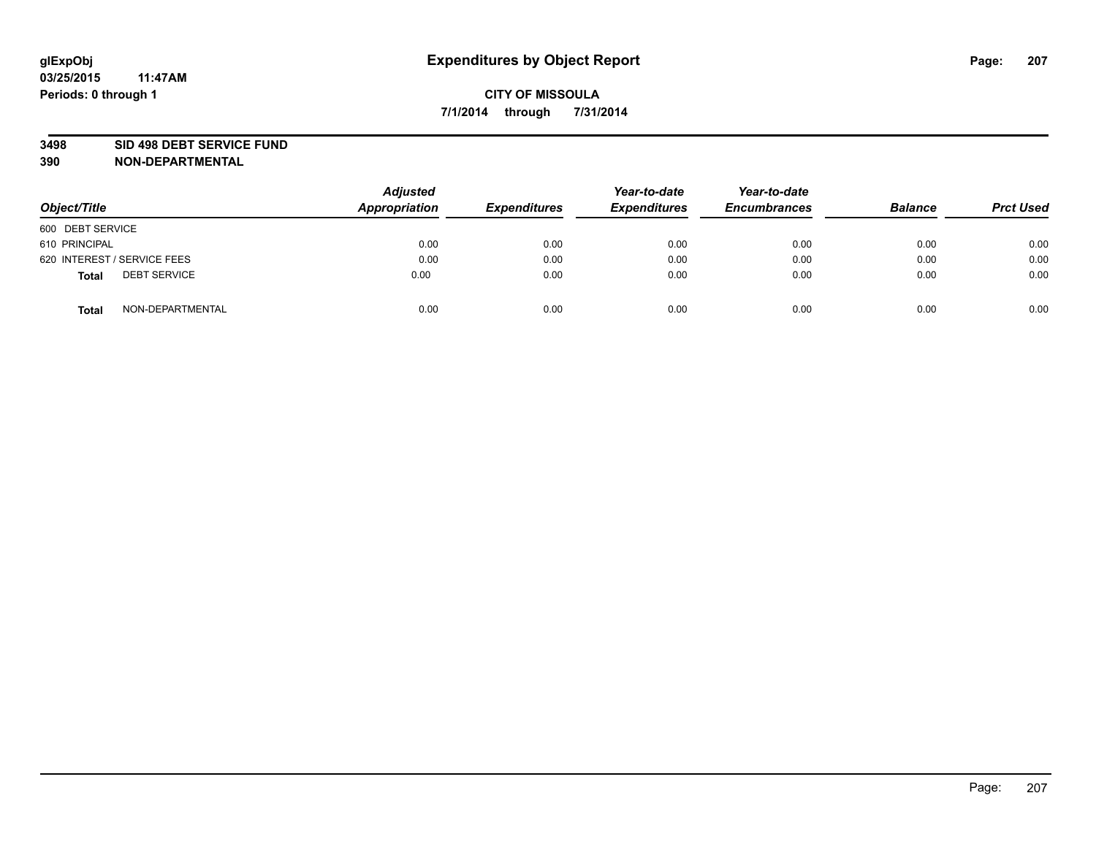### **3498 SID 498 DEBT SERVICE FUND**

| Object/Title                        | <b>Adjusted</b><br>Appropriation | <b>Expenditures</b> | Year-to-date<br><b>Expenditures</b> | Year-to-date<br><b>Encumbrances</b> | <b>Balance</b> | <b>Prct Used</b> |
|-------------------------------------|----------------------------------|---------------------|-------------------------------------|-------------------------------------|----------------|------------------|
| 600 DEBT SERVICE                    |                                  |                     |                                     |                                     |                |                  |
| 610 PRINCIPAL                       | 0.00                             | 0.00                | 0.00                                | 0.00                                | 0.00           | 0.00             |
| 620 INTEREST / SERVICE FEES         | 0.00                             | 0.00                | 0.00                                | 0.00                                | 0.00           | 0.00             |
| <b>DEBT SERVICE</b><br><b>Total</b> | 0.00                             | 0.00                | 0.00                                | 0.00                                | 0.00           | 0.00             |
| NON-DEPARTMENTAL<br><b>Total</b>    | 0.00                             | 0.00                | 0.00                                | 0.00                                | 0.00           | 0.00             |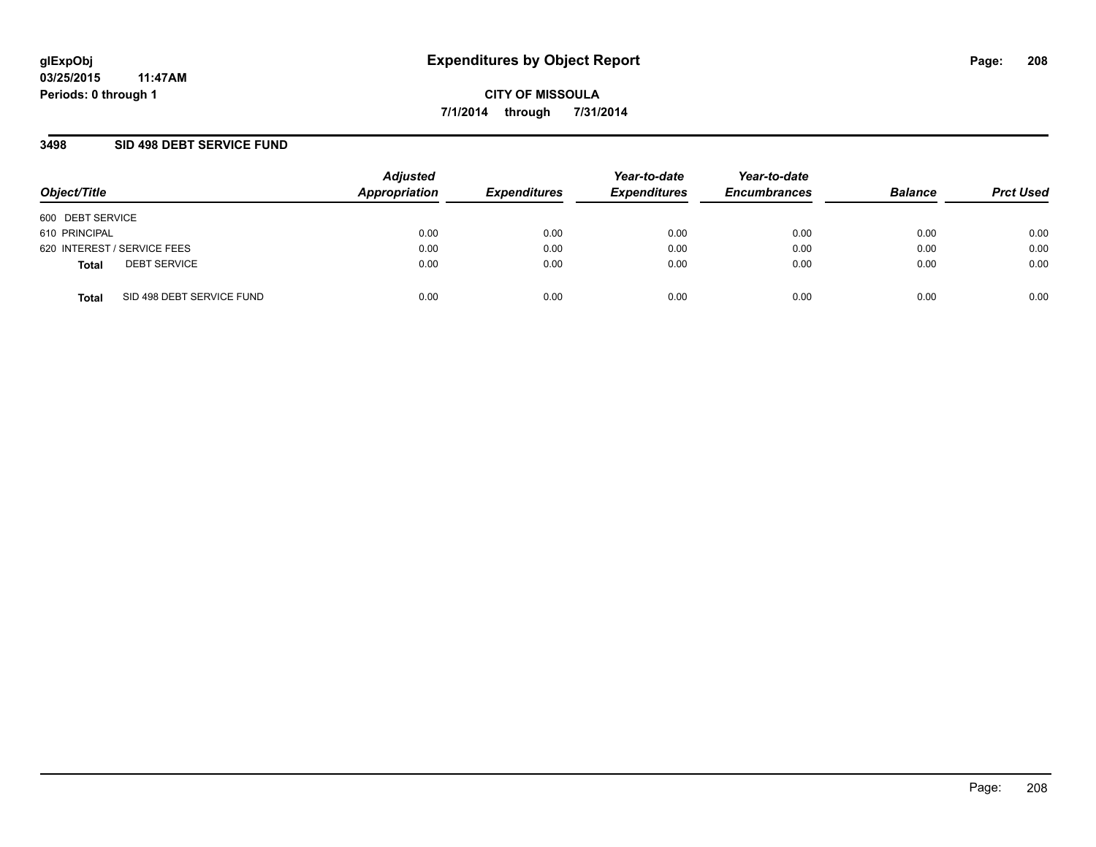### **3498 SID 498 DEBT SERVICE FUND**

| Object/Title                              | <b>Adjusted</b><br>Appropriation | <b>Expenditures</b> | Year-to-date<br><b>Expenditures</b> | Year-to-date<br><b>Encumbrances</b> | <b>Balance</b> | <b>Prct Used</b> |
|-------------------------------------------|----------------------------------|---------------------|-------------------------------------|-------------------------------------|----------------|------------------|
| 600 DEBT SERVICE                          |                                  |                     |                                     |                                     |                |                  |
| 610 PRINCIPAL                             | 0.00                             | 0.00                | 0.00                                | 0.00                                | 0.00           | 0.00             |
| 620 INTEREST / SERVICE FEES               | 0.00                             | 0.00                | 0.00                                | 0.00                                | 0.00           | 0.00             |
| <b>DEBT SERVICE</b><br><b>Total</b>       | 0.00                             | 0.00                | 0.00                                | 0.00                                | 0.00           | 0.00             |
| SID 498 DEBT SERVICE FUND<br><b>Total</b> | 0.00                             | 0.00                | 0.00                                | 0.00                                | 0.00           | 0.00             |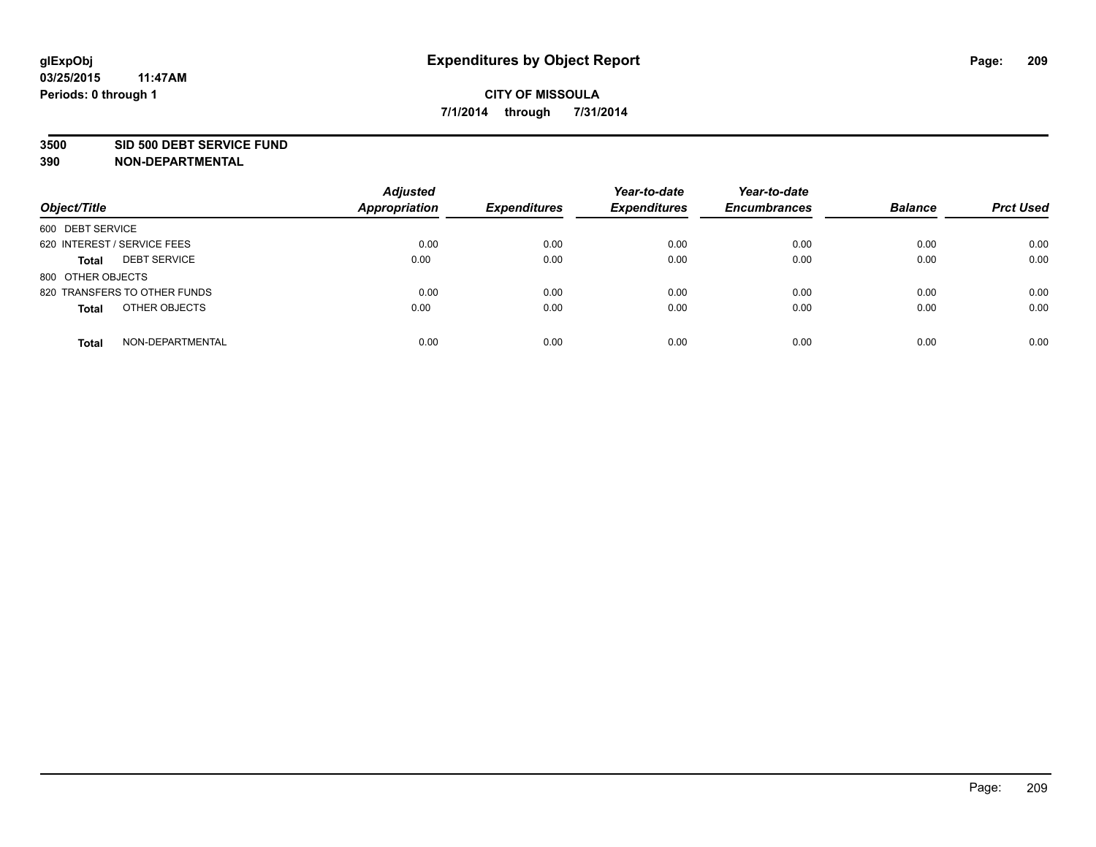#### **3500 SID 500 DEBT SERVICE FUND**

| Object/Title                        | <b>Adjusted</b><br>Appropriation | <b>Expenditures</b> | Year-to-date<br><b>Expenditures</b> | Year-to-date<br><b>Encumbrances</b> | <b>Balance</b> | <b>Prct Used</b> |
|-------------------------------------|----------------------------------|---------------------|-------------------------------------|-------------------------------------|----------------|------------------|
| 600 DEBT SERVICE                    |                                  |                     |                                     |                                     |                |                  |
| 620 INTEREST / SERVICE FEES         | 0.00                             | 0.00                | 0.00                                | 0.00                                | 0.00           | 0.00             |
| <b>DEBT SERVICE</b><br><b>Total</b> | 0.00                             | 0.00                | 0.00                                | 0.00                                | 0.00           | 0.00             |
| 800 OTHER OBJECTS                   |                                  |                     |                                     |                                     |                |                  |
| 820 TRANSFERS TO OTHER FUNDS        | 0.00                             | 0.00                | 0.00                                | 0.00                                | 0.00           | 0.00             |
| OTHER OBJECTS<br><b>Total</b>       | 0.00                             | 0.00                | 0.00                                | 0.00                                | 0.00           | 0.00             |
| NON-DEPARTMENTAL<br><b>Total</b>    | 0.00                             | 0.00                | 0.00                                | 0.00                                | 0.00           | 0.00             |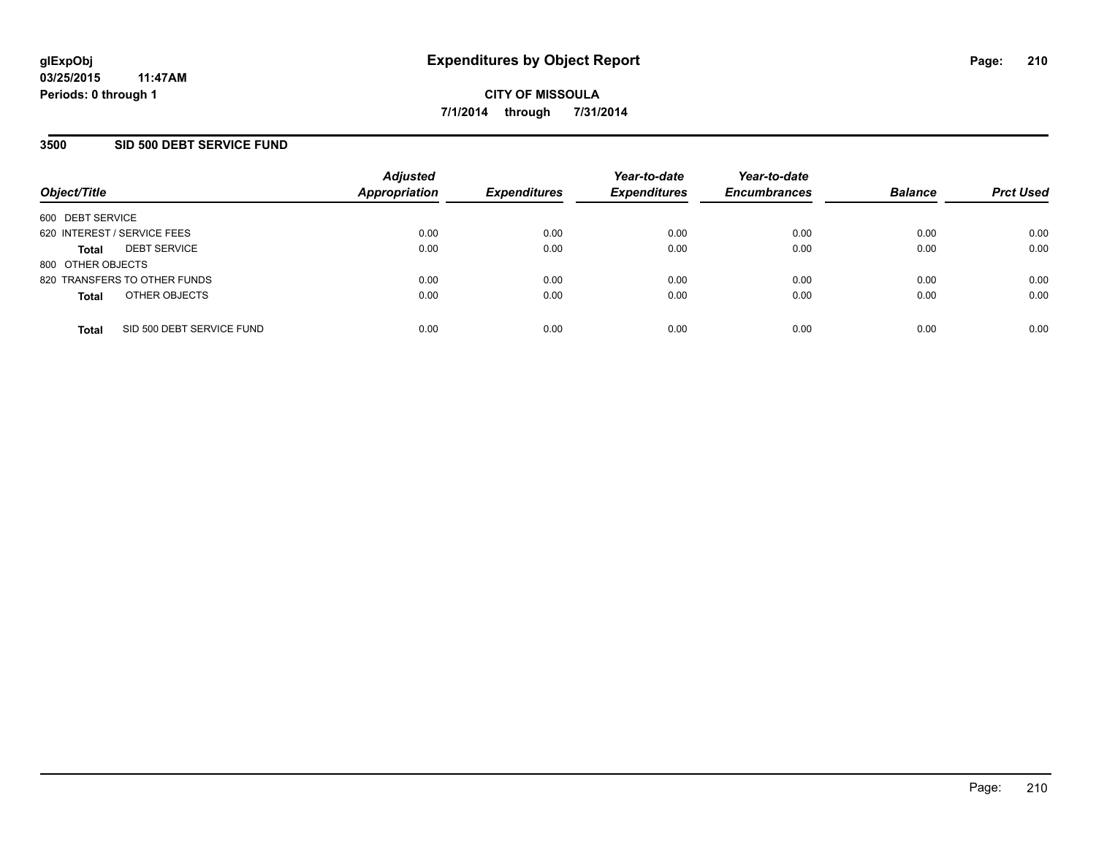### **3500 SID 500 DEBT SERVICE FUND**

| Object/Title                |                              | <b>Adjusted</b><br><b>Appropriation</b> | <b>Expenditures</b> | Year-to-date<br><b>Expenditures</b> | Year-to-date<br><b>Encumbrances</b> | <b>Balance</b> | <b>Prct Used</b> |
|-----------------------------|------------------------------|-----------------------------------------|---------------------|-------------------------------------|-------------------------------------|----------------|------------------|
| 600 DEBT SERVICE            |                              |                                         |                     |                                     |                                     |                |                  |
| 620 INTEREST / SERVICE FEES |                              | 0.00                                    | 0.00                | 0.00                                | 0.00                                | 0.00           | 0.00             |
| <b>Total</b>                | <b>DEBT SERVICE</b>          | 0.00                                    | 0.00                | 0.00                                | 0.00                                | 0.00           | 0.00             |
| 800 OTHER OBJECTS           |                              |                                         |                     |                                     |                                     |                |                  |
|                             | 820 TRANSFERS TO OTHER FUNDS | 0.00                                    | 0.00                | 0.00                                | 0.00                                | 0.00           | 0.00             |
| <b>Total</b>                | OTHER OBJECTS                | 0.00                                    | 0.00                | 0.00                                | 0.00                                | 0.00           | 0.00             |
| <b>Total</b>                | SID 500 DEBT SERVICE FUND    | 0.00                                    | 0.00                | 0.00                                | 0.00                                | 0.00           | 0.00             |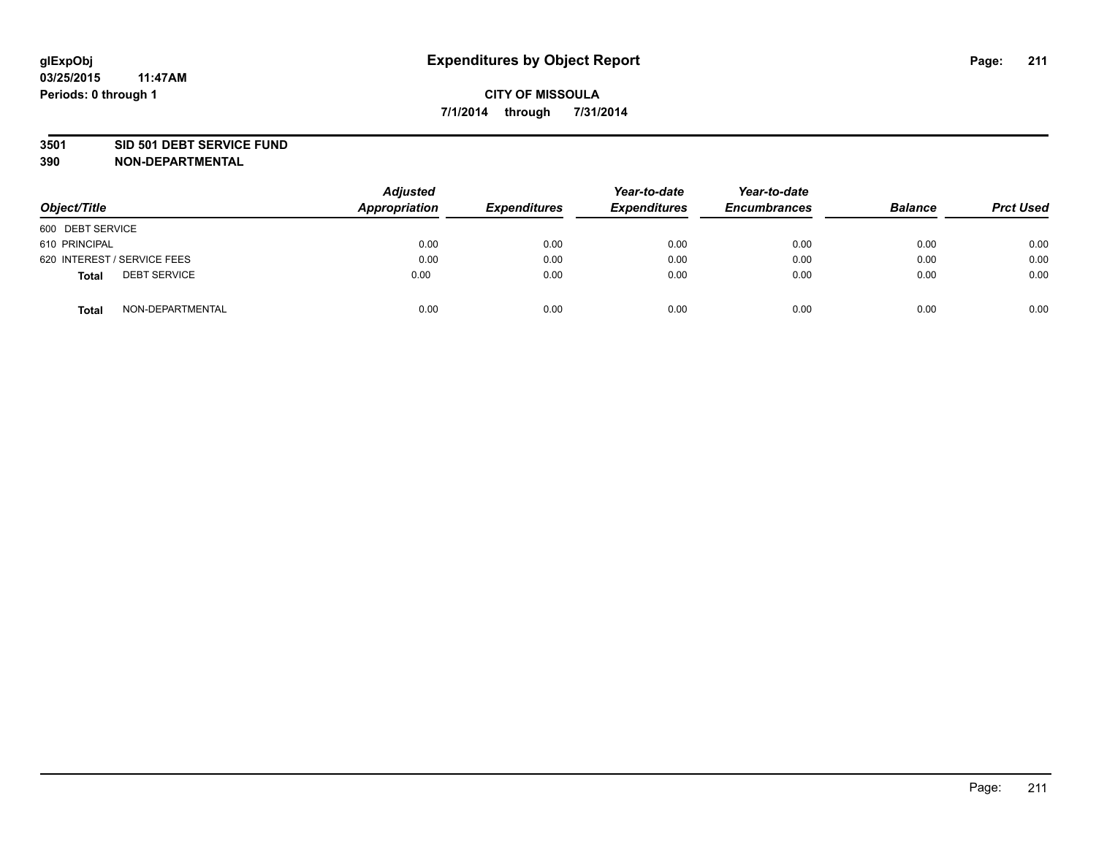### **3501 SID 501 DEBT SERVICE FUND**

| Object/Title                        | <b>Adjusted</b><br>Appropriation | <b>Expenditures</b> | Year-to-date<br><b>Expenditures</b> | Year-to-date<br><b>Encumbrances</b> | <b>Balance</b> | <b>Prct Used</b> |
|-------------------------------------|----------------------------------|---------------------|-------------------------------------|-------------------------------------|----------------|------------------|
| 600 DEBT SERVICE                    |                                  |                     |                                     |                                     |                |                  |
| 610 PRINCIPAL                       | 0.00                             | 0.00                | 0.00                                | 0.00                                | 0.00           | 0.00             |
| 620 INTEREST / SERVICE FEES         | 0.00                             | 0.00                | 0.00                                | 0.00                                | 0.00           | 0.00             |
| <b>DEBT SERVICE</b><br><b>Total</b> | 0.00                             | 0.00                | 0.00                                | 0.00                                | 0.00           | 0.00             |
| NON-DEPARTMENTAL<br><b>Total</b>    | 0.00                             | 0.00                | 0.00                                | 0.00                                | 0.00           | 0.00             |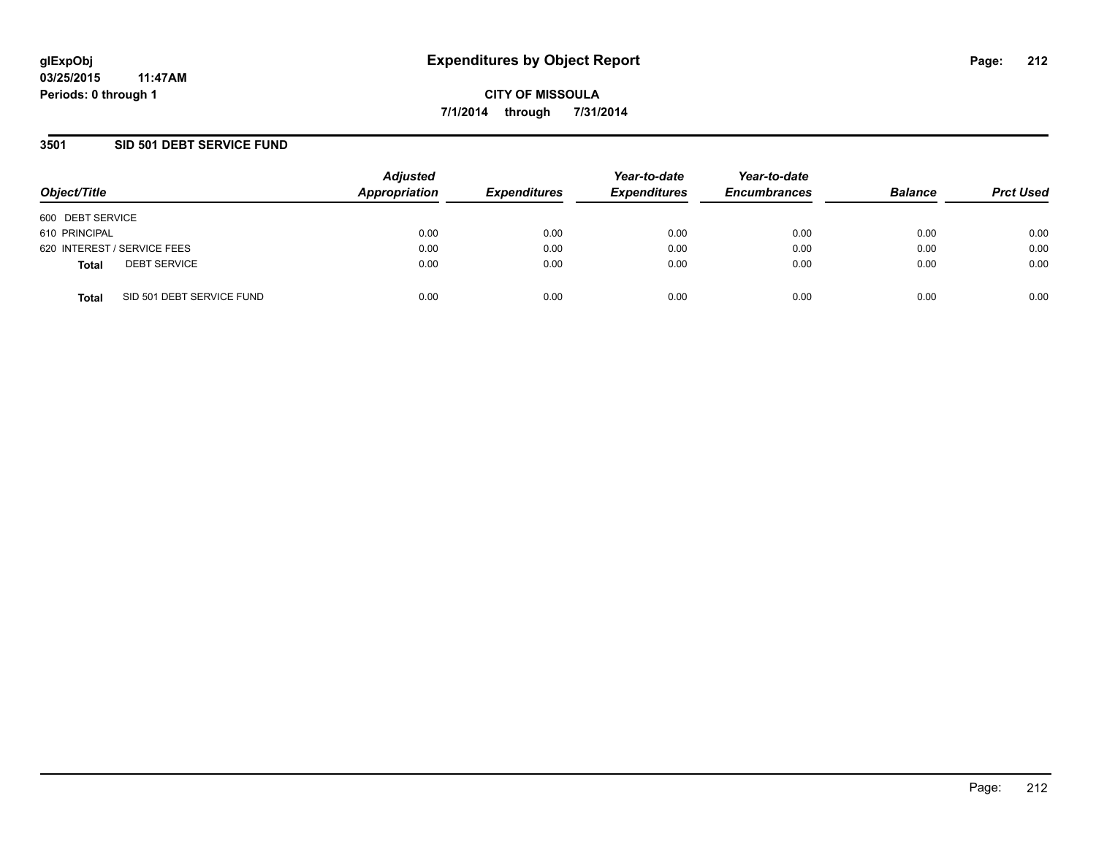## **3501 SID 501 DEBT SERVICE FUND**

| Object/Title                              | <b>Adjusted</b><br>Appropriation | <b>Expenditures</b> | Year-to-date<br><b>Expenditures</b> | Year-to-date<br><b>Encumbrances</b> | <b>Balance</b> | <b>Prct Used</b> |
|-------------------------------------------|----------------------------------|---------------------|-------------------------------------|-------------------------------------|----------------|------------------|
| 600 DEBT SERVICE                          |                                  |                     |                                     |                                     |                |                  |
| 610 PRINCIPAL                             | 0.00                             | 0.00                | 0.00                                | 0.00                                | 0.00           | 0.00             |
| 620 INTEREST / SERVICE FEES               | 0.00                             | 0.00                | 0.00                                | 0.00                                | 0.00           | 0.00             |
| <b>DEBT SERVICE</b><br><b>Total</b>       | 0.00                             | 0.00                | 0.00                                | 0.00                                | 0.00           | 0.00             |
| SID 501 DEBT SERVICE FUND<br><b>Total</b> | 0.00                             | 0.00                | 0.00                                | 0.00                                | 0.00           | 0.00             |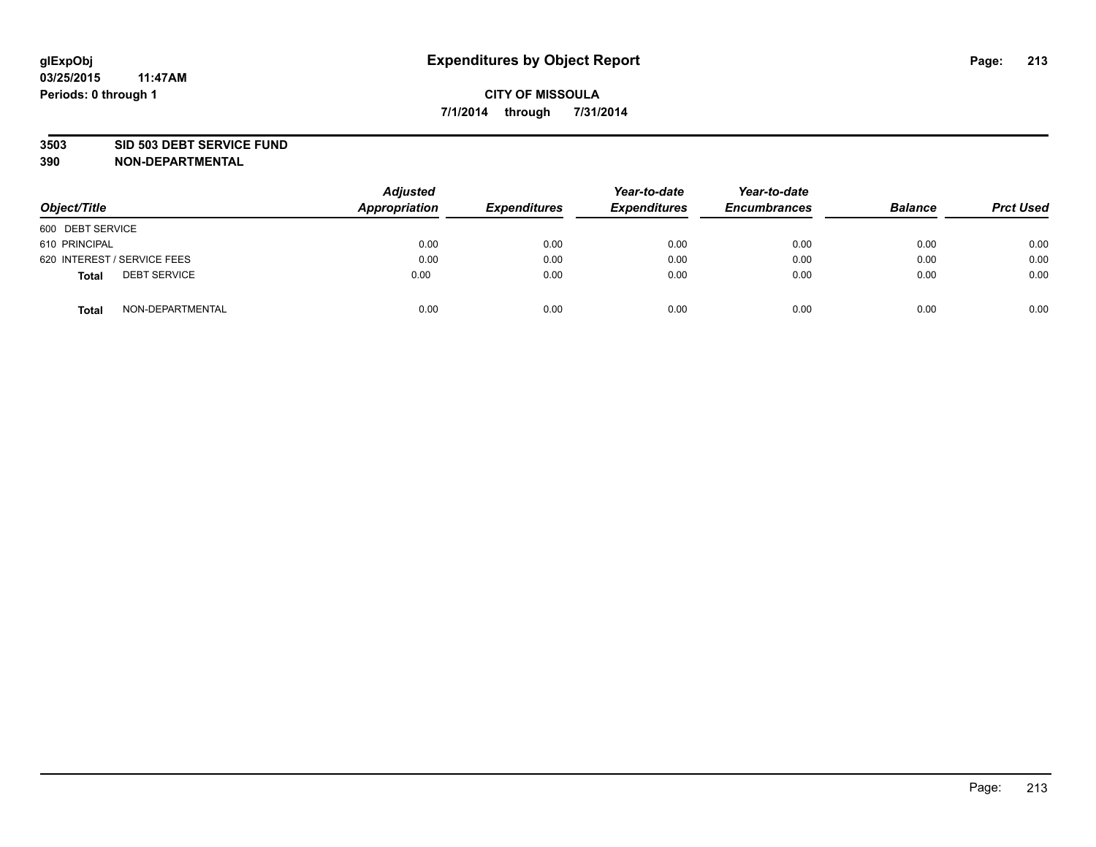### **3503 SID 503 DEBT SERVICE FUND**

| Object/Title                        | <b>Adjusted</b><br>Appropriation | <b>Expenditures</b> | Year-to-date<br><b>Expenditures</b> | Year-to-date<br><b>Encumbrances</b> | <b>Balance</b> | <b>Prct Used</b> |
|-------------------------------------|----------------------------------|---------------------|-------------------------------------|-------------------------------------|----------------|------------------|
| 600 DEBT SERVICE                    |                                  |                     |                                     |                                     |                |                  |
| 610 PRINCIPAL                       | 0.00                             | 0.00                | 0.00                                | 0.00                                | 0.00           | 0.00             |
| 620 INTEREST / SERVICE FEES         | 0.00                             | 0.00                | 0.00                                | 0.00                                | 0.00           | 0.00             |
| <b>DEBT SERVICE</b><br><b>Total</b> | 0.00                             | 0.00                | 0.00                                | 0.00                                | 0.00           | 0.00             |
| NON-DEPARTMENTAL<br><b>Total</b>    | 0.00                             | 0.00                | 0.00                                | 0.00                                | 0.00           | 0.00             |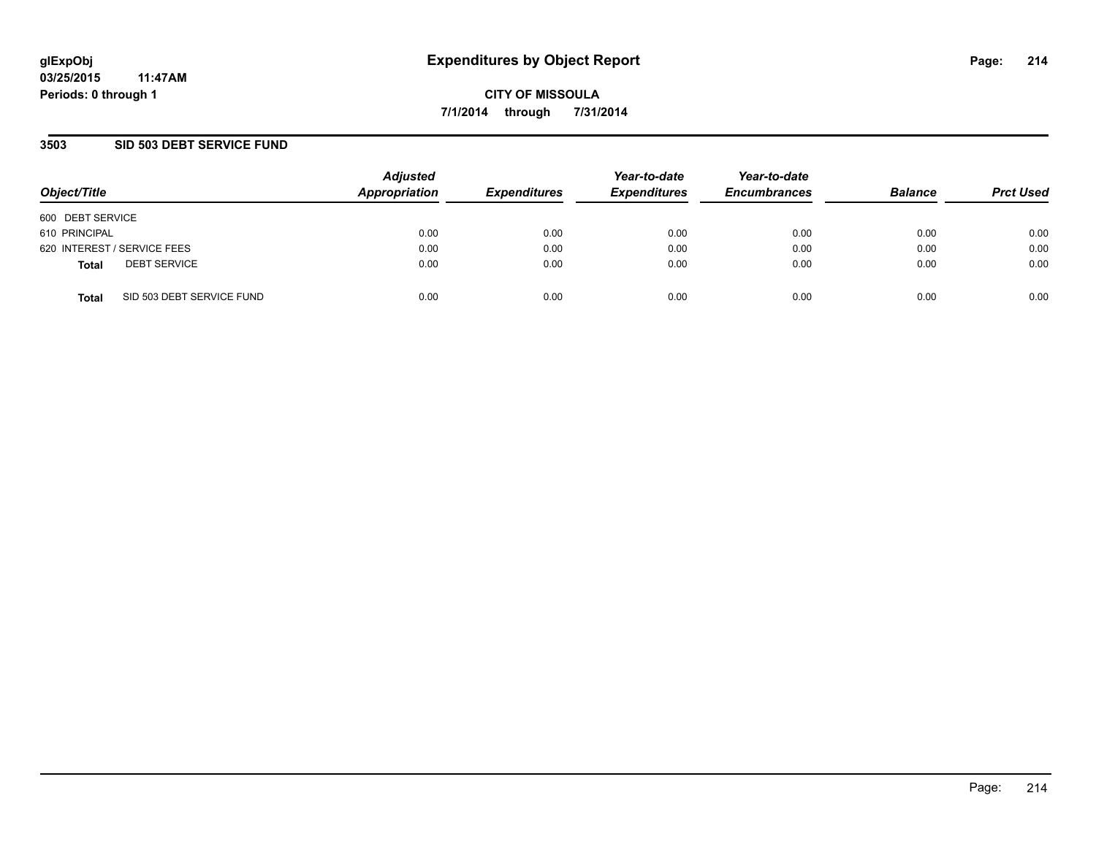### **3503 SID 503 DEBT SERVICE FUND**

| Object/Title     |                             | <b>Adjusted</b><br>Appropriation | <b>Expenditures</b> | Year-to-date<br><b>Expenditures</b> | Year-to-date<br><b>Encumbrances</b> | <b>Balance</b> | <b>Prct Used</b> |
|------------------|-----------------------------|----------------------------------|---------------------|-------------------------------------|-------------------------------------|----------------|------------------|
| 600 DEBT SERVICE |                             |                                  |                     |                                     |                                     |                |                  |
| 610 PRINCIPAL    |                             | 0.00                             | 0.00                | 0.00                                | 0.00                                | 0.00           | 0.00             |
|                  | 620 INTEREST / SERVICE FEES | 0.00                             | 0.00                | 0.00                                | 0.00                                | 0.00           | 0.00             |
| <b>Total</b>     | <b>DEBT SERVICE</b>         | 0.00                             | 0.00                | 0.00                                | 0.00                                | 0.00           | 0.00             |
| <b>Total</b>     | SID 503 DEBT SERVICE FUND   | 0.00                             | 0.00                | 0.00                                | 0.00                                | 0.00           | 0.00             |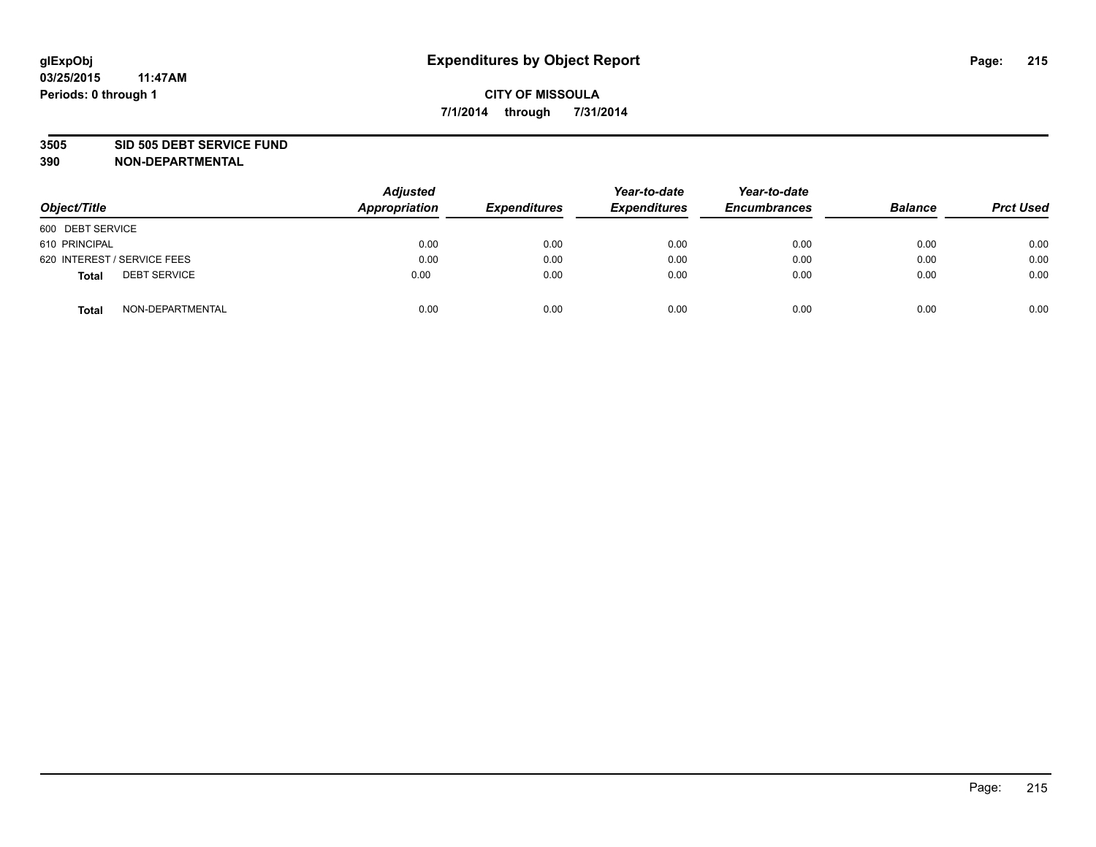### **3505 SID 505 DEBT SERVICE FUND**

| Object/Title                        | <b>Adjusted</b><br>Appropriation | <b>Expenditures</b> | Year-to-date<br><b>Expenditures</b> | Year-to-date<br><b>Encumbrances</b> | <b>Balance</b> | <b>Prct Used</b> |
|-------------------------------------|----------------------------------|---------------------|-------------------------------------|-------------------------------------|----------------|------------------|
| 600 DEBT SERVICE                    |                                  |                     |                                     |                                     |                |                  |
| 610 PRINCIPAL                       | 0.00                             | 0.00                | 0.00                                | 0.00                                | 0.00           | 0.00             |
| 620 INTEREST / SERVICE FEES         | 0.00                             | 0.00                | 0.00                                | 0.00                                | 0.00           | 0.00             |
| <b>DEBT SERVICE</b><br><b>Total</b> | 0.00                             | 0.00                | 0.00                                | 0.00                                | 0.00           | 0.00             |
| NON-DEPARTMENTAL<br><b>Total</b>    | 0.00                             | 0.00                | 0.00                                | 0.00                                | 0.00           | 0.00             |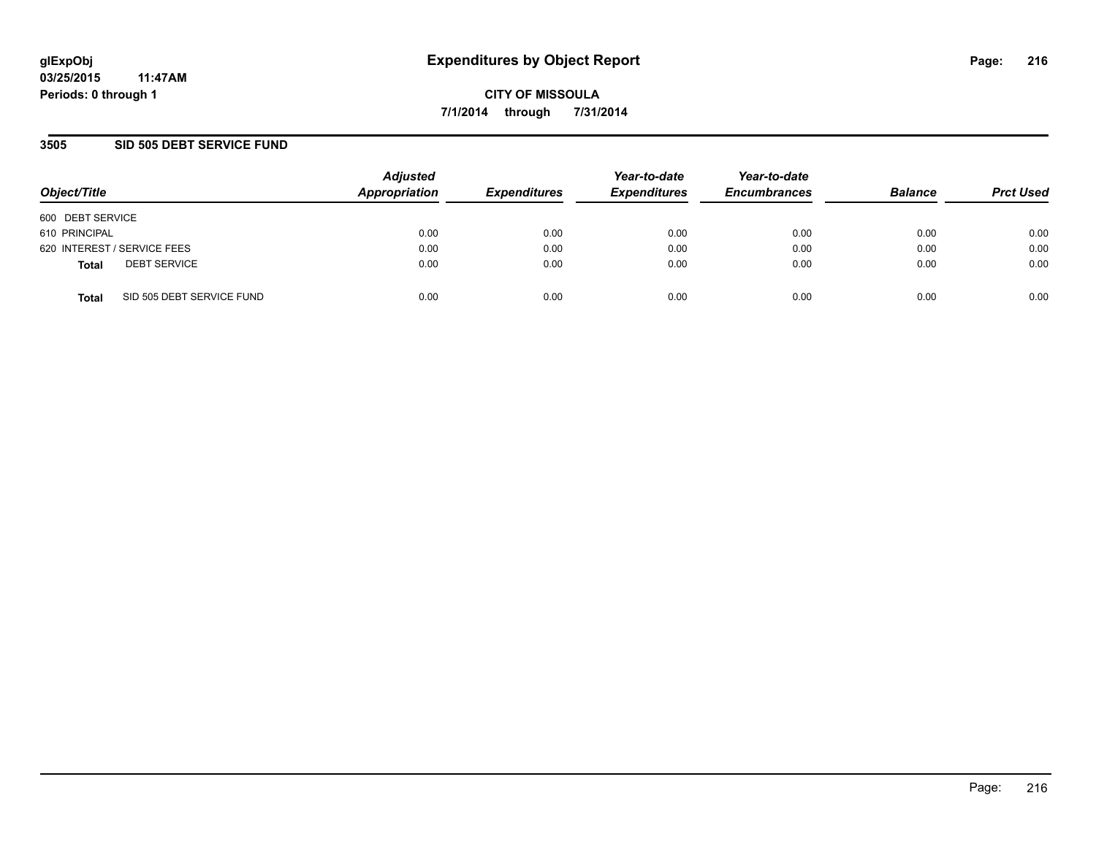### **3505 SID 505 DEBT SERVICE FUND**

| Object/Title                              | <b>Adjusted</b><br>Appropriation | <b>Expenditures</b> | Year-to-date<br><b>Expenditures</b> | Year-to-date<br><b>Encumbrances</b> | <b>Balance</b> | <b>Prct Used</b> |
|-------------------------------------------|----------------------------------|---------------------|-------------------------------------|-------------------------------------|----------------|------------------|
| 600 DEBT SERVICE                          |                                  |                     |                                     |                                     |                |                  |
| 610 PRINCIPAL                             | 0.00                             | 0.00                | 0.00                                | 0.00                                | 0.00           | 0.00             |
| 620 INTEREST / SERVICE FEES               | 0.00                             | 0.00                | 0.00                                | 0.00                                | 0.00           | 0.00             |
| <b>DEBT SERVICE</b><br><b>Total</b>       | 0.00                             | 0.00                | 0.00                                | 0.00                                | 0.00           | 0.00             |
| SID 505 DEBT SERVICE FUND<br><b>Total</b> | 0.00                             | 0.00                | 0.00                                | 0.00                                | 0.00           | 0.00             |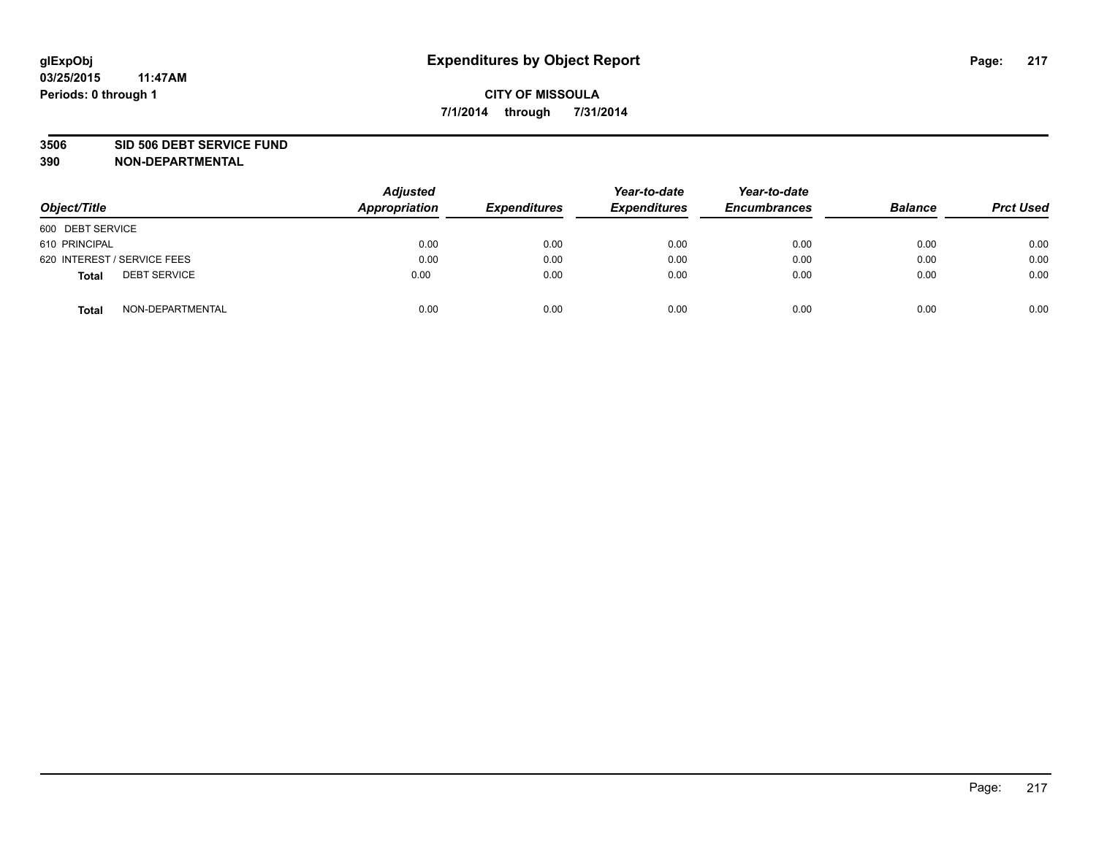#### **3506 SID 506 DEBT SERVICE FUND**

| Object/Title                        | <b>Adjusted</b><br>Appropriation | <b>Expenditures</b> | Year-to-date<br><b>Expenditures</b> | Year-to-date<br><b>Encumbrances</b> | <b>Balance</b> | <b>Prct Used</b> |
|-------------------------------------|----------------------------------|---------------------|-------------------------------------|-------------------------------------|----------------|------------------|
| 600 DEBT SERVICE                    |                                  |                     |                                     |                                     |                |                  |
| 610 PRINCIPAL                       | 0.00                             | 0.00                | 0.00                                | 0.00                                | 0.00           | 0.00             |
| 620 INTEREST / SERVICE FEES         | 0.00                             | 0.00                | 0.00                                | 0.00                                | 0.00           | 0.00             |
| <b>DEBT SERVICE</b><br><b>Total</b> | 0.00                             | 0.00                | 0.00                                | 0.00                                | 0.00           | 0.00             |
| NON-DEPARTMENTAL<br><b>Total</b>    | 0.00                             | 0.00                | 0.00                                | 0.00                                | 0.00           | 0.00             |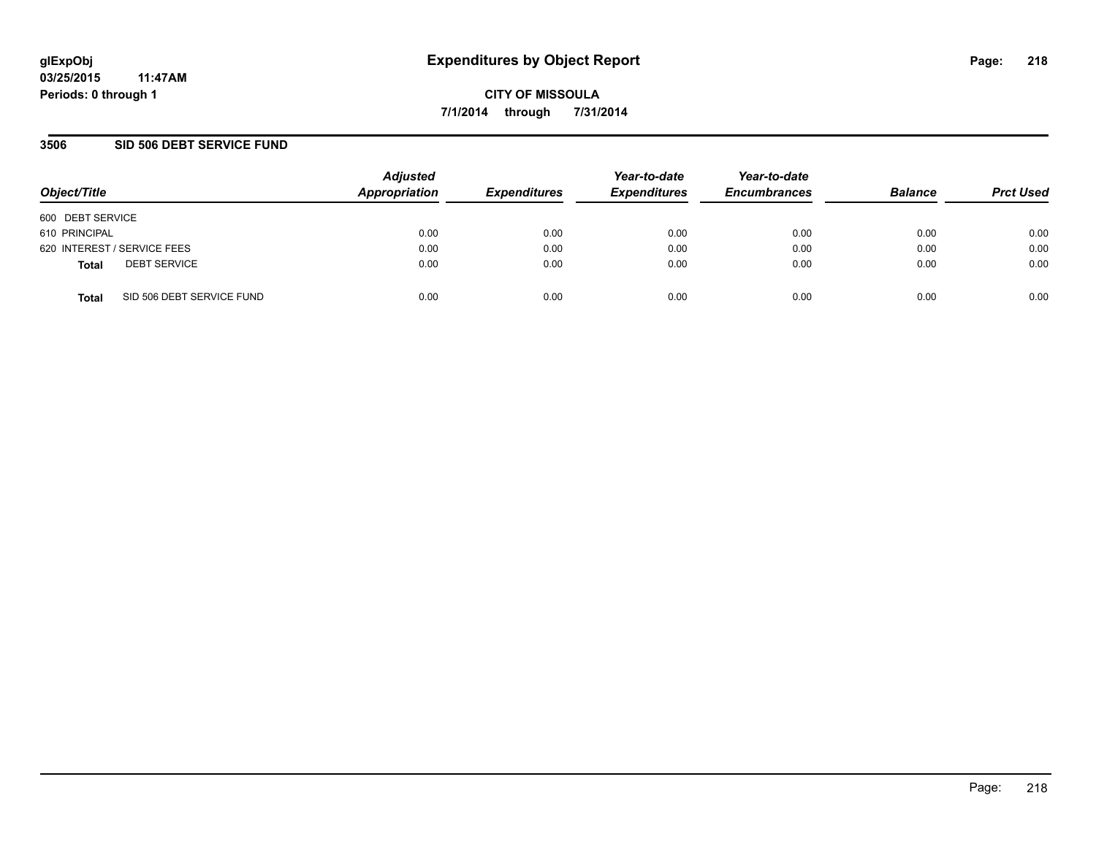### **3506 SID 506 DEBT SERVICE FUND**

| Object/Title                              | <b>Adjusted</b><br>Appropriation | <b>Expenditures</b> | Year-to-date<br><b>Expenditures</b> | Year-to-date<br><b>Encumbrances</b> | <b>Balance</b> | <b>Prct Used</b> |
|-------------------------------------------|----------------------------------|---------------------|-------------------------------------|-------------------------------------|----------------|------------------|
| 600 DEBT SERVICE                          |                                  |                     |                                     |                                     |                |                  |
| 610 PRINCIPAL                             | 0.00                             | 0.00                | 0.00                                | 0.00                                | 0.00           | 0.00             |
| 620 INTEREST / SERVICE FEES               | 0.00                             | 0.00                | 0.00                                | 0.00                                | 0.00           | 0.00             |
| <b>DEBT SERVICE</b><br><b>Total</b>       | 0.00                             | 0.00                | 0.00                                | 0.00                                | 0.00           | 0.00             |
| SID 506 DEBT SERVICE FUND<br><b>Total</b> | 0.00                             | 0.00                | 0.00                                | 0.00                                | 0.00           | 0.00             |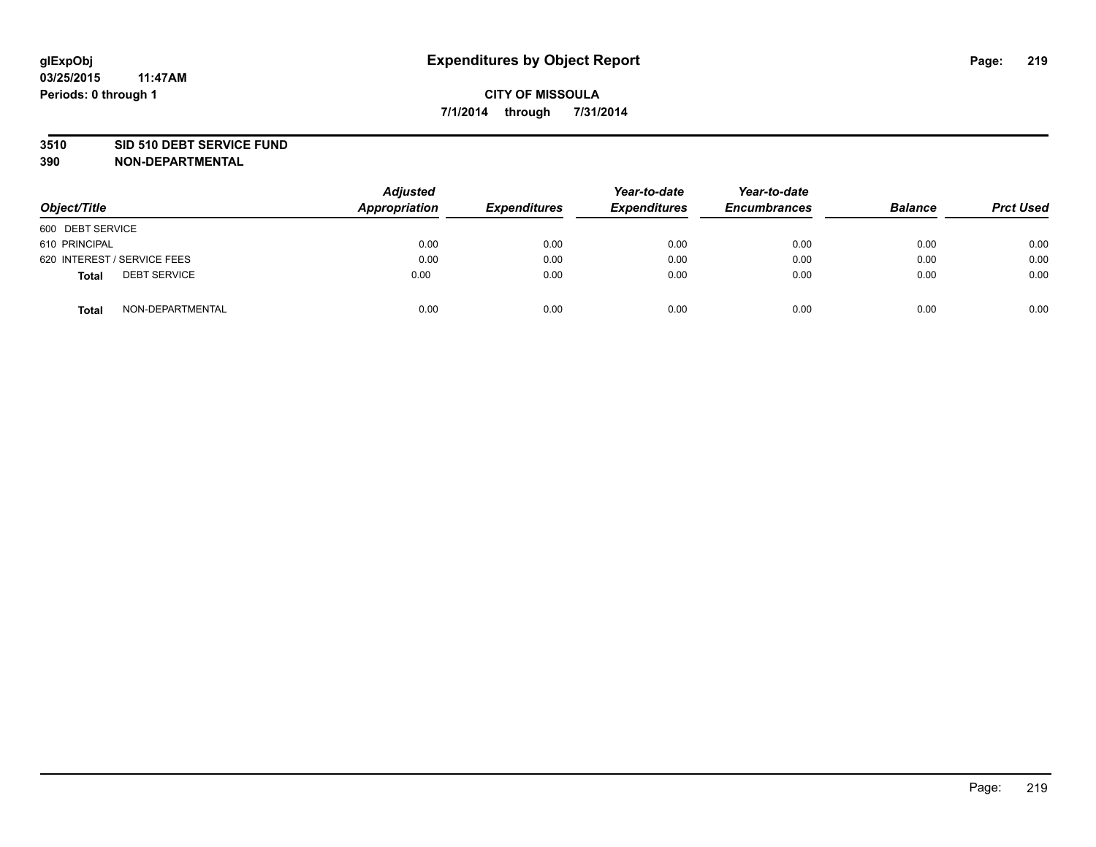#### **3510 SID 510 DEBT SERVICE FUND**

| Object/Title                        | <b>Adjusted</b><br>Appropriation | <b>Expenditures</b> | Year-to-date<br><b>Expenditures</b> | Year-to-date<br><b>Encumbrances</b> | <b>Balance</b> | <b>Prct Used</b> |
|-------------------------------------|----------------------------------|---------------------|-------------------------------------|-------------------------------------|----------------|------------------|
| 600 DEBT SERVICE                    |                                  |                     |                                     |                                     |                |                  |
| 610 PRINCIPAL                       | 0.00                             | 0.00                | 0.00                                | 0.00                                | 0.00           | 0.00             |
| 620 INTEREST / SERVICE FEES         | 0.00                             | 0.00                | 0.00                                | 0.00                                | 0.00           | 0.00             |
| <b>DEBT SERVICE</b><br><b>Total</b> | 0.00                             | 0.00                | 0.00                                | 0.00                                | 0.00           | 0.00             |
| NON-DEPARTMENTAL<br><b>Total</b>    | 0.00                             | 0.00                | 0.00                                | 0.00                                | 0.00           | 0.00             |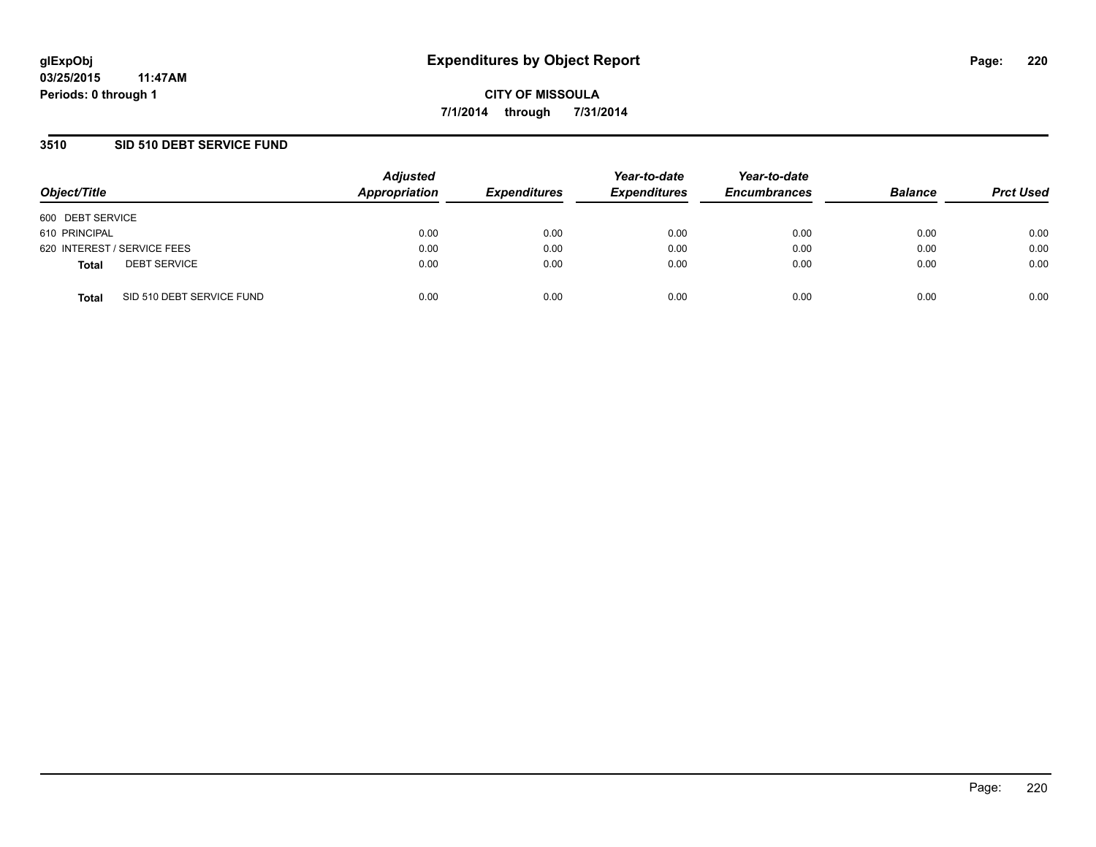### **3510 SID 510 DEBT SERVICE FUND**

| Object/Title     |                             | <b>Adjusted</b><br>Appropriation | <b>Expenditures</b> | Year-to-date<br><b>Expenditures</b> | Year-to-date<br><b>Encumbrances</b> | <b>Balance</b> | <b>Prct Used</b> |
|------------------|-----------------------------|----------------------------------|---------------------|-------------------------------------|-------------------------------------|----------------|------------------|
| 600 DEBT SERVICE |                             |                                  |                     |                                     |                                     |                |                  |
| 610 PRINCIPAL    |                             | 0.00                             | 0.00                | 0.00                                | 0.00                                | 0.00           | 0.00             |
|                  | 620 INTEREST / SERVICE FEES | 0.00                             | 0.00                | 0.00                                | 0.00                                | 0.00           | 0.00             |
| <b>Total</b>     | <b>DEBT SERVICE</b>         | 0.00                             | 0.00                | 0.00                                | 0.00                                | 0.00           | 0.00             |
| <b>Total</b>     | SID 510 DEBT SERVICE FUND   | 0.00                             | 0.00                | 0.00                                | 0.00                                | 0.00           | 0.00             |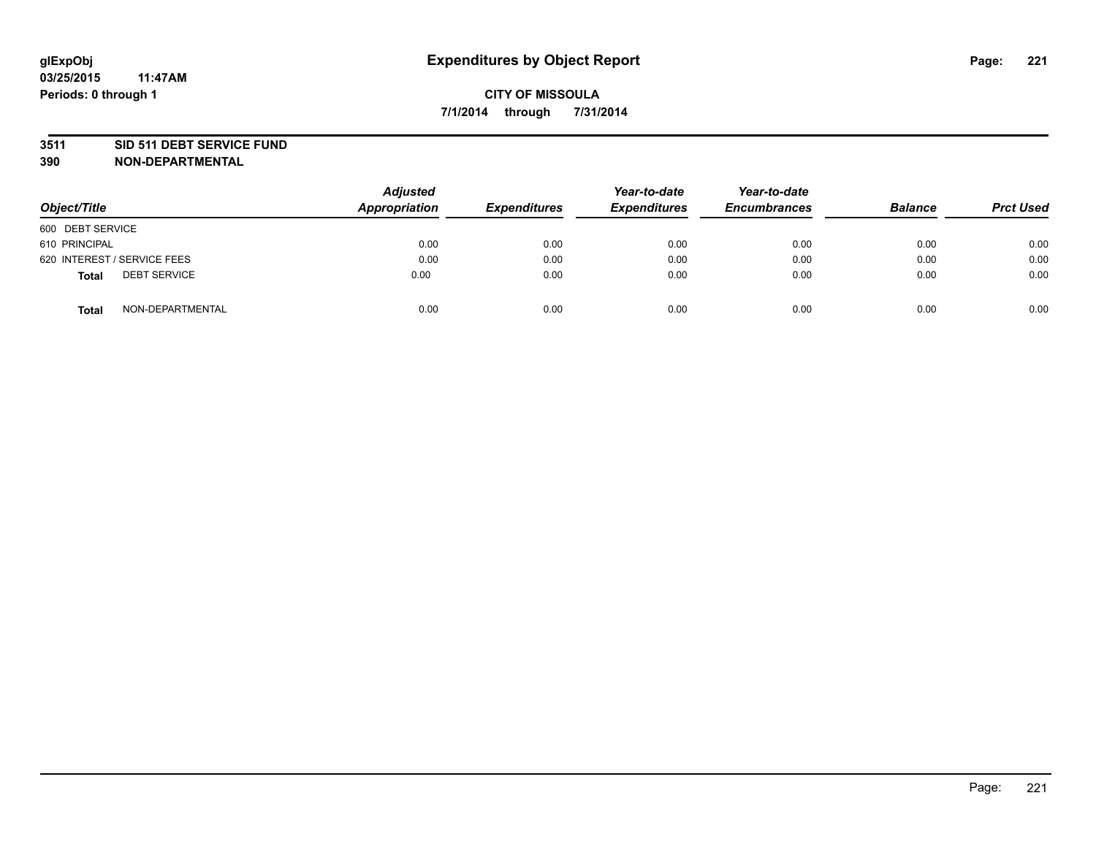#### **3511 SID 511 DEBT SERVICE FUND**

| Object/Title                        | <b>Adjusted</b><br>Appropriation | <b>Expenditures</b> | Year-to-date<br><b>Expenditures</b> | Year-to-date<br><b>Encumbrances</b> | <b>Balance</b> | <b>Prct Used</b> |
|-------------------------------------|----------------------------------|---------------------|-------------------------------------|-------------------------------------|----------------|------------------|
| 600 DEBT SERVICE                    |                                  |                     |                                     |                                     |                |                  |
| 610 PRINCIPAL                       | 0.00                             | 0.00                | 0.00                                | 0.00                                | 0.00           | 0.00             |
| 620 INTEREST / SERVICE FEES         | 0.00                             | 0.00                | 0.00                                | 0.00                                | 0.00           | 0.00             |
| <b>DEBT SERVICE</b><br><b>Total</b> | 0.00                             | 0.00                | 0.00                                | 0.00                                | 0.00           | 0.00             |
| NON-DEPARTMENTAL<br><b>Total</b>    | 0.00                             | 0.00                | 0.00                                | 0.00                                | 0.00           | 0.00             |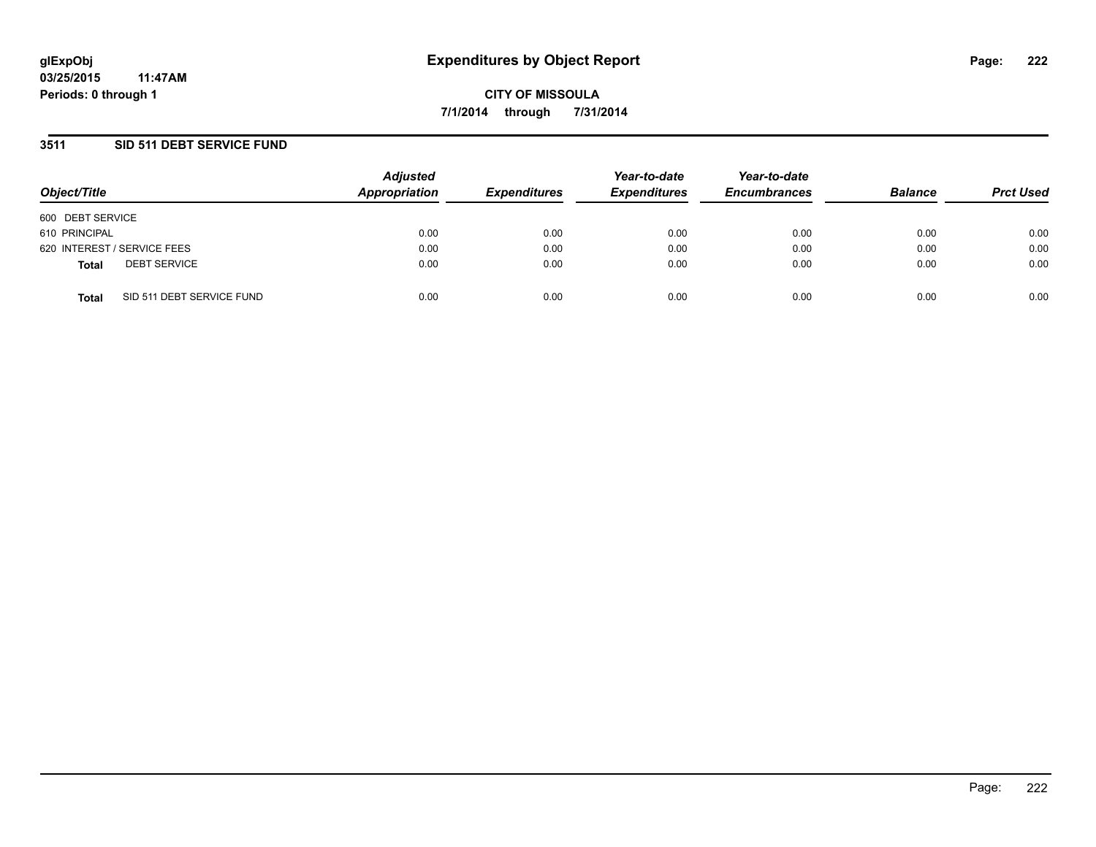### **3511 SID 511 DEBT SERVICE FUND**

| Object/Title                              | <b>Adjusted</b><br>Appropriation | <b>Expenditures</b> | Year-to-date<br><b>Expenditures</b> | Year-to-date<br><b>Encumbrances</b> | <b>Balance</b> | <b>Prct Used</b> |
|-------------------------------------------|----------------------------------|---------------------|-------------------------------------|-------------------------------------|----------------|------------------|
| 600 DEBT SERVICE                          |                                  |                     |                                     |                                     |                |                  |
| 610 PRINCIPAL                             | 0.00                             | 0.00                | 0.00                                | 0.00                                | 0.00           | 0.00             |
| 620 INTEREST / SERVICE FEES               | 0.00                             | 0.00                | 0.00                                | 0.00                                | 0.00           | 0.00             |
| <b>DEBT SERVICE</b><br><b>Total</b>       | 0.00                             | 0.00                | 0.00                                | 0.00                                | 0.00           | 0.00             |
| SID 511 DEBT SERVICE FUND<br><b>Total</b> | 0.00                             | 0.00                | 0.00                                | 0.00                                | 0.00           | 0.00             |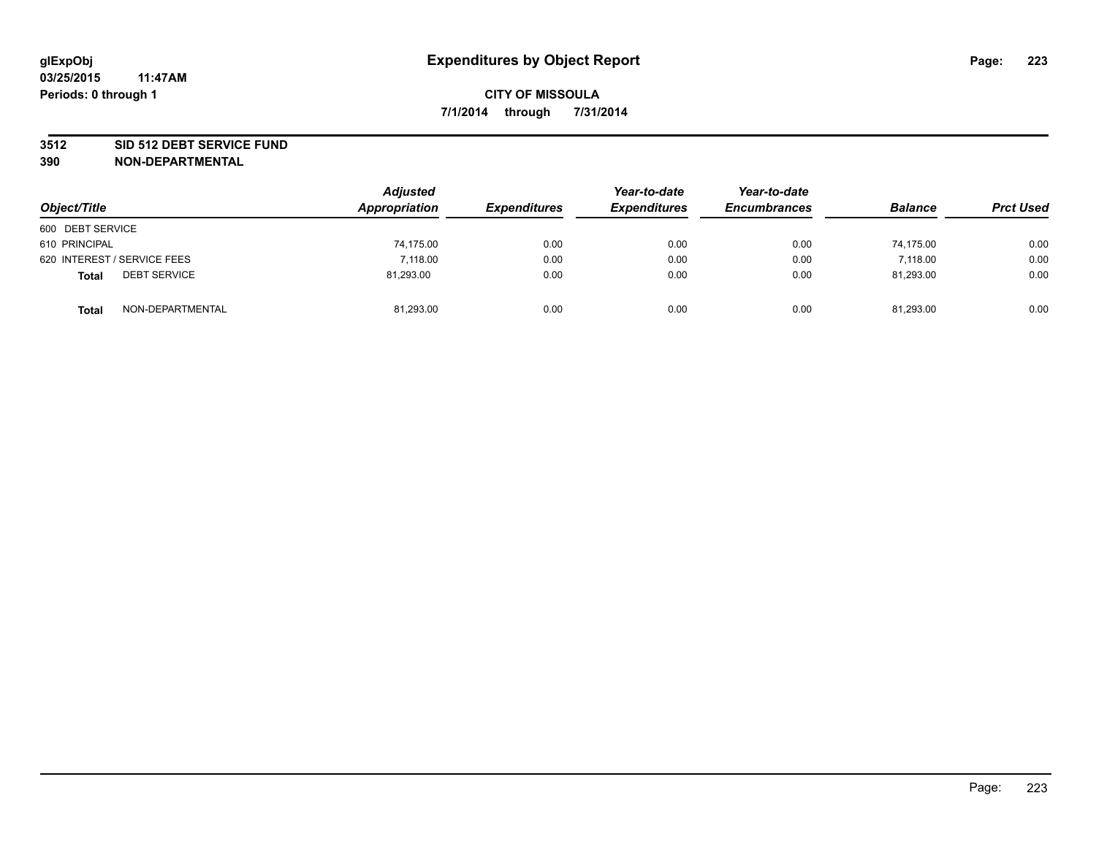#### **3512 SID 512 DEBT SERVICE FUND**

| Object/Title                        | <b>Adjusted</b><br>Appropriation | <b>Expenditures</b> | Year-to-date<br><b>Expenditures</b> | Year-to-date<br><b>Encumbrances</b> | <b>Balance</b> | <b>Prct Used</b> |
|-------------------------------------|----------------------------------|---------------------|-------------------------------------|-------------------------------------|----------------|------------------|
| 600 DEBT SERVICE                    |                                  |                     |                                     |                                     |                |                  |
| 610 PRINCIPAL                       | 74,175.00                        | 0.00                | 0.00                                | 0.00                                | 74.175.00      | 0.00             |
| 620 INTEREST / SERVICE FEES         | 7,118.00                         | 0.00                | 0.00                                | 0.00                                | 7.118.00       | 0.00             |
| <b>DEBT SERVICE</b><br><b>Total</b> | 81,293.00                        | 0.00                | 0.00                                | 0.00                                | 81,293.00      | 0.00             |
| NON-DEPARTMENTAL<br><b>Total</b>    | 81,293.00                        | 0.00                | 0.00                                | 0.00                                | 81,293.00      | 0.00             |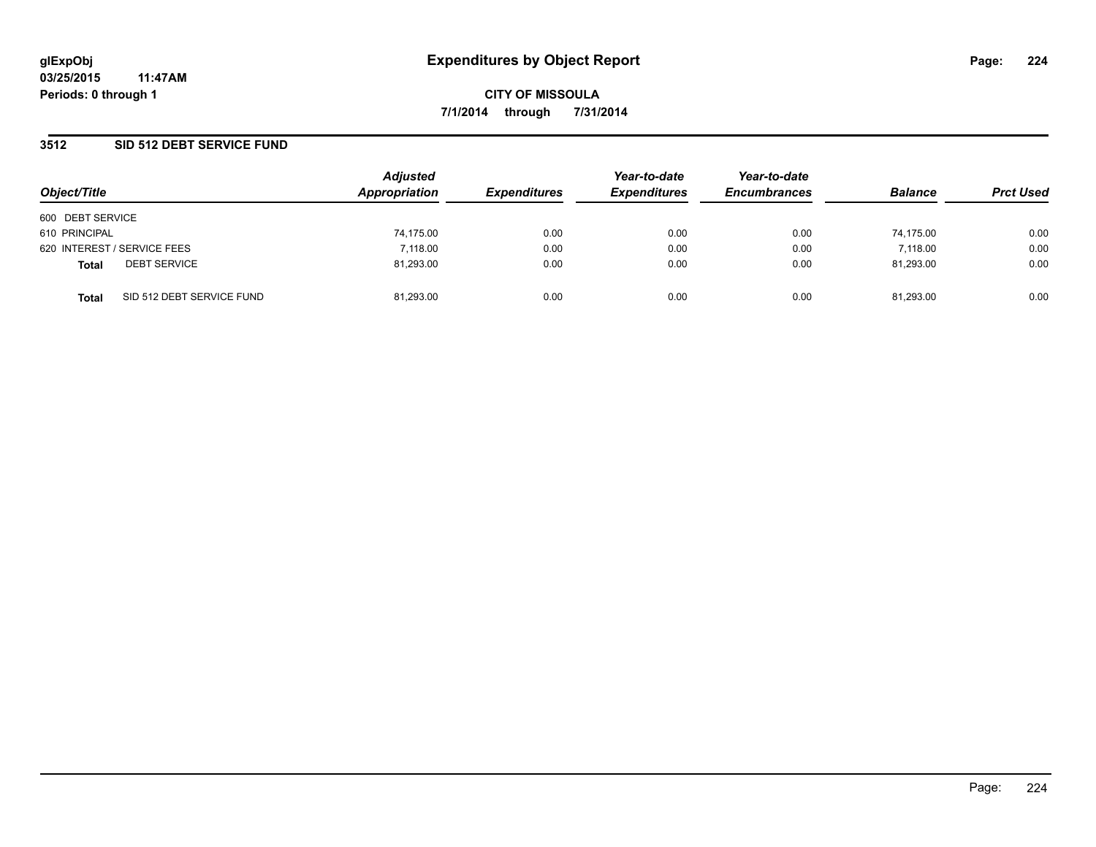### **3512 SID 512 DEBT SERVICE FUND**

| Object/Title     |                             | <b>Adjusted</b><br>Appropriation | <b>Expenditures</b> | Year-to-date<br><b>Expenditures</b> | Year-to-date<br><b>Encumbrances</b> | <b>Balance</b> | <b>Prct Used</b> |
|------------------|-----------------------------|----------------------------------|---------------------|-------------------------------------|-------------------------------------|----------------|------------------|
|                  |                             |                                  |                     |                                     |                                     |                |                  |
| 600 DEBT SERVICE |                             |                                  |                     |                                     |                                     |                |                  |
| 610 PRINCIPAL    |                             | 74,175.00                        | 0.00                | 0.00                                | 0.00                                | 74.175.00      | 0.00             |
|                  | 620 INTEREST / SERVICE FEES | 7,118.00                         | 0.00                | 0.00                                | 0.00                                | 7.118.00       | 0.00             |
| <b>Total</b>     | <b>DEBT SERVICE</b>         | 81,293.00                        | 0.00                | 0.00                                | 0.00                                | 81.293.00      | 0.00             |
| <b>Total</b>     | SID 512 DEBT SERVICE FUND   | 81,293.00                        | 0.00                | 0.00                                | 0.00                                | 81,293.00      | 0.00             |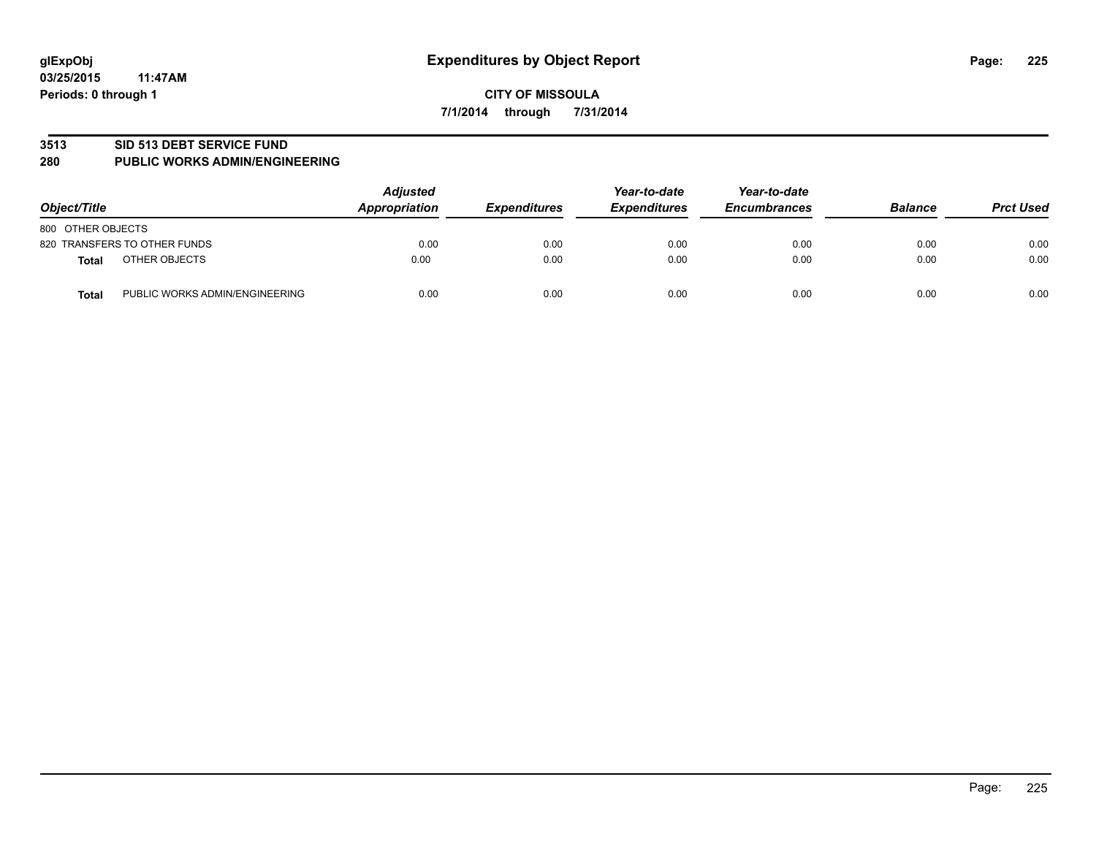#### **3513 SID 513 DEBT SERVICE FUND**

#### **280 PUBLIC WORKS ADMIN/ENGINEERING**

| Object/Title                                   | <b>Adjusted</b><br>Appropriation | <b>Expenditures</b> | Year-to-date<br><b>Expenditures</b> | Year-to-date<br><b>Encumbrances</b> | <b>Balance</b> | <b>Prct Used</b> |
|------------------------------------------------|----------------------------------|---------------------|-------------------------------------|-------------------------------------|----------------|------------------|
| 800 OTHER OBJECTS                              |                                  |                     |                                     |                                     |                |                  |
| 820 TRANSFERS TO OTHER FUNDS                   | 0.00                             | 0.00                | 0.00                                | 0.00                                | 0.00           | 0.00             |
| OTHER OBJECTS<br><b>Total</b>                  | 0.00                             | 0.00                | 0.00                                | 0.00                                | 0.00           | 0.00             |
| PUBLIC WORKS ADMIN/ENGINEERING<br><b>Total</b> | 0.00                             | 0.00                | 0.00                                | 0.00                                | 0.00           | 0.00             |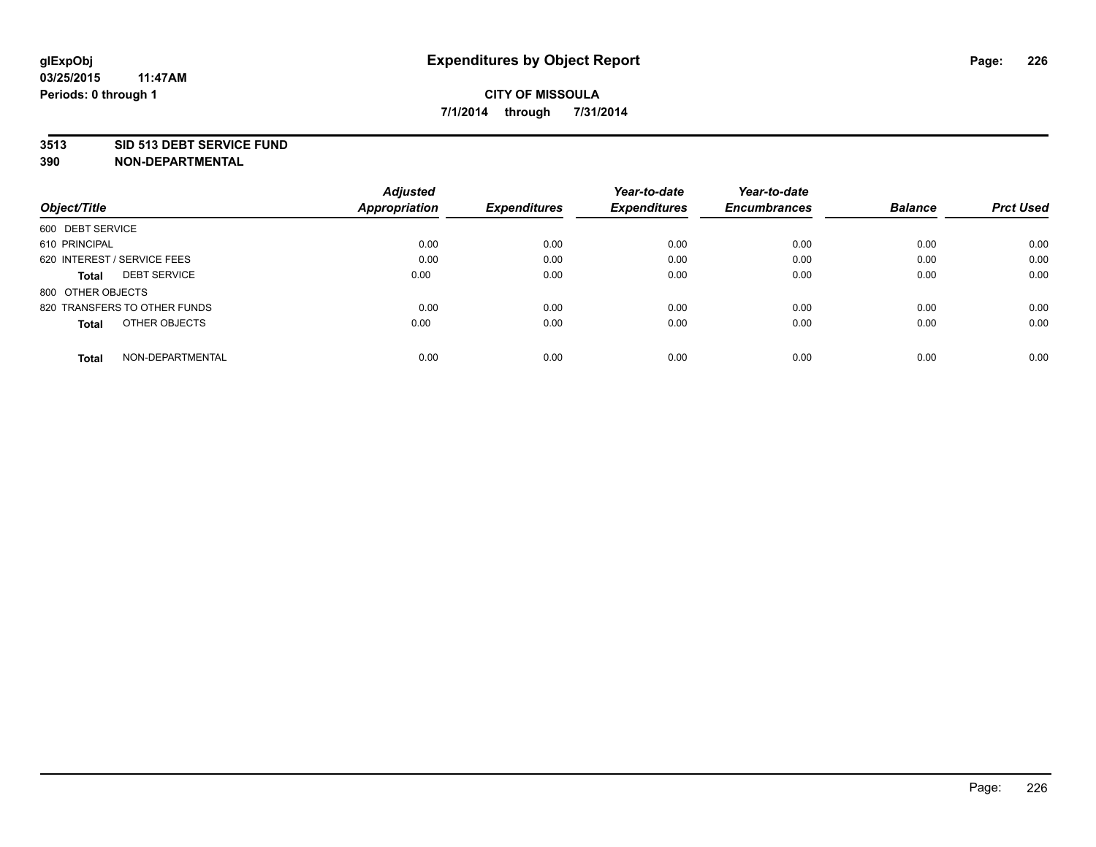#### **3513 SID 513 DEBT SERVICE FUND**

|                                     | <b>Adjusted</b>      |                     | Year-to-date        | Year-to-date        |                |                  |
|-------------------------------------|----------------------|---------------------|---------------------|---------------------|----------------|------------------|
| Object/Title                        | <b>Appropriation</b> | <b>Expenditures</b> | <b>Expenditures</b> | <b>Encumbrances</b> | <b>Balance</b> | <b>Prct Used</b> |
| 600 DEBT SERVICE                    |                      |                     |                     |                     |                |                  |
| 610 PRINCIPAL                       | 0.00                 | 0.00                | 0.00                | 0.00                | 0.00           | 0.00             |
| 620 INTEREST / SERVICE FEES         | 0.00                 | 0.00                | 0.00                | 0.00                | 0.00           | 0.00             |
| <b>DEBT SERVICE</b><br><b>Total</b> | 0.00                 | 0.00                | 0.00                | 0.00                | 0.00           | 0.00             |
| 800 OTHER OBJECTS                   |                      |                     |                     |                     |                |                  |
| 820 TRANSFERS TO OTHER FUNDS        | 0.00                 | 0.00                | 0.00                | 0.00                | 0.00           | 0.00             |
| OTHER OBJECTS<br><b>Total</b>       | 0.00                 | 0.00                | 0.00                | 0.00                | 0.00           | 0.00             |
| NON-DEPARTMENTAL<br><b>Total</b>    | 0.00                 | 0.00                | 0.00                | 0.00                | 0.00           | 0.00             |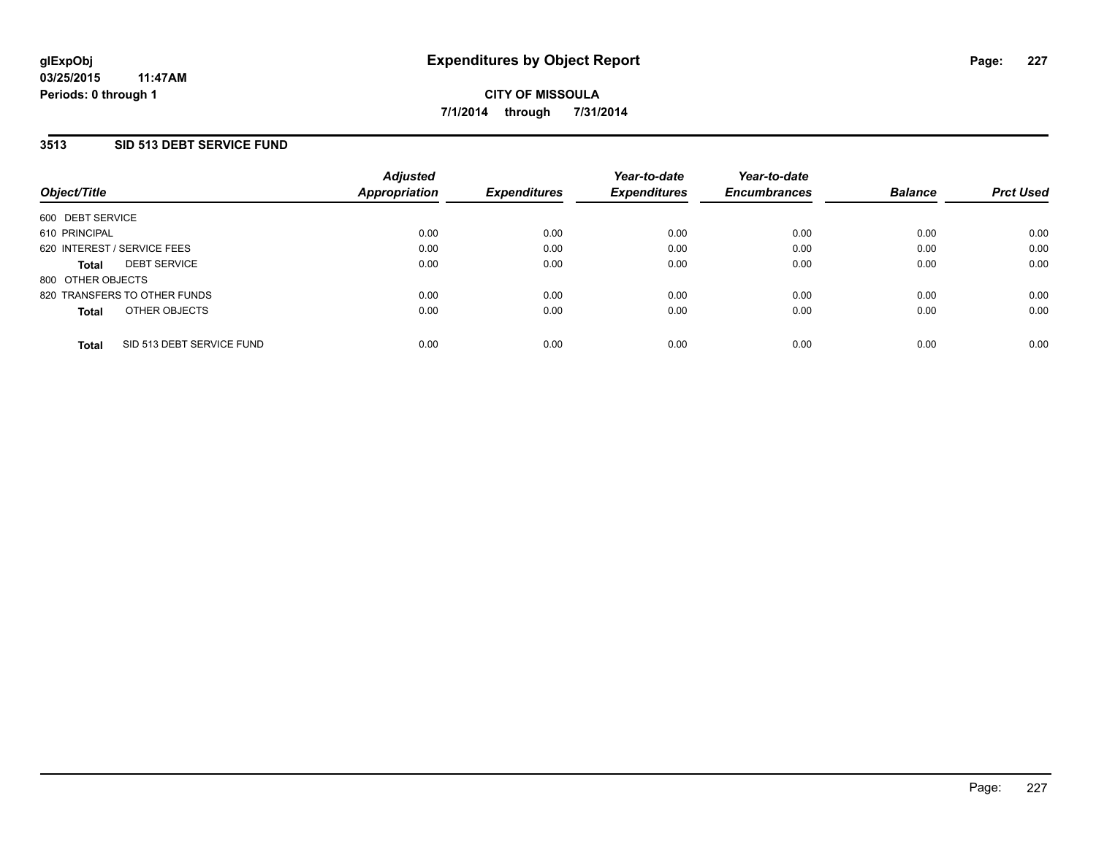### **3513 SID 513 DEBT SERVICE FUND**

| Object/Title                |                              | <b>Adjusted</b><br>Appropriation | <b>Expenditures</b> | Year-to-date<br><b>Expenditures</b> | Year-to-date<br><b>Encumbrances</b> | <b>Balance</b> | <b>Prct Used</b> |
|-----------------------------|------------------------------|----------------------------------|---------------------|-------------------------------------|-------------------------------------|----------------|------------------|
| 600 DEBT SERVICE            |                              |                                  |                     |                                     |                                     |                |                  |
| 610 PRINCIPAL               |                              | 0.00                             | 0.00                | 0.00                                | 0.00                                | 0.00           | 0.00             |
| 620 INTEREST / SERVICE FEES |                              | 0.00                             | 0.00                | 0.00                                | 0.00                                | 0.00           | 0.00             |
| <b>Total</b>                | <b>DEBT SERVICE</b>          | 0.00                             | 0.00                | 0.00                                | 0.00                                | 0.00           | 0.00             |
| 800 OTHER OBJECTS           |                              |                                  |                     |                                     |                                     |                |                  |
|                             | 820 TRANSFERS TO OTHER FUNDS | 0.00                             | 0.00                | 0.00                                | 0.00                                | 0.00           | 0.00             |
| <b>Total</b>                | OTHER OBJECTS                | 0.00                             | 0.00                | 0.00                                | 0.00                                | 0.00           | 0.00             |
| <b>Total</b>                | SID 513 DEBT SERVICE FUND    | 0.00                             | 0.00                | 0.00                                | 0.00                                | 0.00           | 0.00             |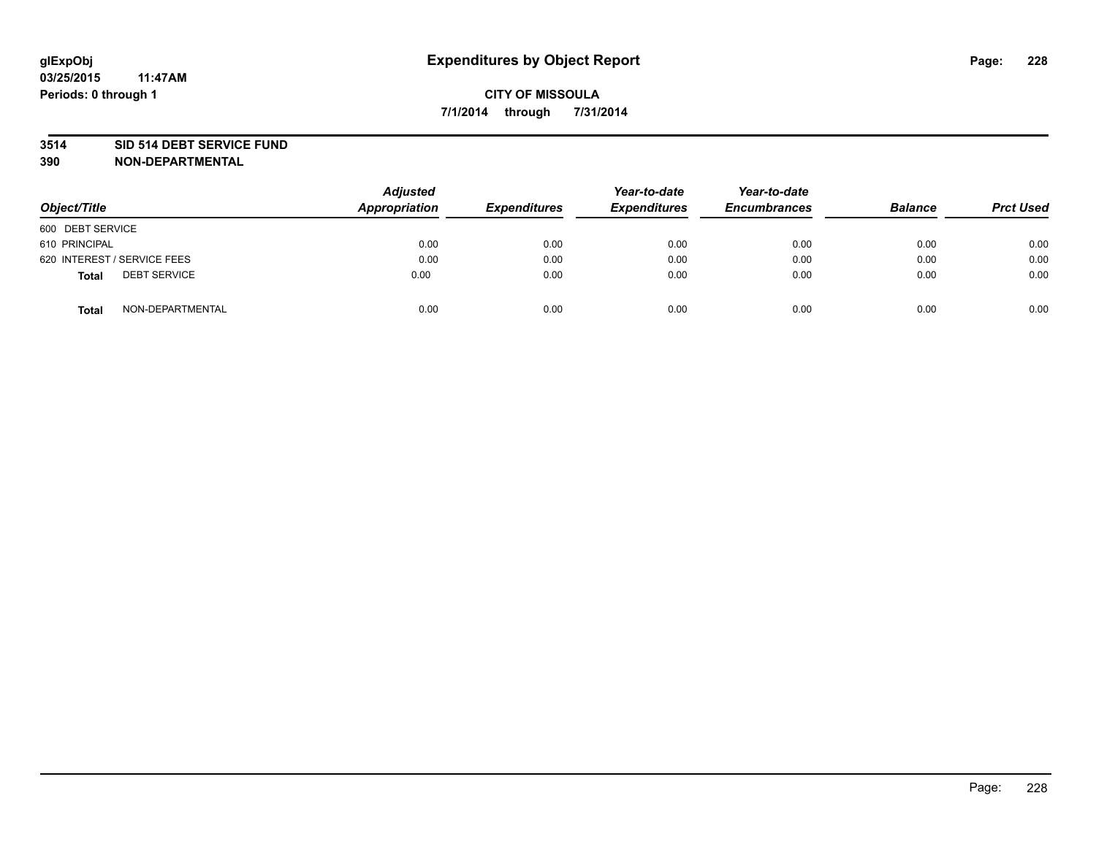#### **3514 SID 514 DEBT SERVICE FUND**

| Object/Title                        | <b>Adjusted</b><br><b>Appropriation</b> | <b>Expenditures</b> | Year-to-date<br><b>Expenditures</b> | Year-to-date<br><b>Encumbrances</b> | <b>Balance</b> | <b>Prct Used</b> |
|-------------------------------------|-----------------------------------------|---------------------|-------------------------------------|-------------------------------------|----------------|------------------|
| 600 DEBT SERVICE                    |                                         |                     |                                     |                                     |                |                  |
| 610 PRINCIPAL                       | 0.00                                    | 0.00                | 0.00                                | 0.00                                | 0.00           | 0.00             |
| 620 INTEREST / SERVICE FEES         | 0.00                                    | 0.00                | 0.00                                | 0.00                                | 0.00           | 0.00             |
| <b>DEBT SERVICE</b><br><b>Total</b> | 0.00                                    | 0.00                | 0.00                                | 0.00                                | 0.00           | 0.00             |
| NON-DEPARTMENTAL<br><b>Total</b>    | 0.00                                    | 0.00                | 0.00                                | 0.00                                | 0.00           | 0.00             |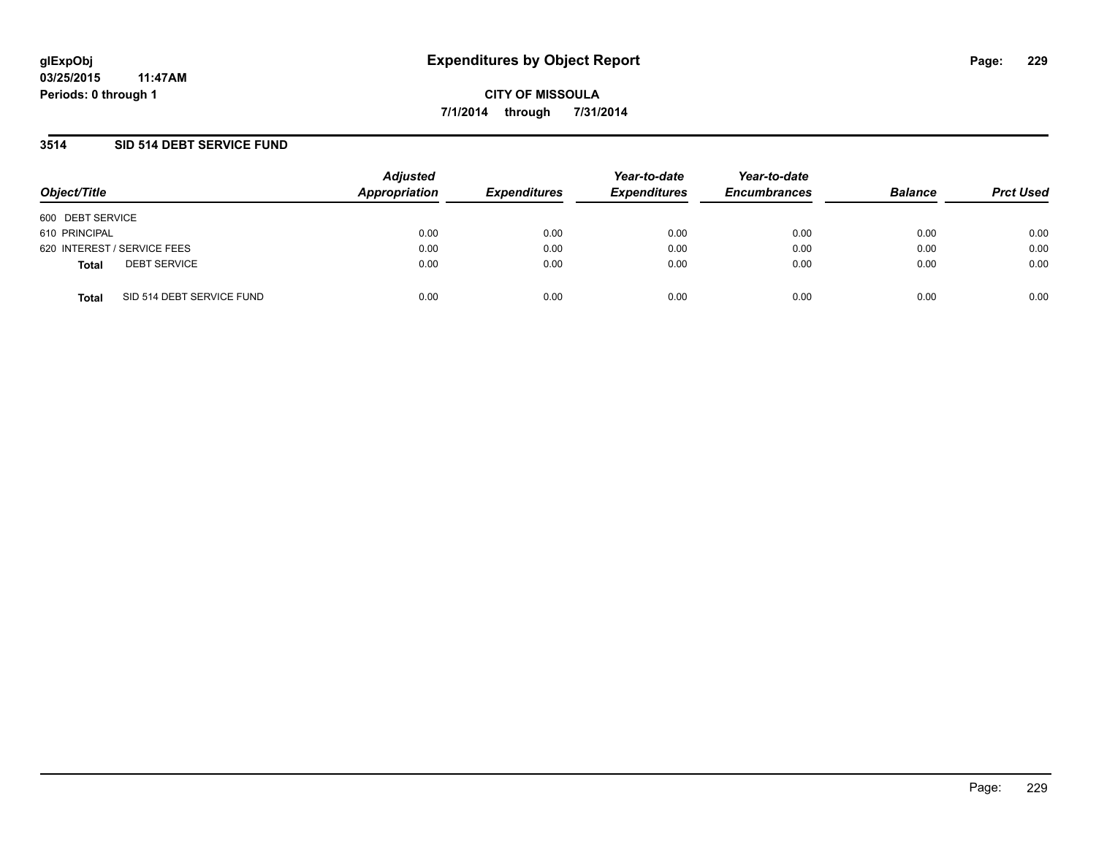### **3514 SID 514 DEBT SERVICE FUND**

| Object/Title                              | <b>Adjusted</b><br>Appropriation | <b>Expenditures</b> | Year-to-date<br><b>Expenditures</b> | Year-to-date<br><b>Encumbrances</b> | <b>Balance</b> | <b>Prct Used</b> |
|-------------------------------------------|----------------------------------|---------------------|-------------------------------------|-------------------------------------|----------------|------------------|
| 600 DEBT SERVICE                          |                                  |                     |                                     |                                     |                |                  |
| 610 PRINCIPAL                             | 0.00                             | 0.00                | 0.00                                | 0.00                                | 0.00           | 0.00             |
| 620 INTEREST / SERVICE FEES               | 0.00                             | 0.00                | 0.00                                | 0.00                                | 0.00           | 0.00             |
| <b>DEBT SERVICE</b><br><b>Total</b>       | 0.00                             | 0.00                | 0.00                                | 0.00                                | 0.00           | 0.00             |
| SID 514 DEBT SERVICE FUND<br><b>Total</b> | 0.00                             | 0.00                | 0.00                                | 0.00                                | 0.00           | 0.00             |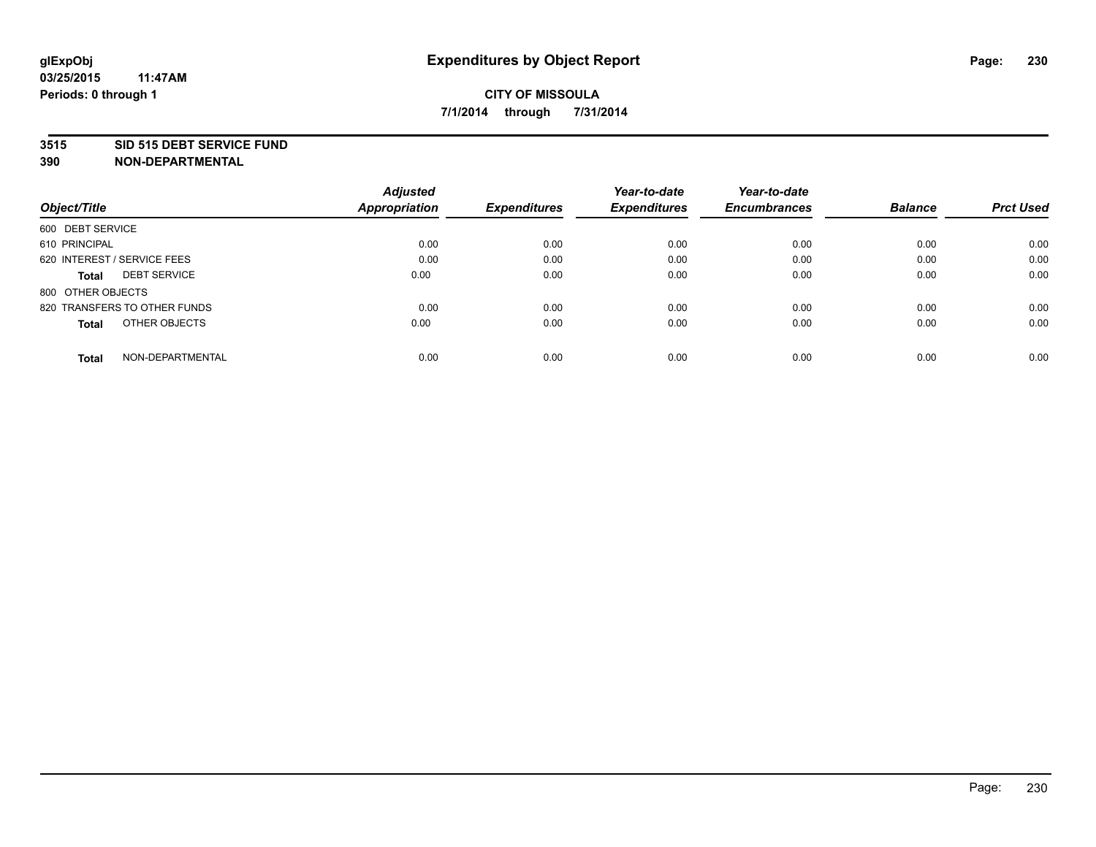#### **3515 SID 515 DEBT SERVICE FUND**

**390 NON-DEPARTMENTAL**

**03/25/2015**

|                                     | <b>Adjusted</b> |                     | Year-to-date        | Year-to-date        |                |                  |
|-------------------------------------|-----------------|---------------------|---------------------|---------------------|----------------|------------------|
| Object/Title                        | Appropriation   | <b>Expenditures</b> | <b>Expenditures</b> | <b>Encumbrances</b> | <b>Balance</b> | <b>Prct Used</b> |
| 600 DEBT SERVICE                    |                 |                     |                     |                     |                |                  |
| 610 PRINCIPAL                       | 0.00            | 0.00                | 0.00                | 0.00                | 0.00           | 0.00             |
| 620 INTEREST / SERVICE FEES         | 0.00            | 0.00                | 0.00                | 0.00                | 0.00           | 0.00             |
| <b>DEBT SERVICE</b><br><b>Total</b> | 0.00            | 0.00                | 0.00                | 0.00                | 0.00           | 0.00             |
| 800 OTHER OBJECTS                   |                 |                     |                     |                     |                |                  |
| 820 TRANSFERS TO OTHER FUNDS        | 0.00            | 0.00                | 0.00                | 0.00                | 0.00           | 0.00             |
| OTHER OBJECTS<br><b>Total</b>       | 0.00            | 0.00                | 0.00                | 0.00                | 0.00           | 0.00             |
| NON-DEPARTMENTAL<br>Total           | 0.00            | 0.00                | 0.00                | 0.00                | 0.00           | 0.00             |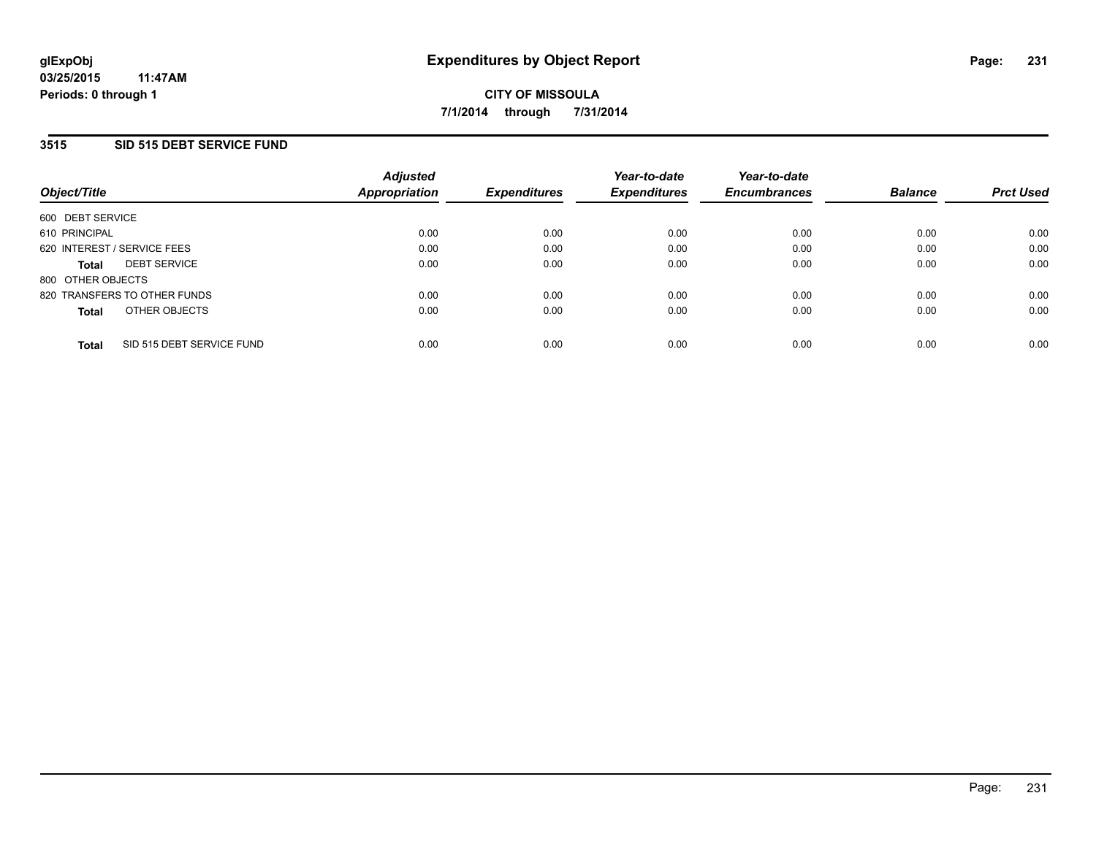## **3515 SID 515 DEBT SERVICE FUND**

| Object/Title                              | <b>Adjusted</b><br>Appropriation | <b>Expenditures</b> | Year-to-date<br><b>Expenditures</b> | Year-to-date<br><b>Encumbrances</b> | <b>Balance</b> | <b>Prct Used</b> |
|-------------------------------------------|----------------------------------|---------------------|-------------------------------------|-------------------------------------|----------------|------------------|
| 600 DEBT SERVICE                          |                                  |                     |                                     |                                     |                |                  |
| 610 PRINCIPAL                             | 0.00                             | 0.00                | 0.00                                | 0.00                                | 0.00           | 0.00             |
| 620 INTEREST / SERVICE FEES               | 0.00                             | 0.00                | 0.00                                | 0.00                                | 0.00           | 0.00             |
| <b>DEBT SERVICE</b><br><b>Total</b>       | 0.00                             | 0.00                | 0.00                                | 0.00                                | 0.00           | 0.00             |
| 800 OTHER OBJECTS                         |                                  |                     |                                     |                                     |                |                  |
| 820 TRANSFERS TO OTHER FUNDS              | 0.00                             | 0.00                | 0.00                                | 0.00                                | 0.00           | 0.00             |
| OTHER OBJECTS<br><b>Total</b>             | 0.00                             | 0.00                | 0.00                                | 0.00                                | 0.00           | 0.00             |
| SID 515 DEBT SERVICE FUND<br><b>Total</b> | 0.00                             | 0.00                | 0.00                                | 0.00                                | 0.00           | 0.00             |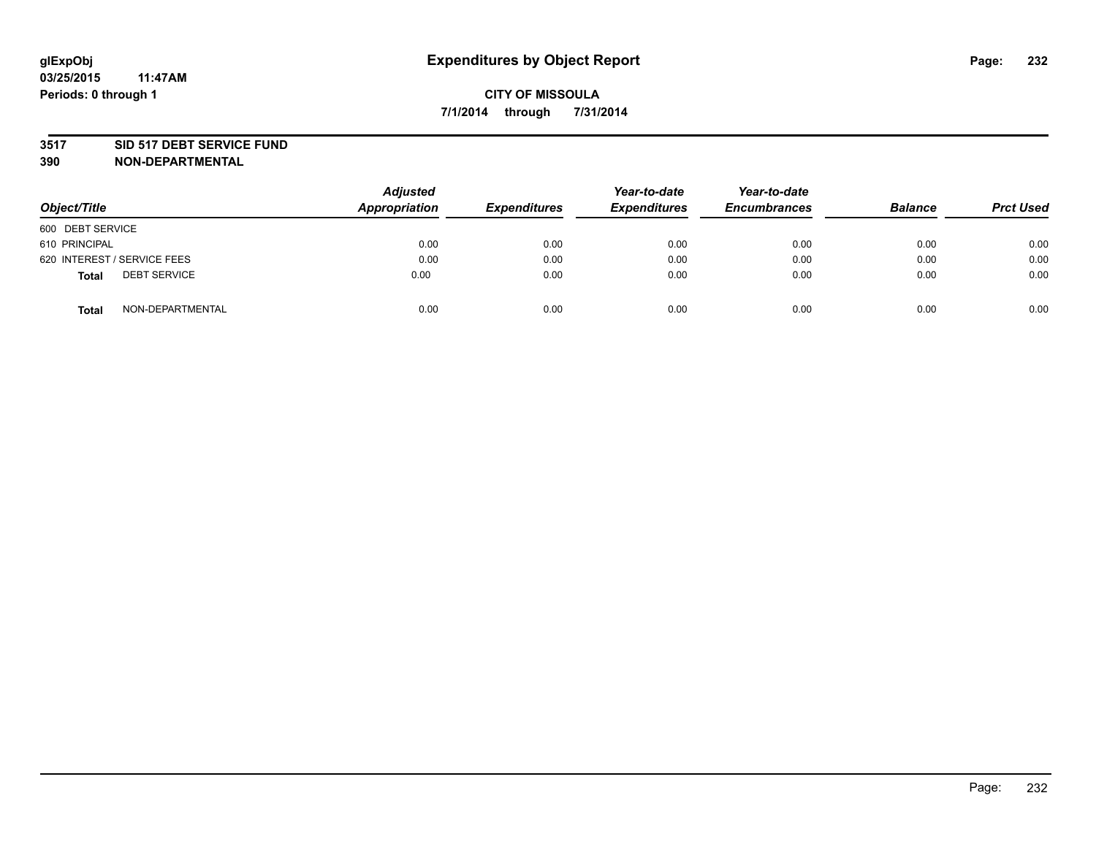#### **3517 SID 517 DEBT SERVICE FUND**

| Object/Title                        | <b>Adjusted</b><br>Appropriation | <b>Expenditures</b> | Year-to-date<br><b>Expenditures</b> | Year-to-date<br><b>Encumbrances</b> | <b>Balance</b> | <b>Prct Used</b> |
|-------------------------------------|----------------------------------|---------------------|-------------------------------------|-------------------------------------|----------------|------------------|
| 600 DEBT SERVICE                    |                                  |                     |                                     |                                     |                |                  |
| 610 PRINCIPAL                       | 0.00                             | 0.00                | 0.00                                | 0.00                                | 0.00           | 0.00             |
| 620 INTEREST / SERVICE FEES         | 0.00                             | 0.00                | 0.00                                | 0.00                                | 0.00           | 0.00             |
| <b>DEBT SERVICE</b><br><b>Total</b> | 0.00                             | 0.00                | 0.00                                | 0.00                                | 0.00           | 0.00             |
| NON-DEPARTMENTAL<br><b>Total</b>    | 0.00                             | 0.00                | 0.00                                | 0.00                                | 0.00           | 0.00             |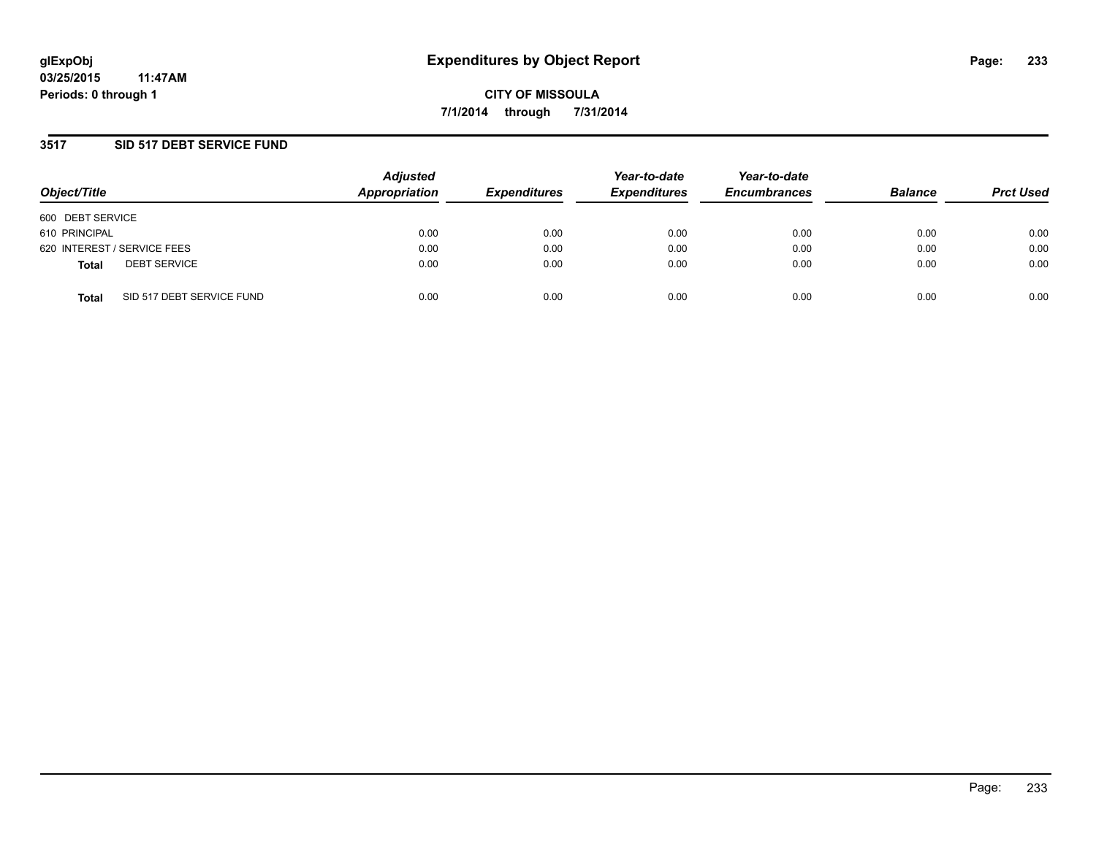## **3517 SID 517 DEBT SERVICE FUND**

| Object/Title                              | <b>Adjusted</b><br>Appropriation | <b>Expenditures</b> | Year-to-date<br><b>Expenditures</b> | Year-to-date<br><b>Encumbrances</b> | <b>Balance</b> | <b>Prct Used</b> |
|-------------------------------------------|----------------------------------|---------------------|-------------------------------------|-------------------------------------|----------------|------------------|
| 600 DEBT SERVICE                          |                                  |                     |                                     |                                     |                |                  |
| 610 PRINCIPAL                             | 0.00                             | 0.00                | 0.00                                | 0.00                                | 0.00           | 0.00             |
| 620 INTEREST / SERVICE FEES               | 0.00                             | 0.00                | 0.00                                | 0.00                                | 0.00           | 0.00             |
| <b>DEBT SERVICE</b><br><b>Total</b>       | 0.00                             | 0.00                | 0.00                                | 0.00                                | 0.00           | 0.00             |
| SID 517 DEBT SERVICE FUND<br><b>Total</b> | 0.00                             | 0.00                | 0.00                                | 0.00                                | 0.00           | 0.00             |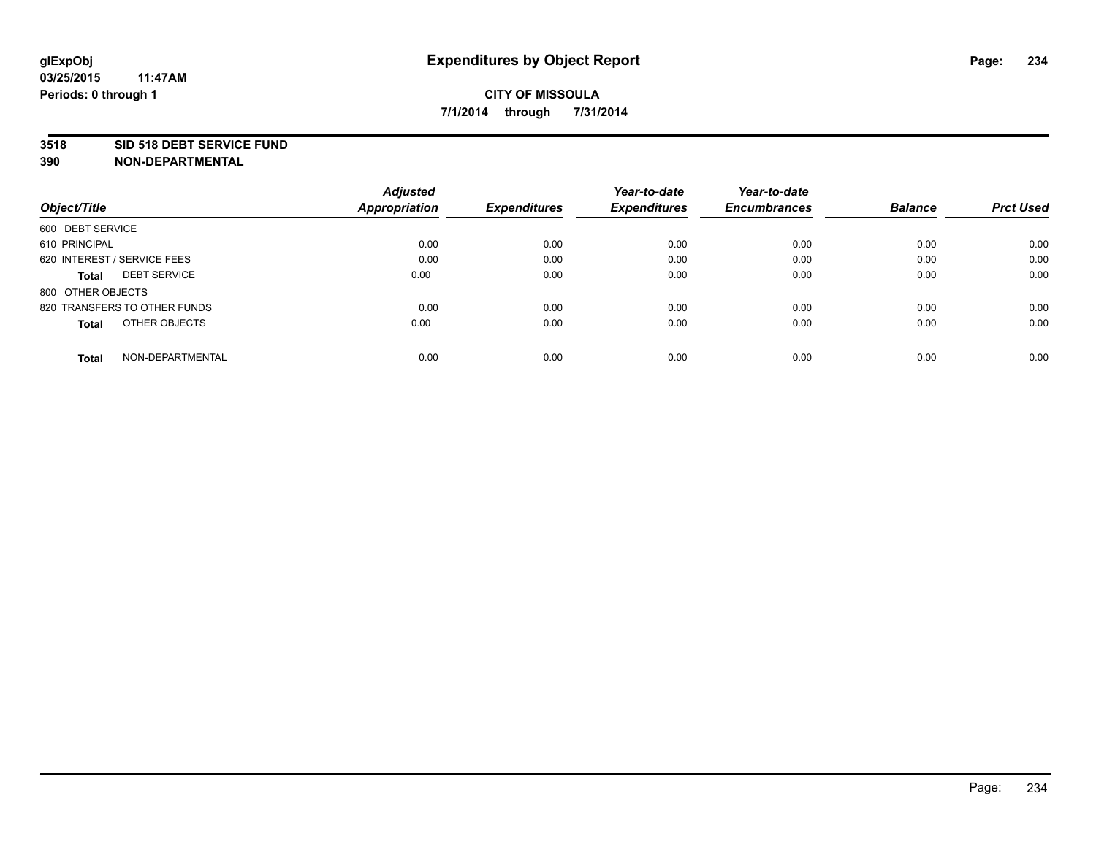#### **3518 SID 518 DEBT SERVICE FUND**

|                                     | <b>Adjusted</b>      |                     | Year-to-date        | Year-to-date        |                |                  |
|-------------------------------------|----------------------|---------------------|---------------------|---------------------|----------------|------------------|
| Object/Title                        | <b>Appropriation</b> | <b>Expenditures</b> | <b>Expenditures</b> | <b>Encumbrances</b> | <b>Balance</b> | <b>Prct Used</b> |
| 600 DEBT SERVICE                    |                      |                     |                     |                     |                |                  |
| 610 PRINCIPAL                       | 0.00                 | 0.00                | 0.00                | 0.00                | 0.00           | 0.00             |
| 620 INTEREST / SERVICE FEES         | 0.00                 | 0.00                | 0.00                | 0.00                | 0.00           | 0.00             |
| <b>DEBT SERVICE</b><br><b>Total</b> | 0.00                 | 0.00                | 0.00                | 0.00                | 0.00           | 0.00             |
| 800 OTHER OBJECTS                   |                      |                     |                     |                     |                |                  |
| 820 TRANSFERS TO OTHER FUNDS        | 0.00                 | 0.00                | 0.00                | 0.00                | 0.00           | 0.00             |
| OTHER OBJECTS<br><b>Total</b>       | 0.00                 | 0.00                | 0.00                | 0.00                | 0.00           | 0.00             |
| NON-DEPARTMENTAL<br>Total           | 0.00                 | 0.00                | 0.00                | 0.00                | 0.00           | 0.00             |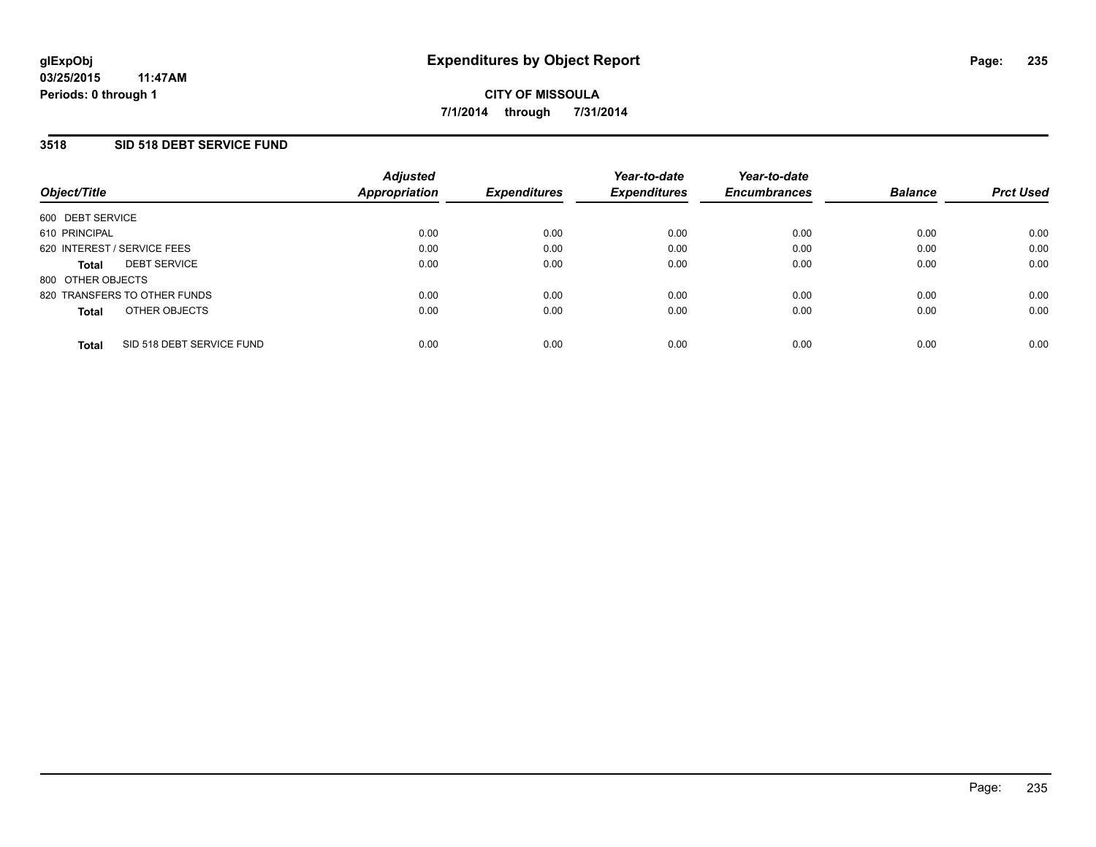## **3518 SID 518 DEBT SERVICE FUND**

| Object/Title                |                              | <b>Adjusted</b><br><b>Appropriation</b> | <b>Expenditures</b> | Year-to-date<br><b>Expenditures</b> | Year-to-date<br><b>Encumbrances</b> | <b>Balance</b> | <b>Prct Used</b> |
|-----------------------------|------------------------------|-----------------------------------------|---------------------|-------------------------------------|-------------------------------------|----------------|------------------|
| 600 DEBT SERVICE            |                              |                                         |                     |                                     |                                     |                |                  |
| 610 PRINCIPAL               |                              | 0.00                                    | 0.00                | 0.00                                | 0.00                                | 0.00           | 0.00             |
| 620 INTEREST / SERVICE FEES |                              | 0.00                                    | 0.00                | 0.00                                | 0.00                                | 0.00           | 0.00             |
| <b>Total</b>                | <b>DEBT SERVICE</b>          | 0.00                                    | 0.00                | 0.00                                | 0.00                                | 0.00           | 0.00             |
| 800 OTHER OBJECTS           |                              |                                         |                     |                                     |                                     |                |                  |
|                             | 820 TRANSFERS TO OTHER FUNDS | 0.00                                    | 0.00                | 0.00                                | 0.00                                | 0.00           | 0.00             |
| <b>Total</b>                | OTHER OBJECTS                | 0.00                                    | 0.00                | 0.00                                | 0.00                                | 0.00           | 0.00             |
| <b>Total</b>                | SID 518 DEBT SERVICE FUND    | 0.00                                    | 0.00                | 0.00                                | 0.00                                | 0.00           | 0.00             |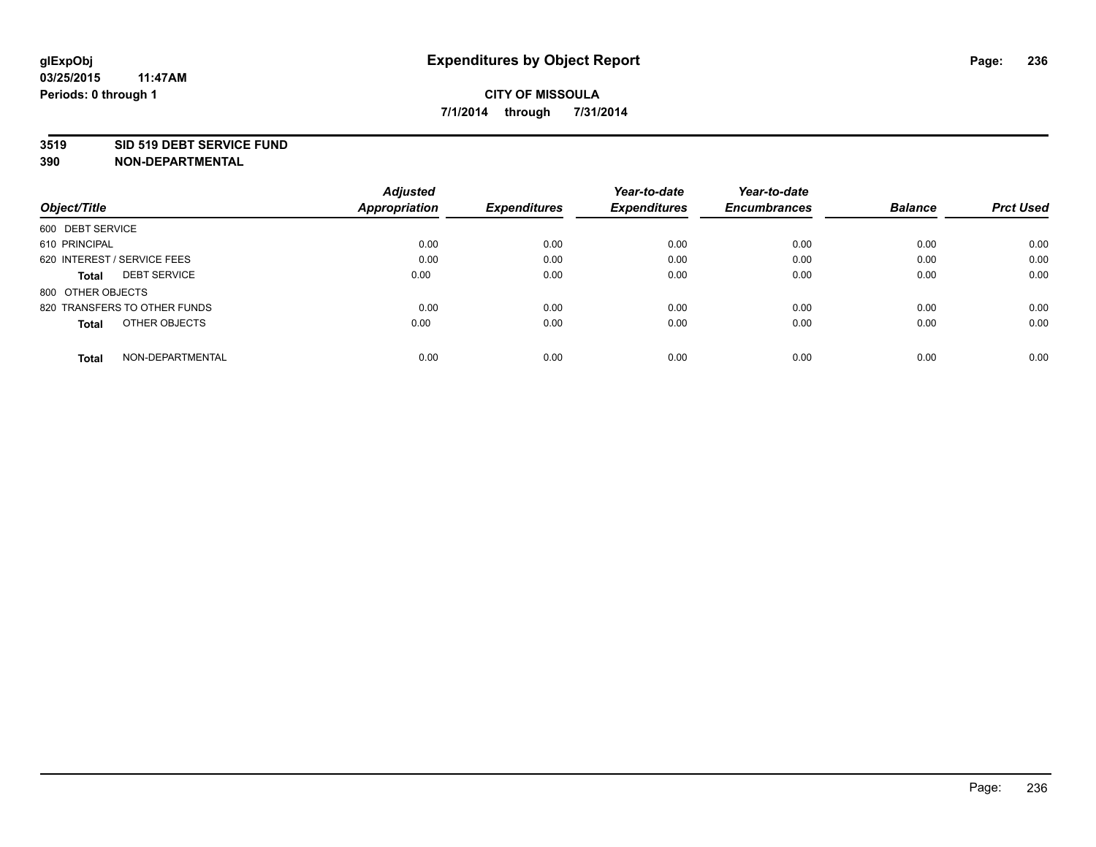#### **3519 SID 519 DEBT SERVICE FUND**

**390 NON-DEPARTMENTAL**

**03/25/2015**

|                                     | <b>Adjusted</b> |                     | Year-to-date        | Year-to-date        |                |                  |
|-------------------------------------|-----------------|---------------------|---------------------|---------------------|----------------|------------------|
| Object/Title                        | Appropriation   | <b>Expenditures</b> | <b>Expenditures</b> | <b>Encumbrances</b> | <b>Balance</b> | <b>Prct Used</b> |
| 600 DEBT SERVICE                    |                 |                     |                     |                     |                |                  |
| 610 PRINCIPAL                       | 0.00            | 0.00                | 0.00                | 0.00                | 0.00           | 0.00             |
| 620 INTEREST / SERVICE FEES         | 0.00            | 0.00                | 0.00                | 0.00                | 0.00           | 0.00             |
| <b>DEBT SERVICE</b><br><b>Total</b> | 0.00            | 0.00                | 0.00                | 0.00                | 0.00           | 0.00             |
| 800 OTHER OBJECTS                   |                 |                     |                     |                     |                |                  |
| 820 TRANSFERS TO OTHER FUNDS        | 0.00            | 0.00                | 0.00                | 0.00                | 0.00           | 0.00             |
| OTHER OBJECTS<br><b>Total</b>       | 0.00            | 0.00                | 0.00                | 0.00                | 0.00           | 0.00             |
| NON-DEPARTMENTAL<br>Total           | 0.00            | 0.00                | 0.00                | 0.00                | 0.00           | 0.00             |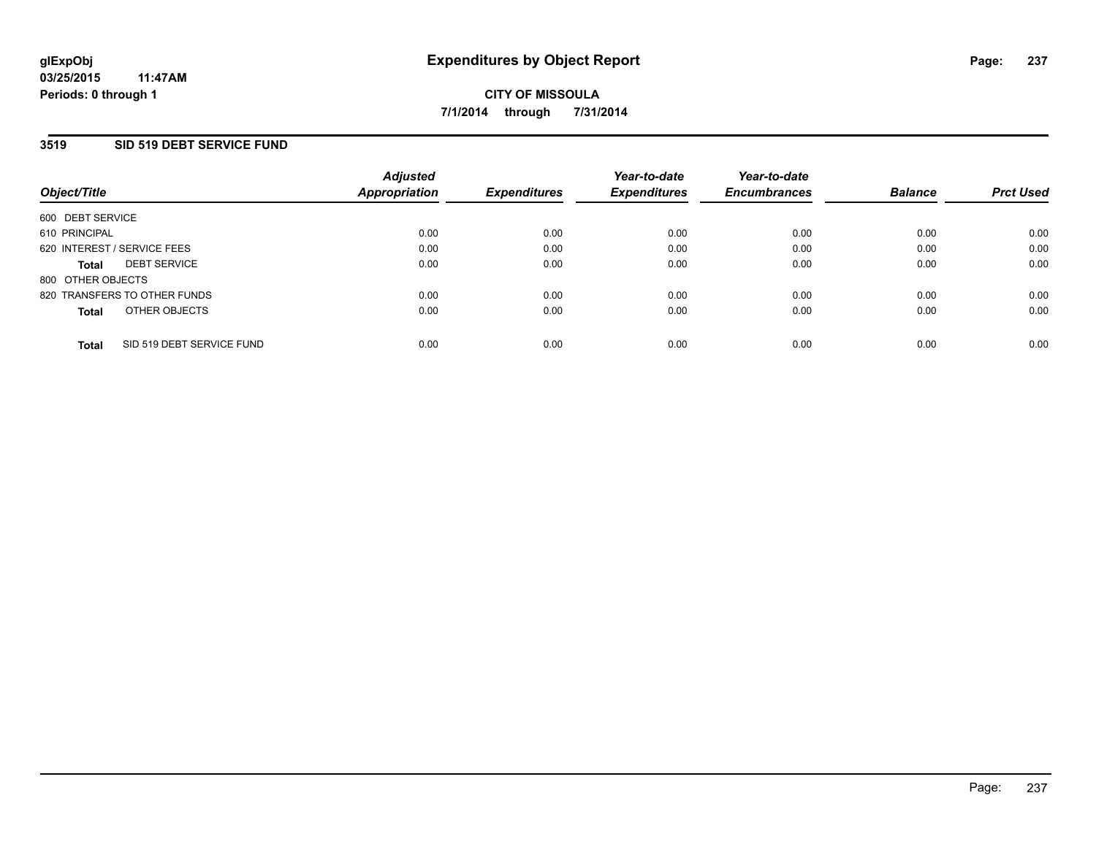### **3519 SID 519 DEBT SERVICE FUND**

| Object/Title                |                              | <b>Adjusted</b><br>Appropriation | <b>Expenditures</b> | Year-to-date<br><b>Expenditures</b> | Year-to-date<br><b>Encumbrances</b> | <b>Balance</b> | <b>Prct Used</b> |
|-----------------------------|------------------------------|----------------------------------|---------------------|-------------------------------------|-------------------------------------|----------------|------------------|
| 600 DEBT SERVICE            |                              |                                  |                     |                                     |                                     |                |                  |
| 610 PRINCIPAL               |                              | 0.00                             | 0.00                | 0.00                                | 0.00                                | 0.00           | 0.00             |
| 620 INTEREST / SERVICE FEES |                              | 0.00                             | 0.00                | 0.00                                | 0.00                                | 0.00           | 0.00             |
| <b>Total</b>                | <b>DEBT SERVICE</b>          | 0.00                             | 0.00                | 0.00                                | 0.00                                | 0.00           | 0.00             |
| 800 OTHER OBJECTS           |                              |                                  |                     |                                     |                                     |                |                  |
|                             | 820 TRANSFERS TO OTHER FUNDS | 0.00                             | 0.00                | 0.00                                | 0.00                                | 0.00           | 0.00             |
| <b>Total</b>                | OTHER OBJECTS                | 0.00                             | 0.00                | 0.00                                | 0.00                                | 0.00           | 0.00             |
| <b>Total</b>                | SID 519 DEBT SERVICE FUND    | 0.00                             | 0.00                | 0.00                                | 0.00                                | 0.00           | 0.00             |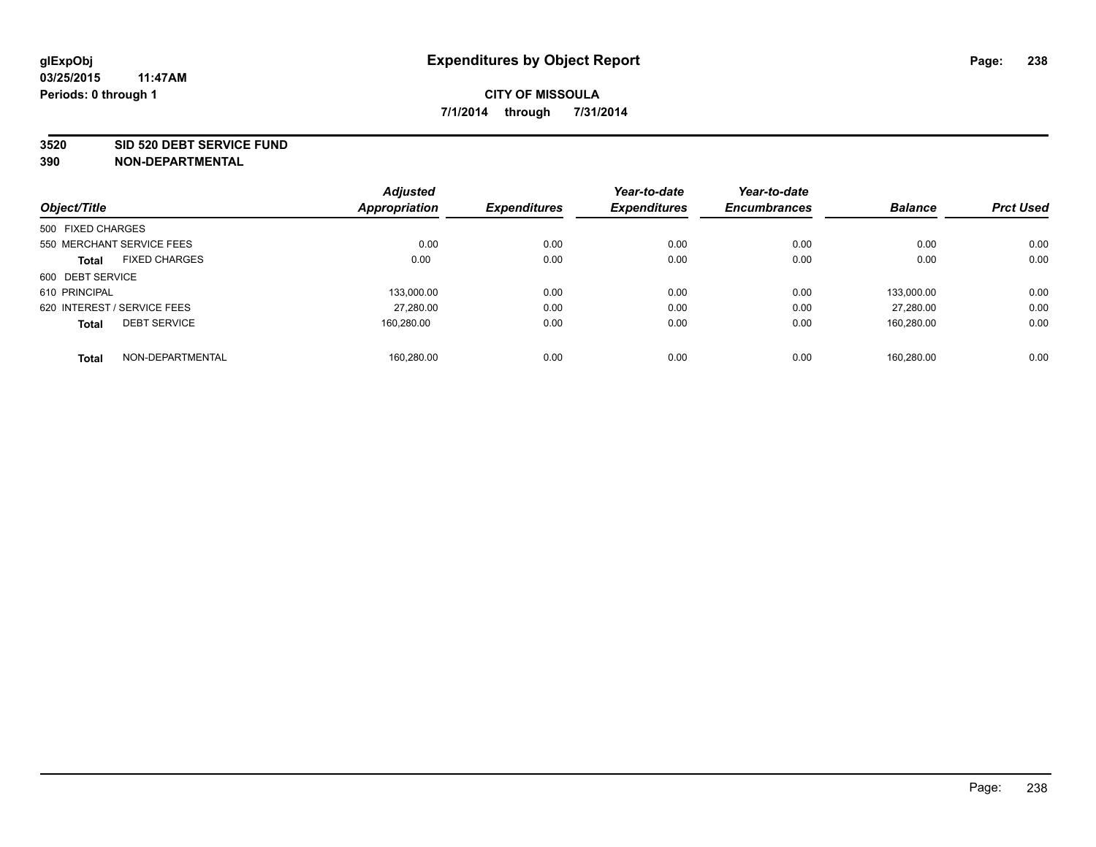#### **3520 SID 520 DEBT SERVICE FUND**

| Object/Title                |                      | <b>Adjusted</b><br>Appropriation | <b>Expenditures</b> | Year-to-date<br><b>Expenditures</b> | Year-to-date<br><b>Encumbrances</b> | <b>Balance</b> | <b>Prct Used</b> |
|-----------------------------|----------------------|----------------------------------|---------------------|-------------------------------------|-------------------------------------|----------------|------------------|
|                             |                      |                                  |                     |                                     |                                     |                |                  |
| 500 FIXED CHARGES           |                      |                                  |                     |                                     |                                     |                |                  |
| 550 MERCHANT SERVICE FEES   |                      | 0.00                             | 0.00                | 0.00                                | 0.00                                | 0.00           | 0.00             |
| <b>Total</b>                | <b>FIXED CHARGES</b> | 0.00                             | 0.00                | 0.00                                | 0.00                                | 0.00           | 0.00             |
| 600 DEBT SERVICE            |                      |                                  |                     |                                     |                                     |                |                  |
| 610 PRINCIPAL               |                      | 133.000.00                       | 0.00                | 0.00                                | 0.00                                | 133.000.00     | 0.00             |
| 620 INTEREST / SERVICE FEES |                      | 27,280.00                        | 0.00                | 0.00                                | 0.00                                | 27.280.00      | 0.00             |
| <b>Total</b>                | <b>DEBT SERVICE</b>  | 160.280.00                       | 0.00                | 0.00                                | 0.00                                | 160,280.00     | 0.00             |
| <b>Total</b>                | NON-DEPARTMENTAL     | 160.280.00                       | 0.00                | 0.00                                | 0.00                                | 160.280.00     | 0.00             |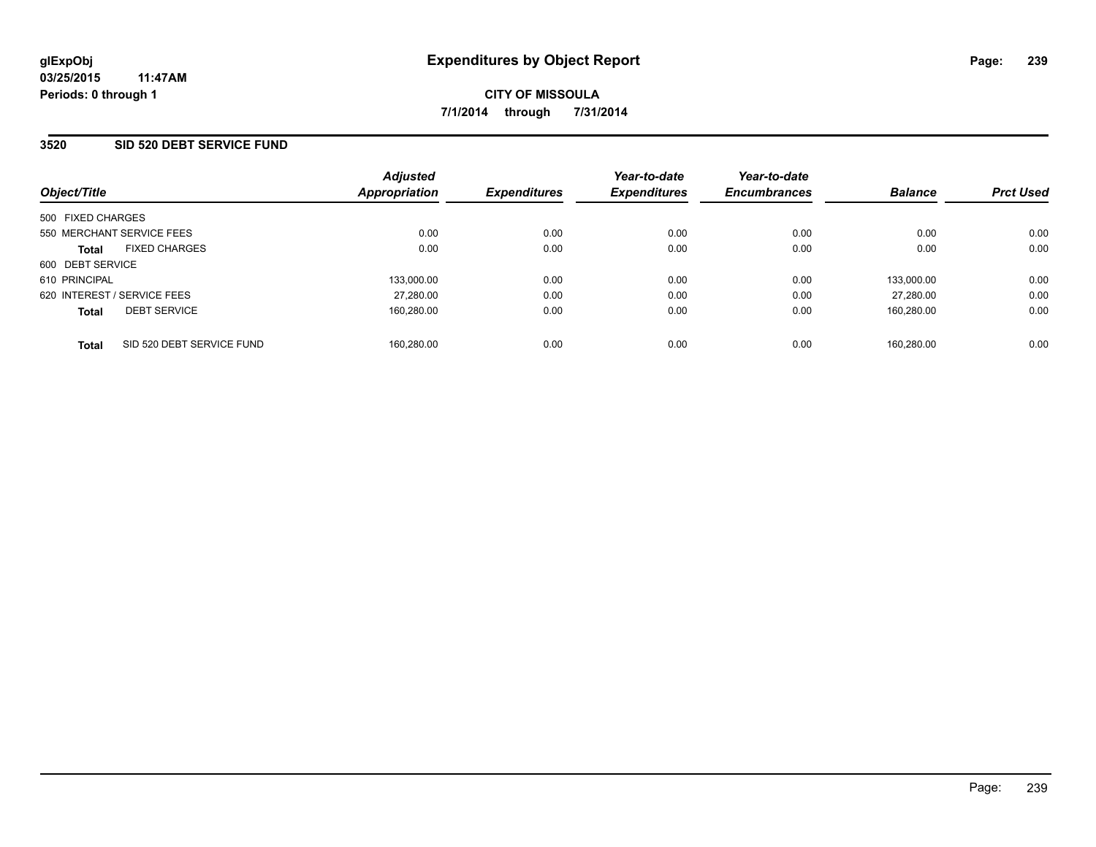## **3520 SID 520 DEBT SERVICE FUND**

| Object/Title                              | <b>Adjusted</b><br>Appropriation | <b>Expenditures</b> | Year-to-date<br><b>Expenditures</b> | Year-to-date<br><b>Encumbrances</b> | <b>Balance</b> | <b>Prct Used</b> |
|-------------------------------------------|----------------------------------|---------------------|-------------------------------------|-------------------------------------|----------------|------------------|
| 500 FIXED CHARGES                         |                                  |                     |                                     |                                     |                |                  |
| 550 MERCHANT SERVICE FEES                 | 0.00                             | 0.00                | 0.00                                | 0.00                                | 0.00           | 0.00             |
| <b>FIXED CHARGES</b><br><b>Total</b>      | 0.00                             | 0.00                | 0.00                                | 0.00                                | 0.00           | 0.00             |
| 600 DEBT SERVICE                          |                                  |                     |                                     |                                     |                |                  |
| 610 PRINCIPAL                             | 133,000.00                       | 0.00                | 0.00                                | 0.00                                | 133,000.00     | 0.00             |
| 620 INTEREST / SERVICE FEES               | 27.280.00                        | 0.00                | 0.00                                | 0.00                                | 27.280.00      | 0.00             |
| <b>DEBT SERVICE</b><br><b>Total</b>       | 160.280.00                       | 0.00                | 0.00                                | 0.00                                | 160.280.00     | 0.00             |
| SID 520 DEBT SERVICE FUND<br><b>Total</b> | 160.280.00                       | 0.00                | 0.00                                | 0.00                                | 160.280.00     | 0.00             |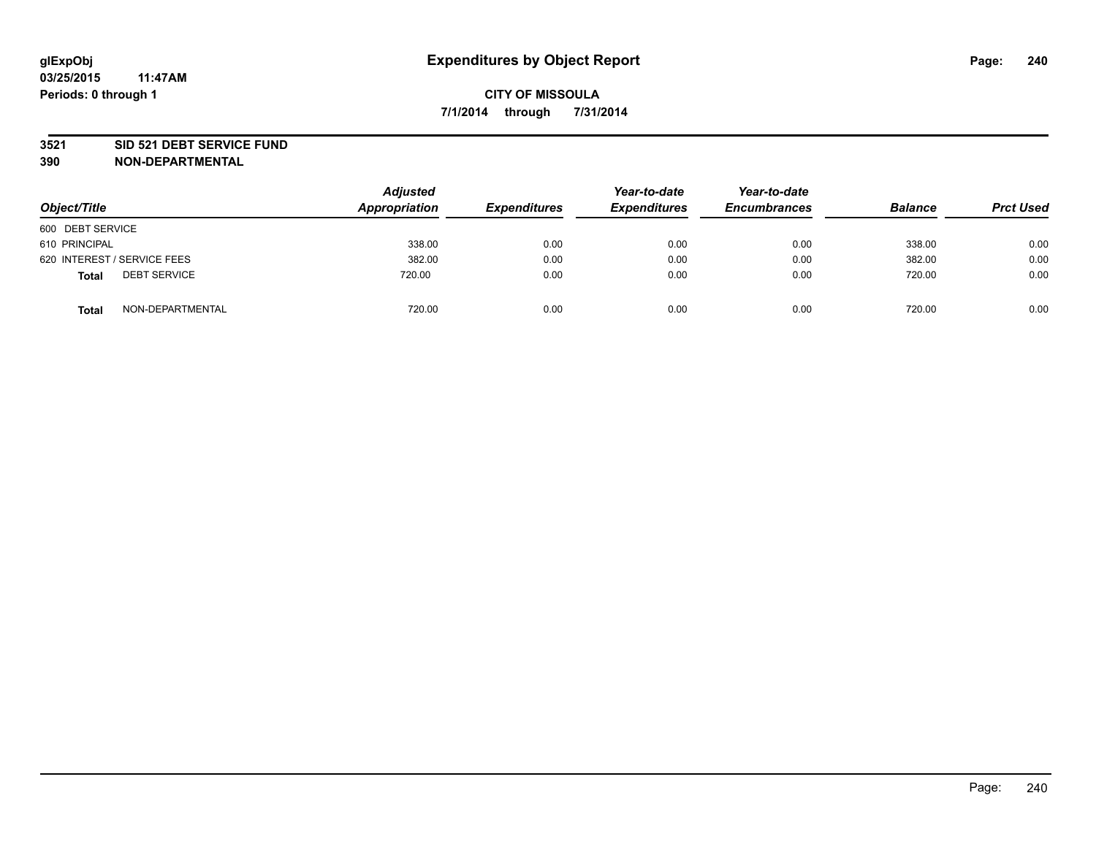#### **3521 SID 521 DEBT SERVICE FUND**

| Object/Title                        | <b>Adjusted</b><br>Appropriation | <b>Expenditures</b> | Year-to-date<br><b>Expenditures</b> | Year-to-date<br><b>Encumbrances</b> | <b>Balance</b> | <b>Prct Used</b> |
|-------------------------------------|----------------------------------|---------------------|-------------------------------------|-------------------------------------|----------------|------------------|
| 600 DEBT SERVICE                    |                                  |                     |                                     |                                     |                |                  |
| 610 PRINCIPAL                       | 338.00                           | 0.00                | 0.00                                | 0.00                                | 338.00         | 0.00             |
| 620 INTEREST / SERVICE FEES         | 382.00                           | 0.00                | 0.00                                | 0.00                                | 382.00         | 0.00             |
| <b>DEBT SERVICE</b><br><b>Total</b> | 720.00                           | 0.00                | 0.00                                | 0.00                                | 720.00         | 0.00             |
| NON-DEPARTMENTAL<br><b>Total</b>    | 720.00                           | 0.00                | 0.00                                | 0.00                                | 720.00         | 0.00             |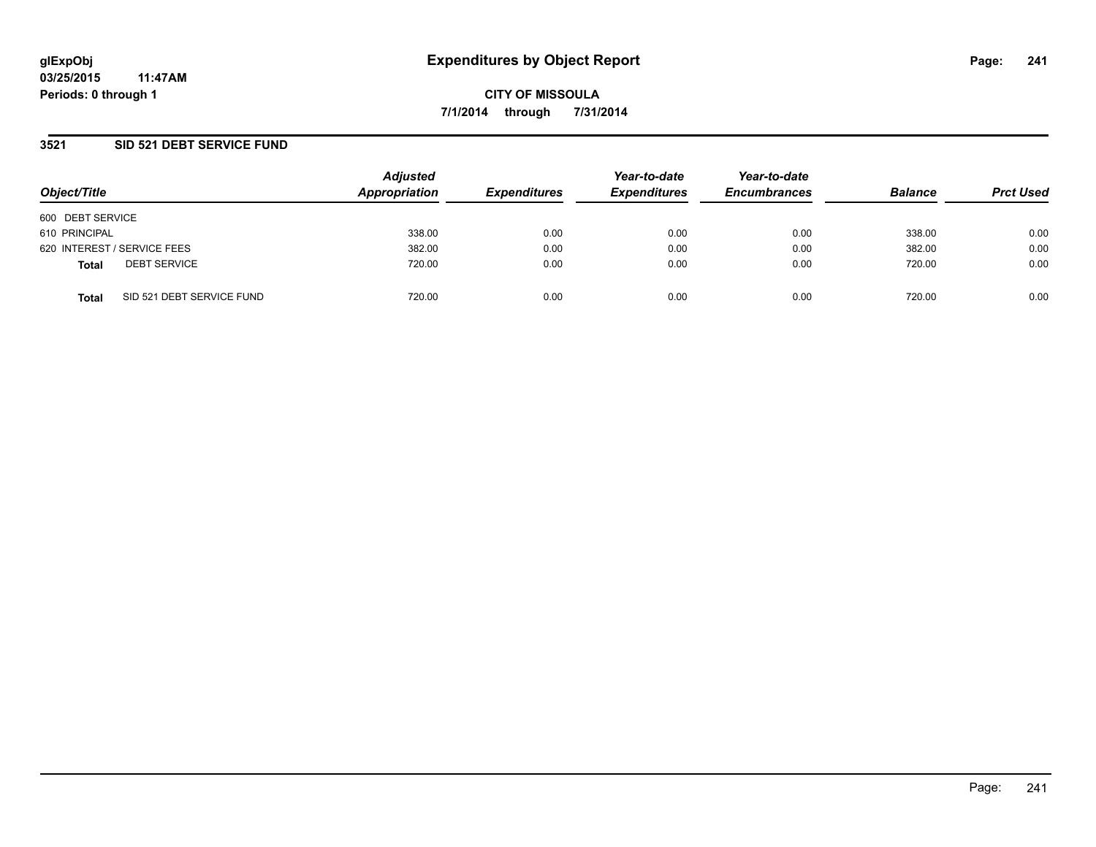### **3521 SID 521 DEBT SERVICE FUND**

| Object/Title     |                             | <b>Adjusted</b><br>Appropriation | <b>Expenditures</b> | Year-to-date<br><b>Expenditures</b> | Year-to-date<br><b>Encumbrances</b> | <b>Balance</b> | <b>Prct Used</b> |
|------------------|-----------------------------|----------------------------------|---------------------|-------------------------------------|-------------------------------------|----------------|------------------|
| 600 DEBT SERVICE |                             |                                  |                     |                                     |                                     |                |                  |
| 610 PRINCIPAL    |                             | 338.00                           | 0.00                | 0.00                                | 0.00                                | 338.00         | 0.00             |
|                  | 620 INTEREST / SERVICE FEES | 382.00                           | 0.00                | 0.00                                | 0.00                                | 382.00         | 0.00             |
| <b>Total</b>     | <b>DEBT SERVICE</b>         | 720.00                           | 0.00                | 0.00                                | 0.00                                | 720.00         | 0.00             |
| <b>Total</b>     | SID 521 DEBT SERVICE FUND   | 720.00                           | 0.00                | 0.00                                | 0.00                                | 720.00         | 0.00             |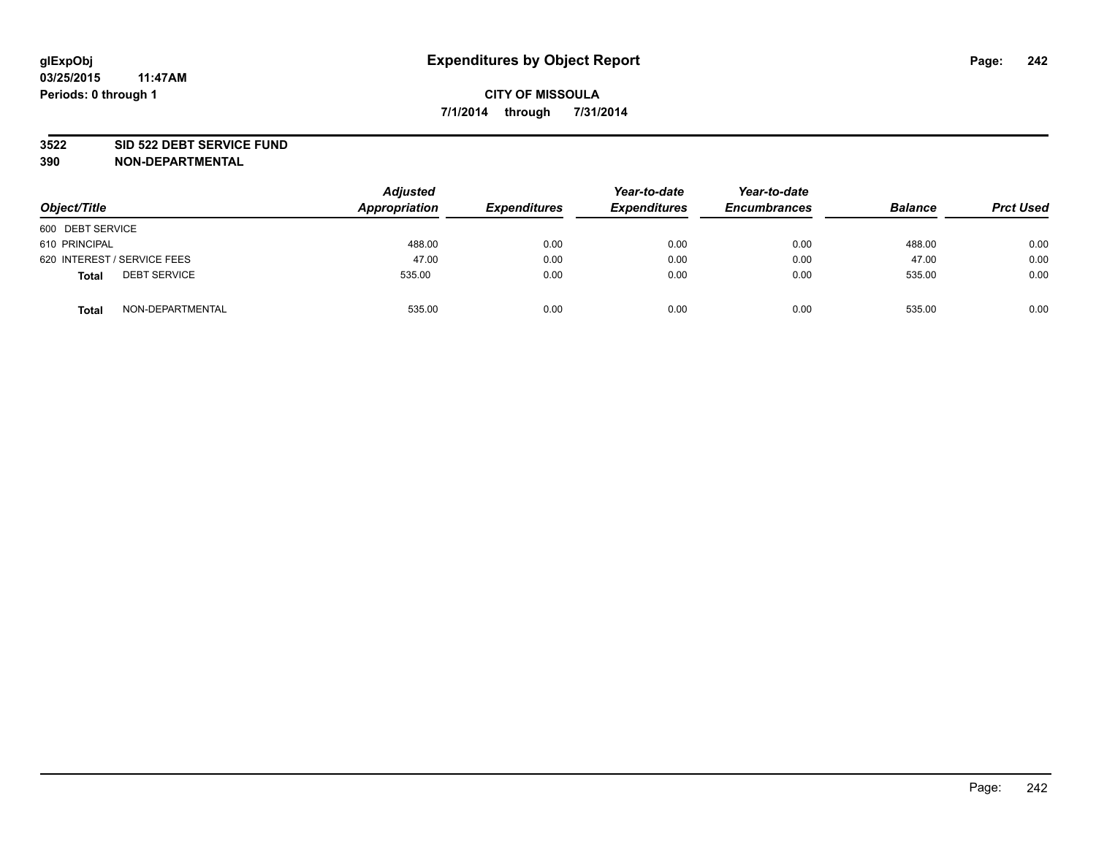#### **3522 SID 522 DEBT SERVICE FUND**

| Object/Title                        | <b>Adjusted</b><br><b>Appropriation</b> | <b>Expenditures</b> | Year-to-date<br><b>Expenditures</b> | Year-to-date<br><b>Encumbrances</b> | <b>Balance</b> | <b>Prct Used</b> |
|-------------------------------------|-----------------------------------------|---------------------|-------------------------------------|-------------------------------------|----------------|------------------|
| 600 DEBT SERVICE                    |                                         |                     |                                     |                                     |                |                  |
| 610 PRINCIPAL                       | 488.00                                  | 0.00                | 0.00                                | 0.00                                | 488.00         | 0.00             |
| 620 INTEREST / SERVICE FEES         | 47.00                                   | 0.00                | 0.00                                | 0.00                                | 47.00          | 0.00             |
| <b>DEBT SERVICE</b><br><b>Total</b> | 535.00                                  | 0.00                | 0.00                                | 0.00                                | 535.00         | 0.00             |
| NON-DEPARTMENTAL<br><b>Total</b>    | 535.00                                  | 0.00                | 0.00                                | 0.00                                | 535.00         | 0.00             |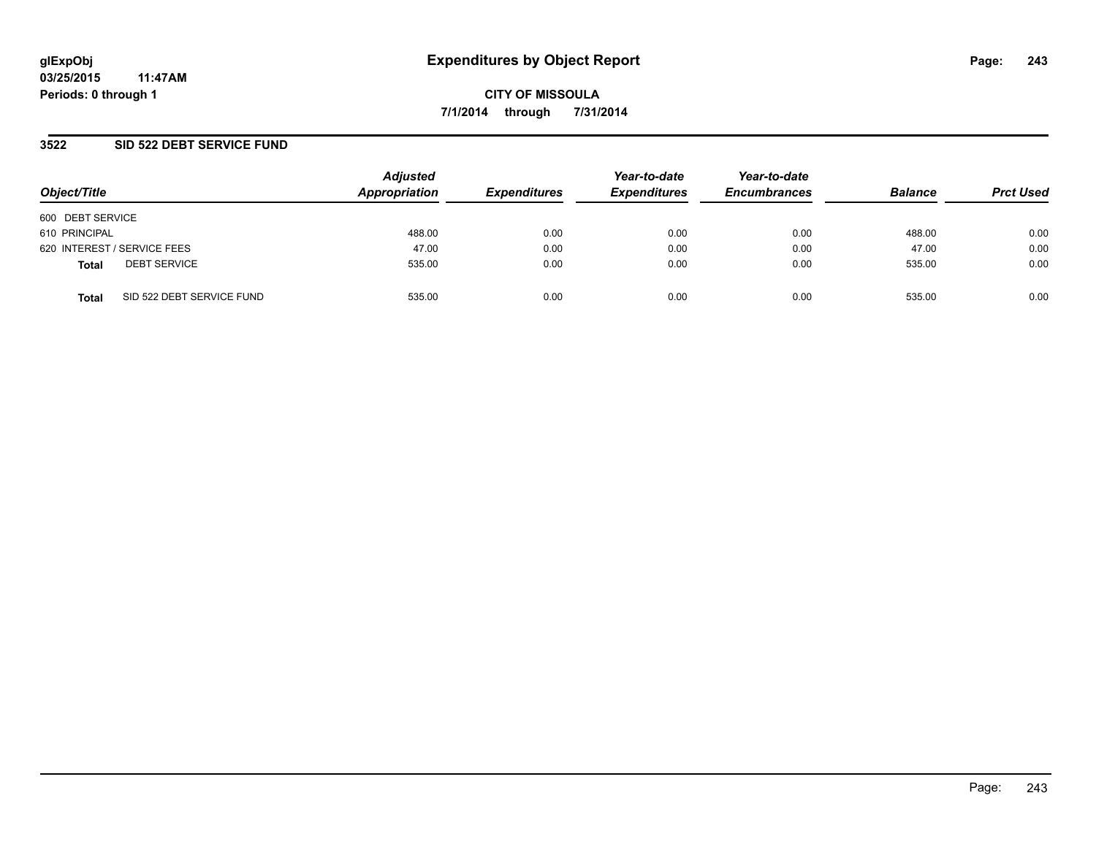## **3522 SID 522 DEBT SERVICE FUND**

| Object/Title                              | <b>Adjusted</b><br>Appropriation | <b>Expenditures</b> | Year-to-date<br><b>Expenditures</b> | Year-to-date<br><b>Encumbrances</b> | <b>Balance</b> | <b>Prct Used</b> |
|-------------------------------------------|----------------------------------|---------------------|-------------------------------------|-------------------------------------|----------------|------------------|
| 600 DEBT SERVICE                          |                                  |                     |                                     |                                     |                |                  |
| 610 PRINCIPAL                             | 488.00                           | 0.00                | 0.00                                | 0.00                                | 488.00         | 0.00             |
| 620 INTEREST / SERVICE FEES               | 47.00                            | 0.00                | 0.00                                | 0.00                                | 47.00          | 0.00             |
| <b>DEBT SERVICE</b><br><b>Total</b>       | 535.00                           | 0.00                | 0.00                                | 0.00                                | 535.00         | 0.00             |
| SID 522 DEBT SERVICE FUND<br><b>Total</b> | 535.00                           | 0.00                | 0.00                                | 0.00                                | 535.00         | 0.00             |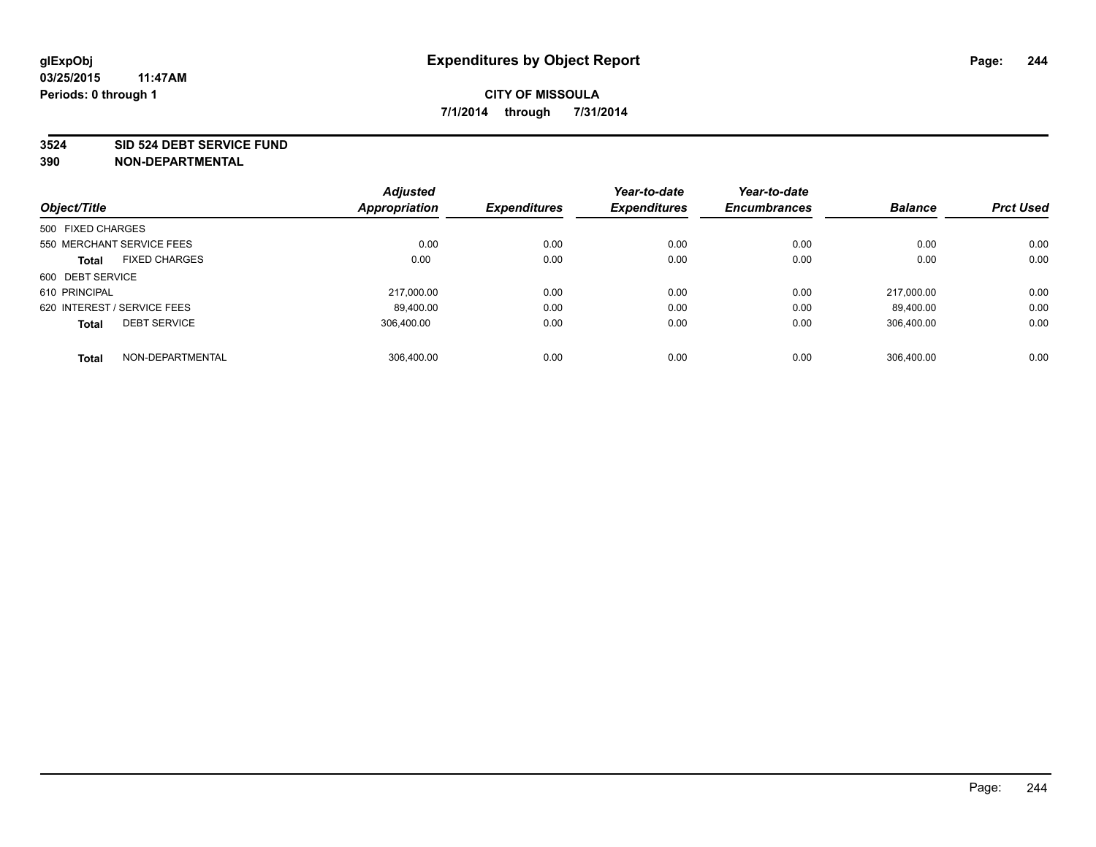#### **3524 SID 524 DEBT SERVICE FUND**

| Object/Title                |                           | <b>Adjusted</b><br><b>Appropriation</b> | <b>Expenditures</b> | Year-to-date<br><b>Expenditures</b> | Year-to-date<br><b>Encumbrances</b> | <b>Balance</b> | <b>Prct Used</b> |
|-----------------------------|---------------------------|-----------------------------------------|---------------------|-------------------------------------|-------------------------------------|----------------|------------------|
|                             |                           |                                         |                     |                                     |                                     |                |                  |
| 500 FIXED CHARGES           |                           |                                         |                     |                                     |                                     |                |                  |
|                             | 550 MERCHANT SERVICE FEES | 0.00                                    | 0.00                | 0.00                                | 0.00                                | 0.00           | 0.00             |
| <b>Total</b>                | <b>FIXED CHARGES</b>      | 0.00                                    | 0.00                | 0.00                                | 0.00                                | 0.00           | 0.00             |
| 600 DEBT SERVICE            |                           |                                         |                     |                                     |                                     |                |                  |
| 610 PRINCIPAL               |                           | 217.000.00                              | 0.00                | 0.00                                | 0.00                                | 217.000.00     | 0.00             |
| 620 INTEREST / SERVICE FEES |                           | 89,400.00                               | 0.00                | 0.00                                | 0.00                                | 89,400.00      | 0.00             |
| <b>Total</b>                | <b>DEBT SERVICE</b>       | 306.400.00                              | 0.00                | 0.00                                | 0.00                                | 306.400.00     | 0.00             |
| <b>Total</b>                | NON-DEPARTMENTAL          | 306.400.00                              | 0.00                | 0.00                                | 0.00                                | 306.400.00     | 0.00             |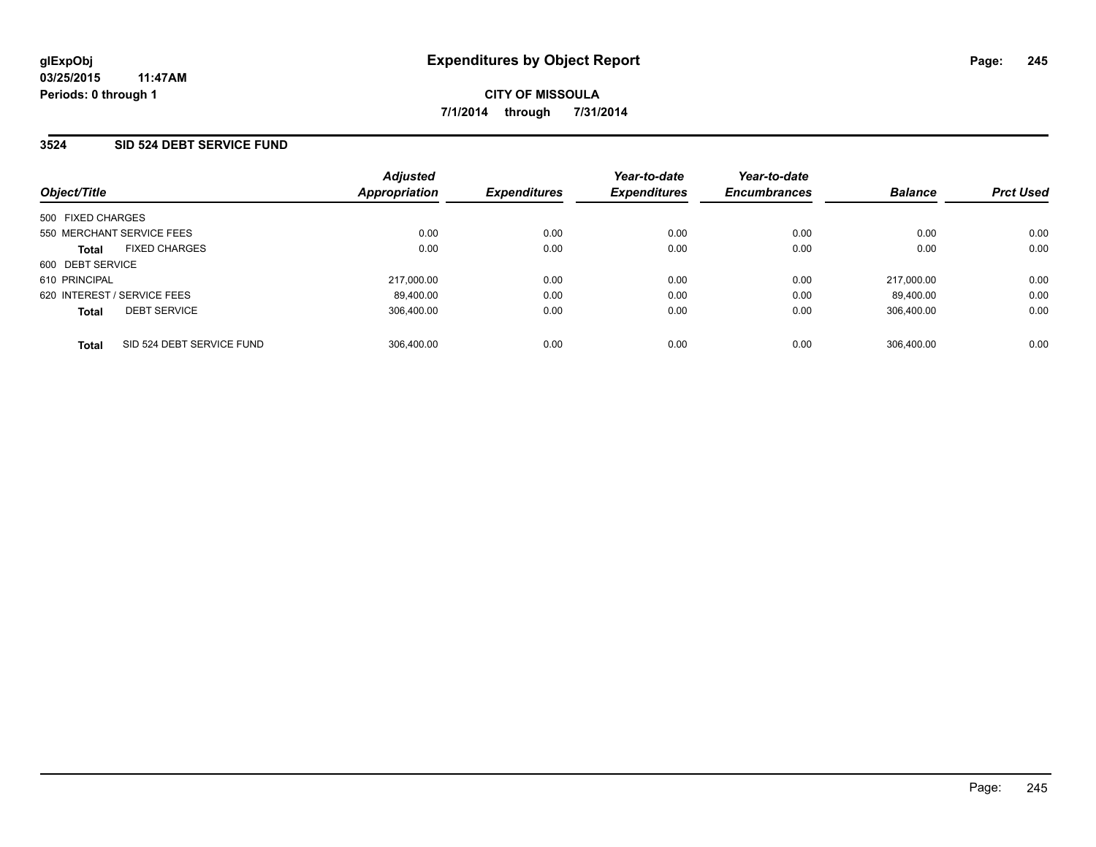## **3524 SID 524 DEBT SERVICE FUND**

| Object/Title                              | <b>Adjusted</b><br>Appropriation | <b>Expenditures</b> | Year-to-date<br><b>Expenditures</b> | Year-to-date<br><b>Encumbrances</b> | <b>Balance</b> | <b>Prct Used</b> |
|-------------------------------------------|----------------------------------|---------------------|-------------------------------------|-------------------------------------|----------------|------------------|
| 500 FIXED CHARGES                         |                                  |                     |                                     |                                     |                |                  |
| 550 MERCHANT SERVICE FEES                 | 0.00                             | 0.00                | 0.00                                | 0.00                                | 0.00           | 0.00             |
| <b>FIXED CHARGES</b><br><b>Total</b>      | 0.00                             | 0.00                | 0.00                                | 0.00                                | 0.00           | 0.00             |
| 600 DEBT SERVICE                          |                                  |                     |                                     |                                     |                |                  |
| 610 PRINCIPAL                             | 217.000.00                       | 0.00                | 0.00                                | 0.00                                | 217.000.00     | 0.00             |
| 620 INTEREST / SERVICE FEES               | 89.400.00                        | 0.00                | 0.00                                | 0.00                                | 89.400.00      | 0.00             |
| <b>DEBT SERVICE</b><br><b>Total</b>       | 306.400.00                       | 0.00                | 0.00                                | 0.00                                | 306.400.00     | 0.00             |
| SID 524 DEBT SERVICE FUND<br><b>Total</b> | 306.400.00                       | 0.00                | 0.00                                | 0.00                                | 306.400.00     | 0.00             |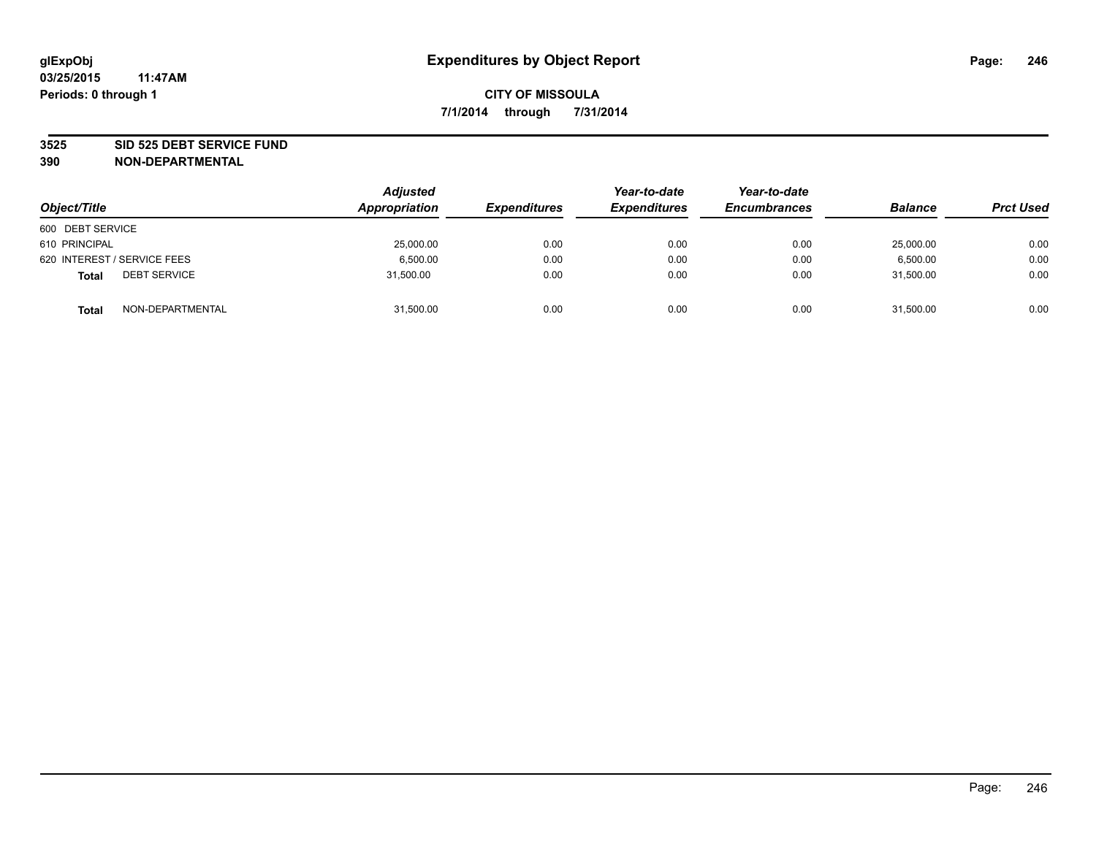#### **3525 SID 525 DEBT SERVICE FUND**

| Object/Title                        | <b>Adjusted</b><br>Appropriation | <b>Expenditures</b> | Year-to-date<br><b>Expenditures</b> | Year-to-date<br><b>Encumbrances</b> | <b>Balance</b> | <b>Prct Used</b> |
|-------------------------------------|----------------------------------|---------------------|-------------------------------------|-------------------------------------|----------------|------------------|
| 600 DEBT SERVICE                    |                                  |                     |                                     |                                     |                |                  |
| 610 PRINCIPAL                       | 25,000.00                        | 0.00                | 0.00                                | 0.00                                | 25,000.00      | 0.00             |
| 620 INTEREST / SERVICE FEES         | 6,500.00                         | 0.00                | 0.00                                | 0.00                                | 6,500.00       | 0.00             |
| <b>DEBT SERVICE</b><br><b>Total</b> | 31,500.00                        | 0.00                | 0.00                                | 0.00                                | 31,500.00      | 0.00             |
| NON-DEPARTMENTAL<br><b>Total</b>    | 31,500.00                        | 0.00                | 0.00                                | 0.00                                | 31,500.00      | 0.00             |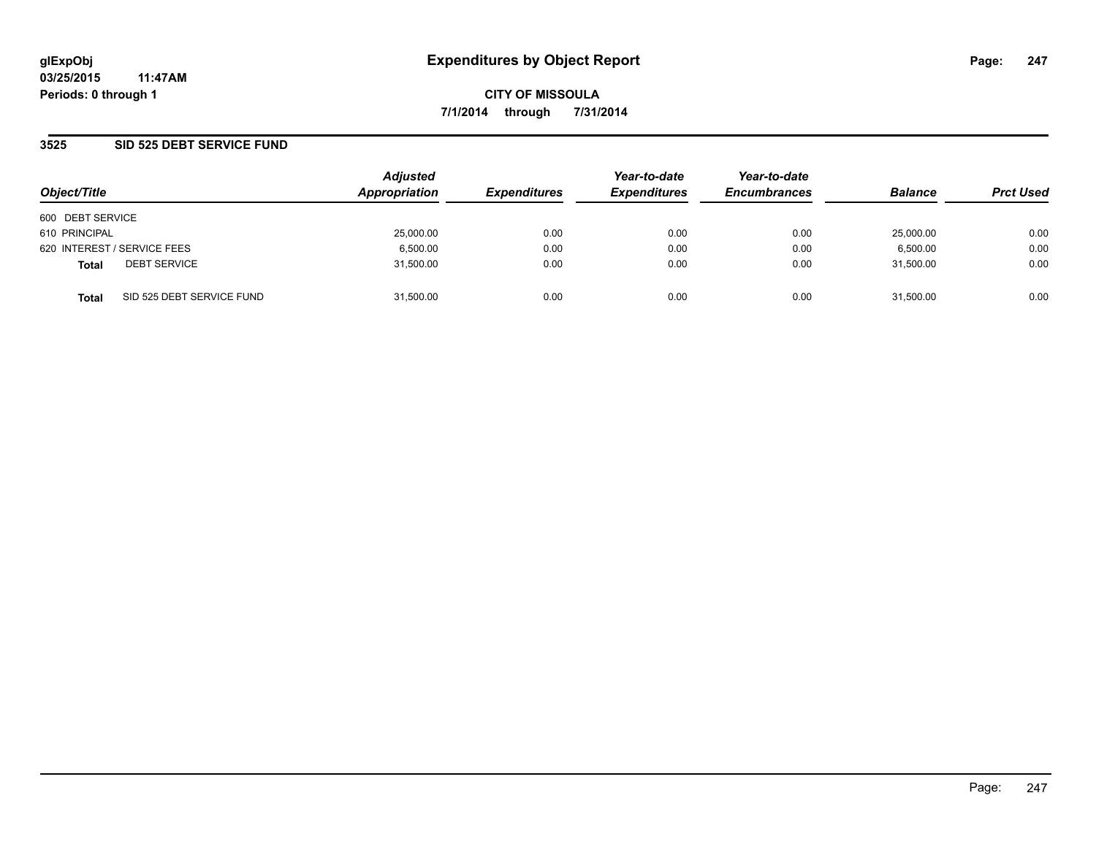### **3525 SID 525 DEBT SERVICE FUND**

| Object/Title                |                           | <b>Adjusted</b><br>Appropriation | <b>Expenditures</b> | Year-to-date<br><b>Expenditures</b> | Year-to-date<br><b>Encumbrances</b> | <b>Balance</b> | <b>Prct Used</b> |
|-----------------------------|---------------------------|----------------------------------|---------------------|-------------------------------------|-------------------------------------|----------------|------------------|
| 600 DEBT SERVICE            |                           |                                  |                     |                                     |                                     |                |                  |
| 610 PRINCIPAL               |                           | 25,000.00                        | 0.00                | 0.00                                | 0.00                                | 25,000.00      | 0.00             |
| 620 INTEREST / SERVICE FEES |                           | 6,500.00                         | 0.00                | 0.00                                | 0.00                                | 6,500.00       | 0.00             |
| <b>Total</b>                | <b>DEBT SERVICE</b>       | 31,500.00                        | 0.00                | 0.00                                | 0.00                                | 31.500.00      | 0.00             |
| <b>Total</b>                | SID 525 DEBT SERVICE FUND | 31.500.00                        | 0.00                | 0.00                                | 0.00                                | 31.500.00      | 0.00             |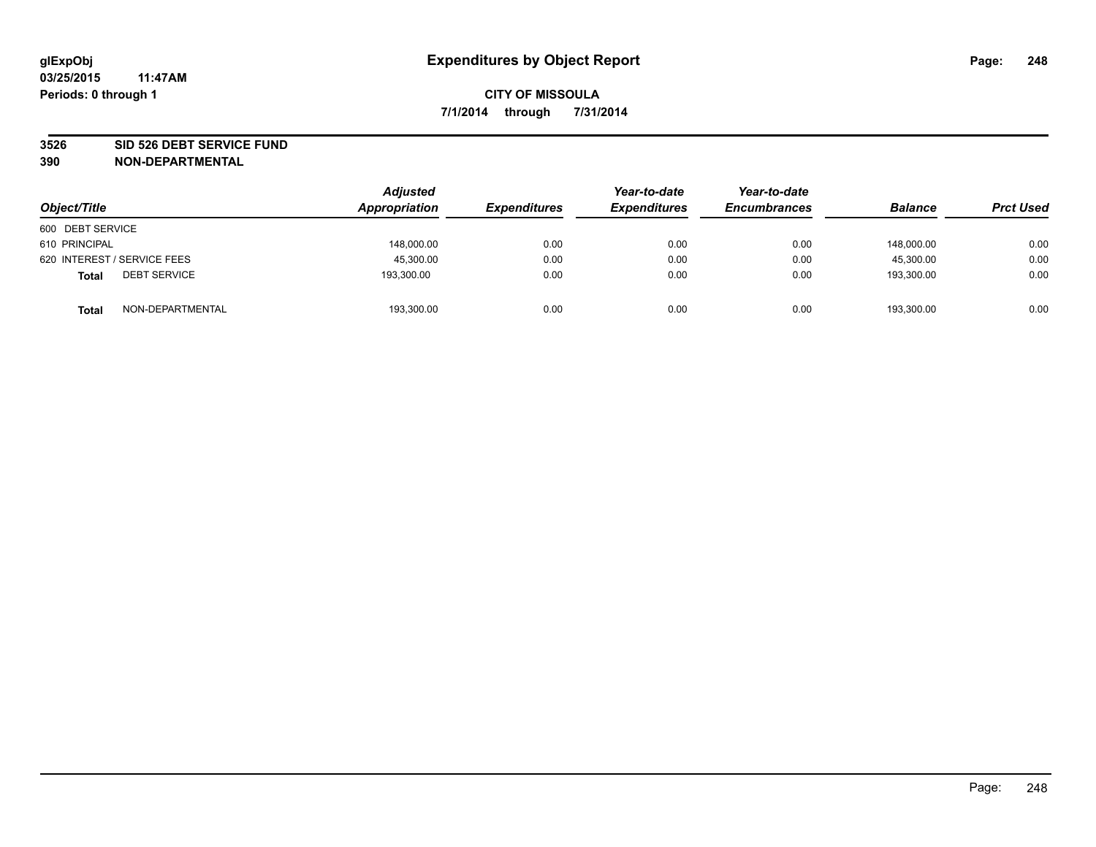#### **3526 SID 526 DEBT SERVICE FUND**

| Object/Title                        | <b>Adjusted</b><br>Appropriation | <b>Expenditures</b> | Year-to-date<br><b>Expenditures</b> | Year-to-date<br><b>Encumbrances</b> | <b>Balance</b> | <b>Prct Used</b> |
|-------------------------------------|----------------------------------|---------------------|-------------------------------------|-------------------------------------|----------------|------------------|
| 600 DEBT SERVICE                    |                                  |                     |                                     |                                     |                |                  |
| 610 PRINCIPAL                       | 148,000.00                       | 0.00                | 0.00                                | 0.00                                | 148,000.00     | 0.00             |
| 620 INTEREST / SERVICE FEES         | 45,300.00                        | 0.00                | 0.00                                | 0.00                                | 45.300.00      | 0.00             |
| <b>DEBT SERVICE</b><br><b>Total</b> | 193,300.00                       | 0.00                | 0.00                                | 0.00                                | 193.300.00     | 0.00             |
| NON-DEPARTMENTAL<br><b>Total</b>    | 193,300.00                       | 0.00                | 0.00                                | 0.00                                | 193,300.00     | 0.00             |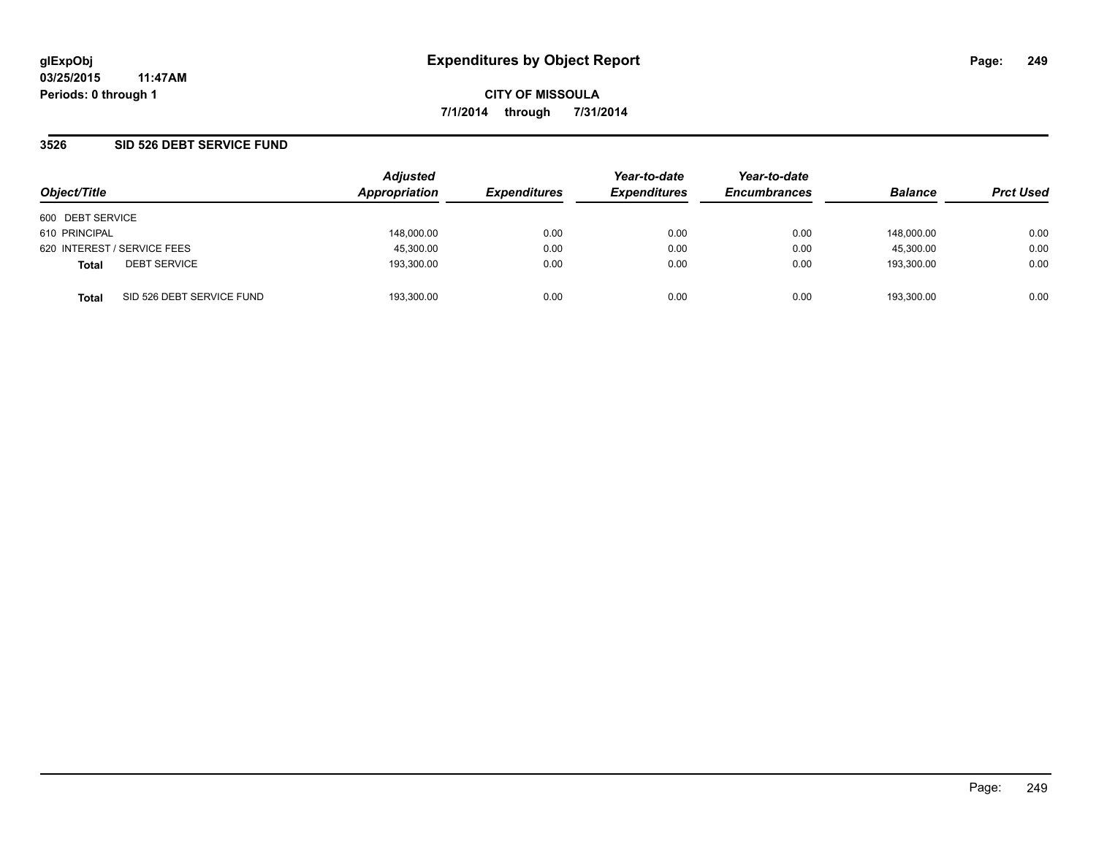### **3526 SID 526 DEBT SERVICE FUND**

| Object/Title                |                           | <b>Adjusted</b><br>Appropriation | <b>Expenditures</b> | Year-to-date<br><b>Expenditures</b> | Year-to-date<br><b>Encumbrances</b> | <b>Balance</b> | <b>Prct Used</b> |
|-----------------------------|---------------------------|----------------------------------|---------------------|-------------------------------------|-------------------------------------|----------------|------------------|
| 600 DEBT SERVICE            |                           |                                  |                     |                                     |                                     |                |                  |
| 610 PRINCIPAL               |                           | 148,000.00                       | 0.00                | 0.00                                | 0.00                                | 148.000.00     | 0.00             |
| 620 INTEREST / SERVICE FEES |                           | 45,300.00                        | 0.00                | 0.00                                | 0.00                                | 45,300.00      | 0.00             |
| <b>Total</b>                | <b>DEBT SERVICE</b>       | 193,300.00                       | 0.00                | 0.00                                | 0.00                                | 193,300.00     | 0.00             |
| <b>Total</b>                | SID 526 DEBT SERVICE FUND | 193.300.00                       | 0.00                | 0.00                                | 0.00                                | 193.300.00     | 0.00             |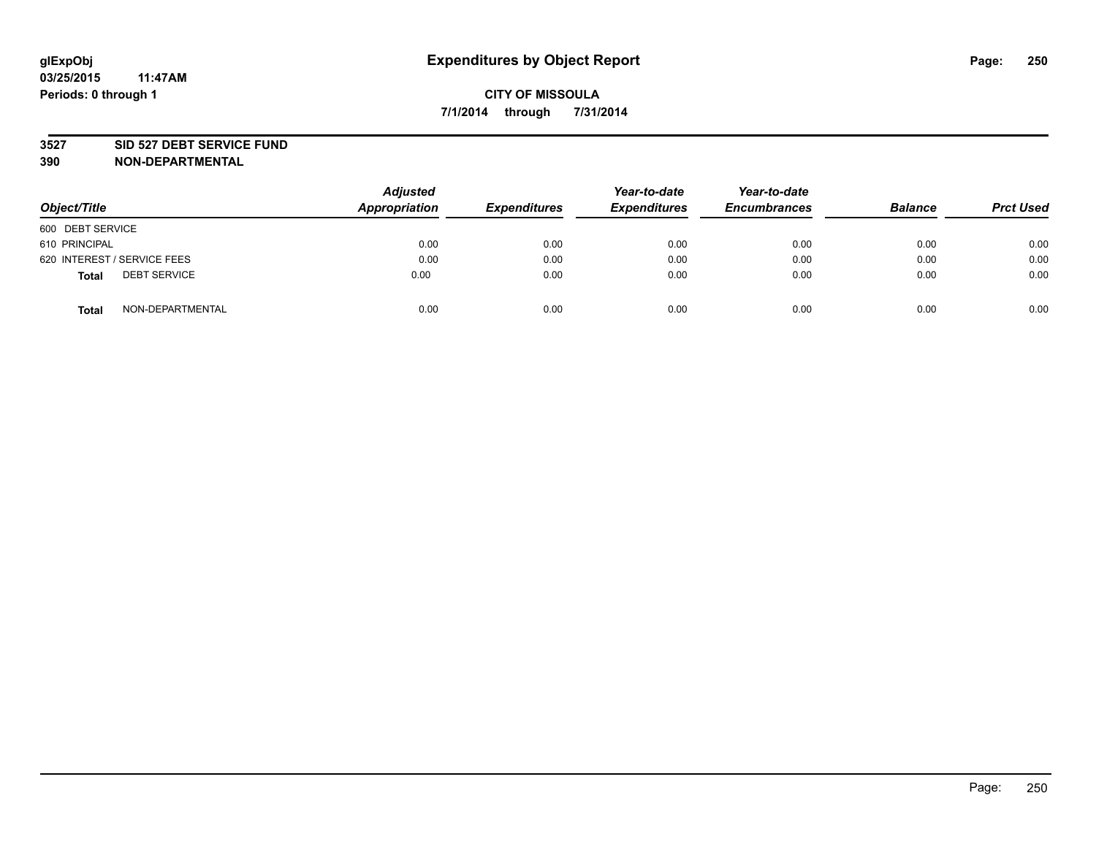#### **3527 SID 527 DEBT SERVICE FUND**

| Object/Title                        | <b>Adjusted</b><br>Appropriation | <b>Expenditures</b> | Year-to-date<br><b>Expenditures</b> | Year-to-date<br><b>Encumbrances</b> | <b>Balance</b> | <b>Prct Used</b> |
|-------------------------------------|----------------------------------|---------------------|-------------------------------------|-------------------------------------|----------------|------------------|
| 600 DEBT SERVICE                    |                                  |                     |                                     |                                     |                |                  |
| 610 PRINCIPAL                       | 0.00                             | 0.00                | 0.00                                | 0.00                                | 0.00           | 0.00             |
| 620 INTEREST / SERVICE FEES         | 0.00                             | 0.00                | 0.00                                | 0.00                                | 0.00           | 0.00             |
| <b>DEBT SERVICE</b><br><b>Total</b> | 0.00                             | 0.00                | 0.00                                | 0.00                                | 0.00           | 0.00             |
| NON-DEPARTMENTAL<br><b>Total</b>    | 0.00                             | 0.00                | 0.00                                | 0.00                                | 0.00           | 0.00             |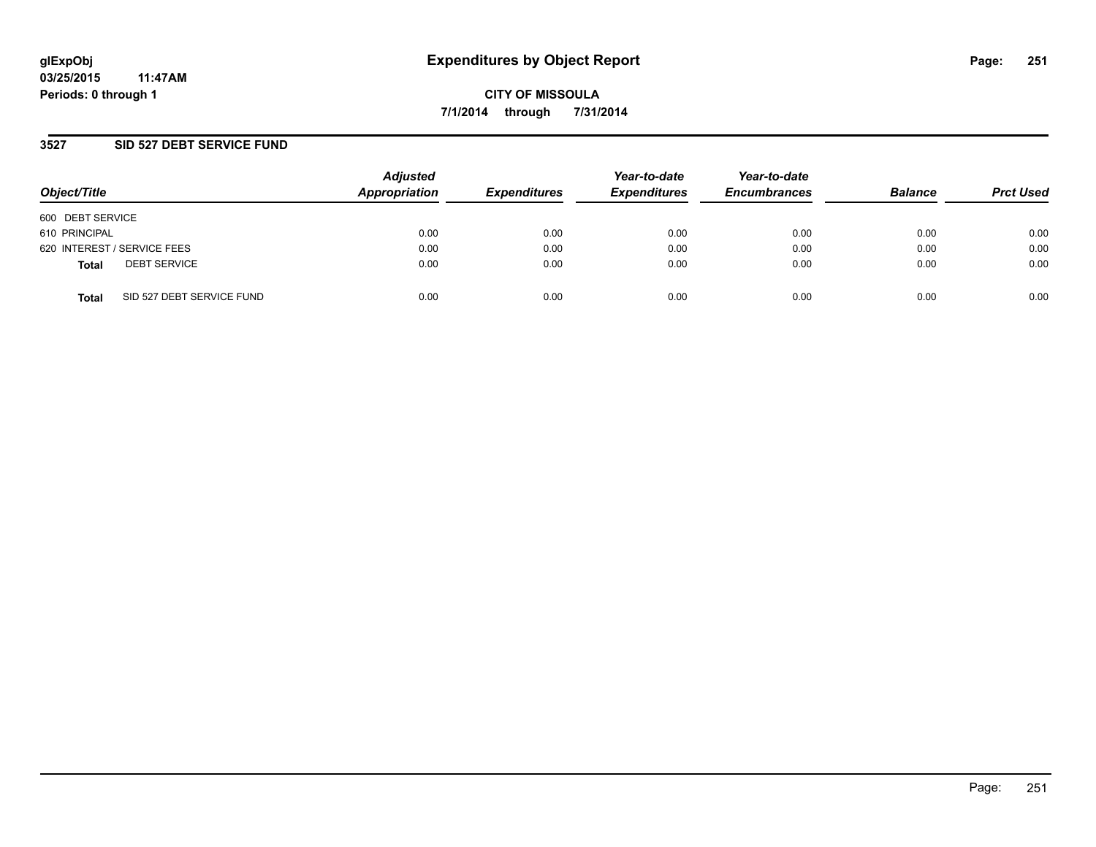## **3527 SID 527 DEBT SERVICE FUND**

| Object/Title                              | <b>Adjusted</b><br>Appropriation | <b>Expenditures</b> | Year-to-date<br><b>Expenditures</b> | Year-to-date<br><b>Encumbrances</b> | <b>Balance</b> | <b>Prct Used</b> |
|-------------------------------------------|----------------------------------|---------------------|-------------------------------------|-------------------------------------|----------------|------------------|
| 600 DEBT SERVICE                          |                                  |                     |                                     |                                     |                |                  |
| 610 PRINCIPAL                             | 0.00                             | 0.00                | 0.00                                | 0.00                                | 0.00           | 0.00             |
| 620 INTEREST / SERVICE FEES               | 0.00                             | 0.00                | 0.00                                | 0.00                                | 0.00           | 0.00             |
| <b>DEBT SERVICE</b><br><b>Total</b>       | 0.00                             | 0.00                | 0.00                                | 0.00                                | 0.00           | 0.00             |
| SID 527 DEBT SERVICE FUND<br><b>Total</b> | 0.00                             | 0.00                | 0.00                                | 0.00                                | 0.00           | 0.00             |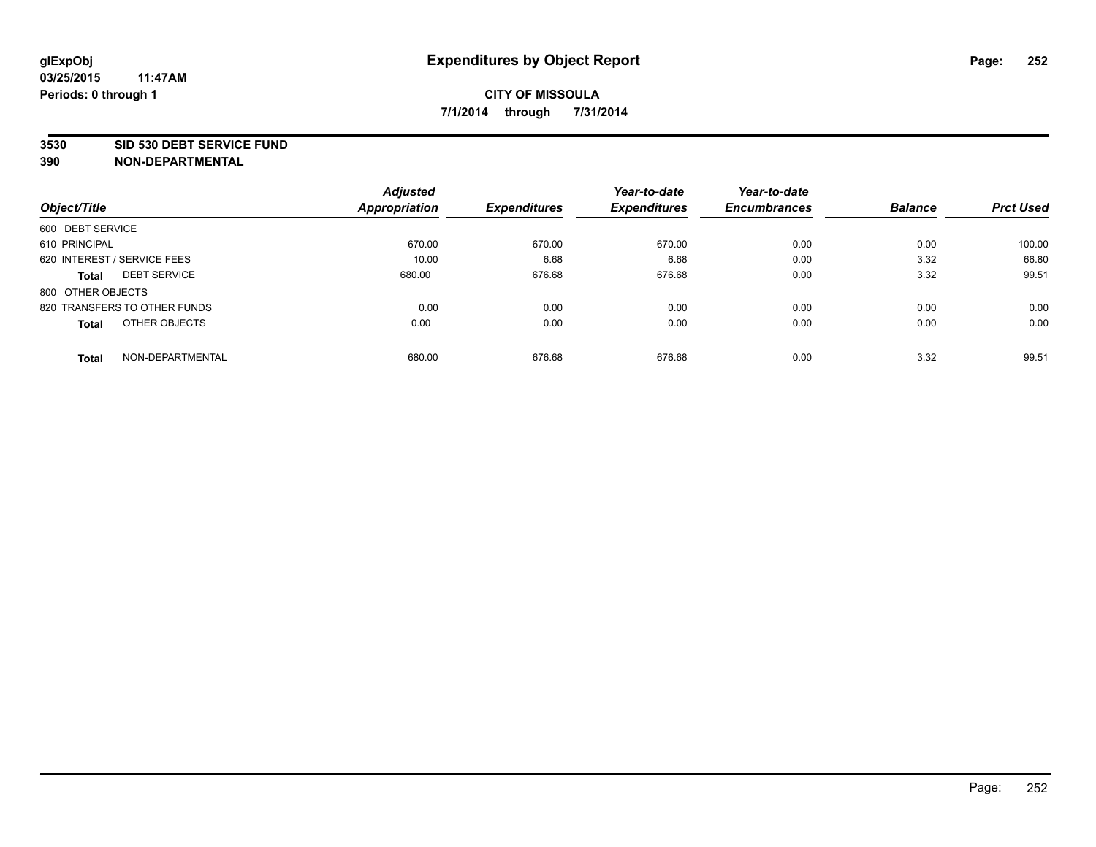#### **3530 SID 530 DEBT SERVICE FUND**

|                                     | <b>Adjusted</b>      |                     | Year-to-date        | Year-to-date        |                |                  |
|-------------------------------------|----------------------|---------------------|---------------------|---------------------|----------------|------------------|
| Object/Title                        | <b>Appropriation</b> | <b>Expenditures</b> | <b>Expenditures</b> | <b>Encumbrances</b> | <b>Balance</b> | <b>Prct Used</b> |
| 600 DEBT SERVICE                    |                      |                     |                     |                     |                |                  |
| 610 PRINCIPAL                       | 670.00               | 670.00              | 670.00              | 0.00                | 0.00           | 100.00           |
| 620 INTEREST / SERVICE FEES         | 10.00                | 6.68                | 6.68                | 0.00                | 3.32           | 66.80            |
| <b>DEBT SERVICE</b><br><b>Total</b> | 680.00               | 676.68              | 676.68              | 0.00                | 3.32           | 99.51            |
| 800 OTHER OBJECTS                   |                      |                     |                     |                     |                |                  |
| 820 TRANSFERS TO OTHER FUNDS        | 0.00                 | 0.00                | 0.00                | 0.00                | 0.00           | 0.00             |
| OTHER OBJECTS<br><b>Total</b>       | 0.00                 | 0.00                | 0.00                | 0.00                | 0.00           | 0.00             |
| NON-DEPARTMENTAL<br><b>Total</b>    | 680.00               | 676.68              | 676.68              | 0.00                | 3.32           | 99.51            |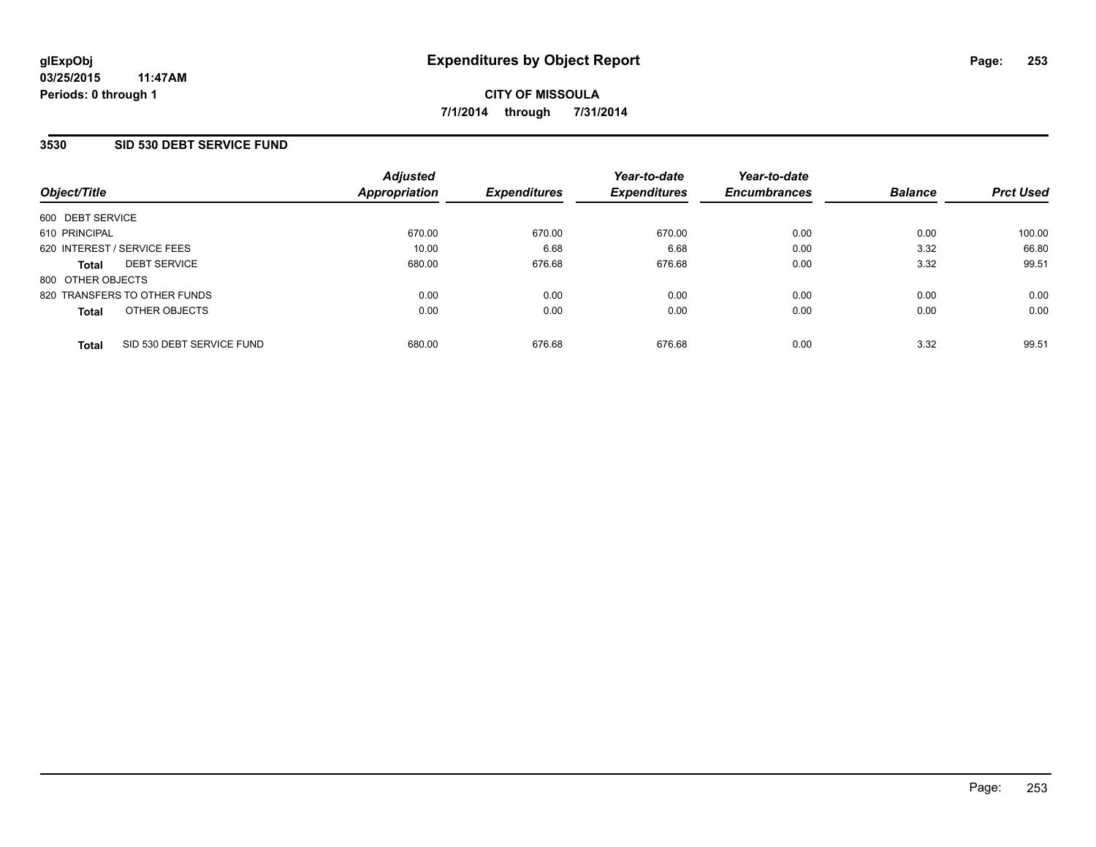## **3530 SID 530 DEBT SERVICE FUND**

| Object/Title      |                              | <b>Adjusted</b><br>Appropriation | <b>Expenditures</b> | Year-to-date<br><b>Expenditures</b> | Year-to-date<br><b>Encumbrances</b> | <b>Balance</b> | <b>Prct Used</b> |
|-------------------|------------------------------|----------------------------------|---------------------|-------------------------------------|-------------------------------------|----------------|------------------|
| 600 DEBT SERVICE  |                              |                                  |                     |                                     |                                     |                |                  |
| 610 PRINCIPAL     |                              | 670.00                           | 670.00              | 670.00                              | 0.00                                | 0.00           | 100.00           |
|                   | 620 INTEREST / SERVICE FEES  | 10.00                            | 6.68                | 6.68                                | 0.00                                | 3.32           | 66.80            |
| <b>Total</b>      | <b>DEBT SERVICE</b>          | 680.00                           | 676.68              | 676.68                              | 0.00                                | 3.32           | 99.51            |
| 800 OTHER OBJECTS |                              |                                  |                     |                                     |                                     |                |                  |
|                   | 820 TRANSFERS TO OTHER FUNDS | 0.00                             | 0.00                | 0.00                                | 0.00                                | 0.00           | 0.00             |
| <b>Total</b>      | OTHER OBJECTS                | 0.00                             | 0.00                | 0.00                                | 0.00                                | 0.00           | 0.00             |
| <b>Total</b>      | SID 530 DEBT SERVICE FUND    | 680.00                           | 676.68              | 676.68                              | 0.00                                | 3.32           | 99.51            |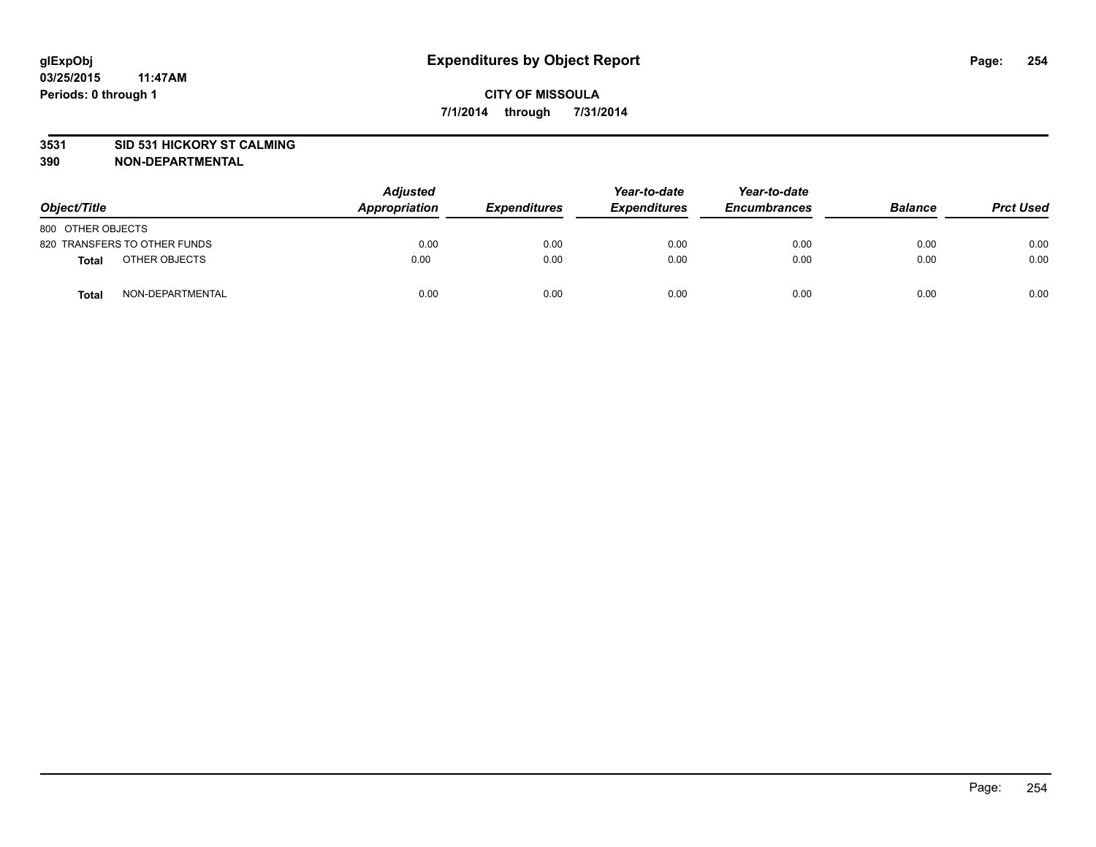### **3531 SID 531 HICKORY ST CALMING**

| Object/Title                     | <b>Adjusted</b><br>Appropriation | <b>Expenditures</b> | Year-to-date<br><b>Expenditures</b> | Year-to-date<br><b>Encumbrances</b> | <b>Balance</b> | <b>Prct Used</b> |
|----------------------------------|----------------------------------|---------------------|-------------------------------------|-------------------------------------|----------------|------------------|
| 800 OTHER OBJECTS                |                                  |                     |                                     |                                     |                |                  |
| 820 TRANSFERS TO OTHER FUNDS     | 0.00                             | 0.00                | 0.00                                | 0.00                                | 0.00           | 0.00             |
| OTHER OBJECTS<br><b>Total</b>    | 0.00                             | 0.00                | 0.00                                | 0.00                                | 0.00           | 0.00             |
| NON-DEPARTMENTAL<br><b>Total</b> | 0.00                             | 0.00                | 0.00                                | 0.00                                | 0.00           | 0.00             |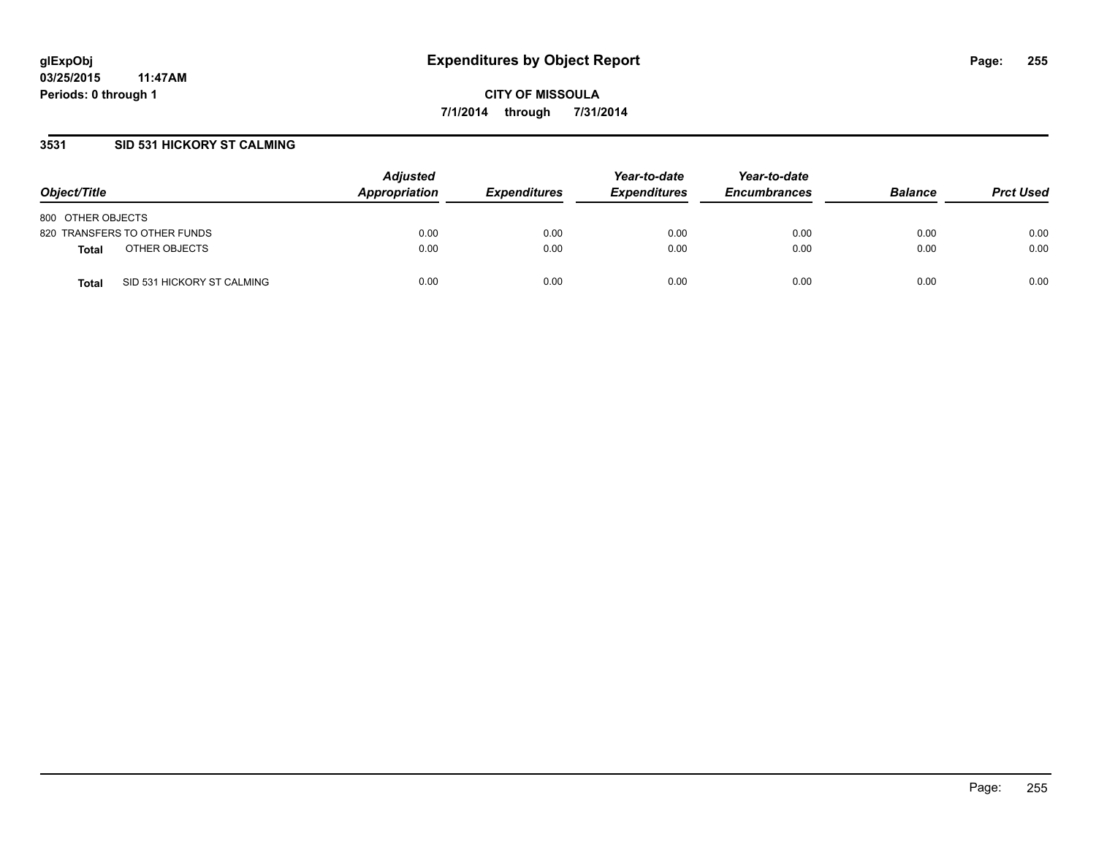## **3531 SID 531 HICKORY ST CALMING**

| Object/Title                               | <b>Adjusted</b><br>Appropriation | <b>Expenditures</b> | Year-to-date<br><b>Expenditures</b> | Year-to-date<br><b>Encumbrances</b> | <b>Balance</b> | <b>Prct Used</b> |
|--------------------------------------------|----------------------------------|---------------------|-------------------------------------|-------------------------------------|----------------|------------------|
| 800 OTHER OBJECTS                          |                                  |                     |                                     |                                     |                |                  |
| 820 TRANSFERS TO OTHER FUNDS               | 0.00                             | 0.00                | 0.00                                | 0.00                                | 0.00           | 0.00             |
| OTHER OBJECTS<br>Total                     | 0.00                             | 0.00                | 0.00                                | 0.00                                | 0.00           | 0.00             |
| SID 531 HICKORY ST CALMING<br><b>Total</b> | 0.00                             | 0.00                | 0.00                                | 0.00                                | 0.00           | 0.00             |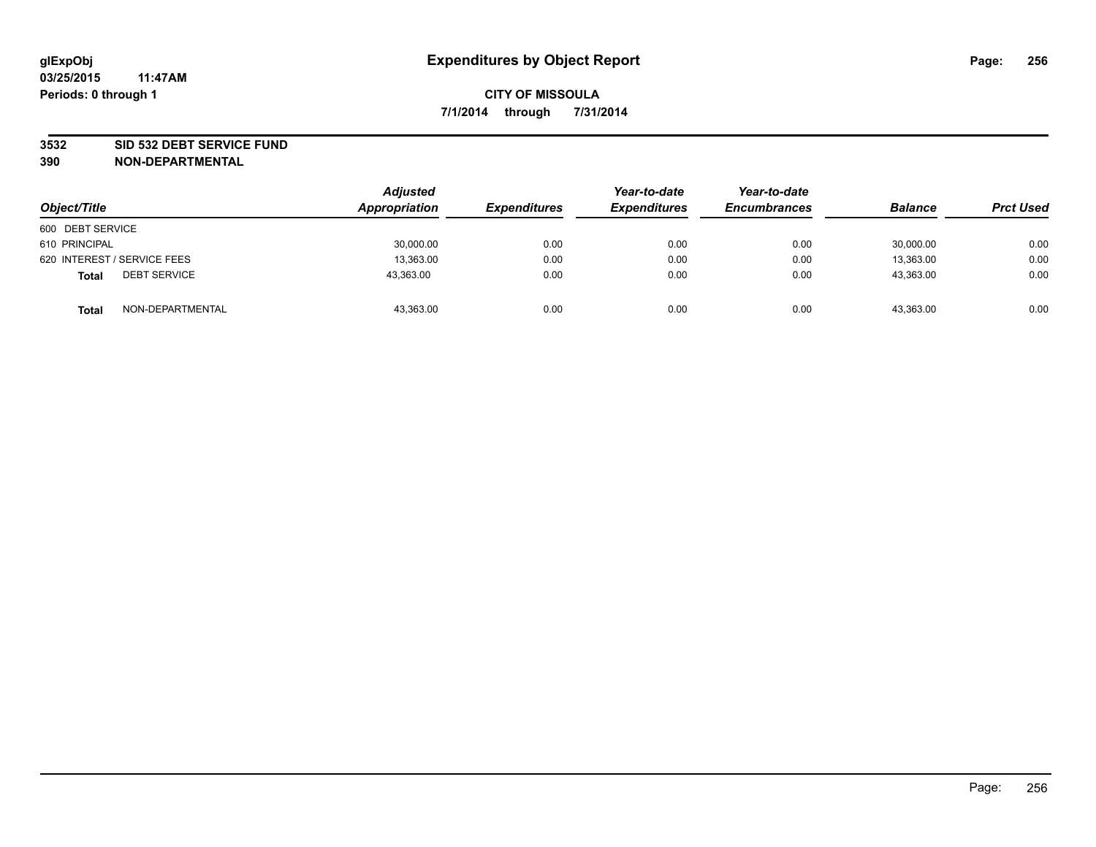### **3532 SID 532 DEBT SERVICE FUND**

| Object/Title                        | <b>Adjusted</b><br>Appropriation | <b>Expenditures</b> | Year-to-date<br><b>Expenditures</b> | Year-to-date<br><b>Encumbrances</b> | <b>Balance</b> | <b>Prct Used</b> |
|-------------------------------------|----------------------------------|---------------------|-------------------------------------|-------------------------------------|----------------|------------------|
| 600 DEBT SERVICE                    |                                  |                     |                                     |                                     |                |                  |
| 610 PRINCIPAL                       | 30,000.00                        | 0.00                | 0.00                                | 0.00                                | 30,000.00      | 0.00             |
| 620 INTEREST / SERVICE FEES         | 13,363.00                        | 0.00                | 0.00                                | 0.00                                | 13,363.00      | 0.00             |
| <b>DEBT SERVICE</b><br><b>Total</b> | 43,363.00                        | 0.00                | 0.00                                | 0.00                                | 43,363.00      | 0.00             |
| NON-DEPARTMENTAL<br><b>Total</b>    | 43,363.00                        | 0.00                | 0.00                                | 0.00                                | 43,363.00      | 0.00             |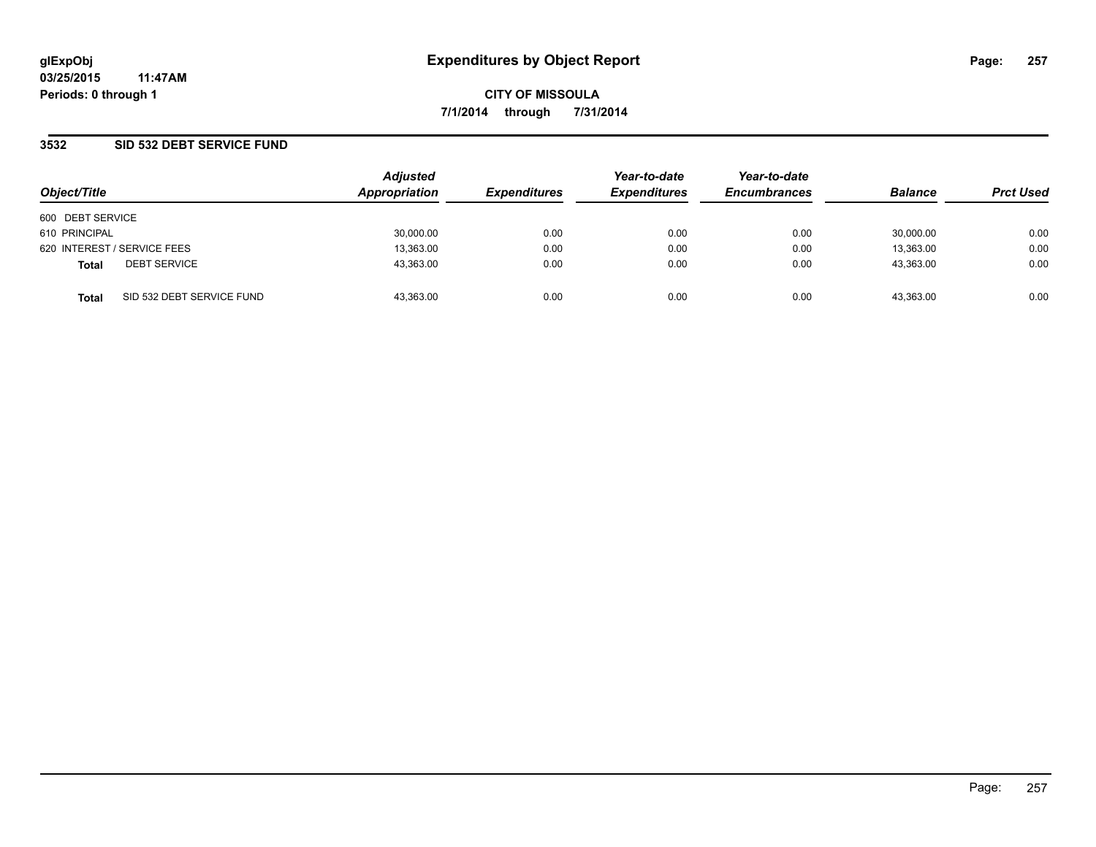## **3532 SID 532 DEBT SERVICE FUND**

| Object/Title     |                             | <b>Adjusted</b><br>Appropriation | <b>Expenditures</b> | Year-to-date<br><b>Expenditures</b> | Year-to-date<br><b>Encumbrances</b> | <b>Balance</b> | <b>Prct Used</b> |
|------------------|-----------------------------|----------------------------------|---------------------|-------------------------------------|-------------------------------------|----------------|------------------|
| 600 DEBT SERVICE |                             |                                  |                     |                                     |                                     |                |                  |
| 610 PRINCIPAL    |                             | 30,000.00                        | 0.00                | 0.00                                | 0.00                                | 30.000.00      | 0.00             |
|                  | 620 INTEREST / SERVICE FEES | 13,363.00                        | 0.00                | 0.00                                | 0.00                                | 13,363.00      | 0.00             |
| <b>Total</b>     | <b>DEBT SERVICE</b>         | 43,363.00                        | 0.00                | 0.00                                | 0.00                                | 43,363.00      | 0.00             |
| Total            | SID 532 DEBT SERVICE FUND   | 43,363.00                        | 0.00                | 0.00                                | 0.00                                | 43,363.00      | 0.00             |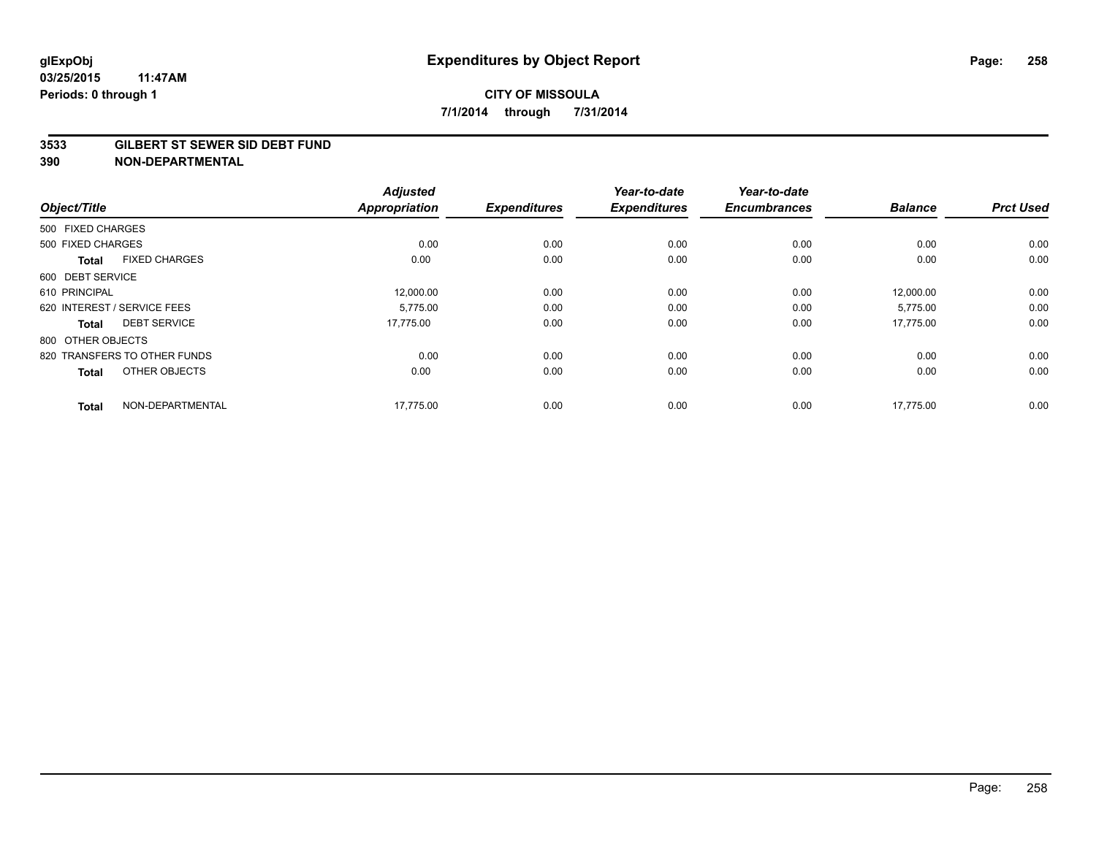#### **3533 GILBERT ST SEWER SID DEBT FUND**

| Object/Title      |                              | <b>Adjusted</b><br><b>Appropriation</b> | <b>Expenditures</b> | Year-to-date<br><b>Expenditures</b> | Year-to-date<br><b>Encumbrances</b> | <b>Balance</b> | <b>Prct Used</b> |
|-------------------|------------------------------|-----------------------------------------|---------------------|-------------------------------------|-------------------------------------|----------------|------------------|
| 500 FIXED CHARGES |                              |                                         |                     |                                     |                                     |                |                  |
| 500 FIXED CHARGES |                              | 0.00                                    | 0.00                | 0.00                                | 0.00                                | 0.00           | 0.00             |
| <b>Total</b>      | <b>FIXED CHARGES</b>         | 0.00                                    | 0.00                | 0.00                                | 0.00                                | 0.00           | 0.00             |
| 600 DEBT SERVICE  |                              |                                         |                     |                                     |                                     |                |                  |
| 610 PRINCIPAL     |                              | 12,000.00                               | 0.00                | 0.00                                | 0.00                                | 12,000.00      | 0.00             |
|                   | 620 INTEREST / SERVICE FEES  | 5.775.00                                | 0.00                | 0.00                                | 0.00                                | 5,775.00       | 0.00             |
| <b>Total</b>      | <b>DEBT SERVICE</b>          | 17,775.00                               | 0.00                | 0.00                                | 0.00                                | 17,775.00      | 0.00             |
| 800 OTHER OBJECTS |                              |                                         |                     |                                     |                                     |                |                  |
|                   | 820 TRANSFERS TO OTHER FUNDS | 0.00                                    | 0.00                | 0.00                                | 0.00                                | 0.00           | 0.00             |
| <b>Total</b>      | OTHER OBJECTS                | 0.00                                    | 0.00                | 0.00                                | 0.00                                | 0.00           | 0.00             |
| <b>Total</b>      | NON-DEPARTMENTAL             | 17,775.00                               | 0.00                | 0.00                                | 0.00                                | 17,775.00      | 0.00             |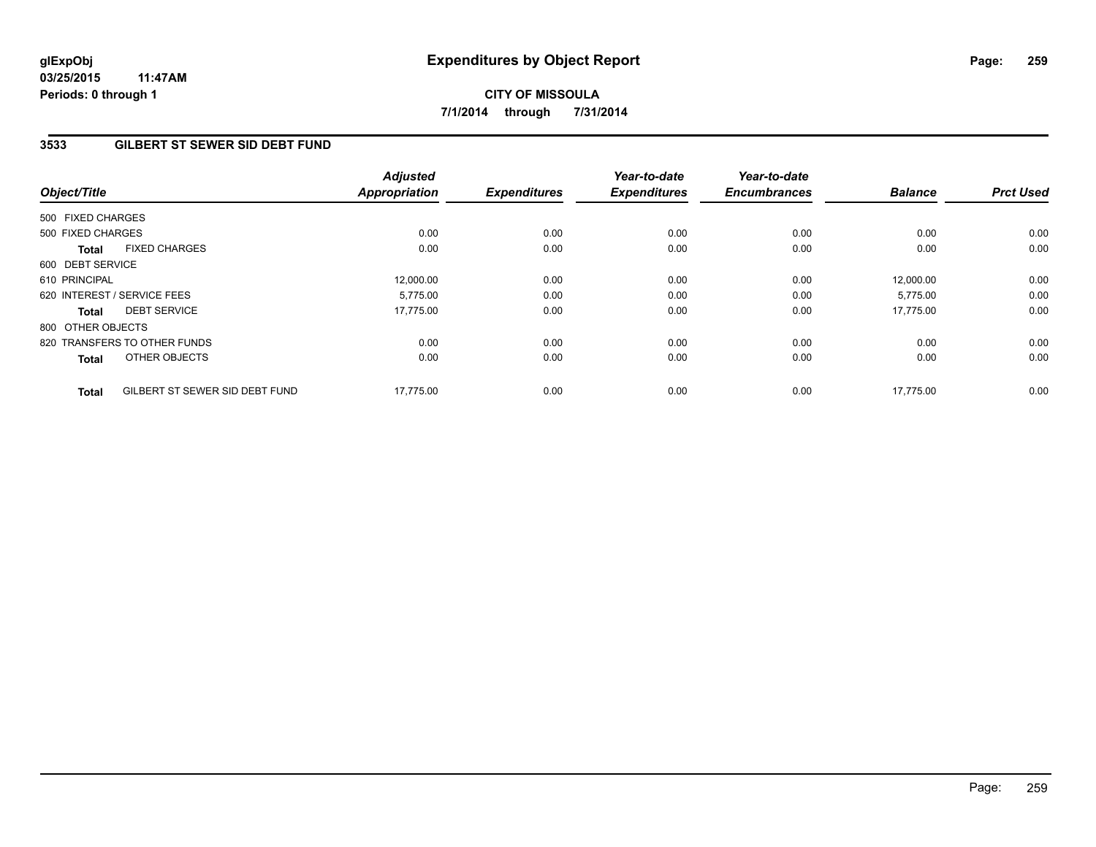**03/25/2015 11:47AM Periods: 0 through 1**

# **CITY OF MISSOULA 7/1/2014 through 7/31/2014**

## **3533 GILBERT ST SEWER SID DEBT FUND**

| Object/Title                                   | <b>Adjusted</b><br>Appropriation | <b>Expenditures</b> | Year-to-date<br><b>Expenditures</b> | Year-to-date<br><b>Encumbrances</b> | <b>Balance</b> | <b>Prct Used</b> |
|------------------------------------------------|----------------------------------|---------------------|-------------------------------------|-------------------------------------|----------------|------------------|
| 500 FIXED CHARGES                              |                                  |                     |                                     |                                     |                |                  |
| 500 FIXED CHARGES                              | 0.00                             | 0.00                | 0.00                                | 0.00                                | 0.00           | 0.00             |
| <b>FIXED CHARGES</b><br><b>Total</b>           | 0.00                             | 0.00                | 0.00                                | 0.00                                | 0.00           | 0.00             |
| 600 DEBT SERVICE                               |                                  |                     |                                     |                                     |                |                  |
| 610 PRINCIPAL                                  | 12,000.00                        | 0.00                | 0.00                                | 0.00                                | 12.000.00      | 0.00             |
| 620 INTEREST / SERVICE FEES                    | 5.775.00                         | 0.00                | 0.00                                | 0.00                                | 5,775.00       | 0.00             |
| <b>DEBT SERVICE</b><br><b>Total</b>            | 17.775.00                        | 0.00                | 0.00                                | 0.00                                | 17.775.00      | 0.00             |
| 800 OTHER OBJECTS                              |                                  |                     |                                     |                                     |                |                  |
| 820 TRANSFERS TO OTHER FUNDS                   | 0.00                             | 0.00                | 0.00                                | 0.00                                | 0.00           | 0.00             |
| OTHER OBJECTS<br><b>Total</b>                  | 0.00                             | 0.00                | 0.00                                | 0.00                                | 0.00           | 0.00             |
| GILBERT ST SEWER SID DEBT FUND<br><b>Total</b> | 17,775.00                        | 0.00                | 0.00                                | 0.00                                | 17,775.00      | 0.00             |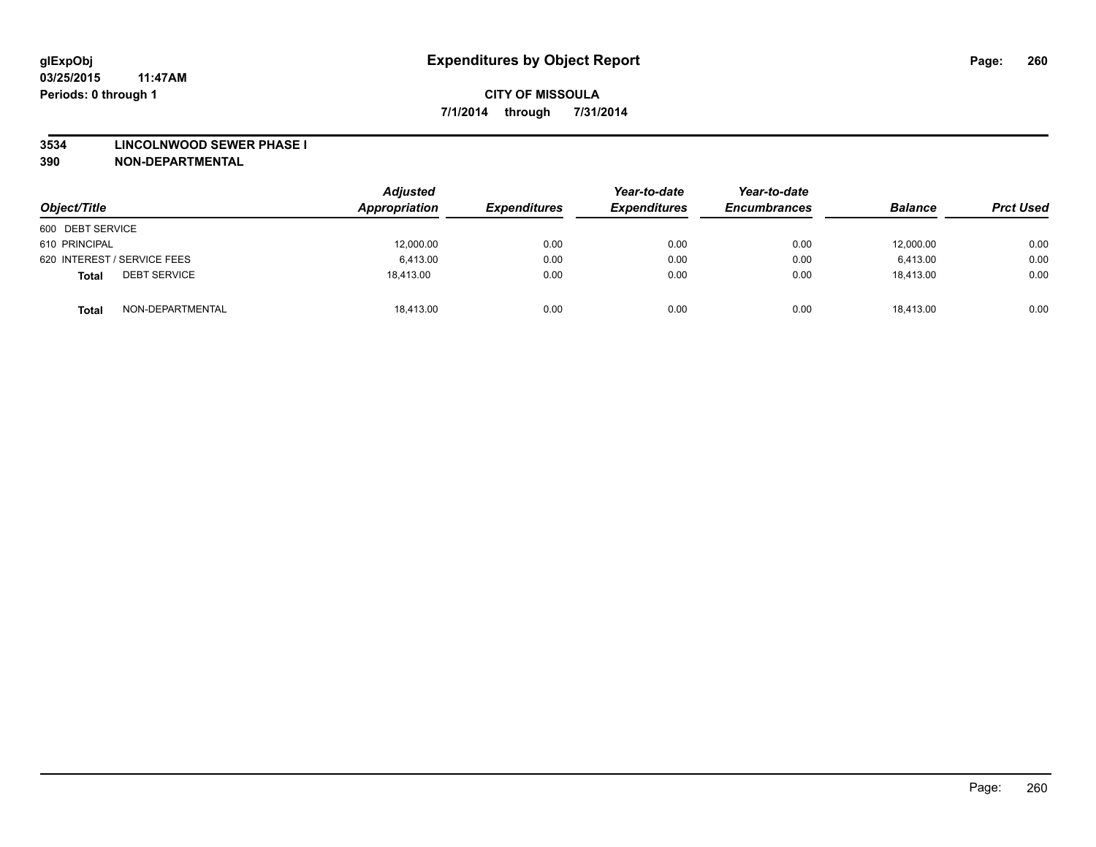### **3534 LINCOLNWOOD SEWER PHASE I**

| Object/Title                        | <b>Adjusted</b><br>Appropriation | <b>Expenditures</b> | Year-to-date<br><b>Expenditures</b> | Year-to-date<br><b>Encumbrances</b> | <b>Balance</b> | <b>Prct Used</b> |
|-------------------------------------|----------------------------------|---------------------|-------------------------------------|-------------------------------------|----------------|------------------|
| 600 DEBT SERVICE                    |                                  |                     |                                     |                                     |                |                  |
| 610 PRINCIPAL                       | 12,000.00                        | 0.00                | 0.00                                | 0.00                                | 12,000.00      | 0.00             |
| 620 INTEREST / SERVICE FEES         | 6,413.00                         | 0.00                | 0.00                                | 0.00                                | 6,413.00       | 0.00             |
| <b>DEBT SERVICE</b><br><b>Total</b> | 18,413.00                        | 0.00                | 0.00                                | 0.00                                | 18,413.00      | 0.00             |
| NON-DEPARTMENTAL<br><b>Total</b>    | 18,413.00                        | 0.00                | 0.00                                | 0.00                                | 18,413.00      | 0.00             |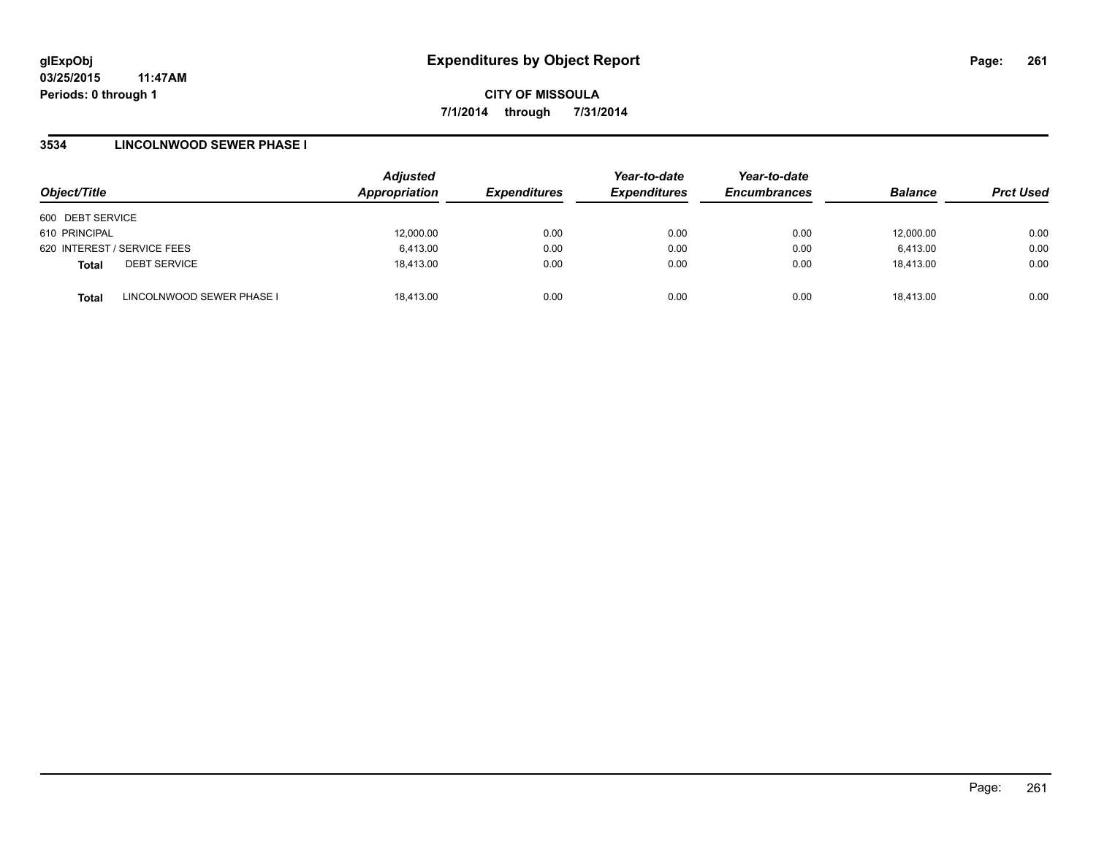**03/25/2015 11:47AM Periods: 0 through 1**

**CITY OF MISSOULA 7/1/2014 through 7/31/2014**

### **3534 LINCOLNWOOD SEWER PHASE I**

| Object/Title                              | <b>Adjusted</b><br>Appropriation | <b>Expenditures</b> | Year-to-date<br><b>Expenditures</b> | Year-to-date<br><b>Encumbrances</b> | <b>Balance</b> | <b>Prct Used</b> |
|-------------------------------------------|----------------------------------|---------------------|-------------------------------------|-------------------------------------|----------------|------------------|
| 600 DEBT SERVICE                          |                                  |                     |                                     |                                     |                |                  |
| 610 PRINCIPAL                             | 12,000.00                        | 0.00                | 0.00                                | 0.00                                | 12,000.00      | 0.00             |
| 620 INTEREST / SERVICE FEES               | 6,413.00                         | 0.00                | 0.00                                | 0.00                                | 6,413.00       | 0.00             |
| <b>DEBT SERVICE</b><br><b>Total</b>       | 18.413.00                        | 0.00                | 0.00                                | 0.00                                | 18.413.00      | 0.00             |
| LINCOLNWOOD SEWER PHASE I<br><b>Total</b> | 18.413.00                        | 0.00                | 0.00                                | 0.00                                | 18.413.00      | 0.00             |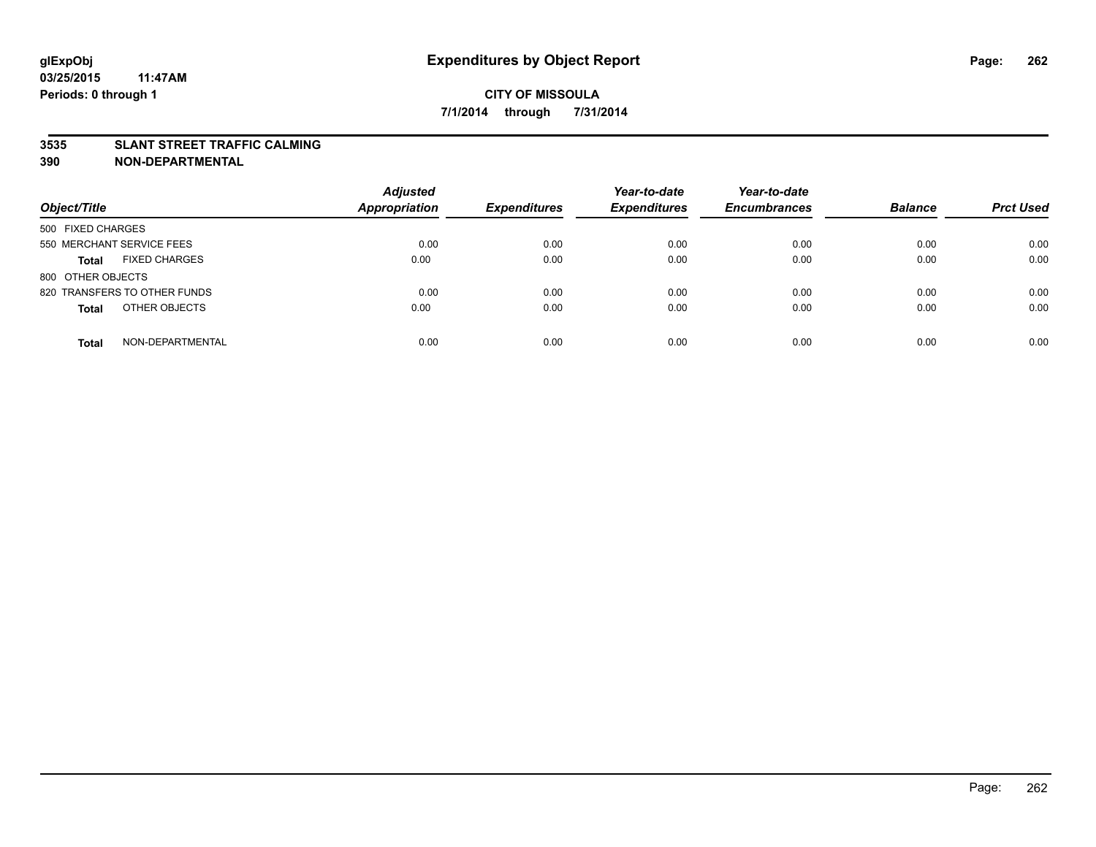### **3535 SLANT STREET TRAFFIC CALMING**

| Object/Title                         | <b>Adjusted</b><br>Appropriation | <b>Expenditures</b> | Year-to-date<br><b>Expenditures</b> | Year-to-date<br><b>Encumbrances</b> | <b>Balance</b> | <b>Prct Used</b> |
|--------------------------------------|----------------------------------|---------------------|-------------------------------------|-------------------------------------|----------------|------------------|
| 500 FIXED CHARGES                    |                                  |                     |                                     |                                     |                |                  |
| 550 MERCHANT SERVICE FEES            | 0.00                             | 0.00                | 0.00                                | 0.00                                | 0.00           | 0.00             |
| <b>FIXED CHARGES</b><br><b>Total</b> | 0.00                             | 0.00                | 0.00                                | 0.00                                | 0.00           | 0.00             |
| 800 OTHER OBJECTS                    |                                  |                     |                                     |                                     |                |                  |
| 820 TRANSFERS TO OTHER FUNDS         | 0.00                             | 0.00                | 0.00                                | 0.00                                | 0.00           | 0.00             |
| OTHER OBJECTS<br><b>Total</b>        | 0.00                             | 0.00                | 0.00                                | 0.00                                | 0.00           | 0.00             |
| NON-DEPARTMENTAL<br><b>Total</b>     | 0.00                             | 0.00                | 0.00                                | 0.00                                | 0.00           | 0.00             |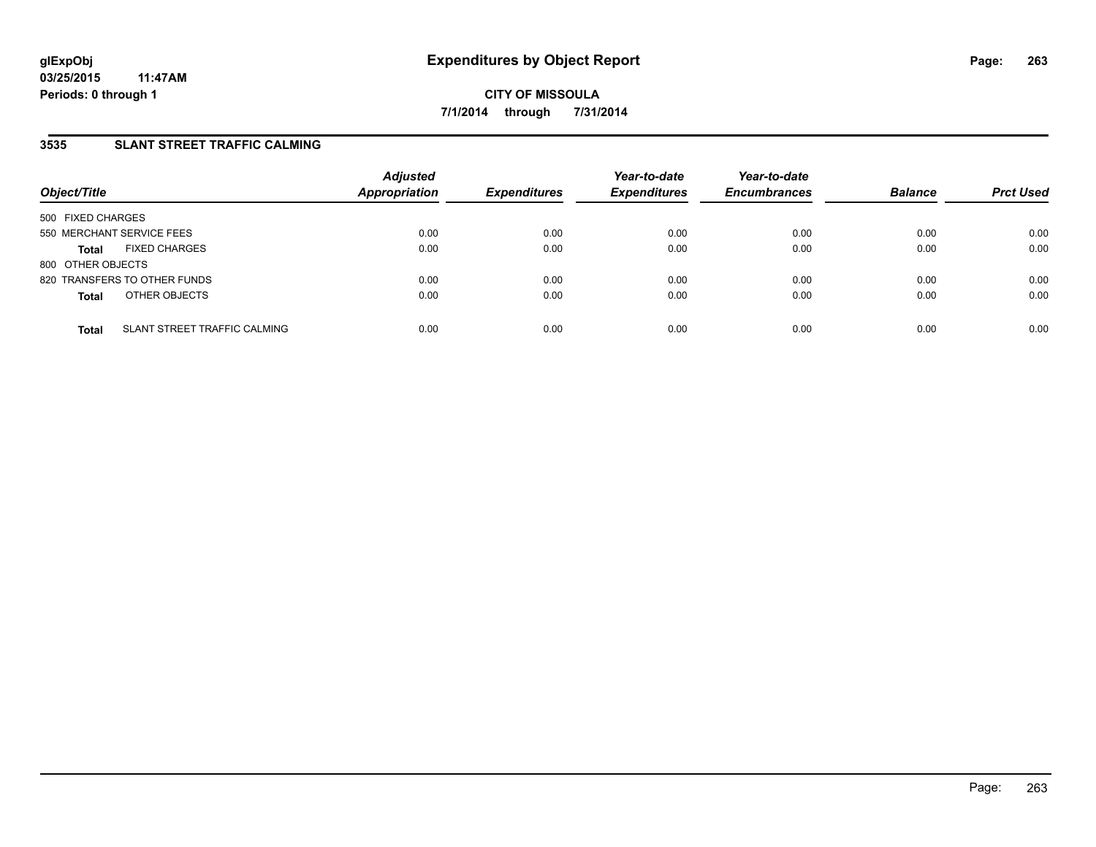## **3535 SLANT STREET TRAFFIC CALMING**

| Object/Title              |                              | <b>Adjusted</b><br>Appropriation | <b>Expenditures</b> | Year-to-date<br><b>Expenditures</b> | Year-to-date<br><b>Encumbrances</b> | <b>Balance</b> | <b>Prct Used</b> |
|---------------------------|------------------------------|----------------------------------|---------------------|-------------------------------------|-------------------------------------|----------------|------------------|
| 500 FIXED CHARGES         |                              |                                  |                     |                                     |                                     |                |                  |
| 550 MERCHANT SERVICE FEES |                              | 0.00                             | 0.00                | 0.00                                | 0.00                                | 0.00           | 0.00             |
| <b>Total</b>              | <b>FIXED CHARGES</b>         | 0.00                             | 0.00                | 0.00                                | 0.00                                | 0.00           | 0.00             |
| 800 OTHER OBJECTS         |                              |                                  |                     |                                     |                                     |                |                  |
|                           | 820 TRANSFERS TO OTHER FUNDS | 0.00                             | 0.00                | 0.00                                | 0.00                                | 0.00           | 0.00             |
| <b>Total</b>              | OTHER OBJECTS                | 0.00                             | 0.00                | 0.00                                | 0.00                                | 0.00           | 0.00             |
| <b>Total</b>              | SLANT STREET TRAFFIC CALMING | 0.00                             | 0.00                | 0.00                                | 0.00                                | 0.00           | 0.00             |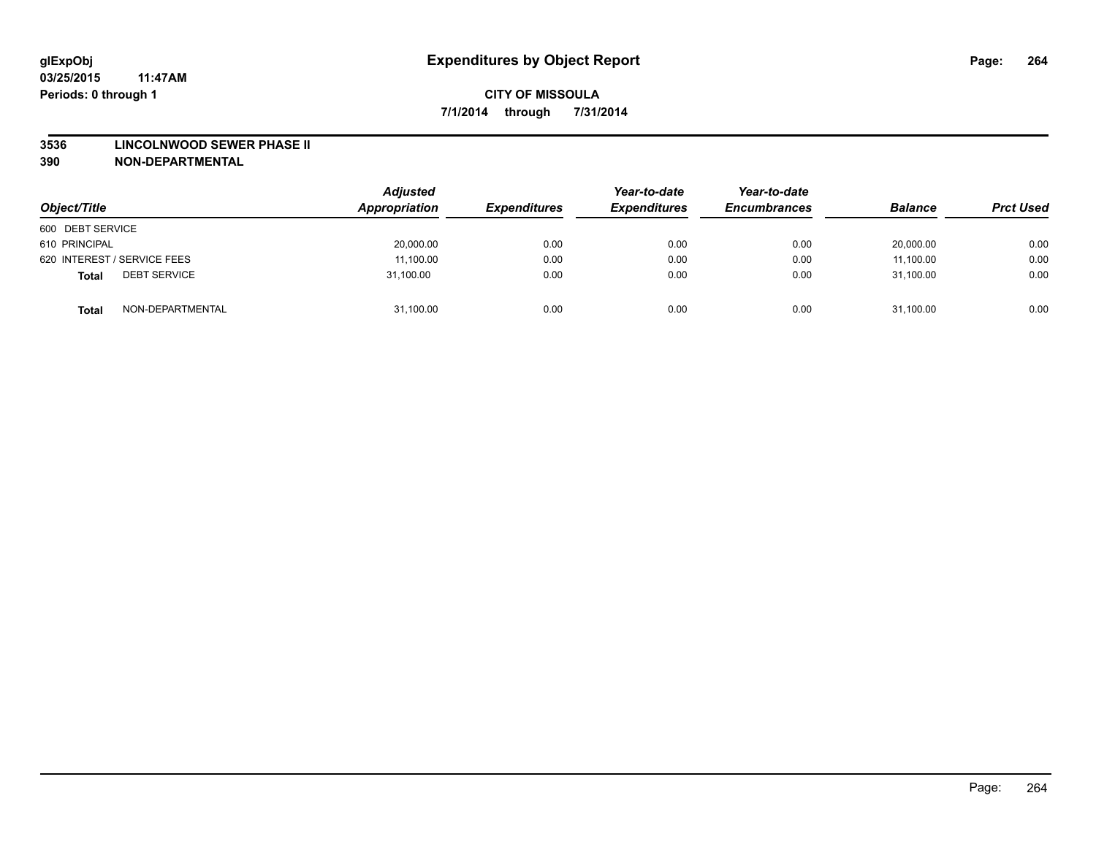#### **3536 LINCOLNWOOD SEWER PHASE II**

| Object/Title                        | <b>Adjusted</b><br>Appropriation | <b>Expenditures</b> | Year-to-date<br><b>Expenditures</b> | Year-to-date<br><b>Encumbrances</b> | <b>Balance</b> | <b>Prct Used</b> |
|-------------------------------------|----------------------------------|---------------------|-------------------------------------|-------------------------------------|----------------|------------------|
| 600 DEBT SERVICE                    |                                  |                     |                                     |                                     |                |                  |
| 610 PRINCIPAL                       | 20,000.00                        | 0.00                | 0.00                                | 0.00                                | 20,000.00      | 0.00             |
| 620 INTEREST / SERVICE FEES         | 11,100.00                        | 0.00                | 0.00                                | 0.00                                | 11,100.00      | 0.00             |
| <b>DEBT SERVICE</b><br><b>Total</b> | 31.100.00                        | 0.00                | 0.00                                | 0.00                                | 31,100.00      | 0.00             |
| NON-DEPARTMENTAL<br><b>Total</b>    | 31,100.00                        | 0.00                | 0.00                                | 0.00                                | 31,100.00      | 0.00             |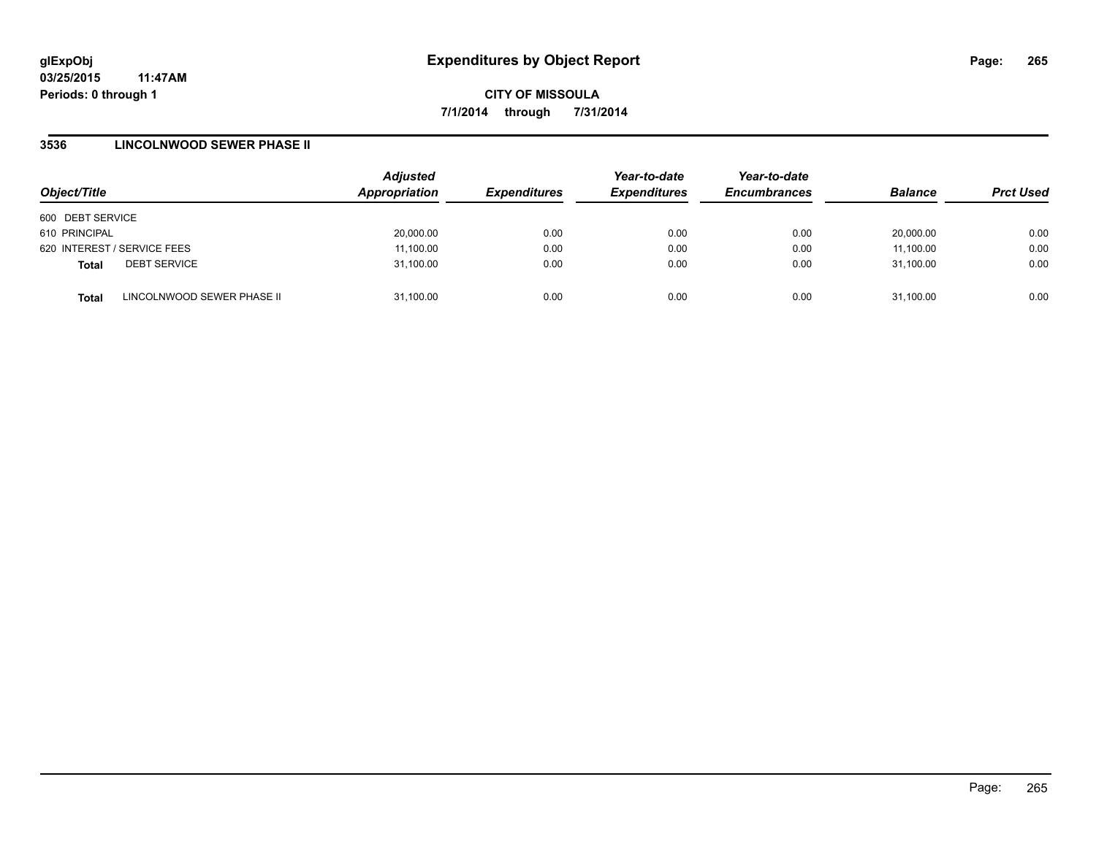**03/25/2015 11:47AM Periods: 0 through 1**

**CITY OF MISSOULA 7/1/2014 through 7/31/2014**

### **3536 LINCOLNWOOD SEWER PHASE II**

| Object/Title                |                            | <b>Adjusted</b><br>Appropriation | <b>Expenditures</b> | Year-to-date<br><b>Expenditures</b> | Year-to-date<br><b>Encumbrances</b> | <b>Balance</b> | <b>Prct Used</b> |
|-----------------------------|----------------------------|----------------------------------|---------------------|-------------------------------------|-------------------------------------|----------------|------------------|
| 600 DEBT SERVICE            |                            |                                  |                     |                                     |                                     |                |                  |
| 610 PRINCIPAL               |                            | 20,000.00                        | 0.00                | 0.00                                | 0.00                                | 20.000.00      | 0.00             |
| 620 INTEREST / SERVICE FEES |                            | 11,100.00                        | 0.00                | 0.00                                | 0.00                                | 11,100.00      | 0.00             |
| <b>Total</b>                | <b>DEBT SERVICE</b>        | 31,100.00                        | 0.00                | 0.00                                | 0.00                                | 31.100.00      | 0.00             |
| <b>Total</b>                | LINCOLNWOOD SEWER PHASE II | 31,100.00                        | 0.00                | 0.00                                | 0.00                                | 31,100.00      | 0.00             |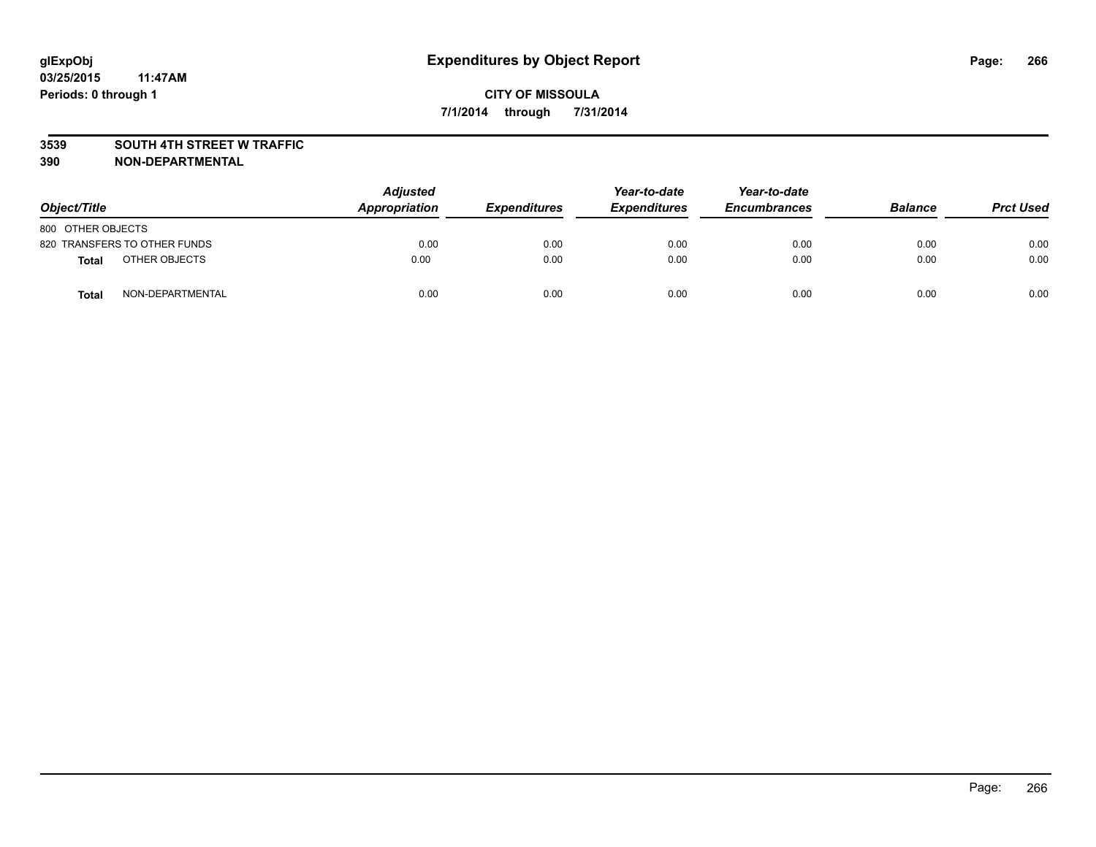### **3539 SOUTH 4TH STREET W TRAFFIC**

| Object/Title      |                              | <b>Adjusted</b><br>Appropriation | <b>Expenditures</b> | Year-to-date<br><b>Expenditures</b> | Year-to-date<br><b>Encumbrances</b> | <b>Balance</b> | <b>Prct Used</b> |
|-------------------|------------------------------|----------------------------------|---------------------|-------------------------------------|-------------------------------------|----------------|------------------|
| 800 OTHER OBJECTS |                              |                                  |                     |                                     |                                     |                |                  |
|                   | 820 TRANSFERS TO OTHER FUNDS | 0.00                             | 0.00                | 0.00                                | 0.00                                | 0.00           | 0.00             |
| <b>Total</b>      | OTHER OBJECTS                | 0.00                             | 0.00                | 0.00                                | 0.00                                | 0.00           | 0.00             |
| <b>Total</b>      | NON-DEPARTMENTAL             | 0.00                             | 0.00                | 0.00                                | 0.00                                | 0.00           | 0.00             |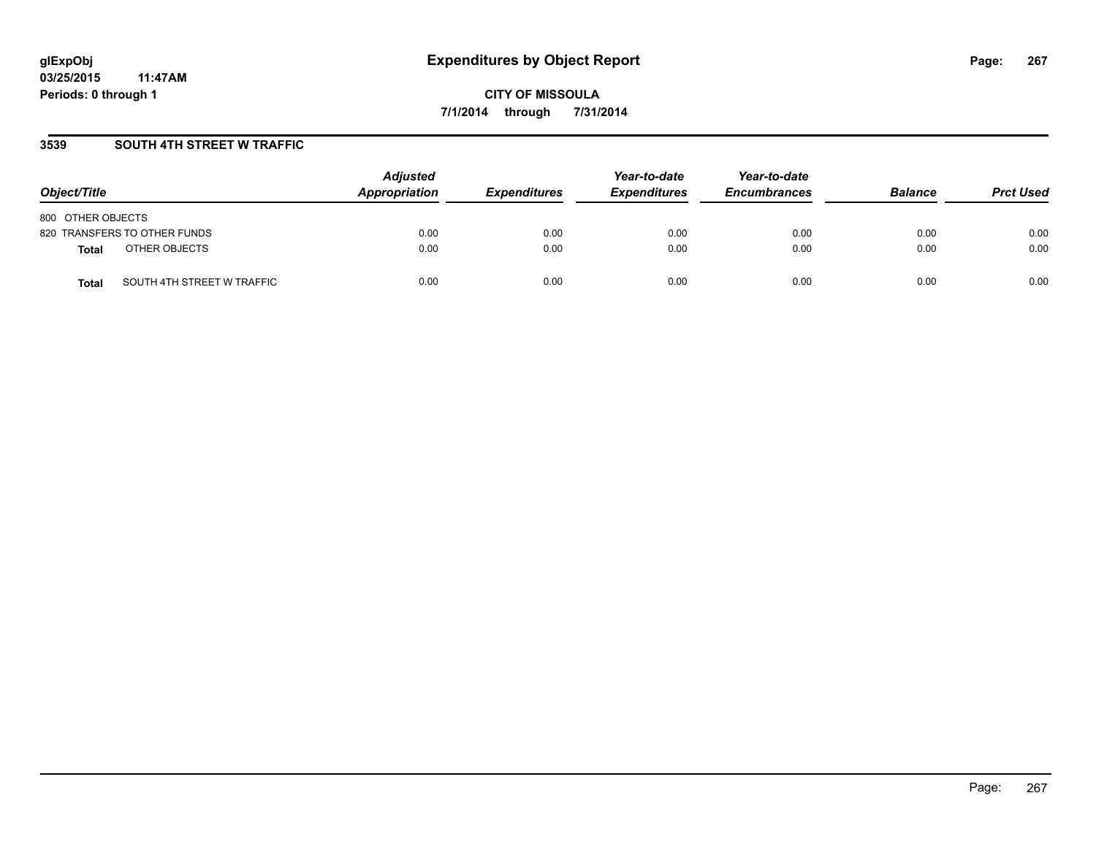## **3539 SOUTH 4TH STREET W TRAFFIC**

| Object/Title                               | <b>Adjusted</b><br>Appropriation | <b>Expenditures</b> | Year-to-date<br><b>Expenditures</b> | Year-to-date<br><b>Encumbrances</b> | <b>Balance</b> | <b>Prct Used</b> |
|--------------------------------------------|----------------------------------|---------------------|-------------------------------------|-------------------------------------|----------------|------------------|
| 800 OTHER OBJECTS                          |                                  |                     |                                     |                                     |                |                  |
| 820 TRANSFERS TO OTHER FUNDS               | 0.00                             | 0.00                | 0.00                                | 0.00                                | 0.00           | 0.00             |
| OTHER OBJECTS<br><b>Total</b>              | 0.00                             | 0.00                | 0.00                                | 0.00                                | 0.00           | 0.00             |
| SOUTH 4TH STREET W TRAFFIC<br><b>Total</b> | 0.00                             | 0.00                | 0.00                                | 0.00                                | 0.00           | 0.00             |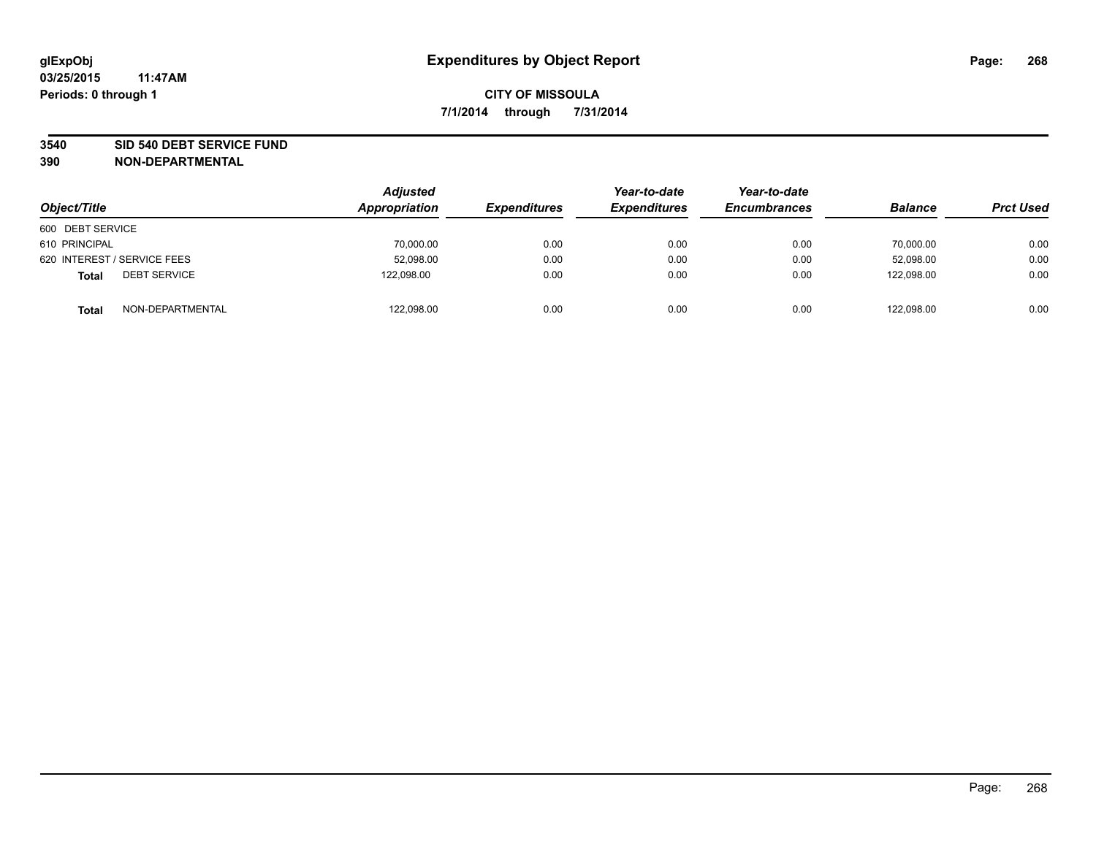### **3540 SID 540 DEBT SERVICE FUND**

| Object/Title                        | <b>Adjusted</b><br>Appropriation | <b>Expenditures</b> | Year-to-date<br><b>Expenditures</b> | Year-to-date<br><b>Encumbrances</b> | <b>Balance</b> | <b>Prct Used</b> |
|-------------------------------------|----------------------------------|---------------------|-------------------------------------|-------------------------------------|----------------|------------------|
| 600 DEBT SERVICE                    |                                  |                     |                                     |                                     |                |                  |
| 610 PRINCIPAL                       | 70,000.00                        | 0.00                | 0.00                                | 0.00                                | 70,000.00      | 0.00             |
| 620 INTEREST / SERVICE FEES         | 52,098.00                        | 0.00                | 0.00                                | 0.00                                | 52.098.00      | 0.00             |
| <b>DEBT SERVICE</b><br><b>Total</b> | 122.098.00                       | 0.00                | 0.00                                | 0.00                                | 122.098.00     | 0.00             |
| NON-DEPARTMENTAL<br><b>Total</b>    | 122,098.00                       | 0.00                | 0.00                                | 0.00                                | 122,098.00     | 0.00             |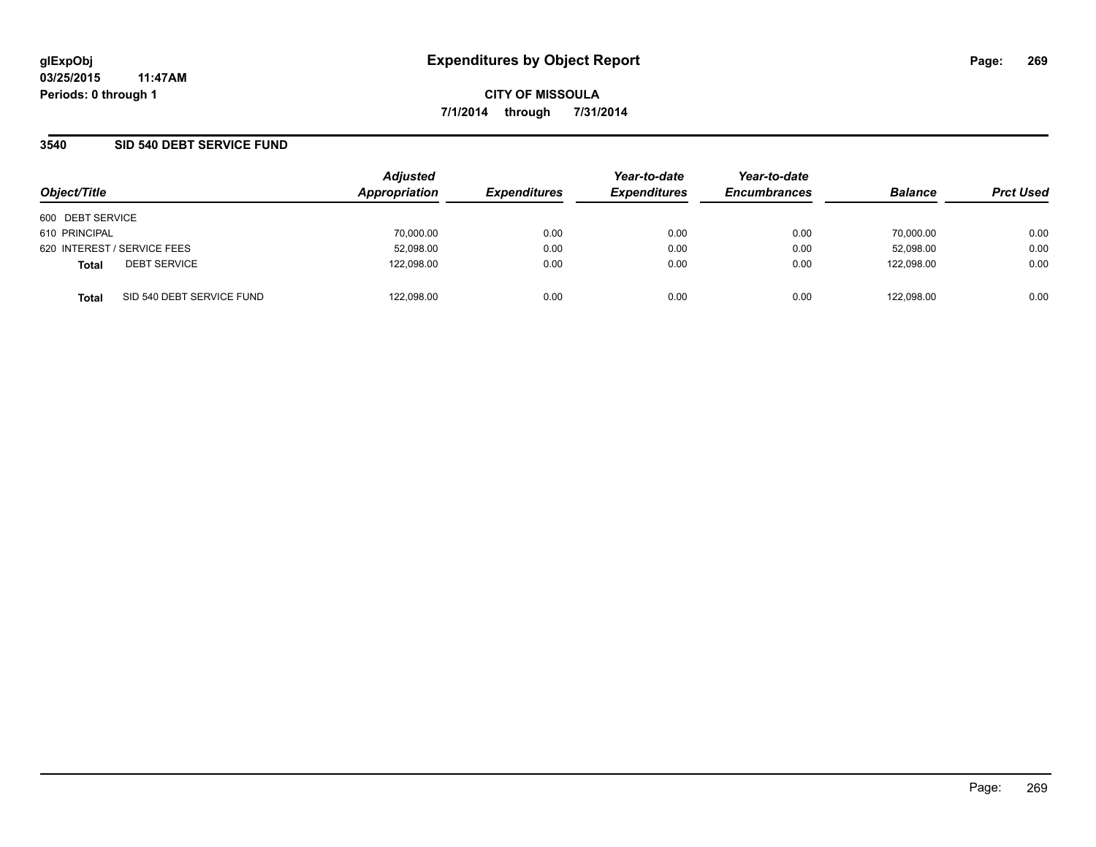## **3540 SID 540 DEBT SERVICE FUND**

| Object/Title                              | <b>Adjusted</b><br>Appropriation | <b>Expenditures</b> | Year-to-date<br><b>Expenditures</b> | Year-to-date<br><b>Encumbrances</b> | <b>Balance</b> | <b>Prct Used</b> |
|-------------------------------------------|----------------------------------|---------------------|-------------------------------------|-------------------------------------|----------------|------------------|
| 600 DEBT SERVICE                          |                                  |                     |                                     |                                     |                |                  |
| 610 PRINCIPAL                             | 70,000.00                        | 0.00                | 0.00                                | 0.00                                | 70.000.00      | 0.00             |
| 620 INTEREST / SERVICE FEES               | 52,098.00                        | 0.00                | 0.00                                | 0.00                                | 52,098.00      | 0.00             |
| <b>DEBT SERVICE</b><br><b>Total</b>       | 122,098.00                       | 0.00                | 0.00                                | 0.00                                | 122.098.00     | 0.00             |
| SID 540 DEBT SERVICE FUND<br><b>Total</b> | 122,098.00                       | 0.00                | 0.00                                | 0.00                                | 122.098.00     | 0.00             |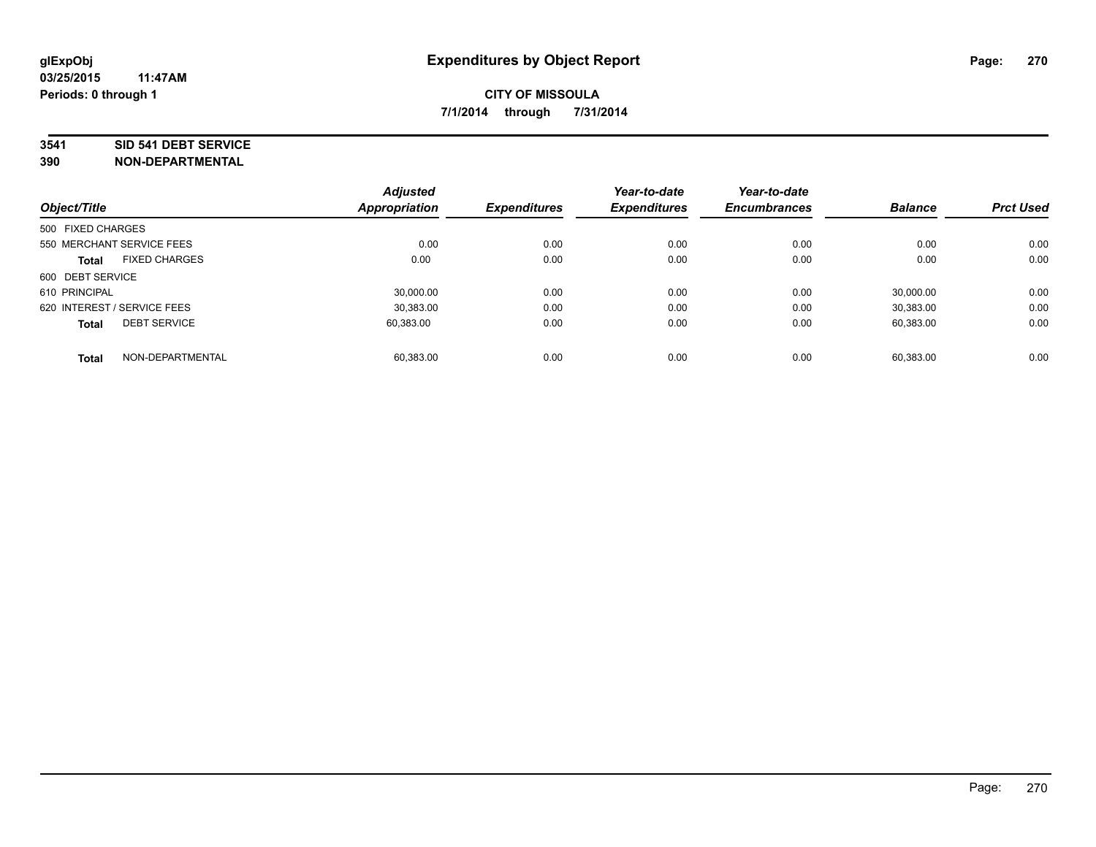### **3541 SID 541 DEBT SERVICE**

|                             |                      | <b>Adjusted</b> |                     | Year-to-date        | Year-to-date        |                |                  |
|-----------------------------|----------------------|-----------------|---------------------|---------------------|---------------------|----------------|------------------|
| Object/Title                |                      | Appropriation   | <b>Expenditures</b> | <b>Expenditures</b> | <b>Encumbrances</b> | <b>Balance</b> | <b>Prct Used</b> |
| 500 FIXED CHARGES           |                      |                 |                     |                     |                     |                |                  |
| 550 MERCHANT SERVICE FEES   |                      | 0.00            | 0.00                | 0.00                | 0.00                | 0.00           | 0.00             |
| <b>Total</b>                | <b>FIXED CHARGES</b> | 0.00            | 0.00                | 0.00                | 0.00                | 0.00           | 0.00             |
| 600 DEBT SERVICE            |                      |                 |                     |                     |                     |                |                  |
| 610 PRINCIPAL               |                      | 30.000.00       | 0.00                | 0.00                | 0.00                | 30.000.00      | 0.00             |
| 620 INTEREST / SERVICE FEES |                      | 30.383.00       | 0.00                | 0.00                | 0.00                | 30,383.00      | 0.00             |
| <b>Total</b>                | <b>DEBT SERVICE</b>  | 60.383.00       | 0.00                | 0.00                | 0.00                | 60,383.00      | 0.00             |
| <b>Total</b>                | NON-DEPARTMENTAL     | 60.383.00       | 0.00                | 0.00                | 0.00                | 60.383.00      | 0.00             |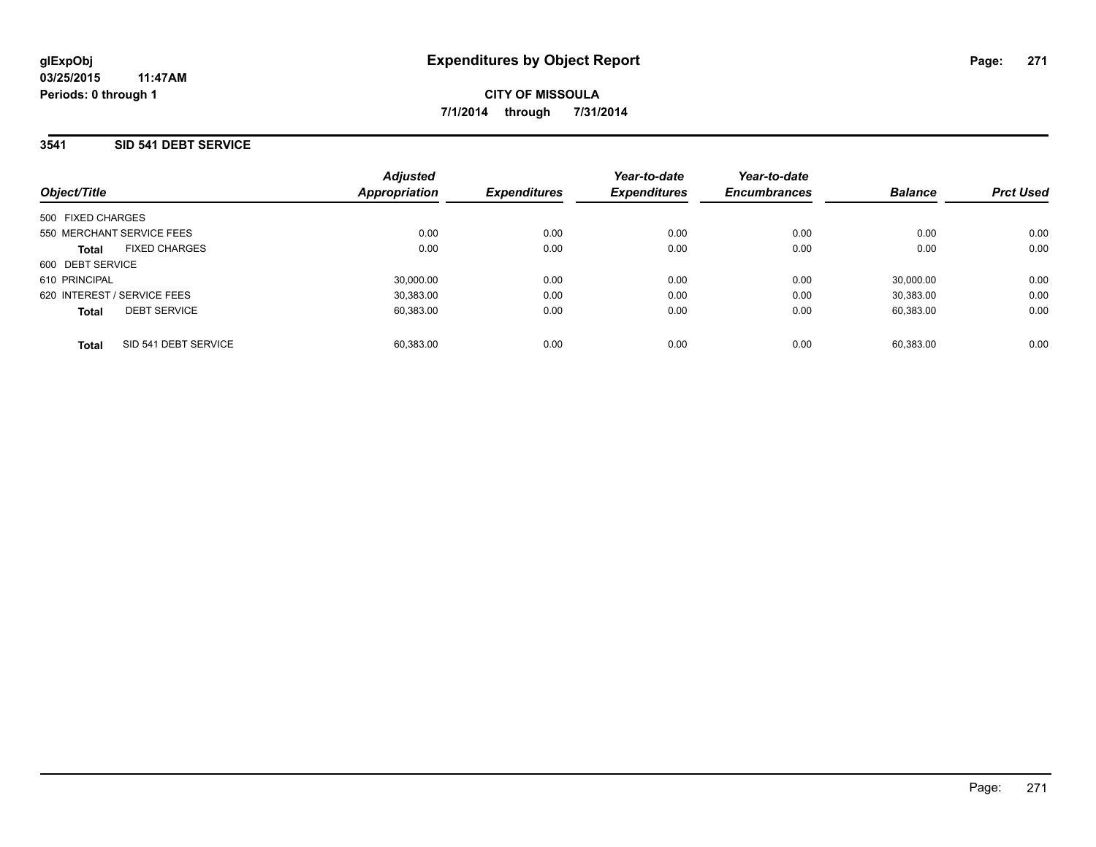### **3541 SID 541 DEBT SERVICE**

| Object/Title                         | <b>Adjusted</b><br>Appropriation | <b>Expenditures</b> | Year-to-date<br><b>Expenditures</b> | Year-to-date<br><b>Encumbrances</b> | <b>Balance</b> | <b>Prct Used</b> |
|--------------------------------------|----------------------------------|---------------------|-------------------------------------|-------------------------------------|----------------|------------------|
| 500 FIXED CHARGES                    |                                  |                     |                                     |                                     |                |                  |
| 550 MERCHANT SERVICE FEES            | 0.00                             | 0.00                | 0.00                                | 0.00                                | 0.00           | 0.00             |
| <b>FIXED CHARGES</b><br><b>Total</b> | 0.00                             | 0.00                | 0.00                                | 0.00                                | 0.00           | 0.00             |
| 600 DEBT SERVICE                     |                                  |                     |                                     |                                     |                |                  |
| 610 PRINCIPAL                        | 30.000.00                        | 0.00                | 0.00                                | 0.00                                | 30.000.00      | 0.00             |
| 620 INTEREST / SERVICE FEES          | 30.383.00                        | 0.00                | 0.00                                | 0.00                                | 30.383.00      | 0.00             |
| <b>DEBT SERVICE</b><br><b>Total</b>  | 60.383.00                        | 0.00                | 0.00                                | 0.00                                | 60.383.00      | 0.00             |
| SID 541 DEBT SERVICE<br><b>Total</b> | 60.383.00                        | 0.00                | 0.00                                | 0.00                                | 60.383.00      | 0.00             |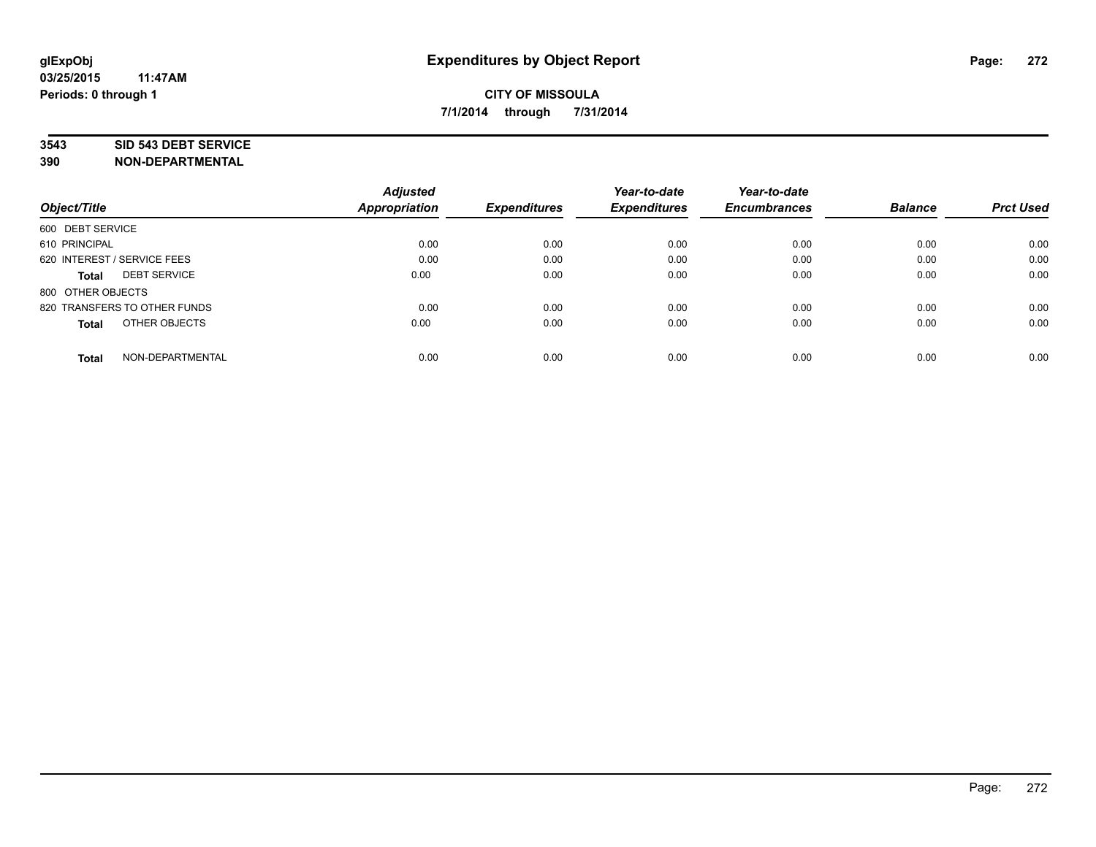### **3543 SID 543 DEBT SERVICE**

|                                     | <b>Adjusted</b><br><b>Appropriation</b> | <b>Expenditures</b> | Year-to-date<br><b>Expenditures</b> | Year-to-date<br><b>Encumbrances</b> | <b>Balance</b> | <b>Prct Used</b> |
|-------------------------------------|-----------------------------------------|---------------------|-------------------------------------|-------------------------------------|----------------|------------------|
| Object/Title                        |                                         |                     |                                     |                                     |                |                  |
| 600 DEBT SERVICE                    |                                         |                     |                                     |                                     |                |                  |
| 610 PRINCIPAL                       | 0.00                                    | 0.00                | 0.00                                | 0.00                                | 0.00           | 0.00             |
| 620 INTEREST / SERVICE FEES         | 0.00                                    | 0.00                | 0.00                                | 0.00                                | 0.00           | 0.00             |
| <b>DEBT SERVICE</b><br><b>Total</b> | 0.00                                    | 0.00                | 0.00                                | 0.00                                | 0.00           | 0.00             |
| 800 OTHER OBJECTS                   |                                         |                     |                                     |                                     |                |                  |
| 820 TRANSFERS TO OTHER FUNDS        | 0.00                                    | 0.00                | 0.00                                | 0.00                                | 0.00           | 0.00             |
| OTHER OBJECTS<br><b>Total</b>       | 0.00                                    | 0.00                | 0.00                                | 0.00                                | 0.00           | 0.00             |
| NON-DEPARTMENTAL<br><b>Total</b>    | 0.00                                    | 0.00                | 0.00                                | 0.00                                | 0.00           | 0.00             |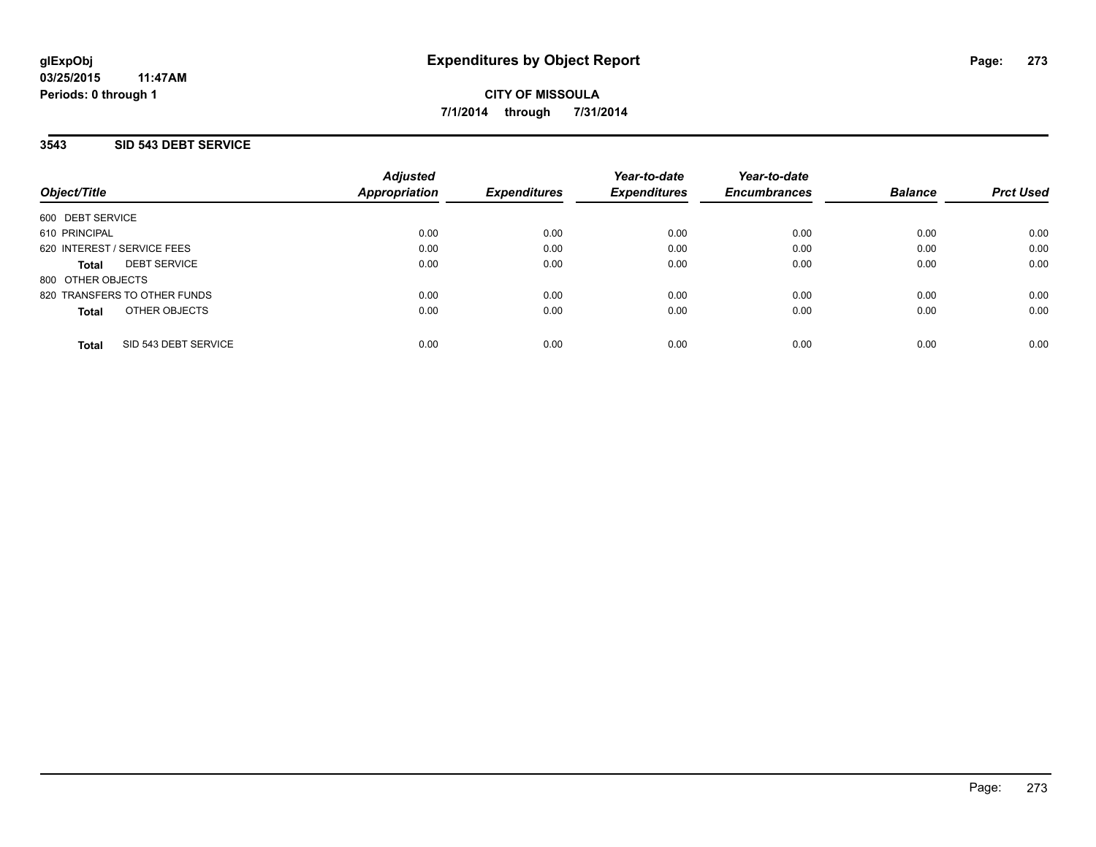## **3543 SID 543 DEBT SERVICE**

| Object/Title                         | <b>Adjusted</b><br>Appropriation | <b>Expenditures</b> | Year-to-date<br><b>Expenditures</b> | Year-to-date<br><b>Encumbrances</b> | <b>Balance</b> | <b>Prct Used</b> |
|--------------------------------------|----------------------------------|---------------------|-------------------------------------|-------------------------------------|----------------|------------------|
| 600 DEBT SERVICE                     |                                  |                     |                                     |                                     |                |                  |
| 610 PRINCIPAL                        | 0.00                             | 0.00                | 0.00                                | 0.00                                | 0.00           | 0.00             |
| 620 INTEREST / SERVICE FEES          | 0.00                             | 0.00                | 0.00                                | 0.00                                | 0.00           | 0.00             |
| <b>DEBT SERVICE</b><br><b>Total</b>  | 0.00                             | 0.00                | 0.00                                | 0.00                                | 0.00           | 0.00             |
| 800 OTHER OBJECTS                    |                                  |                     |                                     |                                     |                |                  |
| 820 TRANSFERS TO OTHER FUNDS         | 0.00                             | 0.00                | 0.00                                | 0.00                                | 0.00           | 0.00             |
| OTHER OBJECTS<br><b>Total</b>        | 0.00                             | 0.00                | 0.00                                | 0.00                                | 0.00           | 0.00             |
| SID 543 DEBT SERVICE<br><b>Total</b> | 0.00                             | 0.00                | 0.00                                | 0.00                                | 0.00           | 0.00             |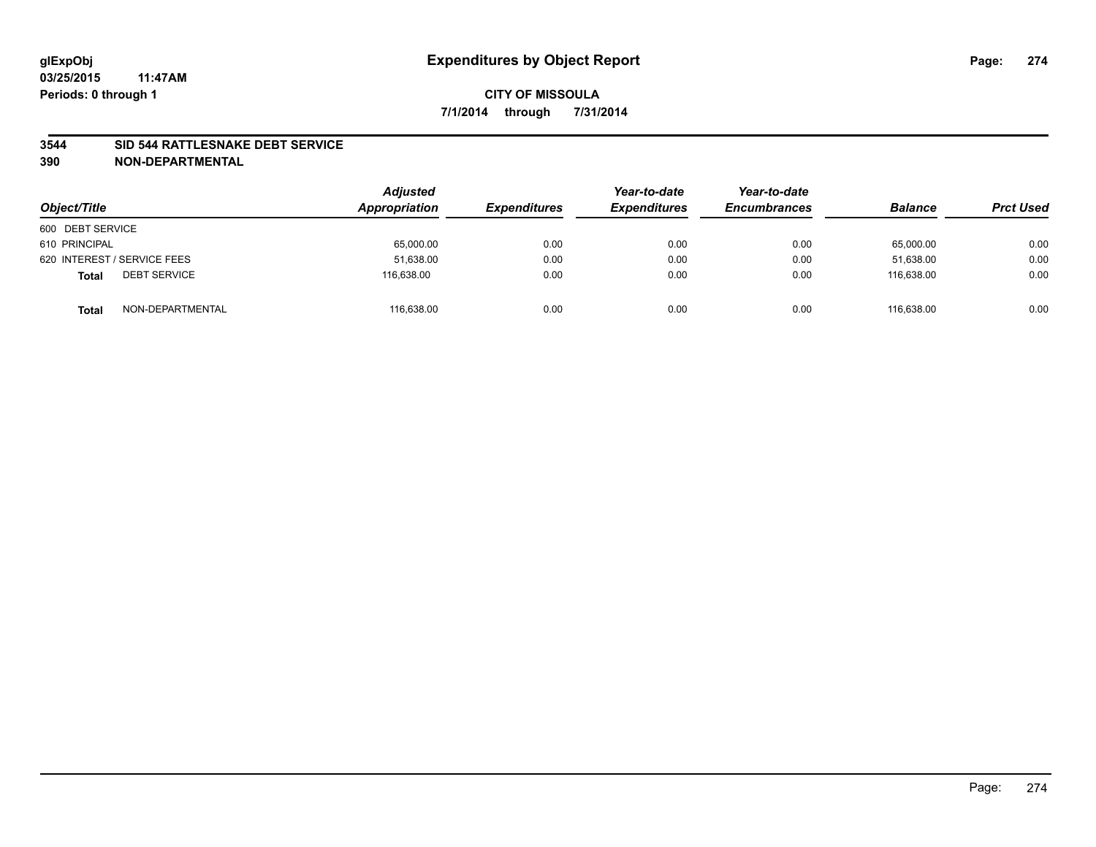### **3544 SID 544 RATTLESNAKE DEBT SERVICE**

| Object/Title                        | <b>Adjusted</b><br><b>Appropriation</b> | <b>Expenditures</b> | Year-to-date<br><b>Expenditures</b> | Year-to-date<br><b>Encumbrances</b> | <b>Balance</b> | <b>Prct Used</b> |
|-------------------------------------|-----------------------------------------|---------------------|-------------------------------------|-------------------------------------|----------------|------------------|
| 600 DEBT SERVICE                    |                                         |                     |                                     |                                     |                |                  |
| 610 PRINCIPAL                       | 65,000.00                               | 0.00                | 0.00                                | 0.00                                | 65,000.00      | 0.00             |
| 620 INTEREST / SERVICE FEES         | 51,638.00                               | 0.00                | 0.00                                | 0.00                                | 51.638.00      | 0.00             |
| <b>DEBT SERVICE</b><br><b>Total</b> | 116,638.00                              | 0.00                | 0.00                                | 0.00                                | 116,638.00     | 0.00             |
| NON-DEPARTMENTAL<br><b>Total</b>    | 116,638.00                              | 0.00                | 0.00                                | 0.00                                | 116.638.00     | 0.00             |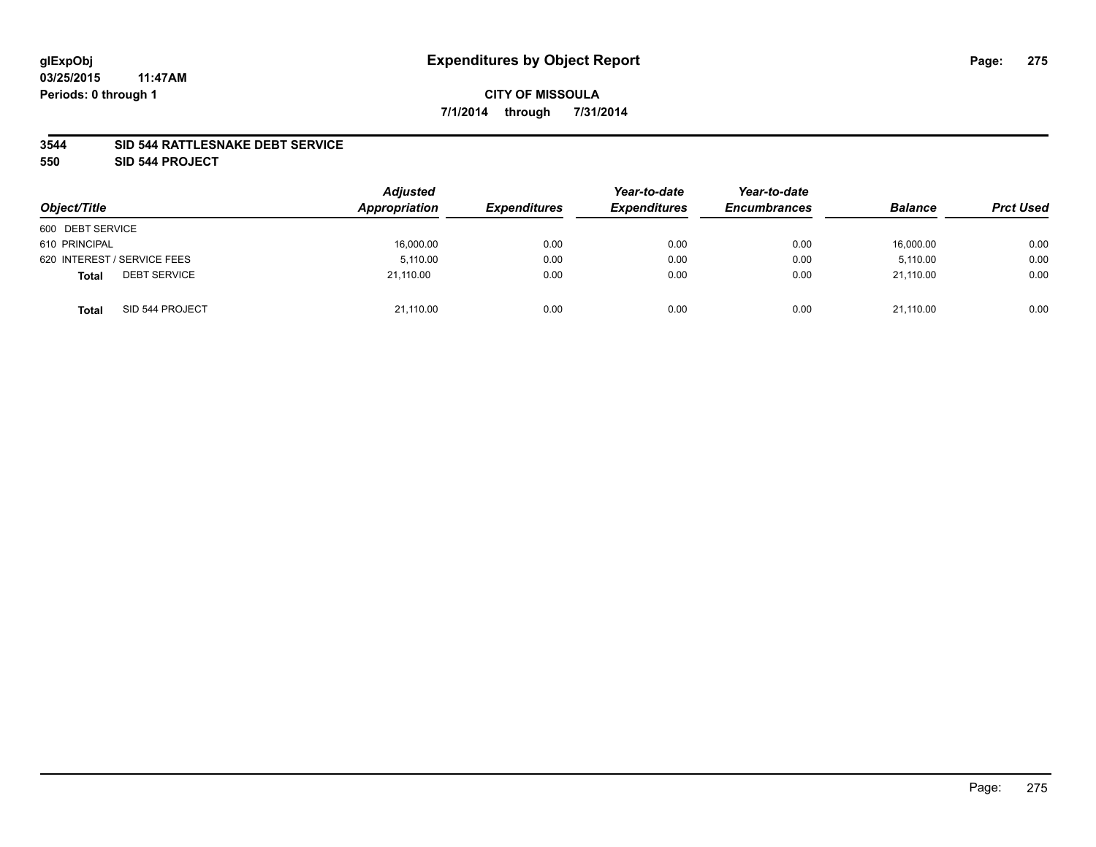### **3544 SID 544 RATTLESNAKE DEBT SERVICE**

**550 SID 544 PROJECT**

| Object/Title                        | <b>Adjusted</b><br>Appropriation | <b>Expenditures</b> | Year-to-date<br><b>Expenditures</b> | Year-to-date<br><b>Encumbrances</b> | <b>Balance</b> | <b>Prct Used</b> |
|-------------------------------------|----------------------------------|---------------------|-------------------------------------|-------------------------------------|----------------|------------------|
| 600 DEBT SERVICE                    |                                  |                     |                                     |                                     |                |                  |
| 610 PRINCIPAL                       | 16,000.00                        | 0.00                | 0.00                                | 0.00                                | 16,000.00      | 0.00             |
| 620 INTEREST / SERVICE FEES         | 5.110.00                         | 0.00                | 0.00                                | 0.00                                | 5.110.00       | 0.00             |
| <b>DEBT SERVICE</b><br><b>Total</b> | 21,110.00                        | 0.00                | 0.00                                | 0.00                                | 21,110.00      | 0.00             |
| SID 544 PROJECT<br><b>Total</b>     | 21,110.00                        | 0.00                | 0.00                                | 0.00                                | 21.110.00      | 0.00             |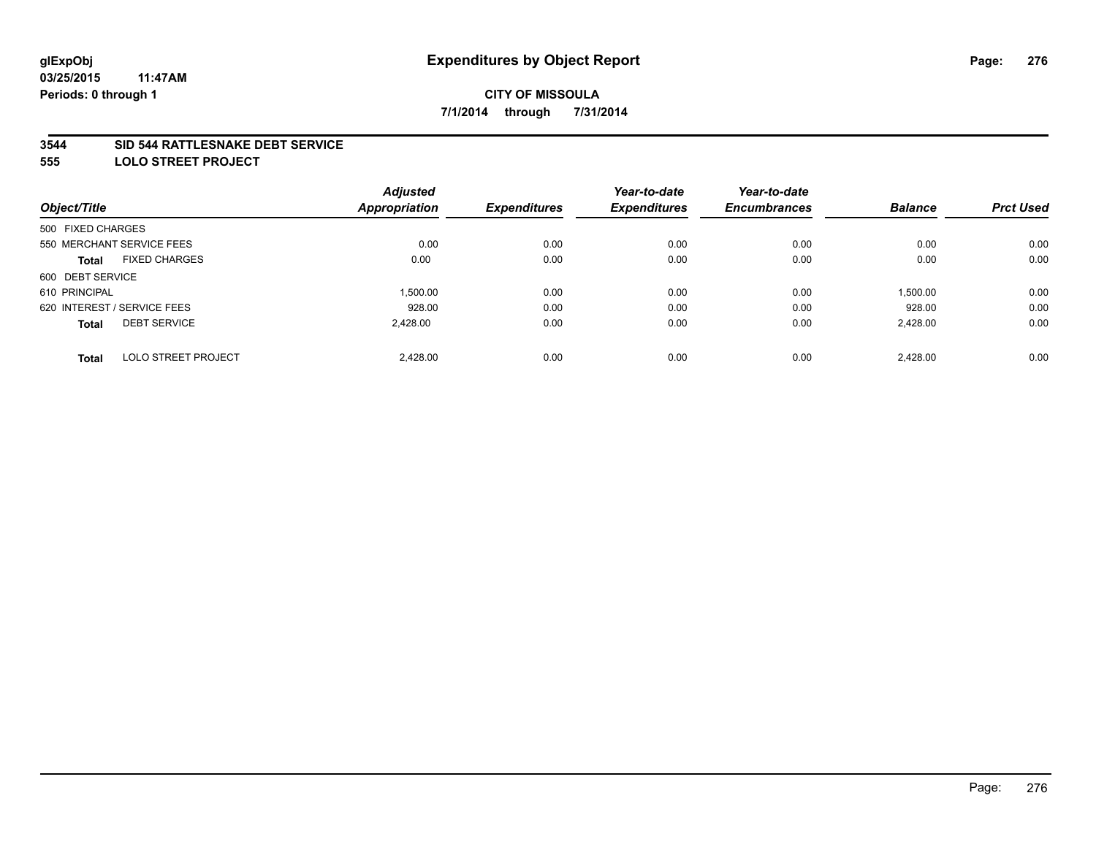### **3544 SID 544 RATTLESNAKE DEBT SERVICE**

**555 LOLO STREET PROJECT**

|                                            | <b>Adjusted</b>      |                     | Year-to-date        | Year-to-date        |                |                  |
|--------------------------------------------|----------------------|---------------------|---------------------|---------------------|----------------|------------------|
| Object/Title                               | <b>Appropriation</b> | <b>Expenditures</b> | <b>Expenditures</b> | <b>Encumbrances</b> | <b>Balance</b> | <b>Prct Used</b> |
| 500 FIXED CHARGES                          |                      |                     |                     |                     |                |                  |
| 550 MERCHANT SERVICE FEES                  | 0.00                 | 0.00                | 0.00                | 0.00                | 0.00           | 0.00             |
| <b>FIXED CHARGES</b><br><b>Total</b>       | 0.00                 | 0.00                | 0.00                | 0.00                | 0.00           | 0.00             |
| 600 DEBT SERVICE                           |                      |                     |                     |                     |                |                  |
| 610 PRINCIPAL                              | 1.500.00             | 0.00                | 0.00                | 0.00                | 1,500.00       | 0.00             |
| 620 INTEREST / SERVICE FEES                | 928.00               | 0.00                | 0.00                | 0.00                | 928.00         | 0.00             |
| <b>DEBT SERVICE</b><br><b>Total</b>        | 2.428.00             | 0.00                | 0.00                | 0.00                | 2,428.00       | 0.00             |
| <b>LOLO STREET PROJECT</b><br><b>Total</b> | 2.428.00             | 0.00                | 0.00                | 0.00                | 2.428.00       | 0.00             |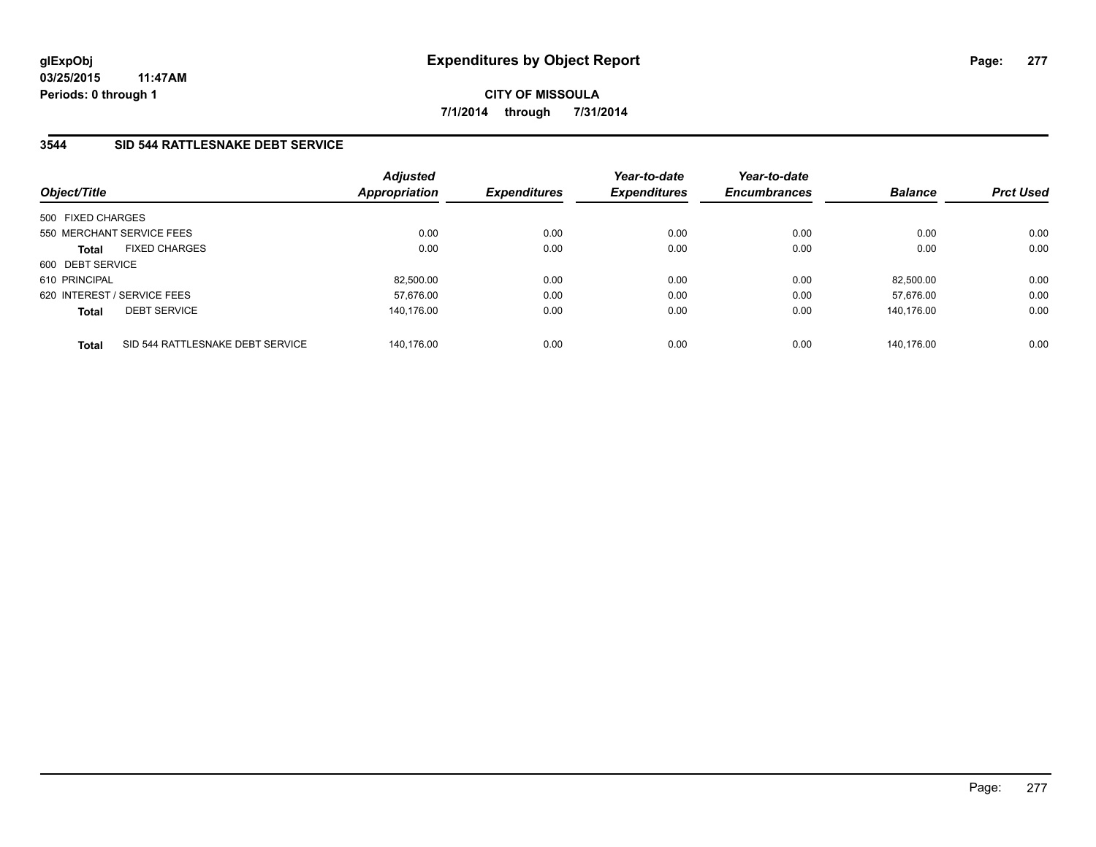**03/25/2015 11:47AM Periods: 0 through 1**

**CITY OF MISSOULA 7/1/2014 through 7/31/2014**

## **3544 SID 544 RATTLESNAKE DEBT SERVICE**

| Object/Title                                     | <b>Adjusted</b><br><b>Appropriation</b> | <b>Expenditures</b> | Year-to-date<br><b>Expenditures</b> | Year-to-date<br><b>Encumbrances</b> | <b>Balance</b> | <b>Prct Used</b> |
|--------------------------------------------------|-----------------------------------------|---------------------|-------------------------------------|-------------------------------------|----------------|------------------|
| 500 FIXED CHARGES                                |                                         |                     |                                     |                                     |                |                  |
| 550 MERCHANT SERVICE FEES                        | 0.00                                    | 0.00                | 0.00                                | 0.00                                | 0.00           | 0.00             |
| <b>FIXED CHARGES</b><br><b>Total</b>             |                                         | 0.00<br>0.00        | 0.00                                | 0.00                                | 0.00           | 0.00             |
| 600 DEBT SERVICE                                 |                                         |                     |                                     |                                     |                |                  |
| 610 PRINCIPAL                                    | 82.500.00                               | 0.00                | 0.00                                | 0.00                                | 82.500.00      | 0.00             |
| 620 INTEREST / SERVICE FEES                      | 57.676.00                               | 0.00                | 0.00                                | 0.00                                | 57.676.00      | 0.00             |
| <b>DEBT SERVICE</b><br><b>Total</b>              | 140.176.00                              | 0.00                | 0.00                                | 0.00                                | 140.176.00     | 0.00             |
| SID 544 RATTLESNAKE DEBT SERVICE<br><b>Total</b> | 140.176.00                              | 0.00                | 0.00                                | 0.00                                | 140.176.00     | 0.00             |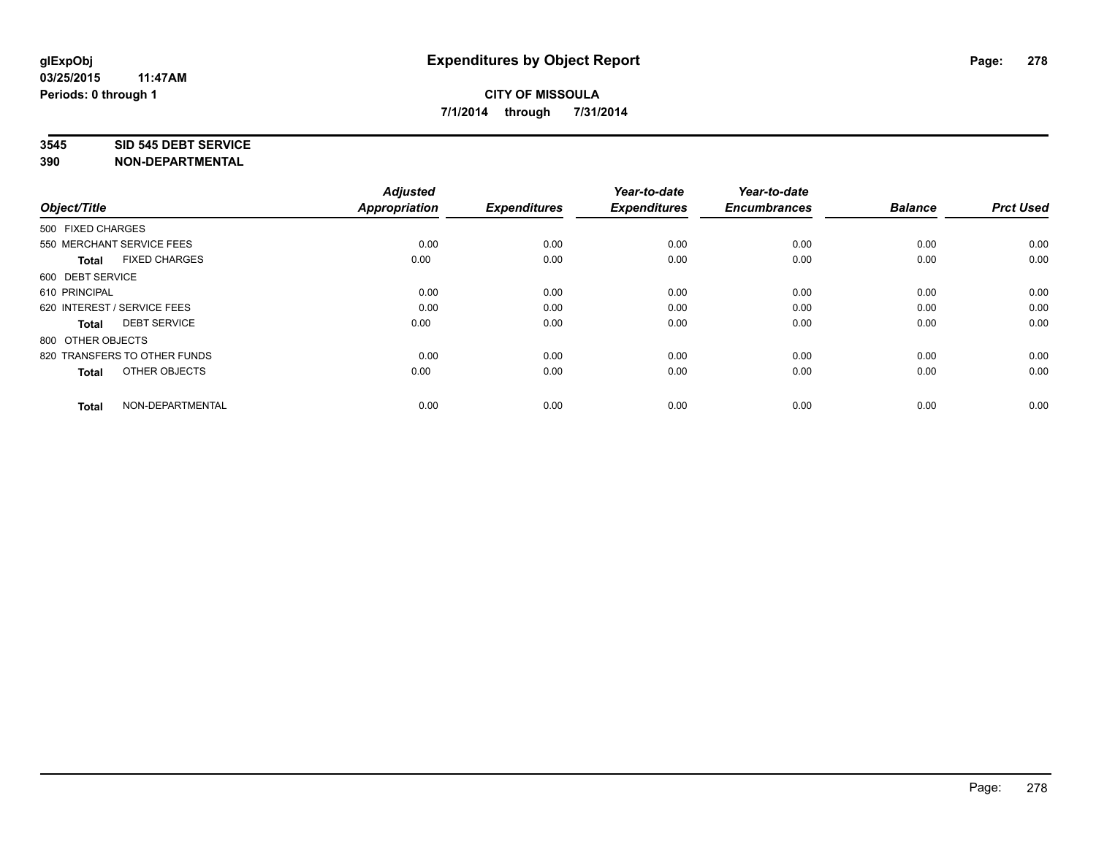#### **3545 SID 545 DEBT SERVICE**

| Object/Title                         | <b>Adjusted</b><br><b>Appropriation</b> | <b>Expenditures</b> | Year-to-date<br><b>Expenditures</b> | Year-to-date<br><b>Encumbrances</b> | <b>Balance</b> | <b>Prct Used</b> |
|--------------------------------------|-----------------------------------------|---------------------|-------------------------------------|-------------------------------------|----------------|------------------|
| 500 FIXED CHARGES                    |                                         |                     |                                     |                                     |                |                  |
| 550 MERCHANT SERVICE FEES            | 0.00                                    | 0.00                | 0.00                                | 0.00                                | 0.00           | 0.00             |
| <b>FIXED CHARGES</b><br><b>Total</b> | 0.00                                    | 0.00                | 0.00                                | 0.00                                | 0.00           | 0.00             |
| 600 DEBT SERVICE                     |                                         |                     |                                     |                                     |                |                  |
| 610 PRINCIPAL                        | 0.00                                    | 0.00                | 0.00                                | 0.00                                | 0.00           | 0.00             |
| 620 INTEREST / SERVICE FEES          | 0.00                                    | 0.00                | 0.00                                | 0.00                                | 0.00           | 0.00             |
| <b>DEBT SERVICE</b><br><b>Total</b>  | 0.00                                    | 0.00                | 0.00                                | 0.00                                | 0.00           | 0.00             |
| 800 OTHER OBJECTS                    |                                         |                     |                                     |                                     |                |                  |
| 820 TRANSFERS TO OTHER FUNDS         | 0.00                                    | 0.00                | 0.00                                | 0.00                                | 0.00           | 0.00             |
| OTHER OBJECTS<br><b>Total</b>        | 0.00                                    | 0.00                | 0.00                                | 0.00                                | 0.00           | 0.00             |
|                                      |                                         |                     |                                     |                                     |                |                  |
| NON-DEPARTMENTAL<br><b>Total</b>     | 0.00                                    | 0.00                | 0.00                                | 0.00                                | 0.00           | 0.00             |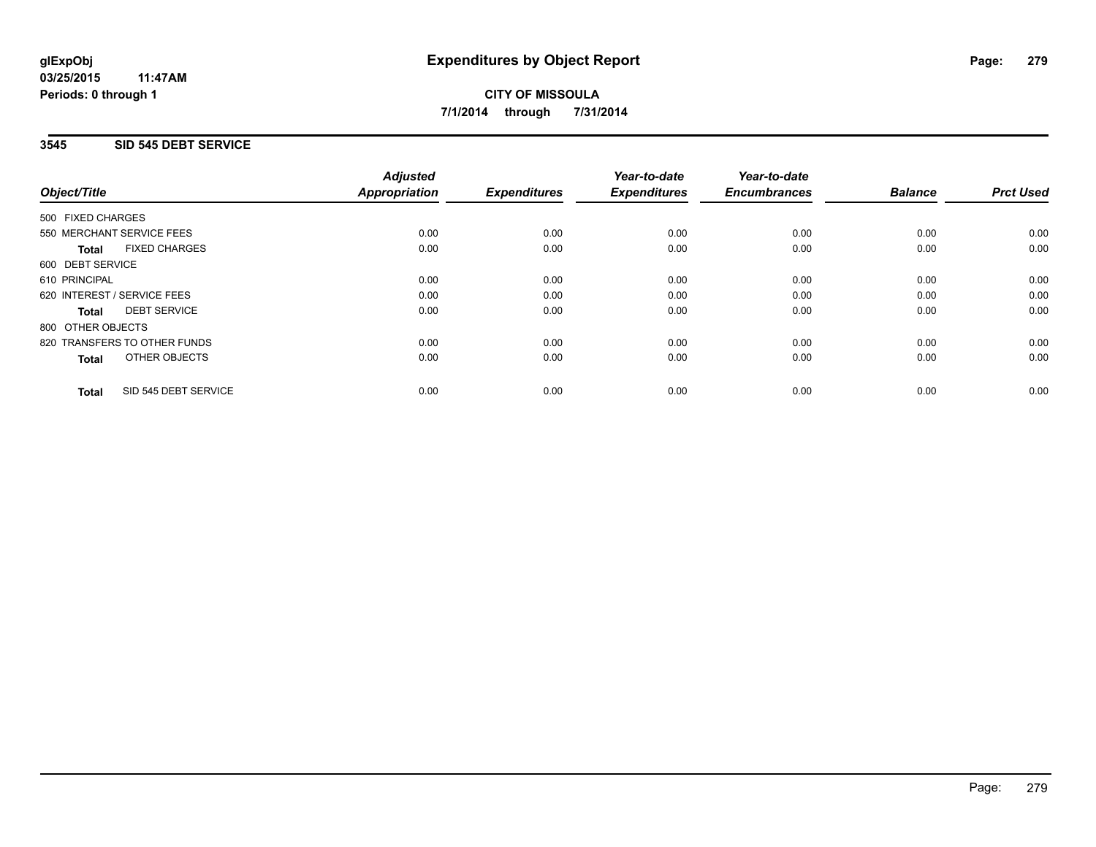## **3545 SID 545 DEBT SERVICE**

|                   |                              | <b>Adjusted</b>      |                     | Year-to-date        | Year-to-date<br><b>Encumbrances</b> | <b>Balance</b> | <b>Prct Used</b> |
|-------------------|------------------------------|----------------------|---------------------|---------------------|-------------------------------------|----------------|------------------|
| Object/Title      |                              | <b>Appropriation</b> | <b>Expenditures</b> | <b>Expenditures</b> |                                     |                |                  |
| 500 FIXED CHARGES |                              |                      |                     |                     |                                     |                |                  |
|                   | 550 MERCHANT SERVICE FEES    | 0.00                 | 0.00                | 0.00                | 0.00                                | 0.00           | 0.00             |
| Total             | <b>FIXED CHARGES</b>         | 0.00                 | 0.00                | 0.00                | 0.00                                | 0.00           | 0.00             |
| 600 DEBT SERVICE  |                              |                      |                     |                     |                                     |                |                  |
| 610 PRINCIPAL     |                              | 0.00                 | 0.00                | 0.00                | 0.00                                | 0.00           | 0.00             |
|                   | 620 INTEREST / SERVICE FEES  | 0.00                 | 0.00                | 0.00                | 0.00                                | 0.00           | 0.00             |
| Total             | <b>DEBT SERVICE</b>          | 0.00                 | 0.00                | 0.00                | 0.00                                | 0.00           | 0.00             |
| 800 OTHER OBJECTS |                              |                      |                     |                     |                                     |                |                  |
|                   | 820 TRANSFERS TO OTHER FUNDS | 0.00                 | 0.00                | 0.00                | 0.00                                | 0.00           | 0.00             |
| <b>Total</b>      | OTHER OBJECTS                | 0.00                 | 0.00                | 0.00                | 0.00                                | 0.00           | 0.00             |
| <b>Total</b>      | SID 545 DEBT SERVICE         | 0.00                 | 0.00                | 0.00                | 0.00                                | 0.00           | 0.00             |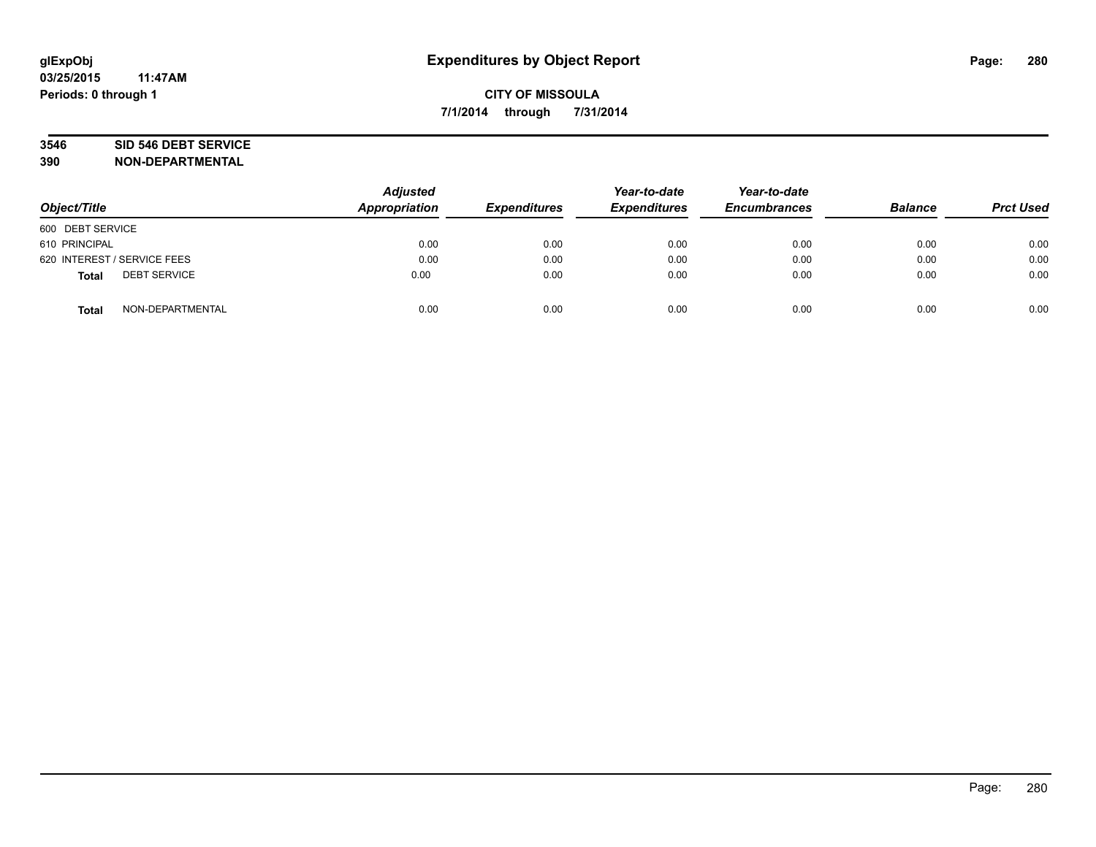# **3546 SID 546 DEBT SERVICE**

| Object/Title                        | <b>Adjusted</b><br>Appropriation | <b>Expenditures</b> | Year-to-date<br><b>Expenditures</b> | Year-to-date<br><b>Encumbrances</b> | <b>Balance</b> | <b>Prct Used</b> |
|-------------------------------------|----------------------------------|---------------------|-------------------------------------|-------------------------------------|----------------|------------------|
| 600 DEBT SERVICE                    |                                  |                     |                                     |                                     |                |                  |
| 610 PRINCIPAL                       | 0.00                             | 0.00                | 0.00                                | 0.00                                | 0.00           | 0.00             |
| 620 INTEREST / SERVICE FEES         | 0.00                             | 0.00                | 0.00                                | 0.00                                | 0.00           | 0.00             |
| <b>DEBT SERVICE</b><br><b>Total</b> | 0.00                             | 0.00                | 0.00                                | 0.00                                | 0.00           | 0.00             |
| NON-DEPARTMENTAL<br><b>Total</b>    | 0.00                             | 0.00                | 0.00                                | 0.00                                | 0.00           | 0.00             |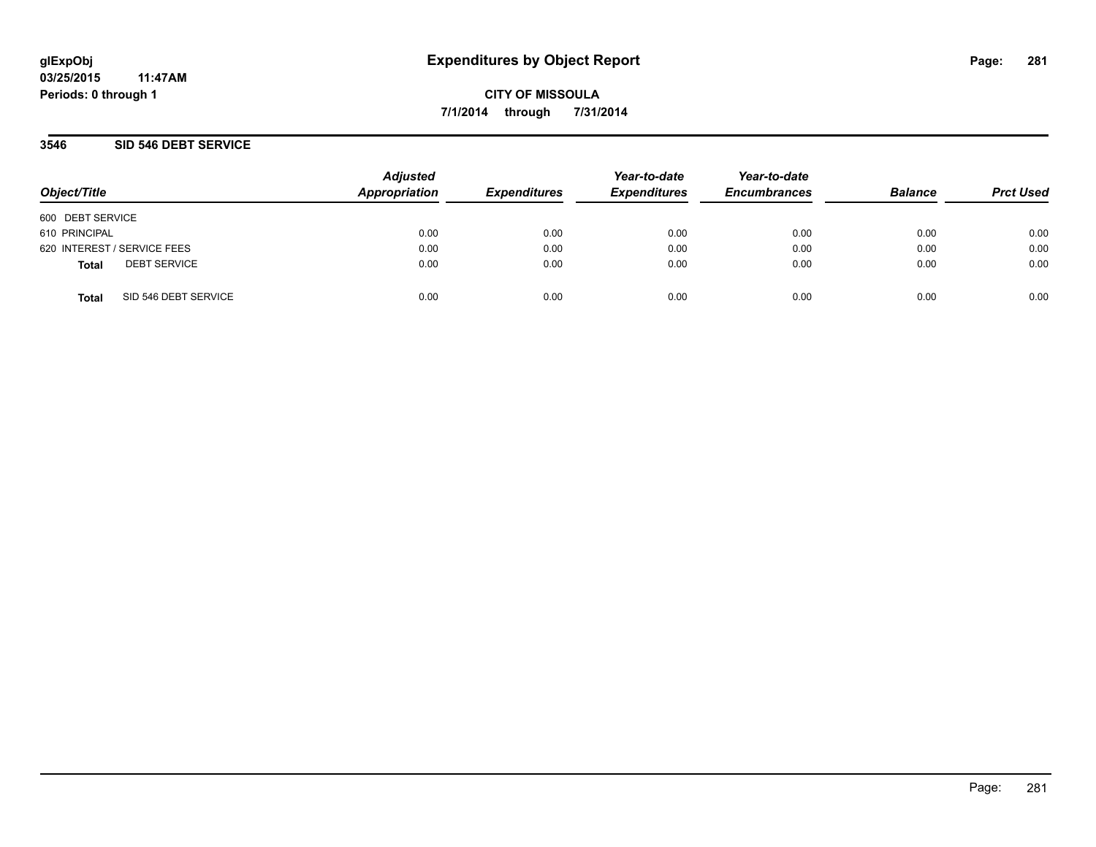### **3546 SID 546 DEBT SERVICE**

| Object/Title     |                             | <b>Adjusted</b><br>Appropriation | <b>Expenditures</b> | Year-to-date<br><b>Expenditures</b> | Year-to-date<br><b>Encumbrances</b> | <b>Balance</b> | <b>Prct Used</b> |
|------------------|-----------------------------|----------------------------------|---------------------|-------------------------------------|-------------------------------------|----------------|------------------|
| 600 DEBT SERVICE |                             |                                  |                     |                                     |                                     |                |                  |
| 610 PRINCIPAL    |                             | 0.00                             | 0.00                | 0.00                                | 0.00                                | 0.00           | 0.00             |
|                  | 620 INTEREST / SERVICE FEES | 0.00                             | 0.00                | 0.00                                | 0.00                                | 0.00           | 0.00             |
| <b>Total</b>     | <b>DEBT SERVICE</b>         | 0.00                             | 0.00                | 0.00                                | 0.00                                | 0.00           | 0.00             |
| <b>Total</b>     | SID 546 DEBT SERVICE        | 0.00                             | 0.00                | 0.00                                | 0.00                                | 0.00           | 0.00             |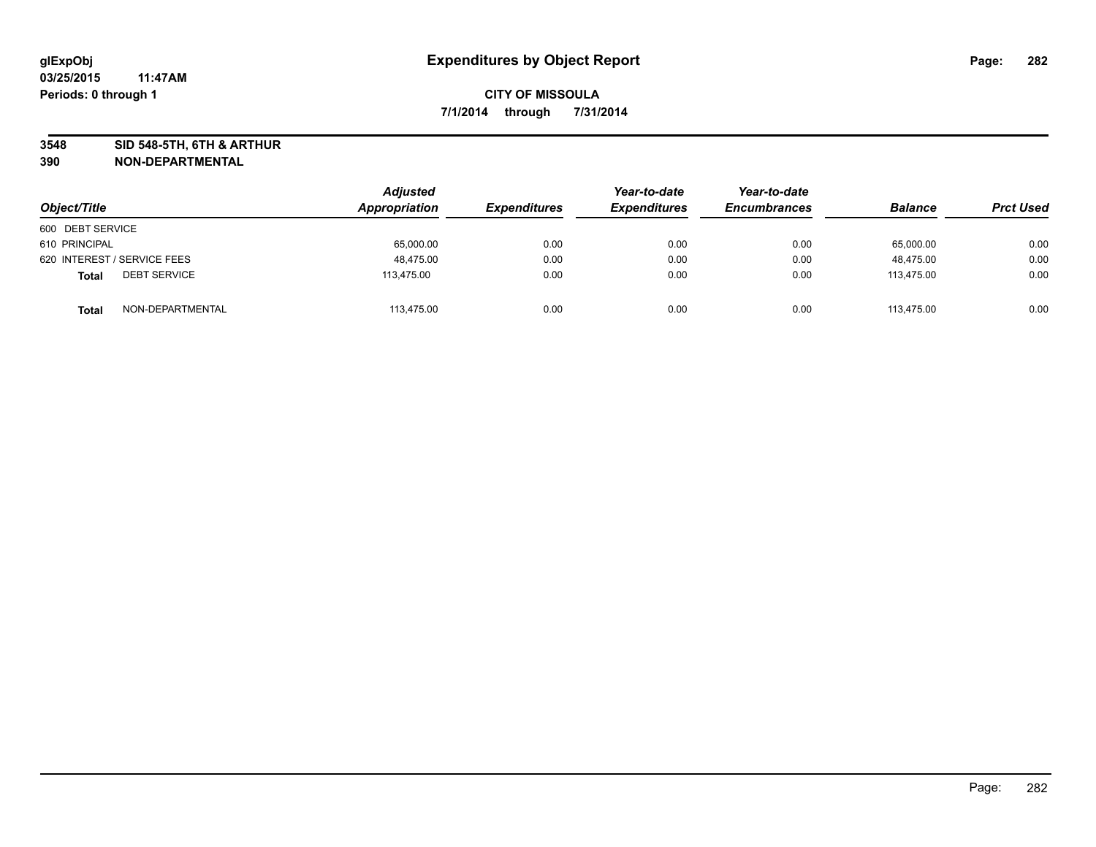**3548 SID 548-5TH, 6TH & ARTHUR**

| Object/Title                        | <b>Adjusted</b><br>Appropriation | <b>Expenditures</b> | Year-to-date<br><b>Expenditures</b> | Year-to-date<br><b>Encumbrances</b> | <b>Balance</b> | <b>Prct Used</b> |
|-------------------------------------|----------------------------------|---------------------|-------------------------------------|-------------------------------------|----------------|------------------|
| 600 DEBT SERVICE                    |                                  |                     |                                     |                                     |                |                  |
| 610 PRINCIPAL                       | 65,000.00                        | 0.00                | 0.00                                | 0.00                                | 65,000.00      | 0.00             |
| 620 INTEREST / SERVICE FEES         | 48.475.00                        | 0.00                | 0.00                                | 0.00                                | 48.475.00      | 0.00             |
| <b>DEBT SERVICE</b><br><b>Total</b> | 113,475.00                       | 0.00                | 0.00                                | 0.00                                | 113,475.00     | 0.00             |
| NON-DEPARTMENTAL<br><b>Total</b>    | 113,475.00                       | 0.00                | 0.00                                | 0.00                                | 113.475.00     | 0.00             |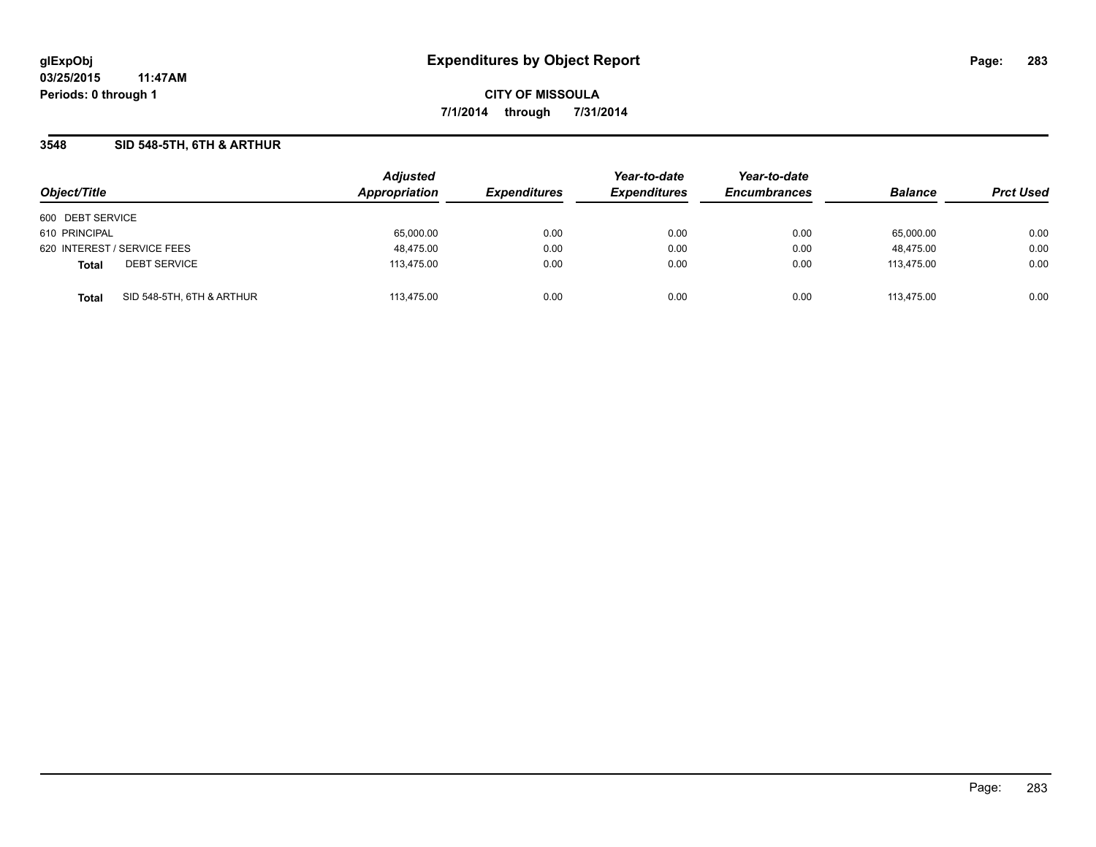## **3548 SID 548-5TH, 6TH & ARTHUR**

| Object/Title                |                           | <b>Adjusted</b><br>Appropriation | <b>Expenditures</b> | Year-to-date<br><b>Expenditures</b> | Year-to-date<br><b>Encumbrances</b> | <b>Balance</b> | <b>Prct Used</b> |
|-----------------------------|---------------------------|----------------------------------|---------------------|-------------------------------------|-------------------------------------|----------------|------------------|
| 600 DEBT SERVICE            |                           |                                  |                     |                                     |                                     |                |                  |
|                             |                           |                                  |                     |                                     |                                     |                |                  |
| 610 PRINCIPAL               |                           | 65,000.00                        | 0.00                | 0.00                                | 0.00                                | 65.000.00      | 0.00             |
| 620 INTEREST / SERVICE FEES |                           | 48,475.00                        | 0.00                | 0.00                                | 0.00                                | 48.475.00      | 0.00             |
| <b>Total</b>                | <b>DEBT SERVICE</b>       | 113,475.00                       | 0.00                | 0.00                                | 0.00                                | 113.475.00     | 0.00             |
| <b>Total</b>                | SID 548-5TH, 6TH & ARTHUR | 113.475.00                       | 0.00                | 0.00                                | 0.00                                | 113.475.00     | 0.00             |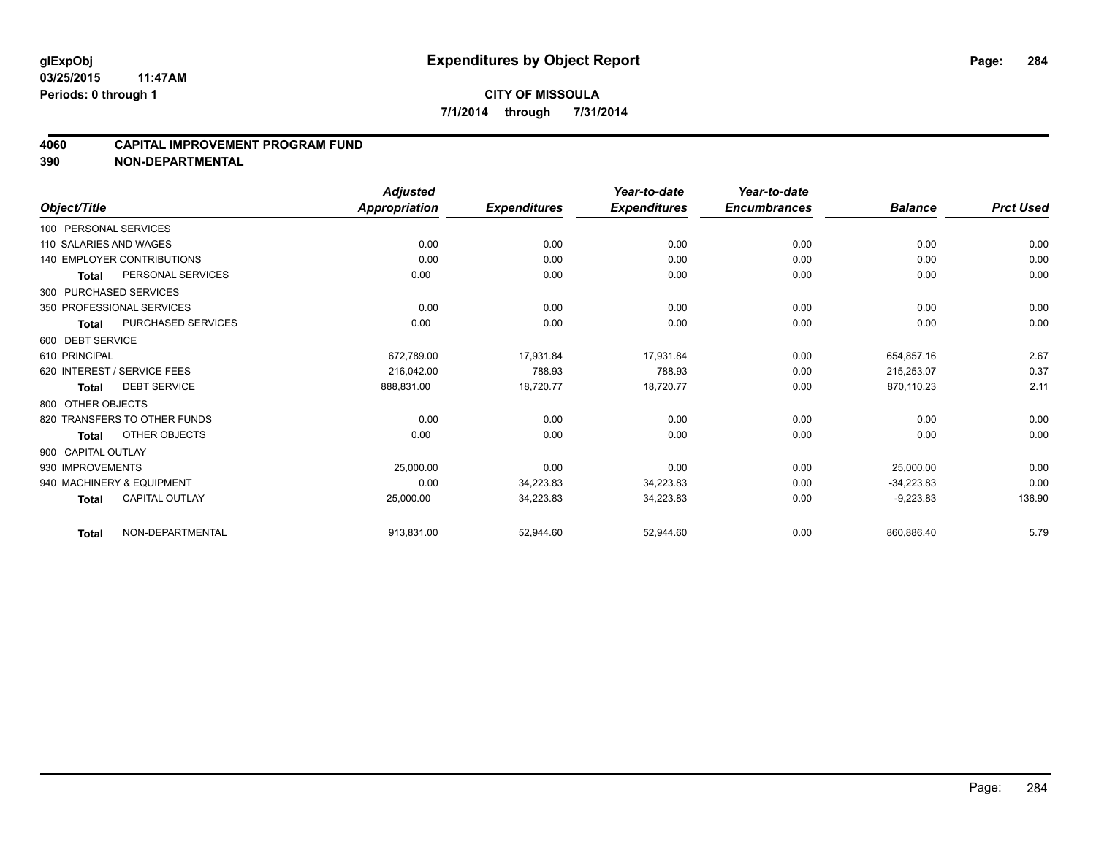#### **4060 CAPITAL IMPROVEMENT PROGRAM FUND**

|                        |                                   | <b>Adjusted</b>      |                     | Year-to-date        | Year-to-date        |                |                  |
|------------------------|-----------------------------------|----------------------|---------------------|---------------------|---------------------|----------------|------------------|
| Object/Title           |                                   | <b>Appropriation</b> | <b>Expenditures</b> | <b>Expenditures</b> | <b>Encumbrances</b> | <b>Balance</b> | <b>Prct Used</b> |
| 100 PERSONAL SERVICES  |                                   |                      |                     |                     |                     |                |                  |
| 110 SALARIES AND WAGES |                                   | 0.00                 | 0.00                | 0.00                | 0.00                | 0.00           | 0.00             |
|                        | <b>140 EMPLOYER CONTRIBUTIONS</b> | 0.00                 | 0.00                | 0.00                | 0.00                | 0.00           | 0.00             |
| Total                  | PERSONAL SERVICES                 | 0.00                 | 0.00                | 0.00                | 0.00                | 0.00           | 0.00             |
|                        | 300 PURCHASED SERVICES            |                      |                     |                     |                     |                |                  |
|                        | 350 PROFESSIONAL SERVICES         | 0.00                 | 0.00                | 0.00                | 0.00                | 0.00           | 0.00             |
| <b>Total</b>           | <b>PURCHASED SERVICES</b>         | 0.00                 | 0.00                | 0.00                | 0.00                | 0.00           | 0.00             |
| 600 DEBT SERVICE       |                                   |                      |                     |                     |                     |                |                  |
| 610 PRINCIPAL          |                                   | 672,789.00           | 17,931.84           | 17,931.84           | 0.00                | 654,857.16     | 2.67             |
|                        | 620 INTEREST / SERVICE FEES       | 216,042.00           | 788.93              | 788.93              | 0.00                | 215,253.07     | 0.37             |
| Total                  | <b>DEBT SERVICE</b>               | 888,831.00           | 18,720.77           | 18,720.77           | 0.00                | 870,110.23     | 2.11             |
| 800 OTHER OBJECTS      |                                   |                      |                     |                     |                     |                |                  |
|                        | 820 TRANSFERS TO OTHER FUNDS      | 0.00                 | 0.00                | 0.00                | 0.00                | 0.00           | 0.00             |
| Total                  | OTHER OBJECTS                     | 0.00                 | 0.00                | 0.00                | 0.00                | 0.00           | 0.00             |
| 900 CAPITAL OUTLAY     |                                   |                      |                     |                     |                     |                |                  |
| 930 IMPROVEMENTS       |                                   | 25,000.00            | 0.00                | 0.00                | 0.00                | 25,000.00      | 0.00             |
|                        | 940 MACHINERY & EQUIPMENT         | 0.00                 | 34,223.83           | 34,223.83           | 0.00                | $-34.223.83$   | 0.00             |
| <b>Total</b>           | <b>CAPITAL OUTLAY</b>             | 25,000.00            | 34,223.83           | 34,223.83           | 0.00                | $-9,223.83$    | 136.90           |
| <b>Total</b>           | NON-DEPARTMENTAL                  | 913,831.00           | 52,944.60           | 52,944.60           | 0.00                | 860,886.40     | 5.79             |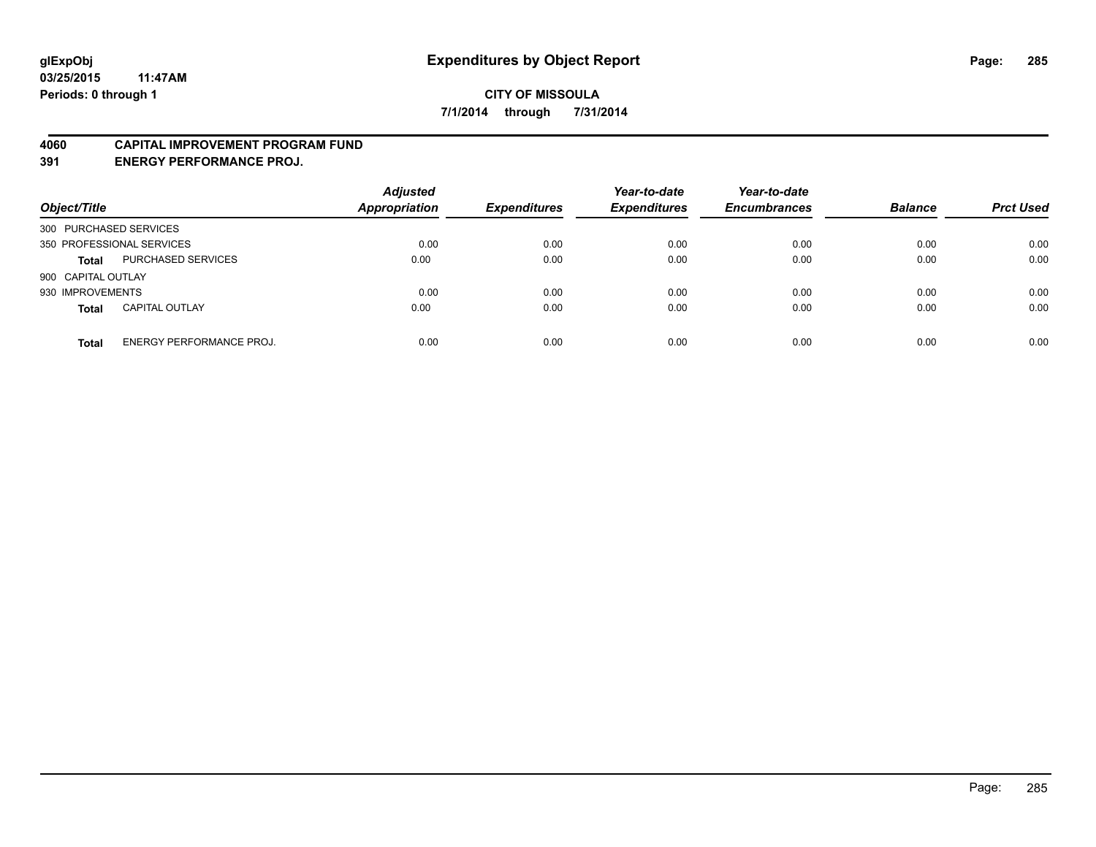### **4060 CAPITAL IMPROVEMENT PROGRAM FUND**

**391 ENERGY PERFORMANCE PROJ.**

| Object/Title                                    | <b>Adjusted</b><br><b>Appropriation</b> | <b>Expenditures</b> | Year-to-date<br><b>Expenditures</b> | Year-to-date<br><b>Encumbrances</b> | <b>Balance</b> | <b>Prct Used</b> |
|-------------------------------------------------|-----------------------------------------|---------------------|-------------------------------------|-------------------------------------|----------------|------------------|
| 300 PURCHASED SERVICES                          |                                         |                     |                                     |                                     |                |                  |
| 350 PROFESSIONAL SERVICES                       | 0.00                                    | 0.00                | 0.00                                | 0.00                                | 0.00           | 0.00             |
| PURCHASED SERVICES<br><b>Total</b>              | 0.00                                    | 0.00                | 0.00                                | 0.00                                | 0.00           | 0.00             |
| 900 CAPITAL OUTLAY                              |                                         |                     |                                     |                                     |                |                  |
| 930 IMPROVEMENTS                                | 0.00                                    | 0.00                | 0.00                                | 0.00                                | 0.00           | 0.00             |
| <b>CAPITAL OUTLAY</b><br><b>Total</b>           | 0.00                                    | 0.00                | 0.00                                | 0.00                                | 0.00           | 0.00             |
| <b>ENERGY PERFORMANCE PROJ.</b><br><b>Total</b> | 0.00                                    | 0.00                | 0.00                                | 0.00                                | 0.00           | 0.00             |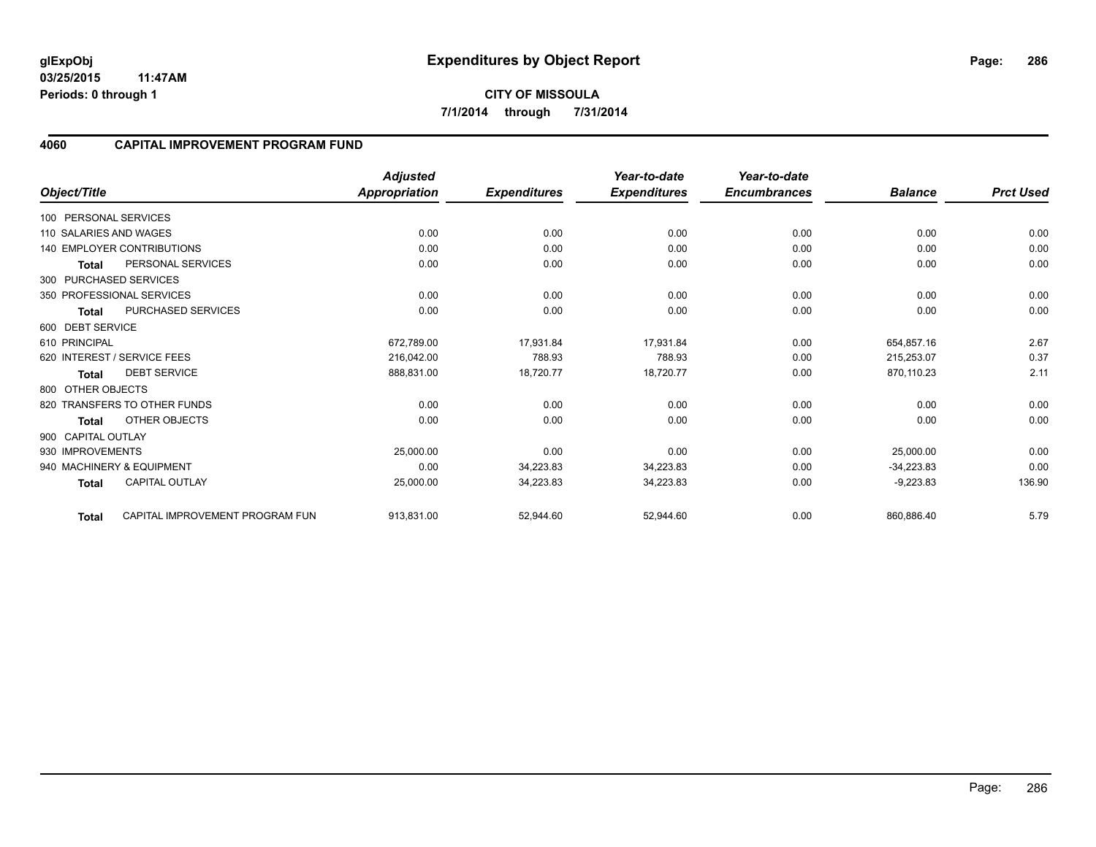**03/25/2015 11:47AM Periods: 0 through 1**

### **4060 CAPITAL IMPROVEMENT PROGRAM FUND**

|                        |                                   | <b>Adjusted</b>      |                     | Year-to-date        | Year-to-date        |                |                  |
|------------------------|-----------------------------------|----------------------|---------------------|---------------------|---------------------|----------------|------------------|
| Object/Title           |                                   | <b>Appropriation</b> | <b>Expenditures</b> | <b>Expenditures</b> | <b>Encumbrances</b> | <b>Balance</b> | <b>Prct Used</b> |
| 100 PERSONAL SERVICES  |                                   |                      |                     |                     |                     |                |                  |
| 110 SALARIES AND WAGES |                                   | 0.00                 | 0.00                | 0.00                | 0.00                | 0.00           | 0.00             |
|                        | <b>140 EMPLOYER CONTRIBUTIONS</b> | 0.00                 | 0.00                | 0.00                | 0.00                | 0.00           | 0.00             |
| <b>Total</b>           | PERSONAL SERVICES                 | 0.00                 | 0.00                | 0.00                | 0.00                | 0.00           | 0.00             |
| 300 PURCHASED SERVICES |                                   |                      |                     |                     |                     |                |                  |
|                        | 350 PROFESSIONAL SERVICES         | 0.00                 | 0.00                | 0.00                | 0.00                | 0.00           | 0.00             |
| <b>Total</b>           | <b>PURCHASED SERVICES</b>         | 0.00                 | 0.00                | 0.00                | 0.00                | 0.00           | 0.00             |
| 600 DEBT SERVICE       |                                   |                      |                     |                     |                     |                |                  |
| 610 PRINCIPAL          |                                   | 672,789.00           | 17,931.84           | 17.931.84           | 0.00                | 654,857.16     | 2.67             |
|                        | 620 INTEREST / SERVICE FEES       | 216.042.00           | 788.93              | 788.93              | 0.00                | 215,253.07     | 0.37             |
| Total                  | <b>DEBT SERVICE</b>               | 888,831.00           | 18,720.77           | 18,720.77           | 0.00                | 870,110.23     | 2.11             |
| 800 OTHER OBJECTS      |                                   |                      |                     |                     |                     |                |                  |
|                        | 820 TRANSFERS TO OTHER FUNDS      | 0.00                 | 0.00                | 0.00                | 0.00                | 0.00           | 0.00             |
| <b>Total</b>           | OTHER OBJECTS                     | 0.00                 | 0.00                | 0.00                | 0.00                | 0.00           | 0.00             |
| 900 CAPITAL OUTLAY     |                                   |                      |                     |                     |                     |                |                  |
| 930 IMPROVEMENTS       |                                   | 25,000.00            | 0.00                | 0.00                | 0.00                | 25,000.00      | 0.00             |
|                        | 940 MACHINERY & EQUIPMENT         | 0.00                 | 34.223.83           | 34.223.83           | 0.00                | $-34,223.83$   | 0.00             |
| <b>Total</b>           | <b>CAPITAL OUTLAY</b>             | 25,000.00            | 34,223.83           | 34,223.83           | 0.00                | $-9,223.83$    | 136.90           |
| <b>Total</b>           | CAPITAL IMPROVEMENT PROGRAM FUN   | 913,831.00           | 52,944.60           | 52,944.60           | 0.00                | 860,886.40     | 5.79             |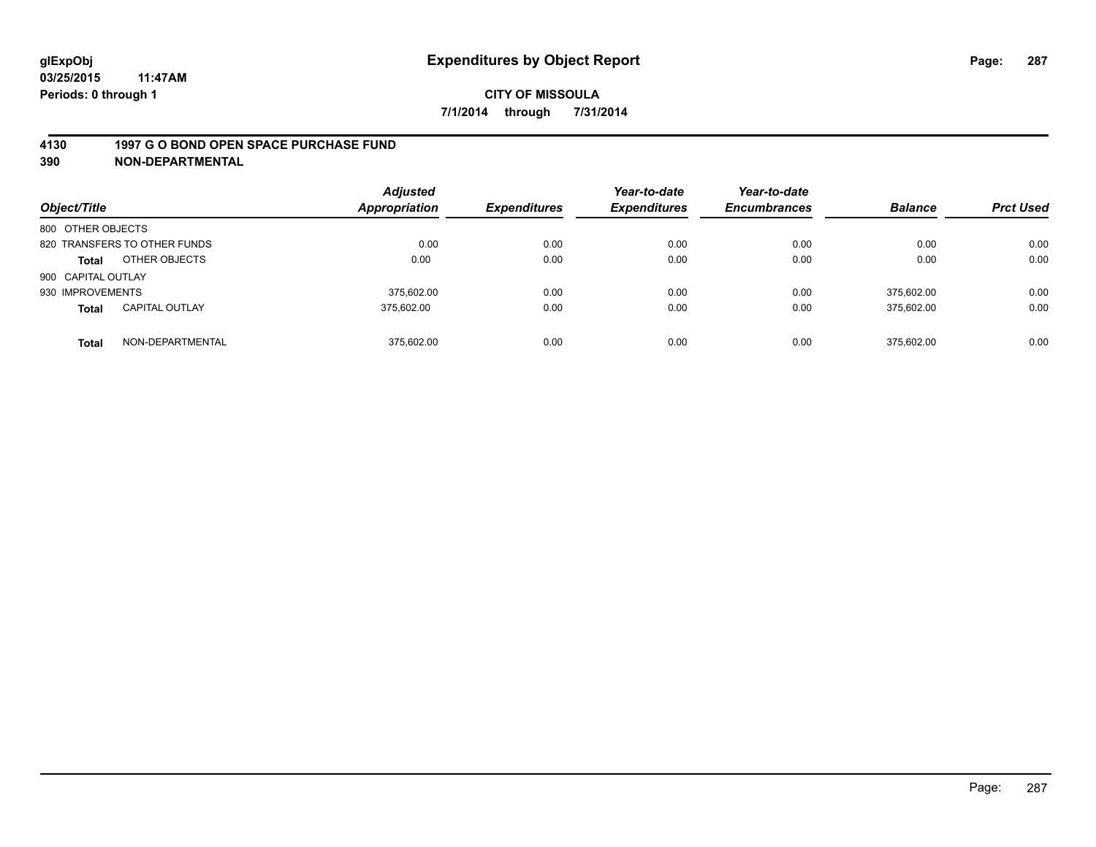### **4130 1997 G O BOND OPEN SPACE PURCHASE FUND**

| Object/Title                          | <b>Appropriation</b> | <b>Adjusted</b> | <b>Expenditures</b> | Year-to-date<br><b>Expenditures</b> | Year-to-date<br><b>Encumbrances</b> | <b>Balance</b> | <b>Prct Used</b> |
|---------------------------------------|----------------------|-----------------|---------------------|-------------------------------------|-------------------------------------|----------------|------------------|
| 800 OTHER OBJECTS                     |                      |                 |                     |                                     |                                     |                |                  |
| 820 TRANSFERS TO OTHER FUNDS          |                      | 0.00            | 0.00                | 0.00                                | 0.00                                | 0.00           | 0.00             |
| OTHER OBJECTS<br><b>Total</b>         |                      | 0.00            | 0.00                | 0.00                                | 0.00                                | 0.00           | 0.00             |
| 900 CAPITAL OUTLAY                    |                      |                 |                     |                                     |                                     |                |                  |
| 930 IMPROVEMENTS                      |                      | 375.602.00      | 0.00                | 0.00                                | 0.00                                | 375.602.00     | 0.00             |
| <b>CAPITAL OUTLAY</b><br><b>Total</b> | 375.602.00           |                 | 0.00                | 0.00                                | 0.00                                | 375,602.00     | 0.00             |
| NON-DEPARTMENTAL<br><b>Total</b>      |                      | 375.602.00      | 0.00                | 0.00                                | 0.00                                | 375.602.00     | 0.00             |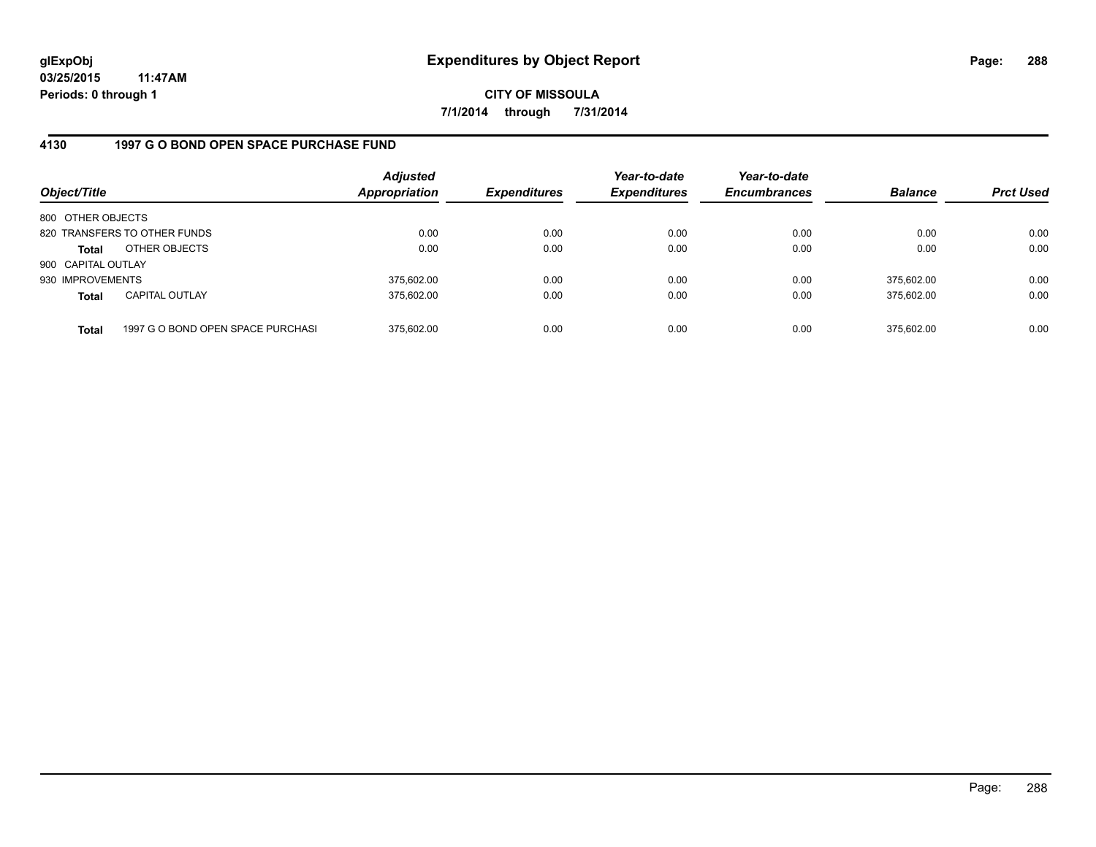**03/25/2015 11:47AM Periods: 0 through 1**

**CITY OF MISSOULA 7/1/2014 through 7/31/2014**

## **4130 1997 G O BOND OPEN SPACE PURCHASE FUND**

| Object/Title       |                                   | <b>Adjusted</b><br><b>Appropriation</b> | <b>Expenditures</b> | Year-to-date<br><b>Expenditures</b> | Year-to-date<br><b>Encumbrances</b> | <b>Balance</b> | <b>Prct Used</b> |
|--------------------|-----------------------------------|-----------------------------------------|---------------------|-------------------------------------|-------------------------------------|----------------|------------------|
| 800 OTHER OBJECTS  |                                   |                                         |                     |                                     |                                     |                |                  |
|                    | 820 TRANSFERS TO OTHER FUNDS      | 0.00                                    | 0.00                | 0.00                                | 0.00                                | 0.00           | 0.00             |
| Total              | OTHER OBJECTS                     | 0.00                                    | 0.00                | 0.00                                | 0.00                                | 0.00           | 0.00             |
| 900 CAPITAL OUTLAY |                                   |                                         |                     |                                     |                                     |                |                  |
| 930 IMPROVEMENTS   |                                   | 375,602.00                              | 0.00                | 0.00                                | 0.00                                | 375.602.00     | 0.00             |
| <b>Total</b>       | <b>CAPITAL OUTLAY</b>             | 375.602.00                              | 0.00                | 0.00                                | 0.00                                | 375.602.00     | 0.00             |
| <b>Total</b>       | 1997 G O BOND OPEN SPACE PURCHASI | 375.602.00                              | 0.00                | 0.00                                | 0.00                                | 375,602.00     | 0.00             |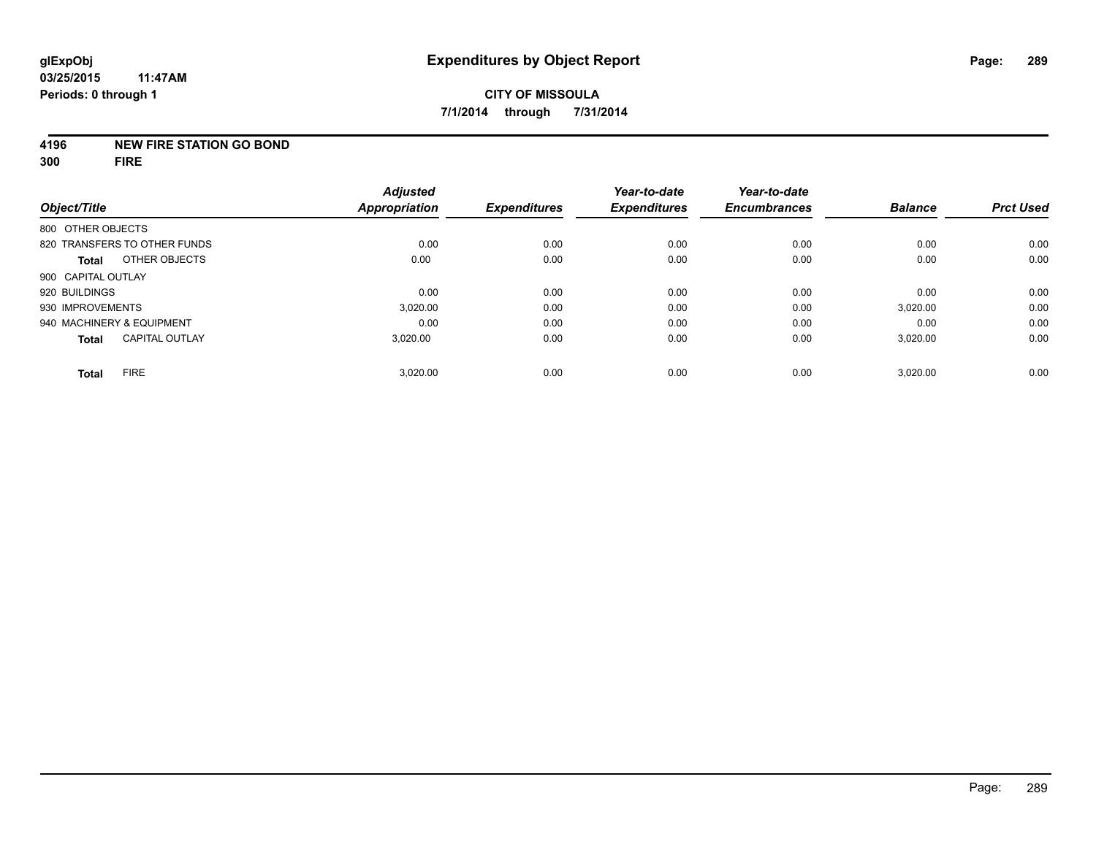#### **4196 NEW FIRE STATION GO BOND**

**300 FIRE**

| Object/Title                          | <b>Adjusted</b><br><b>Appropriation</b> | <b>Expenditures</b> | Year-to-date<br><b>Expenditures</b> | Year-to-date<br><b>Encumbrances</b> | <b>Balance</b> | <b>Prct Used</b> |
|---------------------------------------|-----------------------------------------|---------------------|-------------------------------------|-------------------------------------|----------------|------------------|
| 800 OTHER OBJECTS                     |                                         |                     |                                     |                                     |                |                  |
| 820 TRANSFERS TO OTHER FUNDS          | 0.00                                    | 0.00                | 0.00                                | 0.00                                | 0.00           | 0.00             |
| OTHER OBJECTS<br><b>Total</b>         | 0.00                                    | 0.00                | 0.00                                | 0.00                                | 0.00           | 0.00             |
| 900 CAPITAL OUTLAY                    |                                         |                     |                                     |                                     |                |                  |
| 920 BUILDINGS                         | 0.00                                    | 0.00                | 0.00                                | 0.00                                | 0.00           | 0.00             |
| 930 IMPROVEMENTS                      | 3.020.00                                | 0.00                | 0.00                                | 0.00                                | 3,020.00       | 0.00             |
| 940 MACHINERY & EQUIPMENT             | 0.00                                    | 0.00                | 0.00                                | 0.00                                | 0.00           | 0.00             |
| <b>CAPITAL OUTLAY</b><br><b>Total</b> | 3,020.00                                | 0.00                | 0.00                                | 0.00                                | 3,020.00       | 0.00             |
| <b>FIRE</b>                           | 3,020.00                                | 0.00                | 0.00                                | 0.00                                | 3,020.00       | 0.00             |
| <b>Total</b>                          |                                         |                     |                                     |                                     |                |                  |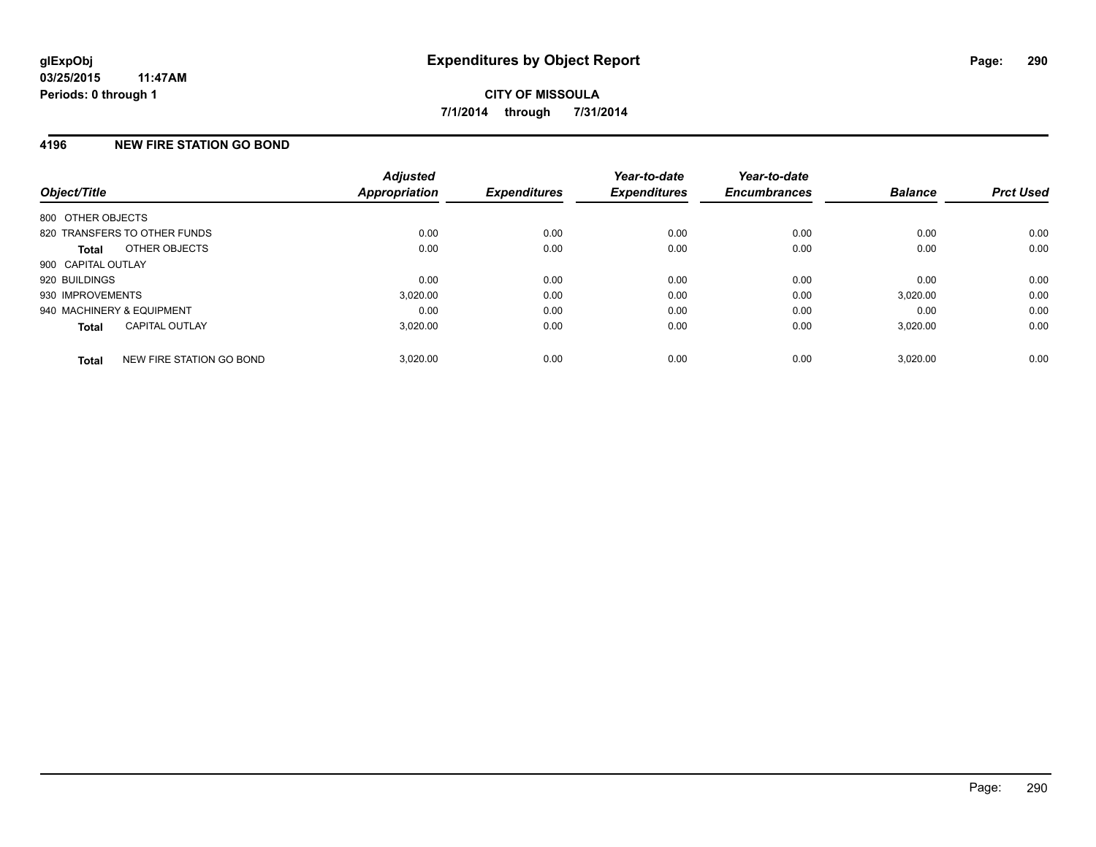# **4196 NEW FIRE STATION GO BOND**

| Object/Title              |                              | <b>Adjusted</b><br><b>Appropriation</b> | <b>Expenditures</b> | Year-to-date<br><b>Expenditures</b> | Year-to-date<br><b>Encumbrances</b> | <b>Balance</b> | <b>Prct Used</b> |
|---------------------------|------------------------------|-----------------------------------------|---------------------|-------------------------------------|-------------------------------------|----------------|------------------|
| 800 OTHER OBJECTS         |                              |                                         |                     |                                     |                                     |                |                  |
|                           | 820 TRANSFERS TO OTHER FUNDS | 0.00                                    | 0.00                | 0.00                                | 0.00                                | 0.00           | 0.00             |
| <b>Total</b>              | OTHER OBJECTS                | 0.00                                    | 0.00                | 0.00                                | 0.00                                | 0.00           | 0.00             |
| 900 CAPITAL OUTLAY        |                              |                                         |                     |                                     |                                     |                |                  |
| 920 BUILDINGS             |                              | 0.00                                    | 0.00                | 0.00                                | 0.00                                | 0.00           | 0.00             |
| 930 IMPROVEMENTS          |                              | 3,020.00                                | 0.00                | 0.00                                | 0.00                                | 3,020.00       | 0.00             |
| 940 MACHINERY & EQUIPMENT |                              | 0.00                                    | 0.00                | 0.00                                | 0.00                                | 0.00           | 0.00             |
| <b>Total</b>              | <b>CAPITAL OUTLAY</b>        | 3.020.00                                | 0.00                | 0.00                                | 0.00                                | 3,020.00       | 0.00             |
| <b>Total</b>              | NEW FIRE STATION GO BOND     | 3.020.00                                | 0.00                | 0.00                                | 0.00                                | 3,020.00       | 0.00             |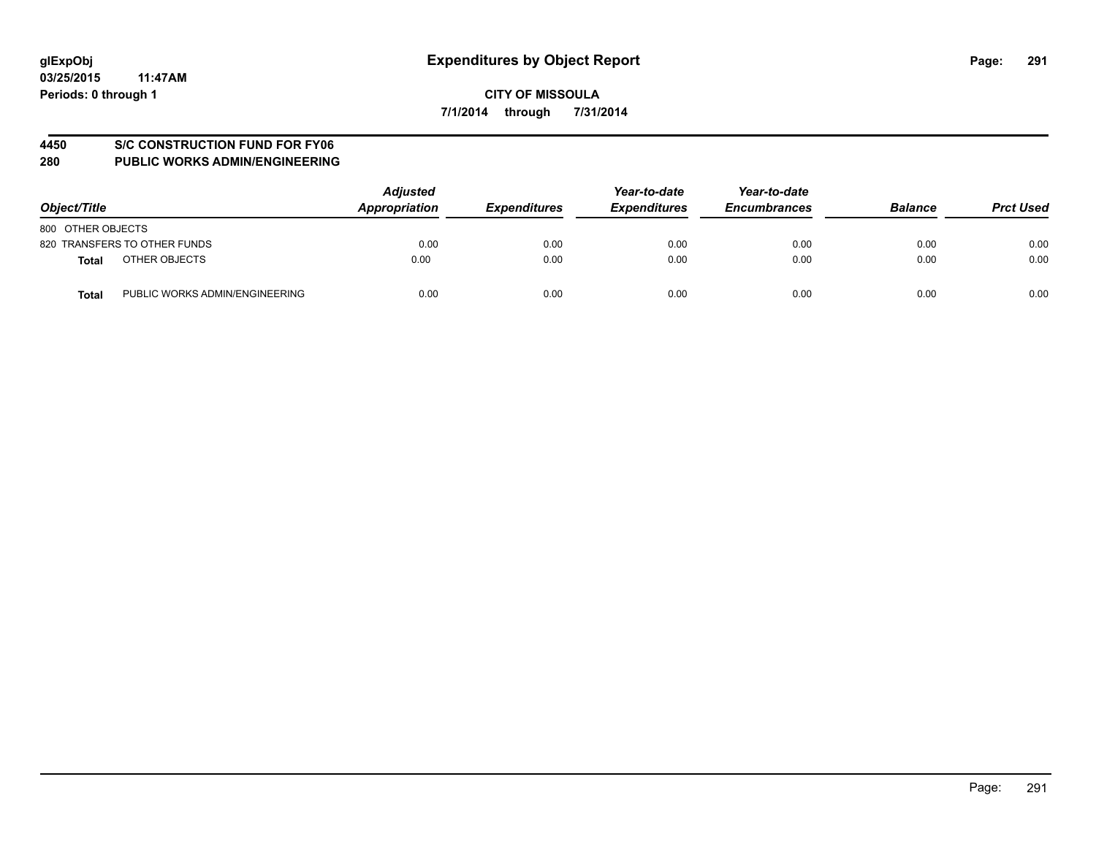#### **4450 S/C CONSTRUCTION FUND FOR FY06**

| Object/Title                                   | <b>Adjusted</b><br>Appropriation | <b>Expenditures</b> | Year-to-date<br><b>Expenditures</b> | Year-to-date<br><b>Encumbrances</b> | <b>Balance</b> | <b>Prct Used</b> |
|------------------------------------------------|----------------------------------|---------------------|-------------------------------------|-------------------------------------|----------------|------------------|
| 800 OTHER OBJECTS                              |                                  |                     |                                     |                                     |                |                  |
| 820 TRANSFERS TO OTHER FUNDS                   | 0.00                             | 0.00                | 0.00                                | 0.00                                | 0.00           | 0.00             |
| OTHER OBJECTS<br><b>Total</b>                  | 0.00                             | 0.00                | 0.00                                | 0.00                                | 0.00           | 0.00             |
| PUBLIC WORKS ADMIN/ENGINEERING<br><b>Total</b> | 0.00                             | 0.00                | 0.00                                | 0.00                                | 0.00           | 0.00             |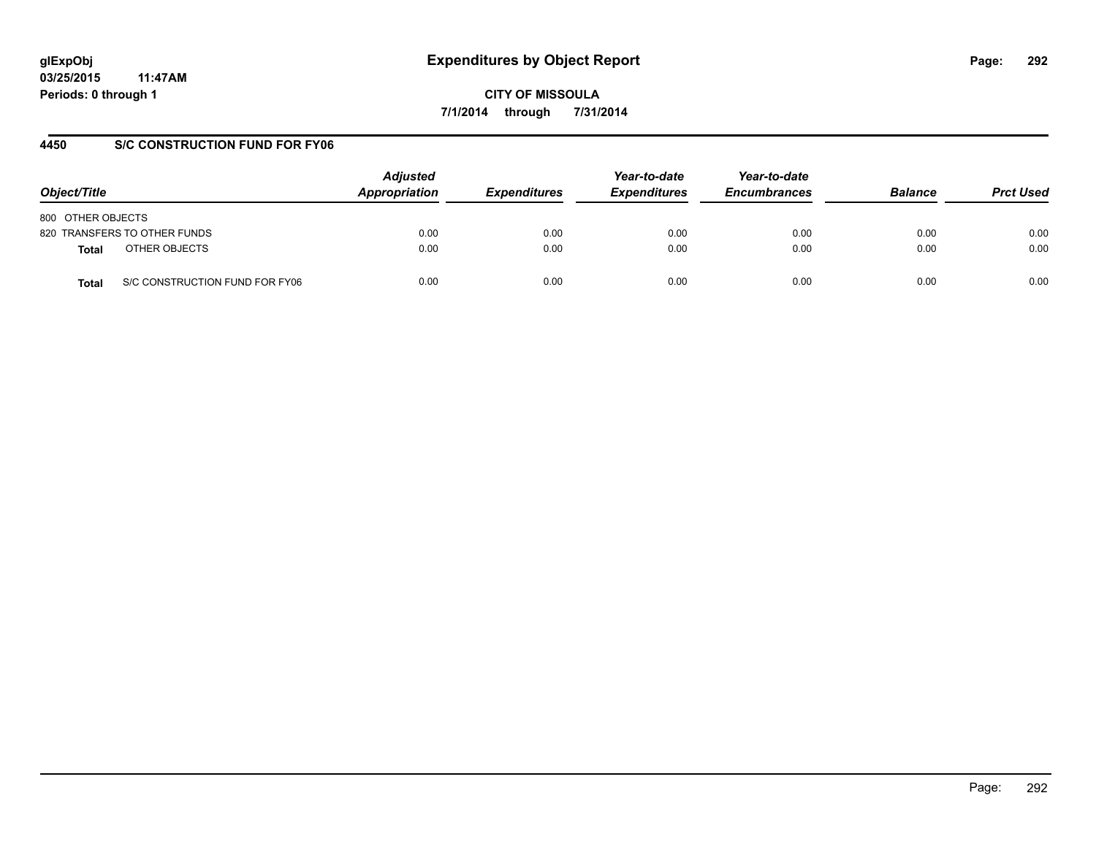**03/25/2015 11:47AM Periods: 0 through 1**

**CITY OF MISSOULA 7/1/2014 through 7/31/2014**

# **4450 S/C CONSTRUCTION FUND FOR FY06**

| Object/Title                            | <b>Adjusted</b><br>Appropriation | <b>Expenditures</b> | Year-to-date<br><b>Expenditures</b> | Year-to-date<br><b>Encumbrances</b> | <b>Balance</b> | <b>Prct Used</b> |
|-----------------------------------------|----------------------------------|---------------------|-------------------------------------|-------------------------------------|----------------|------------------|
| 800 OTHER OBJECTS                       |                                  |                     |                                     |                                     |                |                  |
| 820 TRANSFERS TO OTHER FUNDS            | 0.00                             | 0.00                | 0.00                                | 0.00                                | 0.00           | 0.00             |
| OTHER OBJECTS<br>Total                  | 0.00                             | 0.00                | 0.00                                | 0.00                                | 0.00           | 0.00             |
| S/C CONSTRUCTION FUND FOR FY06<br>Total | 0.00                             | 0.00                | 0.00                                | 0.00                                | 0.00           | 0.00             |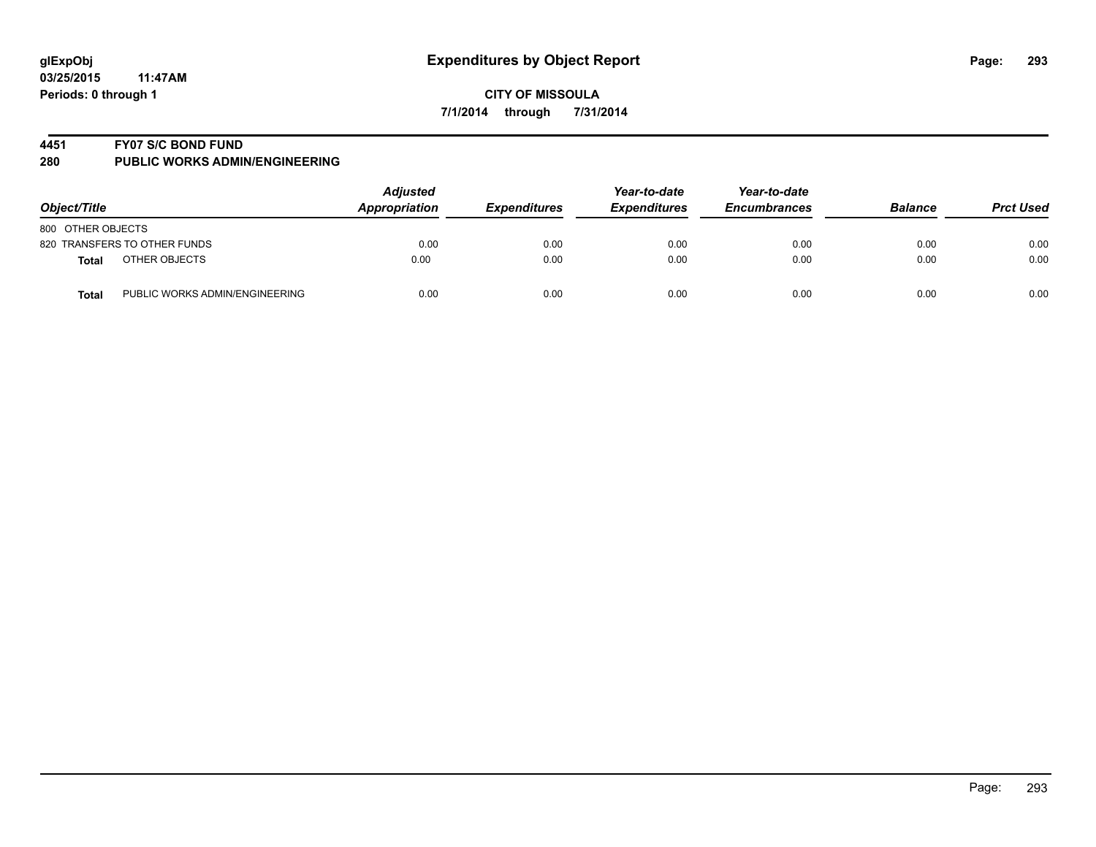#### **4451 FY07 S/C BOND FUND**

| Object/Title                                   | <b>Adjusted</b><br><b>Appropriation</b> | <b>Expenditures</b> | Year-to-date<br><b>Expenditures</b> | Year-to-date<br><b>Encumbrances</b> | <b>Balance</b> | <b>Prct Used</b> |
|------------------------------------------------|-----------------------------------------|---------------------|-------------------------------------|-------------------------------------|----------------|------------------|
| 800 OTHER OBJECTS                              |                                         |                     |                                     |                                     |                |                  |
| 820 TRANSFERS TO OTHER FUNDS                   | 0.00                                    | 0.00                | 0.00                                | 0.00                                | 0.00           | 0.00             |
| OTHER OBJECTS<br><b>Total</b>                  | 0.00                                    | 0.00                | 0.00                                | 0.00                                | 0.00           | 0.00             |
| PUBLIC WORKS ADMIN/ENGINEERING<br><b>Total</b> | 0.00                                    | 0.00                | 0.00                                | 0.00                                | 0.00           | 0.00             |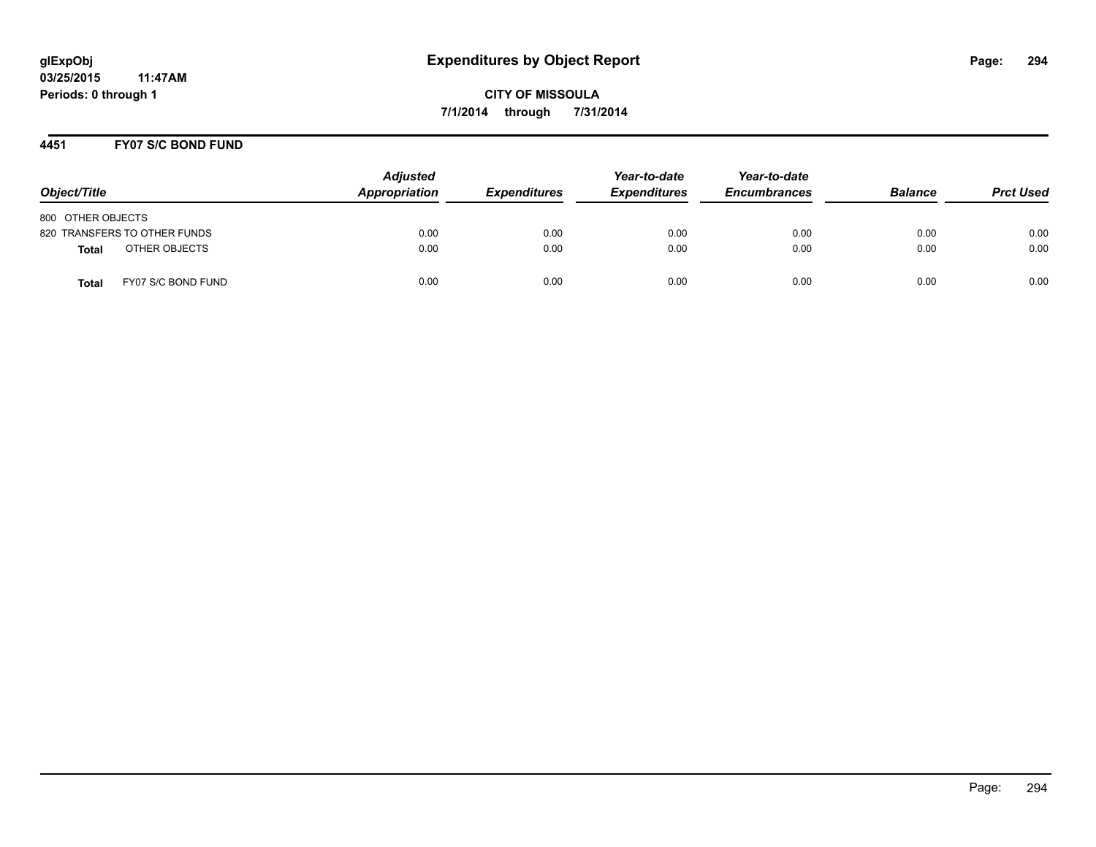# **4451 FY07 S/C BOND FUND**

| Object/Title                       | <b>Adjusted</b><br>Appropriation | <b>Expenditures</b> | Year-to-date<br><b>Expenditures</b> | Year-to-date<br><b>Encumbrances</b> | <b>Balance</b> | <b>Prct Used</b> |
|------------------------------------|----------------------------------|---------------------|-------------------------------------|-------------------------------------|----------------|------------------|
| 800 OTHER OBJECTS                  |                                  |                     |                                     |                                     |                |                  |
| 820 TRANSFERS TO OTHER FUNDS       | 0.00                             | 0.00                | 0.00                                | 0.00                                | 0.00           | 0.00             |
| OTHER OBJECTS<br><b>Total</b>      | 0.00                             | 0.00                | 0.00                                | 0.00                                | 0.00           | 0.00             |
| FY07 S/C BOND FUND<br><b>Total</b> | 0.00                             | 0.00                | 0.00                                | 0.00                                | 0.00           | 0.00             |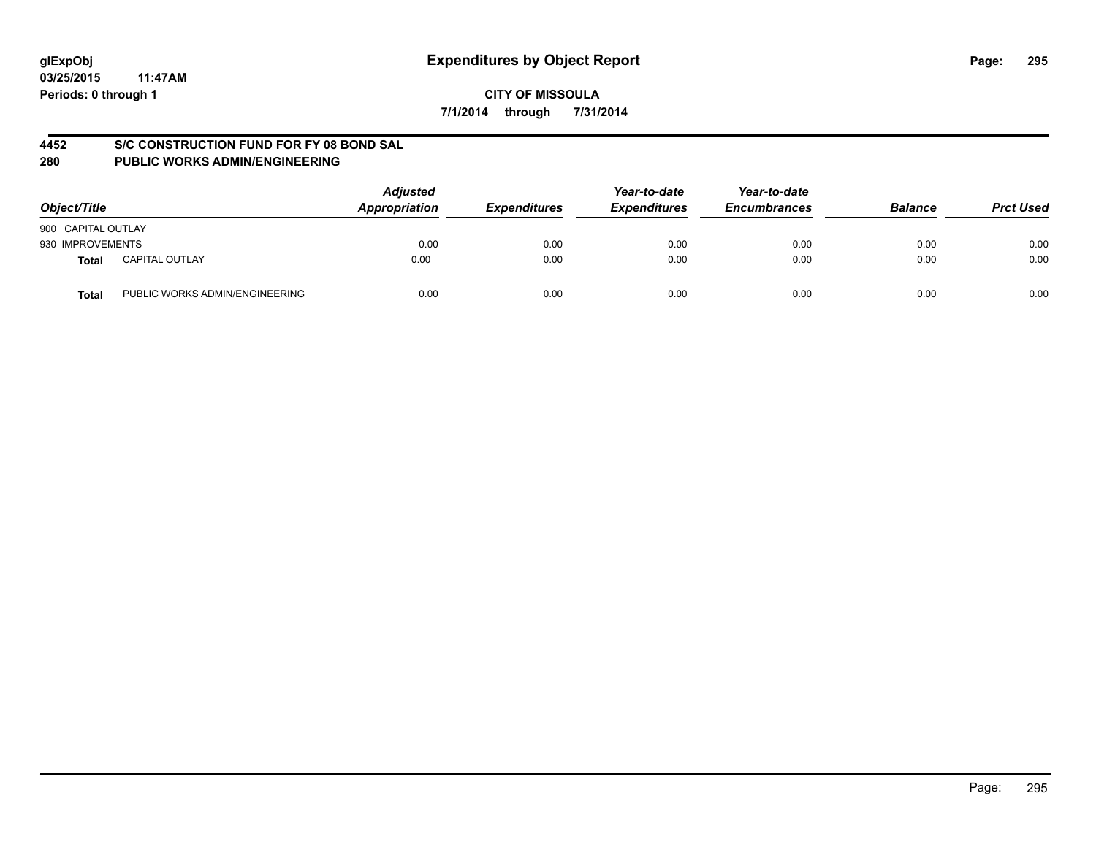# **4452 S/C CONSTRUCTION FUND FOR FY 08 BOND SAL**

| Object/Title       |                                | <b>Adjusted</b><br>Appropriation | <b>Expenditures</b> | Year-to-date<br><b>Expenditures</b> | Year-to-date<br><b>Encumbrances</b> | <b>Balance</b> | <b>Prct Used</b> |
|--------------------|--------------------------------|----------------------------------|---------------------|-------------------------------------|-------------------------------------|----------------|------------------|
| 900 CAPITAL OUTLAY |                                |                                  |                     |                                     |                                     |                |                  |
| 930 IMPROVEMENTS   |                                | 0.00                             | 0.00                | 0.00                                | 0.00                                | 0.00           | 0.00             |
| <b>Total</b>       | <b>CAPITAL OUTLAY</b>          | 0.00                             | 0.00                | 0.00                                | 0.00                                | 0.00           | 0.00             |
| <b>Total</b>       | PUBLIC WORKS ADMIN/ENGINEERING | 0.00                             | 0.00                | 0.00                                | 0.00                                | 0.00           | 0.00             |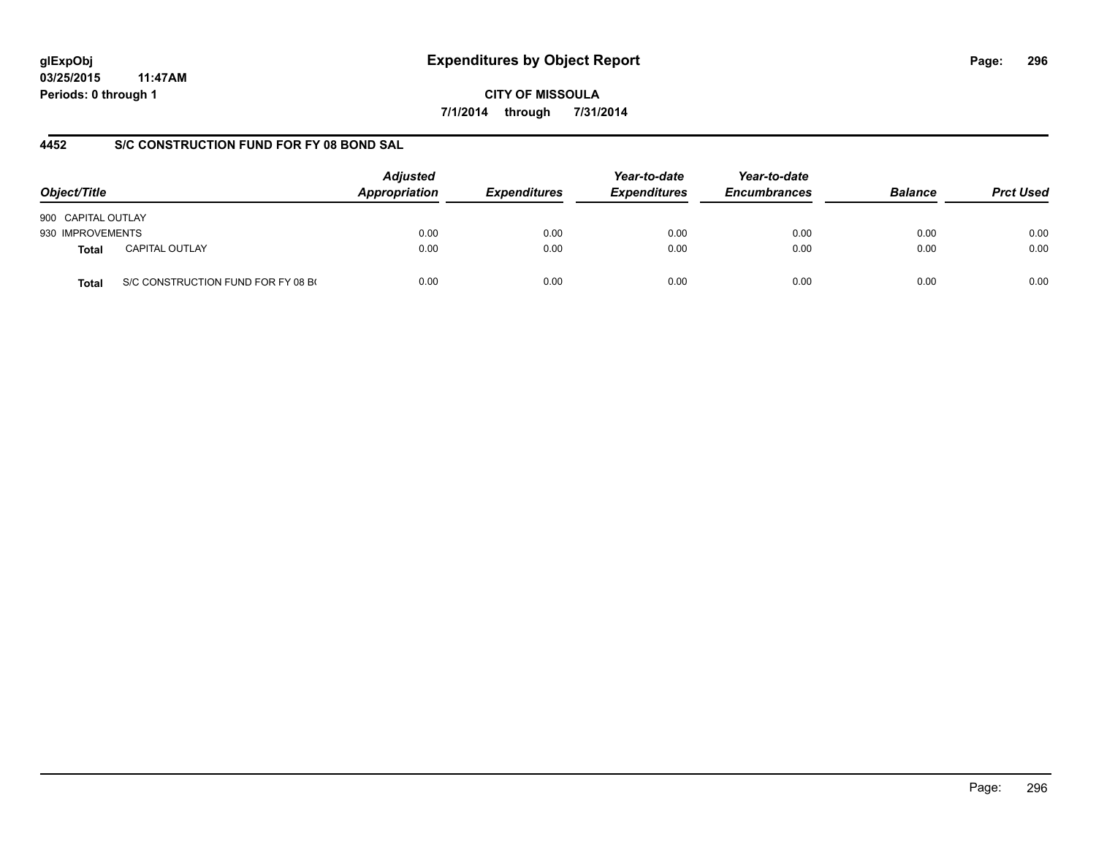# **glExpObj Expenditures by Object Report Page: 296**

**03/25/2015 11:47AM Periods: 0 through 1**

**CITY OF MISSOULA 7/1/2014 through 7/31/2014**

# **4452 S/C CONSTRUCTION FUND FOR FY 08 BOND SAL**

| Object/Title       |                                    | <b>Adjusted</b><br>Appropriation | <b>Expenditures</b> | Year-to-date<br><b>Expenditures</b> | Year-to-date<br><b>Encumbrances</b> | <b>Balance</b> | <b>Prct Used</b> |
|--------------------|------------------------------------|----------------------------------|---------------------|-------------------------------------|-------------------------------------|----------------|------------------|
| 900 CAPITAL OUTLAY |                                    |                                  |                     |                                     |                                     |                |                  |
| 930 IMPROVEMENTS   |                                    | 0.00                             | 0.00                | 0.00                                | 0.00                                | 0.00           | 0.00             |
| <b>Total</b>       | <b>CAPITAL OUTLAY</b>              | 0.00                             | 0.00                | 0.00                                | 0.00                                | 0.00           | 0.00             |
| Total              | S/C CONSTRUCTION FUND FOR FY 08 BO | 0.00                             | 0.00                | 0.00                                | 0.00                                | 0.00           | 0.00             |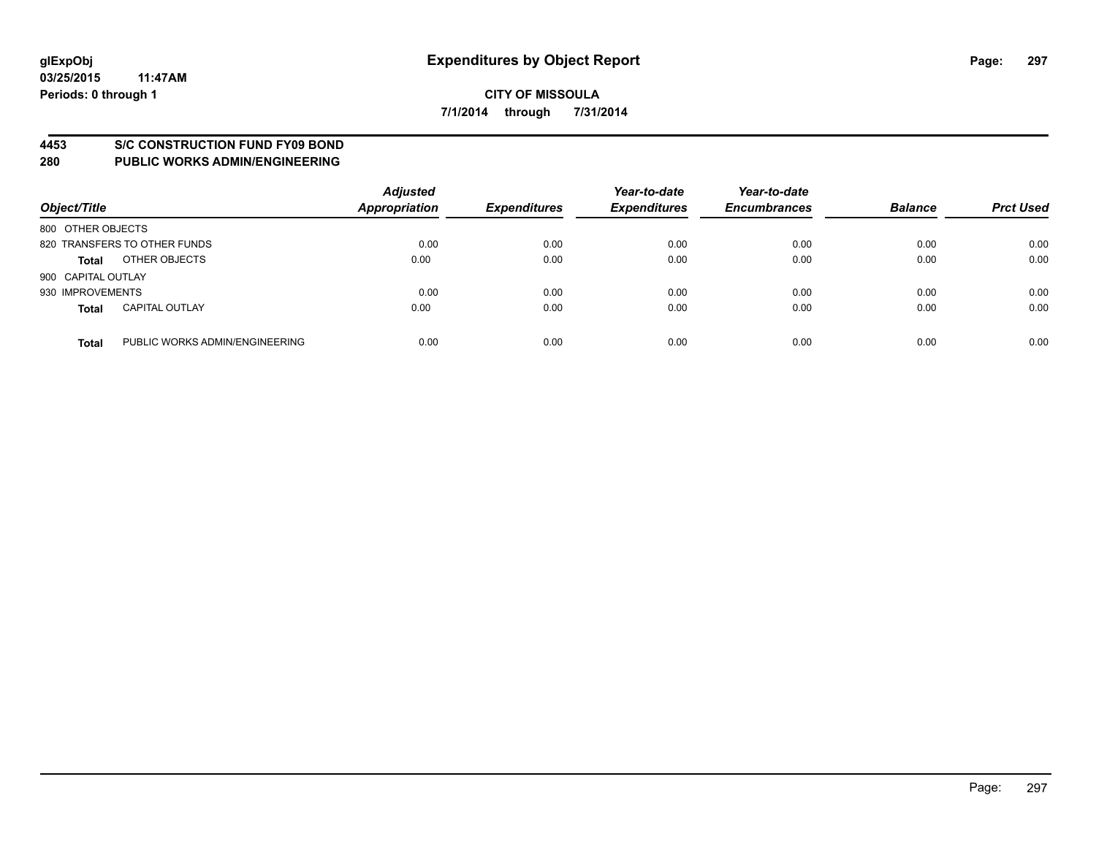#### **4453 S/C CONSTRUCTION FUND FY09 BOND**

| Object/Title       |                                | <b>Adjusted</b><br><b>Appropriation</b> | <b>Expenditures</b> | Year-to-date<br><b>Expenditures</b> | Year-to-date<br><b>Encumbrances</b> | <b>Balance</b> | <b>Prct Used</b> |
|--------------------|--------------------------------|-----------------------------------------|---------------------|-------------------------------------|-------------------------------------|----------------|------------------|
| 800 OTHER OBJECTS  |                                |                                         |                     |                                     |                                     |                |                  |
|                    | 820 TRANSFERS TO OTHER FUNDS   | 0.00                                    | 0.00                | 0.00                                | 0.00                                | 0.00           | 0.00             |
| <b>Total</b>       | OTHER OBJECTS                  | 0.00                                    | 0.00                | 0.00                                | 0.00                                | 0.00           | 0.00             |
| 900 CAPITAL OUTLAY |                                |                                         |                     |                                     |                                     |                |                  |
| 930 IMPROVEMENTS   |                                | 0.00                                    | 0.00                | 0.00                                | 0.00                                | 0.00           | 0.00             |
| <b>Total</b>       | <b>CAPITAL OUTLAY</b>          | 0.00                                    | 0.00                | 0.00                                | 0.00                                | 0.00           | 0.00             |
| <b>Total</b>       | PUBLIC WORKS ADMIN/ENGINEERING | 0.00                                    | 0.00                | 0.00                                | 0.00                                | 0.00           | 0.00             |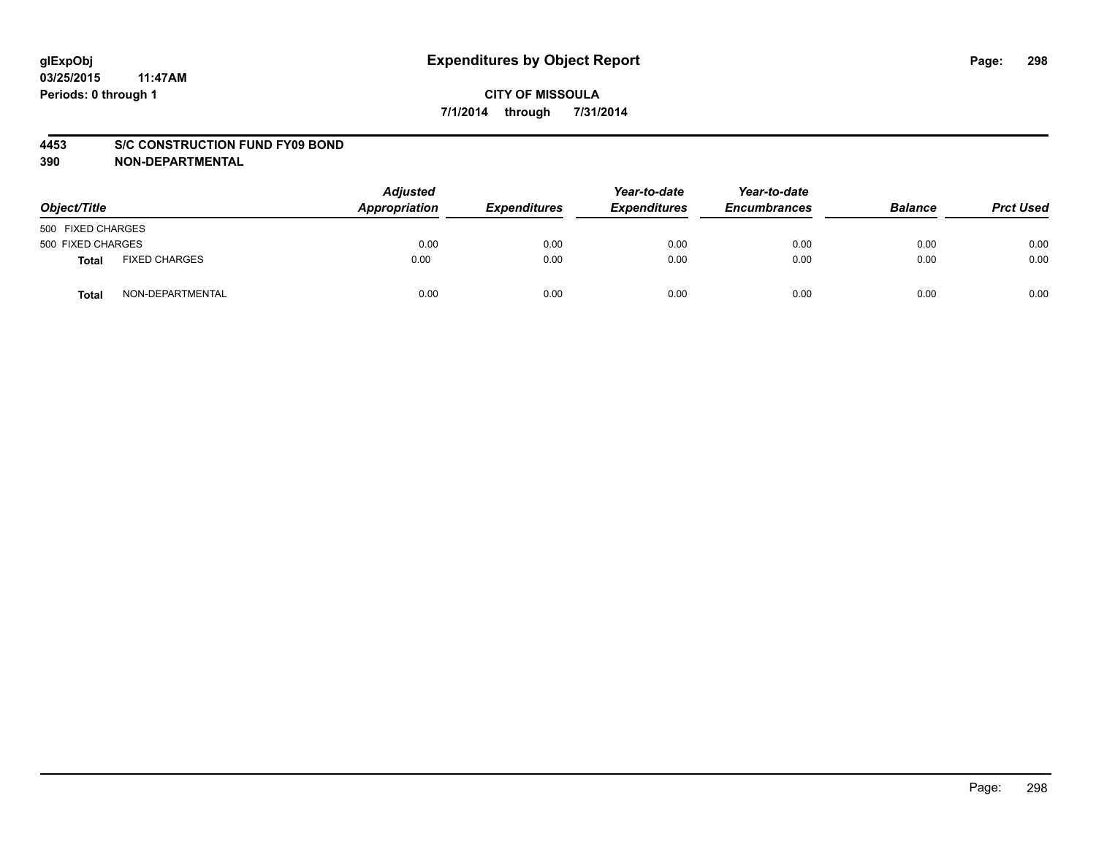#### **4453 S/C CONSTRUCTION FUND FY09 BOND**

| Object/Title      |                      | <b>Adjusted</b><br>Appropriation | <b>Expenditures</b> | Year-to-date<br><b>Expenditures</b> | Year-to-date<br><b>Encumbrances</b> | <b>Balance</b> | <b>Prct Used</b> |
|-------------------|----------------------|----------------------------------|---------------------|-------------------------------------|-------------------------------------|----------------|------------------|
| 500 FIXED CHARGES |                      |                                  |                     |                                     |                                     |                |                  |
| 500 FIXED CHARGES |                      | 0.00                             | 0.00                | 0.00                                | 0.00                                | 0.00           | 0.00             |
| Total             | <b>FIXED CHARGES</b> | 0.00                             | 0.00                | 0.00                                | 0.00                                | 0.00           | 0.00             |
| Total             | NON-DEPARTMENTAL     | 0.00                             | 0.00                | 0.00                                | 0.00                                | 0.00           | 0.00             |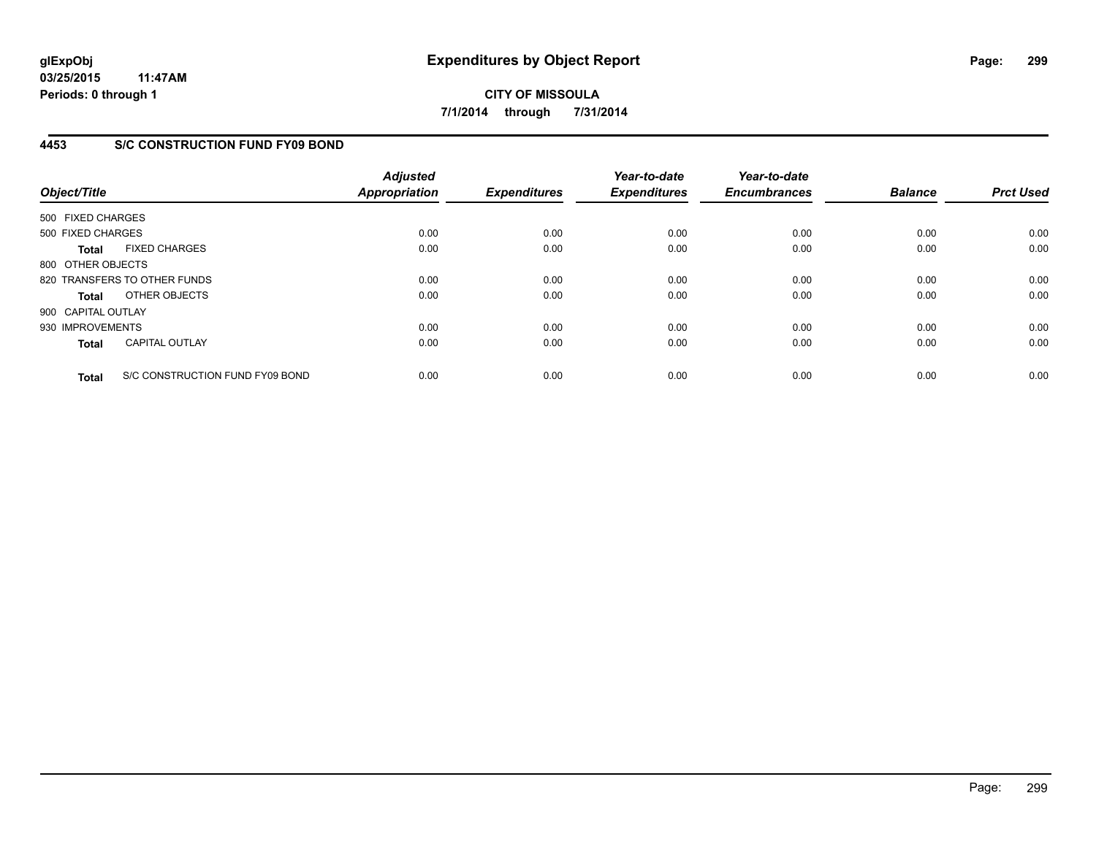**03/25/2015 11:47AM Periods: 0 through 1**

# **CITY OF MISSOULA 7/1/2014 through 7/31/2014**

# **4453 S/C CONSTRUCTION FUND FY09 BOND**

| Object/Title       |                                 | <b>Adjusted</b><br><b>Appropriation</b> | <b>Expenditures</b> | Year-to-date<br><b>Expenditures</b> | Year-to-date<br><b>Encumbrances</b> | <b>Balance</b> | <b>Prct Used</b> |
|--------------------|---------------------------------|-----------------------------------------|---------------------|-------------------------------------|-------------------------------------|----------------|------------------|
| 500 FIXED CHARGES  |                                 |                                         |                     |                                     |                                     |                |                  |
| 500 FIXED CHARGES  |                                 | 0.00                                    | 0.00                | 0.00                                | 0.00                                | 0.00           | 0.00             |
| <b>Total</b>       | <b>FIXED CHARGES</b>            | 0.00                                    | 0.00                | 0.00                                | 0.00                                | 0.00           | 0.00             |
| 800 OTHER OBJECTS  |                                 |                                         |                     |                                     |                                     |                |                  |
|                    | 820 TRANSFERS TO OTHER FUNDS    | 0.00                                    | 0.00                | 0.00                                | 0.00                                | 0.00           | 0.00             |
| <b>Total</b>       | OTHER OBJECTS                   | 0.00                                    | 0.00                | 0.00                                | 0.00                                | 0.00           | 0.00             |
| 900 CAPITAL OUTLAY |                                 |                                         |                     |                                     |                                     |                |                  |
| 930 IMPROVEMENTS   |                                 | 0.00                                    | 0.00                | 0.00                                | 0.00                                | 0.00           | 0.00             |
| <b>Total</b>       | <b>CAPITAL OUTLAY</b>           | 0.00                                    | 0.00                | 0.00                                | 0.00                                | 0.00           | 0.00             |
| <b>Total</b>       | S/C CONSTRUCTION FUND FY09 BOND | 0.00                                    | 0.00                | 0.00                                | 0.00                                | 0.00           | 0.00             |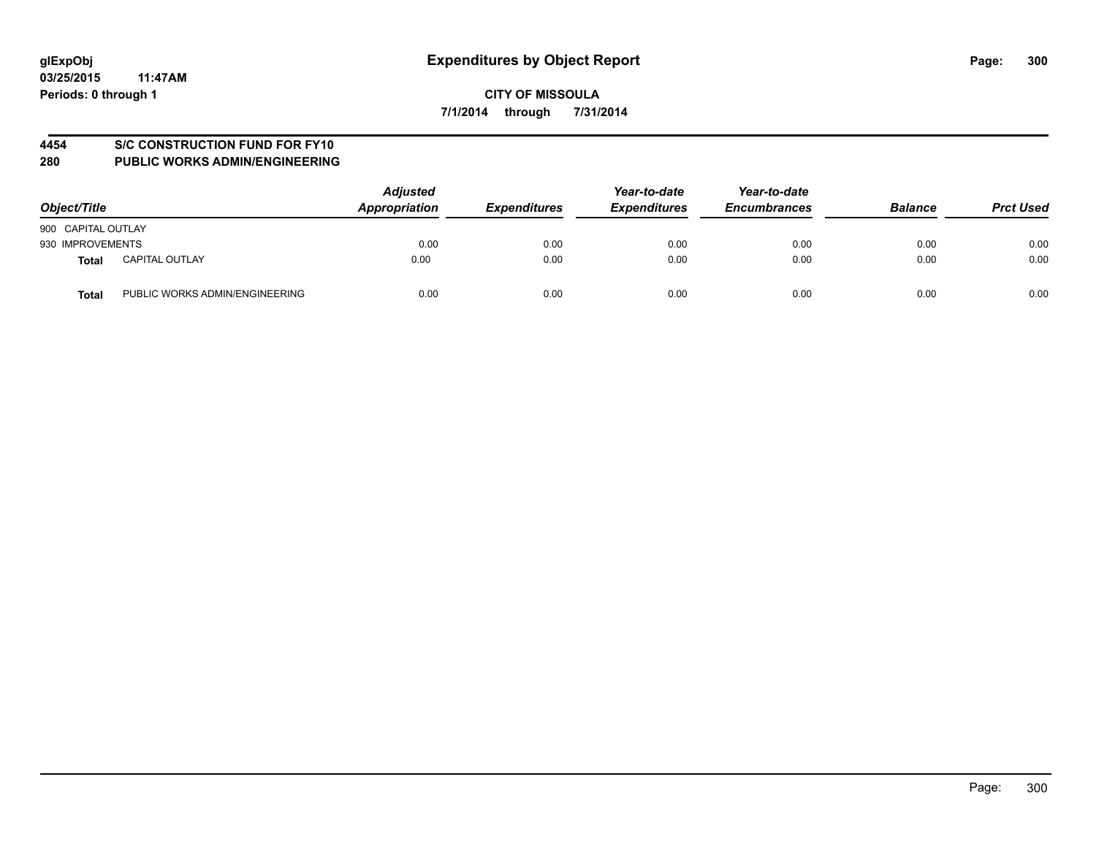# **4454 S/C CONSTRUCTION FUND FOR FY10**

| Object/Title                            | <b>Adjusted</b><br>Appropriation | <b>Expenditures</b> | Year-to-date<br><b>Expenditures</b> | Year-to-date<br><b>Encumbrances</b> | <b>Balance</b> | <b>Prct Used</b> |
|-----------------------------------------|----------------------------------|---------------------|-------------------------------------|-------------------------------------|----------------|------------------|
| 900 CAPITAL OUTLAY                      |                                  |                     |                                     |                                     |                |                  |
| 930 IMPROVEMENTS                        | 0.00                             | 0.00                | 0.00                                | 0.00                                | 0.00           | 0.00             |
| <b>CAPITAL OUTLAY</b><br>Total          | 0.00                             | 0.00                | 0.00                                | 0.00                                | 0.00           | 0.00             |
| PUBLIC WORKS ADMIN/ENGINEERING<br>Total | 0.00                             | 0.00                | 0.00                                | 0.00                                | 0.00           | 0.00             |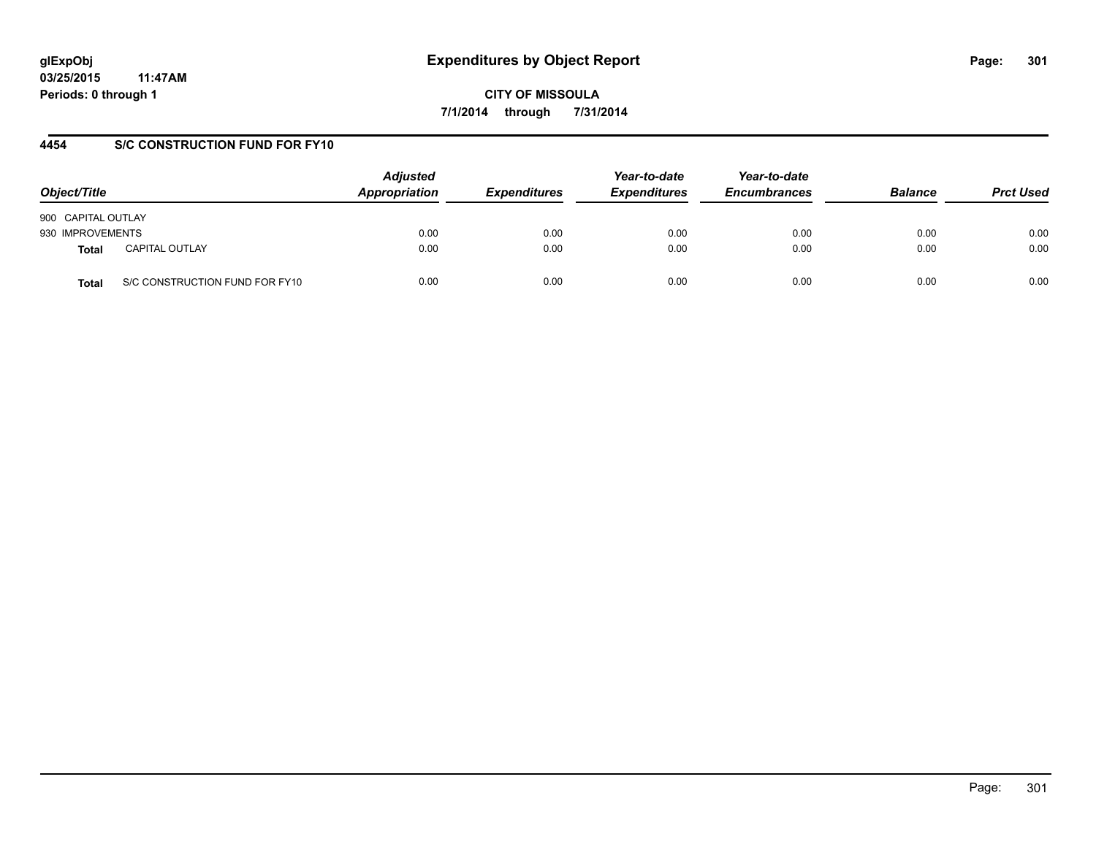**03/25/2015 11:47AM Periods: 0 through 1**

**CITY OF MISSOULA 7/1/2014 through 7/31/2014**

# **4454 S/C CONSTRUCTION FUND FOR FY10**

| Object/Title       |                                | <b>Adjusted</b><br>Appropriation | <b>Expenditures</b> | Year-to-date<br><b>Expenditures</b> | Year-to-date<br><b>Encumbrances</b> | <b>Balance</b> | <b>Prct Used</b> |
|--------------------|--------------------------------|----------------------------------|---------------------|-------------------------------------|-------------------------------------|----------------|------------------|
| 900 CAPITAL OUTLAY |                                |                                  |                     |                                     |                                     |                |                  |
| 930 IMPROVEMENTS   |                                | 0.00                             | 0.00                | 0.00                                | 0.00                                | 0.00           | 0.00             |
| <b>Total</b>       | <b>CAPITAL OUTLAY</b>          | 0.00                             | 0.00                | 0.00                                | 0.00                                | 0.00           | 0.00             |
| Total              | S/C CONSTRUCTION FUND FOR FY10 | 0.00                             | 0.00                | 0.00                                | 0.00                                | 0.00           | 0.00             |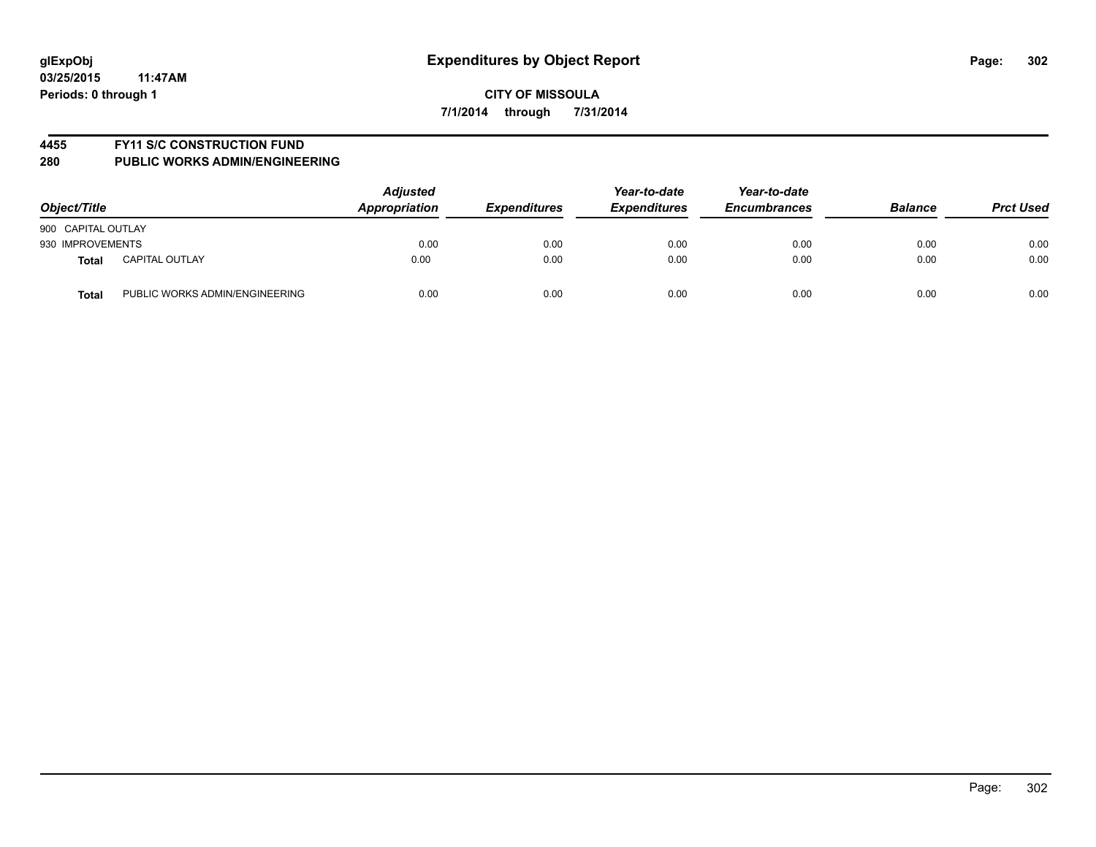#### **4455 FY11 S/C CONSTRUCTION FUND**

| Object/Title       |                                | <b>Adjusted</b><br>Appropriation | <b>Expenditures</b> | Year-to-date<br><b>Expenditures</b> | Year-to-date<br><b>Encumbrances</b> | <b>Balance</b> | <b>Prct Used</b> |
|--------------------|--------------------------------|----------------------------------|---------------------|-------------------------------------|-------------------------------------|----------------|------------------|
| 900 CAPITAL OUTLAY |                                |                                  |                     |                                     |                                     |                |                  |
| 930 IMPROVEMENTS   |                                | 0.00                             | 0.00                | 0.00                                | 0.00                                | 0.00           | 0.00             |
| <b>Total</b>       | <b>CAPITAL OUTLAY</b>          | 0.00                             | 0.00                | 0.00                                | 0.00                                | 0.00           | 0.00             |
| <b>Total</b>       | PUBLIC WORKS ADMIN/ENGINEERING | 0.00                             | 0.00                | 0.00                                | 0.00                                | 0.00           | 0.00             |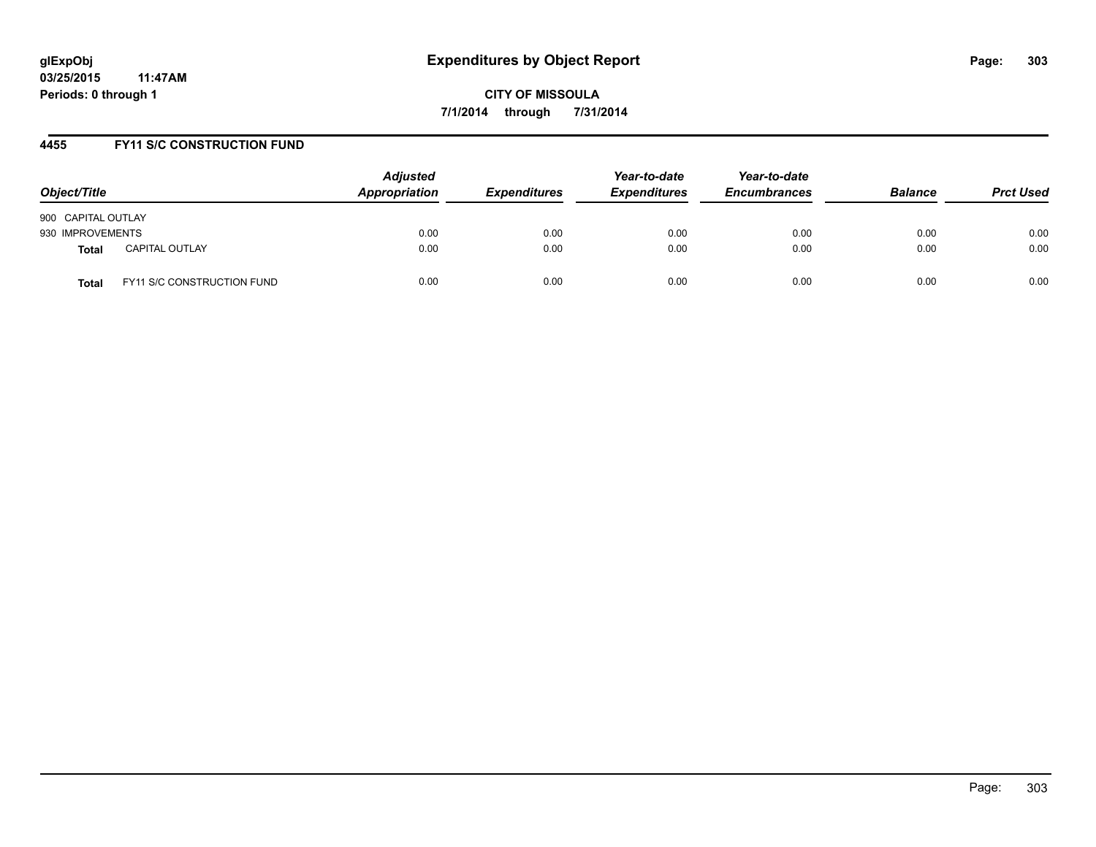# **4455 FY11 S/C CONSTRUCTION FUND**

| Object/Title                          | <b>Adjusted</b><br>Appropriation | <b>Expenditures</b> | Year-to-date<br><b>Expenditures</b> | Year-to-date<br><b>Encumbrances</b> | <b>Balance</b> | <b>Prct Used</b> |
|---------------------------------------|----------------------------------|---------------------|-------------------------------------|-------------------------------------|----------------|------------------|
| 900 CAPITAL OUTLAY                    |                                  |                     |                                     |                                     |                |                  |
| 930 IMPROVEMENTS                      | 0.00                             | 0.00                | 0.00                                | 0.00                                | 0.00           | 0.00             |
| <b>CAPITAL OUTLAY</b><br><b>Total</b> | 0.00                             | 0.00                | 0.00                                | 0.00                                | 0.00           | 0.00             |
| FY11 S/C CONSTRUCTION FUND<br>Total   | 0.00                             | 0.00                | 0.00                                | 0.00                                | 0.00           | 0.00             |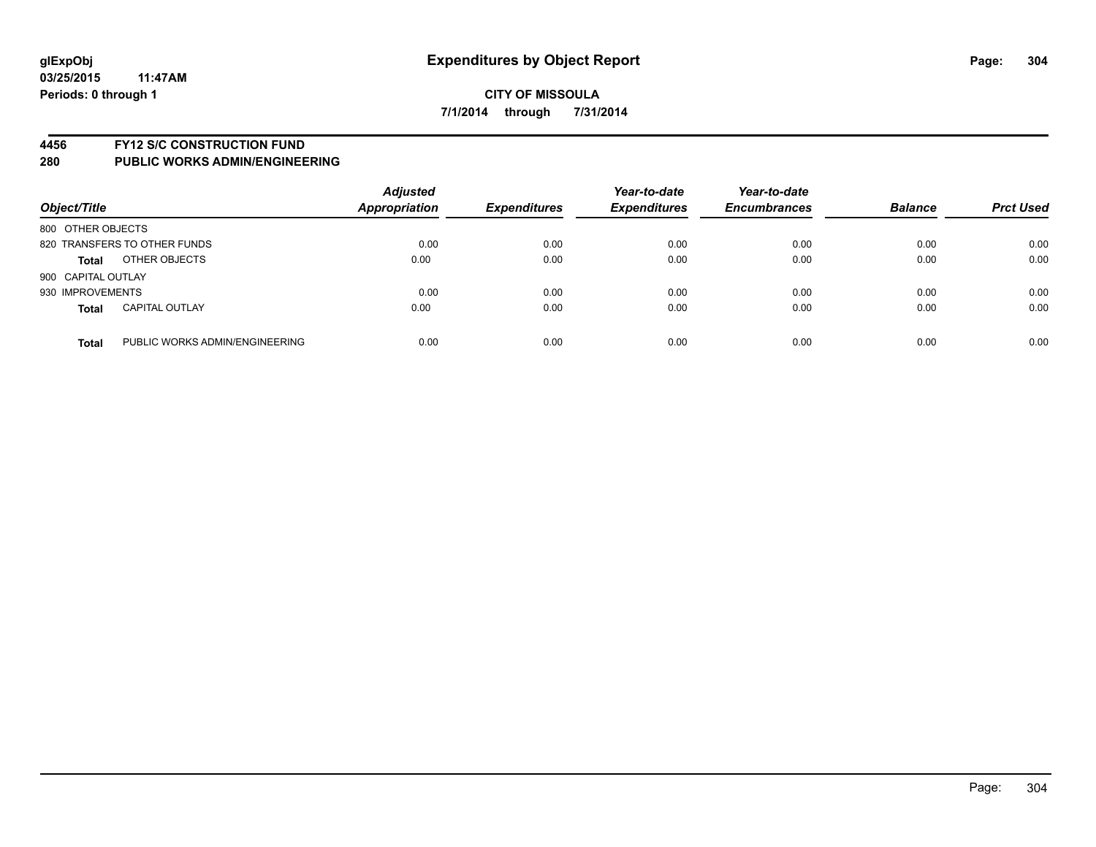#### **4456 FY12 S/C CONSTRUCTION FUND**

| Object/Title       |                                | <b>Adjusted</b><br>Appropriation | <b>Expenditures</b> | Year-to-date<br><b>Expenditures</b> | Year-to-date<br><b>Encumbrances</b> | <b>Balance</b> | <b>Prct Used</b> |
|--------------------|--------------------------------|----------------------------------|---------------------|-------------------------------------|-------------------------------------|----------------|------------------|
| 800 OTHER OBJECTS  |                                |                                  |                     |                                     |                                     |                |                  |
|                    | 820 TRANSFERS TO OTHER FUNDS   | 0.00                             | 0.00                | 0.00                                | 0.00                                | 0.00           | 0.00             |
| <b>Total</b>       | OTHER OBJECTS                  | 0.00                             | 0.00                | 0.00                                | 0.00                                | 0.00           | 0.00             |
| 900 CAPITAL OUTLAY |                                |                                  |                     |                                     |                                     |                |                  |
| 930 IMPROVEMENTS   |                                | 0.00                             | 0.00                | 0.00                                | 0.00                                | 0.00           | 0.00             |
| <b>Total</b>       | <b>CAPITAL OUTLAY</b>          | 0.00                             | 0.00                | 0.00                                | 0.00                                | 0.00           | 0.00             |
| <b>Total</b>       | PUBLIC WORKS ADMIN/ENGINEERING | 0.00                             | 0.00                | 0.00                                | 0.00                                | 0.00           | 0.00             |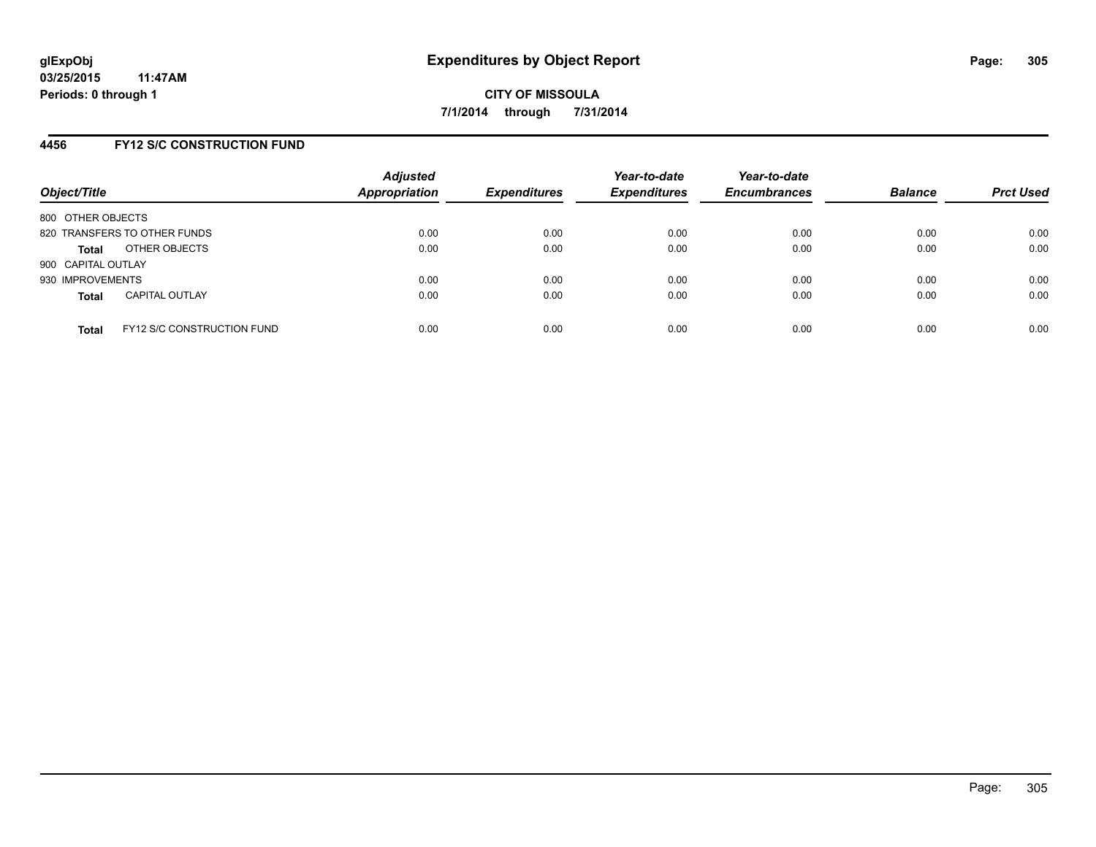#### **4456 FY12 S/C CONSTRUCTION FUND**

| Object/Title       |                                   | <b>Adjusted</b><br>Appropriation | <b>Expenditures</b> | Year-to-date<br><b>Expenditures</b> | Year-to-date<br><b>Encumbrances</b> | <b>Balance</b> | <b>Prct Used</b> |
|--------------------|-----------------------------------|----------------------------------|---------------------|-------------------------------------|-------------------------------------|----------------|------------------|
| 800 OTHER OBJECTS  |                                   |                                  |                     |                                     |                                     |                |                  |
|                    | 820 TRANSFERS TO OTHER FUNDS      | 0.00                             | 0.00                | 0.00                                | 0.00                                | 0.00           | 0.00             |
| <b>Total</b>       | OTHER OBJECTS                     | 0.00                             | 0.00                | 0.00                                | 0.00                                | 0.00           | 0.00             |
| 900 CAPITAL OUTLAY |                                   |                                  |                     |                                     |                                     |                |                  |
| 930 IMPROVEMENTS   |                                   | 0.00                             | 0.00                | 0.00                                | 0.00                                | 0.00           | 0.00             |
| <b>Total</b>       | <b>CAPITAL OUTLAY</b>             | 0.00                             | 0.00                | 0.00                                | 0.00                                | 0.00           | 0.00             |
| <b>Total</b>       | <b>FY12 S/C CONSTRUCTION FUND</b> | 0.00                             | 0.00                | 0.00                                | 0.00                                | 0.00           | 0.00             |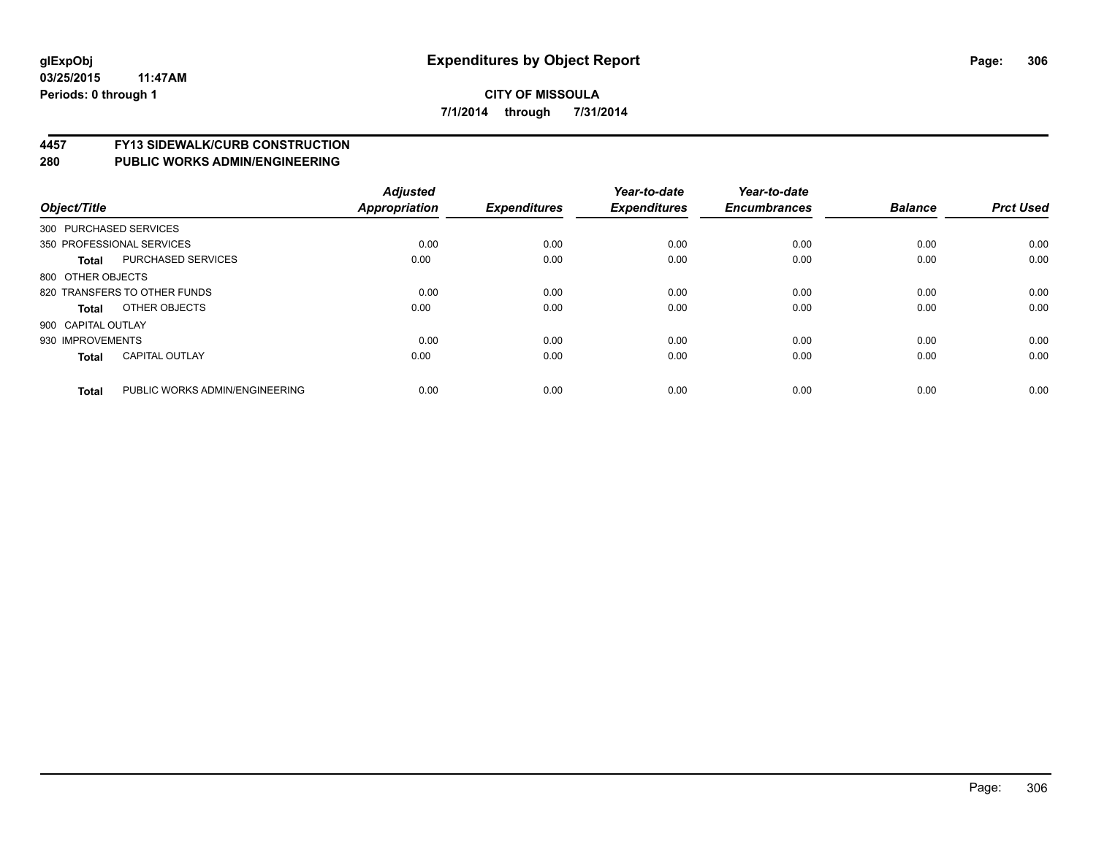# **4457 FY13 SIDEWALK/CURB CONSTRUCTION**

| Object/Title       |                                | <b>Adjusted</b><br>Appropriation | <b>Expenditures</b> | Year-to-date<br><b>Expenditures</b> | Year-to-date<br><b>Encumbrances</b> | <b>Balance</b> | <b>Prct Used</b> |
|--------------------|--------------------------------|----------------------------------|---------------------|-------------------------------------|-------------------------------------|----------------|------------------|
|                    | 300 PURCHASED SERVICES         |                                  |                     |                                     |                                     |                |                  |
|                    | 350 PROFESSIONAL SERVICES      | 0.00                             | 0.00                | 0.00                                | 0.00                                | 0.00           | 0.00             |
| <b>Total</b>       | <b>PURCHASED SERVICES</b>      | 0.00                             | 0.00                | 0.00                                | 0.00                                | 0.00           | 0.00             |
| 800 OTHER OBJECTS  |                                |                                  |                     |                                     |                                     |                |                  |
|                    | 820 TRANSFERS TO OTHER FUNDS   | 0.00                             | 0.00                | 0.00                                | 0.00                                | 0.00           | 0.00             |
| Total              | OTHER OBJECTS                  | 0.00                             | 0.00                | 0.00                                | 0.00                                | 0.00           | 0.00             |
| 900 CAPITAL OUTLAY |                                |                                  |                     |                                     |                                     |                |                  |
| 930 IMPROVEMENTS   |                                | 0.00                             | 0.00                | 0.00                                | 0.00                                | 0.00           | 0.00             |
| <b>Total</b>       | <b>CAPITAL OUTLAY</b>          | 0.00                             | 0.00                | 0.00                                | 0.00                                | 0.00           | 0.00             |
|                    |                                |                                  |                     |                                     |                                     |                |                  |
| <b>Total</b>       | PUBLIC WORKS ADMIN/ENGINEERING | 0.00                             | 0.00                | 0.00                                | 0.00                                | 0.00           | 0.00             |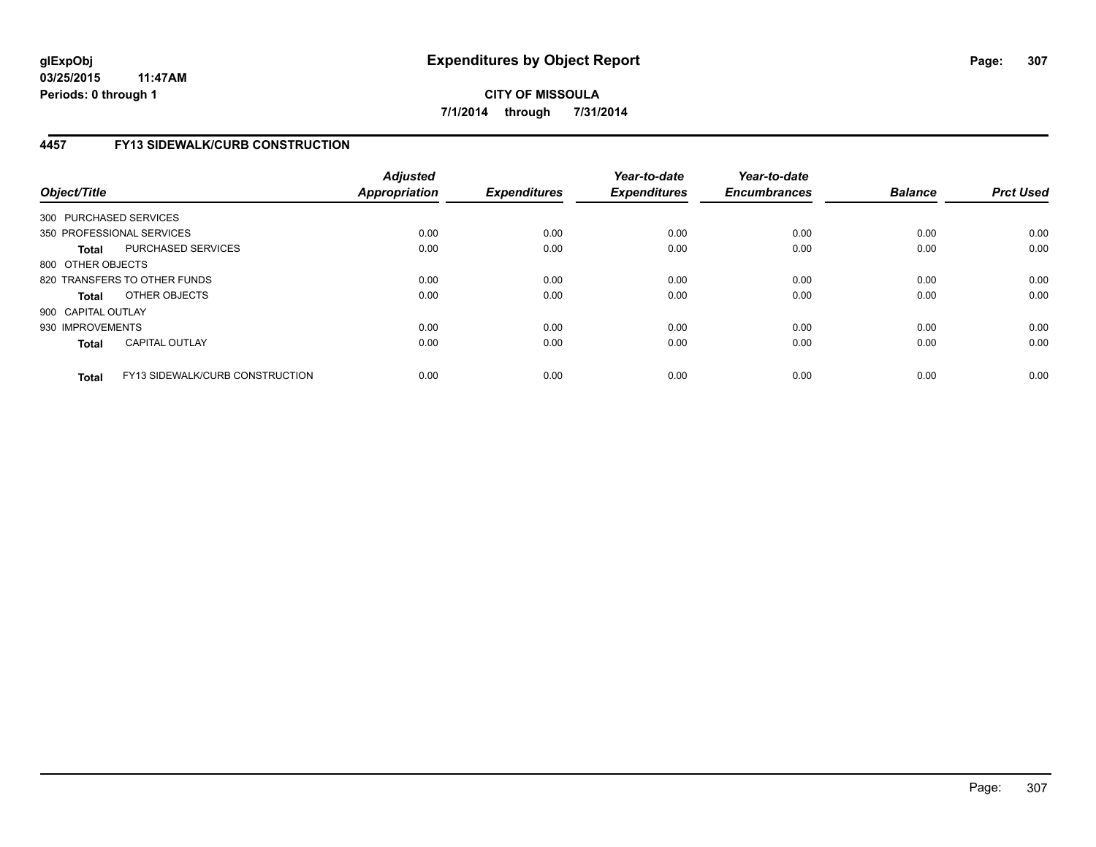# **4457 FY13 SIDEWALK/CURB CONSTRUCTION**

| Object/Title       |                                        | <b>Adjusted</b><br>Appropriation | <b>Expenditures</b> | Year-to-date<br><b>Expenditures</b> | Year-to-date<br><b>Encumbrances</b> | <b>Balance</b> | <b>Prct Used</b> |
|--------------------|----------------------------------------|----------------------------------|---------------------|-------------------------------------|-------------------------------------|----------------|------------------|
|                    | 300 PURCHASED SERVICES                 |                                  |                     |                                     |                                     |                |                  |
|                    | 350 PROFESSIONAL SERVICES              | 0.00                             | 0.00                | 0.00                                | 0.00                                | 0.00           | 0.00             |
| <b>Total</b>       | PURCHASED SERVICES                     | 0.00                             | 0.00                | 0.00                                | 0.00                                | 0.00           | 0.00             |
| 800 OTHER OBJECTS  |                                        |                                  |                     |                                     |                                     |                |                  |
|                    | 820 TRANSFERS TO OTHER FUNDS           | 0.00                             | 0.00                | 0.00                                | 0.00                                | 0.00           | 0.00             |
| <b>Total</b>       | OTHER OBJECTS                          | 0.00                             | 0.00                | 0.00                                | 0.00                                | 0.00           | 0.00             |
| 900 CAPITAL OUTLAY |                                        |                                  |                     |                                     |                                     |                |                  |
| 930 IMPROVEMENTS   |                                        | 0.00                             | 0.00                | 0.00                                | 0.00                                | 0.00           | 0.00             |
| <b>Total</b>       | <b>CAPITAL OUTLAY</b>                  | 0.00                             | 0.00                | 0.00                                | 0.00                                | 0.00           | 0.00             |
| <b>Total</b>       | <b>FY13 SIDEWALK/CURB CONSTRUCTION</b> | 0.00                             | 0.00                | 0.00                                | 0.00                                | 0.00           | 0.00             |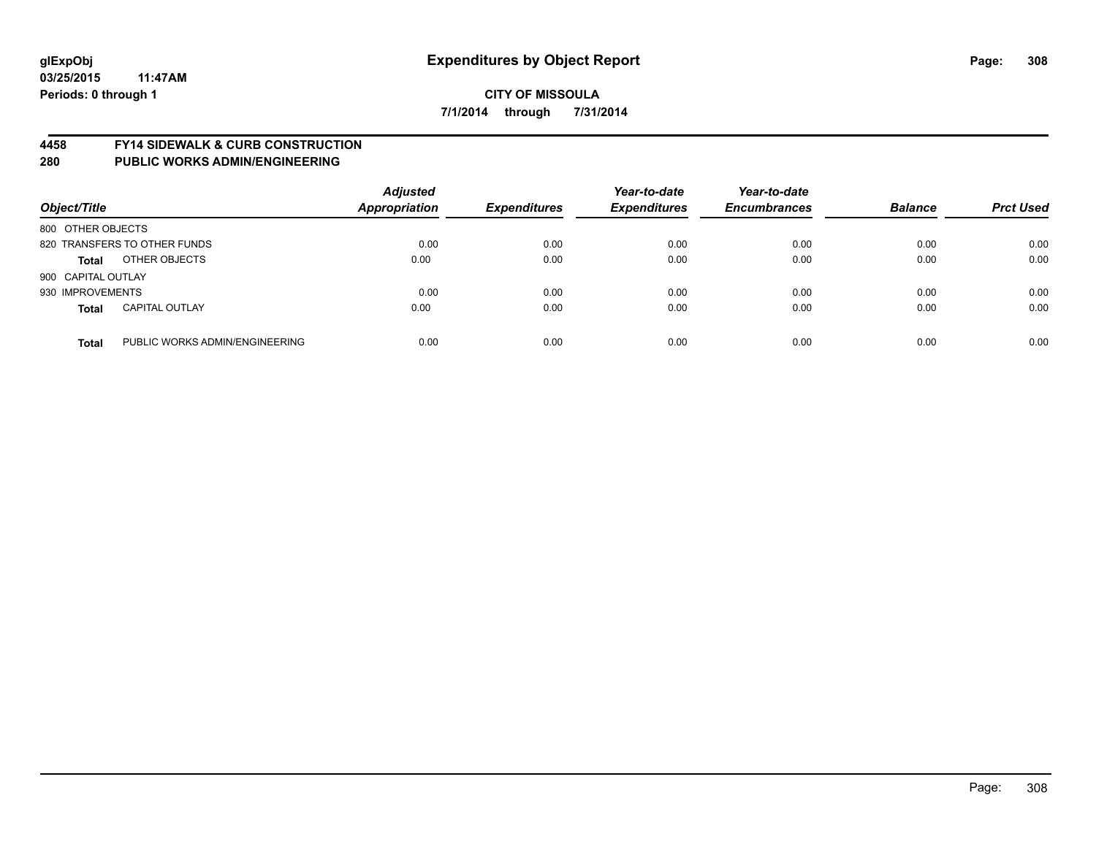# **glExpObj Expenditures by Object Report Page: 308**

**03/25/2015 11:47AM Periods: 0 through 1**

# **CITY OF MISSOULA 7/1/2014 through 7/31/2014**

#### **4458 FY14 SIDEWALK & CURB CONSTRUCTION**

| Object/Title       |                                | <b>Adjusted</b><br><b>Appropriation</b> | <b>Expenditures</b> | Year-to-date<br><b>Expenditures</b> | Year-to-date<br><b>Encumbrances</b> | <b>Balance</b> | <b>Prct Used</b> |
|--------------------|--------------------------------|-----------------------------------------|---------------------|-------------------------------------|-------------------------------------|----------------|------------------|
| 800 OTHER OBJECTS  |                                |                                         |                     |                                     |                                     |                |                  |
|                    | 820 TRANSFERS TO OTHER FUNDS   | 0.00                                    | 0.00                | 0.00                                | 0.00                                | 0.00           | 0.00             |
| <b>Total</b>       | OTHER OBJECTS                  | 0.00                                    | 0.00                | 0.00                                | 0.00                                | 0.00           | 0.00             |
| 900 CAPITAL OUTLAY |                                |                                         |                     |                                     |                                     |                |                  |
| 930 IMPROVEMENTS   |                                | 0.00                                    | 0.00                | 0.00                                | 0.00                                | 0.00           | 0.00             |
| <b>Total</b>       | <b>CAPITAL OUTLAY</b>          | 0.00                                    | 0.00                | 0.00                                | 0.00                                | 0.00           | 0.00             |
| <b>Total</b>       | PUBLIC WORKS ADMIN/ENGINEERING | 0.00                                    | 0.00                | 0.00                                | 0.00                                | 0.00           | 0.00             |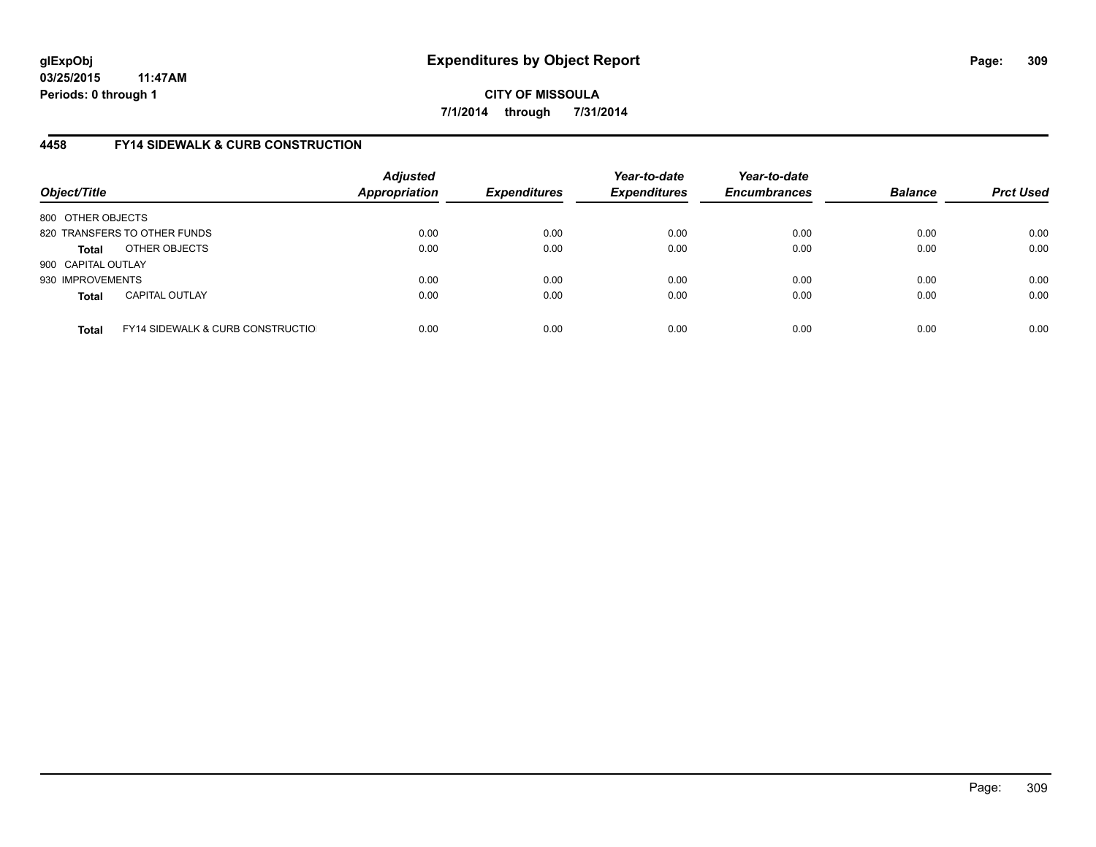**03/25/2015 11:47AM Periods: 0 through 1**

**CITY OF MISSOULA 7/1/2014 through 7/31/2014**

# **4458 FY14 SIDEWALK & CURB CONSTRUCTION**

| Object/Title       |                                              | <b>Adjusted</b><br><b>Appropriation</b> | <b>Expenditures</b> | Year-to-date<br><b>Expenditures</b> | Year-to-date<br><b>Encumbrances</b> | <b>Balance</b> | <b>Prct Used</b> |
|--------------------|----------------------------------------------|-----------------------------------------|---------------------|-------------------------------------|-------------------------------------|----------------|------------------|
| 800 OTHER OBJECTS  |                                              |                                         |                     |                                     |                                     |                |                  |
|                    | 820 TRANSFERS TO OTHER FUNDS                 | 0.00                                    | 0.00                | 0.00                                | 0.00                                | 0.00           | 0.00             |
| Total              | OTHER OBJECTS                                | 0.00                                    | 0.00                | 0.00                                | 0.00                                | 0.00           | 0.00             |
| 900 CAPITAL OUTLAY |                                              |                                         |                     |                                     |                                     |                |                  |
| 930 IMPROVEMENTS   |                                              | 0.00                                    | 0.00                | 0.00                                | 0.00                                | 0.00           | 0.00             |
| <b>Total</b>       | <b>CAPITAL OUTLAY</b>                        | 0.00                                    | 0.00                | 0.00                                | 0.00                                | 0.00           | 0.00             |
| <b>Total</b>       | <b>FY14 SIDEWALK &amp; CURB CONSTRUCTIOL</b> | 0.00                                    | 0.00                | 0.00                                | 0.00                                | 0.00           | 0.00             |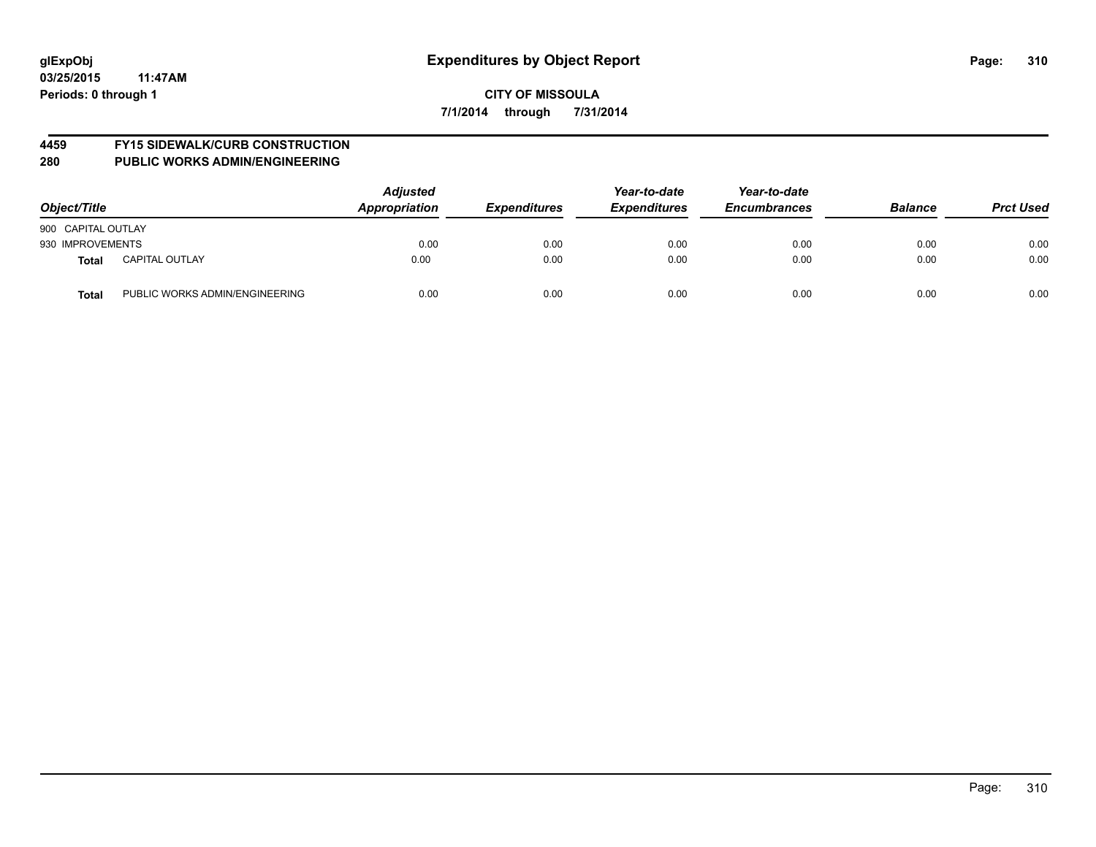# **4459 FY15 SIDEWALK/CURB CONSTRUCTION**

| Object/Title                            | <b>Adjusted</b><br><b>Appropriation</b> | <b>Expenditures</b> | Year-to-date<br><b>Expenditures</b> | Year-to-date<br><b>Encumbrances</b> | <b>Balance</b> | <b>Prct Used</b> |
|-----------------------------------------|-----------------------------------------|---------------------|-------------------------------------|-------------------------------------|----------------|------------------|
| 900 CAPITAL OUTLAY                      |                                         |                     |                                     |                                     |                |                  |
| 930 IMPROVEMENTS                        | 0.00                                    | 0.00                | 0.00                                | 0.00                                | 0.00           | 0.00             |
| <b>CAPITAL OUTLAY</b><br><b>Total</b>   | 0.00                                    | 0.00                | 0.00                                | 0.00                                | 0.00           | 0.00             |
| PUBLIC WORKS ADMIN/ENGINEERING<br>Total | 0.00                                    | 0.00                | 0.00                                | 0.00                                | 0.00           | 0.00             |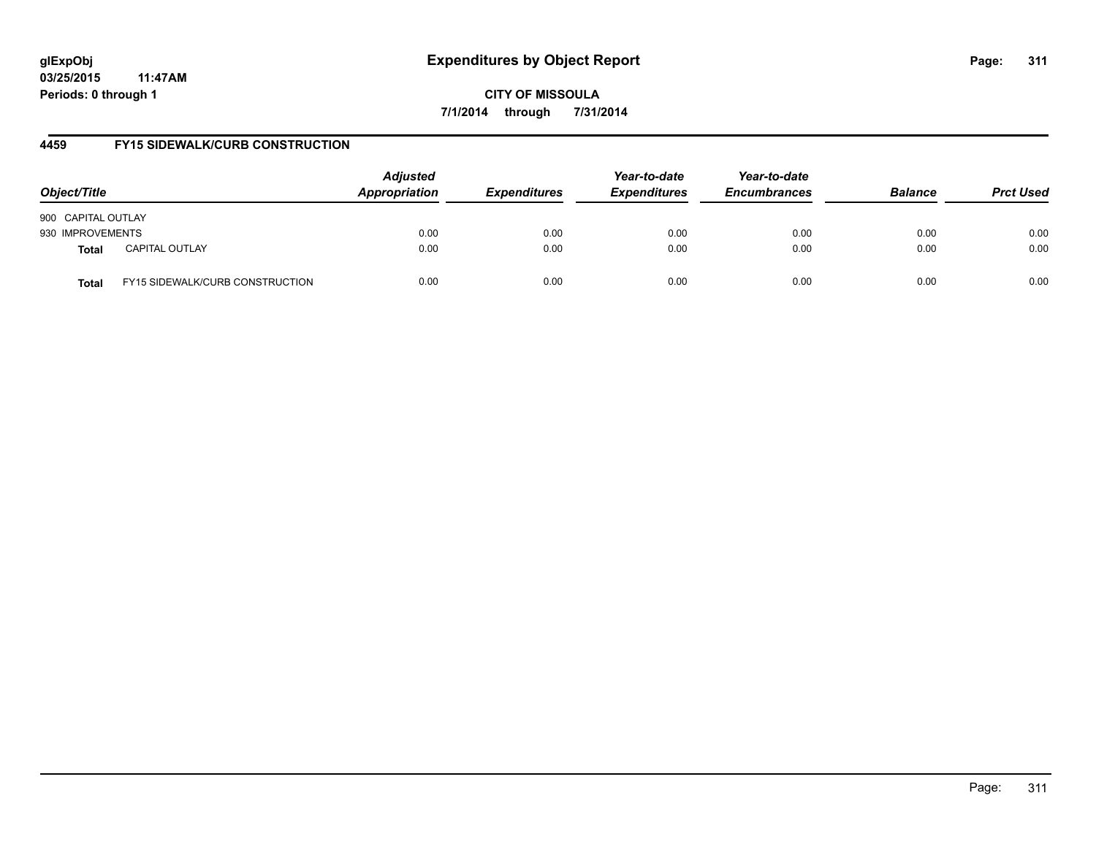# **glExpObj Expenditures by Object Report Page: 311**

**03/25/2015 11:47AM Periods: 0 through 1**

**CITY OF MISSOULA 7/1/2014 through 7/31/2014**

# **4459 FY15 SIDEWALK/CURB CONSTRUCTION**

| Object/Title       |                                        | <b>Adjusted</b><br>Appropriation | <b>Expenditures</b> | Year-to-date<br><b>Expenditures</b> | Year-to-date<br><b>Encumbrances</b> | <b>Balance</b> | <b>Prct Used</b> |
|--------------------|----------------------------------------|----------------------------------|---------------------|-------------------------------------|-------------------------------------|----------------|------------------|
| 900 CAPITAL OUTLAY |                                        |                                  |                     |                                     |                                     |                |                  |
| 930 IMPROVEMENTS   |                                        | 0.00                             | 0.00                | 0.00                                | 0.00                                | 0.00           | 0.00             |
| Total              | <b>CAPITAL OUTLAY</b>                  | 0.00                             | 0.00                | 0.00                                | 0.00                                | 0.00           | 0.00             |
| <b>Total</b>       | <b>FY15 SIDEWALK/CURB CONSTRUCTION</b> | 0.00                             | 0.00                | 0.00                                | 0.00                                | 0.00           | 0.00             |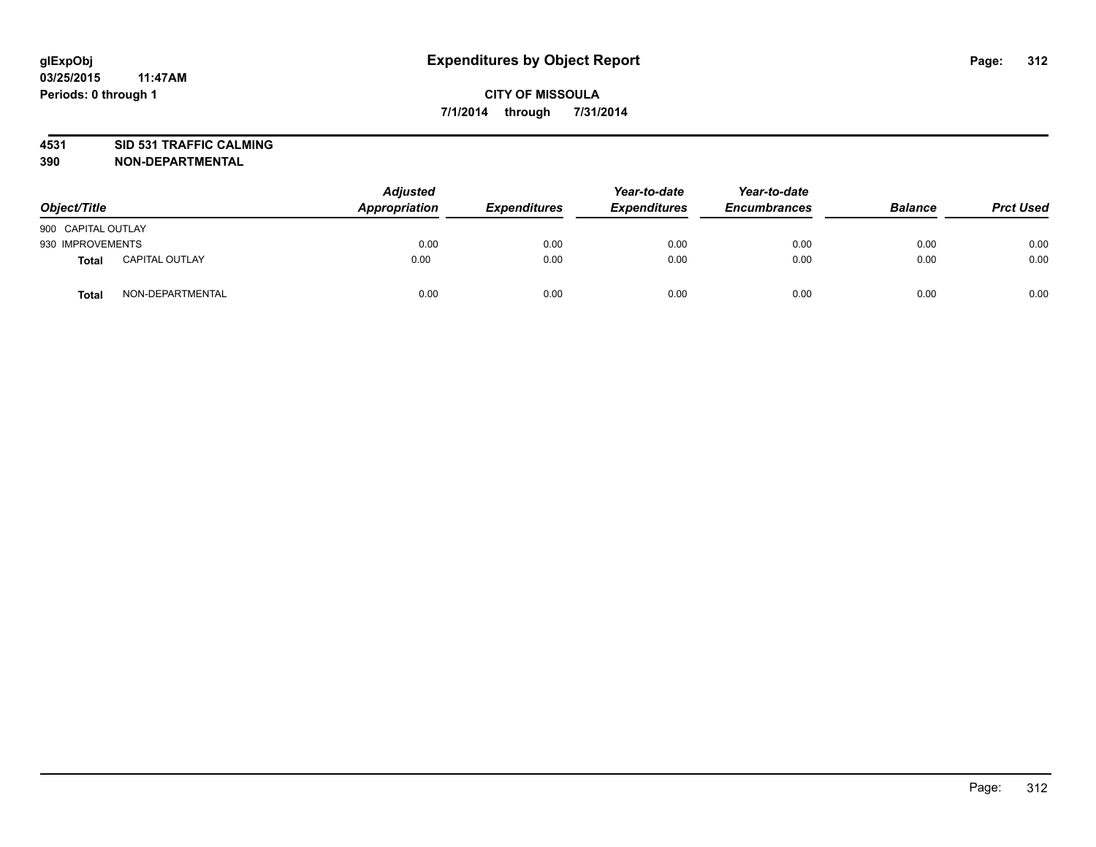# **4531 SID 531 TRAFFIC CALMING**

| Object/Title       |                       | <b>Adjusted</b><br>Appropriation | <b>Expenditures</b> | Year-to-date<br><b>Expenditures</b> | Year-to-date<br><b>Encumbrances</b> | <b>Balance</b> | <b>Prct Used</b> |
|--------------------|-----------------------|----------------------------------|---------------------|-------------------------------------|-------------------------------------|----------------|------------------|
| 900 CAPITAL OUTLAY |                       |                                  |                     |                                     |                                     |                |                  |
| 930 IMPROVEMENTS   |                       | 0.00                             | 0.00                | 0.00                                | 0.00                                | 0.00           | 0.00             |
| Total              | <b>CAPITAL OUTLAY</b> | 0.00                             | 0.00                | 0.00                                | 0.00                                | 0.00           | 0.00             |
| <b>Total</b>       | NON-DEPARTMENTAL      | 0.00                             | 0.00                | 0.00                                | 0.00                                | 0.00           | 0.00             |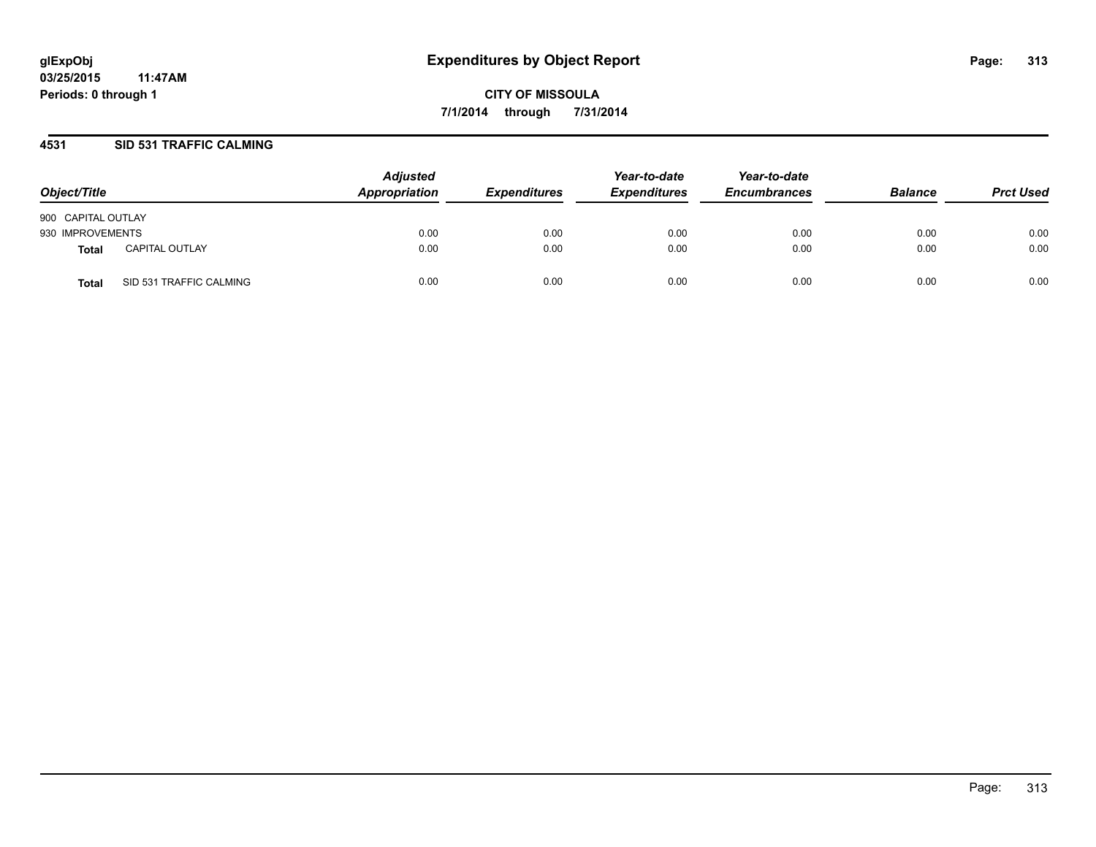# **4531 SID 531 TRAFFIC CALMING**

| Object/Title       |                         | <b>Adjusted</b><br>Appropriation | <b>Expenditures</b> | Year-to-date<br><b>Expenditures</b> | Year-to-date<br><b>Encumbrances</b> | <b>Balance</b> | <b>Prct Used</b> |
|--------------------|-------------------------|----------------------------------|---------------------|-------------------------------------|-------------------------------------|----------------|------------------|
| 900 CAPITAL OUTLAY |                         |                                  |                     |                                     |                                     |                |                  |
| 930 IMPROVEMENTS   |                         | 0.00                             | 0.00                | 0.00                                | 0.00                                | 0.00           | 0.00             |
| Total              | <b>CAPITAL OUTLAY</b>   | 0.00                             | 0.00                | 0.00                                | 0.00                                | 0.00           | 0.00             |
| Total              | SID 531 TRAFFIC CALMING | 0.00                             | 0.00                | 0.00                                | 0.00                                | 0.00           | 0.00             |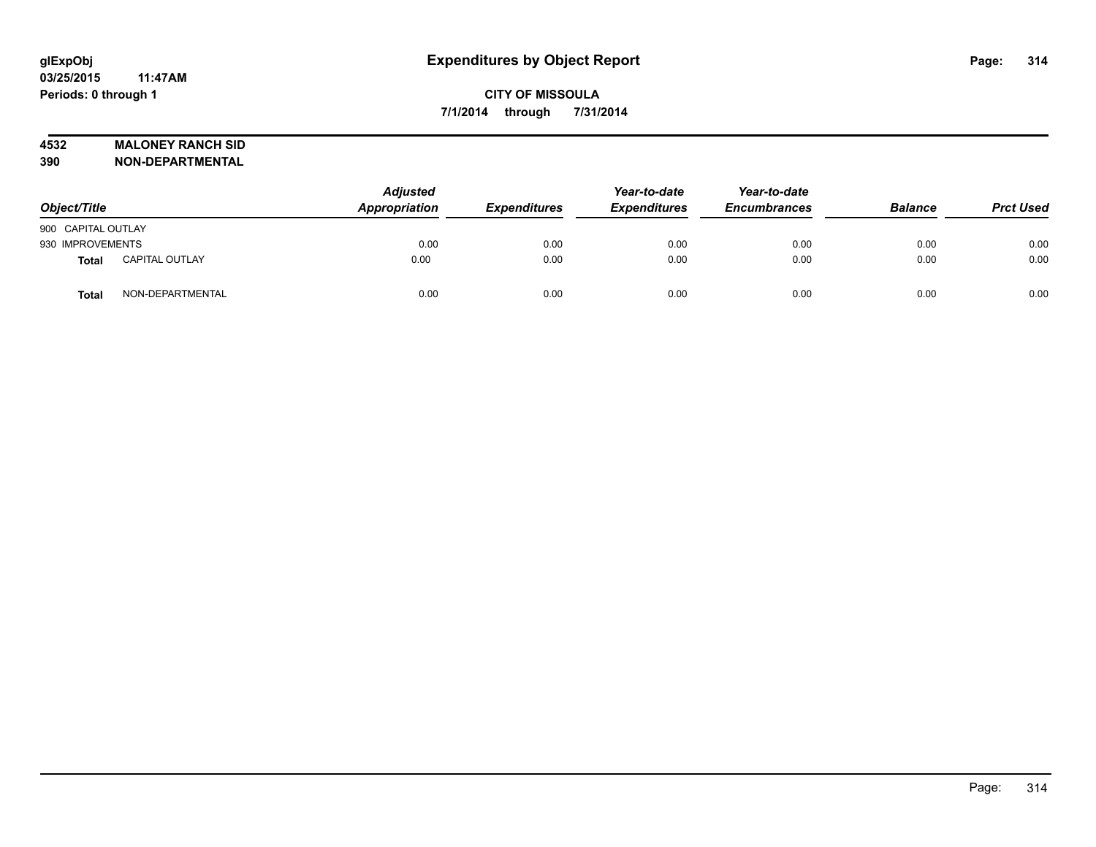# **4532 MALONEY RANCH SID**

| Object/Title       |                       | <b>Adjusted</b><br>Appropriation | <b>Expenditures</b> | Year-to-date<br><b>Expenditures</b> | Year-to-date<br><b>Encumbrances</b> | <b>Balance</b> | <b>Prct Used</b> |
|--------------------|-----------------------|----------------------------------|---------------------|-------------------------------------|-------------------------------------|----------------|------------------|
| 900 CAPITAL OUTLAY |                       |                                  |                     |                                     |                                     |                |                  |
| 930 IMPROVEMENTS   |                       | 0.00                             | 0.00                | 0.00                                | 0.00                                | 0.00           | 0.00             |
| <b>Total</b>       | <b>CAPITAL OUTLAY</b> | 0.00                             | 0.00                | 0.00                                | 0.00                                | 0.00           | 0.00             |
| <b>Total</b>       | NON-DEPARTMENTAL      | 0.00                             | 0.00                | 0.00                                | 0.00                                | 0.00           | 0.00             |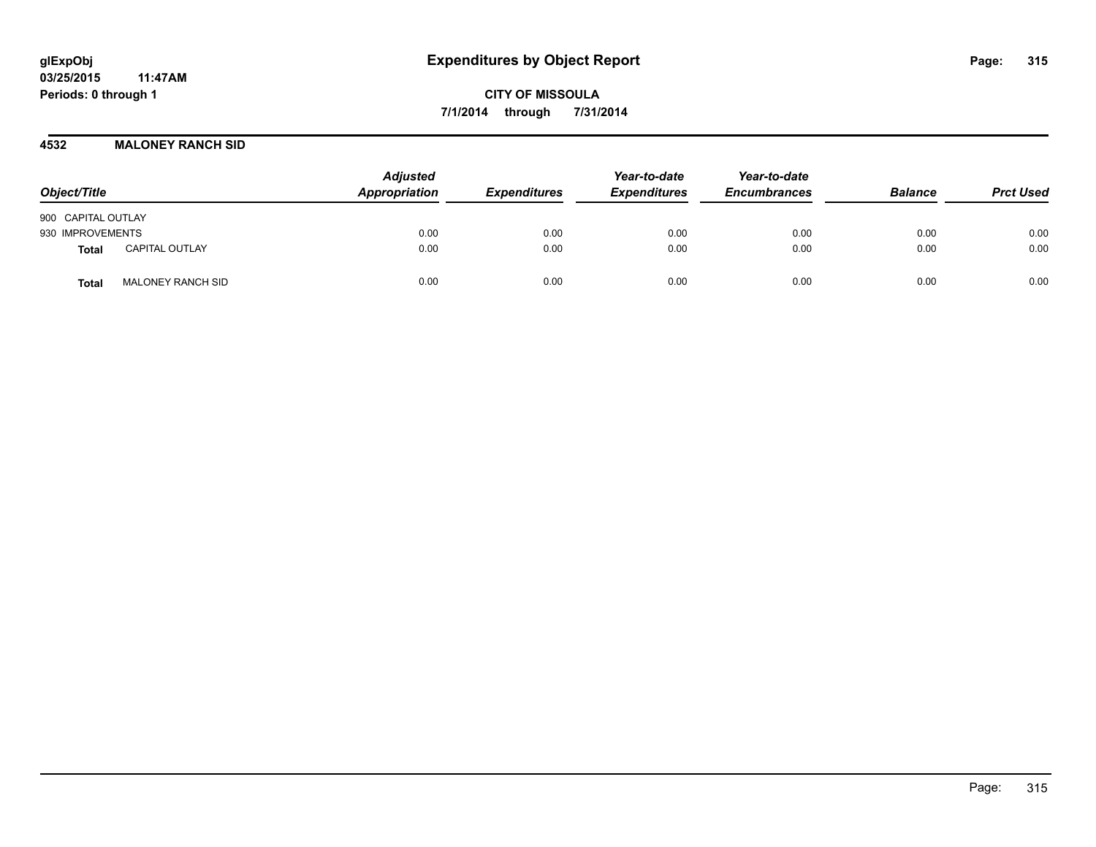#### **4532 MALONEY RANCH SID**

| Object/Title                             | <b>Adjusted</b><br>Appropriation | <b>Expenditures</b> | Year-to-date<br><b>Expenditures</b> | Year-to-date<br><b>Encumbrances</b> | <b>Balance</b> | <b>Prct Used</b> |
|------------------------------------------|----------------------------------|---------------------|-------------------------------------|-------------------------------------|----------------|------------------|
| 900 CAPITAL OUTLAY                       |                                  |                     |                                     |                                     |                |                  |
| 930 IMPROVEMENTS                         | 0.00                             | 0.00                | 0.00                                | 0.00                                | 0.00           | 0.00             |
| <b>CAPITAL OUTLAY</b><br><b>Total</b>    | 0.00                             | 0.00                | 0.00                                | 0.00                                | 0.00           | 0.00             |
| <b>MALONEY RANCH SID</b><br><b>Total</b> | 0.00                             | 0.00                | 0.00                                | 0.00                                | 0.00           | 0.00             |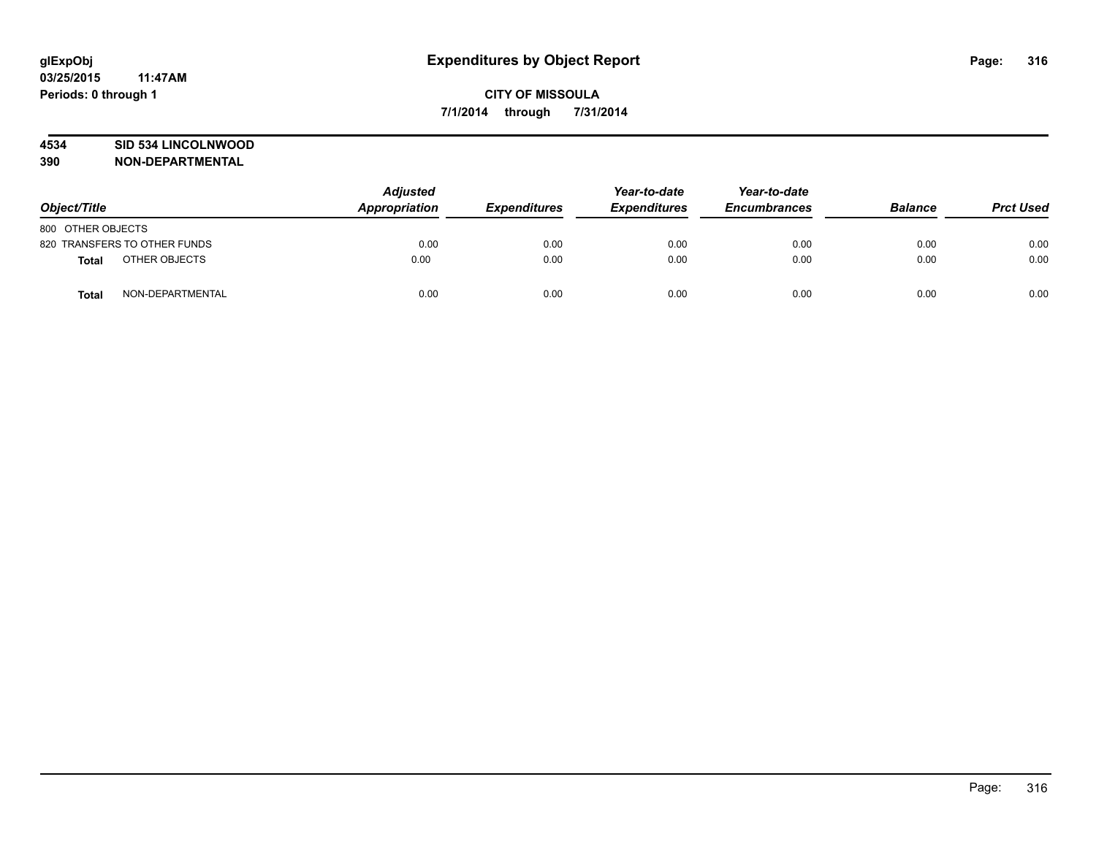# **4534 SID 534 LINCOLNWOOD**

| Object/Title                  | <b>Adjusted</b><br>Appropriation | <b>Expenditures</b> | Year-to-date<br><b>Expenditures</b> | Year-to-date<br><b>Encumbrances</b> | <b>Balance</b> | <b>Prct Used</b> |
|-------------------------------|----------------------------------|---------------------|-------------------------------------|-------------------------------------|----------------|------------------|
| 800 OTHER OBJECTS             |                                  |                     |                                     |                                     |                |                  |
| 820 TRANSFERS TO OTHER FUNDS  | 0.00                             | 0.00                | 0.00                                | 0.00                                | 0.00           | 0.00             |
| OTHER OBJECTS<br><b>Total</b> | 0.00                             | 0.00                | 0.00                                | 0.00                                | 0.00           | 0.00             |
| NON-DEPARTMENTAL<br>Total     | 0.00                             | 0.00                | 0.00                                | 0.00                                | 0.00           | 0.00             |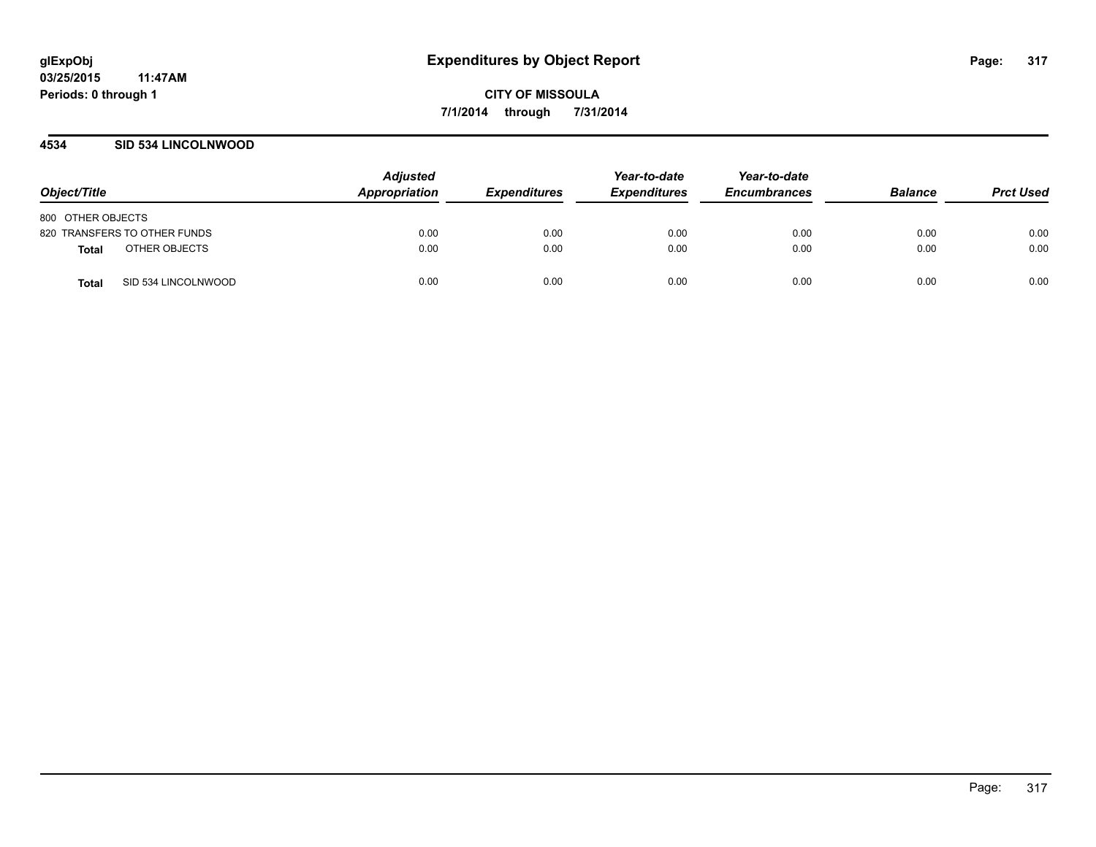# **4534 SID 534 LINCOLNWOOD**

| Object/Title                        | <b>Adjusted</b><br><b>Appropriation</b> | <b>Expenditures</b> | Year-to-date<br><b>Expenditures</b> | Year-to-date<br><b>Encumbrances</b> | <b>Balance</b> | <b>Prct Used</b> |
|-------------------------------------|-----------------------------------------|---------------------|-------------------------------------|-------------------------------------|----------------|------------------|
| 800 OTHER OBJECTS                   |                                         |                     |                                     |                                     |                |                  |
| 820 TRANSFERS TO OTHER FUNDS        | 0.00                                    | 0.00                | 0.00                                | 0.00                                | 0.00           | 0.00             |
| OTHER OBJECTS<br>Total              | 0.00                                    | 0.00                | 0.00                                | 0.00                                | 0.00           | 0.00             |
| SID 534 LINCOLNWOOD<br><b>Total</b> | 0.00                                    | 0.00                | 0.00                                | 0.00                                | 0.00           | 0.00             |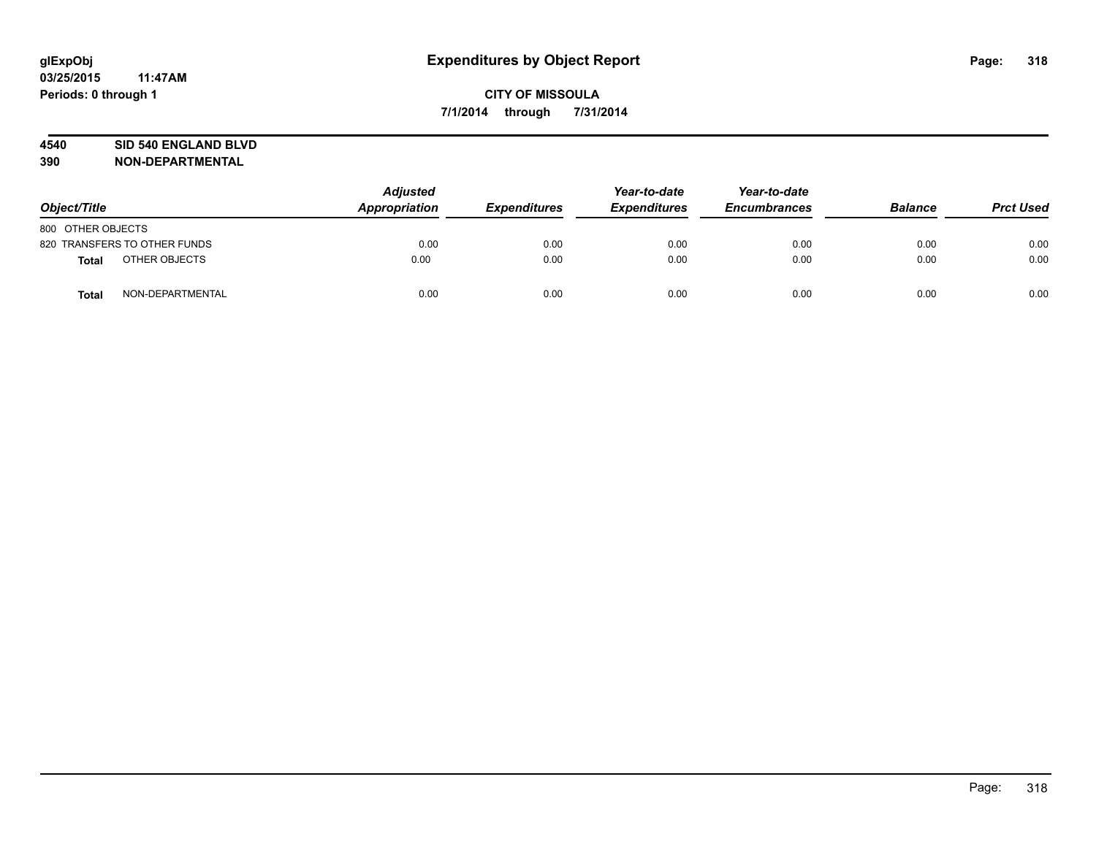#### **4540 SID 540 ENGLAND BLVD**

| Object/Title      |                              | <b>Adjusted</b><br>Appropriation | <b>Expenditures</b> | Year-to-date<br><b>Expenditures</b> | Year-to-date<br><b>Encumbrances</b> | <b>Balance</b> | <b>Prct Used</b> |
|-------------------|------------------------------|----------------------------------|---------------------|-------------------------------------|-------------------------------------|----------------|------------------|
| 800 OTHER OBJECTS |                              |                                  |                     |                                     |                                     |                |                  |
|                   | 820 TRANSFERS TO OTHER FUNDS | 0.00                             | 0.00                | 0.00                                | 0.00                                | 0.00           | 0.00             |
| <b>Total</b>      | OTHER OBJECTS                | 0.00                             | 0.00                | 0.00                                | 0.00                                | 0.00           | 0.00             |
| <b>Total</b>      | NON-DEPARTMENTAL             | 0.00                             | 0.00                | 0.00                                | 0.00                                | 0.00           | 0.00             |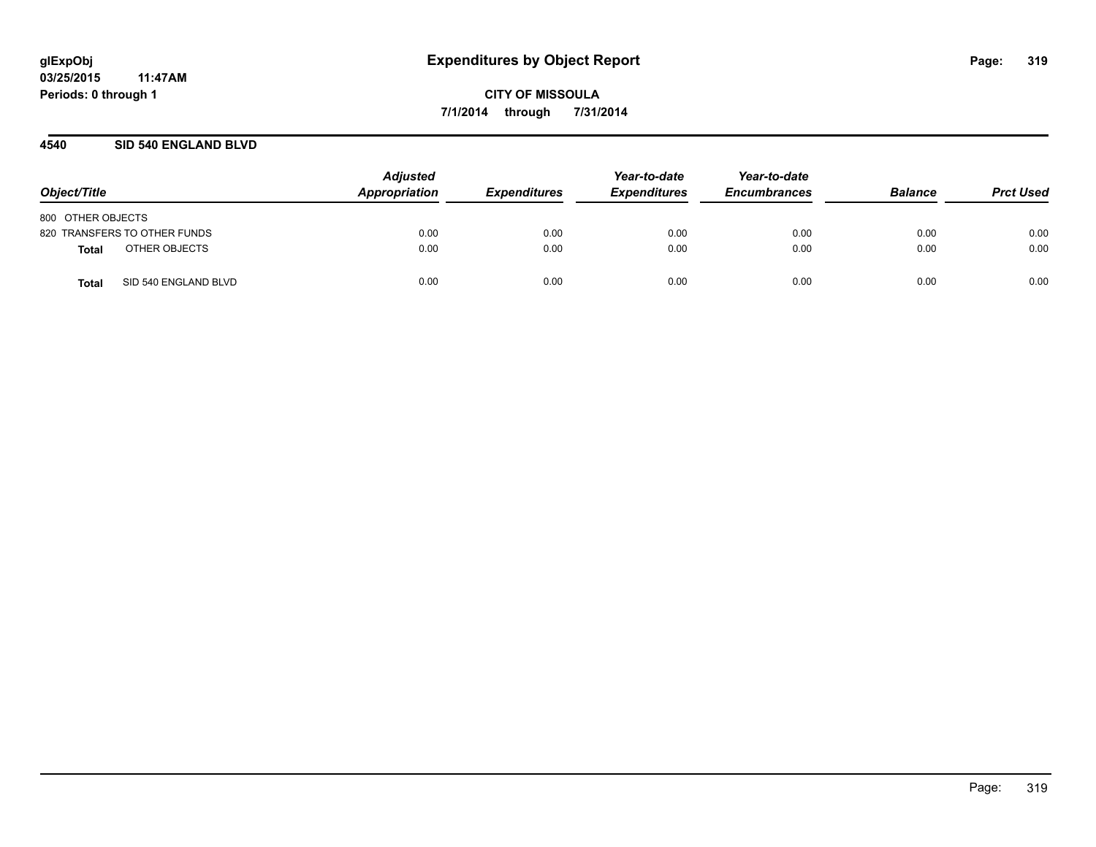# **4540 SID 540 ENGLAND BLVD**

| Object/Title                         | <b>Adjusted</b><br><b>Appropriation</b> | <b>Expenditures</b> | Year-to-date<br><b>Expenditures</b> | Year-to-date<br><b>Encumbrances</b> | <b>Balance</b> | <b>Prct Used</b> |
|--------------------------------------|-----------------------------------------|---------------------|-------------------------------------|-------------------------------------|----------------|------------------|
| 800 OTHER OBJECTS                    |                                         |                     |                                     |                                     |                |                  |
| 820 TRANSFERS TO OTHER FUNDS         | 0.00                                    | 0.00                | 0.00                                | 0.00                                | 0.00           | 0.00             |
| OTHER OBJECTS<br>Total               | 0.00                                    | 0.00                | 0.00                                | 0.00                                | 0.00           | 0.00             |
| SID 540 ENGLAND BLVD<br><b>Total</b> | 0.00                                    | 0.00                | 0.00                                | 0.00                                | 0.00           | 0.00             |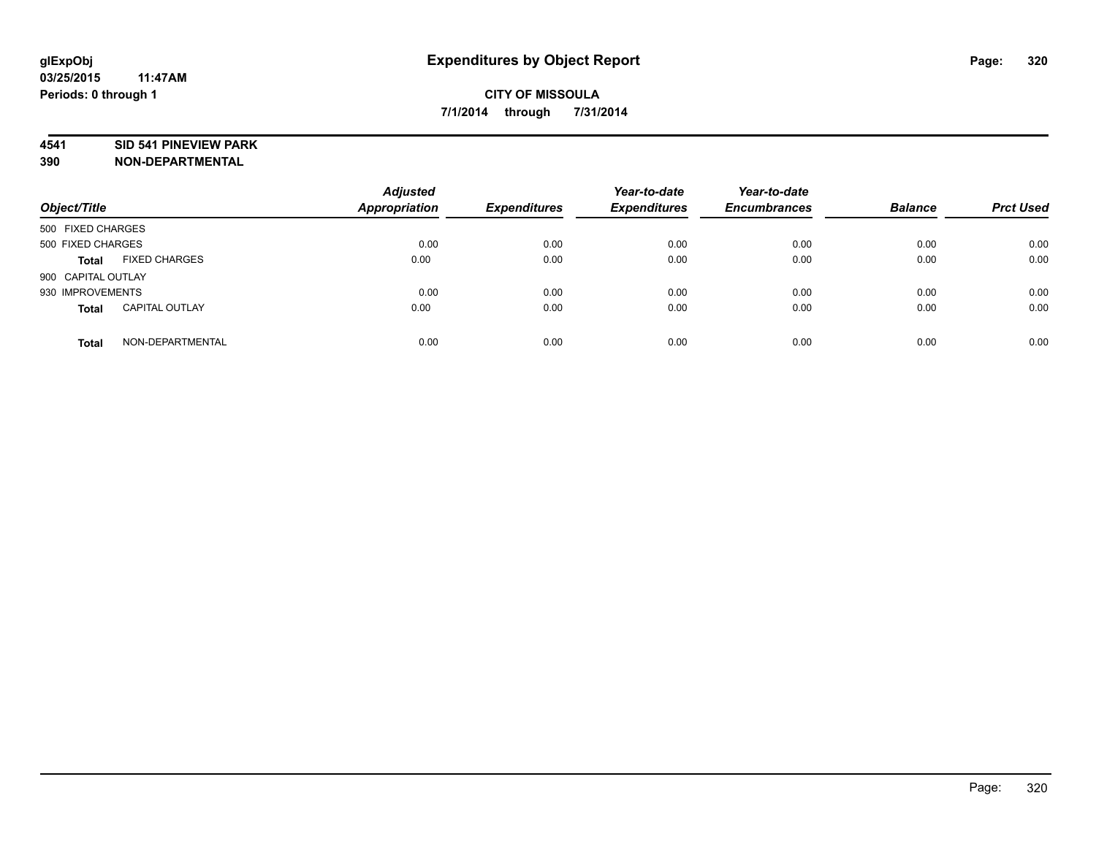#### **4541 SID 541 PINEVIEW PARK**

| Object/Title       |                       | <b>Adjusted</b><br><b>Appropriation</b> | <b>Expenditures</b> | Year-to-date<br><b>Expenditures</b> | Year-to-date<br><b>Encumbrances</b> | <b>Balance</b> | <b>Prct Used</b> |
|--------------------|-----------------------|-----------------------------------------|---------------------|-------------------------------------|-------------------------------------|----------------|------------------|
| 500 FIXED CHARGES  |                       |                                         |                     |                                     |                                     |                |                  |
| 500 FIXED CHARGES  |                       | 0.00                                    | 0.00                | 0.00                                | 0.00                                | 0.00           | 0.00             |
| <b>Total</b>       | <b>FIXED CHARGES</b>  | 0.00                                    | 0.00                | 0.00                                | 0.00                                | 0.00           | 0.00             |
| 900 CAPITAL OUTLAY |                       |                                         |                     |                                     |                                     |                |                  |
| 930 IMPROVEMENTS   |                       | 0.00                                    | 0.00                | 0.00                                | 0.00                                | 0.00           | 0.00             |
| <b>Total</b>       | <b>CAPITAL OUTLAY</b> | 0.00                                    | 0.00                | 0.00                                | 0.00                                | 0.00           | 0.00             |
| <b>Total</b>       | NON-DEPARTMENTAL      | 0.00                                    | 0.00                | 0.00                                | 0.00                                | 0.00           | 0.00             |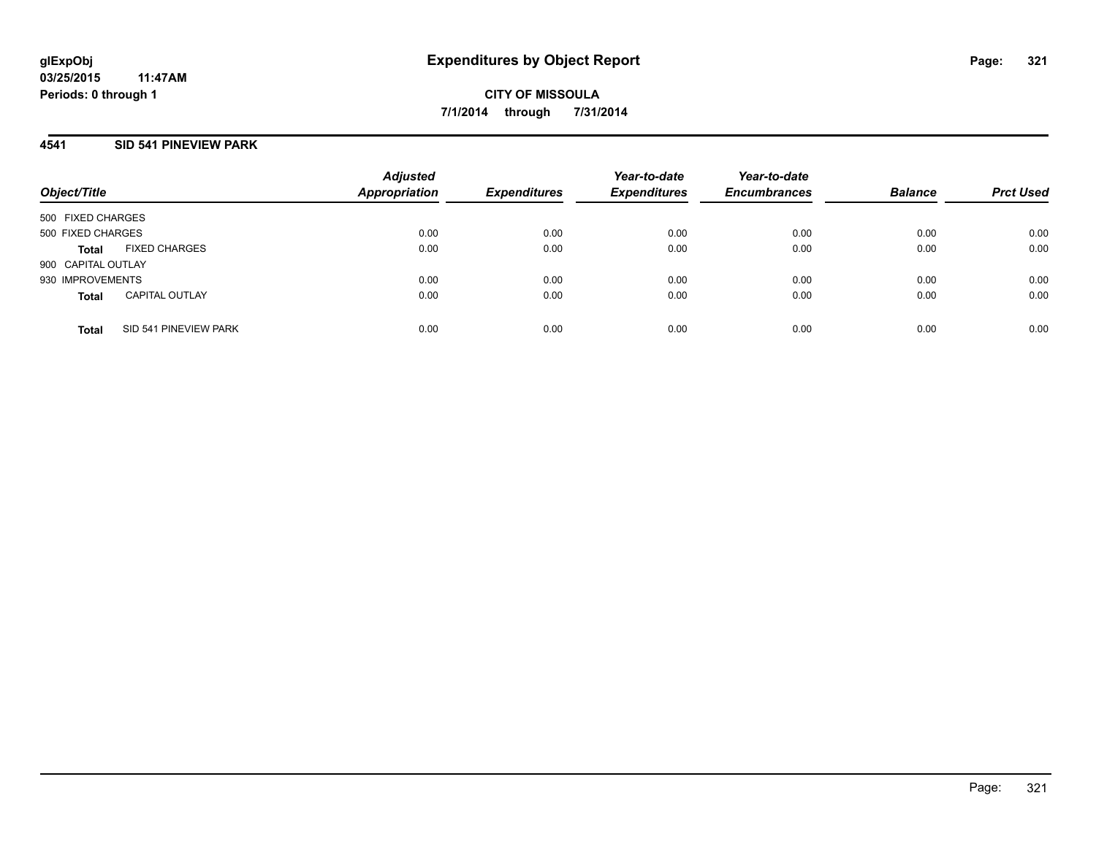# **4541 SID 541 PINEVIEW PARK**

| Object/Title       |                       | <b>Adjusted</b><br><b>Appropriation</b> | <b>Expenditures</b> | Year-to-date<br><b>Expenditures</b> | Year-to-date<br><b>Encumbrances</b> | <b>Balance</b> | <b>Prct Used</b> |
|--------------------|-----------------------|-----------------------------------------|---------------------|-------------------------------------|-------------------------------------|----------------|------------------|
| 500 FIXED CHARGES  |                       |                                         |                     |                                     |                                     |                |                  |
| 500 FIXED CHARGES  |                       | 0.00                                    | 0.00                | 0.00                                | 0.00                                | 0.00           | 0.00             |
| <b>Total</b>       | <b>FIXED CHARGES</b>  | 0.00                                    | 0.00                | 0.00                                | 0.00                                | 0.00           | 0.00             |
| 900 CAPITAL OUTLAY |                       |                                         |                     |                                     |                                     |                |                  |
| 930 IMPROVEMENTS   |                       | 0.00                                    | 0.00                | 0.00                                | 0.00                                | 0.00           | 0.00             |
| <b>Total</b>       | <b>CAPITAL OUTLAY</b> | 0.00                                    | 0.00                | 0.00                                | 0.00                                | 0.00           | 0.00             |
| <b>Total</b>       | SID 541 PINEVIEW PARK | 0.00                                    | 0.00                | 0.00                                | 0.00                                | 0.00           | 0.00             |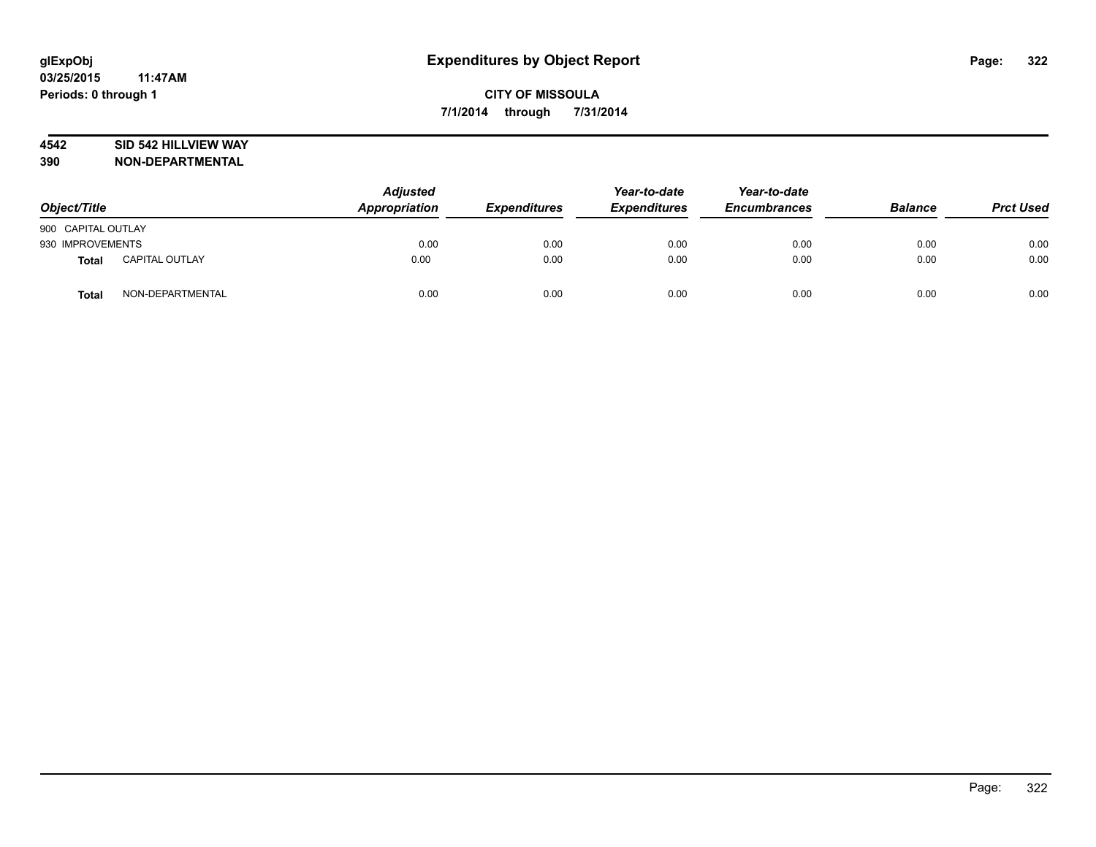# **4542 SID 542 HILLVIEW WAY**

| Object/Title       |                       | <b>Adjusted</b><br>Appropriation | <b>Expenditures</b> | Year-to-date<br><b>Expenditures</b> | Year-to-date<br><b>Encumbrances</b> | <b>Balance</b> | <b>Prct Used</b> |
|--------------------|-----------------------|----------------------------------|---------------------|-------------------------------------|-------------------------------------|----------------|------------------|
| 900 CAPITAL OUTLAY |                       |                                  |                     |                                     |                                     |                |                  |
| 930 IMPROVEMENTS   |                       | 0.00                             | 0.00                | 0.00                                | 0.00                                | 0.00           | 0.00             |
| Total              | <b>CAPITAL OUTLAY</b> | 0.00                             | 0.00                | 0.00                                | 0.00                                | 0.00           | 0.00             |
| Total              | NON-DEPARTMENTAL      | 0.00                             | 0.00                | 0.00                                | 0.00                                | 0.00           | 0.00             |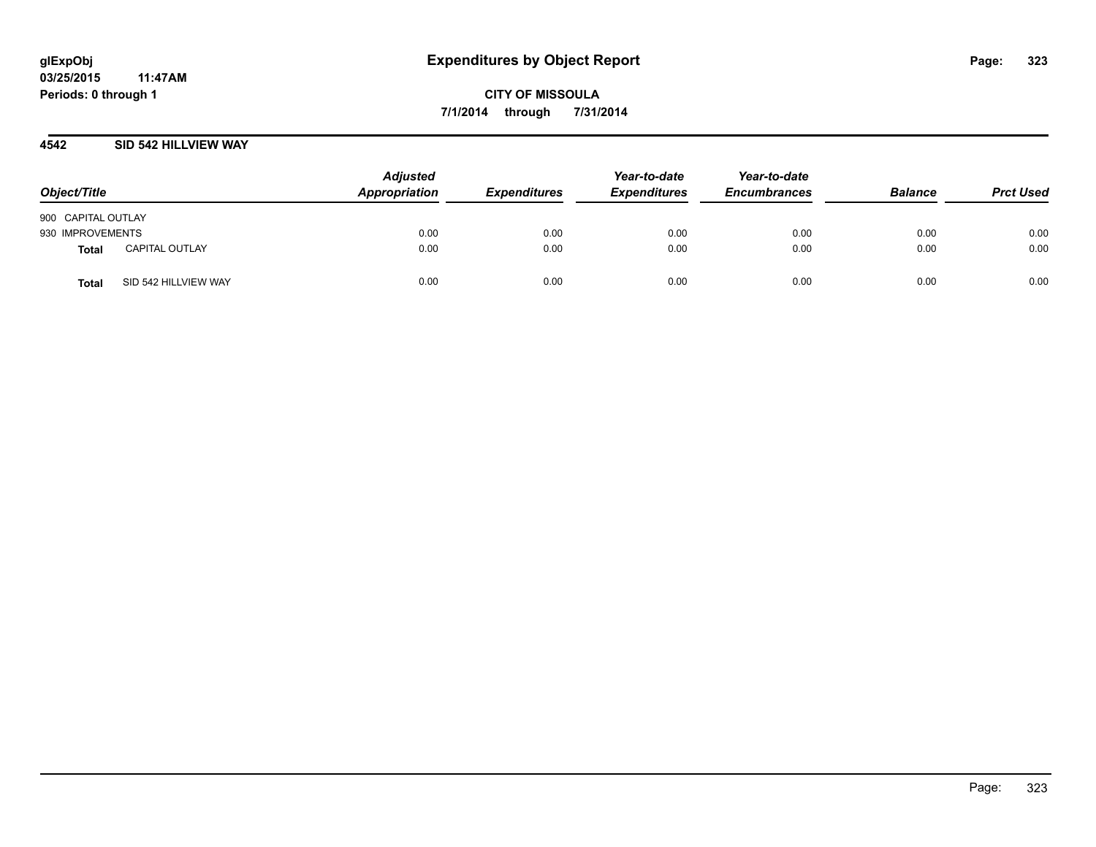#### **4542 SID 542 HILLVIEW WAY**

| Object/Title       |                       | <b>Adjusted</b><br>Appropriation | <b>Expenditures</b> | Year-to-date<br><b>Expenditures</b> | Year-to-date<br><b>Encumbrances</b> | <b>Balance</b> | <b>Prct Used</b> |
|--------------------|-----------------------|----------------------------------|---------------------|-------------------------------------|-------------------------------------|----------------|------------------|
| 900 CAPITAL OUTLAY |                       |                                  |                     |                                     |                                     |                |                  |
| 930 IMPROVEMENTS   |                       | 0.00                             | 0.00                | 0.00                                | 0.00                                | 0.00           | 0.00             |
| <b>Total</b>       | <b>CAPITAL OUTLAY</b> | 0.00                             | 0.00                | 0.00                                | 0.00                                | 0.00           | 0.00             |
| <b>Total</b>       | SID 542 HILLVIEW WAY  | 0.00                             | 0.00                | 0.00                                | 0.00                                | 0.00           | 0.00             |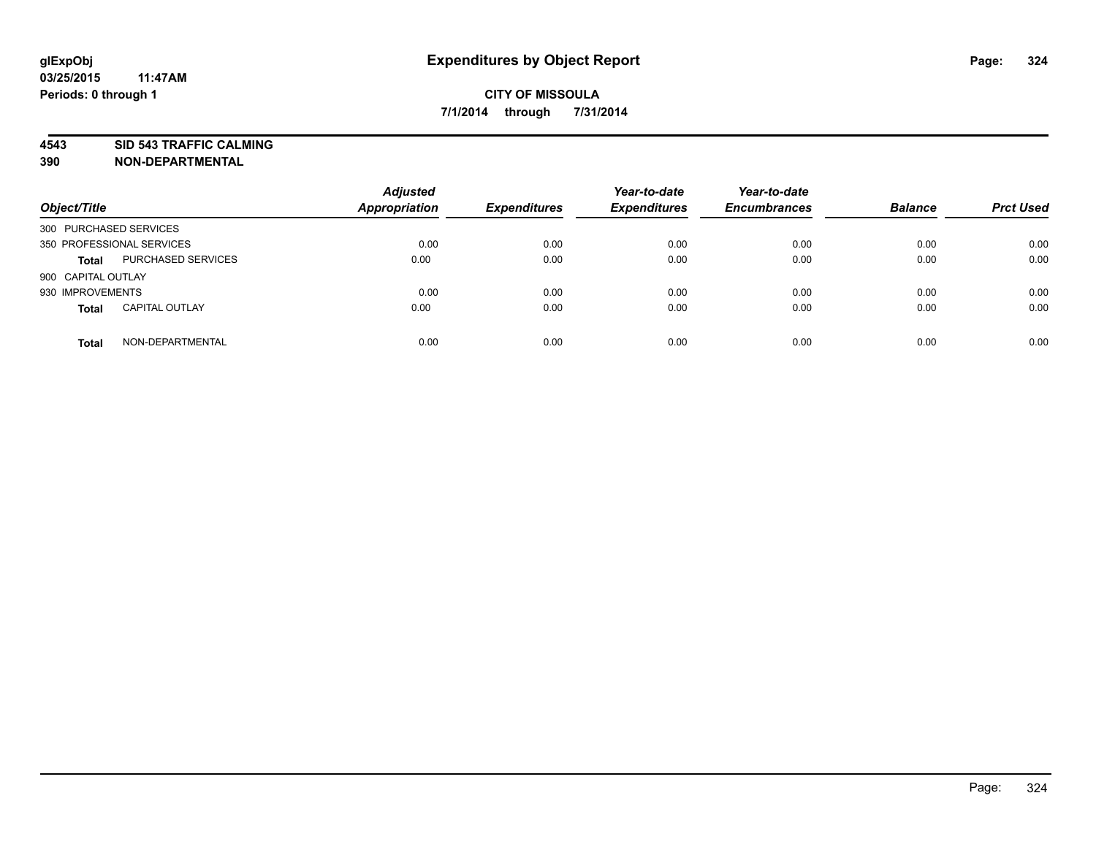**4543 SID 543 TRAFFIC CALMING**

| Object/Title              |                           | <b>Adjusted</b><br><b>Appropriation</b> | <b>Expenditures</b> | Year-to-date<br><b>Expenditures</b> | Year-to-date<br><b>Encumbrances</b> | <b>Balance</b> | <b>Prct Used</b> |
|---------------------------|---------------------------|-----------------------------------------|---------------------|-------------------------------------|-------------------------------------|----------------|------------------|
| 300 PURCHASED SERVICES    |                           |                                         |                     |                                     |                                     |                |                  |
| 350 PROFESSIONAL SERVICES |                           | 0.00                                    | 0.00                | 0.00                                | 0.00                                | 0.00           | 0.00             |
| <b>Total</b>              | <b>PURCHASED SERVICES</b> | 0.00                                    | 0.00                | 0.00                                | 0.00                                | 0.00           | 0.00             |
| 900 CAPITAL OUTLAY        |                           |                                         |                     |                                     |                                     |                |                  |
| 930 IMPROVEMENTS          |                           | 0.00                                    | 0.00                | 0.00                                | 0.00                                | 0.00           | 0.00             |
| <b>Total</b>              | <b>CAPITAL OUTLAY</b>     | 0.00                                    | 0.00                | 0.00                                | 0.00                                | 0.00           | 0.00             |
| <b>Total</b>              | NON-DEPARTMENTAL          | 0.00                                    | 0.00                | 0.00                                | 0.00                                | 0.00           | 0.00             |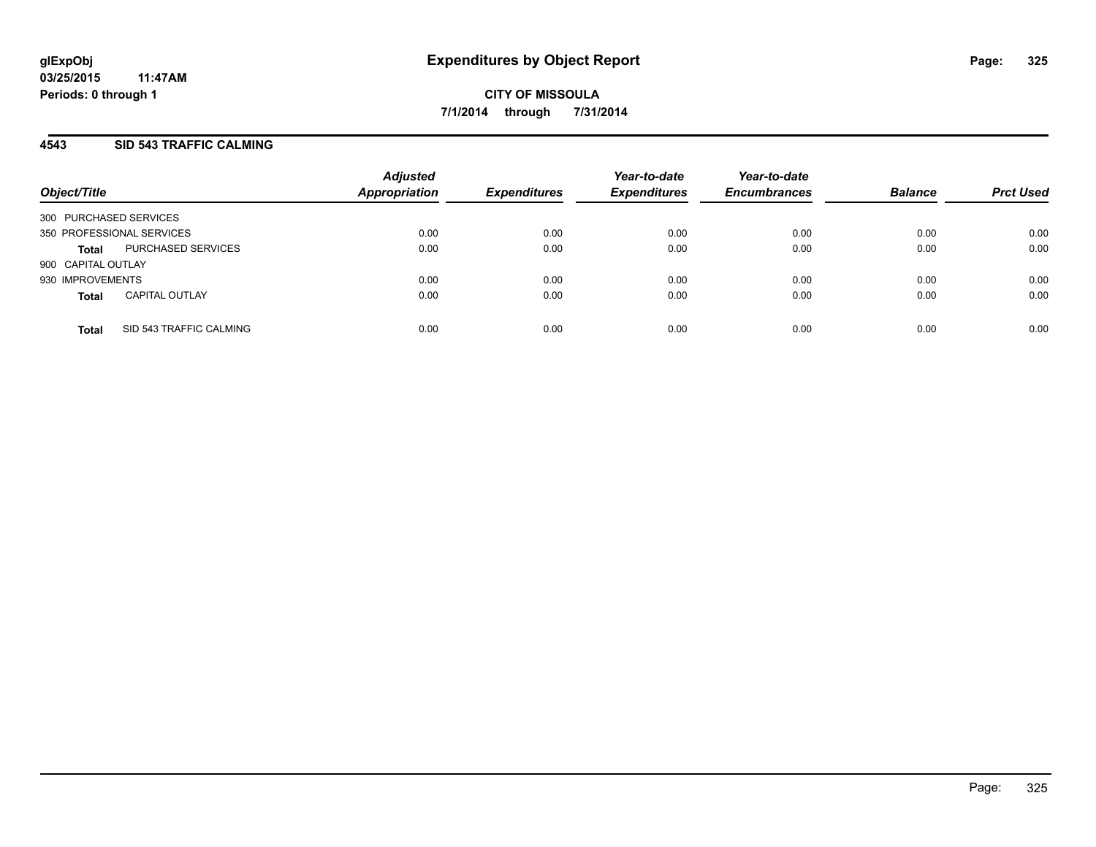## **4543 SID 543 TRAFFIC CALMING**

| Object/Title           |                           | <b>Adjusted</b><br>Appropriation | <b>Expenditures</b> | Year-to-date<br><b>Expenditures</b> | Year-to-date<br><b>Encumbrances</b> | <b>Balance</b> | <b>Prct Used</b> |
|------------------------|---------------------------|----------------------------------|---------------------|-------------------------------------|-------------------------------------|----------------|------------------|
| 300 PURCHASED SERVICES |                           |                                  |                     |                                     |                                     |                |                  |
|                        | 350 PROFESSIONAL SERVICES | 0.00                             | 0.00                | 0.00                                | 0.00                                | 0.00           | 0.00             |
| <b>Total</b>           | PURCHASED SERVICES        | 0.00                             | 0.00                | 0.00                                | 0.00                                | 0.00           | 0.00             |
| 900 CAPITAL OUTLAY     |                           |                                  |                     |                                     |                                     |                |                  |
| 930 IMPROVEMENTS       |                           | 0.00                             | 0.00                | 0.00                                | 0.00                                | 0.00           | 0.00             |
| <b>Total</b>           | <b>CAPITAL OUTLAY</b>     | 0.00                             | 0.00                | 0.00                                | 0.00                                | 0.00           | 0.00             |
| <b>Total</b>           | SID 543 TRAFFIC CALMING   | 0.00                             | 0.00                | 0.00                                | 0.00                                | 0.00           | 0.00             |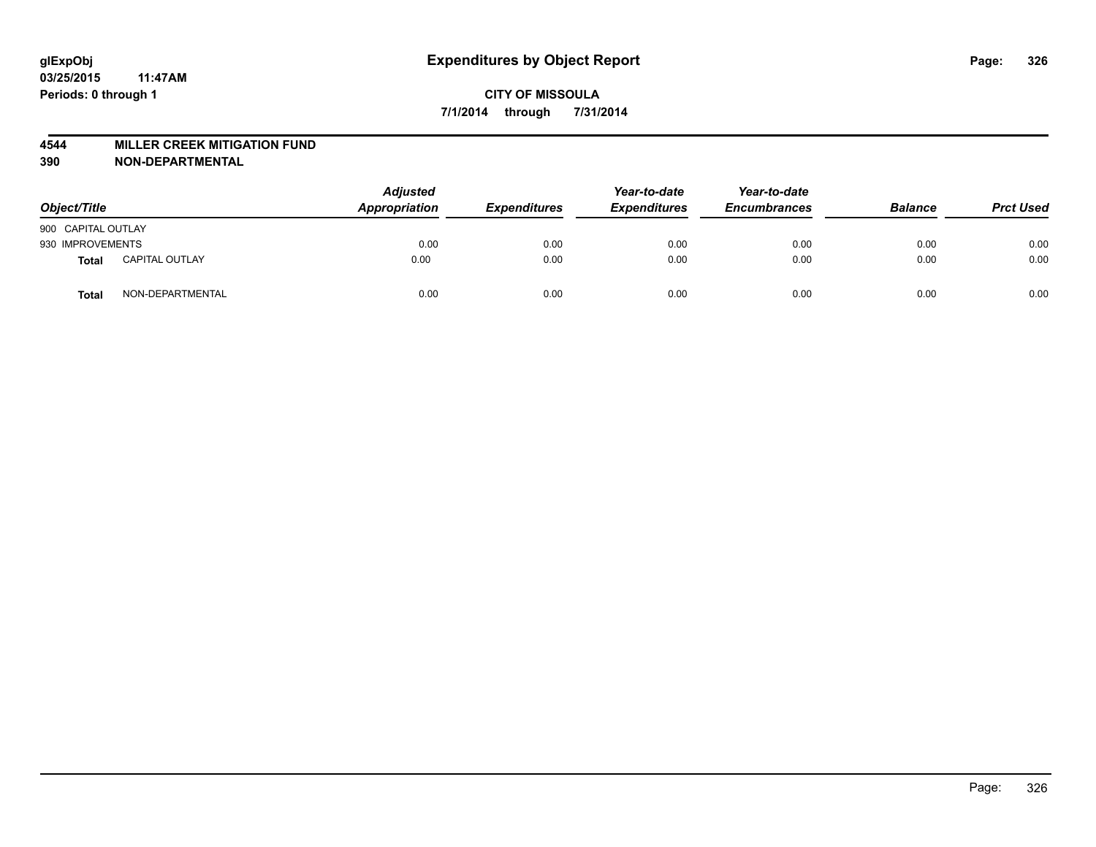#### **4544 MILLER CREEK MITIGATION FUND**

| Object/Title       |                       | <b>Adjusted</b><br>Appropriation | <b>Expenditures</b> | Year-to-date<br><b>Expenditures</b> | Year-to-date<br><b>Encumbrances</b> | <b>Balance</b> | <b>Prct Used</b> |
|--------------------|-----------------------|----------------------------------|---------------------|-------------------------------------|-------------------------------------|----------------|------------------|
| 900 CAPITAL OUTLAY |                       |                                  |                     |                                     |                                     |                |                  |
| 930 IMPROVEMENTS   |                       | 0.00                             | 0.00                | 0.00                                | 0.00                                | 0.00           | 0.00             |
| Total              | <b>CAPITAL OUTLAY</b> | 0.00                             | 0.00                | 0.00                                | 0.00                                | 0.00           | 0.00             |
| Total              | NON-DEPARTMENTAL      | 0.00                             | 0.00                | 0.00                                | 0.00                                | 0.00           | 0.00             |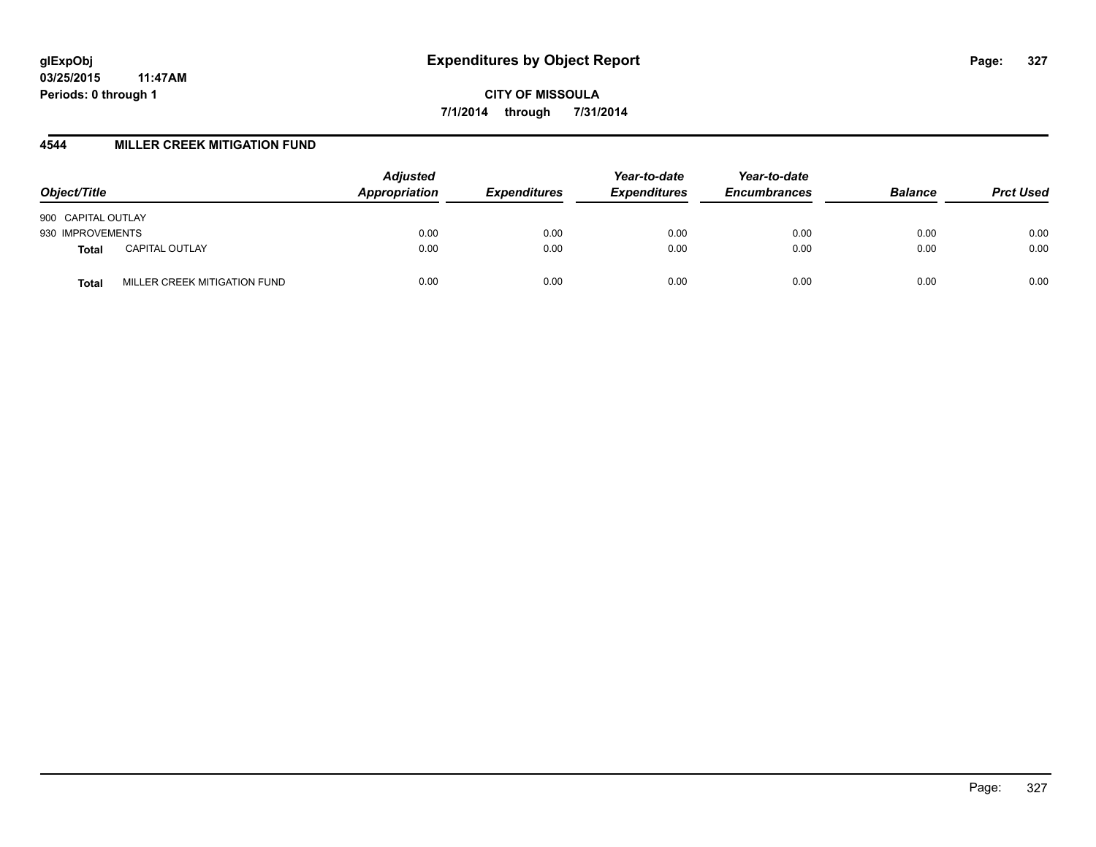**CITY OF MISSOULA 7/1/2014 through 7/31/2014**

### **4544 MILLER CREEK MITIGATION FUND**

| Object/Title                          | <b>Adjusted</b><br>Appropriation | <b>Expenditures</b> | Year-to-date<br><b>Expenditures</b> | Year-to-date<br><b>Encumbrances</b> | <b>Balance</b> | <b>Prct Used</b> |
|---------------------------------------|----------------------------------|---------------------|-------------------------------------|-------------------------------------|----------------|------------------|
| 900 CAPITAL OUTLAY                    |                                  |                     |                                     |                                     |                |                  |
| 930 IMPROVEMENTS                      | 0.00                             | 0.00                | 0.00                                | 0.00                                | 0.00           | 0.00             |
| <b>CAPITAL OUTLAY</b><br><b>Total</b> | 0.00                             | 0.00                | 0.00                                | 0.00                                | 0.00           | 0.00             |
| MILLER CREEK MITIGATION FUND<br>Total | 0.00                             | 0.00                | 0.00                                | 0.00                                | 0.00           | 0.00             |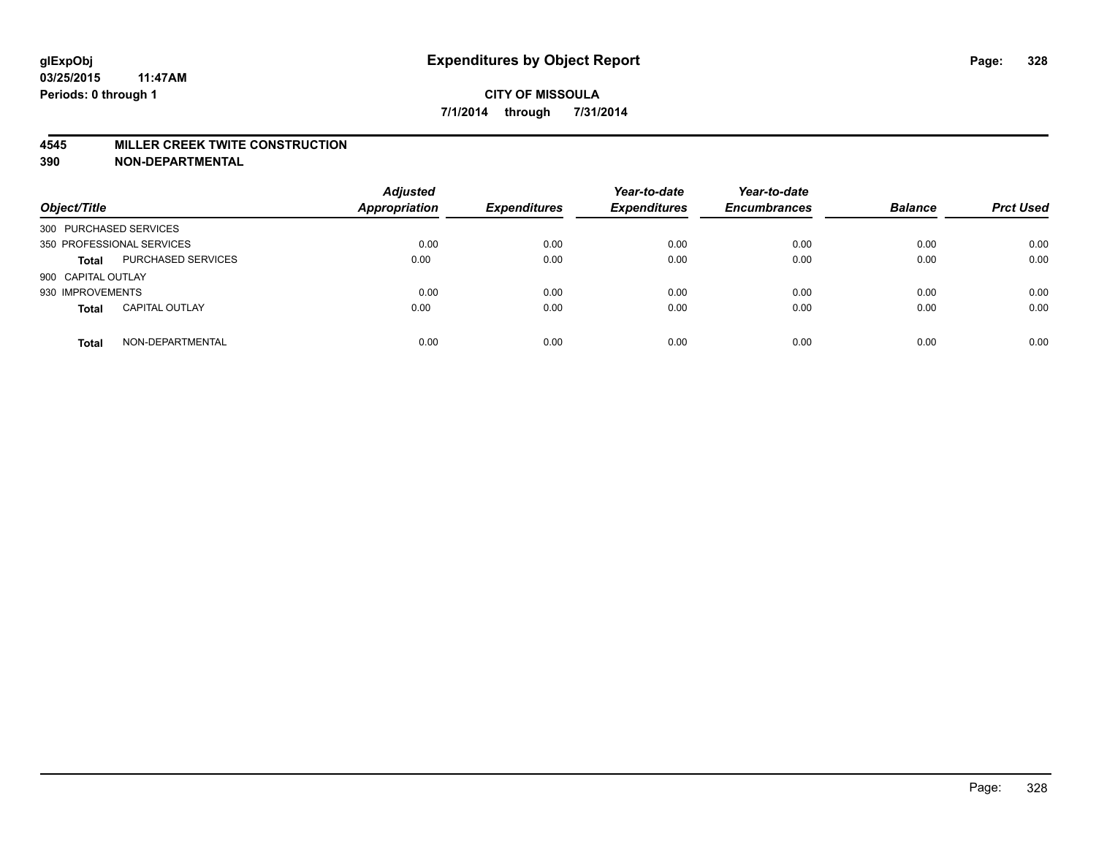#### **4545 MILLER CREEK TWITE CONSTRUCTION**

| Object/Title              |                       | <b>Adjusted</b><br><b>Appropriation</b> | <b>Expenditures</b> | Year-to-date<br><b>Expenditures</b> | Year-to-date<br><b>Encumbrances</b> | <b>Balance</b> | <b>Prct Used</b> |
|---------------------------|-----------------------|-----------------------------------------|---------------------|-------------------------------------|-------------------------------------|----------------|------------------|
| 300 PURCHASED SERVICES    |                       |                                         |                     |                                     |                                     |                |                  |
| 350 PROFESSIONAL SERVICES |                       | 0.00                                    | 0.00                | 0.00                                | 0.00                                | 0.00           | 0.00             |
| <b>Total</b>              | PURCHASED SERVICES    | 0.00                                    | 0.00                | 0.00                                | 0.00                                | 0.00           | 0.00             |
| 900 CAPITAL OUTLAY        |                       |                                         |                     |                                     |                                     |                |                  |
| 930 IMPROVEMENTS          |                       | 0.00                                    | 0.00                | 0.00                                | 0.00                                | 0.00           | 0.00             |
| <b>Total</b>              | <b>CAPITAL OUTLAY</b> | 0.00                                    | 0.00                | 0.00                                | 0.00                                | 0.00           | 0.00             |
| <b>Total</b>              | NON-DEPARTMENTAL      | 0.00                                    | 0.00                | 0.00                                | 0.00                                | 0.00           | 0.00             |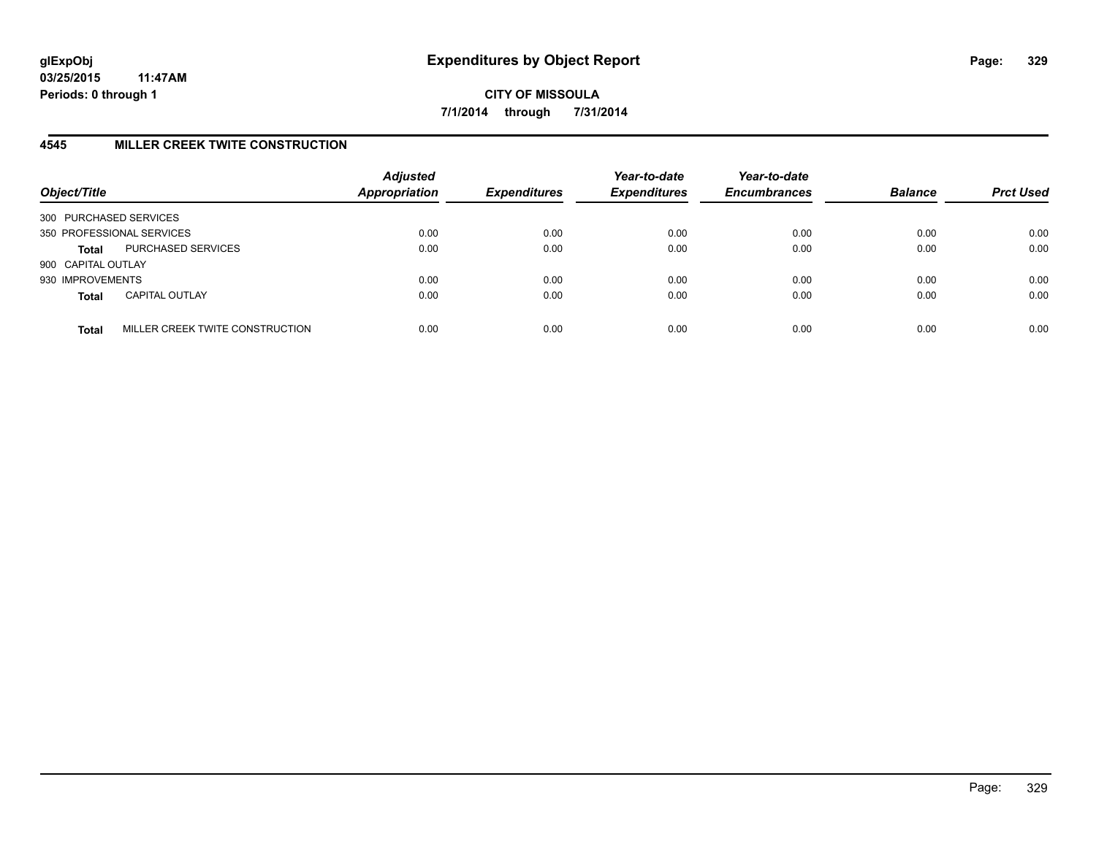# **4545 MILLER CREEK TWITE CONSTRUCTION**

| Object/Title           |                                 | <b>Adjusted</b><br><b>Appropriation</b> | <b>Expenditures</b> | Year-to-date<br><b>Expenditures</b> | Year-to-date<br><b>Encumbrances</b> | <b>Balance</b> | <b>Prct Used</b> |
|------------------------|---------------------------------|-----------------------------------------|---------------------|-------------------------------------|-------------------------------------|----------------|------------------|
| 300 PURCHASED SERVICES |                                 |                                         |                     |                                     |                                     |                |                  |
|                        | 350 PROFESSIONAL SERVICES       | 0.00                                    | 0.00                | 0.00                                | 0.00                                | 0.00           | 0.00             |
| <b>Total</b>           | PURCHASED SERVICES              | 0.00                                    | 0.00                | 0.00                                | 0.00                                | 0.00           | 0.00             |
| 900 CAPITAL OUTLAY     |                                 |                                         |                     |                                     |                                     |                |                  |
| 930 IMPROVEMENTS       |                                 | 0.00                                    | 0.00                | 0.00                                | 0.00                                | 0.00           | 0.00             |
| <b>Total</b>           | <b>CAPITAL OUTLAY</b>           | 0.00                                    | 0.00                | 0.00                                | 0.00                                | 0.00           | 0.00             |
| <b>Total</b>           | MILLER CREEK TWITE CONSTRUCTION | 0.00                                    | 0.00                | 0.00                                | 0.00                                | 0.00           | 0.00             |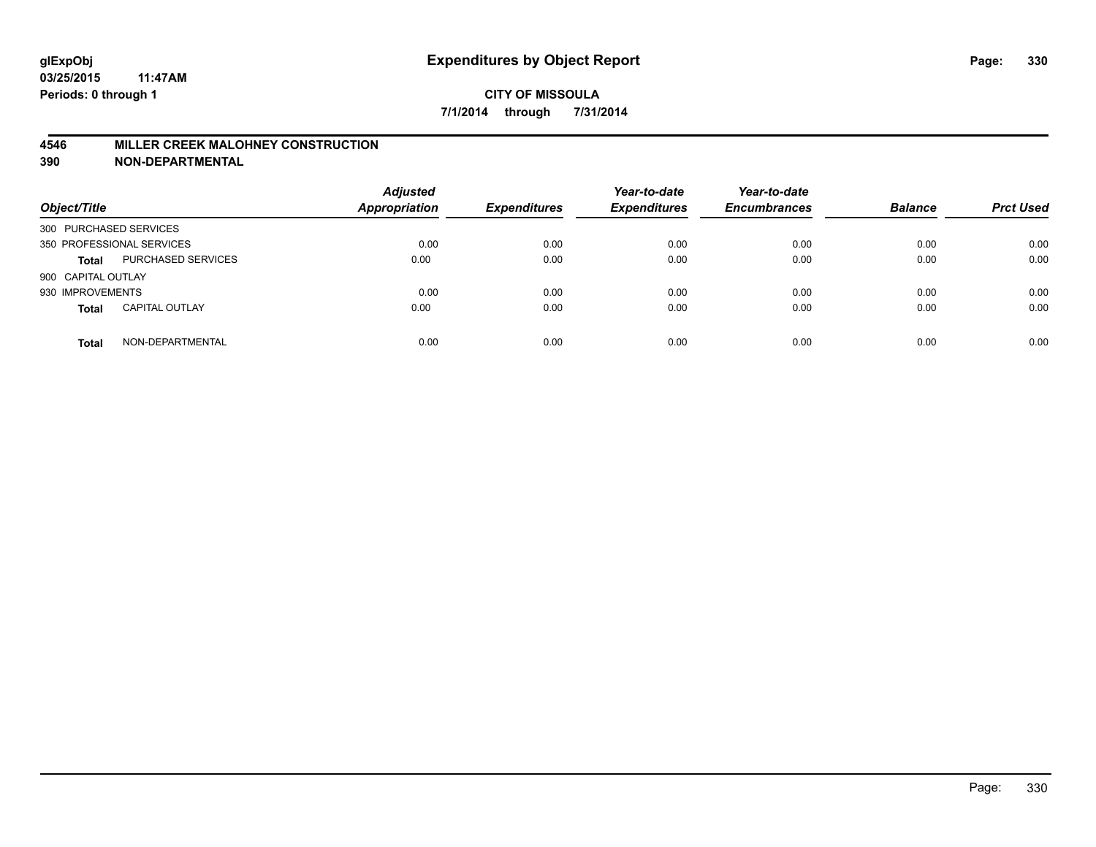### **4546 MILLER CREEK MALOHNEY CONSTRUCTION**

| Object/Title           |                           | <b>Adjusted</b><br><b>Appropriation</b> | <b>Expenditures</b> | Year-to-date<br><b>Expenditures</b> | Year-to-date<br><b>Encumbrances</b> | <b>Balance</b> | <b>Prct Used</b> |
|------------------------|---------------------------|-----------------------------------------|---------------------|-------------------------------------|-------------------------------------|----------------|------------------|
| 300 PURCHASED SERVICES |                           |                                         |                     |                                     |                                     |                |                  |
|                        | 350 PROFESSIONAL SERVICES | 0.00                                    | 0.00                | 0.00                                | 0.00                                | 0.00           | 0.00             |
| <b>Total</b>           | <b>PURCHASED SERVICES</b> | 0.00                                    | 0.00                | 0.00                                | 0.00                                | 0.00           | 0.00             |
| 900 CAPITAL OUTLAY     |                           |                                         |                     |                                     |                                     |                |                  |
| 930 IMPROVEMENTS       |                           | 0.00                                    | 0.00                | 0.00                                | 0.00                                | 0.00           | 0.00             |
| <b>Total</b>           | <b>CAPITAL OUTLAY</b>     | 0.00                                    | 0.00                | 0.00                                | 0.00                                | 0.00           | 0.00             |
| <b>Total</b>           | NON-DEPARTMENTAL          | 0.00                                    | 0.00                | 0.00                                | 0.00                                | 0.00           | 0.00             |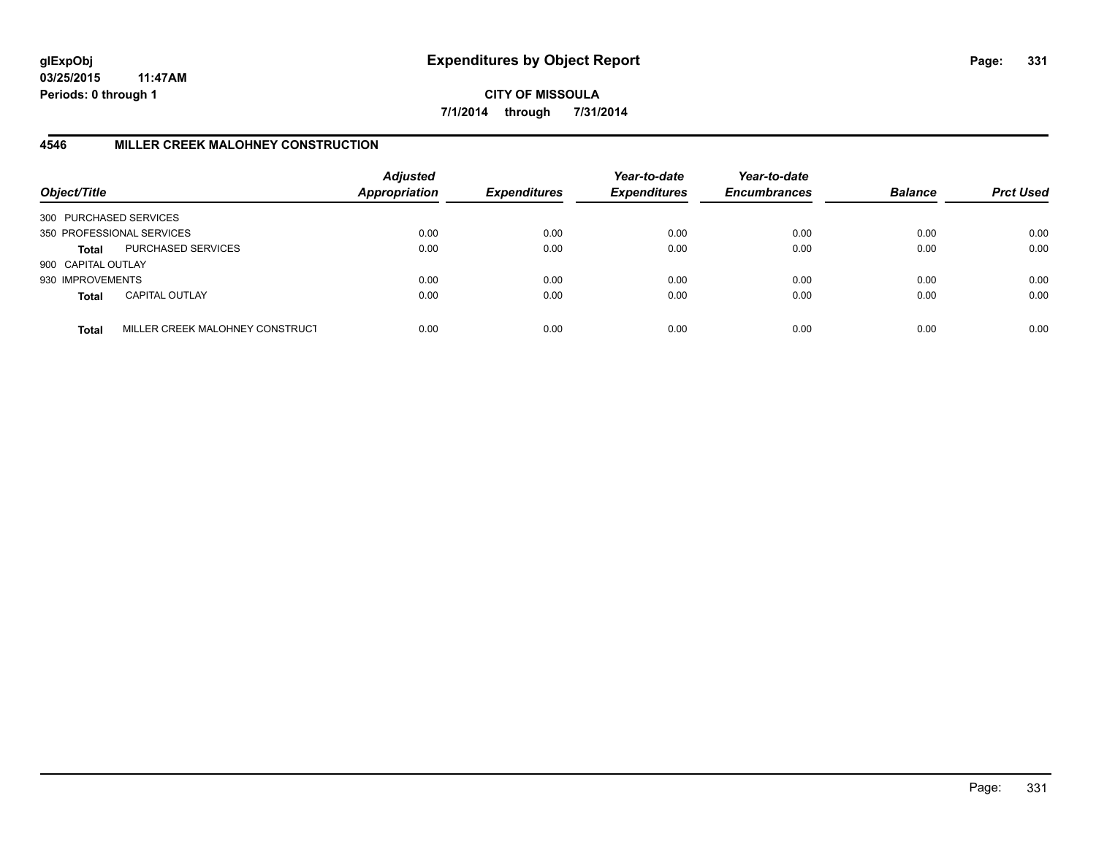**CITY OF MISSOULA 7/1/2014 through 7/31/2014**

# **4546 MILLER CREEK MALOHNEY CONSTRUCTION**

| Object/Title           |                                 | <b>Adjusted</b><br><b>Appropriation</b> | <b>Expenditures</b> | Year-to-date<br><b>Expenditures</b> | Year-to-date<br><b>Encumbrances</b> | <b>Balance</b> | <b>Prct Used</b> |
|------------------------|---------------------------------|-----------------------------------------|---------------------|-------------------------------------|-------------------------------------|----------------|------------------|
| 300 PURCHASED SERVICES |                                 |                                         |                     |                                     |                                     |                |                  |
|                        | 350 PROFESSIONAL SERVICES       | 0.00                                    | 0.00                | 0.00                                | 0.00                                | 0.00           | 0.00             |
| Total                  | PURCHASED SERVICES              | 0.00                                    | 0.00                | 0.00                                | 0.00                                | 0.00           | 0.00             |
| 900 CAPITAL OUTLAY     |                                 |                                         |                     |                                     |                                     |                |                  |
| 930 IMPROVEMENTS       |                                 | 0.00                                    | 0.00                | 0.00                                | 0.00                                | 0.00           | 0.00             |
| <b>Total</b>           | <b>CAPITAL OUTLAY</b>           | 0.00                                    | 0.00                | 0.00                                | 0.00                                | 0.00           | 0.00             |
| <b>Total</b>           | MILLER CREEK MALOHNEY CONSTRUCT | 0.00                                    | 0.00                | 0.00                                | 0.00                                | 0.00           | 0.00             |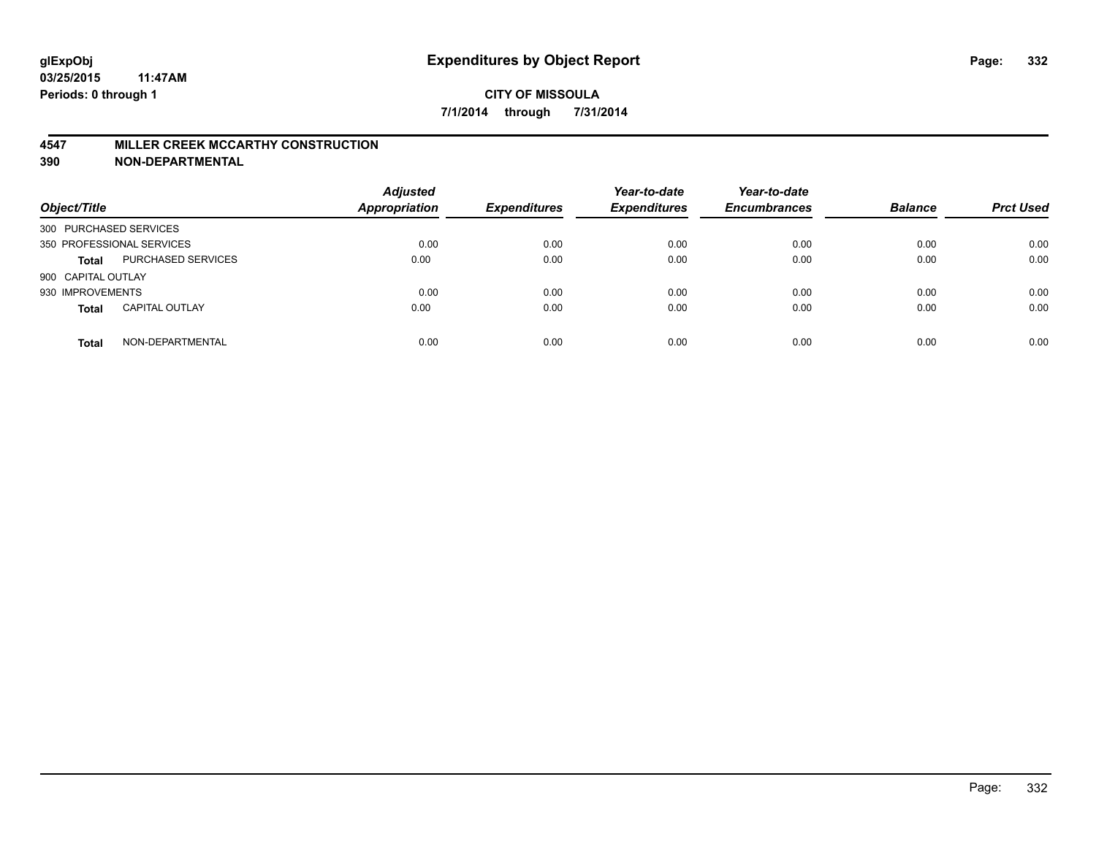#### **4547 MILLER CREEK MCCARTHY CONSTRUCTION**

| Object/Title           |                           | <b>Adjusted</b><br><b>Appropriation</b> | <b>Expenditures</b> | Year-to-date<br><b>Expenditures</b> | Year-to-date<br><b>Encumbrances</b> | <b>Balance</b> | <b>Prct Used</b> |
|------------------------|---------------------------|-----------------------------------------|---------------------|-------------------------------------|-------------------------------------|----------------|------------------|
| 300 PURCHASED SERVICES |                           |                                         |                     |                                     |                                     |                |                  |
|                        | 350 PROFESSIONAL SERVICES | 0.00                                    | 0.00                | 0.00                                | 0.00                                | 0.00           | 0.00             |
| <b>Total</b>           | PURCHASED SERVICES        | 0.00                                    | 0.00                | 0.00                                | 0.00                                | 0.00           | 0.00             |
| 900 CAPITAL OUTLAY     |                           |                                         |                     |                                     |                                     |                |                  |
| 930 IMPROVEMENTS       |                           | 0.00                                    | 0.00                | 0.00                                | 0.00                                | 0.00           | 0.00             |
| <b>Total</b>           | <b>CAPITAL OUTLAY</b>     | 0.00                                    | 0.00                | 0.00                                | 0.00                                | 0.00           | 0.00             |
| <b>Total</b>           | NON-DEPARTMENTAL          | 0.00                                    | 0.00                | 0.00                                | 0.00                                | 0.00           | 0.00             |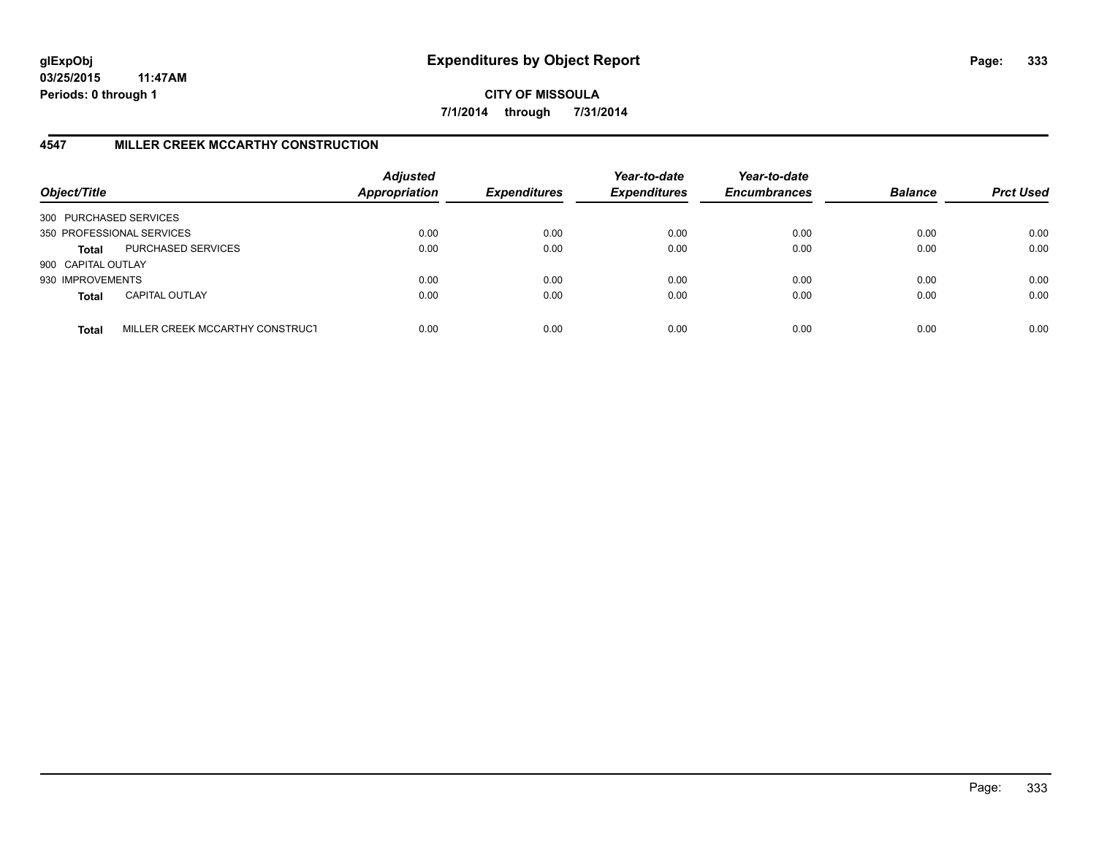**CITY OF MISSOULA 7/1/2014 through 7/31/2014**

# **4547 MILLER CREEK MCCARTHY CONSTRUCTION**

| Object/Title           |                                 | <b>Adjusted</b><br>Appropriation | <b>Expenditures</b> | Year-to-date<br><b>Expenditures</b> | Year-to-date<br><b>Encumbrances</b> | <b>Balance</b> | <b>Prct Used</b> |
|------------------------|---------------------------------|----------------------------------|---------------------|-------------------------------------|-------------------------------------|----------------|------------------|
| 300 PURCHASED SERVICES |                                 |                                  |                     |                                     |                                     |                |                  |
|                        | 350 PROFESSIONAL SERVICES       | 0.00                             | 0.00                | 0.00                                | 0.00                                | 0.00           | 0.00             |
| Total                  | PURCHASED SERVICES              | 0.00                             | 0.00                | 0.00                                | 0.00                                | 0.00           | 0.00             |
| 900 CAPITAL OUTLAY     |                                 |                                  |                     |                                     |                                     |                |                  |
| 930 IMPROVEMENTS       |                                 | 0.00                             | 0.00                | 0.00                                | 0.00                                | 0.00           | 0.00             |
| <b>Total</b>           | <b>CAPITAL OUTLAY</b>           | 0.00                             | 0.00                | 0.00                                | 0.00                                | 0.00           | 0.00             |
| <b>Total</b>           | MILLER CREEK MCCARTHY CONSTRUCT | 0.00                             | 0.00                | 0.00                                | 0.00                                | 0.00           | 0.00             |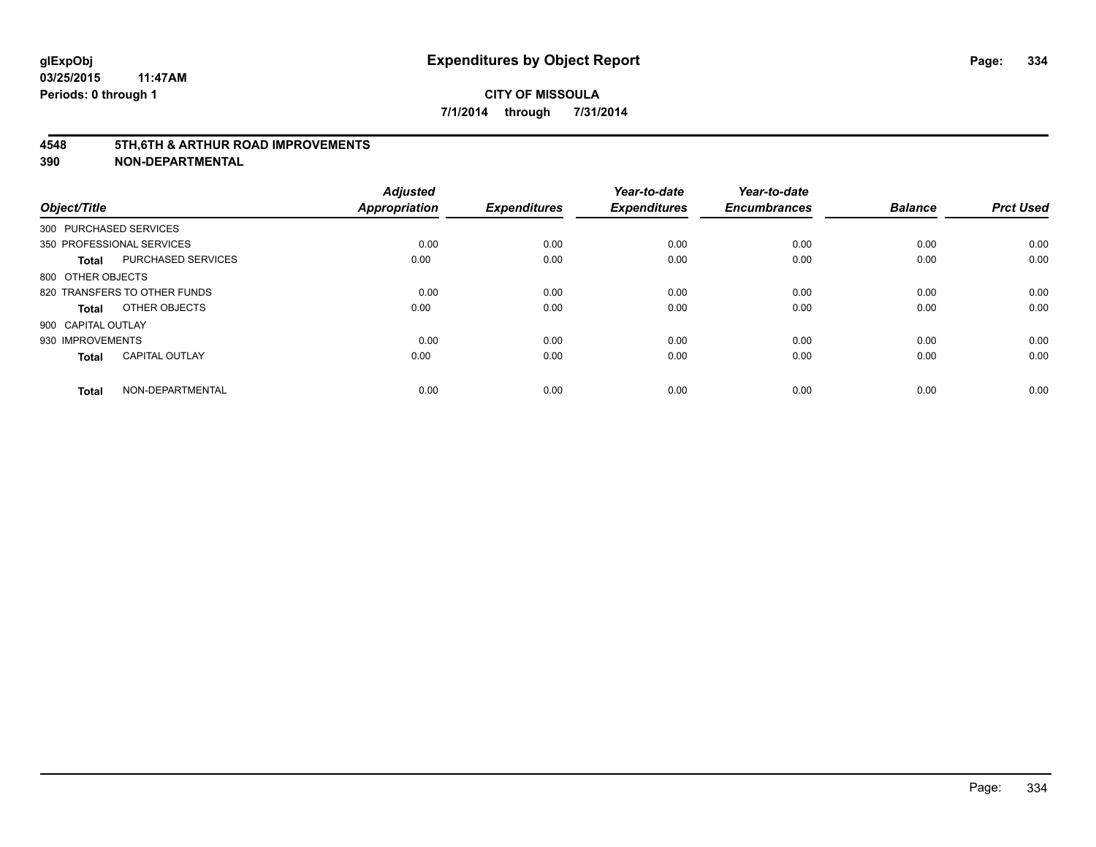#### **4548 5TH,6TH & ARTHUR ROAD IMPROVEMENTS**

| Object/Title              |                              | <b>Adjusted</b><br><b>Appropriation</b> | <b>Expenditures</b> | Year-to-date<br><b>Expenditures</b> | Year-to-date<br><b>Encumbrances</b> | <b>Balance</b> | <b>Prct Used</b> |
|---------------------------|------------------------------|-----------------------------------------|---------------------|-------------------------------------|-------------------------------------|----------------|------------------|
| 300 PURCHASED SERVICES    |                              |                                         |                     |                                     |                                     |                |                  |
| 350 PROFESSIONAL SERVICES |                              | 0.00                                    | 0.00                | 0.00                                | 0.00                                | 0.00           | 0.00             |
| <b>Total</b>              | <b>PURCHASED SERVICES</b>    | 0.00                                    | 0.00                | 0.00                                | 0.00                                | 0.00           | 0.00             |
| 800 OTHER OBJECTS         |                              |                                         |                     |                                     |                                     |                |                  |
|                           | 820 TRANSFERS TO OTHER FUNDS | 0.00                                    | 0.00                | 0.00                                | 0.00                                | 0.00           | 0.00             |
| Total                     | OTHER OBJECTS                | 0.00                                    | 0.00                | 0.00                                | 0.00                                | 0.00           | 0.00             |
| 900 CAPITAL OUTLAY        |                              |                                         |                     |                                     |                                     |                |                  |
| 930 IMPROVEMENTS          |                              | 0.00                                    | 0.00                | 0.00                                | 0.00                                | 0.00           | 0.00             |
| Total                     | <b>CAPITAL OUTLAY</b>        | 0.00                                    | 0.00                | 0.00                                | 0.00                                | 0.00           | 0.00             |
| <b>Total</b>              | NON-DEPARTMENTAL             | 0.00                                    | 0.00                | 0.00                                | 0.00                                | 0.00           | 0.00             |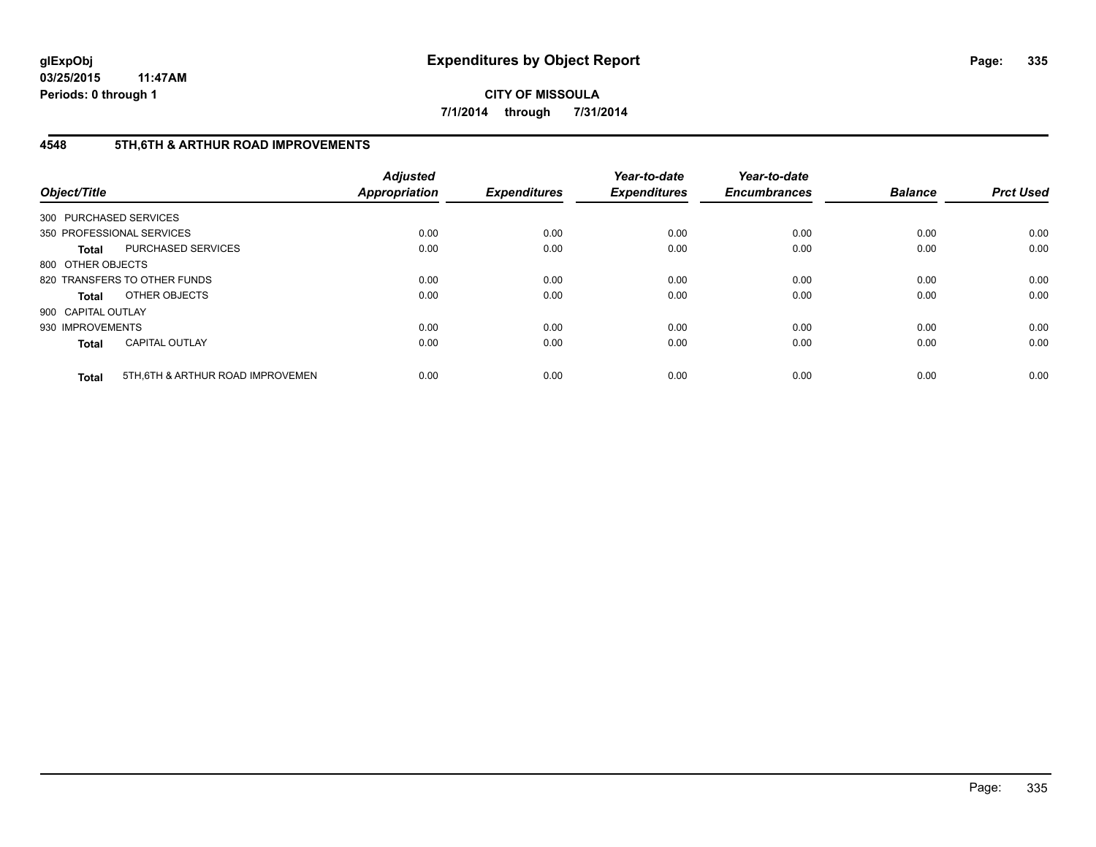**CITY OF MISSOULA 7/1/2014 through 7/31/2014**

# **4548 5TH,6TH & ARTHUR ROAD IMPROVEMENTS**

| Object/Title           |                                  | <b>Adjusted</b><br><b>Appropriation</b> | <b>Expenditures</b> | Year-to-date<br><b>Expenditures</b> | Year-to-date<br><b>Encumbrances</b> | <b>Balance</b> | <b>Prct Used</b> |
|------------------------|----------------------------------|-----------------------------------------|---------------------|-------------------------------------|-------------------------------------|----------------|------------------|
| 300 PURCHASED SERVICES |                                  |                                         |                     |                                     |                                     |                |                  |
|                        | 350 PROFESSIONAL SERVICES        | 0.00                                    | 0.00                | 0.00                                | 0.00                                | 0.00           | 0.00             |
| <b>Total</b>           | <b>PURCHASED SERVICES</b>        | 0.00                                    | 0.00                | 0.00                                | 0.00                                | 0.00           | 0.00             |
| 800 OTHER OBJECTS      |                                  |                                         |                     |                                     |                                     |                |                  |
|                        | 820 TRANSFERS TO OTHER FUNDS     | 0.00                                    | 0.00                | 0.00                                | 0.00                                | 0.00           | 0.00             |
| <b>Total</b>           | OTHER OBJECTS                    | 0.00                                    | 0.00                | 0.00                                | 0.00                                | 0.00           | 0.00             |
| 900 CAPITAL OUTLAY     |                                  |                                         |                     |                                     |                                     |                |                  |
| 930 IMPROVEMENTS       |                                  | 0.00                                    | 0.00                | 0.00                                | 0.00                                | 0.00           | 0.00             |
| <b>Total</b>           | <b>CAPITAL OUTLAY</b>            | 0.00                                    | 0.00                | 0.00                                | 0.00                                | 0.00           | 0.00             |
| <b>Total</b>           | 5TH.6TH & ARTHUR ROAD IMPROVEMEN | 0.00                                    | 0.00                | 0.00                                | 0.00                                | 0.00           | 0.00             |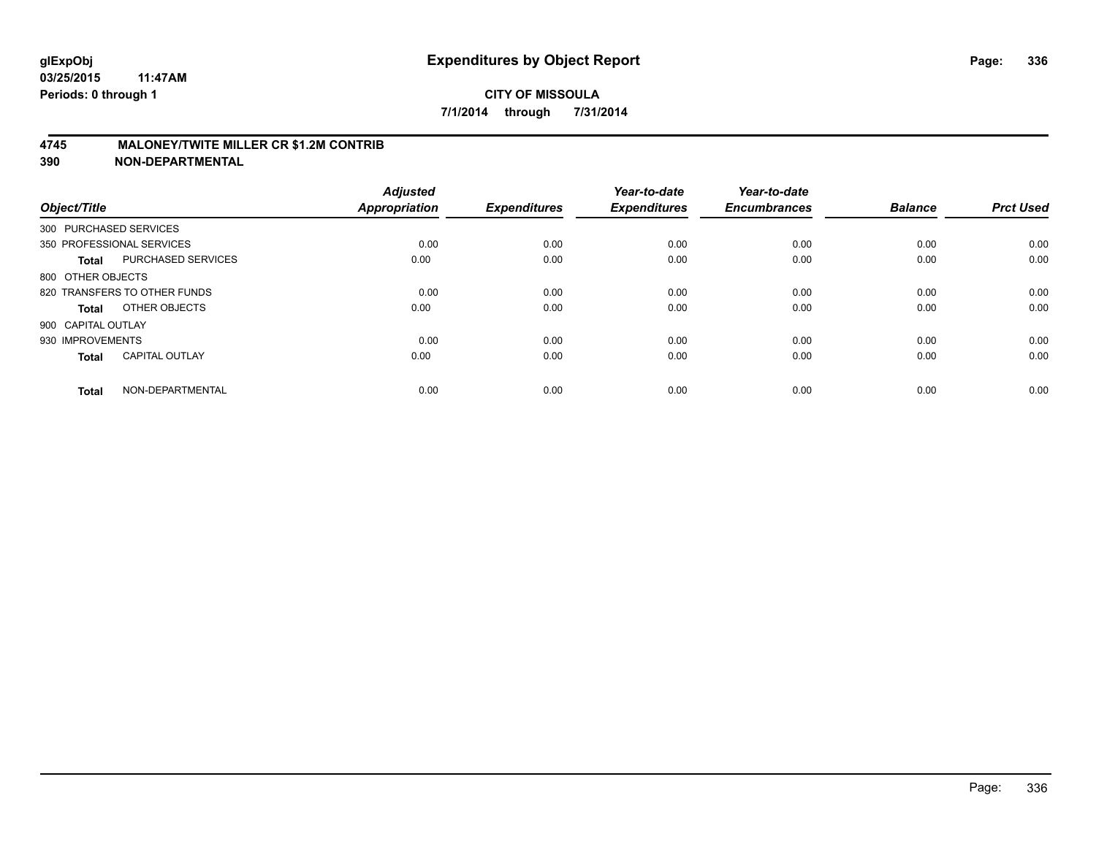## **4745 MALONEY/TWITE MILLER CR \$1.2M CONTRIB**

| Object/Title           |                              | <b>Adjusted</b><br><b>Appropriation</b> | <b>Expenditures</b> | Year-to-date<br><b>Expenditures</b> | Year-to-date<br><b>Encumbrances</b> | <b>Balance</b> | <b>Prct Used</b> |
|------------------------|------------------------------|-----------------------------------------|---------------------|-------------------------------------|-------------------------------------|----------------|------------------|
| 300 PURCHASED SERVICES |                              |                                         |                     |                                     |                                     |                |                  |
|                        | 350 PROFESSIONAL SERVICES    | 0.00                                    | 0.00                | 0.00                                | 0.00                                | 0.00           | 0.00             |
| <b>Total</b>           | <b>PURCHASED SERVICES</b>    | 0.00                                    | 0.00                | 0.00                                | 0.00                                | 0.00           | 0.00             |
| 800 OTHER OBJECTS      |                              |                                         |                     |                                     |                                     |                |                  |
|                        | 820 TRANSFERS TO OTHER FUNDS | 0.00                                    | 0.00                | 0.00                                | 0.00                                | 0.00           | 0.00             |
| Total                  | OTHER OBJECTS                | 0.00                                    | 0.00                | 0.00                                | 0.00                                | 0.00           | 0.00             |
| 900 CAPITAL OUTLAY     |                              |                                         |                     |                                     |                                     |                |                  |
| 930 IMPROVEMENTS       |                              | 0.00                                    | 0.00                | 0.00                                | 0.00                                | 0.00           | 0.00             |
| Total                  | <b>CAPITAL OUTLAY</b>        | 0.00                                    | 0.00                | 0.00                                | 0.00                                | 0.00           | 0.00             |
| <b>Total</b>           | NON-DEPARTMENTAL             | 0.00                                    | 0.00                | 0.00                                | 0.00                                | 0.00           | 0.00             |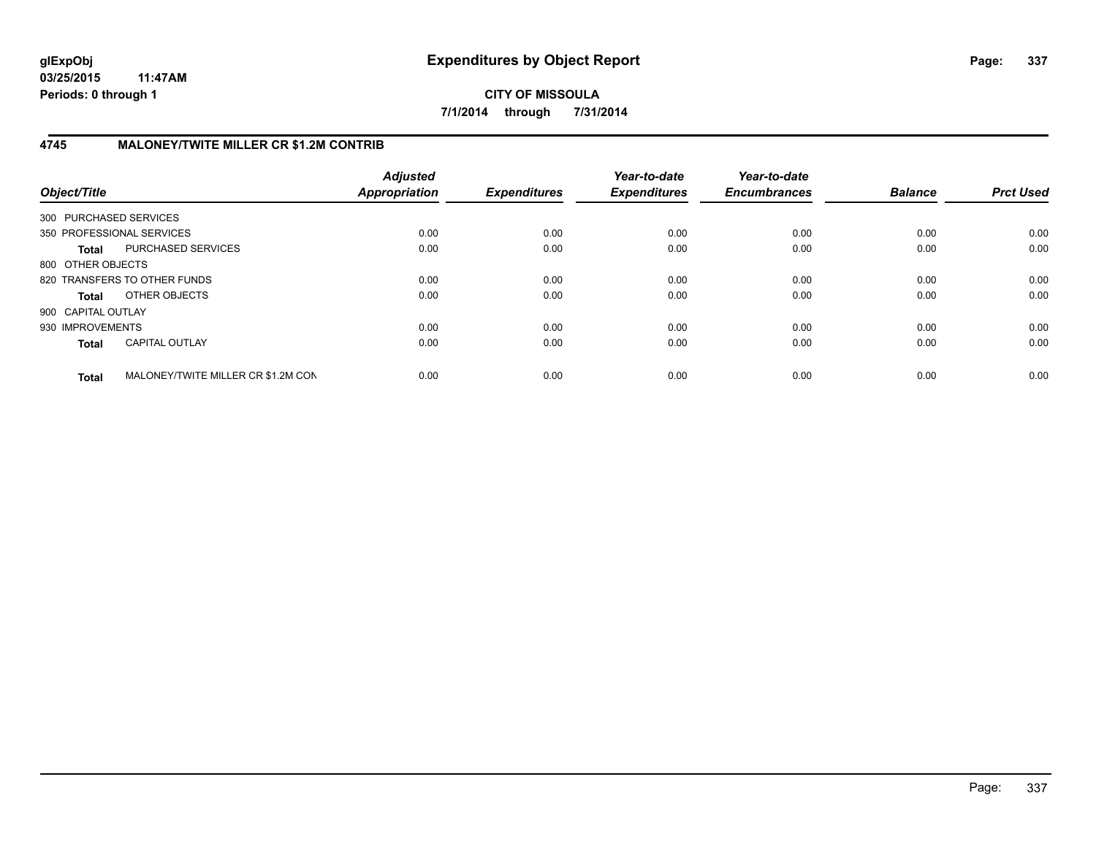**CITY OF MISSOULA 7/1/2014 through 7/31/2014**

# **4745 MALONEY/TWITE MILLER CR \$1.2M CONTRIB**

| Object/Title           |                                    | <b>Adjusted</b><br>Appropriation | <b>Expenditures</b> | Year-to-date<br><b>Expenditures</b> | Year-to-date<br><b>Encumbrances</b> | <b>Balance</b> | <b>Prct Used</b> |
|------------------------|------------------------------------|----------------------------------|---------------------|-------------------------------------|-------------------------------------|----------------|------------------|
| 300 PURCHASED SERVICES |                                    |                                  |                     |                                     |                                     |                |                  |
|                        | 350 PROFESSIONAL SERVICES          | 0.00                             | 0.00                | 0.00                                | 0.00                                | 0.00           | 0.00             |
| <b>Total</b>           | PURCHASED SERVICES                 | 0.00                             | 0.00                | 0.00                                | 0.00                                | 0.00           | 0.00             |
| 800 OTHER OBJECTS      |                                    |                                  |                     |                                     |                                     |                |                  |
|                        | 820 TRANSFERS TO OTHER FUNDS       | 0.00                             | 0.00                | 0.00                                | 0.00                                | 0.00           | 0.00             |
| <b>Total</b>           | OTHER OBJECTS                      | 0.00                             | 0.00                | 0.00                                | 0.00                                | 0.00           | 0.00             |
| 900 CAPITAL OUTLAY     |                                    |                                  |                     |                                     |                                     |                |                  |
| 930 IMPROVEMENTS       |                                    | 0.00                             | 0.00                | 0.00                                | 0.00                                | 0.00           | 0.00             |
| <b>Total</b>           | <b>CAPITAL OUTLAY</b>              | 0.00                             | 0.00                | 0.00                                | 0.00                                | 0.00           | 0.00             |
| <b>Total</b>           | MALONEY/TWITE MILLER CR \$1.2M CON | 0.00                             | 0.00                | 0.00                                | 0.00                                | 0.00           | 0.00             |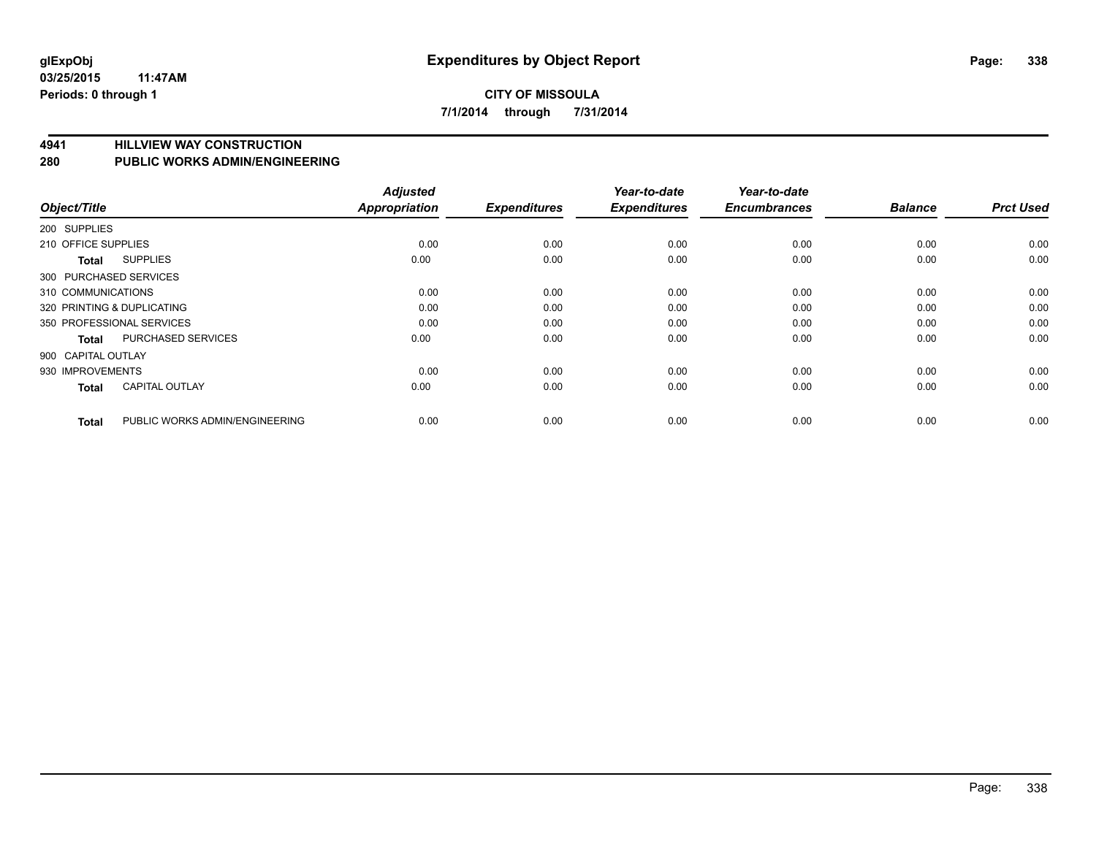## **CITY OF MISSOULA 7/1/2014 through 7/31/2014**

**4941 HILLVIEW WAY CONSTRUCTION**

**280 PUBLIC WORKS ADMIN/ENGINEERING**

| Object/Title           |                                | <b>Adjusted</b><br><b>Appropriation</b> | <b>Expenditures</b> | Year-to-date<br><b>Expenditures</b> | Year-to-date<br><b>Encumbrances</b> | <b>Balance</b> | <b>Prct Used</b> |
|------------------------|--------------------------------|-----------------------------------------|---------------------|-------------------------------------|-------------------------------------|----------------|------------------|
| 200 SUPPLIES           |                                |                                         |                     |                                     |                                     |                |                  |
| 210 OFFICE SUPPLIES    |                                | 0.00                                    | 0.00                | 0.00                                | 0.00                                | 0.00           | 0.00             |
| <b>Total</b>           | <b>SUPPLIES</b>                | 0.00                                    | 0.00                | 0.00                                | 0.00                                | 0.00           | 0.00             |
| 300 PURCHASED SERVICES |                                |                                         |                     |                                     |                                     |                |                  |
| 310 COMMUNICATIONS     |                                | 0.00                                    | 0.00                | 0.00                                | 0.00                                | 0.00           | 0.00             |
|                        | 320 PRINTING & DUPLICATING     | 0.00                                    | 0.00                | 0.00                                | 0.00                                | 0.00           | 0.00             |
|                        | 350 PROFESSIONAL SERVICES      | 0.00                                    | 0.00                | 0.00                                | 0.00                                | 0.00           | 0.00             |
| <b>Total</b>           | <b>PURCHASED SERVICES</b>      | 0.00                                    | 0.00                | 0.00                                | 0.00                                | 0.00           | 0.00             |
| 900 CAPITAL OUTLAY     |                                |                                         |                     |                                     |                                     |                |                  |
| 930 IMPROVEMENTS       |                                | 0.00                                    | 0.00                | 0.00                                | 0.00                                | 0.00           | 0.00             |
| <b>Total</b>           | <b>CAPITAL OUTLAY</b>          | 0.00                                    | 0.00                | 0.00                                | 0.00                                | 0.00           | 0.00             |
| <b>Total</b>           | PUBLIC WORKS ADMIN/ENGINEERING | 0.00                                    | 0.00                | 0.00                                | 0.00                                | 0.00           | 0.00             |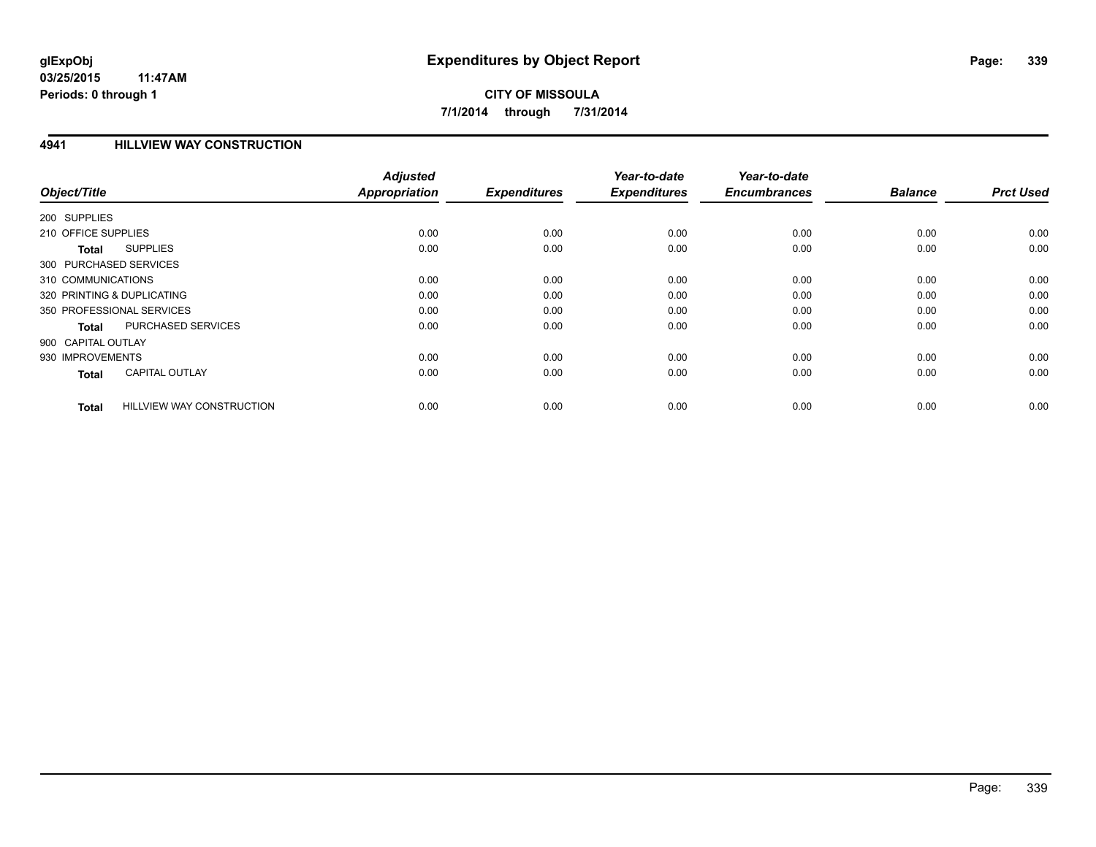## **4941 HILLVIEW WAY CONSTRUCTION**

| Object/Title                                     | <b>Adjusted</b><br><b>Appropriation</b> | <b>Expenditures</b> | Year-to-date<br><b>Expenditures</b> | Year-to-date<br><b>Encumbrances</b> | <b>Balance</b> | <b>Prct Used</b> |
|--------------------------------------------------|-----------------------------------------|---------------------|-------------------------------------|-------------------------------------|----------------|------------------|
|                                                  |                                         |                     |                                     |                                     |                |                  |
| 200 SUPPLIES                                     |                                         |                     |                                     |                                     |                |                  |
| 210 OFFICE SUPPLIES                              | 0.00                                    | 0.00                | 0.00                                | 0.00                                | 0.00           | 0.00             |
| <b>SUPPLIES</b><br><b>Total</b>                  | 0.00                                    | 0.00                | 0.00                                | 0.00                                | 0.00           | 0.00             |
| 300 PURCHASED SERVICES                           |                                         |                     |                                     |                                     |                |                  |
| 310 COMMUNICATIONS                               | 0.00                                    | 0.00                | 0.00                                | 0.00                                | 0.00           | 0.00             |
| 320 PRINTING & DUPLICATING                       | 0.00                                    | 0.00                | 0.00                                | 0.00                                | 0.00           | 0.00             |
| 350 PROFESSIONAL SERVICES                        | 0.00                                    | 0.00                | 0.00                                | 0.00                                | 0.00           | 0.00             |
| PURCHASED SERVICES<br><b>Total</b>               | 0.00                                    | 0.00                | 0.00                                | 0.00                                | 0.00           | 0.00             |
| 900 CAPITAL OUTLAY                               |                                         |                     |                                     |                                     |                |                  |
| 930 IMPROVEMENTS                                 | 0.00                                    | 0.00                | 0.00                                | 0.00                                | 0.00           | 0.00             |
| <b>CAPITAL OUTLAY</b><br><b>Total</b>            | 0.00                                    | 0.00                | 0.00                                | 0.00                                | 0.00           | 0.00             |
| <b>HILLVIEW WAY CONSTRUCTION</b><br><b>Total</b> | 0.00                                    | 0.00                | 0.00                                | 0.00                                | 0.00           | 0.00             |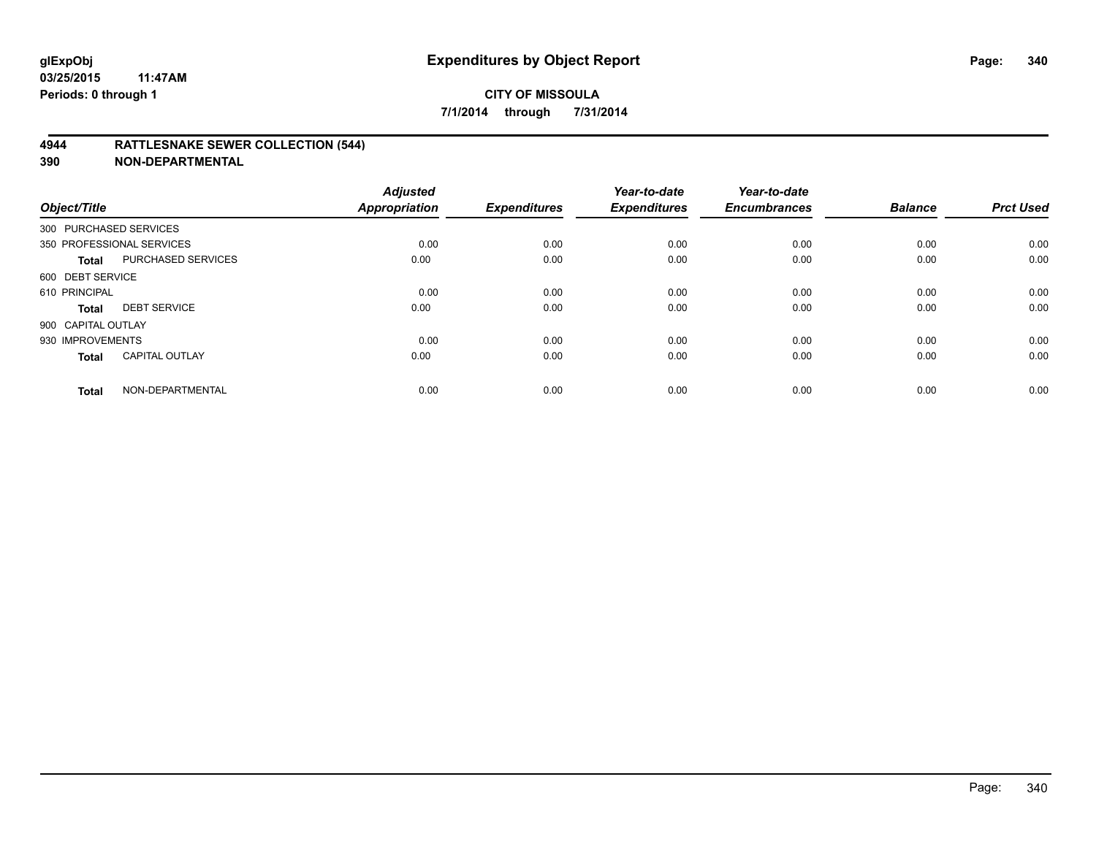## **4944 RATTLESNAKE SEWER COLLECTION (544)**

| Object/Title           |                           | <b>Adjusted</b><br><b>Appropriation</b> | <b>Expenditures</b> | Year-to-date<br><b>Expenditures</b> | Year-to-date<br><b>Encumbrances</b> | <b>Balance</b> | <b>Prct Used</b> |
|------------------------|---------------------------|-----------------------------------------|---------------------|-------------------------------------|-------------------------------------|----------------|------------------|
| 300 PURCHASED SERVICES |                           |                                         |                     |                                     |                                     |                |                  |
|                        | 350 PROFESSIONAL SERVICES | 0.00                                    | 0.00                | 0.00                                | 0.00                                | 0.00           | 0.00             |
| <b>Total</b>           | <b>PURCHASED SERVICES</b> | 0.00                                    | 0.00                | 0.00                                | 0.00                                | 0.00           | 0.00             |
| 600 DEBT SERVICE       |                           |                                         |                     |                                     |                                     |                |                  |
| 610 PRINCIPAL          |                           | 0.00                                    | 0.00                | 0.00                                | 0.00                                | 0.00           | 0.00             |
| <b>Total</b>           | <b>DEBT SERVICE</b>       | 0.00                                    | 0.00                | 0.00                                | 0.00                                | 0.00           | 0.00             |
| 900 CAPITAL OUTLAY     |                           |                                         |                     |                                     |                                     |                |                  |
| 930 IMPROVEMENTS       |                           | 0.00                                    | 0.00                | 0.00                                | 0.00                                | 0.00           | 0.00             |
| <b>Total</b>           | <b>CAPITAL OUTLAY</b>     | 0.00                                    | 0.00                | 0.00                                | 0.00                                | 0.00           | 0.00             |
| <b>Total</b>           | NON-DEPARTMENTAL          | 0.00                                    | 0.00                | 0.00                                | 0.00                                | 0.00           | 0.00             |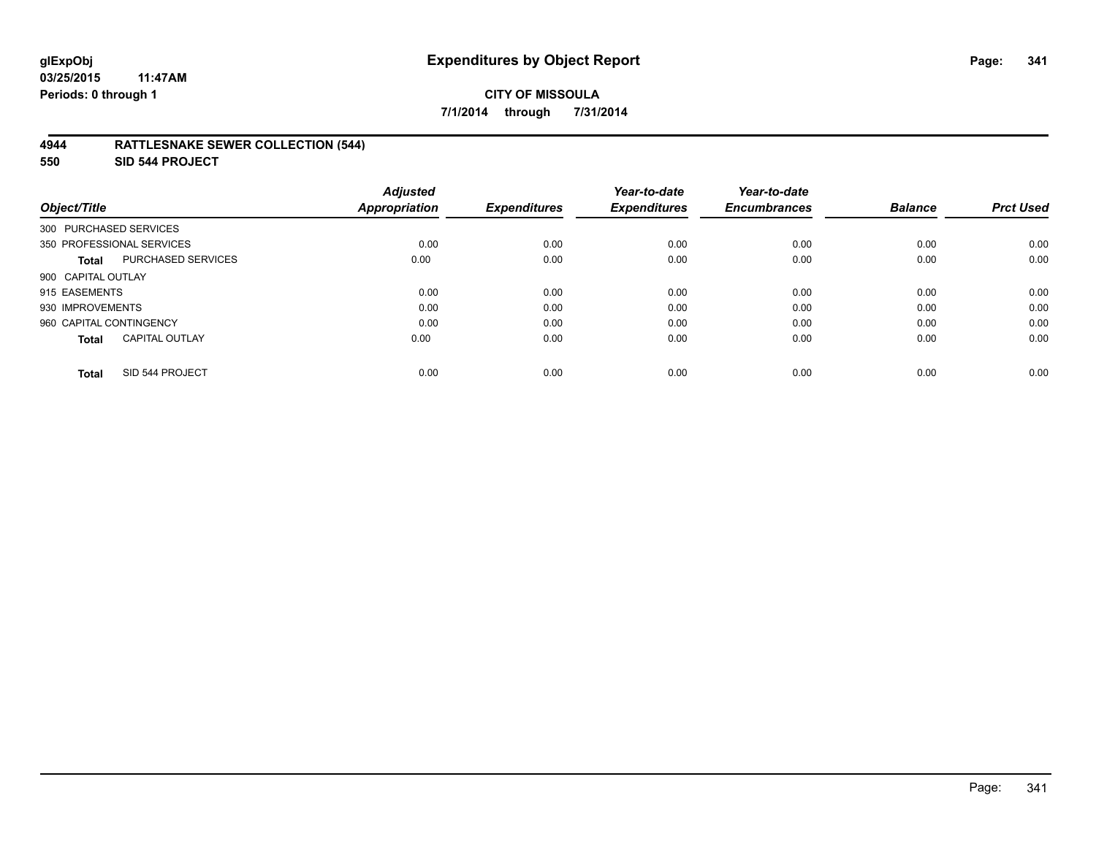## **4944 RATTLESNAKE SEWER COLLECTION (544)**

**550 SID 544 PROJECT**

| Object/Title                              | <b>Adjusted</b><br><b>Appropriation</b> | <b>Expenditures</b> | Year-to-date<br><b>Expenditures</b> | Year-to-date<br><b>Encumbrances</b> | <b>Balance</b> | <b>Prct Used</b> |
|-------------------------------------------|-----------------------------------------|---------------------|-------------------------------------|-------------------------------------|----------------|------------------|
| 300 PURCHASED SERVICES                    |                                         |                     |                                     |                                     |                |                  |
| 350 PROFESSIONAL SERVICES                 | 0.00                                    | 0.00                | 0.00                                | 0.00                                | 0.00           | 0.00             |
| <b>PURCHASED SERVICES</b><br><b>Total</b> | 0.00                                    | 0.00                | 0.00                                | 0.00                                | 0.00           | 0.00             |
| 900 CAPITAL OUTLAY                        |                                         |                     |                                     |                                     |                |                  |
| 915 EASEMENTS                             | 0.00                                    | 0.00                | 0.00                                | 0.00                                | 0.00           | 0.00             |
| 930 IMPROVEMENTS                          | 0.00                                    | 0.00                | 0.00                                | 0.00                                | 0.00           | 0.00             |
| 960 CAPITAL CONTINGENCY                   | 0.00                                    | 0.00                | 0.00                                | 0.00                                | 0.00           | 0.00             |
| <b>CAPITAL OUTLAY</b><br><b>Total</b>     | 0.00                                    | 0.00                | 0.00                                | 0.00                                | 0.00           | 0.00             |
| SID 544 PROJECT<br><b>Total</b>           | 0.00                                    | 0.00                | 0.00                                | 0.00                                | 0.00           | 0.00             |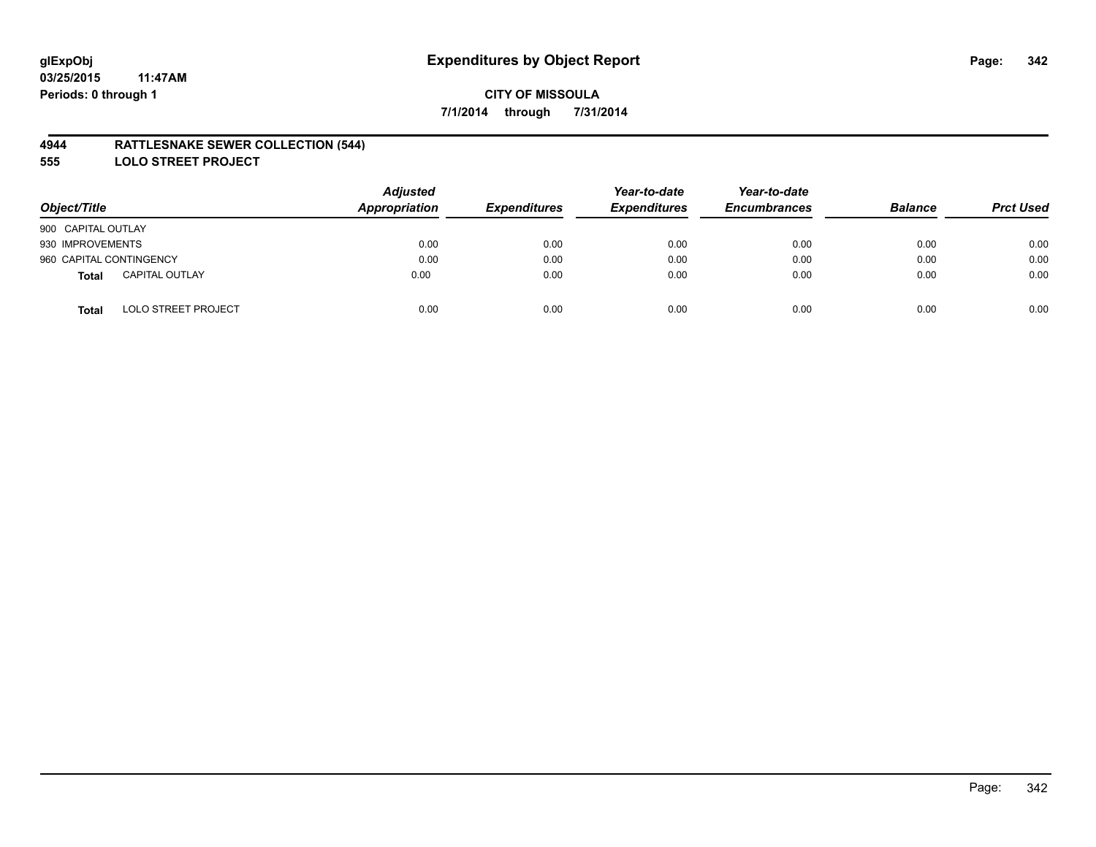## **4944 RATTLESNAKE SEWER COLLECTION (544)**

**555 LOLO STREET PROJECT**

| Object/Title                          | <b>Adjusted</b><br>Appropriation | <b>Expenditures</b> | Year-to-date<br><b>Expenditures</b> | Year-to-date<br><b>Encumbrances</b> | <b>Balance</b> | <b>Prct Used</b> |
|---------------------------------------|----------------------------------|---------------------|-------------------------------------|-------------------------------------|----------------|------------------|
| 900 CAPITAL OUTLAY                    |                                  |                     |                                     |                                     |                |                  |
| 930 IMPROVEMENTS                      | 0.00                             | 0.00                | 0.00                                | 0.00                                | 0.00           | 0.00             |
| 960 CAPITAL CONTINGENCY               | 0.00                             | 0.00                | 0.00                                | 0.00                                | 0.00           | 0.00             |
| <b>CAPITAL OUTLAY</b><br><b>Total</b> | 0.00                             | 0.00                | 0.00                                | 0.00                                | 0.00           | 0.00             |
| <b>LOLO STREET PROJECT</b><br>Total   | 0.00                             | 0.00                | 0.00                                | 0.00                                | 0.00           | 0.00             |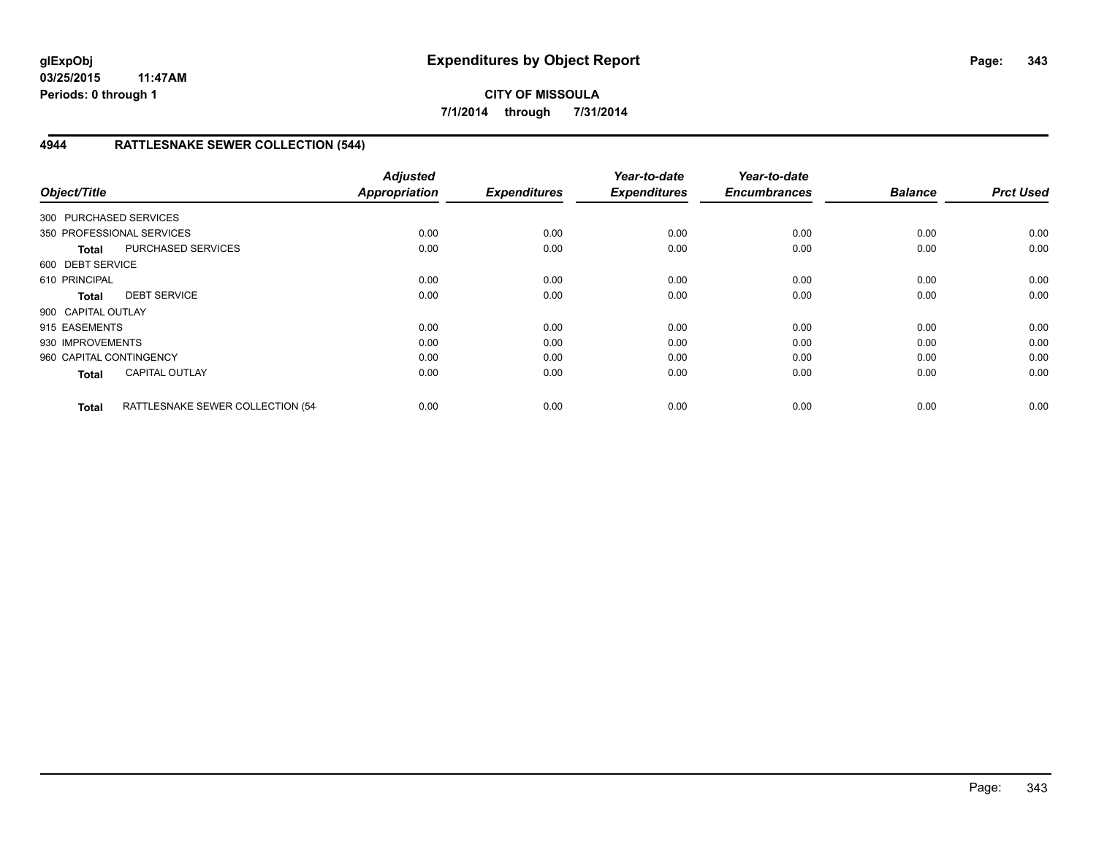# **CITY OF MISSOULA 7/1/2014 through 7/31/2014**

# **4944 RATTLESNAKE SEWER COLLECTION (544)**

| Object/Title            |                                  | <b>Adjusted</b><br><b>Appropriation</b> | <b>Expenditures</b> | Year-to-date<br><b>Expenditures</b> | Year-to-date<br><b>Encumbrances</b> | <b>Balance</b> | <b>Prct Used</b> |
|-------------------------|----------------------------------|-----------------------------------------|---------------------|-------------------------------------|-------------------------------------|----------------|------------------|
|                         |                                  |                                         |                     |                                     |                                     |                |                  |
| 300 PURCHASED SERVICES  |                                  |                                         |                     |                                     |                                     |                |                  |
|                         | 350 PROFESSIONAL SERVICES        | 0.00                                    | 0.00                | 0.00                                | 0.00                                | 0.00           | 0.00             |
| <b>Total</b>            | <b>PURCHASED SERVICES</b>        | 0.00                                    | 0.00                | 0.00                                | 0.00                                | 0.00           | 0.00             |
| 600 DEBT SERVICE        |                                  |                                         |                     |                                     |                                     |                |                  |
| 610 PRINCIPAL           |                                  | 0.00                                    | 0.00                | 0.00                                | 0.00                                | 0.00           | 0.00             |
| <b>Total</b>            | <b>DEBT SERVICE</b>              | 0.00                                    | 0.00                | 0.00                                | 0.00                                | 0.00           | 0.00             |
| 900 CAPITAL OUTLAY      |                                  |                                         |                     |                                     |                                     |                |                  |
| 915 EASEMENTS           |                                  | 0.00                                    | 0.00                | 0.00                                | 0.00                                | 0.00           | 0.00             |
| 930 IMPROVEMENTS        |                                  | 0.00                                    | 0.00                | 0.00                                | 0.00                                | 0.00           | 0.00             |
| 960 CAPITAL CONTINGENCY |                                  | 0.00                                    | 0.00                | 0.00                                | 0.00                                | 0.00           | 0.00             |
| <b>Total</b>            | <b>CAPITAL OUTLAY</b>            | 0.00                                    | 0.00                | 0.00                                | 0.00                                | 0.00           | 0.00             |
| <b>Total</b>            | RATTLESNAKE SEWER COLLECTION (54 | 0.00                                    | 0.00                | 0.00                                | 0.00                                | 0.00           | 0.00             |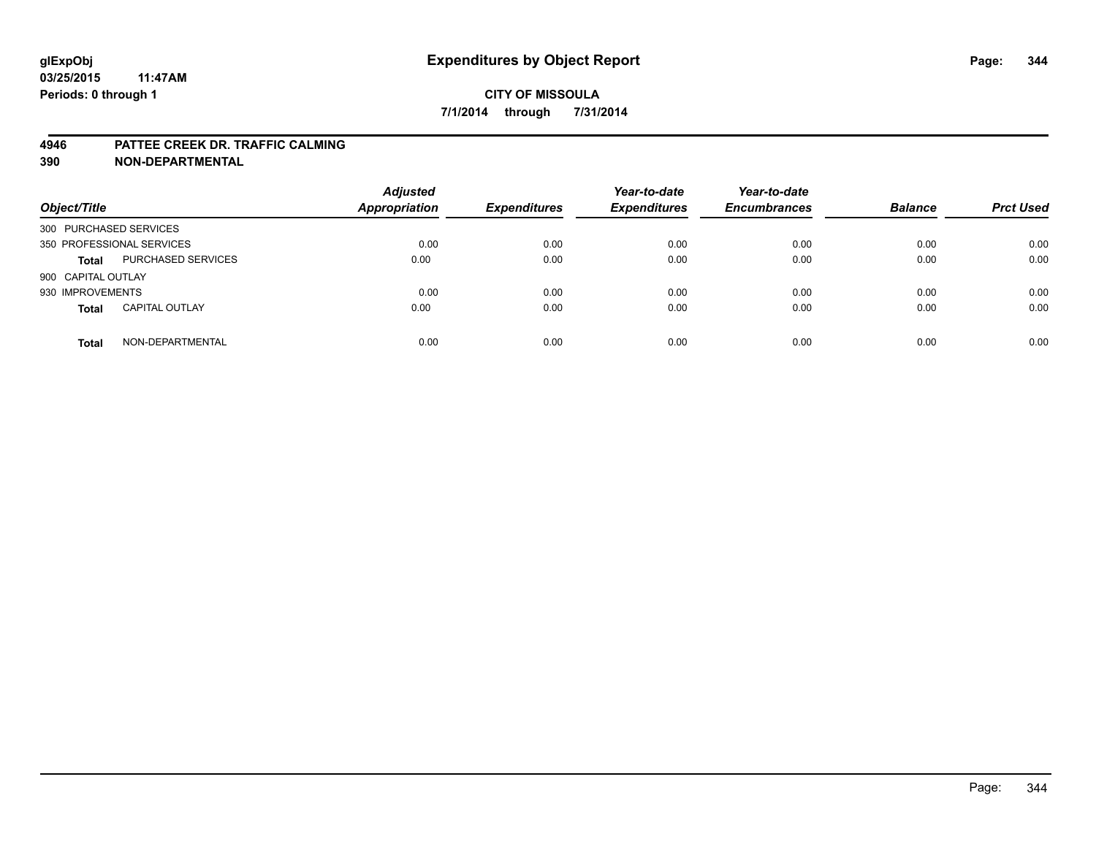#### **4946 PATTEE CREEK DR. TRAFFIC CALMING**

| Object/Title           |                           | <b>Adjusted</b><br><b>Appropriation</b> | <b>Expenditures</b> | Year-to-date<br><b>Expenditures</b> | Year-to-date<br><b>Encumbrances</b> | <b>Balance</b> | <b>Prct Used</b> |
|------------------------|---------------------------|-----------------------------------------|---------------------|-------------------------------------|-------------------------------------|----------------|------------------|
| 300 PURCHASED SERVICES |                           |                                         |                     |                                     |                                     |                |                  |
|                        | 350 PROFESSIONAL SERVICES | 0.00                                    | 0.00                | 0.00                                | 0.00                                | 0.00           | 0.00             |
| <b>Total</b>           | <b>PURCHASED SERVICES</b> | 0.00                                    | 0.00                | 0.00                                | 0.00                                | 0.00           | 0.00             |
| 900 CAPITAL OUTLAY     |                           |                                         |                     |                                     |                                     |                |                  |
| 930 IMPROVEMENTS       |                           | 0.00                                    | 0.00                | 0.00                                | 0.00                                | 0.00           | 0.00             |
| <b>Total</b>           | <b>CAPITAL OUTLAY</b>     | 0.00                                    | 0.00                | 0.00                                | 0.00                                | 0.00           | 0.00             |
| <b>Total</b>           | NON-DEPARTMENTAL          | 0.00                                    | 0.00                | 0.00                                | 0.00                                | 0.00           | 0.00             |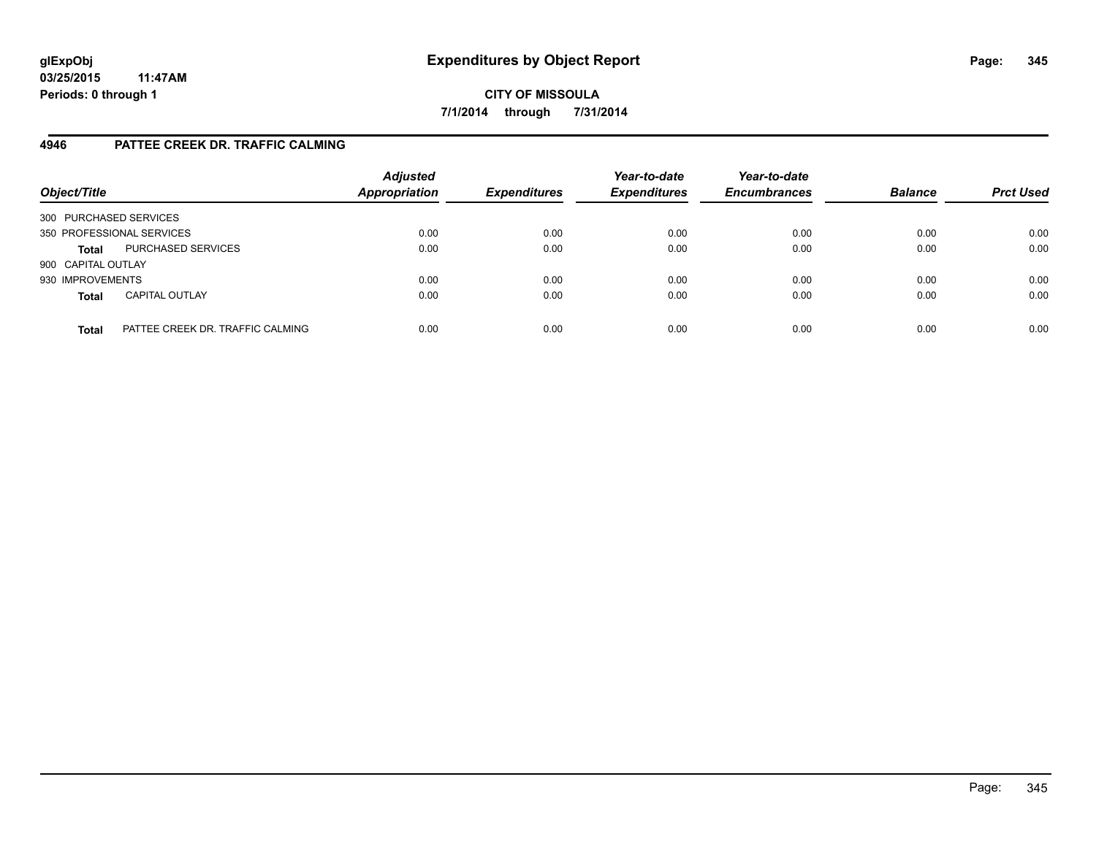**CITY OF MISSOULA 7/1/2014 through 7/31/2014**

# **4946 PATTEE CREEK DR. TRAFFIC CALMING**

| Object/Title           |                                  | <b>Adjusted</b><br><b>Appropriation</b> | <b>Expenditures</b> | Year-to-date<br><b>Expenditures</b> | Year-to-date<br><b>Encumbrances</b> | <b>Balance</b> | <b>Prct Used</b> |
|------------------------|----------------------------------|-----------------------------------------|---------------------|-------------------------------------|-------------------------------------|----------------|------------------|
| 300 PURCHASED SERVICES |                                  |                                         |                     |                                     |                                     |                |                  |
|                        | 350 PROFESSIONAL SERVICES        | 0.00                                    | 0.00                | 0.00                                | 0.00                                | 0.00           | 0.00             |
| <b>Total</b>           | PURCHASED SERVICES               | 0.00                                    | 0.00                | 0.00                                | 0.00                                | 0.00           | 0.00             |
| 900 CAPITAL OUTLAY     |                                  |                                         |                     |                                     |                                     |                |                  |
| 930 IMPROVEMENTS       |                                  | 0.00                                    | 0.00                | 0.00                                | 0.00                                | 0.00           | 0.00             |
| <b>Total</b>           | <b>CAPITAL OUTLAY</b>            | 0.00                                    | 0.00                | 0.00                                | 0.00                                | 0.00           | 0.00             |
| <b>Total</b>           | PATTEE CREEK DR. TRAFFIC CALMING | 0.00                                    | 0.00                | 0.00                                | 0.00                                | 0.00           | 0.00             |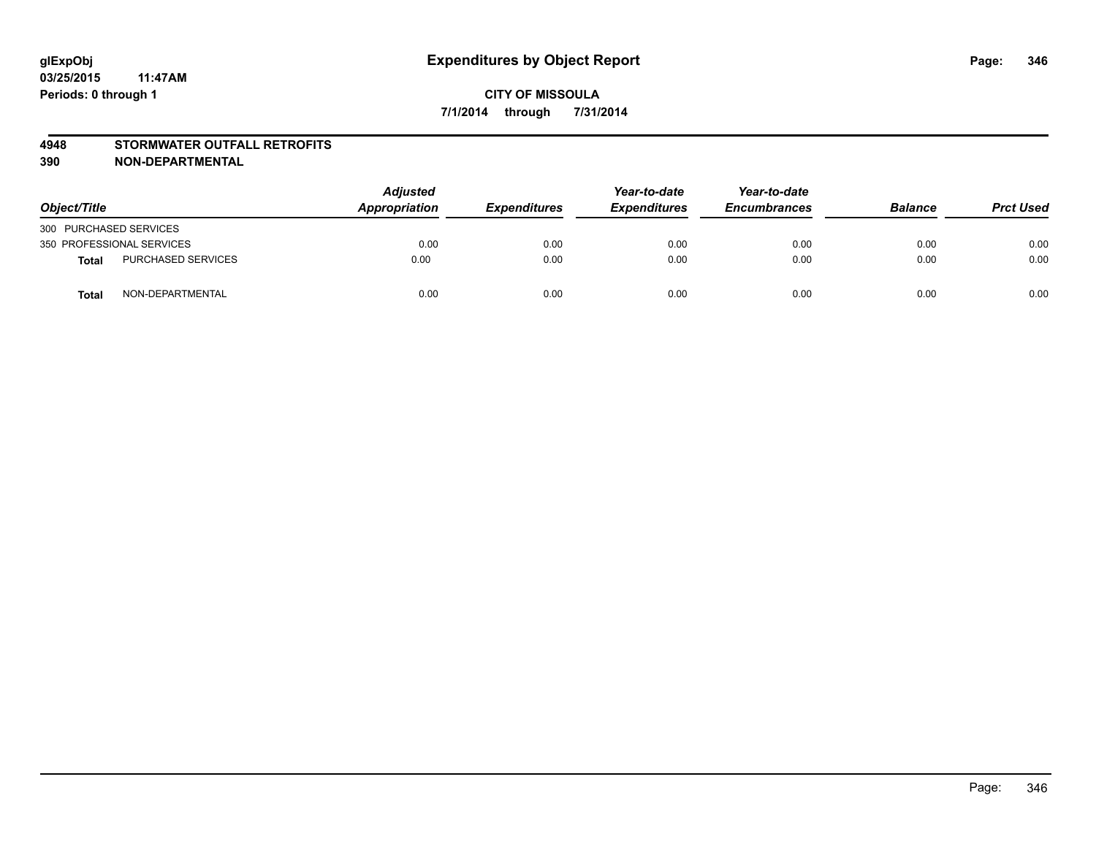### **4948 STORMWATER OUTFALL RETROFITS**

| Object/Title              |                           | <b>Adjusted</b><br>Appropriation | <b>Expenditures</b> | Year-to-date<br><b>Expenditures</b> | Year-to-date<br><b>Encumbrances</b> | <b>Balance</b> | <b>Prct Used</b> |
|---------------------------|---------------------------|----------------------------------|---------------------|-------------------------------------|-------------------------------------|----------------|------------------|
| 300 PURCHASED SERVICES    |                           |                                  |                     |                                     |                                     |                |                  |
| 350 PROFESSIONAL SERVICES |                           | 0.00                             | 0.00                | 0.00                                | 0.00                                | 0.00           | 0.00             |
| <b>Total</b>              | <b>PURCHASED SERVICES</b> | 0.00                             | 0.00                | 0.00                                | 0.00                                | 0.00           | 0.00             |
| <b>Total</b>              | NON-DEPARTMENTAL          | 0.00                             | 0.00                | 0.00                                | 0.00                                | 0.00           | 0.00             |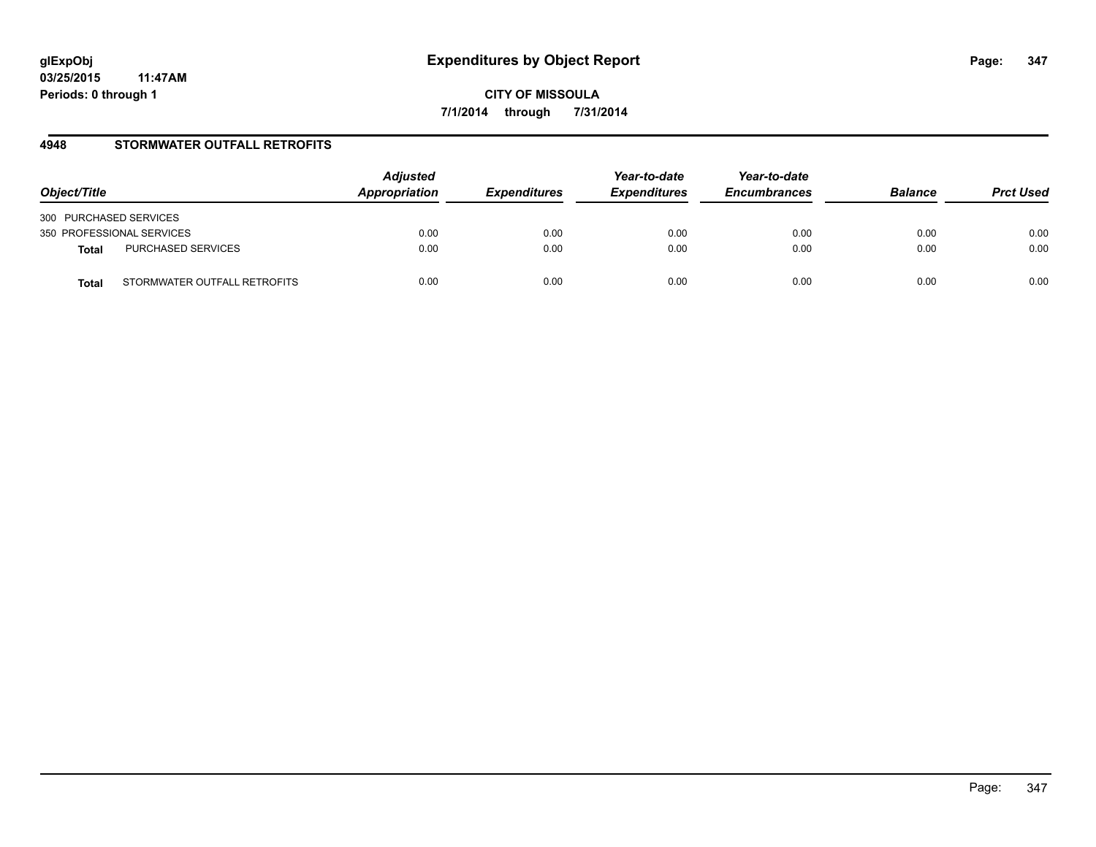**CITY OF MISSOULA 7/1/2014 through 7/31/2014**

# **4948 STORMWATER OUTFALL RETROFITS**

| Object/Title                          | <b>Adjusted</b><br>Appropriation | <b>Expenditures</b> | Year-to-date<br><b>Expenditures</b> | Year-to-date<br><b>Encumbrances</b> | <b>Balance</b> | <b>Prct Used</b> |
|---------------------------------------|----------------------------------|---------------------|-------------------------------------|-------------------------------------|----------------|------------------|
| 300 PURCHASED SERVICES                |                                  |                     |                                     |                                     |                |                  |
| 350 PROFESSIONAL SERVICES             | 0.00                             | 0.00                | 0.00                                | 0.00                                | 0.00           | 0.00             |
| PURCHASED SERVICES<br><b>Total</b>    | 0.00                             | 0.00                | 0.00                                | 0.00                                | 0.00           | 0.00             |
| STORMWATER OUTFALL RETROFITS<br>Total | 0.00                             | 0.00                | 0.00                                | 0.00                                | 0.00           | 0.00             |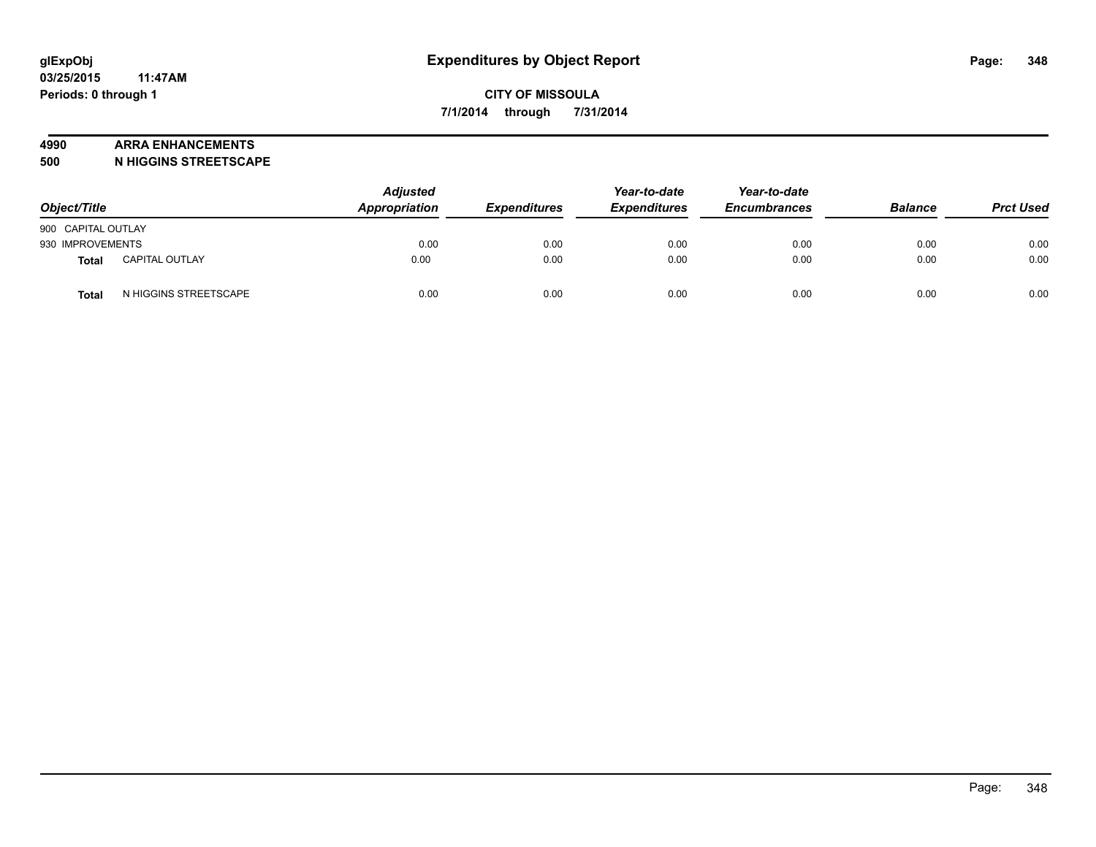#### **4990 ARRA ENHANCEMENTS**

**500 N HIGGINS STREETSCAPE**

| Object/Title       |                       | <b>Adjusted</b><br><b>Appropriation</b> | <b>Expenditures</b> | Year-to-date<br><b>Expenditures</b> | Year-to-date<br><b>Encumbrances</b> | <b>Balance</b> | <b>Prct Used</b> |
|--------------------|-----------------------|-----------------------------------------|---------------------|-------------------------------------|-------------------------------------|----------------|------------------|
| 900 CAPITAL OUTLAY |                       |                                         |                     |                                     |                                     |                |                  |
| 930 IMPROVEMENTS   |                       | 0.00                                    | 0.00                | 0.00                                | 0.00                                | 0.00           | 0.00             |
| <b>Total</b>       | <b>CAPITAL OUTLAY</b> | 0.00                                    | 0.00                | 0.00                                | 0.00                                | 0.00           | 0.00             |
| Total              | N HIGGINS STREETSCAPE | 0.00                                    | 0.00                | 0.00                                | 0.00                                | 0.00           | 0.00             |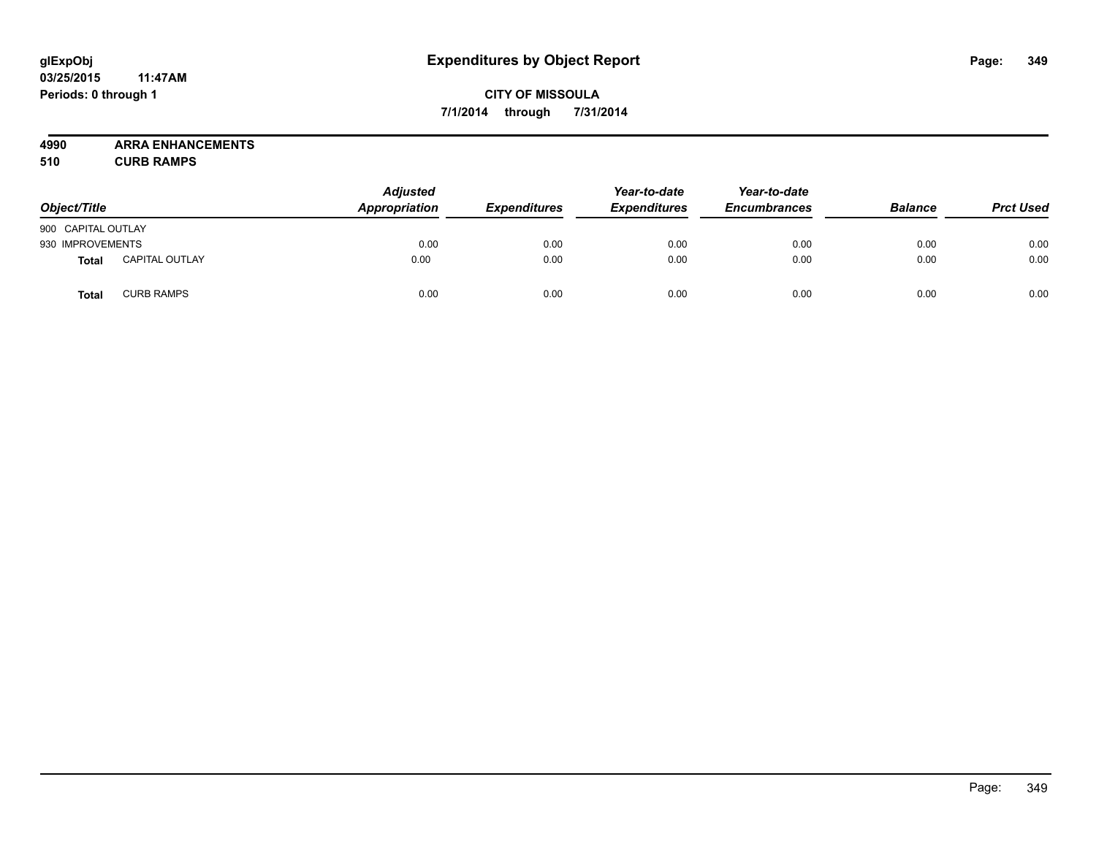# **CITY OF MISSOULA 7/1/2014 through 7/31/2014**

**4990 ARRA ENHANCEMENTS**

**510 CURB RAMPS**

| Object/Title       |                       | <b>Adjusted</b><br>Appropriation | <b>Expenditures</b> | Year-to-date<br><b>Expenditures</b> | Year-to-date<br><b>Encumbrances</b> | <b>Balance</b> | <b>Prct Used</b> |
|--------------------|-----------------------|----------------------------------|---------------------|-------------------------------------|-------------------------------------|----------------|------------------|
| 900 CAPITAL OUTLAY |                       |                                  |                     |                                     |                                     |                |                  |
| 930 IMPROVEMENTS   |                       | 0.00                             | 0.00                | 0.00                                | 0.00                                | 0.00           | 0.00             |
| Total              | <b>CAPITAL OUTLAY</b> | 0.00                             | 0.00                | 0.00                                | 0.00                                | 0.00           | 0.00             |
| <b>Total</b>       | <b>CURB RAMPS</b>     | 0.00                             | 0.00                | 0.00                                | 0.00                                | 0.00           | 0.00             |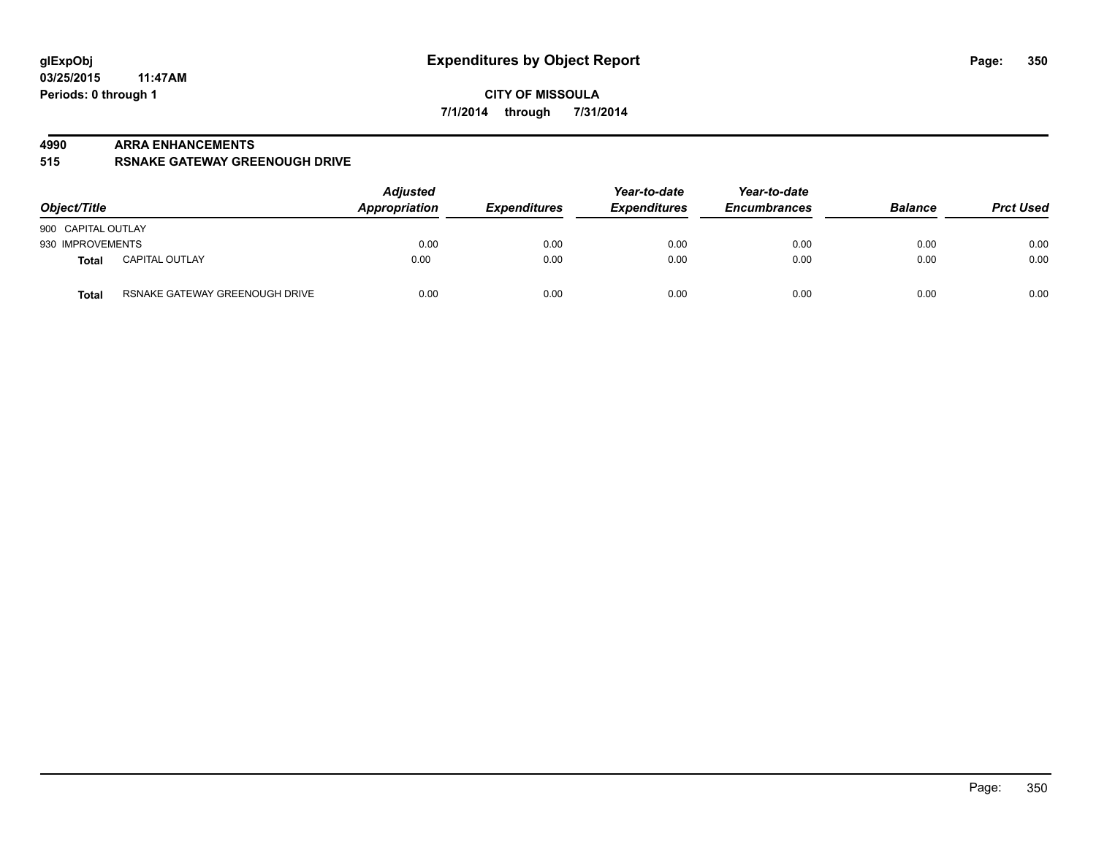#### **4990 ARRA ENHANCEMENTS**

#### **515 RSNAKE GATEWAY GREENOUGH DRIVE**

| Object/Title                                   | <b>Adjusted</b><br><b>Appropriation</b><br><b>Expenditures</b> | Year-to-date<br><b>Expenditures</b> | Year-to-date<br><b>Encumbrances</b> | <b>Balance</b> | <b>Prct Used</b> |      |
|------------------------------------------------|----------------------------------------------------------------|-------------------------------------|-------------------------------------|----------------|------------------|------|
| 900 CAPITAL OUTLAY                             |                                                                |                                     |                                     |                |                  |      |
| 930 IMPROVEMENTS                               | 0.00                                                           | 0.00                                | 0.00                                | 0.00           | 0.00             | 0.00 |
| <b>CAPITAL OUTLAY</b><br>Total                 | 0.00                                                           | 0.00                                | 0.00                                | 0.00           | 0.00             | 0.00 |
| RSNAKE GATEWAY GREENOUGH DRIVE<br><b>Total</b> | 0.00                                                           | 0.00                                | 0.00                                | 0.00           | 0.00             | 0.00 |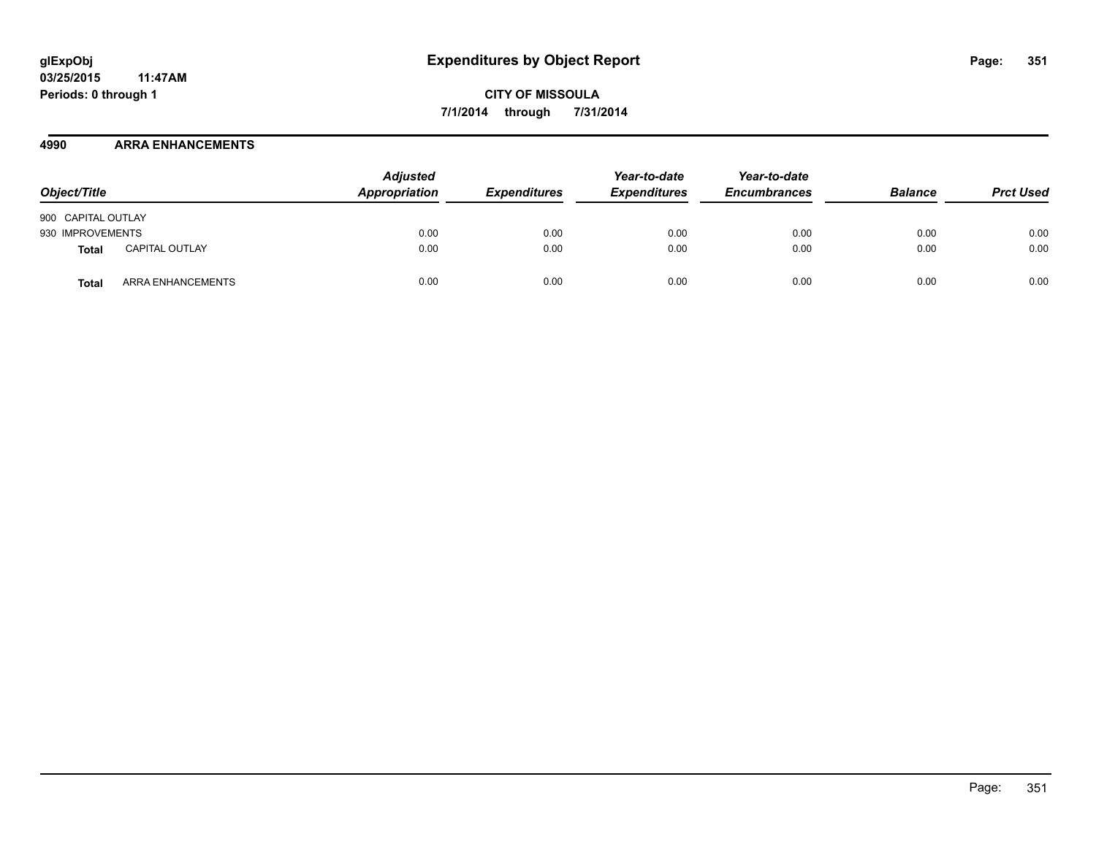**CITY OF MISSOULA 7/1/2014 through 7/31/2014**

## **4990 ARRA ENHANCEMENTS**

| Object/Title       |                       | <b>Adjusted</b><br>Appropriation | <b>Expenditures</b> | Year-to-date<br><b>Expenditures</b> | Year-to-date<br><b>Encumbrances</b> | <b>Balance</b> | <b>Prct Used</b> |
|--------------------|-----------------------|----------------------------------|---------------------|-------------------------------------|-------------------------------------|----------------|------------------|
| 900 CAPITAL OUTLAY |                       |                                  |                     |                                     |                                     |                |                  |
| 930 IMPROVEMENTS   |                       | 0.00                             | 0.00                | 0.00                                | 0.00                                | 0.00           | 0.00             |
| Total              | <b>CAPITAL OUTLAY</b> | 0.00                             | 0.00                | 0.00                                | 0.00                                | 0.00           | 0.00             |
| Total              | ARRA ENHANCEMENTS     | 0.00                             | 0.00                | 0.00                                | 0.00                                | 0.00           | 0.00             |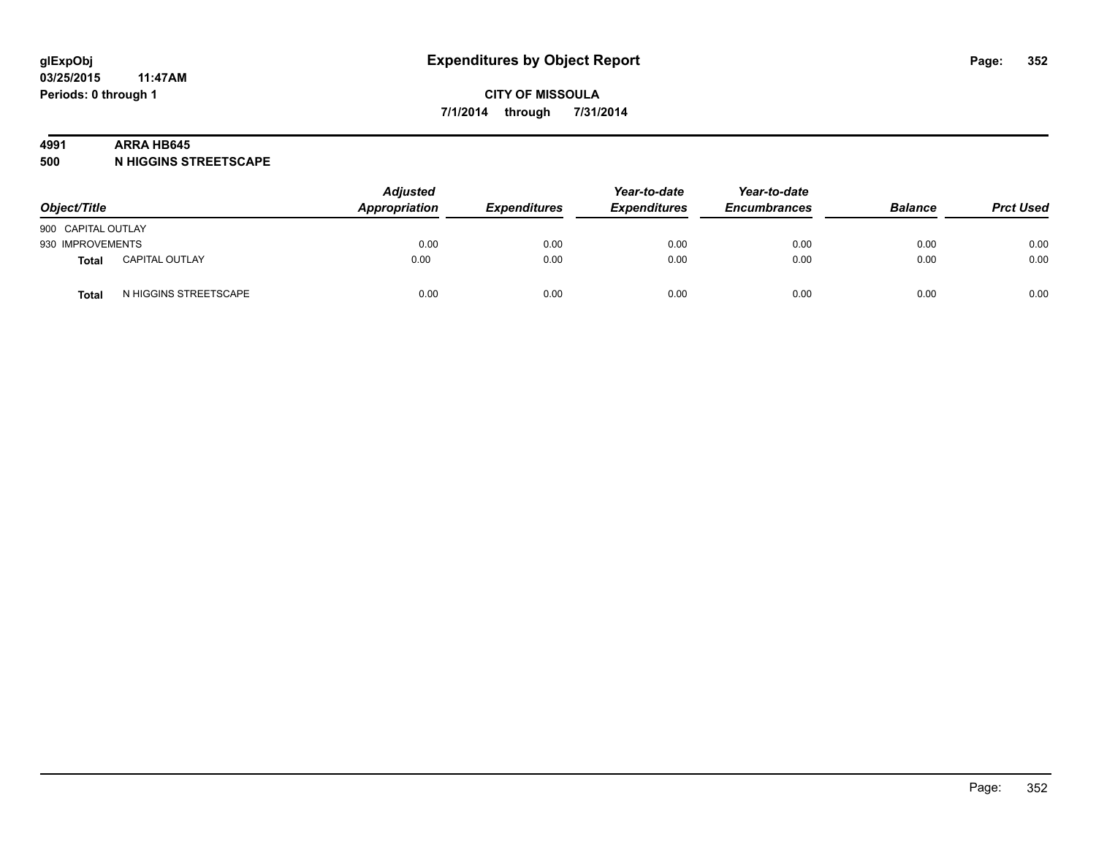#### **4991 ARRA HB645**

**500 N HIGGINS STREETSCAPE**

| Object/Title       |                       | <b>Adjusted</b><br>Appropriation | <b>Expenditures</b> | Year-to-date<br><b>Expenditures</b> | Year-to-date<br><b>Encumbrances</b> | <b>Balance</b> | <b>Prct Used</b> |
|--------------------|-----------------------|----------------------------------|---------------------|-------------------------------------|-------------------------------------|----------------|------------------|
| 900 CAPITAL OUTLAY |                       |                                  |                     |                                     |                                     |                |                  |
| 930 IMPROVEMENTS   |                       | 0.00                             | 0.00                | 0.00                                | 0.00                                | 0.00           | 0.00             |
| Total              | <b>CAPITAL OUTLAY</b> | 0.00                             | 0.00                | 0.00                                | 0.00                                | 0.00           | 0.00             |
| Total              | N HIGGINS STREETSCAPE | 0.00                             | 0.00                | 0.00                                | 0.00                                | 0.00           | 0.00             |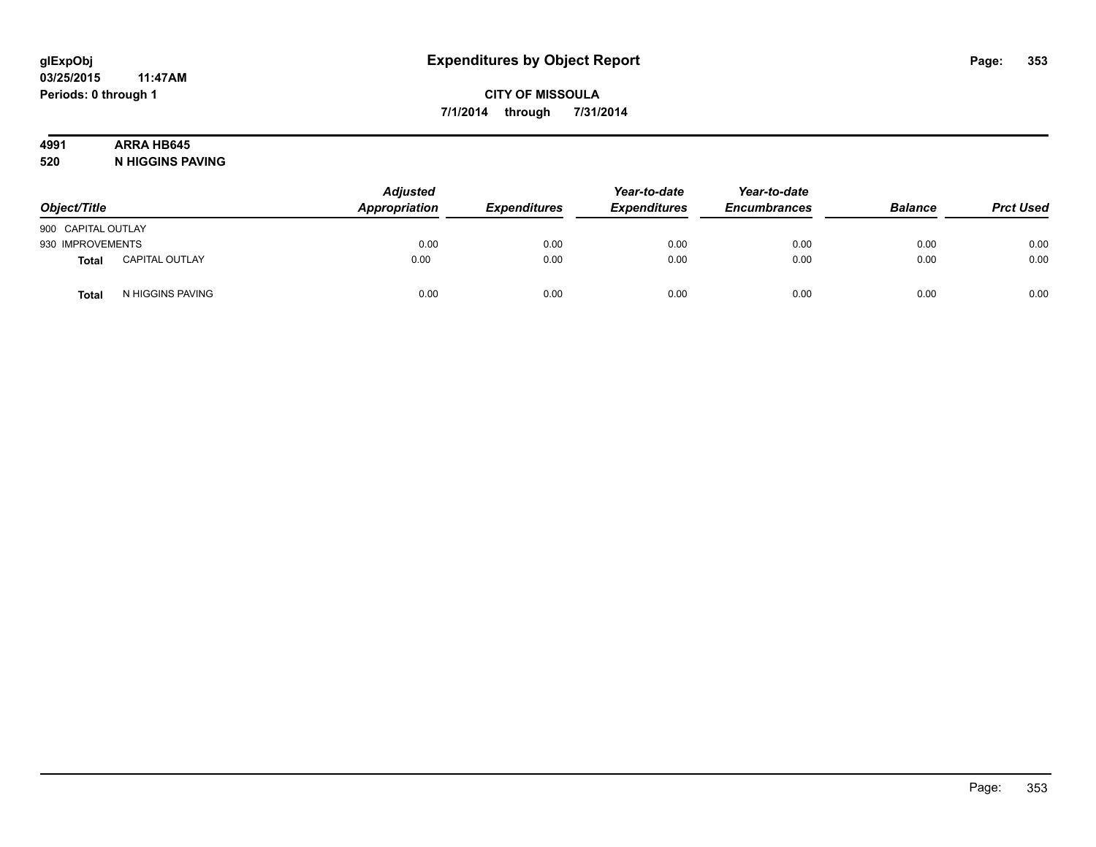# **4991 ARRA HB645**

**520 N HIGGINS PAVING**

| Object/Title       |                       | <b>Adjusted</b><br>Appropriation | <b>Expenditures</b> | Year-to-date<br><b>Expenditures</b> | Year-to-date<br><b>Encumbrances</b> | <b>Balance</b> | <b>Prct Used</b> |
|--------------------|-----------------------|----------------------------------|---------------------|-------------------------------------|-------------------------------------|----------------|------------------|
| 900 CAPITAL OUTLAY |                       |                                  |                     |                                     |                                     |                |                  |
| 930 IMPROVEMENTS   |                       | 0.00                             | 0.00                | 0.00                                | 0.00                                | 0.00           | 0.00             |
| Total              | <b>CAPITAL OUTLAY</b> | 0.00                             | 0.00                | 0.00                                | 0.00                                | 0.00           | 0.00             |
| Total              | N HIGGINS PAVING      | 0.00                             | 0.00                | 0.00                                | 0.00                                | 0.00           | 0.00             |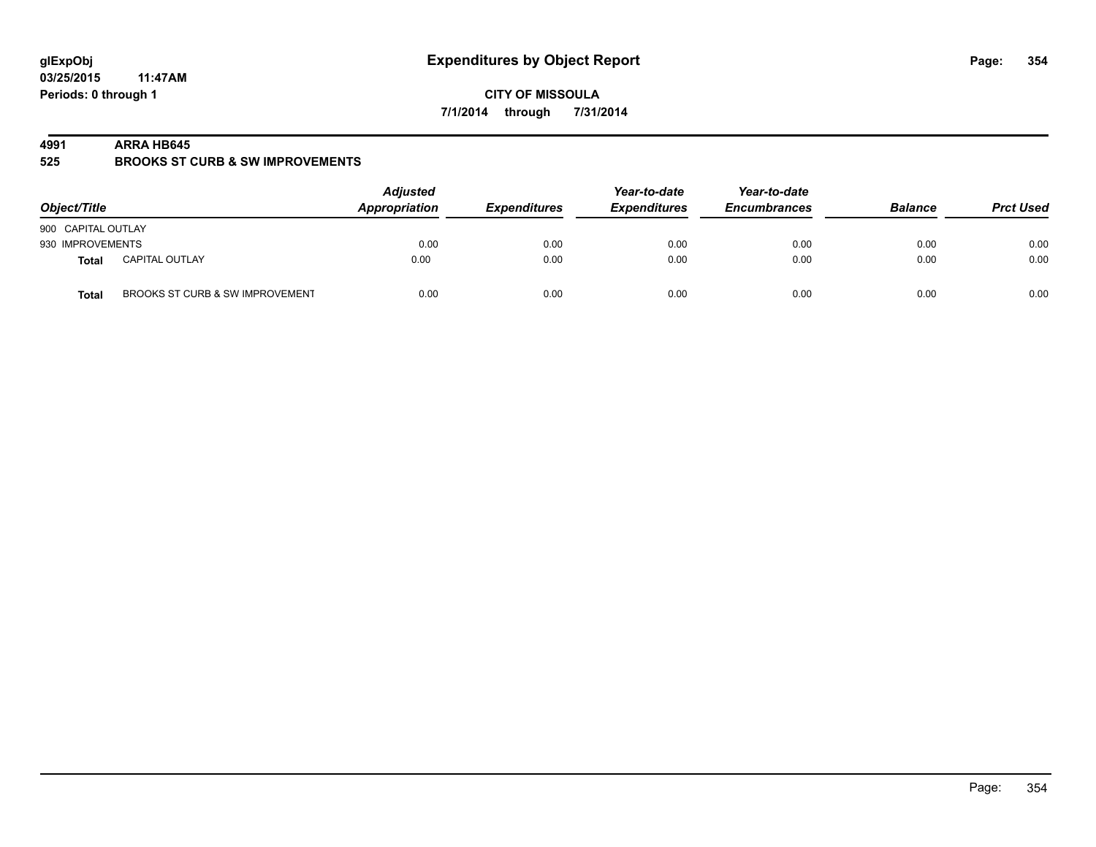**CITY OF MISSOULA 7/1/2014 through 7/31/2014**

#### **4991 ARRA HB645**

**525 BROOKS ST CURB & SW IMPROVEMENTS**

| Object/Title       |                                 | <b>Adjusted</b><br>Appropriation | <b>Expenditures</b> | Year-to-date<br><b>Expenditures</b> | Year-to-date<br><b>Encumbrances</b> | <b>Balance</b> | <b>Prct Used</b> |
|--------------------|---------------------------------|----------------------------------|---------------------|-------------------------------------|-------------------------------------|----------------|------------------|
| 900 CAPITAL OUTLAY |                                 |                                  |                     |                                     |                                     |                |                  |
| 930 IMPROVEMENTS   |                                 | 0.00                             | 0.00                | 0.00                                | 0.00                                | 0.00           | 0.00             |
| Total              | <b>CAPITAL OUTLAY</b>           | 0.00                             | 0.00                | 0.00                                | 0.00                                | 0.00           | 0.00             |
| <b>Total</b>       | BROOKS ST CURB & SW IMPROVEMENT | 0.00                             | 0.00                | 0.00                                | 0.00                                | 0.00           | 0.00             |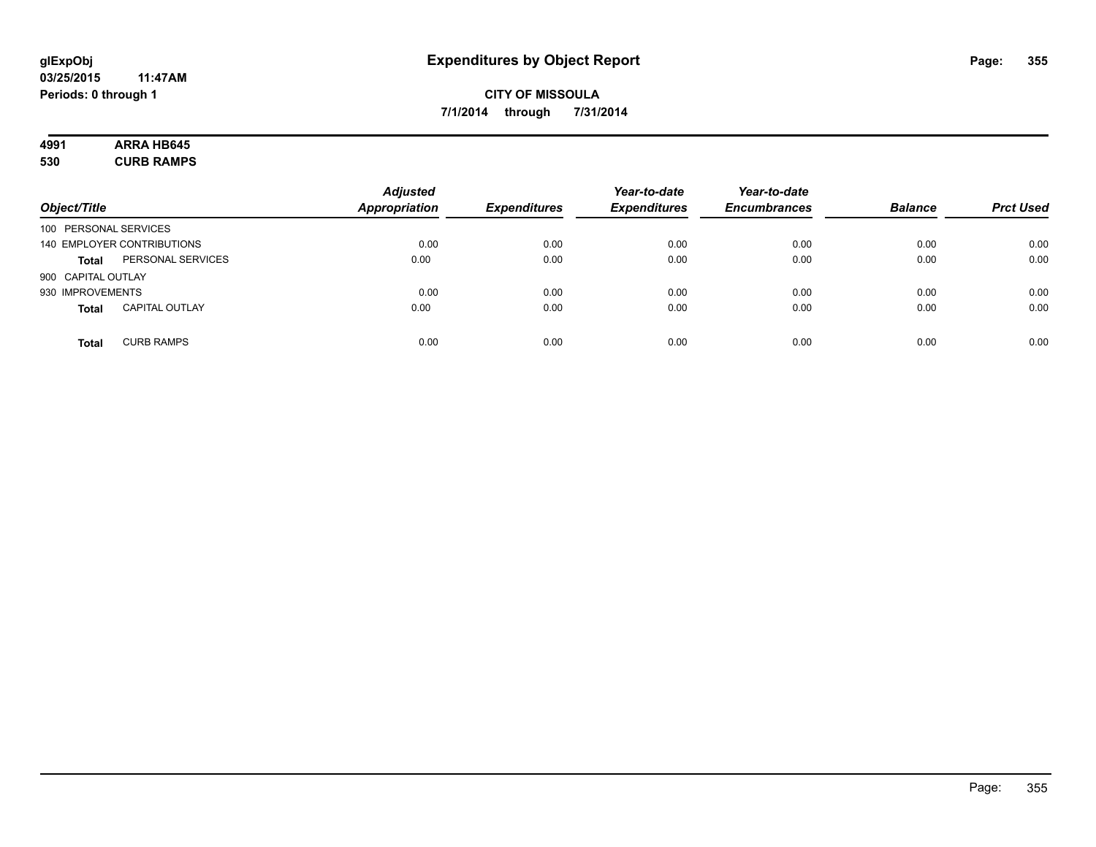# **4991 ARRA HB645**

**530 CURB RAMPS**

| Object/Title                          | <b>Adjusted</b><br><b>Appropriation</b> | <b>Expenditures</b> | Year-to-date<br><b>Expenditures</b> | Year-to-date<br><b>Encumbrances</b> | <b>Balance</b> | <b>Prct Used</b> |
|---------------------------------------|-----------------------------------------|---------------------|-------------------------------------|-------------------------------------|----------------|------------------|
| 100 PERSONAL SERVICES                 |                                         |                     |                                     |                                     |                |                  |
| 140 EMPLOYER CONTRIBUTIONS            | 0.00                                    | 0.00                | 0.00                                | 0.00                                | 0.00           | 0.00             |
| PERSONAL SERVICES<br><b>Total</b>     | 0.00                                    | 0.00                | 0.00                                | 0.00                                | 0.00           | 0.00             |
| 900 CAPITAL OUTLAY                    |                                         |                     |                                     |                                     |                |                  |
| 930 IMPROVEMENTS                      | 0.00                                    | 0.00                | 0.00                                | 0.00                                | 0.00           | 0.00             |
| <b>CAPITAL OUTLAY</b><br><b>Total</b> | 0.00                                    | 0.00                | 0.00                                | 0.00                                | 0.00           | 0.00             |
| <b>CURB RAMPS</b><br><b>Total</b>     | 0.00                                    | 0.00                | 0.00                                | 0.00                                | 0.00           | 0.00             |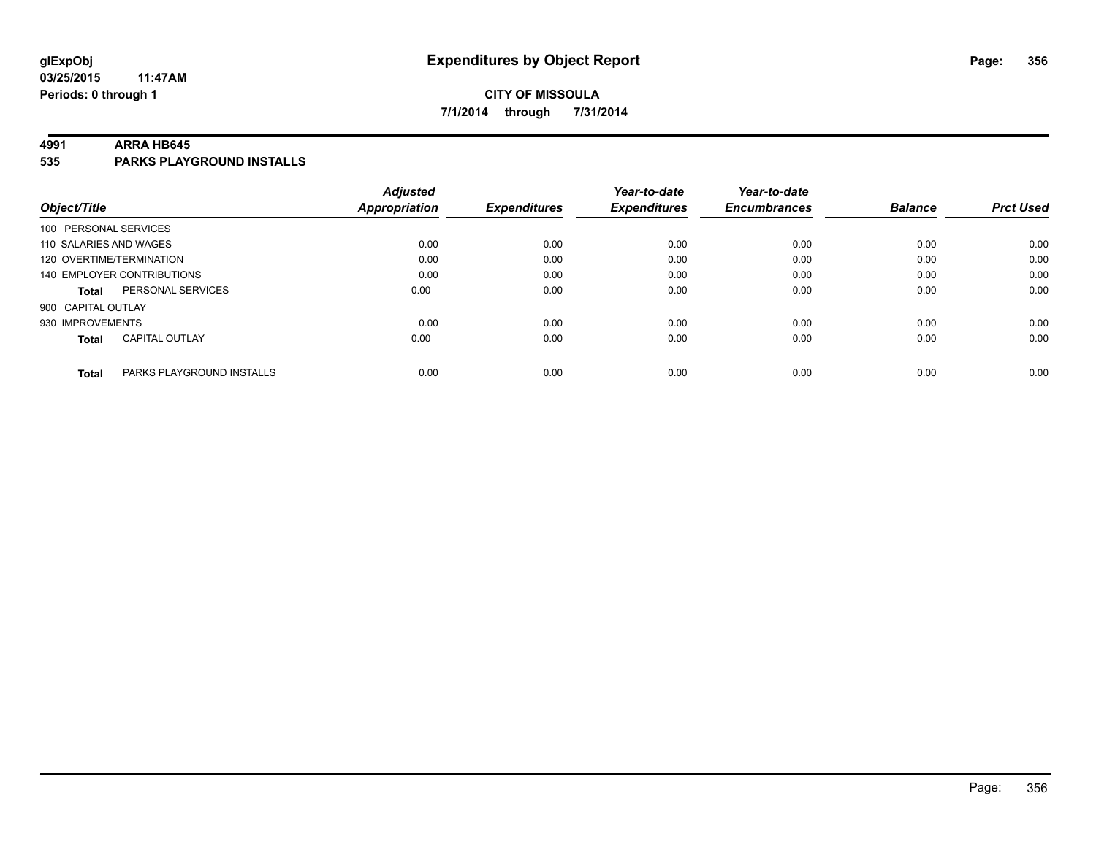#### **4991 ARRA HB645**

**535 PARKS PLAYGROUND INSTALLS**

| Object/Title             |                            | <b>Adjusted</b><br><b>Appropriation</b> | <b>Expenditures</b> | Year-to-date<br><b>Expenditures</b> | Year-to-date<br><b>Encumbrances</b> | <b>Balance</b> | <b>Prct Used</b> |
|--------------------------|----------------------------|-----------------------------------------|---------------------|-------------------------------------|-------------------------------------|----------------|------------------|
| 100 PERSONAL SERVICES    |                            |                                         |                     |                                     |                                     |                |                  |
| 110 SALARIES AND WAGES   |                            | 0.00                                    | 0.00                | 0.00                                | 0.00                                | 0.00           | 0.00             |
| 120 OVERTIME/TERMINATION |                            | 0.00                                    | 0.00                | 0.00                                | 0.00                                | 0.00           | 0.00             |
|                          | 140 EMPLOYER CONTRIBUTIONS | 0.00                                    | 0.00                | 0.00                                | 0.00                                | 0.00           | 0.00             |
| <b>Total</b>             | PERSONAL SERVICES          | 0.00                                    | 0.00                | 0.00                                | 0.00                                | 0.00           | 0.00             |
| 900 CAPITAL OUTLAY       |                            |                                         |                     |                                     |                                     |                |                  |
| 930 IMPROVEMENTS         |                            | 0.00                                    | 0.00                | 0.00                                | 0.00                                | 0.00           | 0.00             |
| <b>Total</b>             | <b>CAPITAL OUTLAY</b>      | 0.00                                    | 0.00                | 0.00                                | 0.00                                | 0.00           | 0.00             |
| <b>Total</b>             | PARKS PLAYGROUND INSTALLS  | 0.00                                    | 0.00                | 0.00                                | 0.00                                | 0.00           | 0.00             |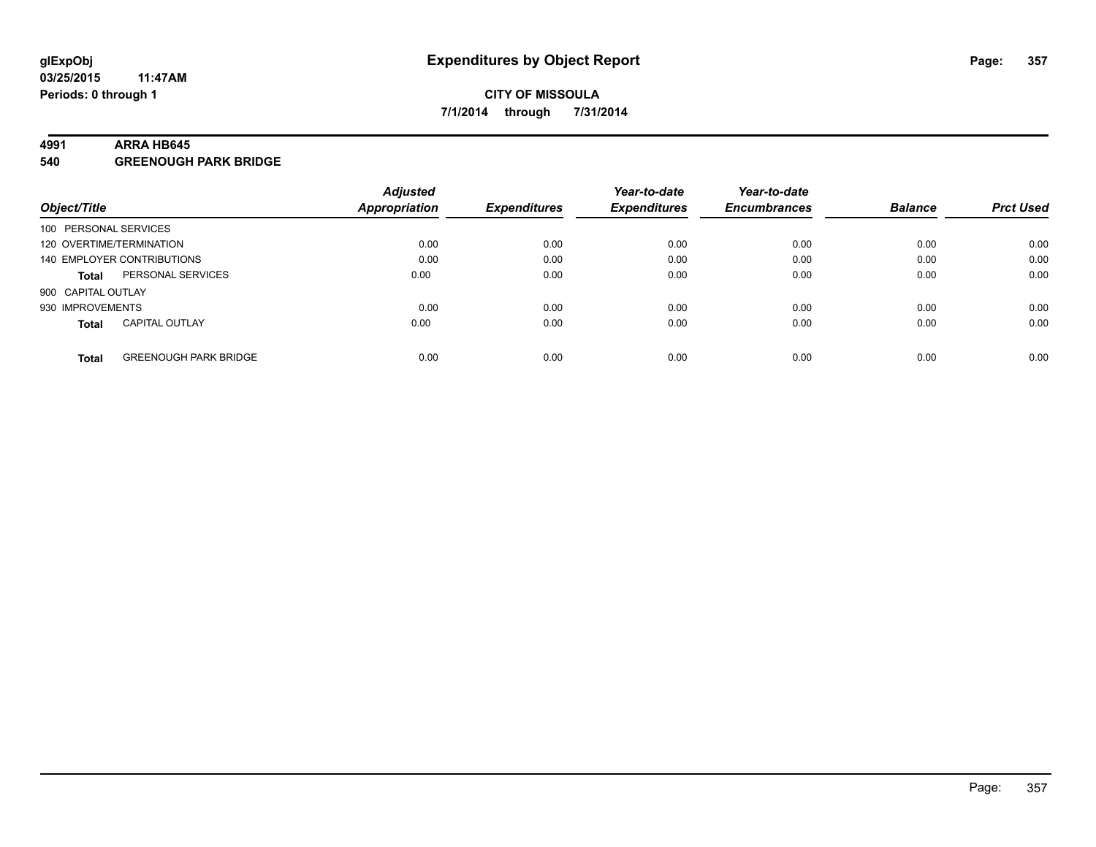#### **4991 ARRA HB645**

**540 GREENOUGH PARK BRIDGE**

|                          |                              | <b>Adjusted</b> |                     | Year-to-date        | Year-to-date        |                |                  |
|--------------------------|------------------------------|-----------------|---------------------|---------------------|---------------------|----------------|------------------|
| Object/Title             |                              | Appropriation   | <b>Expenditures</b> | <b>Expenditures</b> | <b>Encumbrances</b> | <b>Balance</b> | <b>Prct Used</b> |
| 100 PERSONAL SERVICES    |                              |                 |                     |                     |                     |                |                  |
| 120 OVERTIME/TERMINATION |                              | 0.00            | 0.00                | 0.00                | 0.00                | 0.00           | 0.00             |
|                          | 140 EMPLOYER CONTRIBUTIONS   | 0.00            | 0.00                | 0.00                | 0.00                | 0.00           | 0.00             |
| <b>Total</b>             | PERSONAL SERVICES            | 0.00            | 0.00                | 0.00                | 0.00                | 0.00           | 0.00             |
| 900 CAPITAL OUTLAY       |                              |                 |                     |                     |                     |                |                  |
| 930 IMPROVEMENTS         |                              | 0.00            | 0.00                | 0.00                | 0.00                | 0.00           | 0.00             |
| <b>Total</b>             | <b>CAPITAL OUTLAY</b>        | 0.00            | 0.00                | 0.00                | 0.00                | 0.00           | 0.00             |
| <b>Total</b>             | <b>GREENOUGH PARK BRIDGE</b> | 0.00            | 0.00                | 0.00                | 0.00                | 0.00           | 0.00             |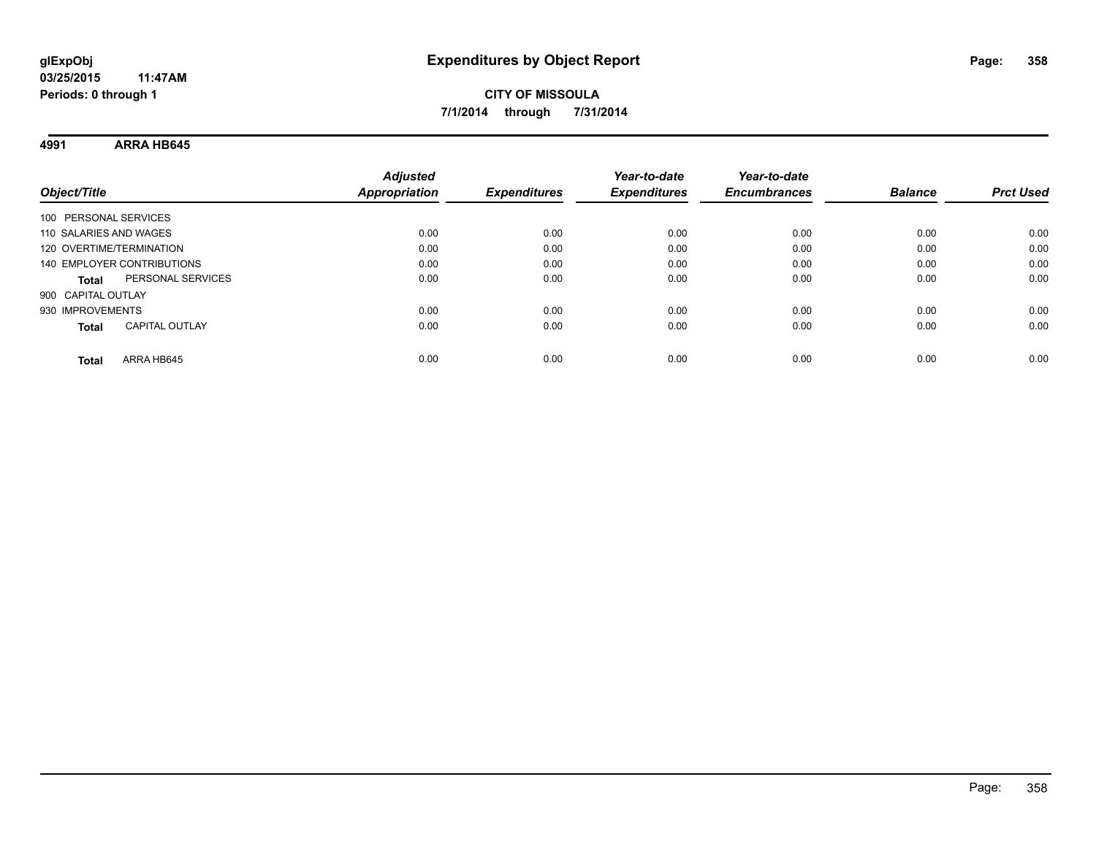**4991 ARRA HB645**

| Object/Title                          | <b>Adjusted</b><br><b>Appropriation</b> | <b>Expenditures</b> | Year-to-date<br><b>Expenditures</b> | Year-to-date<br><b>Encumbrances</b> | <b>Balance</b> | <b>Prct Used</b> |
|---------------------------------------|-----------------------------------------|---------------------|-------------------------------------|-------------------------------------|----------------|------------------|
| 100 PERSONAL SERVICES                 |                                         |                     |                                     |                                     |                |                  |
| 110 SALARIES AND WAGES                | 0.00                                    | 0.00                | 0.00                                | 0.00                                | 0.00           | 0.00             |
| 120 OVERTIME/TERMINATION              | 0.00                                    | 0.00                | 0.00                                | 0.00                                | 0.00           | 0.00             |
| 140 EMPLOYER CONTRIBUTIONS            | 0.00                                    | 0.00                | 0.00                                | 0.00                                | 0.00           | 0.00             |
| PERSONAL SERVICES<br><b>Total</b>     | 0.00                                    | 0.00                | 0.00                                | 0.00                                | 0.00           | 0.00             |
| 900 CAPITAL OUTLAY                    |                                         |                     |                                     |                                     |                |                  |
| 930 IMPROVEMENTS                      | 0.00                                    | 0.00                | 0.00                                | 0.00                                | 0.00           | 0.00             |
| <b>CAPITAL OUTLAY</b><br><b>Total</b> | 0.00                                    | 0.00                | 0.00                                | 0.00                                | 0.00           | 0.00             |
| ARRA HB645<br>Total                   | 0.00                                    | 0.00                | 0.00                                | 0.00                                | 0.00           | 0.00             |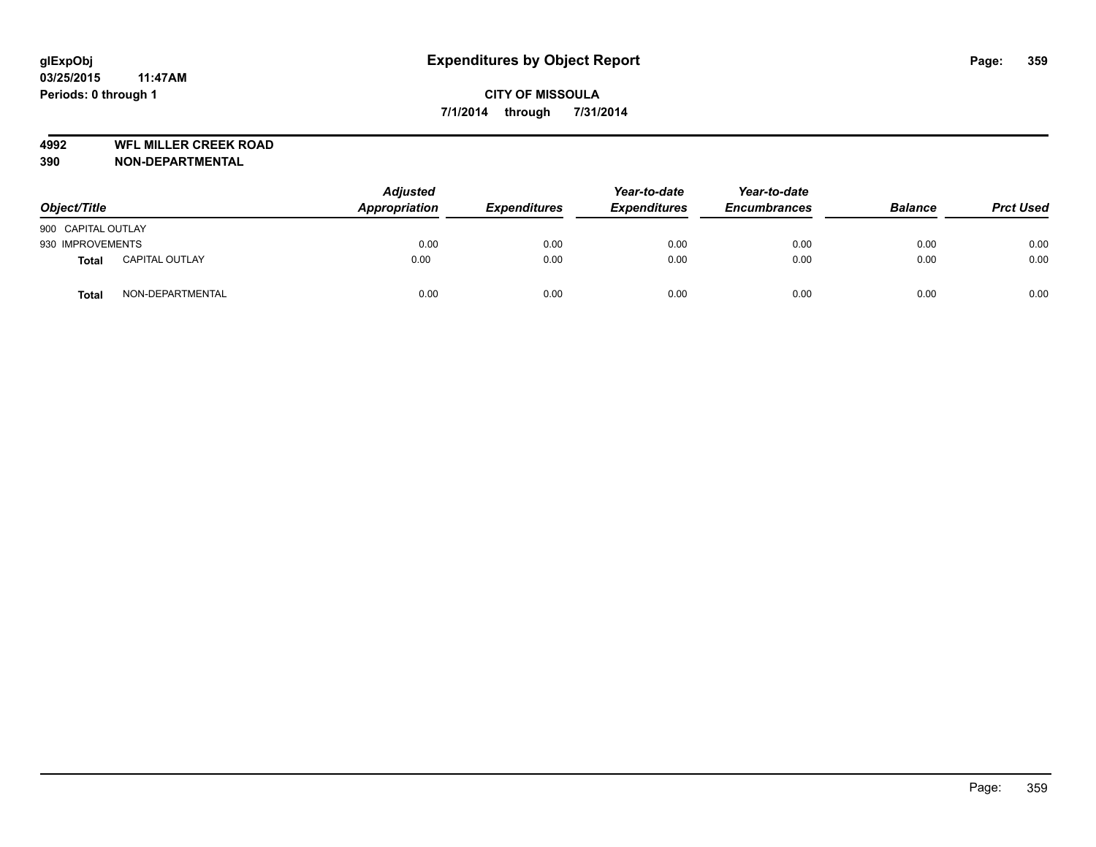**4992 WFL MILLER CREEK ROAD**

| Object/Title       |                       | <b>Adjusted</b><br>Appropriation | <b>Expenditures</b> | Year-to-date<br><b>Expenditures</b> | Year-to-date<br><b>Encumbrances</b> | <b>Balance</b> | <b>Prct Used</b> |
|--------------------|-----------------------|----------------------------------|---------------------|-------------------------------------|-------------------------------------|----------------|------------------|
| 900 CAPITAL OUTLAY |                       |                                  |                     |                                     |                                     |                |                  |
| 930 IMPROVEMENTS   |                       | 0.00                             | 0.00                | 0.00                                | 0.00                                | 0.00           | 0.00             |
| <b>Total</b>       | <b>CAPITAL OUTLAY</b> | 0.00                             | 0.00                | 0.00                                | 0.00                                | 0.00           | 0.00             |
| <b>Total</b>       | NON-DEPARTMENTAL      | 0.00                             | 0.00                | 0.00                                | 0.00                                | 0.00           | 0.00             |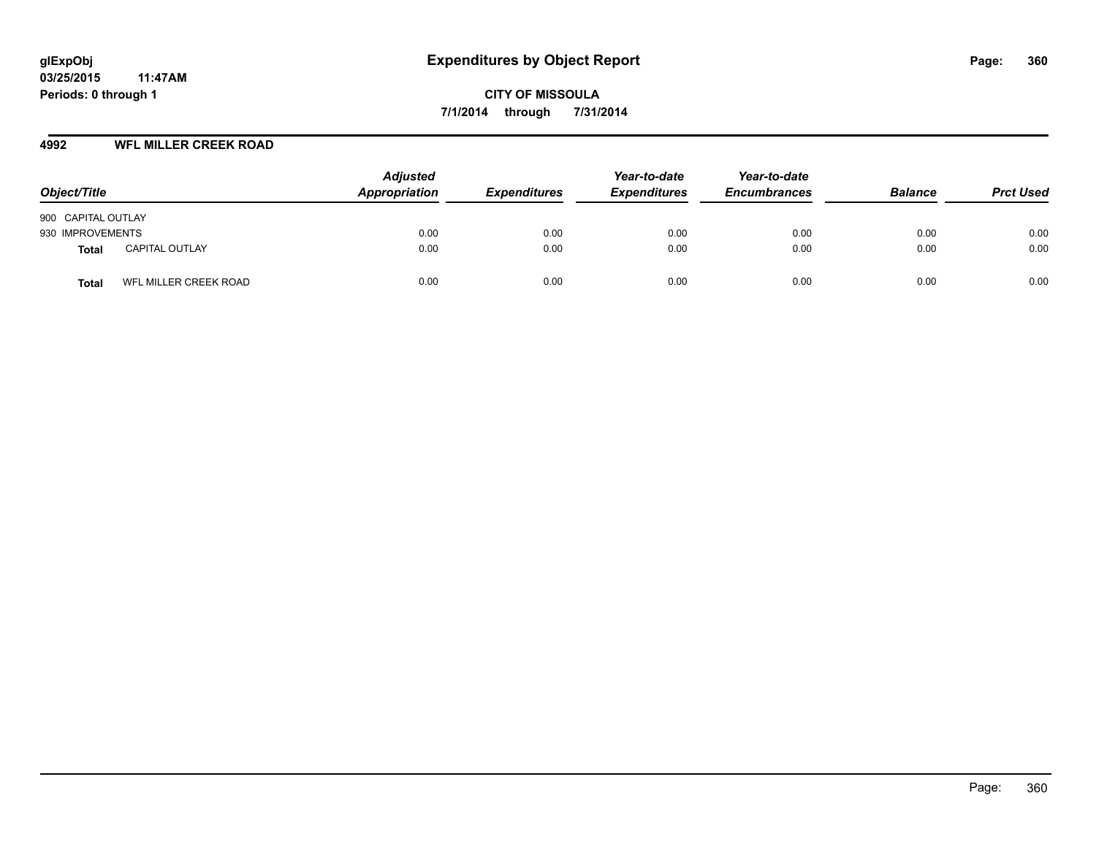## **4992 WFL MILLER CREEK ROAD**

| Object/Title                   | <b>Adjusted</b><br>Appropriation | <b>Expenditures</b> | Year-to-date<br><b>Expenditures</b> | Year-to-date<br><b>Encumbrances</b> | <b>Balance</b> | <b>Prct Used</b> |
|--------------------------------|----------------------------------|---------------------|-------------------------------------|-------------------------------------|----------------|------------------|
| 900 CAPITAL OUTLAY             |                                  |                     |                                     |                                     |                |                  |
| 930 IMPROVEMENTS               | 0.00                             | 0.00                | 0.00                                | 0.00                                | 0.00           | 0.00             |
| <b>CAPITAL OUTLAY</b><br>Total | 0.00                             | 0.00                | 0.00                                | 0.00                                | 0.00           | 0.00             |
| WFL MILLER CREEK ROAD<br>Total | 0.00                             | 0.00                | 0.00                                | 0.00                                | 0.00           | 0.00             |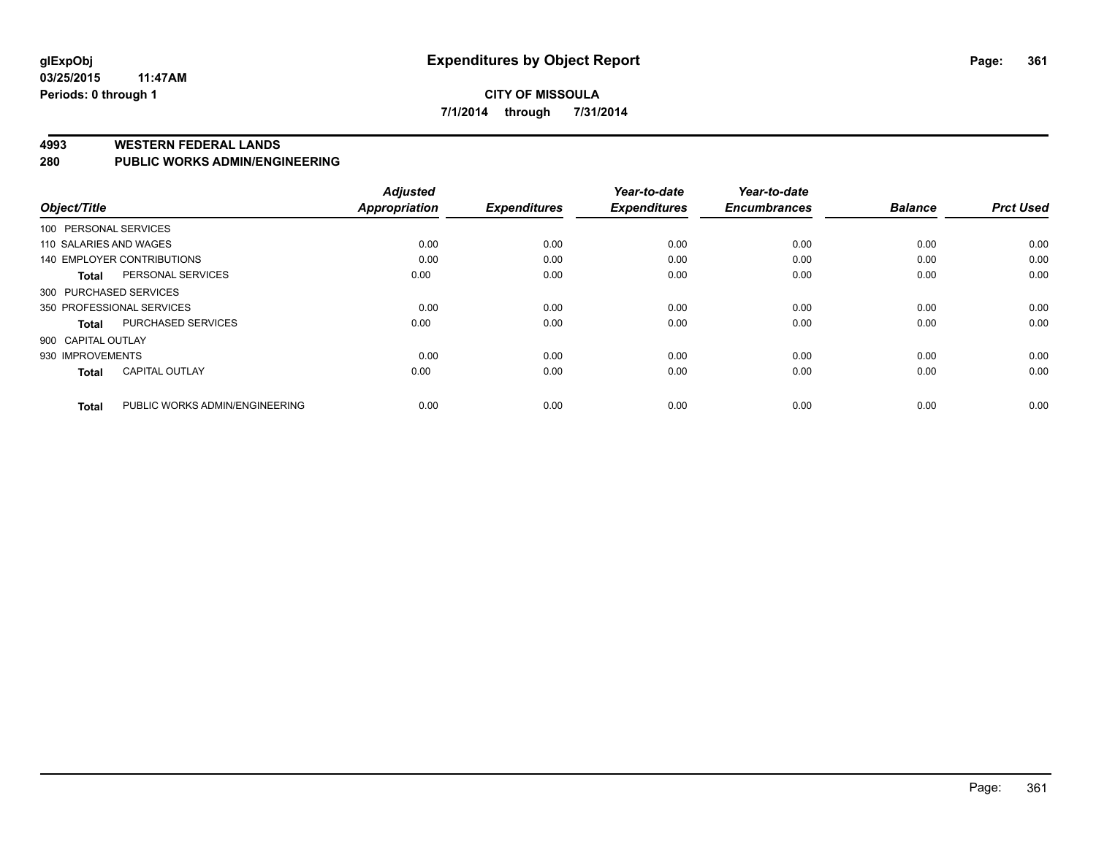#### **CITY OF MISSOULA 7/1/2014 through 7/31/2014**

#### **4993 WESTERN FEDERAL LANDS**

#### **280 PUBLIC WORKS ADMIN/ENGINEERING**

| Object/Title           |                                | <b>Adjusted</b><br>Appropriation | <b>Expenditures</b> | Year-to-date<br><b>Expenditures</b> | Year-to-date<br><b>Encumbrances</b> | <b>Balance</b> | <b>Prct Used</b> |
|------------------------|--------------------------------|----------------------------------|---------------------|-------------------------------------|-------------------------------------|----------------|------------------|
| 100 PERSONAL SERVICES  |                                |                                  |                     |                                     |                                     |                |                  |
| 110 SALARIES AND WAGES |                                | 0.00                             | 0.00                | 0.00                                | 0.00                                | 0.00           | 0.00             |
|                        | 140 EMPLOYER CONTRIBUTIONS     | 0.00                             | 0.00                | 0.00                                | 0.00                                | 0.00           | 0.00             |
| <b>Total</b>           | PERSONAL SERVICES              | 0.00                             | 0.00                | 0.00                                | 0.00                                | 0.00           | 0.00             |
| 300 PURCHASED SERVICES |                                |                                  |                     |                                     |                                     |                |                  |
|                        | 350 PROFESSIONAL SERVICES      | 0.00                             | 0.00                | 0.00                                | 0.00                                | 0.00           | 0.00             |
| <b>Total</b>           | <b>PURCHASED SERVICES</b>      | 0.00                             | 0.00                | 0.00                                | 0.00                                | 0.00           | 0.00             |
| 900 CAPITAL OUTLAY     |                                |                                  |                     |                                     |                                     |                |                  |
| 930 IMPROVEMENTS       |                                | 0.00                             | 0.00                | 0.00                                | 0.00                                | 0.00           | 0.00             |
| <b>Total</b>           | <b>CAPITAL OUTLAY</b>          | 0.00                             | 0.00                | 0.00                                | 0.00                                | 0.00           | 0.00             |
| <b>Total</b>           | PUBLIC WORKS ADMIN/ENGINEERING | 0.00                             | 0.00                | 0.00                                | 0.00                                | 0.00           | 0.00             |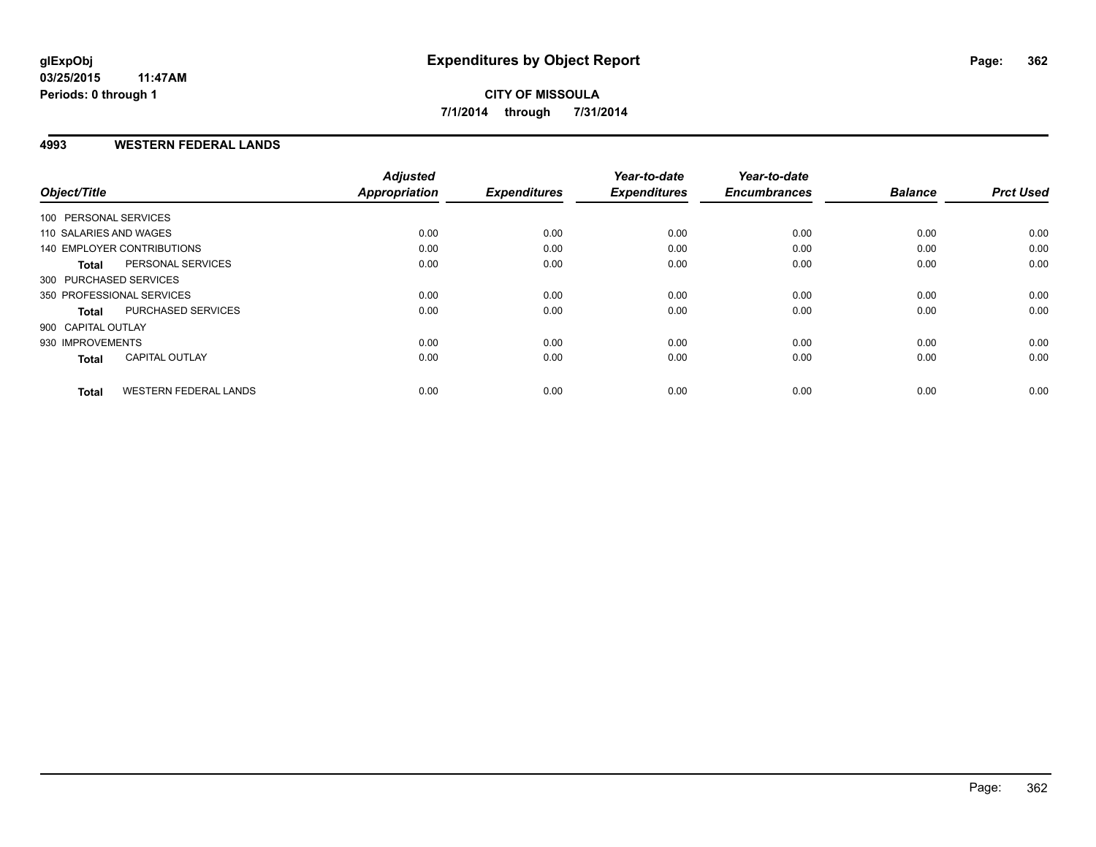#### **4993 WESTERN FEDERAL LANDS**

| Object/Title                                 | <b>Adjusted</b><br><b>Appropriation</b> | <b>Expenditures</b> | Year-to-date<br><b>Expenditures</b> | Year-to-date<br><b>Encumbrances</b> | <b>Balance</b> | <b>Prct Used</b> |
|----------------------------------------------|-----------------------------------------|---------------------|-------------------------------------|-------------------------------------|----------------|------------------|
| 100 PERSONAL SERVICES                        |                                         |                     |                                     |                                     |                |                  |
| 110 SALARIES AND WAGES                       | 0.00                                    | 0.00                | 0.00                                | 0.00                                | 0.00           | 0.00             |
| 140 EMPLOYER CONTRIBUTIONS                   | 0.00                                    | 0.00                | 0.00                                | 0.00                                | 0.00           | 0.00             |
| PERSONAL SERVICES<br><b>Total</b>            | 0.00                                    | 0.00                | 0.00                                | 0.00                                | 0.00           | 0.00             |
| 300 PURCHASED SERVICES                       |                                         |                     |                                     |                                     |                |                  |
| 350 PROFESSIONAL SERVICES                    | 0.00                                    | 0.00                | 0.00                                | 0.00                                | 0.00           | 0.00             |
| <b>PURCHASED SERVICES</b><br><b>Total</b>    | 0.00                                    | 0.00                | 0.00                                | 0.00                                | 0.00           | 0.00             |
| 900 CAPITAL OUTLAY                           |                                         |                     |                                     |                                     |                |                  |
| 930 IMPROVEMENTS                             | 0.00                                    | 0.00                | 0.00                                | 0.00                                | 0.00           | 0.00             |
| <b>CAPITAL OUTLAY</b><br><b>Total</b>        | 0.00                                    | 0.00                | 0.00                                | 0.00                                | 0.00           | 0.00             |
| <b>WESTERN FEDERAL LANDS</b><br><b>Total</b> | 0.00                                    | 0.00                | 0.00                                | 0.00                                | 0.00           | 0.00             |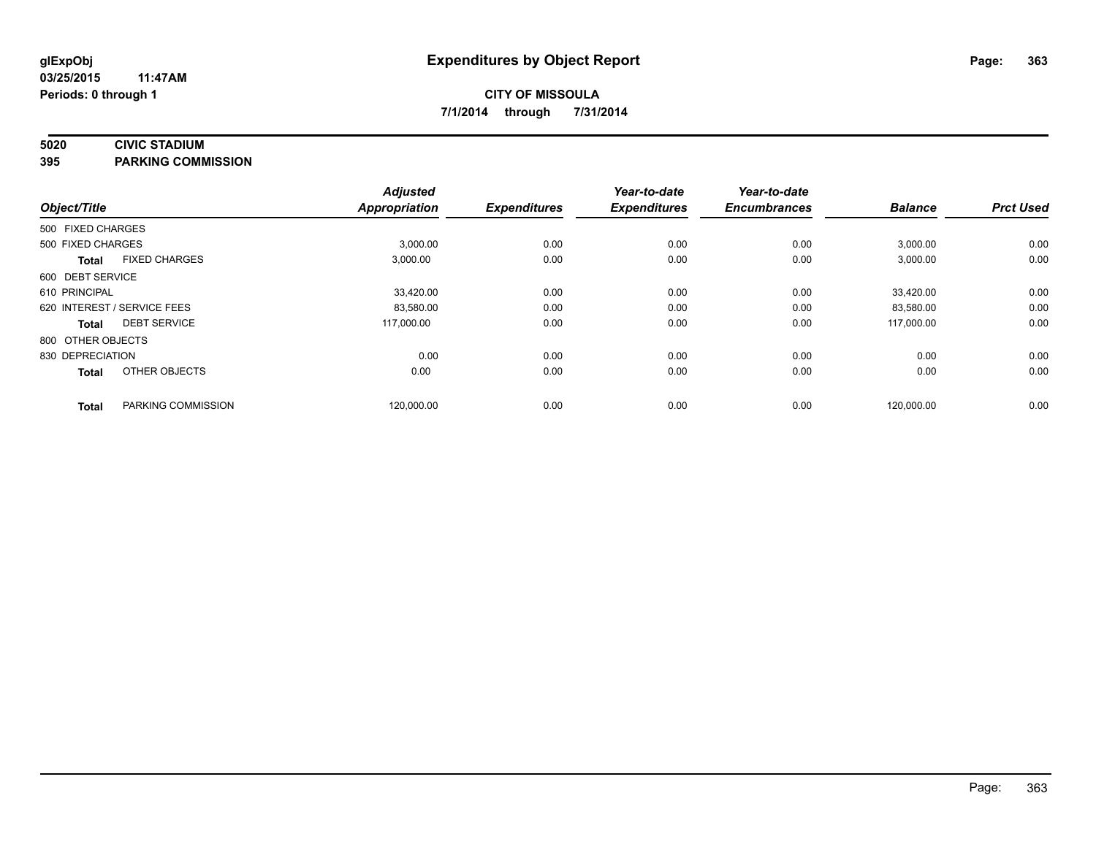### **5020 CIVIC STADIUM**

**395 PARKING COMMISSION**

| Object/Title      |                             | <b>Adjusted</b><br><b>Appropriation</b> | <b>Expenditures</b> | Year-to-date<br><b>Expenditures</b> | Year-to-date<br><b>Encumbrances</b> | <b>Balance</b> | <b>Prct Used</b> |
|-------------------|-----------------------------|-----------------------------------------|---------------------|-------------------------------------|-------------------------------------|----------------|------------------|
| 500 FIXED CHARGES |                             |                                         |                     |                                     |                                     |                |                  |
| 500 FIXED CHARGES |                             | 3,000.00                                | 0.00                | 0.00                                | 0.00                                | 3,000.00       | 0.00             |
| <b>Total</b>      | <b>FIXED CHARGES</b>        | 3,000.00                                | 0.00                | 0.00                                | 0.00                                | 3,000.00       | 0.00             |
| 600 DEBT SERVICE  |                             |                                         |                     |                                     |                                     |                |                  |
| 610 PRINCIPAL     |                             | 33,420.00                               | 0.00                | 0.00                                | 0.00                                | 33,420.00      | 0.00             |
|                   | 620 INTEREST / SERVICE FEES | 83,580.00                               | 0.00                | 0.00                                | 0.00                                | 83,580.00      | 0.00             |
| Total             | <b>DEBT SERVICE</b>         | 117,000.00                              | 0.00                | 0.00                                | 0.00                                | 117.000.00     | 0.00             |
| 800 OTHER OBJECTS |                             |                                         |                     |                                     |                                     |                |                  |
| 830 DEPRECIATION  |                             | 0.00                                    | 0.00                | 0.00                                | 0.00                                | 0.00           | 0.00             |
| <b>Total</b>      | OTHER OBJECTS               | 0.00                                    | 0.00                | 0.00                                | 0.00                                | 0.00           | 0.00             |
| <b>Total</b>      | PARKING COMMISSION          | 120,000.00                              | 0.00                | 0.00                                | 0.00                                | 120,000.00     | 0.00             |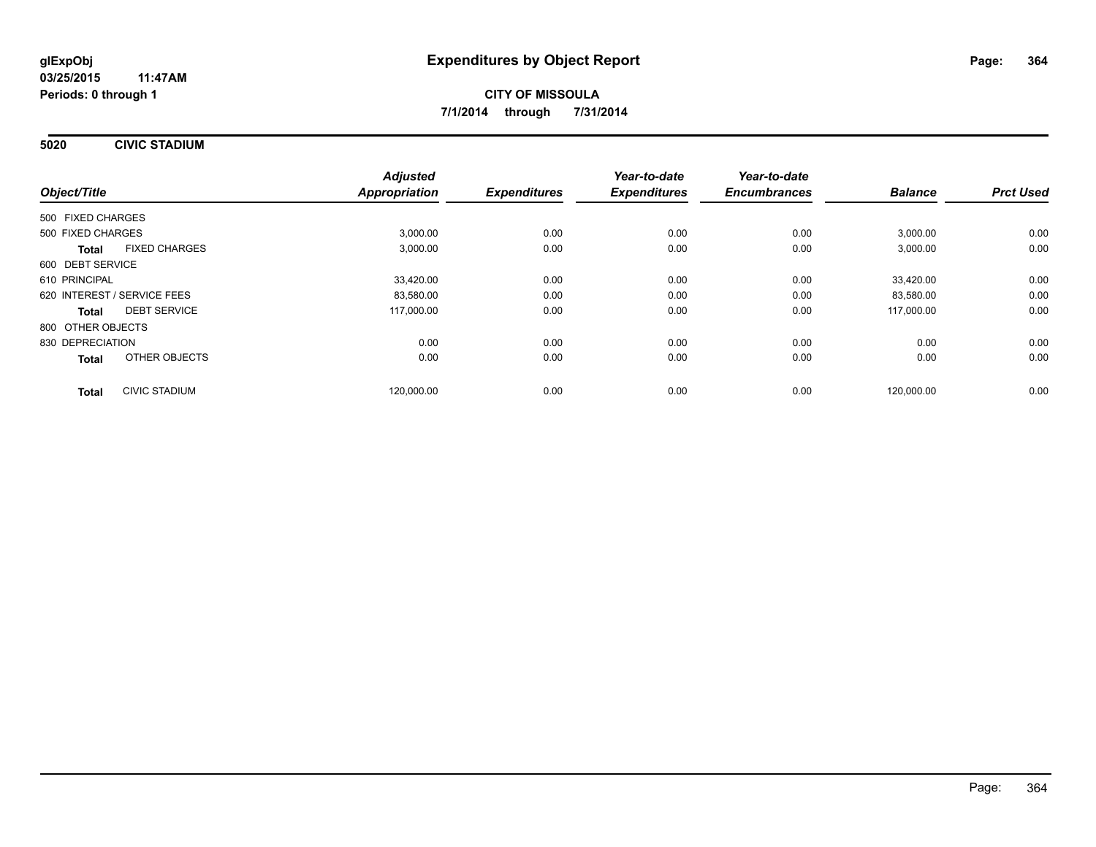**5020 CIVIC STADIUM**

| Object/Title                |                      | <b>Adjusted</b><br>Appropriation | <b>Expenditures</b> | Year-to-date<br><b>Expenditures</b> | Year-to-date<br><b>Encumbrances</b> | <b>Balance</b> | <b>Prct Used</b> |
|-----------------------------|----------------------|----------------------------------|---------------------|-------------------------------------|-------------------------------------|----------------|------------------|
|                             |                      |                                  |                     |                                     |                                     |                |                  |
| 500 FIXED CHARGES           |                      |                                  |                     |                                     |                                     |                |                  |
| 500 FIXED CHARGES           |                      | 3,000.00                         | 0.00                | 0.00                                | 0.00                                | 3,000.00       | 0.00             |
| <b>Total</b>                | <b>FIXED CHARGES</b> | 3,000.00                         | 0.00                | 0.00                                | 0.00                                | 3,000.00       | 0.00             |
| 600 DEBT SERVICE            |                      |                                  |                     |                                     |                                     |                |                  |
| 610 PRINCIPAL               |                      | 33,420.00                        | 0.00                | 0.00                                | 0.00                                | 33,420.00      | 0.00             |
| 620 INTEREST / SERVICE FEES |                      | 83,580.00                        | 0.00                | 0.00                                | 0.00                                | 83,580.00      | 0.00             |
| Total                       | <b>DEBT SERVICE</b>  | 117,000.00                       | 0.00                | 0.00                                | 0.00                                | 117,000.00     | 0.00             |
| 800 OTHER OBJECTS           |                      |                                  |                     |                                     |                                     |                |                  |
| 830 DEPRECIATION            |                      | 0.00                             | 0.00                | 0.00                                | 0.00                                | 0.00           | 0.00             |
| <b>Total</b>                | OTHER OBJECTS        | 0.00                             | 0.00                | 0.00                                | 0.00                                | 0.00           | 0.00             |
| <b>Total</b>                | <b>CIVIC STADIUM</b> | 120,000.00                       | 0.00                | 0.00                                | 0.00                                | 120,000.00     | 0.00             |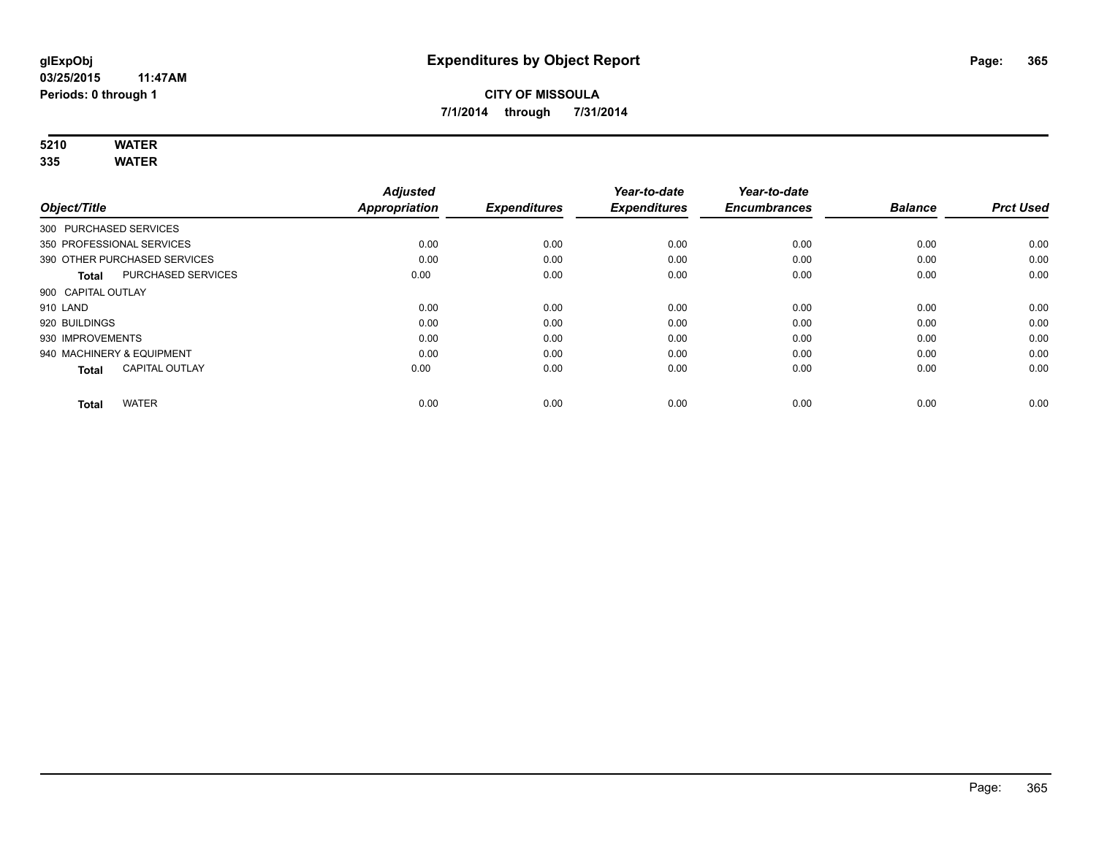# **5210 WATER**

**335 WATER**

|                                           | <b>Adjusted</b>      |                     | Year-to-date        | Year-to-date        |                |                  |
|-------------------------------------------|----------------------|---------------------|---------------------|---------------------|----------------|------------------|
| Object/Title                              | <b>Appropriation</b> | <b>Expenditures</b> | <b>Expenditures</b> | <b>Encumbrances</b> | <b>Balance</b> | <b>Prct Used</b> |
| 300 PURCHASED SERVICES                    |                      |                     |                     |                     |                |                  |
| 350 PROFESSIONAL SERVICES                 | 0.00                 | 0.00                | 0.00                | 0.00                | 0.00           | 0.00             |
| 390 OTHER PURCHASED SERVICES              | 0.00                 | 0.00                | 0.00                | 0.00                | 0.00           | 0.00             |
| <b>PURCHASED SERVICES</b><br><b>Total</b> | 0.00                 | 0.00                | 0.00                | 0.00                | 0.00           | 0.00             |
| 900 CAPITAL OUTLAY                        |                      |                     |                     |                     |                |                  |
| 910 LAND                                  | 0.00                 | 0.00                | 0.00                | 0.00                | 0.00           | 0.00             |
| 920 BUILDINGS                             | 0.00                 | 0.00                | 0.00                | 0.00                | 0.00           | 0.00             |
| 930 IMPROVEMENTS                          | 0.00                 | 0.00                | 0.00                | 0.00                | 0.00           | 0.00             |
| 940 MACHINERY & EQUIPMENT                 | 0.00                 | 0.00                | 0.00                | 0.00                | 0.00           | 0.00             |
| <b>CAPITAL OUTLAY</b><br><b>Total</b>     | 0.00                 | 0.00                | 0.00                | 0.00                | 0.00           | 0.00             |
|                                           |                      |                     |                     |                     |                |                  |
| <b>WATER</b><br><b>Total</b>              | 0.00                 | 0.00                | 0.00                | 0.00                | 0.00           | 0.00             |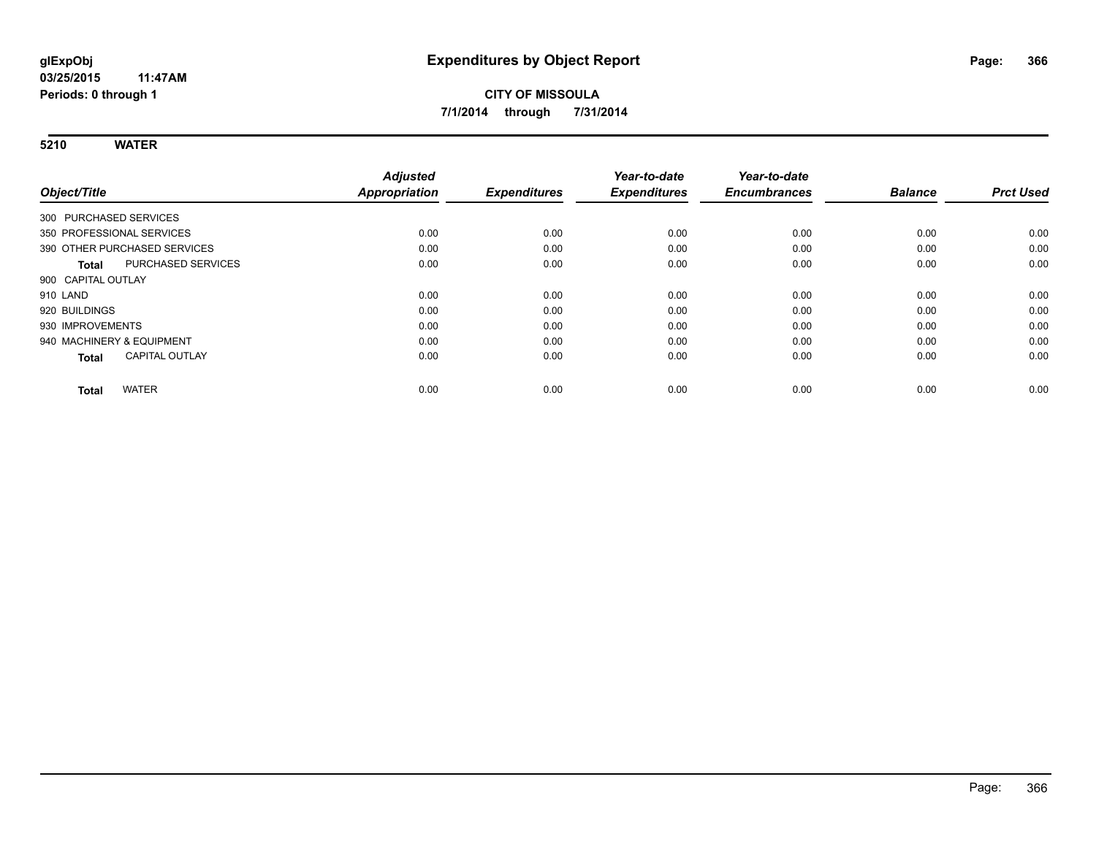**5210 WATER**

| Object/Title                          | <b>Adjusted</b><br><b>Appropriation</b> | <b>Expenditures</b> | Year-to-date<br><b>Expenditures</b> | Year-to-date<br><b>Encumbrances</b> | <b>Balance</b> | <b>Prct Used</b> |
|---------------------------------------|-----------------------------------------|---------------------|-------------------------------------|-------------------------------------|----------------|------------------|
|                                       |                                         |                     |                                     |                                     |                |                  |
| 300 PURCHASED SERVICES                |                                         |                     |                                     |                                     |                |                  |
| 350 PROFESSIONAL SERVICES             | 0.00                                    | 0.00                | 0.00                                | 0.00                                | 0.00           | 0.00             |
| 390 OTHER PURCHASED SERVICES          | 0.00                                    | 0.00                | 0.00                                | 0.00                                | 0.00           | 0.00             |
| PURCHASED SERVICES<br><b>Total</b>    | 0.00                                    | 0.00                | 0.00                                | 0.00                                | 0.00           | 0.00             |
| 900 CAPITAL OUTLAY                    |                                         |                     |                                     |                                     |                |                  |
| 910 LAND                              | 0.00                                    | 0.00                | 0.00                                | 0.00                                | 0.00           | 0.00             |
| 920 BUILDINGS                         | 0.00                                    | 0.00                | 0.00                                | 0.00                                | 0.00           | 0.00             |
| 930 IMPROVEMENTS                      | 0.00                                    | 0.00                | 0.00                                | 0.00                                | 0.00           | 0.00             |
| 940 MACHINERY & EQUIPMENT             | 0.00                                    | 0.00                | 0.00                                | 0.00                                | 0.00           | 0.00             |
| <b>CAPITAL OUTLAY</b><br><b>Total</b> | 0.00                                    | 0.00                | 0.00                                | 0.00                                | 0.00           | 0.00             |
| <b>WATER</b>                          | 0.00                                    | 0.00                | 0.00                                | 0.00                                | 0.00           | 0.00             |
| <b>Total</b>                          |                                         |                     |                                     |                                     |                |                  |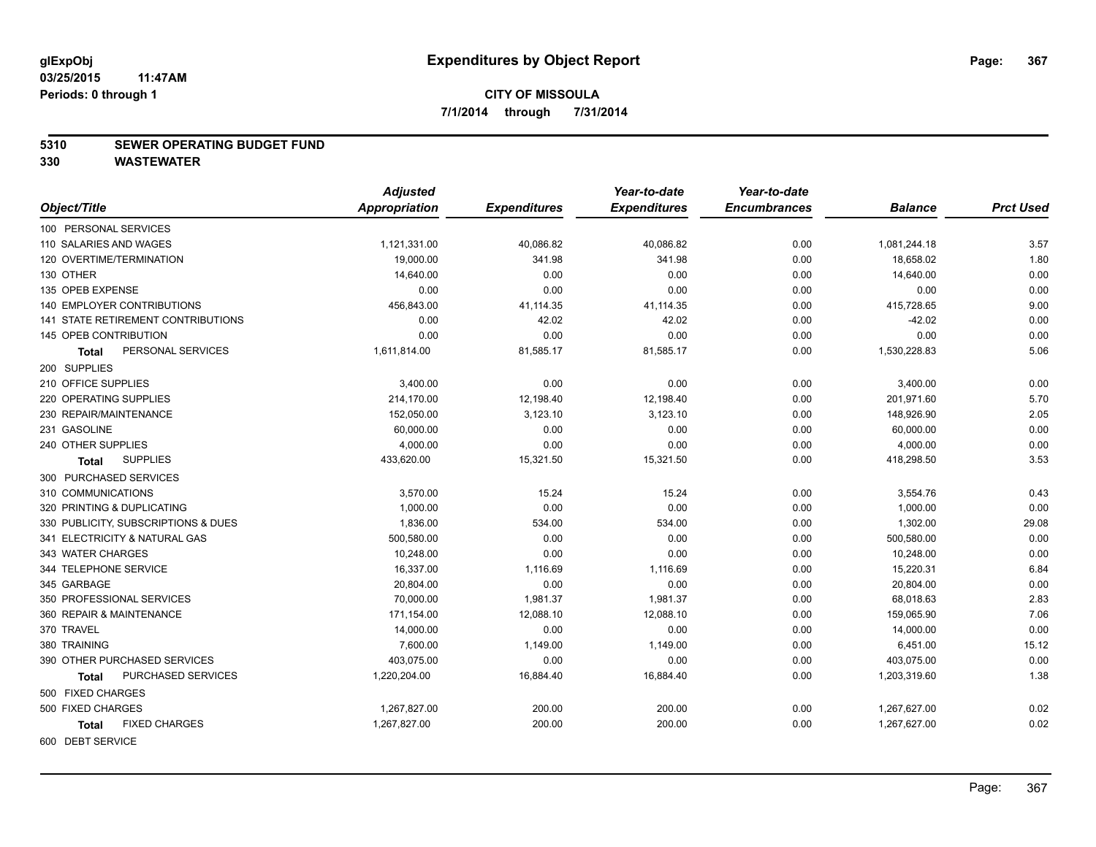#### **5310 SEWER OPERATING BUDGET FUND**

|                                           | <b>Adjusted</b> |                     | Year-to-date        | Year-to-date        |                |                  |
|-------------------------------------------|-----------------|---------------------|---------------------|---------------------|----------------|------------------|
| Object/Title                              | Appropriation   | <b>Expenditures</b> | <b>Expenditures</b> | <b>Encumbrances</b> | <b>Balance</b> | <b>Prct Used</b> |
| 100 PERSONAL SERVICES                     |                 |                     |                     |                     |                |                  |
| 110 SALARIES AND WAGES                    | 1,121,331.00    | 40,086.82           | 40,086.82           | 0.00                | 1,081,244.18   | 3.57             |
| 120 OVERTIME/TERMINATION                  | 19,000.00       | 341.98              | 341.98              | 0.00                | 18,658.02      | 1.80             |
| 130 OTHER                                 | 14,640.00       | 0.00                | 0.00                | 0.00                | 14,640.00      | 0.00             |
| 135 OPEB EXPENSE                          | 0.00            | 0.00                | 0.00                | 0.00                | 0.00           | 0.00             |
| <b>140 EMPLOYER CONTRIBUTIONS</b>         | 456,843.00      | 41,114.35           | 41,114.35           | 0.00                | 415,728.65     | 9.00             |
| <b>141 STATE RETIREMENT CONTRIBUTIONS</b> | 0.00            | 42.02               | 42.02               | 0.00                | $-42.02$       | 0.00             |
| 145 OPEB CONTRIBUTION                     | 0.00            | 0.00                | 0.00                | 0.00                | 0.00           | 0.00             |
| PERSONAL SERVICES<br>Total                | 1,611,814.00    | 81,585.17           | 81,585.17           | 0.00                | 1,530,228.83   | 5.06             |
| 200 SUPPLIES                              |                 |                     |                     |                     |                |                  |
| 210 OFFICE SUPPLIES                       | 3,400.00        | 0.00                | 0.00                | 0.00                | 3,400.00       | 0.00             |
| 220 OPERATING SUPPLIES                    | 214,170.00      | 12,198.40           | 12,198.40           | 0.00                | 201,971.60     | 5.70             |
| 230 REPAIR/MAINTENANCE                    | 152,050.00      | 3,123.10            | 3,123.10            | 0.00                | 148,926.90     | 2.05             |
| 231 GASOLINE                              | 60,000.00       | 0.00                | 0.00                | 0.00                | 60,000.00      | 0.00             |
| 240 OTHER SUPPLIES                        | 4,000.00        | 0.00                | 0.00                | 0.00                | 4,000.00       | 0.00             |
| <b>SUPPLIES</b><br><b>Total</b>           | 433,620.00      | 15,321.50           | 15,321.50           | 0.00                | 418,298.50     | 3.53             |
| 300 PURCHASED SERVICES                    |                 |                     |                     |                     |                |                  |
| 310 COMMUNICATIONS                        | 3,570.00        | 15.24               | 15.24               | 0.00                | 3,554.76       | 0.43             |
| 320 PRINTING & DUPLICATING                | 1,000.00        | 0.00                | 0.00                | 0.00                | 1,000.00       | 0.00             |
| 330 PUBLICITY, SUBSCRIPTIONS & DUES       | 1,836.00        | 534.00              | 534.00              | 0.00                | 1,302.00       | 29.08            |
| 341 ELECTRICITY & NATURAL GAS             | 500,580.00      | 0.00                | 0.00                | 0.00                | 500,580.00     | 0.00             |
| 343 WATER CHARGES                         | 10,248.00       | 0.00                | 0.00                | 0.00                | 10,248.00      | 0.00             |
| 344 TELEPHONE SERVICE                     | 16,337.00       | 1,116.69            | 1,116.69            | 0.00                | 15,220.31      | 6.84             |
| 345 GARBAGE                               | 20,804.00       | 0.00                | 0.00                | 0.00                | 20,804.00      | 0.00             |
| 350 PROFESSIONAL SERVICES                 | 70,000.00       | 1,981.37            | 1,981.37            | 0.00                | 68,018.63      | 2.83             |
| 360 REPAIR & MAINTENANCE                  | 171,154.00      | 12,088.10           | 12,088.10           | 0.00                | 159,065.90     | 7.06             |
| 370 TRAVEL                                | 14,000.00       | 0.00                | 0.00                | 0.00                | 14,000.00      | 0.00             |
| 380 TRAINING                              | 7,600.00        | 1,149.00            | 1,149.00            | 0.00                | 6,451.00       | 15.12            |
| 390 OTHER PURCHASED SERVICES              | 403,075.00      | 0.00                | 0.00                | 0.00                | 403,075.00     | 0.00             |
| PURCHASED SERVICES<br>Total               | 1,220,204.00    | 16,884.40           | 16,884.40           | 0.00                | 1,203,319.60   | 1.38             |
| 500 FIXED CHARGES                         |                 |                     |                     |                     |                |                  |
| 500 FIXED CHARGES                         | 1,267,827.00    | 200.00              | 200.00              | 0.00                | 1,267,627.00   | 0.02             |
| <b>FIXED CHARGES</b><br><b>Total</b>      | 1,267,827.00    | 200.00              | 200.00              | 0.00                | 1,267,627.00   | 0.02             |
| 600 DEBT SERVICE                          |                 |                     |                     |                     |                |                  |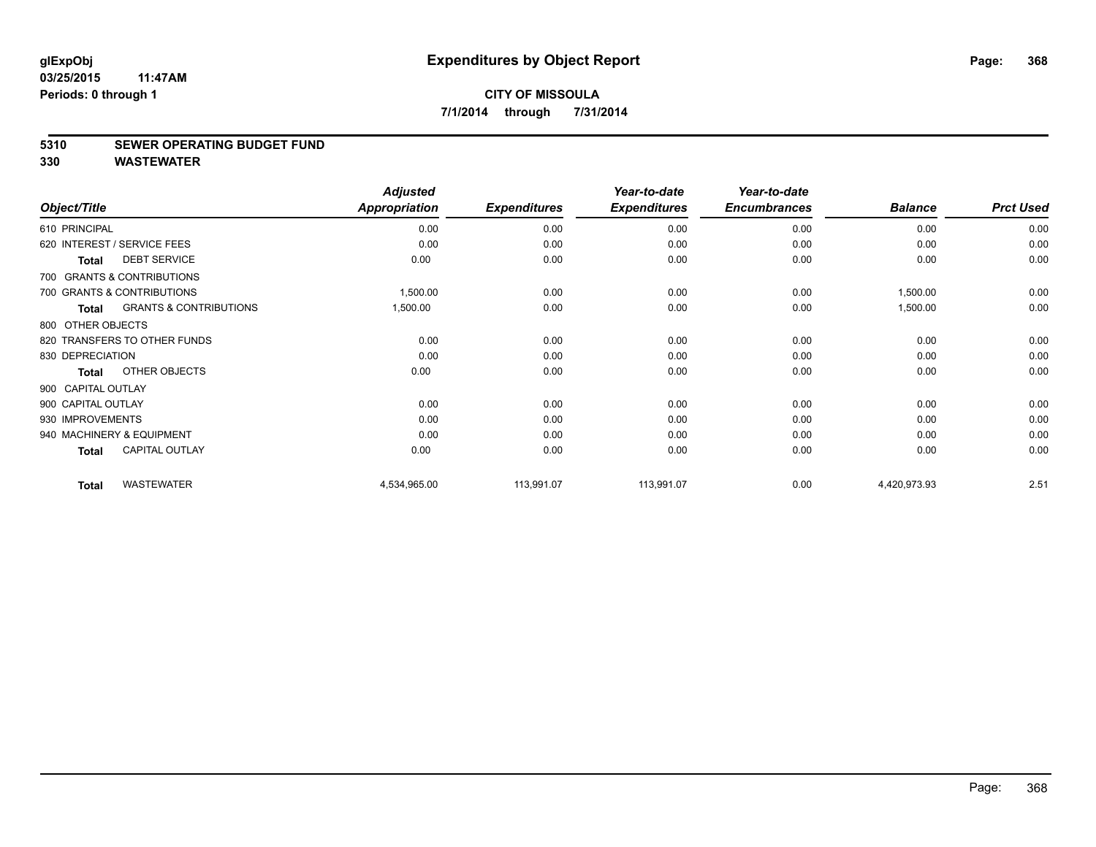#### **5310 SEWER OPERATING BUDGET FUND**

|                    |                                   | <b>Adjusted</b>      |                     | Year-to-date        | Year-to-date        |                |                  |
|--------------------|-----------------------------------|----------------------|---------------------|---------------------|---------------------|----------------|------------------|
| Object/Title       |                                   | <b>Appropriation</b> | <b>Expenditures</b> | <b>Expenditures</b> | <b>Encumbrances</b> | <b>Balance</b> | <b>Prct Used</b> |
| 610 PRINCIPAL      |                                   | 0.00                 | 0.00                | 0.00                | 0.00                | 0.00           | 0.00             |
|                    | 620 INTEREST / SERVICE FEES       | 0.00                 | 0.00                | 0.00                | 0.00                | 0.00           | 0.00             |
| <b>Total</b>       | <b>DEBT SERVICE</b>               | 0.00                 | 0.00                | 0.00                | 0.00                | 0.00           | 0.00             |
|                    | 700 GRANTS & CONTRIBUTIONS        |                      |                     |                     |                     |                |                  |
|                    | 700 GRANTS & CONTRIBUTIONS        | 1,500.00             | 0.00                | 0.00                | 0.00                | 1,500.00       | 0.00             |
| <b>Total</b>       | <b>GRANTS &amp; CONTRIBUTIONS</b> | 1,500.00             | 0.00                | 0.00                | 0.00                | 1,500.00       | 0.00             |
| 800 OTHER OBJECTS  |                                   |                      |                     |                     |                     |                |                  |
|                    | 820 TRANSFERS TO OTHER FUNDS      | 0.00                 | 0.00                | 0.00                | 0.00                | 0.00           | 0.00             |
| 830 DEPRECIATION   |                                   | 0.00                 | 0.00                | 0.00                | 0.00                | 0.00           | 0.00             |
| <b>Total</b>       | OTHER OBJECTS                     | 0.00                 | 0.00                | 0.00                | 0.00                | 0.00           | 0.00             |
| 900 CAPITAL OUTLAY |                                   |                      |                     |                     |                     |                |                  |
| 900 CAPITAL OUTLAY |                                   | 0.00                 | 0.00                | 0.00                | 0.00                | 0.00           | 0.00             |
| 930 IMPROVEMENTS   |                                   | 0.00                 | 0.00                | 0.00                | 0.00                | 0.00           | 0.00             |
|                    | 940 MACHINERY & EQUIPMENT         | 0.00                 | 0.00                | 0.00                | 0.00                | 0.00           | 0.00             |
| <b>Total</b>       | <b>CAPITAL OUTLAY</b>             | 0.00                 | 0.00                | 0.00                | 0.00                | 0.00           | 0.00             |
| <b>Total</b>       | <b>WASTEWATER</b>                 | 4,534,965.00         | 113,991.07          | 113,991.07          | 0.00                | 4,420,973.93   | 2.51             |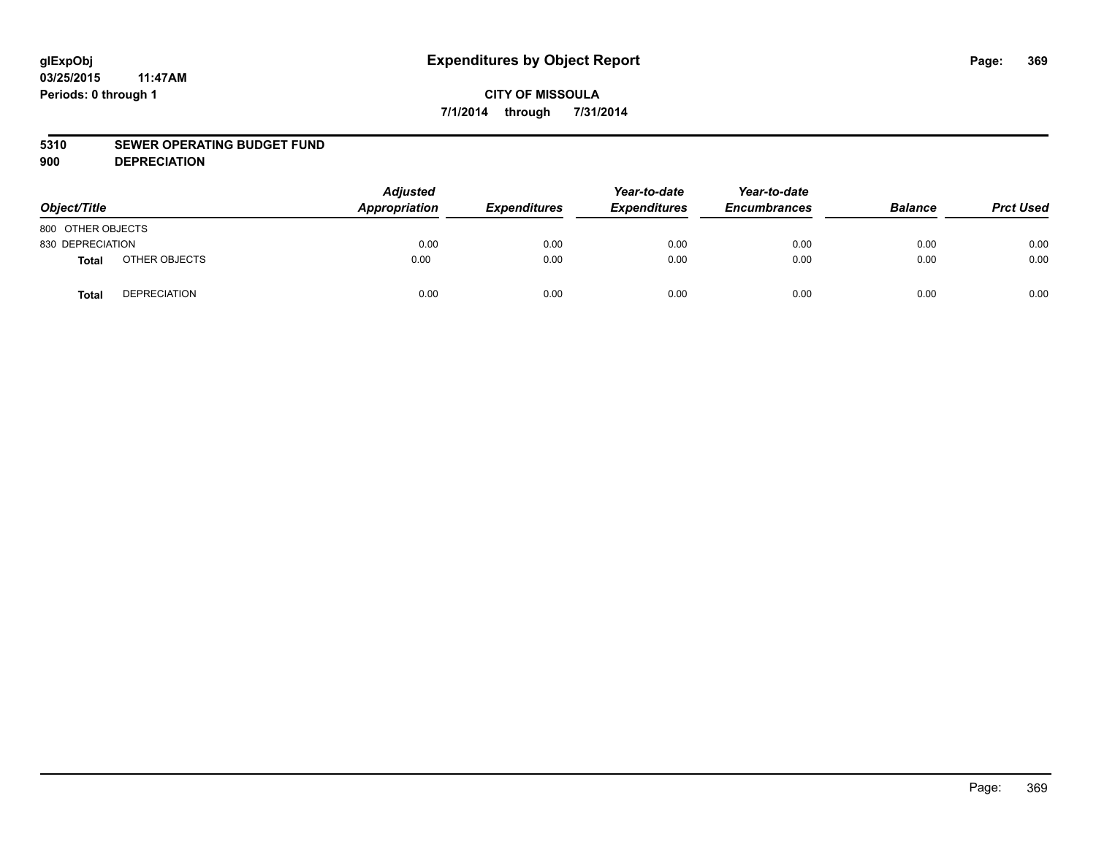#### **5310 SEWER OPERATING BUDGET FUND**

**900 DEPRECIATION**

| Object/Title      |                     | <b>Adjusted</b><br>Appropriation | <b>Expenditures</b> | Year-to-date<br><b>Expenditures</b> | Year-to-date<br><b>Encumbrances</b> | <b>Balance</b> | <b>Prct Used</b> |
|-------------------|---------------------|----------------------------------|---------------------|-------------------------------------|-------------------------------------|----------------|------------------|
| 800 OTHER OBJECTS |                     |                                  |                     |                                     |                                     |                |                  |
| 830 DEPRECIATION  |                     | 0.00                             | 0.00                | 0.00                                | 0.00                                | 0.00           | 0.00             |
| <b>Total</b>      | OTHER OBJECTS       | 0.00                             | 0.00                | 0.00                                | 0.00                                | 0.00           | 0.00             |
| <b>Total</b>      | <b>DEPRECIATION</b> | 0.00                             | 0.00                | 0.00                                | 0.00                                | 0.00           | 0.00             |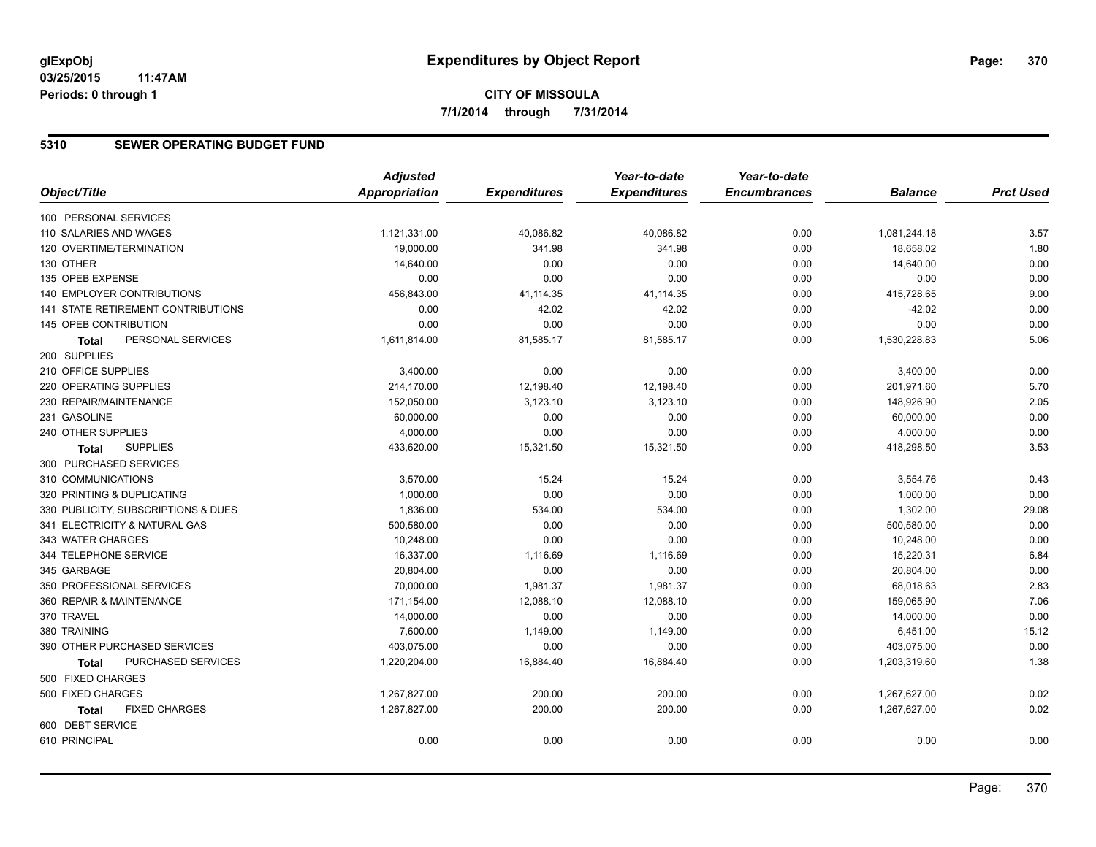# **CITY OF MISSOULA 7/1/2014 through 7/31/2014**

#### **5310 SEWER OPERATING BUDGET FUND**

|                                      | <b>Adjusted</b>      |                     | Year-to-date        | Year-to-date        |                |                  |
|--------------------------------------|----------------------|---------------------|---------------------|---------------------|----------------|------------------|
| Object/Title                         | <b>Appropriation</b> | <b>Expenditures</b> | <b>Expenditures</b> | <b>Encumbrances</b> | <b>Balance</b> | <b>Prct Used</b> |
| 100 PERSONAL SERVICES                |                      |                     |                     |                     |                |                  |
| 110 SALARIES AND WAGES               | 1,121,331.00         | 40,086.82           | 40,086.82           | 0.00                | 1,081,244.18   | 3.57             |
| 120 OVERTIME/TERMINATION             | 19,000.00            | 341.98              | 341.98              | 0.00                | 18,658.02      | 1.80             |
| 130 OTHER                            | 14,640.00            | 0.00                | 0.00                | 0.00                | 14,640.00      | 0.00             |
| 135 OPEB EXPENSE                     | 0.00                 | 0.00                | 0.00                | 0.00                | 0.00           | 0.00             |
| <b>140 EMPLOYER CONTRIBUTIONS</b>    | 456,843.00           | 41,114.35           | 41,114.35           | 0.00                | 415,728.65     | 9.00             |
| 141 STATE RETIREMENT CONTRIBUTIONS   | 0.00                 | 42.02               | 42.02               | 0.00                | $-42.02$       | 0.00             |
| 145 OPEB CONTRIBUTION                | 0.00                 | 0.00                | 0.00                | 0.00                | 0.00           | 0.00             |
| PERSONAL SERVICES<br>Total           | 1,611,814.00         | 81,585.17           | 81,585.17           | 0.00                | 1,530,228.83   | 5.06             |
| 200 SUPPLIES                         |                      |                     |                     |                     |                |                  |
| 210 OFFICE SUPPLIES                  | 3,400.00             | 0.00                | 0.00                | 0.00                | 3,400.00       | 0.00             |
| 220 OPERATING SUPPLIES               | 214,170.00           | 12,198.40           | 12,198.40           | 0.00                | 201,971.60     | 5.70             |
| 230 REPAIR/MAINTENANCE               | 152,050.00           | 3,123.10            | 3,123.10            | 0.00                | 148,926.90     | 2.05             |
| 231 GASOLINE                         | 60,000.00            | 0.00                | 0.00                | 0.00                | 60,000.00      | 0.00             |
| 240 OTHER SUPPLIES                   | 4,000.00             | 0.00                | 0.00                | 0.00                | 4,000.00       | 0.00             |
| <b>SUPPLIES</b><br><b>Total</b>      | 433,620.00           | 15,321.50           | 15,321.50           | 0.00                | 418,298.50     | 3.53             |
| 300 PURCHASED SERVICES               |                      |                     |                     |                     |                |                  |
| 310 COMMUNICATIONS                   | 3,570.00             | 15.24               | 15.24               | 0.00                | 3,554.76       | 0.43             |
| 320 PRINTING & DUPLICATING           | 1,000.00             | 0.00                | 0.00                | 0.00                | 1,000.00       | 0.00             |
| 330 PUBLICITY, SUBSCRIPTIONS & DUES  | 1,836.00             | 534.00              | 534.00              | 0.00                | 1,302.00       | 29.08            |
| 341 ELECTRICITY & NATURAL GAS        | 500,580.00           | 0.00                | 0.00                | 0.00                | 500,580.00     | 0.00             |
| 343 WATER CHARGES                    | 10,248.00            | 0.00                | 0.00                | 0.00                | 10,248.00      | 0.00             |
| 344 TELEPHONE SERVICE                | 16,337.00            | 1,116.69            | 1,116.69            | 0.00                | 15,220.31      | 6.84             |
| 345 GARBAGE                          | 20,804.00            | 0.00                | 0.00                | 0.00                | 20,804.00      | 0.00             |
| 350 PROFESSIONAL SERVICES            | 70,000.00            | 1,981.37            | 1,981.37            | 0.00                | 68,018.63      | 2.83             |
| 360 REPAIR & MAINTENANCE             | 171,154.00           | 12,088.10           | 12,088.10           | 0.00                | 159,065.90     | 7.06             |
| 370 TRAVEL                           | 14,000.00            | 0.00                | 0.00                | 0.00                | 14,000.00      | 0.00             |
| 380 TRAINING                         | 7,600.00             | 1,149.00            | 1,149.00            | 0.00                | 6,451.00       | 15.12            |
| 390 OTHER PURCHASED SERVICES         | 403,075.00           | 0.00                | 0.00                | 0.00                | 403,075.00     | 0.00             |
| PURCHASED SERVICES<br>Total          | 1,220,204.00         | 16,884.40           | 16,884.40           | 0.00                | 1,203,319.60   | 1.38             |
| 500 FIXED CHARGES                    |                      |                     |                     |                     |                |                  |
| 500 FIXED CHARGES                    | 1,267,827.00         | 200.00              | 200.00              | 0.00                | 1,267,627.00   | 0.02             |
| <b>FIXED CHARGES</b><br><b>Total</b> | 1,267,827.00         | 200.00              | 200.00              | 0.00                | 1,267,627.00   | 0.02             |
| 600 DEBT SERVICE                     |                      |                     |                     |                     |                |                  |
| 610 PRINCIPAL                        | 0.00                 | 0.00                | 0.00                | 0.00                | 0.00           | 0.00             |
|                                      |                      |                     |                     |                     |                |                  |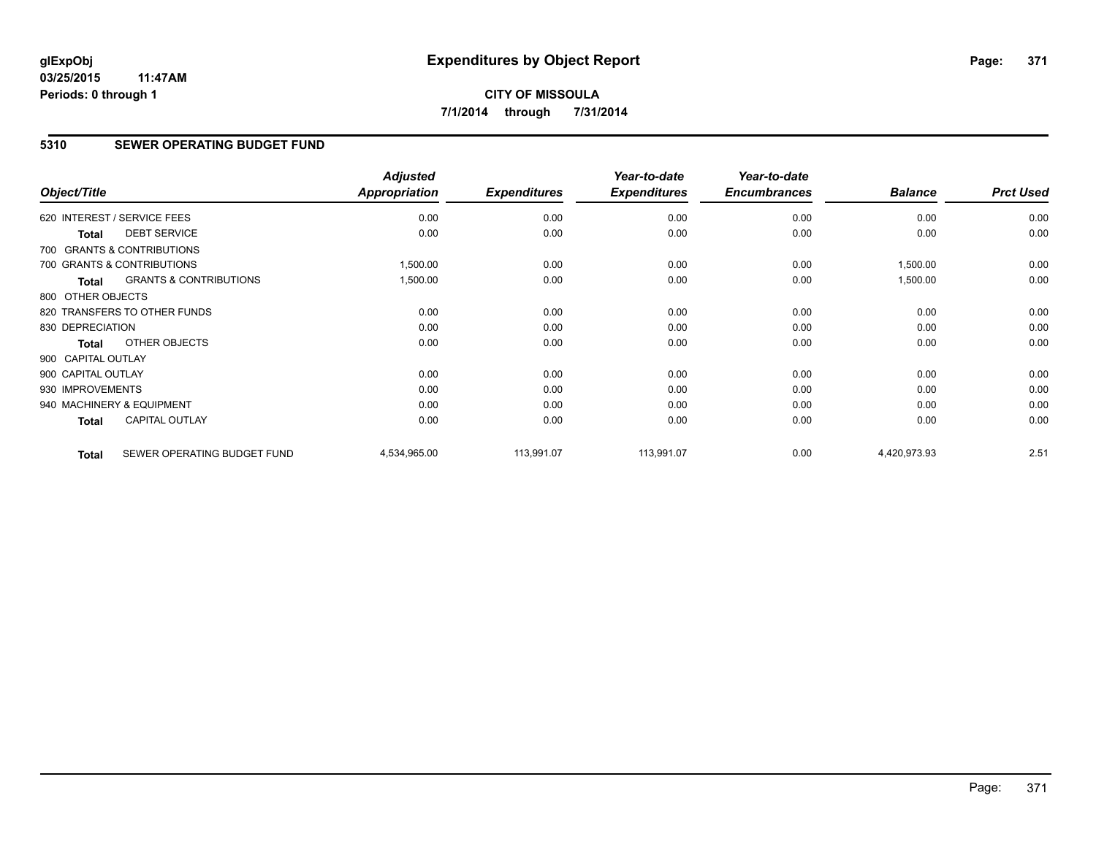### **5310 SEWER OPERATING BUDGET FUND**

| Object/Title                |                                   | <b>Adjusted</b><br><b>Appropriation</b> | <b>Expenditures</b> | Year-to-date<br><b>Expenditures</b> | Year-to-date<br><b>Encumbrances</b> | <b>Balance</b> | <b>Prct Used</b> |
|-----------------------------|-----------------------------------|-----------------------------------------|---------------------|-------------------------------------|-------------------------------------|----------------|------------------|
| 620 INTEREST / SERVICE FEES |                                   | 0.00                                    | 0.00                | 0.00                                | 0.00                                | 0.00           | 0.00             |
| <b>Total</b>                | <b>DEBT SERVICE</b>               | 0.00                                    | 0.00                | 0.00                                | 0.00                                | 0.00           | 0.00             |
|                             | 700 GRANTS & CONTRIBUTIONS        |                                         |                     |                                     |                                     |                |                  |
| 700 GRANTS & CONTRIBUTIONS  |                                   | 1,500.00                                | 0.00                | 0.00                                | 0.00                                | 1,500.00       | 0.00             |
| <b>Total</b>                | <b>GRANTS &amp; CONTRIBUTIONS</b> | 1,500.00                                | 0.00                | 0.00                                | 0.00                                | 1,500.00       | 0.00             |
| 800 OTHER OBJECTS           |                                   |                                         |                     |                                     |                                     |                |                  |
|                             | 820 TRANSFERS TO OTHER FUNDS      | 0.00                                    | 0.00                | 0.00                                | 0.00                                | 0.00           | 0.00             |
| 830 DEPRECIATION            |                                   | 0.00                                    | 0.00                | 0.00                                | 0.00                                | 0.00           | 0.00             |
| Total                       | <b>OTHER OBJECTS</b>              | 0.00                                    | 0.00                | 0.00                                | 0.00                                | 0.00           | 0.00             |
| 900 CAPITAL OUTLAY          |                                   |                                         |                     |                                     |                                     |                |                  |
| 900 CAPITAL OUTLAY          |                                   | 0.00                                    | 0.00                | 0.00                                | 0.00                                | 0.00           | 0.00             |
| 930 IMPROVEMENTS            |                                   | 0.00                                    | 0.00                | 0.00                                | 0.00                                | 0.00           | 0.00             |
| 940 MACHINERY & EQUIPMENT   |                                   | 0.00                                    | 0.00                | 0.00                                | 0.00                                | 0.00           | 0.00             |
| Total                       | <b>CAPITAL OUTLAY</b>             | 0.00                                    | 0.00                | 0.00                                | 0.00                                | 0.00           | 0.00             |
| <b>Total</b>                | SEWER OPERATING BUDGET FUND       | 4,534,965.00                            | 113,991.07          | 113,991.07                          | 0.00                                | 4,420,973.93   | 2.51             |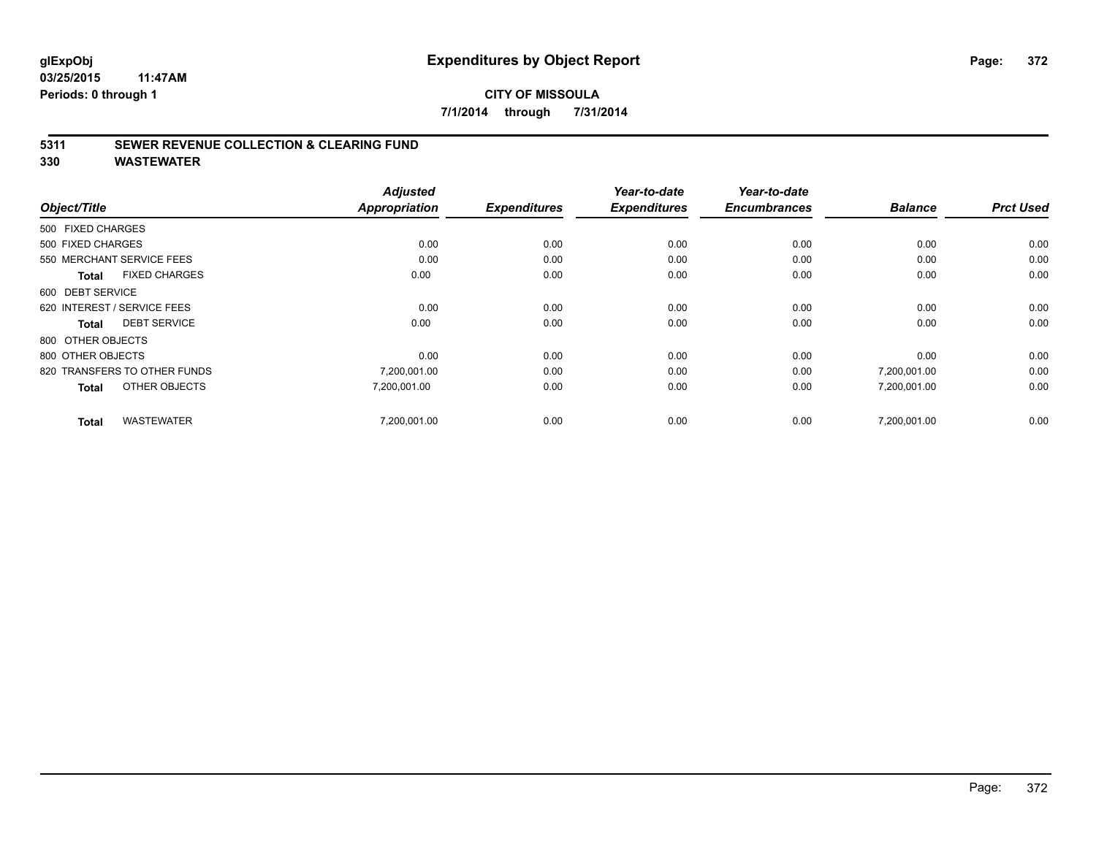### **5311 SEWER REVENUE COLLECTION & CLEARING FUND**

|                                      | <b>Adjusted</b><br><b>Appropriation</b> | <b>Expenditures</b> | Year-to-date<br><b>Expenditures</b> | Year-to-date<br><b>Encumbrances</b> | <b>Balance</b> |                  |
|--------------------------------------|-----------------------------------------|---------------------|-------------------------------------|-------------------------------------|----------------|------------------|
| Object/Title                         |                                         |                     |                                     |                                     |                | <b>Prct Used</b> |
| 500 FIXED CHARGES                    |                                         |                     |                                     |                                     |                |                  |
| 500 FIXED CHARGES                    | 0.00                                    | 0.00                | 0.00                                | 0.00                                | 0.00           | 0.00             |
| 550 MERCHANT SERVICE FEES            | 0.00                                    | 0.00                | 0.00                                | 0.00                                | 0.00           | 0.00             |
| <b>FIXED CHARGES</b><br><b>Total</b> | 0.00                                    | 0.00                | 0.00                                | 0.00                                | 0.00           | 0.00             |
| 600 DEBT SERVICE                     |                                         |                     |                                     |                                     |                |                  |
| 620 INTEREST / SERVICE FEES          | 0.00                                    | 0.00                | 0.00                                | 0.00                                | 0.00           | 0.00             |
| <b>DEBT SERVICE</b><br><b>Total</b>  | 0.00                                    | 0.00                | 0.00                                | 0.00                                | 0.00           | 0.00             |
| 800 OTHER OBJECTS                    |                                         |                     |                                     |                                     |                |                  |
| 800 OTHER OBJECTS                    | 0.00                                    | 0.00                | 0.00                                | 0.00                                | 0.00           | 0.00             |
| 820 TRANSFERS TO OTHER FUNDS         | 7,200,001.00                            | 0.00                | 0.00                                | 0.00                                | 7,200,001.00   | 0.00             |
| OTHER OBJECTS<br><b>Total</b>        | 7,200,001.00                            | 0.00                | 0.00                                | 0.00                                | 7,200,001.00   | 0.00             |
| <b>WASTEWATER</b><br><b>Total</b>    | 7.200.001.00                            | 0.00                | 0.00                                | 0.00                                | 7.200.001.00   | 0.00             |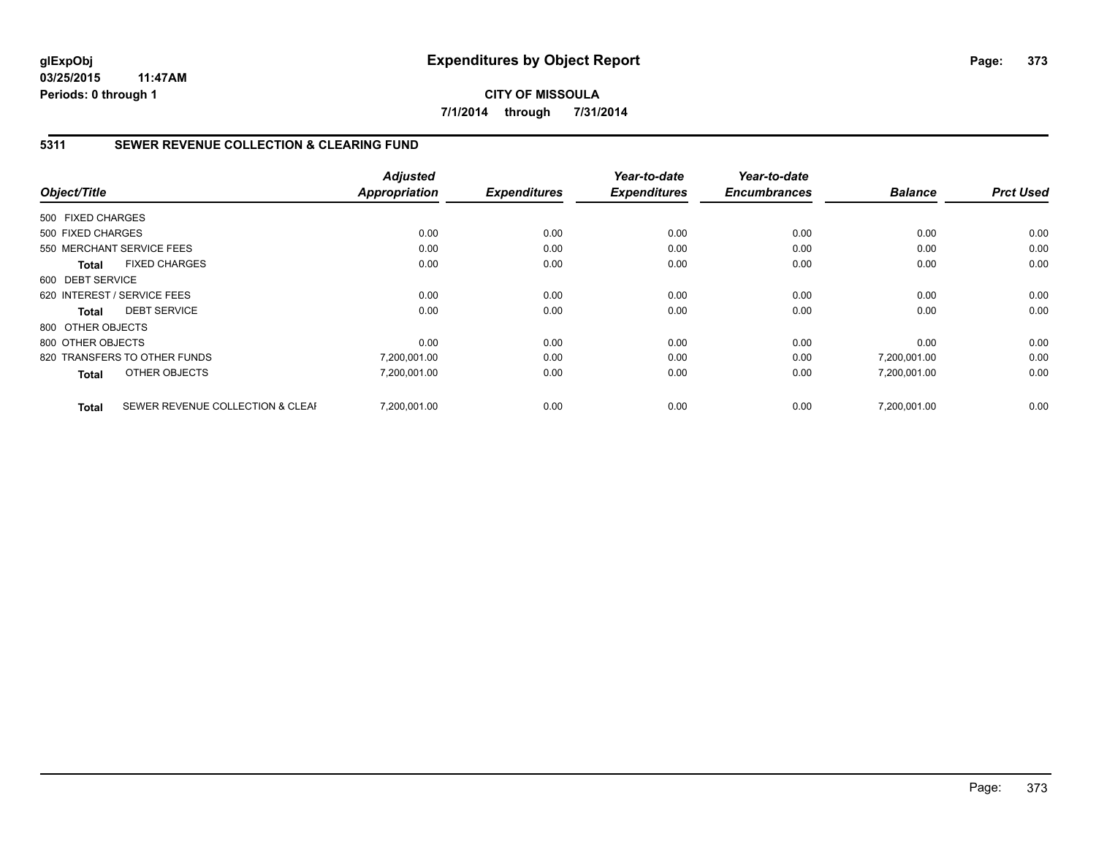# **CITY OF MISSOULA 7/1/2014 through 7/31/2014**

# **5311 SEWER REVENUE COLLECTION & CLEARING FUND**

| Object/Title      |                                  | <b>Adjusted</b><br><b>Appropriation</b> | <b>Expenditures</b> | Year-to-date<br><b>Expenditures</b> | Year-to-date<br><b>Encumbrances</b> | <b>Balance</b> | <b>Prct Used</b> |
|-------------------|----------------------------------|-----------------------------------------|---------------------|-------------------------------------|-------------------------------------|----------------|------------------|
|                   |                                  |                                         |                     |                                     |                                     |                |                  |
| 500 FIXED CHARGES |                                  |                                         |                     |                                     |                                     |                |                  |
| 500 FIXED CHARGES |                                  | 0.00                                    | 0.00                | 0.00                                | 0.00                                | 0.00           | 0.00             |
|                   | 550 MERCHANT SERVICE FEES        | 0.00                                    | 0.00                | 0.00                                | 0.00                                | 0.00           | 0.00             |
| <b>Total</b>      | <b>FIXED CHARGES</b>             | 0.00                                    | 0.00                | 0.00                                | 0.00                                | 0.00           | 0.00             |
| 600 DEBT SERVICE  |                                  |                                         |                     |                                     |                                     |                |                  |
|                   | 620 INTEREST / SERVICE FEES      | 0.00                                    | 0.00                | 0.00                                | 0.00                                | 0.00           | 0.00             |
| Total             | <b>DEBT SERVICE</b>              | 0.00                                    | 0.00                | 0.00                                | 0.00                                | 0.00           | 0.00             |
| 800 OTHER OBJECTS |                                  |                                         |                     |                                     |                                     |                |                  |
| 800 OTHER OBJECTS |                                  | 0.00                                    | 0.00                | 0.00                                | 0.00                                | 0.00           | 0.00             |
|                   | 820 TRANSFERS TO OTHER FUNDS     | 7,200,001.00                            | 0.00                | 0.00                                | 0.00                                | 7,200,001.00   | 0.00             |
| <b>Total</b>      | OTHER OBJECTS                    | 7,200,001.00                            | 0.00                | 0.00                                | 0.00                                | 7,200,001.00   | 0.00             |
| <b>Total</b>      | SEWER REVENUE COLLECTION & CLEAF | 7,200,001.00                            | 0.00                | 0.00                                | 0.00                                | 7,200,001.00   | 0.00             |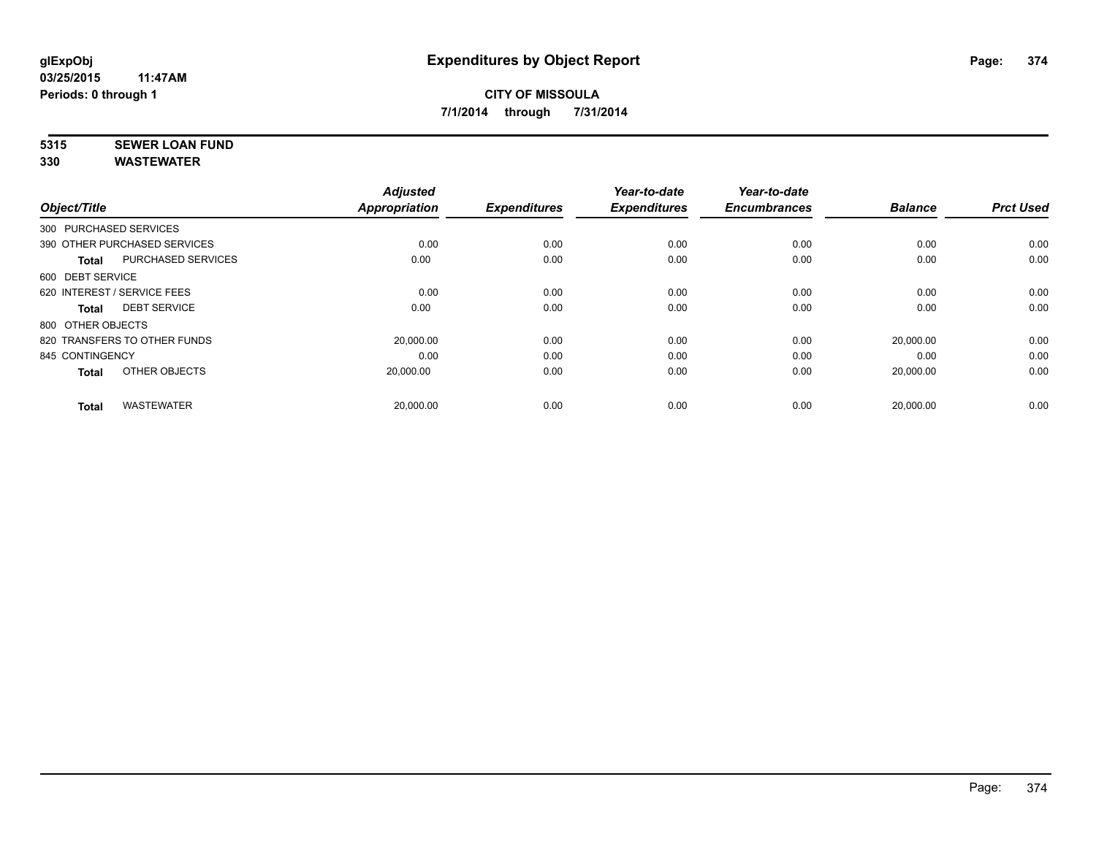# **5315 SEWER LOAN FUND**

| Object/Title           |                              | <b>Adjusted</b><br><b>Appropriation</b> | <b>Expenditures</b> | Year-to-date<br><b>Expenditures</b> | Year-to-date<br><b>Encumbrances</b> | <b>Balance</b> | <b>Prct Used</b> |
|------------------------|------------------------------|-----------------------------------------|---------------------|-------------------------------------|-------------------------------------|----------------|------------------|
| 300 PURCHASED SERVICES |                              |                                         |                     |                                     |                                     |                |                  |
|                        | 390 OTHER PURCHASED SERVICES | 0.00                                    | 0.00                | 0.00                                | 0.00                                | 0.00           | 0.00             |
| <b>Total</b>           | <b>PURCHASED SERVICES</b>    | 0.00                                    | 0.00                | 0.00                                | 0.00                                | 0.00           | 0.00             |
| 600 DEBT SERVICE       |                              |                                         |                     |                                     |                                     |                |                  |
|                        | 620 INTEREST / SERVICE FEES  | 0.00                                    | 0.00                | 0.00                                | 0.00                                | 0.00           | 0.00             |
| <b>Total</b>           | <b>DEBT SERVICE</b>          | 0.00                                    | 0.00                | 0.00                                | 0.00                                | 0.00           | 0.00             |
| 800 OTHER OBJECTS      |                              |                                         |                     |                                     |                                     |                |                  |
|                        | 820 TRANSFERS TO OTHER FUNDS | 20,000.00                               | 0.00                | 0.00                                | 0.00                                | 20,000.00      | 0.00             |
| 845 CONTINGENCY        |                              | 0.00                                    | 0.00                | 0.00                                | 0.00                                | 0.00           | 0.00             |
| <b>Total</b>           | OTHER OBJECTS                | 20,000.00                               | 0.00                | 0.00                                | 0.00                                | 20,000.00      | 0.00             |
| <b>Total</b>           | <b>WASTEWATER</b>            | 20,000.00                               | 0.00                | 0.00                                | 0.00                                | 20,000.00      | 0.00             |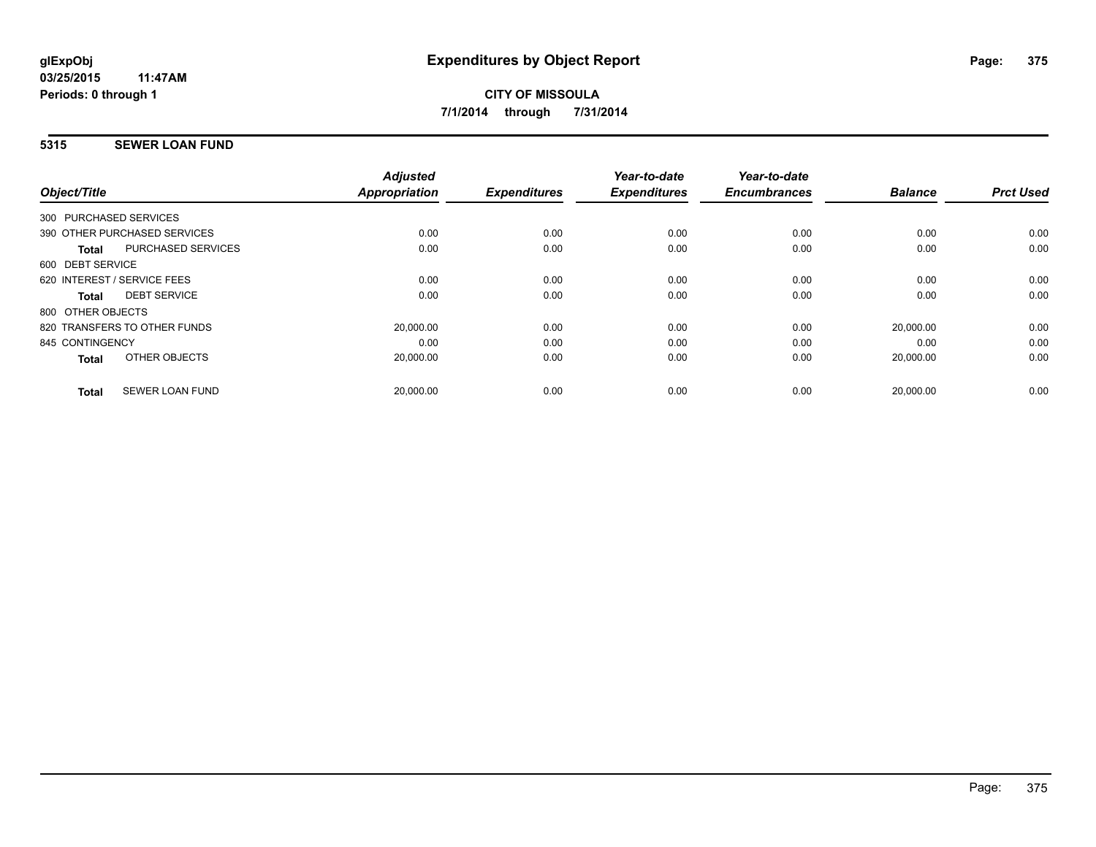## **5315 SEWER LOAN FUND**

|                   |                              | <b>Adjusted</b>      |                     | Year-to-date        | Year-to-date        |                |                  |
|-------------------|------------------------------|----------------------|---------------------|---------------------|---------------------|----------------|------------------|
| Object/Title      |                              | <b>Appropriation</b> | <b>Expenditures</b> | <b>Expenditures</b> | <b>Encumbrances</b> | <b>Balance</b> | <b>Prct Used</b> |
|                   | 300 PURCHASED SERVICES       |                      |                     |                     |                     |                |                  |
|                   | 390 OTHER PURCHASED SERVICES | 0.00                 | 0.00                | 0.00                | 0.00                | 0.00           | 0.00             |
| Total             | PURCHASED SERVICES           | 0.00                 | 0.00                | 0.00                | 0.00                | 0.00           | 0.00             |
| 600 DEBT SERVICE  |                              |                      |                     |                     |                     |                |                  |
|                   | 620 INTEREST / SERVICE FEES  | 0.00                 | 0.00                | 0.00                | 0.00                | 0.00           | 0.00             |
| Total             | <b>DEBT SERVICE</b>          | 0.00                 | 0.00                | 0.00                | 0.00                | 0.00           | 0.00             |
| 800 OTHER OBJECTS |                              |                      |                     |                     |                     |                |                  |
|                   | 820 TRANSFERS TO OTHER FUNDS | 20,000.00            | 0.00                | 0.00                | 0.00                | 20,000.00      | 0.00             |
| 845 CONTINGENCY   |                              | 0.00                 | 0.00                | 0.00                | 0.00                | 0.00           | 0.00             |
| <b>Total</b>      | OTHER OBJECTS                | 20,000.00            | 0.00                | 0.00                | 0.00                | 20,000.00      | 0.00             |
| <b>Total</b>      | <b>SEWER LOAN FUND</b>       | 20,000.00            | 0.00                | 0.00                | 0.00                | 20,000.00      | 0.00             |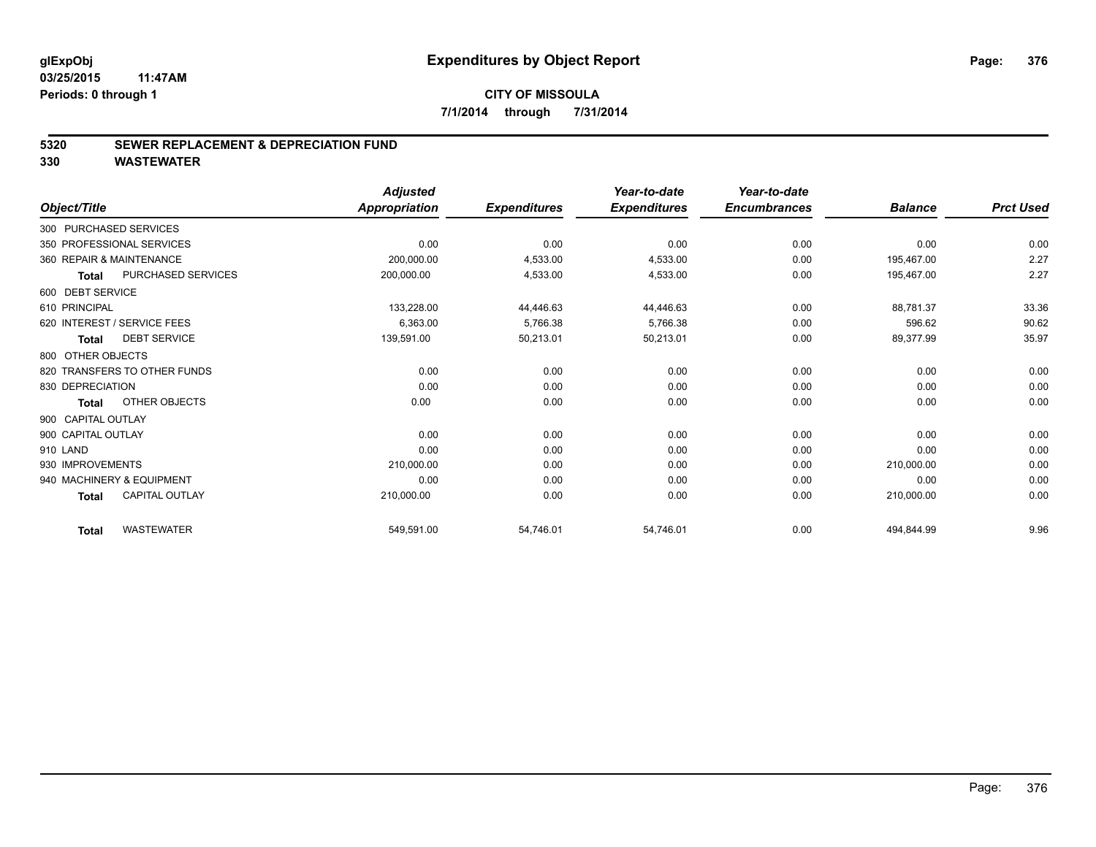#### **5320 SEWER REPLACEMENT & DEPRECIATION FUND**

|                                           | <b>Adjusted</b>      |                     | Year-to-date        | Year-to-date        |                |                  |
|-------------------------------------------|----------------------|---------------------|---------------------|---------------------|----------------|------------------|
| Object/Title                              | <b>Appropriation</b> | <b>Expenditures</b> | <b>Expenditures</b> | <b>Encumbrances</b> | <b>Balance</b> | <b>Prct Used</b> |
| 300 PURCHASED SERVICES                    |                      |                     |                     |                     |                |                  |
| 350 PROFESSIONAL SERVICES                 | 0.00                 | 0.00                | 0.00                | 0.00                | 0.00           | 0.00             |
| 360 REPAIR & MAINTENANCE                  | 200,000.00           | 4,533.00            | 4,533.00            | 0.00                | 195,467.00     | 2.27             |
| <b>PURCHASED SERVICES</b><br><b>Total</b> | 200,000.00           | 4,533.00            | 4,533.00            | 0.00                | 195,467.00     | 2.27             |
| 600 DEBT SERVICE                          |                      |                     |                     |                     |                |                  |
| 610 PRINCIPAL                             | 133,228.00           | 44,446.63           | 44,446.63           | 0.00                | 88,781.37      | 33.36            |
| 620 INTEREST / SERVICE FEES               | 6,363.00             | 5,766.38            | 5,766.38            | 0.00                | 596.62         | 90.62            |
| <b>DEBT SERVICE</b><br><b>Total</b>       | 139,591.00           | 50,213.01           | 50,213.01           | 0.00                | 89,377.99      | 35.97            |
| 800 OTHER OBJECTS                         |                      |                     |                     |                     |                |                  |
| 820 TRANSFERS TO OTHER FUNDS              | 0.00                 | 0.00                | 0.00                | 0.00                | 0.00           | 0.00             |
| 830 DEPRECIATION                          | 0.00                 | 0.00                | 0.00                | 0.00                | 0.00           | 0.00             |
| OTHER OBJECTS<br><b>Total</b>             | 0.00                 | 0.00                | 0.00                | 0.00                | 0.00           | 0.00             |
| 900 CAPITAL OUTLAY                        |                      |                     |                     |                     |                |                  |
| 900 CAPITAL OUTLAY                        | 0.00                 | 0.00                | 0.00                | 0.00                | 0.00           | 0.00             |
| 910 LAND                                  | 0.00                 | 0.00                | 0.00                | 0.00                | 0.00           | 0.00             |
| 930 IMPROVEMENTS                          | 210,000.00           | 0.00                | 0.00                | 0.00                | 210,000.00     | 0.00             |
| 940 MACHINERY & EQUIPMENT                 | 0.00                 | 0.00                | 0.00                | 0.00                | 0.00           | 0.00             |
| <b>CAPITAL OUTLAY</b><br><b>Total</b>     | 210,000.00           | 0.00                | 0.00                | 0.00                | 210,000.00     | 0.00             |
|                                           |                      |                     |                     |                     |                |                  |
| <b>WASTEWATER</b><br><b>Total</b>         | 549,591.00           | 54,746.01           | 54.746.01           | 0.00                | 494,844.99     | 9.96             |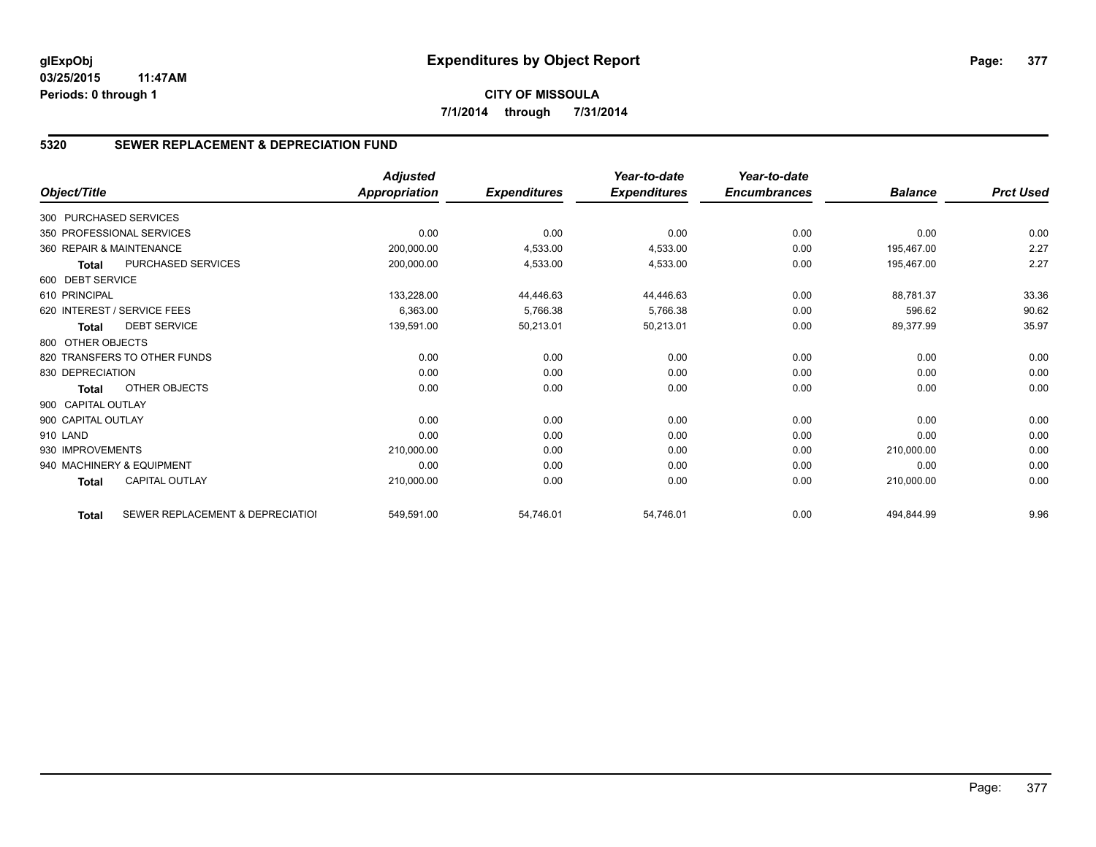# **5320 SEWER REPLACEMENT & DEPRECIATION FUND**

| Object/Title           |                                  | <b>Adjusted</b><br><b>Appropriation</b> | <b>Expenditures</b> | Year-to-date<br><b>Expenditures</b> | Year-to-date<br><b>Encumbrances</b> | <b>Balance</b> | <b>Prct Used</b> |
|------------------------|----------------------------------|-----------------------------------------|---------------------|-------------------------------------|-------------------------------------|----------------|------------------|
|                        |                                  |                                         |                     |                                     |                                     |                |                  |
| 300 PURCHASED SERVICES |                                  |                                         |                     |                                     |                                     |                |                  |
|                        | 350 PROFESSIONAL SERVICES        | 0.00                                    | 0.00                | 0.00                                | 0.00                                | 0.00           | 0.00             |
|                        | 360 REPAIR & MAINTENANCE         | 200,000.00                              | 4,533.00            | 4,533.00                            | 0.00                                | 195,467.00     | 2.27             |
| <b>Total</b>           | PURCHASED SERVICES               | 200,000.00                              | 4,533.00            | 4,533.00                            | 0.00                                | 195.467.00     | 2.27             |
| 600 DEBT SERVICE       |                                  |                                         |                     |                                     |                                     |                |                  |
| 610 PRINCIPAL          |                                  | 133,228.00                              | 44,446.63           | 44,446.63                           | 0.00                                | 88,781.37      | 33.36            |
|                        | 620 INTEREST / SERVICE FEES      | 6,363.00                                | 5,766.38            | 5,766.38                            | 0.00                                | 596.62         | 90.62            |
| <b>Total</b>           | <b>DEBT SERVICE</b>              | 139,591.00                              | 50,213.01           | 50,213.01                           | 0.00                                | 89,377.99      | 35.97            |
| 800 OTHER OBJECTS      |                                  |                                         |                     |                                     |                                     |                |                  |
|                        | 820 TRANSFERS TO OTHER FUNDS     | 0.00                                    | 0.00                | 0.00                                | 0.00                                | 0.00           | 0.00             |
| 830 DEPRECIATION       |                                  | 0.00                                    | 0.00                | 0.00                                | 0.00                                | 0.00           | 0.00             |
| <b>Total</b>           | OTHER OBJECTS                    | 0.00                                    | 0.00                | 0.00                                | 0.00                                | 0.00           | 0.00             |
| 900 CAPITAL OUTLAY     |                                  |                                         |                     |                                     |                                     |                |                  |
| 900 CAPITAL OUTLAY     |                                  | 0.00                                    | 0.00                | 0.00                                | 0.00                                | 0.00           | 0.00             |
| 910 LAND               |                                  | 0.00                                    | 0.00                | 0.00                                | 0.00                                | 0.00           | 0.00             |
| 930 IMPROVEMENTS       |                                  | 210,000.00                              | 0.00                | 0.00                                | 0.00                                | 210,000.00     | 0.00             |
|                        | 940 MACHINERY & EQUIPMENT        | 0.00                                    | 0.00                | 0.00                                | 0.00                                | 0.00           | 0.00             |
| <b>Total</b>           | <b>CAPITAL OUTLAY</b>            | 210,000.00                              | 0.00                | 0.00                                | 0.00                                | 210,000.00     | 0.00             |
| <b>Total</b>           | SEWER REPLACEMENT & DEPRECIATIOI | 549,591.00                              | 54,746.01           | 54,746.01                           | 0.00                                | 494,844.99     | 9.96             |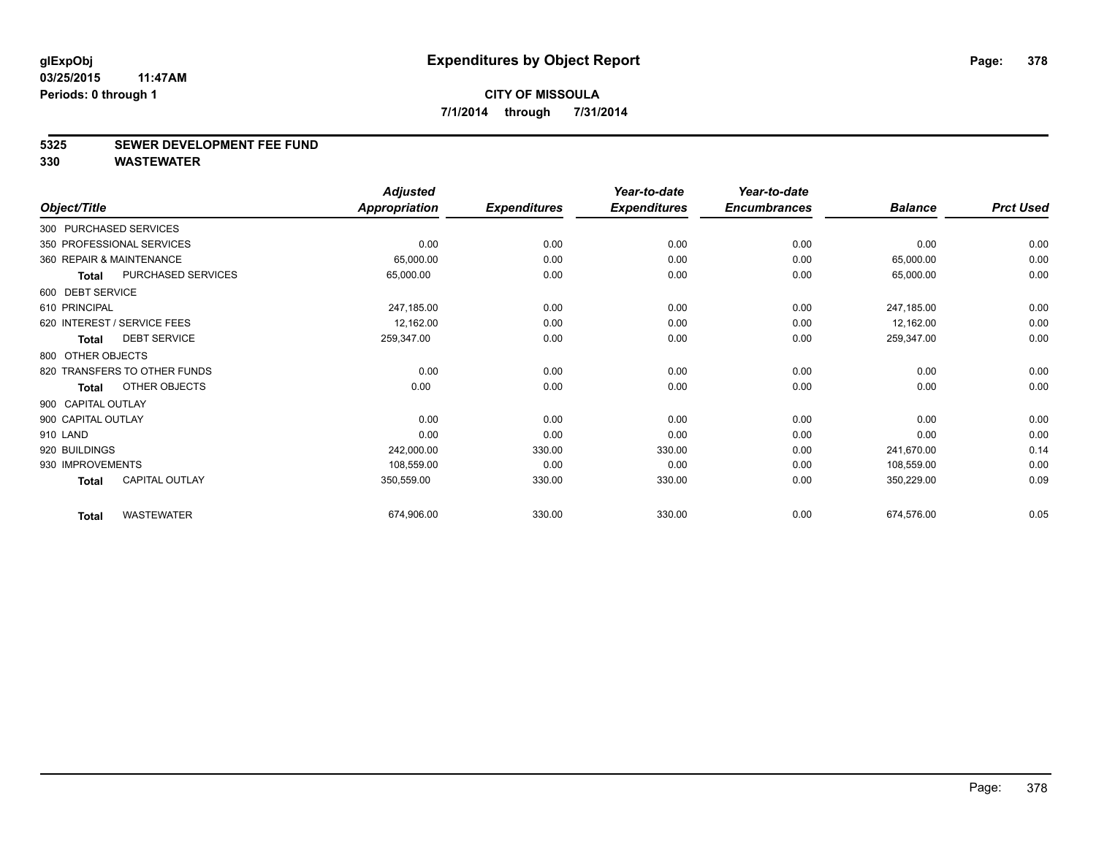#### **5325 SEWER DEVELOPMENT FEE FUND**

|                              |                       | <b>Adjusted</b>      |                     | Year-to-date        | Year-to-date        |                |                  |
|------------------------------|-----------------------|----------------------|---------------------|---------------------|---------------------|----------------|------------------|
| Object/Title                 |                       | <b>Appropriation</b> | <b>Expenditures</b> | <b>Expenditures</b> | <b>Encumbrances</b> | <b>Balance</b> | <b>Prct Used</b> |
| 300 PURCHASED SERVICES       |                       |                      |                     |                     |                     |                |                  |
| 350 PROFESSIONAL SERVICES    |                       | 0.00                 | 0.00                | 0.00                | 0.00                | 0.00           | 0.00             |
| 360 REPAIR & MAINTENANCE     |                       | 65,000.00            | 0.00                | 0.00                | 0.00                | 65,000.00      | 0.00             |
| <b>Total</b>                 | PURCHASED SERVICES    | 65,000.00            | 0.00                | 0.00                | 0.00                | 65,000.00      | 0.00             |
| 600 DEBT SERVICE             |                       |                      |                     |                     |                     |                |                  |
| 610 PRINCIPAL                |                       | 247,185.00           | 0.00                | 0.00                | 0.00                | 247,185.00     | 0.00             |
| 620 INTEREST / SERVICE FEES  |                       | 12,162.00            | 0.00                | 0.00                | 0.00                | 12,162.00      | 0.00             |
| <b>Total</b>                 | <b>DEBT SERVICE</b>   | 259,347.00           | 0.00                | 0.00                | 0.00                | 259,347.00     | 0.00             |
| 800 OTHER OBJECTS            |                       |                      |                     |                     |                     |                |                  |
| 820 TRANSFERS TO OTHER FUNDS |                       | 0.00                 | 0.00                | 0.00                | 0.00                | 0.00           | 0.00             |
| <b>Total</b>                 | OTHER OBJECTS         | 0.00                 | 0.00                | 0.00                | 0.00                | 0.00           | 0.00             |
| 900 CAPITAL OUTLAY           |                       |                      |                     |                     |                     |                |                  |
| 900 CAPITAL OUTLAY           |                       | 0.00                 | 0.00                | 0.00                | 0.00                | 0.00           | 0.00             |
| 910 LAND                     |                       | 0.00                 | 0.00                | 0.00                | 0.00                | 0.00           | 0.00             |
| 920 BUILDINGS                |                       | 242,000.00           | 330.00              | 330.00              | 0.00                | 241,670.00     | 0.14             |
| 930 IMPROVEMENTS             |                       | 108,559.00           | 0.00                | 0.00                | 0.00                | 108,559.00     | 0.00             |
| <b>Total</b>                 | <b>CAPITAL OUTLAY</b> | 350,559.00           | 330.00              | 330.00              | 0.00                | 350,229.00     | 0.09             |
| <b>Total</b>                 | <b>WASTEWATER</b>     | 674,906.00           | 330.00              | 330.00              | 0.00                | 674,576.00     | 0.05             |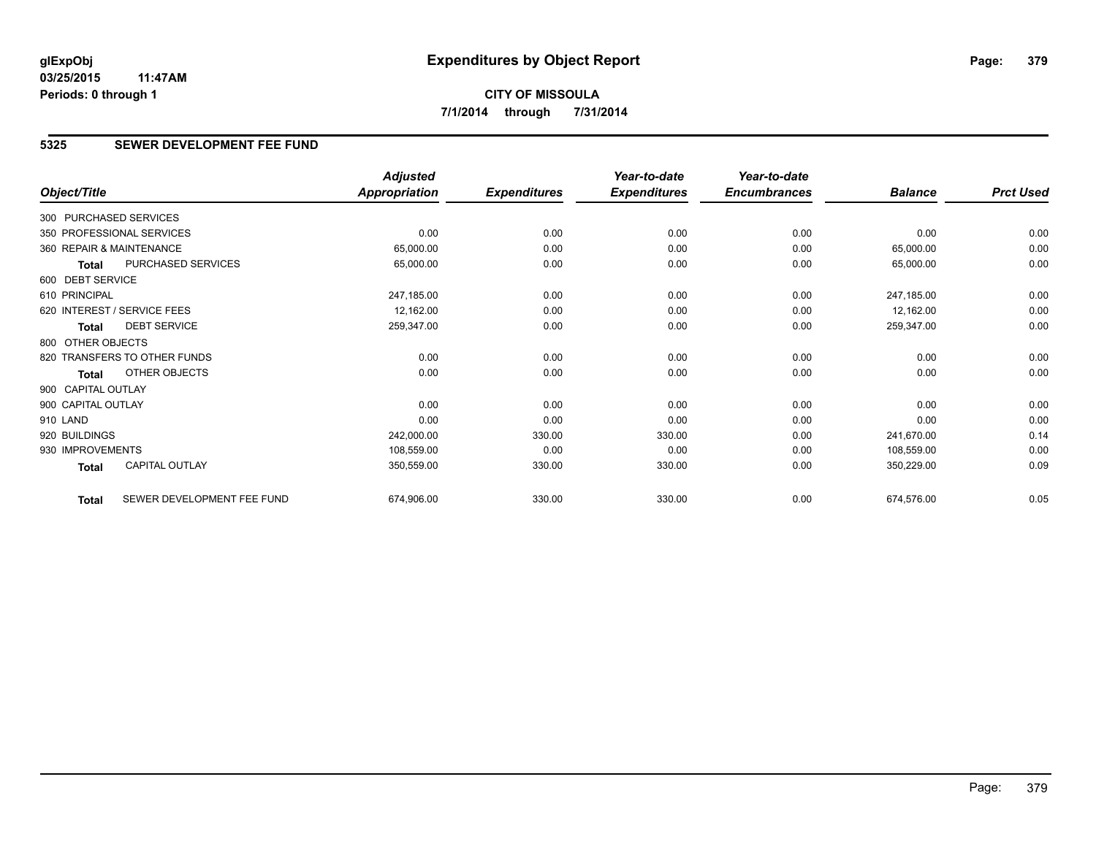**CITY OF MISSOULA 7/1/2014 through 7/31/2014**

#### **5325 SEWER DEVELOPMENT FEE FUND**

|                        |                              | <b>Adjusted</b>      |                     | Year-to-date        | Year-to-date        |                |                  |
|------------------------|------------------------------|----------------------|---------------------|---------------------|---------------------|----------------|------------------|
| Object/Title           |                              | <b>Appropriation</b> | <b>Expenditures</b> | <b>Expenditures</b> | <b>Encumbrances</b> | <b>Balance</b> | <b>Prct Used</b> |
| 300 PURCHASED SERVICES |                              |                      |                     |                     |                     |                |                  |
|                        | 350 PROFESSIONAL SERVICES    | 0.00                 | 0.00                | 0.00                | 0.00                | 0.00           | 0.00             |
|                        | 360 REPAIR & MAINTENANCE     | 65,000.00            | 0.00                | 0.00                | 0.00                | 65,000.00      | 0.00             |
| Total                  | PURCHASED SERVICES           | 65,000.00            | 0.00                | 0.00                | 0.00                | 65,000.00      | 0.00             |
| 600 DEBT SERVICE       |                              |                      |                     |                     |                     |                |                  |
| 610 PRINCIPAL          |                              | 247,185.00           | 0.00                | 0.00                | 0.00                | 247,185.00     | 0.00             |
|                        | 620 INTEREST / SERVICE FEES  | 12,162.00            | 0.00                | 0.00                | 0.00                | 12,162.00      | 0.00             |
| <b>Total</b>           | <b>DEBT SERVICE</b>          | 259,347.00           | 0.00                | 0.00                | 0.00                | 259,347.00     | 0.00             |
| 800 OTHER OBJECTS      |                              |                      |                     |                     |                     |                |                  |
|                        | 820 TRANSFERS TO OTHER FUNDS | 0.00                 | 0.00                | 0.00                | 0.00                | 0.00           | 0.00             |
| Total                  | OTHER OBJECTS                | 0.00                 | 0.00                | 0.00                | 0.00                | 0.00           | 0.00             |
| 900 CAPITAL OUTLAY     |                              |                      |                     |                     |                     |                |                  |
| 900 CAPITAL OUTLAY     |                              | 0.00                 | 0.00                | 0.00                | 0.00                | 0.00           | 0.00             |
| 910 LAND               |                              | 0.00                 | 0.00                | 0.00                | 0.00                | 0.00           | 0.00             |
| 920 BUILDINGS          |                              | 242,000.00           | 330.00              | 330.00              | 0.00                | 241,670.00     | 0.14             |
| 930 IMPROVEMENTS       |                              | 108,559.00           | 0.00                | 0.00                | 0.00                | 108,559.00     | 0.00             |
| Total                  | <b>CAPITAL OUTLAY</b>        | 350,559.00           | 330.00              | 330.00              | 0.00                | 350,229.00     | 0.09             |
| <b>Total</b>           | SEWER DEVELOPMENT FEE FUND   | 674,906.00           | 330.00              | 330.00              | 0.00                | 674,576.00     | 0.05             |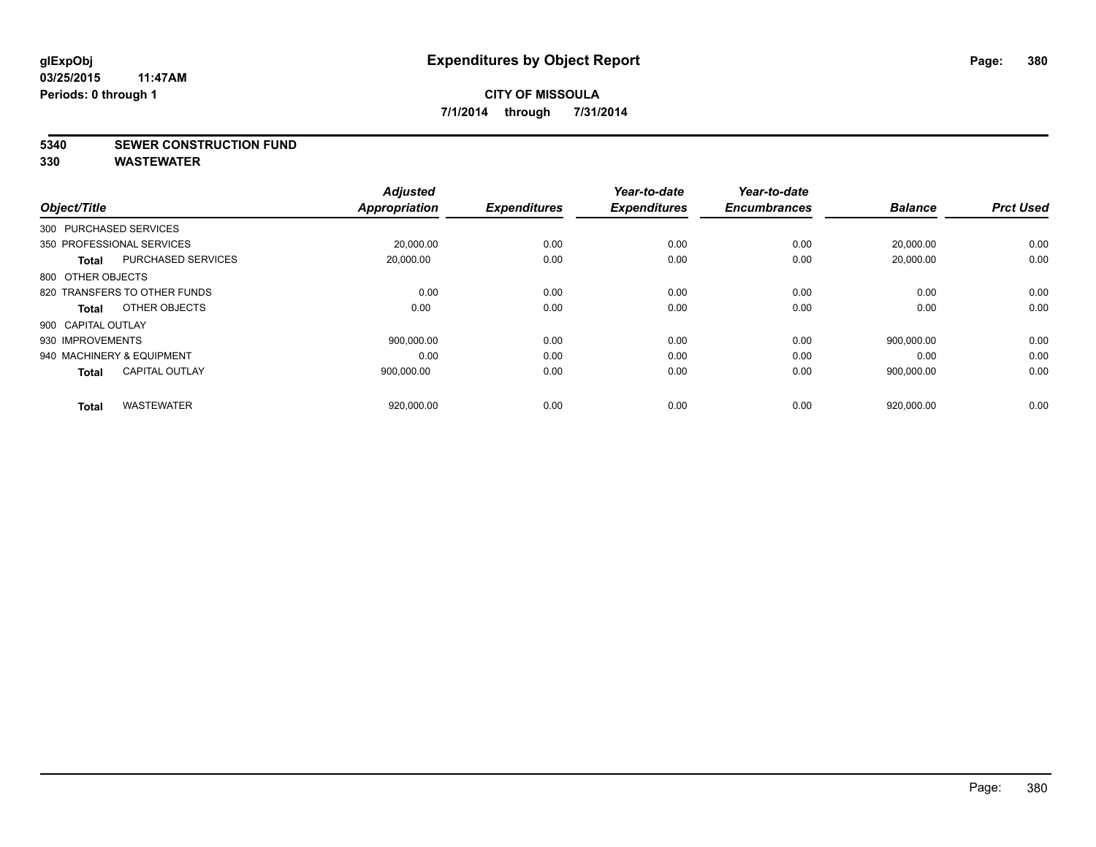#### **5340 SEWER CONSTRUCTION FUND**

| Object/Title                              | <b>Adjusted</b><br><b>Appropriation</b> | <b>Expenditures</b> | Year-to-date<br><b>Expenditures</b> | Year-to-date<br><b>Encumbrances</b> | <b>Balance</b> | <b>Prct Used</b> |
|-------------------------------------------|-----------------------------------------|---------------------|-------------------------------------|-------------------------------------|----------------|------------------|
| 300 PURCHASED SERVICES                    |                                         |                     |                                     |                                     |                |                  |
| 350 PROFESSIONAL SERVICES                 | 20,000.00                               | 0.00                | 0.00                                | 0.00                                | 20,000.00      | 0.00             |
| <b>PURCHASED SERVICES</b><br><b>Total</b> | 20,000.00                               | 0.00                | 0.00                                | 0.00                                | 20,000.00      | 0.00             |
| 800 OTHER OBJECTS                         |                                         |                     |                                     |                                     |                |                  |
| 820 TRANSFERS TO OTHER FUNDS              | 0.00                                    | 0.00                | 0.00                                | 0.00                                | 0.00           | 0.00             |
| OTHER OBJECTS<br>Total                    | 0.00                                    | 0.00                | 0.00                                | 0.00                                | 0.00           | 0.00             |
| 900 CAPITAL OUTLAY                        |                                         |                     |                                     |                                     |                |                  |
| 930 IMPROVEMENTS                          | 900.000.00                              | 0.00                | 0.00                                | 0.00                                | 900,000.00     | 0.00             |
| 940 MACHINERY & EQUIPMENT                 | 0.00                                    | 0.00                | 0.00                                | 0.00                                | 0.00           | 0.00             |
| <b>CAPITAL OUTLAY</b><br><b>Total</b>     | 900.000.00                              | 0.00                | 0.00                                | 0.00                                | 900.000.00     | 0.00             |
|                                           |                                         |                     |                                     |                                     |                |                  |
| <b>WASTEWATER</b><br><b>Total</b>         | 920,000.00                              | 0.00                | 0.00                                | 0.00                                | 920,000.00     | 0.00             |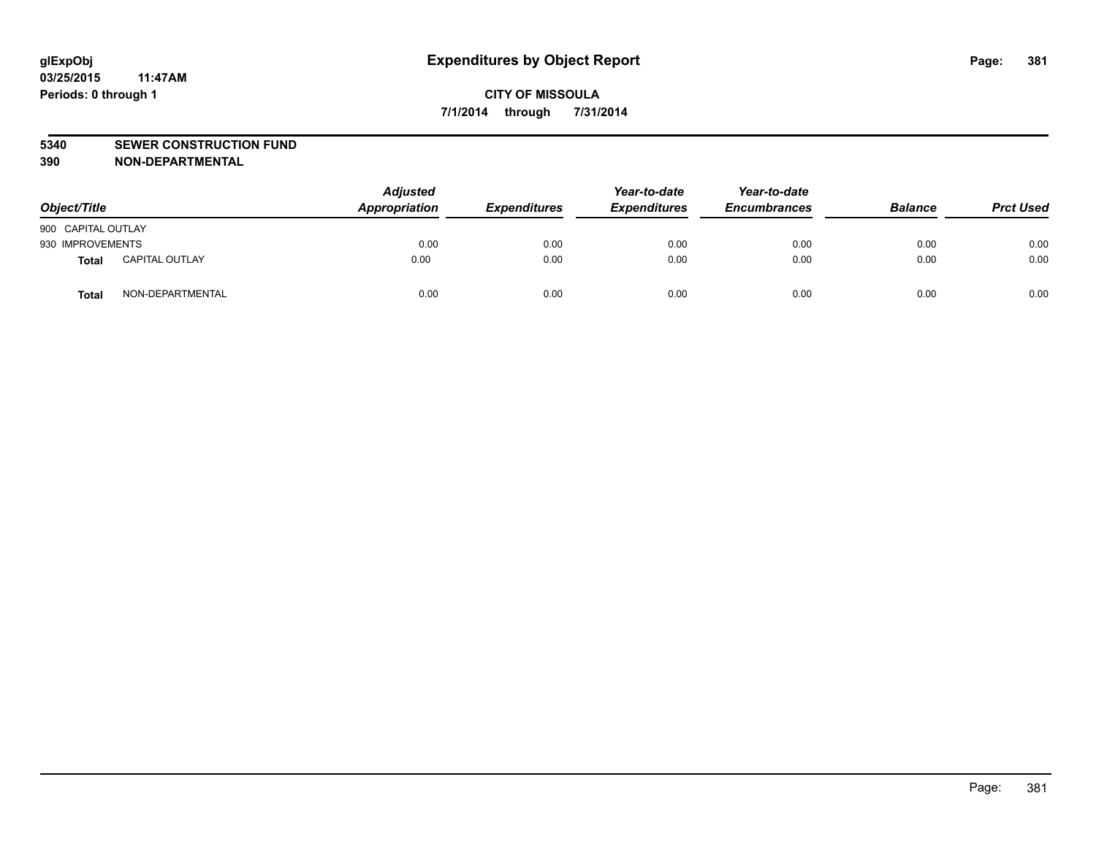#### **5340 SEWER CONSTRUCTION FUND**

**390 NON-DEPARTMENTAL**

| Object/Title       |                       | <b>Adjusted</b><br>Appropriation | <b>Expenditures</b> | Year-to-date<br><b>Expenditures</b> | Year-to-date<br><b>Encumbrances</b> | <b>Balance</b> | <b>Prct Used</b> |
|--------------------|-----------------------|----------------------------------|---------------------|-------------------------------------|-------------------------------------|----------------|------------------|
| 900 CAPITAL OUTLAY |                       |                                  |                     |                                     |                                     |                |                  |
| 930 IMPROVEMENTS   |                       | 0.00                             | 0.00                | 0.00                                | 0.00                                | 0.00           | 0.00             |
| Total              | <b>CAPITAL OUTLAY</b> | 0.00                             | 0.00                | 0.00                                | 0.00                                | 0.00           | 0.00             |
| Total              | NON-DEPARTMENTAL      | 0.00                             | 0.00                | 0.00                                | 0.00                                | 0.00           | 0.00             |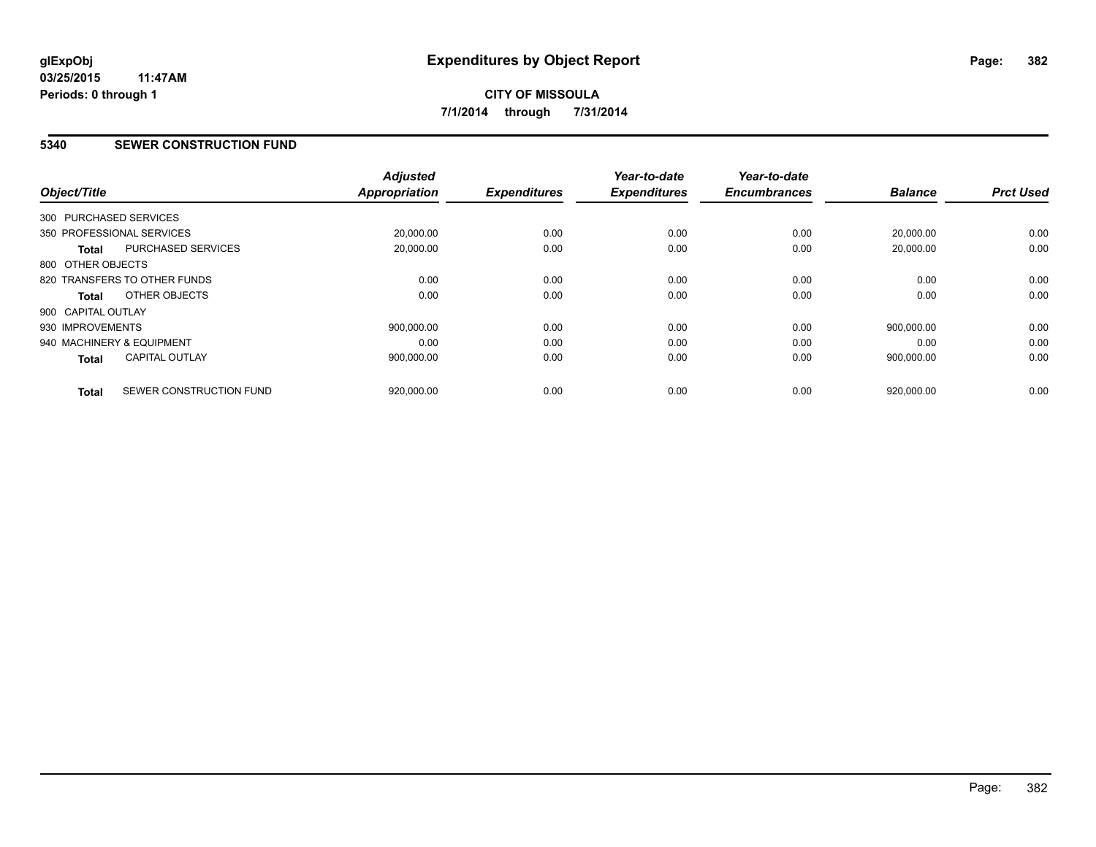#### **5340 SEWER CONSTRUCTION FUND**

| Object/Title              |                              | <b>Adjusted</b><br><b>Appropriation</b> | <b>Expenditures</b> | Year-to-date<br><b>Expenditures</b> | Year-to-date<br><b>Encumbrances</b> | <b>Balance</b> | <b>Prct Used</b> |
|---------------------------|------------------------------|-----------------------------------------|---------------------|-------------------------------------|-------------------------------------|----------------|------------------|
| 300 PURCHASED SERVICES    |                              |                                         |                     |                                     |                                     |                |                  |
| 350 PROFESSIONAL SERVICES |                              | 20,000.00                               | 0.00                | 0.00                                | 0.00                                | 20,000.00      | 0.00             |
| Total                     | <b>PURCHASED SERVICES</b>    | 20,000.00                               | 0.00                | 0.00                                | 0.00                                | 20,000.00      | 0.00             |
| 800 OTHER OBJECTS         |                              |                                         |                     |                                     |                                     |                |                  |
|                           | 820 TRANSFERS TO OTHER FUNDS | 0.00                                    | 0.00                | 0.00                                | 0.00                                | 0.00           | 0.00             |
| Total                     | OTHER OBJECTS                | 0.00                                    | 0.00                | 0.00                                | 0.00                                | 0.00           | 0.00             |
| 900 CAPITAL OUTLAY        |                              |                                         |                     |                                     |                                     |                |                  |
| 930 IMPROVEMENTS          |                              | 900.000.00                              | 0.00                | 0.00                                | 0.00                                | 900.000.00     | 0.00             |
| 940 MACHINERY & EQUIPMENT |                              | 0.00                                    | 0.00                | 0.00                                | 0.00                                | 0.00           | 0.00             |
| <b>Total</b>              | <b>CAPITAL OUTLAY</b>        | 900,000.00                              | 0.00                | 0.00                                | 0.00                                | 900,000.00     | 0.00             |
| <b>Total</b>              | SEWER CONSTRUCTION FUND      | 920,000.00                              | 0.00                | 0.00                                | 0.00                                | 920,000.00     | 0.00             |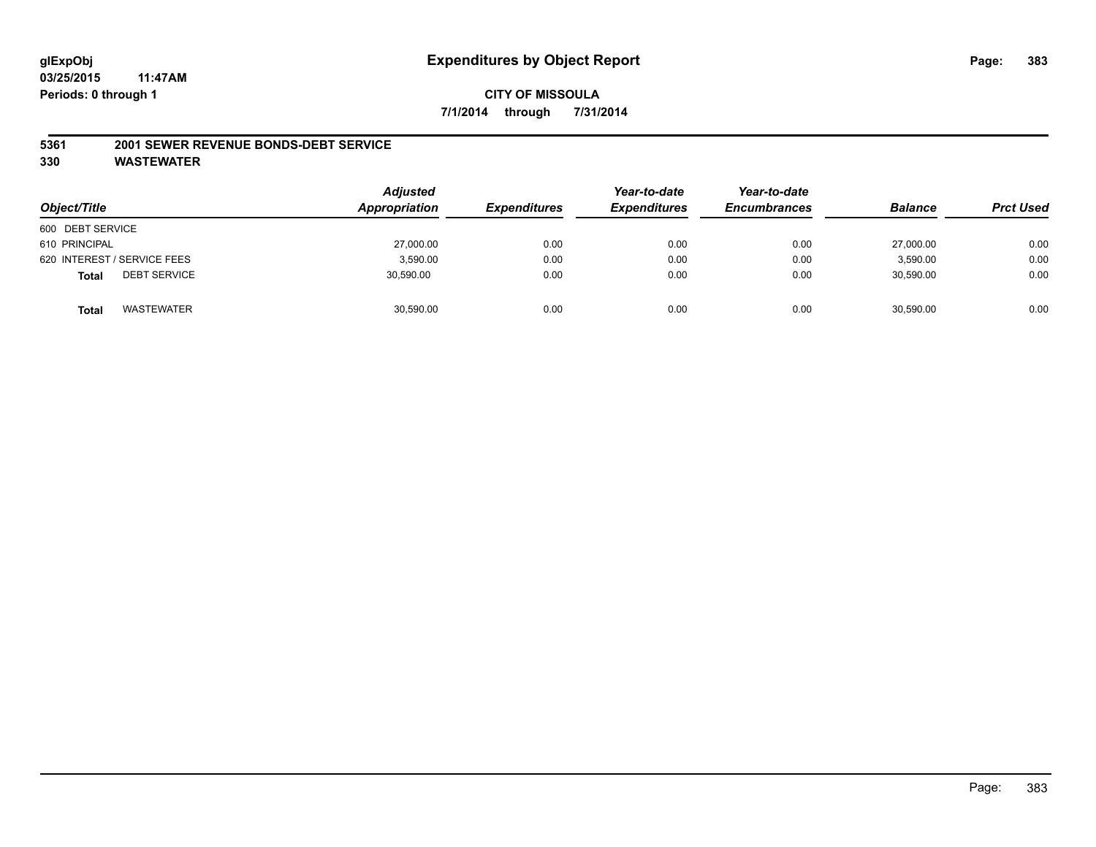# **CITY OF MISSOULA 7/1/2014 through 7/31/2014**

#### **5361 2001 SEWER REVENUE BONDS-DEBT SERVICE**

| Object/Title                        | <b>Adjusted</b><br>Appropriation | <b>Expenditures</b> | Year-to-date<br><b>Expenditures</b> | Year-to-date<br><b>Encumbrances</b> | <b>Balance</b> | <b>Prct Used</b> |
|-------------------------------------|----------------------------------|---------------------|-------------------------------------|-------------------------------------|----------------|------------------|
| 600 DEBT SERVICE                    |                                  |                     |                                     |                                     |                |                  |
| 610 PRINCIPAL                       | 27,000.00                        | 0.00                | 0.00                                | 0.00                                | 27,000.00      | 0.00             |
| 620 INTEREST / SERVICE FEES         | 3,590.00                         | 0.00                | 0.00                                | 0.00                                | 3,590.00       | 0.00             |
| <b>DEBT SERVICE</b><br><b>Total</b> | 30,590.00                        | 0.00                | 0.00                                | 0.00                                | 30,590.00      | 0.00             |
| WASTEWATER<br><b>Total</b>          | 30,590.00                        | 0.00                | 0.00                                | 0.00                                | 30,590.00      | 0.00             |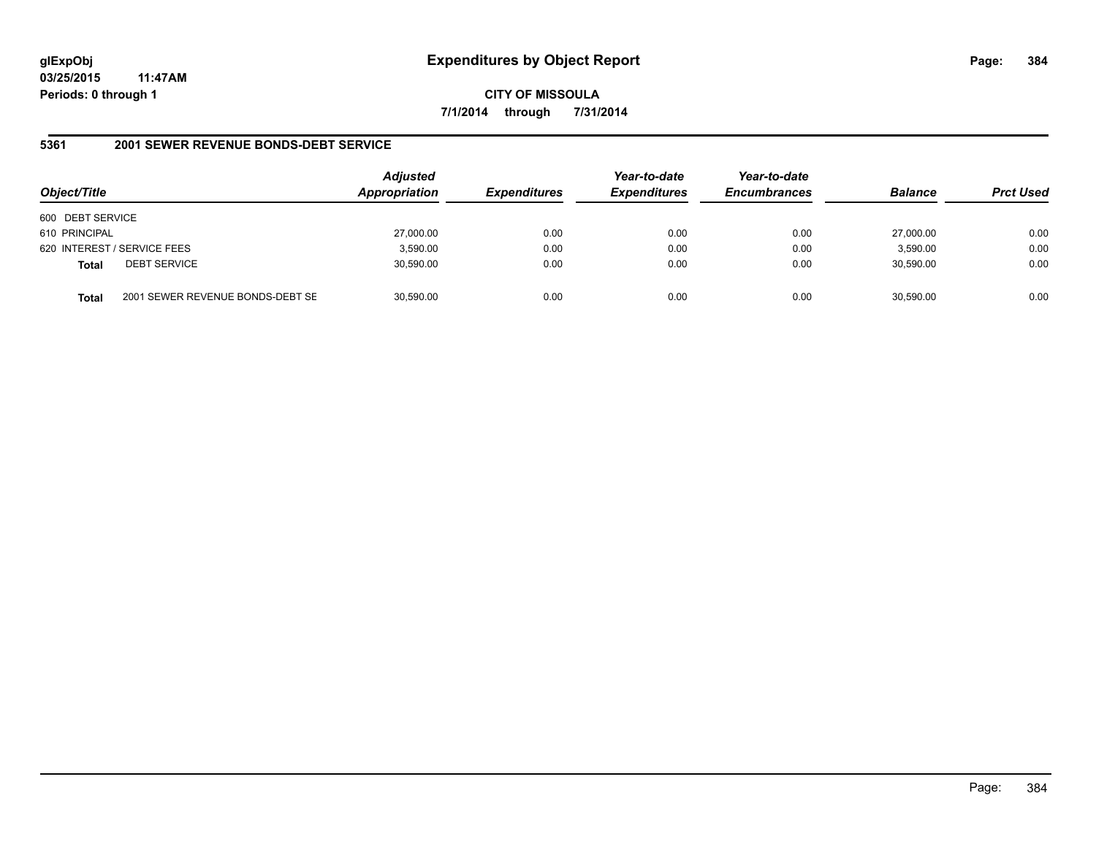**CITY OF MISSOULA 7/1/2014 through 7/31/2014**

#### **5361 2001 SEWER REVENUE BONDS-DEBT SERVICE**

| Object/Title     |                                  | <b>Adjusted</b><br>Appropriation | <b>Expenditures</b> | Year-to-date<br><b>Expenditures</b> | Year-to-date<br><b>Encumbrances</b> | <b>Balance</b> | <b>Prct Used</b> |
|------------------|----------------------------------|----------------------------------|---------------------|-------------------------------------|-------------------------------------|----------------|------------------|
| 600 DEBT SERVICE |                                  |                                  |                     |                                     |                                     |                |                  |
| 610 PRINCIPAL    |                                  | 27,000.00                        | 0.00                | 0.00                                | 0.00                                | 27.000.00      | 0.00             |
|                  | 620 INTEREST / SERVICE FEES      | 3,590.00                         | 0.00                | 0.00                                | 0.00                                | 3,590.00       | 0.00             |
| <b>Total</b>     | <b>DEBT SERVICE</b>              | 30,590.00                        | 0.00                | 0.00                                | 0.00                                | 30.590.00      | 0.00             |
| Total            | 2001 SEWER REVENUE BONDS-DEBT SE | 30.590.00                        | 0.00                | 0.00                                | 0.00                                | 30.590.00      | 0.00             |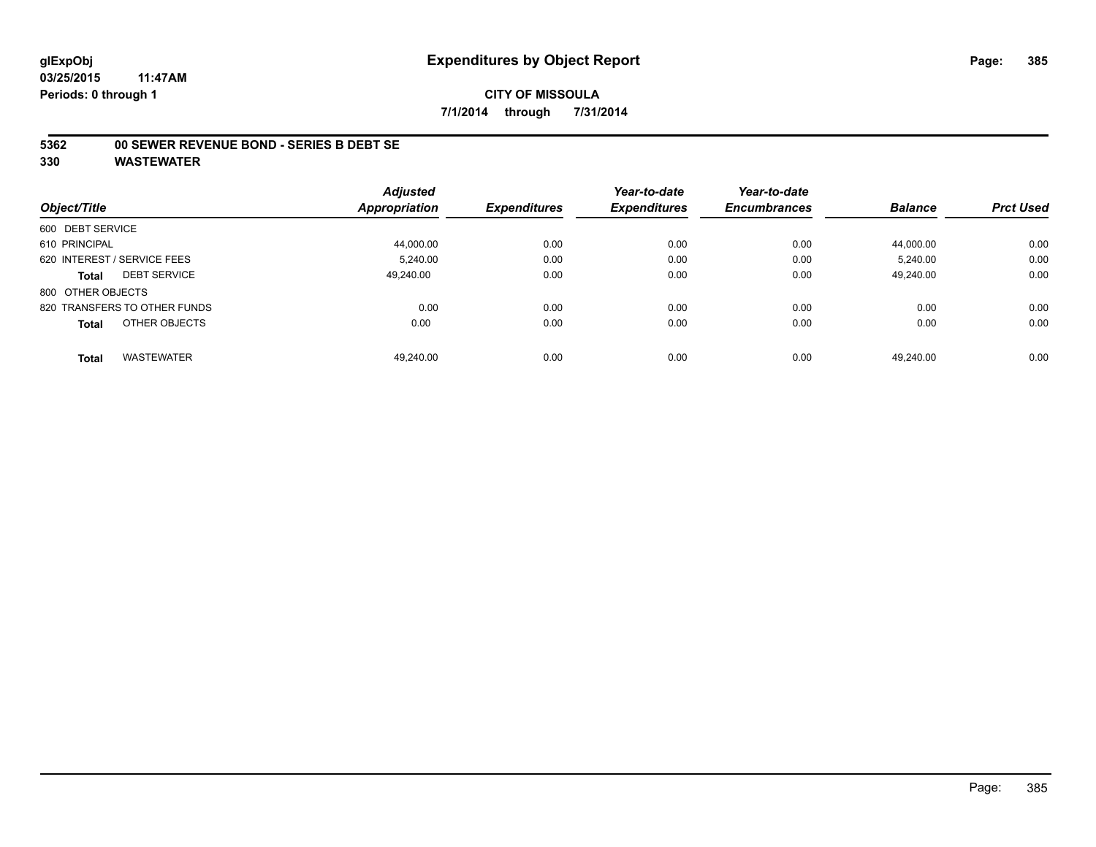#### **CITY OF MISSOULA 7/1/2014 through 7/31/2014**

#### **5362 00 SEWER REVENUE BOND - SERIES B DEBT SE**

|                                   | <b>Adjusted</b> |                     | Year-to-date        | Year-to-date        |                |                  |
|-----------------------------------|-----------------|---------------------|---------------------|---------------------|----------------|------------------|
| Object/Title                      | Appropriation   | <b>Expenditures</b> | <b>Expenditures</b> | <b>Encumbrances</b> | <b>Balance</b> | <b>Prct Used</b> |
| 600 DEBT SERVICE                  |                 |                     |                     |                     |                |                  |
| 610 PRINCIPAL                     | 44,000.00       | 0.00                | 0.00                | 0.00                | 44,000.00      | 0.00             |
| 620 INTEREST / SERVICE FEES       | 5.240.00        | 0.00                | 0.00                | 0.00                | 5.240.00       | 0.00             |
| <b>DEBT SERVICE</b><br>Total      | 49.240.00       | 0.00                | 0.00                | 0.00                | 49.240.00      | 0.00             |
| 800 OTHER OBJECTS                 |                 |                     |                     |                     |                |                  |
| 820 TRANSFERS TO OTHER FUNDS      | 0.00            | 0.00                | 0.00                | 0.00                | 0.00           | 0.00             |
| OTHER OBJECTS<br><b>Total</b>     | 0.00            | 0.00                | 0.00                | 0.00                | 0.00           | 0.00             |
| <b>WASTEWATER</b><br><b>Total</b> | 49.240.00       | 0.00                | 0.00                | 0.00                | 49.240.00      | 0.00             |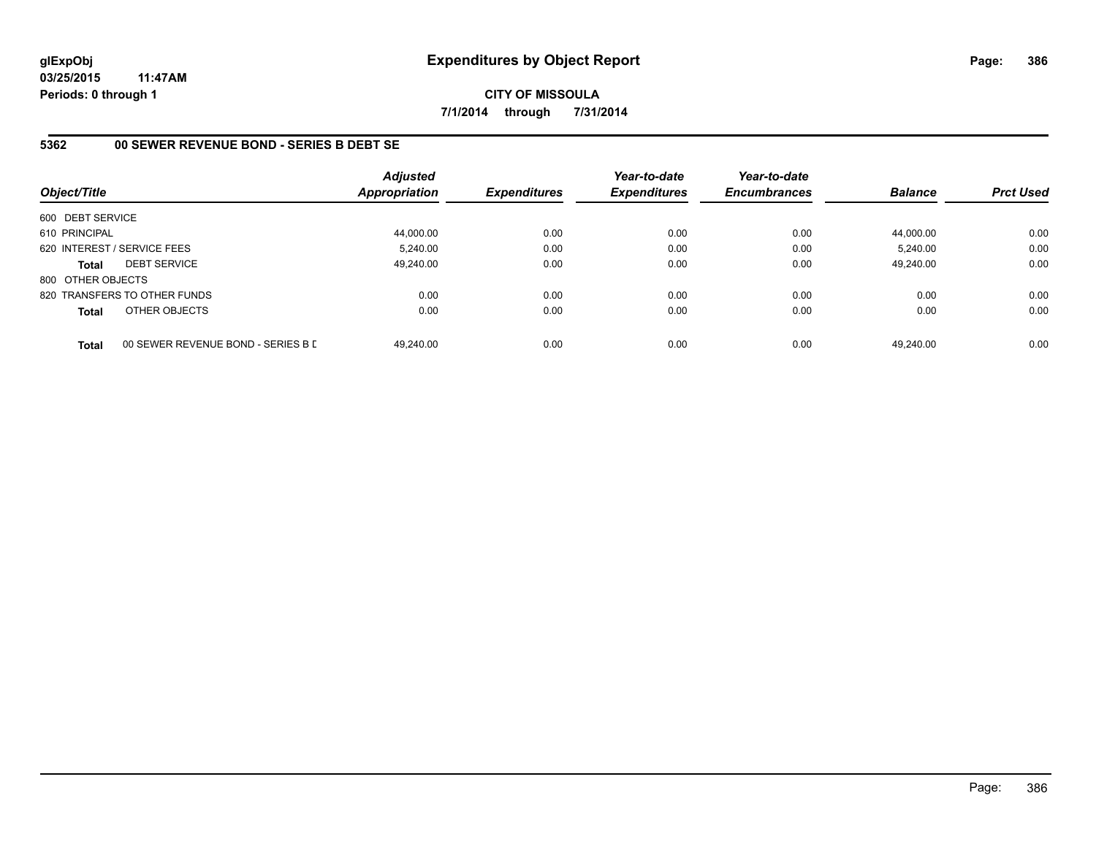**CITY OF MISSOULA 7/1/2014 through 7/31/2014**

## **5362 00 SEWER REVENUE BOND - SERIES B DEBT SE**

| Object/Title      |                                    | <b>Adjusted</b><br>Appropriation | <b>Expenditures</b> | Year-to-date<br><b>Expenditures</b> | Year-to-date<br><b>Encumbrances</b> | <b>Balance</b> | <b>Prct Used</b> |
|-------------------|------------------------------------|----------------------------------|---------------------|-------------------------------------|-------------------------------------|----------------|------------------|
| 600 DEBT SERVICE  |                                    |                                  |                     |                                     |                                     |                |                  |
| 610 PRINCIPAL     |                                    | 44,000.00                        | 0.00                | 0.00                                | 0.00                                | 44.000.00      | 0.00             |
|                   | 620 INTEREST / SERVICE FEES        | 5.240.00                         | 0.00                | 0.00                                | 0.00                                | 5.240.00       | 0.00             |
| <b>Total</b>      | <b>DEBT SERVICE</b>                | 49.240.00                        | 0.00                | 0.00                                | 0.00                                | 49,240.00      | 0.00             |
| 800 OTHER OBJECTS |                                    |                                  |                     |                                     |                                     |                |                  |
|                   | 820 TRANSFERS TO OTHER FUNDS       | 0.00                             | 0.00                | 0.00                                | 0.00                                | 0.00           | 0.00             |
| Total             | OTHER OBJECTS                      | 0.00                             | 0.00                | 0.00                                | 0.00                                | 0.00           | 0.00             |
| <b>Total</b>      | 00 SEWER REVENUE BOND - SERIES B D | 49.240.00                        | 0.00                | 0.00                                | 0.00                                | 49.240.00      | 0.00             |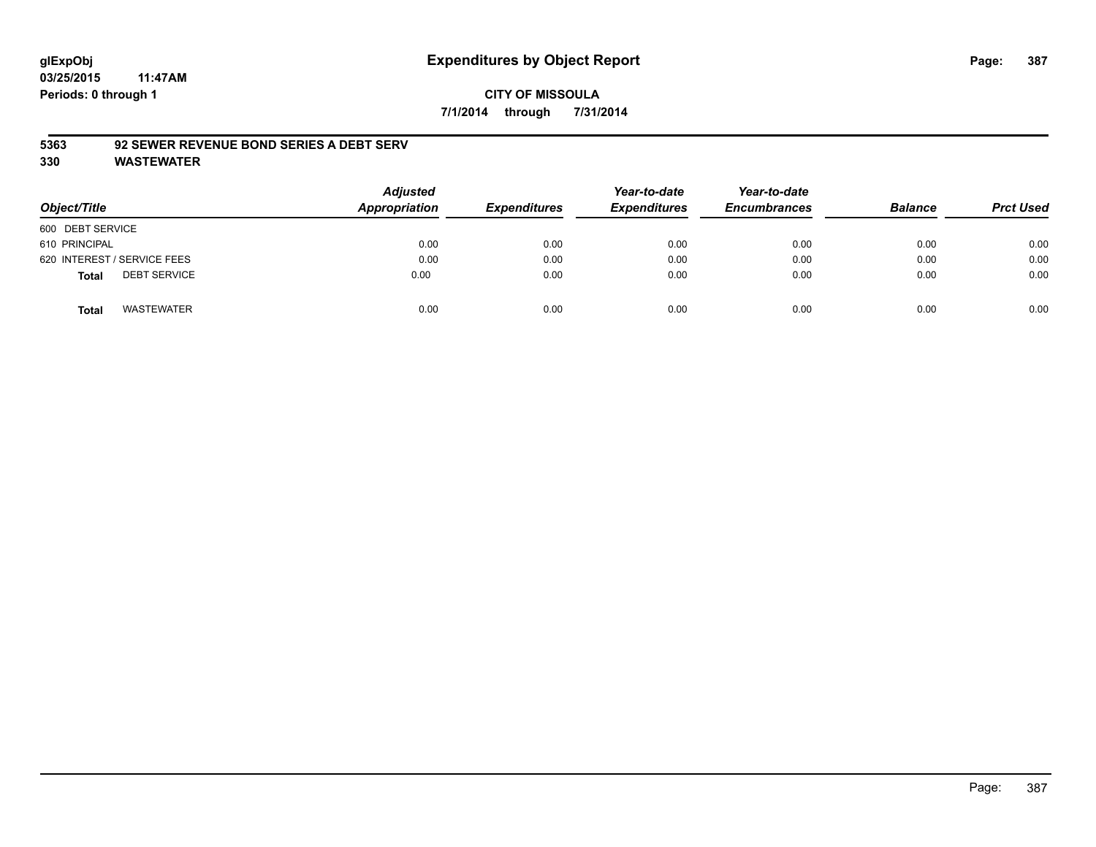# **CITY OF MISSOULA 7/1/2014 through 7/31/2014**

#### **5363 92 SEWER REVENUE BOND SERIES A DEBT SERV**

| Object/Title                        | <b>Adjusted</b><br>Appropriation | <b>Expenditures</b> | Year-to-date<br><b>Expenditures</b> | Year-to-date<br><b>Encumbrances</b> | <b>Balance</b> | <b>Prct Used</b> |
|-------------------------------------|----------------------------------|---------------------|-------------------------------------|-------------------------------------|----------------|------------------|
| 600 DEBT SERVICE                    |                                  |                     |                                     |                                     |                |                  |
| 610 PRINCIPAL                       | 0.00                             | 0.00                | 0.00                                | 0.00                                | 0.00           | 0.00             |
| 620 INTEREST / SERVICE FEES         | 0.00                             | 0.00                | 0.00                                | 0.00                                | 0.00           | 0.00             |
| <b>DEBT SERVICE</b><br><b>Total</b> | 0.00                             | 0.00                | 0.00                                | 0.00                                | 0.00           | 0.00             |
| <b>WASTEWATER</b><br><b>Total</b>   | 0.00                             | 0.00                | 0.00                                | 0.00                                | 0.00           | 0.00             |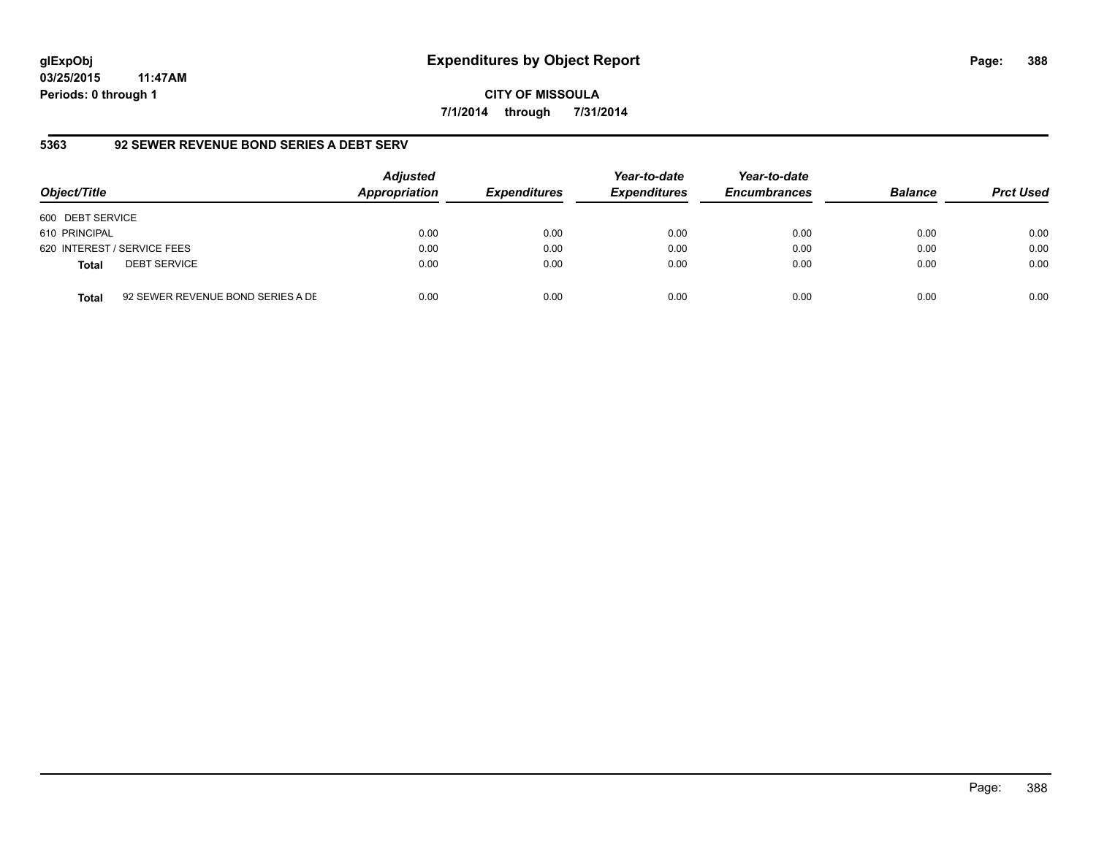# **glExpObj Expenditures by Object Report Page: 388**

**03/25/2015 11:47AM Periods: 0 through 1**

#### **5363 92 SEWER REVENUE BOND SERIES A DEBT SERV**

| Object/Title     |                                   | <b>Adjusted</b><br>Appropriation | <b>Expenditures</b> | Year-to-date<br><b>Expenditures</b> | Year-to-date<br><b>Encumbrances</b> | <b>Balance</b> | <b>Prct Used</b> |
|------------------|-----------------------------------|----------------------------------|---------------------|-------------------------------------|-------------------------------------|----------------|------------------|
| 600 DEBT SERVICE |                                   |                                  |                     |                                     |                                     |                |                  |
| 610 PRINCIPAL    |                                   | 0.00                             | 0.00                | 0.00                                | 0.00                                | 0.00           | 0.00             |
|                  | 620 INTEREST / SERVICE FEES       | 0.00                             | 0.00                | 0.00                                | 0.00                                | 0.00           | 0.00             |
| <b>Total</b>     | <b>DEBT SERVICE</b>               | 0.00                             | 0.00                | 0.00                                | 0.00                                | 0.00           | 0.00             |
| Total            | 92 SEWER REVENUE BOND SERIES A DE | 0.00                             | 0.00                | 0.00                                | 0.00                                | 0.00           | 0.00             |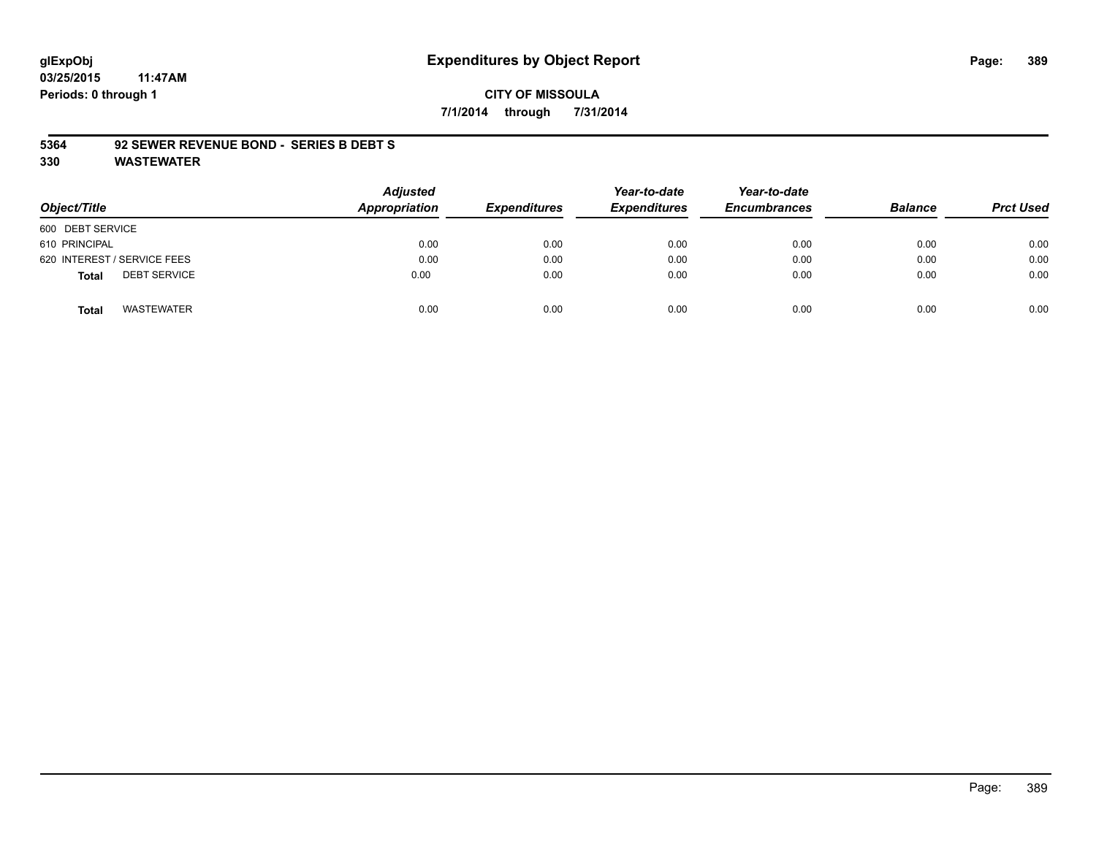# **glExpObj Expenditures by Object Report Page: 389**

**03/25/2015 11:47AM Periods: 0 through 1**

# **CITY OF MISSOULA 7/1/2014 through 7/31/2014**

#### **5364 92 SEWER REVENUE BOND - SERIES B DEBT S**

| Object/Title                        | Adjusted<br>Appropriation | <b>Expenditures</b> | Year-to-date<br><b>Expenditures</b> | Year-to-date<br><b>Encumbrances</b> | <b>Balance</b> | <b>Prct Used</b> |
|-------------------------------------|---------------------------|---------------------|-------------------------------------|-------------------------------------|----------------|------------------|
| 600 DEBT SERVICE                    |                           |                     |                                     |                                     |                |                  |
| 610 PRINCIPAL                       | 0.00                      | 0.00                | 0.00                                | 0.00                                | 0.00           | 0.00             |
| 620 INTEREST / SERVICE FEES         | 0.00                      | 0.00                | 0.00                                | 0.00                                | 0.00           | 0.00             |
| <b>DEBT SERVICE</b><br><b>Total</b> | 0.00                      | 0.00                | 0.00                                | 0.00                                | 0.00           | 0.00             |
| <b>WASTEWATER</b><br><b>Total</b>   | 0.00                      | 0.00                | 0.00                                | 0.00                                | 0.00           | 0.00             |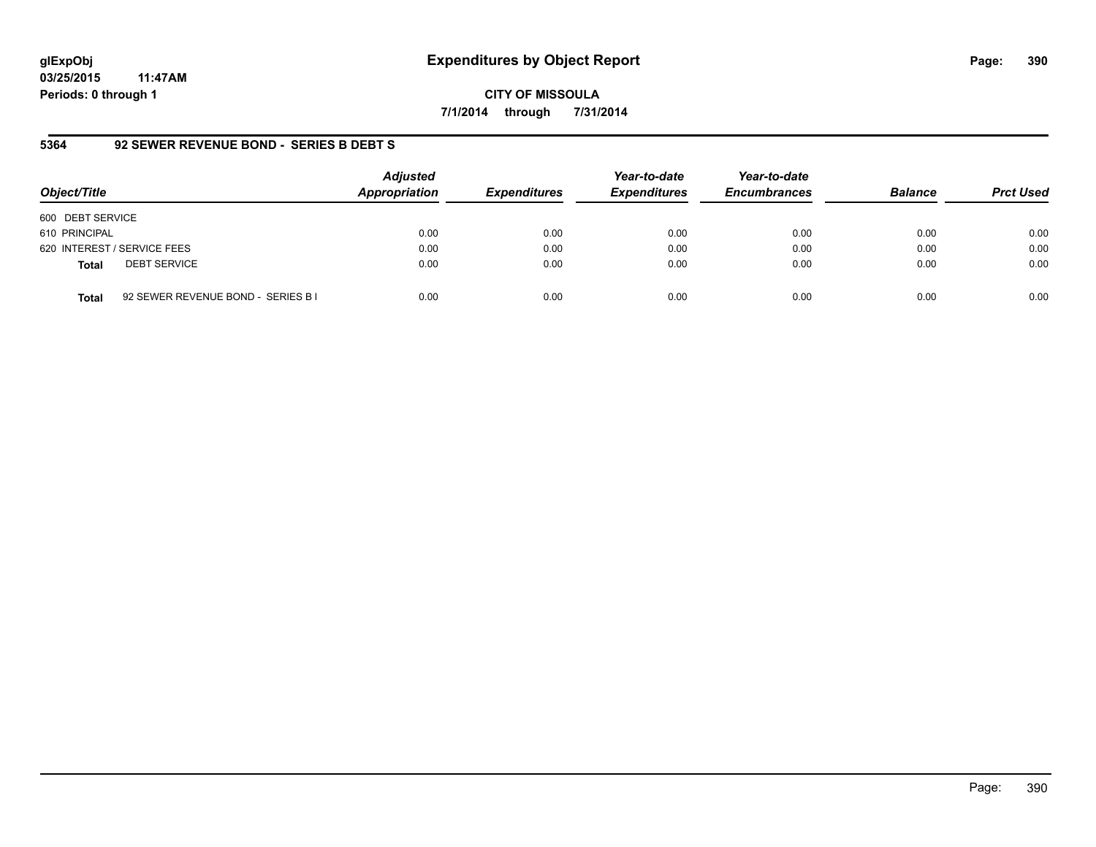# **glExpObj Expenditures by Object Report Page: 390**

**03/25/2015 11:47AM Periods: 0 through 1**

**CITY OF MISSOULA 7/1/2014 through 7/31/2014**

#### **5364 92 SEWER REVENUE BOND - SERIES B DEBT S**

| Object/Title                                       | <b>Adjusted</b><br>Appropriation | <b>Expenditures</b> | Year-to-date<br><b>Expenditures</b> | Year-to-date<br><b>Encumbrances</b> | <b>Balance</b> | <b>Prct Used</b> |
|----------------------------------------------------|----------------------------------|---------------------|-------------------------------------|-------------------------------------|----------------|------------------|
| 600 DEBT SERVICE                                   |                                  |                     |                                     |                                     |                |                  |
| 610 PRINCIPAL                                      | 0.00                             | 0.00                | 0.00                                | 0.00                                | 0.00           | 0.00             |
| 620 INTEREST / SERVICE FEES                        | 0.00                             | 0.00                | 0.00                                | 0.00                                | 0.00           | 0.00             |
| <b>DEBT SERVICE</b><br><b>Total</b>                | 0.00                             | 0.00                | 0.00                                | 0.00                                | 0.00           | 0.00             |
| 92 SEWER REVENUE BOND - SERIES B I<br><b>Total</b> | 0.00                             | 0.00                | 0.00                                | 0.00                                | 0.00           | 0.00             |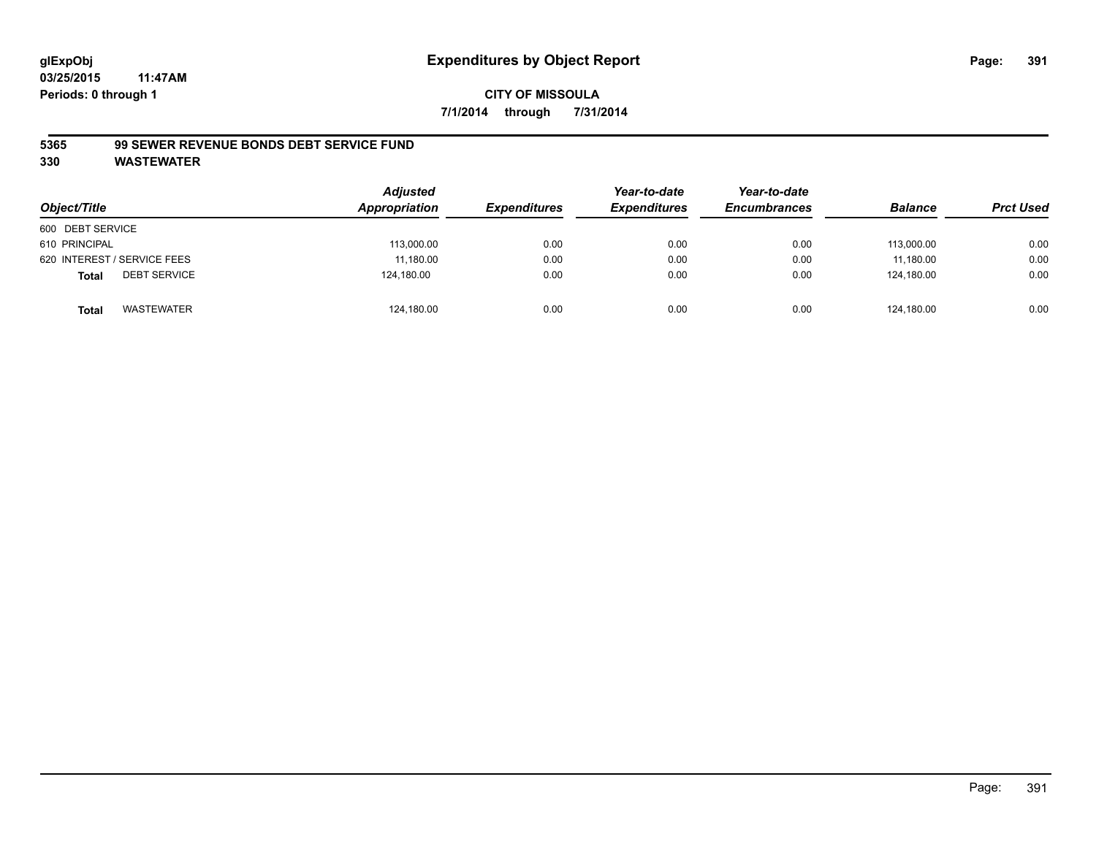# **CITY OF MISSOULA 7/1/2014 through 7/31/2014**

#### **5365 99 SEWER REVENUE BONDS DEBT SERVICE FUND**

| Object/Title                        | <b>Adjusted</b><br>Appropriation | <b>Expenditures</b> | Year-to-date<br><b>Expenditures</b> | Year-to-date<br><b>Encumbrances</b> | <b>Balance</b> | <b>Prct Used</b> |
|-------------------------------------|----------------------------------|---------------------|-------------------------------------|-------------------------------------|----------------|------------------|
| 600 DEBT SERVICE                    |                                  |                     |                                     |                                     |                |                  |
| 610 PRINCIPAL                       | 113,000.00                       | 0.00                | 0.00                                | 0.00                                | 113,000.00     | 0.00             |
| 620 INTEREST / SERVICE FEES         | 11,180.00                        | 0.00                | 0.00                                | 0.00                                | 11.180.00      | 0.00             |
| <b>DEBT SERVICE</b><br><b>Total</b> | 124.180.00                       | 0.00                | 0.00                                | 0.00                                | 124.180.00     | 0.00             |
| WASTEWATER<br><b>Total</b>          | 124,180.00                       | 0.00                | 0.00                                | 0.00                                | 124,180.00     | 0.00             |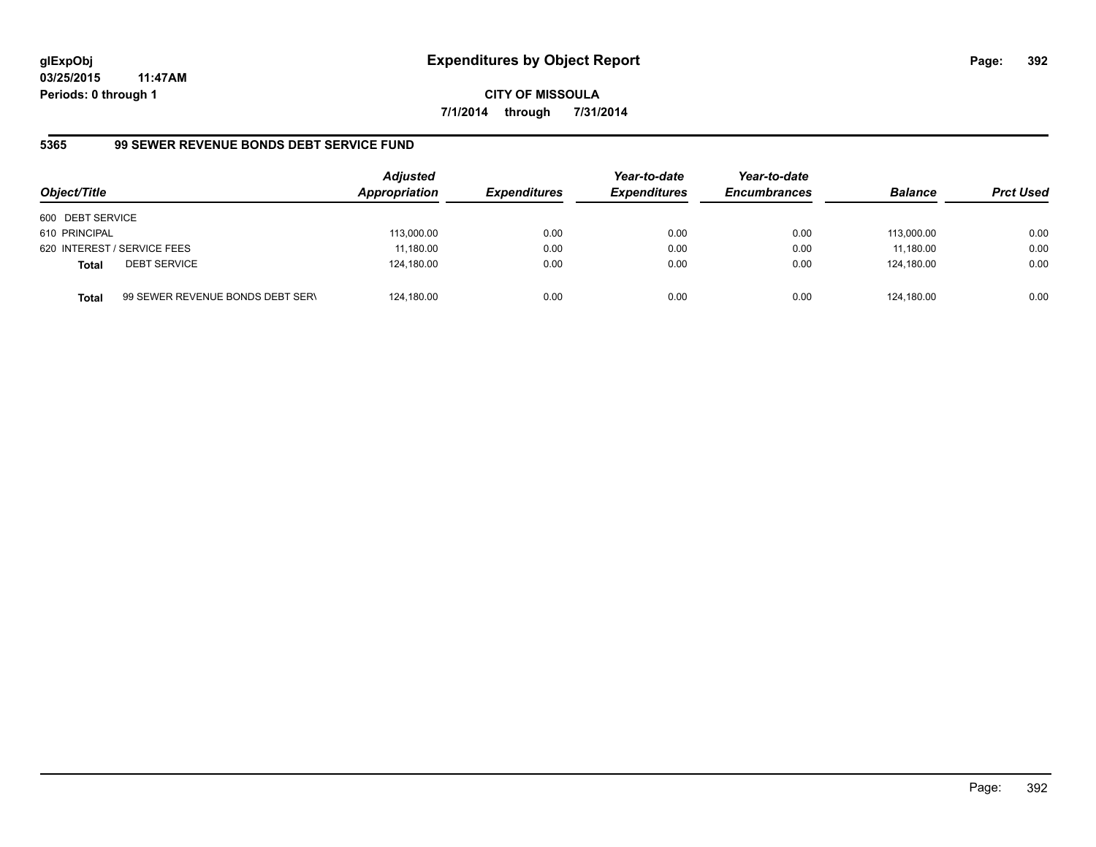**CITY OF MISSOULA 7/1/2014 through 7/31/2014**

# **5365 99 SEWER REVENUE BONDS DEBT SERVICE FUND**

| Object/Title     |                                  | <b>Adjusted</b><br>Appropriation | <b>Expenditures</b> | Year-to-date<br><b>Expenditures</b> | Year-to-date<br><b>Encumbrances</b> | <b>Balance</b> | <b>Prct Used</b> |
|------------------|----------------------------------|----------------------------------|---------------------|-------------------------------------|-------------------------------------|----------------|------------------|
| 600 DEBT SERVICE |                                  |                                  |                     |                                     |                                     |                |                  |
| 610 PRINCIPAL    |                                  | 113,000.00                       | 0.00                | 0.00                                | 0.00                                | 113.000.00     | 0.00             |
|                  | 620 INTEREST / SERVICE FEES      | 11,180.00                        | 0.00                | 0.00                                | 0.00                                | 11,180.00      | 0.00             |
| <b>Total</b>     | <b>DEBT SERVICE</b>              | 124,180.00                       | 0.00                | 0.00                                | 0.00                                | 124.180.00     | 0.00             |
| <b>Total</b>     | 99 SEWER REVENUE BONDS DEBT SERV | 124,180.00                       | 0.00                | 0.00                                | 0.00                                | 124.180.00     | 0.00             |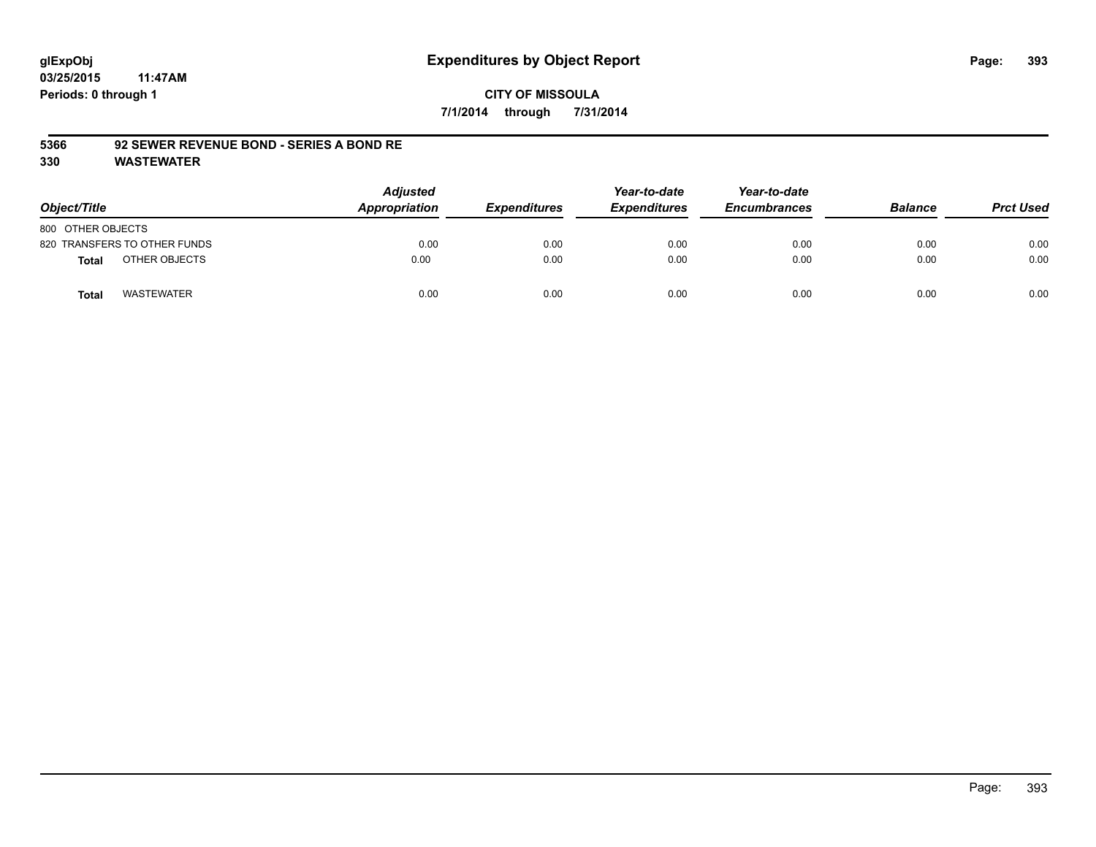### **CITY OF MISSOULA 7/1/2014 through 7/31/2014**

#### **5366 92 SEWER REVENUE BOND - SERIES A BOND RE**

| Object/Title                      | <b>Adjusted</b><br>Appropriation | <b>Expenditures</b> | Year-to-date<br><b>Expenditures</b> | Year-to-date<br><b>Encumbrances</b> | <b>Balance</b> | <b>Prct Used</b> |
|-----------------------------------|----------------------------------|---------------------|-------------------------------------|-------------------------------------|----------------|------------------|
| 800 OTHER OBJECTS                 |                                  |                     |                                     |                                     |                |                  |
| 820 TRANSFERS TO OTHER FUNDS      | 0.00                             | 0.00                | 0.00                                | 0.00                                | 0.00           | 0.00             |
| OTHER OBJECTS<br>Total            | 0.00                             | 0.00                | 0.00                                | 0.00                                | 0.00           | 0.00             |
| <b>WASTEWATER</b><br><b>Total</b> | 0.00                             | 0.00                | 0.00                                | 0.00                                | 0.00           | 0.00             |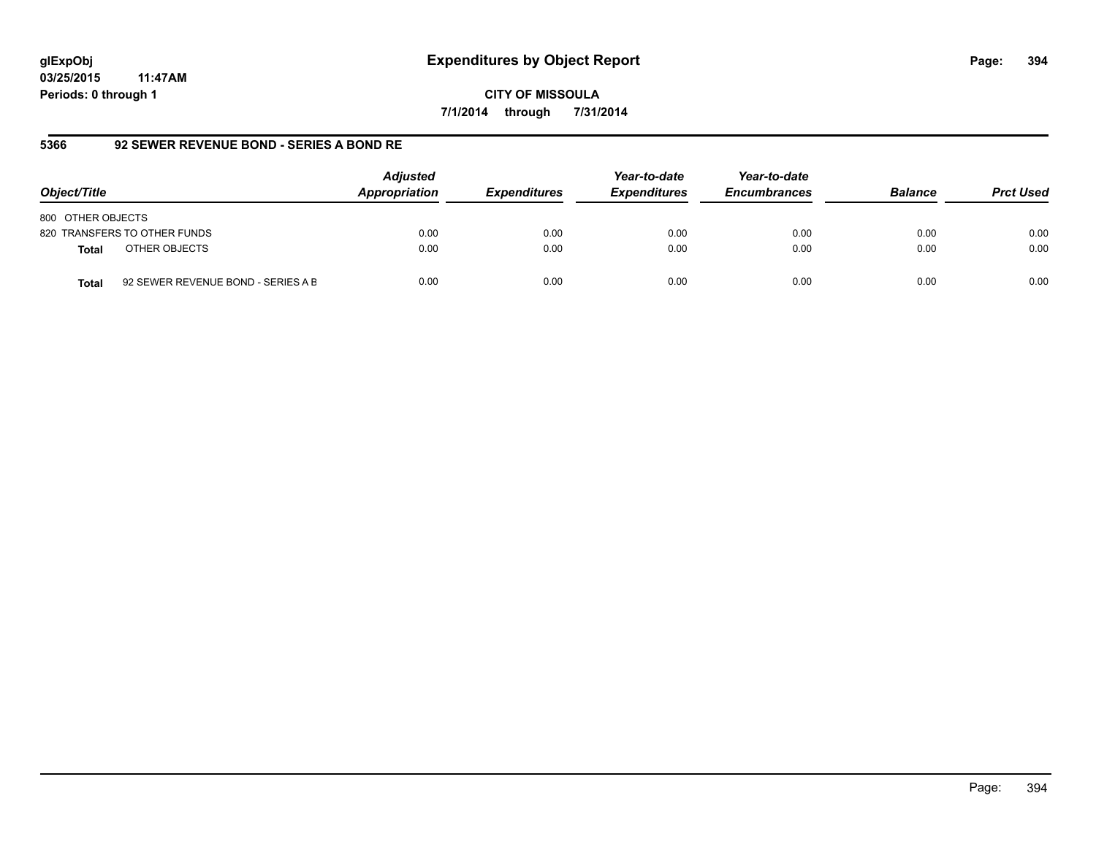**CITY OF MISSOULA 7/1/2014 through 7/31/2014**

# **5366 92 SEWER REVENUE BOND - SERIES A BOND RE**

| Object/Title                                       | <b>Adjusted</b><br>Appropriation | <b>Expenditures</b> | Year-to-date<br><b>Expenditures</b> | Year-to-date<br><b>Encumbrances</b> | <b>Balance</b> | <b>Prct Used</b> |
|----------------------------------------------------|----------------------------------|---------------------|-------------------------------------|-------------------------------------|----------------|------------------|
| 800 OTHER OBJECTS                                  |                                  |                     |                                     |                                     |                |                  |
| 820 TRANSFERS TO OTHER FUNDS                       | 0.00                             | 0.00                | 0.00                                | 0.00                                | 0.00           | 0.00             |
| OTHER OBJECTS<br><b>Total</b>                      | 0.00                             | 0.00                | 0.00                                | 0.00                                | 0.00           | 0.00             |
| 92 SEWER REVENUE BOND - SERIES A B<br><b>Total</b> | 0.00                             | 0.00                | 0.00                                | 0.00                                | 0.00           | 0.00             |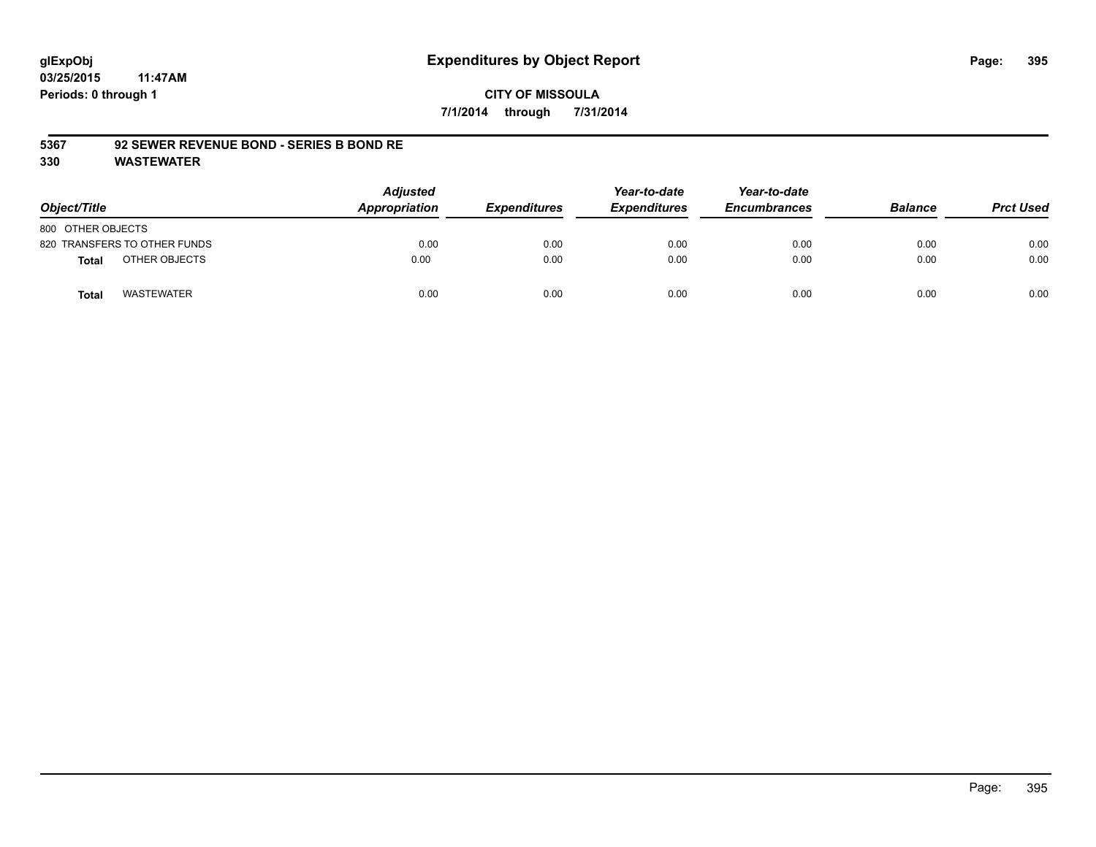#### **CITY OF MISSOULA 7/1/2014 through 7/31/2014**

#### **5367 92 SEWER REVENUE BOND - SERIES B BOND RE**

| Object/Title                  | <b>Adjusted</b><br>Appropriation | <b>Expenditures</b> | Year-to-date<br><b>Expenditures</b> | Year-to-date<br><b>Encumbrances</b> | <b>Balance</b> | <b>Prct Used</b> |
|-------------------------------|----------------------------------|---------------------|-------------------------------------|-------------------------------------|----------------|------------------|
| 800 OTHER OBJECTS             |                                  |                     |                                     |                                     |                |                  |
| 820 TRANSFERS TO OTHER FUNDS  | 0.00                             | 0.00                | 0.00                                | 0.00                                | 0.00           | 0.00             |
| OTHER OBJECTS<br><b>Total</b> | 0.00                             | 0.00                | 0.00                                | 0.00                                | 0.00           | 0.00             |
| <b>WASTEWATER</b><br>Total    | 0.00                             | 0.00                | 0.00                                | 0.00                                | 0.00           | 0.00             |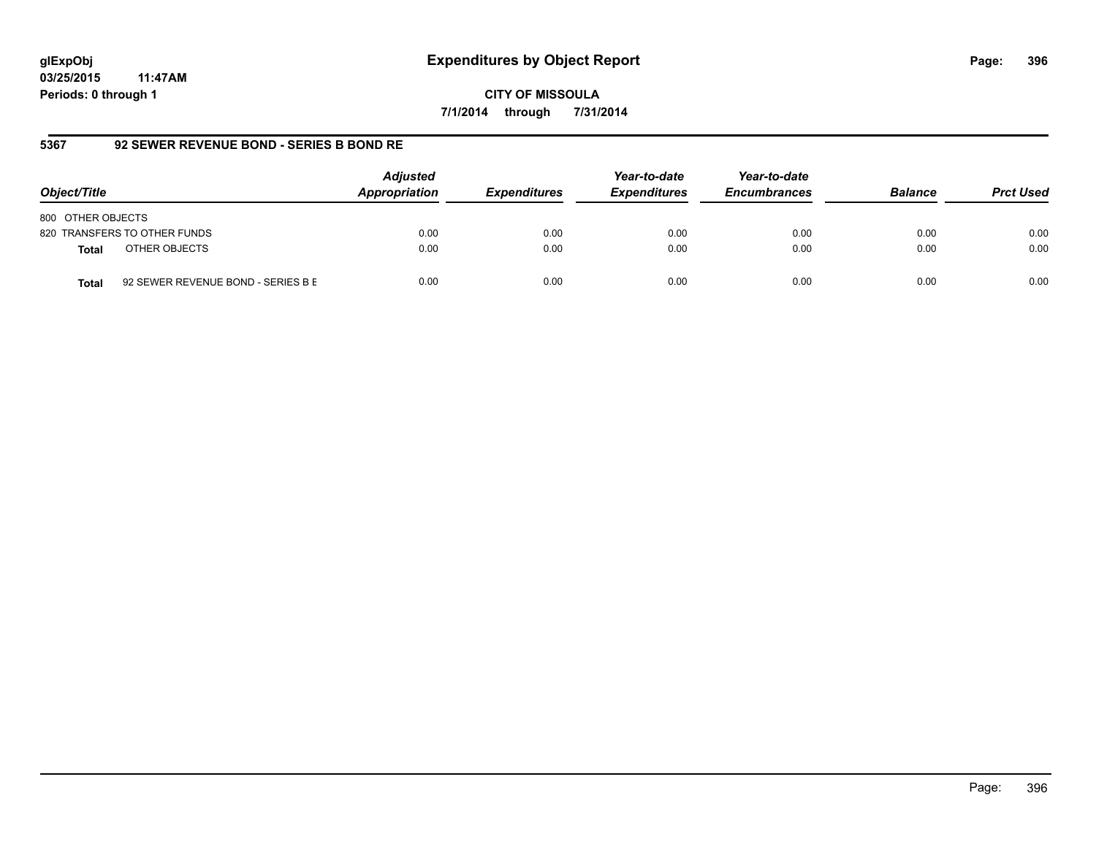**CITY OF MISSOULA 7/1/2014 through 7/31/2014**

# **5367 92 SEWER REVENUE BOND - SERIES B BOND RE**

| Object/Title                                       | <b>Adjusted</b><br>Appropriation | <b>Expenditures</b> | Year-to-date<br><b>Expenditures</b> | Year-to-date<br><b>Encumbrances</b> | <b>Balance</b> | <b>Prct Used</b> |
|----------------------------------------------------|----------------------------------|---------------------|-------------------------------------|-------------------------------------|----------------|------------------|
| 800 OTHER OBJECTS                                  |                                  |                     |                                     |                                     |                |                  |
| 820 TRANSFERS TO OTHER FUNDS                       | 0.00                             | 0.00                | 0.00                                | 0.00                                | 0.00           | 0.00             |
| OTHER OBJECTS<br><b>Total</b>                      | 0.00                             | 0.00                | 0.00                                | 0.00                                | 0.00           | 0.00             |
| 92 SEWER REVENUE BOND - SERIES B E<br><b>Total</b> | 0.00                             | 0.00                | 0.00                                | 0.00                                | 0.00           | 0.00             |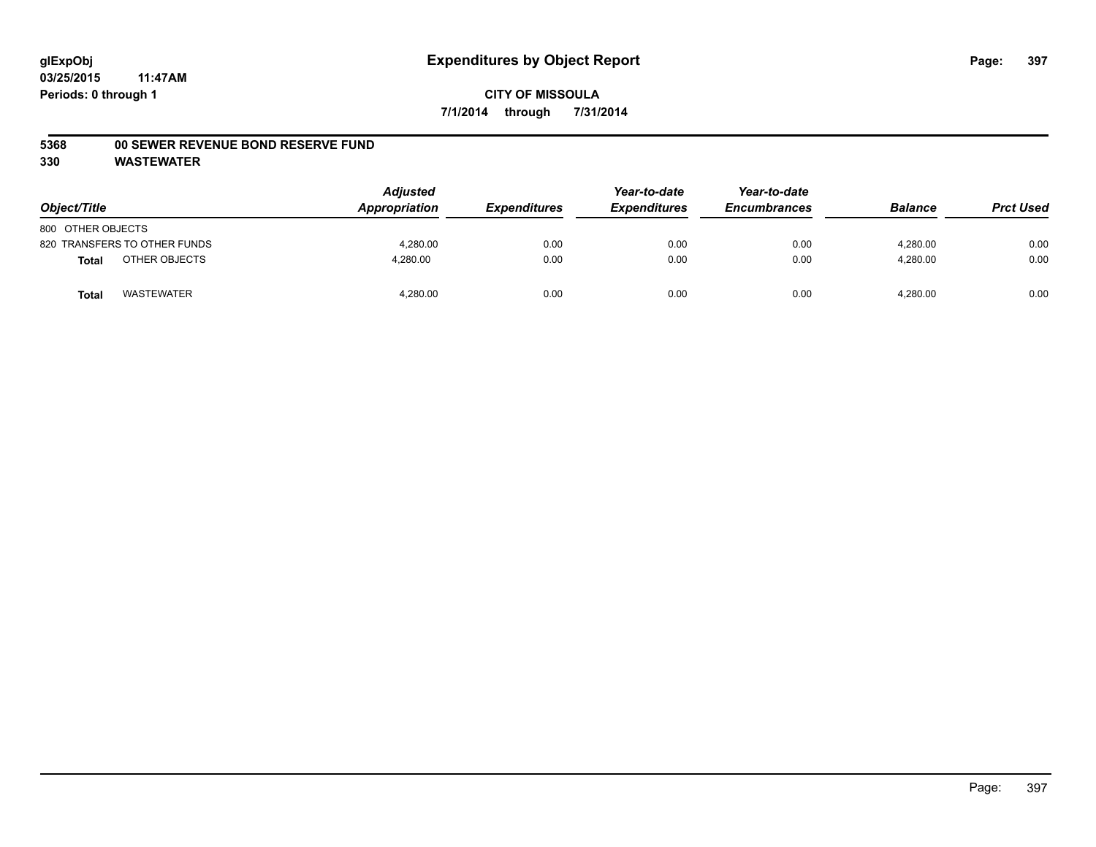#### **5368 00 SEWER REVENUE BOND RESERVE FUND**

| Object/Title                  | <b>Adjusted</b><br>Appropriation | <b>Expenditures</b> | Year-to-date<br><b>Expenditures</b> | Year-to-date<br><b>Encumbrances</b> | <b>Balance</b> | <b>Prct Used</b> |
|-------------------------------|----------------------------------|---------------------|-------------------------------------|-------------------------------------|----------------|------------------|
| 800 OTHER OBJECTS             |                                  |                     |                                     |                                     |                |                  |
| 820 TRANSFERS TO OTHER FUNDS  | 4.280.00                         | 0.00                | 0.00                                | 0.00                                | 4.280.00       | 0.00             |
| OTHER OBJECTS<br><b>Total</b> | 4,280.00                         | 0.00                | 0.00                                | 0.00                                | 4,280.00       | 0.00             |
| <b>WASTEWATER</b><br>Tota     | 4,280.00                         | 0.00                | 0.00                                | 0.00                                | 4,280.00       | 0.00             |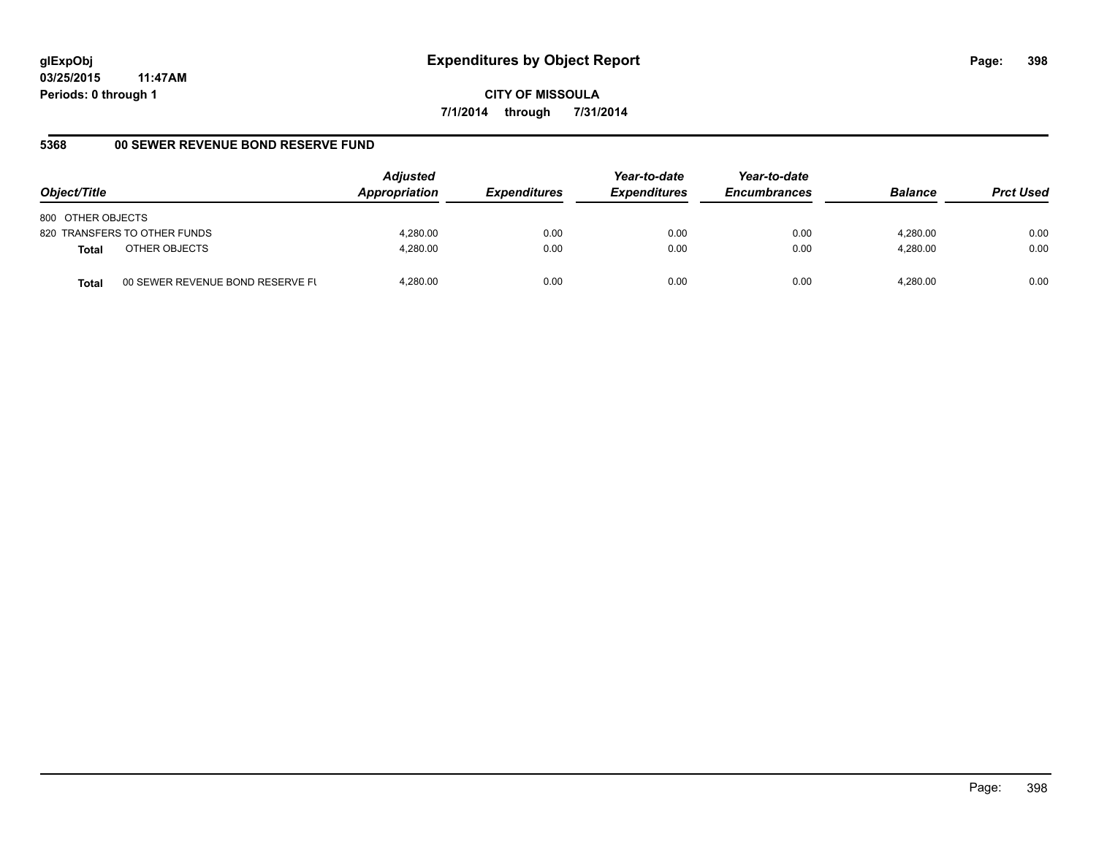**CITY OF MISSOULA 7/1/2014 through 7/31/2014**

# **5368 00 SEWER REVENUE BOND RESERVE FUND**

| Object/Title                                     | <b>Adjusted</b><br>Appropriation | <b>Expenditures</b> | Year-to-date<br><b>Expenditures</b> | Year-to-date<br><b>Encumbrances</b> | <b>Balance</b> | <b>Prct Used</b> |
|--------------------------------------------------|----------------------------------|---------------------|-------------------------------------|-------------------------------------|----------------|------------------|
| 800 OTHER OBJECTS                                |                                  |                     |                                     |                                     |                |                  |
| 820 TRANSFERS TO OTHER FUNDS                     | 4.280.00                         | 0.00                | 0.00                                | 0.00                                | 4.280.00       | 0.00             |
| OTHER OBJECTS<br>Total                           | 4.280.00                         | 0.00                | 0.00                                | 0.00                                | 4.280.00       | 0.00             |
| 00 SEWER REVENUE BOND RESERVE FL<br><b>Total</b> | 4.280.00                         | 0.00                | 0.00                                | 0.00                                | 4.280.00       | 0.00             |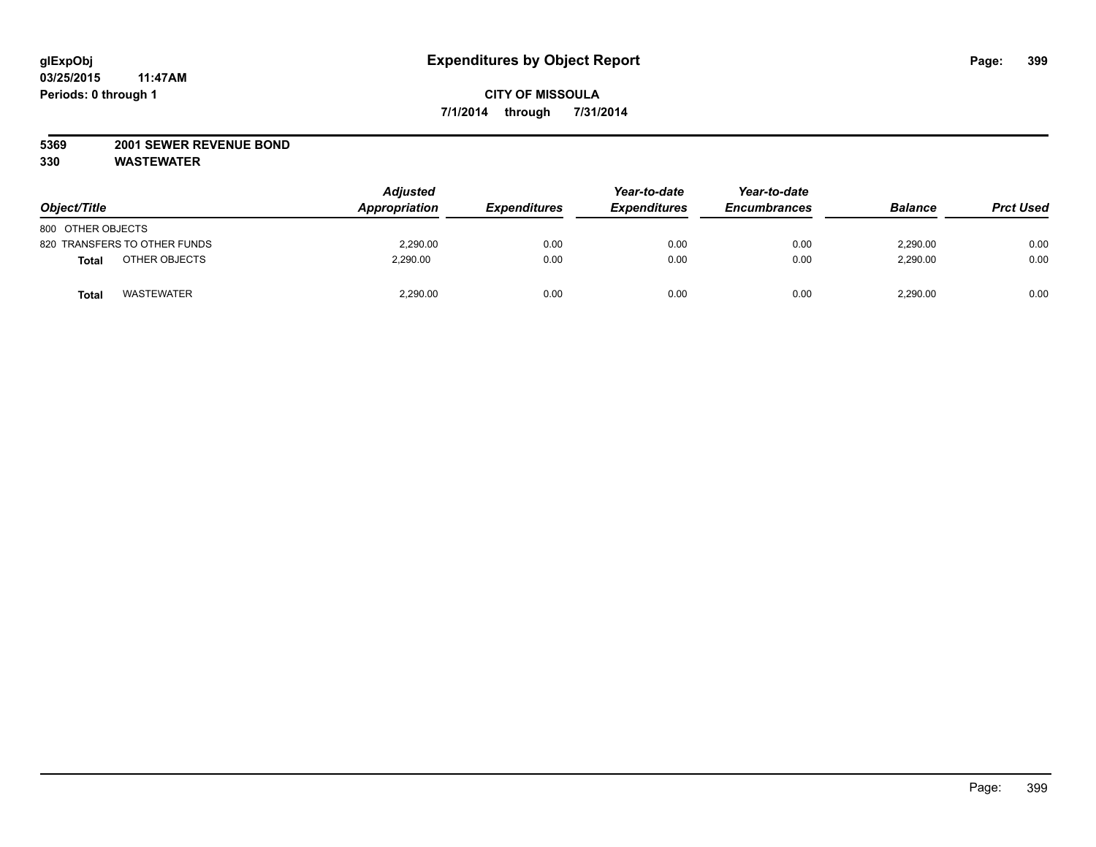## **5369 2001 SEWER REVENUE BOND**

| Object/Title                  | <b>Adjusted</b><br>Appropriation | <b>Expenditures</b> | Year-to-date<br><b>Expenditures</b> | Year-to-date<br><b>Encumbrances</b> | <b>Balance</b> | <b>Prct Used</b> |
|-------------------------------|----------------------------------|---------------------|-------------------------------------|-------------------------------------|----------------|------------------|
| 800 OTHER OBJECTS             |                                  |                     |                                     |                                     |                |                  |
| 820 TRANSFERS TO OTHER FUNDS  | 2,290.00                         | 0.00                | 0.00                                | 0.00                                | 2,290.00       | 0.00             |
| OTHER OBJECTS<br><b>Total</b> | 2,290.00                         | 0.00                | 0.00                                | 0.00                                | 2,290.00       | 0.00             |
| <b>WASTEWATER</b><br>Tota     | 2,290.00                         | 0.00                | 0.00                                | 0.00                                | 2,290.00       | 0.00             |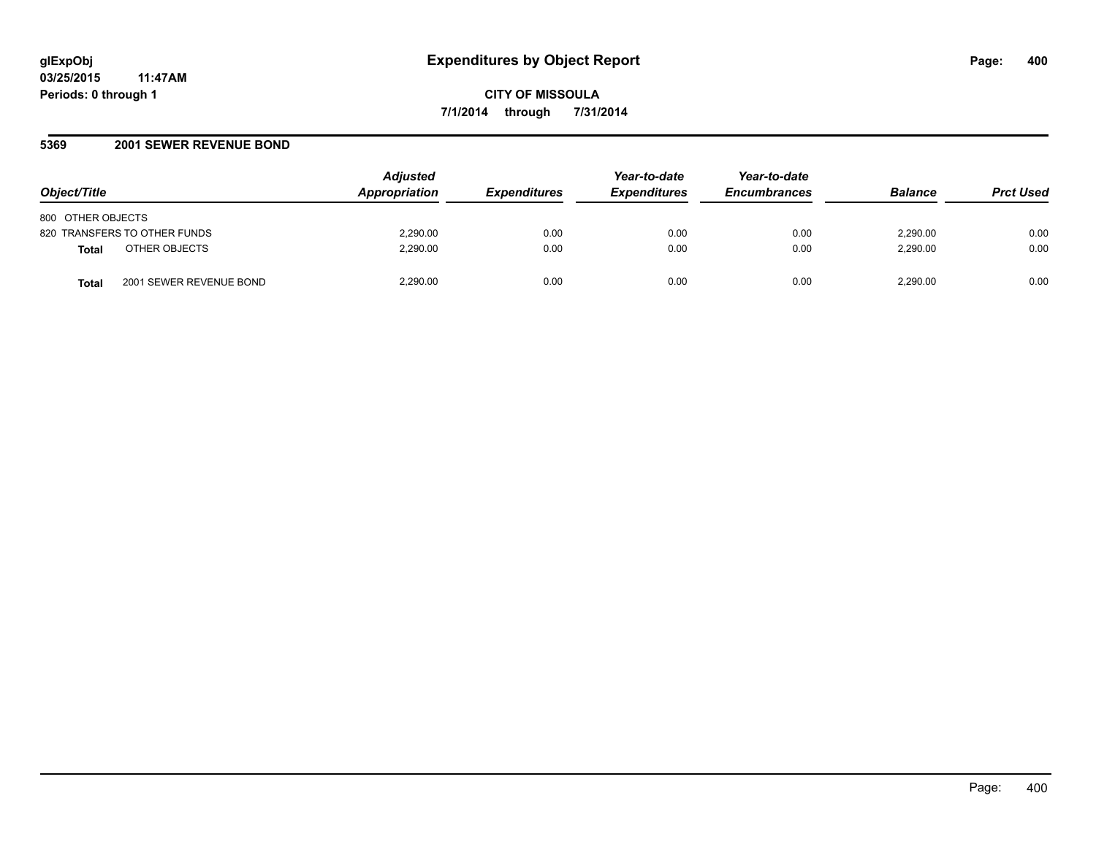## **5369 2001 SEWER REVENUE BOND**

| Object/Title                            | <b>Adjusted</b><br><b>Appropriation</b> | <b>Expenditures</b> | Year-to-date<br><b>Expenditures</b> | Year-to-date<br><b>Encumbrances</b> | <b>Balance</b> | <b>Prct Used</b> |
|-----------------------------------------|-----------------------------------------|---------------------|-------------------------------------|-------------------------------------|----------------|------------------|
| 800 OTHER OBJECTS                       |                                         |                     |                                     |                                     |                |                  |
| 820 TRANSFERS TO OTHER FUNDS            | 2,290.00                                | 0.00                | 0.00                                | 0.00                                | 2.290.00       | 0.00             |
| OTHER OBJECTS<br><b>Total</b>           | 2,290.00                                | 0.00                | 0.00                                | 0.00                                | 2,290.00       | 0.00             |
| 2001 SEWER REVENUE BOND<br><b>Total</b> | 2,290.00                                | 0.00                | 0.00                                | 0.00                                | 2,290.00       | 0.00             |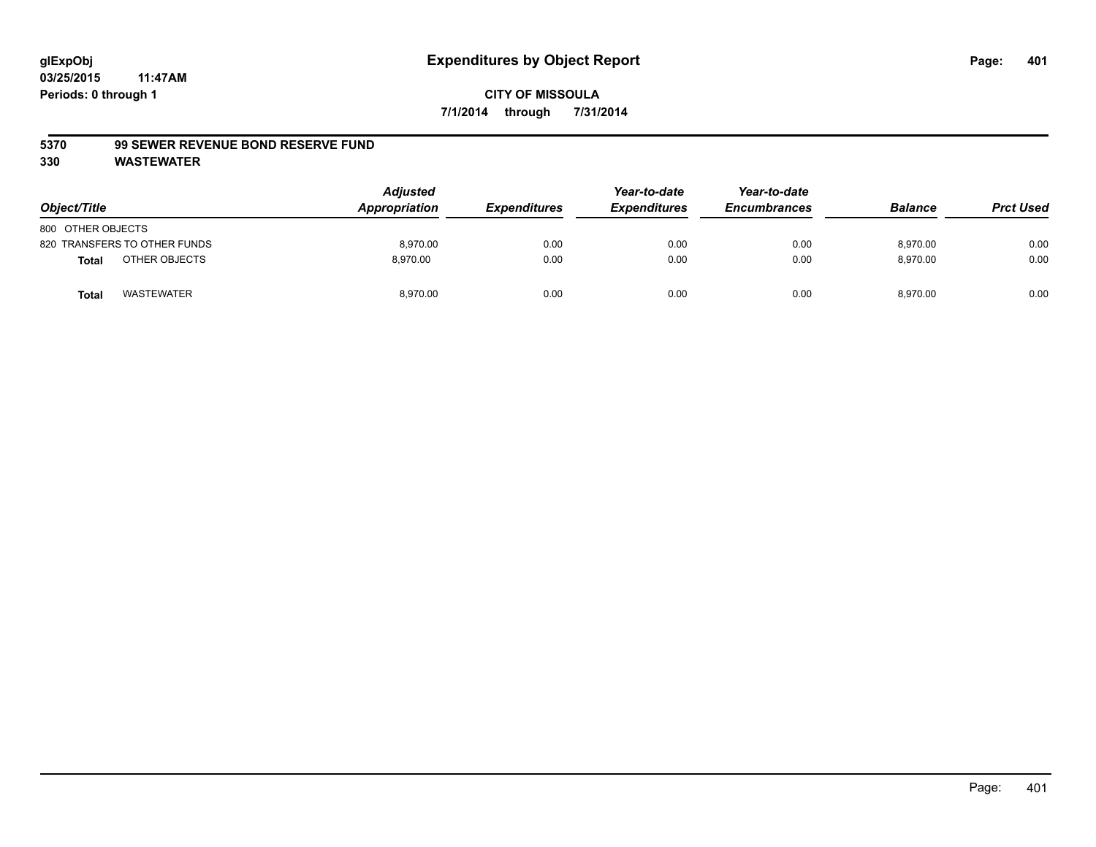#### **5370 99 SEWER REVENUE BOND RESERVE FUND**

| Object/Title                  | <b>Adjusted</b><br>Appropriation | <b>Expenditures</b> | Year-to-date<br><b>Expenditures</b> | Year-to-date<br><b>Encumbrances</b> | <b>Balance</b> | <b>Prct Used</b> |
|-------------------------------|----------------------------------|---------------------|-------------------------------------|-------------------------------------|----------------|------------------|
| 800 OTHER OBJECTS             |                                  |                     |                                     |                                     |                |                  |
| 820 TRANSFERS TO OTHER FUNDS  | 8.970.00                         | 0.00                | 0.00                                | 0.00                                | 8.970.00       | 0.00             |
| OTHER OBJECTS<br><b>Total</b> | 8.970.00                         | 0.00                | 0.00                                | 0.00                                | 8,970.00       | 0.00             |
| <b>WASTEWATER</b><br>Tota     | 8,970.00                         | 0.00                | 0.00                                | 0.00                                | 8,970.00       | 0.00             |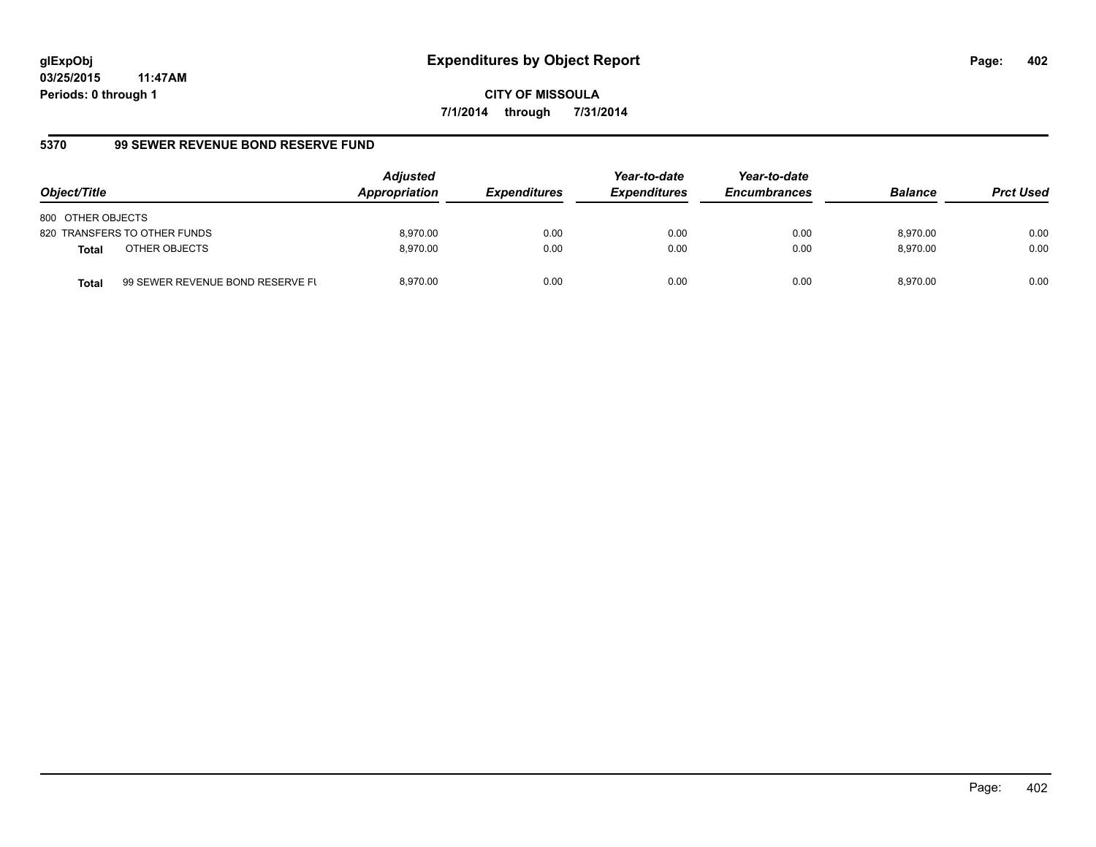**CITY OF MISSOULA 7/1/2014 through 7/31/2014**

# **5370 99 SEWER REVENUE BOND RESERVE FUND**

| Object/Title                  |                                  | <b>Adjusted</b><br>Appropriation | <b>Expenditures</b> | Year-to-date<br><b>Expenditures</b> | Year-to-date<br><b>Encumbrances</b> | <b>Balance</b> | <b>Prct Used</b> |
|-------------------------------|----------------------------------|----------------------------------|---------------------|-------------------------------------|-------------------------------------|----------------|------------------|
| 800 OTHER OBJECTS             |                                  |                                  |                     |                                     |                                     |                |                  |
| 820 TRANSFERS TO OTHER FUNDS  |                                  | 8.970.00                         | 0.00                | 0.00                                | 0.00                                | 8.970.00       | 0.00             |
| OTHER OBJECTS<br><b>Total</b> |                                  | 8.970.00                         | 0.00                | 0.00                                | 0.00                                | 8.970.00       | 0.00             |
| <b>Total</b>                  | 99 SEWER REVENUE BOND RESERVE FL | 8.970.00                         | 0.00                | 0.00                                | 0.00                                | 8.970.00       | 0.00             |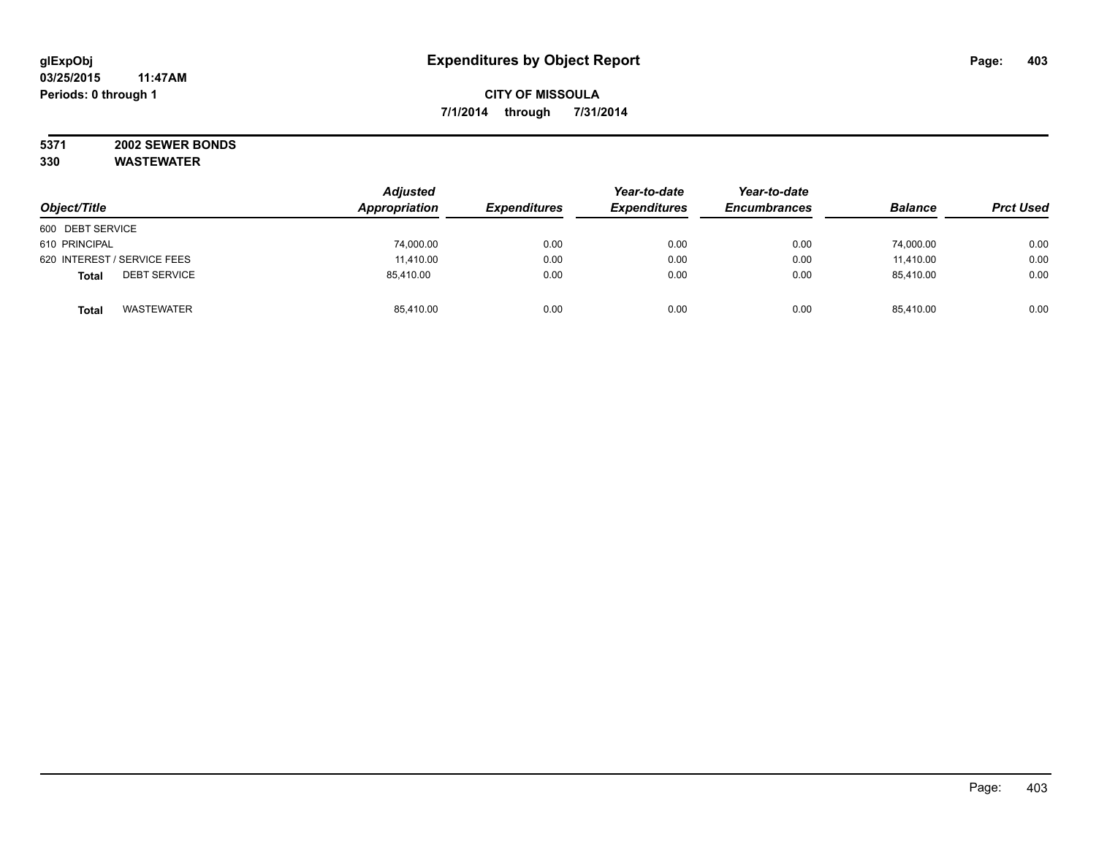#### **5371 2002 SEWER BONDS 330 WASTEWATER**

|                                     | <b>Adjusted</b> |                     | Year-to-date        | Year-to-date<br><b>Encumbrances</b> | <b>Balance</b> |                  |
|-------------------------------------|-----------------|---------------------|---------------------|-------------------------------------|----------------|------------------|
| Object/Title                        | Appropriation   | <b>Expenditures</b> | <b>Expenditures</b> |                                     |                | <b>Prct Used</b> |
| 600 DEBT SERVICE                    |                 |                     |                     |                                     |                |                  |
| 610 PRINCIPAL                       | 74,000.00       | 0.00                | 0.00                | 0.00                                | 74,000.00      | 0.00             |
| 620 INTEREST / SERVICE FEES         | 11,410.00       | 0.00                | 0.00                | 0.00                                | 11,410.00      | 0.00             |
| <b>DEBT SERVICE</b><br><b>Total</b> | 85.410.00       | 0.00                | 0.00                | 0.00                                | 85.410.00      | 0.00             |
| <b>WASTEWATER</b><br><b>Total</b>   | 85,410.00       | 0.00                | 0.00                | 0.00                                | 85,410.00      | 0.00             |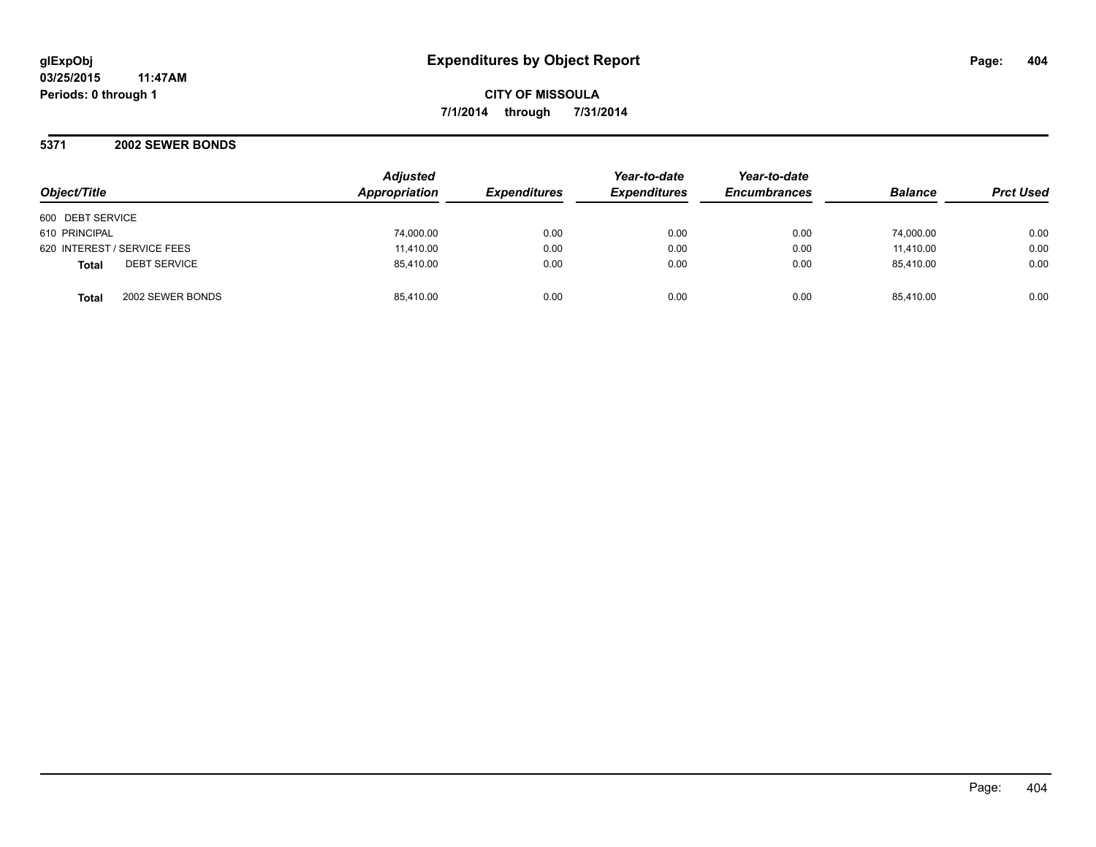**CITY OF MISSOULA 7/1/2014 through 7/31/2014**

**5371 2002 SEWER BONDS**

| Object/Title                        | <b>Adjusted</b><br>Appropriation | <b>Expenditures</b> | Year-to-date<br><b>Expenditures</b> | Year-to-date<br><b>Encumbrances</b> | <b>Balance</b> | <b>Prct Used</b> |
|-------------------------------------|----------------------------------|---------------------|-------------------------------------|-------------------------------------|----------------|------------------|
| 600 DEBT SERVICE                    |                                  |                     |                                     |                                     |                |                  |
| 610 PRINCIPAL                       | 74,000.00                        | 0.00                | 0.00                                | 0.00                                | 74,000.00      | 0.00             |
| 620 INTEREST / SERVICE FEES         | 11,410.00                        | 0.00                | 0.00                                | 0.00                                | 11,410.00      | 0.00             |
| <b>DEBT SERVICE</b><br><b>Total</b> | 85,410.00                        | 0.00                | 0.00                                | 0.00                                | 85.410.00      | 0.00             |
| 2002 SEWER BONDS<br><b>Total</b>    | 85,410.00                        | 0.00                | 0.00                                | 0.00                                | 85.410.00      | 0.00             |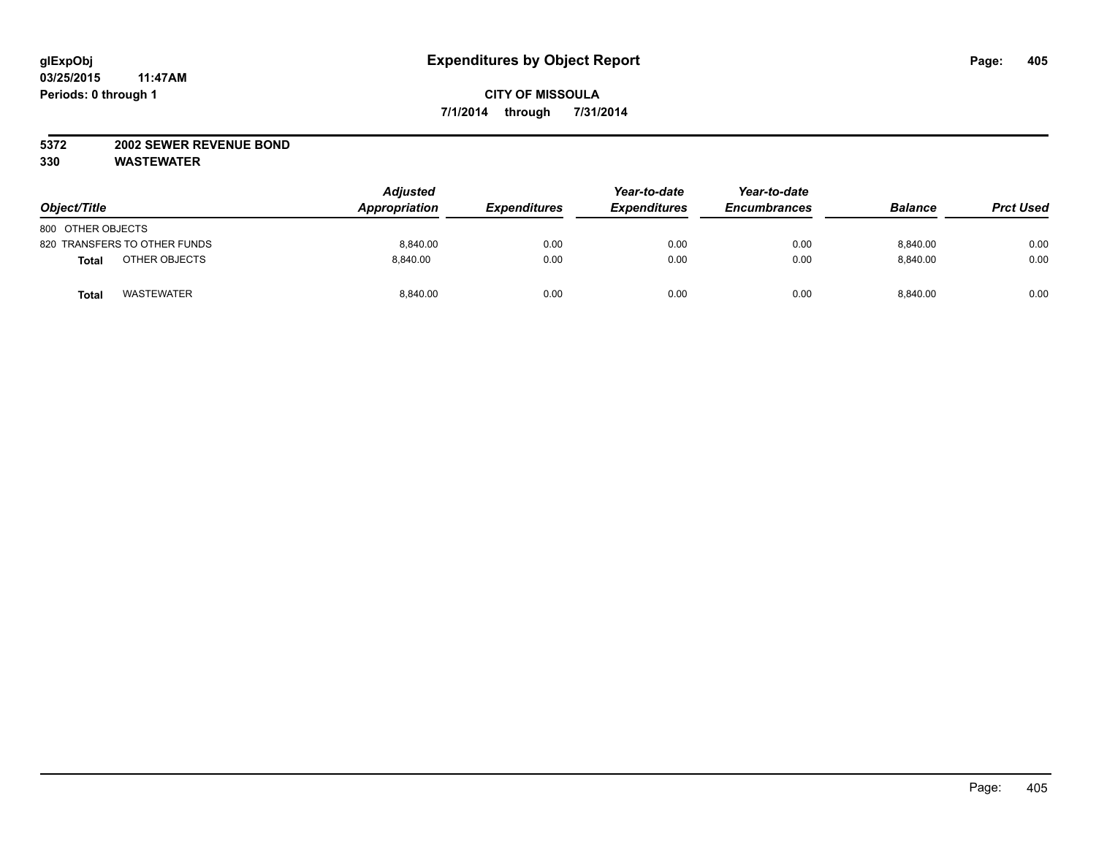## **5372 2002 SEWER REVENUE BOND**

| Object/Title                 | <b>Adjusted</b><br>Appropriation | <b>Expenditures</b> | Year-to-date<br><b>Expenditures</b> | Year-to-date<br><b>Encumbrances</b> | <b>Balance</b> | <b>Prct Used</b> |
|------------------------------|----------------------------------|---------------------|-------------------------------------|-------------------------------------|----------------|------------------|
| 800 OTHER OBJECTS            |                                  |                     |                                     |                                     |                |                  |
| 820 TRANSFERS TO OTHER FUNDS | 8.840.00                         | 0.00                | 0.00                                | 0.00                                | 8,840.00       | 0.00             |
| OTHER OBJECTS<br>Total       | 8.840.00                         | 0.00                | 0.00                                | 0.00                                | 8.840.00       | 0.00             |
| <b>WASTEWATER</b><br>Total   | 8,840.00                         | 0.00                | 0.00                                | 0.00                                | 8.840.00       | 0.00             |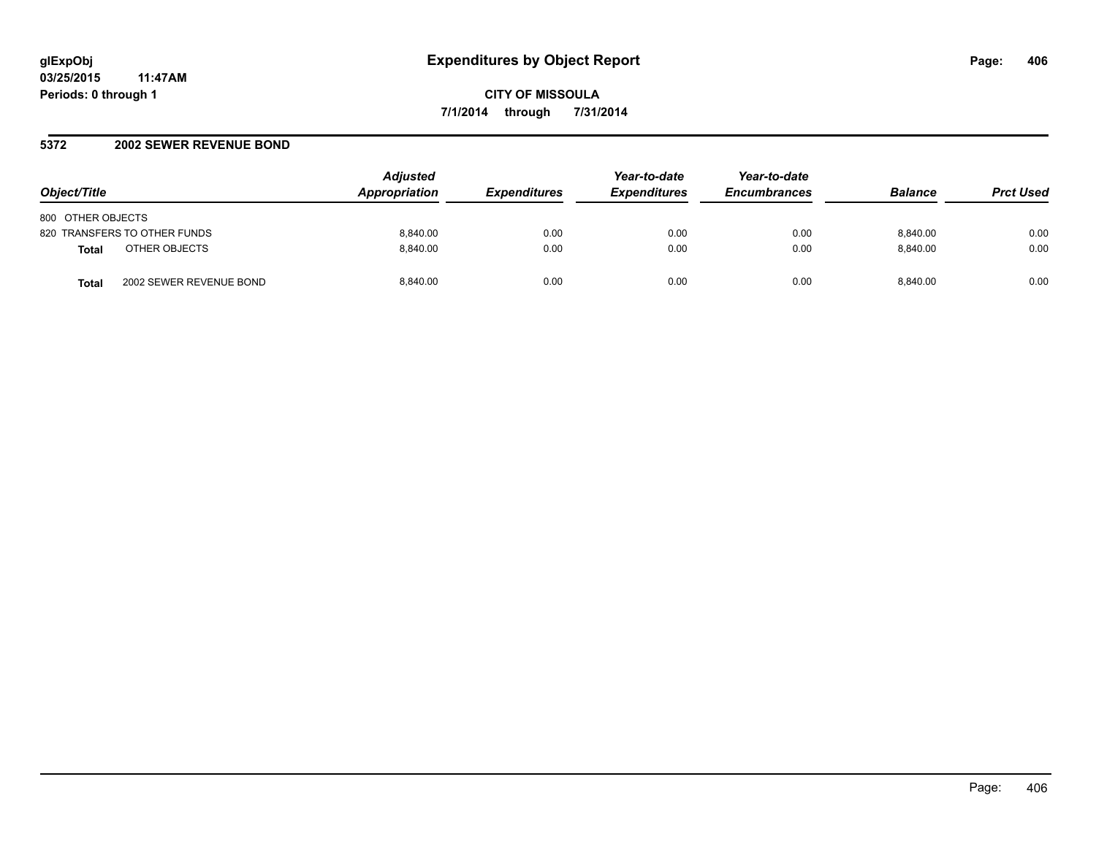#### **5372 2002 SEWER REVENUE BOND**

| Object/Title                            | <b>Adjusted</b><br><b>Appropriation</b> | <b>Expenditures</b> | Year-to-date<br><b>Expenditures</b> | Year-to-date<br><b>Encumbrances</b> | <b>Balance</b> | <b>Prct Used</b> |
|-----------------------------------------|-----------------------------------------|---------------------|-------------------------------------|-------------------------------------|----------------|------------------|
| 800 OTHER OBJECTS                       |                                         |                     |                                     |                                     |                |                  |
| 820 TRANSFERS TO OTHER FUNDS            | 8.840.00                                | 0.00                | 0.00                                | 0.00                                | 8.840.00       | 0.00             |
| OTHER OBJECTS<br><b>Total</b>           | 8.840.00                                | 0.00                | 0.00                                | 0.00                                | 8.840.00       | 0.00             |
| 2002 SEWER REVENUE BOND<br><b>Total</b> | 8.840.00                                | 0.00                | 0.00                                | 0.00                                | 8.840.00       | 0.00             |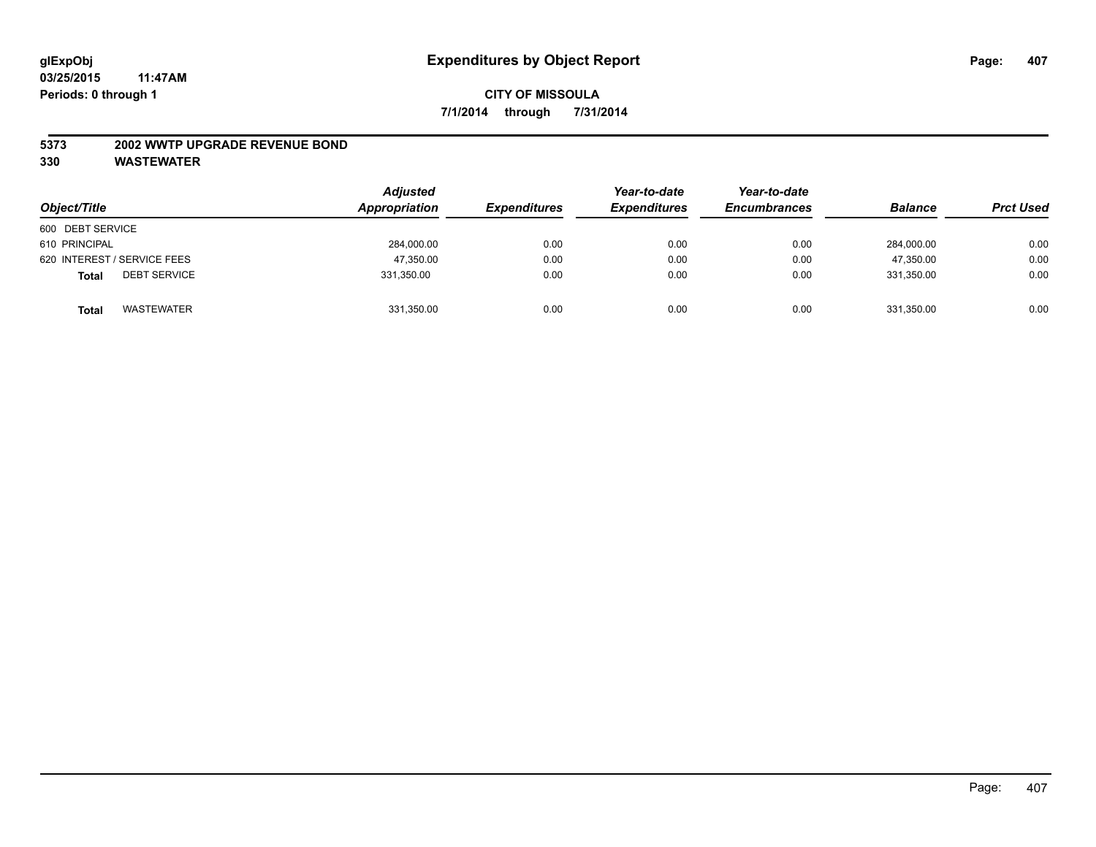#### **5373 2002 WWTP UPGRADE REVENUE BOND**

| Object/Title                        | <b>Adjusted</b><br>Appropriation | <b>Expenditures</b> | Year-to-date<br><b>Expenditures</b> | Year-to-date<br><b>Encumbrances</b> | <b>Balance</b> | <b>Prct Used</b> |
|-------------------------------------|----------------------------------|---------------------|-------------------------------------|-------------------------------------|----------------|------------------|
| 600 DEBT SERVICE                    |                                  |                     |                                     |                                     |                |                  |
| 610 PRINCIPAL                       | 284,000.00                       | 0.00                | 0.00                                | 0.00                                | 284,000.00     | 0.00             |
| 620 INTEREST / SERVICE FEES         | 47,350.00                        | 0.00                | 0.00                                | 0.00                                | 47.350.00      | 0.00             |
| <b>DEBT SERVICE</b><br><b>Total</b> | 331,350.00                       | 0.00                | 0.00                                | 0.00                                | 331.350.00     | 0.00             |
| WASTEWATER<br><b>Total</b>          | 331,350.00                       | 0.00                | 0.00                                | 0.00                                | 331,350.00     | 0.00             |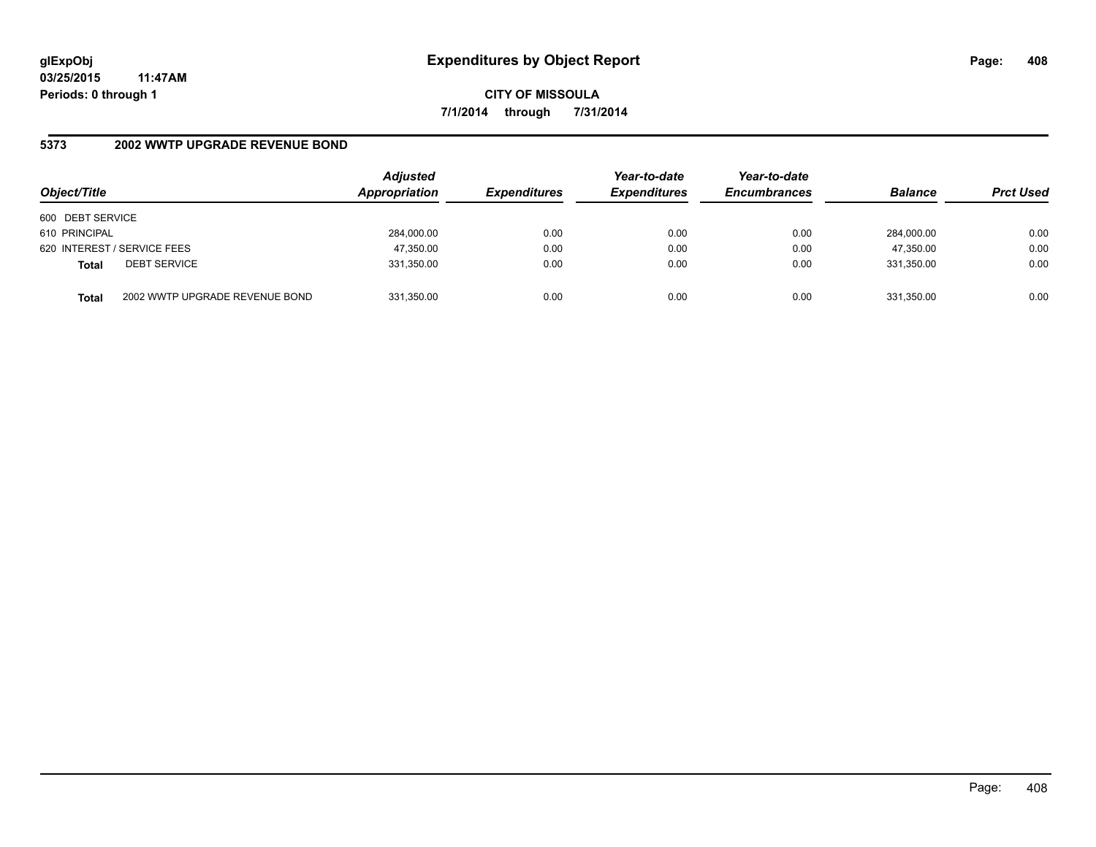**CITY OF MISSOULA 7/1/2014 through 7/31/2014**

## **5373 2002 WWTP UPGRADE REVENUE BOND**

| Object/Title     |                                | <b>Adjusted</b><br>Appropriation | <b>Expenditures</b> | Year-to-date<br><b>Expenditures</b> | Year-to-date<br><b>Encumbrances</b> | <b>Balance</b> | <b>Prct Used</b> |
|------------------|--------------------------------|----------------------------------|---------------------|-------------------------------------|-------------------------------------|----------------|------------------|
| 600 DEBT SERVICE |                                |                                  |                     |                                     |                                     |                |                  |
| 610 PRINCIPAL    |                                | 284,000.00                       | 0.00                | 0.00                                | 0.00                                | 284.000.00     | 0.00             |
|                  | 620 INTEREST / SERVICE FEES    | 47,350.00                        | 0.00                | 0.00                                | 0.00                                | 47,350.00      | 0.00             |
| <b>Total</b>     | <b>DEBT SERVICE</b>            | 331,350.00                       | 0.00                | 0.00                                | 0.00                                | 331.350.00     | 0.00             |
| <b>Total</b>     | 2002 WWTP UPGRADE REVENUE BOND | 331,350.00                       | 0.00                | 0.00                                | 0.00                                | 331,350.00     | 0.00             |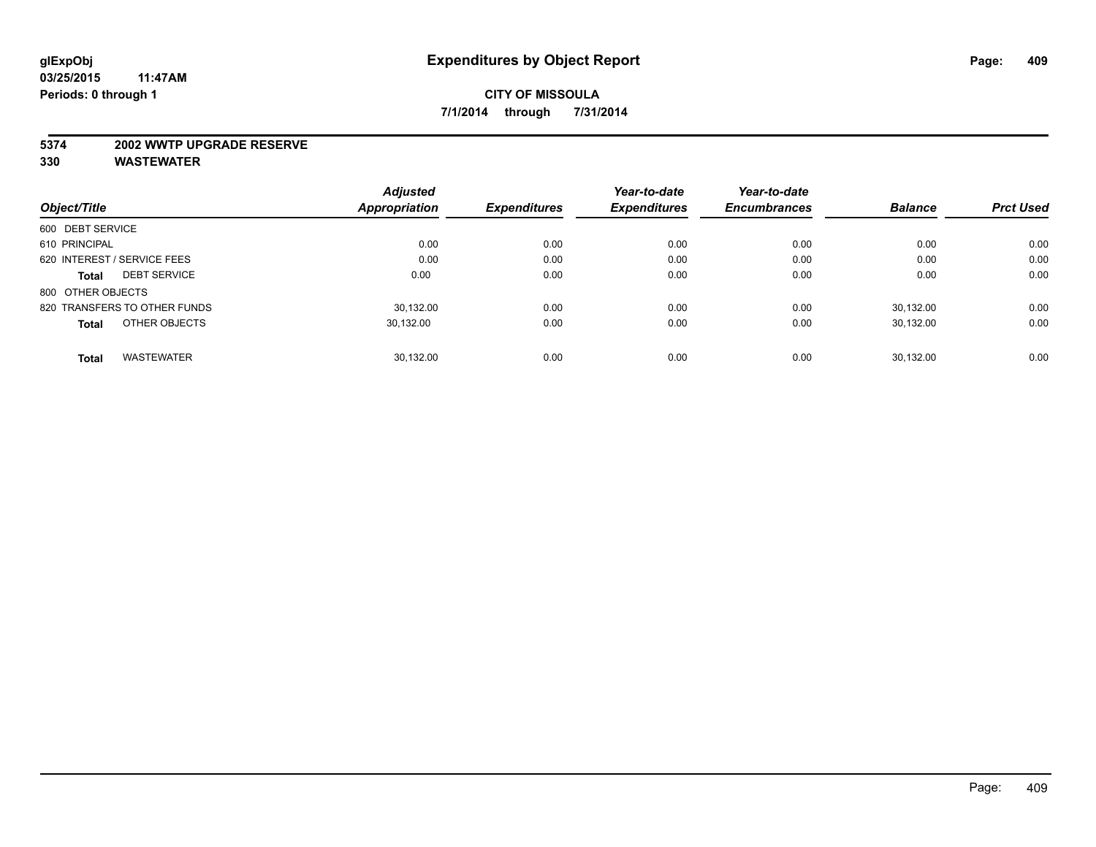#### **5374 2002 WWTP UPGRADE RESERVE**

|                                     | <b>Adjusted</b> |                     | Year-to-date        | Year-to-date        |                |                  |
|-------------------------------------|-----------------|---------------------|---------------------|---------------------|----------------|------------------|
| Object/Title                        | Appropriation   | <b>Expenditures</b> | <b>Expenditures</b> | <b>Encumbrances</b> | <b>Balance</b> | <b>Prct Used</b> |
| 600 DEBT SERVICE                    |                 |                     |                     |                     |                |                  |
| 610 PRINCIPAL                       | 0.00            | 0.00                | 0.00                | 0.00                | 0.00           | 0.00             |
| 620 INTEREST / SERVICE FEES         | 0.00            | 0.00                | 0.00                | 0.00                | 0.00           | 0.00             |
| <b>DEBT SERVICE</b><br><b>Total</b> | 0.00            | 0.00                | 0.00                | 0.00                | 0.00           | 0.00             |
| 800 OTHER OBJECTS                   |                 |                     |                     |                     |                |                  |
| 820 TRANSFERS TO OTHER FUNDS        | 30.132.00       | 0.00                | 0.00                | 0.00                | 30.132.00      | 0.00             |
| OTHER OBJECTS<br><b>Total</b>       | 30,132.00       | 0.00                | 0.00                | 0.00                | 30.132.00      | 0.00             |
| <b>WASTEWATER</b><br><b>Total</b>   | 30.132.00       | 0.00                | 0.00                | 0.00                | 30.132.00      | 0.00             |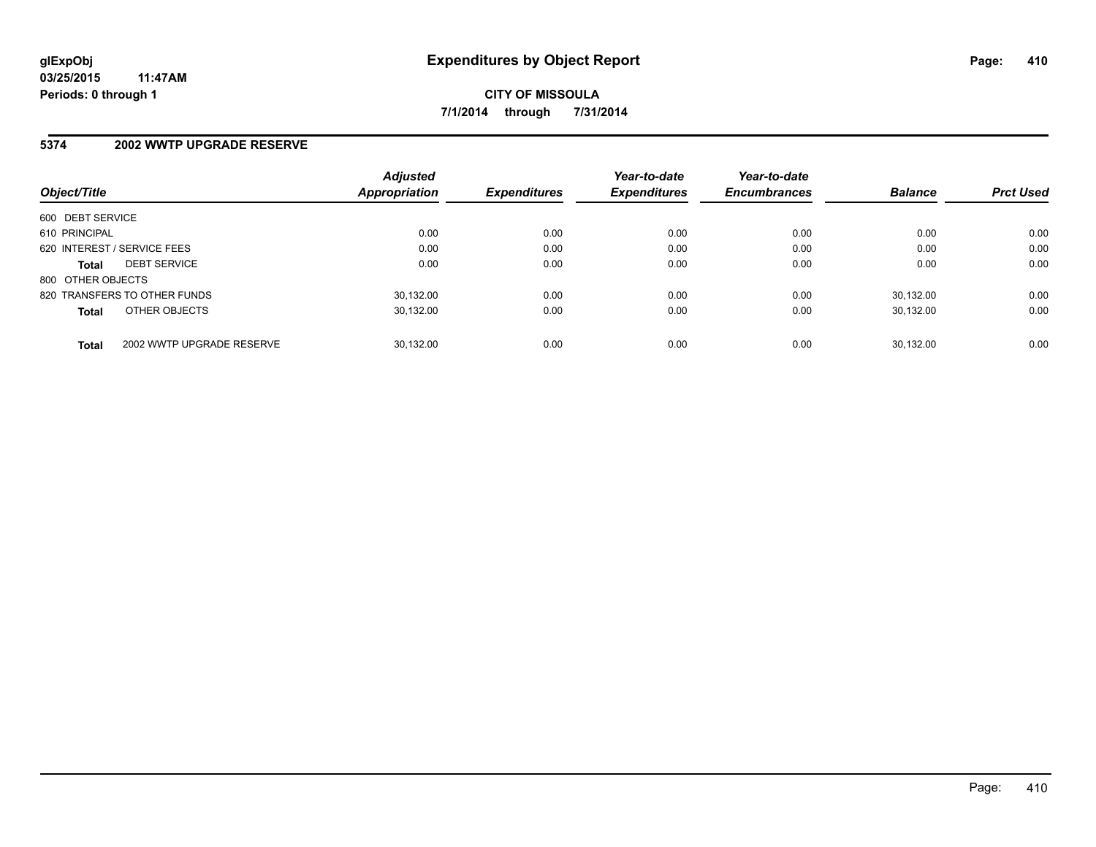#### **5374 2002 WWTP UPGRADE RESERVE**

| Object/Title                 |                           | <b>Adjusted</b><br>Appropriation | <b>Expenditures</b> | Year-to-date<br><b>Expenditures</b> | Year-to-date<br><b>Encumbrances</b> | <b>Balance</b> | <b>Prct Used</b> |
|------------------------------|---------------------------|----------------------------------|---------------------|-------------------------------------|-------------------------------------|----------------|------------------|
| 600 DEBT SERVICE             |                           |                                  |                     |                                     |                                     |                |                  |
| 610 PRINCIPAL                |                           | 0.00                             | 0.00                | 0.00                                | 0.00                                | 0.00           | 0.00             |
| 620 INTEREST / SERVICE FEES  |                           | 0.00                             | 0.00                | 0.00                                | 0.00                                | 0.00           | 0.00             |
| <b>Total</b>                 | <b>DEBT SERVICE</b>       | 0.00                             | 0.00                | 0.00                                | 0.00                                | 0.00           | 0.00             |
| 800 OTHER OBJECTS            |                           |                                  |                     |                                     |                                     |                |                  |
| 820 TRANSFERS TO OTHER FUNDS |                           | 30.132.00                        | 0.00                | 0.00                                | 0.00                                | 30.132.00      | 0.00             |
| <b>Total</b>                 | OTHER OBJECTS             | 30.132.00                        | 0.00                | 0.00                                | 0.00                                | 30.132.00      | 0.00             |
| <b>Total</b>                 | 2002 WWTP UPGRADE RESERVE | 30.132.00                        | 0.00                | 0.00                                | 0.00                                | 30.132.00      | 0.00             |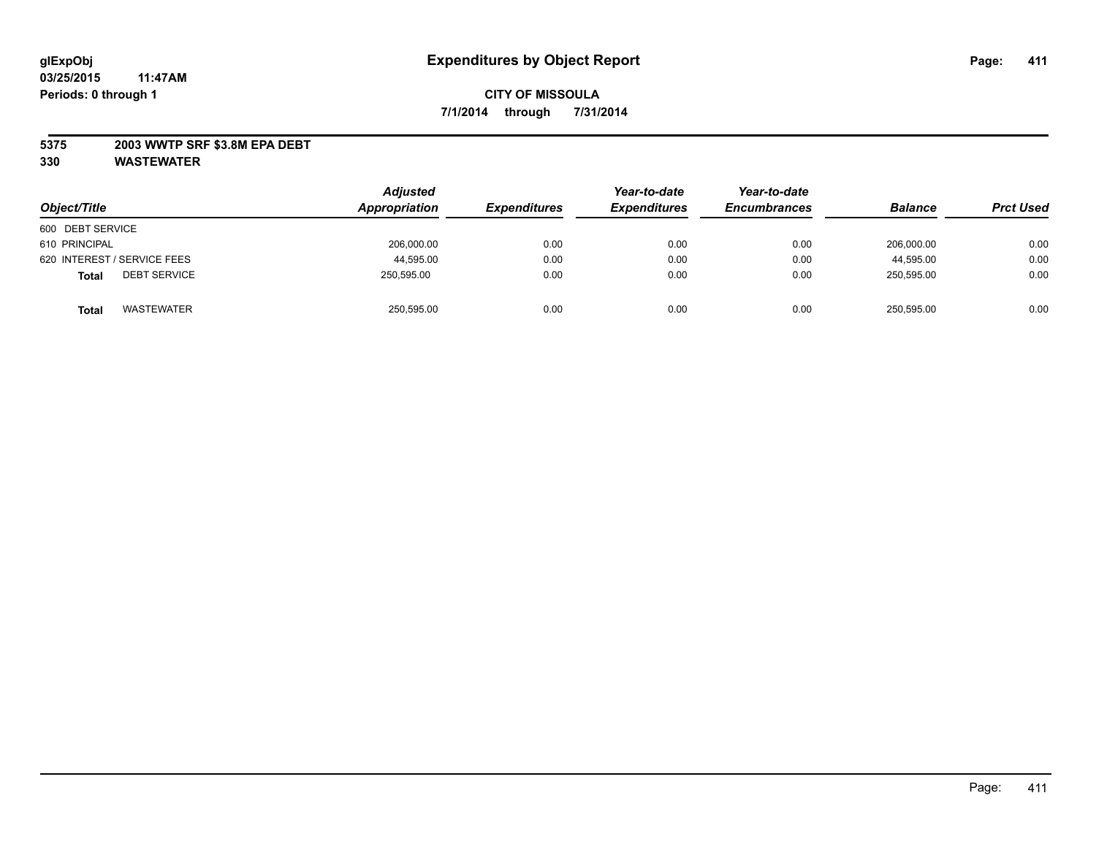## **5375 2003 WWTP SRF \$3.8M EPA DEBT**

| Object/Title                        | <b>Adjusted</b><br>Appropriation | <b>Expenditures</b> | Year-to-date<br><b>Expenditures</b> | Year-to-date<br><b>Encumbrances</b> | <b>Balance</b> | <b>Prct Used</b> |
|-------------------------------------|----------------------------------|---------------------|-------------------------------------|-------------------------------------|----------------|------------------|
| 600 DEBT SERVICE                    |                                  |                     |                                     |                                     |                |                  |
| 610 PRINCIPAL                       | 206,000.00                       | 0.00                | 0.00                                | 0.00                                | 206,000.00     | 0.00             |
| 620 INTEREST / SERVICE FEES         | 44,595.00                        | 0.00                | 0.00                                | 0.00                                | 44.595.00      | 0.00             |
| <b>DEBT SERVICE</b><br><b>Total</b> | 250,595.00                       | 0.00                | 0.00                                | 0.00                                | 250,595.00     | 0.00             |
| WASTEWATER<br><b>Total</b>          | 250,595.00                       | 0.00                | 0.00                                | 0.00                                | 250,595.00     | 0.00             |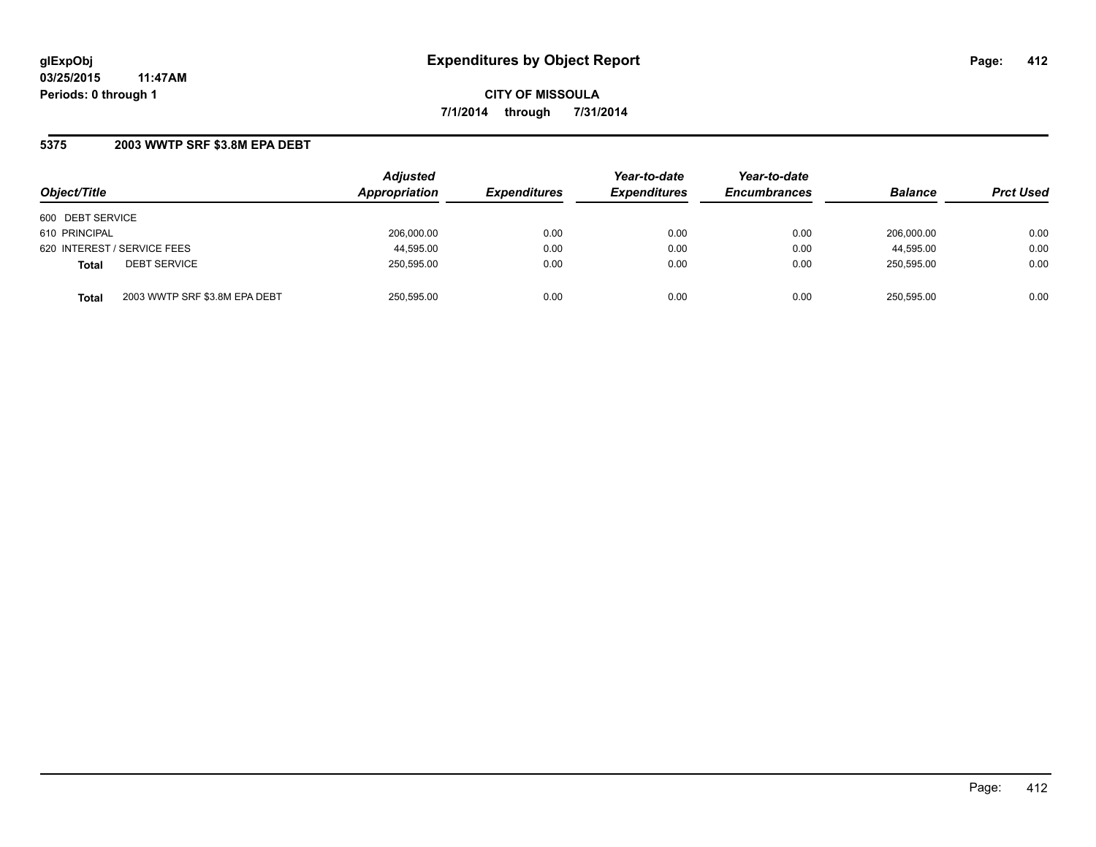## **5375 2003 WWTP SRF \$3.8M EPA DEBT**

| Object/Title                                  | <b>Adjusted</b><br>Appropriation | <b>Expenditures</b> | Year-to-date<br><b>Expenditures</b> | Year-to-date<br><b>Encumbrances</b> | <b>Balance</b> | <b>Prct Used</b> |
|-----------------------------------------------|----------------------------------|---------------------|-------------------------------------|-------------------------------------|----------------|------------------|
| 600 DEBT SERVICE                              |                                  |                     |                                     |                                     |                |                  |
| 610 PRINCIPAL                                 | 206.000.00                       | 0.00                | 0.00                                | 0.00                                | 206.000.00     | 0.00             |
| 620 INTEREST / SERVICE FEES                   | 44,595.00                        | 0.00                | 0.00                                | 0.00                                | 44,595.00      | 0.00             |
| <b>DEBT SERVICE</b><br><b>Total</b>           | 250,595.00                       | 0.00                | 0.00                                | 0.00                                | 250.595.00     | 0.00             |
| 2003 WWTP SRF \$3.8M EPA DEBT<br><b>Total</b> | 250,595.00                       | 0.00                | 0.00                                | 0.00                                | 250,595.00     | 0.00             |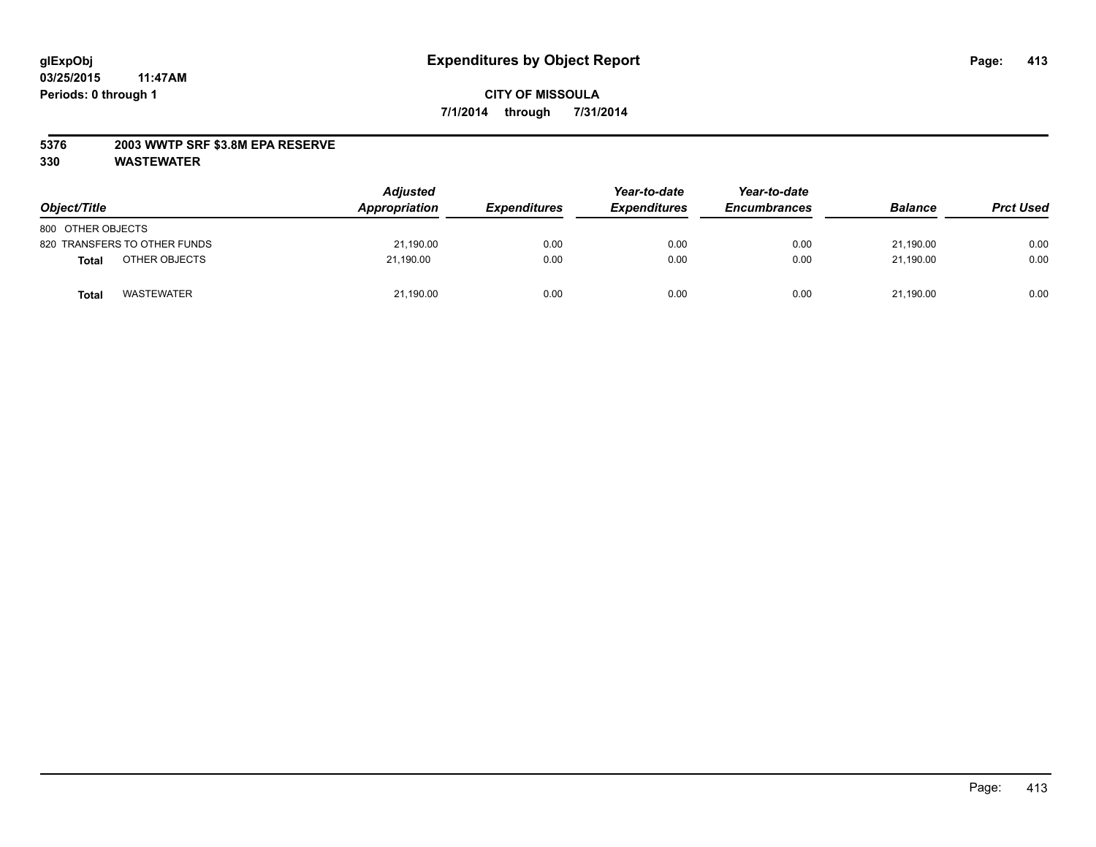## **5376 2003 WWTP SRF \$3.8M EPA RESERVE**

| Object/Title                  | <b>Adjusted</b><br>Appropriation | <b>Expenditures</b> | Year-to-date<br><b>Expenditures</b> | Year-to-date<br><b>Encumbrances</b> | <b>Balance</b> | <b>Prct Used</b> |
|-------------------------------|----------------------------------|---------------------|-------------------------------------|-------------------------------------|----------------|------------------|
| 800 OTHER OBJECTS             |                                  |                     |                                     |                                     |                |                  |
| 820 TRANSFERS TO OTHER FUNDS  | 21,190.00                        | 0.00                | 0.00                                | 0.00                                | 21,190.00      | 0.00             |
| OTHER OBJECTS<br><b>Total</b> | 21.190.00                        | 0.00                | 0.00                                | 0.00                                | 21.190.00      | 0.00             |
| <b>WASTEWATER</b><br>Tota.    | 21,190.00                        | 0.00                | 0.00                                | 0.00                                | 21,190.00      | 0.00             |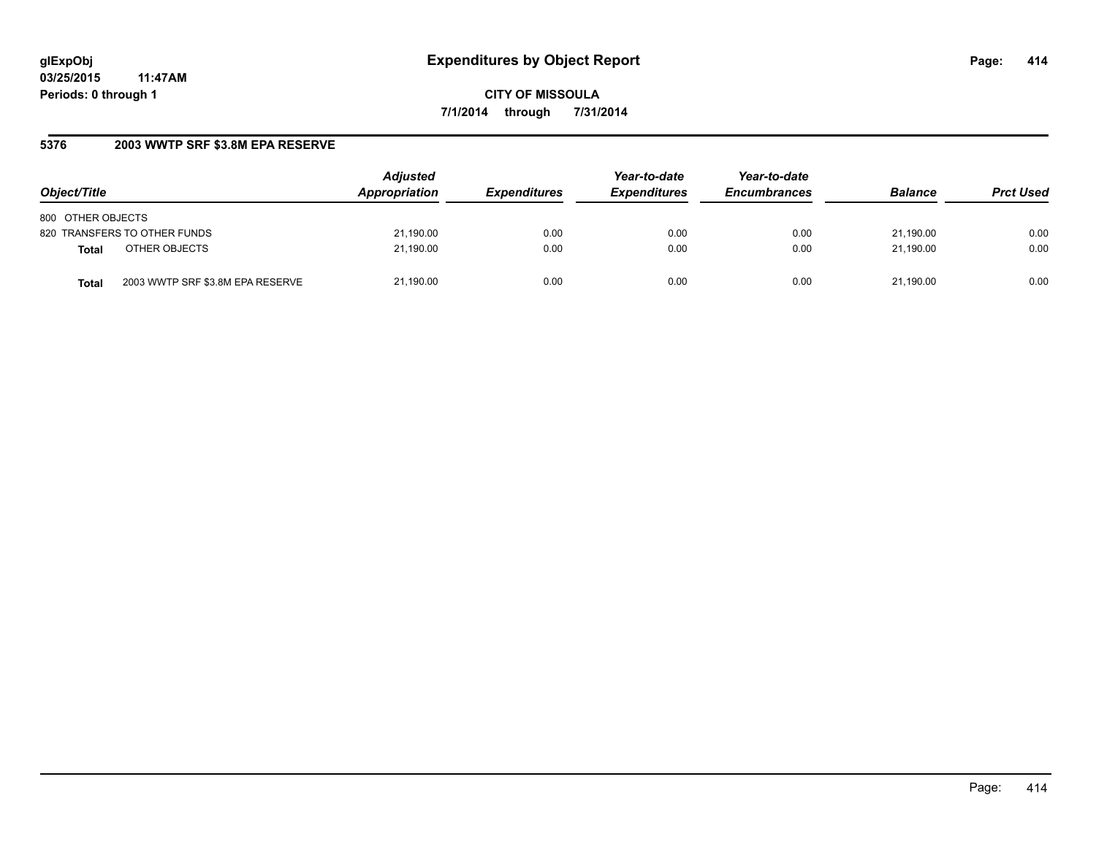**CITY OF MISSOULA 7/1/2014 through 7/31/2014**

# **5376 2003 WWTP SRF \$3.8M EPA RESERVE**

| Object/Title                              | <b>Adjusted</b><br>Appropriation | <b>Expenditures</b> | Year-to-date<br><b>Expenditures</b> | Year-to-date<br><b>Encumbrances</b> | <b>Balance</b> | <b>Prct Used</b> |
|-------------------------------------------|----------------------------------|---------------------|-------------------------------------|-------------------------------------|----------------|------------------|
| 800 OTHER OBJECTS                         |                                  |                     |                                     |                                     |                |                  |
| 820 TRANSFERS TO OTHER FUNDS              | 21,190.00                        | 0.00                | 0.00                                | 0.00                                | 21.190.00      | 0.00             |
| OTHER OBJECTS<br><b>Total</b>             | 21,190.00                        | 0.00                | 0.00                                | 0.00                                | 21.190.00      | 0.00             |
| 2003 WWTP SRF \$3.8M EPA RESERVE<br>Total | 21,190.00                        | 0.00                | 0.00                                | 0.00                                | 21.190.00      | 0.00             |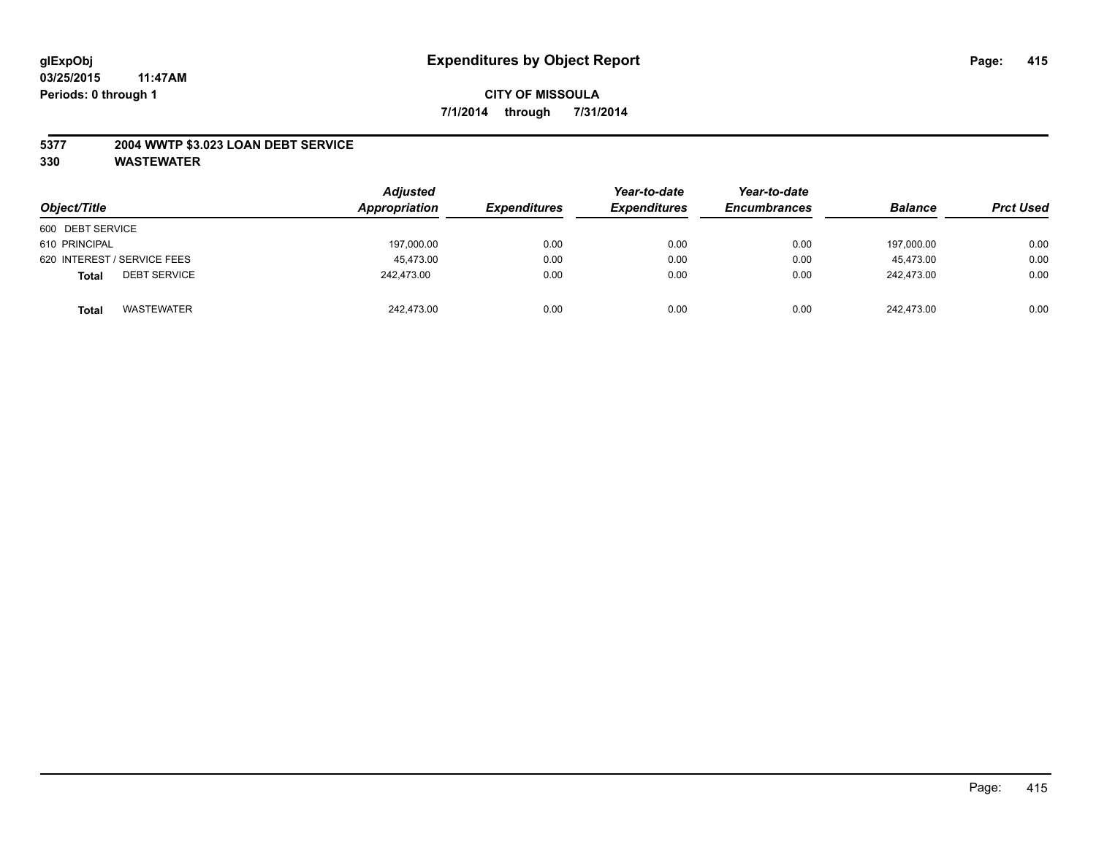## **5377 2004 WWTP \$3.023 LOAN DEBT SERVICE**

| Object/Title                        | <b>Adjusted</b><br>Appropriation | <b>Expenditures</b> | Year-to-date<br><b>Expenditures</b> | Year-to-date<br><b>Encumbrances</b> | <b>Balance</b> | <b>Prct Used</b> |
|-------------------------------------|----------------------------------|---------------------|-------------------------------------|-------------------------------------|----------------|------------------|
| 600 DEBT SERVICE                    |                                  |                     |                                     |                                     |                |                  |
| 610 PRINCIPAL                       | 197,000.00                       | 0.00                | 0.00                                | 0.00                                | 197.000.00     | 0.00             |
| 620 INTEREST / SERVICE FEES         | 45.473.00                        | 0.00                | 0.00                                | 0.00                                | 45.473.00      | 0.00             |
| <b>DEBT SERVICE</b><br><b>Total</b> | 242.473.00                       | 0.00                | 0.00                                | 0.00                                | 242,473.00     | 0.00             |
| <b>WASTEWATER</b><br><b>Total</b>   | 242.473.00                       | 0.00                | 0.00                                | 0.00                                | 242.473.00     | 0.00             |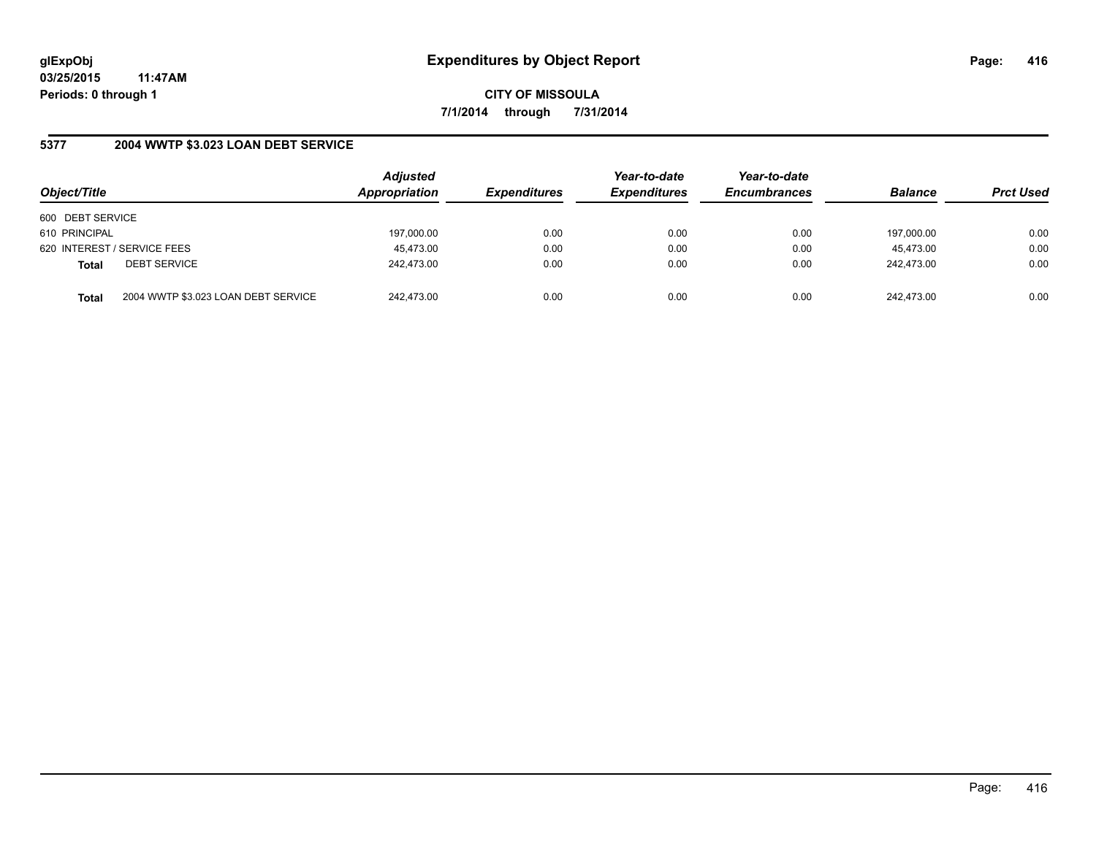**CITY OF MISSOULA 7/1/2014 through 7/31/2014**

## **5377 2004 WWTP \$3.023 LOAN DEBT SERVICE**

| Object/Title                        |                                     | <b>Adjusted</b><br>Appropriation | <b>Expenditures</b> | Year-to-date<br><b>Expenditures</b> | Year-to-date<br><b>Encumbrances</b> | <b>Balance</b> | <b>Prct Used</b> |
|-------------------------------------|-------------------------------------|----------------------------------|---------------------|-------------------------------------|-------------------------------------|----------------|------------------|
| 600 DEBT SERVICE                    |                                     |                                  |                     |                                     |                                     |                |                  |
| 610 PRINCIPAL                       |                                     | 197,000.00                       | 0.00                | 0.00                                | 0.00                                | 197,000.00     | 0.00             |
| 620 INTEREST / SERVICE FEES         |                                     | 45,473.00                        | 0.00                | 0.00                                | 0.00                                | 45.473.00      | 0.00             |
| <b>DEBT SERVICE</b><br><b>Total</b> |                                     | 242.473.00                       | 0.00                | 0.00                                | 0.00                                | 242.473.00     | 0.00             |
| <b>Total</b>                        | 2004 WWTP \$3.023 LOAN DEBT SERVICE | 242.473.00                       | 0.00                | 0.00                                | 0.00                                | 242.473.00     | 0.00             |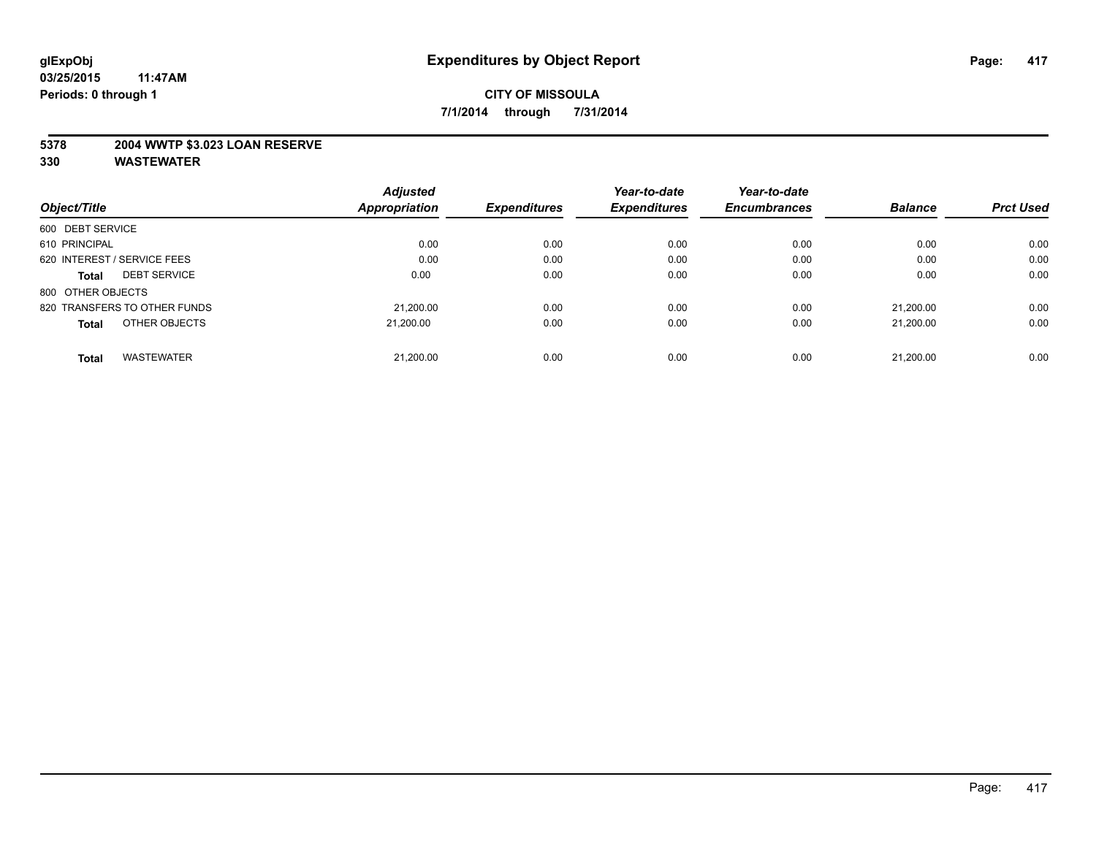## **5378 2004 WWTP \$3.023 LOAN RESERVE**

|                                     | <b>Adjusted</b> |                     | Year-to-date        | Year-to-date        |                |                  |
|-------------------------------------|-----------------|---------------------|---------------------|---------------------|----------------|------------------|
| Object/Title                        | Appropriation   | <b>Expenditures</b> | <b>Expenditures</b> | <b>Encumbrances</b> | <b>Balance</b> | <b>Prct Used</b> |
| 600 DEBT SERVICE                    |                 |                     |                     |                     |                |                  |
| 610 PRINCIPAL                       | 0.00            | 0.00                | 0.00                | 0.00                | 0.00           | 0.00             |
| 620 INTEREST / SERVICE FEES         | 0.00            | 0.00                | 0.00                | 0.00                | 0.00           | 0.00             |
| <b>DEBT SERVICE</b><br><b>Total</b> | 0.00            | 0.00                | 0.00                | 0.00                | 0.00           | 0.00             |
| 800 OTHER OBJECTS                   |                 |                     |                     |                     |                |                  |
| 820 TRANSFERS TO OTHER FUNDS        | 21.200.00       | 0.00                | 0.00                | 0.00                | 21.200.00      | 0.00             |
| OTHER OBJECTS<br><b>Total</b>       | 21.200.00       | 0.00                | 0.00                | 0.00                | 21.200.00      | 0.00             |
| <b>WASTEWATER</b><br>Total          | 21.200.00       | 0.00                | 0.00                | 0.00                | 21,200.00      | 0.00             |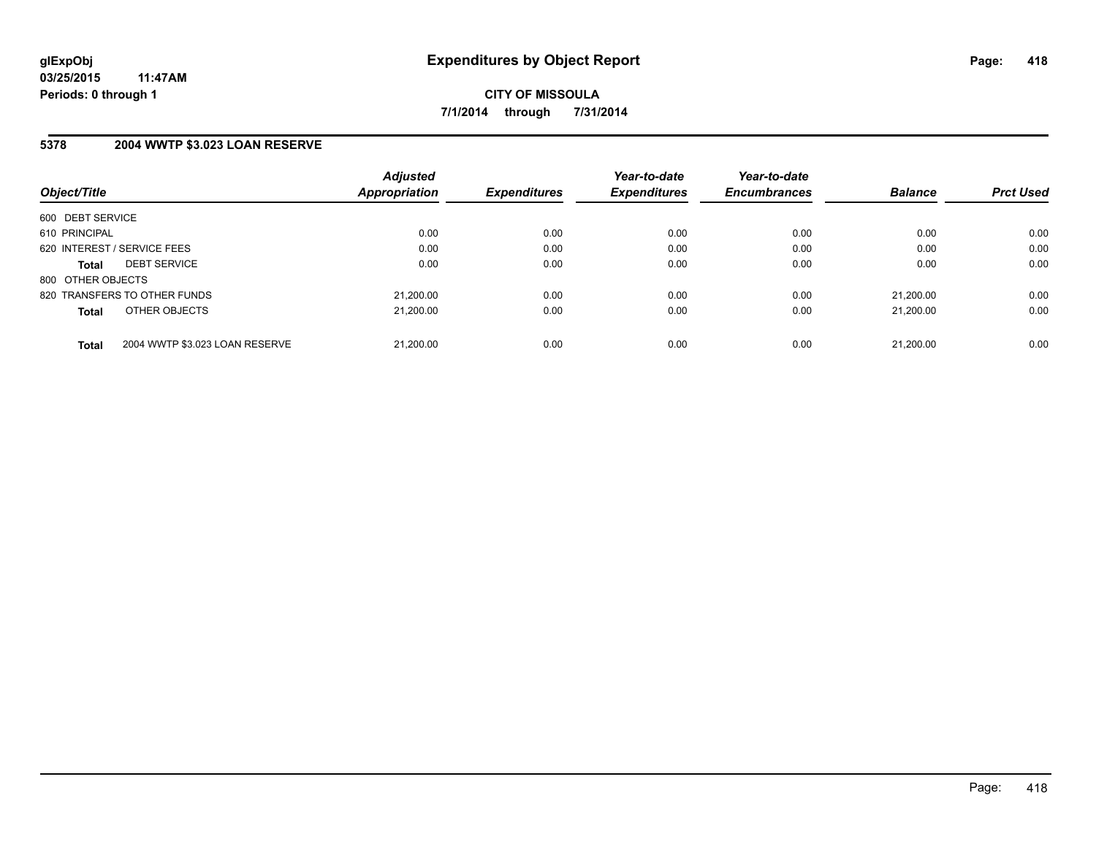## **5378 2004 WWTP \$3.023 LOAN RESERVE**

| Object/Title      |                                | <b>Adjusted</b><br>Appropriation | <b>Expenditures</b> | Year-to-date<br><b>Expenditures</b> | Year-to-date<br><b>Encumbrances</b> | <b>Balance</b> | <b>Prct Used</b> |
|-------------------|--------------------------------|----------------------------------|---------------------|-------------------------------------|-------------------------------------|----------------|------------------|
|                   |                                |                                  |                     |                                     |                                     |                |                  |
| 600 DEBT SERVICE  |                                |                                  |                     |                                     |                                     |                |                  |
| 610 PRINCIPAL     |                                | 0.00                             | 0.00                | 0.00                                | 0.00                                | 0.00           | 0.00             |
|                   | 620 INTEREST / SERVICE FEES    | 0.00                             | 0.00                | 0.00                                | 0.00                                | 0.00           | 0.00             |
| <b>Total</b>      | <b>DEBT SERVICE</b>            | 0.00                             | 0.00                | 0.00                                | 0.00                                | 0.00           | 0.00             |
| 800 OTHER OBJECTS |                                |                                  |                     |                                     |                                     |                |                  |
|                   | 820 TRANSFERS TO OTHER FUNDS   | 21,200.00                        | 0.00                | 0.00                                | 0.00                                | 21.200.00      | 0.00             |
| <b>Total</b>      | OTHER OBJECTS                  | 21.200.00                        | 0.00                | 0.00                                | 0.00                                | 21.200.00      | 0.00             |
|                   |                                |                                  |                     |                                     |                                     |                |                  |
| <b>Total</b>      | 2004 WWTP \$3.023 LOAN RESERVE | 21.200.00                        | 0.00                | 0.00                                | 0.00                                | 21.200.00      | 0.00             |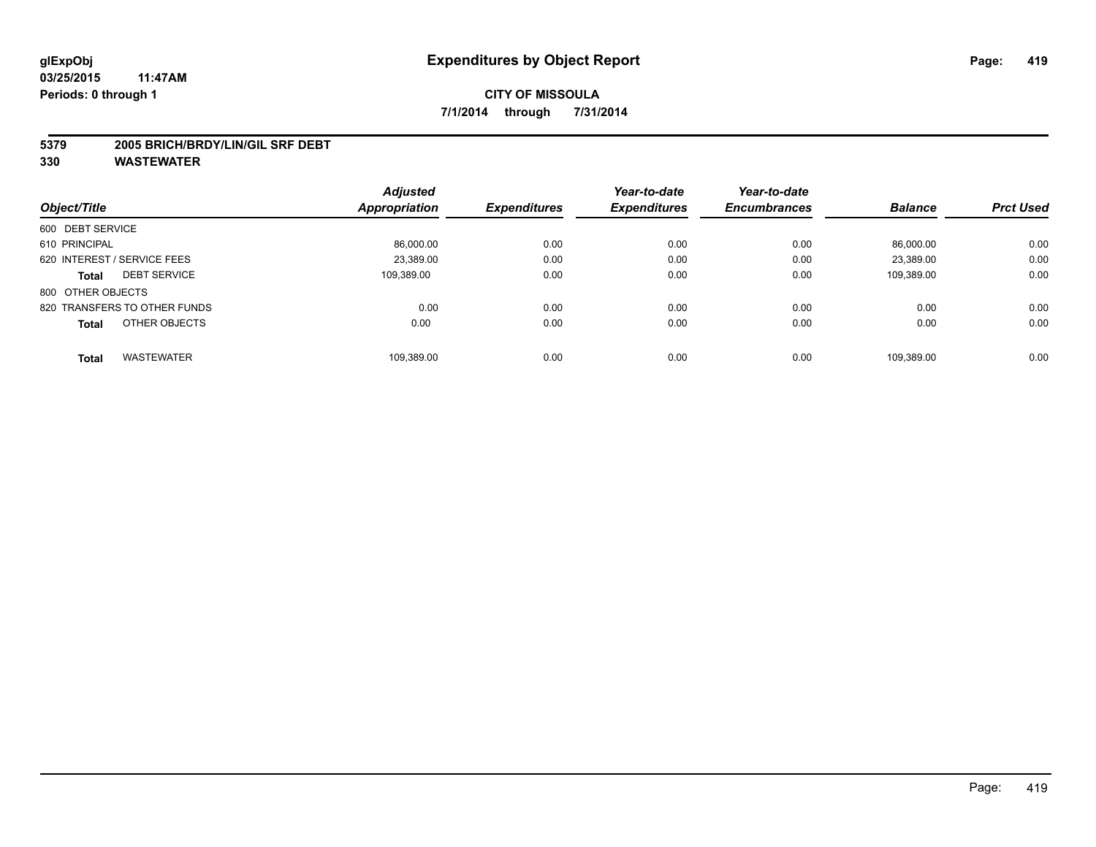#### **5379 2005 BRICH/BRDY/LIN/GIL SRF DEBT**

|                                     | <b>Adjusted</b> |                     | Year-to-date        | Year-to-date        |                |                  |
|-------------------------------------|-----------------|---------------------|---------------------|---------------------|----------------|------------------|
| Object/Title                        | Appropriation   | <b>Expenditures</b> | <b>Expenditures</b> | <b>Encumbrances</b> | <b>Balance</b> | <b>Prct Used</b> |
| 600 DEBT SERVICE                    |                 |                     |                     |                     |                |                  |
| 610 PRINCIPAL                       | 86,000.00       | 0.00                | 0.00                | 0.00                | 86.000.00      | 0.00             |
| 620 INTEREST / SERVICE FEES         | 23.389.00       | 0.00                | 0.00                | 0.00                | 23.389.00      | 0.00             |
| <b>DEBT SERVICE</b><br><b>Total</b> | 109,389.00      | 0.00                | 0.00                | 0.00                | 109,389.00     | 0.00             |
| 800 OTHER OBJECTS                   |                 |                     |                     |                     |                |                  |
| 820 TRANSFERS TO OTHER FUNDS        | 0.00            | 0.00                | 0.00                | 0.00                | 0.00           | 0.00             |
| OTHER OBJECTS<br><b>Total</b>       | 0.00            | 0.00                | 0.00                | 0.00                | 0.00           | 0.00             |
| <b>WASTEWATER</b><br><b>Total</b>   | 109.389.00      | 0.00                | 0.00                | 0.00                | 109.389.00     | 0.00             |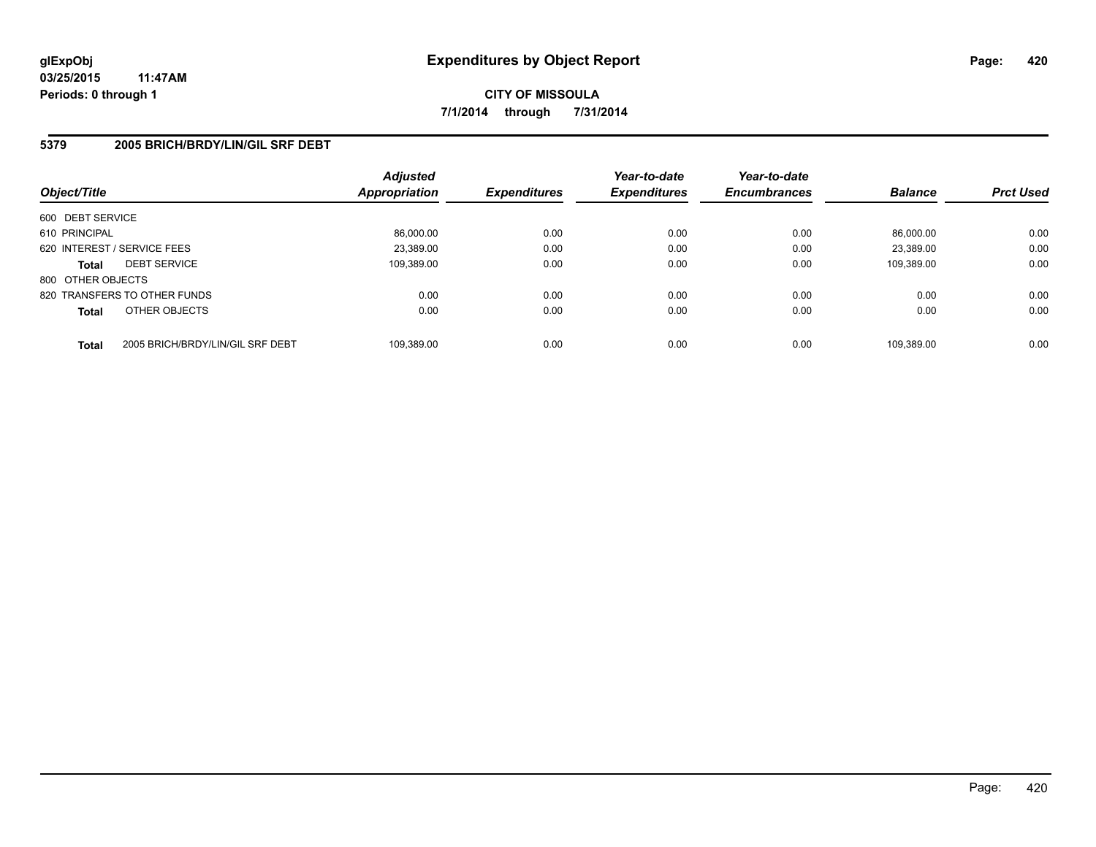## **5379 2005 BRICH/BRDY/LIN/GIL SRF DEBT**

| Object/Title      |                                  | <b>Adjusted</b><br><b>Appropriation</b> | <b>Expenditures</b> | Year-to-date<br><b>Expenditures</b> | Year-to-date<br><b>Encumbrances</b> | <b>Balance</b> | <b>Prct Used</b> |
|-------------------|----------------------------------|-----------------------------------------|---------------------|-------------------------------------|-------------------------------------|----------------|------------------|
| 600 DEBT SERVICE  |                                  |                                         |                     |                                     |                                     |                |                  |
| 610 PRINCIPAL     |                                  | 86,000.00                               | 0.00                | 0.00                                | 0.00                                | 86.000.00      | 0.00             |
|                   | 620 INTEREST / SERVICE FEES      | 23,389.00                               | 0.00                | 0.00                                | 0.00                                | 23.389.00      | 0.00             |
| <b>Total</b>      | <b>DEBT SERVICE</b>              | 109,389.00                              | 0.00                | 0.00                                | 0.00                                | 109.389.00     | 0.00             |
| 800 OTHER OBJECTS |                                  |                                         |                     |                                     |                                     |                |                  |
|                   | 820 TRANSFERS TO OTHER FUNDS     | 0.00                                    | 0.00                | 0.00                                | 0.00                                | 0.00           | 0.00             |
| <b>Total</b>      | OTHER OBJECTS                    | 0.00                                    | 0.00                | 0.00                                | 0.00                                | 0.00           | 0.00             |
| <b>Total</b>      | 2005 BRICH/BRDY/LIN/GIL SRF DEBT | 109.389.00                              | 0.00                | 0.00                                | 0.00                                | 109.389.00     | 0.00             |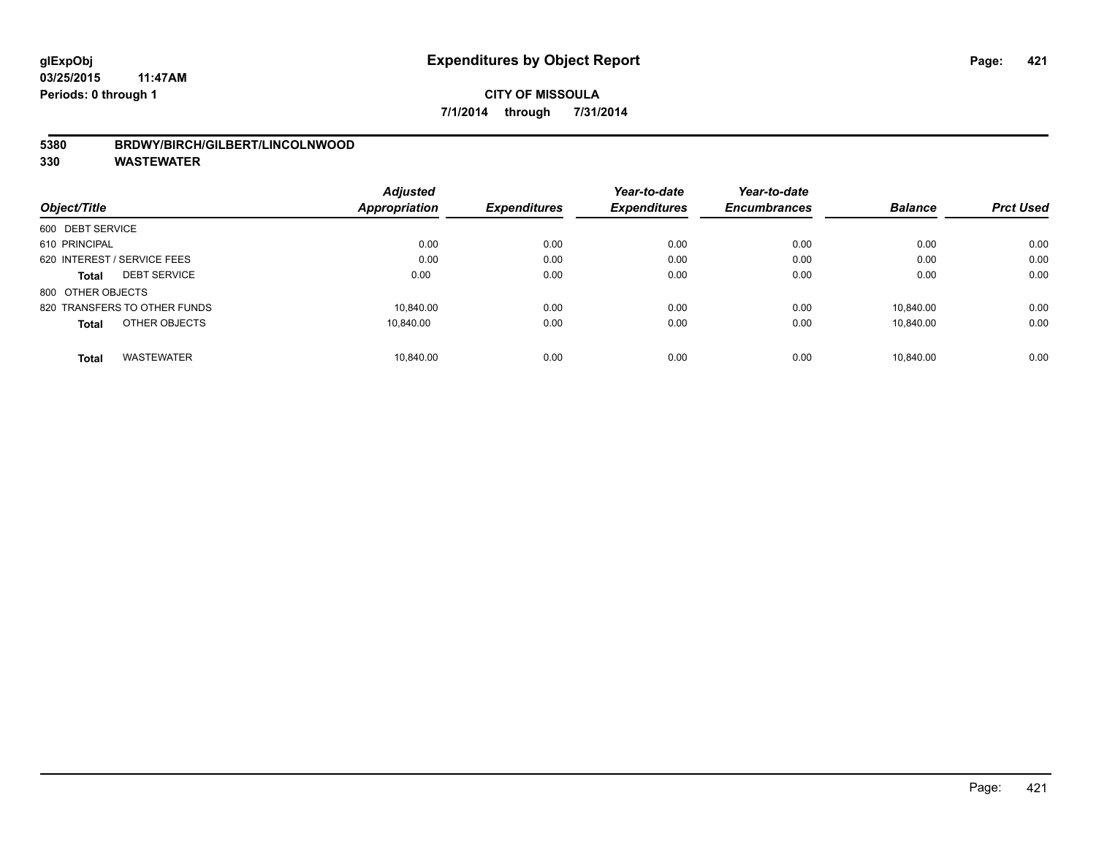## **5380 BRDWY/BIRCH/GILBERT/LINCOLNWOOD**

|                                     | <b>Adjusted</b> | <b>Expenditures</b> | Year-to-date<br><b>Expenditures</b> | Year-to-date        | <b>Balance</b> |                  |
|-------------------------------------|-----------------|---------------------|-------------------------------------|---------------------|----------------|------------------|
| Object/Title                        | Appropriation   |                     |                                     | <b>Encumbrances</b> |                | <b>Prct Used</b> |
| 600 DEBT SERVICE                    |                 |                     |                                     |                     |                |                  |
| 610 PRINCIPAL                       | 0.00            | 0.00                | 0.00                                | 0.00                | 0.00           | 0.00             |
| 620 INTEREST / SERVICE FEES         | 0.00            | 0.00                | 0.00                                | 0.00                | 0.00           | 0.00             |
| <b>DEBT SERVICE</b><br><b>Total</b> | 0.00            | 0.00                | 0.00                                | 0.00                | 0.00           | 0.00             |
| 800 OTHER OBJECTS                   |                 |                     |                                     |                     |                |                  |
| 820 TRANSFERS TO OTHER FUNDS        | 10.840.00       | 0.00                | 0.00                                | 0.00                | 10.840.00      | 0.00             |
| OTHER OBJECTS<br><b>Total</b>       | 10.840.00       | 0.00                | 0.00                                | 0.00                | 10.840.00      | 0.00             |
| <b>WASTEWATER</b><br><b>Total</b>   | 10.840.00       | 0.00                | 0.00                                | 0.00                | 10.840.00      | 0.00             |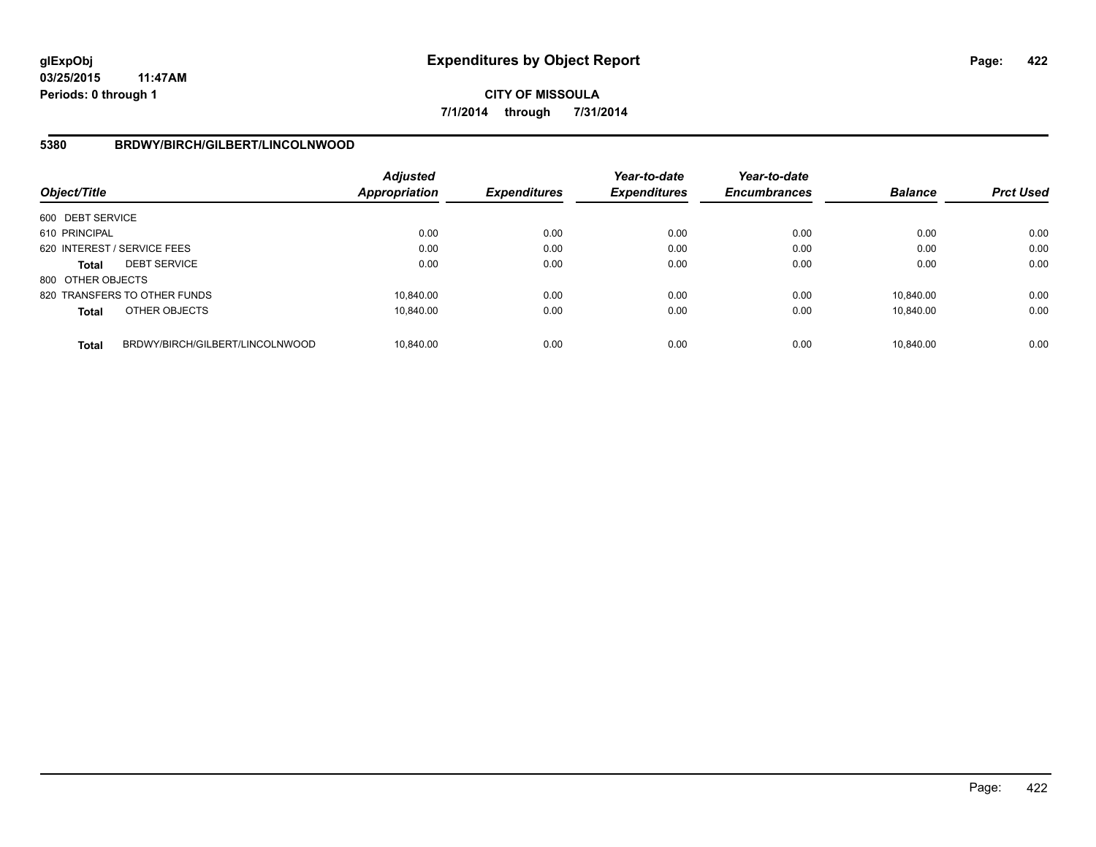# **CITY OF MISSOULA 7/1/2014 through 7/31/2014**

## **5380 BRDWY/BIRCH/GILBERT/LINCOLNWOOD**

| Object/Title      |                                 | Adjusted<br><b>Appropriation</b> | <b>Expenditures</b> | Year-to-date<br><b>Expenditures</b> | Year-to-date<br><b>Encumbrances</b> | <b>Balance</b> | <b>Prct Used</b> |
|-------------------|---------------------------------|----------------------------------|---------------------|-------------------------------------|-------------------------------------|----------------|------------------|
| 600 DEBT SERVICE  |                                 |                                  |                     |                                     |                                     |                |                  |
| 610 PRINCIPAL     |                                 | 0.00                             | 0.00                | 0.00                                | 0.00                                | 0.00           | 0.00             |
|                   | 620 INTEREST / SERVICE FEES     | 0.00                             | 0.00                | 0.00                                | 0.00                                | 0.00           | 0.00             |
| <b>Total</b>      | <b>DEBT SERVICE</b>             | 0.00                             | 0.00                | 0.00                                | 0.00                                | 0.00           | 0.00             |
| 800 OTHER OBJECTS |                                 |                                  |                     |                                     |                                     |                |                  |
|                   | 820 TRANSFERS TO OTHER FUNDS    | 10.840.00                        | 0.00                | 0.00                                | 0.00                                | 10.840.00      | 0.00             |
| <b>Total</b>      | OTHER OBJECTS                   | 10.840.00                        | 0.00                | 0.00                                | 0.00                                | 10.840.00      | 0.00             |
| <b>Total</b>      | BRDWY/BIRCH/GILBERT/LINCOLNWOOD | 10.840.00                        | 0.00                | 0.00                                | 0.00                                | 10.840.00      | 0.00             |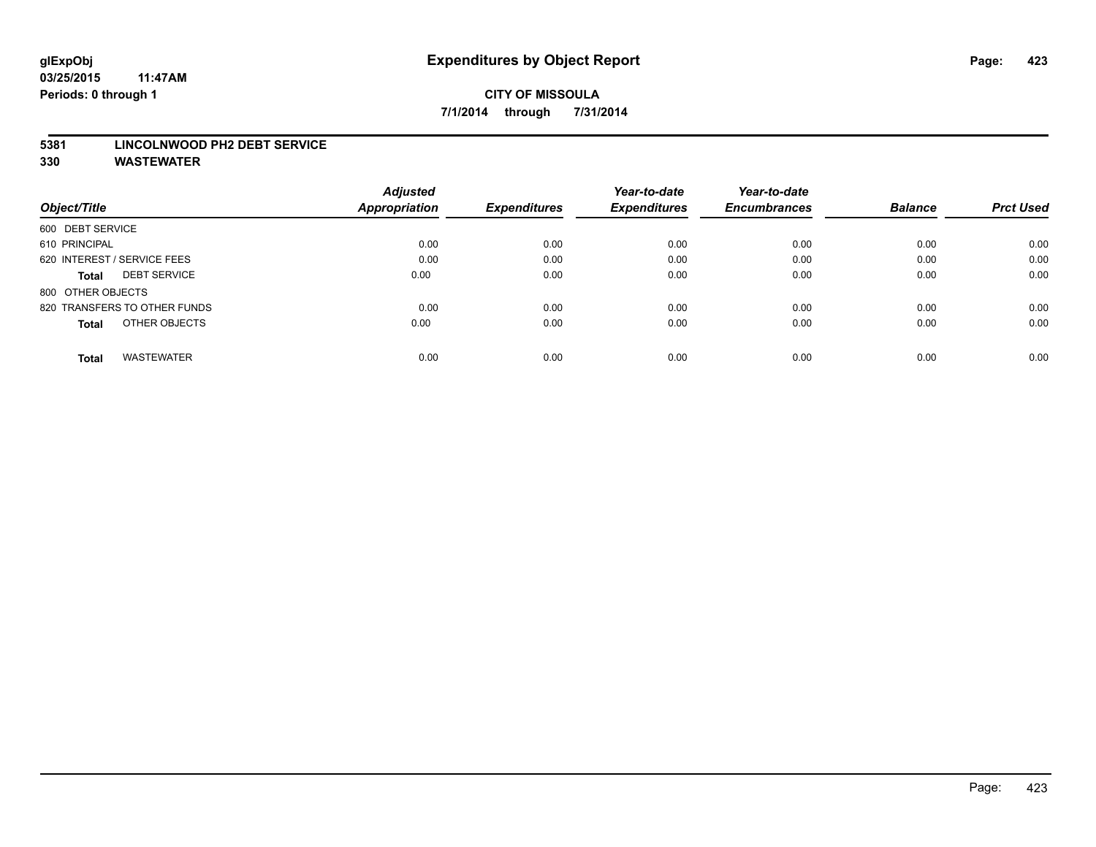#### **5381 LINCOLNWOOD PH2 DEBT SERVICE**

|                                     | <b>Adjusted</b>      |                     | Year-to-date        | Year-to-date        |                |                  |
|-------------------------------------|----------------------|---------------------|---------------------|---------------------|----------------|------------------|
| Object/Title                        | <b>Appropriation</b> | <b>Expenditures</b> | <b>Expenditures</b> | <b>Encumbrances</b> | <b>Balance</b> | <b>Prct Used</b> |
| 600 DEBT SERVICE                    |                      |                     |                     |                     |                |                  |
| 610 PRINCIPAL                       | 0.00                 | 0.00                | 0.00                | 0.00                | 0.00           | 0.00             |
| 620 INTEREST / SERVICE FEES         | 0.00                 | 0.00                | 0.00                | 0.00                | 0.00           | 0.00             |
| <b>DEBT SERVICE</b><br><b>Total</b> | 0.00                 | 0.00                | 0.00                | 0.00                | 0.00           | 0.00             |
| 800 OTHER OBJECTS                   |                      |                     |                     |                     |                |                  |
| 820 TRANSFERS TO OTHER FUNDS        | 0.00                 | 0.00                | 0.00                | 0.00                | 0.00           | 0.00             |
| OTHER OBJECTS<br><b>Total</b>       | 0.00                 | 0.00                | 0.00                | 0.00                | 0.00           | 0.00             |
| <b>WASTEWATER</b><br>Total          | 0.00                 | 0.00                | 0.00                | 0.00                | 0.00           | 0.00             |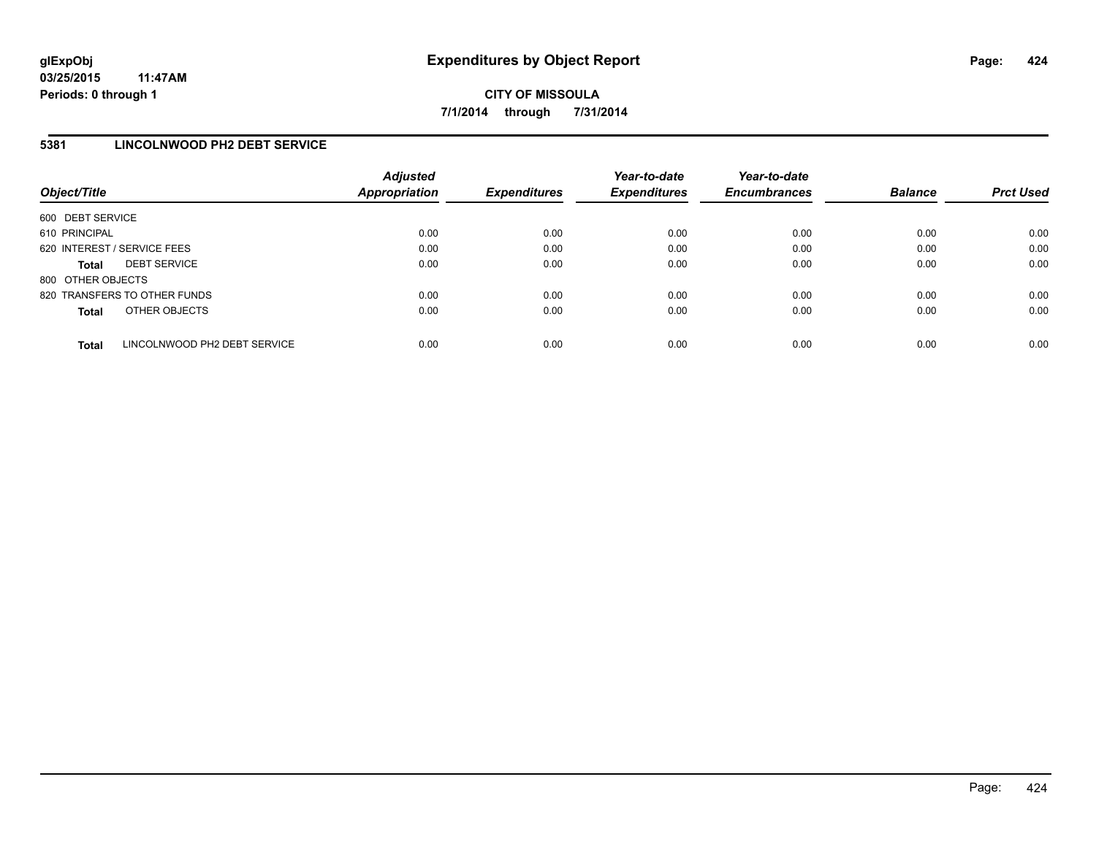# **5381 LINCOLNWOOD PH2 DEBT SERVICE**

| Object/Title      |                              | <b>Adjusted</b><br><b>Appropriation</b> | <b>Expenditures</b> | Year-to-date<br><b>Expenditures</b> | Year-to-date<br><b>Encumbrances</b> | <b>Balance</b> | <b>Prct Used</b> |
|-------------------|------------------------------|-----------------------------------------|---------------------|-------------------------------------|-------------------------------------|----------------|------------------|
| 600 DEBT SERVICE  |                              |                                         |                     |                                     |                                     |                |                  |
| 610 PRINCIPAL     |                              | 0.00                                    | 0.00                | 0.00                                | 0.00                                | 0.00           | 0.00             |
|                   | 620 INTEREST / SERVICE FEES  | 0.00                                    | 0.00                | 0.00                                | 0.00                                | 0.00           | 0.00             |
| <b>Total</b>      | <b>DEBT SERVICE</b>          | 0.00                                    | 0.00                | 0.00                                | 0.00                                | 0.00           | 0.00             |
| 800 OTHER OBJECTS |                              |                                         |                     |                                     |                                     |                |                  |
|                   | 820 TRANSFERS TO OTHER FUNDS | 0.00                                    | 0.00                | 0.00                                | 0.00                                | 0.00           | 0.00             |
| <b>Total</b>      | OTHER OBJECTS                | 0.00                                    | 0.00                | 0.00                                | 0.00                                | 0.00           | 0.00             |
| <b>Total</b>      | LINCOLNWOOD PH2 DEBT SERVICE | 0.00                                    | 0.00                | 0.00                                | 0.00                                | 0.00           | 0.00             |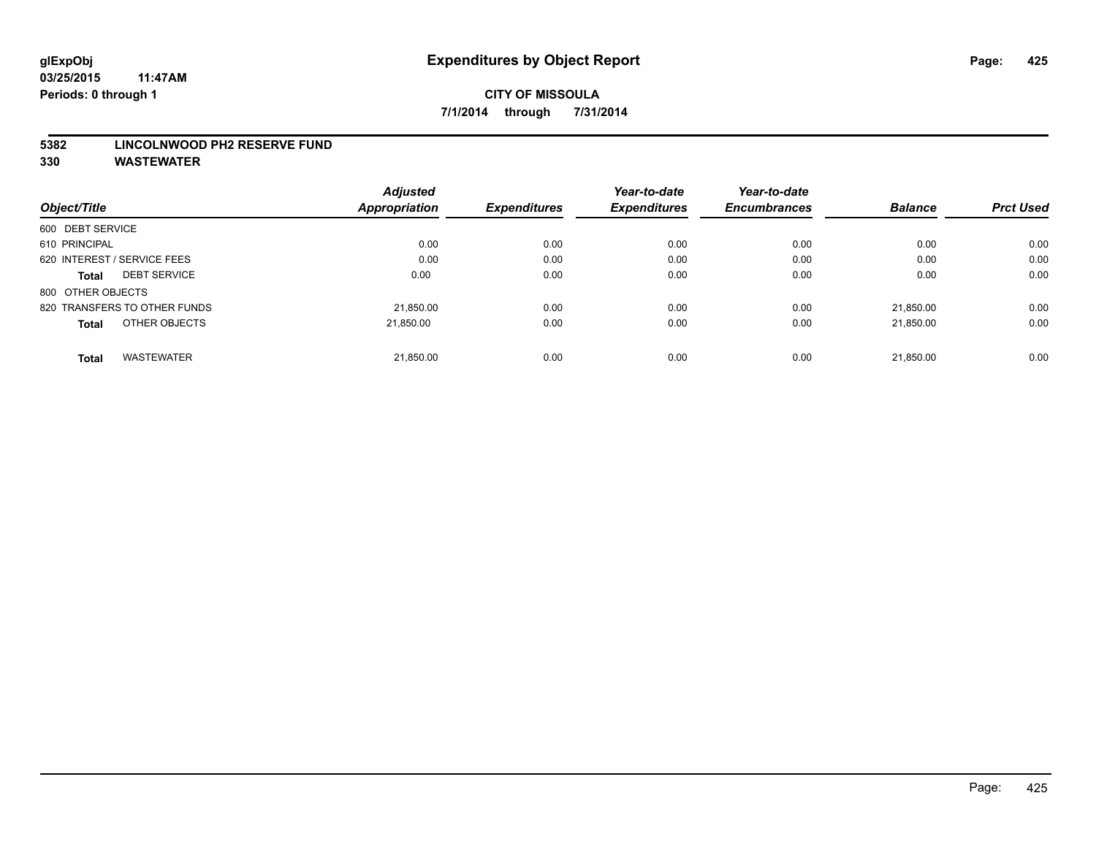#### **5382 LINCOLNWOOD PH2 RESERVE FUND**

|                                     | <b>Adjusted</b> |                     | Year-to-date        | Year-to-date        |                |                  |
|-------------------------------------|-----------------|---------------------|---------------------|---------------------|----------------|------------------|
| Object/Title                        | Appropriation   | <b>Expenditures</b> | <b>Expenditures</b> | <b>Encumbrances</b> | <b>Balance</b> | <b>Prct Used</b> |
| 600 DEBT SERVICE                    |                 |                     |                     |                     |                |                  |
| 610 PRINCIPAL                       | 0.00            | 0.00                | 0.00                | 0.00                | 0.00           | 0.00             |
| 620 INTEREST / SERVICE FEES         | 0.00            | 0.00                | 0.00                | 0.00                | 0.00           | 0.00             |
| <b>DEBT SERVICE</b><br><b>Total</b> | 0.00            | 0.00                | 0.00                | 0.00                | 0.00           | 0.00             |
| 800 OTHER OBJECTS                   |                 |                     |                     |                     |                |                  |
| 820 TRANSFERS TO OTHER FUNDS        | 21,850.00       | 0.00                | 0.00                | 0.00                | 21.850.00      | 0.00             |
| OTHER OBJECTS<br><b>Total</b>       | 21.850.00       | 0.00                | 0.00                | 0.00                | 21.850.00      | 0.00             |
| <b>WASTEWATER</b><br><b>Total</b>   | 21,850.00       | 0.00                | 0.00                | 0.00                | 21.850.00      | 0.00             |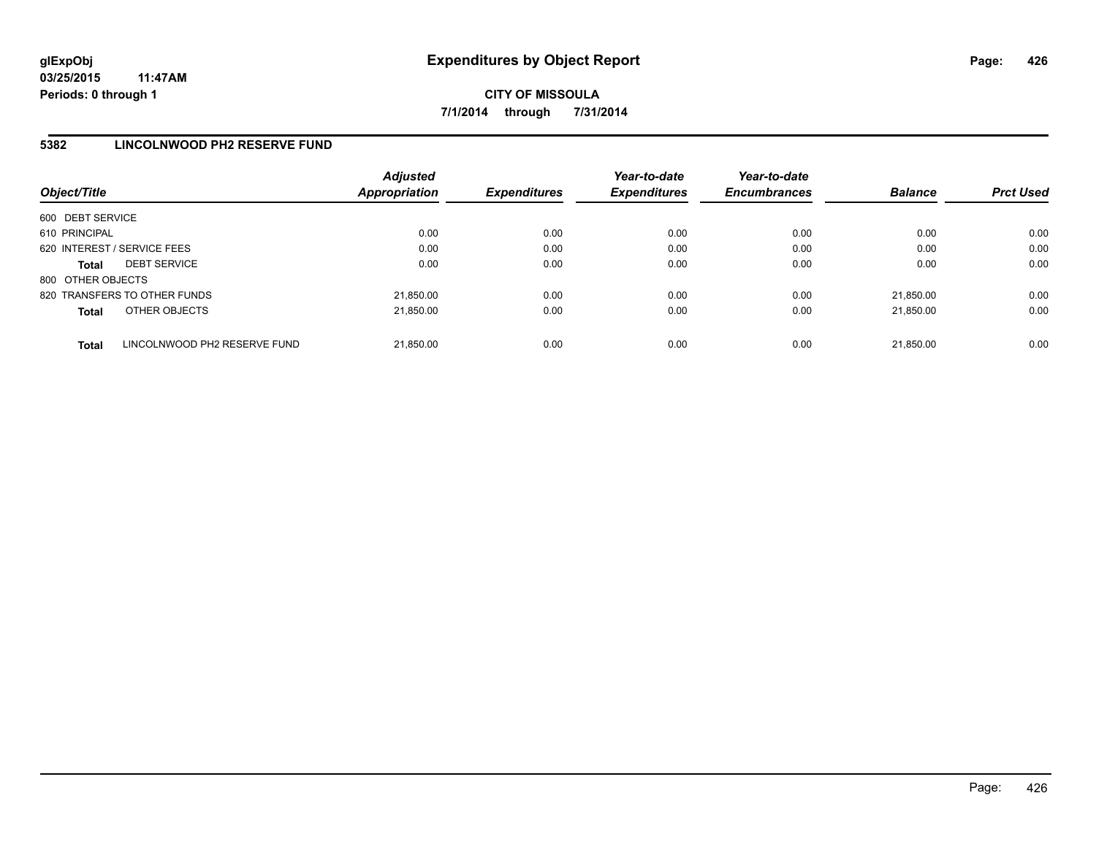## **5382 LINCOLNWOOD PH2 RESERVE FUND**

| Object/Title                |                              | <b>Adjusted</b><br><b>Appropriation</b> | <b>Expenditures</b> | Year-to-date<br><b>Expenditures</b> | Year-to-date<br><b>Encumbrances</b> | <b>Balance</b> | <b>Prct Used</b> |
|-----------------------------|------------------------------|-----------------------------------------|---------------------|-------------------------------------|-------------------------------------|----------------|------------------|
| 600 DEBT SERVICE            |                              |                                         |                     |                                     |                                     |                |                  |
| 610 PRINCIPAL               |                              | 0.00                                    | 0.00                | 0.00                                | 0.00                                | 0.00           | 0.00             |
| 620 INTEREST / SERVICE FEES |                              | 0.00                                    | 0.00                | 0.00                                | 0.00                                | 0.00           | 0.00             |
| <b>Total</b>                | <b>DEBT SERVICE</b>          | 0.00                                    | 0.00                | 0.00                                | 0.00                                | 0.00           | 0.00             |
| 800 OTHER OBJECTS           |                              |                                         |                     |                                     |                                     |                |                  |
|                             | 820 TRANSFERS TO OTHER FUNDS | 21.850.00                               | 0.00                | 0.00                                | 0.00                                | 21.850.00      | 0.00             |
| <b>Total</b>                | OTHER OBJECTS                | 21.850.00                               | 0.00                | 0.00                                | 0.00                                | 21.850.00      | 0.00             |
| <b>Total</b>                | LINCOLNWOOD PH2 RESERVE FUND | 21.850.00                               | 0.00                | 0.00                                | 0.00                                | 21.850.00      | 0.00             |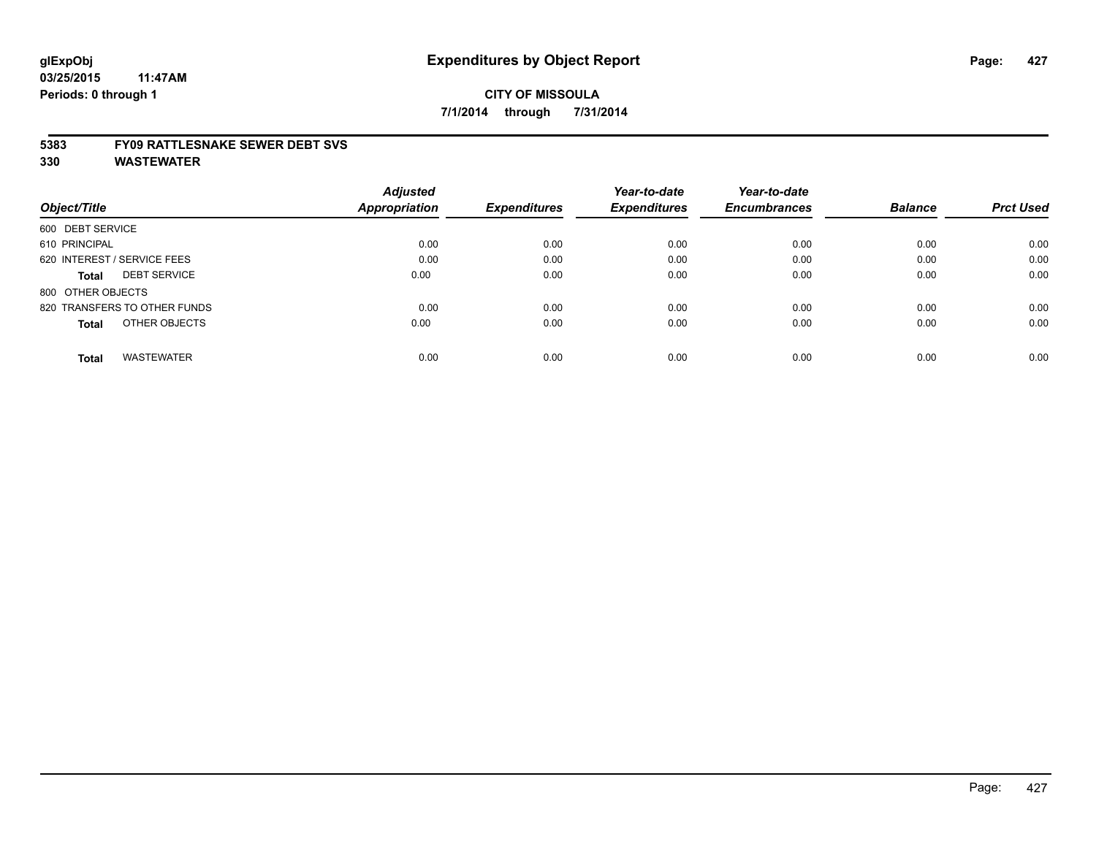#### **5383 FY09 RATTLESNAKE SEWER DEBT SVS**

|                                     | <b>Adjusted</b> |                     | Year-to-date        | Year-to-date        |                |                  |
|-------------------------------------|-----------------|---------------------|---------------------|---------------------|----------------|------------------|
| Object/Title                        | Appropriation   | <b>Expenditures</b> | <b>Expenditures</b> | <b>Encumbrances</b> | <b>Balance</b> | <b>Prct Used</b> |
| 600 DEBT SERVICE                    |                 |                     |                     |                     |                |                  |
| 610 PRINCIPAL                       | 0.00            | 0.00                | 0.00                | 0.00                | 0.00           | 0.00             |
| 620 INTEREST / SERVICE FEES         | 0.00            | 0.00                | 0.00                | 0.00                | 0.00           | 0.00             |
| <b>DEBT SERVICE</b><br><b>Total</b> | 0.00            | 0.00                | 0.00                | 0.00                | 0.00           | 0.00             |
| 800 OTHER OBJECTS                   |                 |                     |                     |                     |                |                  |
| 820 TRANSFERS TO OTHER FUNDS        | 0.00            | 0.00                | 0.00                | 0.00                | 0.00           | 0.00             |
| OTHER OBJECTS<br><b>Total</b>       | 0.00            | 0.00                | 0.00                | 0.00                | 0.00           | 0.00             |
| <b>WASTEWATER</b><br><b>Total</b>   | 0.00            | 0.00                | 0.00                | 0.00                | 0.00           | 0.00             |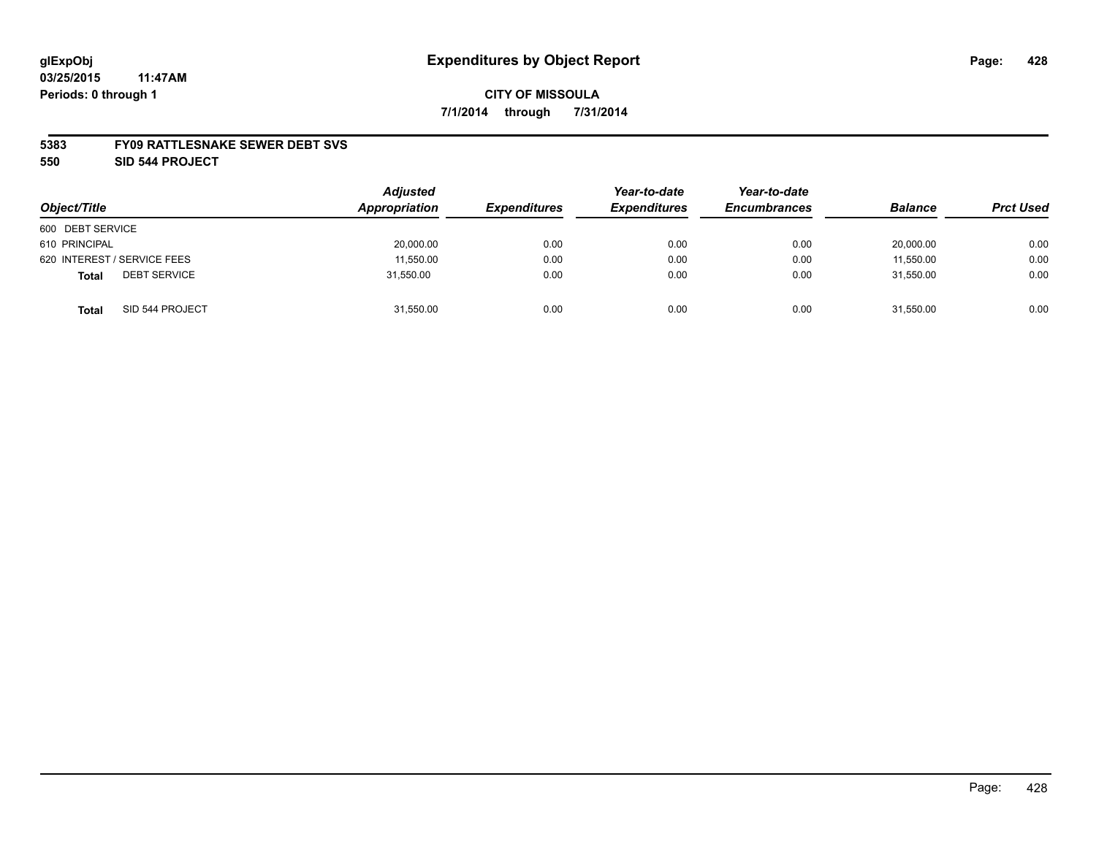#### **5383 FY09 RATTLESNAKE SEWER DEBT SVS**

**550 SID 544 PROJECT**

| Object/Title                        | <b>Adjusted</b><br>Appropriation | <b>Expenditures</b> | Year-to-date<br><b>Expenditures</b> | Year-to-date<br><b>Encumbrances</b> | <b>Balance</b> | <b>Prct Used</b> |
|-------------------------------------|----------------------------------|---------------------|-------------------------------------|-------------------------------------|----------------|------------------|
| 600 DEBT SERVICE                    |                                  |                     |                                     |                                     |                |                  |
| 610 PRINCIPAL                       | 20,000.00                        | 0.00                | 0.00                                | 0.00                                | 20,000.00      | 0.00             |
| 620 INTEREST / SERVICE FEES         | 11,550.00                        | 0.00                | 0.00                                | 0.00                                | 11.550.00      | 0.00             |
| <b>DEBT SERVICE</b><br><b>Total</b> | 31,550.00                        | 0.00                | 0.00                                | 0.00                                | 31,550.00      | 0.00             |
| SID 544 PROJECT<br><b>Total</b>     | 31,550.00                        | 0.00                | 0.00                                | 0.00                                | 31,550.00      | 0.00             |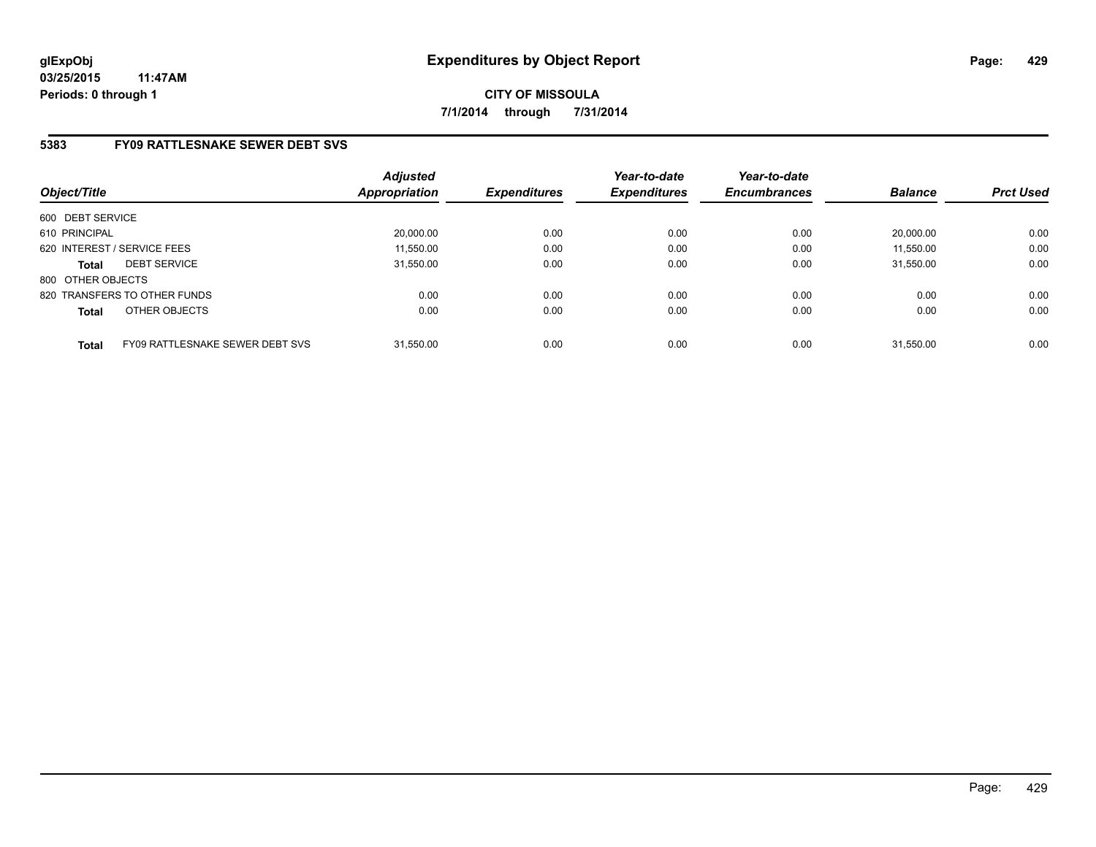**CITY OF MISSOULA 7/1/2014 through 7/31/2014**

# **5383 FY09 RATTLESNAKE SEWER DEBT SVS**

| Object/Title      |                                 | <b>Adjusted</b><br><b>Appropriation</b> | <b>Expenditures</b> | Year-to-date<br><b>Expenditures</b> | Year-to-date<br><b>Encumbrances</b> | <b>Balance</b> | <b>Prct Used</b> |
|-------------------|---------------------------------|-----------------------------------------|---------------------|-------------------------------------|-------------------------------------|----------------|------------------|
| 600 DEBT SERVICE  |                                 |                                         |                     |                                     |                                     |                |                  |
| 610 PRINCIPAL     |                                 | 20,000.00                               | 0.00                | 0.00                                | 0.00                                | 20.000.00      | 0.00             |
|                   | 620 INTEREST / SERVICE FEES     | 11,550.00                               | 0.00                | 0.00                                | 0.00                                | 11,550.00      | 0.00             |
| <b>Total</b>      | <b>DEBT SERVICE</b>             | 31,550.00                               | 0.00                | 0.00                                | 0.00                                | 31.550.00      | 0.00             |
| 800 OTHER OBJECTS |                                 |                                         |                     |                                     |                                     |                |                  |
|                   | 820 TRANSFERS TO OTHER FUNDS    | 0.00                                    | 0.00                | 0.00                                | 0.00                                | 0.00           | 0.00             |
| <b>Total</b>      | OTHER OBJECTS                   | 0.00                                    | 0.00                | 0.00                                | 0.00                                | 0.00           | 0.00             |
| <b>Total</b>      | FY09 RATTLESNAKE SEWER DEBT SVS | 31.550.00                               | 0.00                | 0.00                                | 0.00                                | 31.550.00      | 0.00             |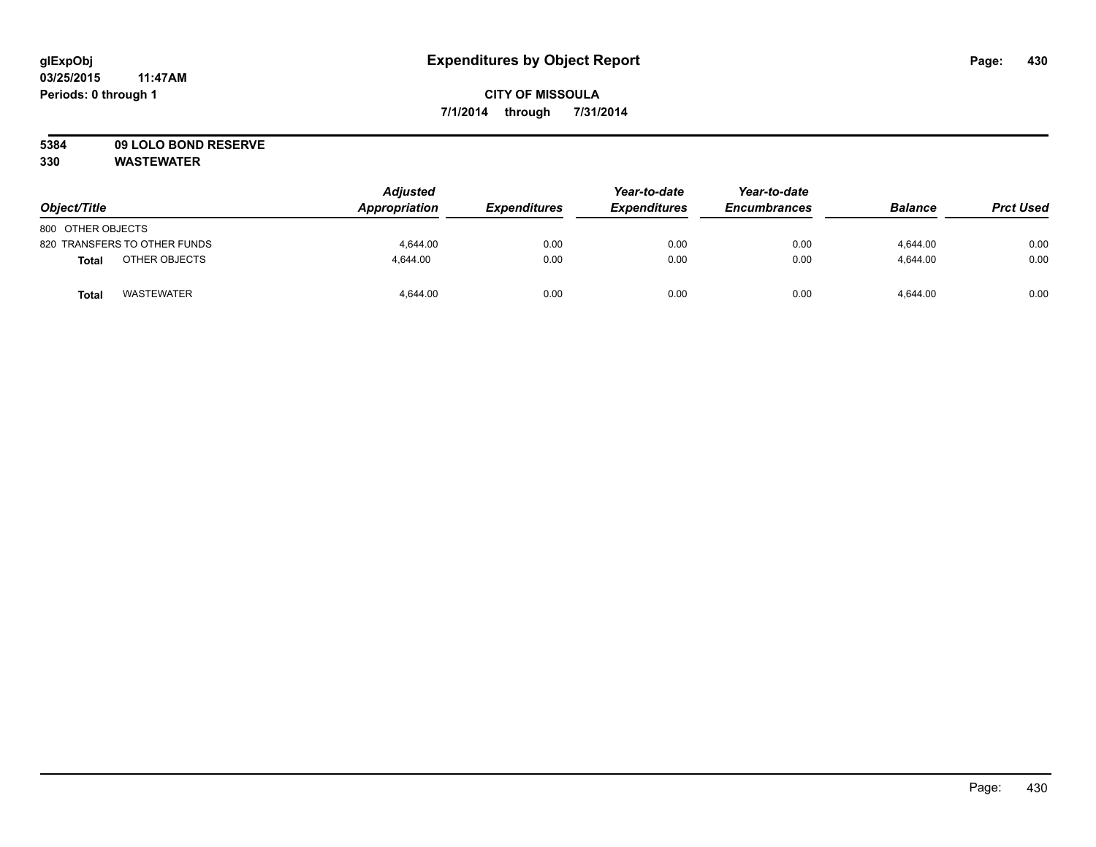# **CITY OF MISSOULA 7/1/2014 through 7/31/2014**

# **5384 09 LOLO BOND RESERVE**

| Object/Title                      | <b>Adjusted</b><br>Appropriation | <b>Expenditures</b> | Year-to-date<br><b>Expenditures</b> | Year-to-date<br><b>Encumbrances</b> | <b>Balance</b> | <b>Prct Used</b> |
|-----------------------------------|----------------------------------|---------------------|-------------------------------------|-------------------------------------|----------------|------------------|
| 800 OTHER OBJECTS                 |                                  |                     |                                     |                                     |                |                  |
| 820 TRANSFERS TO OTHER FUNDS      | 4.644.00                         | 0.00                | 0.00                                | 0.00                                | 4.644.00       | 0.00             |
| OTHER OBJECTS<br>Total            | 4.644.00                         | 0.00                | 0.00                                | 0.00                                | 4.644.00       | 0.00             |
| <b>WASTEWATER</b><br><b>Total</b> | 4,644.00                         | 0.00                | 0.00                                | 0.00                                | 4,644.00       | 0.00             |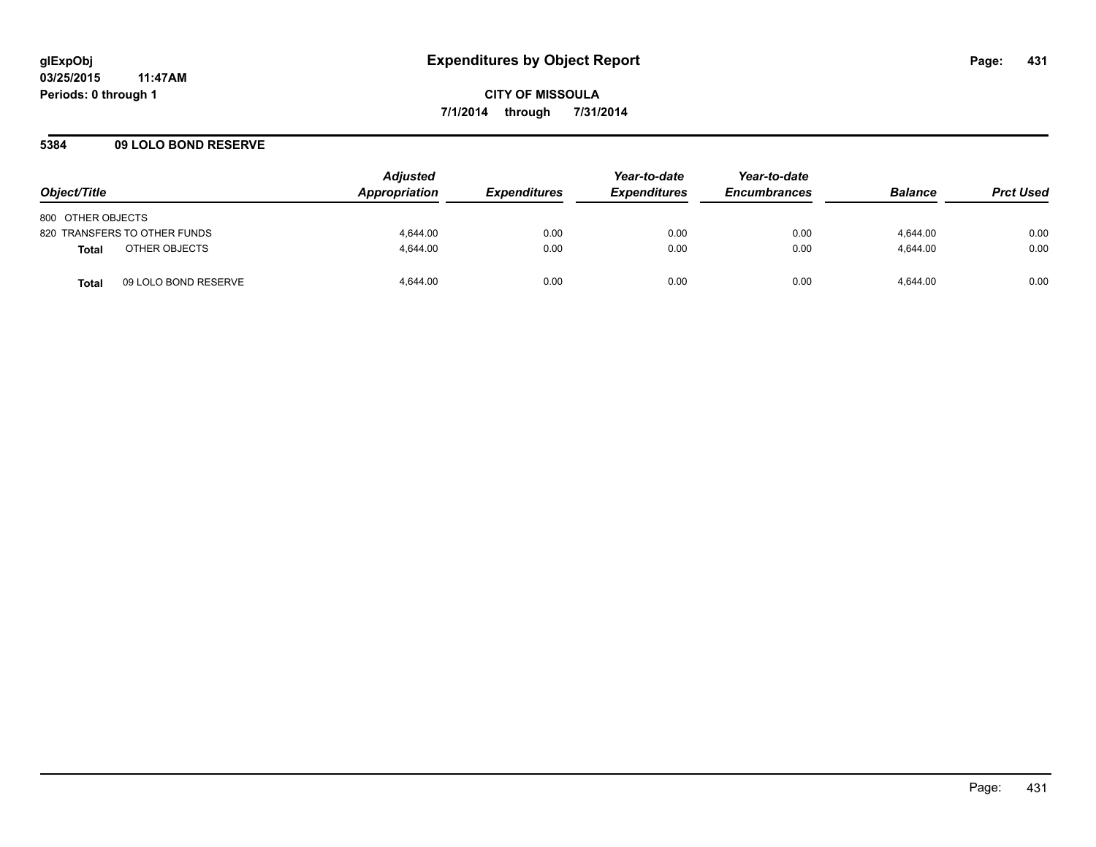## **5384 09 LOLO BOND RESERVE**

| Object/Title                         | <b>Adjusted</b><br><b>Appropriation</b> | <i><b>Expenditures</b></i> | Year-to-date<br><b>Expenditures</b> | Year-to-date<br><b>Encumbrances</b> | <b>Balance</b> | <b>Prct Used</b> |
|--------------------------------------|-----------------------------------------|----------------------------|-------------------------------------|-------------------------------------|----------------|------------------|
| 800 OTHER OBJECTS                    |                                         |                            |                                     |                                     |                |                  |
| 820 TRANSFERS TO OTHER FUNDS         | 4,644.00                                | 0.00                       | 0.00                                | 0.00                                | 4,644.00       | 0.00             |
| OTHER OBJECTS<br><b>Total</b>        | 4.644.00                                | 0.00                       | 0.00                                | 0.00                                | 4.644.00       | 0.00             |
| 09 LOLO BOND RESERVE<br><b>Total</b> | 4,644.00                                | 0.00                       | 0.00                                | 0.00                                | 4,644.00       | 0.00             |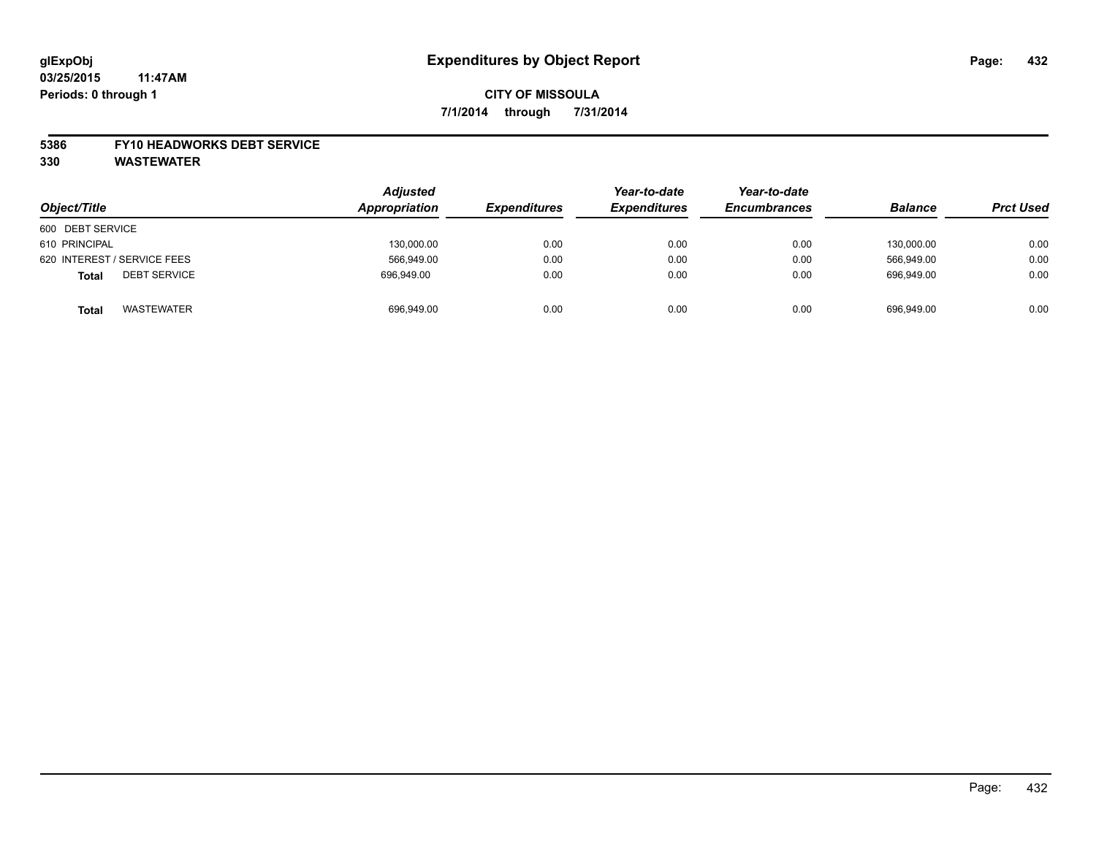# **CITY OF MISSOULA 7/1/2014 through 7/31/2014**

#### **5386 FY10 HEADWORKS DEBT SERVICE**

| Object/Title                        | <b>Adjusted</b><br>Appropriation | <b>Expenditures</b> | Year-to-date<br><b>Expenditures</b> | Year-to-date<br><b>Encumbrances</b> | <b>Balance</b> | <b>Prct Used</b> |
|-------------------------------------|----------------------------------|---------------------|-------------------------------------|-------------------------------------|----------------|------------------|
| 600 DEBT SERVICE                    |                                  |                     |                                     |                                     |                |                  |
| 610 PRINCIPAL                       | 130,000.00                       | 0.00                | 0.00                                | 0.00                                | 130,000.00     | 0.00             |
| 620 INTEREST / SERVICE FEES         | 566,949.00                       | 0.00                | 0.00                                | 0.00                                | 566.949.00     | 0.00             |
| <b>DEBT SERVICE</b><br><b>Total</b> | 696.949.00                       | 0.00                | 0.00                                | 0.00                                | 696.949.00     | 0.00             |
| <b>WASTEWATER</b><br><b>Total</b>   | 696,949.00                       | 0.00                | 0.00                                | 0.00                                | 696.949.00     | 0.00             |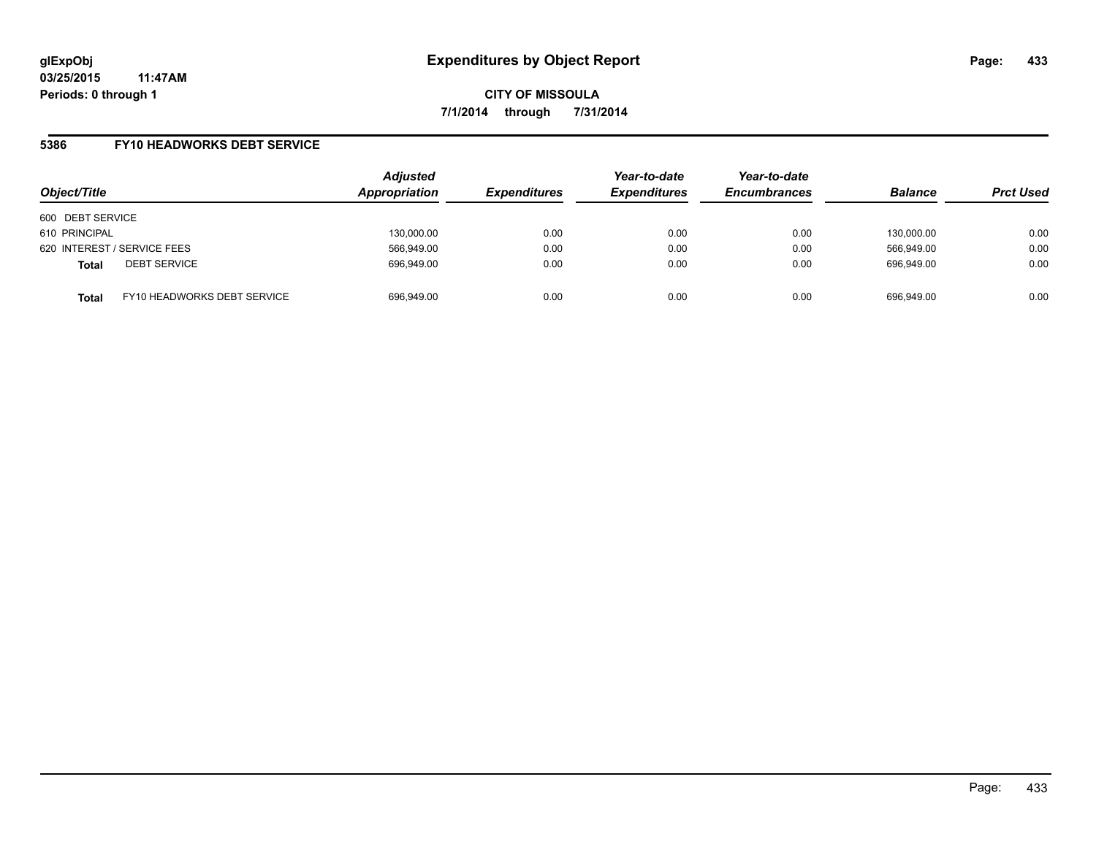**CITY OF MISSOULA 7/1/2014 through 7/31/2014**

## **5386 FY10 HEADWORKS DEBT SERVICE**

| Object/Title                                | <b>Adjusted</b><br>Appropriation | <b>Expenditures</b> | Year-to-date<br><b>Expenditures</b> | Year-to-date<br><b>Encumbrances</b> | <b>Balance</b> | <b>Prct Used</b> |
|---------------------------------------------|----------------------------------|---------------------|-------------------------------------|-------------------------------------|----------------|------------------|
| 600 DEBT SERVICE                            |                                  |                     |                                     |                                     |                |                  |
| 610 PRINCIPAL                               | 130,000.00                       | 0.00                | 0.00                                | 0.00                                | 130.000.00     | 0.00             |
| 620 INTEREST / SERVICE FEES                 | 566,949.00                       | 0.00                | 0.00                                | 0.00                                | 566.949.00     | 0.00             |
| <b>DEBT SERVICE</b><br><b>Total</b>         | 696,949.00                       | 0.00                | 0.00                                | 0.00                                | 696.949.00     | 0.00             |
| FY10 HEADWORKS DEBT SERVICE<br><b>Total</b> | 696,949.00                       | 0.00                | 0.00                                | 0.00                                | 696.949.00     | 0.00             |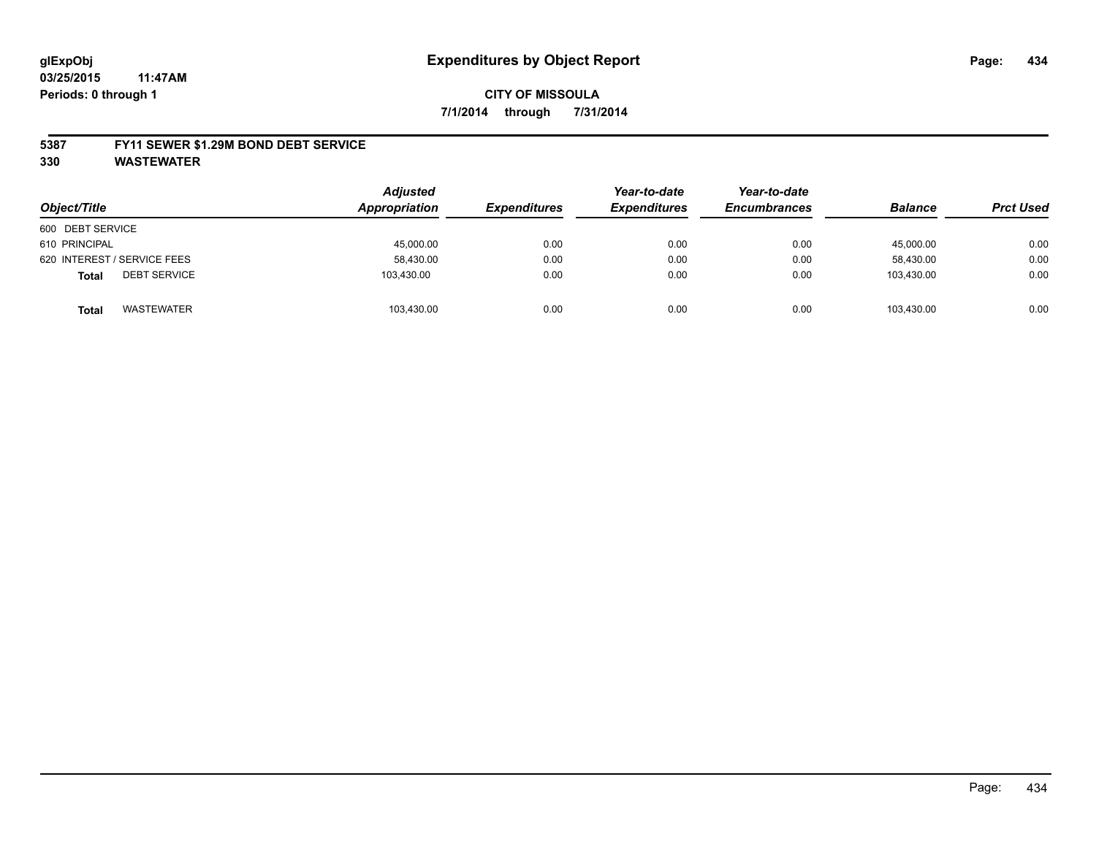# **CITY OF MISSOULA 7/1/2014 through 7/31/2014**

### **5387 FY11 SEWER \$1.29M BOND DEBT SERVICE**

**330 WASTEWATER**

| Object/Title                        | <b>Adjusted</b><br>Appropriation | <b>Expenditures</b> | Year-to-date<br><b>Expenditures</b> | Year-to-date<br><b>Encumbrances</b> | <b>Balance</b> | <b>Prct Used</b> |
|-------------------------------------|----------------------------------|---------------------|-------------------------------------|-------------------------------------|----------------|------------------|
| 600 DEBT SERVICE                    |                                  |                     |                                     |                                     |                |                  |
| 610 PRINCIPAL                       | 45,000.00                        | 0.00                | 0.00                                | 0.00                                | 45.000.00      | 0.00             |
| 620 INTEREST / SERVICE FEES         | 58,430.00                        | 0.00                | 0.00                                | 0.00                                | 58.430.00      | 0.00             |
| <b>DEBT SERVICE</b><br><b>Total</b> | 103,430.00                       | 0.00                | 0.00                                | 0.00                                | 103.430.00     | 0.00             |
| WASTEWATER<br><b>Total</b>          | 103,430.00                       | 0.00                | 0.00                                | 0.00                                | 103.430.00     | 0.00             |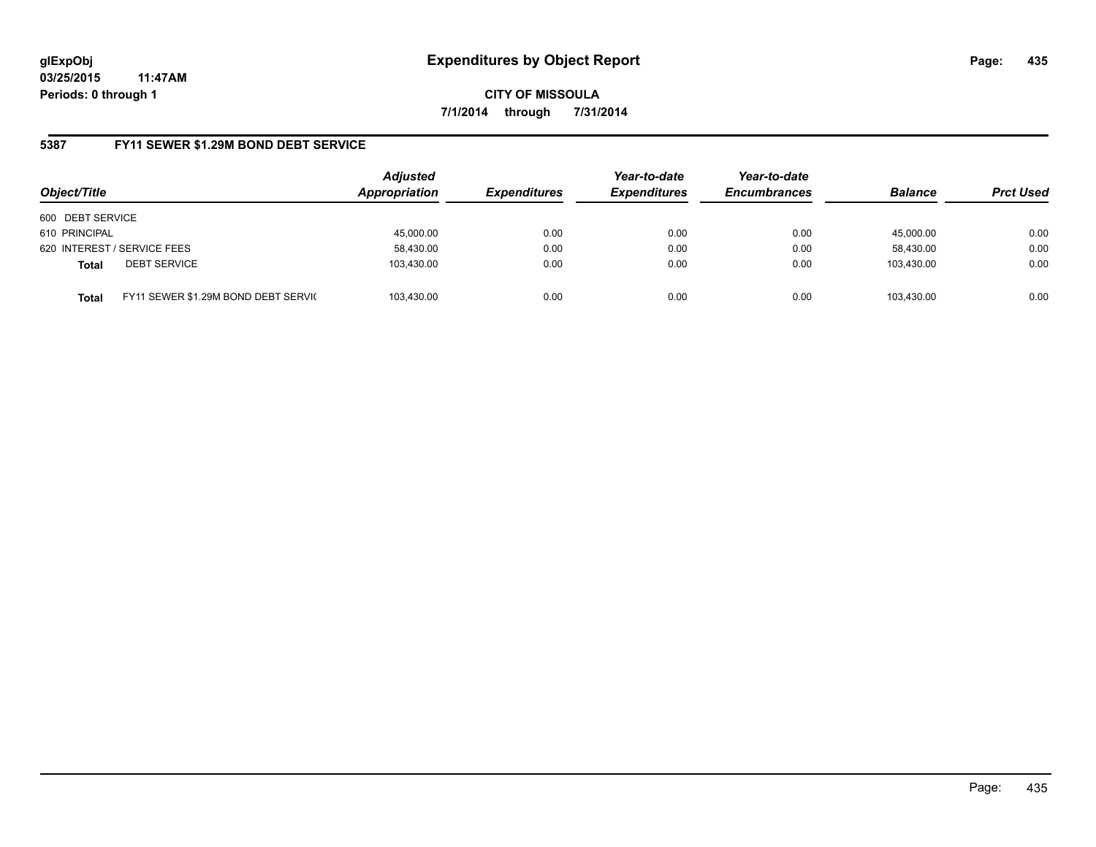**CITY OF MISSOULA 7/1/2014 through 7/31/2014**

## **5387 FY11 SEWER \$1.29M BOND DEBT SERVICE**

| Object/Title     |                                      | <b>Adjusted</b><br>Appropriation | <b>Expenditures</b> | Year-to-date<br><b>Expenditures</b> | Year-to-date<br><b>Encumbrances</b> | <b>Balance</b> | <b>Prct Used</b> |
|------------------|--------------------------------------|----------------------------------|---------------------|-------------------------------------|-------------------------------------|----------------|------------------|
| 600 DEBT SERVICE |                                      |                                  |                     |                                     |                                     |                |                  |
| 610 PRINCIPAL    |                                      | 45,000.00                        | 0.00                | 0.00                                | 0.00                                | 45.000.00      | 0.00             |
|                  | 620 INTEREST / SERVICE FEES          | 58,430.00                        | 0.00                | 0.00                                | 0.00                                | 58,430.00      | 0.00             |
| <b>Total</b>     | <b>DEBT SERVICE</b>                  | 103,430.00                       | 0.00                | 0.00                                | 0.00                                | 103.430.00     | 0.00             |
| <b>Total</b>     | FY11 SEWER \$1.29M BOND DEBT SERVICE | 103,430.00                       | 0.00                | 0.00                                | 0.00                                | 103.430.00     | 0.00             |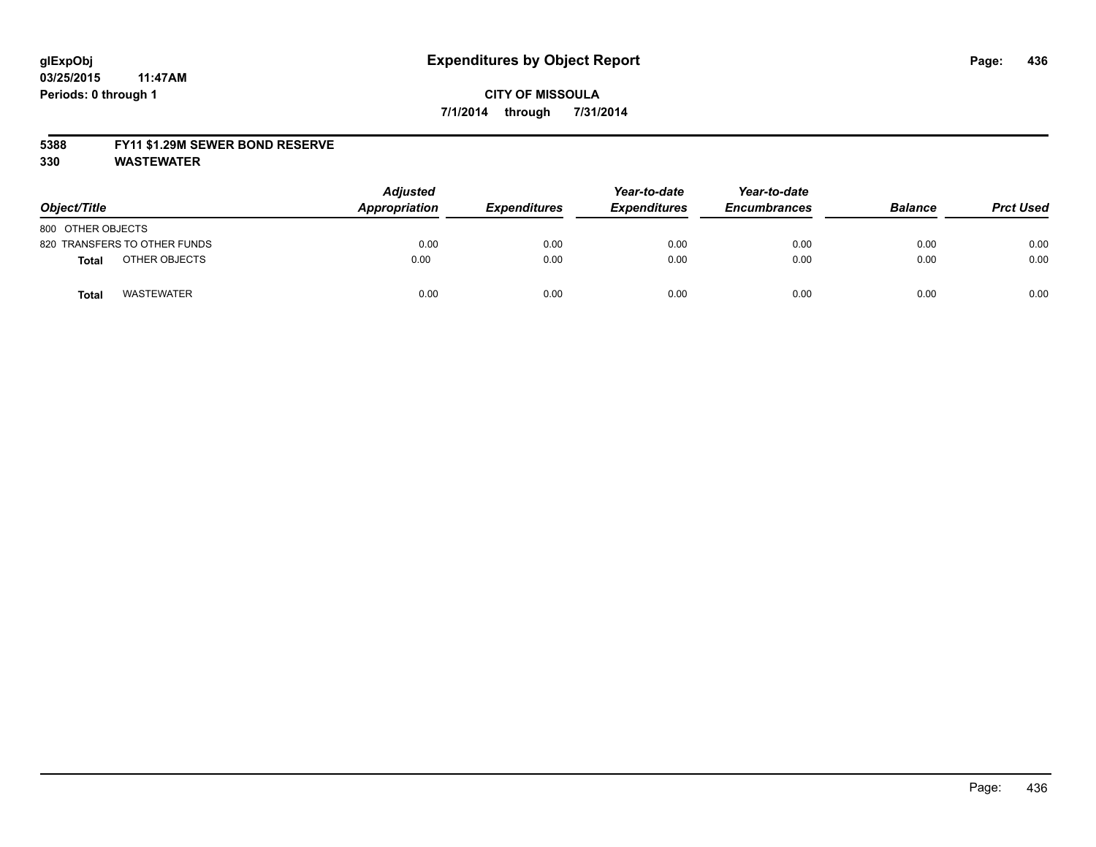### **5388 FY11 \$1.29M SEWER BOND RESERVE**

**330 WASTEWATER**

| Object/Title                  | <b>Adjusted</b><br>Appropriation | <b>Expenditures</b> | Year-to-date<br><b>Expenditures</b> | Year-to-date<br><b>Encumbrances</b> | <b>Balance</b> | <b>Prct Used</b> |
|-------------------------------|----------------------------------|---------------------|-------------------------------------|-------------------------------------|----------------|------------------|
| 800 OTHER OBJECTS             |                                  |                     |                                     |                                     |                |                  |
| 820 TRANSFERS TO OTHER FUNDS  | 0.00                             | 0.00                | 0.00                                | 0.00                                | 0.00           | 0.00             |
| OTHER OBJECTS<br><b>Total</b> | 0.00                             | 0.00                | 0.00                                | 0.00                                | 0.00           | 0.00             |
| <b>WASTEWATER</b><br>Tota     | 0.00                             | 0.00                | 0.00                                | 0.00                                | 0.00           | 0.00             |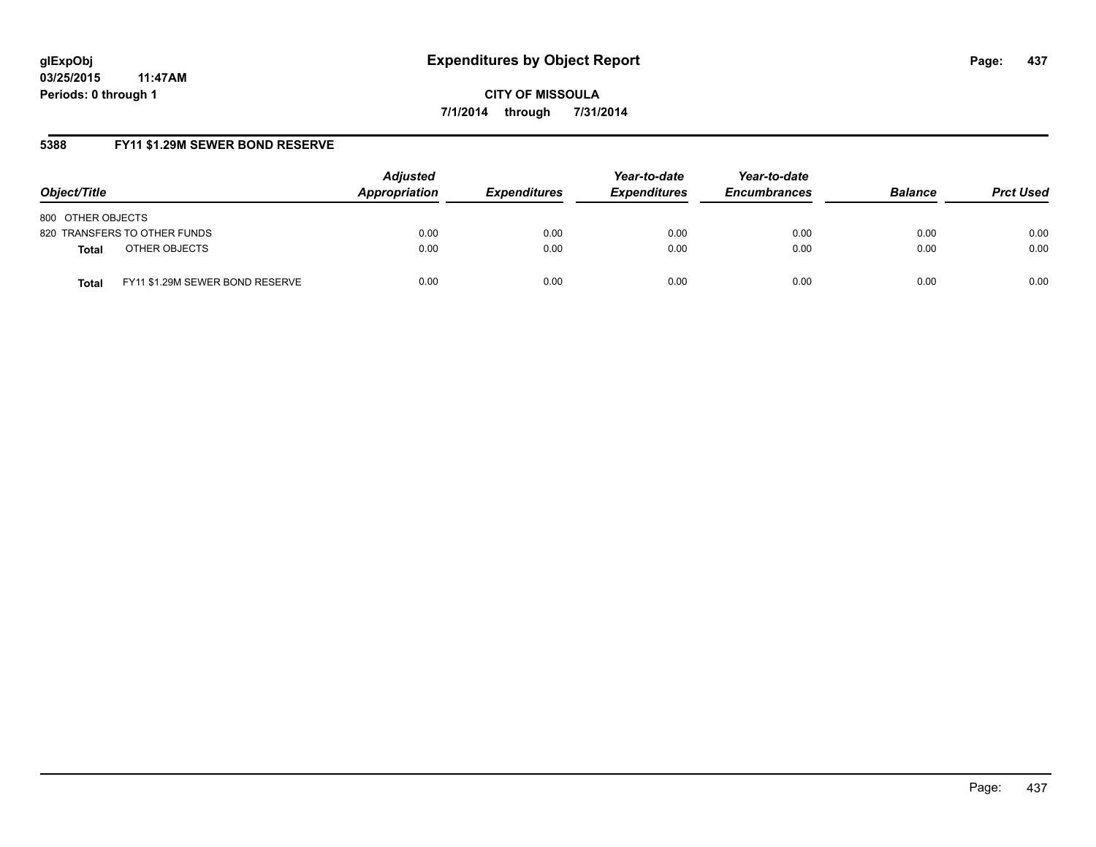**CITY OF MISSOULA 7/1/2014 through 7/31/2014**

# **5388 FY11 \$1.29M SEWER BOND RESERVE**

| Object/Title                                    | <b>Adjusted</b><br>Appropriation | <b>Expenditures</b> | Year-to-date<br><b>Expenditures</b> | Year-to-date<br><b>Encumbrances</b> | <b>Balance</b> | <b>Prct Used</b> |
|-------------------------------------------------|----------------------------------|---------------------|-------------------------------------|-------------------------------------|----------------|------------------|
| 800 OTHER OBJECTS                               |                                  |                     |                                     |                                     |                |                  |
| 820 TRANSFERS TO OTHER FUNDS                    | 0.00                             | 0.00                | 0.00                                | 0.00                                | 0.00           | 0.00             |
| OTHER OBJECTS<br><b>Total</b>                   | 0.00                             | 0.00                | 0.00                                | 0.00                                | 0.00           | 0.00             |
| FY11 \$1.29M SEWER BOND RESERVE<br><b>Total</b> | 0.00                             | 0.00                | 0.00                                | 0.00                                | 0.00           | 0.00             |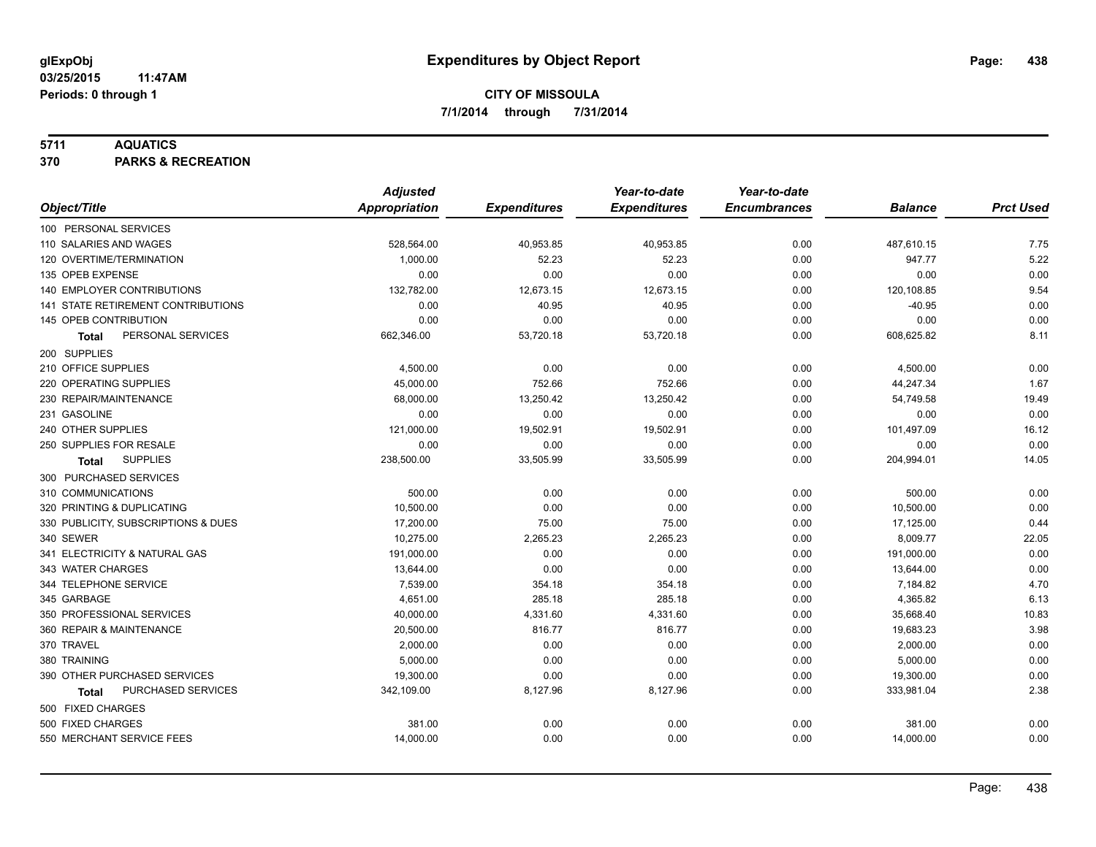## **5711 AQUATICS**

**370 PARKS & RECREATION**

|                                           | <b>Adjusted</b>      |                     | Year-to-date        | Year-to-date        |                |                  |
|-------------------------------------------|----------------------|---------------------|---------------------|---------------------|----------------|------------------|
| Object/Title                              | <b>Appropriation</b> | <b>Expenditures</b> | <b>Expenditures</b> | <b>Encumbrances</b> | <b>Balance</b> | <b>Prct Used</b> |
| 100 PERSONAL SERVICES                     |                      |                     |                     |                     |                |                  |
| 110 SALARIES AND WAGES                    | 528,564.00           | 40,953.85           | 40,953.85           | 0.00                | 487,610.15     | 7.75             |
| 120 OVERTIME/TERMINATION                  | 1,000.00             | 52.23               | 52.23               | 0.00                | 947.77         | 5.22             |
| 135 OPEB EXPENSE                          | 0.00                 | 0.00                | 0.00                | 0.00                | 0.00           | 0.00             |
| 140 EMPLOYER CONTRIBUTIONS                | 132,782.00           | 12,673.15           | 12,673.15           | 0.00                | 120,108.85     | 9.54             |
| <b>141 STATE RETIREMENT CONTRIBUTIONS</b> | 0.00                 | 40.95               | 40.95               | 0.00                | $-40.95$       | 0.00             |
| 145 OPEB CONTRIBUTION                     | 0.00                 | 0.00                | 0.00                | 0.00                | 0.00           | 0.00             |
| PERSONAL SERVICES<br><b>Total</b>         | 662,346.00           | 53,720.18           | 53,720.18           | 0.00                | 608,625.82     | 8.11             |
| 200 SUPPLIES                              |                      |                     |                     |                     |                |                  |
| 210 OFFICE SUPPLIES                       | 4,500.00             | 0.00                | 0.00                | 0.00                | 4,500.00       | 0.00             |
| 220 OPERATING SUPPLIES                    | 45,000.00            | 752.66              | 752.66              | 0.00                | 44,247.34      | 1.67             |
| 230 REPAIR/MAINTENANCE                    | 68,000.00            | 13,250.42           | 13,250.42           | 0.00                | 54,749.58      | 19.49            |
| 231 GASOLINE                              | 0.00                 | 0.00                | 0.00                | 0.00                | 0.00           | 0.00             |
| 240 OTHER SUPPLIES                        | 121,000.00           | 19,502.91           | 19,502.91           | 0.00                | 101,497.09     | 16.12            |
| 250 SUPPLIES FOR RESALE                   | 0.00                 | 0.00                | 0.00                | 0.00                | 0.00           | 0.00             |
| <b>SUPPLIES</b><br>Total                  | 238,500.00           | 33,505.99           | 33,505.99           | 0.00                | 204,994.01     | 14.05            |
| 300 PURCHASED SERVICES                    |                      |                     |                     |                     |                |                  |
| 310 COMMUNICATIONS                        | 500.00               | 0.00                | 0.00                | 0.00                | 500.00         | 0.00             |
| 320 PRINTING & DUPLICATING                | 10,500.00            | 0.00                | 0.00                | 0.00                | 10,500.00      | 0.00             |
| 330 PUBLICITY, SUBSCRIPTIONS & DUES       | 17,200.00            | 75.00               | 75.00               | 0.00                | 17,125.00      | 0.44             |
| 340 SEWER                                 | 10,275.00            | 2,265.23            | 2,265.23            | 0.00                | 8,009.77       | 22.05            |
| 341 ELECTRICITY & NATURAL GAS             | 191,000.00           | 0.00                | 0.00                | 0.00                | 191,000.00     | 0.00             |
| 343 WATER CHARGES                         | 13,644.00            | 0.00                | 0.00                | 0.00                | 13,644.00      | 0.00             |
| 344 TELEPHONE SERVICE                     | 7,539.00             | 354.18              | 354.18              | 0.00                | 7,184.82       | 4.70             |
| 345 GARBAGE                               | 4,651.00             | 285.18              | 285.18              | 0.00                | 4,365.82       | 6.13             |
| 350 PROFESSIONAL SERVICES                 | 40,000.00            | 4,331.60            | 4,331.60            | 0.00                | 35,668.40      | 10.83            |
| 360 REPAIR & MAINTENANCE                  | 20,500.00            | 816.77              | 816.77              | 0.00                | 19,683.23      | 3.98             |
| 370 TRAVEL                                | 2,000.00             | 0.00                | 0.00                | 0.00                | 2,000.00       | 0.00             |
| 380 TRAINING                              | 5,000.00             | 0.00                | 0.00                | 0.00                | 5,000.00       | 0.00             |
| 390 OTHER PURCHASED SERVICES              | 19,300.00            | 0.00                | 0.00                | 0.00                | 19,300.00      | 0.00             |
| PURCHASED SERVICES<br><b>Total</b>        | 342,109.00           | 8,127.96            | 8,127.96            | 0.00                | 333,981.04     | 2.38             |
| 500 FIXED CHARGES                         |                      |                     |                     |                     |                |                  |
| 500 FIXED CHARGES                         | 381.00               | 0.00                | 0.00                | 0.00                | 381.00         | 0.00             |
| 550 MERCHANT SERVICE FEES                 | 14,000.00            | 0.00                | 0.00                | 0.00                | 14,000.00      | 0.00             |
|                                           |                      |                     |                     |                     |                |                  |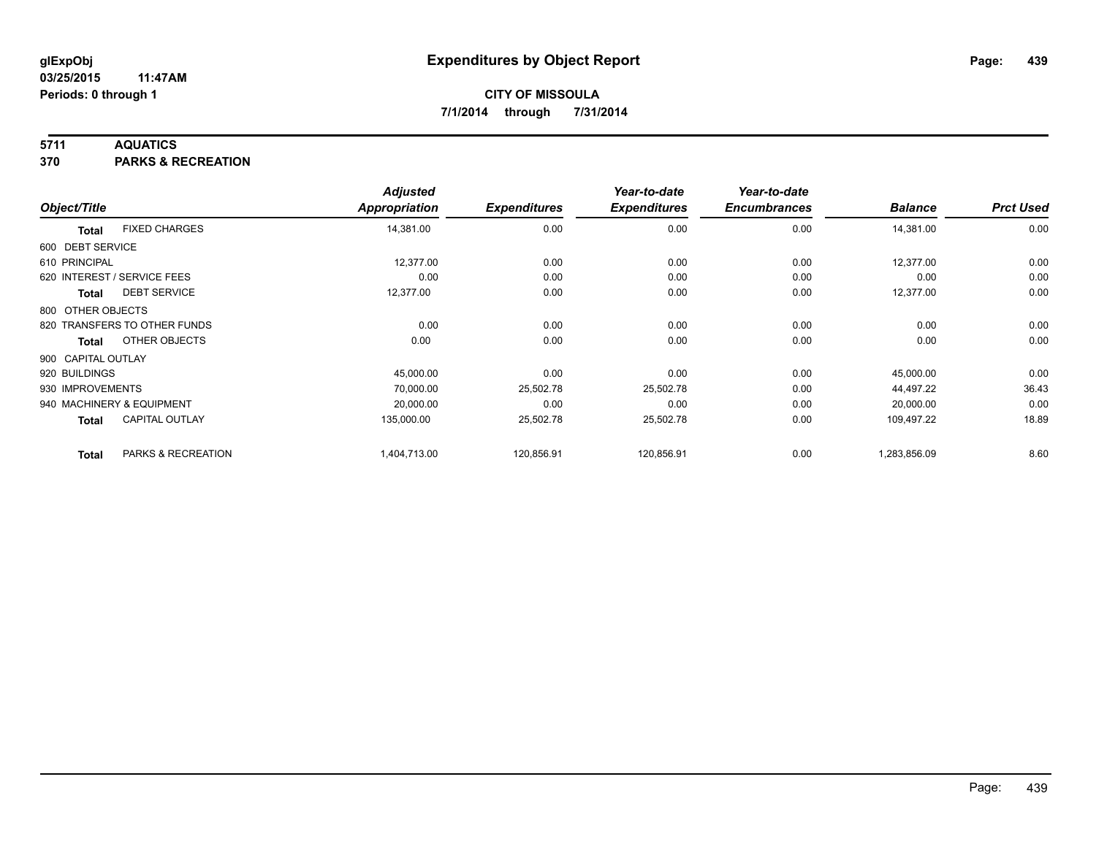## **5711 AQUATICS**

**370 PARKS & RECREATION**

|                    |                              | <b>Adjusted</b>      |                     | Year-to-date        | Year-to-date        |                |                  |
|--------------------|------------------------------|----------------------|---------------------|---------------------|---------------------|----------------|------------------|
| Object/Title       |                              | <b>Appropriation</b> | <b>Expenditures</b> | <b>Expenditures</b> | <b>Encumbrances</b> | <b>Balance</b> | <b>Prct Used</b> |
| <b>Total</b>       | <b>FIXED CHARGES</b>         | 14,381.00            | 0.00                | 0.00                | 0.00                | 14,381.00      | 0.00             |
| 600 DEBT SERVICE   |                              |                      |                     |                     |                     |                |                  |
| 610 PRINCIPAL      |                              | 12,377.00            | 0.00                | 0.00                | 0.00                | 12,377.00      | 0.00             |
|                    | 620 INTEREST / SERVICE FEES  | 0.00                 | 0.00                | 0.00                | 0.00                | 0.00           | 0.00             |
| Total              | <b>DEBT SERVICE</b>          | 12,377.00            | 0.00                | 0.00                | 0.00                | 12,377.00      | 0.00             |
| 800 OTHER OBJECTS  |                              |                      |                     |                     |                     |                |                  |
|                    | 820 TRANSFERS TO OTHER FUNDS | 0.00                 | 0.00                | 0.00                | 0.00                | 0.00           | 0.00             |
| <b>Total</b>       | OTHER OBJECTS                | 0.00                 | 0.00                | 0.00                | 0.00                | 0.00           | 0.00             |
| 900 CAPITAL OUTLAY |                              |                      |                     |                     |                     |                |                  |
| 920 BUILDINGS      |                              | 45,000.00            | 0.00                | 0.00                | 0.00                | 45,000.00      | 0.00             |
| 930 IMPROVEMENTS   |                              | 70,000.00            | 25,502.78           | 25,502.78           | 0.00                | 44,497.22      | 36.43            |
|                    | 940 MACHINERY & EQUIPMENT    | 20,000.00            | 0.00                | 0.00                | 0.00                | 20,000.00      | 0.00             |
| <b>Total</b>       | <b>CAPITAL OUTLAY</b>        | 135,000.00           | 25,502.78           | 25,502.78           | 0.00                | 109,497.22     | 18.89            |
| <b>Total</b>       | PARKS & RECREATION           | 1,404,713.00         | 120,856.91          | 120,856.91          | 0.00                | 1,283,856.09   | 8.60             |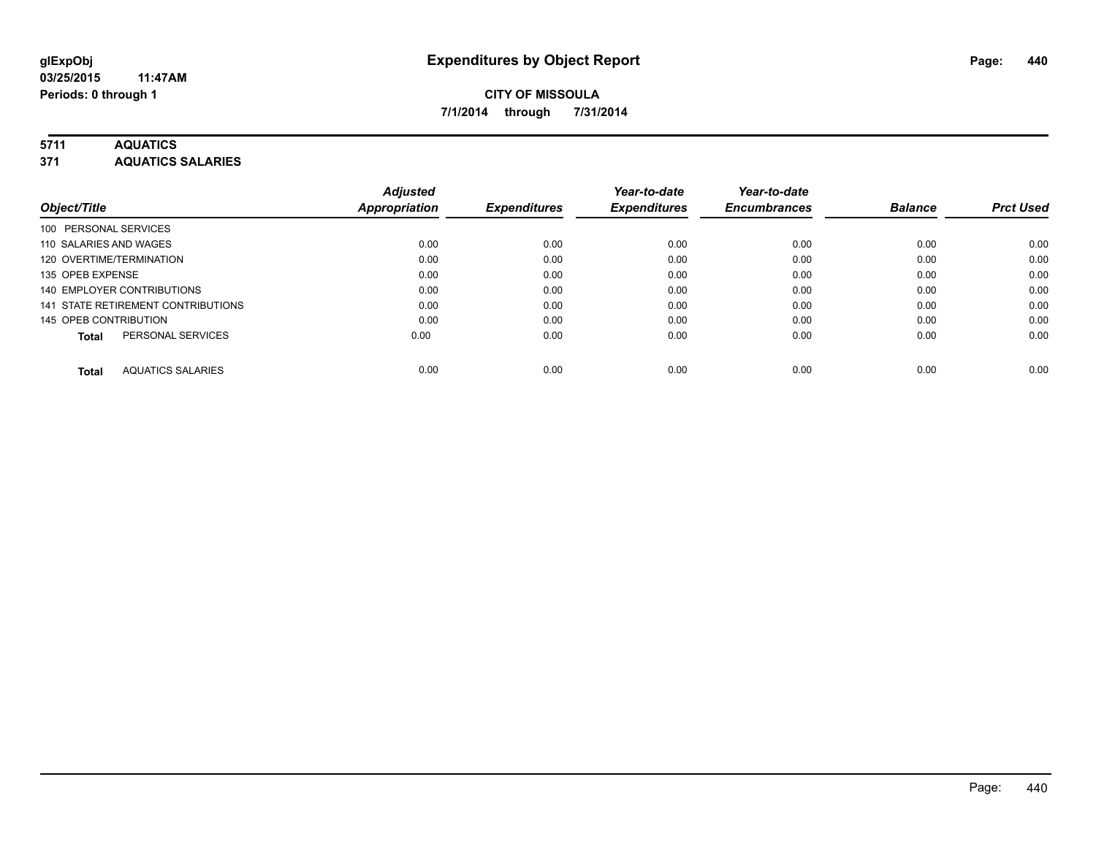## **5711 AQUATICS**

**371 AQUATICS SALARIES**

| Object/Title                             | <b>Adjusted</b><br><b>Appropriation</b> | <b>Expenditures</b> | Year-to-date<br><b>Expenditures</b> | Year-to-date<br><b>Encumbrances</b> | <b>Balance</b> | <b>Prct Used</b> |
|------------------------------------------|-----------------------------------------|---------------------|-------------------------------------|-------------------------------------|----------------|------------------|
| 100 PERSONAL SERVICES                    |                                         |                     |                                     |                                     |                |                  |
| 110 SALARIES AND WAGES                   | 0.00                                    | 0.00                | 0.00                                | 0.00                                | 0.00           | 0.00             |
| 120 OVERTIME/TERMINATION                 | 0.00                                    | 0.00                | 0.00                                | 0.00                                | 0.00           | 0.00             |
| 135 OPEB EXPENSE                         | 0.00                                    | 0.00                | 0.00                                | 0.00                                | 0.00           | 0.00             |
| 140 EMPLOYER CONTRIBUTIONS               | 0.00                                    | 0.00                | 0.00                                | 0.00                                | 0.00           | 0.00             |
| 141 STATE RETIREMENT CONTRIBUTIONS       | 0.00                                    | 0.00                | 0.00                                | 0.00                                | 0.00           | 0.00             |
| 145 OPEB CONTRIBUTION                    | 0.00                                    | 0.00                | 0.00                                | 0.00                                | 0.00           | 0.00             |
| PERSONAL SERVICES<br><b>Total</b>        | 0.00                                    | 0.00                | 0.00                                | 0.00                                | 0.00           | 0.00             |
| <b>AQUATICS SALARIES</b><br><b>Total</b> | 0.00                                    | 0.00                | 0.00                                | 0.00                                | 0.00           | 0.00             |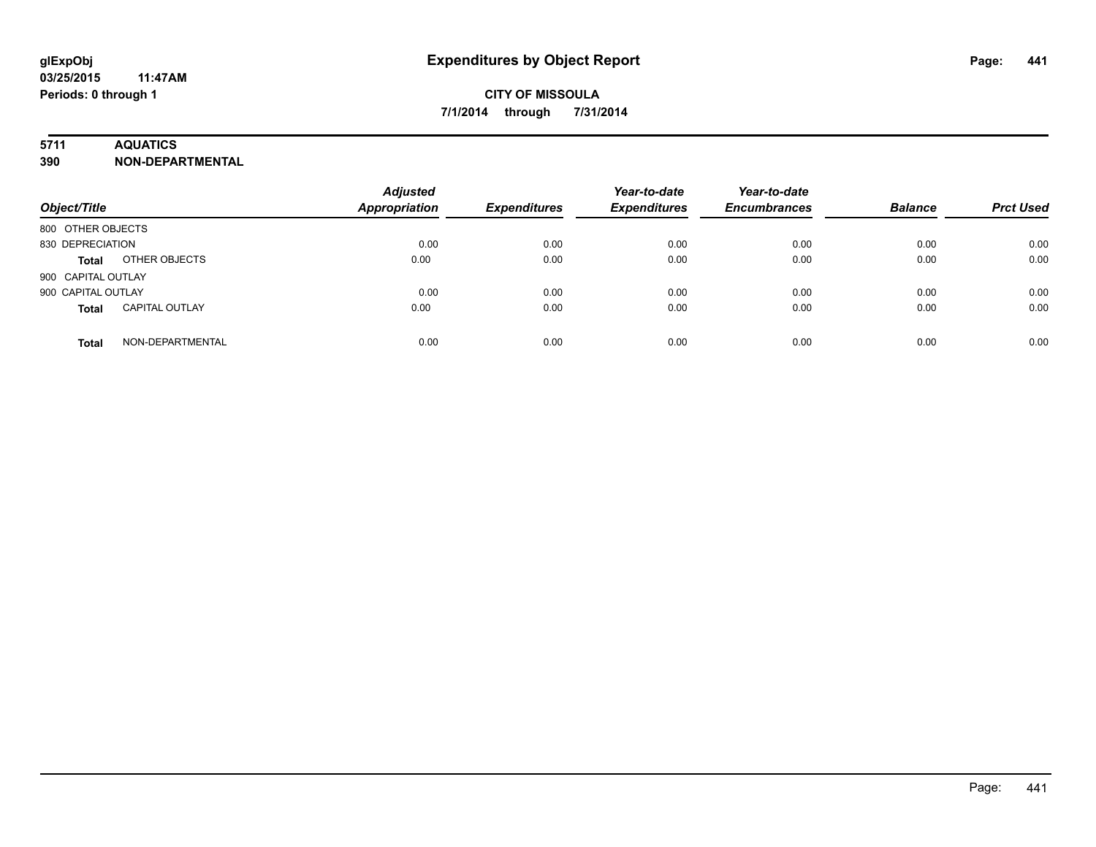## **5711 AQUATICS**

**390 NON-DEPARTMENTAL**

| Object/Title                          | <b>Adjusted</b><br><b>Appropriation</b> | <b>Expenditures</b> | Year-to-date<br><b>Expenditures</b> | Year-to-date<br><b>Encumbrances</b> | <b>Balance</b> | <b>Prct Used</b> |
|---------------------------------------|-----------------------------------------|---------------------|-------------------------------------|-------------------------------------|----------------|------------------|
| 800 OTHER OBJECTS                     |                                         |                     |                                     |                                     |                |                  |
| 830 DEPRECIATION                      | 0.00                                    | 0.00                | 0.00                                | 0.00                                | 0.00           | 0.00             |
| OTHER OBJECTS<br><b>Total</b>         | 0.00                                    | 0.00                | 0.00                                | 0.00                                | 0.00           | 0.00             |
| 900 CAPITAL OUTLAY                    |                                         |                     |                                     |                                     |                |                  |
| 900 CAPITAL OUTLAY                    | 0.00                                    | 0.00                | 0.00                                | 0.00                                | 0.00           | 0.00             |
| <b>CAPITAL OUTLAY</b><br><b>Total</b> | 0.00                                    | 0.00                | 0.00                                | 0.00                                | 0.00           | 0.00             |
| NON-DEPARTMENTAL<br><b>Total</b>      | 0.00                                    | 0.00                | 0.00                                | 0.00                                | 0.00           | 0.00             |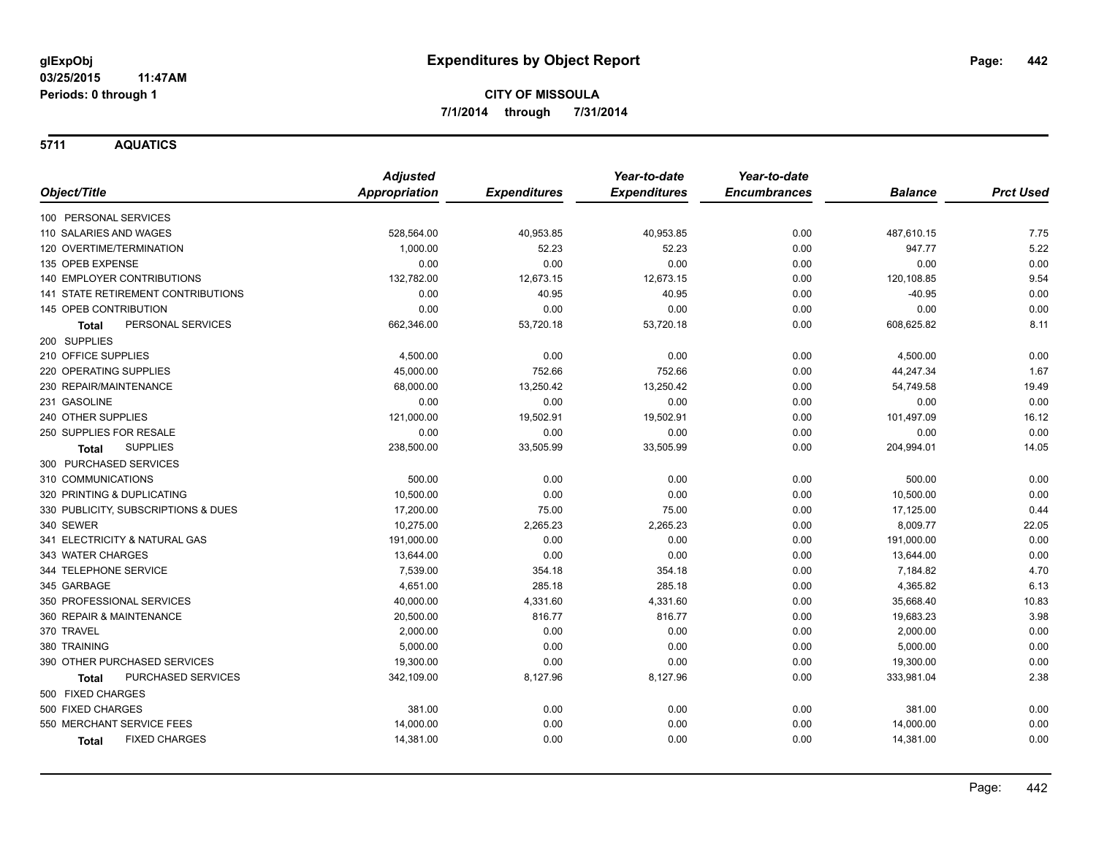**5711 AQUATICS**

|                                      | <b>Adjusted</b>      |                     | Year-to-date        | Year-to-date        |                |                  |
|--------------------------------------|----------------------|---------------------|---------------------|---------------------|----------------|------------------|
| Object/Title                         | <b>Appropriation</b> | <b>Expenditures</b> | <b>Expenditures</b> | <b>Encumbrances</b> | <b>Balance</b> | <b>Prct Used</b> |
| 100 PERSONAL SERVICES                |                      |                     |                     |                     |                |                  |
| 110 SALARIES AND WAGES               | 528,564.00           | 40,953.85           | 40,953.85           | 0.00                | 487,610.15     | 7.75             |
| 120 OVERTIME/TERMINATION             | 1,000.00             | 52.23               | 52.23               | 0.00                | 947.77         | 5.22             |
| 135 OPEB EXPENSE                     | 0.00                 | 0.00                | 0.00                | 0.00                | 0.00           | 0.00             |
| 140 EMPLOYER CONTRIBUTIONS           | 132,782.00           | 12,673.15           | 12,673.15           | 0.00                | 120,108.85     | 9.54             |
| 141 STATE RETIREMENT CONTRIBUTIONS   | 0.00                 | 40.95               | 40.95               | 0.00                | $-40.95$       | 0.00             |
| 145 OPEB CONTRIBUTION                | 0.00                 | 0.00                | 0.00                | 0.00                | 0.00           | 0.00             |
| PERSONAL SERVICES<br>Total           | 662,346.00           | 53,720.18           | 53,720.18           | 0.00                | 608,625.82     | 8.11             |
| 200 SUPPLIES                         |                      |                     |                     |                     |                |                  |
| 210 OFFICE SUPPLIES                  | 4,500.00             | 0.00                | 0.00                | 0.00                | 4,500.00       | 0.00             |
| 220 OPERATING SUPPLIES               | 45,000.00            | 752.66              | 752.66              | 0.00                | 44,247.34      | 1.67             |
| 230 REPAIR/MAINTENANCE               | 68,000.00            | 13,250.42           | 13,250.42           | 0.00                | 54,749.58      | 19.49            |
| 231 GASOLINE                         | 0.00                 | 0.00                | 0.00                | 0.00                | 0.00           | 0.00             |
| 240 OTHER SUPPLIES                   | 121,000.00           | 19,502.91           | 19,502.91           | 0.00                | 101,497.09     | 16.12            |
| 250 SUPPLIES FOR RESALE              | 0.00                 | 0.00                | 0.00                | 0.00                | 0.00           | 0.00             |
| <b>SUPPLIES</b><br>Total             | 238,500.00           | 33,505.99           | 33,505.99           | 0.00                | 204,994.01     | 14.05            |
| 300 PURCHASED SERVICES               |                      |                     |                     |                     |                |                  |
| 310 COMMUNICATIONS                   | 500.00               | 0.00                | 0.00                | 0.00                | 500.00         | 0.00             |
| 320 PRINTING & DUPLICATING           | 10,500.00            | 0.00                | 0.00                | 0.00                | 10,500.00      | 0.00             |
| 330 PUBLICITY, SUBSCRIPTIONS & DUES  | 17,200.00            | 75.00               | 75.00               | 0.00                | 17,125.00      | 0.44             |
| 340 SEWER                            | 10,275.00            | 2,265.23            | 2,265.23            | 0.00                | 8,009.77       | 22.05            |
| 341 ELECTRICITY & NATURAL GAS        | 191,000.00           | 0.00                | 0.00                | 0.00                | 191,000.00     | 0.00             |
| 343 WATER CHARGES                    | 13,644.00            | 0.00                | 0.00                | 0.00                | 13,644.00      | 0.00             |
| 344 TELEPHONE SERVICE                | 7,539.00             | 354.18              | 354.18              | 0.00                | 7,184.82       | 4.70             |
| 345 GARBAGE                          | 4,651.00             | 285.18              | 285.18              | 0.00                | 4,365.82       | 6.13             |
| 350 PROFESSIONAL SERVICES            | 40,000.00            | 4,331.60            | 4,331.60            | 0.00                | 35,668.40      | 10.83            |
| 360 REPAIR & MAINTENANCE             | 20,500.00            | 816.77              | 816.77              | 0.00                | 19,683.23      | 3.98             |
| 370 TRAVEL                           | 2,000.00             | 0.00                | 0.00                | 0.00                | 2,000.00       | 0.00             |
| 380 TRAINING                         | 5,000.00             | 0.00                | 0.00                | 0.00                | 5,000.00       | 0.00             |
| 390 OTHER PURCHASED SERVICES         | 19,300.00            | 0.00                | 0.00                | 0.00                | 19,300.00      | 0.00             |
| PURCHASED SERVICES<br>Total          | 342,109.00           | 8,127.96            | 8,127.96            | 0.00                | 333,981.04     | 2.38             |
| 500 FIXED CHARGES                    |                      |                     |                     |                     |                |                  |
| 500 FIXED CHARGES                    | 381.00               | 0.00                | 0.00                | 0.00                | 381.00         | 0.00             |
| 550 MERCHANT SERVICE FEES            | 14,000.00            | 0.00                | 0.00                | 0.00                | 14,000.00      | 0.00             |
| <b>FIXED CHARGES</b><br><b>Total</b> | 14,381.00            | 0.00                | 0.00                | 0.00                | 14,381.00      | 0.00             |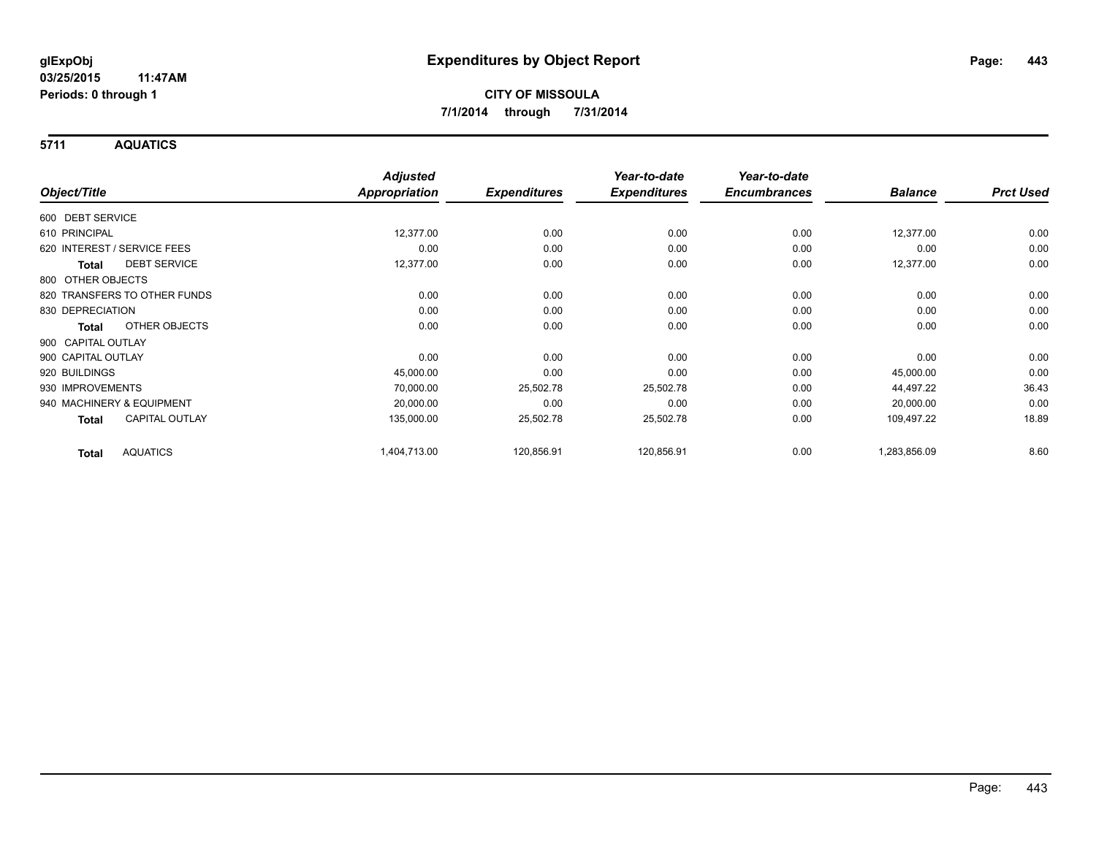**5711 AQUATICS**

|                                     | <b>Adjusted</b>      |                     | Year-to-date<br><b>Expenditures</b> | Year-to-date<br><b>Encumbrances</b> | <b>Balance</b> | <b>Prct Used</b> |
|-------------------------------------|----------------------|---------------------|-------------------------------------|-------------------------------------|----------------|------------------|
| Object/Title                        | <b>Appropriation</b> | <b>Expenditures</b> |                                     |                                     |                |                  |
| 600 DEBT SERVICE                    |                      |                     |                                     |                                     |                |                  |
| 610 PRINCIPAL                       | 12,377.00            | 0.00                | 0.00                                | 0.00                                | 12,377.00      | 0.00             |
| 620 INTEREST / SERVICE FEES         | 0.00                 | 0.00                | 0.00                                | 0.00                                | 0.00           | 0.00             |
| <b>DEBT SERVICE</b><br><b>Total</b> | 12,377.00            | 0.00                | 0.00                                | 0.00                                | 12,377.00      | 0.00             |
| 800 OTHER OBJECTS                   |                      |                     |                                     |                                     |                |                  |
| 820 TRANSFERS TO OTHER FUNDS        | 0.00                 | 0.00                | 0.00                                | 0.00                                | 0.00           | 0.00             |
| 830 DEPRECIATION                    | 0.00                 | 0.00                | 0.00                                | 0.00                                | 0.00           | 0.00             |
| OTHER OBJECTS<br><b>Total</b>       | 0.00                 | 0.00                | 0.00                                | 0.00                                | 0.00           | 0.00             |
| 900 CAPITAL OUTLAY                  |                      |                     |                                     |                                     |                |                  |
| 900 CAPITAL OUTLAY                  | 0.00                 | 0.00                | 0.00                                | 0.00                                | 0.00           | 0.00             |
| 920 BUILDINGS                       | 45,000.00            | 0.00                | 0.00                                | 0.00                                | 45,000.00      | 0.00             |
| 930 IMPROVEMENTS                    | 70,000.00            | 25,502.78           | 25,502.78                           | 0.00                                | 44,497.22      | 36.43            |
| 940 MACHINERY & EQUIPMENT           | 20,000.00            | 0.00                | 0.00                                | 0.00                                | 20,000.00      | 0.00             |
| <b>CAPITAL OUTLAY</b><br>Total      | 135,000.00           | 25,502.78           | 25,502.78                           | 0.00                                | 109,497.22     | 18.89            |
| <b>AQUATICS</b><br><b>Total</b>     | 1,404,713.00         | 120,856.91          | 120,856.91                          | 0.00                                | 1,283,856.09   | 8.60             |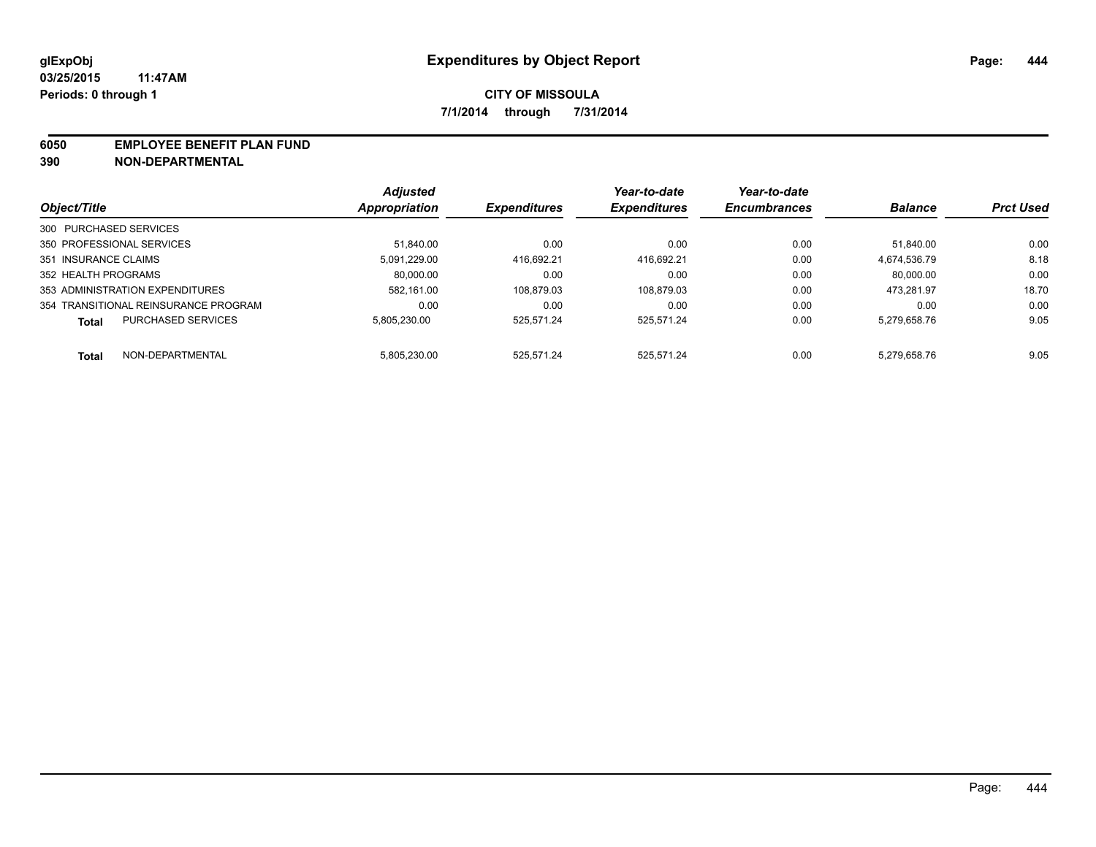### **6050 EMPLOYEE BENEFIT PLAN FUND**

**390 NON-DEPARTMENTAL**

|                                           | <b>Adjusted</b> |                     | Year-to-date        | Year-to-date<br><b>Encumbrances</b> | <b>Balance</b> | <b>Prct Used</b> |
|-------------------------------------------|-----------------|---------------------|---------------------|-------------------------------------|----------------|------------------|
| Object/Title                              | Appropriation   | <b>Expenditures</b> | <b>Expenditures</b> |                                     |                |                  |
| 300 PURCHASED SERVICES                    |                 |                     |                     |                                     |                |                  |
| 350 PROFESSIONAL SERVICES                 | 51.840.00       | 0.00                | 0.00                | 0.00                                | 51.840.00      | 0.00             |
| 351 INSURANCE CLAIMS                      | 5.091.229.00    | 416.692.21          | 416.692.21          | 0.00                                | 4.674.536.79   | 8.18             |
| 352 HEALTH PROGRAMS                       | 80,000.00       | 0.00                | 0.00                | 0.00                                | 80.000.00      | 0.00             |
| 353 ADMINISTRATION EXPENDITURES           | 582.161.00      | 108.879.03          | 108.879.03          | 0.00                                | 473.281.97     | 18.70            |
| 354 TRANSITIONAL REINSURANCE PROGRAM      | 0.00            | 0.00                | 0.00                | 0.00                                | 0.00           | 0.00             |
| <b>PURCHASED SERVICES</b><br><b>Total</b> | 5.805.230.00    | 525.571.24          | 525.571.24          | 0.00                                | 5.279.658.76   | 9.05             |
| NON-DEPARTMENTAL<br><b>Total</b>          | 5.805.230.00    | 525.571.24          | 525.571.24          | 0.00                                | 5.279.658.76   | 9.05             |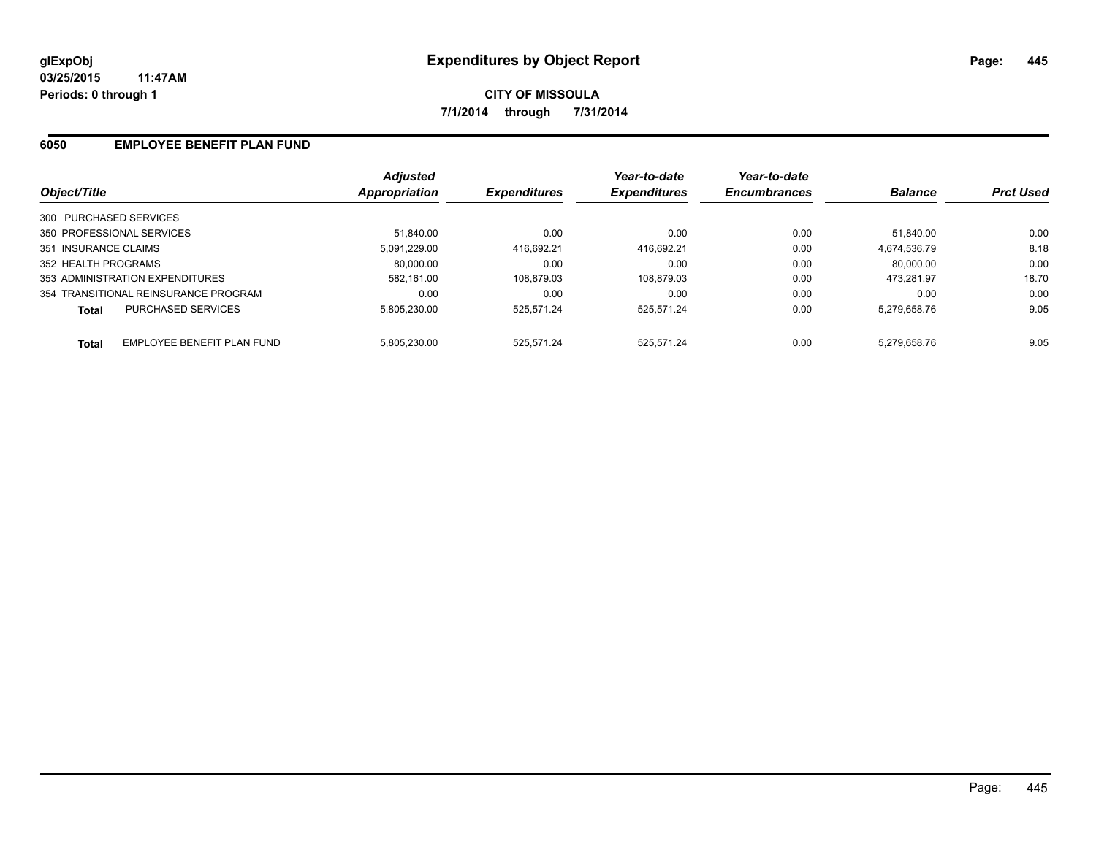## **6050 EMPLOYEE BENEFIT PLAN FUND**

| Object/Title           |                                      | <b>Adjusted</b><br>Appropriation | <b>Expenditures</b> | Year-to-date<br><b>Expenditures</b> | Year-to-date<br><b>Encumbrances</b> | <b>Balance</b> | <b>Prct Used</b> |
|------------------------|--------------------------------------|----------------------------------|---------------------|-------------------------------------|-------------------------------------|----------------|------------------|
| 300 PURCHASED SERVICES |                                      |                                  |                     |                                     |                                     |                |                  |
|                        | 350 PROFESSIONAL SERVICES            | 51.840.00                        | 0.00                | 0.00                                | 0.00                                | 51.840.00      | 0.00             |
| 351 INSURANCE CLAIMS   |                                      | 5.091.229.00                     | 416.692.21          | 416.692.21                          | 0.00                                | 4.674.536.79   | 8.18             |
| 352 HEALTH PROGRAMS    |                                      | 80.000.00                        | 0.00                | 0.00                                | 0.00                                | 80.000.00      | 0.00             |
|                        | 353 ADMINISTRATION EXPENDITURES      | 582.161.00                       | 108.879.03          | 108,879.03                          | 0.00                                | 473.281.97     | 18.70            |
|                        | 354 TRANSITIONAL REINSURANCE PROGRAM | 0.00                             | 0.00                | 0.00                                | 0.00                                | 0.00           | 0.00             |
| <b>Total</b>           | <b>PURCHASED SERVICES</b>            | 5.805.230.00                     | 525.571.24          | 525.571.24                          | 0.00                                | 5.279.658.76   | 9.05             |
| <b>Total</b>           | EMPLOYEE BENEFIT PLAN FUND           | 5.805.230.00                     | 525.571.24          | 525.571.24                          | 0.00                                | 5.279.658.76   | 9.05             |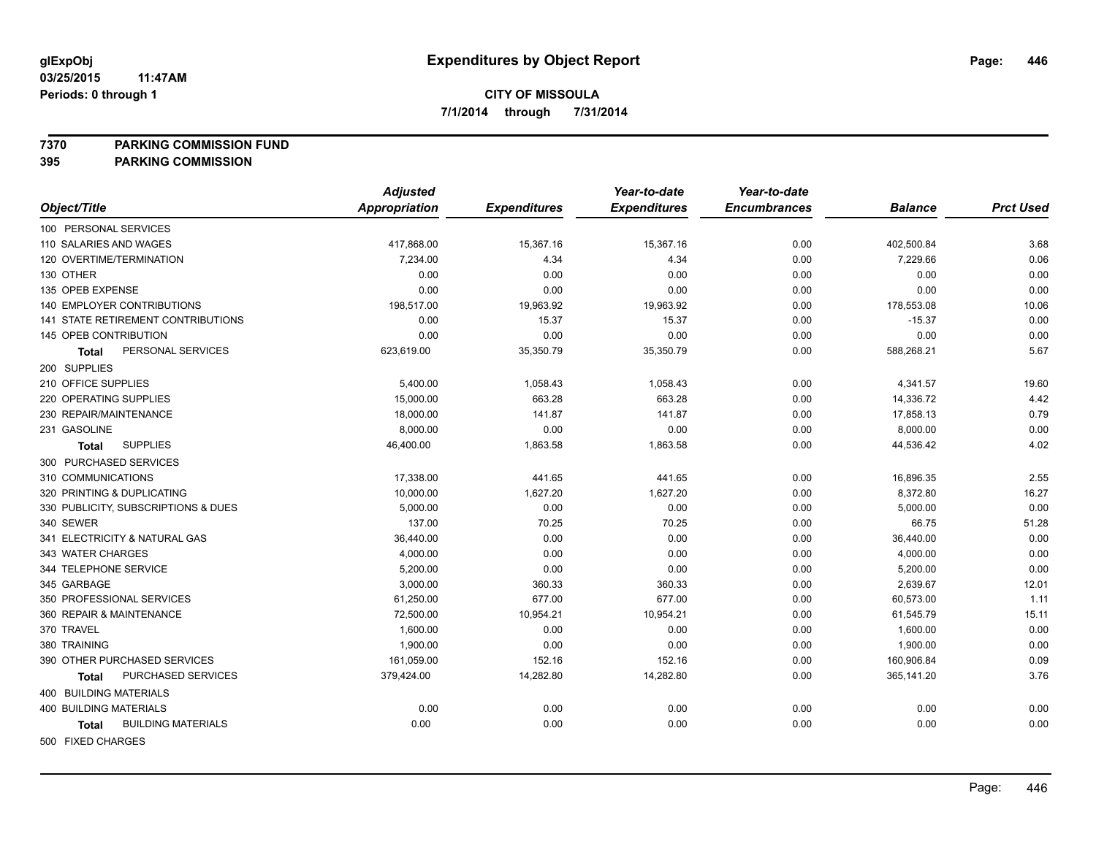### **7370 PARKING COMMISSION FUND**

|                                           | <b>Adjusted</b> |                     | Year-to-date        | Year-to-date        |                |                  |
|-------------------------------------------|-----------------|---------------------|---------------------|---------------------|----------------|------------------|
| Object/Title                              | Appropriation   | <b>Expenditures</b> | <b>Expenditures</b> | <b>Encumbrances</b> | <b>Balance</b> | <b>Prct Used</b> |
| 100 PERSONAL SERVICES                     |                 |                     |                     |                     |                |                  |
| 110 SALARIES AND WAGES                    | 417,868.00      | 15,367.16           | 15,367.16           | 0.00                | 402,500.84     | 3.68             |
| 120 OVERTIME/TERMINATION                  | 7,234.00        | 4.34                | 4.34                | 0.00                | 7,229.66       | 0.06             |
| 130 OTHER                                 | 0.00            | 0.00                | 0.00                | 0.00                | 0.00           | 0.00             |
| 135 OPEB EXPENSE                          | 0.00            | 0.00                | 0.00                | 0.00                | 0.00           | 0.00             |
| 140 EMPLOYER CONTRIBUTIONS                | 198,517.00      | 19,963.92           | 19,963.92           | 0.00                | 178,553.08     | 10.06            |
| 141 STATE RETIREMENT CONTRIBUTIONS        | 0.00            | 15.37               | 15.37               | 0.00                | $-15.37$       | 0.00             |
| 145 OPEB CONTRIBUTION                     | 0.00            | 0.00                | 0.00                | 0.00                | 0.00           | 0.00             |
| PERSONAL SERVICES<br><b>Total</b>         | 623,619.00      | 35,350.79           | 35,350.79           | 0.00                | 588,268.21     | 5.67             |
| 200 SUPPLIES                              |                 |                     |                     |                     |                |                  |
| 210 OFFICE SUPPLIES                       | 5,400.00        | 1,058.43            | 1,058.43            | 0.00                | 4,341.57       | 19.60            |
| 220 OPERATING SUPPLIES                    | 15,000.00       | 663.28              | 663.28              | 0.00                | 14,336.72      | 4.42             |
| 230 REPAIR/MAINTENANCE                    | 18,000.00       | 141.87              | 141.87              | 0.00                | 17,858.13      | 0.79             |
| 231 GASOLINE                              | 8,000.00        | 0.00                | 0.00                | 0.00                | 8,000.00       | 0.00             |
| <b>SUPPLIES</b><br>Total                  | 46,400.00       | 1,863.58            | 1,863.58            | 0.00                | 44,536.42      | 4.02             |
| 300 PURCHASED SERVICES                    |                 |                     |                     |                     |                |                  |
| 310 COMMUNICATIONS                        | 17,338.00       | 441.65              | 441.65              | 0.00                | 16,896.35      | 2.55             |
| 320 PRINTING & DUPLICATING                | 10,000.00       | 1,627.20            | 1,627.20            | 0.00                | 8,372.80       | 16.27            |
| 330 PUBLICITY, SUBSCRIPTIONS & DUES       | 5,000.00        | 0.00                | 0.00                | 0.00                | 5,000.00       | 0.00             |
| 340 SEWER                                 | 137.00          | 70.25               | 70.25               | 0.00                | 66.75          | 51.28            |
| 341 ELECTRICITY & NATURAL GAS             | 36,440.00       | 0.00                | 0.00                | 0.00                | 36,440.00      | 0.00             |
| 343 WATER CHARGES                         | 4,000.00        | 0.00                | 0.00                | 0.00                | 4,000.00       | 0.00             |
| 344 TELEPHONE SERVICE                     | 5,200.00        | 0.00                | 0.00                | 0.00                | 5,200.00       | 0.00             |
| 345 GARBAGE                               | 3,000.00        | 360.33              | 360.33              | 0.00                | 2,639.67       | 12.01            |
| 350 PROFESSIONAL SERVICES                 | 61,250.00       | 677.00              | 677.00              | 0.00                | 60,573.00      | 1.11             |
| 360 REPAIR & MAINTENANCE                  | 72,500.00       | 10,954.21           | 10,954.21           | 0.00                | 61,545.79      | 15.11            |
| 370 TRAVEL                                | 1,600.00        | 0.00                | 0.00                | 0.00                | 1,600.00       | 0.00             |
| 380 TRAINING                              | 1,900.00        | 0.00                | 0.00                | 0.00                | 1,900.00       | 0.00             |
| 390 OTHER PURCHASED SERVICES              | 161,059.00      | 152.16              | 152.16              | 0.00                | 160,906.84     | 0.09             |
| PURCHASED SERVICES<br><b>Total</b>        | 379,424.00      | 14,282.80           | 14,282.80           | 0.00                | 365,141.20     | 3.76             |
| 400 BUILDING MATERIALS                    |                 |                     |                     |                     |                |                  |
| <b>400 BUILDING MATERIALS</b>             | 0.00            | 0.00                | 0.00                | 0.00                | 0.00           | 0.00             |
| <b>BUILDING MATERIALS</b><br><b>Total</b> | 0.00            | 0.00                | 0.00                | 0.00                | 0.00           | 0.00             |
| 500 FIXED CHARGES                         |                 |                     |                     |                     |                |                  |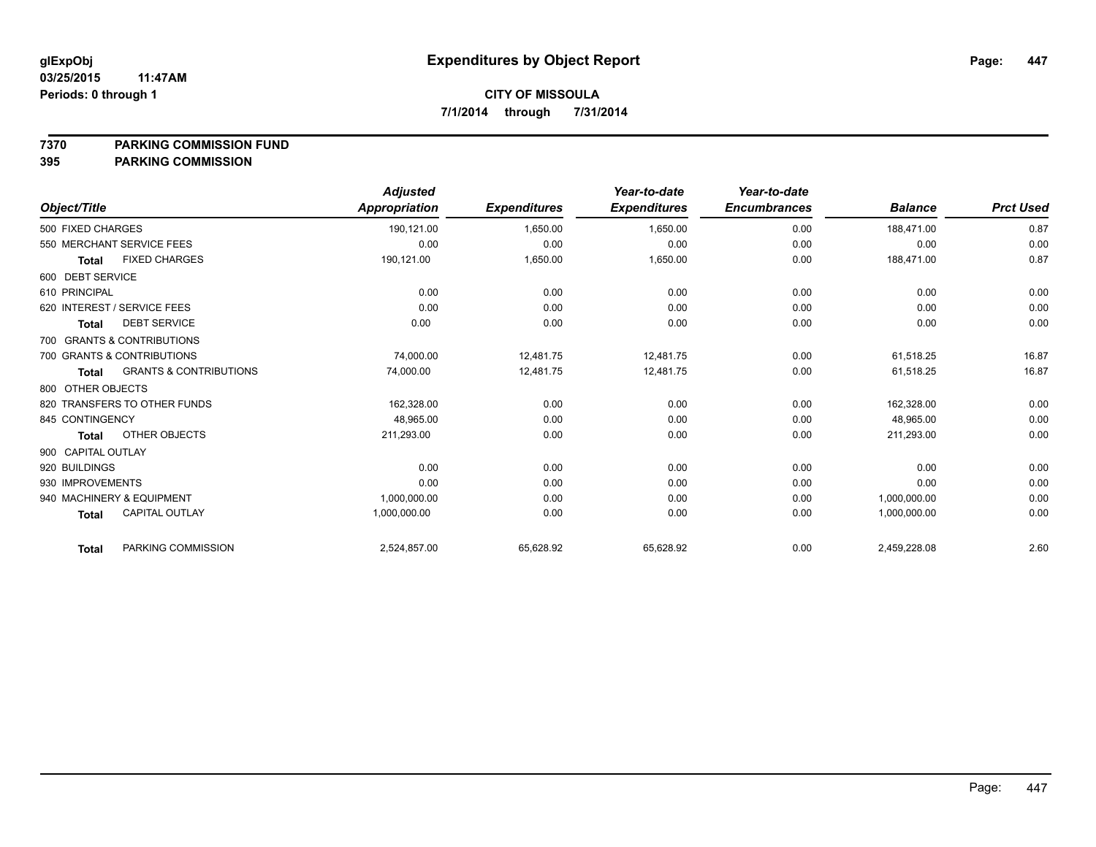**7370 PARKING COMMISSION FUND**

|                                                   | <b>Adjusted</b> |                     | Year-to-date        | Year-to-date        |                |                  |
|---------------------------------------------------|-----------------|---------------------|---------------------|---------------------|----------------|------------------|
| Object/Title                                      | Appropriation   | <b>Expenditures</b> | <b>Expenditures</b> | <b>Encumbrances</b> | <b>Balance</b> | <b>Prct Used</b> |
| 500 FIXED CHARGES                                 | 190,121.00      | 1,650.00            | 1,650.00            | 0.00                | 188.471.00     | 0.87             |
| 550 MERCHANT SERVICE FEES                         | 0.00            | 0.00                | 0.00                | 0.00                | 0.00           | 0.00             |
| <b>FIXED CHARGES</b><br><b>Total</b>              | 190,121.00      | 1,650.00            | 1,650.00            | 0.00                | 188,471.00     | 0.87             |
| 600 DEBT SERVICE                                  |                 |                     |                     |                     |                |                  |
| 610 PRINCIPAL                                     | 0.00            | 0.00                | 0.00                | 0.00                | 0.00           | 0.00             |
| 620 INTEREST / SERVICE FEES                       | 0.00            | 0.00                | 0.00                | 0.00                | 0.00           | 0.00             |
| <b>DEBT SERVICE</b><br><b>Total</b>               | 0.00            | 0.00                | 0.00                | 0.00                | 0.00           | 0.00             |
| 700 GRANTS & CONTRIBUTIONS                        |                 |                     |                     |                     |                |                  |
| 700 GRANTS & CONTRIBUTIONS                        | 74,000.00       | 12,481.75           | 12,481.75           | 0.00                | 61,518.25      | 16.87            |
| <b>GRANTS &amp; CONTRIBUTIONS</b><br><b>Total</b> | 74,000.00       | 12,481.75           | 12,481.75           | 0.00                | 61,518.25      | 16.87            |
| 800 OTHER OBJECTS                                 |                 |                     |                     |                     |                |                  |
| 820 TRANSFERS TO OTHER FUNDS                      | 162,328.00      | 0.00                | 0.00                | 0.00                | 162,328.00     | 0.00             |
| 845 CONTINGENCY                                   | 48,965.00       | 0.00                | 0.00                | 0.00                | 48,965.00      | 0.00             |
| OTHER OBJECTS<br><b>Total</b>                     | 211,293.00      | 0.00                | 0.00                | 0.00                | 211,293.00     | 0.00             |
| 900 CAPITAL OUTLAY                                |                 |                     |                     |                     |                |                  |
| 920 BUILDINGS                                     | 0.00            | 0.00                | 0.00                | 0.00                | 0.00           | 0.00             |
| 930 IMPROVEMENTS                                  | 0.00            | 0.00                | 0.00                | 0.00                | 0.00           | 0.00             |
| 940 MACHINERY & EQUIPMENT                         | 1,000,000.00    | 0.00                | 0.00                | 0.00                | 1,000,000.00   | 0.00             |
| <b>CAPITAL OUTLAY</b><br><b>Total</b>             | 1,000,000.00    | 0.00                | 0.00                | 0.00                | 1,000,000.00   | 0.00             |
| PARKING COMMISSION<br><b>Total</b>                | 2,524,857.00    | 65,628.92           | 65,628.92           | 0.00                | 2,459,228.08   | 2.60             |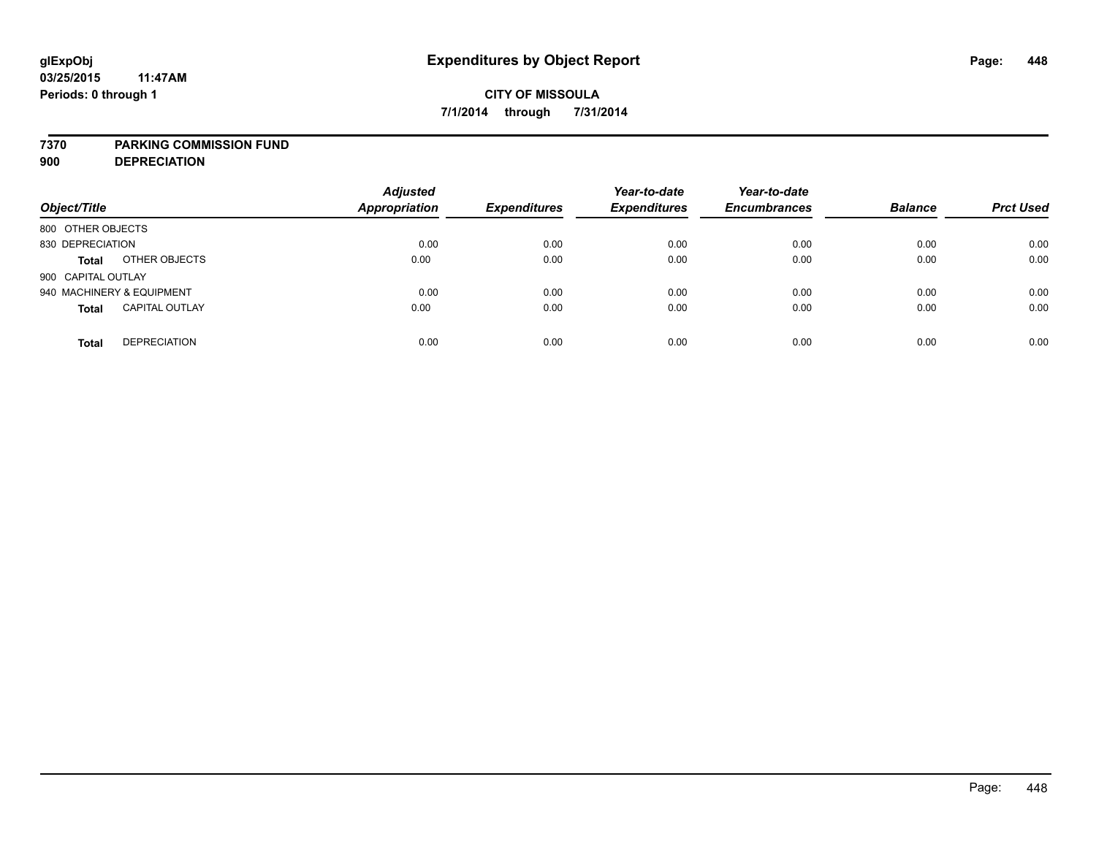### **7370 PARKING COMMISSION FUND**

**900 DEPRECIATION**

| Object/Title                          | <b>Adjusted</b><br><b>Appropriation</b> | <b>Expenditures</b> | Year-to-date<br><b>Expenditures</b> | Year-to-date<br><b>Encumbrances</b> | <b>Balance</b> | <b>Prct Used</b> |
|---------------------------------------|-----------------------------------------|---------------------|-------------------------------------|-------------------------------------|----------------|------------------|
| 800 OTHER OBJECTS                     |                                         |                     |                                     |                                     |                |                  |
| 830 DEPRECIATION                      | 0.00                                    | 0.00                | 0.00                                | 0.00                                | 0.00           | 0.00             |
| OTHER OBJECTS<br><b>Total</b>         | 0.00                                    | 0.00                | 0.00                                | 0.00                                | 0.00           | 0.00             |
| 900 CAPITAL OUTLAY                    |                                         |                     |                                     |                                     |                |                  |
| 940 MACHINERY & EQUIPMENT             | 0.00                                    | 0.00                | 0.00                                | 0.00                                | 0.00           | 0.00             |
| <b>CAPITAL OUTLAY</b><br><b>Total</b> | 0.00                                    | 0.00                | 0.00                                | 0.00                                | 0.00           | 0.00             |
| <b>DEPRECIATION</b><br><b>Total</b>   | 0.00                                    | 0.00                | 0.00                                | 0.00                                | 0.00           | 0.00             |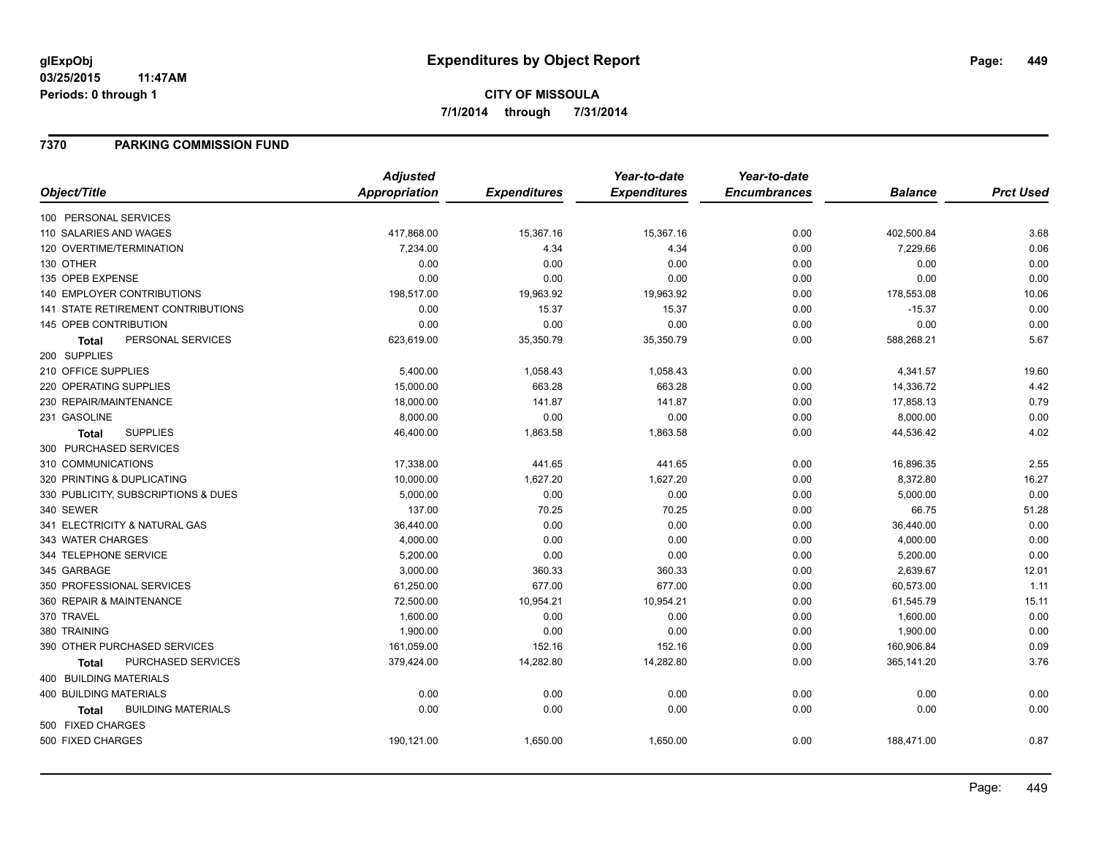# **CITY OF MISSOULA 7/1/2014 through 7/31/2014**

## **7370 PARKING COMMISSION FUND**

|                                           | <b>Adjusted</b>      |                     | Year-to-date        | Year-to-date        |                |                  |
|-------------------------------------------|----------------------|---------------------|---------------------|---------------------|----------------|------------------|
| Object/Title                              | <b>Appropriation</b> | <b>Expenditures</b> | <b>Expenditures</b> | <b>Encumbrances</b> | <b>Balance</b> | <b>Prct Used</b> |
| 100 PERSONAL SERVICES                     |                      |                     |                     |                     |                |                  |
| 110 SALARIES AND WAGES                    | 417,868.00           | 15,367.16           | 15,367.16           | 0.00                | 402,500.84     | 3.68             |
| 120 OVERTIME/TERMINATION                  | 7,234.00             | 4.34                | 4.34                | 0.00                | 7,229.66       | 0.06             |
| 130 OTHER                                 | 0.00                 | 0.00                | 0.00                | 0.00                | 0.00           | 0.00             |
| 135 OPEB EXPENSE                          | 0.00                 | 0.00                | 0.00                | 0.00                | 0.00           | 0.00             |
| <b>140 EMPLOYER CONTRIBUTIONS</b>         | 198,517.00           | 19,963.92           | 19,963.92           | 0.00                | 178,553.08     | 10.06            |
| 141 STATE RETIREMENT CONTRIBUTIONS        | 0.00                 | 15.37               | 15.37               | 0.00                | $-15.37$       | 0.00             |
| 145 OPEB CONTRIBUTION                     | 0.00                 | 0.00                | 0.00                | 0.00                | 0.00           | 0.00             |
| PERSONAL SERVICES<br><b>Total</b>         | 623,619.00           | 35,350.79           | 35,350.79           | 0.00                | 588,268.21     | 5.67             |
| 200 SUPPLIES                              |                      |                     |                     |                     |                |                  |
| 210 OFFICE SUPPLIES                       | 5,400.00             | 1,058.43            | 1,058.43            | 0.00                | 4,341.57       | 19.60            |
| 220 OPERATING SUPPLIES                    | 15,000.00            | 663.28              | 663.28              | 0.00                | 14,336.72      | 4.42             |
| 230 REPAIR/MAINTENANCE                    | 18,000.00            | 141.87              | 141.87              | 0.00                | 17,858.13      | 0.79             |
| 231 GASOLINE                              | 8,000.00             | 0.00                | 0.00                | 0.00                | 8,000.00       | 0.00             |
| <b>SUPPLIES</b><br><b>Total</b>           | 46,400.00            | 1,863.58            | 1,863.58            | 0.00                | 44,536.42      | 4.02             |
| 300 PURCHASED SERVICES                    |                      |                     |                     |                     |                |                  |
| 310 COMMUNICATIONS                        | 17,338.00            | 441.65              | 441.65              | 0.00                | 16,896.35      | 2.55             |
| 320 PRINTING & DUPLICATING                | 10,000.00            | 1,627.20            | 1,627.20            | 0.00                | 8,372.80       | 16.27            |
| 330 PUBLICITY, SUBSCRIPTIONS & DUES       | 5,000.00             | 0.00                | 0.00                | 0.00                | 5,000.00       | 0.00             |
| 340 SEWER                                 | 137.00               | 70.25               | 70.25               | 0.00                | 66.75          | 51.28            |
| 341 ELECTRICITY & NATURAL GAS             | 36,440.00            | 0.00                | 0.00                | 0.00                | 36,440.00      | 0.00             |
| 343 WATER CHARGES                         | 4,000.00             | 0.00                | 0.00                | 0.00                | 4,000.00       | 0.00             |
| 344 TELEPHONE SERVICE                     | 5,200.00             | 0.00                | 0.00                | 0.00                | 5,200.00       | 0.00             |
| 345 GARBAGE                               | 3,000.00             | 360.33              | 360.33              | 0.00                | 2,639.67       | 12.01            |
| 350 PROFESSIONAL SERVICES                 | 61,250.00            | 677.00              | 677.00              | 0.00                | 60,573.00      | 1.11             |
| 360 REPAIR & MAINTENANCE                  | 72,500.00            | 10,954.21           | 10,954.21           | 0.00                | 61,545.79      | 15.11            |
| 370 TRAVEL                                | 1,600.00             | 0.00                | 0.00                | 0.00                | 1,600.00       | 0.00             |
| 380 TRAINING                              | 1,900.00             | 0.00                | 0.00                | 0.00                | 1,900.00       | 0.00             |
| 390 OTHER PURCHASED SERVICES              | 161,059.00           | 152.16              | 152.16              | 0.00                | 160,906.84     | 0.09             |
| PURCHASED SERVICES<br><b>Total</b>        | 379,424.00           | 14,282.80           | 14,282.80           | 0.00                | 365,141.20     | 3.76             |
| 400 BUILDING MATERIALS                    |                      |                     |                     |                     |                |                  |
| 400 BUILDING MATERIALS                    | 0.00                 | 0.00                | 0.00                | 0.00                | 0.00           | 0.00             |
| <b>BUILDING MATERIALS</b><br><b>Total</b> | 0.00                 | 0.00                | 0.00                | 0.00                | 0.00           | 0.00             |
| 500 FIXED CHARGES                         |                      |                     |                     |                     |                |                  |
| 500 FIXED CHARGES                         | 190,121.00           | 1,650.00            | 1,650.00            | 0.00                | 188,471.00     | 0.87             |
|                                           |                      |                     |                     |                     |                |                  |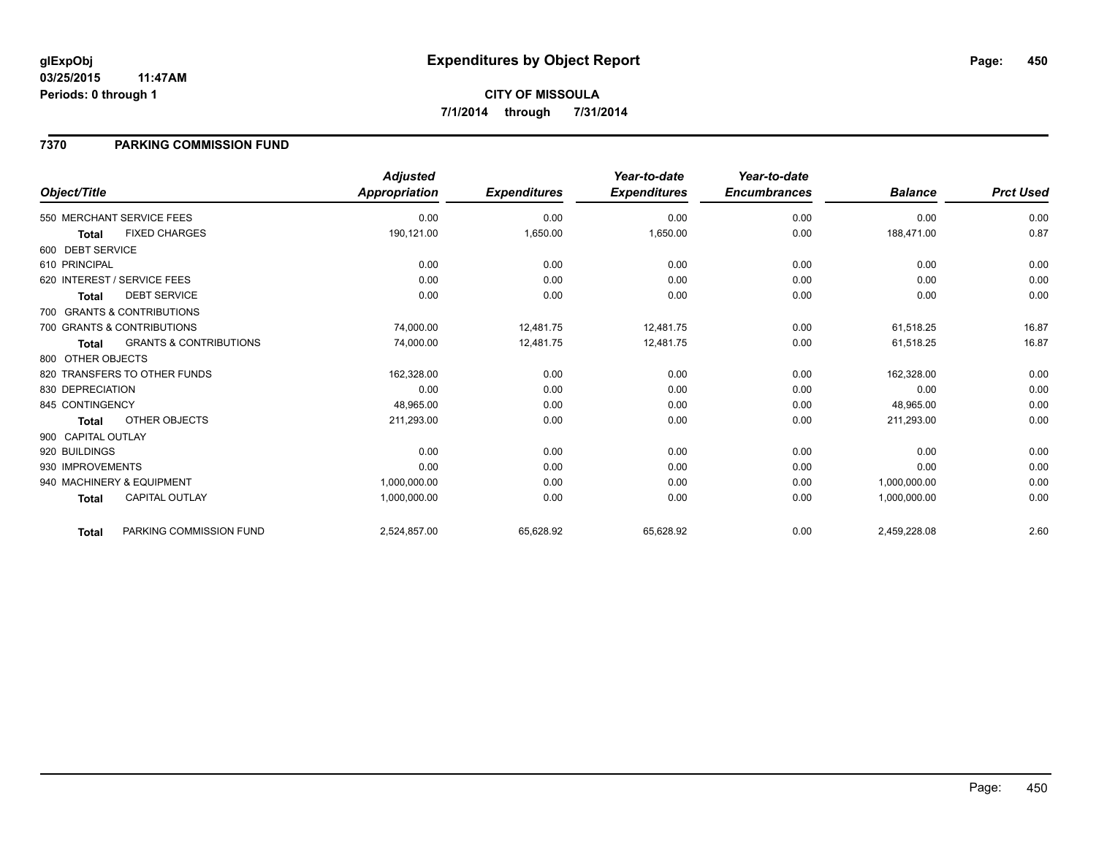## **7370 PARKING COMMISSION FUND**

|                    |                                   | <b>Adjusted</b> |                     | Year-to-date        | Year-to-date        |                |                  |
|--------------------|-----------------------------------|-----------------|---------------------|---------------------|---------------------|----------------|------------------|
| Object/Title       |                                   | Appropriation   | <b>Expenditures</b> | <b>Expenditures</b> | <b>Encumbrances</b> | <b>Balance</b> | <b>Prct Used</b> |
|                    | 550 MERCHANT SERVICE FEES         | 0.00            | 0.00                | 0.00                | 0.00                | 0.00           | 0.00             |
| <b>Total</b>       | <b>FIXED CHARGES</b>              | 190,121.00      | 1,650.00            | 1,650.00            | 0.00                | 188,471.00     | 0.87             |
| 600 DEBT SERVICE   |                                   |                 |                     |                     |                     |                |                  |
| 610 PRINCIPAL      |                                   | 0.00            | 0.00                | 0.00                | 0.00                | 0.00           | 0.00             |
|                    | 620 INTEREST / SERVICE FEES       | 0.00            | 0.00                | 0.00                | 0.00                | 0.00           | 0.00             |
| <b>Total</b>       | <b>DEBT SERVICE</b>               | 0.00            | 0.00                | 0.00                | 0.00                | 0.00           | 0.00             |
|                    | 700 GRANTS & CONTRIBUTIONS        |                 |                     |                     |                     |                |                  |
|                    | 700 GRANTS & CONTRIBUTIONS        | 74,000.00       | 12,481.75           | 12,481.75           | 0.00                | 61,518.25      | 16.87            |
| <b>Total</b>       | <b>GRANTS &amp; CONTRIBUTIONS</b> | 74,000.00       | 12,481.75           | 12,481.75           | 0.00                | 61,518.25      | 16.87            |
| 800 OTHER OBJECTS  |                                   |                 |                     |                     |                     |                |                  |
|                    | 820 TRANSFERS TO OTHER FUNDS      | 162,328.00      | 0.00                | 0.00                | 0.00                | 162,328.00     | 0.00             |
| 830 DEPRECIATION   |                                   | 0.00            | 0.00                | 0.00                | 0.00                | 0.00           | 0.00             |
| 845 CONTINGENCY    |                                   | 48,965.00       | 0.00                | 0.00                | 0.00                | 48,965.00      | 0.00             |
| <b>Total</b>       | OTHER OBJECTS                     | 211,293.00      | 0.00                | 0.00                | 0.00                | 211,293.00     | 0.00             |
| 900 CAPITAL OUTLAY |                                   |                 |                     |                     |                     |                |                  |
| 920 BUILDINGS      |                                   | 0.00            | 0.00                | 0.00                | 0.00                | 0.00           | 0.00             |
| 930 IMPROVEMENTS   |                                   | 0.00            | 0.00                | 0.00                | 0.00                | 0.00           | 0.00             |
|                    | 940 MACHINERY & EQUIPMENT         | 1,000,000.00    | 0.00                | 0.00                | 0.00                | 1,000,000.00   | 0.00             |
| <b>Total</b>       | <b>CAPITAL OUTLAY</b>             | 1,000,000.00    | 0.00                | 0.00                | 0.00                | 1,000,000.00   | 0.00             |
| <b>Total</b>       | PARKING COMMISSION FUND           | 2,524,857.00    | 65,628.92           | 65,628.92           | 0.00                | 2,459,228.08   | 2.60             |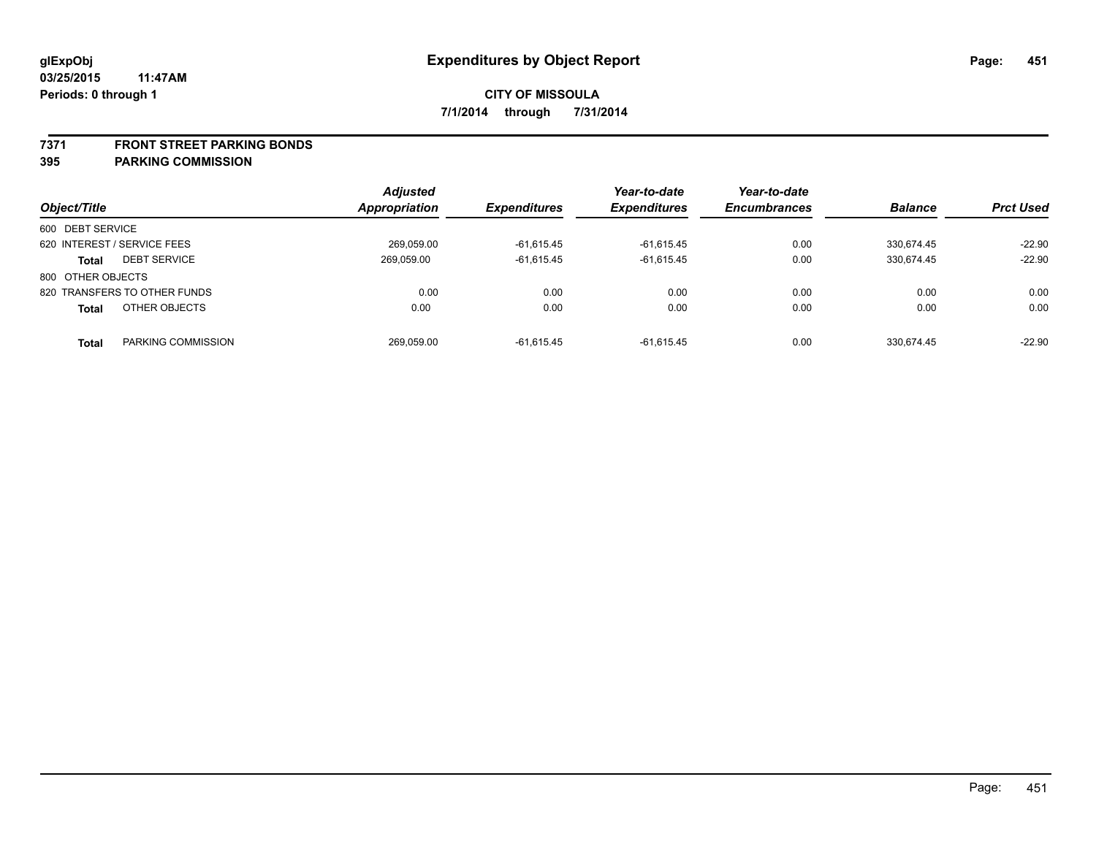### **7371 FRONT STREET PARKING BONDS**

| Object/Title                        | <b>Adjusted</b><br>Appropriation | <i><b>Expenditures</b></i> | Year-to-date<br><b>Expenditures</b> | Year-to-date<br><b>Encumbrances</b> | <b>Balance</b> | <b>Prct Used</b> |
|-------------------------------------|----------------------------------|----------------------------|-------------------------------------|-------------------------------------|----------------|------------------|
| 600 DEBT SERVICE                    |                                  |                            |                                     |                                     |                |                  |
| 620 INTEREST / SERVICE FEES         | 269,059.00                       | $-61.615.45$               | $-61,615.45$                        | 0.00                                | 330.674.45     | $-22.90$         |
| <b>DEBT SERVICE</b><br><b>Total</b> | 269.059.00                       | $-61.615.45$               | $-61.615.45$                        | 0.00                                | 330.674.45     | $-22.90$         |
| 800 OTHER OBJECTS                   |                                  |                            |                                     |                                     |                |                  |
| 820 TRANSFERS TO OTHER FUNDS        | 0.00                             | 0.00                       | 0.00                                | 0.00                                | 0.00           | 0.00             |
| OTHER OBJECTS<br><b>Total</b>       | 0.00                             | 0.00                       | 0.00                                | 0.00                                | 0.00           | 0.00             |
| PARKING COMMISSION<br>Total         | 269.059.00                       | $-61.615.45$               | $-61.615.45$                        | 0.00                                | 330.674.45     | $-22.90$         |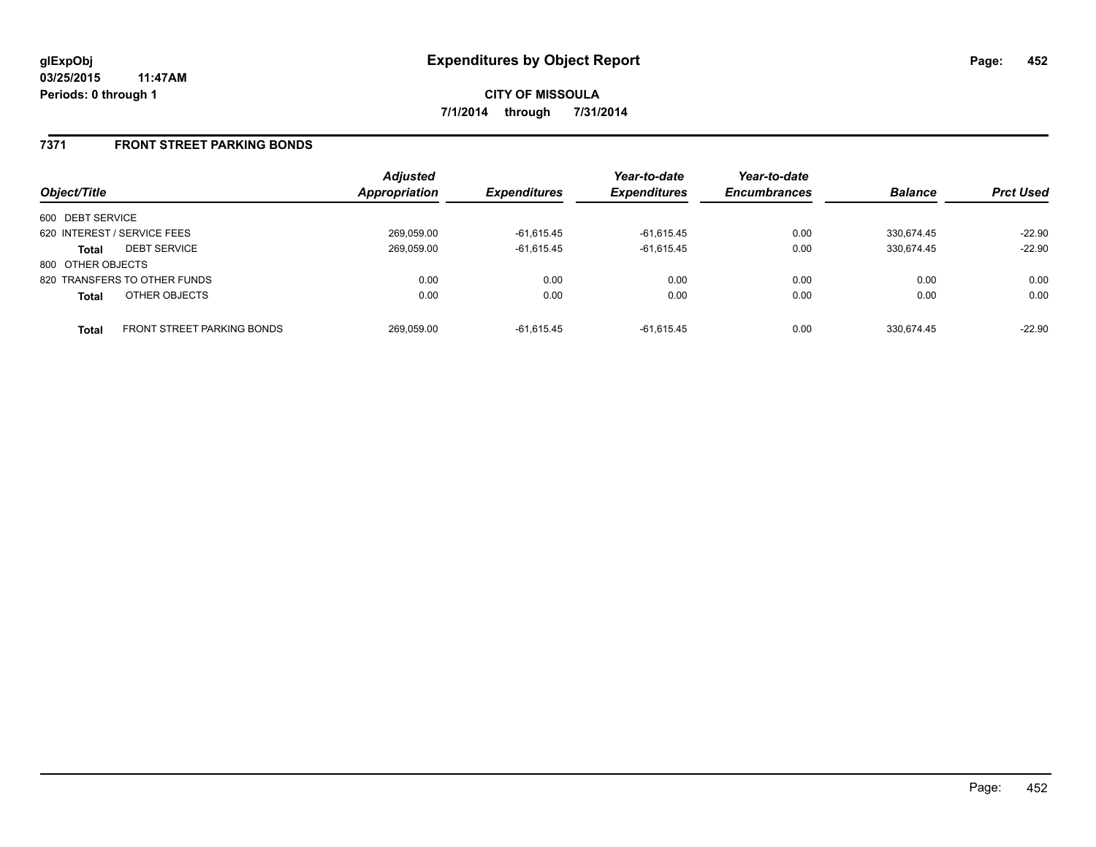**CITY OF MISSOULA 7/1/2014 through 7/31/2014**

## **7371 FRONT STREET PARKING BONDS**

| Object/Title      |                              | <b>Adjusted</b><br><b>Appropriation</b> | <b>Expenditures</b> | Year-to-date<br><b>Expenditures</b> | Year-to-date<br><b>Encumbrances</b> | <b>Balance</b> | <b>Prct Used</b> |
|-------------------|------------------------------|-----------------------------------------|---------------------|-------------------------------------|-------------------------------------|----------------|------------------|
| 600 DEBT SERVICE  |                              |                                         |                     |                                     |                                     |                |                  |
|                   | 620 INTEREST / SERVICE FEES  | 269,059.00                              | $-61,615.45$        | $-61,615.45$                        | 0.00                                | 330.674.45     | $-22.90$         |
| Total             | <b>DEBT SERVICE</b>          | 269,059.00                              | $-61,615.45$        | $-61.615.45$                        | 0.00                                | 330.674.45     | $-22.90$         |
| 800 OTHER OBJECTS |                              |                                         |                     |                                     |                                     |                |                  |
|                   | 820 TRANSFERS TO OTHER FUNDS | 0.00                                    | 0.00                | 0.00                                | 0.00                                | 0.00           | 0.00             |
| <b>Total</b>      | OTHER OBJECTS                | 0.00                                    | 0.00                | 0.00                                | 0.00                                | 0.00           | 0.00             |
| <b>Total</b>      | FRONT STREET PARKING BONDS   | 269,059.00                              | $-61.615.45$        | $-61.615.45$                        | 0.00                                | 330.674.45     | $-22.90$         |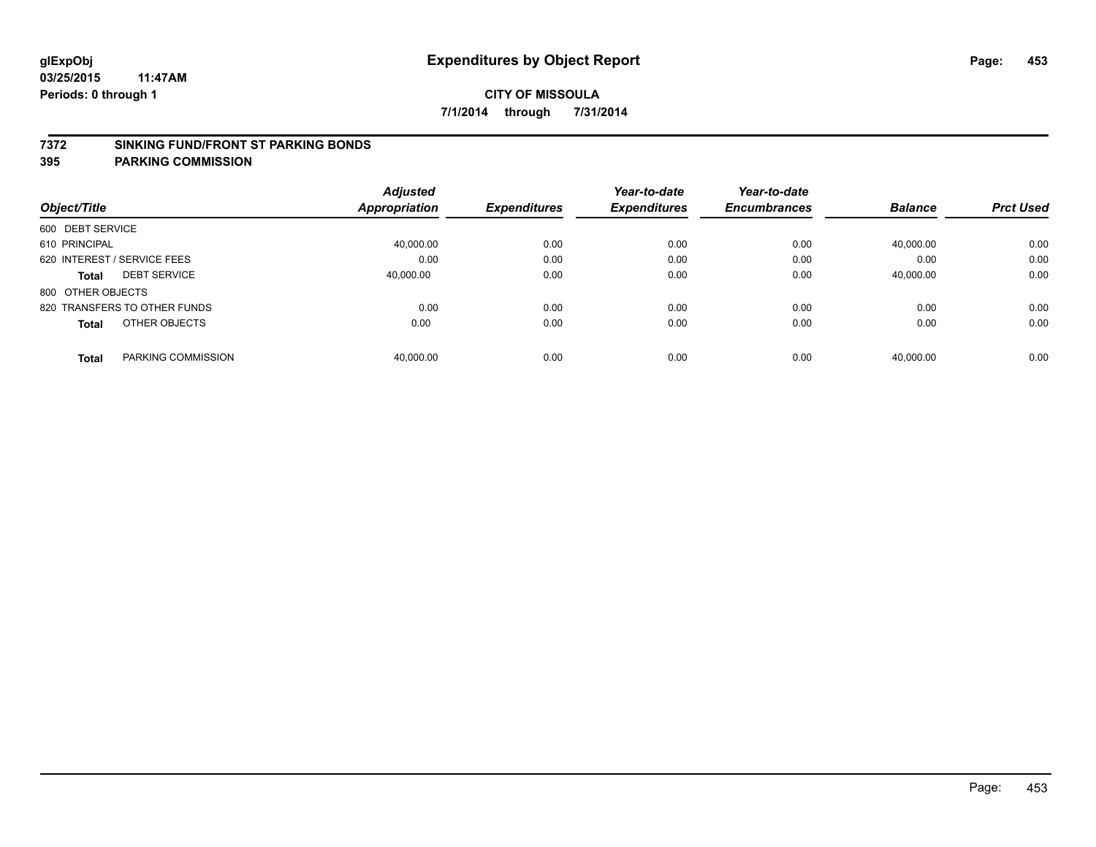### **7372 SINKING FUND/FRONT ST PARKING BONDS**

| Object/Title                        | <b>Adjusted</b><br>Appropriation | <b>Expenditures</b> | Year-to-date<br><b>Expenditures</b> | Year-to-date<br><b>Encumbrances</b> | <b>Balance</b> | <b>Prct Used</b> |
|-------------------------------------|----------------------------------|---------------------|-------------------------------------|-------------------------------------|----------------|------------------|
| 600 DEBT SERVICE                    |                                  |                     |                                     |                                     |                |                  |
| 610 PRINCIPAL                       | 40,000.00                        | 0.00                | 0.00                                | 0.00                                | 40,000.00      | 0.00             |
| 620 INTEREST / SERVICE FEES         | 0.00                             | 0.00                | 0.00                                | 0.00                                | 0.00           | 0.00             |
| <b>DEBT SERVICE</b><br><b>Total</b> | 40.000.00                        | 0.00                | 0.00                                | 0.00                                | 40,000.00      | 0.00             |
| 800 OTHER OBJECTS                   |                                  |                     |                                     |                                     |                |                  |
| 820 TRANSFERS TO OTHER FUNDS        | 0.00                             | 0.00                | 0.00                                | 0.00                                | 0.00           | 0.00             |
| OTHER OBJECTS<br><b>Total</b>       | 0.00                             | 0.00                | 0.00                                | 0.00                                | 0.00           | 0.00             |
| PARKING COMMISSION<br><b>Total</b>  | 40.000.00                        | 0.00                | 0.00                                | 0.00                                | 40.000.00      | 0.00             |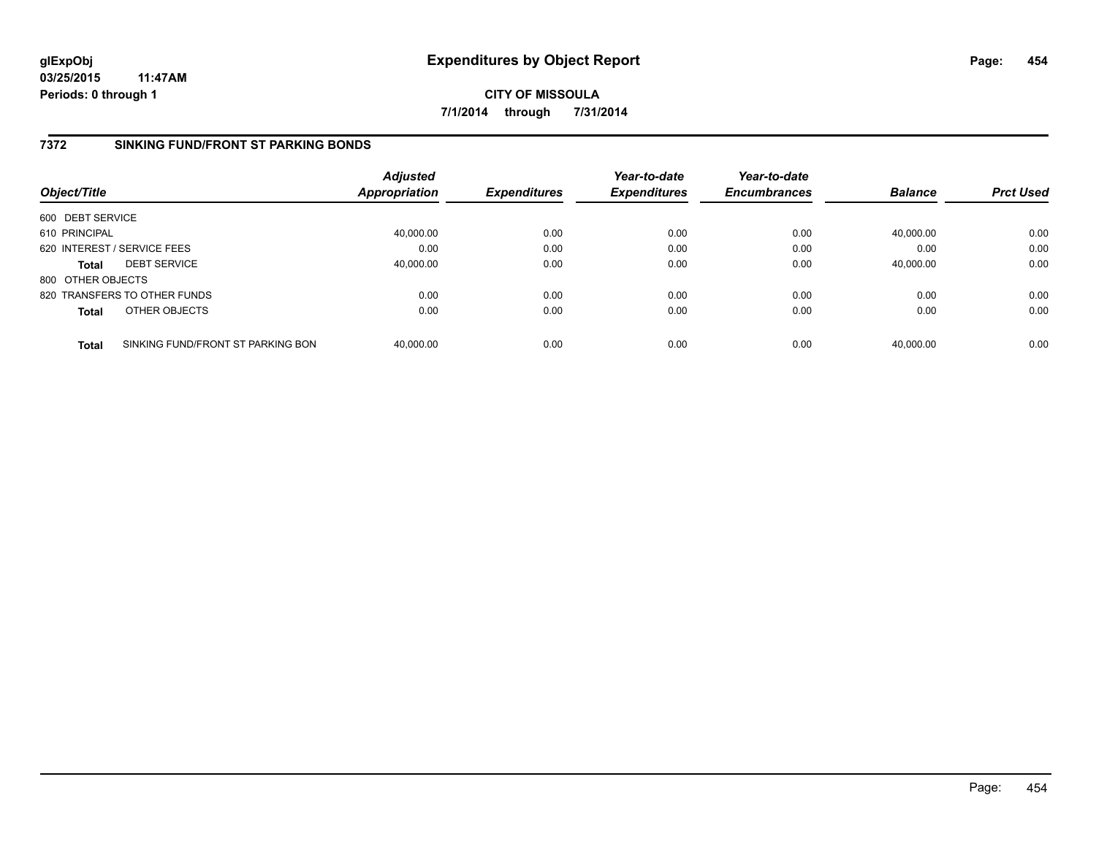**CITY OF MISSOULA 7/1/2014 through 7/31/2014**

## **7372 SINKING FUND/FRONT ST PARKING BONDS**

| Object/Title      |                                   | <b>Adjusted</b><br>Appropriation | <b>Expenditures</b> | Year-to-date<br><b>Expenditures</b> | Year-to-date<br><b>Encumbrances</b> | <b>Balance</b> | <b>Prct Used</b> |
|-------------------|-----------------------------------|----------------------------------|---------------------|-------------------------------------|-------------------------------------|----------------|------------------|
| 600 DEBT SERVICE  |                                   |                                  |                     |                                     |                                     |                |                  |
| 610 PRINCIPAL     |                                   | 40,000.00                        | 0.00                | 0.00                                | 0.00                                | 40,000.00      | 0.00             |
|                   | 620 INTEREST / SERVICE FEES       | 0.00                             | 0.00                | 0.00                                | 0.00                                | 0.00           | 0.00             |
| <b>Total</b>      | <b>DEBT SERVICE</b>               | 40.000.00                        | 0.00                | 0.00                                | 0.00                                | 40.000.00      | 0.00             |
| 800 OTHER OBJECTS |                                   |                                  |                     |                                     |                                     |                |                  |
|                   | 820 TRANSFERS TO OTHER FUNDS      | 0.00                             | 0.00                | 0.00                                | 0.00                                | 0.00           | 0.00             |
| <b>Total</b>      | OTHER OBJECTS                     | 0.00                             | 0.00                | 0.00                                | 0.00                                | 0.00           | 0.00             |
| <b>Total</b>      | SINKING FUND/FRONT ST PARKING BON | 40.000.00                        | 0.00                | 0.00                                | 0.00                                | 40.000.00      | 0.00             |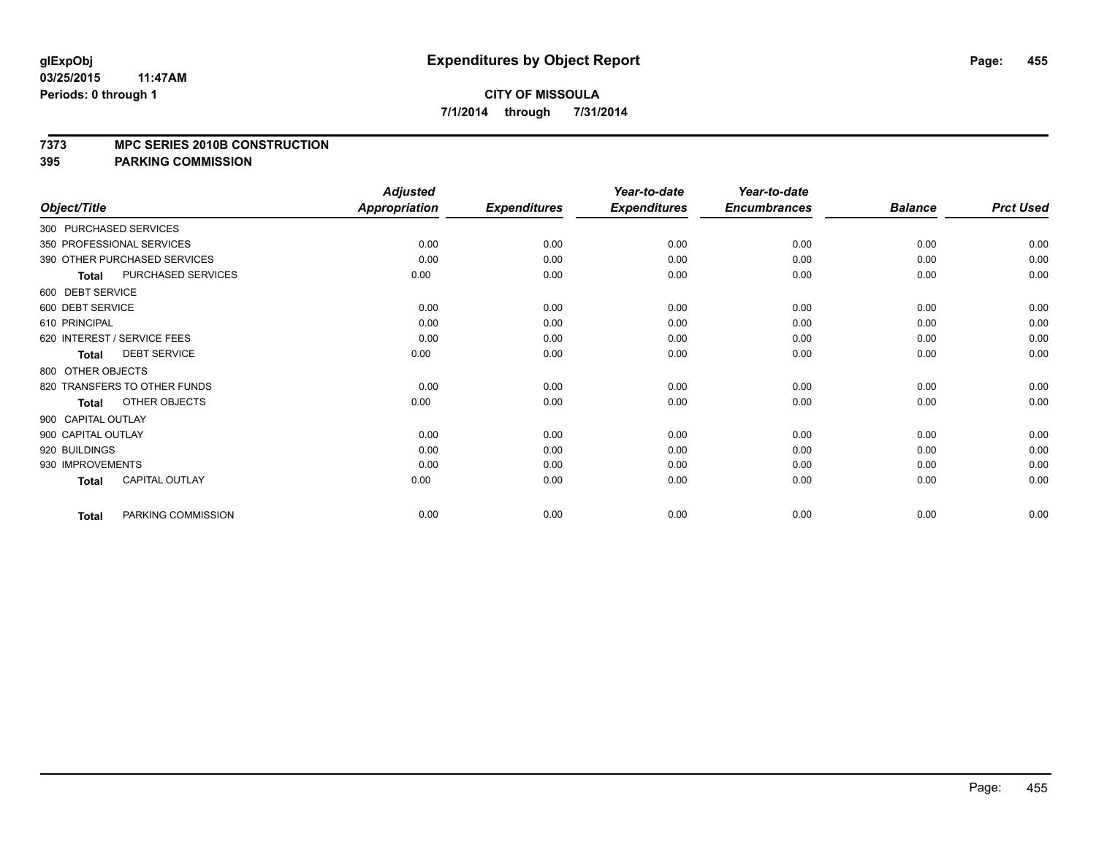### **7373 MPC SERIES 2010B CONSTRUCTION**

|                    |                              | <b>Adjusted</b>      |                     | Year-to-date        | Year-to-date        |                |                  |
|--------------------|------------------------------|----------------------|---------------------|---------------------|---------------------|----------------|------------------|
| Object/Title       |                              | <b>Appropriation</b> | <b>Expenditures</b> | <b>Expenditures</b> | <b>Encumbrances</b> | <b>Balance</b> | <b>Prct Used</b> |
|                    | 300 PURCHASED SERVICES       |                      |                     |                     |                     |                |                  |
|                    | 350 PROFESSIONAL SERVICES    | 0.00                 | 0.00                | 0.00                | 0.00                | 0.00           | 0.00             |
|                    | 390 OTHER PURCHASED SERVICES | 0.00                 | 0.00                | 0.00                | 0.00                | 0.00           | 0.00             |
| <b>Total</b>       | PURCHASED SERVICES           | 0.00                 | 0.00                | 0.00                | 0.00                | 0.00           | 0.00             |
| 600 DEBT SERVICE   |                              |                      |                     |                     |                     |                |                  |
| 600 DEBT SERVICE   |                              | 0.00                 | 0.00                | 0.00                | 0.00                | 0.00           | 0.00             |
| 610 PRINCIPAL      |                              | 0.00                 | 0.00                | 0.00                | 0.00                | 0.00           | 0.00             |
|                    | 620 INTEREST / SERVICE FEES  | 0.00                 | 0.00                | 0.00                | 0.00                | 0.00           | 0.00             |
| <b>Total</b>       | <b>DEBT SERVICE</b>          | 0.00                 | 0.00                | 0.00                | 0.00                | 0.00           | 0.00             |
| 800 OTHER OBJECTS  |                              |                      |                     |                     |                     |                |                  |
|                    | 820 TRANSFERS TO OTHER FUNDS | 0.00                 | 0.00                | 0.00                | 0.00                | 0.00           | 0.00             |
| <b>Total</b>       | OTHER OBJECTS                | 0.00                 | 0.00                | 0.00                | 0.00                | 0.00           | 0.00             |
| 900 CAPITAL OUTLAY |                              |                      |                     |                     |                     |                |                  |
| 900 CAPITAL OUTLAY |                              | 0.00                 | 0.00                | 0.00                | 0.00                | 0.00           | 0.00             |
| 920 BUILDINGS      |                              | 0.00                 | 0.00                | 0.00                | 0.00                | 0.00           | 0.00             |
| 930 IMPROVEMENTS   |                              | 0.00                 | 0.00                | 0.00                | 0.00                | 0.00           | 0.00             |
| <b>Total</b>       | <b>CAPITAL OUTLAY</b>        | 0.00                 | 0.00                | 0.00                | 0.00                | 0.00           | 0.00             |
| <b>Total</b>       | PARKING COMMISSION           | 0.00                 | 0.00                | 0.00                | 0.00                | 0.00           | 0.00             |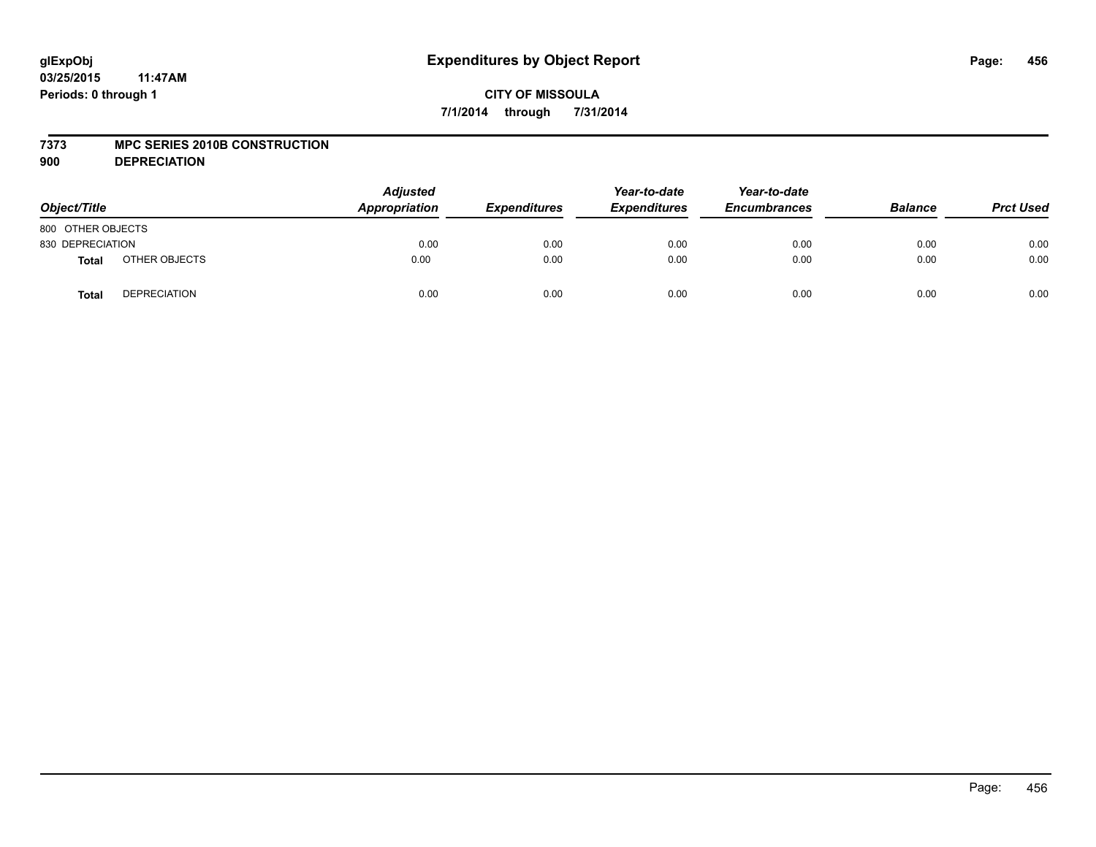### **7373 MPC SERIES 2010B CONSTRUCTION**

**900 DEPRECIATION**

| Object/Title      |                     | <b>Adjusted</b><br>Appropriation | <b>Expenditures</b> | Year-to-date<br><b>Expenditures</b> | Year-to-date<br><b>Encumbrances</b> | <b>Balance</b> | <b>Prct Used</b> |
|-------------------|---------------------|----------------------------------|---------------------|-------------------------------------|-------------------------------------|----------------|------------------|
| 800 OTHER OBJECTS |                     |                                  |                     |                                     |                                     |                |                  |
| 830 DEPRECIATION  |                     | 0.00                             | 0.00                | 0.00                                | 0.00                                | 0.00           | 0.00             |
| <b>Total</b>      | OTHER OBJECTS       | 0.00                             | 0.00                | 0.00                                | 0.00                                | 0.00           | 0.00             |
| <b>Total</b>      | <b>DEPRECIATION</b> | 0.00                             | 0.00                | 0.00                                | 0.00                                | 0.00           | 0.00             |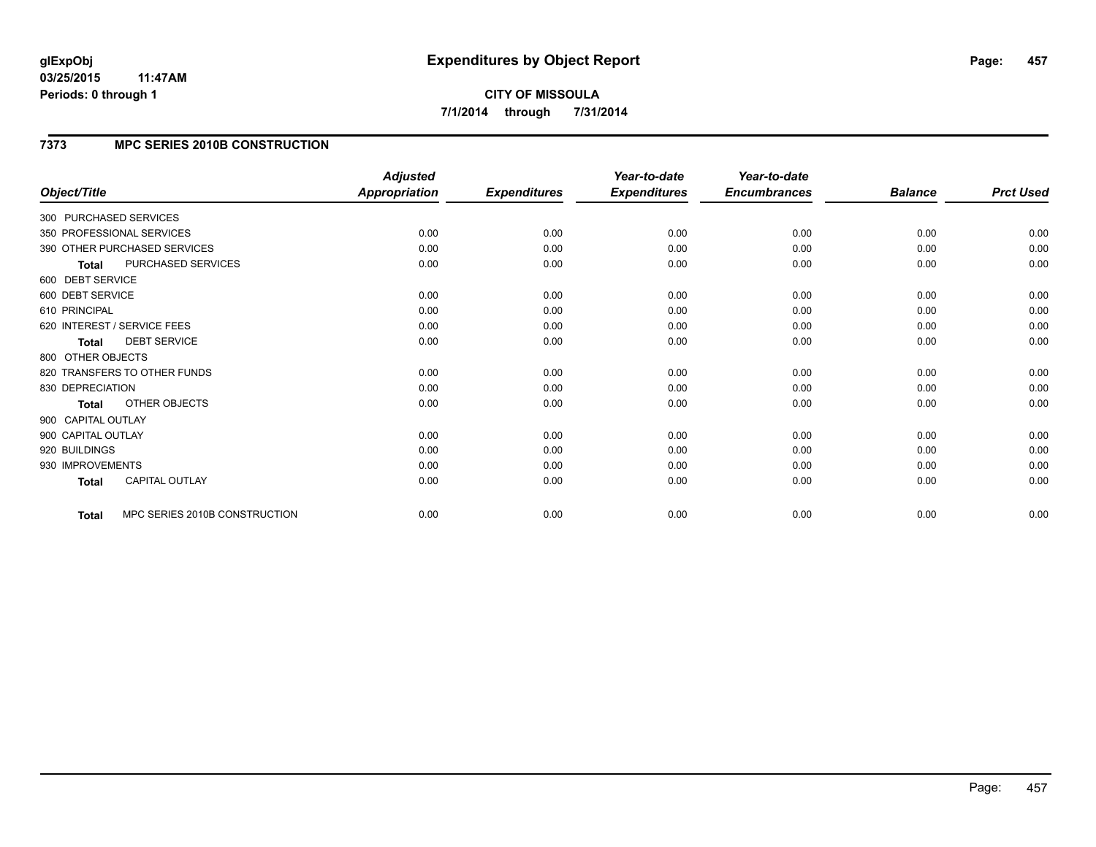# **CITY OF MISSOULA 7/1/2014 through 7/31/2014**

# **7373 MPC SERIES 2010B CONSTRUCTION**

| Object/Title           |                               | <b>Adjusted</b><br><b>Appropriation</b> | <b>Expenditures</b> | Year-to-date<br><b>Expenditures</b> | Year-to-date<br><b>Encumbrances</b> | <b>Balance</b> | <b>Prct Used</b> |
|------------------------|-------------------------------|-----------------------------------------|---------------------|-------------------------------------|-------------------------------------|----------------|------------------|
|                        |                               |                                         |                     |                                     |                                     |                |                  |
| 300 PURCHASED SERVICES |                               |                                         |                     |                                     |                                     |                |                  |
|                        | 350 PROFESSIONAL SERVICES     | 0.00                                    | 0.00                | 0.00                                | 0.00                                | 0.00           | 0.00             |
|                        | 390 OTHER PURCHASED SERVICES  | 0.00                                    | 0.00                | 0.00                                | 0.00                                | 0.00           | 0.00             |
| Total                  | PURCHASED SERVICES            | 0.00                                    | 0.00                | 0.00                                | 0.00                                | 0.00           | 0.00             |
| 600 DEBT SERVICE       |                               |                                         |                     |                                     |                                     |                |                  |
| 600 DEBT SERVICE       |                               | 0.00                                    | 0.00                | 0.00                                | 0.00                                | 0.00           | 0.00             |
| 610 PRINCIPAL          |                               | 0.00                                    | 0.00                | 0.00                                | 0.00                                | 0.00           | 0.00             |
|                        | 620 INTEREST / SERVICE FEES   | 0.00                                    | 0.00                | 0.00                                | 0.00                                | 0.00           | 0.00             |
| <b>Total</b>           | <b>DEBT SERVICE</b>           | 0.00                                    | 0.00                | 0.00                                | 0.00                                | 0.00           | 0.00             |
| 800 OTHER OBJECTS      |                               |                                         |                     |                                     |                                     |                |                  |
|                        | 820 TRANSFERS TO OTHER FUNDS  | 0.00                                    | 0.00                | 0.00                                | 0.00                                | 0.00           | 0.00             |
| 830 DEPRECIATION       |                               | 0.00                                    | 0.00                | 0.00                                | 0.00                                | 0.00           | 0.00             |
| <b>Total</b>           | OTHER OBJECTS                 | 0.00                                    | 0.00                | 0.00                                | 0.00                                | 0.00           | 0.00             |
| 900 CAPITAL OUTLAY     |                               |                                         |                     |                                     |                                     |                |                  |
| 900 CAPITAL OUTLAY     |                               | 0.00                                    | 0.00                | 0.00                                | 0.00                                | 0.00           | 0.00             |
| 920 BUILDINGS          |                               | 0.00                                    | 0.00                | 0.00                                | 0.00                                | 0.00           | 0.00             |
| 930 IMPROVEMENTS       |                               | 0.00                                    | 0.00                | 0.00                                | 0.00                                | 0.00           | 0.00             |
| <b>Total</b>           | <b>CAPITAL OUTLAY</b>         | 0.00                                    | 0.00                | 0.00                                | 0.00                                | 0.00           | 0.00             |
| Total                  | MPC SERIES 2010B CONSTRUCTION | 0.00                                    | 0.00                | 0.00                                | 0.00                                | 0.00           | 0.00             |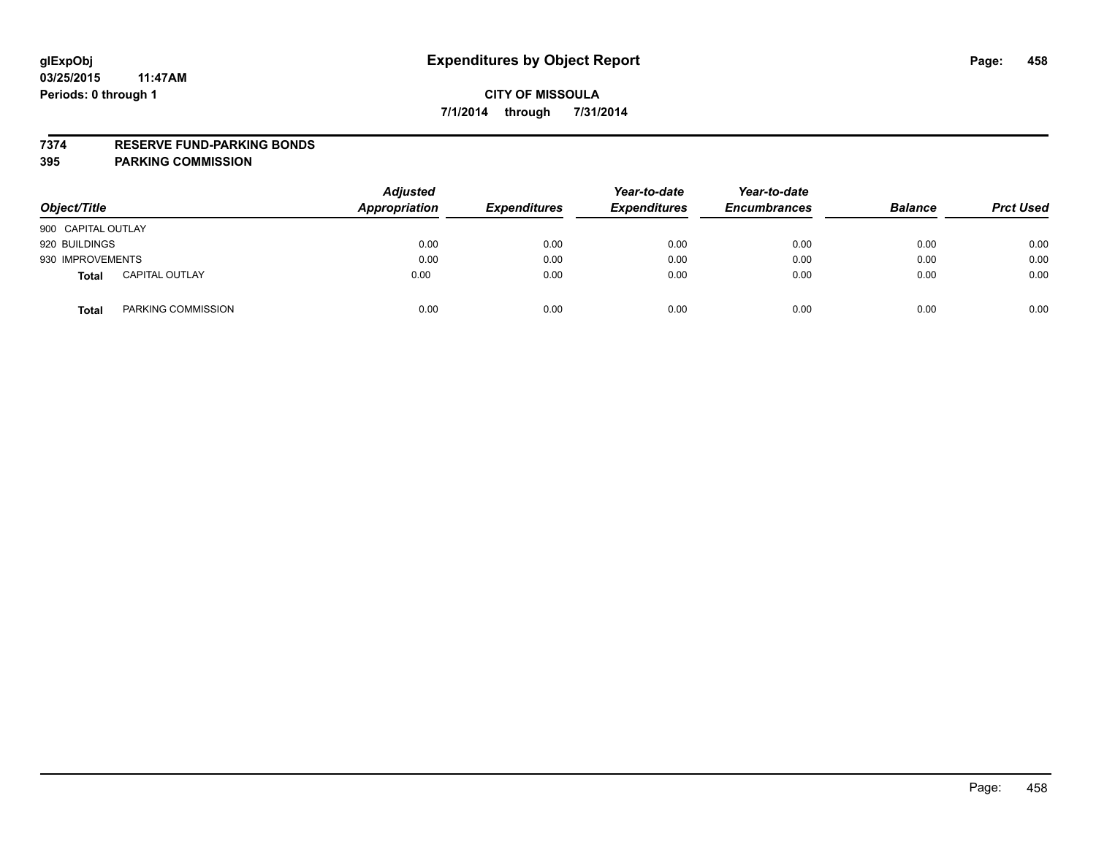### **7374 RESERVE FUND-PARKING BONDS**

| Object/Title       |                       | <b>Adjusted</b><br><b>Appropriation</b> | <b>Expenditures</b> | Year-to-date<br><b>Expenditures</b> | Year-to-date<br><b>Encumbrances</b> | <b>Balance</b> | <b>Prct Used</b> |
|--------------------|-----------------------|-----------------------------------------|---------------------|-------------------------------------|-------------------------------------|----------------|------------------|
| 900 CAPITAL OUTLAY |                       |                                         |                     |                                     |                                     |                |                  |
| 920 BUILDINGS      |                       | 0.00                                    | 0.00                | 0.00                                | 0.00                                | 0.00           | 0.00             |
| 930 IMPROVEMENTS   |                       | 0.00                                    | 0.00                | 0.00                                | 0.00                                | 0.00           | 0.00             |
| <b>Total</b>       | <b>CAPITAL OUTLAY</b> | 0.00                                    | 0.00                | 0.00                                | 0.00                                | 0.00           | 0.00             |
| <b>Total</b>       | PARKING COMMISSION    | 0.00                                    | 0.00                | 0.00                                | 0.00                                | 0.00           | 0.00             |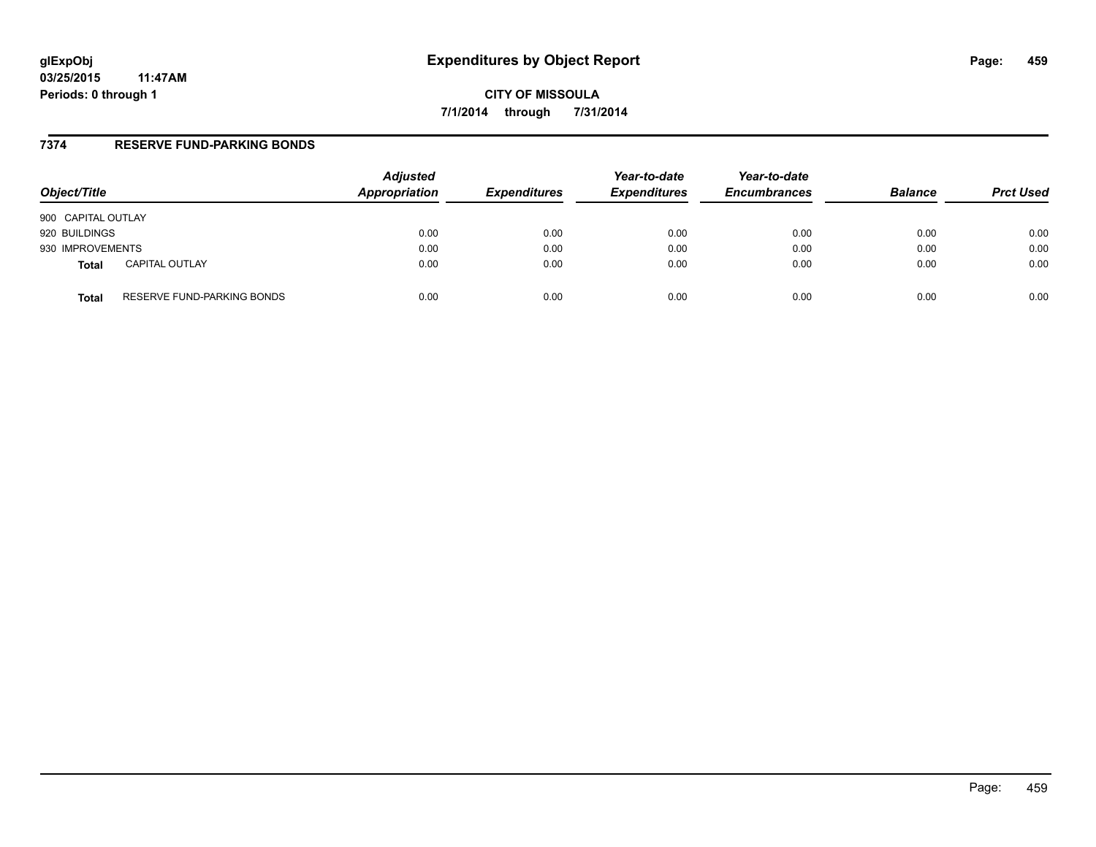**CITY OF MISSOULA 7/1/2014 through 7/31/2014**

## **7374 RESERVE FUND-PARKING BONDS**

| Object/Title       |                            | <b>Adjusted</b><br>Appropriation | <b>Expenditures</b> | Year-to-date<br><b>Expenditures</b> | Year-to-date<br><b>Encumbrances</b> | <b>Balance</b> | <b>Prct Used</b> |
|--------------------|----------------------------|----------------------------------|---------------------|-------------------------------------|-------------------------------------|----------------|------------------|
| 900 CAPITAL OUTLAY |                            |                                  |                     |                                     |                                     |                |                  |
| 920 BUILDINGS      |                            | 0.00                             | 0.00                | 0.00                                | 0.00                                | 0.00           | 0.00             |
| 930 IMPROVEMENTS   |                            | 0.00                             | 0.00                | 0.00                                | 0.00                                | 0.00           | 0.00             |
| Total              | <b>CAPITAL OUTLAY</b>      | 0.00                             | 0.00                | 0.00                                | 0.00                                | 0.00           | 0.00             |
| Total              | RESERVE FUND-PARKING BONDS | 0.00                             | 0.00                | 0.00                                | 0.00                                | 0.00           | 0.00             |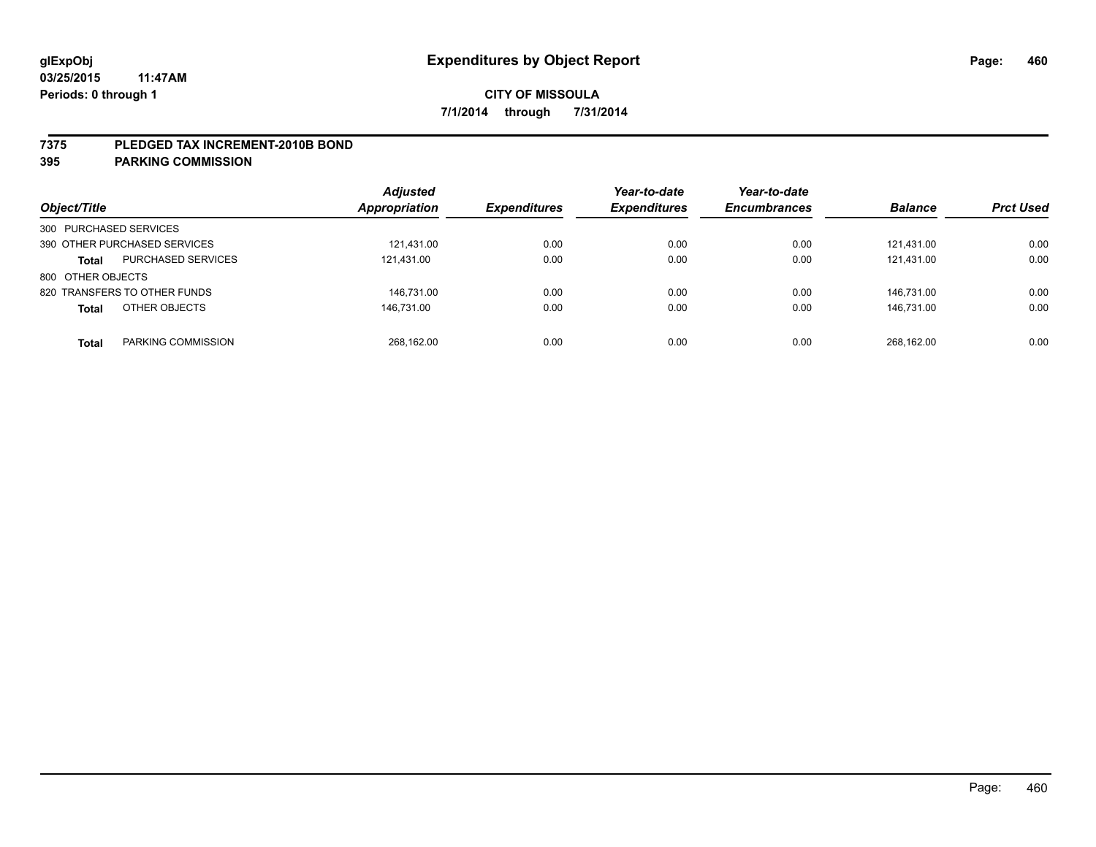### **7375 PLEDGED TAX INCREMENT-2010B BOND**

| Object/Title                              | <b>Adjusted</b><br><b>Appropriation</b> | <b>Expenditures</b> | Year-to-date<br><b>Expenditures</b> | Year-to-date<br><b>Encumbrances</b> | <b>Balance</b> | <b>Prct Used</b> |
|-------------------------------------------|-----------------------------------------|---------------------|-------------------------------------|-------------------------------------|----------------|------------------|
| 300 PURCHASED SERVICES                    |                                         |                     |                                     |                                     |                |                  |
| 390 OTHER PURCHASED SERVICES              | 121.431.00                              | 0.00                | 0.00                                | 0.00                                | 121.431.00     | 0.00             |
| <b>PURCHASED SERVICES</b><br><b>Total</b> | 121,431.00                              | 0.00                | 0.00                                | 0.00                                | 121.431.00     | 0.00             |
| 800 OTHER OBJECTS                         |                                         |                     |                                     |                                     |                |                  |
| 820 TRANSFERS TO OTHER FUNDS              | 146.731.00                              | 0.00                | 0.00                                | 0.00                                | 146.731.00     | 0.00             |
| OTHER OBJECTS<br><b>Total</b>             | 146.731.00                              | 0.00                | 0.00                                | 0.00                                | 146,731.00     | 0.00             |
| PARKING COMMISSION<br><b>Total</b>        | 268,162.00                              | 0.00                | 0.00                                | 0.00                                | 268.162.00     | 0.00             |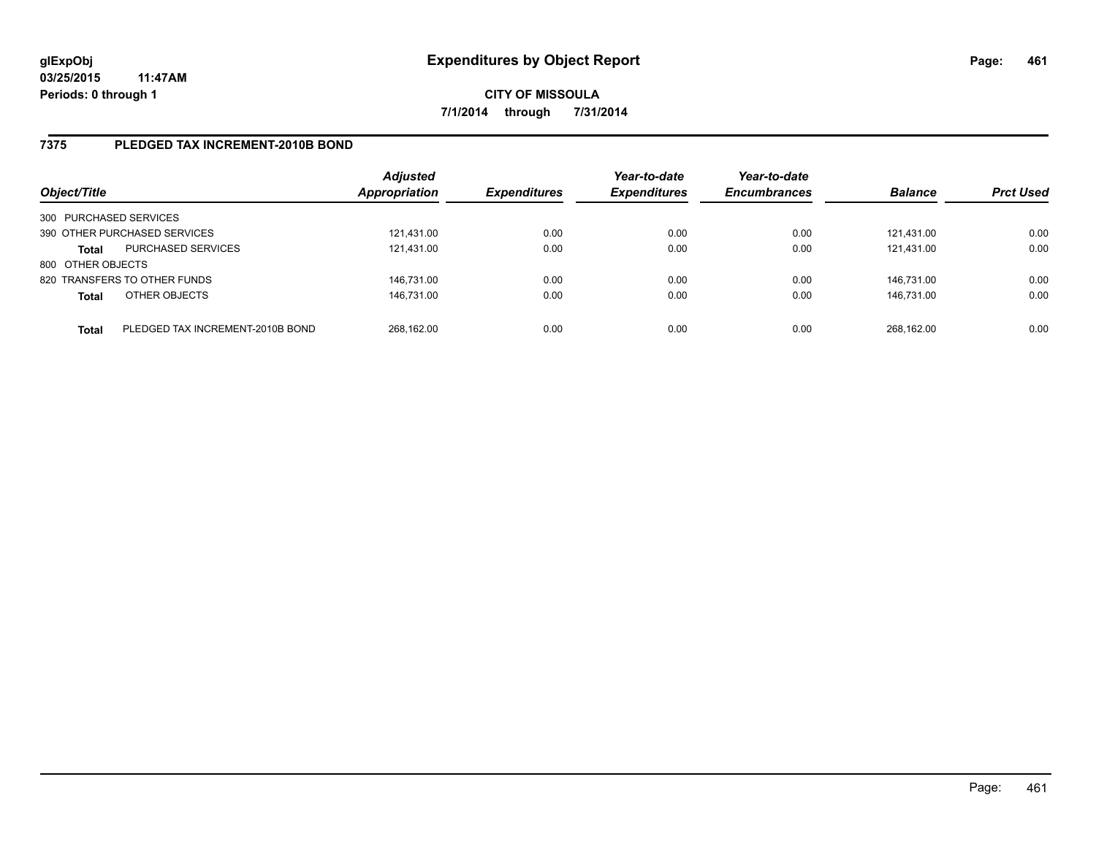## **7375 PLEDGED TAX INCREMENT-2010B BOND**

| Object/Title           |                                  | <b>Adjusted</b><br>Appropriation | <b>Expenditures</b> | Year-to-date<br><b>Expenditures</b> | Year-to-date<br><b>Encumbrances</b> | <b>Balance</b> | <b>Prct Used</b> |
|------------------------|----------------------------------|----------------------------------|---------------------|-------------------------------------|-------------------------------------|----------------|------------------|
| 300 PURCHASED SERVICES |                                  |                                  |                     |                                     |                                     |                |                  |
|                        | 390 OTHER PURCHASED SERVICES     | 121.431.00                       | 0.00                | 0.00                                | 0.00                                | 121.431.00     | 0.00             |
| <b>Total</b>           | <b>PURCHASED SERVICES</b>        | 121,431.00                       | 0.00                | 0.00                                | 0.00                                | 121.431.00     | 0.00             |
| 800 OTHER OBJECTS      |                                  |                                  |                     |                                     |                                     |                |                  |
|                        | 820 TRANSFERS TO OTHER FUNDS     | 146,731.00                       | 0.00                | 0.00                                | 0.00                                | 146.731.00     | 0.00             |
| <b>Total</b>           | OTHER OBJECTS                    | 146,731.00                       | 0.00                | 0.00                                | 0.00                                | 146.731.00     | 0.00             |
| <b>Total</b>           | PLEDGED TAX INCREMENT-2010B BOND | 268,162.00                       | 0.00                | 0.00                                | 0.00                                | 268.162.00     | 0.00             |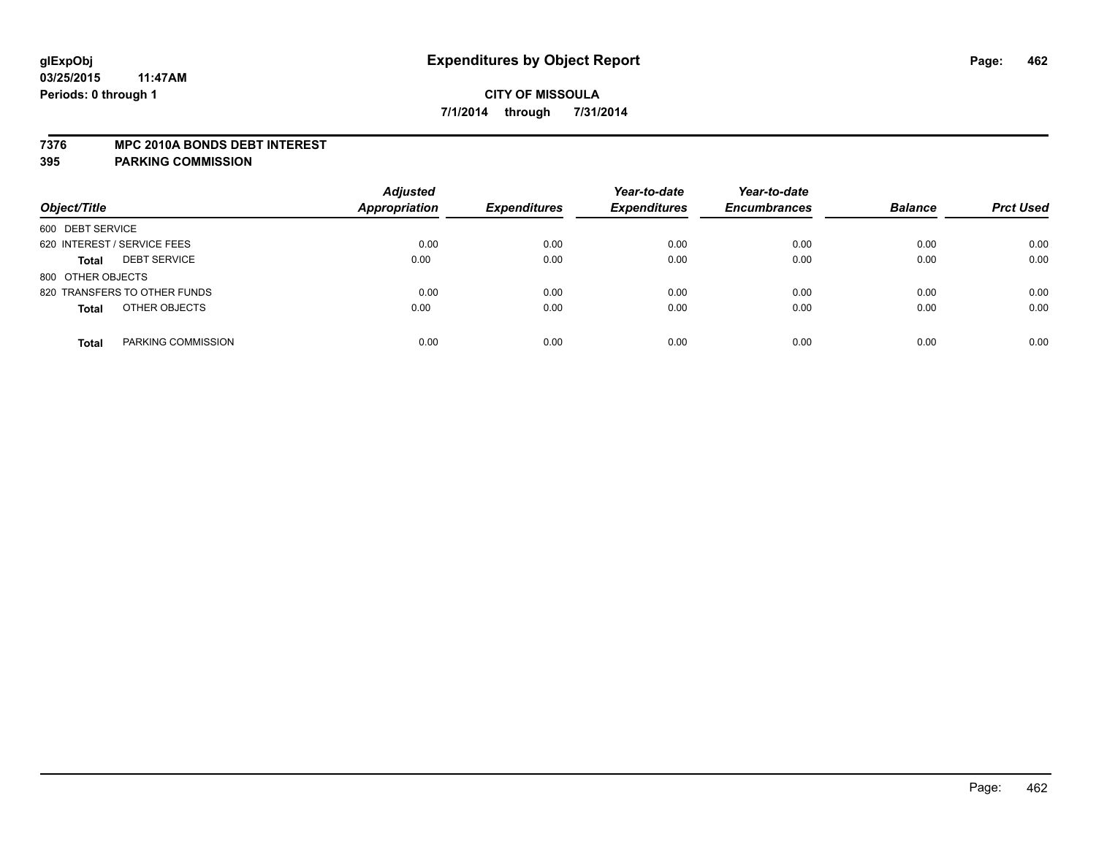### **7376 MPC 2010A BONDS DEBT INTEREST**

| Object/Title                        | <b>Adjusted</b><br><b>Appropriation</b> | <b>Expenditures</b> | Year-to-date<br><b>Expenditures</b> | Year-to-date<br><b>Encumbrances</b> | <b>Balance</b> | <b>Prct Used</b> |
|-------------------------------------|-----------------------------------------|---------------------|-------------------------------------|-------------------------------------|----------------|------------------|
| 600 DEBT SERVICE                    |                                         |                     |                                     |                                     |                |                  |
| 620 INTEREST / SERVICE FEES         | 0.00                                    | 0.00                | 0.00                                | 0.00                                | 0.00           | 0.00             |
| <b>DEBT SERVICE</b><br><b>Total</b> | 0.00                                    | 0.00                | 0.00                                | 0.00                                | 0.00           | 0.00             |
| 800 OTHER OBJECTS                   |                                         |                     |                                     |                                     |                |                  |
| 820 TRANSFERS TO OTHER FUNDS        | 0.00                                    | 0.00                | 0.00                                | 0.00                                | 0.00           | 0.00             |
| OTHER OBJECTS<br><b>Total</b>       | 0.00                                    | 0.00                | 0.00                                | 0.00                                | 0.00           | 0.00             |
| PARKING COMMISSION<br><b>Total</b>  | 0.00                                    | 0.00                | 0.00                                | 0.00                                | 0.00           | 0.00             |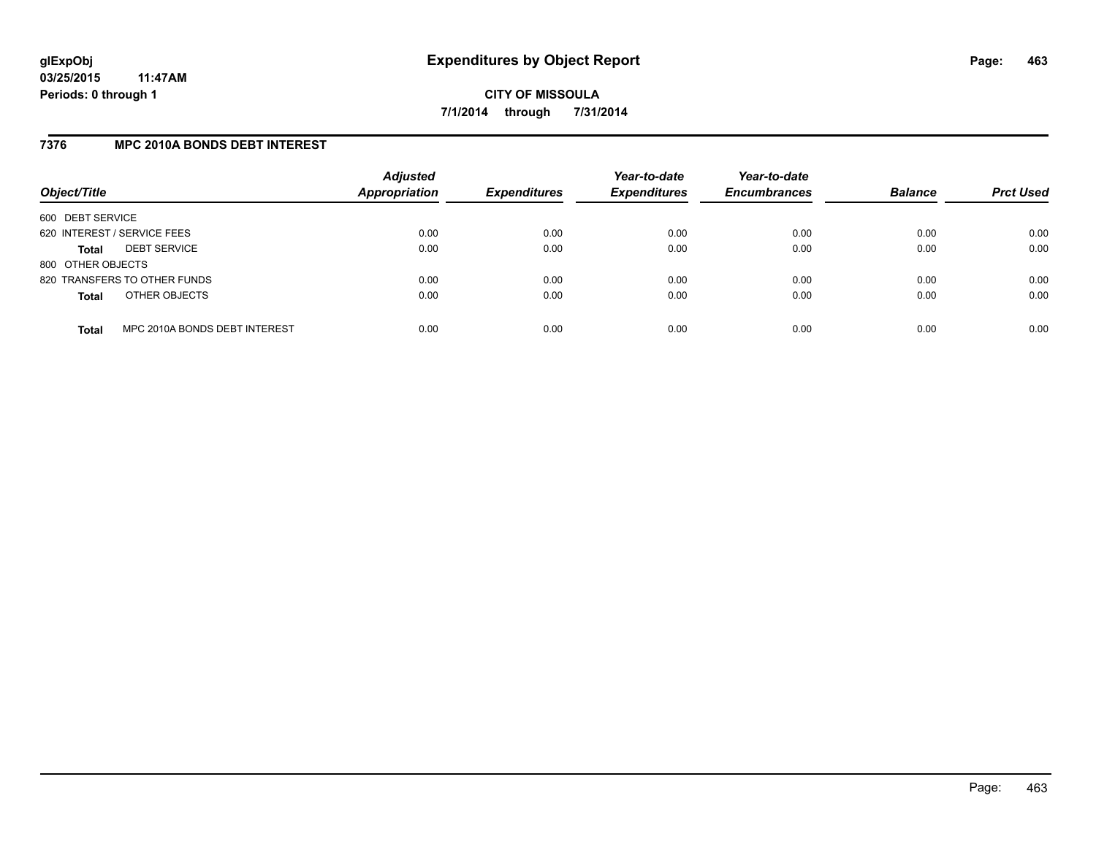## **7376 MPC 2010A BONDS DEBT INTEREST**

| Object/Title                |                               | <b>Adjusted</b><br>Appropriation | <b>Expenditures</b> | Year-to-date<br><b>Expenditures</b> | Year-to-date<br><b>Encumbrances</b> | <b>Balance</b> | <b>Prct Used</b> |
|-----------------------------|-------------------------------|----------------------------------|---------------------|-------------------------------------|-------------------------------------|----------------|------------------|
| 600 DEBT SERVICE            |                               |                                  |                     |                                     |                                     |                |                  |
| 620 INTEREST / SERVICE FEES |                               | 0.00                             | 0.00                | 0.00                                | 0.00                                | 0.00           | 0.00             |
| Total                       | <b>DEBT SERVICE</b>           | 0.00                             | 0.00                | 0.00                                | 0.00                                | 0.00           | 0.00             |
| 800 OTHER OBJECTS           |                               |                                  |                     |                                     |                                     |                |                  |
|                             | 820 TRANSFERS TO OTHER FUNDS  | 0.00                             | 0.00                | 0.00                                | 0.00                                | 0.00           | 0.00             |
| <b>Total</b>                | OTHER OBJECTS                 | 0.00                             | 0.00                | 0.00                                | 0.00                                | 0.00           | 0.00             |
| <b>Total</b>                | MPC 2010A BONDS DEBT INTEREST | 0.00                             | 0.00                | 0.00                                | 0.00                                | 0.00           | 0.00             |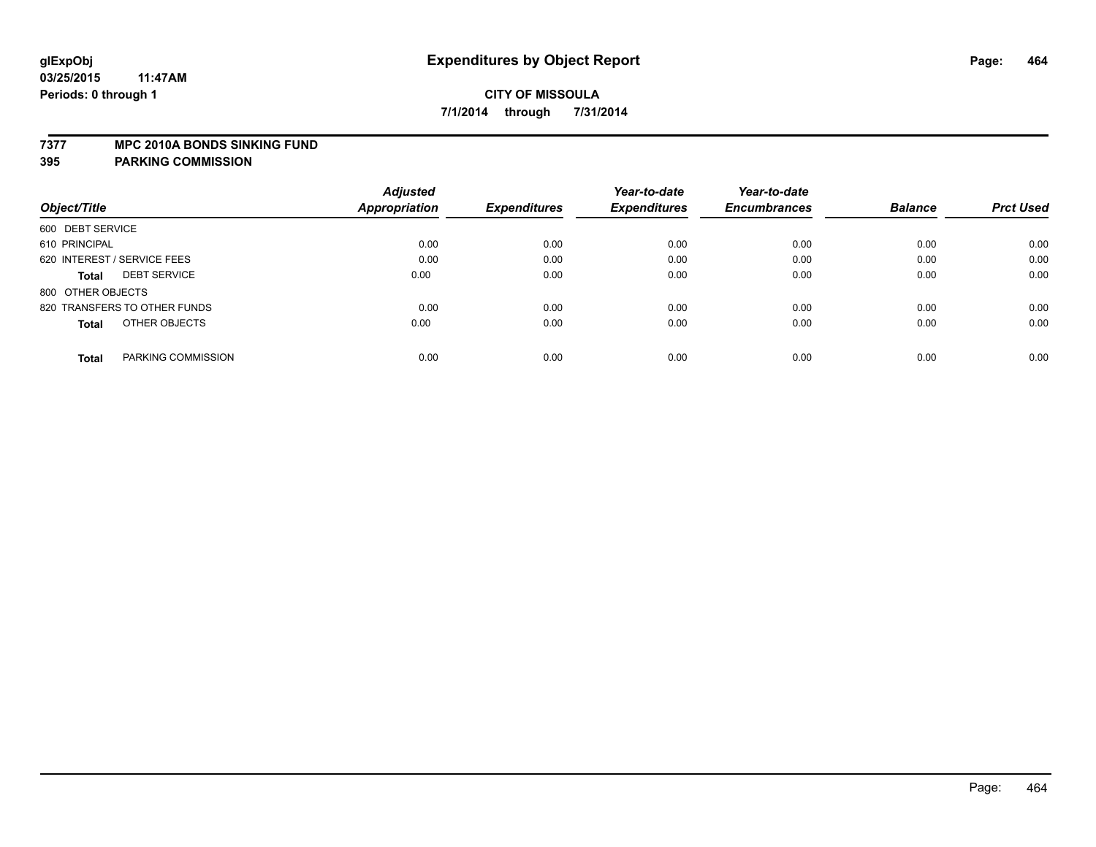### **7377 MPC 2010A BONDS SINKING FUND**

|                                     | <b>Adjusted</b> |                     | Year-to-date        | Year-to-date        |                |                  |
|-------------------------------------|-----------------|---------------------|---------------------|---------------------|----------------|------------------|
| Object/Title                        | Appropriation   | <b>Expenditures</b> | <b>Expenditures</b> | <b>Encumbrances</b> | <b>Balance</b> | <b>Prct Used</b> |
| 600 DEBT SERVICE                    |                 |                     |                     |                     |                |                  |
| 610 PRINCIPAL                       | 0.00            | 0.00                | 0.00                | 0.00                | 0.00           | 0.00             |
| 620 INTEREST / SERVICE FEES         | 0.00            | 0.00                | 0.00                | 0.00                | 0.00           | 0.00             |
| <b>DEBT SERVICE</b><br><b>Total</b> | 0.00            | 0.00                | 0.00                | 0.00                | 0.00           | 0.00             |
| 800 OTHER OBJECTS                   |                 |                     |                     |                     |                |                  |
| 820 TRANSFERS TO OTHER FUNDS        | 0.00            | 0.00                | 0.00                | 0.00                | 0.00           | 0.00             |
| OTHER OBJECTS<br><b>Total</b>       | 0.00            | 0.00                | 0.00                | 0.00                | 0.00           | 0.00             |
| PARKING COMMISSION<br><b>Total</b>  | 0.00            | 0.00                | 0.00                | 0.00                | 0.00           | 0.00             |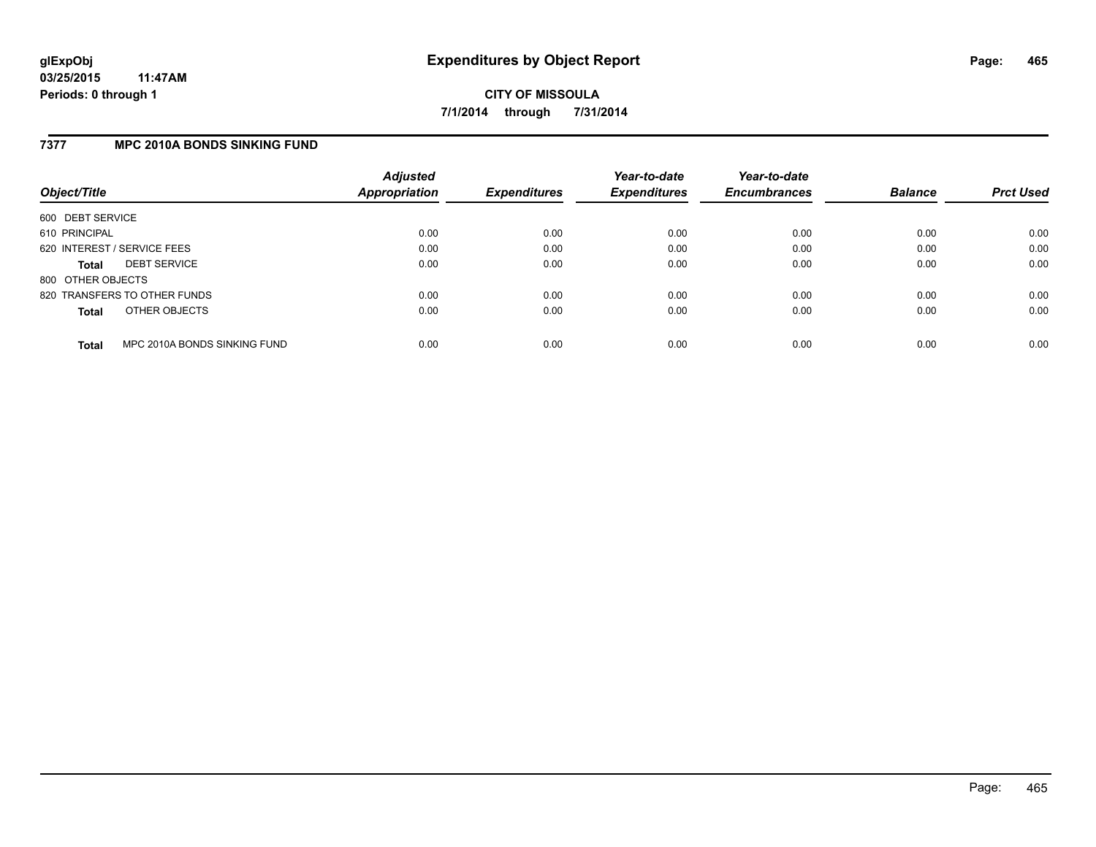## **7377 MPC 2010A BONDS SINKING FUND**

| Object/Title                |                              | <b>Adjusted</b><br><b>Appropriation</b> | <b>Expenditures</b> | Year-to-date<br><b>Expenditures</b> | Year-to-date<br><b>Encumbrances</b> | <b>Balance</b> | <b>Prct Used</b> |
|-----------------------------|------------------------------|-----------------------------------------|---------------------|-------------------------------------|-------------------------------------|----------------|------------------|
| 600 DEBT SERVICE            |                              |                                         |                     |                                     |                                     |                |                  |
| 610 PRINCIPAL               |                              | 0.00                                    | 0.00                | 0.00                                | 0.00                                | 0.00           | 0.00             |
| 620 INTEREST / SERVICE FEES |                              | 0.00                                    | 0.00                | 0.00                                | 0.00                                | 0.00           | 0.00             |
| <b>Total</b>                | <b>DEBT SERVICE</b>          | 0.00                                    | 0.00                | 0.00                                | 0.00                                | 0.00           | 0.00             |
| 800 OTHER OBJECTS           |                              |                                         |                     |                                     |                                     |                |                  |
|                             | 820 TRANSFERS TO OTHER FUNDS | 0.00                                    | 0.00                | 0.00                                | 0.00                                | 0.00           | 0.00             |
| <b>Total</b>                | OTHER OBJECTS                | 0.00                                    | 0.00                | 0.00                                | 0.00                                | 0.00           | 0.00             |
| <b>Total</b>                | MPC 2010A BONDS SINKING FUND | 0.00                                    | 0.00                | 0.00                                | 0.00                                | 0.00           | 0.00             |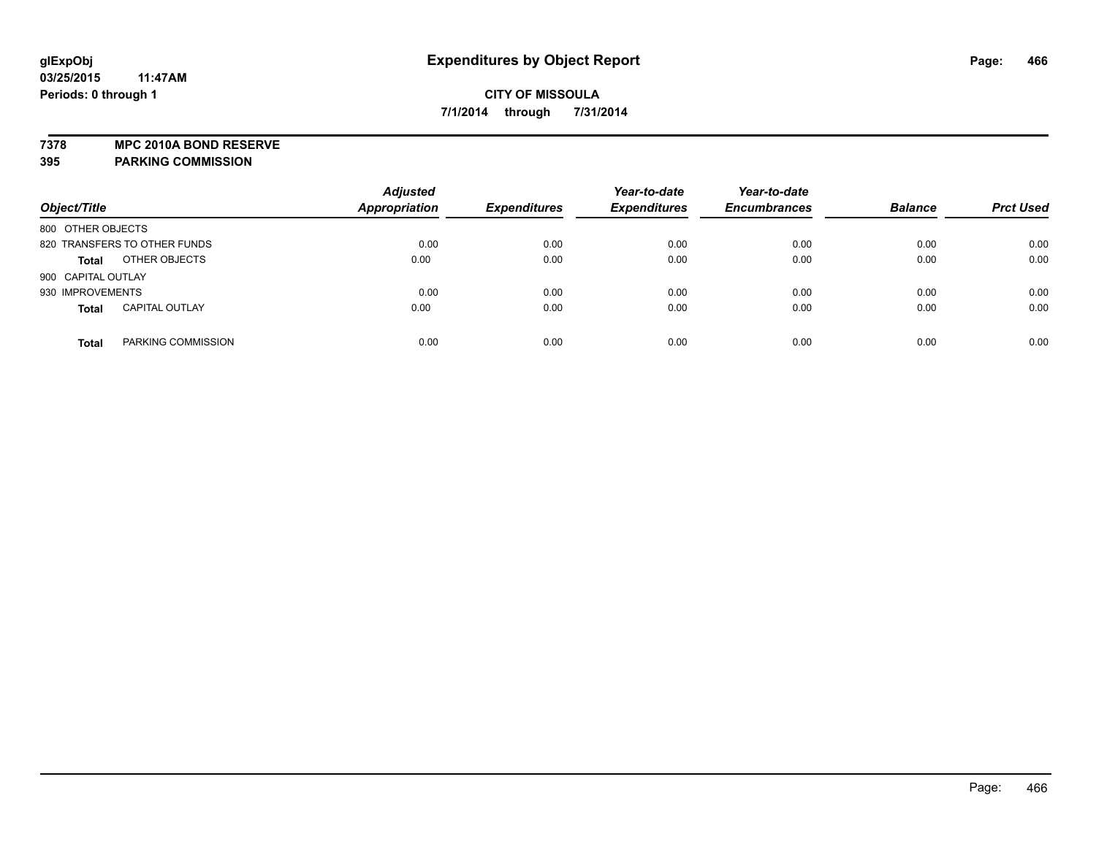**7378 MPC 2010A BOND RESERVE**

| Object/Title                          | <b>Adjusted</b><br><b>Appropriation</b> | <b>Expenditures</b> | Year-to-date<br><b>Expenditures</b> | Year-to-date<br><b>Encumbrances</b> | <b>Balance</b> | <b>Prct Used</b> |
|---------------------------------------|-----------------------------------------|---------------------|-------------------------------------|-------------------------------------|----------------|------------------|
| 800 OTHER OBJECTS                     |                                         |                     |                                     |                                     |                |                  |
| 820 TRANSFERS TO OTHER FUNDS          | 0.00                                    | 0.00                | 0.00                                | 0.00                                | 0.00           | 0.00             |
| OTHER OBJECTS<br><b>Total</b>         | 0.00                                    | 0.00                | 0.00                                | 0.00                                | 0.00           | 0.00             |
| 900 CAPITAL OUTLAY                    |                                         |                     |                                     |                                     |                |                  |
| 930 IMPROVEMENTS                      | 0.00                                    | 0.00                | 0.00                                | 0.00                                | 0.00           | 0.00             |
| <b>CAPITAL OUTLAY</b><br><b>Total</b> | 0.00                                    | 0.00                | 0.00                                | 0.00                                | 0.00           | 0.00             |
| PARKING COMMISSION<br><b>Total</b>    | 0.00                                    | 0.00                | 0.00                                | 0.00                                | 0.00           | 0.00             |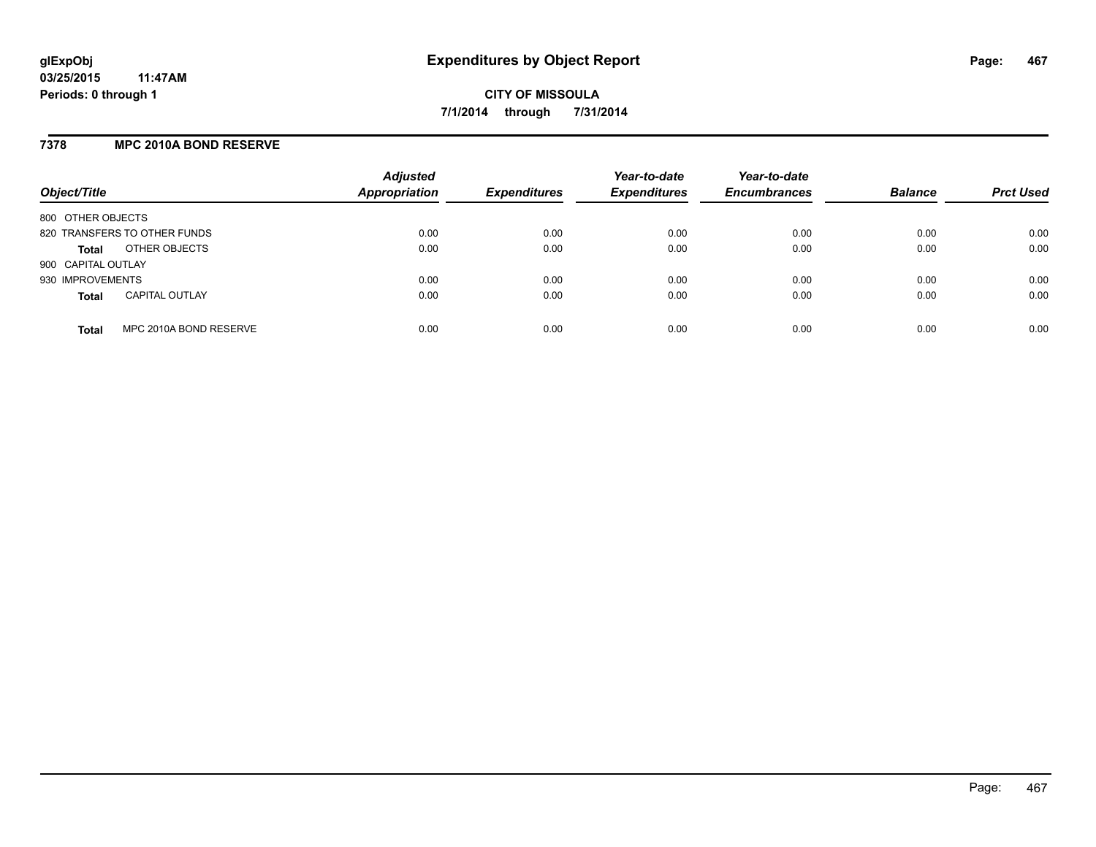## **7378 MPC 2010A BOND RESERVE**

| Object/Title                           | <b>Adjusted</b><br><b>Appropriation</b> | <b>Expenditures</b> | Year-to-date<br><b>Expenditures</b> | Year-to-date<br><b>Encumbrances</b> | <b>Balance</b> | <b>Prct Used</b> |
|----------------------------------------|-----------------------------------------|---------------------|-------------------------------------|-------------------------------------|----------------|------------------|
| 800 OTHER OBJECTS                      |                                         |                     |                                     |                                     |                |                  |
| 820 TRANSFERS TO OTHER FUNDS           | 0.00                                    | 0.00                | 0.00                                | 0.00                                | 0.00           | 0.00             |
| OTHER OBJECTS<br><b>Total</b>          | 0.00                                    | 0.00                | 0.00                                | 0.00                                | 0.00           | 0.00             |
| 900 CAPITAL OUTLAY                     |                                         |                     |                                     |                                     |                |                  |
| 930 IMPROVEMENTS                       | 0.00                                    | 0.00                | 0.00                                | 0.00                                | 0.00           | 0.00             |
| <b>CAPITAL OUTLAY</b><br><b>Total</b>  | 0.00                                    | 0.00                | 0.00                                | 0.00                                | 0.00           | 0.00             |
| MPC 2010A BOND RESERVE<br><b>Total</b> | 0.00                                    | 0.00                | 0.00                                | 0.00                                | 0.00           | 0.00             |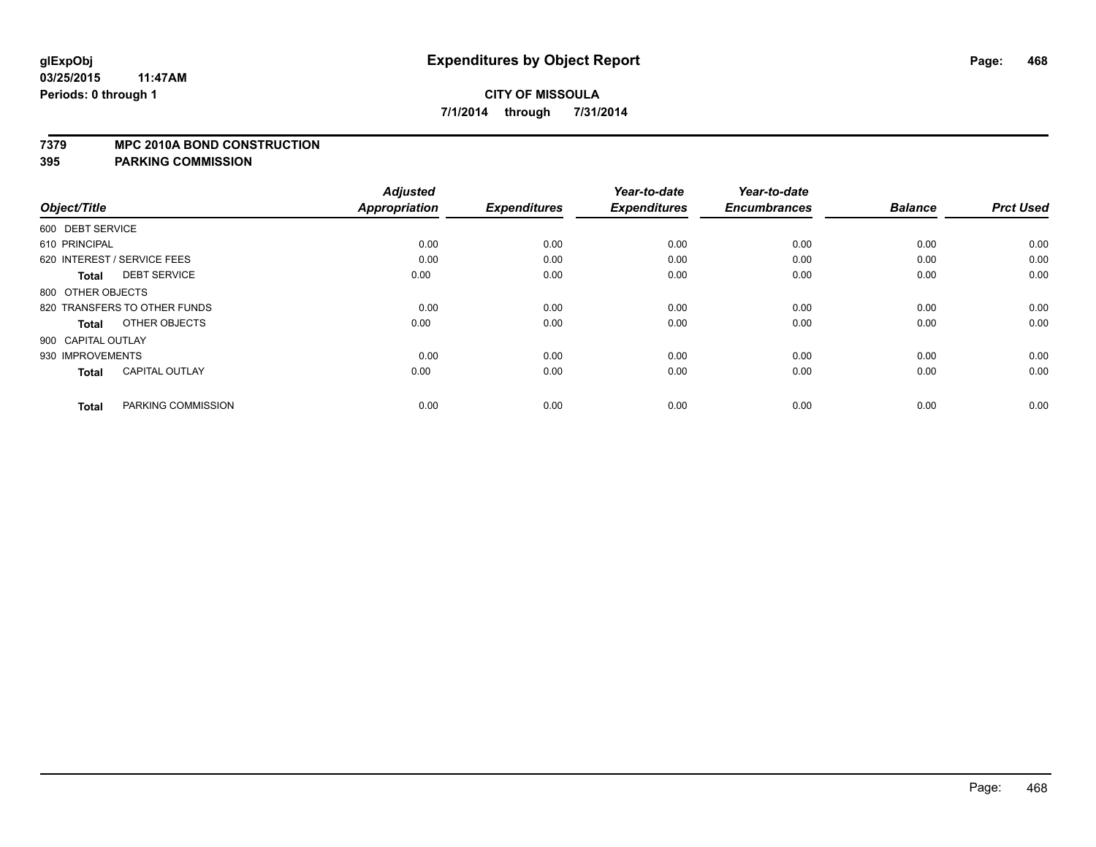### **7379 MPC 2010A BOND CONSTRUCTION**

| Object/Title                          | <b>Adjusted</b><br>Appropriation | <b>Expenditures</b> | Year-to-date<br><b>Expenditures</b> | Year-to-date<br><b>Encumbrances</b> | <b>Balance</b> | <b>Prct Used</b> |
|---------------------------------------|----------------------------------|---------------------|-------------------------------------|-------------------------------------|----------------|------------------|
| 600 DEBT SERVICE                      |                                  |                     |                                     |                                     |                |                  |
|                                       |                                  |                     |                                     |                                     |                |                  |
| 610 PRINCIPAL                         | 0.00                             | 0.00                | 0.00                                | 0.00                                | 0.00           | 0.00             |
| 620 INTEREST / SERVICE FEES           | 0.00                             | 0.00                | 0.00                                | 0.00                                | 0.00           | 0.00             |
| <b>DEBT SERVICE</b><br>Total          | 0.00                             | 0.00                | 0.00                                | 0.00                                | 0.00           | 0.00             |
| 800 OTHER OBJECTS                     |                                  |                     |                                     |                                     |                |                  |
| 820 TRANSFERS TO OTHER FUNDS          | 0.00                             | 0.00                | 0.00                                | 0.00                                | 0.00           | 0.00             |
| OTHER OBJECTS<br><b>Total</b>         | 0.00                             | 0.00                | 0.00                                | 0.00                                | 0.00           | 0.00             |
| 900 CAPITAL OUTLAY                    |                                  |                     |                                     |                                     |                |                  |
| 930 IMPROVEMENTS                      | 0.00                             | 0.00                | 0.00                                | 0.00                                | 0.00           | 0.00             |
| <b>CAPITAL OUTLAY</b><br><b>Total</b> | 0.00                             | 0.00                | 0.00                                | 0.00                                | 0.00           | 0.00             |
|                                       |                                  |                     |                                     |                                     |                |                  |
| PARKING COMMISSION<br><b>Total</b>    | 0.00                             | 0.00                | 0.00                                | 0.00                                | 0.00           | 0.00             |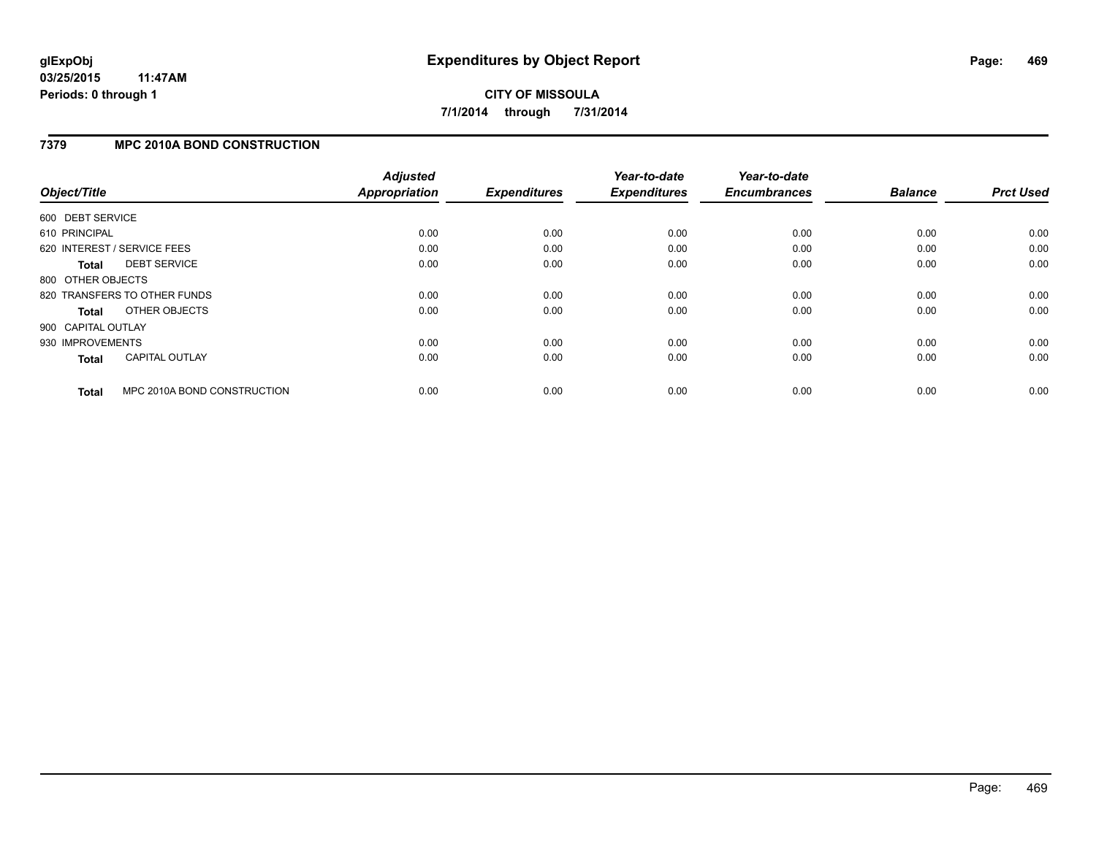### **7379 MPC 2010A BOND CONSTRUCTION**

| Object/Title       |                              | <b>Adjusted</b><br>Appropriation | <b>Expenditures</b> | Year-to-date<br><b>Expenditures</b> | Year-to-date<br><b>Encumbrances</b> | <b>Balance</b> | <b>Prct Used</b> |
|--------------------|------------------------------|----------------------------------|---------------------|-------------------------------------|-------------------------------------|----------------|------------------|
| 600 DEBT SERVICE   |                              |                                  |                     |                                     |                                     |                |                  |
| 610 PRINCIPAL      |                              | 0.00                             | 0.00                | 0.00                                | 0.00                                | 0.00           | 0.00             |
|                    | 620 INTEREST / SERVICE FEES  | 0.00                             | 0.00                | 0.00                                | 0.00                                | 0.00           | 0.00             |
| Total              | <b>DEBT SERVICE</b>          | 0.00                             | 0.00                | 0.00                                | 0.00                                | 0.00           | 0.00             |
| 800 OTHER OBJECTS  |                              |                                  |                     |                                     |                                     |                |                  |
|                    | 820 TRANSFERS TO OTHER FUNDS | 0.00                             | 0.00                | 0.00                                | 0.00                                | 0.00           | 0.00             |
| Total              | OTHER OBJECTS                | 0.00                             | 0.00                | 0.00                                | 0.00                                | 0.00           | 0.00             |
| 900 CAPITAL OUTLAY |                              |                                  |                     |                                     |                                     |                |                  |
| 930 IMPROVEMENTS   |                              | 0.00                             | 0.00                | 0.00                                | 0.00                                | 0.00           | 0.00             |
| <b>Total</b>       | <b>CAPITAL OUTLAY</b>        | 0.00                             | 0.00                | 0.00                                | 0.00                                | 0.00           | 0.00             |
| <b>Total</b>       | MPC 2010A BOND CONSTRUCTION  | 0.00                             | 0.00                | 0.00                                | 0.00                                | 0.00           | 0.00             |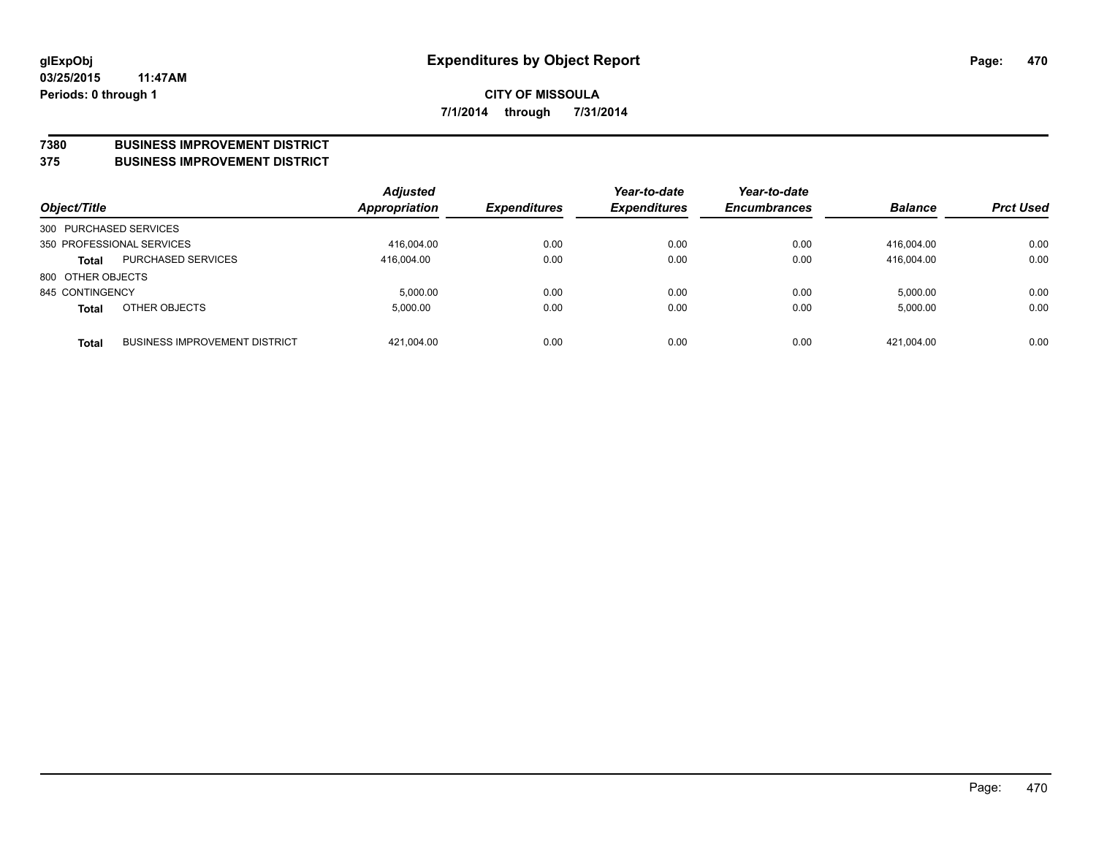#### **7380 BUSINESS IMPROVEMENT DISTRICT**

**375 BUSINESS IMPROVEMENT DISTRICT**

| Object/Title           |                                      | <b>Adjusted</b><br>Appropriation | <b>Expenditures</b> | Year-to-date<br><b>Expenditures</b> | Year-to-date<br><b>Encumbrances</b> | <b>Balance</b> | <b>Prct Used</b> |
|------------------------|--------------------------------------|----------------------------------|---------------------|-------------------------------------|-------------------------------------|----------------|------------------|
| 300 PURCHASED SERVICES |                                      |                                  |                     |                                     |                                     |                |                  |
|                        | 350 PROFESSIONAL SERVICES            | 416,004.00                       | 0.00                | 0.00                                | 0.00                                | 416.004.00     | 0.00             |
| <b>Total</b>           | PURCHASED SERVICES                   | 416.004.00                       | 0.00                | 0.00                                | 0.00                                | 416.004.00     | 0.00             |
| 800 OTHER OBJECTS      |                                      |                                  |                     |                                     |                                     |                |                  |
| 845 CONTINGENCY        |                                      | 5.000.00                         | 0.00                | 0.00                                | 0.00                                | 5,000.00       | 0.00             |
| <b>Total</b>           | OTHER OBJECTS                        | 5.000.00                         | 0.00                | 0.00                                | 0.00                                | 5,000.00       | 0.00             |
| <b>Total</b>           | <b>BUSINESS IMPROVEMENT DISTRICT</b> | 421,004.00                       | 0.00                | 0.00                                | 0.00                                | 421.004.00     | 0.00             |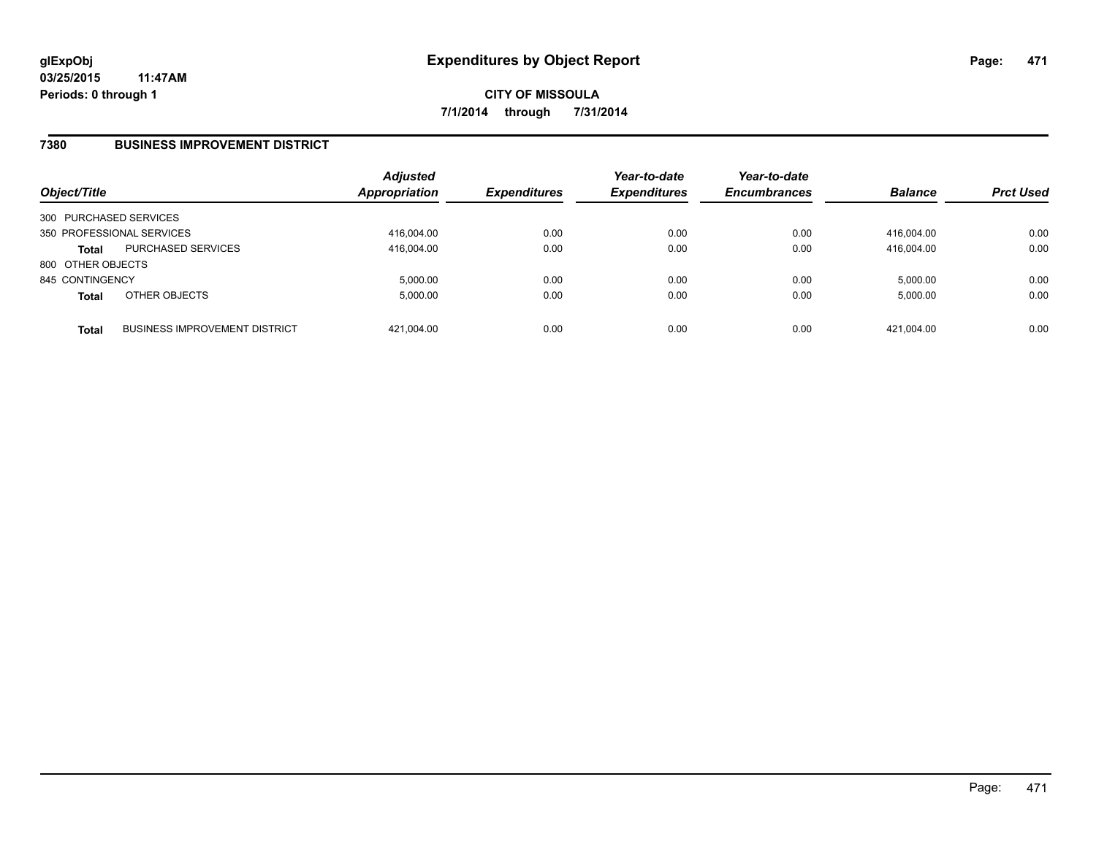### **7380 BUSINESS IMPROVEMENT DISTRICT**

| Object/Title           |                                      | <b>Adjusted</b><br><b>Appropriation</b> | <b>Expenditures</b> | Year-to-date<br><b>Expenditures</b> | Year-to-date<br><b>Encumbrances</b> | <b>Balance</b> | <b>Prct Used</b> |
|------------------------|--------------------------------------|-----------------------------------------|---------------------|-------------------------------------|-------------------------------------|----------------|------------------|
| 300 PURCHASED SERVICES |                                      |                                         |                     |                                     |                                     |                |                  |
|                        | 350 PROFESSIONAL SERVICES            | 416.004.00                              | 0.00                | 0.00                                | 0.00                                | 416.004.00     | 0.00             |
| Total                  | PURCHASED SERVICES                   | 416,004.00                              | 0.00                | 0.00                                | 0.00                                | 416.004.00     | 0.00             |
| 800 OTHER OBJECTS      |                                      |                                         |                     |                                     |                                     |                |                  |
| 845 CONTINGENCY        |                                      | 5.000.00                                | 0.00                | 0.00                                | 0.00                                | 5,000.00       | 0.00             |
| <b>Total</b>           | OTHER OBJECTS                        | 5.000.00                                | 0.00                | 0.00                                | 0.00                                | 5,000.00       | 0.00             |
| <b>Total</b>           | <b>BUSINESS IMPROVEMENT DISTRICT</b> | 421,004.00                              | 0.00                | 0.00                                | 0.00                                | 421,004.00     | 0.00             |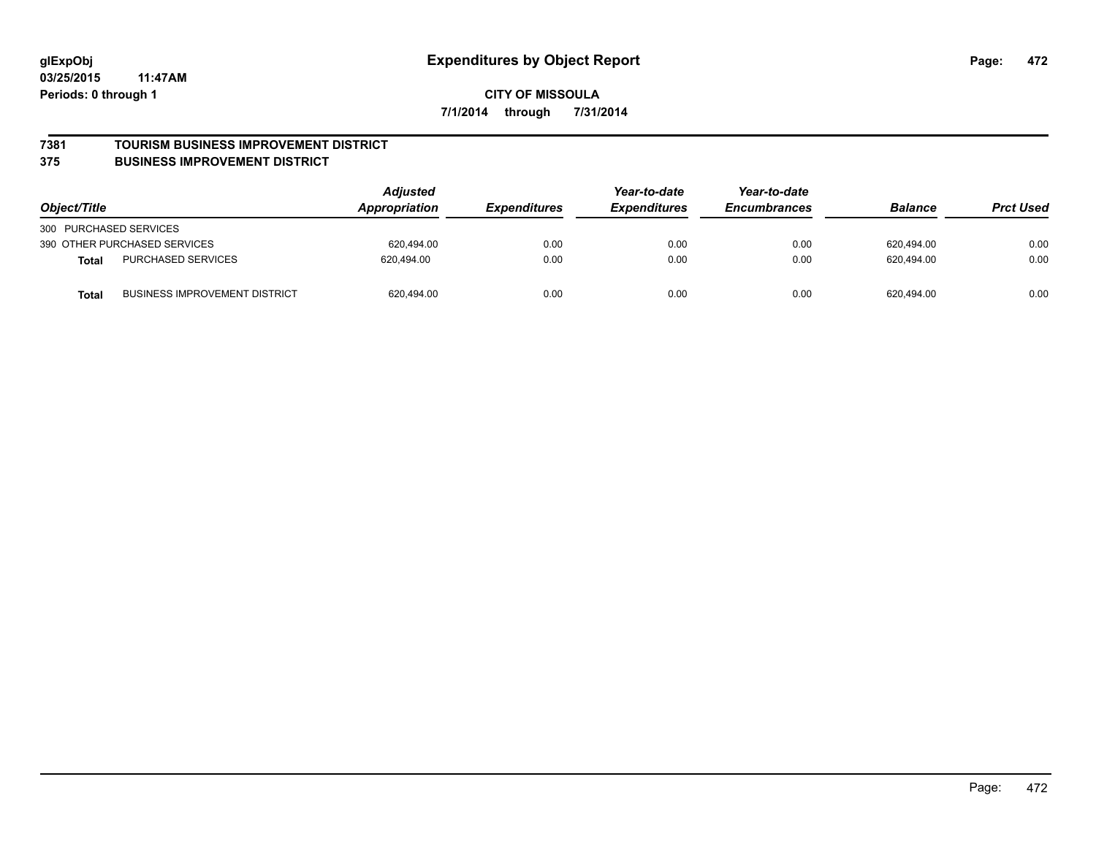#### **7381 TOURISM BUSINESS IMPROVEMENT DISTRICT**

#### **375 BUSINESS IMPROVEMENT DISTRICT**

| Object/Title                                         | <b>Adjusted</b><br>Appropriation | <i><b>Expenditures</b></i> | Year-to-date<br><b>Expenditures</b> | Year-to-date<br><b>Encumbrances</b> | <b>Balance</b> | <b>Prct Used</b> |
|------------------------------------------------------|----------------------------------|----------------------------|-------------------------------------|-------------------------------------|----------------|------------------|
| 300 PURCHASED SERVICES                               |                                  |                            |                                     |                                     |                |                  |
| 390 OTHER PURCHASED SERVICES                         | 620.494.00                       | 0.00                       | 0.00                                | 0.00                                | 620,494.00     | 0.00             |
| <b>PURCHASED SERVICES</b><br><b>Total</b>            | 620.494.00                       | 0.00                       | 0.00                                | 0.00                                | 620.494.00     | 0.00             |
| <b>BUSINESS IMPROVEMENT DISTRICT</b><br><b>Total</b> | 620,494.00                       | 0.00                       | 0.00                                | 0.00                                | 620,494.00     | 0.00             |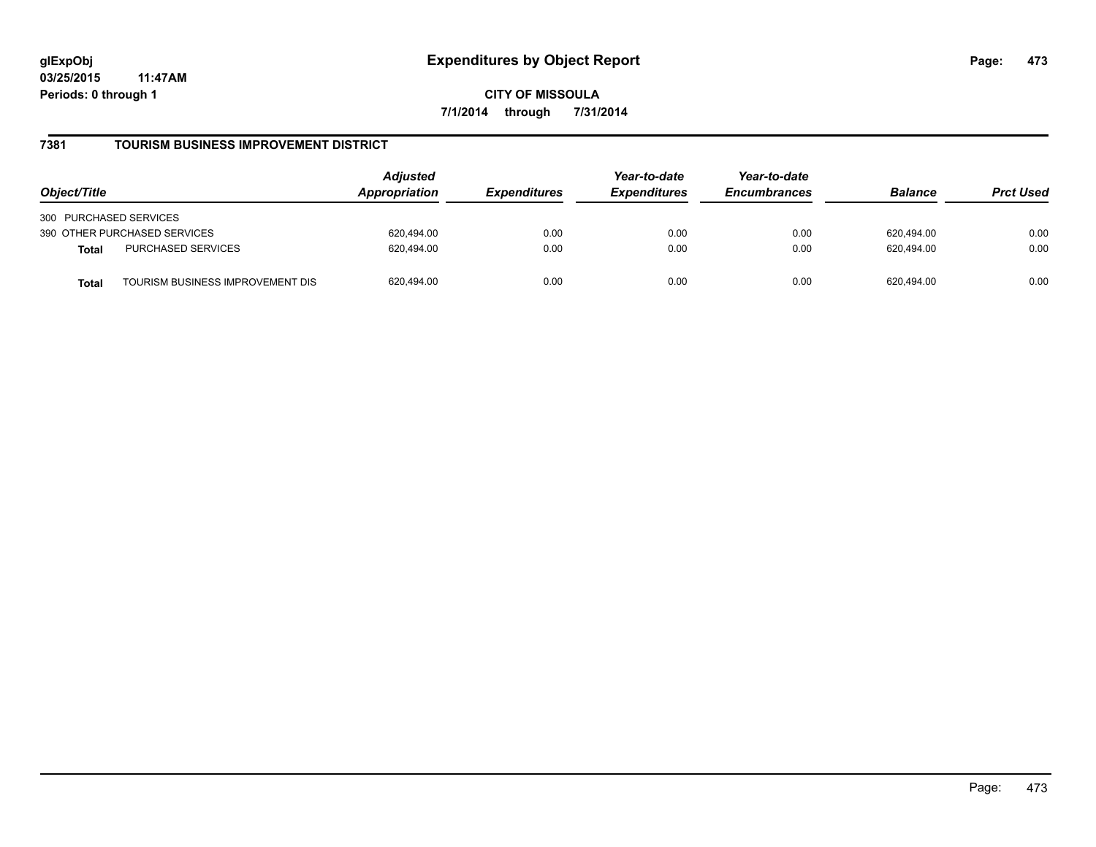**CITY OF MISSOULA 7/1/2014 through 7/31/2014**

### **7381 TOURISM BUSINESS IMPROVEMENT DISTRICT**

| Object/Title                                     | <b>Adjusted</b><br>Appropriation | <i><b>Expenditures</b></i> | Year-to-date<br><b>Expenditures</b> | Year-to-date<br><b>Encumbrances</b> | <b>Balance</b> | <b>Prct Used</b> |
|--------------------------------------------------|----------------------------------|----------------------------|-------------------------------------|-------------------------------------|----------------|------------------|
| 300 PURCHASED SERVICES                           |                                  |                            |                                     |                                     |                |                  |
| 390 OTHER PURCHASED SERVICES                     | 620.494.00                       | 0.00                       | 0.00                                | 0.00                                | 620.494.00     | 0.00             |
| PURCHASED SERVICES<br><b>Total</b>               | 620.494.00                       | 0.00                       | 0.00                                | 0.00                                | 620.494.00     | 0.00             |
| TOURISM BUSINESS IMPROVEMENT DIS<br><b>Total</b> | 620,494.00                       | 0.00                       | 0.00                                | 0.00                                | 620.494.00     | 0.00             |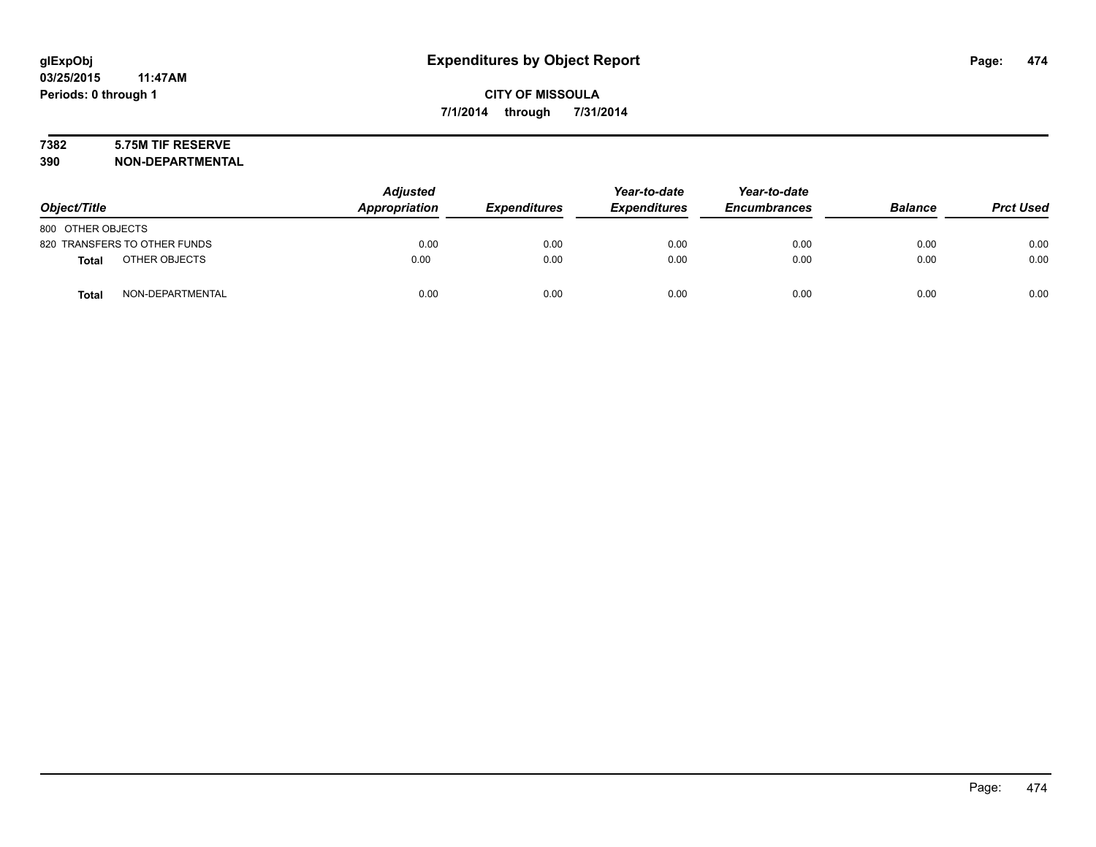# **7382 5.75M TIF RESERVE**

**390 NON-DEPARTMENTAL**

| Object/Title      |                              | <b>Adjusted</b><br>Appropriation | <b>Expenditures</b> | Year-to-date<br><b>Expenditures</b> | Year-to-date<br><b>Encumbrances</b> | <b>Balance</b> | <b>Prct Used</b> |
|-------------------|------------------------------|----------------------------------|---------------------|-------------------------------------|-------------------------------------|----------------|------------------|
| 800 OTHER OBJECTS |                              |                                  |                     |                                     |                                     |                |                  |
|                   | 820 TRANSFERS TO OTHER FUNDS | 0.00                             | 0.00                | 0.00                                | 0.00                                | 0.00           | 0.00             |
| <b>Total</b>      | OTHER OBJECTS                | 0.00                             | 0.00                | 0.00                                | 0.00                                | 0.00           | 0.00             |
| <b>Total</b>      | NON-DEPARTMENTAL             | 0.00                             | 0.00                | 0.00                                | 0.00                                | 0.00           | 0.00             |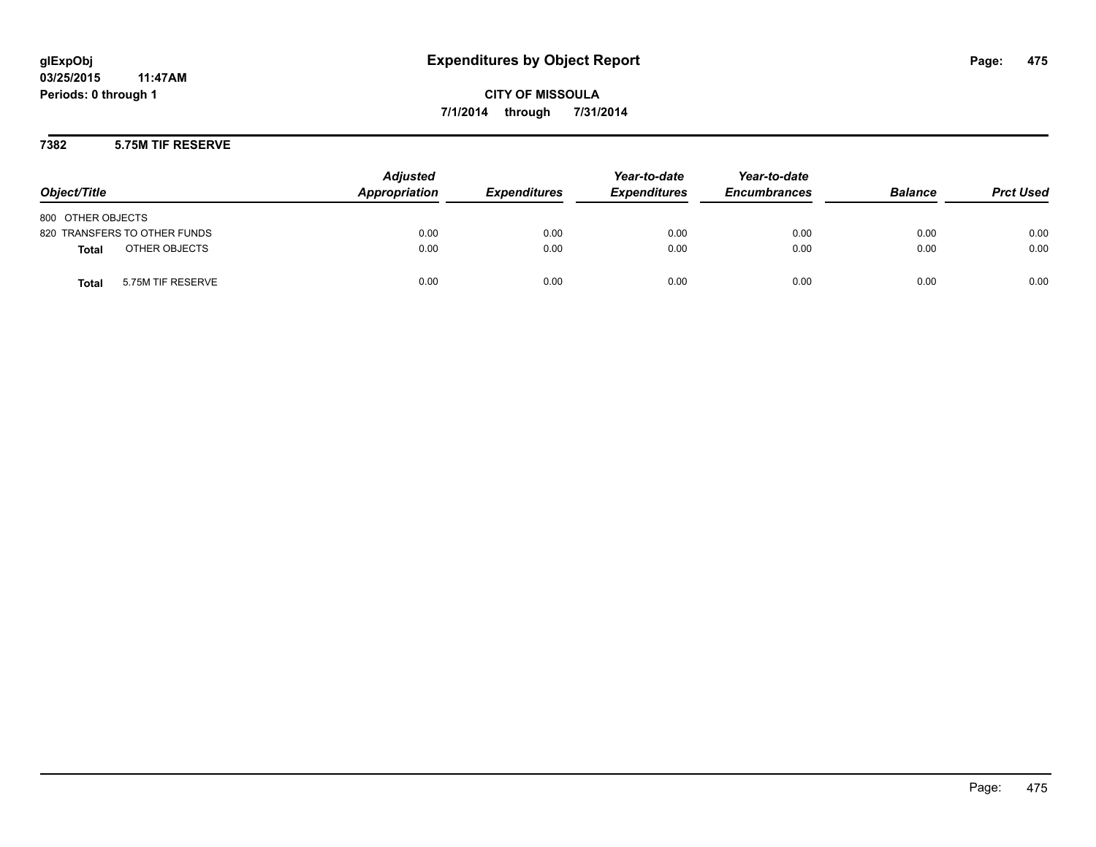**CITY OF MISSOULA 7/1/2014 through 7/31/2014**

### **7382 5.75M TIF RESERVE**

| Object/Title                      | <b>Adjusted</b><br>Appropriation | <b>Expenditures</b> | Year-to-date<br><b>Expenditures</b> | Year-to-date<br><b>Encumbrances</b> | <b>Balance</b> | <b>Prct Used</b> |
|-----------------------------------|----------------------------------|---------------------|-------------------------------------|-------------------------------------|----------------|------------------|
| 800 OTHER OBJECTS                 |                                  |                     |                                     |                                     |                |                  |
| 820 TRANSFERS TO OTHER FUNDS      | 0.00                             | 0.00                | 0.00                                | 0.00                                | 0.00           | 0.00             |
| OTHER OBJECTS<br>Total            | 0.00                             | 0.00                | 0.00                                | 0.00                                | 0.00           | 0.00             |
| 5.75M TIF RESERVE<br><b>Total</b> | 0.00                             | 0.00                | 0.00                                | 0.00                                | 0.00           | 0.00             |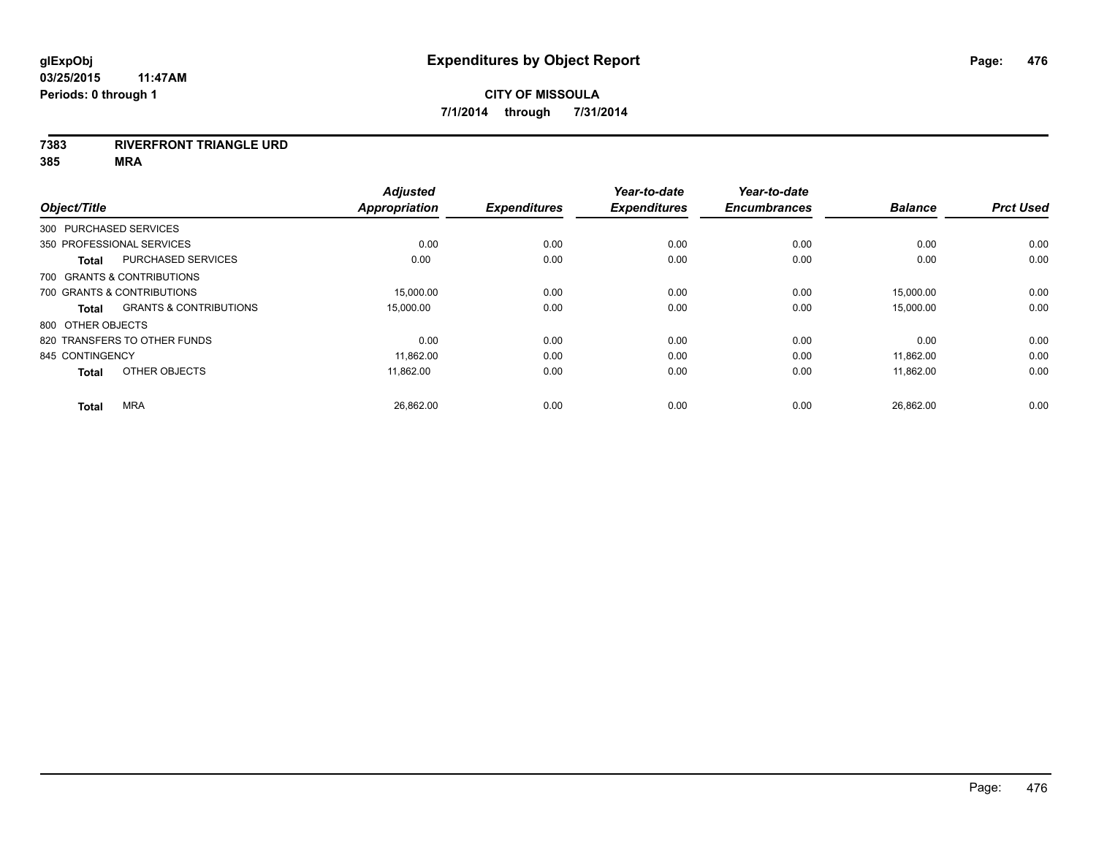#### **7383 RIVERFRONT TRIANGLE URD**

| Object/Title      |                                   | <b>Adjusted</b><br><b>Appropriation</b> | <b>Expenditures</b> | Year-to-date<br><b>Expenditures</b> | Year-to-date<br><b>Encumbrances</b> | <b>Balance</b> | <b>Prct Used</b> |
|-------------------|-----------------------------------|-----------------------------------------|---------------------|-------------------------------------|-------------------------------------|----------------|------------------|
|                   | 300 PURCHASED SERVICES            |                                         |                     |                                     |                                     |                |                  |
|                   | 350 PROFESSIONAL SERVICES         | 0.00                                    | 0.00                | 0.00                                | 0.00                                | 0.00           | 0.00             |
| <b>Total</b>      | PURCHASED SERVICES                | 0.00                                    | 0.00                | 0.00                                | 0.00                                | 0.00           | 0.00             |
|                   | 700 GRANTS & CONTRIBUTIONS        |                                         |                     |                                     |                                     |                |                  |
|                   | 700 GRANTS & CONTRIBUTIONS        | 15.000.00                               | 0.00                | 0.00                                | 0.00                                | 15,000.00      | 0.00             |
| <b>Total</b>      | <b>GRANTS &amp; CONTRIBUTIONS</b> | 15,000.00                               | 0.00                | 0.00                                | 0.00                                | 15,000.00      | 0.00             |
| 800 OTHER OBJECTS |                                   |                                         |                     |                                     |                                     |                |                  |
|                   | 820 TRANSFERS TO OTHER FUNDS      | 0.00                                    | 0.00                | 0.00                                | 0.00                                | 0.00           | 0.00             |
| 845 CONTINGENCY   |                                   | 11,862.00                               | 0.00                | 0.00                                | 0.00                                | 11,862.00      | 0.00             |
| <b>Total</b>      | OTHER OBJECTS                     | 11.862.00                               | 0.00                | 0.00                                | 0.00                                | 11,862.00      | 0.00             |
| <b>Total</b>      | <b>MRA</b>                        | 26,862.00                               | 0.00                | 0.00                                | 0.00                                | 26,862.00      | 0.00             |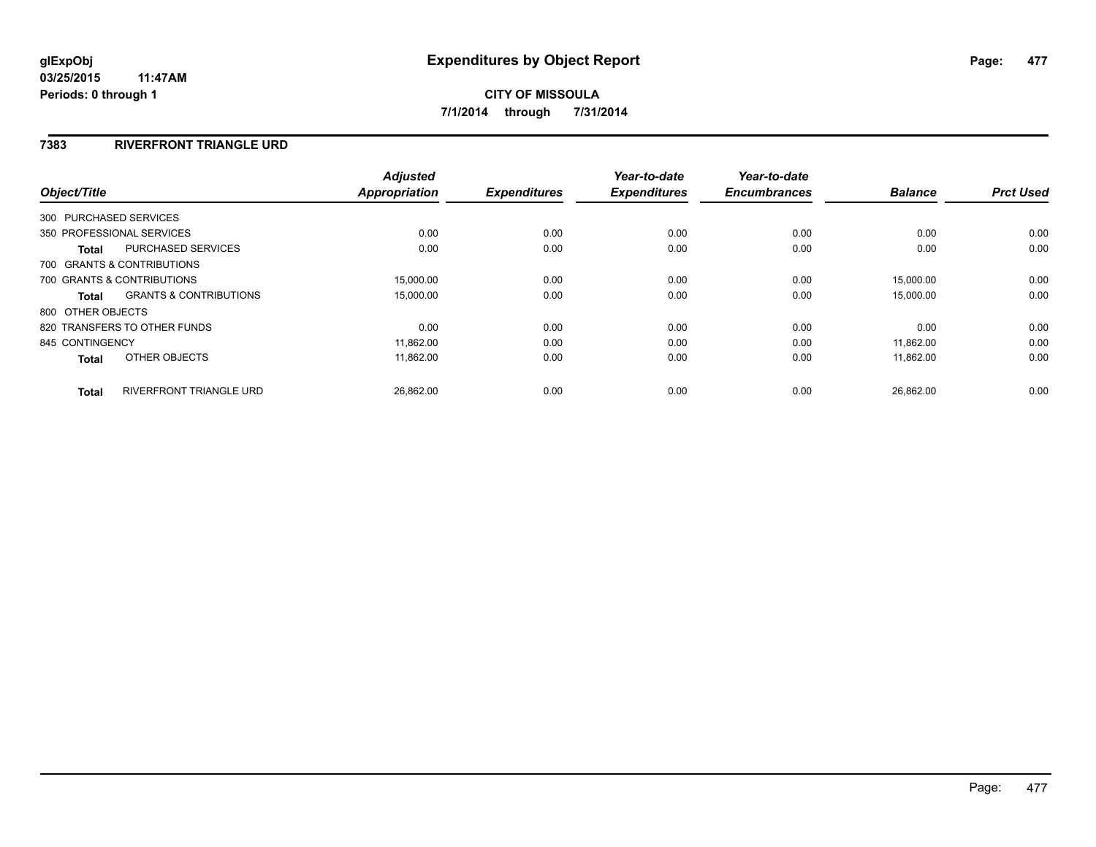### **7383 RIVERFRONT TRIANGLE URD**

| Object/Title           |                                   | <b>Adjusted</b><br><b>Appropriation</b> | <b>Expenditures</b> | Year-to-date<br><b>Expenditures</b> | Year-to-date<br><b>Encumbrances</b> | <b>Balance</b> | <b>Prct Used</b> |
|------------------------|-----------------------------------|-----------------------------------------|---------------------|-------------------------------------|-------------------------------------|----------------|------------------|
| 300 PURCHASED SERVICES |                                   |                                         |                     |                                     |                                     |                |                  |
|                        | 350 PROFESSIONAL SERVICES         | 0.00                                    | 0.00                | 0.00                                | 0.00                                | 0.00           | 0.00             |
| <b>Total</b>           | <b>PURCHASED SERVICES</b>         | 0.00                                    | 0.00                | 0.00                                | 0.00                                | 0.00           | 0.00             |
|                        | 700 GRANTS & CONTRIBUTIONS        |                                         |                     |                                     |                                     |                |                  |
|                        | 700 GRANTS & CONTRIBUTIONS        | 15,000.00                               | 0.00                | 0.00                                | 0.00                                | 15.000.00      | 0.00             |
| Total                  | <b>GRANTS &amp; CONTRIBUTIONS</b> | 15,000.00                               | 0.00                | 0.00                                | 0.00                                | 15,000.00      | 0.00             |
| 800 OTHER OBJECTS      |                                   |                                         |                     |                                     |                                     |                |                  |
|                        | 820 TRANSFERS TO OTHER FUNDS      | 0.00                                    | 0.00                | 0.00                                | 0.00                                | 0.00           | 0.00             |
| 845 CONTINGENCY        |                                   | 11,862.00                               | 0.00                | 0.00                                | 0.00                                | 11.862.00      | 0.00             |
| <b>Total</b>           | OTHER OBJECTS                     | 11,862.00                               | 0.00                | 0.00                                | 0.00                                | 11,862.00      | 0.00             |
| <b>Total</b>           | <b>RIVERFRONT TRIANGLE URD</b>    | 26,862.00                               | 0.00                | 0.00                                | 0.00                                | 26,862.00      | 0.00             |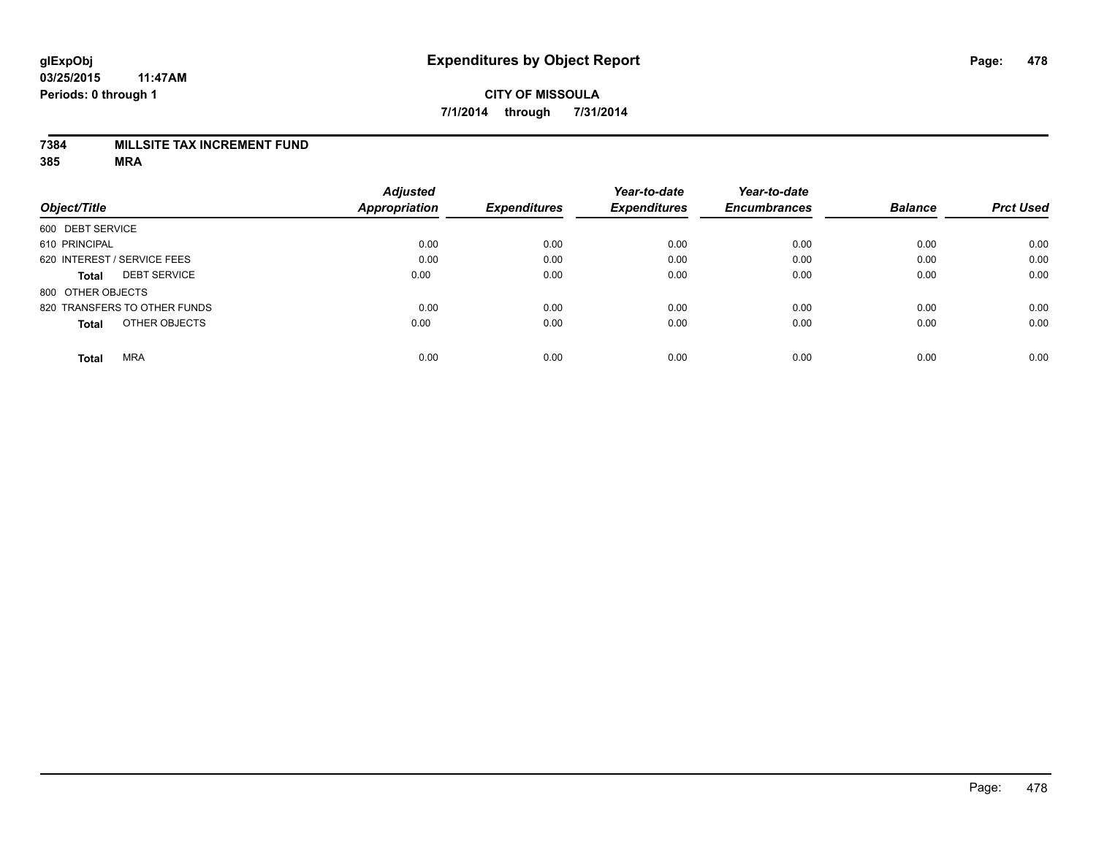### **7384 MILLSITE TAX INCREMENT FUND**

|                              |                     | <b>Adjusted</b>      |                     | Year-to-date        | Year-to-date        |                |                  |
|------------------------------|---------------------|----------------------|---------------------|---------------------|---------------------|----------------|------------------|
| Object/Title                 |                     | <b>Appropriation</b> | <b>Expenditures</b> | <b>Expenditures</b> | <b>Encumbrances</b> | <b>Balance</b> | <b>Prct Used</b> |
| 600 DEBT SERVICE             |                     |                      |                     |                     |                     |                |                  |
| 610 PRINCIPAL                |                     | 0.00                 | 0.00                | 0.00                | 0.00                | 0.00           | 0.00             |
| 620 INTEREST / SERVICE FEES  |                     | 0.00                 | 0.00                | 0.00                | 0.00                | 0.00           | 0.00             |
| Total                        | <b>DEBT SERVICE</b> | 0.00                 | 0.00                | 0.00                | 0.00                | 0.00           | 0.00             |
| 800 OTHER OBJECTS            |                     |                      |                     |                     |                     |                |                  |
| 820 TRANSFERS TO OTHER FUNDS |                     | 0.00                 | 0.00                | 0.00                | 0.00                | 0.00           | 0.00             |
| <b>Total</b>                 | OTHER OBJECTS       | 0.00                 | 0.00                | 0.00                | 0.00                | 0.00           | 0.00             |
| <b>MRA</b><br><b>Total</b>   |                     | 0.00                 | 0.00                | 0.00                | 0.00                | 0.00           | 0.00             |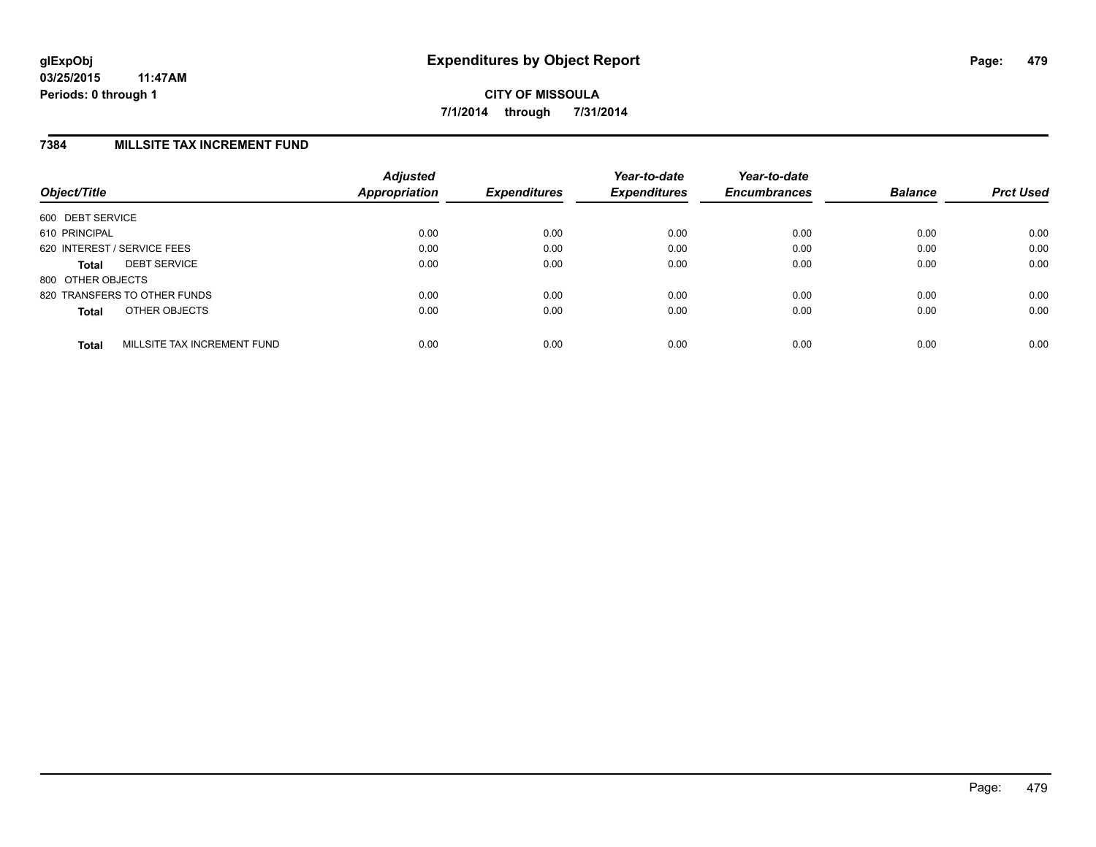### **7384 MILLSITE TAX INCREMENT FUND**

| Object/Title      |                              | <b>Adjusted</b><br>Appropriation | <b>Expenditures</b> | Year-to-date<br><b>Expenditures</b> | Year-to-date<br><b>Encumbrances</b> | <b>Balance</b> | <b>Prct Used</b> |
|-------------------|------------------------------|----------------------------------|---------------------|-------------------------------------|-------------------------------------|----------------|------------------|
| 600 DEBT SERVICE  |                              |                                  |                     |                                     |                                     |                |                  |
| 610 PRINCIPAL     |                              | 0.00                             | 0.00                | 0.00                                | 0.00                                | 0.00           | 0.00             |
|                   | 620 INTEREST / SERVICE FEES  | 0.00                             | 0.00                | 0.00                                | 0.00                                | 0.00           | 0.00             |
| <b>Total</b>      | <b>DEBT SERVICE</b>          | 0.00                             | 0.00                | 0.00                                | 0.00                                | 0.00           | 0.00             |
| 800 OTHER OBJECTS |                              |                                  |                     |                                     |                                     |                |                  |
|                   | 820 TRANSFERS TO OTHER FUNDS | 0.00                             | 0.00                | 0.00                                | 0.00                                | 0.00           | 0.00             |
| <b>Total</b>      | OTHER OBJECTS                | 0.00                             | 0.00                | 0.00                                | 0.00                                | 0.00           | 0.00             |
| <b>Total</b>      | MILLSITE TAX INCREMENT FUND  | 0.00                             | 0.00                | 0.00                                | 0.00                                | 0.00           | 0.00             |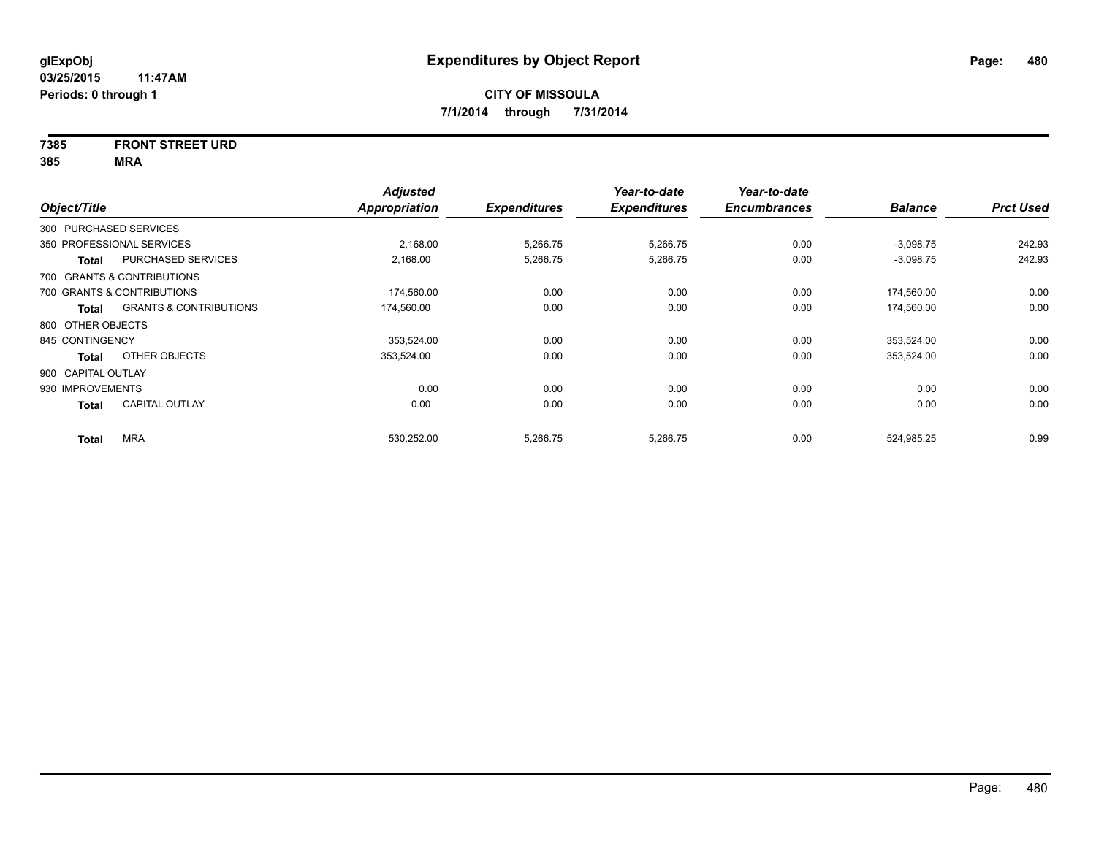# **7385 FRONT STREET URD**

| Object/Title           |                                   | <b>Adjusted</b><br>Appropriation | <b>Expenditures</b> | Year-to-date<br><b>Expenditures</b> | Year-to-date<br><b>Encumbrances</b> | <b>Balance</b> | <b>Prct Used</b> |
|------------------------|-----------------------------------|----------------------------------|---------------------|-------------------------------------|-------------------------------------|----------------|------------------|
| 300 PURCHASED SERVICES |                                   |                                  |                     |                                     |                                     |                |                  |
|                        | 350 PROFESSIONAL SERVICES         | 2,168.00                         | 5,266.75            | 5,266.75                            | 0.00                                | $-3,098.75$    | 242.93           |
| <b>Total</b>           | PURCHASED SERVICES                | 2,168.00                         | 5,266.75            | 5,266.75                            | 0.00                                | $-3,098.75$    | 242.93           |
|                        | 700 GRANTS & CONTRIBUTIONS        |                                  |                     |                                     |                                     |                |                  |
|                        | 700 GRANTS & CONTRIBUTIONS        | 174,560.00                       | 0.00                | 0.00                                | 0.00                                | 174,560.00     | 0.00             |
| <b>Total</b>           | <b>GRANTS &amp; CONTRIBUTIONS</b> | 174,560.00                       | 0.00                | 0.00                                | 0.00                                | 174,560.00     | 0.00             |
| 800 OTHER OBJECTS      |                                   |                                  |                     |                                     |                                     |                |                  |
| 845 CONTINGENCY        |                                   | 353.524.00                       | 0.00                | 0.00                                | 0.00                                | 353,524.00     | 0.00             |
| <b>Total</b>           | OTHER OBJECTS                     | 353,524.00                       | 0.00                | 0.00                                | 0.00                                | 353,524.00     | 0.00             |
| 900 CAPITAL OUTLAY     |                                   |                                  |                     |                                     |                                     |                |                  |
| 930 IMPROVEMENTS       |                                   | 0.00                             | 0.00                | 0.00                                | 0.00                                | 0.00           | 0.00             |
| <b>Total</b>           | <b>CAPITAL OUTLAY</b>             | 0.00                             | 0.00                | 0.00                                | 0.00                                | 0.00           | 0.00             |
| <b>Total</b>           | <b>MRA</b>                        | 530.252.00                       | 5,266.75            | 5,266.75                            | 0.00                                | 524.985.25     | 0.99             |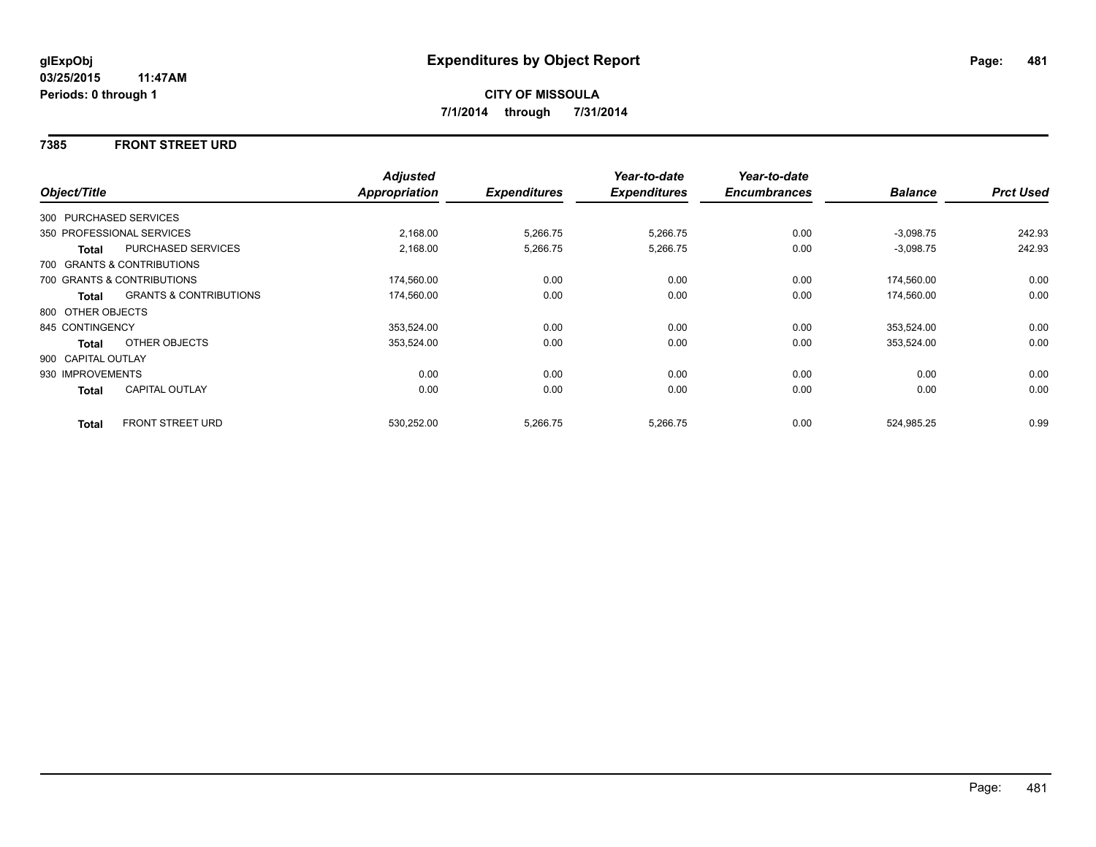### **7385 FRONT STREET URD**

|                    |                                   | <b>Adjusted</b> |                     | Year-to-date        | Year-to-date        |                |                  |
|--------------------|-----------------------------------|-----------------|---------------------|---------------------|---------------------|----------------|------------------|
| Object/Title       |                                   | Appropriation   | <b>Expenditures</b> | <b>Expenditures</b> | <b>Encumbrances</b> | <b>Balance</b> | <b>Prct Used</b> |
|                    | 300 PURCHASED SERVICES            |                 |                     |                     |                     |                |                  |
|                    | 350 PROFESSIONAL SERVICES         | 2,168.00        | 5,266.75            | 5,266.75            | 0.00                | $-3,098.75$    | 242.93           |
| Total              | <b>PURCHASED SERVICES</b>         | 2,168.00        | 5,266.75            | 5,266.75            | 0.00                | $-3,098.75$    | 242.93           |
|                    | 700 GRANTS & CONTRIBUTIONS        |                 |                     |                     |                     |                |                  |
|                    | 700 GRANTS & CONTRIBUTIONS        | 174,560.00      | 0.00                | 0.00                | 0.00                | 174,560.00     | 0.00             |
| Total              | <b>GRANTS &amp; CONTRIBUTIONS</b> | 174,560.00      | 0.00                | 0.00                | 0.00                | 174,560.00     | 0.00             |
| 800 OTHER OBJECTS  |                                   |                 |                     |                     |                     |                |                  |
| 845 CONTINGENCY    |                                   | 353,524.00      | 0.00                | 0.00                | 0.00                | 353,524.00     | 0.00             |
| Total              | OTHER OBJECTS                     | 353,524.00      | 0.00                | 0.00                | 0.00                | 353,524.00     | 0.00             |
| 900 CAPITAL OUTLAY |                                   |                 |                     |                     |                     |                |                  |
| 930 IMPROVEMENTS   |                                   | 0.00            | 0.00                | 0.00                | 0.00                | 0.00           | 0.00             |
| Total              | <b>CAPITAL OUTLAY</b>             | 0.00            | 0.00                | 0.00                | 0.00                | 0.00           | 0.00             |
| <b>Total</b>       | FRONT STREET URD                  | 530,252.00      | 5,266.75            | 5,266.75            | 0.00                | 524,985.25     | 0.99             |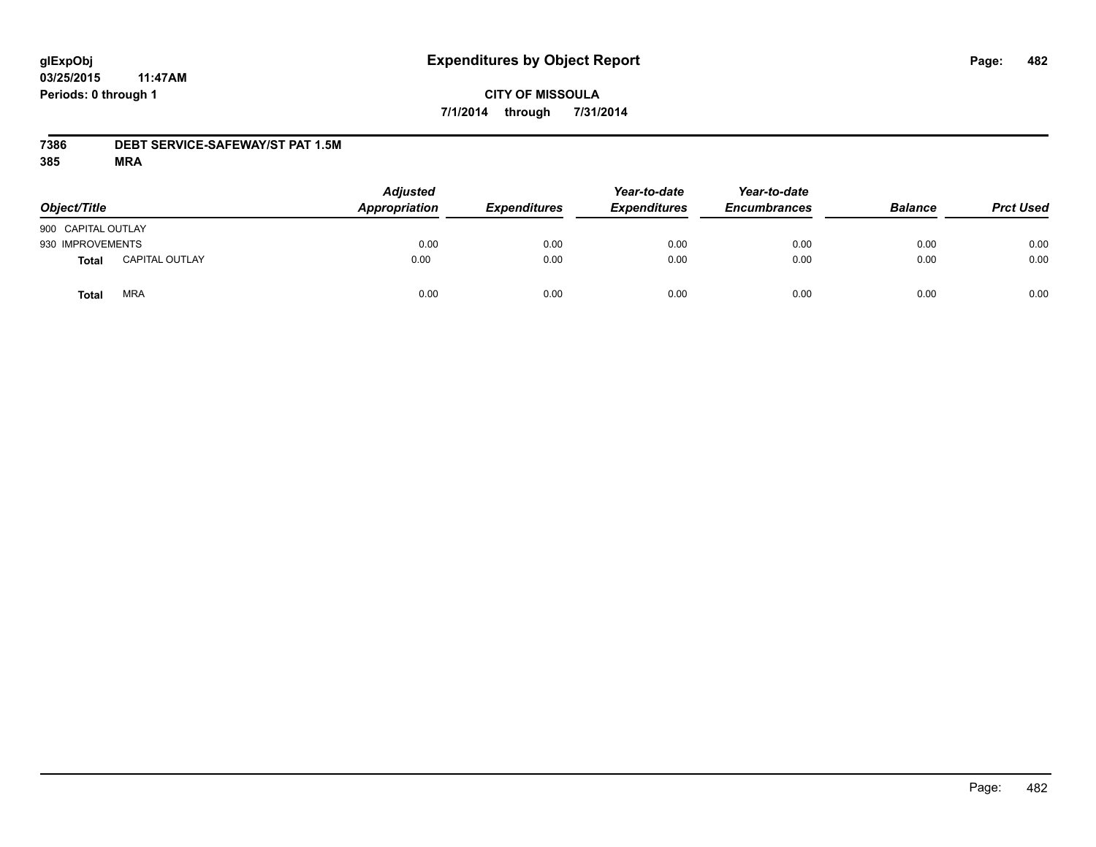# **CITY OF MISSOULA 7/1/2014 through 7/31/2014**

### **7386 DEBT SERVICE-SAFEWAY/ST PAT 1.5M**

| Object/Title       |                       | <b>Adjusted</b><br>Appropriation | <b>Expenditures</b> | Year-to-date<br><b>Expenditures</b> | Year-to-date<br><b>Encumbrances</b> | <b>Balance</b> | <b>Prct Used</b> |
|--------------------|-----------------------|----------------------------------|---------------------|-------------------------------------|-------------------------------------|----------------|------------------|
| 900 CAPITAL OUTLAY |                       |                                  |                     |                                     |                                     |                |                  |
| 930 IMPROVEMENTS   |                       | 0.00                             | 0.00                | 0.00                                | 0.00                                | 0.00           | 0.00             |
| Total              | <b>CAPITAL OUTLAY</b> | 0.00                             | 0.00                | 0.00                                | 0.00                                | 0.00           | 0.00             |
| Total              | <b>MRA</b>            | 0.00                             | 0.00                | 0.00                                | 0.00                                | 0.00           | 0.00             |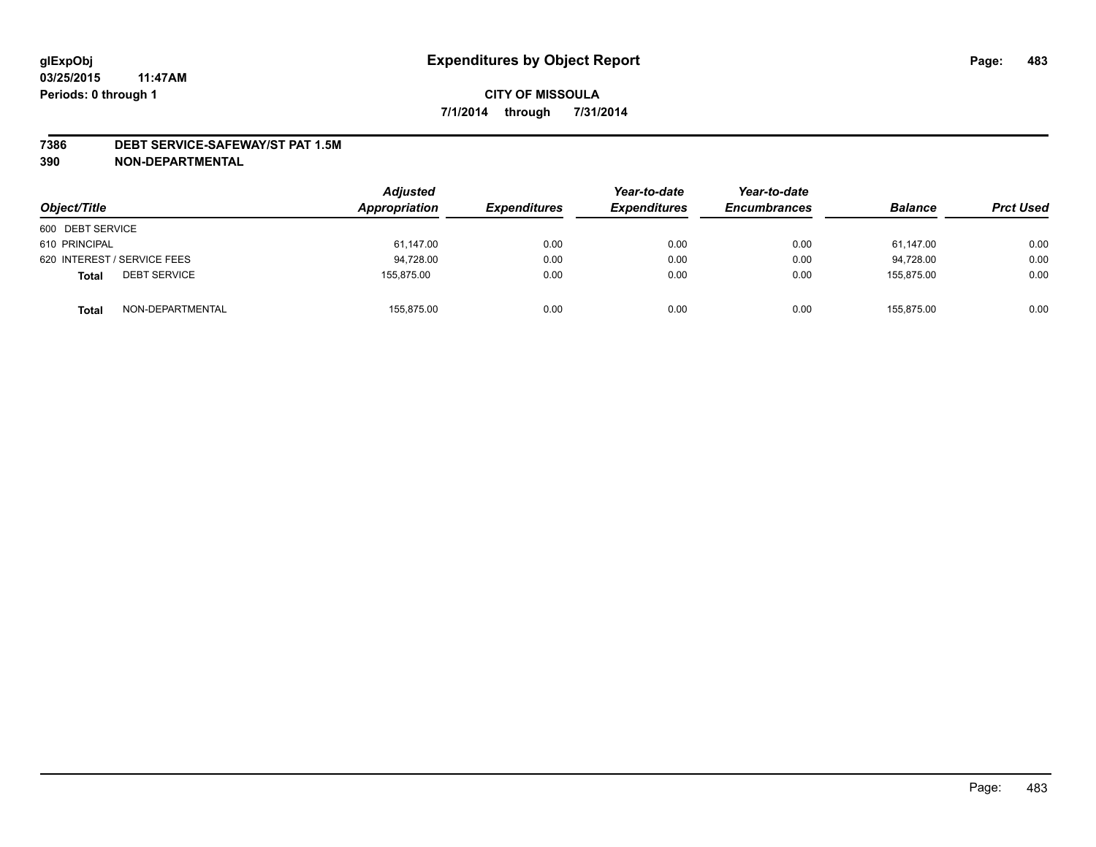### **7386 DEBT SERVICE-SAFEWAY/ST PAT 1.5M**

**390 NON-DEPARTMENTAL**

| Object/Title                        | <b>Adjusted</b><br>Appropriation | <b>Expenditures</b> | Year-to-date<br><b>Expenditures</b> | Year-to-date<br><b>Encumbrances</b> | <b>Balance</b> | <b>Prct Used</b> |
|-------------------------------------|----------------------------------|---------------------|-------------------------------------|-------------------------------------|----------------|------------------|
| 600 DEBT SERVICE                    |                                  |                     |                                     |                                     |                |                  |
| 610 PRINCIPAL                       | 61,147.00                        | 0.00                | 0.00                                | 0.00                                | 61,147.00      | 0.00             |
| 620 INTEREST / SERVICE FEES         | 94,728.00                        | 0.00                | 0.00                                | 0.00                                | 94.728.00      | 0.00             |
| <b>DEBT SERVICE</b><br><b>Total</b> | 155.875.00                       | 0.00                | 0.00                                | 0.00                                | 155.875.00     | 0.00             |
| NON-DEPARTMENTAL<br><b>Total</b>    | 155,875.00                       | 0.00                | 0.00                                | 0.00                                | 155,875.00     | 0.00             |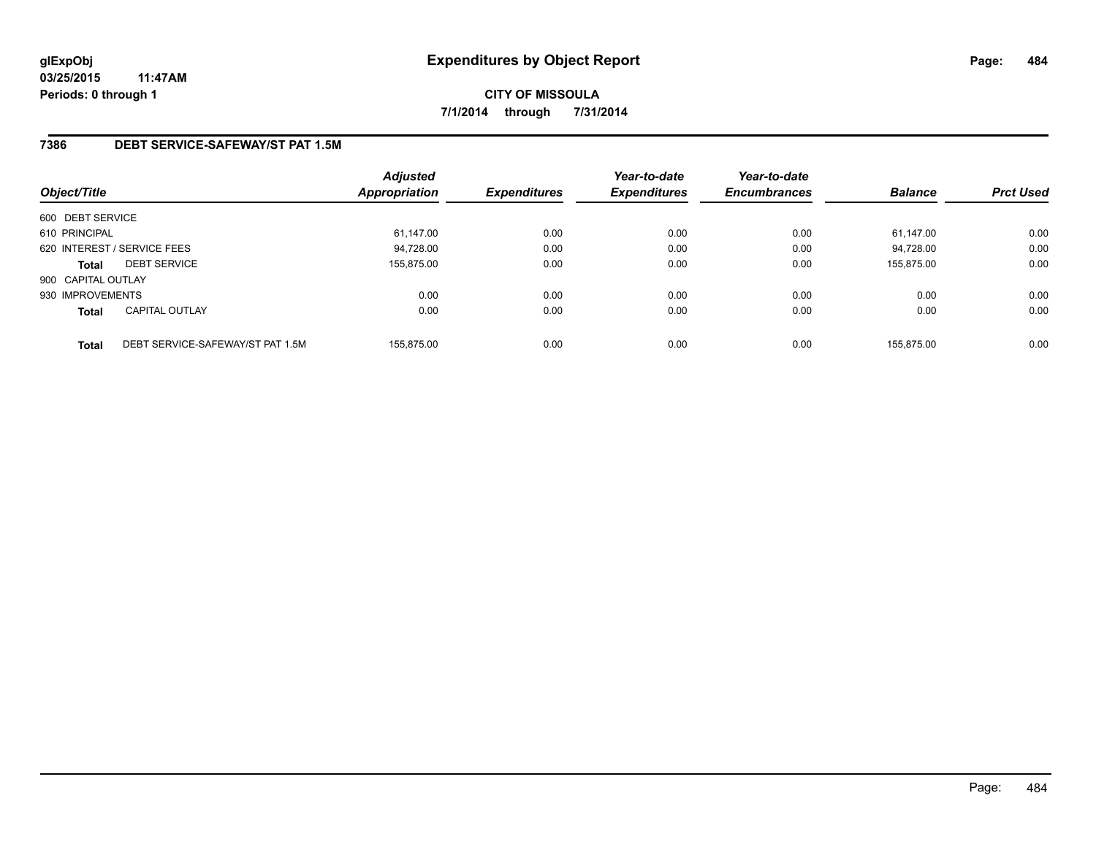# **7386 DEBT SERVICE-SAFEWAY/ST PAT 1.5M**

| Object/Title       |                                  | <b>Adjusted</b><br>Appropriation | <b>Expenditures</b> | Year-to-date<br><b>Expenditures</b> | Year-to-date<br><b>Encumbrances</b> | <b>Balance</b> | <b>Prct Used</b> |
|--------------------|----------------------------------|----------------------------------|---------------------|-------------------------------------|-------------------------------------|----------------|------------------|
| 600 DEBT SERVICE   |                                  |                                  |                     |                                     |                                     |                |                  |
| 610 PRINCIPAL      |                                  | 61,147.00                        | 0.00                | 0.00                                | 0.00                                | 61.147.00      | 0.00             |
|                    | 620 INTEREST / SERVICE FEES      | 94,728.00                        | 0.00                | 0.00                                | 0.00                                | 94.728.00      | 0.00             |
| <b>Total</b>       | <b>DEBT SERVICE</b>              | 155.875.00                       | 0.00                | 0.00                                | 0.00                                | 155.875.00     | 0.00             |
| 900 CAPITAL OUTLAY |                                  |                                  |                     |                                     |                                     |                |                  |
| 930 IMPROVEMENTS   |                                  | 0.00                             | 0.00                | 0.00                                | 0.00                                | 0.00           | 0.00             |
| <b>Total</b>       | <b>CAPITAL OUTLAY</b>            | 0.00                             | 0.00                | 0.00                                | 0.00                                | 0.00           | 0.00             |
| <b>Total</b>       | DEBT SERVICE-SAFEWAY/ST PAT 1.5M | 155.875.00                       | 0.00                | 0.00                                | 0.00                                | 155.875.00     | 0.00             |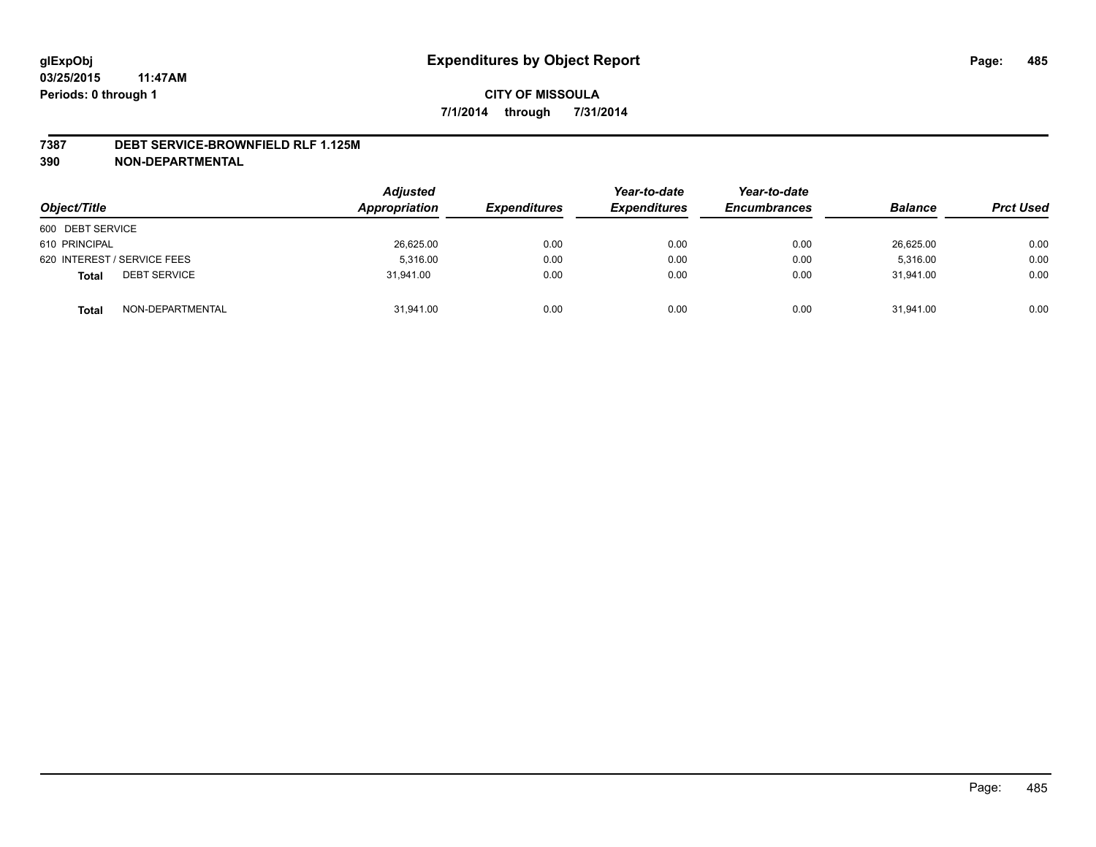#### **7387 DEBT SERVICE-BROWNFIELD RLF 1.125M**

**390 NON-DEPARTMENTAL**

| Object/Title                        | <b>Adjusted</b><br>Appropriation | <b>Expenditures</b> | Year-to-date<br><b>Expenditures</b> | Year-to-date<br><b>Encumbrances</b> | <b>Balance</b> | <b>Prct Used</b> |
|-------------------------------------|----------------------------------|---------------------|-------------------------------------|-------------------------------------|----------------|------------------|
| 600 DEBT SERVICE                    |                                  |                     |                                     |                                     |                |                  |
| 610 PRINCIPAL                       | 26,625.00                        | 0.00                | 0.00                                | 0.00                                | 26,625.00      | 0.00             |
| 620 INTEREST / SERVICE FEES         | 5.316.00                         | 0.00                | 0.00                                | 0.00                                | 5.316.00       | 0.00             |
| <b>DEBT SERVICE</b><br><b>Total</b> | 31.941.00                        | 0.00                | 0.00                                | 0.00                                | 31.941.00      | 0.00             |
| NON-DEPARTMENTAL<br><b>Total</b>    | 31,941.00                        | 0.00                | 0.00                                | 0.00                                | 31,941.00      | 0.00             |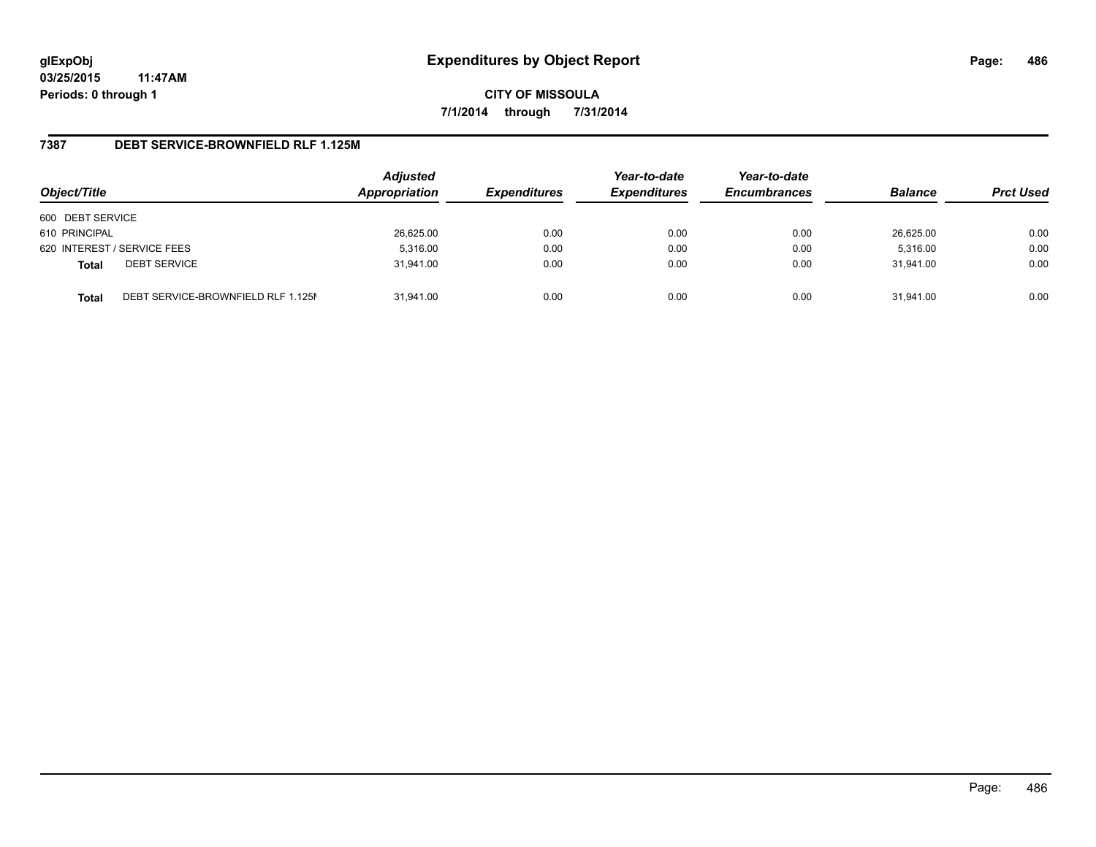**CITY OF MISSOULA 7/1/2014 through 7/31/2014**

### **7387 DEBT SERVICE-BROWNFIELD RLF 1.125M**

| Object/Title     |                                    | <b>Adjusted</b><br>Appropriation | <b>Expenditures</b> | Year-to-date<br><b>Expenditures</b> | Year-to-date<br><b>Encumbrances</b> | <b>Balance</b> | <b>Prct Used</b> |
|------------------|------------------------------------|----------------------------------|---------------------|-------------------------------------|-------------------------------------|----------------|------------------|
| 600 DEBT SERVICE |                                    |                                  |                     |                                     |                                     |                |                  |
| 610 PRINCIPAL    |                                    | 26,625.00                        | 0.00                | 0.00                                | 0.00                                | 26,625.00      | 0.00             |
|                  | 620 INTEREST / SERVICE FEES        | 5,316.00                         | 0.00                | 0.00                                | 0.00                                | 5,316.00       | 0.00             |
| <b>Total</b>     | <b>DEBT SERVICE</b>                | 31,941.00                        | 0.00                | 0.00                                | 0.00                                | 31.941.00      | 0.00             |
| <b>Total</b>     | DEBT SERVICE-BROWNFIELD RLF 1.125M | 31.941.00                        | 0.00                | 0.00                                | 0.00                                | 31.941.00      | 0.00             |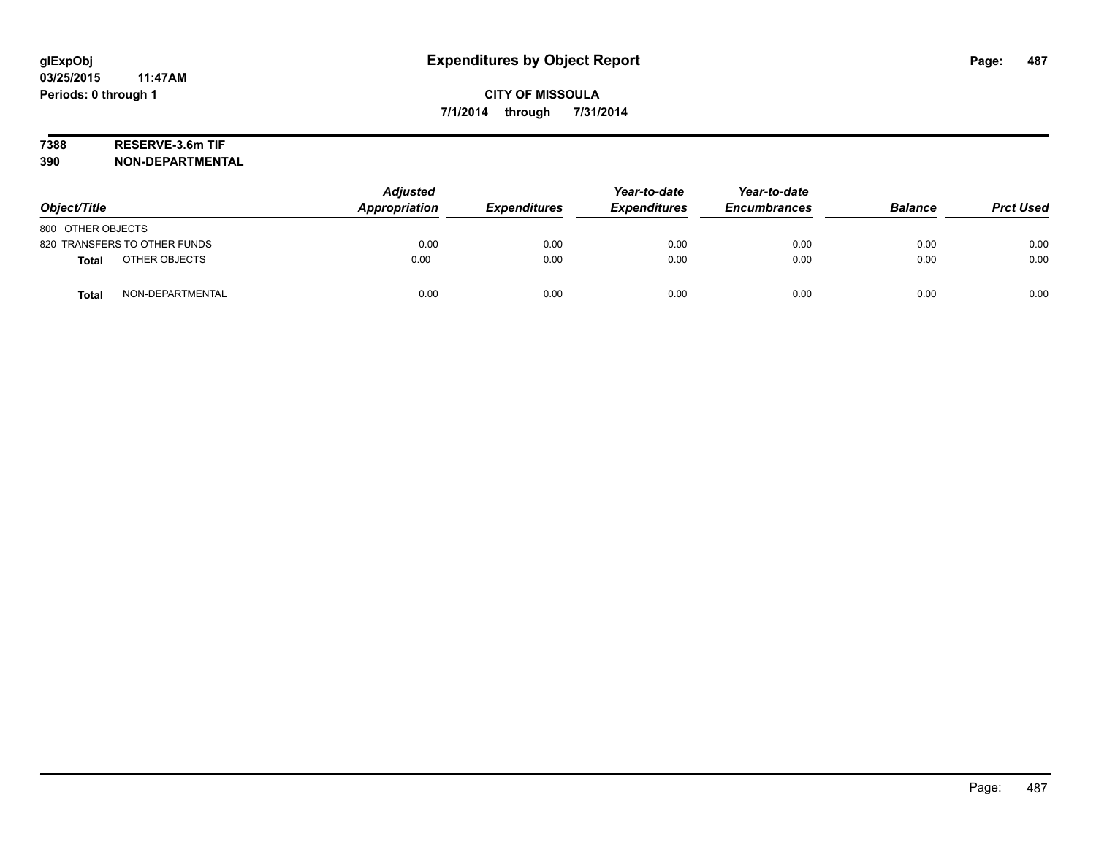# **7388 RESERVE-3.6m TIF**

**390 NON-DEPARTMENTAL**

| Object/Title                     | <b>Adjusted</b><br>Appropriation | <b>Expenditures</b> | Year-to-date<br><b>Expenditures</b> | Year-to-date<br><b>Encumbrances</b> | <b>Balance</b> | <b>Prct Used</b> |
|----------------------------------|----------------------------------|---------------------|-------------------------------------|-------------------------------------|----------------|------------------|
| 800 OTHER OBJECTS                |                                  |                     |                                     |                                     |                |                  |
| 820 TRANSFERS TO OTHER FUNDS     | 0.00                             | 0.00                | 0.00                                | 0.00                                | 0.00           | 0.00             |
| OTHER OBJECTS<br><b>Total</b>    | 0.00                             | 0.00                | 0.00                                | 0.00                                | 0.00           | 0.00             |
| NON-DEPARTMENTAL<br><b>Total</b> | 0.00                             | 0.00                | 0.00                                | 0.00                                | 0.00           | 0.00             |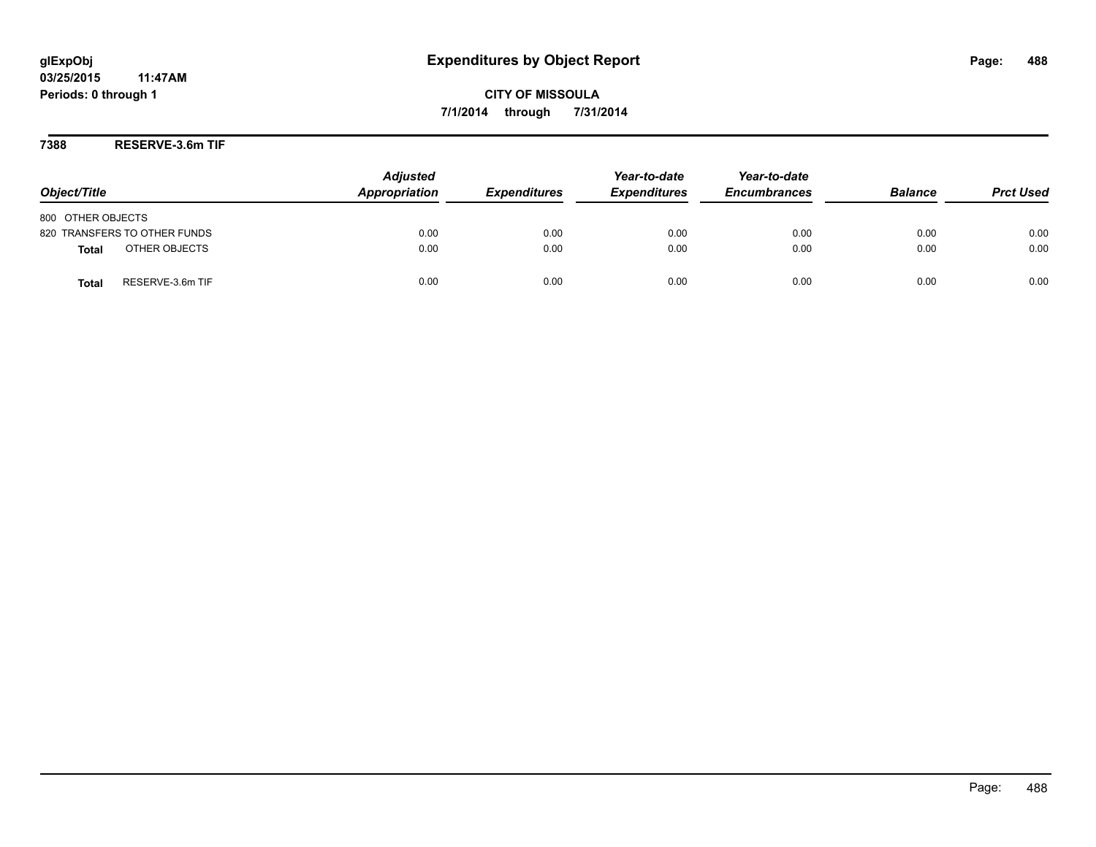**CITY OF MISSOULA 7/1/2014 through 7/31/2014**

**7388 RESERVE-3.6m TIF**

| Object/Title                     | <b>Adjusted</b><br>Appropriation | <b>Expenditures</b> | Year-to-date<br><b>Expenditures</b> | Year-to-date<br><b>Encumbrances</b> | <b>Balance</b> | <b>Prct Used</b> |
|----------------------------------|----------------------------------|---------------------|-------------------------------------|-------------------------------------|----------------|------------------|
| 800 OTHER OBJECTS                |                                  |                     |                                     |                                     |                |                  |
| 820 TRANSFERS TO OTHER FUNDS     | 0.00                             | 0.00                | 0.00                                | 0.00                                | 0.00           | 0.00             |
| OTHER OBJECTS<br><b>Total</b>    | 0.00                             | 0.00                | 0.00                                | 0.00                                | 0.00           | 0.00             |
| RESERVE-3.6m TIF<br><b>Total</b> | 0.00                             | 0.00                | 0.00                                | 0.00                                | 0.00           | 0.00             |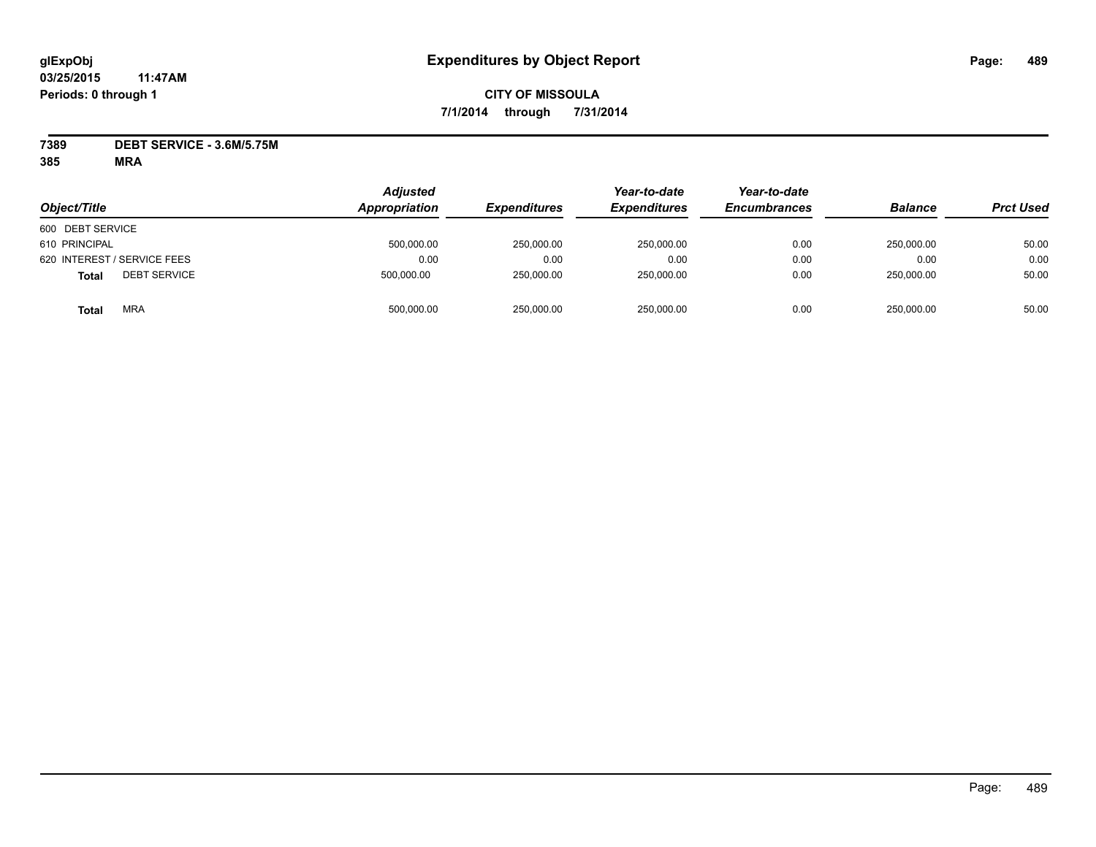# **CITY OF MISSOULA 7/1/2014 through 7/31/2014**

**7389 DEBT SERVICE - 3.6M/5.75M**

| Object/Title                        | <b>Adjusted</b><br>Appropriation | <b>Expenditures</b> | Year-to-date<br><i><b>Expenditures</b></i> | Year-to-date<br><b>Encumbrances</b> | <b>Balance</b> | <b>Prct Used</b> |
|-------------------------------------|----------------------------------|---------------------|--------------------------------------------|-------------------------------------|----------------|------------------|
| 600 DEBT SERVICE                    |                                  |                     |                                            |                                     |                |                  |
| 610 PRINCIPAL                       | 500,000.00                       | 250,000.00          | 250.000.00                                 | 0.00                                | 250.000.00     | 50.00            |
| 620 INTEREST / SERVICE FEES         | 0.00                             | 0.00                | 0.00                                       | 0.00                                | 0.00           | 0.00             |
| <b>DEBT SERVICE</b><br><b>Total</b> | 500,000.00                       | 250,000.00          | 250,000.00                                 | 0.00                                | 250.000.00     | 50.00            |
| <b>MRA</b><br>Total                 | 500,000.00                       | 250,000.00          | 250,000.00                                 | 0.00                                | 250,000.00     | 50.00            |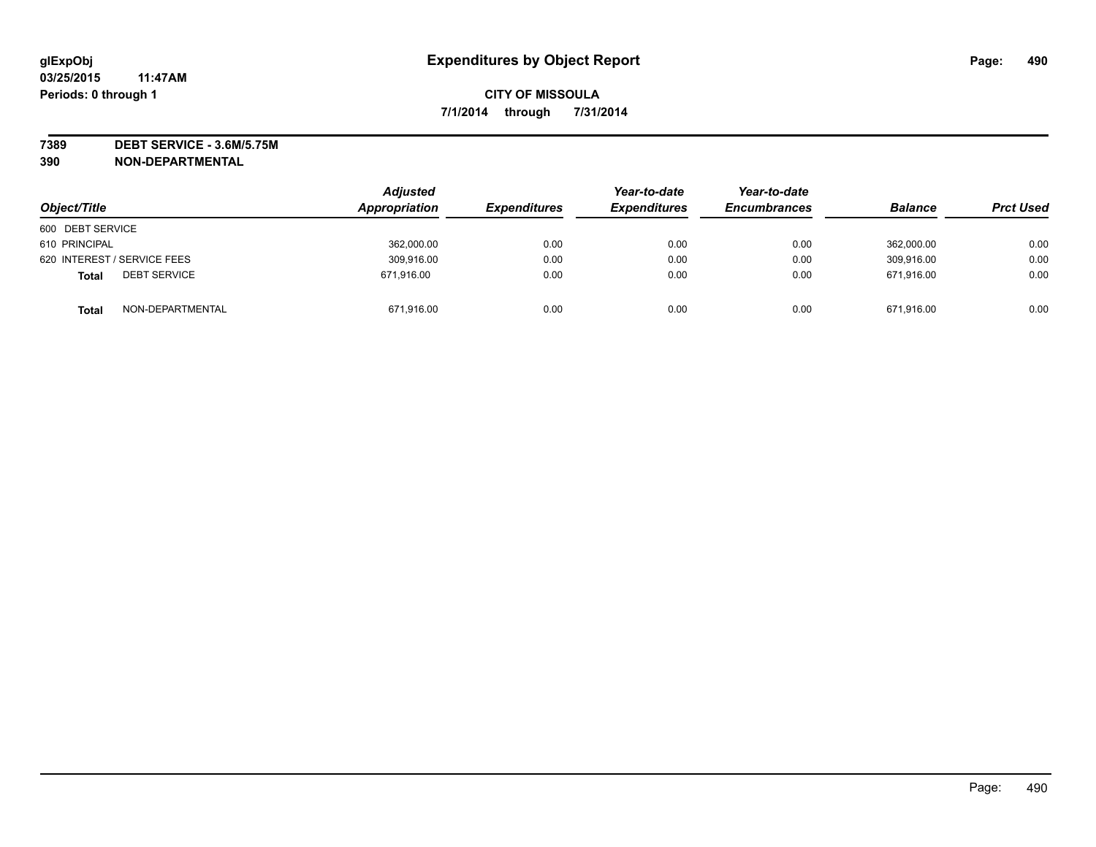**7389 DEBT SERVICE - 3.6M/5.75M 390 NON-DEPARTMENTAL**

| Object/Title                        | <b>Adjusted</b><br>Appropriation | <b>Expenditures</b> | Year-to-date<br><b>Expenditures</b> | Year-to-date<br><b>Encumbrances</b> | <b>Balance</b> | <b>Prct Used</b> |
|-------------------------------------|----------------------------------|---------------------|-------------------------------------|-------------------------------------|----------------|------------------|
| 600 DEBT SERVICE                    |                                  |                     |                                     |                                     |                |                  |
| 610 PRINCIPAL                       | 362,000.00                       | 0.00                | 0.00                                | 0.00                                | 362.000.00     | 0.00             |
| 620 INTEREST / SERVICE FEES         | 309,916.00                       | 0.00                | 0.00                                | 0.00                                | 309,916.00     | 0.00             |
| <b>DEBT SERVICE</b><br><b>Total</b> | 671,916.00                       | 0.00                | 0.00                                | 0.00                                | 671.916.00     | 0.00             |
| NON-DEPARTMENTAL<br><b>Total</b>    | 671,916.00                       | 0.00                | 0.00                                | 0.00                                | 671.916.00     | 0.00             |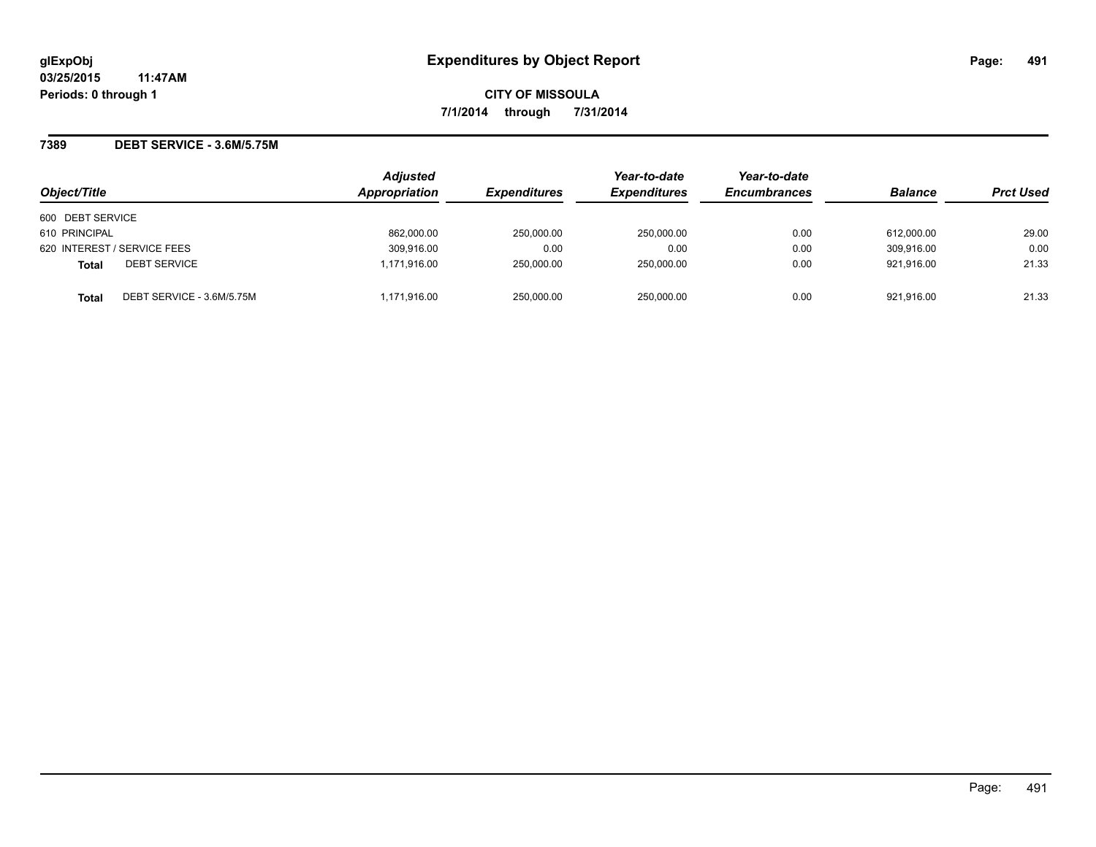**CITY OF MISSOULA 7/1/2014 through 7/31/2014**

### **7389 DEBT SERVICE - 3.6M/5.75M**

| Object/Title                              | <b>Adjusted</b><br>Appropriation | <b>Expenditures</b> | Year-to-date<br><b>Expenditures</b> | Year-to-date<br><b>Encumbrances</b> | <b>Balance</b> | <b>Prct Used</b> |
|-------------------------------------------|----------------------------------|---------------------|-------------------------------------|-------------------------------------|----------------|------------------|
| 600 DEBT SERVICE                          |                                  |                     |                                     |                                     |                |                  |
| 610 PRINCIPAL                             | 862,000.00                       | 250,000.00          | 250,000.00                          | 0.00                                | 612,000.00     | 29.00            |
| 620 INTEREST / SERVICE FEES               | 309.916.00                       | 0.00                | 0.00                                | 0.00                                | 309.916.00     | 0.00             |
| <b>DEBT SERVICE</b><br><b>Total</b>       | 1,171,916.00                     | 250.000.00          | 250.000.00                          | 0.00                                | 921.916.00     | 21.33            |
| DEBT SERVICE - 3.6M/5.75M<br><b>Total</b> | 1,171,916.00                     | 250,000.00          | 250,000.00                          | 0.00                                | 921,916.00     | 21.33            |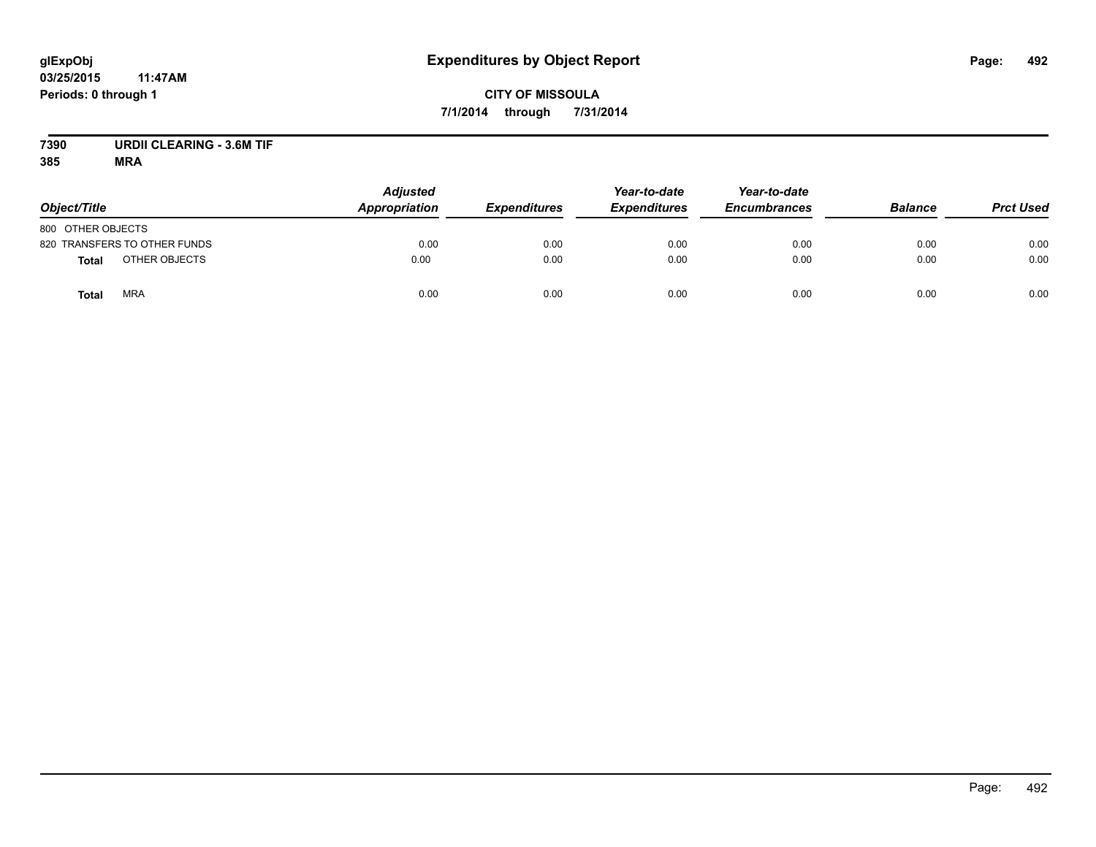# **CITY OF MISSOULA 7/1/2014 through 7/31/2014**

# **7390 URDII CLEARING - 3.6M TIF**

| Object/Title                  | <b>Adjusted</b><br><b>Appropriation</b> | <b>Expenditures</b> | Year-to-date<br><b>Expenditures</b> | Year-to-date<br><b>Encumbrances</b> | <b>Balance</b> | <b>Prct Used</b> |
|-------------------------------|-----------------------------------------|---------------------|-------------------------------------|-------------------------------------|----------------|------------------|
| 800 OTHER OBJECTS             |                                         |                     |                                     |                                     |                |                  |
| 820 TRANSFERS TO OTHER FUNDS  | 0.00                                    | 0.00                | 0.00                                | 0.00                                | 0.00           | 0.00             |
| OTHER OBJECTS<br><b>Total</b> | 0.00                                    | 0.00                | 0.00                                | 0.00                                | 0.00           | 0.00             |
| <b>MRA</b><br><b>Total</b>    | 0.00                                    | 0.00                | 0.00                                | 0.00                                | 0.00           | 0.00             |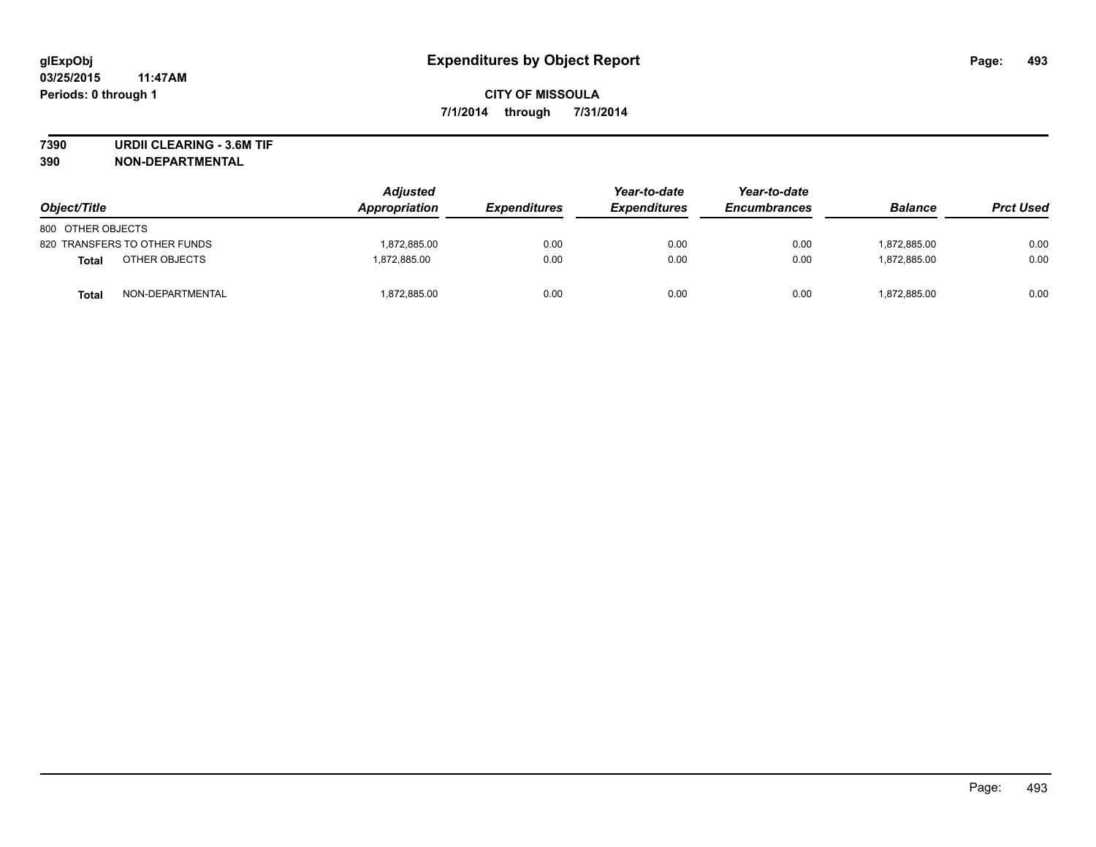**7390 URDII CLEARING - 3.6M TIF**

**390 NON-DEPARTMENTAL**

| Object/Title                 | <b>Adjusted</b><br>Appropriation | <b>Expenditures</b> | Year-to-date<br><b>Expenditures</b> | Year-to-date<br><b>Encumbrances</b> | <b>Balance</b> | <b>Prct Used</b> |
|------------------------------|----------------------------------|---------------------|-------------------------------------|-------------------------------------|----------------|------------------|
| 800 OTHER OBJECTS            |                                  |                     |                                     |                                     |                |                  |
| 820 TRANSFERS TO OTHER FUNDS | 1,872,885.00                     | 0.00                | 0.00                                | 0.00                                | 1.872.885.00   | 0.00             |
| OTHER OBJECTS<br>Total       | 1.872.885.00                     | 0.00                | 0.00                                | 0.00                                | 1.872.885.00   | 0.00             |
| NON-DEPARTMENTAL<br>Total    | 1,872,885.00                     | 0.00                | 0.00                                | 0.00                                | 1,872,885.00   | 0.00             |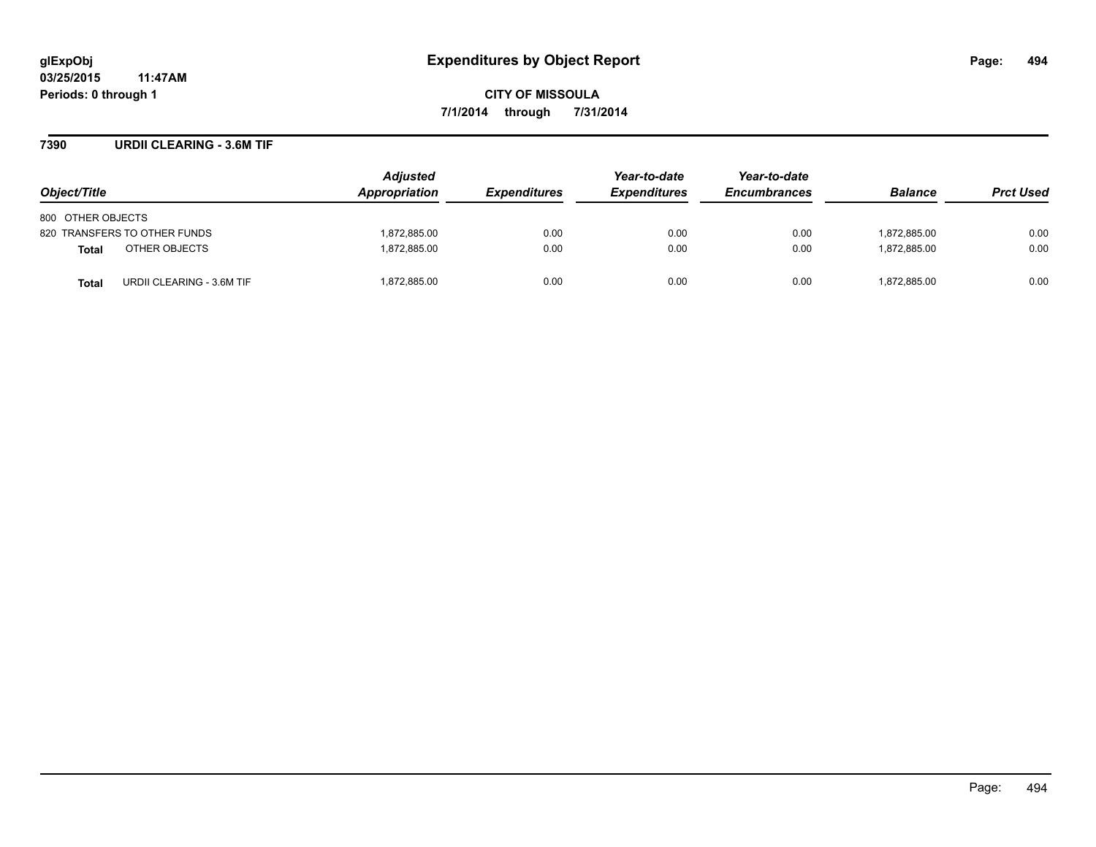### **7390 URDII CLEARING - 3.6M TIF**

| Object/Title                              | <b>Adjusted</b><br>Appropriation | <b>Expenditures</b> | Year-to-date<br><b>Expenditures</b> | Year-to-date<br><b>Encumbrances</b> | <b>Balance</b> | <b>Prct Used</b> |
|-------------------------------------------|----------------------------------|---------------------|-------------------------------------|-------------------------------------|----------------|------------------|
| 800 OTHER OBJECTS                         |                                  |                     |                                     |                                     |                |                  |
| 820 TRANSFERS TO OTHER FUNDS              | 1,872,885.00                     | 0.00                | 0.00                                | 0.00                                | 1,872,885.00   | 0.00             |
| OTHER OBJECTS<br><b>Total</b>             | 1,872,885.00                     | 0.00                | 0.00                                | 0.00                                | 1.872.885.00   | 0.00             |
| URDII CLEARING - 3.6M TIF<br><b>Total</b> | 1,872,885.00                     | 0.00                | 0.00                                | 0.00                                | 1,872,885.00   | 0.00             |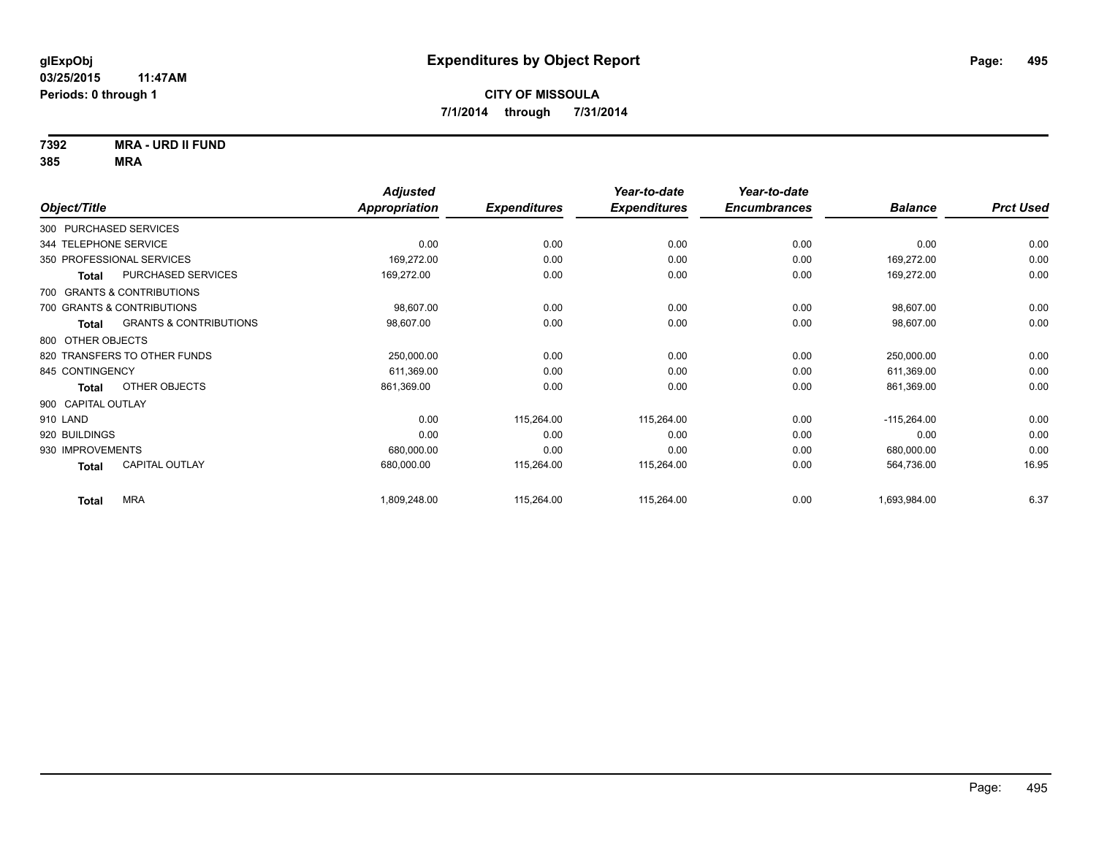**7392 MRA - URD II FUND**

|                        |                                   | <b>Adjusted</b> |                     | Year-to-date        | Year-to-date        |                |                  |
|------------------------|-----------------------------------|-----------------|---------------------|---------------------|---------------------|----------------|------------------|
| Object/Title           |                                   | Appropriation   | <b>Expenditures</b> | <b>Expenditures</b> | <b>Encumbrances</b> | <b>Balance</b> | <b>Prct Used</b> |
| 300 PURCHASED SERVICES |                                   |                 |                     |                     |                     |                |                  |
| 344 TELEPHONE SERVICE  |                                   | 0.00            | 0.00                | 0.00                | 0.00                | 0.00           | 0.00             |
|                        | 350 PROFESSIONAL SERVICES         | 169,272.00      | 0.00                | 0.00                | 0.00                | 169,272.00     | 0.00             |
| <b>Total</b>           | PURCHASED SERVICES                | 169,272.00      | 0.00                | 0.00                | 0.00                | 169,272.00     | 0.00             |
|                        | 700 GRANTS & CONTRIBUTIONS        |                 |                     |                     |                     |                |                  |
|                        | 700 GRANTS & CONTRIBUTIONS        | 98,607.00       | 0.00                | 0.00                | 0.00                | 98,607.00      | 0.00             |
| Total                  | <b>GRANTS &amp; CONTRIBUTIONS</b> | 98,607.00       | 0.00                | 0.00                | 0.00                | 98,607.00      | 0.00             |
| 800 OTHER OBJECTS      |                                   |                 |                     |                     |                     |                |                  |
|                        | 820 TRANSFERS TO OTHER FUNDS      | 250,000.00      | 0.00                | 0.00                | 0.00                | 250,000.00     | 0.00             |
| 845 CONTINGENCY        |                                   | 611,369.00      | 0.00                | 0.00                | 0.00                | 611,369.00     | 0.00             |
| <b>Total</b>           | OTHER OBJECTS                     | 861,369.00      | 0.00                | 0.00                | 0.00                | 861,369.00     | 0.00             |
| 900 CAPITAL OUTLAY     |                                   |                 |                     |                     |                     |                |                  |
| 910 LAND               |                                   | 0.00            | 115,264.00          | 115,264.00          | 0.00                | $-115,264.00$  | 0.00             |
| 920 BUILDINGS          |                                   | 0.00            | 0.00                | 0.00                | 0.00                | 0.00           | 0.00             |
| 930 IMPROVEMENTS       |                                   | 680,000.00      | 0.00                | 0.00                | 0.00                | 680,000.00     | 0.00             |
| <b>Total</b>           | CAPITAL OUTLAY                    | 680,000.00      | 115,264.00          | 115,264.00          | 0.00                | 564,736.00     | 16.95            |
| <b>Total</b>           | <b>MRA</b>                        | 1,809,248.00    | 115,264.00          | 115,264.00          | 0.00                | 1,693,984.00   | 6.37             |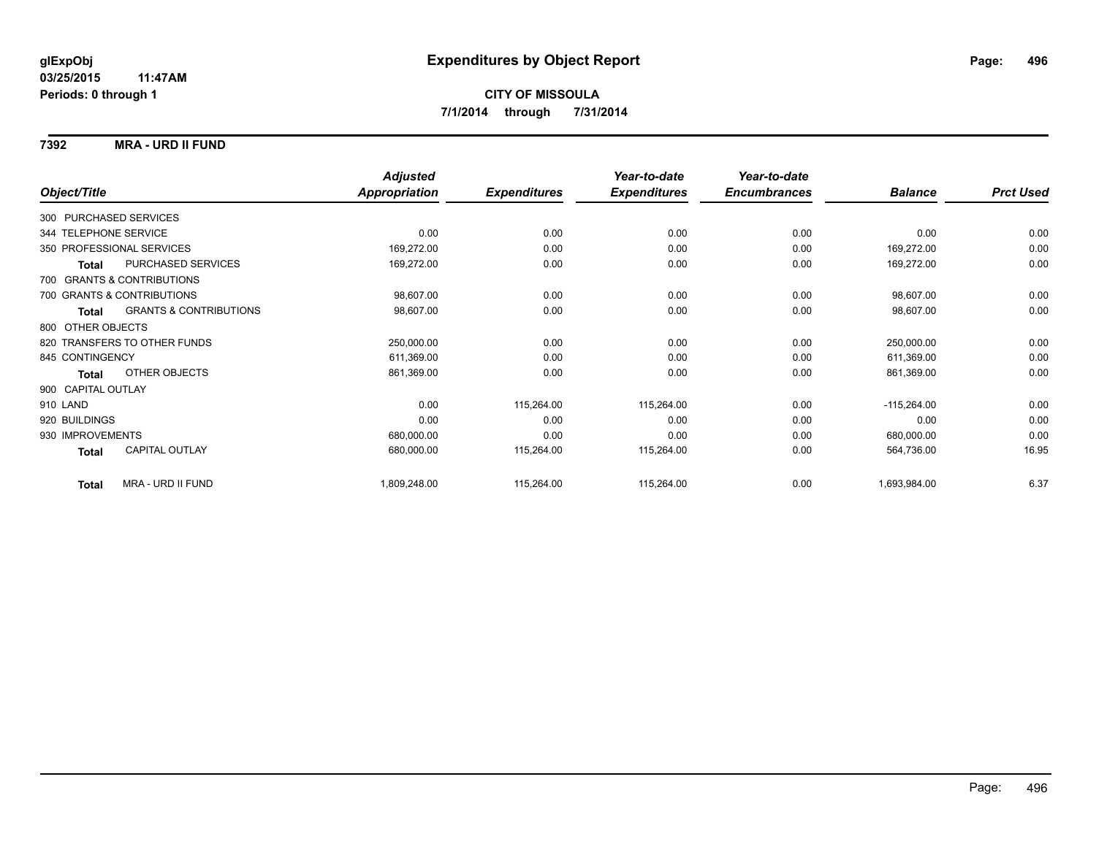### **7392 MRA - URD II FUND**

|                                            | <b>Adjusted</b>      |                     | Year-to-date        | Year-to-date        |                |                  |
|--------------------------------------------|----------------------|---------------------|---------------------|---------------------|----------------|------------------|
| Object/Title                               | <b>Appropriation</b> | <b>Expenditures</b> | <b>Expenditures</b> | <b>Encumbrances</b> | <b>Balance</b> | <b>Prct Used</b> |
| 300 PURCHASED SERVICES                     |                      |                     |                     |                     |                |                  |
| 344 TELEPHONE SERVICE                      | 0.00                 | 0.00                | 0.00                | 0.00                | 0.00           | 0.00             |
| 350 PROFESSIONAL SERVICES                  | 169,272.00           | 0.00                | 0.00                | 0.00                | 169,272.00     | 0.00             |
| PURCHASED SERVICES<br><b>Total</b>         | 169,272.00           | 0.00                | 0.00                | 0.00                | 169,272.00     | 0.00             |
| 700 GRANTS & CONTRIBUTIONS                 |                      |                     |                     |                     |                |                  |
| 700 GRANTS & CONTRIBUTIONS                 | 98,607.00            | 0.00                | 0.00                | 0.00                | 98,607.00      | 0.00             |
| <b>GRANTS &amp; CONTRIBUTIONS</b><br>Total | 98,607.00            | 0.00                | 0.00                | 0.00                | 98,607.00      | 0.00             |
| 800 OTHER OBJECTS                          |                      |                     |                     |                     |                |                  |
| 820 TRANSFERS TO OTHER FUNDS               | 250,000.00           | 0.00                | 0.00                | 0.00                | 250,000.00     | 0.00             |
| 845 CONTINGENCY                            | 611,369.00           | 0.00                | 0.00                | 0.00                | 611,369.00     | 0.00             |
| <b>OTHER OBJECTS</b><br>Total              | 861,369.00           | 0.00                | 0.00                | 0.00                | 861,369.00     | 0.00             |
| 900 CAPITAL OUTLAY                         |                      |                     |                     |                     |                |                  |
| 910 LAND                                   | 0.00                 | 115,264.00          | 115,264.00          | 0.00                | $-115,264.00$  | 0.00             |
| 920 BUILDINGS                              | 0.00                 | 0.00                | 0.00                | 0.00                | 0.00           | 0.00             |
| 930 IMPROVEMENTS                           | 680,000.00           | 0.00                | 0.00                | 0.00                | 680,000.00     | 0.00             |
| <b>CAPITAL OUTLAY</b><br>Total             | 680,000.00           | 115,264.00          | 115,264.00          | 0.00                | 564,736.00     | 16.95            |
| MRA - URD II FUND<br><b>Total</b>          | 1,809,248.00         | 115,264.00          | 115,264.00          | 0.00                | 1,693,984.00   | 6.37             |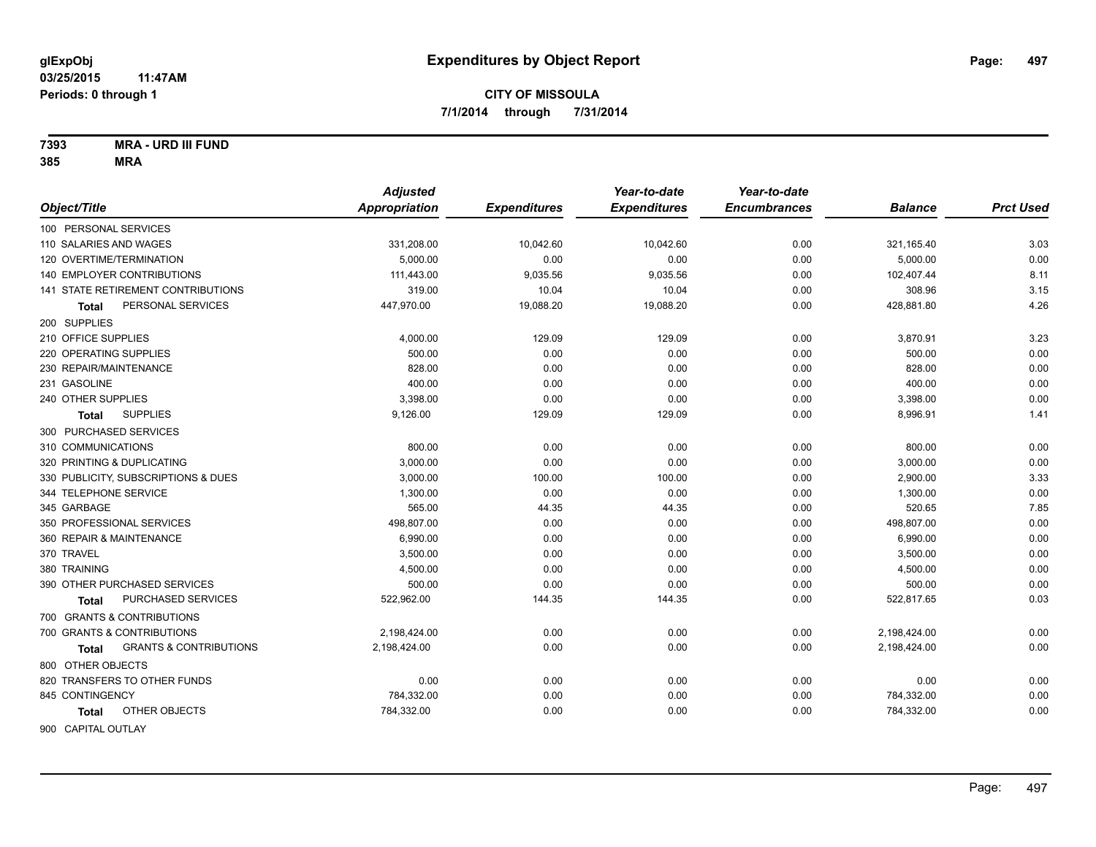**7393 MRA - URD III FUND**

| Object/Title               |                                           | <b>Adjusted</b><br><b>Appropriation</b> | <b>Expenditures</b> | Year-to-date<br><b>Expenditures</b> | Year-to-date<br><b>Encumbrances</b> | <b>Balance</b> | <b>Prct Used</b> |
|----------------------------|-------------------------------------------|-----------------------------------------|---------------------|-------------------------------------|-------------------------------------|----------------|------------------|
|                            |                                           |                                         |                     |                                     |                                     |                |                  |
| 100 PERSONAL SERVICES      |                                           |                                         |                     |                                     |                                     |                |                  |
| 110 SALARIES AND WAGES     |                                           | 331,208.00                              | 10,042.60           | 10,042.60                           | 0.00                                | 321,165.40     | 3.03             |
| 120 OVERTIME/TERMINATION   |                                           | 5.000.00                                | 0.00                | 0.00                                | 0.00                                | 5,000.00       | 0.00             |
|                            | <b>140 EMPLOYER CONTRIBUTIONS</b>         | 111,443.00                              | 9,035.56            | 9,035.56                            | 0.00                                | 102,407.44     | 8.11             |
|                            | <b>141 STATE RETIREMENT CONTRIBUTIONS</b> | 319.00                                  | 10.04               | 10.04                               | 0.00                                | 308.96         | 3.15             |
| Total                      | PERSONAL SERVICES                         | 447,970.00                              | 19,088.20           | 19,088.20                           | 0.00                                | 428,881.80     | 4.26             |
| 200 SUPPLIES               |                                           |                                         |                     |                                     |                                     |                |                  |
| 210 OFFICE SUPPLIES        |                                           | 4,000.00                                | 129.09              | 129.09                              | 0.00                                | 3,870.91       | 3.23             |
| 220 OPERATING SUPPLIES     |                                           | 500.00                                  | 0.00                | 0.00                                | 0.00                                | 500.00         | 0.00             |
| 230 REPAIR/MAINTENANCE     |                                           | 828.00                                  | 0.00                | 0.00                                | 0.00                                | 828.00         | 0.00             |
| 231 GASOLINE               |                                           | 400.00                                  | 0.00                | 0.00                                | 0.00                                | 400.00         | 0.00             |
| 240 OTHER SUPPLIES         |                                           | 3,398.00                                | 0.00                | 0.00                                | 0.00                                | 3,398.00       | 0.00             |
| <b>Total</b>               | <b>SUPPLIES</b>                           | 9,126.00                                | 129.09              | 129.09                              | 0.00                                | 8,996.91       | 1.41             |
| 300 PURCHASED SERVICES     |                                           |                                         |                     |                                     |                                     |                |                  |
| 310 COMMUNICATIONS         |                                           | 800.00                                  | 0.00                | 0.00                                | 0.00                                | 800.00         | 0.00             |
| 320 PRINTING & DUPLICATING |                                           | 3,000.00                                | 0.00                | 0.00                                | 0.00                                | 3,000.00       | 0.00             |
|                            | 330 PUBLICITY, SUBSCRIPTIONS & DUES       | 3,000.00                                | 100.00              | 100.00                              | 0.00                                | 2,900.00       | 3.33             |
| 344 TELEPHONE SERVICE      |                                           | 1,300.00                                | 0.00                | 0.00                                | 0.00                                | 1,300.00       | 0.00             |
| 345 GARBAGE                |                                           | 565.00                                  | 44.35               | 44.35                               | 0.00                                | 520.65         | 7.85             |
| 350 PROFESSIONAL SERVICES  |                                           | 498,807.00                              | 0.00                | 0.00                                | 0.00                                | 498,807.00     | 0.00             |
| 360 REPAIR & MAINTENANCE   |                                           | 6.990.00                                | 0.00                | 0.00                                | 0.00                                | 6,990.00       | 0.00             |
| 370 TRAVEL                 |                                           | 3,500.00                                | 0.00                | 0.00                                | 0.00                                | 3,500.00       | 0.00             |
| 380 TRAINING               |                                           | 4,500.00                                | 0.00                | 0.00                                | 0.00                                | 4,500.00       | 0.00             |
|                            | 390 OTHER PURCHASED SERVICES              | 500.00                                  | 0.00                | 0.00                                | 0.00                                | 500.00         | 0.00             |
| Total                      | PURCHASED SERVICES                        | 522,962.00                              | 144.35              | 144.35                              | 0.00                                | 522,817.65     | 0.03             |
|                            | 700 GRANTS & CONTRIBUTIONS                |                                         |                     |                                     |                                     |                |                  |
|                            | 700 GRANTS & CONTRIBUTIONS                | 2,198,424.00                            | 0.00                | 0.00                                | 0.00                                | 2,198,424.00   | 0.00             |
| <b>Total</b>               | <b>GRANTS &amp; CONTRIBUTIONS</b>         | 2,198,424.00                            | 0.00                | 0.00                                | 0.00                                | 2,198,424.00   | 0.00             |
| 800 OTHER OBJECTS          |                                           |                                         |                     |                                     |                                     |                |                  |
|                            | 820 TRANSFERS TO OTHER FUNDS              | 0.00                                    | 0.00                | 0.00                                | 0.00                                | 0.00           | 0.00             |
| 845 CONTINGENCY            |                                           | 784,332.00                              | 0.00                | 0.00                                | 0.00                                | 784,332.00     | 0.00             |
| Total                      | OTHER OBJECTS                             | 784,332.00                              | 0.00                | 0.00                                | 0.00                                | 784,332.00     | 0.00             |
| 900 CAPITAL OUTLAY         |                                           |                                         |                     |                                     |                                     |                |                  |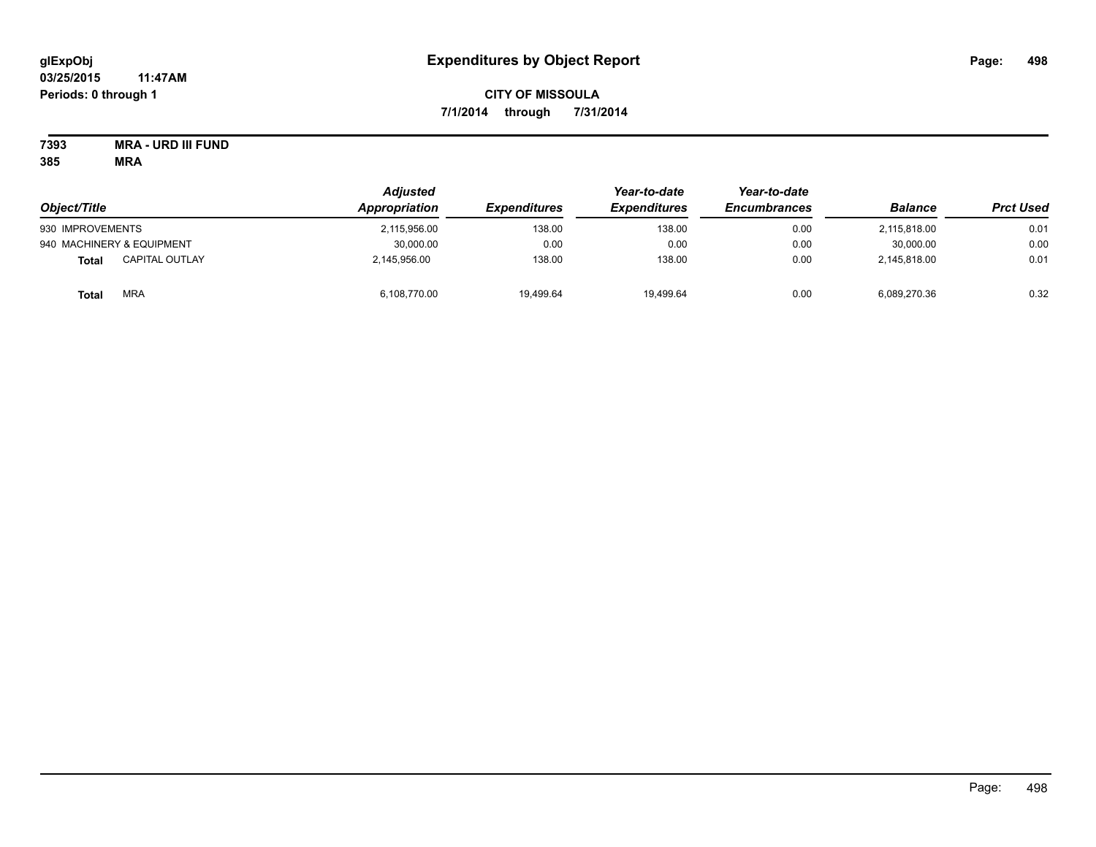# **CITY OF MISSOULA 7/1/2014 through 7/31/2014**

# **7393 MRA - URD III FUND**

|                                | <b>Adjusted</b><br>Appropriation | <i><b>Expenditures</b></i> | Year-to-date<br><b>Expenditures</b> | Year-to-date<br><b>Encumbrances</b> | <b>Balance</b> | <b>Prct Used</b> |
|--------------------------------|----------------------------------|----------------------------|-------------------------------------|-------------------------------------|----------------|------------------|
| Object/Title                   |                                  |                            |                                     |                                     |                |                  |
| 930 IMPROVEMENTS               | 2,115,956.00                     | 138.00                     | 138.00                              | 0.00                                | 2.115.818.00   | 0.01             |
| 940 MACHINERY & EQUIPMENT      | 30,000.00                        | 0.00                       | 0.00                                | 0.00                                | 30.000.00      | 0.00             |
| <b>CAPITAL OUTLAY</b><br>Total | 2,145,956.00                     | 138.00                     | 138.00                              | 0.00                                | 2,145,818.00   | 0.01             |
| <b>MRA</b><br><b>Total</b>     | 6,108,770.00                     | 19.499.64                  | 19.499.64                           | 0.00                                | 6.089.270.36   | 0.32             |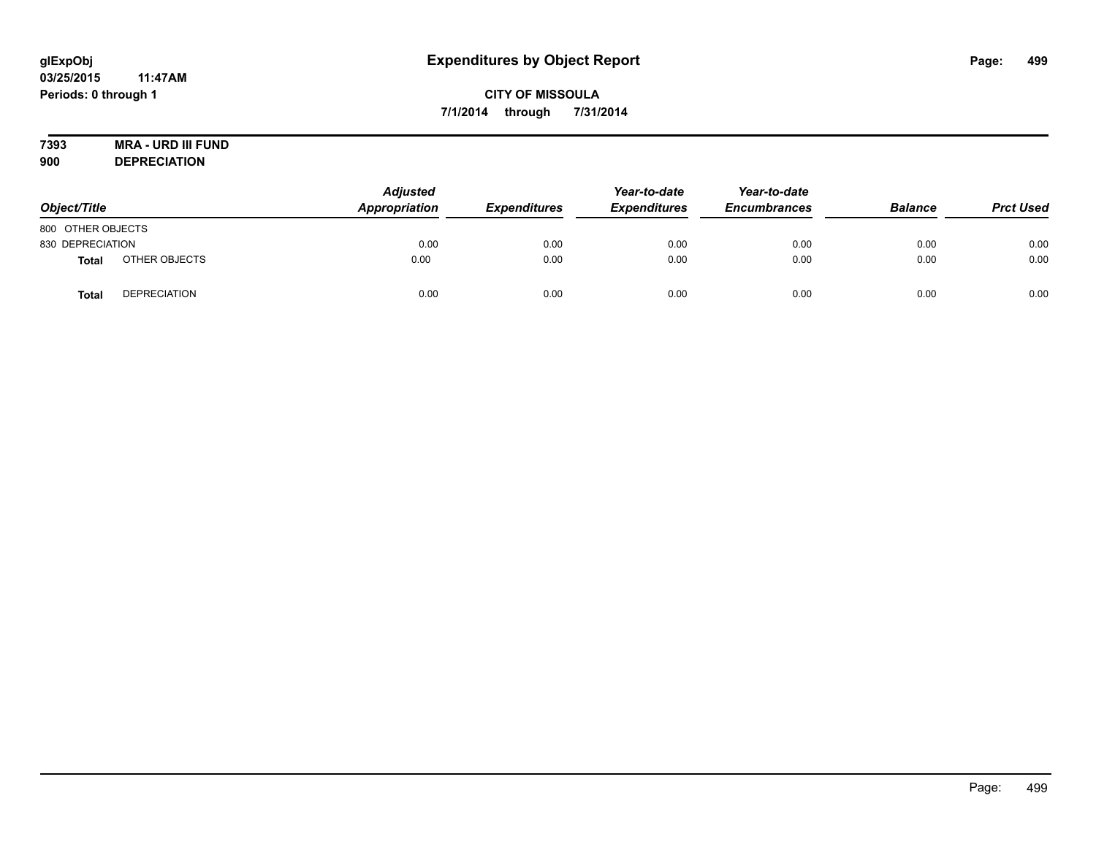# **7393 MRA - URD III FUND**

**900 DEPRECIATION**

| Object/Title      |                     | <b>Adjusted</b><br>Appropriation | <b>Expenditures</b> | Year-to-date<br><b>Expenditures</b> | Year-to-date<br><b>Encumbrances</b> | <b>Balance</b> | <b>Prct Used</b> |
|-------------------|---------------------|----------------------------------|---------------------|-------------------------------------|-------------------------------------|----------------|------------------|
| 800 OTHER OBJECTS |                     |                                  |                     |                                     |                                     |                |                  |
| 830 DEPRECIATION  |                     | 0.00                             | 0.00                | 0.00                                | 0.00                                | 0.00           | 0.00             |
| <b>Total</b>      | OTHER OBJECTS       | 0.00                             | 0.00                | 0.00                                | 0.00                                | 0.00           | 0.00             |
| <b>Total</b>      | <b>DEPRECIATION</b> | 0.00                             | 0.00                | 0.00                                | 0.00                                | 0.00           | 0.00             |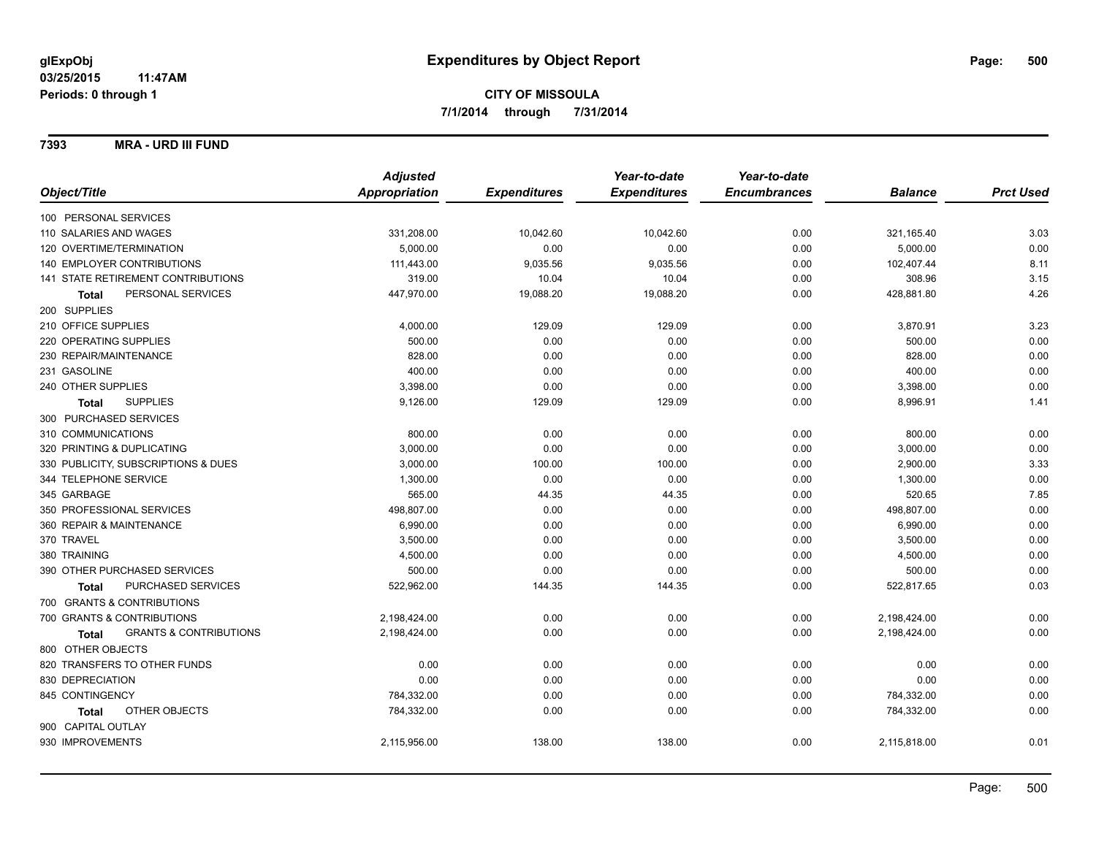**7393 MRA - URD III FUND**

|                                                   | <b>Adjusted</b> |                     | Year-to-date        | Year-to-date        |                |                  |
|---------------------------------------------------|-----------------|---------------------|---------------------|---------------------|----------------|------------------|
| Object/Title                                      | Appropriation   | <b>Expenditures</b> | <b>Expenditures</b> | <b>Encumbrances</b> | <b>Balance</b> | <b>Prct Used</b> |
| 100 PERSONAL SERVICES                             |                 |                     |                     |                     |                |                  |
| 110 SALARIES AND WAGES                            | 331,208.00      | 10,042.60           | 10,042.60           | 0.00                | 321,165.40     | 3.03             |
| 120 OVERTIME/TERMINATION                          | 5,000.00        | 0.00                | 0.00                | 0.00                | 5,000.00       | 0.00             |
| <b>140 EMPLOYER CONTRIBUTIONS</b>                 | 111,443.00      | 9,035.56            | 9,035.56            | 0.00                | 102,407.44     | 8.11             |
| 141 STATE RETIREMENT CONTRIBUTIONS                | 319.00          | 10.04               | 10.04               | 0.00                | 308.96         | 3.15             |
| PERSONAL SERVICES<br><b>Total</b>                 | 447,970.00      | 19,088.20           | 19,088.20           | 0.00                | 428,881.80     | 4.26             |
| 200 SUPPLIES                                      |                 |                     |                     |                     |                |                  |
| 210 OFFICE SUPPLIES                               | 4,000.00        | 129.09              | 129.09              | 0.00                | 3,870.91       | 3.23             |
| 220 OPERATING SUPPLIES                            | 500.00          | 0.00                | 0.00                | 0.00                | 500.00         | 0.00             |
| 230 REPAIR/MAINTENANCE                            | 828.00          | 0.00                | 0.00                | 0.00                | 828.00         | 0.00             |
| 231 GASOLINE                                      | 400.00          | 0.00                | 0.00                | 0.00                | 400.00         | 0.00             |
| 240 OTHER SUPPLIES                                | 3,398.00        | 0.00                | 0.00                | 0.00                | 3,398.00       | 0.00             |
| <b>SUPPLIES</b><br>Total                          | 9,126.00        | 129.09              | 129.09              | 0.00                | 8,996.91       | 1.41             |
| 300 PURCHASED SERVICES                            |                 |                     |                     |                     |                |                  |
| 310 COMMUNICATIONS                                | 800.00          | 0.00                | 0.00                | 0.00                | 800.00         | 0.00             |
| 320 PRINTING & DUPLICATING                        | 3,000.00        | 0.00                | 0.00                | 0.00                | 3,000.00       | 0.00             |
| 330 PUBLICITY, SUBSCRIPTIONS & DUES               | 3,000.00        | 100.00              | 100.00              | 0.00                | 2,900.00       | 3.33             |
| 344 TELEPHONE SERVICE                             | 1,300.00        | 0.00                | 0.00                | 0.00                | 1,300.00       | 0.00             |
| 345 GARBAGE                                       | 565.00          | 44.35               | 44.35               | 0.00                | 520.65         | 7.85             |
| 350 PROFESSIONAL SERVICES                         | 498,807.00      | 0.00                | 0.00                | 0.00                | 498,807.00     | 0.00             |
| 360 REPAIR & MAINTENANCE                          | 6,990.00        | 0.00                | 0.00                | 0.00                | 6,990.00       | 0.00             |
| 370 TRAVEL                                        | 3,500.00        | 0.00                | 0.00                | 0.00                | 3,500.00       | 0.00             |
| 380 TRAINING                                      | 4,500.00        | 0.00                | 0.00                | 0.00                | 4,500.00       | 0.00             |
| 390 OTHER PURCHASED SERVICES                      | 500.00          | 0.00                | 0.00                | 0.00                | 500.00         | 0.00             |
| PURCHASED SERVICES<br><b>Total</b>                | 522,962.00      | 144.35              | 144.35              | 0.00                | 522,817.65     | 0.03             |
| 700 GRANTS & CONTRIBUTIONS                        |                 |                     |                     |                     |                |                  |
| 700 GRANTS & CONTRIBUTIONS                        | 2,198,424.00    | 0.00                | 0.00                | 0.00                | 2,198,424.00   | 0.00             |
| <b>GRANTS &amp; CONTRIBUTIONS</b><br><b>Total</b> | 2,198,424.00    | 0.00                | 0.00                | 0.00                | 2,198,424.00   | 0.00             |
| 800 OTHER OBJECTS                                 |                 |                     |                     |                     |                |                  |
| 820 TRANSFERS TO OTHER FUNDS                      | 0.00            | 0.00                | 0.00                | 0.00                | 0.00           | 0.00             |
| 830 DEPRECIATION                                  | 0.00            | 0.00                | 0.00                | 0.00                | 0.00           | 0.00             |
| 845 CONTINGENCY                                   | 784,332.00      | 0.00                | 0.00                | 0.00                | 784,332.00     | 0.00             |
| OTHER OBJECTS<br>Total                            | 784,332.00      | 0.00                | 0.00                | 0.00                | 784,332.00     | 0.00             |
| 900 CAPITAL OUTLAY                                |                 |                     |                     |                     |                |                  |
| 930 IMPROVEMENTS                                  | 2,115,956.00    | 138.00              | 138.00              | 0.00                | 2,115,818.00   | 0.01             |
|                                                   |                 |                     |                     |                     |                |                  |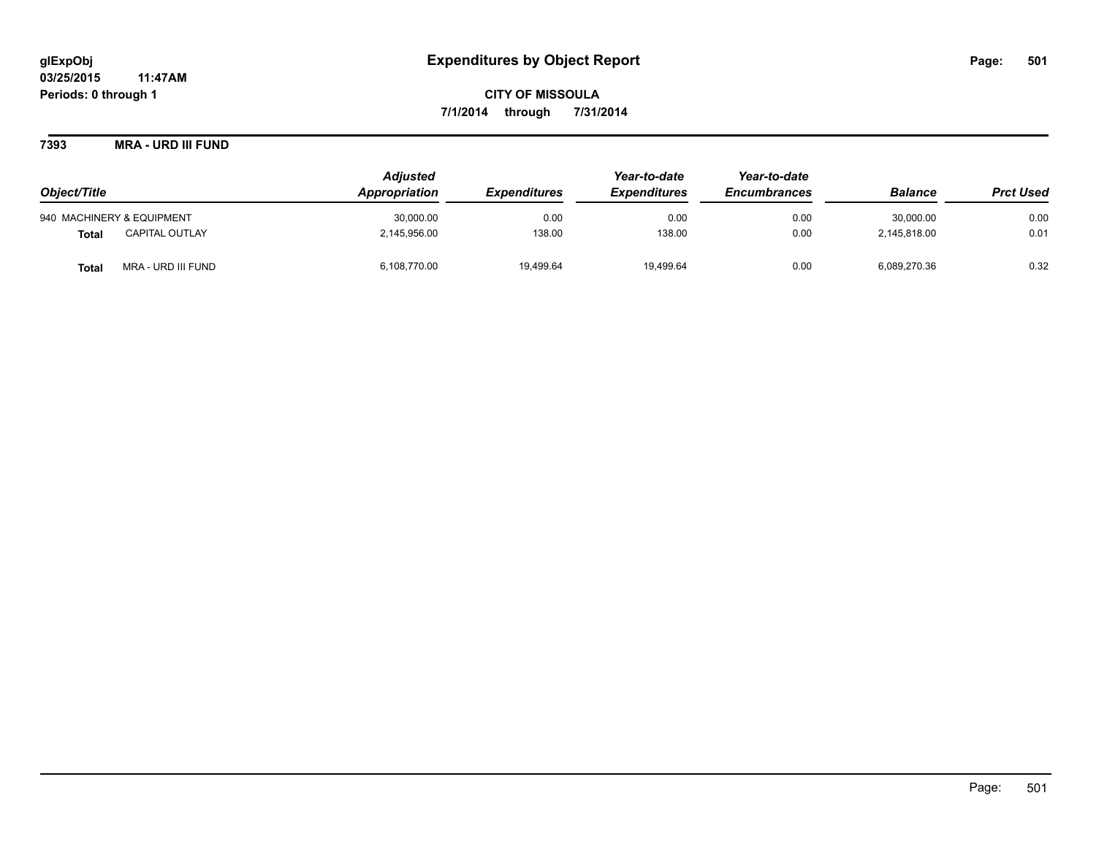**7393 MRA - URD III FUND**

|                                       | <b>Adjusted</b> |                     |                     | Year-to-date        |                |                  |
|---------------------------------------|-----------------|---------------------|---------------------|---------------------|----------------|------------------|
| Object/Title                          | Appropriation   | <b>Expenditures</b> | <b>Expenditures</b> | <b>Encumbrances</b> | <b>Balance</b> | <b>Prct Used</b> |
| 940 MACHINERY & EQUIPMENT             | 30,000.00       | 0.00                | 0.00                | 0.00                | 30.000.00      | 0.00             |
| <b>CAPITAL OUTLAY</b><br><b>Total</b> | 2,145,956.00    | 138.00              | 138.00              | 0.00                | 2,145,818.00   | 0.01             |
| MRA - URD III FUND<br><b>Total</b>    | 6,108,770.00    | 19,499.64           | 19,499.64           | 0.00                | 6,089,270.36   | 0.32             |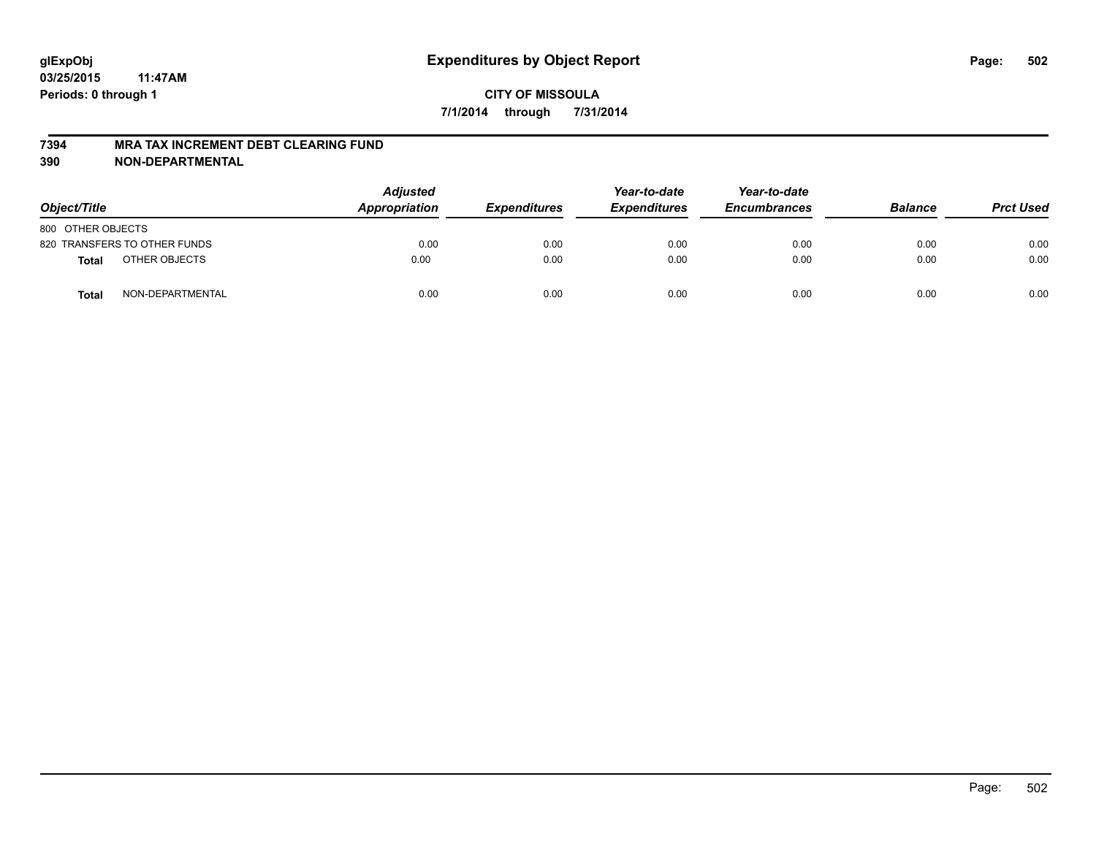#### **7394 MRA TAX INCREMENT DEBT CLEARING FUND**

**390 NON-DEPARTMENTAL**

| Object/Title      |                              | <b>Adjusted</b><br>Appropriation | <b>Expenditures</b> | Year-to-date<br><b>Expenditures</b> | Year-to-date<br><b>Encumbrances</b> | <b>Balance</b> | <b>Prct Used</b> |
|-------------------|------------------------------|----------------------------------|---------------------|-------------------------------------|-------------------------------------|----------------|------------------|
| 800 OTHER OBJECTS |                              |                                  |                     |                                     |                                     |                |                  |
|                   | 820 TRANSFERS TO OTHER FUNDS | 0.00                             | 0.00                | 0.00                                | 0.00                                | 0.00           | 0.00             |
| <b>Total</b>      | OTHER OBJECTS                | 0.00                             | 0.00                | 0.00                                | 0.00                                | 0.00           | 0.00             |
| <b>Total</b>      | NON-DEPARTMENTAL             | 0.00                             | 0.00                | 0.00                                | 0.00                                | 0.00           | 0.00             |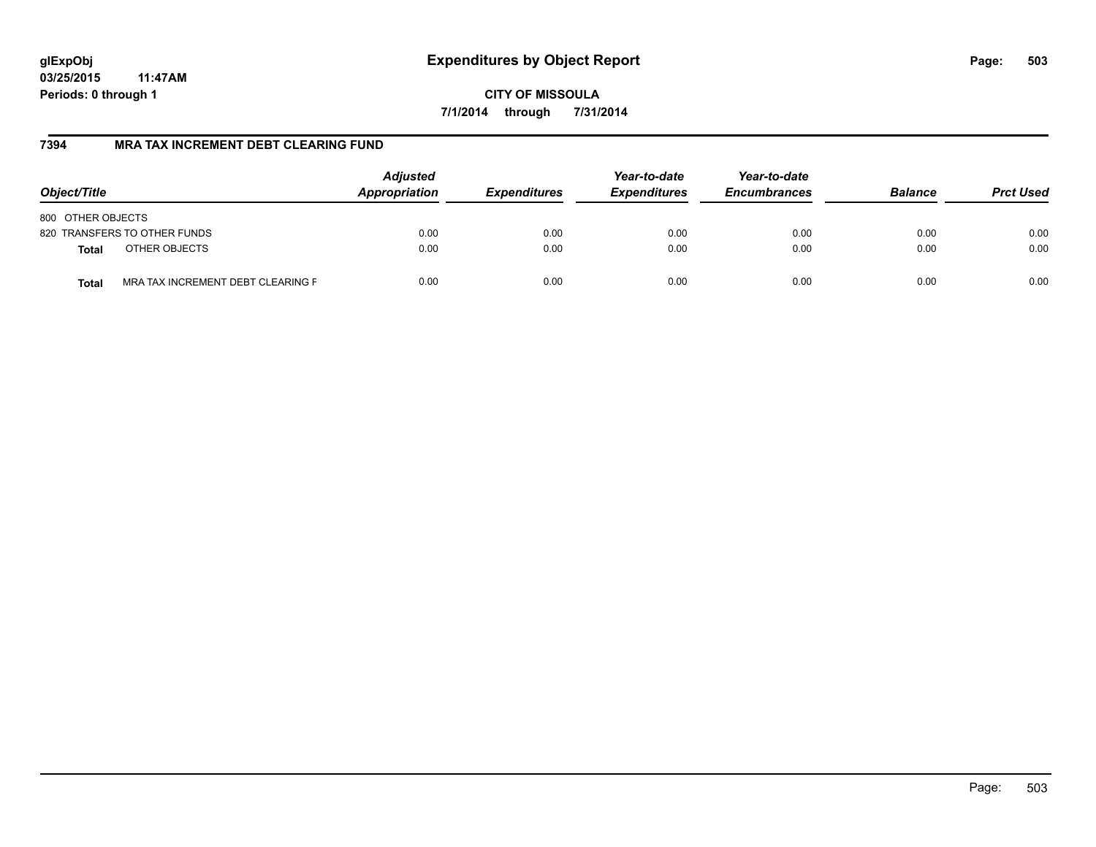**CITY OF MISSOULA 7/1/2014 through 7/31/2014**

### **7394 MRA TAX INCREMENT DEBT CLEARING FUND**

| Object/Title                                      | <b>Adjusted</b><br>Appropriation | <b>Expenditures</b> | Year-to-date<br><b>Expenditures</b> | Year-to-date<br><b>Encumbrances</b> | <b>Balance</b> | <b>Prct Used</b> |
|---------------------------------------------------|----------------------------------|---------------------|-------------------------------------|-------------------------------------|----------------|------------------|
| 800 OTHER OBJECTS                                 |                                  |                     |                                     |                                     |                |                  |
| 820 TRANSFERS TO OTHER FUNDS                      | 0.00                             | 0.00                | 0.00                                | 0.00                                | 0.00           | 0.00             |
| OTHER OBJECTS<br>Total                            | 0.00                             | 0.00                | 0.00                                | 0.00                                | 0.00           | 0.00             |
| MRA TAX INCREMENT DEBT CLEARING F<br><b>Total</b> | 0.00                             | 0.00                | 0.00                                | 0.00                                | 0.00           | 0.00             |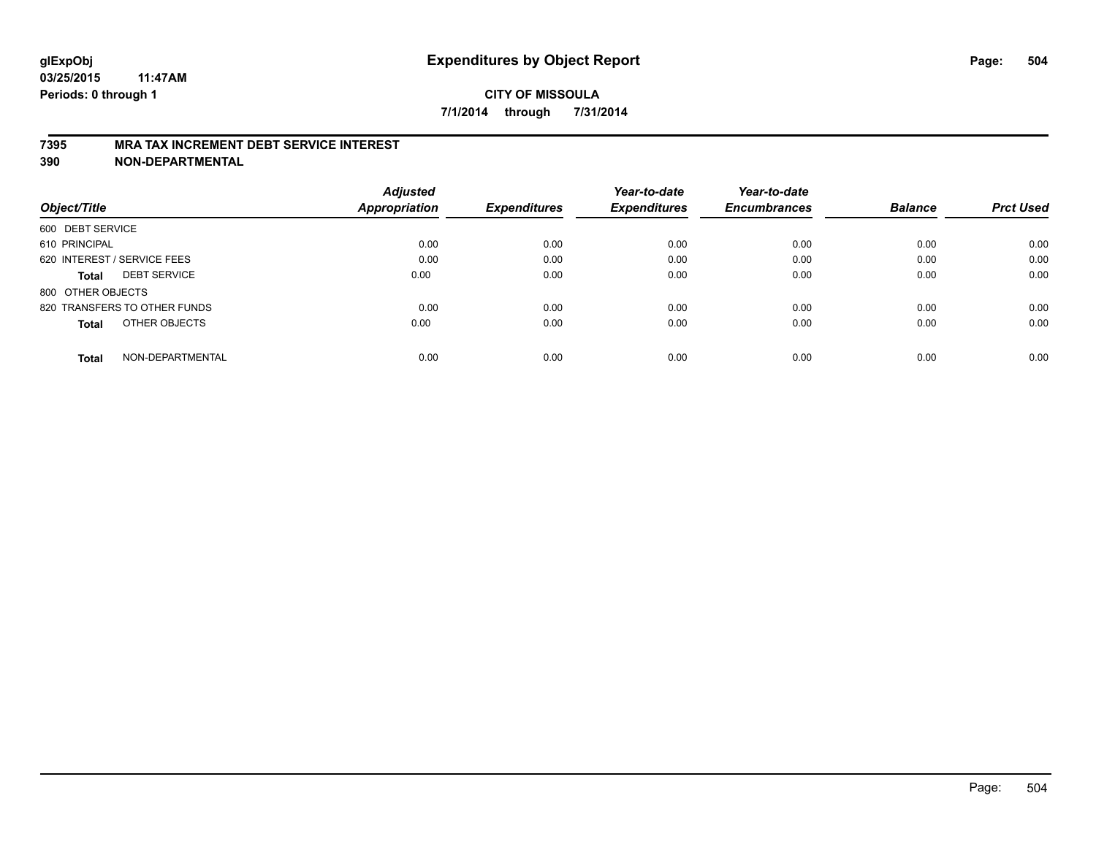#### **7395 MRA TAX INCREMENT DEBT SERVICE INTEREST**

**390 NON-DEPARTMENTAL**

|                                     | <b>Adjusted</b>      |                     | Year-to-date        | Year-to-date        |                |                  |
|-------------------------------------|----------------------|---------------------|---------------------|---------------------|----------------|------------------|
| Object/Title                        | <b>Appropriation</b> | <b>Expenditures</b> | <b>Expenditures</b> | <b>Encumbrances</b> | <b>Balance</b> | <b>Prct Used</b> |
| 600 DEBT SERVICE                    |                      |                     |                     |                     |                |                  |
| 610 PRINCIPAL                       | 0.00                 | 0.00                | 0.00                | 0.00                | 0.00           | 0.00             |
| 620 INTEREST / SERVICE FEES         | 0.00                 | 0.00                | 0.00                | 0.00                | 0.00           | 0.00             |
| <b>DEBT SERVICE</b><br><b>Total</b> | 0.00                 | 0.00                | 0.00                | 0.00                | 0.00           | 0.00             |
| 800 OTHER OBJECTS                   |                      |                     |                     |                     |                |                  |
| 820 TRANSFERS TO OTHER FUNDS        | 0.00                 | 0.00                | 0.00                | 0.00                | 0.00           | 0.00             |
| OTHER OBJECTS<br><b>Total</b>       | 0.00                 | 0.00                | 0.00                | 0.00                | 0.00           | 0.00             |
| NON-DEPARTMENTAL<br>Total           | 0.00                 | 0.00                | 0.00                | 0.00                | 0.00           | 0.00             |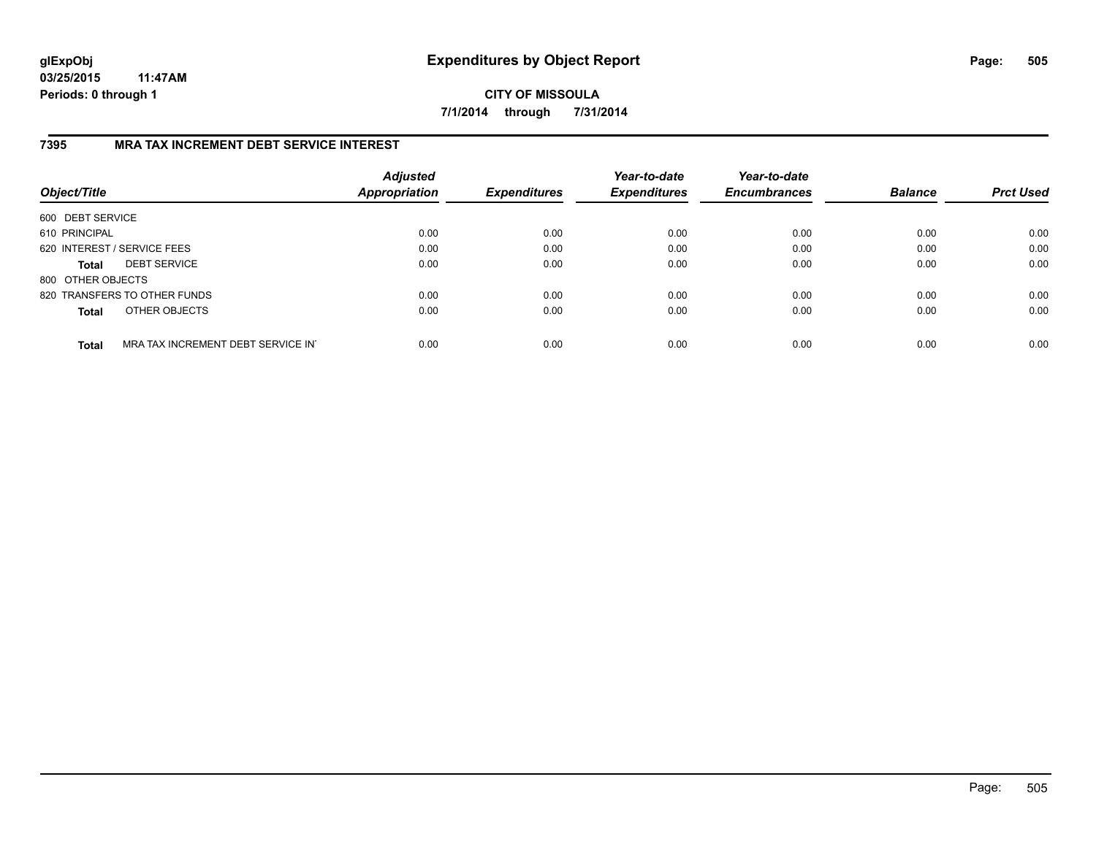**CITY OF MISSOULA 7/1/2014 through 7/31/2014**

### **7395 MRA TAX INCREMENT DEBT SERVICE INTEREST**

| Object/Title                |                                   | <b>Adjusted</b><br><b>Appropriation</b> | <b>Expenditures</b> | Year-to-date<br><b>Expenditures</b> | Year-to-date<br><b>Encumbrances</b> | <b>Balance</b> | <b>Prct Used</b> |
|-----------------------------|-----------------------------------|-----------------------------------------|---------------------|-------------------------------------|-------------------------------------|----------------|------------------|
| 600 DEBT SERVICE            |                                   |                                         |                     |                                     |                                     |                |                  |
| 610 PRINCIPAL               |                                   | 0.00                                    | 0.00                | 0.00                                | 0.00                                | 0.00           | 0.00             |
| 620 INTEREST / SERVICE FEES |                                   | 0.00                                    | 0.00                | 0.00                                | 0.00                                | 0.00           | 0.00             |
| <b>Total</b>                | <b>DEBT SERVICE</b>               | 0.00                                    | 0.00                | 0.00                                | 0.00                                | 0.00           | 0.00             |
| 800 OTHER OBJECTS           |                                   |                                         |                     |                                     |                                     |                |                  |
|                             | 820 TRANSFERS TO OTHER FUNDS      | 0.00                                    | 0.00                | 0.00                                | 0.00                                | 0.00           | 0.00             |
| <b>Total</b>                | OTHER OBJECTS                     | 0.00                                    | 0.00                | 0.00                                | 0.00                                | 0.00           | 0.00             |
| <b>Total</b>                | MRA TAX INCREMENT DEBT SERVICE IN | 0.00                                    | 0.00                | 0.00                                | 0.00                                | 0.00           | 0.00             |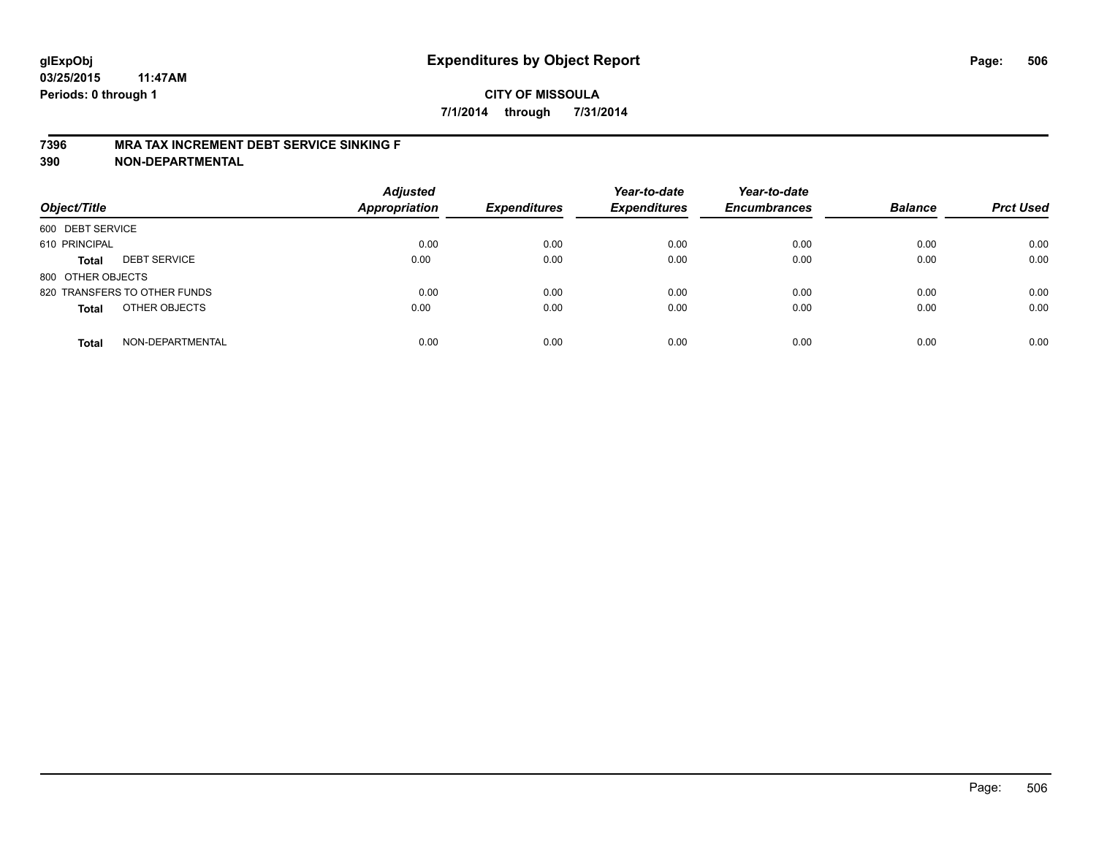#### **7396 MRA TAX INCREMENT DEBT SERVICE SINKING F**

**390 NON-DEPARTMENTAL**

| Object/Title      |                              | <b>Adjusted</b><br><b>Appropriation</b> | <b>Expenditures</b> | Year-to-date<br><b>Expenditures</b> | Year-to-date<br><b>Encumbrances</b> | <b>Balance</b> | <b>Prct Used</b> |
|-------------------|------------------------------|-----------------------------------------|---------------------|-------------------------------------|-------------------------------------|----------------|------------------|
| 600 DEBT SERVICE  |                              |                                         |                     |                                     |                                     |                |                  |
| 610 PRINCIPAL     |                              | 0.00                                    | 0.00                | 0.00                                | 0.00                                | 0.00           | 0.00             |
| <b>Total</b>      | <b>DEBT SERVICE</b>          | 0.00                                    | 0.00                | 0.00                                | 0.00                                | 0.00           | 0.00             |
| 800 OTHER OBJECTS |                              |                                         |                     |                                     |                                     |                |                  |
|                   | 820 TRANSFERS TO OTHER FUNDS | 0.00                                    | 0.00                | 0.00                                | 0.00                                | 0.00           | 0.00             |
| <b>Total</b>      | OTHER OBJECTS                | 0.00                                    | 0.00                | 0.00                                | 0.00                                | 0.00           | 0.00             |
| <b>Total</b>      | NON-DEPARTMENTAL             | 0.00                                    | 0.00                | 0.00                                | 0.00                                | 0.00           | 0.00             |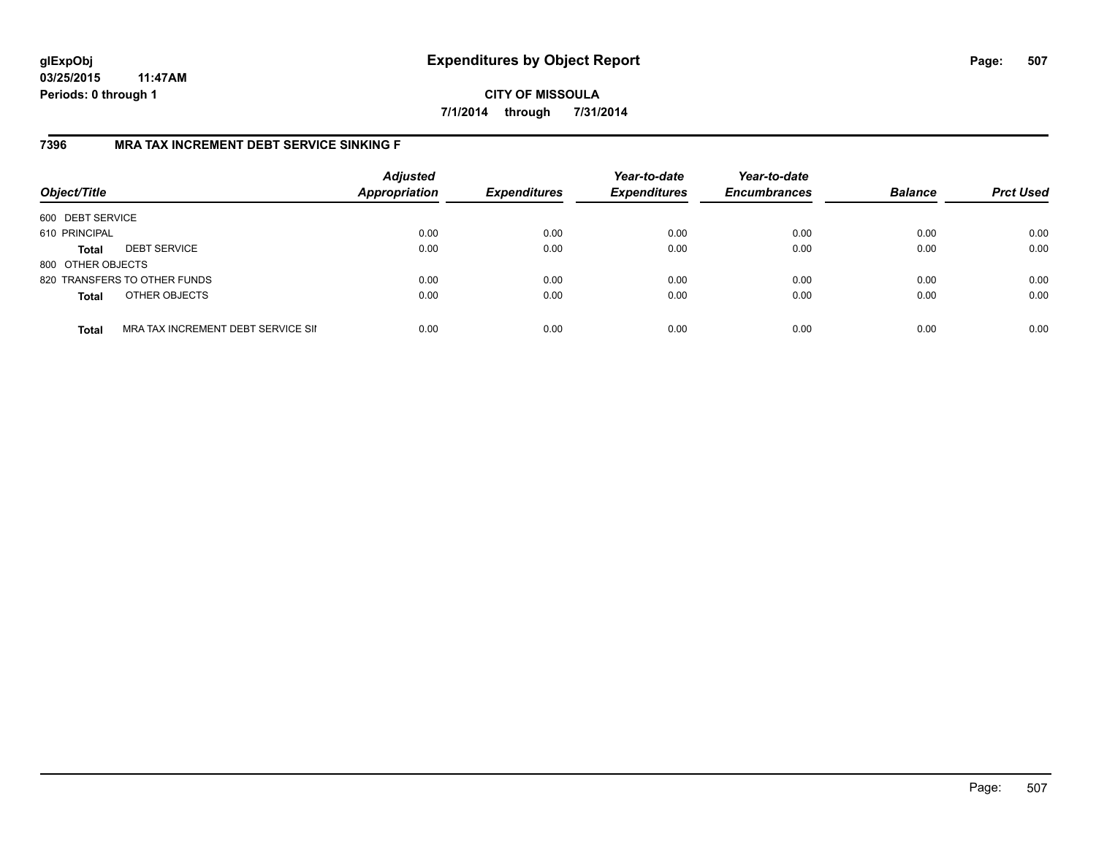# **CITY OF MISSOULA 7/1/2014 through 7/31/2014**

# **7396 MRA TAX INCREMENT DEBT SERVICE SINKING F**

| Object/Title      |                                    | <b>Adjusted</b><br><b>Appropriation</b> | <b>Expenditures</b> | Year-to-date<br><b>Expenditures</b> | Year-to-date<br><b>Encumbrances</b> | <b>Balance</b> | <b>Prct Used</b> |
|-------------------|------------------------------------|-----------------------------------------|---------------------|-------------------------------------|-------------------------------------|----------------|------------------|
| 600 DEBT SERVICE  |                                    |                                         |                     |                                     |                                     |                |                  |
| 610 PRINCIPAL     |                                    | 0.00                                    | 0.00                | 0.00                                | 0.00                                | 0.00           | 0.00             |
| <b>Total</b>      | <b>DEBT SERVICE</b>                | 0.00                                    | 0.00                | 0.00                                | 0.00                                | 0.00           | 0.00             |
| 800 OTHER OBJECTS |                                    |                                         |                     |                                     |                                     |                |                  |
|                   | 820 TRANSFERS TO OTHER FUNDS       | 0.00                                    | 0.00                | 0.00                                | 0.00                                | 0.00           | 0.00             |
| <b>Total</b>      | OTHER OBJECTS                      | 0.00                                    | 0.00                | 0.00                                | 0.00                                | 0.00           | 0.00             |
| <b>Total</b>      | MRA TAX INCREMENT DEBT SERVICE SII | 0.00                                    | 0.00                | 0.00                                | 0.00                                | 0.00           | 0.00             |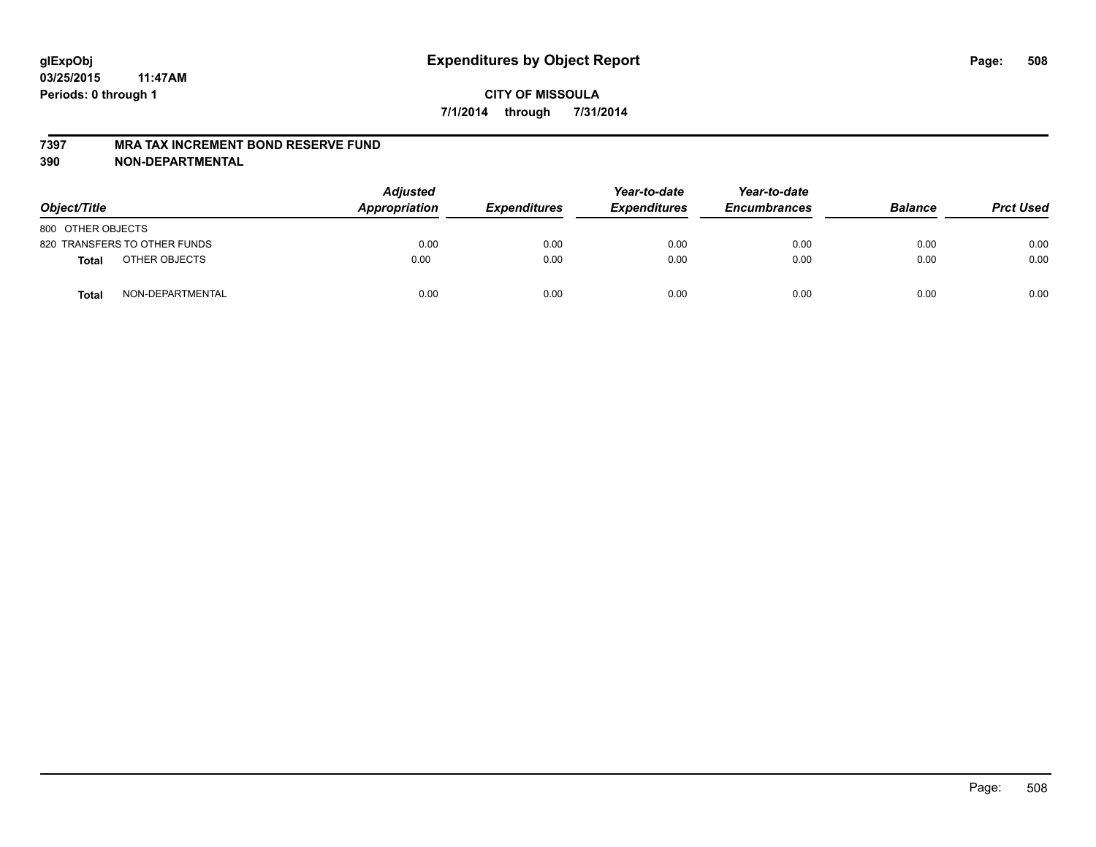#### **7397 MRA TAX INCREMENT BOND RESERVE FUND**

**390 NON-DEPARTMENTAL**

| Object/Title      |                              | <b>Adjusted</b><br>Appropriation | <b>Expenditures</b> | Year-to-date<br><b>Expenditures</b> | Year-to-date<br><b>Encumbrances</b> | <b>Balance</b> | <b>Prct Used</b> |
|-------------------|------------------------------|----------------------------------|---------------------|-------------------------------------|-------------------------------------|----------------|------------------|
| 800 OTHER OBJECTS |                              |                                  |                     |                                     |                                     |                |                  |
|                   | 820 TRANSFERS TO OTHER FUNDS | 0.00                             | 0.00                | 0.00                                | 0.00                                | 0.00           | 0.00             |
| Total             | OTHER OBJECTS                | 0.00                             | 0.00                | 0.00                                | 0.00                                | 0.00           | 0.00             |
| <b>Total</b>      | NON-DEPARTMENTAL             | 0.00                             | 0.00                | 0.00                                | 0.00                                | 0.00           | 0.00             |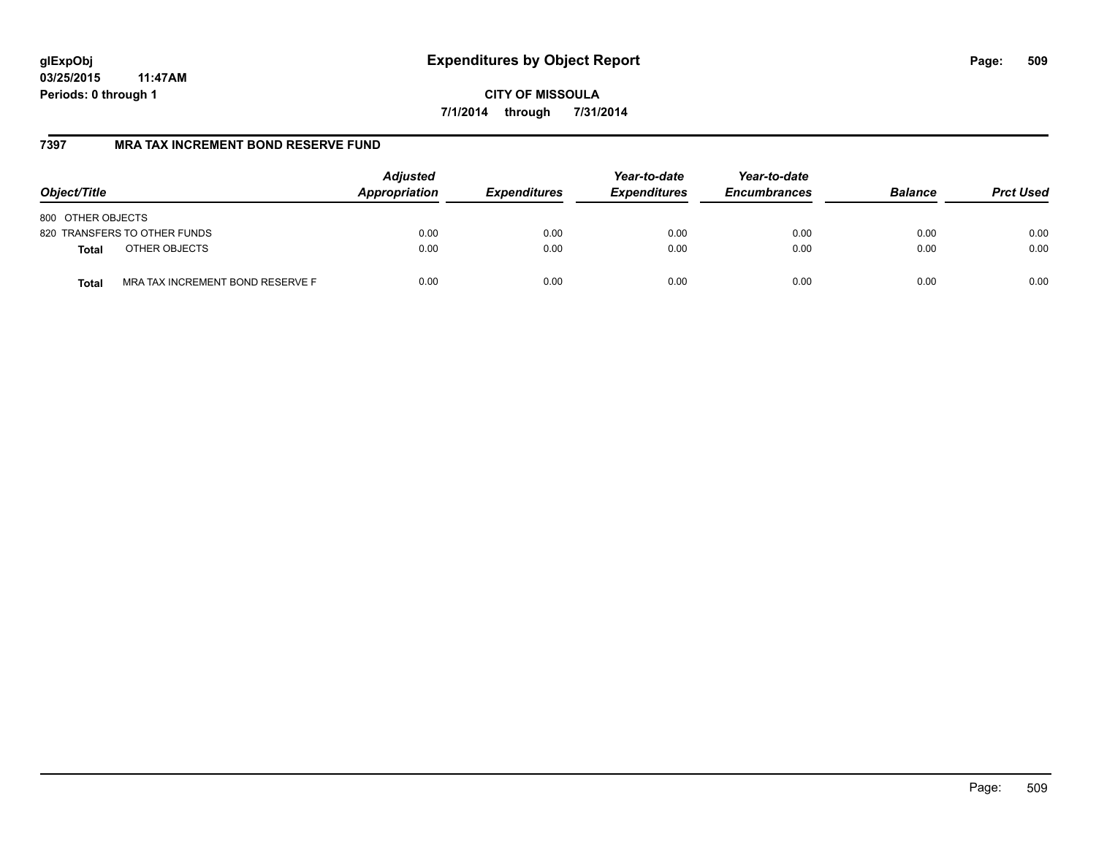**CITY OF MISSOULA 7/1/2014 through 7/31/2014**

# **7397 MRA TAX INCREMENT BOND RESERVE FUND**

| Object/Title                              | <b>Adjusted</b><br>Appropriation | <b>Expenditures</b> | Year-to-date<br><b>Expenditures</b> | Year-to-date<br><b>Encumbrances</b> | <b>Balance</b> | <b>Prct Used</b> |
|-------------------------------------------|----------------------------------|---------------------|-------------------------------------|-------------------------------------|----------------|------------------|
| 800 OTHER OBJECTS                         |                                  |                     |                                     |                                     |                |                  |
| 820 TRANSFERS TO OTHER FUNDS              | 0.00                             | 0.00                | 0.00                                | 0.00                                | 0.00           | 0.00             |
| OTHER OBJECTS<br><b>Total</b>             | 0.00                             | 0.00                | 0.00                                | 0.00                                | 0.00           | 0.00             |
| MRA TAX INCREMENT BOND RESERVE F<br>Total | 0.00                             | 0.00                | 0.00                                | 0.00                                | 0.00           | 0.00             |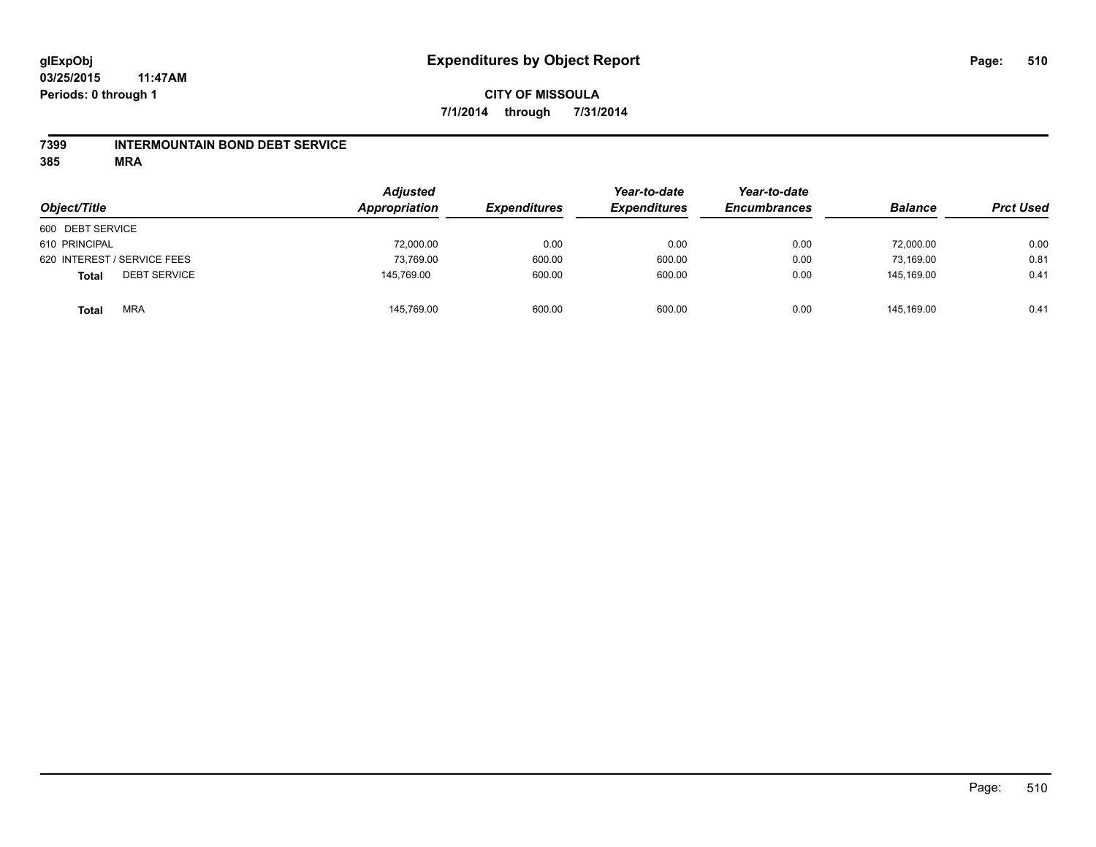### **7399 INTERMOUNTAIN BOND DEBT SERVICE**

**385 MRA**

| Object/Title                        | <b>Adjusted</b><br>Appropriation | <b>Expenditures</b> | Year-to-date<br><b>Expenditures</b> | Year-to-date<br><b>Encumbrances</b> | <b>Balance</b> | <b>Prct Used</b> |
|-------------------------------------|----------------------------------|---------------------|-------------------------------------|-------------------------------------|----------------|------------------|
| 600 DEBT SERVICE                    |                                  |                     |                                     |                                     |                |                  |
| 610 PRINCIPAL                       | 72,000.00                        | 0.00                | 0.00                                | 0.00                                | 72,000.00      | 0.00             |
| 620 INTEREST / SERVICE FEES         | 73,769.00                        | 600.00              | 600.00                              | 0.00                                | 73.169.00      | 0.81             |
| <b>DEBT SERVICE</b><br><b>Total</b> | 145,769.00                       | 600.00              | 600.00                              | 0.00                                | 145.169.00     | 0.41             |
| <b>MRA</b><br><b>Total</b>          | 145,769.00                       | 600.00              | 600.00                              | 0.00                                | 145.169.00     | 0.41             |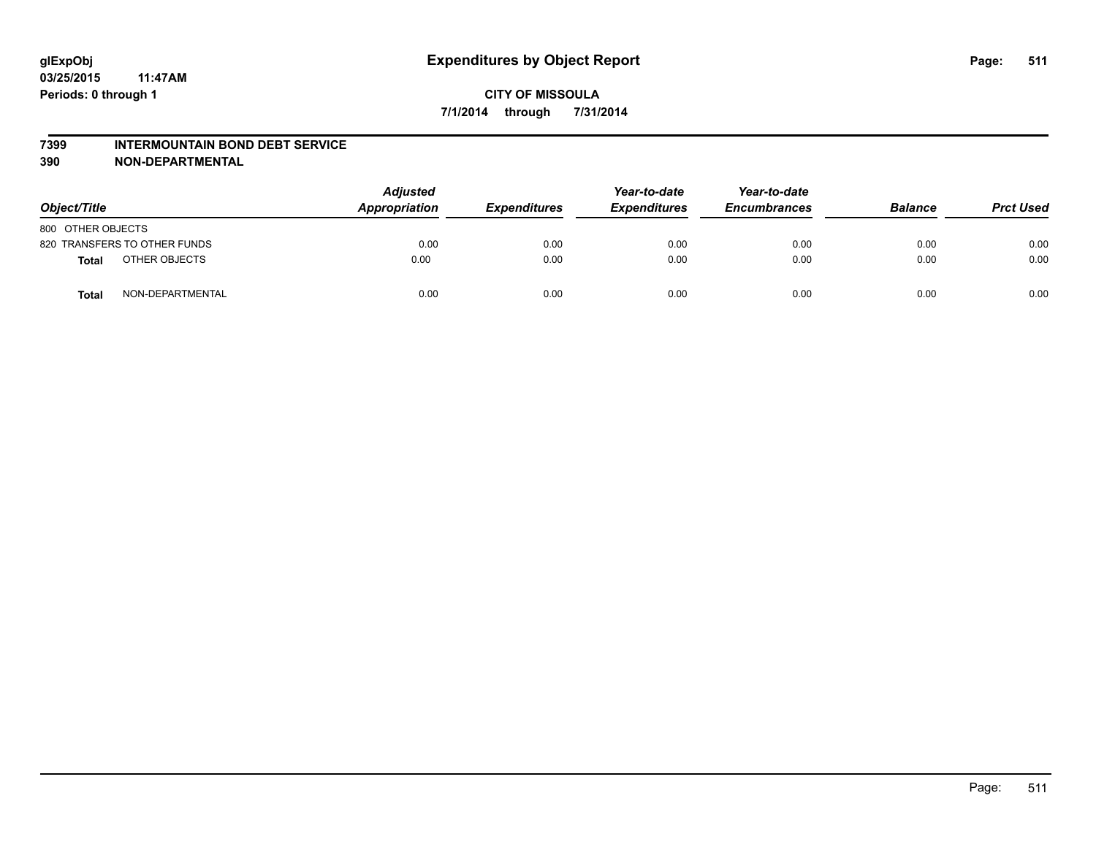#### **7399 INTERMOUNTAIN BOND DEBT SERVICE**

**390 NON-DEPARTMENTAL**

| Object/Title      |                              | <b>Adjusted</b><br>Appropriation | <b>Expenditures</b> | Year-to-date<br><b>Expenditures</b> | Year-to-date<br><b>Encumbrances</b> | <b>Balance</b> | <b>Prct Used</b> |
|-------------------|------------------------------|----------------------------------|---------------------|-------------------------------------|-------------------------------------|----------------|------------------|
| 800 OTHER OBJECTS |                              |                                  |                     |                                     |                                     |                |                  |
|                   | 820 TRANSFERS TO OTHER FUNDS | 0.00                             | 0.00                | 0.00                                | 0.00                                | 0.00           | 0.00             |
| Total             | OTHER OBJECTS                | 0.00                             | 0.00                | 0.00                                | 0.00                                | 0.00           | 0.00             |
| <b>Total</b>      | NON-DEPARTMENTAL             | 0.00                             | 0.00                | 0.00                                | 0.00                                | 0.00           | 0.00             |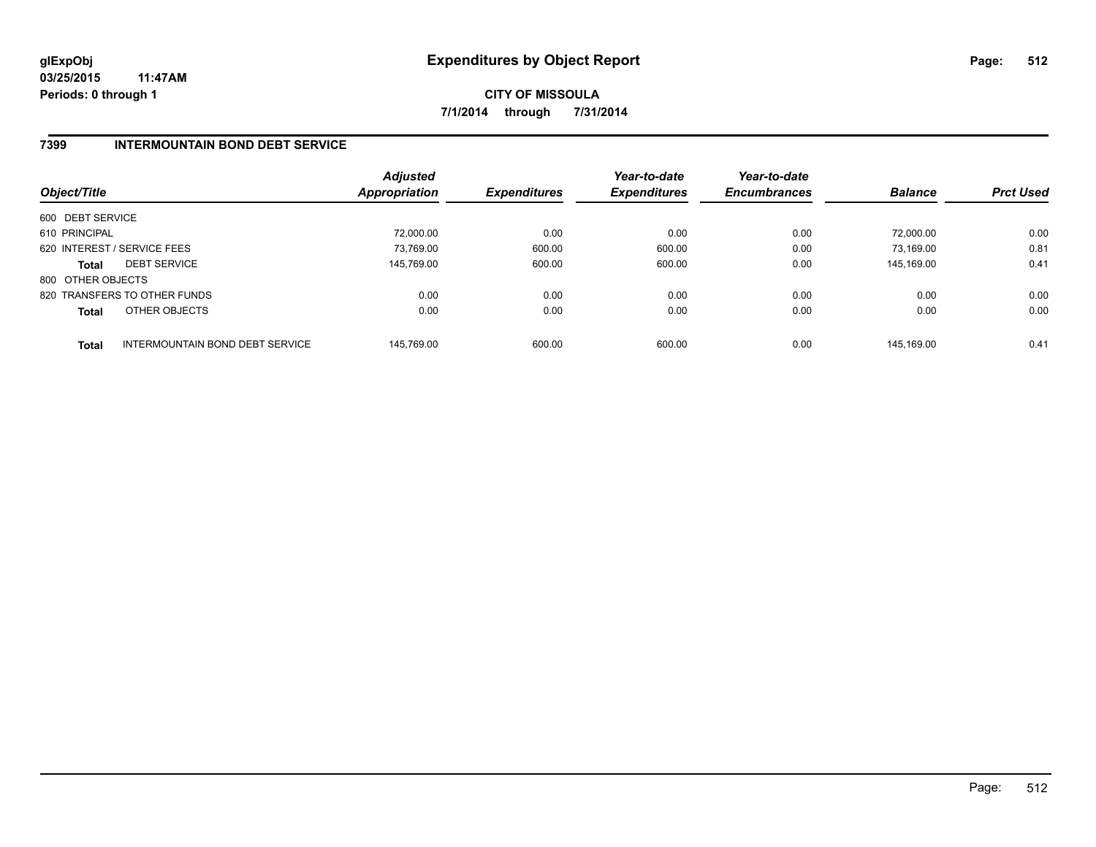**CITY OF MISSOULA 7/1/2014 through 7/31/2014**

### **7399 INTERMOUNTAIN BOND DEBT SERVICE**

| Object/Title      |                                 | <b>Adjusted</b><br><b>Appropriation</b> | <b>Expenditures</b> | Year-to-date<br><b>Expenditures</b> | Year-to-date<br><b>Encumbrances</b> | <b>Balance</b> | <b>Prct Used</b> |
|-------------------|---------------------------------|-----------------------------------------|---------------------|-------------------------------------|-------------------------------------|----------------|------------------|
| 600 DEBT SERVICE  |                                 |                                         |                     |                                     |                                     |                |                  |
| 610 PRINCIPAL     |                                 | 72.000.00                               | 0.00                | 0.00                                | 0.00                                | 72.000.00      | 0.00             |
|                   | 620 INTEREST / SERVICE FEES     | 73,769.00                               | 600.00              | 600.00                              | 0.00                                | 73.169.00      | 0.81             |
| <b>Total</b>      | <b>DEBT SERVICE</b>             | 145.769.00                              | 600.00              | 600.00                              | 0.00                                | 145.169.00     | 0.41             |
| 800 OTHER OBJECTS |                                 |                                         |                     |                                     |                                     |                |                  |
|                   | 820 TRANSFERS TO OTHER FUNDS    | 0.00                                    | 0.00                | 0.00                                | 0.00                                | 0.00           | 0.00             |
| <b>Total</b>      | OTHER OBJECTS                   | 0.00                                    | 0.00                | 0.00                                | 0.00                                | 0.00           | 0.00             |
| <b>Total</b>      | INTERMOUNTAIN BOND DEBT SERVICE | 145.769.00                              | 600.00              | 600.00                              | 0.00                                | 145.169.00     | 0.41             |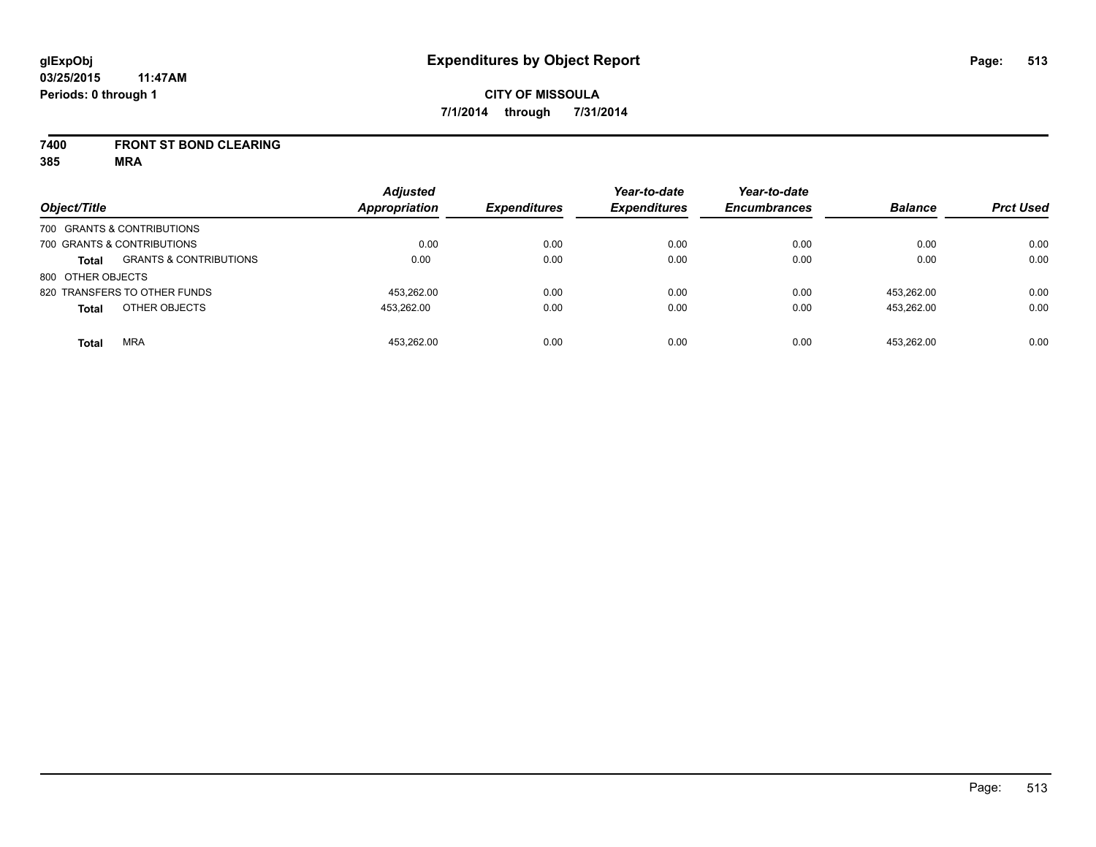### **7400 FRONT ST BOND CLEARING**

**385 MRA**

| Object/Title      |                                   | <b>Adjusted</b><br><b>Appropriation</b> | <b>Expenditures</b> | Year-to-date<br><b>Expenditures</b> | Year-to-date<br><b>Encumbrances</b> | <b>Balance</b> | <b>Prct Used</b> |
|-------------------|-----------------------------------|-----------------------------------------|---------------------|-------------------------------------|-------------------------------------|----------------|------------------|
|                   | 700 GRANTS & CONTRIBUTIONS        |                                         |                     |                                     |                                     |                |                  |
|                   | 700 GRANTS & CONTRIBUTIONS        | 0.00                                    | 0.00                | 0.00                                | 0.00                                | 0.00           | 0.00             |
| <b>Total</b>      | <b>GRANTS &amp; CONTRIBUTIONS</b> | 0.00                                    | 0.00                | 0.00                                | 0.00                                | 0.00           | 0.00             |
| 800 OTHER OBJECTS |                                   |                                         |                     |                                     |                                     |                |                  |
|                   | 820 TRANSFERS TO OTHER FUNDS      | 453.262.00                              | 0.00                | 0.00                                | 0.00                                | 453.262.00     | 0.00             |
| <b>Total</b>      | OTHER OBJECTS                     | 453.262.00                              | 0.00                | 0.00                                | 0.00                                | 453.262.00     | 0.00             |
| <b>Total</b>      | <b>MRA</b>                        | 453.262.00                              | 0.00                | 0.00                                | 0.00                                | 453.262.00     | 0.00             |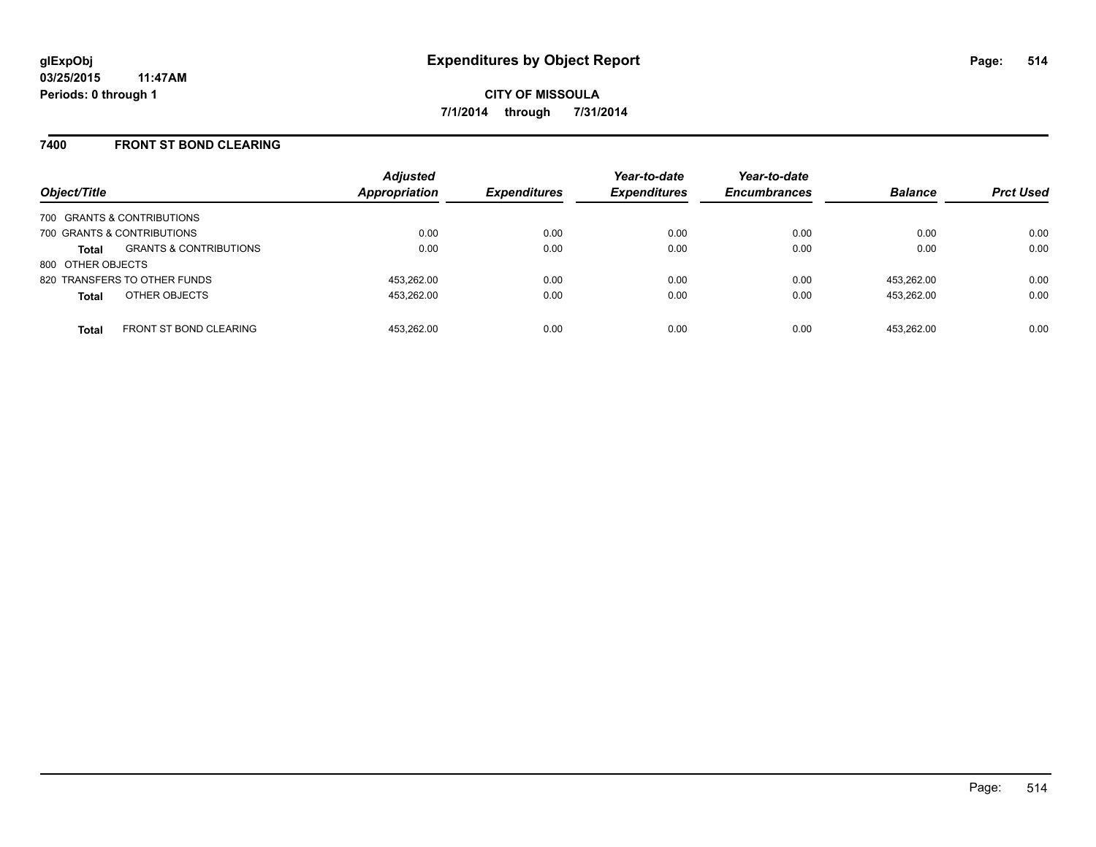### **7400 FRONT ST BOND CLEARING**

| Object/Title      |                                   | <b>Adjusted</b><br><b>Appropriation</b> | <b>Expenditures</b> | Year-to-date<br><b>Expenditures</b> | Year-to-date<br><b>Encumbrances</b> | <b>Balance</b> | <b>Prct Used</b> |
|-------------------|-----------------------------------|-----------------------------------------|---------------------|-------------------------------------|-------------------------------------|----------------|------------------|
|                   | 700 GRANTS & CONTRIBUTIONS        |                                         |                     |                                     |                                     |                |                  |
|                   | 700 GRANTS & CONTRIBUTIONS        | 0.00                                    | 0.00                | 0.00                                | 0.00                                | 0.00           | 0.00             |
| <b>Total</b>      | <b>GRANTS &amp; CONTRIBUTIONS</b> | 0.00                                    | 0.00                | 0.00                                | 0.00                                | 0.00           | 0.00             |
| 800 OTHER OBJECTS |                                   |                                         |                     |                                     |                                     |                |                  |
|                   | 820 TRANSFERS TO OTHER FUNDS      | 453.262.00                              | 0.00                | 0.00                                | 0.00                                | 453.262.00     | 0.00             |
| <b>Total</b>      | OTHER OBJECTS                     | 453.262.00                              | 0.00                | 0.00                                | 0.00                                | 453.262.00     | 0.00             |
| <b>Total</b>      | <b>FRONT ST BOND CLEARING</b>     | 453.262.00                              | 0.00                | 0.00                                | 0.00                                | 453.262.00     | 0.00             |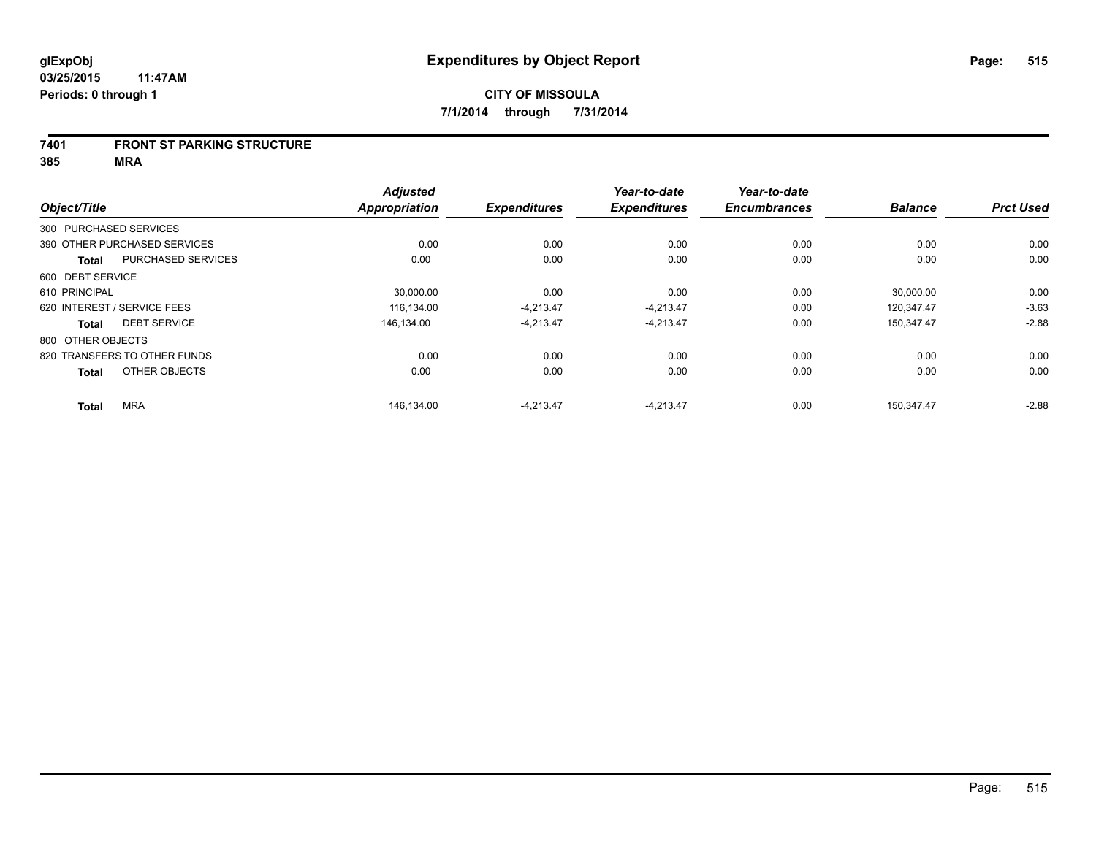#### **7401 FRONT ST PARKING STRUCTURE**

**385 MRA**

|                             |                              | <b>Adjusted</b> |                     | Year-to-date        | Year-to-date        |                |                  |
|-----------------------------|------------------------------|-----------------|---------------------|---------------------|---------------------|----------------|------------------|
| Object/Title                |                              | Appropriation   | <b>Expenditures</b> | <b>Expenditures</b> | <b>Encumbrances</b> | <b>Balance</b> | <b>Prct Used</b> |
| 300 PURCHASED SERVICES      |                              |                 |                     |                     |                     |                |                  |
|                             | 390 OTHER PURCHASED SERVICES | 0.00            | 0.00                | 0.00                | 0.00                | 0.00           | 0.00             |
| <b>Total</b>                | <b>PURCHASED SERVICES</b>    | 0.00            | 0.00                | 0.00                | 0.00                | 0.00           | 0.00             |
| 600 DEBT SERVICE            |                              |                 |                     |                     |                     |                |                  |
| 610 PRINCIPAL               |                              | 30,000.00       | 0.00                | 0.00                | 0.00                | 30,000.00      | 0.00             |
| 620 INTEREST / SERVICE FEES |                              | 116.134.00      | $-4.213.47$         | $-4.213.47$         | 0.00                | 120.347.47     | $-3.63$          |
| <b>Total</b>                | <b>DEBT SERVICE</b>          | 146.134.00      | $-4,213.47$         | $-4,213.47$         | 0.00                | 150,347.47     | $-2.88$          |
| 800 OTHER OBJECTS           |                              |                 |                     |                     |                     |                |                  |
|                             | 820 TRANSFERS TO OTHER FUNDS | 0.00            | 0.00                | 0.00                | 0.00                | 0.00           | 0.00             |
| <b>Total</b>                | OTHER OBJECTS                | 0.00            | 0.00                | 0.00                | 0.00                | 0.00           | 0.00             |
| <b>Total</b>                | <b>MRA</b>                   | 146,134.00      | $-4,213.47$         | $-4,213.47$         | 0.00                | 150,347.47     | $-2.88$          |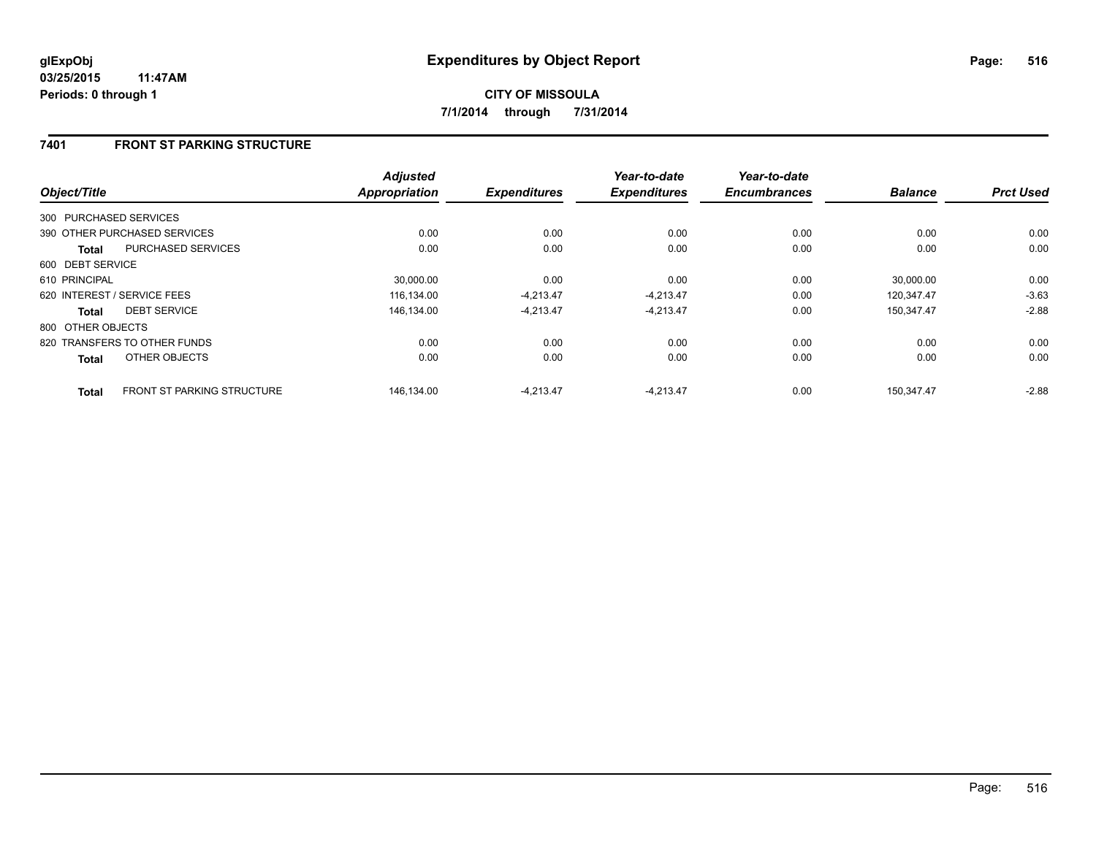# **7401 FRONT ST PARKING STRUCTURE**

| Object/Title           |                                   | <b>Adjusted</b><br>Appropriation | <b>Expenditures</b> | Year-to-date<br><b>Expenditures</b> | Year-to-date<br><b>Encumbrances</b> | <b>Balance</b> | <b>Prct Used</b> |
|------------------------|-----------------------------------|----------------------------------|---------------------|-------------------------------------|-------------------------------------|----------------|------------------|
| 300 PURCHASED SERVICES |                                   |                                  |                     |                                     |                                     |                |                  |
|                        | 390 OTHER PURCHASED SERVICES      | 0.00                             | 0.00                | 0.00                                | 0.00                                | 0.00           | 0.00             |
| <b>Total</b>           | <b>PURCHASED SERVICES</b>         | 0.00                             | 0.00                | 0.00                                | 0.00                                | 0.00           | 0.00             |
| 600 DEBT SERVICE       |                                   |                                  |                     |                                     |                                     |                |                  |
| 610 PRINCIPAL          |                                   | 30.000.00                        | 0.00                | 0.00                                | 0.00                                | 30.000.00      | 0.00             |
|                        | 620 INTEREST / SERVICE FEES       | 116,134.00                       | $-4,213.47$         | $-4,213.47$                         | 0.00                                | 120.347.47     | $-3.63$          |
| <b>Total</b>           | <b>DEBT SERVICE</b>               | 146.134.00                       | $-4,213.47$         | $-4,213.47$                         | 0.00                                | 150.347.47     | $-2.88$          |
| 800 OTHER OBJECTS      |                                   |                                  |                     |                                     |                                     |                |                  |
|                        | 820 TRANSFERS TO OTHER FUNDS      | 0.00                             | 0.00                | 0.00                                | 0.00                                | 0.00           | 0.00             |
| <b>Total</b>           | OTHER OBJECTS                     | 0.00                             | 0.00                | 0.00                                | 0.00                                | 0.00           | 0.00             |
| <b>Total</b>           | <b>FRONT ST PARKING STRUCTURE</b> | 146.134.00                       | $-4.213.47$         | $-4.213.47$                         | 0.00                                | 150.347.47     | $-2.88$          |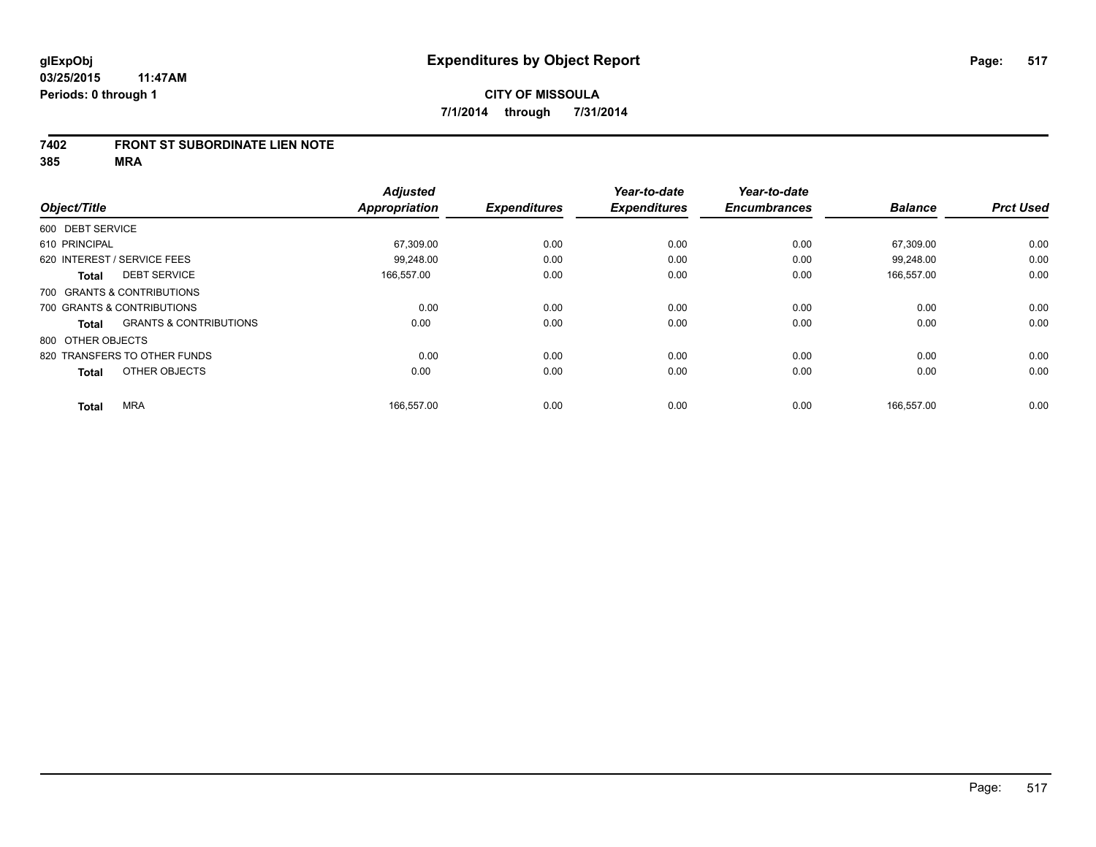### **7402 FRONT ST SUBORDINATE LIEN NOTE**

**385 MRA**

| Object/Title                                      | <b>Adjusted</b><br><b>Appropriation</b> | <b>Expenditures</b> | Year-to-date<br><b>Expenditures</b> | Year-to-date<br><b>Encumbrances</b> | <b>Balance</b> | <b>Prct Used</b> |
|---------------------------------------------------|-----------------------------------------|---------------------|-------------------------------------|-------------------------------------|----------------|------------------|
|                                                   |                                         |                     |                                     |                                     |                |                  |
| 600 DEBT SERVICE                                  |                                         |                     |                                     |                                     |                |                  |
| 610 PRINCIPAL                                     | 67,309.00                               | 0.00                | 0.00                                | 0.00                                | 67,309.00      | 0.00             |
| 620 INTEREST / SERVICE FEES                       | 99.248.00                               | 0.00                | 0.00                                | 0.00                                | 99.248.00      | 0.00             |
| <b>DEBT SERVICE</b><br><b>Total</b>               | 166.557.00                              | 0.00                | 0.00                                | 0.00                                | 166,557.00     | 0.00             |
| 700 GRANTS & CONTRIBUTIONS                        |                                         |                     |                                     |                                     |                |                  |
| 700 GRANTS & CONTRIBUTIONS                        | 0.00                                    | 0.00                | 0.00                                | 0.00                                | 0.00           | 0.00             |
| <b>GRANTS &amp; CONTRIBUTIONS</b><br><b>Total</b> | 0.00                                    | 0.00                | 0.00                                | 0.00                                | 0.00           | 0.00             |
| 800 OTHER OBJECTS                                 |                                         |                     |                                     |                                     |                |                  |
| 820 TRANSFERS TO OTHER FUNDS                      | 0.00                                    | 0.00                | 0.00                                | 0.00                                | 0.00           | 0.00             |
| OTHER OBJECTS<br><b>Total</b>                     | 0.00                                    | 0.00                | 0.00                                | 0.00                                | 0.00           | 0.00             |
|                                                   |                                         |                     |                                     |                                     |                | 0.00             |
| <b>MRA</b><br><b>Total</b>                        | 166,557.00                              | 0.00                | 0.00                                | 0.00                                | 166,557.00     |                  |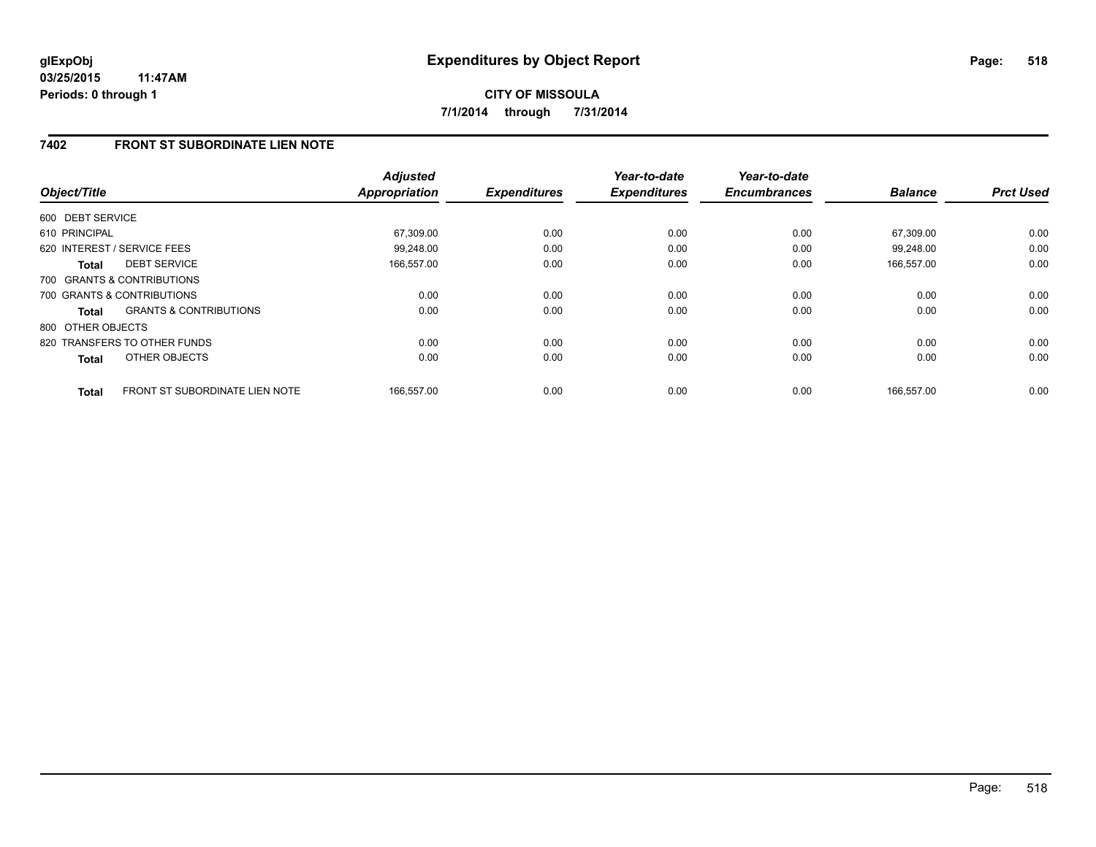**CITY OF MISSOULA 7/1/2014 through 7/31/2014**

# **7402 FRONT ST SUBORDINATE LIEN NOTE**

| Object/Title      |                                       | <b>Adjusted</b><br><b>Appropriation</b> | <b>Expenditures</b> | Year-to-date<br><b>Expenditures</b> | Year-to-date<br><b>Encumbrances</b> | <b>Balance</b> | <b>Prct Used</b> |
|-------------------|---------------------------------------|-----------------------------------------|---------------------|-------------------------------------|-------------------------------------|----------------|------------------|
|                   |                                       |                                         |                     |                                     |                                     |                |                  |
| 600 DEBT SERVICE  |                                       |                                         |                     |                                     |                                     |                |                  |
| 610 PRINCIPAL     |                                       | 67,309.00                               | 0.00                | 0.00                                | 0.00                                | 67,309.00      | 0.00             |
|                   | 620 INTEREST / SERVICE FEES           | 99,248.00                               | 0.00                | 0.00                                | 0.00                                | 99.248.00      | 0.00             |
| <b>Total</b>      | <b>DEBT SERVICE</b>                   | 166,557.00                              | 0.00                | 0.00                                | 0.00                                | 166,557.00     | 0.00             |
|                   | 700 GRANTS & CONTRIBUTIONS            |                                         |                     |                                     |                                     |                |                  |
|                   | 700 GRANTS & CONTRIBUTIONS            | 0.00                                    | 0.00                | 0.00                                | 0.00                                | 0.00           | 0.00             |
| Total             | <b>GRANTS &amp; CONTRIBUTIONS</b>     | 0.00                                    | 0.00                | 0.00                                | 0.00                                | 0.00           | 0.00             |
| 800 OTHER OBJECTS |                                       |                                         |                     |                                     |                                     |                |                  |
|                   | 820 TRANSFERS TO OTHER FUNDS          | 0.00                                    | 0.00                | 0.00                                | 0.00                                | 0.00           | 0.00             |
| <b>Total</b>      | OTHER OBJECTS                         | 0.00                                    | 0.00                | 0.00                                | 0.00                                | 0.00           | 0.00             |
| <b>Total</b>      | <b>FRONT ST SUBORDINATE LIEN NOTE</b> | 166.557.00                              | 0.00                | 0.00                                | 0.00                                | 166.557.00     | 0.00             |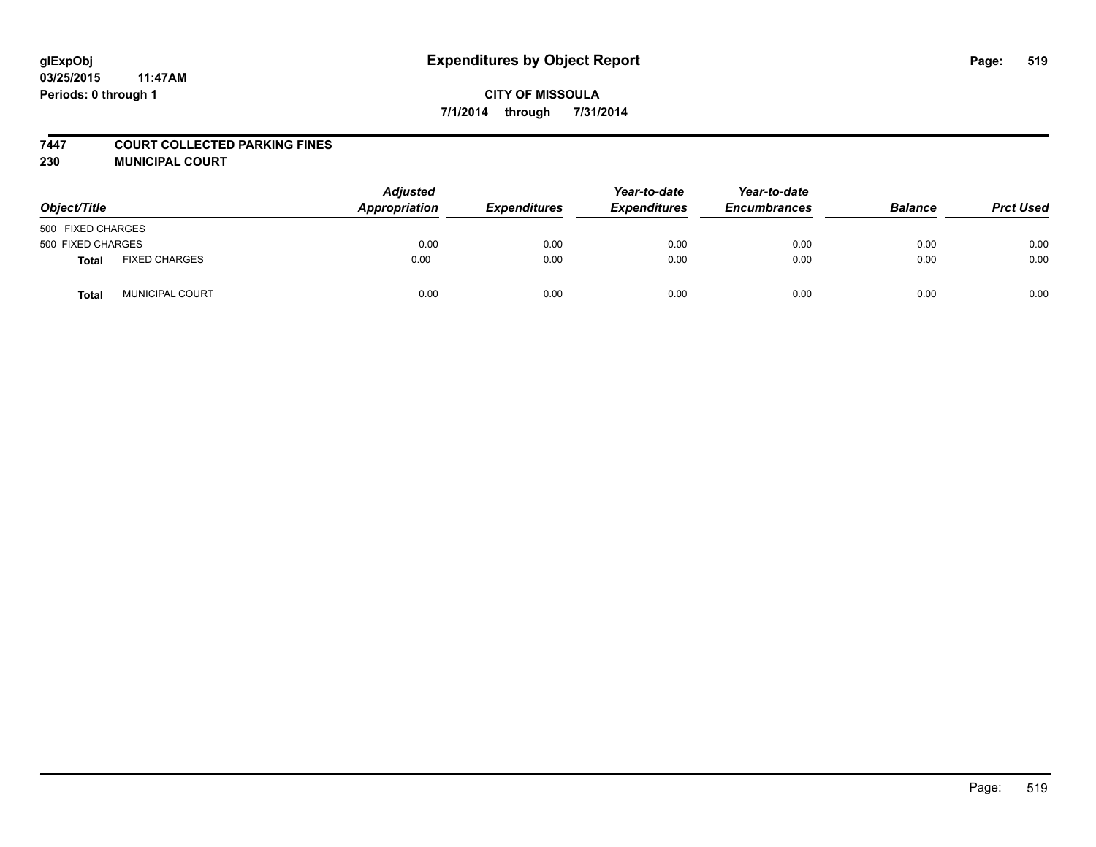#### **7447 COURT COLLECTED PARKING FINES**

**230 MUNICIPAL COURT**

| Object/Title      |                        | <b>Adjusted</b><br>Appropriation | <b>Expenditures</b> | Year-to-date<br><b>Expenditures</b> | Year-to-date<br><b>Encumbrances</b> | <b>Balance</b> | <b>Prct Used</b> |
|-------------------|------------------------|----------------------------------|---------------------|-------------------------------------|-------------------------------------|----------------|------------------|
| 500 FIXED CHARGES |                        |                                  |                     |                                     |                                     |                |                  |
| 500 FIXED CHARGES |                        | 0.00                             | 0.00                | 0.00                                | 0.00                                | 0.00           | 0.00             |
| Total             | <b>FIXED CHARGES</b>   | 0.00                             | 0.00                | 0.00                                | 0.00                                | 0.00           | 0.00             |
| <b>Total</b>      | <b>MUNICIPAL COURT</b> | 0.00                             | 0.00                | 0.00                                | 0.00                                | 0.00           | 0.00             |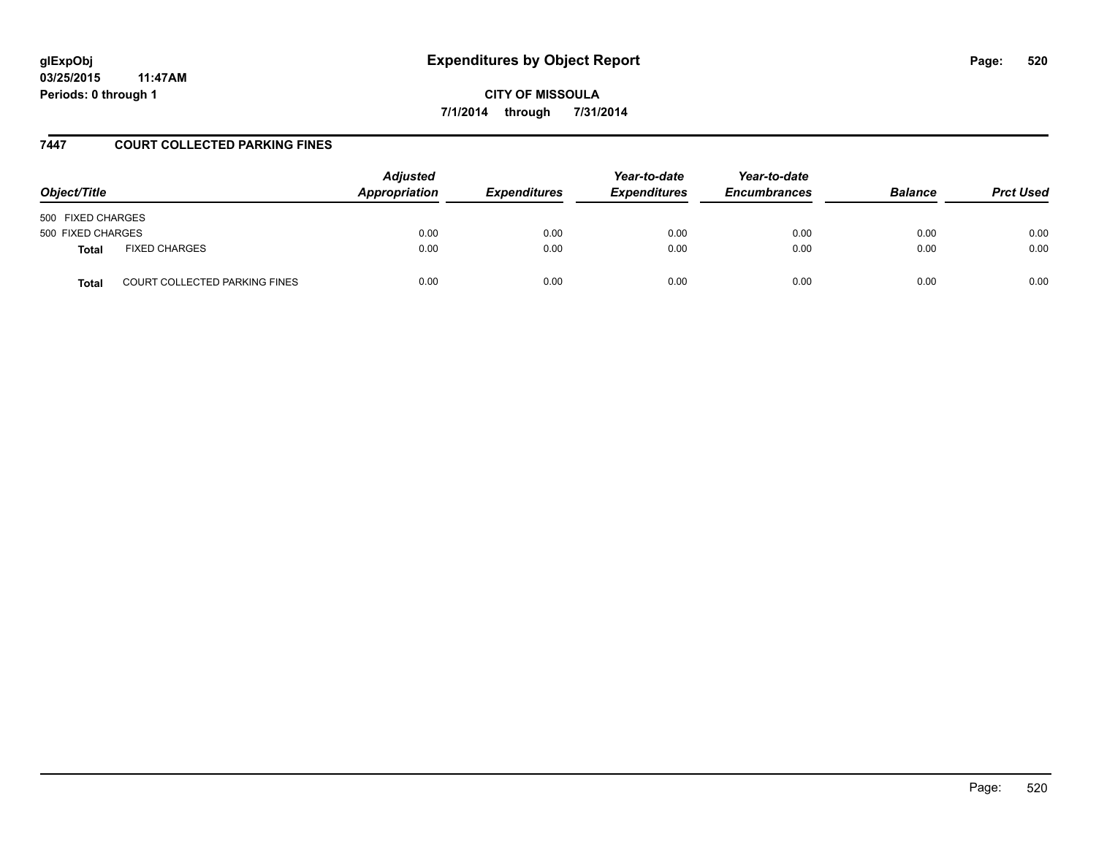# **glExpObj Expenditures by Object Report Page: 520**

**03/25/2015 11:47AM Periods: 0 through 1**

**CITY OF MISSOULA 7/1/2014 through 7/31/2014**

### **7447 COURT COLLECTED PARKING FINES**

| Object/Title                                         | <b>Adjusted</b><br>Appropriation | <b>Expenditures</b> | Year-to-date<br><b>Expenditures</b> | Year-to-date<br><b>Encumbrances</b> | <b>Balance</b> | <b>Prct Used</b> |
|------------------------------------------------------|----------------------------------|---------------------|-------------------------------------|-------------------------------------|----------------|------------------|
| 500 FIXED CHARGES                                    |                                  |                     |                                     |                                     |                |                  |
| 500 FIXED CHARGES                                    | 0.00                             | 0.00                | 0.00                                | 0.00                                | 0.00           | 0.00             |
| <b>FIXED CHARGES</b><br><b>Total</b>                 | 0.00                             | 0.00                | 0.00                                | 0.00                                | 0.00           | 0.00             |
| <b>COURT COLLECTED PARKING FINES</b><br><b>Total</b> | 0.00                             | 0.00                | 0.00                                | 0.00                                | 0.00           | 0.00             |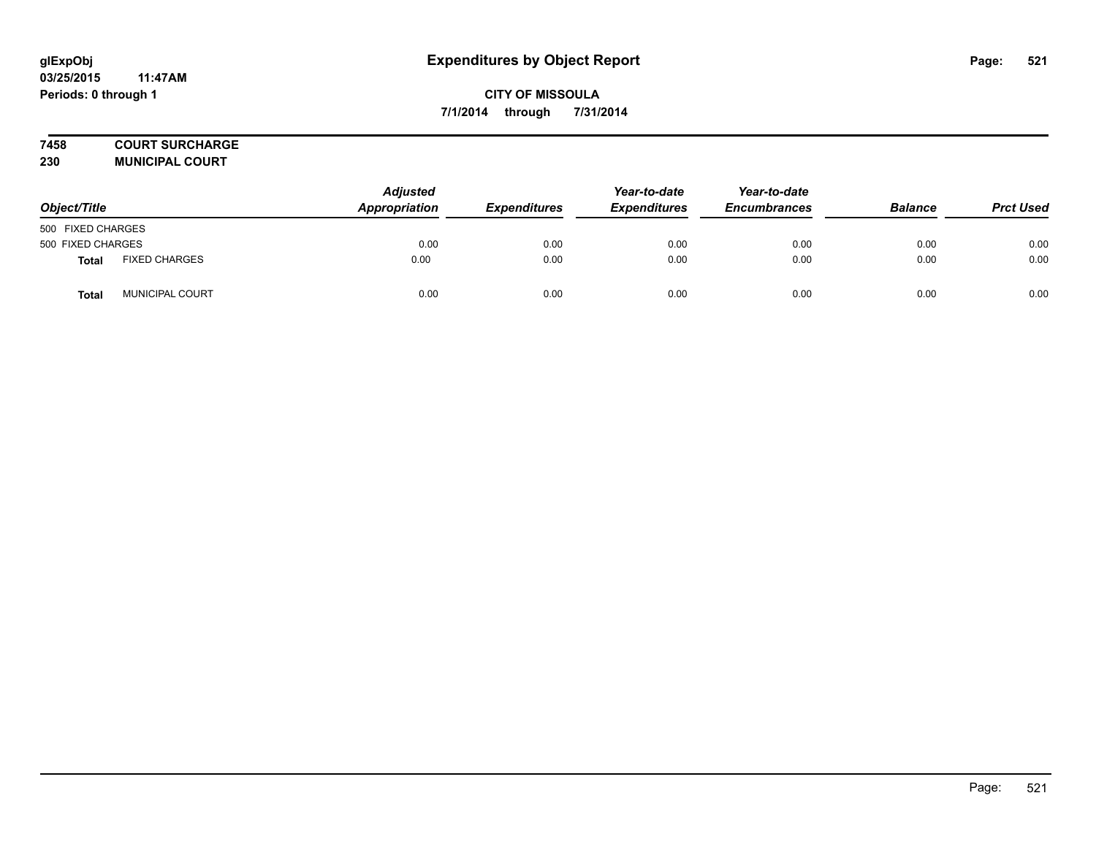# **7458 COURT SURCHARGE**

**230 MUNICIPAL COURT**

| Object/Title      |                        | <b>Adjusted</b><br>Appropriation | <b>Expenditures</b> | Year-to-date<br><b>Expenditures</b> | Year-to-date<br><b>Encumbrances</b> | <b>Balance</b> | <b>Prct Used</b> |
|-------------------|------------------------|----------------------------------|---------------------|-------------------------------------|-------------------------------------|----------------|------------------|
| 500 FIXED CHARGES |                        |                                  |                     |                                     |                                     |                |                  |
| 500 FIXED CHARGES |                        | 0.00                             | 0.00                | 0.00                                | 0.00                                | 0.00           | 0.00             |
| Total             | <b>FIXED CHARGES</b>   | 0.00                             | 0.00                | 0.00                                | 0.00                                | 0.00           | 0.00             |
| <b>Total</b>      | <b>MUNICIPAL COURT</b> | 0.00                             | 0.00                | 0.00                                | 0.00                                | 0.00           | 0.00             |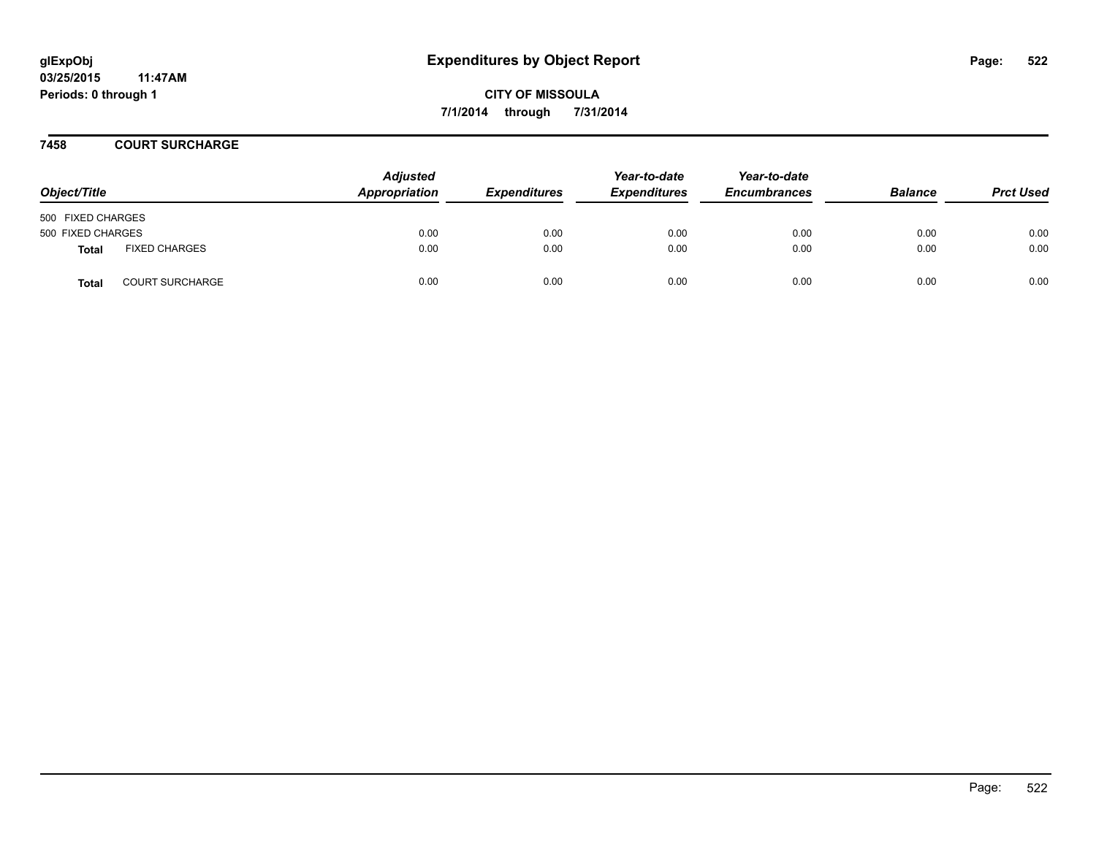#### **7458 COURT SURCHARGE**

| Object/Title      |                        | <b>Adjusted</b><br>Appropriation | <b>Expenditures</b> | Year-to-date<br><b>Expenditures</b> | Year-to-date<br><b>Encumbrances</b> | <b>Balance</b> | <b>Prct Used</b> |
|-------------------|------------------------|----------------------------------|---------------------|-------------------------------------|-------------------------------------|----------------|------------------|
| 500 FIXED CHARGES |                        |                                  |                     |                                     |                                     |                |                  |
| 500 FIXED CHARGES |                        | 0.00                             | 0.00                | 0.00                                | 0.00                                | 0.00           | 0.00             |
| Total             | <b>FIXED CHARGES</b>   | 0.00                             | 0.00                | 0.00                                | 0.00                                | 0.00           | 0.00             |
| <b>Total</b>      | <b>COURT SURCHARGE</b> | 0.00                             | 0.00                | 0.00                                | 0.00                                | 0.00           | 0.00             |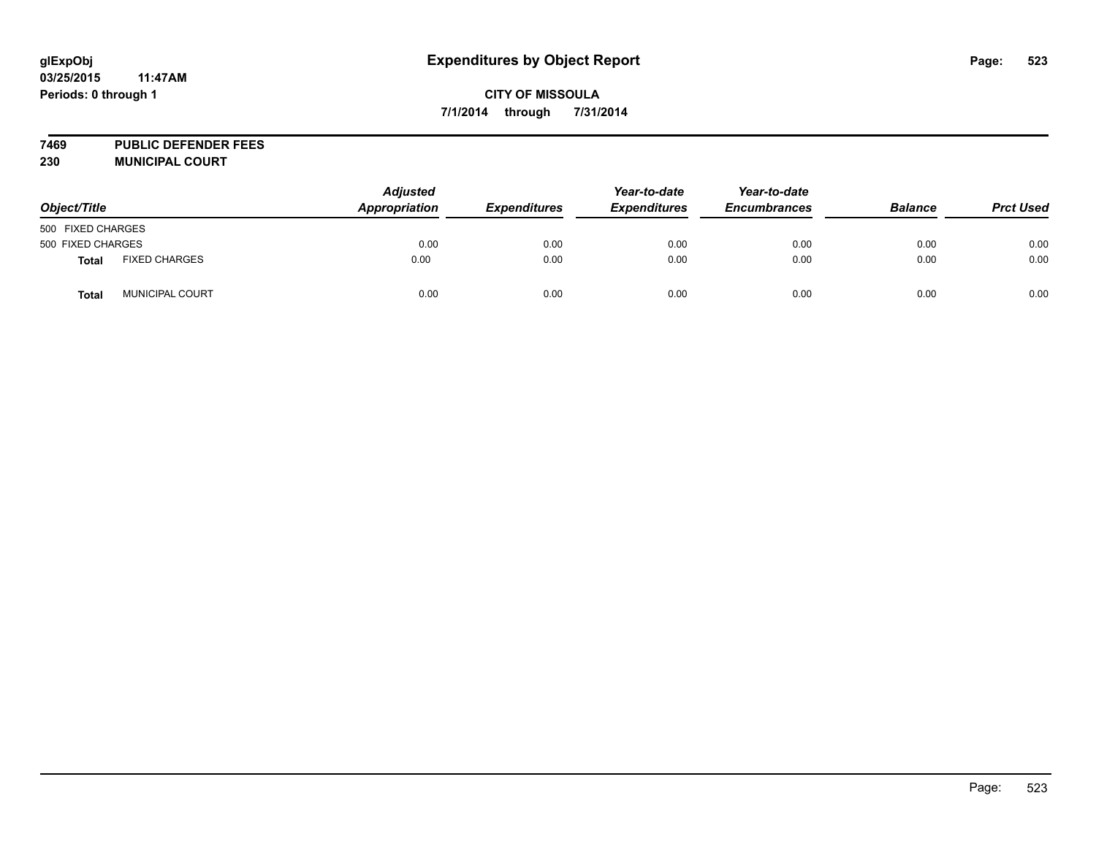# **glExpObj Expenditures by Object Report Page: 523**

# **CITY OF MISSOULA 7/1/2014 through 7/31/2014**

**7469 PUBLIC DEFENDER FEES 230 MUNICIPAL COURT**

| Object/Title      |                        | <b>Adjusted</b><br>Appropriation | <b>Expenditures</b> | Year-to-date<br><b>Expenditures</b> | Year-to-date<br><b>Encumbrances</b> | <b>Balance</b> | <b>Prct Used</b> |
|-------------------|------------------------|----------------------------------|---------------------|-------------------------------------|-------------------------------------|----------------|------------------|
| 500 FIXED CHARGES |                        |                                  |                     |                                     |                                     |                |                  |
| 500 FIXED CHARGES |                        | 0.00                             | 0.00                | 0.00                                | 0.00                                | 0.00           | 0.00             |
| <b>Total</b>      | <b>FIXED CHARGES</b>   | 0.00                             | 0.00                | 0.00                                | 0.00                                | 0.00           | 0.00             |
| Total             | <b>MUNICIPAL COURT</b> | 0.00                             | 0.00                | 0.00                                | 0.00                                | 0.00           | 0.00             |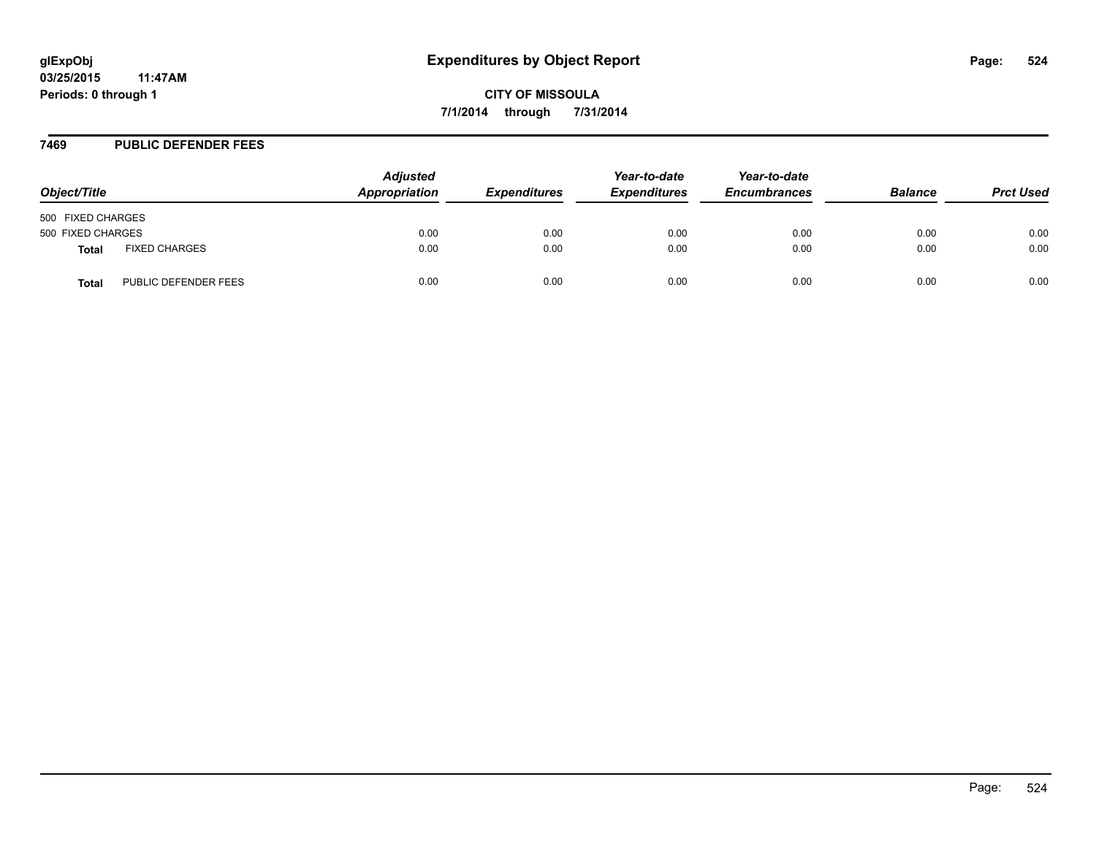#### **7469 PUBLIC DEFENDER FEES**

| Object/Title      |                      | <b>Adjusted</b><br>Appropriation | <b>Expenditures</b> | Year-to-date<br><b>Expenditures</b> | Year-to-date<br><b>Encumbrances</b> | <b>Balance</b> | <b>Prct Used</b> |
|-------------------|----------------------|----------------------------------|---------------------|-------------------------------------|-------------------------------------|----------------|------------------|
| 500 FIXED CHARGES |                      |                                  |                     |                                     |                                     |                |                  |
| 500 FIXED CHARGES |                      | 0.00                             | 0.00                | 0.00                                | 0.00                                | 0.00           | 0.00             |
| Total             | <b>FIXED CHARGES</b> | 0.00                             | 0.00                | 0.00                                | 0.00                                | 0.00           | 0.00             |
| Total             | PUBLIC DEFENDER FEES | 0.00                             | 0.00                | 0.00                                | 0.00                                | 0.00           | 0.00             |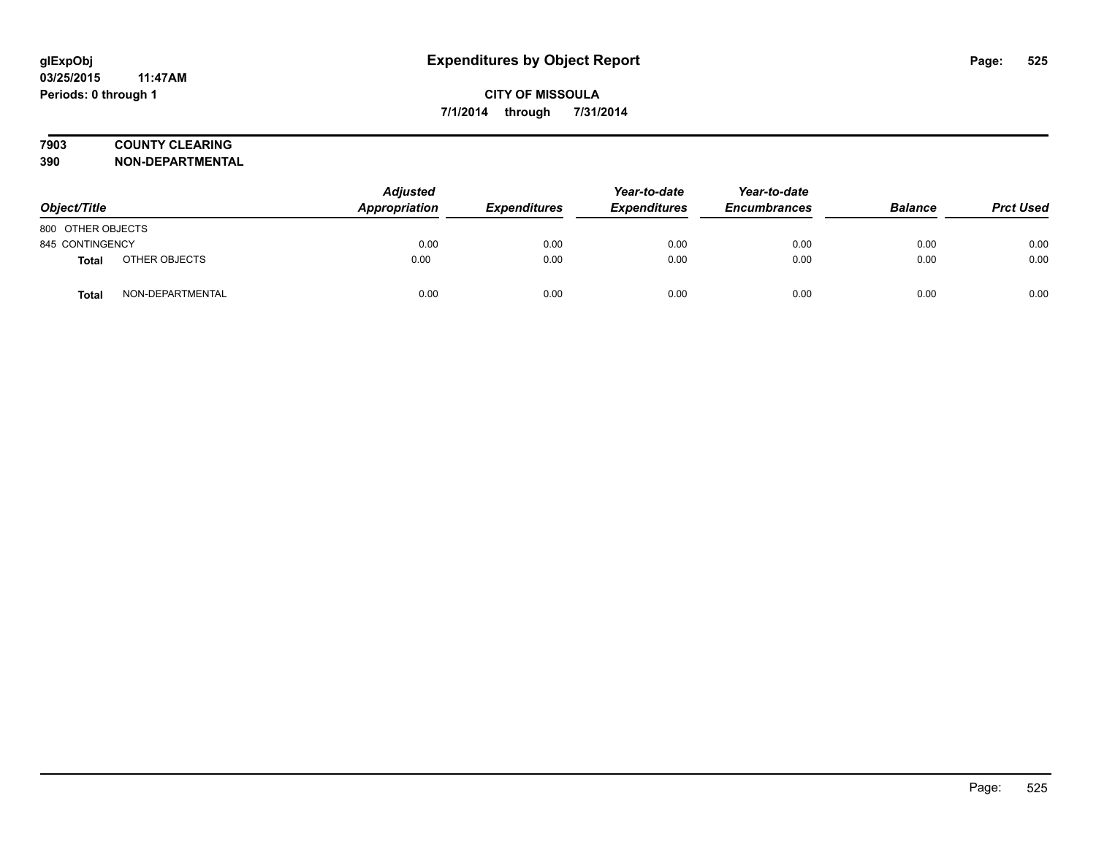# **7903 COUNTY CLEARING**

**390 NON-DEPARTMENTAL**

| Object/Title      |                  | <b>Adjusted</b><br><b>Appropriation</b> | <b>Expenditures</b> | Year-to-date<br><b>Expenditures</b> | Year-to-date<br><b>Encumbrances</b> | <b>Balance</b> | <b>Prct Used</b> |
|-------------------|------------------|-----------------------------------------|---------------------|-------------------------------------|-------------------------------------|----------------|------------------|
| 800 OTHER OBJECTS |                  |                                         |                     |                                     |                                     |                |                  |
| 845 CONTINGENCY   |                  | 0.00                                    | 0.00                | 0.00                                | 0.00                                | 0.00           | 0.00             |
| Total             | OTHER OBJECTS    | 0.00                                    | 0.00                | 0.00                                | 0.00                                | 0.00           | 0.00             |
| Total             | NON-DEPARTMENTAL | 0.00                                    | 0.00                | 0.00                                | 0.00                                | 0.00           | 0.00             |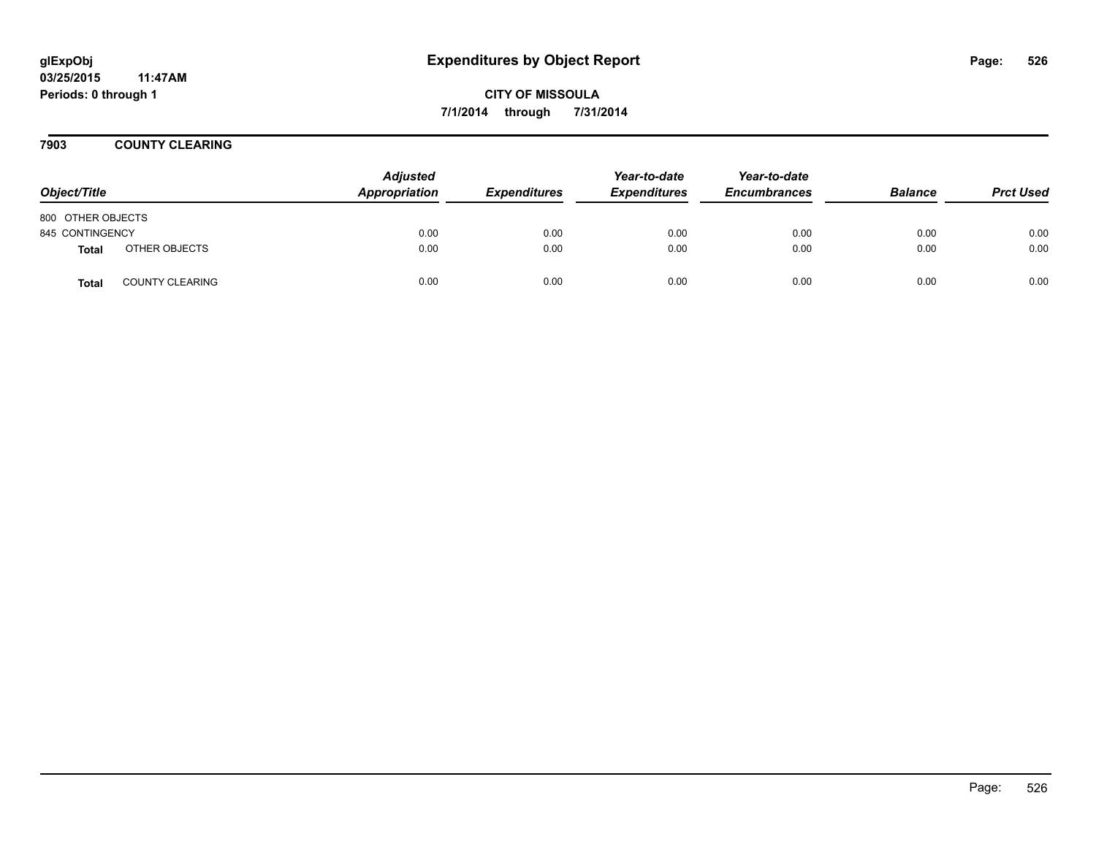**CITY OF MISSOULA 7/1/2014 through 7/31/2014**

**7903 COUNTY CLEARING**

| Object/Title      |                        | <b>Adjusted</b><br>Appropriation | <b>Expenditures</b> | Year-to-date<br><b>Expenditures</b> | Year-to-date<br><b>Encumbrances</b> | <b>Balance</b> | <b>Prct Used</b> |
|-------------------|------------------------|----------------------------------|---------------------|-------------------------------------|-------------------------------------|----------------|------------------|
| 800 OTHER OBJECTS |                        |                                  |                     |                                     |                                     |                |                  |
| 845 CONTINGENCY   |                        | 0.00                             | 0.00                | 0.00                                | 0.00                                | 0.00           | 0.00             |
| <b>Total</b>      | OTHER OBJECTS          | 0.00                             | 0.00                | 0.00                                | 0.00                                | 0.00           | 0.00             |
| <b>Total</b>      | <b>COUNTY CLEARING</b> | 0.00                             | 0.00                | 0.00                                | 0.00                                | 0.00           | 0.00             |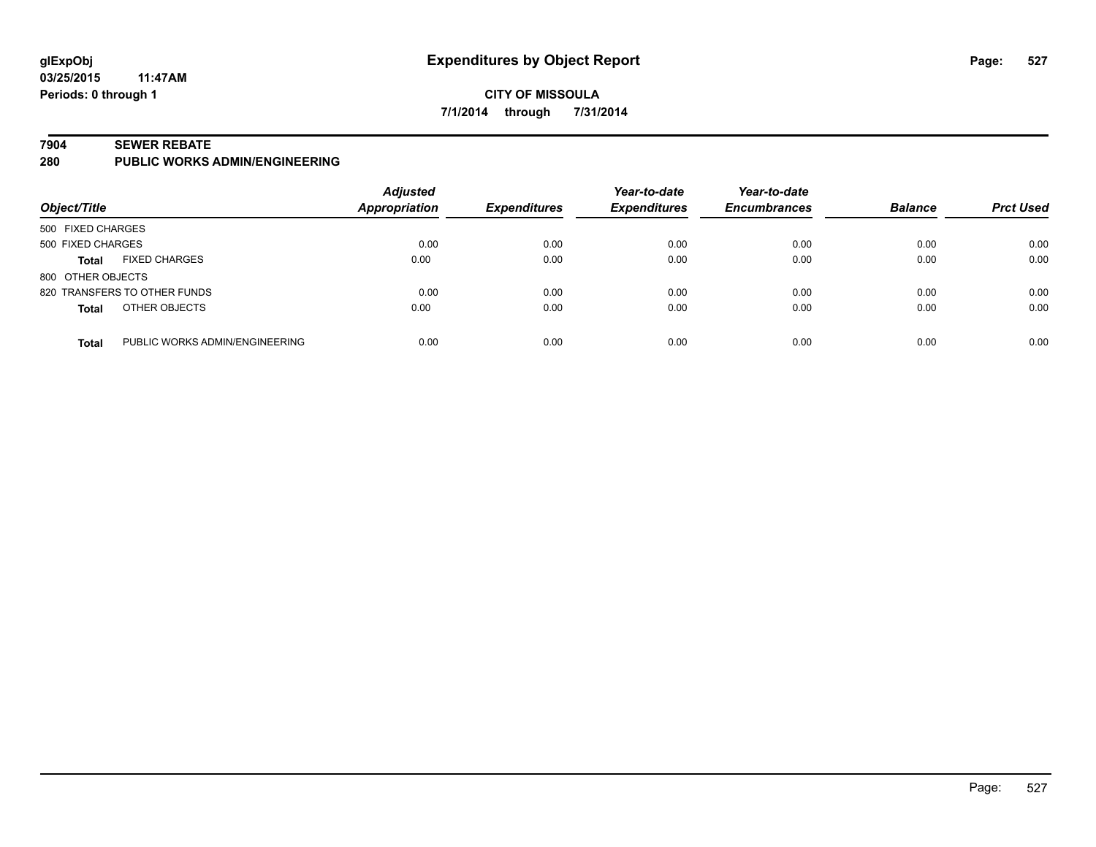### **CITY OF MISSOULA 7/1/2014 through 7/31/2014**

#### **7904 SEWER REBATE**

**280 PUBLIC WORKS ADMIN/ENGINEERING**

| Object/Title                                   | <b>Adjusted</b><br>Appropriation | <b>Expenditures</b> | Year-to-date<br><b>Expenditures</b> | Year-to-date<br><b>Encumbrances</b> | <b>Balance</b> | <b>Prct Used</b> |
|------------------------------------------------|----------------------------------|---------------------|-------------------------------------|-------------------------------------|----------------|------------------|
| 500 FIXED CHARGES                              |                                  |                     |                                     |                                     |                |                  |
| 500 FIXED CHARGES                              | 0.00                             | 0.00                | 0.00                                | 0.00                                | 0.00           | 0.00             |
| <b>FIXED CHARGES</b><br>Total                  | 0.00                             | 0.00                | 0.00                                | 0.00                                | 0.00           | 0.00             |
| 800 OTHER OBJECTS                              |                                  |                     |                                     |                                     |                |                  |
| 820 TRANSFERS TO OTHER FUNDS                   | 0.00                             | 0.00                | 0.00                                | 0.00                                | 0.00           | 0.00             |
| OTHER OBJECTS<br><b>Total</b>                  | 0.00                             | 0.00                | 0.00                                | 0.00                                | 0.00           | 0.00             |
| PUBLIC WORKS ADMIN/ENGINEERING<br><b>Total</b> | 0.00                             | 0.00                | 0.00                                | 0.00                                | 0.00           | 0.00             |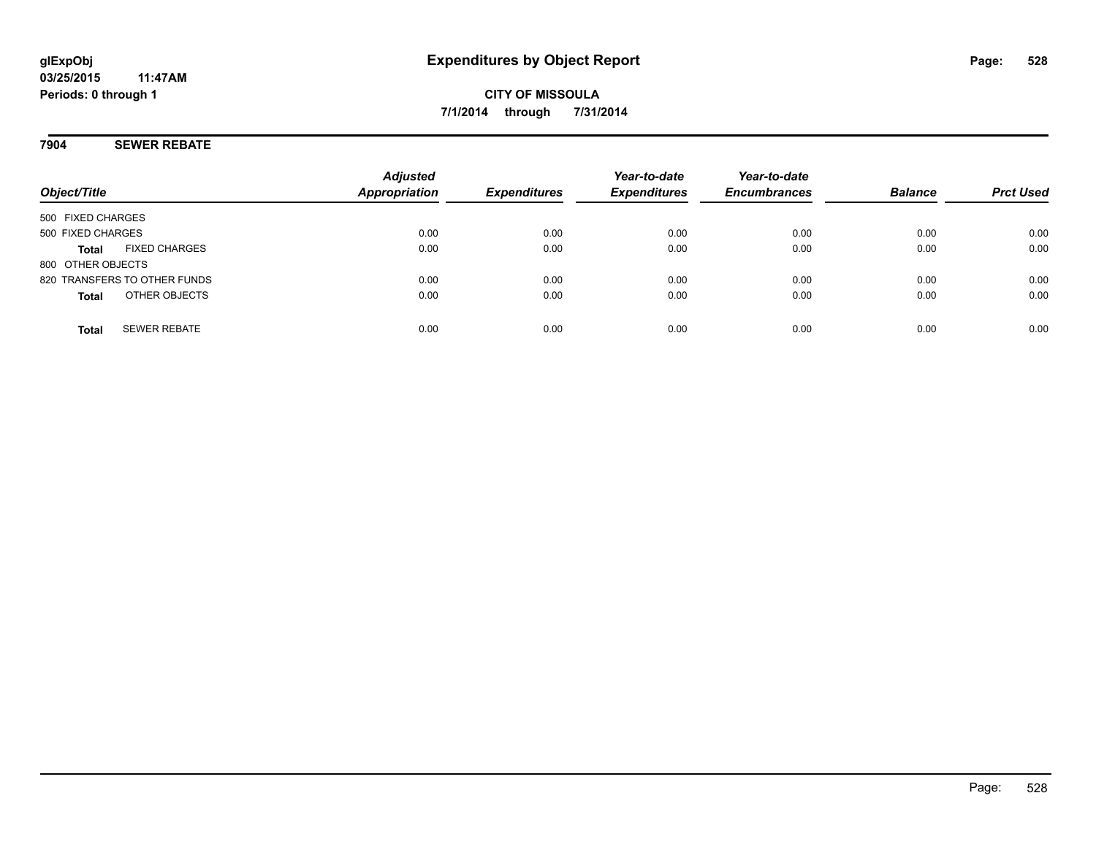### **7904 SEWER REBATE**

| Object/Title      |                              | <b>Adjusted</b><br><b>Appropriation</b> | <b>Expenditures</b> | Year-to-date<br><b>Expenditures</b> | Year-to-date<br><b>Encumbrances</b> | <b>Balance</b> | <b>Prct Used</b> |
|-------------------|------------------------------|-----------------------------------------|---------------------|-------------------------------------|-------------------------------------|----------------|------------------|
| 500 FIXED CHARGES |                              |                                         |                     |                                     |                                     |                |                  |
| 500 FIXED CHARGES |                              | 0.00                                    | 0.00                | 0.00                                | 0.00                                | 0.00           | 0.00             |
| <b>Total</b>      | <b>FIXED CHARGES</b>         | 0.00                                    | 0.00                | 0.00                                | 0.00                                | 0.00           | 0.00             |
| 800 OTHER OBJECTS |                              |                                         |                     |                                     |                                     |                |                  |
|                   | 820 TRANSFERS TO OTHER FUNDS | 0.00                                    | 0.00                | 0.00                                | 0.00                                | 0.00           | 0.00             |
| <b>Total</b>      | OTHER OBJECTS                | 0.00                                    | 0.00                | 0.00                                | 0.00                                | 0.00           | 0.00             |
| <b>Total</b>      | <b>SEWER REBATE</b>          | 0.00                                    | 0.00                | 0.00                                | 0.00                                | 0.00           | 0.00             |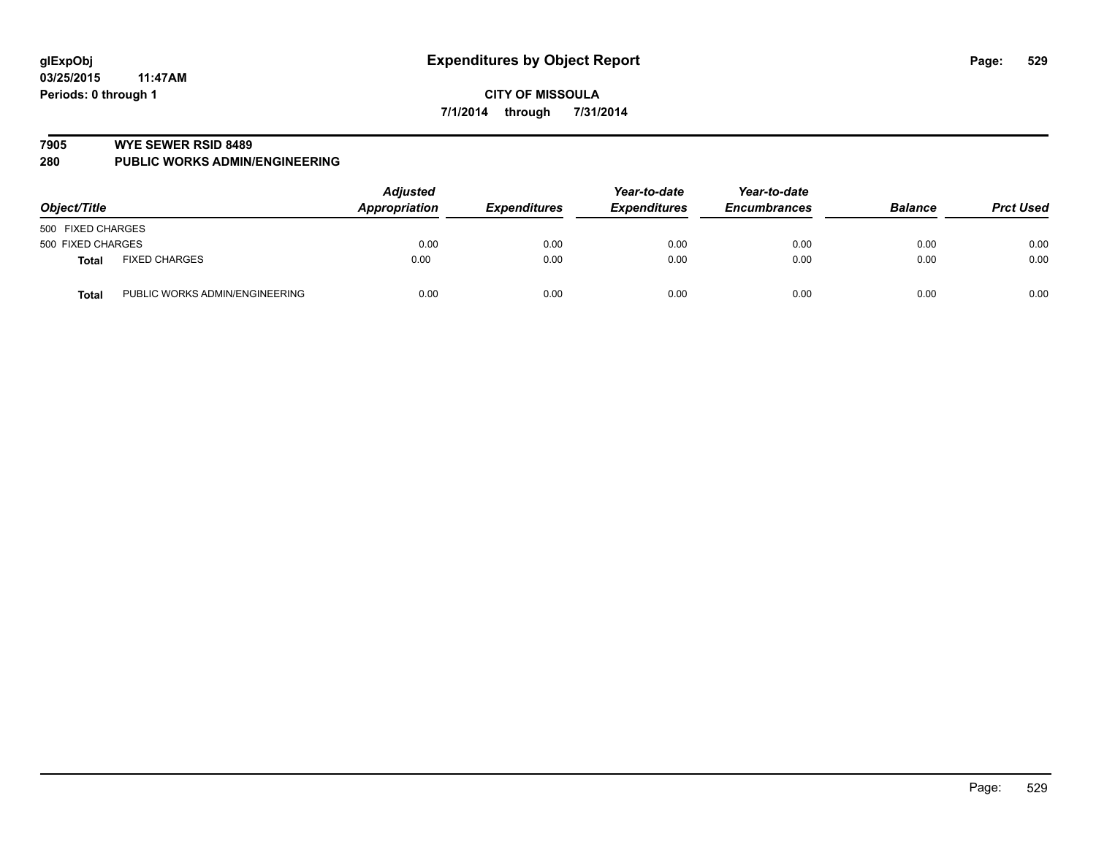#### **7905 WYE SEWER RSID 8489**

**280 PUBLIC WORKS ADMIN/ENGINEERING**

| Object/Title      |                                | <b>Adjusted</b><br>Appropriation<br><b>Expenditures</b> | Year-to-date<br><b>Expenditures</b> | Year-to-date<br><b>Encumbrances</b> | <b>Balance</b> | <b>Prct Used</b> |      |
|-------------------|--------------------------------|---------------------------------------------------------|-------------------------------------|-------------------------------------|----------------|------------------|------|
| 500 FIXED CHARGES |                                |                                                         |                                     |                                     |                |                  |      |
| 500 FIXED CHARGES |                                | 0.00                                                    | 0.00                                | 0.00                                | 0.00           | 0.00             | 0.00 |
| <b>Total</b>      | <b>FIXED CHARGES</b>           | 0.00                                                    | 0.00                                | 0.00                                | 0.00           | 0.00             | 0.00 |
| <b>Total</b>      | PUBLIC WORKS ADMIN/ENGINEERING | 0.00                                                    | 0.00                                | 0.00                                | 0.00           | 0.00             | 0.00 |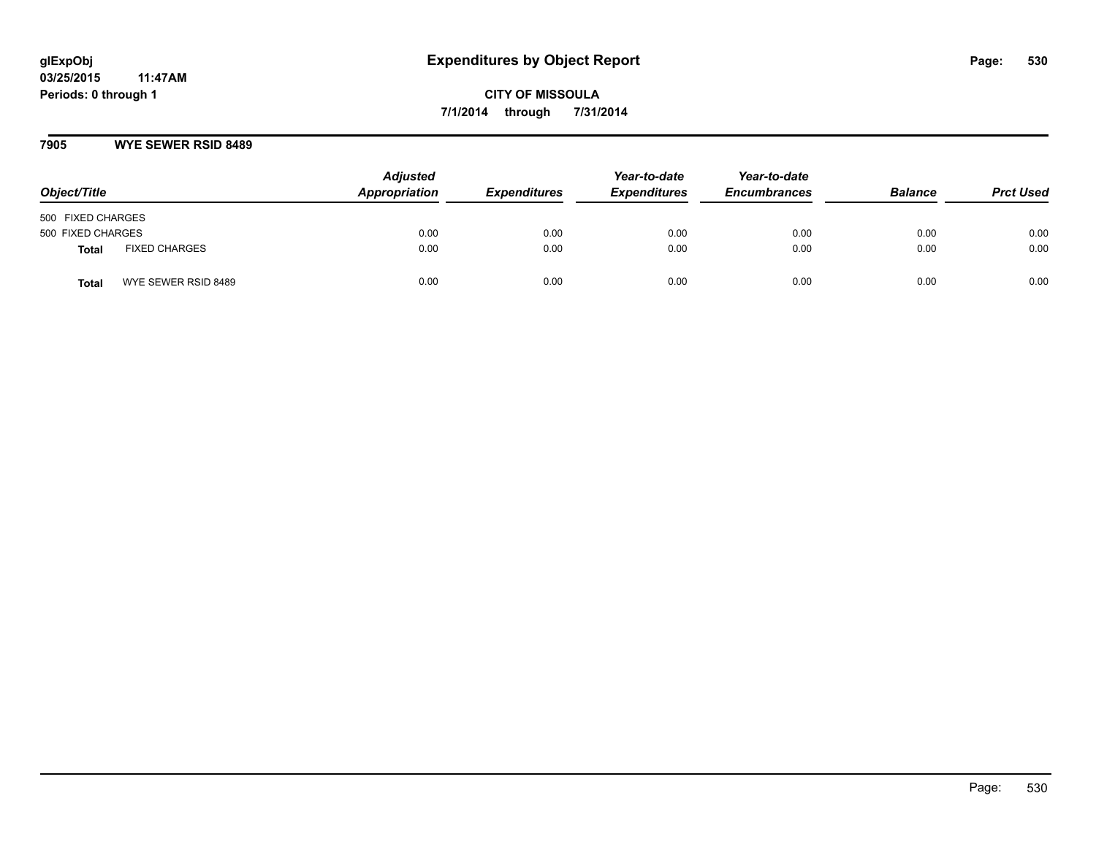#### **7905 WYE SEWER RSID 8489**

| Object/Title                  | <b>Adjusted</b><br>Appropriation | <b>Expenditures</b> | Year-to-date<br><b>Expenditures</b> | Year-to-date<br><b>Encumbrances</b> | <b>Balance</b> | <b>Prct Used</b> |
|-------------------------------|----------------------------------|---------------------|-------------------------------------|-------------------------------------|----------------|------------------|
| 500 FIXED CHARGES             |                                  |                     |                                     |                                     |                |                  |
| 500 FIXED CHARGES             | 0.00                             | 0.00                | 0.00                                | 0.00                                | 0.00           | 0.00             |
| <b>FIXED CHARGES</b><br>Total | 0.00                             | 0.00                | 0.00                                | 0.00                                | 0.00           | 0.00             |
| WYE SEWER RSID 8489<br>Total  | 0.00                             | 0.00                | 0.00                                | 0.00                                | 0.00           | 0.00             |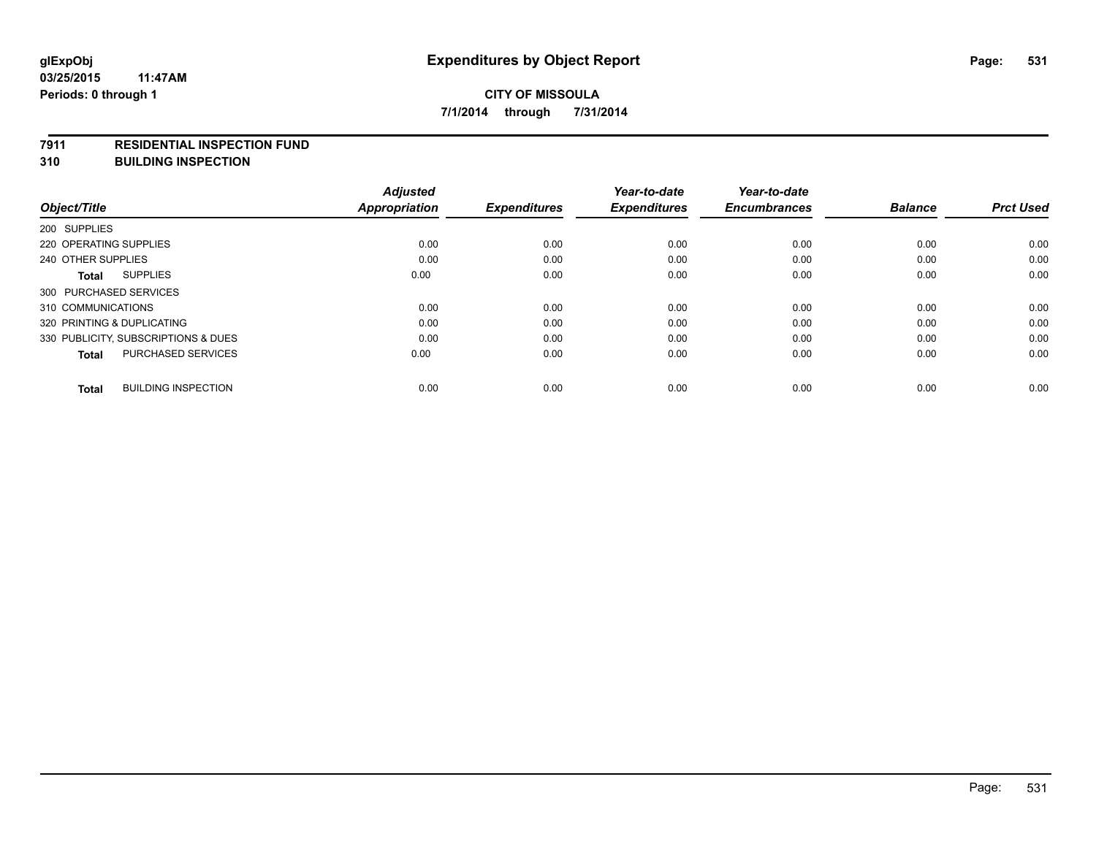#### **7911 RESIDENTIAL INSPECTION FUND**

**310 BUILDING INSPECTION**

|                                            | <b>Adjusted</b>      |                     | Year-to-date        | Year-to-date        |                |                  |
|--------------------------------------------|----------------------|---------------------|---------------------|---------------------|----------------|------------------|
| Object/Title                               | <b>Appropriation</b> | <b>Expenditures</b> | <b>Expenditures</b> | <b>Encumbrances</b> | <b>Balance</b> | <b>Prct Used</b> |
| 200 SUPPLIES                               |                      |                     |                     |                     |                |                  |
| 220 OPERATING SUPPLIES                     | 0.00                 | 0.00                | 0.00                | 0.00                | 0.00           | 0.00             |
| 240 OTHER SUPPLIES                         | 0.00                 | 0.00                | 0.00                | 0.00                | 0.00           | 0.00             |
| <b>SUPPLIES</b><br>Total                   | 0.00                 | 0.00                | 0.00                | 0.00                | 0.00           | 0.00             |
| 300 PURCHASED SERVICES                     |                      |                     |                     |                     |                |                  |
| 310 COMMUNICATIONS                         | 0.00                 | 0.00                | 0.00                | 0.00                | 0.00           | 0.00             |
| 320 PRINTING & DUPLICATING                 | 0.00                 | 0.00                | 0.00                | 0.00                | 0.00           | 0.00             |
| 330 PUBLICITY, SUBSCRIPTIONS & DUES        | 0.00                 | 0.00                | 0.00                | 0.00                | 0.00           | 0.00             |
| PURCHASED SERVICES<br><b>Total</b>         | 0.00                 | 0.00                | 0.00                | 0.00                | 0.00           | 0.00             |
|                                            |                      |                     |                     |                     |                |                  |
| <b>BUILDING INSPECTION</b><br><b>Total</b> | 0.00                 | 0.00                | 0.00                | 0.00                | 0.00           | 0.00             |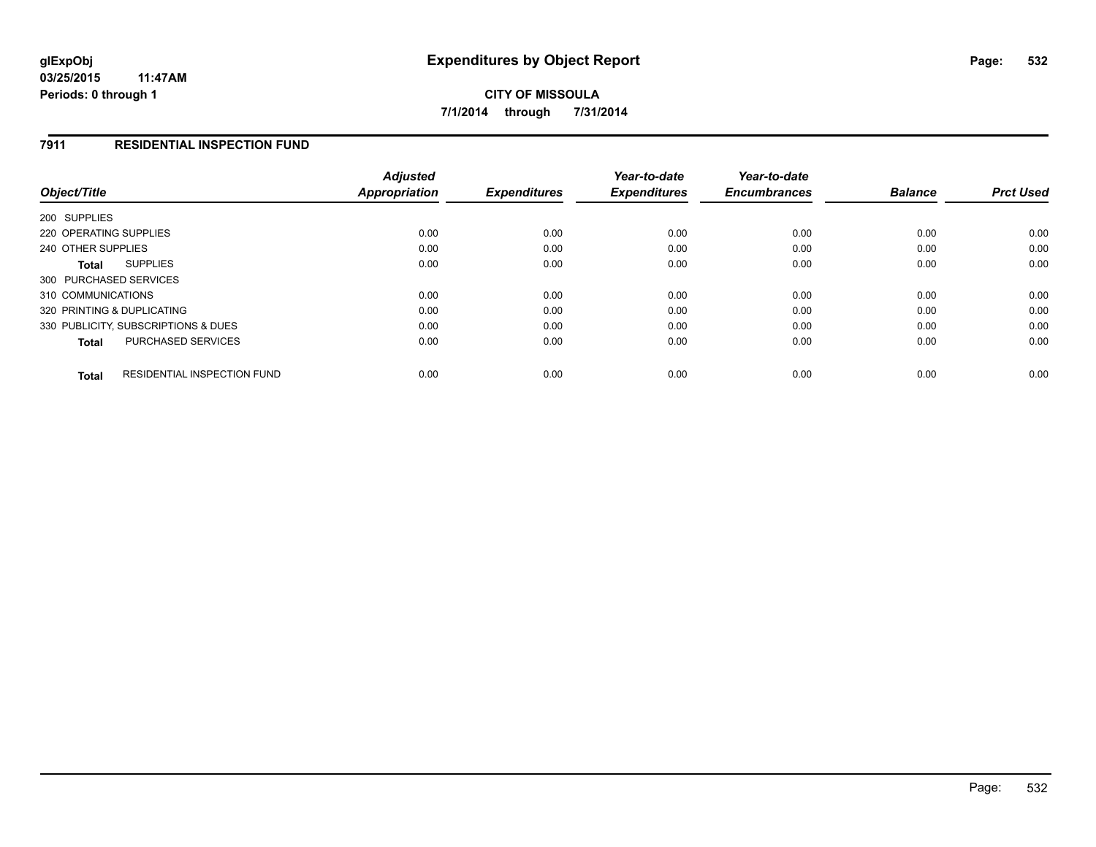### **7911 RESIDENTIAL INSPECTION FUND**

| Object/Title                                       | <b>Adjusted</b><br><b>Appropriation</b> | <b>Expenditures</b> | Year-to-date<br><b>Expenditures</b> | Year-to-date<br><b>Encumbrances</b> | <b>Balance</b> | <b>Prct Used</b> |
|----------------------------------------------------|-----------------------------------------|---------------------|-------------------------------------|-------------------------------------|----------------|------------------|
| 200 SUPPLIES                                       |                                         |                     |                                     |                                     |                |                  |
| 220 OPERATING SUPPLIES                             | 0.00                                    | 0.00                | 0.00                                | 0.00                                | 0.00           | 0.00             |
| 240 OTHER SUPPLIES                                 | 0.00                                    | 0.00                | 0.00                                | 0.00                                | 0.00           | 0.00             |
| <b>SUPPLIES</b><br>Total                           | 0.00                                    | 0.00                | 0.00                                | 0.00                                | 0.00           | 0.00             |
| 300 PURCHASED SERVICES                             |                                         |                     |                                     |                                     |                |                  |
| 310 COMMUNICATIONS                                 | 0.00                                    | 0.00                | 0.00                                | 0.00                                | 0.00           | 0.00             |
| 320 PRINTING & DUPLICATING                         | 0.00                                    | 0.00                | 0.00                                | 0.00                                | 0.00           | 0.00             |
| 330 PUBLICITY, SUBSCRIPTIONS & DUES                | 0.00                                    | 0.00                | 0.00                                | 0.00                                | 0.00           | 0.00             |
| PURCHASED SERVICES<br><b>Total</b>                 | 0.00                                    | 0.00                | 0.00                                | 0.00                                | 0.00           | 0.00             |
| <b>RESIDENTIAL INSPECTION FUND</b><br><b>Total</b> | 0.00                                    | 0.00                | 0.00                                | 0.00                                | 0.00           | 0.00             |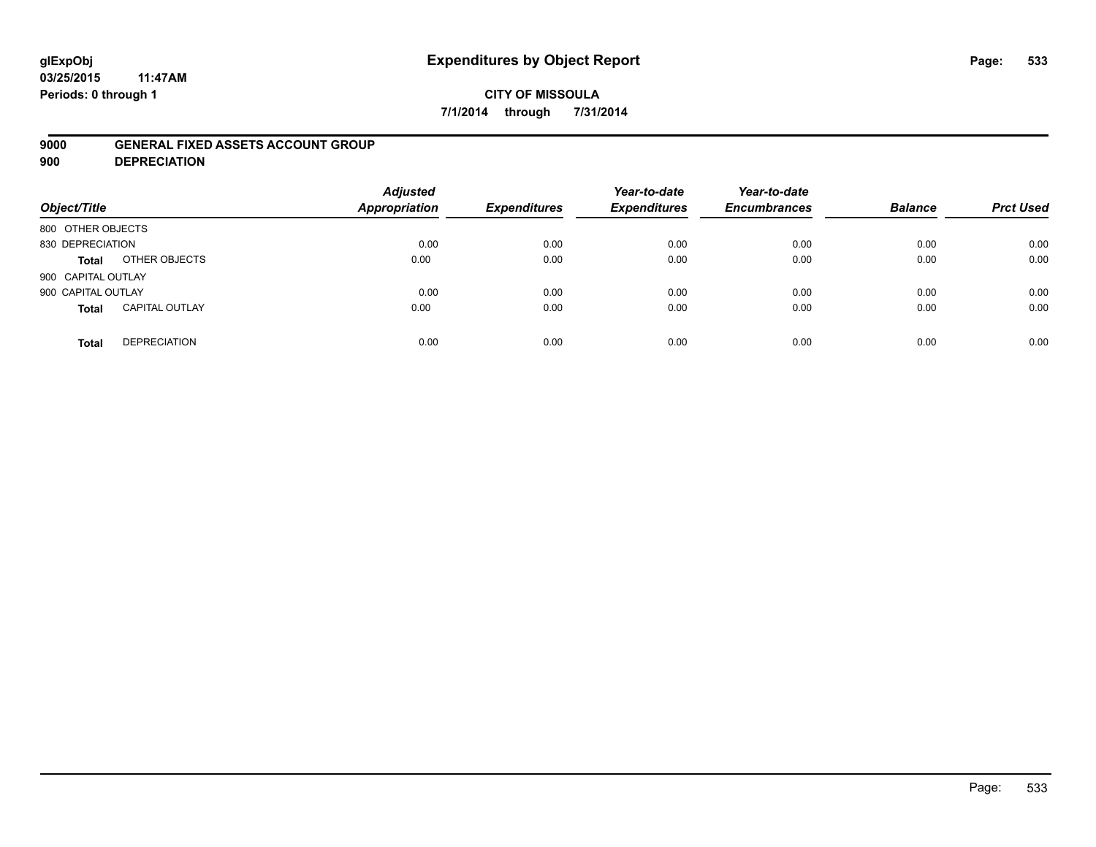# **glExpObj Expenditures by Object Report Page: 533**

**03/25/2015 11:47AM Periods: 0 through 1**

### **CITY OF MISSOULA 7/1/2014 through 7/31/2014**

#### **9000 GENERAL FIXED ASSETS ACCOUNT GROUP**

**900 DEPRECIATION**

| Object/Title                          | <b>Adjusted</b><br><b>Appropriation</b> | <b>Expenditures</b> | Year-to-date<br><b>Expenditures</b> | Year-to-date<br><b>Encumbrances</b> | <b>Balance</b> | <b>Prct Used</b> |
|---------------------------------------|-----------------------------------------|---------------------|-------------------------------------|-------------------------------------|----------------|------------------|
| 800 OTHER OBJECTS                     |                                         |                     |                                     |                                     |                |                  |
| 830 DEPRECIATION                      | 0.00                                    | 0.00                | 0.00                                | 0.00                                | 0.00           | 0.00             |
| OTHER OBJECTS<br><b>Total</b>         | 0.00                                    | 0.00                | 0.00                                | 0.00                                | 0.00           | 0.00             |
| 900 CAPITAL OUTLAY                    |                                         |                     |                                     |                                     |                |                  |
| 900 CAPITAL OUTLAY                    | 0.00                                    | 0.00                | 0.00                                | 0.00                                | 0.00           | 0.00             |
| <b>CAPITAL OUTLAY</b><br><b>Total</b> | 0.00                                    | 0.00                | 0.00                                | 0.00                                | 0.00           | 0.00             |
| <b>DEPRECIATION</b><br><b>Total</b>   | 0.00                                    | 0.00                | 0.00                                | 0.00                                | 0.00           | 0.00             |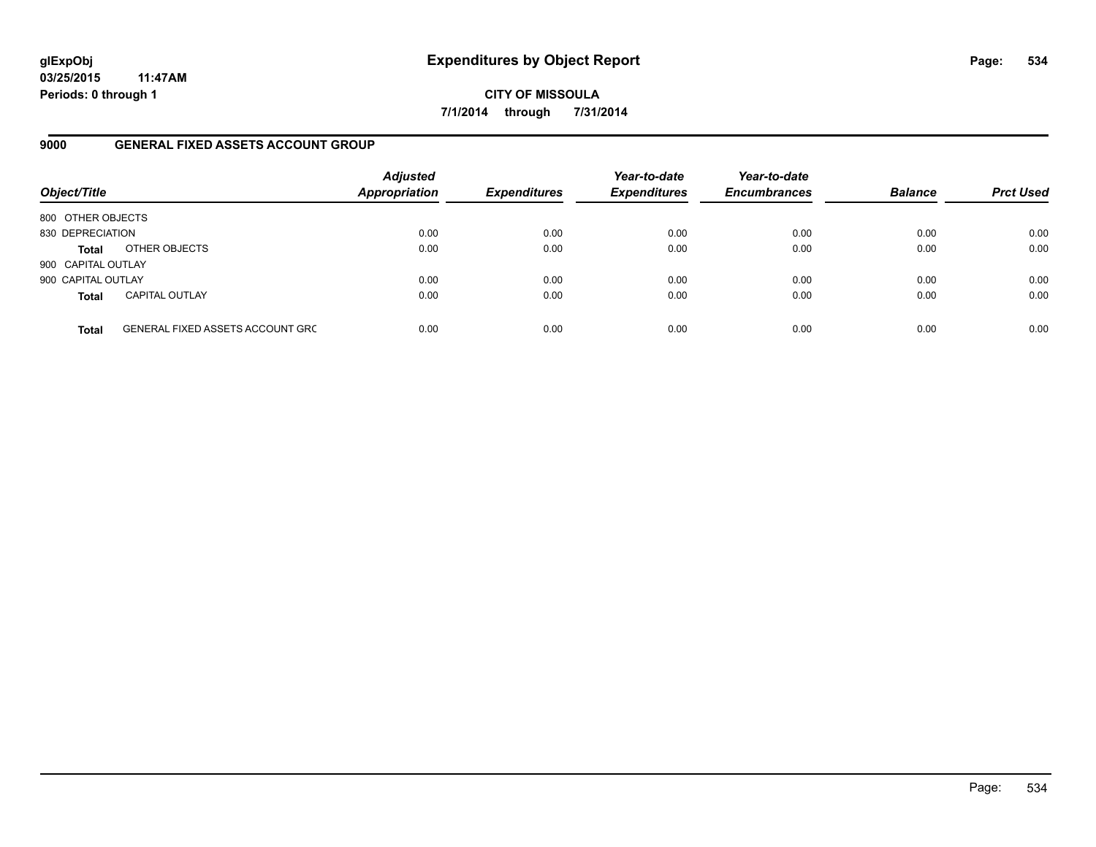**CITY OF MISSOULA 7/1/2014 through 7/31/2014**

### **9000 GENERAL FIXED ASSETS ACCOUNT GROUP**

| Object/Title       |                                         | <b>Adjusted</b><br><b>Appropriation</b> | <b>Expenditures</b> | Year-to-date<br><b>Expenditures</b> | Year-to-date<br><b>Encumbrances</b> | <b>Balance</b> | <b>Prct Used</b> |
|--------------------|-----------------------------------------|-----------------------------------------|---------------------|-------------------------------------|-------------------------------------|----------------|------------------|
| 800 OTHER OBJECTS  |                                         |                                         |                     |                                     |                                     |                |                  |
| 830 DEPRECIATION   |                                         | 0.00                                    | 0.00                | 0.00                                | 0.00                                | 0.00           | 0.00             |
| Total              | OTHER OBJECTS                           | 0.00                                    | 0.00                | 0.00                                | 0.00                                | 0.00           | 0.00             |
| 900 CAPITAL OUTLAY |                                         |                                         |                     |                                     |                                     |                |                  |
| 900 CAPITAL OUTLAY |                                         | 0.00                                    | 0.00                | 0.00                                | 0.00                                | 0.00           | 0.00             |
| <b>Total</b>       | <b>CAPITAL OUTLAY</b>                   | 0.00                                    | 0.00                | 0.00                                | 0.00                                | 0.00           | 0.00             |
| <b>Total</b>       | <b>GENERAL FIXED ASSETS ACCOUNT GRC</b> | 0.00                                    | 0.00                | 0.00                                | 0.00                                | 0.00           | 0.00             |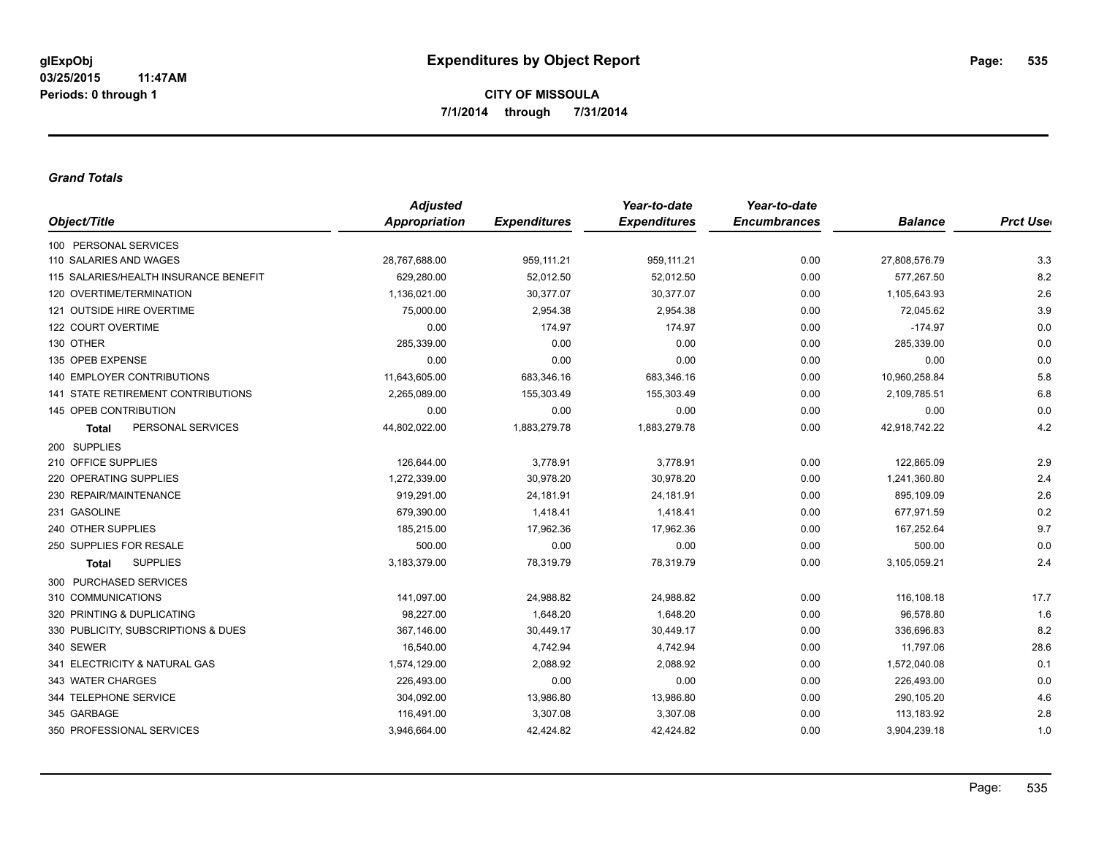#### *Grand Totals*

|                                           | <b>Adjusted</b> |                     | Year-to-date        | Year-to-date        |                |                  |
|-------------------------------------------|-----------------|---------------------|---------------------|---------------------|----------------|------------------|
| Object/Title                              | Appropriation   | <b>Expenditures</b> | <b>Expenditures</b> | <b>Encumbrances</b> | <b>Balance</b> | <b>Prct User</b> |
| 100 PERSONAL SERVICES                     |                 |                     |                     |                     |                |                  |
| 110 SALARIES AND WAGES                    | 28,767,688.00   | 959,111.21          | 959,111.21          | 0.00                | 27,808,576.79  | 3.3              |
| 115 SALARIES/HEALTH INSURANCE BENEFIT     | 629,280.00      | 52,012.50           | 52,012.50           | 0.00                | 577,267.50     | 8.2              |
| 120 OVERTIME/TERMINATION                  | 1,136,021.00    | 30,377.07           | 30,377.07           | 0.00                | 1,105,643.93   | 2.6              |
| 121 OUTSIDE HIRE OVERTIME                 | 75,000.00       | 2,954.38            | 2,954.38            | 0.00                | 72,045.62      | 3.9              |
| 122 COURT OVERTIME                        | 0.00            | 174.97              | 174.97              | 0.00                | $-174.97$      | 0.0              |
| 130 OTHER                                 | 285,339.00      | 0.00                | 0.00                | 0.00                | 285,339.00     | 0.0              |
| 135 OPEB EXPENSE                          | 0.00            | 0.00                | 0.00                | 0.00                | 0.00           | 0.0              |
| <b>140 EMPLOYER CONTRIBUTIONS</b>         | 11,643,605.00   | 683,346.16          | 683,346.16          | 0.00                | 10,960,258.84  | 5.8              |
| <b>141 STATE RETIREMENT CONTRIBUTIONS</b> | 2,265,089.00    | 155,303.49          | 155,303.49          | 0.00                | 2,109,785.51   | 6.8              |
| 145 OPEB CONTRIBUTION                     | 0.00            | 0.00                | 0.00                | 0.00                | 0.00           | 0.0              |
| PERSONAL SERVICES<br><b>Total</b>         | 44,802,022.00   | 1,883,279.78        | 1,883,279.78        | 0.00                | 42,918,742.22  | 4.2              |
| 200 SUPPLIES                              |                 |                     |                     |                     |                |                  |
| 210 OFFICE SUPPLIES                       | 126,644.00      | 3,778.91            | 3,778.91            | 0.00                | 122,865.09     | 2.9              |
| 220 OPERATING SUPPLIES                    | 1,272,339.00    | 30,978.20           | 30,978.20           | 0.00                | 1,241,360.80   | 2.4              |
| 230 REPAIR/MAINTENANCE                    | 919,291.00      | 24,181.91           | 24,181.91           | 0.00                | 895,109.09     | 2.6              |
| 231 GASOLINE                              | 679,390.00      | 1,418.41            | 1,418.41            | 0.00                | 677,971.59     | 0.2              |
| 240 OTHER SUPPLIES                        | 185,215.00      | 17,962.36           | 17,962.36           | 0.00                | 167,252.64     | 9.7              |
| 250 SUPPLIES FOR RESALE                   | 500.00          | 0.00                | 0.00                | 0.00                | 500.00         | 0.0              |
| <b>SUPPLIES</b><br><b>Total</b>           | 3,183,379.00    | 78,319.79           | 78,319.79           | 0.00                | 3,105,059.21   | 2.4              |
| 300 PURCHASED SERVICES                    |                 |                     |                     |                     |                |                  |
| 310 COMMUNICATIONS                        | 141,097.00      | 24,988.82           | 24,988.82           | 0.00                | 116,108.18     | 17.7             |
| 320 PRINTING & DUPLICATING                | 98,227.00       | 1,648.20            | 1,648.20            | 0.00                | 96,578.80      | 1.6              |
| 330 PUBLICITY, SUBSCRIPTIONS & DUES       | 367,146.00      | 30,449.17           | 30,449.17           | 0.00                | 336,696.83     | 8.2              |
| 340 SEWER                                 | 16,540.00       | 4,742.94            | 4,742.94            | 0.00                | 11,797.06      | 28.6             |
| 341 ELECTRICITY & NATURAL GAS             | 1,574,129.00    | 2,088.92            | 2,088.92            | 0.00                | 1,572,040.08   | 0.1              |
| 343 WATER CHARGES                         | 226,493.00      | 0.00                | 0.00                | 0.00                | 226,493.00     | 0.0              |
| 344 TELEPHONE SERVICE                     | 304,092.00      | 13,986.80           | 13,986.80           | 0.00                | 290,105.20     | 4.6              |
| 345 GARBAGE                               | 116,491.00      | 3,307.08            | 3,307.08            | 0.00                | 113,183.92     | 2.8              |
| 350 PROFESSIONAL SERVICES                 | 3,946,664.00    | 42,424.82           | 42,424.82           | 0.00                | 3,904,239.18   | 1.0              |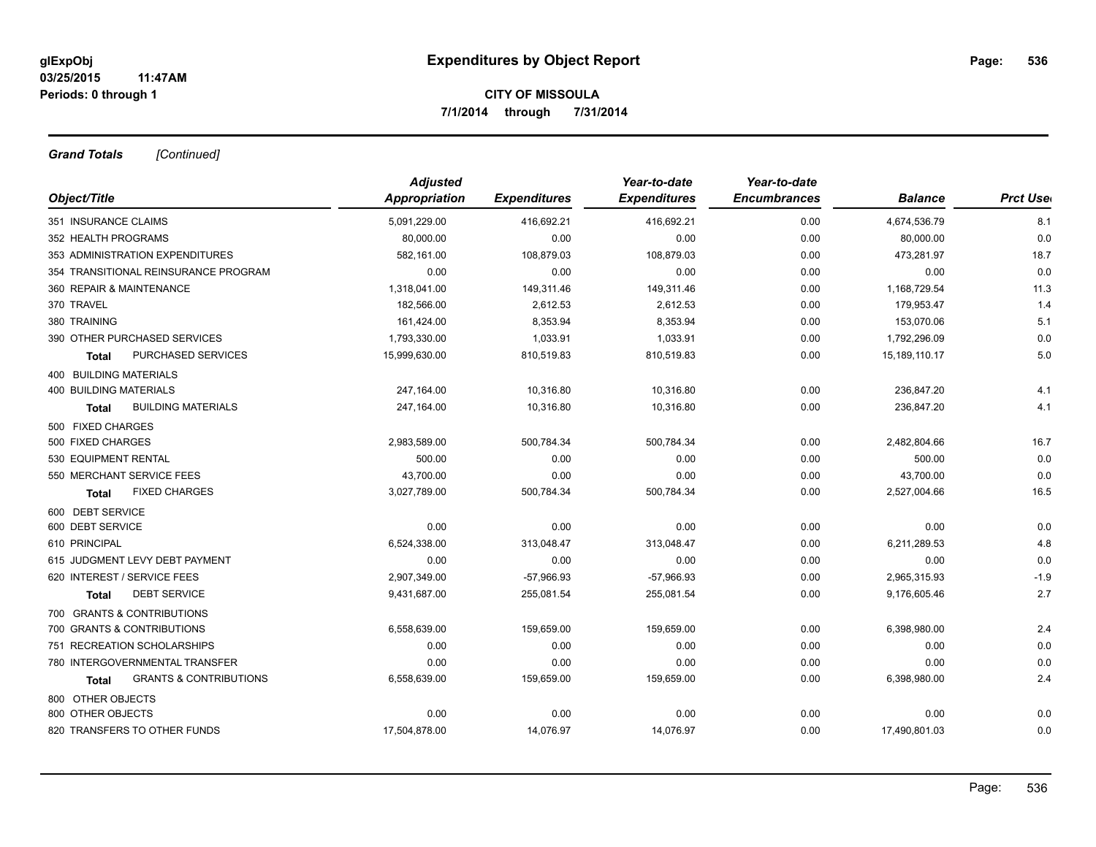*Grand Totals [Continued]*

|                                            | <b>Adjusted</b> |                     | Year-to-date        | Year-to-date        |                |                  |
|--------------------------------------------|-----------------|---------------------|---------------------|---------------------|----------------|------------------|
| Object/Title                               | Appropriation   | <b>Expenditures</b> | <b>Expenditures</b> | <b>Encumbrances</b> | <b>Balance</b> | <b>Prct User</b> |
| 351 INSURANCE CLAIMS                       | 5,091,229.00    | 416,692.21          | 416,692.21          | 0.00                | 4,674,536.79   | 8.1              |
| 352 HEALTH PROGRAMS                        | 80,000.00       | 0.00                | 0.00                | 0.00                | 80,000.00      | 0.0              |
| 353 ADMINISTRATION EXPENDITURES            | 582,161.00      | 108,879.03          | 108,879.03          | 0.00                | 473,281.97     | 18.7             |
| 354 TRANSITIONAL REINSURANCE PROGRAM       | 0.00            | 0.00                | 0.00                | 0.00                | 0.00           | 0.0              |
| 360 REPAIR & MAINTENANCE                   | 1,318,041.00    | 149,311.46          | 149,311.46          | 0.00                | 1,168,729.54   | 11.3             |
| 370 TRAVEL                                 | 182,566.00      | 2,612.53            | 2,612.53            | 0.00                | 179,953.47     | 1.4              |
| 380 TRAINING                               | 161,424.00      | 8,353.94            | 8,353.94            | 0.00                | 153,070.06     | 5.1              |
| 390 OTHER PURCHASED SERVICES               | 1,793,330.00    | 1,033.91            | 1,033.91            | 0.00                | 1,792,296.09   | 0.0              |
| PURCHASED SERVICES<br><b>Total</b>         | 15,999,630.00   | 810,519.83          | 810,519.83          | 0.00                | 15,189,110.17  | 5.0              |
| 400 BUILDING MATERIALS                     |                 |                     |                     |                     |                |                  |
| <b>400 BUILDING MATERIALS</b>              | 247,164.00      | 10,316.80           | 10,316.80           | 0.00                | 236,847.20     | 4.1              |
| <b>BUILDING MATERIALS</b><br><b>Total</b>  | 247,164.00      | 10,316.80           | 10,316.80           | 0.00                | 236,847.20     | 4.1              |
| 500 FIXED CHARGES                          |                 |                     |                     |                     |                |                  |
| 500 FIXED CHARGES                          | 2,983,589.00    | 500,784.34          | 500,784.34          | 0.00                | 2,482,804.66   | 16.7             |
| 530 EQUIPMENT RENTAL                       | 500.00          | 0.00                | 0.00                | 0.00                | 500.00         | 0.0              |
| 550 MERCHANT SERVICE FEES                  | 43,700.00       | 0.00                | 0.00                | 0.00                | 43,700.00      | 0.0              |
| <b>FIXED CHARGES</b><br>Total              | 3,027,789.00    | 500,784.34          | 500,784.34          | 0.00                | 2,527,004.66   | 16.5             |
| 600 DEBT SERVICE                           |                 |                     |                     |                     |                |                  |
| 600 DEBT SERVICE                           | 0.00            | 0.00                | 0.00                | 0.00                | 0.00           | 0.0              |
| 610 PRINCIPAL                              | 6,524,338.00    | 313,048.47          | 313,048.47          | 0.00                | 6,211,289.53   | 4.8              |
| 615 JUDGMENT LEVY DEBT PAYMENT             | 0.00            | 0.00                | 0.00                | 0.00                | 0.00           | 0.0              |
| 620 INTEREST / SERVICE FEES                | 2,907,349.00    | $-57,966.93$        | $-57,966.93$        | 0.00                | 2,965,315.93   | $-1.9$           |
| <b>DEBT SERVICE</b><br><b>Total</b>        | 9,431,687.00    | 255,081.54          | 255,081.54          | 0.00                | 9,176,605.46   | 2.7              |
| 700 GRANTS & CONTRIBUTIONS                 |                 |                     |                     |                     |                |                  |
| 700 GRANTS & CONTRIBUTIONS                 | 6,558,639.00    | 159,659.00          | 159,659.00          | 0.00                | 6,398,980.00   | 2.4              |
| 751 RECREATION SCHOLARSHIPS                | 0.00            | 0.00                | 0.00                | 0.00                | 0.00           | 0.0              |
| 780 INTERGOVERNMENTAL TRANSFER             | 0.00            | 0.00                | 0.00                | 0.00                | 0.00           | 0.0              |
| <b>GRANTS &amp; CONTRIBUTIONS</b><br>Total | 6,558,639.00    | 159,659.00          | 159,659.00          | 0.00                | 6,398,980.00   | 2.4              |
| 800 OTHER OBJECTS                          |                 |                     |                     |                     |                |                  |
| 800 OTHER OBJECTS                          | 0.00            | 0.00                | 0.00                | 0.00                | 0.00           | 0.0              |
| 820 TRANSFERS TO OTHER FUNDS               | 17,504,878.00   | 14,076.97           | 14,076.97           | 0.00                | 17,490,801.03  | 0.0              |